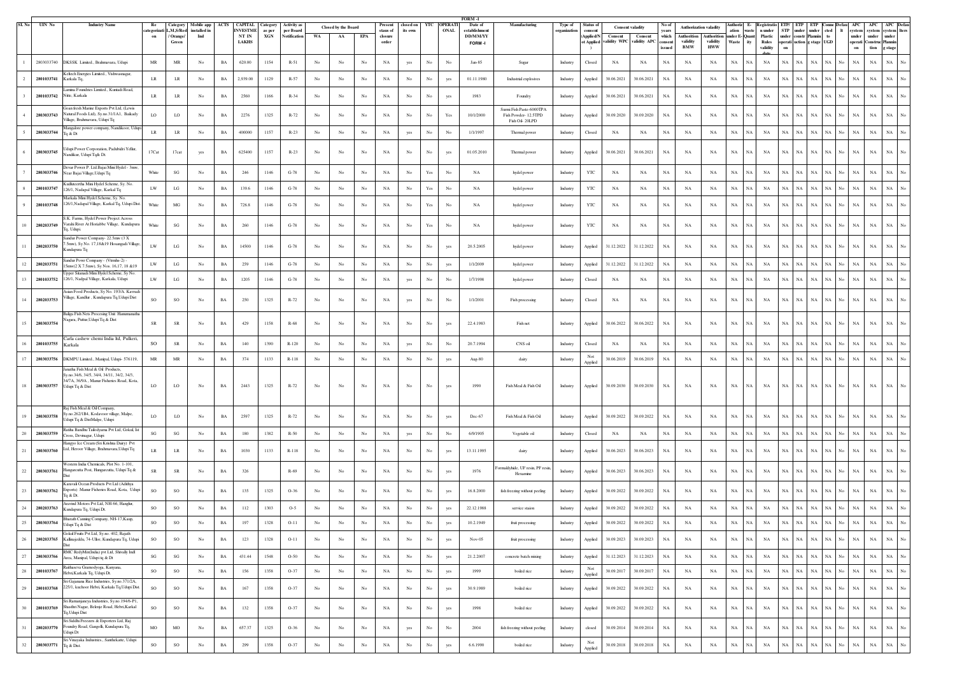| SI. No | UIN No     | <b>Industry Name</b>                                                                                                                        | Re                                | Category                          | Mobile app        | ACTS        | <b>CAPITAL Category</b>  |               | <b>Activity</b> a        |                  | <b>Closed by the Board</b> |                  |                     | Present closed on YTC OPERATI |                      |      | <b>FORM -1</b><br>Date of | Manufacturing                                                     | Type of      | Status o             |             | <b>Consent valadity</b> | No of             | <b>Authorization valadity</b> |                        | Authoriz E- Registratio ETP/ ETP ETP Conne Defau |                    |                     |                     |             |                                  |                                   | APC APC APC Defau                |
|--------|------------|---------------------------------------------------------------------------------------------------------------------------------------------|-----------------------------------|-----------------------------------|-------------------|-------------|--------------------------|---------------|--------------------------|------------------|----------------------------|------------------|---------------------|-------------------------------|----------------------|------|---------------------------|-------------------------------------------------------------------|--------------|----------------------|-------------|-------------------------|-------------------|-------------------------------|------------------------|--------------------------------------------------|--------------------|---------------------|---------------------|-------------|----------------------------------|-----------------------------------|----------------------------------|
|        |            |                                                                                                                                             | on                                | ategorizati L,M,S/Red<br>/ Orange | nstalled i<br>Ind |             | <b>INVESTME</b><br>NT IN | as per<br>XGN | per Board<br>Notificatio | WA               | AA                         | EPA              | staus of<br>closure | its own                       |                      | ONAL | establishmen<br>DD/MM/YY  |                                                                   | organization | Applied/!            | Consent     | Consent                 | years<br>which    | <b>Authorition</b>            | Authoritio             | ation<br>waste<br>nder E<br><b>Ouant</b>         | n under<br>Plastic | <b>STP</b><br>under | under<br>onstr Plan | under       | cted<br>lt.                      | system<br>unde r<br>unde r        | system system<br>lte rs<br>under |
|        |            |                                                                                                                                             |                                   | Green                             |                   |             | <b>LAKHS</b>             |               |                          |                  |                            |                  | order               |                               |                      |      | FORM-I                    |                                                                   |              | t Applied            | alidity WPC | validity APO            | consent<br>issued | validity<br><b>BMW</b>        | validity<br><b>HWW</b> | Waste<br>itv                                     | Rules<br>validity  | operati<br>on       | iction g stage      |             | <b>UGD</b>                       | operati<br>Construc<br>tion<br>on | Planni<br>g stage                |
|        | 2803033740 | DKSSK Limited., Brahmavara, Udupi                                                                                                           | $\ensuremath{\mathsf{MR}}\xspace$ | $\ensuremath{\mathsf{MR}}\xspace$ | $_{\mathrm{No}}$  | $_{\rm BA}$ | 620.00                   | 1154          | $R-51$                   | No               | No                         | No               | NA                  | yes                           | No                   | No   | Jan-85                    | Sugar                                                             | Industry     | Closed               | NA          | NA                      | $_{\rm NA}$       | NA                            | $_{\rm NA}$            | $_{\rm NA}$<br>NA                                | NA                 | NA                  | NA                  | NA          | $_{\rm NA}$<br>No                | $_{\rm NA}$<br>NA                 | $_{\rm NA}$                      |
|        | 2801033741 | eltech Energies Limited., Vishwasnagar,<br>Karkala Tq.                                                                                      | LR                                | $_{\rm LR}$                       | No                | $_{\rm BA}$ | 2,939.00                 | 1129          | $R-57$                   | No               | No                         | No               | $_{\rm NA}$         | No                            | $_{\rm No}$          | yes  | 01.11.1980                | Industrial explosives                                             | Industry     | Applied              | 30.06.2021  | 30.06.2021              | $_{\rm NA}$       | NA                            | $_{\rm NA}$            | $_{\rm NA}$<br>NA                                | NA                 | $_{\rm NA}$         | NA                  | NA          | $_{\rm NA}$<br>No                | NA<br>$_{\rm NA}$                 | $_{\rm NA}$                      |
|        | 2801033742 | amina Foundries Limited Kuntadi Road<br>Nitte, Karkala                                                                                      | LR                                | LR.                               | $_{\mathrm{No}}$  | $_{\rm BA}$ | 2560                     | 1166          | R-34                     | No               | No                         | No               | NA                  | $_{\rm No}$                   | No                   | yes  | 1983                      | Foundry                                                           | Industry     | Applied              | 30.06.2021  | 30.06.2021              | NA                | NA                            | $_{\rm NA}$            | $_{\rm NA}$<br>NA                                | NA                 | NA                  | NA                  | NA          | NA.                              | <b>NA</b><br>NA                   | $_{\rm NA}$                      |
|        | 2803033743 | ioan fresh Marine Exports Pvt Ltd, (Lewis<br>atural Foods Ltd), Sy.no.31/1A1, Baikady<br>Village, Brahmavara, Udupi Tq                      | LO                                | LO                                | No.               | BA          | 2276                     | 1325          | $R-72$                   | No               | No                         | No               | NA                  | No                            | No                   | Yes  | 10/1/2000                 | Surmi Fish Paste-6000TPA<br>Fish Powder-12.5TPD<br>Fish Oil-20LPD | Industry     | Applied              | 30.09.2020  | 30.09.2020              | NA                | NA                            | NA                     | $_{\rm NA}$<br><b>NA</b>                         | NA                 | <b>NA</b>           | NA                  | <b>NA</b>   | NA.<br><b>NA</b><br>No           | $_{\rm NA}$                       | $_{\rm NA}$                      |
|        | 2803033744 | langalore power company, Nandikoor, Udup<br>Ta & Dt                                                                                         | LR                                | $\rm LR$                          | No                | BA          | 400000                   | 1157          | $R-23$                   | No               | No                         | No               | NA                  | yes                           | No                   | No   | 1/1/1997                  | Thermal power                                                     | Industry     | Closed               | NA          | NA                      | $_{\rm NA}$       | NA                            | NA                     | $_{\rm NA}$<br>NA.                               | $_{\rm NA}$        | <b>NA</b>           | NA                  | <b>NA</b>   | NA                               | $_{\rm NA}$<br>NA                 | NA                               |
|        | 2803033745 | dupi Power Corporation, Padubidri Yellur,<br>landikur, Udupi Tq& Dt.                                                                        | 17Cat                             | $17\mathrm{cat}$                  | yes               | BA          | 625400                   | 1157          | $R-23$                   | No               | No                         | No               | $_{\rm NA}$         | No                            | No                   | yes  | 01.05.2010                | Thermal power                                                     | Industry     | Applied              | 30.06.2021  | 30.06.2021              | NA                | NA                            | $_{\rm NA}$            | $_{\rm NA}$<br>NA                                | NA                 | $_{\rm NA}$         | NA                  | $_{\rm NA}$ | NA<br>NA                         | $_{\rm NA}$                       | NA                               |
|        | 2803033746 | Devar Power P. Ltd.Bajai Mini Hydel - 3mw<br>Vear Bajai Village, Udupi Tq                                                                   | White                             | $\mathbf{S}\mathbf{G}$            | No                | BA          | 246                      | 1146          | $G-78$                   | No               | No                         | No               | NA                  | $_{\rm No}$                   | Yes                  | No   | $_{\rm NA}$               | hydel power                                                       | Industry     | YTC                  | NA          | NA                      | NA                | NA                            | $_{\rm NA}$            | $_{\rm NA}$<br>NA                                | NA                 | NA                  | NA                  | NA          | NA                               | $_{\rm NA}$                       | $_{\rm NA}$                      |
|        | 2801033747 | udluteertha Mini Hydel Scheme, Sy. No.<br>126/1, Nadapal Village, Karkal Tq                                                                 | LW                                | $_{\rm LG}$                       | $_{\mathrm{No}}$  | $_{\rm BA}$ | 139.6                    | 1146          | $G-78$                   | No               | No                         | No               | NA                  | $_{\rm No}$                   | Yes                  | No   | NA                        | hydel power                                                       | Industry     | YTC                  | NA          | NA                      | $_{\rm NA}$       | NA                            | $_{\rm NA}$            | $_{\rm NA}$<br>NA                                | NA                 | $_{\rm NA}$         | NA                  | NA          | $_{\rm NA}$<br>No                | $_{\rm NA}$<br>NA                 | $_{\rm NA}$                      |
|        | 2801033748 | Aarkala Mini Hydel Scheme, Sy. No<br>126/1, Nadapal Village, Karkal Tq, Udupi Dist                                                          | White                             | MG                                | No                | BA          | 726.8                    | 1146          | $G-78$                   | No               | No                         | No               | NA                  | No                            | Yes                  | No   | NA                        | hydel power                                                       | Industry     | YTC                  | NA          | NA                      | NA                | NA                            | NA                     | $_{\rm NA}$<br><b>NA</b>                         | NA                 | <b>NA</b>           | NA                  | <b>NA</b>   | NA                               | NA<br>NA                          | $_{\rm NA}$                      |
|        | 2802033749 | K. Farms, Hydel Power Project Across<br>arahi River At Horiabbe Village, Kundapura<br>lg, Udupi.                                            | White                             | $\mathbf{SG}$                     | No                | BA          | 260                      | 1146          | $G-78$                   | No               | No                         | No               | NA                  | No                            | $\operatorname{Yes}$ | No   | $_{\rm NA}$               | hydel power                                                       | Industry     | YTC                  | $_{\rm NA}$ | NA                      | $_{\rm NA}$       | NA                            | $_{\rm NA}$            | $_{\rm NA}$<br>NA                                | NA                 | $_{\rm NA}$         | NA                  | NA          | $_{\rm NA}$<br>No                | NA<br>$_{\rm NA}$                 | $_{\rm NA}$<br>No                |
|        | 2802033750 | Sandur Power Company-22.5mw (3 X<br>5mw), Sy No. 17,18&19 Hosangadi Village,<br>undapura Tq                                                 | LW                                | $_{\rm LG}$                       | No                | BA          | 14500                    | 1146          | $G-78$                   | No               | No                         | No               | NA                  | No                            | No                   | yes  | 20.5.2005                 | hydel power                                                       | Industry     | Applied              | 31.12.2022  | 31.12.2022              | NA                | NA                            | NA                     | $_{\rm NA}$<br>NA                                | NA                 | NA                  | NA                  | <b>NA</b>   | NA<br><b>NA</b>                  | $_{\rm NA}$                       | $_{\rm NA}$                      |
|        | 2802033751 | andur Powr Company - (Vtrmhs-2)<br>5mw(2 X 7.5mw), Sy Nos. 16,17, 18 & 19                                                                   | LW                                | $_{\rm LG}$                       | No                | BA          | 259                      | 1146          | $G-78$                   | No               | No                         | No               | $_{\rm NA}$         | No                            | No                   | yes  | 1/1/2009                  | hydel power                                                       | Industry     | Applied              | 31.12.2022  | 31.12.2022              | $_{\rm NA}$       | NA                            | $_{\rm NA}$            | $_{\rm NA}$<br>$_{\rm NA}$                       | NA                 | $_{\rm NA}$         | NA                  | $_{\rm NA}$ | ŃA<br>No                         | $_{\rm NA}$<br>$_{\rm NA}$        | $_{\rm NA}$                      |
|        | 2801033752 | Joper Sitanadi Mini Hydel Scheme, Sv No<br>126/1, Nadpal Village, Karkala, Udupi                                                            | LW                                | $_{\rm LG}$                       | No                | BA          | 1205                     | 1146          | $G-78$                   | No               | No                         | No               | NA                  | yes                           | No                   | No   | 1/7/1998                  | hydel power                                                       | Industry     | Closed               | NA          | NA                      | $_{\rm NA}$       | NA                            | NA                     | $_{\rm NA}$<br>$_{\rm NA}$                       | NA                 | $_{\rm NA}$         | NA                  | NA          | NA<br>No                         | NA<br>$_{\rm NA}$                 | $_{\rm NA}$                      |
|        | 2802033753 | sian Food Products, Sy No. 193/A. Kavradi<br>/illage, Kandlur , Kundapura Tq, Udupi Dist                                                    | SO                                | SO                                | No                | $_{\rm BA}$ | 250                      | 1325          | R-72                     | No               | No                         | No               | NA                  | yes                           | No                   | No   | 1/1/2001                  | Fish processing                                                   | Industry     | Closed               | NA          | NA                      | $_{\rm NA}$       | NA                            | $_{\rm NA}$            | $_{\rm NA}$<br>NA                                | NA                 | NA                  | NA                  | <b>NA</b>   | ŃА                               | NA<br>$_{\rm NA}$                 | $_{\rm NA}$                      |
|        | 2803033754 | Baliga Fish Nets Procesing Unit Hanumanath<br>Vagara, Puttur, Udupi Tq & Dist                                                               | SR                                | SR                                | No                | BA          | 429                      | 1158          | $R-68$                   | No               | No                         | No               | NA                  | No                            | No                   | yes  | 22.4.1983                 | Fish net                                                          | Industry     | Applied              | 30.06.2022  | 30.06.2022              | NA                | NA                            | NA                     | NA<br>NA                                         | NA                 | NA                  | NA                  | NA          | NA                               | NA<br>NA                          | NA                               |
|        | 2801033755 | Carla cashew chemi India ltd, Pulkeri,<br>Karkala                                                                                           | SO                                | SR                                | No                | BA          | 140                      | 1390          | $R-120$                  | No               | No                         | No               | NA                  | yes                           | No                   | No   | 20.7.1994                 | CNS oil                                                           | Industry     | Closed               | NA          | NA                      | NA                | NA                            | NA                     | NA<br>NA                                         | NA                 | NA                  | NA                  | NA          |                                  | NA<br>NA                          | NA<br>No                         |
| 17     | 2803033756 | DKMPU Limited., Manipal, Udupi- 576119.                                                                                                     | $\ensuremath{\mathsf{MR}}\xspace$ | $\ensuremath{\mathsf{MR}}\xspace$ | No                | BA          | 374                      | 1133          | R-118                    | No               | No                         | No               | NA                  | No                            | No                   | yes  | Aug-80                    | dairy                                                             | Industry     | Not<br>Applied       | 30.06.2019  | 30.06.2019              | $_{\rm NA}$       | NA                            | NA                     | $_{\rm NA}$<br>NA                                | $_{\rm NA}$        | $_{\rm NA}$         | NA                  | NA          | $_{\rm NA}$<br>No<br>NA          | $_{\rm NA}$                       | $_{\rm NA}$<br>No                |
|        | 2803033757 | natha Fish Meal & Oil Products,<br>sy.no.34/6, 34/5, 34/4, 34/11, 34/2, 34/3,<br>4/7A, 36/9A, Manur Fisheries Road, Kota<br>Udupi Tq & Dist | LO                                | $_{\rm LO}$                       | No                | BA          | 2443                     | 1325          | R-72                     | $_{\rm No}$      | No                         | No               | NA                  | No                            | No                   | yes  | 1990                      | Fish Meal & Fish Oil                                              | Industry     | Applied              | 30.09.2030  | 30.09.2030              | NA                | NA                            | NA                     | NA<br>NA                                         | NA                 | NA                  | $_{\rm NA}$         | NA          | NA<br>No<br>NA                   | $_{\rm NA}$                       | $_{\rm NA}$<br>No                |
|        |            |                                                                                                                                             |                                   |                                   |                   |             |                          |               |                          |                  |                            |                  |                     |                               |                      |      |                           |                                                                   |              |                      |             |                         |                   |                               |                        |                                                  |                    |                     |                     |             |                                  |                                   |                                  |
|        | 2803033758 | Raj Fish Meal & Oil Company,<br>y.no.262/1B4, Kodavoor village, Malpe,<br>dupi Tq & DistMalpe, Udupi                                        | LO                                | LO                                | No                | BA          | 2597                     | 1325          | $R-72$                   | No               | No                         | No               | NA                  | No                            | No                   | ves  | Dec-67                    | Fish Meal & Fish Oil                                              | Industry     | Applied              | 30.09.2022  | 30.09.2022              | <b>NA</b>         | NA                            | NA                     | <b>NA</b><br>NA                                  | NA                 | <b>NA</b>           | NA                  | <b>NA</b>   | NA                               | NA<br>NA                          | $_{\rm NA}$<br>No                |
|        | 2803033759 | Ratiha Bandhu Tailodyama Pvt Ltd, Gokul, Ist<br>ross, Devinagar, Udupi                                                                      | $\mathbf{SG}$                     | $\mathbf{SG}$                     | No                | BA          | 180                      | 1382          | $R-50$                   | No               | No                         | No               | NA                  | yes                           | No                   | No   | 6/9/1905                  | Vegetable oil                                                     | Industry     | Closed               | NA          | NA                      | NA                | NA                            | NA                     | $_{\rm NA}$<br>NA                                | NA                 | <b>NA</b>           | NA                  | NA          | NA<br>No                         | $_{\rm NA}$<br>NA                 | NA                               |
|        | 2803033760 | langyo Ice Cream (Sri Krishna Dairy) Pvt<br>Ltd, Heroor Village, Brahmavara,Udupi Tq                                                        | <b>LR</b>                         | LR                                | No                | BA          | 1030                     | 1133          | R-118                    | No               | No                         | No               | NA                  | No                            | No                   | yes  | 13.11.1995                | dairy                                                             | Industry     | Applied              | 30.06.2023  | 30.06.2023              | NA                | NA                            | NA                     | $_{\rm NA}$<br>NA                                | NA                 | <b>NA</b>           | NA                  | <b>NA</b>   | ŃА                               | $_{\rm NA}$<br>NA                 | $_{\rm NA}$                      |
| 22     | 2803033761 | Western India Chemicals. Plot No. 1-101.<br>langarcutta Post, Hungarcutta, Udupi Tq &                                                       | <b>SR</b>                         | SR                                | No                | BA          | 326                      |               | R-69                     | No               | No                         | No               | NA                  | No                            | No                   | yes  | 1976                      | ormaldyhide, UF resin, PF resin,<br>Hexamine                      | Industry     | Applied              | 30.06.2023  | 30.06.2023              | $_{\rm NA}$       | NA                            | NA                     | NA<br><b>NA</b>                                  | NA                 | <b>NA</b>           | NA                  | <b>NA</b>   | NA<br>No                         | $_{\rm NA}$<br><b>NA</b>          | $_{\rm NA}$                      |
|        | 2803033762 | Karavali Ocean Products Pvt Ltd (Adithya<br>Exports) Manur Fisheries Road, Kota, Udupi<br>q & Dt                                            | SO                                | SO                                | $_{\mathrm{No}}$  | $_{\rm BA}$ | 135                      | 1325          | $O-36$                   | No               | No                         | No               | NA                  | $_{\rm No}$                   | No                   | yes  | 16.8.2000                 | fish freezing without peeling                                     | Industry     | Applied              | 30.09.2022  | 30.09.2022              | NA                | NA                            | $_{\rm NA}$            | $_{\rm NA}$<br>$_{\rm NA}$                       | NA                 | <b>NA</b>           | NA                  |             |                                  | NA<br>NA                          | $_{\rm NA}$                      |
| 24     | 2802033763 | ravind Motors Pvt Ltd, NH-66, Hanglur<br>Kundapura Tq, Udupi Dt.                                                                            | SO                                | $\rm SO$                          | No                | BA          | $112$                    | 1303          | $O-5$                    | No               | No                         | No               | $_{\rm NA}$         | No                            | No                   | yes  | 22.12.1988                | service staion                                                    | Industry     | Applied              | 30.09.2022  | 30.09.2022              | NA                | NA                            | NA                     | NA<br>NA                                         | $_{\rm NA}$        | NA                  | NA                  | <b>NA</b>   | NA<br>No                         | $_{\rm NA}$<br>$_{\rm NA}$        | $_{\rm NA}$                      |
| 25     | 2803033764 | Bharath Canning Company, NH-17, Kaup,<br>Udupi Tq & Dist                                                                                    | SO                                | $\rm SO$                          | No                | <b>BA</b>   | 197                      | 1328          | $O-11$                   |                  |                            |                  | $_{\rm NA}$         | No                            |                      |      | 10.2.1949                 | fruit processing                                                  | Industry     | Applied              | 30.09.2022  | 30.09.2022              | NA                | NA                            | <b>NA</b>              | $_{\rm NA}$                                      | NA                 |                     |                     |             |                                  | <b>NA</b>                         |                                  |
| 26     | 2802033765 | Gokul Fruits Pvt Ltd, Sy.no. 402, Rajath<br>Kallinajeddu, 74-Ullor, Kundapura Tq, Udupi                                                     | SO                                | SO                                | No                | $_{\rm BA}$ | 123                      | 1328          | $O-11$                   | No               | No                         | $_{\rm No}$      | NA                  | No                            | $_{\rm No}$          | yes  | Nov-05                    | fruit processing                                                  | Industry     | Applied              | 30.09.2023  | 30.09.2023              | $_{\rm NA}$       | NA                            | $_{\rm NA}$            | $_{\rm NA}$<br>NA                                | NA                 | $_{\rm NA}$         | NA                  | NA          | $_{\rm NA}$<br>No<br>NA          | $_{\rm NA}$                       | $_{\rm NA}$<br>No                |
| $27\,$ | 2803033766 | RMC RedyMix(India) pvt Ltd, Shivally Indl<br>Area, Manipal, Udupi tq & Dt                                                                   | SG                                | $\mathbf{SG}$                     | No                | $_{\rm BA}$ | 431.44                   | 1548          | $O-50$                   | No               | No                         | No               | $_{\rm NA}$         | No                            | $_{\mathrm{No}}$     | yes  | 21.2.2007                 | concrete batch mixing                                             | Industry     | Applied              | 31.12.2023  | 31.12.2023              | $_{\rm NA}$       | NA                            | $_{\rm NA}$            | $_{\rm NA}$<br>NA                                | $_{\rm NA}$        | NA                  | $_{\rm NA}$         | NA          | $_{\rm NA}$<br>No<br>NA          | $_{\rm NA}$                       | $_{\rm NA}$<br>No                |
| 28     | 2801033767 | Raithaseva Gramodyoga, Kanyana,<br>Hebri, Karkala Tq, Udupi Dt.                                                                             | SO                                | $\rm SO$                          | No                | $_{\rm BA}$ | 156                      | 1358          | $O-37$                   | No               | No                         | $_{\mathrm{No}}$ | NA                  | No                            | $_{\mathrm{No}}$     | yes  | 1999                      | boiled rice                                                       | Industry     | Not<br>Applied       | 30.09.2017  | 30.09.2017              | $_{\rm NA}$       | $_{\rm NA}$                   | NA                     | $_{\rm NA}$<br>NA                                | NA                 | NA                  | NA                  | NA          | $_{\rm NA}$<br>$_{\mathrm{No}}$  | NA<br>$_{\rm NA}$                 | $_{\rm NA}$<br>No.               |
| 29     | 2801033768 | Sri Gajanana Rice Industries, Sy.no.371/2A,<br>225/1, kuchoor Hebri, Karkala Tq, Udupi Dist.                                                | <b>SO</b>                         | $\rm SO$                          | No                | $_{\rm BA}$ | 167                      | 1358          | $O-37$                   | No               | No                         | No               | NA                  | $_{\mathrm{No}}$              | $_{\rm No}$          | yes  | 30.9.1989                 | boiled rice                                                       | Industry     | Applied              | 30.09.2022  | 30.09.2022              | NA                | NA                            | NA                     | $_{\rm NA}$<br>NA                                | NA                 | NA                  | NA                  | NA          | $_{\rm NA}$<br>No                | $_{\rm NA}$<br>NA                 | $_{\rm NA}$<br>No                |
| 30     | 2801033769 | Fri Ramanjaneya Industries, Sy.no.194/6-P1,<br>Shasthri Nagar, Belenje Road, Hebri, Karkal<br>Tq, Udupi Dist                                | SO                                | SO                                | No                | $_{\rm BA}$ | 132                      | 1358          | $O-37$                   | No               | $_{\rm No}$                | $_{\rm No}$      | $_{\rm NA}$         | $_{\rm No}$                   | $_{\mathrm{No}}$     | yes  | 1998                      | boiled rice                                                       | Industry     | Applied              | 30.09.2022  | 30.09.2022              | $_{\rm NA}$       | NA                            | $_{\rm NA}$            | $_{\rm NA}$<br>NA                                | NA                 | $_{\rm NA}$         | NA                  | NA          | $_{\rm NA}$<br>$_{\rm No}$<br>NA | $_{\rm NA}$                       | $_{\rm NA}$<br>No                |
| 31     | 2802033770 | Sri Siddhi Freezers & Exporters Ltd, Raj<br>Foundry Road, Gangolli, Kundapura Tq,<br>Udupi Dt                                               | MO                                | $_{\rm MO}$                       | No                | $_{\rm BA}$ | 657.37                   | 1325          | $O-36$                   | No               | No                         | No               | NA                  | yes                           | $_{\rm No}$          | No   | 2004                      | fish freezing without peeling                                     | Industry     | closed               | 30.09.2014  | 30.09.2014              | NA                | NA                            | NA                     | $_{\rm NA}$<br>NA                                | NA                 | NA                  | NA                  | NA          | NA<br>$_{\mathrm{No}}$<br>NA     | $_{\rm NA}$                       | $_{\rm NA}$<br>No.               |
| 32     | 2803033771 | ri Vinayaka Industries., Santhekatte, Udupi<br>Tq & Dist.                                                                                   | $\rm{SO}$                         | $_{\rm SO}$                       | $_{\mathrm{No}}$  | $_{\rm BA}$ | 299                      | 1358          | $O-37$                   | $_{\mathrm{No}}$ | $_{\rm No}$                | $_{\rm No}$      | $_{\rm NA}$         | $_{\rm No}$                   | $_{\rm No}$          | yes  | 6.6.1990                  | boiled rice                                                       | Industry     | $\rm Not$<br>Applied | 30.09.2018  | 30.09.2018              | $_{\rm NA}$       | $_{\rm NA}$                   | $_{\rm NA}$            | $_{\rm NA}$<br>$_{\rm NA}$                       | $_{\rm NA}$        | $_{\rm NA}$         | $_{\rm NA}$         | $_{\rm NA}$ | $_{\rm NA}$<br>No<br>$_{\rm NA}$ | $_{\rm NA}$                       | $_{\rm NA}$<br>$_{\mathrm{No}}$  |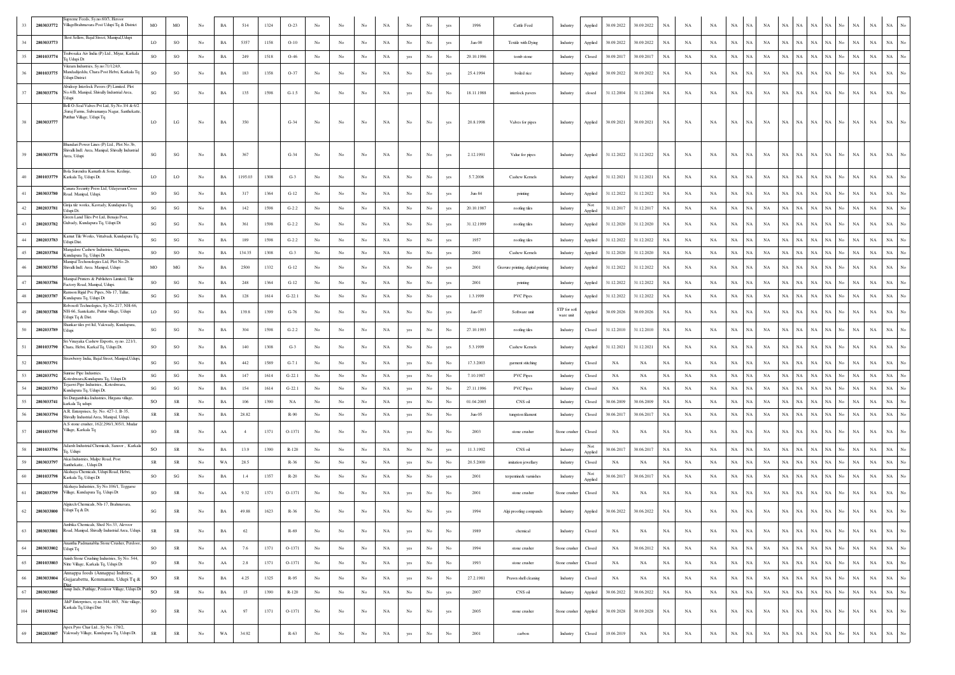|     | 2803033772 | ipreme Feeds, Sv.no.60/3. Heroo<br>VillageBrahmavara Post Udupi Tq & District                             | MO          | MO                     | No | $_{\rm BA}$ | 514     | 1324 | $O-23$      |             |                  |                  | NA          | No               | $_{\rm No}$      | yes              | 1996       | Cattle Feed                        | Industry                  | Applied        | 30.09.2022 | 30.09.2022  | NA          | NA          | NA        | NA                         | NA          | NA          | NA<br>NA                   | NA<br>No                        | NA<br>NA                   |                                 |
|-----|------------|-----------------------------------------------------------------------------------------------------------|-------------|------------------------|----|-------------|---------|------|-------------|-------------|------------------|------------------|-------------|------------------|------------------|------------------|------------|------------------------------------|---------------------------|----------------|------------|-------------|-------------|-------------|-----------|----------------------------|-------------|-------------|----------------------------|---------------------------------|----------------------------|---------------------------------|
| 34  | 2803033773 | Best Sellers, Bajal Street, Manipal, Udupi                                                                | LO          | SO                     | No | BA          | 5357    | 1158 | $O-10$      | No          | No               | No               | $_{\rm NA}$ | $_{\mathrm{No}}$ | No               | yes              | $Jan-00$   | Textile with Dying                 | Industry                  | Applied        | 30.09.2022 | 30.09.2022  | $_{\rm NA}$ | $_{\rm NA}$ | NA        | NA<br>NA                   | NA          | NA          | NA<br>$_{\rm NA}$          | NA<br>No<br>NA                  | $_{\rm NA}$                | $_{\rm NA}$<br>No               |
| 35  | 2801033774 | Fsubosaka Aiv India (P) Ltd., Miyar, Karkak<br>q Udupi Dt                                                 | <b>SO</b>   | $_{\rm SO}$            | No | BA          | 249     | 1518 | $O-46$      | No          | No               | No               | NA          | yes              | $_{\mathrm{No}}$ | No               | 29.10.1996 | tomb stone                         | Industry                  | Closed         | 30.09.2017 | 30.09.2017  | <b>NA</b>   | NA          | NA        | NA<br>NA                   | NA          | NA NA       | $_{\rm NA}$                | NA  <br>No                      | $_{\rm NA}$<br>$_{\rm NA}$ | $_{\rm NA}$                     |
|     | 2801033775 | Vikram Industries, Sy.no:71/12A9,<br>Aandadijeddu, Chara Post Hebri, Karkala Tq<br>Jdupi District         | SO          | SO                     | No | BA          | 183     | 1358 | $O-37$      | No          | No               | No               | NA          | $_{\mathrm{No}}$ | No               | yes              | 25.4.1994  | boiled rice                        | Industry                  | Applied        | 30.09.2022 | 30.09.2022  | $_{\rm NA}$ | $_{\rm NA}$ | NA        | NA<br>NA                   | NA          | NA          | $_{\rm NA}$<br>$_{\rm NA}$ | NA<br>No                        | $_{\rm NA}$<br>$_{\rm NA}$ | $_{\rm NA}$                     |
| 37  | 2803033776 | sbideep Interlock Pavers (P) Limited. Plot<br>Io.4/B, Manipal, Shivally Industrial Area,                  | SG          | SG                     | No | BA          | 135     | 1598 | $G-1.5$     | $_{\rm No}$ | No               | No               | NA          | yes              | No               | No               | 18.11.1988 | interlock pavers                   | Industry                  | closed         | 31.12.2004 | 31.12.2004  | NA          | NA          | NA        | NA<br>NA                   | NA          | <b>NA</b>   | $_{\rm NA}$<br>NA          | NA<br>No                        | NA<br>NA                   | NA                              |
|     |            | Bell-O-Seal Valves Pvt Ltd, Sy.No.3/4 & 6/2<br>Suraj Farms, Subramanya Nagar, Santhekatte                 |             |                        |    |             |         |      |             |             |                  |                  |             |                  |                  |                  |            |                                    |                           |                |            |             |             |             |           |                            |             |             |                            |                                 |                            |                                 |
|     | 2803033777 | Putthur Village, Udupi Tq.                                                                                | LO          | LG                     | No | BA          | 350     |      | $G-34$      | No          | No               | No               | NA          | No               | No               | yes              | 20.8.1998  | Valves for pipes                   | Industry                  | Applied        | 30.09.2021 | 30.09.2021  | NA          | NA          | NA        | NA<br><b>NA</b>            | $_{\rm NA}$ | NA          | $_{\rm NA}$<br>NA          | NA<br>No                        | $_{\rm NA}$<br>$_{\rm NA}$ | NA                              |
|     | 2803033778 | andari Power Lines (P) Ltd., Plot No.3b<br>ivalli Indl. Area, Manipal, Shivally Industrial<br>Area, Udupi | SG          | $_{\rm SG}$            | No | $_{\rm BA}$ | 367     |      | $G-34$      | No          | No               | No               | NA          | $_{\rm No}$      | No               | yes              | 2.12.1991  | Value for pipes                    | Industry                  | Applied        | 31.12.2022 | 31.12.2022  | $_{\rm NA}$ | NA          | NA        | NA<br>NA                   | NA          | $_{\rm NA}$ | $_{\rm NA}$<br>$_{\rm NA}$ | NA<br>No                        | NA<br>$_{\rm NA}$          | NA<br>$_{\rm No}$               |
|     | 2801033779 | Bola Surendra Kamath & Sons, Kedinie<br>Karkala Tq, Udupi Dt.                                             | LO          | LO                     | No | BA          | 1195.03 | 1308 | $G-3$       | No          | No               | No               | NA          | $_{\mathrm{No}}$ | $_{\rm No}$      | yes              | 5.7.2006   | Cashew Kernels                     | Industry                  | Applied        | 31.12.2021 | 31.12.2021  | $_{\rm NA}$ | NA          | NA        | NA<br>NA                   | $_{\rm NA}$ | NA          | NA<br>$_{\rm NA}$          | $_{\rm NA}$<br>No<br>NA         | $_{\rm NA}$                | $_{\rm NA}$                     |
|     | 2803033780 | lanara Security Press Ltd, Udayavani Cross<br>toad. Manipal, Udupi.                                       | SO          | $_{\rm SG}$            | No | $_{\rm BA}$ | 317     | 1364 | $G-12$      | $_{\rm No}$ | No               | No               | NA          | No               | No               | yes              | Jun-84     | printing                           | Industry                  | Applied        | 31.12.2022 | 31.12.2022  | $_{\rm NA}$ | $_{\rm NA}$ | NA        | NA<br>Ń                    | $_{\rm NA}$ | $_{\rm NA}$ | $_{\rm NA}$<br>$_{\rm NA}$ | $_{\rm NA}$<br>No<br>NA         | $_{\rm NA}$                | $_{\rm NA}$                     |
|     | 2802033781 | Girija tile works, Kavrady, Kundapura Tq,<br>Udupi Dt.                                                    | SG          | $_{\rm SG}$            | No | BA          | 142     | 1598 | $G-2.2$     | $_{\rm No}$ | $_{\mathrm{No}}$ | No               | NA          | $_{\mathrm{No}}$ | No               | yes              | 20.10.1987 | roofing tiles                      | Industry                  | Not<br>Applied | 31.12.2017 | 31.12.2017  | NA          | $_{\rm NA}$ | NA        | $_{\rm NA}$<br>Ń           | NA          | NA          | NA<br>$_{\rm NA}$          | NA<br>No                        | NA<br>$_{\rm NA}$          | $_{\rm NA}$                     |
| 43  | 2802033782 | reen Land Tiles Pvt Ltd, Benaju Post,<br>Gulvady, Kundapura Tq, Udupi Dt                                  | SG          | $_{\rm SG}$            | No | BA          | 361     | 1598 | $G-2.2$     | No          | No               | No               | NA          | No               | No               |                  | 31.12.1999 | roofing tiles                      | Industry                  | Applied        | 31.12.2020 | 31.12.2020  | NA          | NA          | <b>NA</b> | NA                         | NA          | NA          | NA<br><b>NA</b>            | <b>NA</b><br>No.                | NA<br>$_{\rm NA}$          | $_{\rm NA}$                     |
|     | 2802033783 | Kamat Tile Works, Vittalvadi, Kundapura Tq,<br>dupi Dist.                                                 | SG          | $_{\rm SG}$            | No | BA          | 189     | 1598 | $G-2.2$     | No          | No               | No               | $_{\rm NA}$ | $_{\mathrm{No}}$ | No               | yes              | 1957       | roofing tiles                      | Industry                  | Applied        | 31.12.2022 | 31.12.2022  | NA          | $_{\rm NA}$ | NA        | NA<br>NA                   | NA          | NA NA       | $_{\rm NA}$                | NA  <br>No                      | NA<br>$_{\rm NA}$          | $_{\rm NA}$                     |
|     | 2802033784 | angalore Cashew Industries, Sidapura,<br>andapura Tq, Udupi Dt                                            | <b>SO</b>   | <sub>SO</sub>          | No | BA          | 134.35  | 1308 | $G-3$       | $_{\rm No}$ | No               | No               | NA          | No               | No               | yes              | 2001       | Cashew Kernels                     | Industry                  | Applied        | 31.12.2020 | 31.12.2020  | NA          | $_{\rm NA}$ | NA        | NA<br>NA                   | NA          | NA NA       | $_{\rm NA}$                | NA  <br>No                      | NA<br>$_{\rm NA}$          | $_{\rm NA}$                     |
|     | 2803033785 | Manipal Techonologies Ltd, Plot No.2b.<br>Shivalli Indl. Area. Manipal, Udupi                             | MO          | $_{\rm MG}$            | No | BA          | 2500    | 1332 | $G-12$      | No          | No               | No               | NA          | No               | No               | yes              | 2001       | Gravure printing, digital printing | Industry                  | Applied        | 31.12.2022 | 31.12.2022  | $_{\rm NA}$ | $_{\rm NA}$ | NA        | NA<br>$_{\rm NA}$          | $_{\rm NA}$ | $_{\rm NA}$ | $_{\rm NA}$<br>$_{\rm NA}$ | NA<br>No<br>NA                  | $_{\rm NA}$                | $_{\rm NA}$                     |
| 47  | 2803033786 | Manipal Printers & Publishers Limited, Tile<br>Factory Road, Manipal, Udupi.                              | SO          | $_{\rm SG}$            | No | $_{\rm BA}$ | 248     | 1364 | $G-12$      | No          | No               | No               | NA          | No               | No               | yes              | 2001       | printing                           | Industry                  | Applied        | 31.12.2022 | 31.12.2022  | NA          | $_{\rm NA}$ | NA        | $_{\rm NA}$<br>Ń           | $_{\rm NA}$ | NA          | NA<br>$_{\rm NA}$          | $_{\rm NA}$<br>No<br>NA         | $_{\rm NA}$                | $_{\rm NA}$                     |
|     | 2802033787 | mson Rigid Pvc Pipes, Nh-17, Tallur,<br>Kundapura Tq, Udupi Dt                                            | SG          | $\mathbf{S}\mathbf{G}$ | No | BA          | 128     | 1614 | $G-22.1$    | $_{\rm No}$ | No               | No               | $_{\rm NA}$ | $_{\rm No}$      | No               | yes              | 1.3.1999   | <b>PVC Pipes</b>                   | Industry                  | Applied        | 31.12.2022 | 31.12.2022  | NA          | $_{\rm NA}$ | NA        | $_{\rm NA}$<br>Ń           | $_{\rm NA}$ | NA          | NA<br>$_{\rm NA}$          | $_{\rm NA}$<br>No<br>NA         | $_{\rm NA}$                | $_{\rm NA}$<br>No               |
|     | 2803033788 | obosoft Technologies, Sy.No.217, NH-66,<br>NH-66, Santekatte, Puttur village, Udupi<br>Jdupi Tq & Dist.   | LO          | $_{\rm SG}$            | No | BA          | 139.8   | 1399 | $G-76$      | No          | No               | No               | NA          | No               | No               |                  | $Jan-07$   | Software unit                      | STP for soft<br>ware unit | Applied        | 30.09.2026 | 30.09.2026  | NA          | NA          | <b>NA</b> | NA<br>N٨                   | NA          | NA          | NA<br>$_{\rm NA}$          | NA<br>No.                       | NA<br>$_{\rm NA}$          | $_{\rm NA}$                     |
|     | 2802033789 | ankar tiles pvt ltd, Vakwady, Kundapura,<br>Jdupi                                                         | SG          | $_{\rm SG}$            | No | $_{\rm BA}$ | 304     | 1598 | $G-2.2$     | $_{\rm No}$ | No               | No               | $_{\rm NA}$ | yes              | No               | No               | 27.10.1993 | roofing tiles                      | Industry                  | Closed         | 31.12.2010 | 31.12.2010  | $_{\rm NA}$ | $_{\rm NA}$ | NA        | NA<br>Ń                    | $_{\rm NA}$ | NA          | $_{\rm NA}$<br>$_{\rm NA}$ | $_{\rm NA}$<br>No<br>NA         | $_{\rm NA}$                | $_{\rm NA}$                     |
|     | 2801033790 | Sri Vinayaka Cashew Exports, sy.no. 221/1,<br>Chara, Hebri, Karkal Tq, Udupi Dt.                          | SO          | SO                     | No | BA          | 140     | 1308 | $G-3$       | No          | No               | No               | NA          | $_{\rm No}$      | No               | yes              | 5.3.1999   | Cashew Kernels                     | Industry                  | Applied        | 31.12.2021 | 31.12.2021  | NA          | NA          | NA        | NA<br>N٨                   | NA          | NA          | NA<br>NA                   | NA.<br>No                       | NA<br>NA                   | NA                              |
| 52  | 2803033791 | Strawberry India, Bajal Street, Manipal, Udupi                                                            | SG          | $\mathbf{S}\mathbf{G}$ | No | $_{\rm BA}$ | 442     | 1589 | $G-7.1$     | No          | No               | No               | NA          | yes              | No               | No               | 17.3.2003  | garment stitching                  | Industry                  | Closed         | NA         | NA          | $_{\rm NA}$ | $_{\rm NA}$ | NA        | NA<br><b>NA</b>            | NA          | $_{\rm NA}$ | NA<br>$_{\rm NA}$          | NA<br>No.<br>NA                 | $_{\rm NA}$                | $_{\rm NA}$                     |
| 53  | 2802033792 | unrise Pipe Industries.<br>oteshwara, Kundapura Tq, Udupi Dt                                              | SG          | SG                     | No | BA          | 147     | 1614 | $G-22.1$    | No          | No               | No               | NA          | yes              | No               | No               | 7.10.1987  | <b>PVC Pipes</b>                   | Industry                  | Closed         | NA         | NA          | NA          | NA          | NA        | NA<br>NA                   | NA          | $\rm NA-NA$ | NA                         | NA No                           | $_{\rm NA}$<br>NA          | $_{\rm NA}$<br>No               |
|     | 2802033793 | jaswi Pipe Industries., Koteshwara,<br>undapura Tq, Udupi Dt.                                             | SG          | $_{\rm SG}$            | No | BA          | 154     | 1614 | $G-22.1$    | $_{\rm No}$ | $_{\rm No}$      | $_{\rm No}$      | NA          | yes              | No               | No               | 27.11.1996 | <b>PVC Pipes</b>                   | Industry                  | Closed         | NA         | NA          | $_{\rm NA}$ | $_{\rm NA}$ | NA        | $_{\rm NA}$                | NA          | NA          | NA<br>$_{\rm NA}$          | NA<br>No.<br>NA                 | NA                         | $_{\rm NA}$                     |
|     | 2803033741 | ri Durgambika Industries, Hirgana village,<br>carkala Tq udupi<br>A.R. Enterprises, Sy. No. 427-1, B-35   | SO          | SR                     | No | BA          | 106     | 1390 | $_{\rm NA}$ | No          | No               | No               | $_{\rm NA}$ | yes              | $_{\rm No}$      | No               | 01.04.2005 | CNS oil                            | Industry                  | Closed         | 30.06.2009 | 30.06.2009  | NA          | $_{\rm NA}$ | NA        | NA<br>N,                   | $_{\rm NA}$ | NA          | NA<br>$_{\rm NA}$          | NA<br>No<br>NA                  | $_{\rm NA}$                | $_{\rm NA}$<br>No               |
|     | 2803033794 | hivally Industrial Area, Manipal, Udupi.<br>A.S stone crusher, 162/,296/1,305/1, Mudar                    | ${\rm SR}$  | ${\sf SR}$             | No | BA          | 28.82   |      | R-90        | $_{\rm No}$ | No               | No               | NA          | yes              | $_{\rm No}$      | No               | $Jun-05$   | tungston filament                  | Industry                  | Closed         | 30.06.2017 | 30.06.2017  | NA          | NA          | NA        | $_{\rm NA}$<br>NA          | $_{\rm NA}$ | NA NA       | $_{\rm NA}$                | NA  <br>$_{\rm No}$             | $_{\rm NA}$<br>$_{\rm NA}$ | $_{\rm NA}$<br>No               |
| 57  | 2801033795 | Village, Karkala Tq                                                                                       | SO          | SR                     | No | AA          |         | 1371 | O-1371      | No          | No               | No               | NA          | yes              | No               | No               | 2003       | stone crusher                      | Stone crusher             | Closed         | NA         | NA          | NA          | NA          | NA        | $_{\rm NA}$<br>NA          | NA          | NA          | <b>NA</b><br>$_{\rm NA}$   | NA.<br>No                       | NA<br>NA                   | NA                              |
|     | 2801033796 | Adarsh Industrial Chemicals, Sanoor, Karkala<br>q, Udupi                                                  | SO          | SR                     | No | BA          | 13.9    | 1390 | $R-120$     | $_{\rm No}$ | No               | No               | $_{\rm NA}$ | $_{\mathrm{No}}$ | $_{\rm No}$      | yes              | 11.3.1992  | CNS oil                            | Industry                  | Not<br>Applied | 30.06.2017 | 30.06.2017  | $_{\rm NA}$ | $_{\rm NA}$ | NA        | NA<br>N,                   | $_{\rm NA}$ | NA          | NA<br>$_{\rm NA}$          | $_{\rm NA}$<br>No<br>NA         | $_{\rm NA}$                | $_{\rm NA}$<br>No               |
|     | 2803033797 | Akai Industries, Malpe Road, Post<br>anthekatte, , Udupi D<br>Akshaya Chemicals, Udupi Road, Hebri,       | SR          | SR                     | No | WA          | 28.5    |      | R-36        | $_{\rm No}$ | No               | No               | NA          | yes              | No               | No               | 20.5.2000  | initation jewellary                | Industry                  | Closed         | NA         | NA          | NA          | NA          | NA        | NA<br>NA                   | $_{\rm NA}$ | NA          | NA<br>$_{\rm NA}$          | NA<br>No<br>NA                  | $_{\rm NA}$                | $_{\rm NA}$<br>No               |
|     | 2801033798 | Karkala Tq, Udupi Dt                                                                                      | SO          | $\mathbf{S}\mathbf{G}$ | No | BA          | 1.4     | 1357 | $R-20$      | No          | No               | No               | $_{\rm NA}$ | $_{\mathrm{No}}$ | $_{\rm No}$      | yes              | 2001       | terpentine& varnishes              | Industry                  | Not<br>Applied | 30.06.2017 | 30.06.2017  | $_{\rm NA}$ | $_{\rm NA}$ | NA        | $_{\rm NA}$                | $_{\rm NA}$ | NA          | NA<br>$_{\rm NA}$          | $_{\rm NA}$<br>No<br>NA         | $_{\rm NA}$                | $_{\rm NA}$<br>No               |
| 61  | 2802033799 | cshaya Industries, Sy No.106/1, Teggarse<br>Village, Kundapura Tq, Udupi Dt                               | <b>SO</b>   | ${\rm SR}$             | No | AA          | 9.32    | 1371 | $O-1371$    | $_{\rm No}$ | No               | No               | NA          | yes              | No               | No               | 2001       | stone crusher                      | Stone crusher             | Closed         | NA         | NA          | $_{\rm NA}$ | NA          | NA        | NA<br>NA                   | $_{\rm NA}$ | $_{\rm NA}$ | $_{\rm NA}$<br>$_{\rm NA}$ | NA<br>No                        | $_{\rm NA}$<br>$_{\rm NA}$ | $_{\rm NA}$<br>No               |
| 62  | 2803033800 | dgitech Chemicals, Nh-17, Brahmavara,<br>Udupi Tq & Dt.                                                   | SG          | SR                     | No | BA          | 49.88   | 1623 | R-36        | No          | No               | No               | NA          | No               | No               | yes              | 1994       | Algi proofing compunds             | Industry                  | Applied        | 30.06.2022 | 30.06.2022  | NA          | NA          | <b>NA</b> | NA<br>NA.                  | $_{\rm NA}$ | NA          | NA<br>$_{\rm NA}$          | NA  <br>No                      | $_{\rm NA}$<br>$_{\rm NA}$ | $_{\rm NA}$                     |
| 63  | 2803033801 | mbika Chemicals, Shed No.33, Alevoor<br>Road, Manipal, Shivally Industrial Area, Udupi.                   | SR          | SR                     | No | BA          | 62      |      | R-69        | No          | No               | No               | $_{\rm NA}$ | yes              | $_{\rm No}$      | No               | 1989       | chemical                           | Industry                  | Closed         | NA         | NA          | $_{\rm NA}$ | $_{\rm NA}$ | NA        | NA<br>NA                   | $_{\rm NA}$ | NA          | NA<br>$_{\rm NA}$          | NA<br>No                        | $_{\rm NA}$<br>$_{\rm NA}$ | NA<br>$_{\mathrm{No}}$          |
| 64  | 2803033802 | Anantha Padmanabha Stone Crusher, Perdoor<br>Udupi Tq                                                     | <b>SO</b>   | ${\sf SR}$             | No | ${\rm AA}$  | 7.6     | 1371 | O-1371      | $_{\rm No}$ | $_{\mathrm{No}}$ | $_{\rm No}$      | $_{\rm NA}$ | yes              | $_{\rm No}$      | $_{\mathrm{No}}$ | 1994       | stone crusher                      | Stone crusher             | Closed         | NA         | 30.06.2012  | $_{\rm NA}$ | $_{\rm NA}$ | NA        | $_{\rm NA}$<br>NA          | NA          | NA          | NA<br>$_{\rm NA}$          | No<br>NA                        | $_{\rm NA}$<br>$_{\rm NA}$ | $_{\mathrm{No}}$<br>$_{\rm NA}$ |
| 65  | 2801033803 | unish Stone Crushing Industries, Sy No. 544,<br>Nitte Village, Karkala Tq, Udupi Dt                       | SO          | ${\sf SR}$             | No | ${\rm AA}$  | $2.8\,$ | 1371 | O-1371      | $_{\rm No}$ | $_{\mathrm{No}}$ | $_{\mathrm{No}}$ | $_{\rm NA}$ | yes              | $_{\mathrm{No}}$ | $_{\mathrm{No}}$ | 1993       | stone crusher                      | Stone crusher             | Closed         | NA         | $_{\rm NA}$ | $_{\rm NA}$ | $_{\rm NA}$ | NA        | $_{\rm NA}$<br>$_{\rm NA}$ | $_{\rm NA}$ | NA          | $_{\rm NA}$<br>$_{\rm NA}$ | $_{\rm NA}$<br>$_{\mathrm{No}}$ | $_{\rm NA}$<br>$_{\rm NA}$ | $_{\rm NA}$<br>$_{\mathrm{No}}$ |
| 66  | 2803033804 | annappa foods (Annappa) Indtries,<br>iujjarabettu, Kemmannu, Udupi Tq &                                   | SO          | SR                     | No | $_{\rm BA}$ | 4.25    | 1325 | R-95        | No          | No               | No               | $_{\rm NA}$ | yes              | $_{\mathrm{No}}$ | No               | 27.2.1981  | Prawn shell cleaning               | Industry                  | Closed         | NA         | NA          | $_{\rm NA}$ | NA          | NA        | $_{\rm NA}$<br><b>NA</b>   | $_{\rm NA}$ | NA          | NA<br>$_{\rm NA}$          | $_{\rm NA}$<br>$_{\rm No}$      | $_{\rm NA}$<br>$_{\rm NA}$ | $_{\rm NA}$<br>$_{\mathrm{No}}$ |
| 67  | 2803033805 | Anup Inds, Putthige, Perdoor Village, Udupi Dr                                                            | SO          | ${\sf SR}$             | No | $_{\rm BA}$ | 15      | 1390 | $R-120$     | $_{\rm No}$ | $_{\mathrm{No}}$ | $_{\rm No}$      | NA          | $_{\rm No}$      | $_{\mathrm{No}}$ | yes              | 2007       | CNS oil                            | Industry                  | Applied        | 30.06.2022 | 30.06.2022  | $_{\rm NA}$ | NA          | NA        | $_{\rm NA}$<br>NA          | NA          | NA          | $_{\rm NA}$<br>$_{\rm NA}$ | $_{\rm No}$<br>NA               | $_{\rm NA}$<br>$_{\rm NA}$ | $_{\rm NA}$<br>$_{\mathrm{No}}$ |
| 104 | 2801033842 | J&P Enterprises, sy.no.544, 465, Nite village,<br>Karkala Tq,Udupi Dist                                   | <b>SO</b>   | ${\rm SR}$             | No | AA          | 97      | 1371 | O-1371      | No          | No               | No               | NA          | No               | $_{\mathrm{No}}$ | yes              | 2005       | stone crusher                      | Stone crusher             | Applied        | 30.09.2028 | 30.09.2028  | $_{\rm NA}$ | NA          | NA        | $_{\rm NA}$<br>NA          | NA          | NA          | $_{\rm NA}$<br>$_{\rm NA}$ | NA<br>No                        | $_{\rm NA}$<br>$_{\rm NA}$ | NA<br>$_{\mathrm{No}}$          |
| 69  | 2802033807 | Apex Pyro Char Ltd., Sy No. 178/2,<br>Vakwady Village, Kundapura Tq, Udupi Dt.                            | $_{\rm SR}$ | ${\sf SR}$             | No | WA          | 34.92   |      | R-63        | No          | No               | $_{\rm No}$      | NA          | yes              | $_{\mathrm{No}}$ | $_{\rm No}$      | 2001       | carbon                             | Industry                  | Closed         | 19.06.2019 | NA          | $_{\rm NA}$ | NA          | NA        | $_{\rm NA}$<br>$_{\rm NA}$ | $_{\rm NA}$ | $_{\rm NA}$ | $_{\rm NA}$<br>$_{\rm NA}$ | $_{\rm NA}$<br>$_{\rm No}$      | $_{\rm NA}$<br>$_{\rm NA}$ | $_{\rm NA}$<br>$_{\mathrm{No}}$ |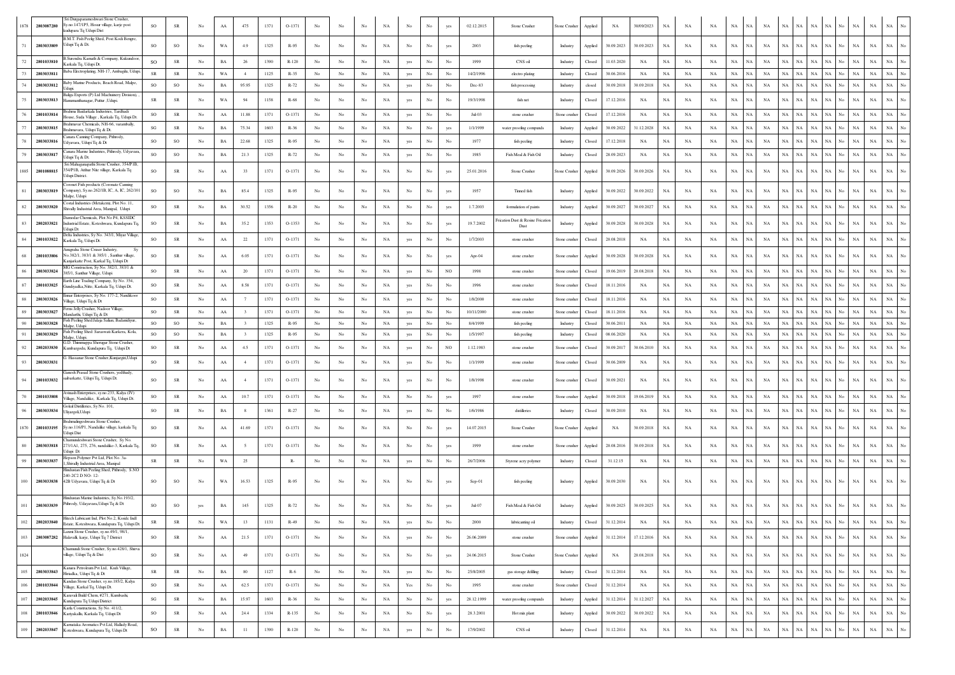| 2803087280<br>1878    | Sri Durgaparameshwari Stone Crusher,<br>y.no.147/1P5, Hosur village, karje post<br>adupara Tq Udupi Dist            | SO                     | ${\sf SR}$  | No               | AA          | 475                     | 1371     | O-1371   |                  |             |                  | NA          | No                   | $_{\rm No}$      | yes              | 02.12.2015 | Stone Crusher                                        | Stone Crusher        | Applied | NA         | 30/09/2023  | NA          | NA          | NA          | NA          | NA<br>NA                   | NA          | $_{\rm NA}$ | NA<br>NA                   | No               | NA          | $_{\rm NA}$ | NA                              |
|-----------------------|---------------------------------------------------------------------------------------------------------------------|------------------------|-------------|------------------|-------------|-------------------------|----------|----------|------------------|-------------|------------------|-------------|----------------------|------------------|------------------|------------|------------------------------------------------------|----------------------|---------|------------|-------------|-------------|-------------|-------------|-------------|----------------------------|-------------|-------------|----------------------------|------------------|-------------|-------------|---------------------------------|
| 2803033809            | 3.M.T. Fish Peelig Shed, Post Kodi Bengre,<br>Udupi Tq & Dt.                                                        | SO                     | SO.         | No.              | WA          | 4.9                     | 1325     | R-95     | No               | No          | No               | NA          | No                   | No               | yes              | 2003       | fish peeling                                         | Industry             | Applied | 30.09.2023 | 30.09.2023  | NA          | NA          | NA          | $_{\rm NA}$ | NA<br>NA.                  | NA          | NA          | $_{\rm NA}$<br>NA          | No               | $_{\rm NA}$ | $_{\rm NA}$ | $_{\rm NA}$<br>$_{\rm No}$      |
| 2801033810            | Surendra Kamath & Company, Kukundoor<br>Karkala Tq, Udupi Dt.                                                       | <sub>SO</sub>          | SR          | No               | BA          | 26                      | 1390     | $R-120$  | No               | No          | No               | NA          | yes                  | No               |                  | 1999       | CNS oil                                              | Industry             | Closed  | 11.03.2020 | NA          | NA          | NA          | NA          | $_{\rm NA}$ | NA<br>NA                   | $_{\rm NA}$ | $_{\rm NA}$ | NA<br>NA                   | No               | NA          | NA          | <b>NA</b>                       |
| 2803033811            | Baba Electroplating, NH-17, Ambagilu, Udupi.                                                                        | ${\sf SR}$             | SR          | No               | WA          | $-4$                    | 1125     | R-35     | No               | No          | No               | NA          | yes                  | $_{\rm No}$      | No               | 14/2/1996  | electro plating                                      | Industry             | Closed  | 30.06.2016 | NA          | NA          | NA          | NA          | NA          | NA<br>NA                   | NA          | NA          | NA                         | NA No            | NA          | NA          | NA<br>No                        |
| 2803033812            | aby Marine Products, Beach Road, Malpe,<br>Iduni                                                                    | <b>SO</b>              | SO          | No               | BA          | 95.95                   | 1325     | R-72     | No               | No          | No               | NA          | yes                  | No               | No               | Dec-83     | fish processing                                      | Industry             | closed  | 30.09.2018 | 30.09.2018  | NA          | NA          | NA          | NA          | $_{\rm NA}$<br>$_{\rm NA}$ | $_{\rm NA}$ | $_{\rm NA}$ | NA<br>NA                   | No               | NA          | NA          | $_{\rm NA}$<br>No               |
| 2803033813            | Baliga Exports (P) Ltd Machuinery Division)<br>Hanumanthanagar, Puttur , Udupi.                                     | <b>SR</b>              | ${\sf SR}$  | No               | WA          | 94                      | 1158     | $R-68$   | No               | No          | No               | NA          | yes                  | No               | No               | 19/3/1998  | fish net                                             | Industry             | Closed  | 17.12.2016 | NA          | NA          | NA          | <b>NA</b>   | $_{\rm NA}$ | <b>NA</b><br>NA            | NA          | NA.         | <b>NA</b><br>NA            | No               | NA          | $_{\rm NA}$ | NA<br>No                        |
| 2801033814            | Brahma Baidarkala Industries, Tardhadi<br>House, Suda Village, Karkala Tq, Udupi Dt.                                | so                     | ${\sf SR}$  | No               | AA          | 11.88                   | 1371     | $O-1371$ | No               | No          | No               | NA          | yes                  | No               | No               | $Jul-03$   | stone crusher                                        | Stone crushe         | Closed  | 17.12.2016 | NA          | NA          | NA          | NA          | $_{\rm NA}$ | NA<br>NA                   | NA          | NA          | <b>NA</b><br>NA            | No               | <b>NA</b>   | <b>NA</b>   | $_{\rm NA}$<br>No               |
| 2803033815            | Brahmavar Chemicals, NH-66, varambally<br>Brahmavara, Udupi Tq & Dt.                                                | SG                     | ${\rm SR}$  | No               | BA          | 75.34                   | 1603     | R-36     | No               | No          | No               | NA          | No                   | No               | yes              | 1/1/1999   | water proofing compunds                              | Industry             | Applied | 30.09.2022 | 31.12.2028  | NA          | NA          | NA          | NA          | NA<br>NA                   | NA          | NA          | NA<br>NA                   | No               | NA          | $_{\rm NA}$ | $_{\rm NA}$<br>No               |
| 2803033816            | anara Canning Company, Pithrody,<br>Udyavara, Udupi Tq & Dt                                                         | <b>SO</b>              | $_{\rm SO}$ | No               | BA          | 22.68                   | 1325     | R-95     | No               | No          | No               | NA          | yes                  | No               | No               | 1977       | fish peeling                                         | Industry             | Closed  | 17.12.2018 | NA          | NA          | NA          | NA          | NA          | NA<br>NA                   | NA          | $_{\rm NA}$ | NA<br>NA                   | No               | NA          | $_{\rm NA}$ | $_{\rm NA}$<br>No               |
| 2803033817            | 'anara Marine Industries, Pithrody, Udyavara<br>Jdupi Tq & Dt.                                                      | SO                     | $_{\rm SO}$ | No               | BA          | 21.3                    | 1325     | R-72     | No               | No          | No               | NA          | yes                  | No               | No               | 1985       | Fish Meal & Fish Oil                                 | Industry             | Closed  | 28.09.2023 | NA          | NA          | NA          | NA          | NA          | NA<br>NA                   | NA          | NA          | NA<br>NA.                  | No               | NA          | $_{\rm NA}$ | $_{\rm NA}$<br>No               |
| 2801088815<br>1885    | Sri Mahaganapathi Stone Crusher, 354/P1B.<br>354/P1B, Atthur Nite village, Karkala Tq<br>Jdupi District.            | <b>SO</b>              | SR          | No               | AA          | 33                      | 1371     | $O-1371$ | No               | No          | No               | NA          | No                   | No               | yes              | 25.01.2016 | Stone Crusher                                        | <b>Stone Crusher</b> | Applied | 30.09.2026 | 30.09.2026  | NA          | NA          | NA          | NA          | NA<br>NA.                  | <b>NA</b>   | NA          | NA<br>NA                   | No               | NA          | $_{\rm NA}$ | NA                              |
| 2803033819            | oronet Fish products (Coronate Canning<br>ompany), Sy.no.262/1B, IC, A, IC, 262/101<br>Malpe, Udupi                 | SO                     | SO          | No               | BA          | 85.4                    | 1325     | R-95     | No               | No          | No               | NA          | No                   | No               | yes              | 1957       | Tinned fish                                          | Industry             | Applied | 30.09.2022 | 30.09.2022  | $_{\rm NA}$ | NA          | NA          | $_{\rm NA}$ | $_{\rm NA}$<br>NA          | $_{\rm NA}$ | NA          | NA<br>NA                   | No               | NA          | NA          | <b>NA</b>                       |
| 82<br>2803033820      | ostal Industries (Metakem), Plot No. 11.<br>Shivally Industrial Area, Manipal, Udupi                                | SO                     | SR          | No               | BA          | 30.52                   | 1356     | $R-20$   | No               | No          | No               | NA          | No                   | No               | yes              | 1.7.2003   | formulation of paints                                | Industry             | Applied | 30.09.2027 | 30.09.2027  | NA          | NA          | NA          | $_{\rm NA}$ | NA<br>NA                   | NA          | $_{\rm NA}$ | NA<br>NA                   | No               | NA          | $_{\rm NA}$ | NA<br>No                        |
| 83<br>2802033821      | Damodar Chemicals, Plot No P4, KSSIDC<br>Industrial Estate, Koteshwara, Kundapura Tq.<br>Udupi Dt                   | SO                     | ${\sf SR}$  | No               | $_{\rm BA}$ | 35.2                    | 1353     | O-1353   | No               | No          | No               | NA          | No                   | No               | yes              | 19.7.2002  | <b>Trication Dust &amp; Resine Frication</b><br>Dust | Industry             | Applied | 30.09.2028 | 30.09.2028  | $_{\rm NA}$ | NA          | NA          | $_{\rm NA}$ | $_{\rm NA}$<br>NA          | $_{\rm NA}$ | NA          | NA<br>NA                   | No               | NA          | NA          | NA                              |
| 2801033822            | Delta Industries, Sy No. 343/1, Miyar Village,<br>Karkala Tq, Udupi Dt.                                             | SO                     | ${\rm SR}$  | No               | AA          | $22\,$                  | 1371     | $O-1371$ | No               | No          | No               | NA          | yes                  | No               | No               | 1/7/2003   | stone crusher                                        | Stone crusher        | Closed  | 20.08.2018 | NA          | $_{\rm NA}$ | NA          | NA          | $_{\rm NA}$ | NA<br>NA                   | $_{\rm NA}$ | $_{\rm NA}$ | NA<br>NA                   | No               | NA          | $_{\rm NA}$ | <b>NA</b>                       |
| 2801033806            | nueraha Stone Cruser Industry<br>No.382/1, 383/1 & 385/1, Santhur village,<br>Kanjarkatte Post, Karkal Tq, Udupi Dt | SO                     | ${\sf SR}$  | No               | AA          | 6.05                    | 1371     | O-1371   | No               | No          | No               | NA          | No                   | No               | yes              | Apr-04     | stone crusher                                        | Stone crusher        | Applied | 30.09.2028 | 30.09.2028  | $_{\rm NA}$ | NA          | $_{\rm NA}$ | $_{\rm NA}$ | $_{\rm NA}$<br>$_{\rm NA}$ | $_{\rm NA}$ | NA          | NA<br>NA                   | No               | NA          | $_{\rm NA}$ | NA                              |
| 2803033824            | MG Construction, Sy No. 382/1, 383/1 &<br>385/1, Santhur Village, Udupi                                             | SO                     | SR          | No               | AA          | 20                      | 1371     | O-1371   | No               | No          | No               | NA          | yes                  | $_{\rm No}$      | $_{\rm NO}$      | 1998       | stone crusher                                        | Stone crusher        | Closed  | 19.06.2019 | 20.08.2018  | $_{\rm NA}$ | NA          | NA          | $_{\rm NA}$ | $_{\rm NA}$<br>NA          | $_{\rm NA}$ | $_{\rm NA}$ | NA<br>NA                   | No               | NA          | NA          | NA<br>No                        |
| 2801033825            | Earth Line Trading Company, Sy No. 354,<br>undiyadka, Nitte, Karkala Tq, Udupi Dt.                                  | <b>SO</b>              | ${\rm SR}$  | No               | AA          | 8.58                    | 1371     | $O-1371$ | No               | No.         | No               | NA          | yes                  | No               | No               | 1996       | stone crusher                                        | Stone crusher        | Closed  | 18.11.2016 | NA          | NA          | NA          | $_{\rm NA}$ | $_{\rm NA}$ | NA<br>NA                   | NA          | $_{\rm NA}$ | NA<br>NA                   | No               | NA          | $_{\rm NA}$ | $_{\rm NA}$<br>No               |
| 2803033826            | nnar Enterprises, Sv No. 177-2. Nandikoo<br>Village, Udupi Tq & Dt                                                  | <b>SO</b>              | SR          | No               | ${\rm AA}$  | 7                       | 1371     | O-1371   | No               | No          | No               | NA          | yes                  | No               | No               | 1/8/2000   | stone crusher                                        | Stone crusher        | Closed  | 18.11.2016 | NA          | NA          | NA          | NA          | $_{\rm NA}$ | <b>NA</b><br>NA            | NA          | NA          | NA<br>NA                   | No               | $_{\rm NA}$ | $_{\rm NA}$ | $_{\rm NA}$<br>No               |
| 2803033827            | ems Jelly Crusher, Nadoor Village<br>fandarthi, Udupi Tq & Dt                                                       | SO                     | SR          | No               | AA          | $\overline{\mathbf{3}}$ | 1371     | O-1371   | No               | No          | No               | NA          | yes                  | $_{\rm No}$      | No               | 10/11/2000 | stone crusher                                        | Stone crusher        | Closed  | 18.11.2016 | NA          | $_{\rm NA}$ | NA          | $_{\rm NA}$ | $_{\rm NA}$ | NA<br>NA                   | $_{\rm NA}$ | NA          | NA<br>NA                   | No               | NA          | NA          | $_{\rm NA}$<br>No               |
| 2803033828            | ish Peeling Shed:Jalaja Salian, Badanidiyur,<br>alpe. Udupi                                                         | <b>SO</b>              | SO          | No               | BA          | $\mathbf{3}$            | 1325     | R-95     | No               | No          | No               | NA          | yes                  | No               | No               | 8/4/1999   | fish peeling                                         | Industry             | Closed  | 30.06.2011 | NA          | NA          | NA          | NA          | NA          | <b>NA</b><br>NA            | NA          | NA          | NA<br>NA.                  | No               | NA          | NA          | $_{\rm NA}$<br>No               |
| 2803033829            | Fish Peeling Shed: Saraswati Karkera, Kola<br>alpe, Udupi                                                           | SO                     | SO          | No               | $_{\rm BA}$ | 3                       | 1325     | R-95     | No               | No          | $_{\rm No}$      | NA          | yes                  | No               | No               | 1/5/1997   | fish peeling                                         | Industry             | Closed  | 08.06.2020 | NA          | $_{\rm NA}$ | NA          | NA          | $_{\rm NA}$ | NA<br>NA                   | NA          | $_{\rm NA}$ | NA<br>NA                   | No               | NA          | NA          | $_{\rm NA}$<br>No               |
| 2802033830            | G.D. Thimmappa Sherugar Stone Crusher<br>Kumbargodu, Kundapura Tq, Udupi Dt                                         | SO                     | ${\sf SR}$  | No               | AA          | 4.5                     | 1371     | O-1371   | No               | No          | No               | NA          | yes                  | No               | $_{\rm NO}$      | 1.12.1983  | stone crusher                                        | Stone crusher        | Closed  | 30.09.2017 | 30.06.2010  | $_{\rm NA}$ | NA          | NA          | $_{\rm NA}$ | $_{\rm NA}$<br>NA          | $_{\rm NA}$ | $_{\rm NA}$ | NA<br>NA                   | No               | NA          | $_{\rm NA}$ | NA<br>No                        |
| 2803033831            | Hassanar Stone Crusher, Kunjargiri, Udup<br>ianesh Prasad Stone Crushers, yedthady                                  | <b>SO</b>              | SR          | No               | ${\rm AA}$  | $\boldsymbol{A}$        | 1371     | O-1371   | No               | No          | No               | NA          | yes                  | No               | No               | 1/1/1999   | stone crusher                                        | Stone crusher        | Closed  | 30.06.2009 | NA          | NA          | NA          | NA          | $_{\rm NA}$ | NA<br><b>NA</b>            | $_{\rm NA}$ | $_{\rm NA}$ | $_{\rm NA}$<br>$_{\rm NA}$ | No               | NA          | $_{\rm NA}$ | $_{\rm NA}$                     |
| 2801033832            | saibarkatte, Udupi Tq, Udupi Dt.                                                                                    | SO                     | ${\sf SR}$  | No               | AA          |                         | 1371     | O-1371   | No               | No          | No               | NA          | yes                  | No               | No               | 1/8/1998   | stone crusher                                        | Stone crusher        | Closed  | 30.09.2021 | NA          | $_{\rm NA}$ | NA          | NA          | $_{\rm NA}$ | NA<br>NA                   | $_{\rm NA}$ | $_{\rm NA}$ | NA<br>NA                   | No               | NA          | $_{\rm NA}$ | <b>NA</b>                       |
| 2801033808            | Avinash Enterprises, sy.no.233, Kalya (IV)<br>Village, Nandalike, Karkala Tq, Udupi Dt.                             | SO                     | SR          | No               | ${\rm AA}$  | 10.7                    | 1371     | O-1371   | No               | No          | $_{\rm No}$      | NA          | $_{\rm No}$          | $_{\rm No}$      | yes              | 1997       | stone crusher                                        | Stone crusher        | Applied | 30.09.2018 | 19.06.2019  | $_{\rm NA}$ | NA          | NA          | $_{\rm NA}$ | NA<br>NA                   | NA          | $_{\rm NA}$ | NA<br>NA                   | No               | NA          | NA          | $_{\rm NA}$<br>No               |
| 2803033834            | Jokul Distilleries, Sy No. 101,<br>Uliyargoli, Udupi                                                                | SO                     | ${\sf SR}$  | No               | $_{\rm BA}$ | 8                       | 1361     | $R - 27$ | No               | No          | No               | NA          | yes                  | No               | No               | 1/6/1986   | distilleries                                         | Industry             | Closed  | 30.09.2010 | NA          | $_{\rm NA}$ | NA          | NA          | $_{\rm NA}$ | $_{\rm NA}$<br>NA          | NA          | $_{\rm NA}$ | NA<br>NA                   | No               | NA          | NA          | $_{\rm NA}$<br>No               |
| 1870<br>2801033195    | Brahmalingeshwara Stone Crusher.<br>Sy.no.116/P1, Nandalike village, karkala Tq<br>Udupi Dist                       | SO                     | ${\sf SR}$  | $_{\mathrm{No}}$ | AA          | 41.69                   | 1371     | O-1371   | No               | No          | No               | NA          | No                   | $_{\rm No}$      | yes              | 14.07.2015 | Stone Crusher                                        | Stone Crushe         | Applied | NA         | 30.09.2018  | $_{\rm NA}$ | NA          | NA          | $_{\rm NA}$ | $_{\rm NA}$<br>NA          | $_{\rm NA}$ | $_{\rm NA}$ | NA<br>NA                   | No               | NA          | NA          | NA<br>No                        |
| 2803033818            | hamundeshwari Stone Crusher, Sy No.<br>273/1A1, 275, 276, nandalike-3, Karkala To<br>Udupi Dt                       | SO                     | ${\sf SR}$  | No               | AA          |                         | 1371     | O-1371   | No               | No          | No               | NA          | No                   | No               | yes              | 1999       | stone crusher                                        | Stone crushe         | Applied | 20.08.2016 | 30.09.2018  | NA          | NA          | NA          | $_{\rm NA}$ | NA.<br>NA                  | NA          | NA.         | NA<br>NA                   | No               | <b>NA</b>   | $_{\rm NA}$ | NA                              |
| 2803033837            | Hepson Polymer Pvt Ltd, Plot No. 3a-<br>Shivally Industrial Area, Manipal                                           | <b>SR</b>              | SR          | No               | WA          | 25                      |          | $R-$     | No               | No          | No               | NA          | yes                  | No               | No               | 26/7/2006  | Styrene acry polymer                                 | Industry             | Closed  | 31.12.15   | NA          | NA          | NA          | NA          | NA          | NA<br>NA                   | NA          | NA          | NA<br>NA                   | No               | NA          | $_{\rm NA}$ | $_{\rm NA}$<br>No               |
| 2803033838<br>100     | Iindustan Fish Peeling Shed, Pithrody, S.NO<br>240-2C2 D NO-12-<br>42B Udyavara, Udupi Tq & Dt                      | <b>SO</b>              | SO          | No               | WA          | 16.53                   | 1325     | R-95     | No               | No          | No               | NA          | No                   | No               | yes              | Sep-01     | fish peeling                                         | Industry             | Applied | 30.09.2030 | NA          | NA          | NA          | NA          | $_{\rm NA}$ | NA<br>NA                   | NA          | $_{\rm NA}$ | NA                         | NA No            | NA          | $_{\rm NA}$ | NA<br>No                        |
| 2803033839            | Hindustan Marine Industries, Sv.No.193/2<br>Pithrody, Udayavara, Udupi Tq & Dt                                      | SO                     | SO          | yes              | BA          | 145                     | 1325     | R-72     | No               | No          | No               | NA          | No                   | No               |                  | $In1-07$   | Fish Meal & Fish Oil                                 | Industry             | Applied | 30.09.2025 | 30.09.2025  | NA          | NA          | <b>NA</b>   | NA          | NA                         | NA          | NA          | NA<br>NA                   | No               | NA          | NA          | NA<br>No                        |
| $102\,$<br>2802033840 | Hitech Lubricant Ind. Plot No.2. Ksside Indl<br>tate, Koteshwara, Kundapura Ta, Udupi                               | $_{\rm SR}$            | ${\rm SR}$  | $_{\mathrm{No}}$ | WA          | 13                      | 1131     | $R-49$   | No               | No          | $_{\mathrm{No}}$ | $_{\rm NA}$ |                      | No               | No               | 2000       | lubricanting oil                                     | Industry             | Closed  | 31.12.2014 | <b>NA</b>   | NA          | <b>NA</b>   | $_{\rm NA}$ | $_{\rm NA}$ | $_{\rm NA}$<br>NA          | NA          | $_{\rm NA}$ | $_{\rm NA}$<br>NA          | No               | NA          | $_{\rm NA}$ | NA                              |
| 103<br>2803087282     | axmi Stone Crusher, sy.no.49/1, 98/1,<br>Halavalli, karje, Udupi Tq 7 District                                      | SO                     | ${\rm SR}$  | No               | ${\rm AA}$  | 21.5                    | 1371     | $O-1371$ | No               | No          | $_{\rm No}$      | NA          | yes                  | $_{\rm No}$      | $_{\rm No}$      | 26.06.2009 | stone crusher                                        | Stone crusher        | Applied | 31.12.2014 | 17.12.2016  | $_{\rm NA}$ | NA          | NA          | $_{\rm NA}$ | $_{\rm NA}$<br>$_{\rm NA}$ | NA          | $_{\rm NA}$ | $_{\rm NA}$<br>NA          | $_{\mathrm{No}}$ | NA          | $_{\rm NA}$ | $_{\rm NA}$<br>$_{\mathrm{No}}$ |
| 1824                  | Thamundi Stone Crusher, Sy.no.428/1, Shirva<br>village, Udupi Tq & Dist                                             | so                     | ${\rm SR}$  | No               | ${\bf AA}$  | 49                      | 1371     | O-1371   | $_{\rm No}$      | No          | $_{\rm No}$      | NA          | $_{\mathrm{No}}$     | $_{\rm No}$      | yes              | 24.06.2015 | Stone Crusher                                        | Stone Crusher        | Applied | NA         | 20.08.2018  | $_{\rm NA}$ | $_{\rm NA}$ | NA          | $_{\rm NA}$ | NA<br>$_{\rm NA}$          | $_{\rm NA}$ | $_{\rm NA}$ | $_{\rm NA}$<br>$_{\rm NA}$ | No               | $_{\rm NA}$ | $_{\rm NA}$ | $_{\rm NA}$<br>$_{\mathrm{No}}$ |
| 105<br>2803033843     | Kanara Petroleum Pvt Ltd. Kudi Village.<br>Hiriadka, Udupi Tq & Dt                                                  | ${\rm SR}$             | ${\rm SR}$  | $_{\rm No}$      | $_{\rm BA}$ | $80\,$                  | $1127\,$ | $R-6$    | $_{\mathrm{No}}$ | No          | $_{\rm No}$      | $_{\rm NA}$ | yes                  | $_{\rm No}$      | $_{\mathrm{No}}$ | 25/8/2005  | gas storage &filling                                 | Industry             | Closed  | 31.12.2014 | $_{\rm NA}$ | $_{\rm NA}$ | $_{\rm NA}$ | $_{\rm NA}$ | $_{\rm NA}$ | NA<br>NA                   | NA          | $_{\rm NA}$ | $_{\rm NA}$<br>NA          | $_{\rm No}$      | $_{\rm NA}$ | $_{\rm NA}$ | $_{\rm NA}$<br>$_{\rm No}$      |
| 106<br>2801033844     | Kandan Stone Crusher, sv.no.185/2, Kalva<br>Village, Karkal Tq, Udupi Dt.                                           | $_{\rm SO}$            | ${\rm SR}$  | $_{\rm No}$      | ${\rm AA}$  | 62.5                    | 1371     | O-1371   | $_{\mathrm{No}}$ | No          | $_{\rm No}$      | $_{\rm NA}$ | $\operatorname{Yes}$ | $_{\mathrm{No}}$ | $_{\mathrm{No}}$ | 1995       | stone crusher                                        | Stone crusher        | Closed  | 31.12.2014 | NA          | $_{\rm NA}$ | $_{\rm NA}$ | $_{\rm NA}$ | $_{\rm NA}$ | NA<br>NA                   | $_{\rm NA}$ | $_{\rm NA}$ | $_{\rm NA}$<br>NA          | No               | $_{\rm NA}$ | $_{\rm NA}$ | $_{\rm NA}$<br>$_{\rm No}$      |
| 107<br>2802033845     | Karavali Build Chem, #271, Kumbashi,<br>Kundapura Tq Udupi District                                                 | $\mathbf{S}\mathbf{G}$ | ${\rm SR}$  | $_{\rm No}$      | $_{\rm BA}$ | 15.97                   | 1603     | $R-36$   | $_{\mathrm{No}}$ | $_{\rm No}$ | $_{\rm No}$      | $_{\rm NA}$ | $_{\mathrm{No}}$     | $_{\mathrm{No}}$ | yes              | 28.12.1999 | water proofing compunds                              | Industry             | Applied | 31.12.2014 | 31.12.2027  | $_{\rm NA}$ | $_{\rm NA}$ | $_{\rm NA}$ | $_{\rm NA}$ | NA<br>NA                   | NA          | $_{\rm NA}$ | $_{\rm NA}$<br>NA          | $_{\mathrm{No}}$ | $_{\rm NA}$ | $_{\rm NA}$ | $_{\rm NA}$<br>$_{\rm No}$      |
| 108<br>2801033846     | Karla Constructions, Sy No. 411/2,<br>Kariyakallu, Karkala Tq, Udupi Dt                                             | SO                     | ${\rm SR}$  | No               | ${\rm AA}$  | 24.4                    | 1334     | R-135    | $_{\rm No}$      | No          | $_{\rm No}$      | NA          | $_{\rm No}$          | $_{\mathrm{No}}$ | yes              | 28.3.2001  | Hot mix plant                                        | Industry             | Applied | 30.09.2022 | 30.09.2022  | $_{\rm NA}$ | NA          | $_{\rm NA}$ | $_{\rm NA}$ | $_{\rm NA}$<br>NA          | $_{\rm NA}$ | $_{\rm NA}$ | $_{\rm NA}$<br>$_{\rm NA}$ | No               | $_{\rm NA}$ | $_{\rm NA}$ | $_{\rm NA}$<br>$_{\rm No}$      |
| 109<br>2802033847     | Karnataka Aromatics Pvt Ltd, Hallady Road,<br>Koteshwara, Kundapura Tq, Udupi Dt                                    | SO                     | ${\rm SR}$  | No               | $_{\rm BA}$ | $11\,$                  | 1390     | $R-120$  | $_{\mathrm{No}}$ | $_{\rm No}$ | $_{\rm No}$      | $_{\rm NA}$ | yes                  | $_{\rm No}$      | $_{\rm No}$      | 17/9/2002  | CNS oil                                              | Industry             | Closed  | 31.12.2014 | $_{\rm NA}$ | $_{\rm NA}$ | $_{\rm NA}$ | $_{\rm NA}$ | $_{\rm NA}$ | $_{\rm NA}$<br>$_{\rm NA}$ | NA          | $_{\rm NA}$ | $_{\rm NA}$<br>$_{\rm NA}$ | $_{\mathrm{No}}$ | $_{\rm NA}$ | $_{\rm NA}$ | $_{\rm NA}$<br>$_{\mathrm{No}}$ |
|                       |                                                                                                                     |                        |             |                  |             |                         |          |          |                  |             |                  |             |                      |                  |                  |            |                                                      |                      |         |            |             |             |             |             |             |                            |             |             |                            |                  |             |             |                                 |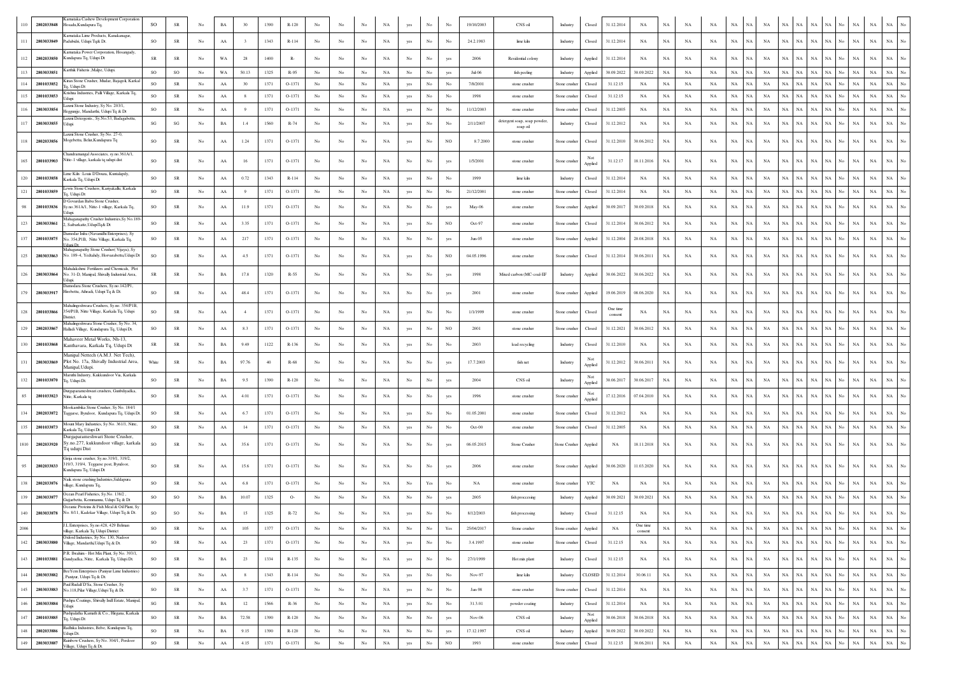| 110  | 2802033848 | rnataka Cashew Development Corporation<br>osadu, Kundapura Tq,                                             | SO                     | ${\rm SR}$  | No               | $_{\rm BA}$ | 30                      | 1390 | R-120   | No               |                  |                  |             |                  | No               |                  | 19/10/2003 | CNS oil                                 | Industry      | Closed         | 31.12.2014          | NA                  | NA          | NA          | NA          | NA          | NA                         | NA          | NA                | NA                       |                   | NA          | NA          | NA                              |
|------|------------|------------------------------------------------------------------------------------------------------------|------------------------|-------------|------------------|-------------|-------------------------|------|---------|------------------|------------------|------------------|-------------|------------------|------------------|------------------|------------|-----------------------------------------|---------------|----------------|---------------------|---------------------|-------------|-------------|-------------|-------------|----------------------------|-------------|-------------------|--------------------------|-------------------|-------------|-------------|---------------------------------|
| 111  | 2803033849 | Karnataka Lime Products, Kanakanagar<br>Padubidri, Udupi Tq& Dt.                                           | so                     | ${\rm SR}$  | No               | AA          | $\overline{\mathbf{3}}$ | 1343 | R-114   | No               | No               | No               | NA          | yes              | No               | No               | 24.2.1983  | lime kiln                               | Industry      | Closed         | 31.12.2014          | NA                  | NA          | NA          | NA          | NA          | NA<br>NA                   | NA          | NA                | $_{\rm NA}$<br>NA        |                   | $_{\rm NA}$ | $_{\rm NA}$ | $_{\rm NA}$<br>No               |
| 112  | 2802033850 | Carnataka Power Corporation, Hosangady.<br>Kundapura Tq, Udupi Dt                                          | SR                     | SR          | No               | WA          | 28                      | 1400 | R-      | No               | No               | No               | NA          | No               | No               | yes              | 2006       | Residential colony                      | Industry      | Applied        | 31.12.2014          | NA                  | NA          | NA          | NA          | $_{\rm NA}$ | <b>NA</b><br>NA            | NA          | NA                | NA<br>NA                 | No                | $_{\rm NA}$ | $_{\rm NA}$ | $_{\rm NA}$                     |
| 113  | 2803033851 | Karthik Fisheris , Malpe, Udupi                                                                            | SO                     | SO          | No               | WA          | 50.13                   | 1325 | R-95    | No               | No               | No               | NA          | No               | No               | yes              | Jul-06     | fish peeling                            | Industry      | Applied        | 30.09.2022          | 30.09.2022          | $_{\rm NA}$ | NA          | NA          | $_{\rm NA}$ | $_{\rm NA}$<br>NA          | NA          | NA                | NA                       |                   | $_{\rm NA}$ | $_{\rm NA}$ | NA                              |
| 114  | 2801033852 | iran Stone Crusher, Mudar, Bajagoli, Karkal<br>q, Udupi Dt                                                 | <sub>SO</sub>          | <b>SR</b>   | No               | AA          | 30                      | 1371 | O-1371  | No               | No               | No               | NA          | yes              | No               | No               | 7/8/2001   | stone crusher                           | Stone crusher | Closed         | 31.12.15            | NA                  | NA          | NA          | NA          | $_{\rm NA}$ | NA<br><b>NA</b>            | NA          | NA                | $_{\rm NA}$<br>NA        | No                | $_{\rm NA}$ | $_{\rm NA}$ | $_{\rm NA}$<br>No               |
|      | 2801033853 | rishna Industries, Palli Village, Karkala Tq,<br>Jdupi                                                     | SO                     | ${\sf SR}$  | No               | AA          | 8                       | 1371 | O-1371  | $_{\mathrm{No}}$ | No               | No               | NA          | yes              | No               | No               | 1998       | stone crusher                           | Stone crusher | Closed         | 31.12.15            | NA                  | $_{\rm NA}$ | NA          | NA          | NA          | $_{\rm NA}$<br>NA          | NA          | $_{\rm NA}$       | NA                       |                   | $_{\rm NA}$ | $_{\rm NA}$ | NA<br>No                        |
| 116  | 2803033854 | axmi Stone Industry, Sv No. 203/1<br>Heggunjje, Mandarthi, Udupi Tq & Dt                                   | $_{\rm SO}$            | SR          | No               | AA          | 9                       | 1371 | O-1371  | No               | No               | No               | NA          | yes              | No               | No               | 11/12/2003 | stone crusher                           | Stone crushe  | Closed         | 31.12.2005          | NA                  | NA          | NA          | NA          | NA          | NA<br>NA                   | NA          | NA                | $_{\rm NA}$<br>NA        | N٥                | $_{\rm NA}$ | $_{\rm NA}$ | $_{\rm NA}$<br>No               |
| 117  | 2803033855 | axmi Detergents., Sy.No.53, Badagabettu,<br>Jdupi                                                          | $\mathbf{S}\mathbf{G}$ | SG          | $_{\rm No}$      | $_{\rm BA}$ | 1.4                     | 1560 | R-74    | $_{\rm No}$      | $_{\rm No}$      | No               | $_{\rm NA}$ | yes              | No               | No               | 2/11/2007  | detergent soap, soap powder<br>soap oil | Industry      | Closed         | 31.12.2012          | NA                  | $_{\rm NA}$ | NA          | NA          | NA          | $_{\rm NA}$<br>NA          | NA          | NA                | $_{\rm NA}$<br>NA        | No.               | $_{\rm NA}$ | $_{\rm NA}$ | NA                              |
| 118  | 2802033856 | axmi Stone Crusher, Sv No. 27-0.<br>Mogebettu, Belur, Kundapura Tq                                         | <sub>SO</sub>          | SR          | No               | AA          | 1.24                    | 1371 | O-1371  | No               | No               | No               | NA          | yes              | No               | NO.              | 8.7.2000   | stone crusher                           | Stone crusher | Closed         | 31.12.2010          | 30.06.2012          | NA          | NA          | NA          | $_{\rm NA}$ | NA<br><b>NA</b>            | NA          | NA                | $_{\rm NA}$<br><b>NA</b> | No                | $_{\rm NA}$ | $_{\rm NA}$ | $_{\rm NA}$<br>No               |
| 165  | 2801033903 | Chandramangal Associates, sy.no.361A/1,<br>Nitte-1 village, karkala tq udupi dist                          | SO                     | $_{\rm SR}$ | $_{\rm No}$      | ${\rm AA}$  | 16                      | 1371 | O-1371  | $_{\rm No}$      | $_{\rm No}$      | No               | NA          | No               | No               | yes              | 1/5/2001   | stone crusher                           | Stone crushe  | Not<br>Applied | 31.12.17            | 18.11.2016          | $_{\rm NA}$ | NA          | NA          | $_{\rm NA}$ | $_{\rm NA}$<br>NA          | NA          | NA                | NA<br>NA                 | No.               | NA          | $_{\rm NA}$ | <b>NA</b>                       |
|      | 2801033858 | Lime Kiln : Louis D'Douza, Kuntalandy<br>Karkala Tq, Udupi Dt                                              | SO                     | ${\rm SR}$  | $_{\mathrm{No}}$ | $\rm AA$    | 0.72                    | 1343 | R-114   | No               | $_{\rm No}$      | No               | $_{\rm NA}$ | yes              | No               | No               | 1999       | lime kiln                               | Industry      | Closed         | 31.12.2014          | NA                  | $_{\rm NA}$ | NA          | NA          | $_{\rm NA}$ | NA<br>NA                   | NA          | NA                | NA                       |                   | $_{\rm NA}$ | $_{\rm NA}$ | $_{\rm NA}$                     |
| 121  | 2801033859 | ewis Stone Crushers, Kariyakallu, Karkala<br>q, Udupi Dt                                                   | SO                     | ${\sf SR}$  | $_{\mathrm{No}}$ | ${\rm AA}$  | 9                       | 1371 | O-1371  | No               | $_{\rm No}$      | No               | $_{\rm NA}$ | yes              | No               | $_{\rm No}$      | 21/12/2001 | stone crusher                           | Stone crusher | Closed         | 31.12.2014          | NA                  | $_{\rm NA}$ | NA          | NA          | $_{\rm NA}$ | NA<br>NA                   | NA          | NA                | NA<br>NA                 |                   | NA          | $_{\rm NA}$ | $_{\rm NA}$                     |
|      | 2801033836 | D Govardan Babu Stone Crusher<br>Sy.no.361A/1, Nitte-1 village, Karkala Tq,<br>Jdupi.                      | SO                     | SR          | No               | $\rm AA$    | 11.9                    | 1371 | O-1371  | $_{\rm No}$      | No               | No               | NA          | No               | No               | yes              | May-06     | stone crusher                           | Stone crushe  | Applied        | 30.09.2017          | 30.09.2018          | $_{\rm NA}$ | NA          | NA          | $_{\rm NA}$ | NA<br>$_{\rm NA}$          | NA          | NA                | $_{\rm NA}$<br>NA        | No                | $_{\rm NA}$ | $_{\rm NA}$ | $_{\rm NA}$                     |
| 123  | 2803033861 | Mahaganapathy Crusher Industries, Sy No.189<br>2, Saibarkatte, UdupiTq& Dt                                 | SO                     | ${\rm SR}$  | No               | AA          | 3.35                    | 1371 | O-1371  | No               | No               | No               | NA          | yes              | No               | N <sub>O</sub>   | Oct-97     | stone crusher                           | Stone crusher | Closed         | 31.12.2014          | 30.06.2012          | NA          | NA          | NA          | NA          | NA<br>NA                   | NA          | NA                | NA<br>NA                 | No.               | NA          | $_{\rm NA}$ | $_{\rm NA}$<br>$\overline{N}$ o |
| 137  | 2801033875 | amodar Infra (Navanidhi Enterprises), Sy<br>Io. 354, PIB, Nitte Village, Karkala Tq,                       | so                     | SR          | No               | AA          | 217                     | 1371 | O-1371  | No               | No               | No               | NA          | No               | No               | yes              | $Jun-05$   | stone crusher                           | Stone crushe  | Applied        | 31.12.2004          | 20.08.2018          | NA          | NA          | NA          | NA          | NA<br>NA                   | NA          | NA                | NA                       |                   | NA          | $_{\rm NA}$ | $_{\rm NA}$                     |
| 125  | 2803033863 | uni Dr<br>Mahaganapathy Stone Crusher(Vijaya), Sy<br>No. 189-4, Yedtahdy, Horvarabettu, Udupi Dt           | SO                     | ${\rm SR}$  | $_{\rm No}$      | ${\rm AA}$  | 4.5                     | 1371 | O-1371  | $_{\mathrm{No}}$ | $_{\rm No}$      | No               | NA          | yes              | No               | $_{\rm NO}$      | 04.05.1996 | stone crusher                           | Stone crusher | Closed         | 31.12.2014          | 30.06.2011          | $_{\rm NA}$ | NA          | NA          | $_{\rm NA}$ | NA<br>NA                   | NA          | NA                | NA<br>NA                 | No.               | $_{\rm NA}$ | $_{\rm NA}$ | <b>NA</b>                       |
| 126  | 2803033864 | Mahalakshmi Fertilizers and Chemicals, Plot<br>Vo. 31-D, Manipal, Shivally Industrial Area,<br>Jdupi       | SR                     | $_{\rm SR}$ | No               | BA          | 17.8                    | 1320 | R-55    | No               | No               | No               | NA          | No               | No               | yes              | 1998       | Mixed carbon (MC-coal-EF                | Industry      | Applied        | 30.06.2022          | 30.06.2022          | NA          | NA          | NA          | NA          | NA<br>NA                   | NA          | NA                | NA                       |                   | NA          | NA          | $_{\rm NA}$                     |
| 179  | 2803033917 | Damodara Stone Crushers, Sy.no.142/P1,<br>Hirebettu, Athradi, Udupi Tq & Dt.                               | SO                     | SR          | No               | AA          | 48.4                    | 1371 | O-1371  | No               | No               | No               | NA          | No               | No               | yes              | 2001       | stone crusher                           | Stone crushe  | Applied        | 19.06.2019          | 08.06.2020          | NA          | NA          | NA          | NA          | NA<br>NA                   | NA          | NA                | $_{\rm NA}$              |                   | $_{\rm NA}$ | NA          | $_{\rm NA}$                     |
| 128  | 2801033866 | Mahalingeshwara Crushers, Sy.no. 354/P1B,<br>354/P1B, Nitte Village, Karkala Tq, Udupi<br>Vistrict.        | SO                     | $_{\rm SR}$ | No               | AA          | $\overline{4}$          | 1371 | O-1371  | No               | No               | No               | NA          | yes              | No               | No               | 1/1/1999   | stone crusher                           | Stone crushe  | Closed         | One time<br>consent | NA                  | NA          | NA          | NA          | NA          | NA<br>NA                   | NA          | NA                | NA<br>NA                 | No.               | NA          | NA          | NA                              |
| 129  | 2802033867 | Mahalingeshwara Stone Crusher, Sy No. 34,<br>Halladi Village, Kundapura Tq, Udupi Dt.                      | <sub>SO</sub>          | SR          | No               | AA          | 8.3                     | 1371 | O-1371  | No               | $_{\rm No}$      | No               | NA          | yes              | No               | $_{\rm NO}$      | 2001       | stone crusher                           | Stone crushe  | Closed         | 31.12.2021          | 30.06.2012          | NA          | NA          | NA          | NA          | NA<br>NA                   | NA          | NA                | NA<br>NΑ                 |                   | $_{\rm NA}$ | $_{\rm NA}$ | $_{\rm NA}$                     |
| 130  | 2801033868 | Mahaveer Metal Works, Nh-13,<br>Kanthavara, Karkala Tq, Udupi Dt                                           | ${\rm SR}$             | ${\rm SR}$  | $_{\mathrm{No}}$ | $_{\rm BA}$ | 9.49                    | 1122 | R-136   | $_{\mathrm{No}}$ | $_{\rm No}$      | No               | $_{\rm NA}$ | yes              | No               | No               | 2003       | lead recycling                          | Industry      | Closed         | 31.12.2010          | NA                  | $_{\rm NA}$ | $_{\rm NA}$ | NA          | $_{\rm NA}$ | $_{\rm NA}$<br>NA          | NA          | NA                | NA<br>NA                 | No.               | $_{\rm NA}$ | $_{\rm NA}$ | $_{\rm NA}$                     |
|      | 2803033869 | Manipal Nettech (A.M.J. Net Tech).<br>Plot No. 17a, Shivally Industrial Area,<br>Manipal, Udupi.           | White                  | $_{\rm SR}$ | $_{\rm No}$      | $_{\rm BA}$ | 97.76                   | 40   | $R-68$  | $_{\rm No}$      | No               | No               | NA          | $_{\rm No}$      | No               | yes              | 17.7.2003  | fish net                                | Industry      | Applied        | 31.12.2012          | 30.06.2011          | $_{\rm NA}$ | NA          | NA          | $_{\rm NA}$ | NA<br>NA                   | $_{\rm NA}$ | NA                | NA                       |                   | NA          | $_{\rm NA}$ | $_{\rm NA}$                     |
| 132  | 2801033870 | Maruthi Industry, Kukkundoor Via, Karkala<br>Fq, Udupi Dt.                                                 | <sub>SO</sub>          | ${\rm SR}$  | No               | BA          | 9.5                     | 1390 | R-120   | No               | $_{\mathrm{No}}$ | No               | NA          | No               | No               |                  | 2004       | CNS oil                                 | Industry      | Applied        | 30.06.2017          | 30.06.2017          | NA          | NA          | NA          | NA          | <b>NA</b><br>NA            | NA          | NA                | NA<br>NA                 | No                | NA          | $_{\rm NA}$ | $_{\rm NA}$                     |
|      | 2801033823 | urgaparameshwari crushers, Gunbdiyadka,<br>Vitte, Karkala tq                                               | SO                     | $_{\rm SR}$ | No               | AA          | 4.01                    | 1371 | O-1371  | $_{\rm No}$      | $_{\rm No}$      | No               | NA          | No               | No               | yes              | 1996       | stone crusher                           | Stone crushe  | Not<br>Applied | 17.12.2016          | 07.04.2010          | $_{\rm NA}$ | NA          | NA          | $_{\rm NA}$ | NA<br>NA                   | $_{\rm NA}$ | NA                | NA                       |                   | $_{\rm NA}$ | $_{\rm NA}$ | $_{\rm NA}$                     |
|      | 2802033872 | Mookambika Stone Crusher, Sy No. 184/1<br>Taggarse, Byndoor, Kundapura Tq, Udupi D                         | SO                     | $_{\rm SR}$ | $_{\mathrm{No}}$ | AA          | 6.7                     | 1371 | O-1371  | $_{\rm No}$      | $_{\rm No}$      | No               | NA          | yes              | No               | No               | 01.05.2001 | stone crusher                           | Stone crushe  | Closed         | 31.12.2012          | NA                  | $_{\rm NA}$ | NA          | NA          | $_{\rm NA}$ | $_{\rm NA}$<br>NA          | <b>NA</b>   | NA                | NA                       |                   | NA          | NA          | NA                              |
| 135  | 2801033873 | Mount Mary Industries, Sy No. 361/1, Nitte.<br>Karkala Tq, Udupi Dt                                        | SO                     | SR          | No               | AA          | 14                      | 1371 | O-1371  | No               | No               | No               | NA          | yes              | $_{\rm No}$      | No               | Oct-00     | stone crusher                           | Stone crusher | Closed         | 31.12.2005          | NA                  | NA          | NA          | NA          | NA          | NA<br>NA                   | NA          | NA                | NA<br>NA                 |                   | NA          | $_{\rm NA}$ | $_{\rm NA}$                     |
| 810  | 2802033920 | Durgaparameshwari Stone Crusher,<br>šy.no.277, kukkundoor village, karkala<br>Tq udupi Dist                | SO                     | SR          | No               | AA          | 35.6                    | 1371 | O-1371  | No               | No               | No               | NA          | No               | No               | yes              | 06.05.2015 | Stone Crusher                           | Stone Crusher | Applied        | NA                  | 18.11.2018          | NA          | NA          | NA          | NA          | NA<br>NA                   | NA          | NA                | NA<br>NA                 | No                | NA          | NA          | NA                              |
|      | 2802033833 | Girija stone crusher, Sy.no.319/1, 319/2,<br>19/3, 319/4, Teggarse post, Byndoor,<br>undapura Tq, Udupi Dt | SO                     | $_{\rm SR}$ | No               | $\rm AA$    | 15.6                    | 1371 | O-1371  | $_{\rm No}$      | No               | No               | NA          | No               | No               | ves              | 2006       | stone crusher                           | Stone crushe  | Applied        | 30.06.2020          | 11.03.2020          | $_{\rm NA}$ | NA          | NA          | $_{\rm NA}$ | NA.<br>NA                  | <b>NA</b>   | NA                | NA<br>NA.                |                   | $_{\rm NA}$ | $_{\rm NA}$ | NA<br>$_{\rm No}$               |
| 138  | 2802033876 | Naik stone crushing Industries, Siddapura<br><i>rillage</i> , Kundapura Tq.                                | so                     | ${\sf SR}$  | No               | AA          | 6.8                     | 1371 | O-1371  | No               | No               | No               | NA          | No               | Yes              |                  | NA         | stone crusher                           | Stone crushe  | YTC            | NA                  | NA                  | NA          | NA          | NA          | NA          | NA<br>NA                   | NA          | NA                | NA                       |                   | NA          | NA          | $_{\rm NA}$                     |
| 139  | 2803033877 | Ocean Pearl Fisheries, Sy.No. 138/2,<br>Jujjarbettu, Kemmannu, Udupi Tq & Dt                               | so                     | $SO$        | No               | BA          | 10.07                   | 1325 | $O-$    | No               | No               | No               | NA          | No               | No               | yes              | 2005       | fish processing                         | Industry      | Applied        | 30.09.2021          | 30.09.2021          | NA          | NA          | NA          | NA          | NA<br>NA                   | NA          | $_{\rm NA}$       | $_{\rm NA}$<br>NA        |                   | $_{\rm NA}$ | $_{\rm NA}$ | $_{\rm NA}$                     |
| 140  |            | Oceanic Proteins & Fish Meal & Oil Plant, Sy<br>2803033878 No. 8/11, Kadekar Village, Udupi Tq & Dt.       | SO                     | SO          | No               | BA          | 15                      | 1325 | R-72    | No               | No               | No               | NA          | yes              | No               |                  | 8/12/2003  | fish processing                         | Industry      | Closed         | 31.12.15            | NA                  | $_{\rm NA}$ | NA          | NA          | $_{\rm NA}$ | NA<br>NA                   | NA          | NA                | NA<br>NA                 | No                | NA          | $_{\rm NA}$ | NA                              |
| 2006 |            | L Enterprises, Sv.no.428, 429 Belman<br>village, Karkala Tq Udupi District                                 | $_{\rm SO}$            | ${\rm SR}$  | $_{\mathrm{No}}$ | AA          | 105                     | 1377 | O-1371  | No               | No               | No               | NA          | No               | $_{\rm No}$      | Yes              | 25/04/2017 | Stone crusher                           | Stone crusher | Applied        | NA                  | One time<br>consent | $_{\rm NA}$ | NA          | NA          | NA          | $_{\rm NA}$<br>NA          |             | $\rm NA-NA$       | $\rm NA-NA$              | $_{\rm No}$       | NA          | NA .        | $_{\rm NA}$<br>$_{\mathrm{No}}$ |
| 142  | 2803033880 | Oxford Industries, Sy No. 130, Nadoor<br>Village, Mandarthi, Udupi Tq & Dt.                                | SO                     | ${\rm SR}$  | $_{\mathrm{No}}$ | ${\rm AA}$  | 23                      | 1371 | O-1371  | $_{\rm No}$      | $_{\mathrm{No}}$ | No               | $_{\rm NA}$ | yes              | $_{\mathrm{No}}$ | $_{\rm No}$      | 3.4.1997   | stone crusher                           | Stone crusher | Closed         | 31.12.15            | NA                  | $_{\rm NA}$ | $_{\rm NA}$ | $_{\rm NA}$ | $_{\rm NA}$ | NA<br>NA                   |             | NA<br>$_{\rm NA}$ | $_{\rm NA}$              | NA<br>No          | $_{\rm NA}$ | $_{\rm NA}$ | $_{\rm NA}$<br>$_{\mathrm{No}}$ |
| 143  | 2801033881 | P.R. Ibrahim - Hot Mix Plant, Sy No. 393/1,<br>Gundyadka, Nitte, Karkala Tq, Udupi Dt.                     | SO                     | ${\sf SR}$  | No               | BA          | 23                      | 1334 | R-135   | No               | No               | No               | NA          | yes              | $_{\mathrm{No}}$ | No               | 27/1/1999  | Hot mix plant                           | Industry      | Closed         | 31.12.15            | NA                  | $_{\rm NA}$ | NA          | NA          | $_{\rm NA}$ | $_{\rm NA}$<br>NA          | $_{\rm NA}$ | $_{\rm NA}$       | $_{\rm NA}$              | NA<br>No          | $_{\rm NA}$ | $_{\rm NA}$ | $_{\rm NA}$<br>$_{\rm No}$      |
| 144  | 2803033882 | BeeYem Enterprises (Paniyur Lime Industries)<br>Paniyur, Udupi Tq & Dt.                                    | so                     | ${\sf SR}$  | $_{\mathrm{No}}$ | ${\bf AA}$  | 8                       | 1343 | R-114   | $_{\mathrm{No}}$ | $_{\mathrm{No}}$ | No               | $_{\rm NA}$ | yes              | $_{\rm No}$      | $_{\mathrm{No}}$ | Nov-97     | lime kiln                               | Industry      | CLOSED         | 31.12.2014          | 30.06.11            | $_{\rm NA}$ | NA          | NA          | $_{\rm NA}$ | $_{\rm NA}$<br>NA          | $_{\rm NA}$ | $_{\rm NA}$       | $_{\rm NA}$              | $_{\rm NA}$<br>No | $_{\rm NA}$ | $_{\rm NA}$ | $_{\rm NA}$<br>$_{\rm No}$      |
| 145  | 2803033883 | Paul Rudalf D'Sa, Stone Crusher, Sy<br>No.118, Pilar Village, Udupi Tq & Dt.                               | SO                     | SR          | $_{\mathrm{No}}$ | ${\rm AA}$  | 3.7                     | 1371 | O-1371  | No               | No               | $_{\mathrm{No}}$ | $_{\rm NA}$ | yes              | $_{\rm No}$      | No               | Jan-98     | stone crusher                           | Stone crusher | Closed         | 31.12.2014          | NA                  | $_{\rm NA}$ | $_{\rm NA}$ | NA          | $_{\rm NA}$ | NA<br>NA                   | NA          | $_{\rm NA}$       | NA<br>$_{\rm NA}$        | No                | $_{\rm NA}$ | $_{\rm NA}$ | $_{\rm NA}$<br>$_{\rm No}$      |
| 146  | 2803033884 | Pushpa Coatings, Shivally Indl Estate, Manipal,<br>Udupi                                                   | $\mathbf{S}\mathbf{G}$ | ${\rm SR}$  | $_{\mathrm{No}}$ | $_{\rm BA}$ | 12                      | 1566 | R-36    | No               | $_{\mathrm{No}}$ | No               | NA          | yes              | $_{\mathrm{No}}$ | $_{\rm No}$      | 31.3.01    | powder coating                          | Industry      | Closed         | 31.12.2014          | NA                  | $_{\rm NA}$ | $_{\rm NA}$ | $_{\rm NA}$ | $_{\rm NA}$ | <b>NA</b><br>NA            |             | NA<br>$_{\rm NA}$ | $_{\rm NA}$<br>NA        | No                | $_{\rm NA}$ | $_{\rm NA}$ | $_{\rm NA}$<br>$_{\mathrm{No}}$ |
| 147  | 2801033885 | Pushpalatha Kamath & Co., Hirgana, Karkala<br>Tq, Udupi Dt                                                 | so                     | ${\rm SR}$  | $_{\mathrm{No}}$ | $_{\rm BA}$ | 72.58                   | 1390 | R-120   | No               | No               | No               | $_{\rm NA}$ | No               | $_{\rm No}$      | yes              | Nov-06     | CNS oil                                 | Industry      | Not<br>Applied | 30.06.2018          | 30.06.2018          | $_{\rm NA}$ | $_{\rm NA}$ | $_{\rm NA}$ | NA          | NA<br>NA                   | NA          | NA                | $_{\rm NA}$<br><b>NA</b> | No                | $_{\rm NA}$ | $_{\rm NA}$ | $_{\rm NA}$<br>$_{\mathrm{No}}$ |
| 148  | 2802033886 | Radhika Industries, Belve, Kundapura Tq,<br>Udupi Dt.                                                      | SO                     | ${\rm SR}$  | $_{\mathrm{No}}$ | $_{\rm BA}$ | 9.15                    | 1390 | $R-120$ | No               | No               | $_{\rm No}$      | $_{\rm NA}$ | $_{\mathrm{No}}$ | $_{\mathrm{No}}$ | yes              | 17.12.1997 | CNS oil                                 | Industry      | Applied        | 30.09.2022          | 30.09.2022          | NA          | NA          | NA          | $_{\rm NA}$ | NA<br>NA                   |             | NA<br>NA          | $_{\rm NA}$<br>NA        | No                | $_{\rm NA}$ | NA          | $_{\rm NA}$<br>$_{\rm No}$      |
| 149  | 2803033887 | Rainbow Crushers, Sy No. 304/1, Perdoor<br>Village, Udupi Tq & Dt.                                         | $\rm SO$               | ${\rm SR}$  | $_{\mathrm{No}}$ | ${\rm AA}$  | 4.15                    | 1371 | O-1371  | $_{\mathrm{No}}$ | $_{\mathrm{No}}$ | $_{\mathrm{No}}$ | $_{\rm NA}$ | yes              | No               | $_{\rm NO}$      | 1993       | stone crusher                           | Stone crushe  | Closed         | 31.12.15            | 30.06.2011          | $_{\rm NA}$ | $_{\rm NA}$ | $_{\rm NA}$ | $_{\rm NA}$ | $_{\rm NA}$<br>$_{\rm NA}$ | $_{\rm NA}$ | $_{\rm NA}$       | NA<br>$_{\rm NA}$        | Ń٥                | $_{\rm NA}$ | $_{\rm NA}$ | $_{\rm NA}$<br>$\overline{N}$   |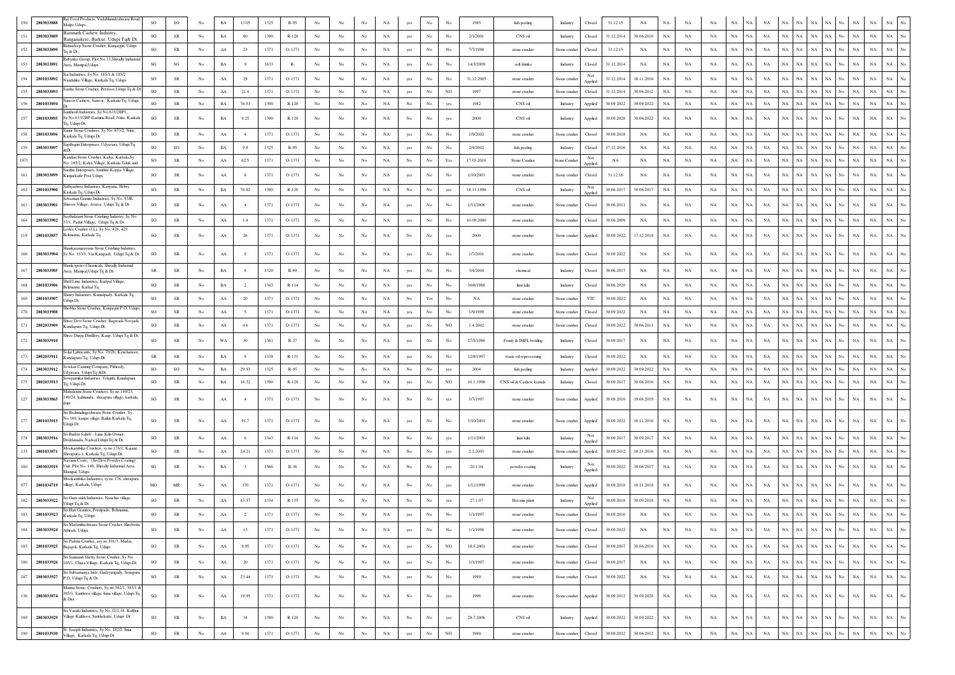| 150 | 2803033888 | taj Food Products, Vadabhandeshwara Road,<br>Malpe, Udupi.                                                  | <sub>SO</sub>          | $_{\rm SO}$                       |                  | $_{\rm BA}$ | 13.05          | 1325 | $R-95$   |                  |                  |             |             |             |                  |             | 1985       | fish peeling               | Industry            | Closed         | 31.12.15   | NA          | NA          |             |             |             |             |             |                            |             |                                           |             |                                                |
|-----|------------|-------------------------------------------------------------------------------------------------------------|------------------------|-----------------------------------|------------------|-------------|----------------|------|----------|------------------|------------------|-------------|-------------|-------------|------------------|-------------|------------|----------------------------|---------------------|----------------|------------|-------------|-------------|-------------|-------------|-------------|-------------|-------------|----------------------------|-------------|-------------------------------------------|-------------|------------------------------------------------|
| 151 | 2803033889 | amnath Cashew Industry,<br>Ranganakere, Barkur, Udupi Tq& Dt.                                               | SO                     | ${\rm SR}$                        | $_{\rm No}$      | BA          | 60             | 1390 | $R-120$  | No               | No               | No          | NA          | yes         | $_{\rm No}$      | No          | 2/1/2001   | CNS oil                    | Industry            | Closed         | 31.12.2014 | 30.06.2010  | NA          | NA          | NA          | $_{\rm NA}$ | NA          | <b>NA</b>   | NA<br>NA                   | $_{\rm NA}$ | NA  <br>No<br>NA                          | $_{\rm NA}$ | $_{\rm NA}$                                    |
| 152 | 2803033890 | tatnadeep Stone Crusher, Kunjargiri, Udupi<br>q & Dt.                                                       | SO                     | SR                                | No               | AA          | 23             | 1371 | O-1371   | No               | No               | No          | NA          | yes         | No               | No          | 7/7/1998   | stone crusher              | Stone crusher       | Closed         | 31.12.15   | NA          | NA          | NA          | NA          | NA          | NA.         | NA          | NA<br>NA                   | $_{\rm NA}$ | NA  <br>No<br>NA                          | $_{\rm NA}$ | NA<br>No                                       |
| 153 | 2803033891 | tubynko Group, Plot No.33, Shivally Industrial<br>Area, Manipal, Udupi.                                     | $\mathbf{S}\mathbf{G}$ | $\mathbf{SG}$                     | $_{\rm No}$      | BA          | $\overline{9}$ | 1633 | $R-$     | $_{\rm No}$      | No               | No          | NA          | yes         | No               | $_{\rm No}$ | 14/3/2009  | soft drinks                | Industry            | Closed         | 31.12.2014 | NA          | $_{\rm NA}$ | NA          | NA          | $_{\rm NA}$ | $_{\rm NA}$ | NA          | NA<br><b>NA</b>            | NA          | NA  <br>No<br>NA                          | $_{\rm NA}$ | $_{\rm NA}$                                    |
| 154 | 2801033892 | Sai Industries, Sv No. 185/1 & 185/2<br>Jandalike Village, Karkala Tq, Udupi                                | SO                     | $_{\rm SR}$                       | $_{\rm No}$      | ${\rm AA}$  | 29             | 1371 | O-1371   | $_{\rm No}$      | No               | No          | NA          | yes         | $_{\rm No}$      | No          | 31.12.2005 | stone crusher              | Stone crushe        | Not<br>Applied | 31.12.2014 | 18.11.2016  | $_{\rm NA}$ | NA          | $_{\rm NA}$ | $_{\rm NA}$ | NA          | NA          | <b>NA</b><br>NA            | NA          | $_{\rm NA}$<br>No<br>NA                   | $_{\rm NA}$ | $_{\rm NA}$                                    |
| 155 | 2803033893 | aisha Stone Crusher, Perdoor, Udupi Tq & Dt                                                                 | SO                     | SR                                | No               | AA          | 21.4           | 1371 | $O-1371$ | No               | No               | No          | NA          | yes         | No               | NO          | 1997       | stone crusher              | Stone crushe        | Closed         | 31.12.2014 | 30.06.2012  | NA          | NA          | NA          | NA          | NA          | NA          | NA<br>NA                   | NA          | NA<br>No<br>NA                            | NA          | NA<br>No                                       |
| 156 | 2801033894 | anoor Cashew, Sanoor, Karkala Tq, Udupi                                                                     | <sub>SO</sub>          | <b>SR</b>                         | No.              | BA          | 76.51          | 1390 | $R-120$  | No               | No               | No          | NA          | No          | No               | yes         | 1982       | CNS oil                    | Industry            | Applied        | 30.09.2022 | 30.09.2022  | <b>NA</b>   | NA          | NA          | <b>NA</b>   | NA.         | NA          | NA<br>NA.                  | NA          | NA  <br>NA<br>No                          | NA          | $_{\rm NA}$<br>No                              |
| 157 | 2801033895 | Santhosh Industries, Sy.No.633/2BP1,<br>Sy.No.633/2BP1Lamina Road, Nitte, Karkala<br>Fq, Udupi Dt.          | <sub>SO</sub>          | $_{\rm SR}$                       | No               | BA          | 9.25           | 1390 | $R-120$  | No               | No               | No          | NA          | No          | No               | yes         | 2000       | CNS oil                    | Industry            | Applied        | 30.09.2028 | 30.06.2022  | $_{\rm NA}$ | NA          | NA          | $_{\rm NA}$ | NA          | NA          | NA<br><b>NA</b>            | $_{\rm NA}$ | NA<br>No<br>NA                            | $_{\rm NA}$ | NA                                             |
| 158 | 2801033896 | anur Stone Crushers, Sy No. 673/2, Nitte,<br>Karkala Tq, Udupi Dt.                                          | SO                     | SR                                | No               | AA          | $\overline{4}$ | 1371 | O-1371   | No               | No               | No          | NA          | yes         | No               | No          | 1/9/2002   | stone crusher              | Stone crusher       | Closed         | 30.09.2018 | NA          | NA          | NA          | NA          | $_{\rm NA}$ | NA.         | NA          | NA<br><b>NA</b>            | $_{\rm NA}$ | NA<br>NA<br>No                            | $_{\rm NA}$ | $_{\rm NA}$<br>$_{\rm No}$                     |
| 159 | 2803033897 | apthagiri Enterprises, Udyavara, Udupi Tq<br>&Dt.                                                           | <sub>SO</sub>          | <sub>SO</sub>                     | No               | BA          | 9.9            | 1325 | R-95     | No               | No               | No          | NA          | yes         | No               | No          | 2/4/2002   | fish peeling               | Industry            | Closed         | 17.12.2016 | NA          | <b>NA</b>   | NA          | NA          | NA          | <b>NA</b>   | NA          | NA<br><b>NA</b>            | NA          | NA<br>NA<br>No                            | $_{\rm NA}$ | $_{\rm NA}$<br>$_{\rm No}$                     |
|     |            | Kandan Stone Crusher, Kalya, Karkala,Sy.<br>Vo. 185/2, Kalya Village, Karkala Taluk and                     | SO                     | ${\rm SR}$                        | $_{\mathrm{No}}$ | AA          | 62.5           | 1371 | O-1371   | $_{\rm No}$      | $_{\rm No}$      | $_{\rm No}$ | NA          | $_{\rm No}$ | No               | Yes         | 17.03.2016 | Stone Crusher              | <b>Stone Crushe</b> | Not<br>Applied | NA         | NA          | $_{\rm NA}$ | NA          | NA          | NA          | NA          | NA          | NA<br>NA                   | NA          | $_{\rm NA}$<br>No<br>$_{\rm NA}$          | NA          | $_{\rm NA}$<br>No                              |
| 161 | 2803033899 | Saritha Enterprises, Santhur Koppa Village<br>Kaniarkatte Post.Udupi                                        | <sub>SO</sub>          | <b>SR</b>                         | No               | AA          | 8              | 1371 | O-1371   | No               | No               | No          | NA          | yes         | No               | No          | 1/10/2003  | stone crusher              | Stone crusher       | Closed         | 31.12.16   | NA          | NA          | NA          | NA          | NA          | NA          | NA          | <b>NA</b><br><b>NA</b>     | $_{\rm NA}$ | NA<br>NA<br>No                            | NA          | NA                                             |
| 162 | 2801033900 | Sathyashree Industries, Kanyana, Hebri,<br>Karkala Tq, Udupi Dt.                                            | <sub>SO</sub>          | ${\rm SR}$                        | $_{\rm No}$      | BA          | 76.82          | 1390 | $R-120$  | No               | No               | $_{\rm No}$ | NA          | $_{\rm No}$ | $_{\rm No}$      | yes         | 18.11.1996 | CNS oil                    | Industry            | Not<br>Applied | 30.06.2017 | 30.06.2017  | NA          | NA          | NA          | $_{\rm NA}$ | NA          | NA          | NA<br>NA                   | NA          | NA  <br>No<br>NA                          | $_{\rm NA}$ | No<br>NA                                       |
| 163 | 2803033901 | ebastian Granite Industries, Sv No. 93/B.<br>hiroor Village, Avarse, Udupi Tq & Dt.                         | SO                     | ${\rm SR}$                        | $_{\rm No}$      | ${\rm AA}$  | $\overline{4}$ | 1371 | O-1371   | $_{\rm No}$      | $_{\rm No}$      | No          | $_{\rm NA}$ | yes         | $_{\rm No}$      | No          | 1/11/2006  | stone crusher              | Stone crusher       | Closed         | 30.06.2011 | NA          | $_{\rm NA}$ | NA          | $_{\rm NA}$ | $_{\rm NA}$ | NA          | NA          | NA<br>NA                   | NA          | $_{\rm NA}$<br>No<br>$_{\rm NA}$          | $_{\rm NA}$ | $_{\rm NA}$                                    |
| 164 | 2803033902 | eethalaxmi Stone Crushing Industry, Sy No<br>7/1, Padur Village, Udupi Tq & Dt.                             | SO                     | ${\rm SR}$                        | $_{\rm No}$      | ${\rm AA}$  | 1.4            | 1371 | O-1371   | No               | No               | No          | NA          | yes         | $_{\rm No}$      | No          | 10.09.2000 | stone crusher              | Stone crusher       | Closed         | 30.06.2009 | $_{\rm NA}$ | $_{\rm NA}$ | $_{\rm NA}$ | NA          | $_{\rm NA}$ | $_{\rm NA}$ | NA          | NA<br>NA                   | $_{\rm NA}$ | NA No<br>$_{\rm NA}$                      | $_{\rm NA}$ | $_{\rm NA}$<br>$\overline{N}$ o                |
| 119 | 2801033857 | eslee Crusher (J.L), Sy No. 428, 429<br>Belmannu, Karkala Tq                                                | <sub>SO</sub>          | $_{\rm SR}$                       | No               | AA          | 26             | 1371 | O-1371   | $_{\rm No}$      | No               | No          | NA          | No          | No               | yes         | 2000       | stone crusher              | Stone crusher       | Applied        | 30.09.2022 | 17.12.2018  | $_{\rm NA}$ | NA          | NA          | NA          | <b>NA</b>   | NA          | NA<br>NA.                  | NA          | $_{\rm NA}$<br>$_{\rm NA}$<br>No          | NA          | <b>NA</b>                                      |
| 166 | 2803033904 | Shankaranarayana Stone Crushing Indutries.<br>Sy No. 193/1, Via Katapadi, Udupi Tq & Dt.                    | SO                     | $_{\rm SR}$                       | No               | ${\rm AA}$  | $\overline{9}$ | 1371 | O-1371   | No               | No               | No          | NA          | yes         | No               | No          | 1/7/2001   | stone crusher              | Stone crusher       | Closed         | 30.09.2022 | NA          | $_{\rm NA}$ | NA          | $_{\rm NA}$ | $_{\rm NA}$ | NA          | NA          | NA<br>NA                   | $_{\rm NA}$ | $_{\rm NA}$<br>NA<br>No                   | $_{\rm NA}$ | NA                                             |
| 167 | 2803033905 | hankopetro Chemicals, Shivally Industrial<br>vrea, Manipal, Udupi Tq & Dt.                                  | SR                     | SR                                | No               | BA          | 8              | 1320 | R-69     | No               | No               | No          | NA          | yes         | No               | No          | 3/4/2004   | chemical                   | Industry            | Closed         | 30.06.2017 | NA          | NA          | NA          | NA          | NA          | NA          | NA          | NA<br>$_{\rm NA}$          | $_{\rm NA}$ | NA<br>NA<br>No                            | NA          | NA<br>No                                       |
| 168 | 2801033906 | Shell Lime Industries, Kudpal Village,<br>kelmannu. Karkal To                                               | <sub>SO</sub>          | ${\sf SR}$                        | $_{\rm No}$      | $_{\rm BA}$ | $\overline{2}$ | 1343 | R-114    | No               | No               | No          | NA          | yes         | $_{\rm No}$      | No          | 30/6/1988  | $\mathop{\text{line}}$ kih | Industry            | Closed         | 30.06.2020 | NA          | $_{\rm NA}$ | NA          | $_{\rm NA}$ | $_{\rm NA}$ | NA          | NA          | NA<br>NA                   | NA          | NA No<br>NA                               | <b>NA</b>   | $_{\rm NA}$<br>No                              |
|     | 2801033907 | hiney Industries, Kuntalpady, Karkala Tq,<br>Jdupi Dt.                                                      | <sub>SO</sub>          | ${\sf SR}$                        | No               | $\rm AA$    | 20             | 1371 | O-1371   | No               | No               | No          | NA          | $_{\rm No}$ | Yes              | No          | NA         | stone crusher              | Stone crushe        | YTC            | 30.09.2022 | NA          | $_{\rm NA}$ | NA          | <b>NA</b>   | <b>NA</b>   | NA          | NA          | NA<br><b>NA</b>            | $_{\rm NA}$ | NA  <br>No<br>NA                          | <b>NA</b>   | $_{\rm NA}$<br>No                              |
| 170 | 2803033908 | Shobha Stone Crusher, Kunjargiri P.O, Udupi                                                                 | SO                     | ${\rm SR}$                        | $_{\rm No}$      | $\rm AA$    | 5              | 1371 | O-1371   | $_{\mathrm{No}}$ | No               | No          | NA          | yes         | $_{\rm No}$      | No          | 1/9/1999   | stone crusher              | Stone crusher       | Closed         | 30.09.2022 | NA          | NA          | NA          | $_{\rm NA}$ | $_{\rm NA}$ | $_{\rm NA}$ | NA          | NA<br>NA                   | NA          | NA  <br>No<br>NA                          | $_{\rm NA}$ | $_{\rm No}$<br>NA                              |
| 171 | 2802033909 | hree Devi Stone Crusher, Bagwadi-Noojadi,<br>Kundapura Tq, Udupi Dt.                                        | SO                     | SR                                | No               | AA          | 4.6            | 1371 | O-1371   | No               | No               | No          | NA          | yes         | $_{\rm No}$      | NO          | 1.4.2002   | stone crusher              | Stone crusher       | Closed         | 30.09.2022 | 30.06.2011  | NA          | NA          | NA          | NA          | <b>NA</b>   | NA          | NA<br>NA                   | $_{\rm NA}$ | NA  <br>$_{\rm NA}$<br>No                 | $_{\rm NA}$ | $_{\rm NA}$<br>$_{\rm No}$                     |
| 172 | 2803033910 | Shree Durga Distillery, Kaup, Udupi Tq & Dt.                                                                | SO                     | ${\rm SR}$                        | $_{\rm No}$      | WA          | 30             | 1361 | $R-27$   | $_{\mathrm{No}}$ | No               | No          | $_{\rm NA}$ | yes         | $_{\rm No}$      | No          | 27/5/1986  | Fenny & IMFL bottling      | Industry            | Closed         | 30.09.2017 | $_{\rm NA}$ | $_{\rm NA}$ | NA          | $_{\rm NA}$ | $_{\rm NA}$ | NA          | NA          | NA<br>$_{\rm NA}$          | $_{\rm NA}$ | $_{\rm NA}$<br>$_{\rm No}$<br>$_{\rm NA}$ | $_{\rm NA}$ | $_{\rm NA}$                                    |
| 173 | 2802033911 | Solar Lubricants, Sy No. 70/2b, Kenchanoo<br>Cundapura Tq, Udupi Dt.                                        | SR                     | $_{\rm SR}$                       | $_{\rm No}$      | BA          | $\overline{9}$ | 1339 | R-131    | No               | No               | No          | NA          | yes         | No               | $_{\rm No}$ | 22/8/1997  | waste oil reprocessing     | Industry            | Closed         | 30.09.2022 | NA          | $_{\rm NA}$ | NA          | NA          | $_{\rm NA}$ | NA          | NA          | NA<br><b>NA</b>            | $_{\rm NA}$ | NA<br>No<br>NA                            | $_{\rm NA}$ | $_{\rm NA}$                                    |
| 174 | 2803033912 | wkar Canning Company, Pithrody,<br>Jdyavara, Udupi Tq &Dt.                                                  | SO                     | SO                                | $_{\rm No}$      | BA          | 29.93          | 1325 | R-95     | $_{\mathrm{No}}$ | No               | No          | $_{\rm NA}$ | $_{\rm No}$ | $_{\rm No}$      | yes         | 2004       | fish peeling               | Industry            | Applied        | 30.09.2022 | 30.09.2022  | NA          | NA          | NA          | $_{\rm NA}$ | $_{\rm NA}$ | NA          | NA<br>$_{\rm NA}$          | NA          | NA  <br>No<br>NA                          | $_{\rm NA}$ | $_{\rm NA}$<br>No                              |
| 175 | 2802033913 | wpamika Industries, Yelajith, Kundapura<br>iq, Udupi Dt.                                                    | SO                     | ${\rm SR}$                        | $_{\mathrm{No}}$ | $_{\rm BA}$ | 16.32          | 1390 | R-120    | No               | No               | No          | NA          | yes         | $_{\rm No}$      | $_{\rm NO}$ | 10.1.1998  | CNS oil & Cashew kernals   | Industry            | Closed         | 30.09.2017 | 30.06.2016  | NA          | NA          | NA          | NA          | NA          | NA          | NA<br>NA.                  | NA          | NA<br>No<br>NA                            | $_{\rm NA}$ | $_{\rm NA}$                                    |
| 127 | 2803033865 | Mahalaxmi Stone Crushers, Sy.no.149/23,<br>149/24, kalmunda, shivapura village, karkala                     | <sub>SO</sub>          | SR                                | No.              | AA          | $\frac{4}{3}$  | 1371 | $O-1371$ | No               | No               | No          | NA          | No          | No               | yes         | 5/7/1997   | stone crusher              | Stone crusher       | Applied        | 30.09.2010 | 19.06.2019  | NA          | NA          | NA          | $_{\rm NA}$ | NA 1        | NA          | NA<br>$_{\rm NA}$          | $_{\rm NA}$ | $_{\rm NA}$<br>NA  <br>No                 | $_{\rm NA}$ | $_{\rm NA}$                                    |
|     |            | iri Brahmalingeshwara Stone Crusher, Sy<br>No.169, kanjar vilage, Bailur, Karkala Tq,                       |                        |                                   |                  |             |                |      |          |                  |                  |             |             |             |                  |             |            |                            |                     |                |            |             |             |             |             |             |             |             |                            |             |                                           |             |                                                |
| 177 | 2801033915 | Jdupi Dt.                                                                                                   | SO                     | ${\rm SR}$                        | $_{\rm No}$      | AA          | 91.7           | 1371 | O-1371   | No               | No               | No          | NA          | yes         | $_{\rm No}$      | No          | 1/10/2001  | stone crusher              | Stone crusher       | Applied        | 30.09.2022 | 18.11.2016  | $_{\rm NA}$ | NA          | NA          | NA          | NA          | NA          | NA<br>$_{\rm NA}$          | NA          | NA<br>$_{\rm No}$<br>NA                   | $_{\rm NA}$ | NA                                             |
| 178 | 2803033916 | Sri Budon Saheb - Lime Kiln Owner,<br>Doddanadu, Nadsal,Udupi Tq & Dt                                       | SO                     | $_{\rm SR}$                       | $_{\rm No}$      | ${\rm AA}$  | 6              | 1343 | R-114    | $_{\mathrm{No}}$ | $_{\rm No}$      | No          | NA          | $_{\rm No}$ | No               | yes         | 1/11/2001  | lime kiln                  | Industry            | Not<br>Applied | 30.09.2017 | 30.09.2017  | NA          | NA          | NA          | $_{\rm NA}$ | NA          | NA          | NA<br>NA                   | NA          | NA<br>No<br>NA                            | $_{\rm NA}$ | $_{\rm NA}$                                    |
| 133 | 2801033871 | Mookambika Crushers, sy.no.176/1, Kajane,<br>Shivapura-1, Karkala Tq, Udupi Dt.                             | <sub>SO</sub>          | ${\rm SR}$                        | $_{\rm No}$      | AA          | 24.21          | 1371 | O-1371   | No               | No               | $_{\rm No}$ | NA          | $_{\rm No}$ | $_{\rm No}$      | yes         | 2.2.2003   | stone crusher              | Stone crushe        | Applied        | 30.09.2012 | 18.11.2016  | NA          | NA          | NA          | NA          | NA          | NA          | NA<br>$_{\rm NA}$          | $_{\rm NA}$ | $NA$ No<br>$_{\rm NA}$                    | $_{\rm NA}$ | $_{\rm NA}$                                    |
| 180 | 2803033919 | Javami Coats. (Sri Devi Powder Coating)<br>Unit, Plot No. 14b, Shivally Industrial Area,<br>Manipal, Udupi. | SG                     | $_{\rm SR}$                       | $_{\mathrm{No}}$ | $_{\rm BA}$ |                | 1566 | R-36     | No               | No               | No          | NA          | $_{\rm No}$ | No               | yes         | 20.1.04    | powder coating             | Industry            | Not<br>Applied | 30.09.2022 | 30.06.2017  | NA          | NA          | NA          | $_{\rm NA}$ | NA          | NA          | NA<br>NA.                  | NA          | NA<br>No<br>NA                            | NA          | <b>NA</b>                                      |
| 977 | 2801034719 | Mookambika Industries, sy.no 176, shivapura<br>village, Karkala, Udupi                                      | MO                     | $\ensuremath{\mathsf{MR}}\xspace$ | No               | AA          | 170            | 1371 | O-1371   | No               | No               | No          | NA          | No          | No               | yes         | 1/11/1999  | stone crusher              | Stone crusher       | Applied        | 30.09.2018 | 18.11.2018  | $_{\rm NA}$ | NA          | NA          | $_{\rm NA}$ | NA          | NA          | NA<br>NА                   | NA          | NA<br>NA<br>No                            | $_{\rm NA}$ | $_{\rm NA}$                                    |
| 182 | 2803033922 | Sri Guru siddi Industries, Nanchar village.<br>Jdupi Tq & Dt.                                               | SO                     | ${\rm SR}$                        | No               | AA          | 43.57          | 1334 | R-135    | No               | No               | No          | NA          | No          | $_{\rm No}$      | yes         | 27.1.07    | Hot mix plant              | Industry            | Not<br>Applied | 30.09.2018 | 30.09.2018  | NA          | NA          | NA          | $_{\rm NA}$ | NA          | NA          | NA<br>NA                   | NA          | $_{\rm NA}$<br>No<br>NA                   | $_{\rm NA}$ | $_{\rm NA}$<br>No                              |
| 183 | 2801033923 | Sri Hari Granites, Peralpade, Belmannu,<br>Karkala Tq, Udupi                                                | SO                     | ${\rm SR}$                        | $_{\rm No}$      | ${\rm AA}$  | $\overline{2}$ | 1371 | O-1371   | $_{\rm No}$      | No               | No          | NA          | yes         | $_{\rm No}$      | No          | 1/1/1997   | stone crusher              | Stone crushe        | Closed         | 30.09.2010 | NA          | $_{\rm NA}$ | NA          | $_{\rm NA}$ | $_{\rm NA}$ | NA          | NA          | <b>NA</b><br>ŃA            | NA          | NA<br>No<br>NA                            | NA          | NA                                             |
| 184 | 2803033924 | Athradi, Udupi.                                                                                             | SO                     | ${\rm SR}$                        | $_{\rm No}$      | ${\rm AA}$  | 13             | 1371 | O-1371   | $_{\rm No}$      | $_{\rm No}$      | $_{\rm No}$ | NA          | yes         | $_{\mathrm{No}}$ | No          | 1/1/1998   | stone crusher              | Stone crusher       | Closed         | 30.09.2022 | NA          | $_{\rm NA}$ | NA          | $_{\rm NA}$ | $_{\rm NA}$ | NA          | $_{\rm NA}$ | $_{\rm NA}$<br>$_{\rm NA}$ | $_{\rm NA}$ | $\rm NA-\rm No$<br>$_{\rm NA}$            | $_{\rm NA}$ | NA<br>$_{\mathrm{No}}$                         |
| 185 | 2801033925 | Sri Padma Crusher, asy.no.501/3, Mudar,<br>Bajagoli, Karkala Tq, Udupi                                      | <sub>SO</sub>          | SR                                | No               | ${\rm AA}$  | 9.95           | 1371 | O-1371   | No               | No               | No          | $_{\rm NA}$ | yes         | $_{\rm No}$      | NO          | 18.5.2001  | stone crusher              | Stone crusher       | Closed         | 30.09.2007 | 30.06.2010  | $_{\rm NA}$ | $_{\rm NA}$ | $_{\rm NA}$ | $_{\rm NA}$ | NA.         | NA          | NA<br>NA                   | $_{\rm NA}$ | NA  <br>No<br>$_{\rm NA}$                 | $_{\rm NA}$ | $_{\rm NA}$<br>$_{\mathrm{No}}$                |
| 186 | 2801033926 | Sri Sannaiah Shetty Stone Crusher, Sy No.<br>105/1, Chara Village, Karkala Tq, Udupi Dt.                    | SO                     | SR                                | $_{\mathrm{No}}$ | ${\rm AA}$  | $20\,$         | 1371 | O-1371   | $_{\rm No}$      | No               | $_{\rm No}$ | $_{\rm NA}$ | yes         | $_{\rm No}$      | No          | 1/1/1997   | stone crusher              | Stone crusher       | Closed         | 30.09.2017 | $_{\rm NA}$ | $_{\rm NA}$ | $_{\rm NA}$ | NA          | $_{\rm NA}$ | NA          | NA          | NA<br>$_{\rm NA}$          | $_{\rm NA}$ | $_{\mathrm{No}}$<br>$_{\rm NA}$<br>NA     | NA          | $_{\rm NA}$<br>$_{\mathrm{No}}$                |
| 187 |            | Sri Subramanya Inds, Gudeyangady, Senapura<br>2803033927 P.O., Udupi Tq & Dt.                               | SO                     | SR                                | $_{\mathrm{No}}$ | ${\rm AA}$  | 23.44          | 1371 | O-1371   | $_{\rm No}$      | $_{\mathrm{No}}$ | No          | $_{\rm NA}$ | yes         | $_{\rm No}$      | No          | 1989       | stone crusher              | Stone crusher       | Closed         | 30.09.2022 | $_{\rm NA}$ | $_{\rm NA}$ | $_{\rm NA}$ | NA          | $_{\rm NA}$ | NA          | NA          | NA<br>NA                   | $_{\rm NA}$ | NA  <br>No<br>$_{\rm NA}$                 | NA          | NA<br>$_{\mathrm{No}}$                         |
| 136 | 2803033874 | Munna Stone Crushers, Sy.no.382/1, 383/1 &<br>385/1, Santhoor village, Inna village, Udupi Tq<br>& Dist     | <sub>SO</sub>          | $_{\rm SR}$                       | $_{\mathrm{No}}$ | ${\rm AA}$  | 19.95          | 1371 | O-1371   | No               | No               | No          | NA          | No          | No               | yes         | 1996       | stone crusher              | Stone crusher       | Applied        | 30.09.2012 | 30.09.2028  | NA          | NA          | NA          | $_{\rm NA}$ | NA          | NA          | NA<br>$_{\rm NA}$          | $_{\rm NA}$ | $_{\rm NA}$<br>NA<br>No                   | $_{\rm NA}$ | $_{\rm NA}$<br>$_{\mathrm{No}}$                |
|     |            | Sri Vasuki Industries, Sy.No.32/1,38, Kalthur                                                               |                        |                                   |                  |             |                |      |          |                  |                  |             |             |             |                  |             |            |                            |                     |                |            |             |             |             |             |             |             |             |                            |             |                                           |             |                                                |
| 189 | 2803033929 | Village Kalthoor, Santhekatte, Udupi Dt.<br>St. Joseph Industries, Sy No. 182/2. Inna                       | <sub>SO</sub>          | ${\rm SR}$                        | No               | BA          | 34             | 1390 | $R-120$  | $_{\rm No}$      | $_{\mathrm{No}}$ | No          | NA          | No          | $_{\rm No}$      | yes         | 28.7.2006  | CNS oil                    | Industry            | Applied        | 30.09.2022 | 30.09.2022  | NA          | $_{\rm NA}$ | NA          | $_{\rm NA}$ | NA 1        | NA          | $_{\rm NA}$<br>NA          | $_{\rm NA}$ | $_{\rm NA}$<br>NA No<br>No                | $_{\rm NA}$ | $_{\rm NA}$<br>$_{\mathrm{No}}$<br>$_{\rm No}$ |
| 190 | 2801033930 | Village, Karkala Tq, Udupi Dt.                                                                              | $_{\rm SO}$            | ${\rm SR}$                        | $_{\mathrm{No}}$ | ${\rm AA}$  | 9.94           | 1371 | O-1371   | No               | No               | No          | $_{\rm NA}$ | yes         | $_{\rm No}$      | $_{\rm NO}$ | 1980       | stone crusher              | Stone crusher       | Closed         | 30.09.2022 | 30.06.2012  | NA          | $_{\rm NA}$ | $_{\rm NA}$ | NA          | NA          | NA          | <b>NA</b><br>NA            | NA          | NA<br>NA                                  | NA          | $_{\rm NA}$                                    |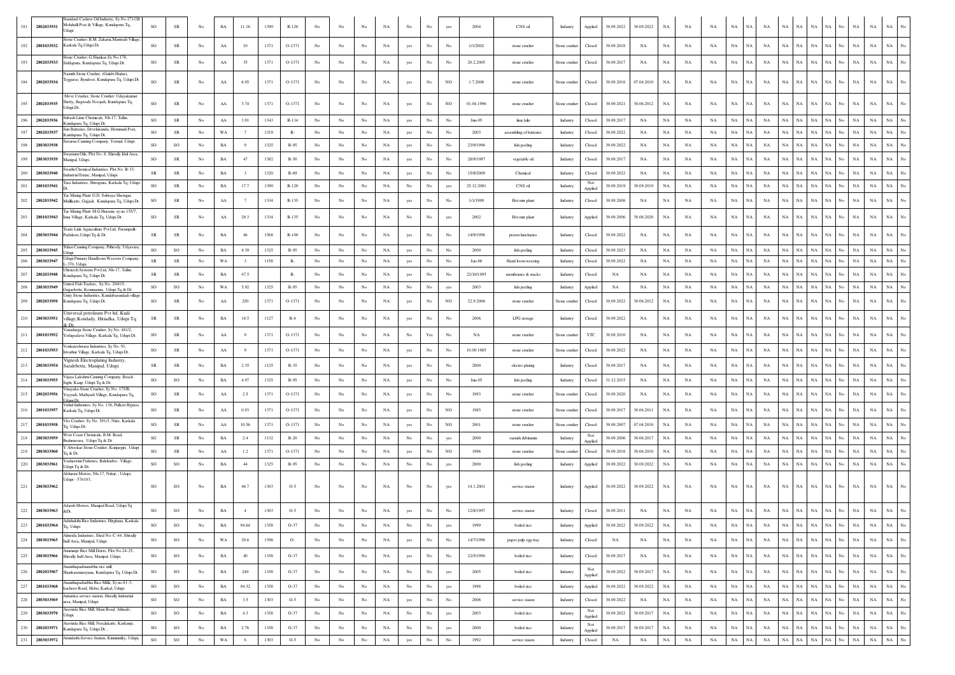| 191     | 2802033931     | indard Cashew Oil Industry, Sy.No.271/2B<br>Iolahalli Post & Village, Kundapura Tq,<br>lupi                              | <b>SO</b>  | SR          | No          | BA          | 11.16                     | 1390 | $R-120$  |             |             |             | NA          | No               |                                                                                       |             | 2004       | CNS oil                 | Industry      | Applied           | 30.09.2022  | 30.09.2022  | NA          | NA          | NA          | NA          | NA<br>NA                 | NA          | NA          | $_{\rm NA}$<br><b>NA</b>   | No                 | NA          | NA          | NA                              |
|---------|----------------|--------------------------------------------------------------------------------------------------------------------------|------------|-------------|-------------|-------------|---------------------------|------|----------|-------------|-------------|-------------|-------------|------------------|---------------------------------------------------------------------------------------|-------------|------------|-------------------------|---------------|-------------------|-------------|-------------|-------------|-------------|-------------|-------------|--------------------------|-------------|-------------|----------------------------|--------------------|-------------|-------------|---------------------------------|
| 192     | 2801033932     | one Crusher: B.M. Zakaria, Mantradi Villags<br>Karkala Tq, Udupi Dt.                                                     | <b>SO</b>  | SR          | No          | AA          | 10                        | 1371 | $O-1371$ | No          | No          | No          | NA          | yes              | No                                                                                    | No          | 1/1/2002   | stone crusher           | Stone crusher | Closed            | 30.09.2018  | NA          | <b>NA</b>   | NA          | NA          | NA          | NA<br>NA                 | NA          | NA          | $_{\rm NA}$<br>NA          | No.                | NA          | $_{\rm NA}$ | $_{\rm NA}$<br>No               |
| 193     | 2802033933     | Stone Crusher: G.Shankar.Sv No.178.<br>Siddapura, Kundapura Tq, Udupi Dt.                                                | SO         | ${\rm SR}$  | No          | ${\rm AA}$  | 35                        | 1371 | $O-1371$ | No          | No          | No          | NA          | yes              | No                                                                                    | No          | 20.2.2005  | stone crusher           | Stone crusher | Closed            | 30.09.2017  | NA          | NA          | NA          | NA          | NA          | <b>NA</b><br>NA          | $_{\rm NA}$ | NA          | $_{\rm NA}$<br>NA          | No                 | NA          | NA          |                                 |
| 194     | 2802033934     | Jamith Stone Crusher, (Gulabi Hudar),<br>Teggarse, Byndoor, Kundapura Tq, Udupi Dt                                       | SO         | ${\sf SR}$  | No          | AA          | 6.95                      | 1371 | O-1371   | No          | No          | No          | NA          | yes              | No                                                                                    | NO          | 1.7.2000   | stone crusher           | Stone crusher | Closed            | 30.09.2018  | 07.04.2010  | NA          | NA          | NA          | $_{\rm NA}$ | NA<br>NA                 | NA          | $_{\rm NA}$ | $_{\rm NA}$<br>NA          | No                 | NA          | $_{\rm NA}$ | $_{\rm NA}$                     |
| 195     | 2802033935     | Move Crusher, Stone Crusher: Udayakuma<br>hetty, Bagwadi-Noojadi, Kundapura Tq,                                          | <b>SO</b>  | SR          | No          | ${\rm AA}$  | 3.74                      | 1371 | O-1371   | No          | No          | No          | NA          | yes              | No                                                                                    | NO          | 01.04.1996 | stone crusher           | Stone crusher | Closed            | 30.09.2021  | 30.06.2012  | NA          | NA          | NA          | NA          | NA  <br>NA               | NA          | NA          | $_{\rm NA}$<br>NA          | No                 | NA          | NA          | <b>NA</b>                       |
| 196     | 2802033936     | Jdupi Dt.<br>Subash Lime Chemicals, Nh-17, Tallur,                                                                       | <b>SO</b>  | SR          | No          | AA          | 3.91                      | 1343 | $R-114$  | No          | No          | No          | NA          |                  | No                                                                                    | No          | $Jun-05$   | lime kiln               | Industry      | Closed            | 30.09.2017  | NA          | <b>NA</b>   | NA          | NA          | NA          | NA<br>NA.                | NA          | NA          | <b>NA</b><br>NA            | No                 | NA          | $_{\rm NA}$ | <b>NA</b><br>No                 |
| 197     | 2802033937     | Cundapura Tq, Udupi Dt.<br>Sun Batteries, Develakunda, Hemmadi Post,                                                     | <b>SO</b>  | SR          | No          | WA          |                           | 1319 | $R-$     | No          | No          | No          | NA          | yes              | No                                                                                    | No          | 2003       |                         |               | Closed            | 30.09.2022  | NA          | <b>NA</b>   | NA          | NA          | NA          | NA<br>NA                 | NA          | $_{\rm NA}$ | <b>NA</b><br>NA            | No                 | <b>NA</b>   | $_{\rm NA}$ | NA<br>No                        |
|         | 2803033938     | undapura To. Udupi Dt.<br>varna Canning Company, Yermal, Udup                                                            |            |             |             |             | -9                        |      |          |             |             |             |             | yes              |                                                                                       |             |            | assembling of batteries | Industry      |                   |             |             |             |             |             |             |                          |             |             |                            |                    |             |             | No                              |
| 198     |                | varnum Oils, Plot No. 8, Shivally Idnl Area,                                                                             | SO         | SO          | No          | BA          |                           | 1325 | R-95     | No          | No          | No          | NA          | yes              | No                                                                                    | No          | 23/9/1996  | fish peeling            | Industry      | Closed            | 30.09.2022  | NA          | NA          | NA          | NA          | NA          | NA<br>NA                 | NA          | NA          | $_{\rm NA}$<br>NA          | No                 | $_{\rm NA}$ | NA          | $_{\rm NA}$                     |
| 199     | 2803033939     | Manipal, Udupi.                                                                                                          | SO         | ${\sf SR}$  | No          | $_{\rm BA}$ | 47                        | 1382 | $R-50$   | No          | No          | No          | $_{\rm NA}$ | yes              | No                                                                                    | No          | 28/9/1987  | vegetable oil           | Industry      | Closed            | 30.09.2017  | NA          | $_{\rm NA}$ | NA          | NA          | $_{\rm NA}$ | NA<br>NA                 | NA          | NA          | $_{\rm NA}$<br>NA          | No                 | NA          | $_{\rm NA}$ | $_{\rm NA}$<br>No               |
| 200     | 2803033940     | vathi Chemical Industries, Plot No. B-33<br>ndustrial Estate, Manipal, Udupi.                                            | SR         | ${\sf SR}$  | No          | $_{\rm BA}$ |                           | 1320 | R-69     | No          | No          | $_{\rm No}$ | $_{\rm NA}$ | yes              | $_{\rm No}$                                                                           | No          | 15/8/2009  | Chemical                | Industry      | Closed            | 30.09.2022  | NA          | $_{\rm NA}$ | NA          | NA          | $_{\rm NA}$ | NA<br>NA                 | NA          | NA          | NA<br>NA                   | No                 | NA          | $_{\rm NA}$ | $_{\rm NA}$<br>No               |
| 201     | 2801033941     | 'ara Industries, Shivapura, Karkala Tq, Udupi                                                                            | SO         | ${\sf SR}$  | No          | $_{\rm BA}$ | 17.7                      | 1390 | $R-120$  | No          | No          | $_{\rm No}$ | $_{\rm NA}$ | $_{\rm No}$      | $_{\rm No}$                                                                           | yes         | 25.12.2001 | CNS oil                 | Industry      | Not<br>Applied    | 30.09.2019  | 30.09.2019  | $_{\rm NA}$ | NA          | NA          | $_{\rm NA}$ | NA<br>NA                 | NA          | NA          | NA<br>NA                   | $_{\rm No}$        | NA          | $_{\rm NA}$ | $_{\rm NA}$<br>No               |
| $202\,$ | 2802033942     | ar Mixing Plant: G.D. Subraya Sherugar<br>Mullikatte, Gujjadi, Kundapura Tq, Udupi Dt                                    | SO         | SR          | No          | ${\rm AA}$  |                           | 1334 | R-135    | No          | No          | No          | NA          | yes              | No                                                                                    | No          | 1/1/1999   | Hot mix plant           | Industry      | Closed            | 30.09.2008  | NA          | NA          | NA          | NA          | $_{\rm NA}$ | NA<br>NA                 | NA          | $_{\rm NA}$ | $_{\rm NA}$<br>NA          | No.                | NA          | $_{\rm NA}$ | $_{\rm NA}$<br>$_{\rm No}$      |
| 203     | 2801033943     | ar Mixing Plant: M.G.Hussain, sy.no.155/7<br>Inna Village, Karkala Tq, Udupi Dt.                                         | SO         | ${\sf SR}$  | No          | ${\rm AA}$  | 28.3                      | 1334 | R-135    | No          | No          | No          | NA          | No               | No                                                                                    | yes         | 2002       | Hot mix plant           | Industry      | Applied           | 30.09.2006  | 30.06.2020  | NA          | NA          | NA          | $_{\rm NA}$ | NA<br>NA                 | NA          | $_{\rm NA}$ | NA<br>NA                   | No.                | NA          | $_{\rm NA}$ | $_{\rm NA}$<br>$_{\rm No}$      |
| 204     | 2803033944     | rade Link Aquaculture Pvt Ltd, Parampalli-<br>Padukere, Udupi Tq & Dt.                                                   | ${\rm SR}$ | ${\sf SR}$  | No          | $_{\rm BA}$ | 46                        | 1568 | $R-100$  | No          | No          | No          | $_{\rm NA}$ | yes              | $_{\rm No}$                                                                           | No          | 14/9/1996  | prawn hatcharies        | Industry      | Closed            | 30.09.2022  | NA          | $_{\rm NA}$ | NA          | NA          | $_{\rm NA}$ | <b>NA</b><br>$_{\rm NA}$ | $_{\rm NA}$ | $_{\rm NA}$ | $_{\rm NA}$<br>NA          | No                 | NA          | $_{\rm NA}$ | <b>NA</b><br>No                 |
| 205     | 2803033945     | Tulasi Canning Company, Pithrody, Udyavara                                                                               | <b>SO</b>  | SO          | No          | $_{\rm BA}$ | 4.39                      | 1325 | $R-95$   | No          | No          | No          | NA          | yes              | No                                                                                    | No          | 2000       | fish peeling            | Industry      | Closed            | 30.09.2023  | NA          | NA          | NA          | NA          | NA          | NA<br><b>NA</b>          | NA          | NA          | NA<br>NA                   | No                 | <b>NA</b>   | $_{\rm NA}$ | No<br>NA                        |
| 206     | 2803033947     | Jdupi Primary Handloom Weavers Company<br>370, Udupi.                                                                    | SR         | ${\sf SR}$  | No          | WA          | $\overline{\phantom{a}3}$ | 1158 | $R-$     | No          | No          | $_{\rm No}$ | $_{\rm NA}$ | yes              | No                                                                                    | No          | Jan-68     | Hand loom weaving       | Industry      | Closed            | 30.09.2022  | NA          | $_{\rm NA}$ | NA          | NA          | $_{\rm NA}$ | NA<br>NA                 | NA          | NA          | $_{\rm NA}$<br>NA          | No.                | NA          | $_{\rm NA}$ | $_{\rm NA}$<br>No               |
| 207     | 2802033948     | Iltratech Systems Pvt Ltd, Nh-17, Tallur<br>Kundapura Tq, Udupi Dt.                                                      | SR         | <b>SR</b>   | No          | BA          | 47.5                      |      | $R-$     | No          | No          | No          | NA          | yes              | No                                                                                    | No          | 22/10/1995 | membranes & stacks      | Industry      | Closed            | NA          | NA          | NA          | NA          | NA          | NA          | NA<br>NA                 | NA          | NA          | $_{\rm NA}$<br>NA          | No                 | $_{\rm NA}$ | NA          | $_{\rm NA}$<br>No               |
| 208     | 2803033949     | Jnited Fish Traders, Sy.No. 204/15,<br>ujjarbettu, Kemmannu, Udupi Tq & Dt.                                              | <b>SO</b>  | SO          | No          | WA          | 5.92                      | 1325 | $R-95$   | No          | No          | No          | NA          | No.              | No                                                                                    | yes         | 2003       | fish peeling            | Industry      | Applied           | NA          | NA          | $_{\rm NA}$ | NA          | NA          | NA          | <b>NA</b><br>NA          | NA          | NA          | NA                         | NA No              | NA          | $_{\rm NA}$ | $_{\rm NA}$<br>No               |
| 209     | 2802033950     | Unity Stone Industries, Kundabarandadi villag<br>Kundapura Tq, Udupi Dt.                                                 | SO         | SR          | No          | ${\rm AA}$  | 250                       | 1371 | $O-1371$ | No          | No          | No          | NA          | yes              | No                                                                                    | NO          | 22.9.2006  | stone crusher           | Stone crusher | Closed            | 30.09.2022  | 30.06.2012  | NA          | NA          | NA          | NA          | NA<br>NA                 | NA          | NA          | NA<br>NA                   | No                 | NA          | NA          | NA<br>No                        |
| 210     | 2803033951     | Universal petroleum Pvt ltd, Kudi<br>village, Kondady, Hiriadka, Udupi Tq<br>è Dr                                        | <b>SR</b>  | SR          | No          | BA          | 18.5                      | 1127 | $R-6$    | No          | No          | No          | NA          | yes              | No                                                                                    | No          | 2006       | LPG storage             | Industry      | Closed            | 30.09.2022  | NA          | NA          | NA          | NA          | NA          | NA<br>NA                 | NA          | NA          | $_{\rm NA}$<br>NA          | No.                | NA          | $_{\rm NA}$ | $_{\rm NA}$<br>No               |
| 211     | 2801033952     | Vanadurga Stone Crusher, Sv No. 481/2.<br>Yerlapadavu Village, Karkala Tq, Udupi Dt.                                     | <b>SO</b>  | SR          | No          | ${\rm AA}$  | $\mathbf{Q}$              | 1371 | $O-1371$ | No          | No          | No          | NA          | No               | $\operatorname*{Yes}% \left( X\right) \equiv\operatorname*{Yes}(\mathbb{R}^{3}\left)$ | No          | NA         | stone crusher           | Stone crusher | YTC               | 30.09.2010  | NA          | NA          | NA          | NA          | NA          | NA<br>NA                 | NA          | NA          | NA<br>NA                   | No                 | NA          | NA          | NA                              |
| 212     | 2801033953     | /enkateshwara Industries, Sy No. 91<br>tvathur Village, Karkala Tq, Udupi Dt.                                            | SO         | ${\sf SR}$  | No          | AA          | - 9                       | 1371 | $O-1371$ | No          | No          | No          | NA          | yes              | No                                                                                    | No          | 10.09.1985 | stone crusher           | Stone crusher | Closed            | 30.09.2022  | NA          | NA          | NA          | NA          | $_{\rm NA}$ | NA<br>NA                 | NA          | $_{\rm NA}$ | NA                         | NA No              | $_{\rm NA}$ | $_{\rm NA}$ | $_{\rm NA}$<br>No               |
| 213     | 2803033954     | ignesh Electroplating Industry<br>Saralebettu, Manipal, Udupi.                                                           | SR         | SR          | No          | BA          | 2.35                      | 1125 | R-35     | No          | $_{\rm No}$ | No          | NA          | yes              | No                                                                                    | No          | 2000       | electro plating         | Industry      | Closed            | 30.09.2017  | NA          | NA          | NA          | NA          | NA          | NA<br>NA                 | NA          | NA          | $_{\rm NA}$<br>NA          | No                 | NA          | NA          | $_{\rm NA}$<br>No               |
| 214     | 2803033955     | Vijaya Lakshmi Canning Company, Beach<br>ight, Kaup, Udupi Tq & Dt.<br><sup>r</sup> inavaka Stone Crusher, Sv No. 175/B. | <b>SO</b>  | SO          | No          | $_{\rm BA}$ | 4.97                      | 1325 | R-95     | No          | No          | $_{\rm No}$ | $_{\rm NA}$ | yes              | No                                                                                    | No          | $Jun-05$   | fish peeling            | Industry      | Closed            | 31.12.2015  | NA          | $_{\rm NA}$ | NA          | NA          | $_{\rm NA}$ | NA<br>NA                 | NA          | NA          | <b>NA</b><br>NA            | No                 | <b>NA</b>   | <b>NA</b>   | $_{\rm NA}$<br>No               |
| 215     | 2802033956     | ayyadi, Mathyadi Village, Kundapura Tq,<br>tuni Dt<br>Vishal Industires, Sy No. 136, Pulkeri Bypa                        | SO         | ${\sf SR}$  | No          | AA          | 2.5                       | 1371 | O-1371   | No          | No          | No          | NA          | yes              | No                                                                                    | No          | 1993       | stone crusher           | Stone crusher | Closed            | 30.09.2020  | NA          | NA          | NA          | NA          | $_{\rm NA}$ | NA<br>NA                 | NA          | $_{\rm NA}$ | NA<br>NA                   | No.                | NA          | $_{\rm NA}$ | $_{\rm NA}$<br>No               |
| 216     | 2801033957     | Karkala Tq, Udupi Dt.                                                                                                    | <b>SO</b>  | SR          | $_{\rm No}$ | ${\rm AA}$  | 0.93                      | 1371 | $O-1371$ | No          | No          | No          | NA          | yes              | No                                                                                    | NO          | 1985       | stone crusher           | Stone crusher | Closed            | 30.09.2017  | 30.06.2011  | NA          | NA          | NA          | NA          | NA<br>NA                 | NA          | NA          | NA<br>NA                   | No                 | NA          | NA          | $_{\rm NA}$<br>No               |
| 217     | 2801033958     | /ks Crusher, Sy No. 591/3, Nitte, Karkala<br>Tq, Udupi Dt.<br>Vest Coast Chemicals, B.M. Road                            | SO         | ${\sf SR}$  | No          | ${\rm AA}$  | 10.56                     | 1371 | O-1371   | No          | No          | $_{\rm No}$ | $_{\rm NA}$ | yes              | No                                                                                    | NO          | 2001       | stone crusher           | Stone crusher | Closed            | 30.09.2007  | 07.04.2010  | $_{\rm NA}$ | NA          | NA          | $_{\rm NA}$ | NA<br>NA                 | NA          | NA          | NA<br>NA                   | $_{\rm No}$        | NA          | $_{\rm NA}$ | $_{\rm NA}$<br>No               |
| 218     | 2803033959     | 3rahmavara, Udupi Tq & Dt.                                                                                               | SG         | ${\sf SR}$  | No          | $_{\rm BA}$ | 2.4                       | 1132 | $R-20$   | No          | No          | $_{\rm No}$ | $_{\rm NA}$ | $_{\rm No}$      | No                                                                                    | yes         | 2000       | varnish &bitumin        | Industry      | Not<br>Applied    | 30.09.2006  | 30.06.2017  | $_{\rm NA}$ | NA          | NA          | $_{\rm NA}$ | NA<br>NA                 | NA          | $_{\rm NA}$ | NA<br>NA                   | No                 | NA          | $_{\rm NA}$ | $_{\rm NA}$<br>No               |
| 219     | 2803033960     | Abookar Stone Crusher, Kunjargiri, Udup<br>q & Dt.                                                                       | <b>SO</b>  | ${\sf SR}$  | No          | AA          | 1.2                       | 1371 | O-1371   | No          | No          | No          | $_{\rm NA}$ | yes              | No                                                                                    | $_{\rm NO}$ | 1996       | stone crusher           | Stone crusher | Closed            | 30.09.2018  | 30.06.2010  | $_{\rm NA}$ | NA          | NA          | $_{\rm NA}$ | NA<br>NA                 | NA          | NA          | NA<br>NA                   | No                 | NA          | $_{\rm NA}$ | NA<br>No                        |
| 220     | 2803033961     | ashaswini Fisheries, Balekudru - Village,<br>dupi Tq & Dt.                                                               | <b>SO</b>  | SO          | No          | BA          | 44                        | 1325 | R-95     | No          | No          | No          | NA          | No               | No                                                                                    | yes         | 2000       | fish peeling            | Industry      | Applied           | 30.09.2022  | 30.09.2022  | NA          | NA          | NA          | NA          | NA<br>NA                 |             | NA NA       | NA                         | $NA$ $No$          | NA          | $_{\rm NA}$ | $NA$ No                         |
|         | 221 2803033962 | Abharan Motors, Nh-17, Nittur, , Udupi,<br>Jdupi - 576103,                                                               | <b>SO</b>  | SO          | No          | BA          | 46.7                      | 1303 | $O-5$    | No          | No          | No          | NA          | No               | No                                                                                    | yes         | 14.1.2001  | service staion          | Industry      | Applied           | 30.09.2022  | 30.09.2022  | NA          | NA          | NA          | NA          | NA.<br>NA                | NA          | NA          | NA .                       | NA No              | NA          | $_{\rm NA}$ | NA<br>No                        |
|         | 222 2803033963 | Adarsh Motors, Manipal Road, Udupi Tq<br>&Dt.                                                                            | <b>SO</b>  | $_{\rm SO}$ | No          | BA          |                           | 1303 | $O-5$    |             | No          | No          | NA          | yes              |                                                                                       |             | 12/8/1997  | service staion          | Industry      | Closed            | 30.09.2011  | NA          | NA          | NA          | NA          | NA          | NA<br>NA                 | NA          | $_{\rm NA}$ | $_{\rm NA}$<br>NA          | No                 | $_{\rm NA}$ | $_{\rm NA}$ | $_{\rm NA}$<br>No               |
| 223     | 2801033964     | Adishakthi Rice Industries, Hirghana, Karkala<br>Tq, Udupi                                                               | SO.        | SO.         | No.         | BA          | 94.64                     | 1358 | $O-37$   | No          | No          | No          | NA.         | No               | No                                                                                    | ves         | 1999       | boiled rice             | Industry      | Applied           | 30.09.2022  | 30.09.2022  | NA.         | NA          | NA          | NA NA       | NA                       |             |             | NA NA NA NA NO NA NA NA NO |                    |             |             |                                 |
| 224     |                | Almeida Industries, Shed No: C-44, Shivally<br>2803033965 Indl Area, Manipal, Udupi                                      | SO         | SO          | No          | WA          | 20.6                      | 1398 | $O-$     | No          | No          | $_{\rm No}$ | NA          | yes              | No                                                                                    | $_{\rm No}$ | 14/7/1996  | paper pulp egg tray     | Industry      | Closed            | NA          | NA          | NA          | NA          | NA          | $_{\rm NA}$ | NA<br>NA                 |             | $\rm NA-NA$ | NA NA No NA                |                    |             | NA          | $\rm NA-\rm No$                 |
| 225     | 2803033966     | Ammunje Rice Mill Driers, Plot No.24-25,<br>Shivally Indl Area, Manipal, Udupi.                                          | SO         | $SO$        | No          | $_{\rm BA}$ | 40                        | 1358 | $O-37$   | No          | No          | No          | $_{\rm NA}$ | yes              | No                                                                                    | $_{\rm No}$ | 22/5/1990  | boiled rice             | Industry      | Closed            | 30.09.2017  | NA          | NA          | $_{\rm NA}$ | NA          | $_{\rm NA}$ | NA<br>NA                 | NA          | NA          | NA                         | NA No              | $_{\rm NA}$ | $_{\rm NA}$ | $_{\mathrm{No}}$<br>NA          |
| 226     | 2802033967     | nanthapadmanabha rice mill,<br>Shankaranarayana, Kundapura To, Udupi Dt.                                                 | SO         | $_{\rm SO}$ | $_{\rm No}$ | $_{\rm BA}$ | 249                       | 1358 | $O-37$   | No          | No          | $_{\rm No}$ | $_{\rm NA}$ | $_{\mathrm{No}}$ | $_{\rm No}$                                                                           | yes         | 2005       | boiled rice             | Industry      | Not<br>Applied    | 30.09.2022  | 30.09.2017  | $_{\rm NA}$ | $_{\rm NA}$ | $_{\rm NA}$ | $_{\rm NA}$ | NA<br>NA                 | NA          | NA          | $_{\rm NA}$                | NA No              | NA          | $_{\rm NA}$ | $_{\rm NA}$<br>$_{\rm No}$      |
| 227     | 2801033968     | Ananthapadnabha Rice Mills, Sy.no.81-3,<br>kuchoor Road, Hebri, Karkal, Udupi                                            | SO         | $_{\rm SO}$ | No          | $_{\rm BA}$ | 94.32                     | 1358 | $O-37$   | No          | No          | No          | NA          | No               | No                                                                                    | yes         | 1998       | boiled rice             | Industry      | Applied           | 30.09.2022  | 30.09.2022  | NA          | NA          | $_{\rm NA}$ | $_{\rm NA}$ | NA<br>NA                 | NA          | NA          | NA                         | $\rm NA-}{\rm No}$ | NA          | $_{\rm NA}$ | $_{\rm NA}$<br>$_{\mathrm{No}}$ |
| 228     | 2803033969     | ntartica service station, Shivally Indusrtial<br>area, Manipal, Udupi.                                                   | SO         | SO          | No          | $_{\rm BA}$ | 3.5                       | 1303 | $O-5$    | No          | No          | No          | NA          | yes              | $_{\rm No}$                                                                           | $_{\rm No}$ | 2006       | service staion          | Industry      | Closed            | 30.09.2022  | NA          | NA          | NA          | NA          | $_{\rm NA}$ | <b>NA</b><br>NA          | $_{\rm NA}$ | NA          | NA<br>NA                   | No                 | $_{\rm NA}$ | NA          | $_{\rm NA}$<br>$_{\rm No}$      |
| 229     | 2803033970     | ravinda Rice Mill, Main Road, Athradi,<br>dupi.                                                                          | SO         | SO          | No          | $_{\rm BA}$ | 4.3                       | 1358 | $O-37$   | No          | No          | $_{\rm No}$ | $_{\rm NA}$ | $_{\rm No}$      | $_{\rm No}$                                                                           | yes         | 2003       | boiled rice             | Industry      | Not<br>Applied    | 30.09.2022  | 30.09.2017  | NA          | NA          | NA          | $_{\rm NA}$ | NA<br>NA                 | NA          | $_{\rm NA}$ | NA<br>NA                   | No                 | NA          | $_{\rm NA}$ | $_{\rm NA}$<br>$_{\rm No}$      |
| 230     | 2802033971     | ravinda Rice Mill, Neralakatte, Karkunje,<br>Kundapura Tq, Udupi Dt.,                                                    | SO         | SO          | No          | $_{\rm BA}$ | 2.76                      | 1358 | $O-37$   | No          | No          | $_{\rm No}$ | $_{\rm NA}$ | No               | No                                                                                    | yes         | 2000       | boiled rice             | Industry      | Not               | 30.09.2017  | 30.09.2017  | NA          | $_{\rm NA}$ | $_{\rm NA}$ | $_{\rm NA}$ | NA<br>NA                 | $_{\rm NA}$ | $_{\rm NA}$ | $_{\rm NA}$<br>NA          | $_{\mathrm{No}}$   | $_{\rm NA}$ | $_{\rm NA}$ | $_{\rm NA}$<br>$_{\mathrm{No}}$ |
| 231     | 2803033972     | Arundathi Service Station, Kinnimulky, Udupi,                                                                            | SO         | $_{\rm SO}$ | No          | WA          | 6                         | 1303 | $O-5$    | $_{\rm No}$ | No          | $_{\rm No}$ | $_{\rm NA}$ | yes              | $_{\rm No}$                                                                           | $_{\rm No}$ | 1992       | service staion          | Industry      | Applied<br>Closed | $_{\rm NA}$ | $_{\rm NA}$ | $_{\rm NA}$ | $_{\rm NA}$ | $_{\rm NA}$ | $_{\rm NA}$ | $_{\rm NA}$<br>NA        | $_{\rm NA}$ | $_{\rm NA}$ | $_{\rm NA}$<br>NA          | No                 | $_{\rm NA}$ | $_{\rm NA}$ | $_{\mathrm{No}}$<br>$_{\rm NA}$ |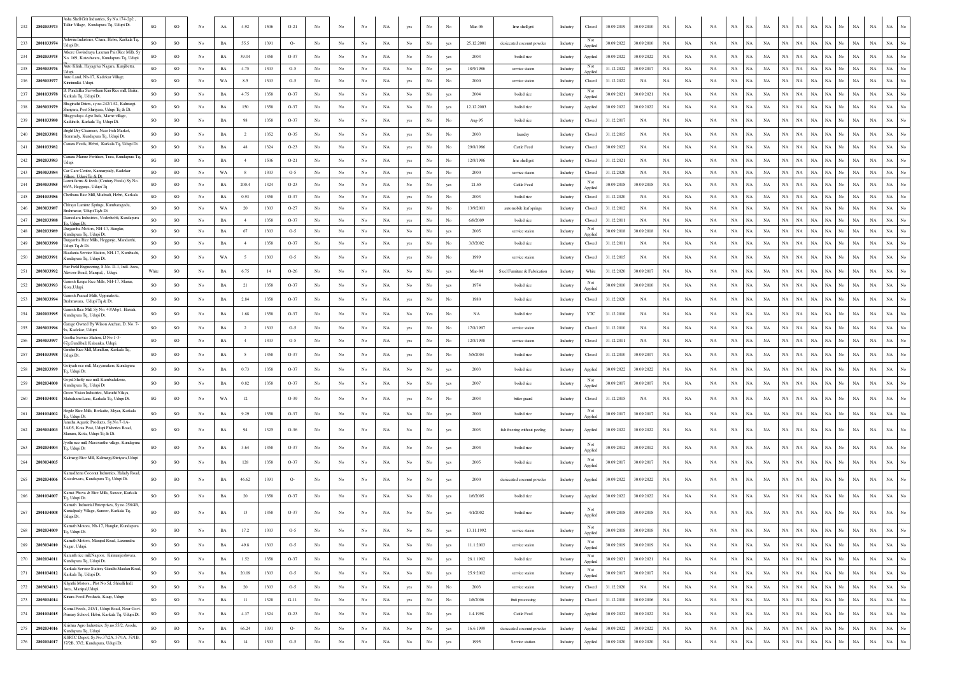|                   | Asha Shell Grit Industries, Sy No.174-2p2                                              |               |               |                |             |                  |         |        |                  |             |             |             |                  |                      |                  |            |                               |                 |                  |            |            |             |             |             |             |                            |             |                            |                               |                  |                            |                                 |
|-------------------|----------------------------------------------------------------------------------------|---------------|---------------|----------------|-------------|------------------|---------|--------|------------------|-------------|-------------|-------------|------------------|----------------------|------------------|------------|-------------------------------|-----------------|------------------|------------|------------|-------------|-------------|-------------|-------------|----------------------------|-------------|----------------------------|-------------------------------|------------------|----------------------------|---------------------------------|
| 2802033973        | Tallur Village, Kundapura Tq, Udupi Dt.                                                | SG            | SO            | No             | AA          | 4.92             | 1506    | $O-21$ | No               |             |             | NA          | yes              |                      | No               | Mar-06     | lime shell grit               | Industry        | Closed           | 30.09.2019 | 30.09.2010 | NA          | NA          | NA          | $_{\rm NA}$ | NA<br>NA                   | NA          | NA<br>NA                   | NA                            |                  | $_{\rm NA}$<br>NA          | $_{\rm NA}$                     |
| 233<br>2801033974 | Ashwini Industries, Chara, Hebri, Karkala To                                           | <sub>SO</sub> | SO            | No             | BA          | 55.5             | 1391    | $O-$   | No               | No          | No          | NA          | No               | No                   | yes              | 25.12.2001 | desiccated coconut powder     | Industry        | Not              | 30.09.2022 | 30.09.2010 | NA          | NA          | NA          | $_{\rm NA}$ | NA<br>NA                   | NA          | <b>NA</b><br>NA            | NA                            | No               | NA<br>NA                   | $_{\rm NA}$<br>No               |
|                   | Udupi Dt.<br>tkere Govindraya Laxman Pai (Rice Mill), S                                |               |               |                |             |                  |         |        |                  |             |             |             |                  |                      |                  |            |                               |                 | Applied          |            |            |             |             |             |             |                            |             |                            |                               |                  |                            |                                 |
| 234<br>2802033975 | No. 169, Koteshwara, Kundapura Tq, Udupi<br>Auto Klinik, Hayagriva Nagara, Kunjibettu, | SO            | SO            | No             | $_{\rm BA}$ | 39.04            | 1358    | $O-37$ | No               | No.         | No          | NA          | $_{\rm No}$      | No                   | yes              | 2003       | boiled rice                   | Industry        | Applied<br>Not   | 30.09.2022 | 30.09.2022 | $_{\rm NA}$ | NA          | NA          | $_{\rm NA}$ | NA<br>NA                   | NA          | $_{\rm NA}$<br>NA          | NA                            | No               | NA<br>NA                   | $_{\rm NA}$<br>No               |
| 235<br>2803033976 |                                                                                        | SO            | SO            | No             | BA          | 4.75             | 1303    | $O-5$  | No               | No.         | No          | NA          | No               | No                   | yes              | 18/9/1986  | service staion                | <b>Industry</b> | Applied          | 31.12.2022 | 30.09.2017 | NA          | NA          | NA          | NA          | NA<br>NA                   | NA          | NA<br>NA                   | NA No                         |                  | NA<br>$_{\rm NA}$          | NA<br>No                        |
| 2803033977        | Auto Land, Nh-17, Kadekar Village,<br>Kinnimulki. Udupi                                | SO            | SO            | No             | WA          | 8.5              | 1303    | $O-5$  | No               | No          | No          | NA          | yes              | No                   |                  | 2000       | service staion                | Industry        | Closed           | 31.12.2022 | NA         | NA          | NA          | NA          | $_{\rm NA}$ | NA<br>NA                   | $_{\rm NA}$ | $_{\rm NA}$<br>NA          | NA                            | No               | NA<br>NA                   | $_{\rm NA}$<br>No               |
| 2801033978        | 3. Pundalika Sarvotham Kini Rice mill. Bailu<br>Karkala Tq, Udupi Dt.                  | <b>SO</b>     | SO            | No             | BA          | 4.75             | 1358    | $O-37$ | No               | No          | No          | NA          | No               | No                   | yes              | 2004       | boiled rice                   | Industry        | Not<br>Applied   | 30.09.2021 | 30.09.2021 | NA          | NA          | NA          | $_{\rm NA}$ | <b>NA</b><br>NA            | NA          | NA<br><b>NA</b>            | NA                            | No               | NA<br>NA                   | $_{\rm NA}$<br>No               |
| 2803033979<br>238 | agirathi Driers, sy.no.242/1A2, Kalmargi-<br>Shiriyara, Post Shiriyara, Udupi Tq & Dt  | so            | SO            | No             | $_{\rm BA}$ | 150              | 1358    | $O-37$ | No               | No          | No          | NA          | No               | $_{\rm No}$          | yes              | 12.12.2003 | boiled rice                   | Industry        | Applied          | 30.09.2022 | 30.09.2022 | $_{\rm NA}$ | NA          | $_{\rm NA}$ | $_{\rm NA}$ | $_{\rm NA}$<br>NA          | $_{\rm NA}$ | NA<br>NA                   | NA                            | $_{\rm No}$      | NA<br>NA                   | $_{\rm No}$<br>NA               |
| 2801033980        | tagvodava Agro Inds. Mame village                                                      | so            | SO            | No             | $_{\rm BA}$ | 98               | 1358    | $O-37$ | No               | No          | No          | NA          | yes              | $_{\rm No}$          | No               | Aug-95     | boiled rice                   | Industry        | Closed           | 31.12.2017 | NA         | NA          | NA          | $_{\rm NA}$ | $_{\rm NA}$ | NA<br>$_{\rm NA}$          | $_{\rm NA}$ | $_{\rm NA}$<br>NA          | NA                            | No               | NA<br>NA                   | $_{\rm NA}$<br>No               |
|                   | Kaduhole, Karkala Tq, Udupi Dt.<br>Bright Dry Clearners, Near Fish Market,             |               |               |                |             |                  |         |        |                  |             |             |             |                  |                      |                  |            |                               |                 |                  |            |            |             |             |             |             |                            |             |                            |                               |                  |                            |                                 |
| 2802033981<br>240 | Hemmady, Kundapura Tq, Udupi Dt.                                                       | so            | SO            | No             | $_{\rm BA}$ | $\overline{2}$   | 1352    | $O-35$ | No               | No          | No          | NA          | yes              | $_{\rm No}$          | No               | 2003       | laundry                       | Industry        | Closed           | 31.12.2015 | NA         | $_{\rm NA}$ | NA          | NA          | $_{\rm NA}$ | $_{\rm NA}$<br>NA          | NA          | $_{\rm NA}$<br>NA          | NA                            | No               | NA<br>NA                   | $_{\rm No}$<br>NA               |
| 2801033982<br>241 | Canara Feeds, Hebri, Karkala Tq, Udupi Dt                                              | SO            | SO            | No             | BA          | 48               | 1324    | $O-23$ | No               | No          | No          | NA          | yes              | No                   | No               | 29/8/1986  | Cattle Feed                   | Industry        | Closed           | 30.09.2022 | NA         | NA          | NA          | NA          | NA          | NA<br>NA                   | NA          | NA<br>NA                   | NA                            | No               | $_{\rm NA}$<br>NA          | $_{\rm NA}$<br>$_{\rm No}$      |
| 242<br>2802033983 | Canara Marine Fertiliser, Trasi, Kundapura To<br>İduni                                 | SG            | SO            | No             | BA          | $\boldsymbol{A}$ | 1506    | $O-21$ | No               | No          | No          | NA          | yes              | No                   | No               | 12/8/1986  | lime shell grit               | Industry        | Closed           | 31.12.2021 | NA         | NA          | NA          | NA          | NA          | NA<br>NA                   | NA          | <b>NA</b><br>NA            | NA                            | No               | NA<br>$_{\rm NA}$          | $_{\rm NA}$<br>$_{\rm No}$      |
| 243<br>2803033984 | Car Care Centre, Kannarpady, Kadekar<br>Thee Liduni Ta & Dr                            | <b>SO</b>     | SO            | No             | WA          | 8                | 1303    | $O-5$  | No               | $_{\rm No}$ | No          | NA          | yes              | No                   | No               | 2000       | service staion                | Industry        | Closed           | 31.12.2020 | NA         | NA          | NA          | NA          | NA          | <b>NA</b><br>NA            | NA          | NA<br>NA                   | NA                            | No.              | NA<br>NA                   | $_{\rm NA}$<br>No               |
| 244<br>2803033985 | axmi farms & feeds (Century Feeds) Sy No<br>66/A, Heggunje, Udupi Tq                   | <b>SO</b>     | SO            | No             | BA          | 200.4            | 1324    | $O-23$ | No               | No          | No          | NA          | No               | No                   | yes              | 21.65      | Cattle Feed                   | Industry        | Not<br>Applied   | 30.09.2018 | 30.09.2018 | NA          | NA          | NA          | NA          | NA<br>NA                   | NA          | NA<br>NA                   | NA                            | No               | NA<br>NA                   | $_{\rm NA}$<br>No               |
| 2801033986        | Chethana Rice Mill, Mudradi, Hebri, Karkala                                            | SO            | SO            | No             | BA          | 0.93             | 1358    | $O-37$ | No               | No          | $_{\rm No}$ | NA          | yes              | $_{\rm No}$          | No               | 2003       | boiled rice                   | Industry        | Closed           | 31.12.2020 | NA         | $_{\rm NA}$ | NA          | NA          | $_{\rm NA}$ | $_{\rm NA}$<br>NA          | $_{\rm NA}$ | $_{\rm NA}$<br>NA          | NA                            | No               | NA<br>NA                   | No<br>NA                        |
| 2803033987        | Chirayu Laminte Springs, Kumbaragodu<br>rahmavar, Udupi Tq& Dt                         | SO            | SO            | No             | WA          | 20               | 1303    | $O-27$ | No               | No          | No          | NA          | yes              | No                   | No               | 13/9/2001  | automobile leaf springs       | Industry        | Closed           | 31.12.2012 | NA         | NA          | NA          | NA          | NA          | <b>NA</b><br>NA            | NA          | $_{\rm NA}$<br>NA          | NA                            | No               | NA<br>$_{\rm NA}$          | $_{\rm NA}$<br>$_{\rm No}$      |
| 2802033988        | Damodara Industries, Voderhobli, Kundapura                                             | SO            | SO            | No             | BA          | $\overline{4}$   | 1358    | $O-37$ | No               | No          | No          | NA          | yes              | No                   | No               | 6/8/2009   | boiled rice                   | Industry        | Closed           | 31.12.2011 | NA         | NA          | NA          | NA          | NA          | <b>NA</b><br>NA            | $_{\rm NA}$ | NA<br>NA                   | NA                            | No               | NA<br>NA                   | No<br>$_{\rm NA}$               |
| 2802033989        | l'q, Udupi Dt.<br>Durgamba Motors, NH-17, Hanglur                                      | SO            | SO            | No             | BA          | 67               | 1303    | $O-5$  | No               | No.         | $_{\rm No}$ | NA          | $_{\rm No}$      | No                   | yes              | 2005       | service staion                | Industry        | Not              | 30.09.2018 | 30.09.2018 | $_{\rm NA}$ | NA          | NA          | $_{\rm NA}$ | NA<br>NA                   | NA          | $_{\rm NA}$<br>NA          | NA                            | No               | NA<br>NA                   | $_{\rm NA}$<br>$_{\rm No}$      |
| 2803033990        | undapura Tq, Udupi Dt.<br>Durgamba Rice Mills, Heggunje, Mandarthi                     | SO            | SO            | No             | $_{\rm BA}$ | $\overline{4}$   | 1358    | $O-37$ | No               | No          | No          | NA          | yes              | No                   | No               | 3/3/2002   | boiled rice                   | Industry        | Applie<br>Closed | 31.12.2011 | NA         | NA          | $_{\rm NA}$ | NA          | $_{\rm NA}$ | NA<br><b>NA</b>            | NA          | <b>NA</b><br>NA            | NA                            | No               | NA<br>$_{\rm NA}$          | $_{\rm NA}$<br>No               |
|                   | Udupi Ta & Dt.<br>ikadanta Service Station, NH-17, Kumbashi                            |               |               |                |             |                  |         |        |                  |             |             |             |                  |                      |                  |            |                               |                 |                  |            |            |             |             |             |             |                            |             |                            |                               |                  |                            |                                 |
| 2802033991        | undapura Tq, Udupi Dt.<br>Fair Field Engineering, S.No. D-1, Indl. Area                | <b>SO</b>     | SO            | No             | WA          |                  | 1303    | $O-5$  | No               | No          | No          | NA          | yes              | No                   | No               | 1999       | service staion                | Industry        | Closed           | 31.12.2015 | NA         | $_{\rm NA}$ | $_{\rm NA}$ | $_{\rm NA}$ | $_{\rm NA}$ | NA<br>$_{\rm NA}$          | NA          | $_{\rm NA}$<br>NA          | NA                            | No               | NA<br>$_{\rm NA}$          | $_{\rm NA}$<br>No               |
| 2803033992        | Alevoor Road, Manipal, , Udupi                                                         | White         | SO            | No             | BA          | 6.75             | $^{14}$ | $O-26$ | No               | No          | No          | NA          | $_{\rm No}$      | No                   | yes              | Mar-84     | Steel Furniture & Fabrication | Industry        | White            | 31.12.2020 | 30.09.201  | NA          | NA          | NA          | NA          | NA<br>NA                   | $_{\rm NA}$ | $_{\rm NA}$<br>NA          | NA                            | No               | NA<br>NA                   | $_{\rm NA}$<br>No               |
| 2803033993        | Ganesh Krupa Rice Mills, NH-17, Manur,<br>Kota, Udupi                                  | SO            | SO            | No             | BA          | 21               | 1358    | $O-37$ | No               | No          | No          | NA          | No               | No                   | yes              | 1974       | boiled rice                   | Industry        | Not<br>Applied   | 30.09.2010 | 30.09.2010 | NA          | NA          | $_{\rm NA}$ | $_{\rm NA}$ | $_{\rm NA}$<br>NA          | $_{\rm NA}$ | $_{\rm NA}$<br>NA          | NA                            | No               | NA<br>$_{\rm NA}$          | $_{\rm NA}$<br>No               |
| 2803033994        | anesh Prasad Mills, Uppinakote<br>Brahmavara, Udupi Tq & Dt.                           | SO            | SO            | No             | BA          | 2.84             | 1358    | $O-37$ | No               | No          | No          | NA          | yes              | No                   | No               | 1980       | boiled rice                   | Industry        | Closed           | 31.12.2020 | NA         | $_{\rm NA}$ | NA          | NA          | NA          | NA<br>NA                   | $_{\rm NA}$ | NA<br>NA                   | NA                            | No               | NA<br>$_{\rm NA}$          | $_{\rm NA}$<br>No               |
| 2802033995<br>254 | anesh Rice Mill, Sy No. 43/A6p1, Hasudi                                                |               |               | No             |             |                  |         |        |                  | No.         |             |             |                  |                      |                  |            |                               |                 |                  |            |            |             |             |             |             |                            |             |                            |                               |                  |                            | No                              |
|                   | Kundapura Tq, Udupi Dt.<br>iarage Owned By Wilson Anchan, D. No. 7                     | SO            | SO            |                | BA          | 1.68             | 1358    | $O-37$ | No               |             | No          | NA          | No               | $\operatorname{Yes}$ | No               | NA         | boiled rice                   | Industry        | YTC              | 31.12.2010 | NA         | NA          | NA          | NA          | NA          | NA<br>NA                   | NA          | NA<br>NA                   | NA                            | No               | NA<br>NA                   | $_{\rm NA}$                     |
| 255<br>2803033996 | Ja, Kadekar, Udupi                                                                     | SO            | SO            | No             | $_{\rm BA}$ | $\overline{2}$   | 1303    | $O-5$  | No               | No          | No          | NA          | yes              | $_{\rm No}$          | No               | 17/8/1997  | service staion                | Industry        | Closed           | 31.12.2010 | NA         | $_{\rm NA}$ | NA          | NA          | $_{\rm NA}$ | NA<br>NA                   | NA          | NA<br>NA                   | NA                            | $_{\rm No}$      | NA<br>NA                   | NA<br>No                        |
| 2803033997        | Geetha Service Station, D No.1-3-<br>67g, Gundibail, Kalsanka, Udupi                   | <b>SO</b>     | SO            | No             | BA          | $-4$             | 1303    | $O-5$  | No               | No          | No          | NA          | yes              | No                   | No               | 12/8/1998  | service staion                | Industry        | Closed           | 31.12.2011 | NA         | NA          | NA          | NA          | $_{\rm NA}$ | NA<br>NA                   | NA          | NA<br>NA                   | NA No                         |                  | NA<br>$_{\rm NA}$          | $_{\rm NA}$<br>No               |
| 257<br>2801033998 | Girishri Rice Mill, Mundkur, Karkala Tq,<br>Udupi Dt.                                  | <b>SO</b>     | SO            | No             | BA          |                  | 1358    | $O-37$ | No               | No.         | No          | NA          | yes              | No                   | No               | 5/5/2004   | boiled rice                   | Industry        | Closed           | 31.12.2010 | 30.09.2007 | NA          | NA          | NA          | NA          | NA<br>NA                   | NA          | NA<br>NA                   | NA                            | No               | NA<br>NA                   | $_{\rm NA}$<br>No               |
| 258<br>2802033999 | oliyadi rice mill, Mayyanakeri, Kundapura<br>Tq, Udupi Dt.                             | <b>SO</b>     | SO            | No             | BA          | 0.73             | 1358    | $O-37$ | No               | No          | No          | NA          | No               | No                   | yes              | 2003       | boiled rice                   | Industry        | Applied          | 30.09.2022 | 30.09.2022 | NA          | NA          | NA          | $_{\rm NA}$ | NA<br>NA                   | NA          | NA<br>NA                   | NA                            | No               | NA<br>NA                   | NA<br>No                        |
| 259<br>2802034000 | Gopal Shetty rice mill, Kambadakone.                                                   | <sub>SO</sub> | SO            | No             | BA          | 0.82             | 1358    | $O-37$ | No               | No          | No          | NA          | No               | No                   | yes              | 2007       | boiled rice                   | Industry        | Not              | 30.09.2007 | 30.09.2007 | NA          | NA          | NA          | $_{\rm NA}$ | $_{\rm NA}$<br>NA          | NA          | NA<br>NA                   | NA No                         |                  | $_{\rm NA}$<br>NA          | $_{\rm NA}$<br>No               |
|                   | Kundapura Tq, Udupi Dt<br>Green Vision Industries, Maruthi Nilaya                      |               |               |                |             |                  |         |        |                  |             |             |             |                  |                      |                  |            |                               |                 | Applied          |            |            |             |             |             |             |                            |             |                            |                               |                  |                            |                                 |
| 260<br>2801034001 | Mahalaxmi Lane, Karkala Tq, Udupi Dt.                                                  | SG            | SO            | No             | WA          | 12               |         | $O-39$ | No               | No          | No          | NA          | yes              | No                   | No               | 2003       | bitter guard                  | Industry        | Closed           | 31.12.2015 | NA         | NA          | NA          | NA          | NA          | NA<br>NA                   | NA          | $_{\rm NA}$<br>NA          | NA                            | No               | NA<br>NA                   | NA                              |
| 261<br>2801034002 | Hegde Rice Mills, Borkatte, Miyar, Karkak<br>lq, Udupi Dt                              | so            | SO            | No             | $_{\rm BA}$ | 9.29             | 1358    | $O-37$ | No               | No          | $_{\rm No}$ | NA          | $_{\rm No}$      | $_{\rm No}$          | yes              | 2000       | boiled rice                   | Industry        | Not<br>Applied   | 30.09.2017 | 30.09.2017 | $_{\rm NA}$ | NA          | NA          | $_{\rm NA}$ | NA<br>NA                   | NA          | NA<br>NA                   | <b>NA</b>                     | <b>NA</b>        | NA                         | NA                              |
|                   | natha Aquatic Products, Sv.No.7-1A-<br>2A/05, Kota Post, Udupi Fisheries Road,         |               |               |                |             |                  |         |        |                  |             |             |             |                  |                      |                  |            |                               |                 |                  |            |            |             |             |             |             |                            |             |                            |                               |                  |                            |                                 |
| 262<br>2803034003 | Aanuru, Kota, Udupi Tq & Dt.                                                           | <b>SO</b>     | SO            | No             | BA          | 94               | 1325    | $O-36$ | No               | No          | No          | NA          | No               | No                   |                  | 2003       | fish freezing without peeling | Industry        | Applied          | 30.09.2022 | 30.09.2022 | NA          | NA          | NA          | NA          | NA<br>NA                   | NA          | NA<br>NA                   | NA                            | No               | NA<br>NA                   | NA                              |
| 2802034004        | othi rice mill, Maravanthe village, Kundapur<br>q, Udupi Dt                            | <b>SO</b>     | SO            | No             | $_{\rm BA}$ | 3.64             | 1358    | $O-37$ | No               | No          | No          | NA          | $_{\rm No}$      | No                   | yes              | 2004       | boiled rice                   | Industry        | Not<br>Applied   | 30.09.2012 | 30.09.2012 | $_{\rm NA}$ | $_{\rm NA}$ | NA          | $_{\rm NA}$ | NA<br>NA                   | NA          | NA<br><b>NA</b>            | NA                            | <b>NA</b>        | $_{\rm NA}$                | $_{\rm NA}$<br>$_{\rm No}$      |
| 264<br>2803034005 | Calmargi Rice Mill, Kalmargi, Shiriyara, Udup                                          | SO            | SO            | No             | $_{\rm BA}$ | 128              | 1358    | $O-37$ | No               | No          | No          | NA          | $_{\rm No}$      | No                   | yes              | 2005       | boiled rice                   | Industry        | Not              | 30.09.2017 | 30.09.2017 | $_{\rm NA}$ | NA          | NA          | $_{\rm NA}$ | NA<br>NA                   | $_{\rm NA}$ | $_{\rm NA}$<br>NA          | NA                            | No               | $_{\rm NA}$<br>$_{\rm NA}$ | NA<br>No                        |
|                   | amadhenu Coconut Industries, Halady Road                                               |               |               |                |             |                  |         |        |                  |             |             |             |                  |                      |                  |            |                               |                 | Applied          |            |            |             |             |             |             |                            |             |                            |                               |                  |                            |                                 |
| 265<br>2802034006 | Koteshwara, Kundapura Tq, Udupi Dt                                                     | SO            | SO            | N <sub>0</sub> | $_{\rm BA}$ | 46.62            | 1391    | $O-$   | No               | No.         | No          | NA          | $_{\rm No}$      | No                   | yes              | 2000       | desiccated coconut powder     | Industry        | Applied          | 30.09.2022 | 30.09.2022 | $_{\rm NA}$ | NA          | NA          | $_{\rm NA}$ | NA<br>NA                   | NA          | NA<br>$_{\rm NA}$          | NA                            | No<br><b>NA</b>  | $_{\rm NA}$                | NA                              |
| 2801034007        | Kamat Phova & Rice Mills, Sanoor, Karkala<br>q, Udupi Dt.                              | <b>SO</b>     | SO            | No             | BA          | 20               | 1358    | $O-37$ | No               | No          | No          | NA          | No               | No                   |                  | 1/6/2005   | boiled rice                   | Industry        | Applied          | 30.09.2022 | 30.09.2022 | NA          | NA          | NA          | NA          | NA<br>NA                   | NA          | NA<br>NA                   | NA                            | No               | NA<br>NA                   | <b>NA</b>                       |
|                   | Camath Industrial Enterprises, Sy.no.256/4B<br>Kuntalpady Village, Sanoor, Karkala Tq, |               |               |                |             |                  |         |        |                  |             |             |             |                  |                      |                  |            |                               |                 |                  |            |            |             |             |             |             |                            |             |                            |                               |                  |                            |                                 |
| 2801034008<br>267 | Udupi Dt.                                                                              | <b>SO</b>     | <sub>SO</sub> | No             | BA          | 13               | 1358    | $O-37$ | No               |             | No          | NA          | No               | No                   | yes              | 4/1/2002   | boiled rice                   | Industry        | Applied          | 30.09.2018 | 30.09.2018 | $_{\rm NA}$ | NA          | NA          | NA          | NA<br>NA                   | NA          | NA<br>NA                   | NA                            | No               | <b>NA</b><br><b>NA</b>     | <b>NA</b>                       |
| 268<br>2802034009 | Kamath Motors, Nh-17, Hanglur, Kundapura<br>Tq, Udupi Dt.                              | SO            | $_{\rm SO}$   | No             | BA          | 17.2             | 1303    | $O-5$  | No               | No          | No          | NA          | No               | No                   | yes              | 13.11.1992 | service staion                | Industry        | Not              | 30.09.2018 | 30.09.2018 | NA          | NA          | NA          | $_{\rm NA}$ | $_{\rm NA}$<br>NA          | $_{\rm NA}$ | $_{\rm NA}$<br>$_{\rm NA}$ | $\rm NA-No$                   |                  | $_{\rm NA}$<br>$_{\rm NA}$ | $_{\rm NA}$<br>$_{\mathrm{No}}$ |
| 2803034010        | amath Motors, Manipal Road, Laxmindra                                                  | SO            |               | No             |             |                  | 1303    |        |                  | No          |             |             |                  |                      |                  | 11.1.2003  |                               |                 | Applied<br>Not   | 30.09.2019 | 30.09.2019 |             |             |             |             |                            |             | $_{\rm NA}$                |                               |                  |                            | $_{\mathrm{No}}$                |
| 269               | Vagar, Udupi.<br>Caranth rice mill, Nagoor, Kirimanjeshwara,                           |               | $\rm SO$      |                | $_{\rm BA}$ | 49.8             |         | $O-5$  | No               |             | No          | NA          | No               | $_{\rm No}$          | yes              |            | service staion                | Industry        | Applied          |            |            | NA          | $_{\rm NA}$ | $_{\rm NA}$ | $_{\rm NA}$ | NA<br>NA                   | NA          | NA                         | $NA$ $No$                     |                  | NA<br>$_{\rm NA}$          | $_{\rm NA}$                     |
| 270<br>2802034011 | undapura Tq, Udupi Dt.                                                                 | SO            | $_{\rm SO}$   | $_{\rm No}$    | $_{\rm BA}$ | 1.52             | 1358    | $O-37$ | No               | No          | No          | $_{\rm NA}$ | $_{\mathrm{No}}$ | No                   | yes              | 28.1.1992  | boiled rice                   | Industry        | Not<br>Applied   | 30.09.2021 | 30.09.2021 | $_{\rm NA}$ | $_{\rm NA}$ | $_{\rm NA}$ | $_{\rm NA}$ | NA<br>NA                   | NA          | $_{\rm NA}$                | NA NA No                      |                  | NA<br>NA                   | $\rm NA-\,No$                   |
| 271<br>2801034012 | Carkala Service Station, Gandhi Maidan Road,<br>Karkala Tq, Udupi Dt.                  | so            | SO            | No             | $_{\rm BA}$ | 20.09            | 1303    | $O-5$  | No               | No          | $_{\rm No}$ | NA          | $_{\mathrm{No}}$ | $_{\rm No}$          | yes              | 25.9.2002  | service staion                | Industry        | Not<br>Applied   | 30.09.2017 | 30.09.2017 | $_{\rm NA}$ | NA          | $_{\rm NA}$ | $_{\rm NA}$ | NA<br>NA                   | NA          | NA<br>NA                   | NA                            | No               | NA<br>$_{\rm NA}$          | $_{\rm NA}$<br>$_{\rm No}$      |
| 272<br>2803034013 | Chyathi Motors., Plot No.5d, Shivalli Indl.<br>Area, Manipal, Udupi.                   | SO            | $_{\rm SO}$   | No             | $_{\rm BA}$ | 20               | 1303    | $O-5$  | No               | No          | $_{\rm No}$ | NA          | yes              | $_{\rm No}$          | $_{\rm No}$      | 2003       | service staion                | Industry        | Closed           | 31.12.2020 | NA         | $_{\rm NA}$ | NA          | NA          | $_{\rm NA}$ | $_{\rm NA}$<br>NA          | NA          | $_{\rm NA}$<br>$_{\rm NA}$ | $_{\rm NA}$                   | $_{\mathrm{No}}$ | $_{\rm NA}$<br>$_{\rm NA}$ | $_{\rm NA}$<br>$_{\rm No}$      |
| 273<br>2803034014 | Cinara Food Products, Kaup, Udupi                                                      | SO            | $_{\rm SO}$   | No             | $_{\rm BA}$ | $11\,$           | 1328    | $G-11$ | No               | No          | $_{\rm No}$ | NA          | yes              | $_{\rm No}$          | $_{\mathrm{No}}$ | 1/8/2006   | fruit processing              | Industry        | Closed           | 31.12.2010 | 30.09.2006 | $_{\rm NA}$ | $_{\rm NA}$ | $_{\rm NA}$ | $_{\rm NA}$ | $_{\rm NA}$<br>$_{\rm NA}$ | NA          | NA                         | $\rm NA-NA-No$                |                  | $_{\rm NA}$<br>$_{\rm NA}$ | $_{\rm NA}$<br>$_{\rm No}$      |
|                   | omal Feeds, 243/1, Udupi Road, Near Govt.                                              |               |               |                |             |                  |         |        |                  |             |             |             |                  |                      |                  |            |                               |                 |                  |            |            |             |             |             |             |                            |             |                            |                               |                  |                            | $_{\rm NA}$<br>$_{\rm No}$      |
| 274<br>2801034015 | Primary School, Hebri, Karkala Tq, Udupi Dt.                                           | SO            | SO            | No             | $_{\rm BA}$ | 4.37             | 1324    | $O-23$ | $_{\mathrm{No}}$ | No          | $_{\rm No}$ | NA          | $_{\mathrm{No}}$ | $_{\rm No}$          | yes              | 1.4.1998   | Cattle Feed                   | Industry        | Applied          | 30.09.2022 | 30.09.2022 | NA          | NA          | NA          | $_{\rm NA}$ | NA<br>NA                   | NA          | NA<br>NA                   | NA                            | No               | NA<br>NA                   |                                 |
| 275<br>2802034016 | Krishna Agro Industries, Sy.no.55/2, Asodu,<br>Kundapura Tq, Udupi                     | <sub>SO</sub> | $_{\rm SO}$   | No             | $_{\rm BA}$ | 66.24            | 1391    | $O-$   | No               | No          | No          | NA          | $_{\mathrm{No}}$ | $_{\rm No}$          | yes              | 16.6.1999  | desiccated coconut powder     | Industry        | Applied          | 30.09.2022 | 30.09.2022 | $_{\rm NA}$ | $_{\rm NA}$ | $_{\rm NA}$ | $_{\rm NA}$ | $_{\rm NA}$<br>NA          |             | $\rm NA-NA$<br>NA          | $\mathrm{NA}$ – $\mathrm{No}$ |                  | NA<br>$_{\rm NA}$          | NA<br>$_{\mathrm{No}}$          |
| 276<br>2802034017 | KSRTC Depot, Sy.No.37/2A, 37/1A, 37/1B,<br>37/2B, 37/2, Kundapura, Udupi Dt.           | SO            | $_{\rm SO}$   | No             | $_{\rm BA}$ | 14               | 1303    | $O-5$  | $_{\mathrm{No}}$ | No          | No          | $_{\rm NA}$ | $_{\rm No}$      | $_{\rm No}$          | yes              | 1995       | Service station               | Industry        | Applied          | 30.09.2020 | 30.09.2020 | $_{\rm NA}$ | $_{\rm NA}$ | $_{\rm NA}$ | $_{\rm NA}$ | $_{\rm NA}$<br>NA          | $_{\rm NA}$ | $_{\rm NA}$<br>$_{\rm NA}$ | $NA$ No                       |                  | $_{\rm NA}$<br>$_{\rm NA}$ | $_{\rm NA}$<br>$_{\mathrm{No}}$ |
|                   |                                                                                        |               |               |                |             |                  |         |        |                  |             |             |             |                  |                      |                  |            |                               |                 |                  |            |            |             |             |             |             |                            |             |                            |                               |                  |                            |                                 |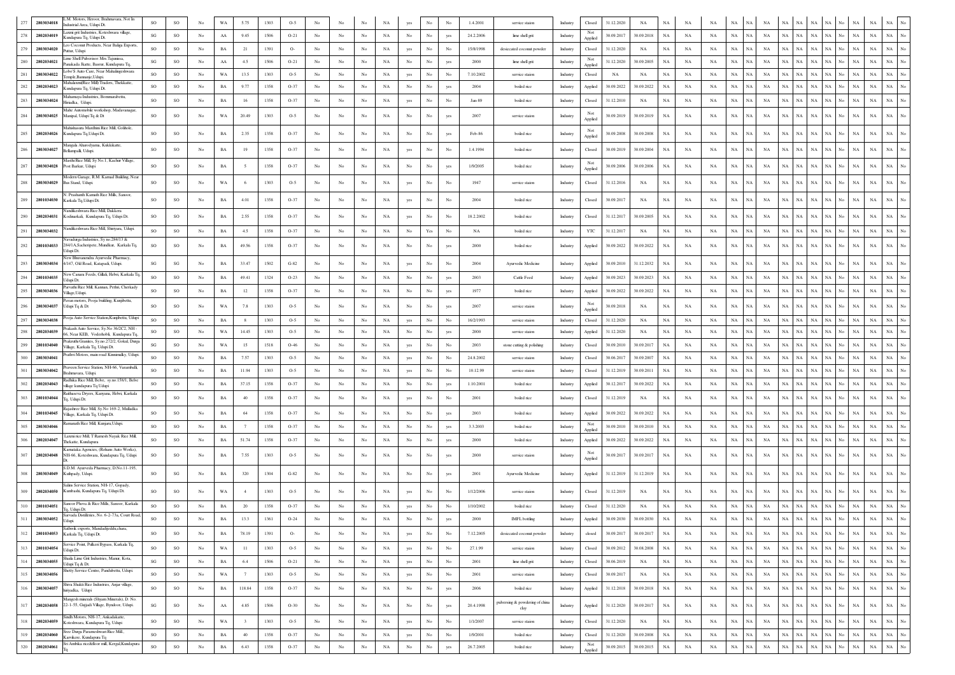|     |            | M. Motors, Heroor, Brahmavara, Not In                                           |                        |                        |                  |             |                         |      |        |                  |                  |             |             |                  |                  |                  |           |                                 |          |                |            |             |             |             |             |                            |                   |             |                            |                    |     |                            |             |                  |
|-----|------------|---------------------------------------------------------------------------------|------------------------|------------------------|------------------|-------------|-------------------------|------|--------|------------------|------------------|-------------|-------------|------------------|------------------|------------------|-----------|---------------------------------|----------|----------------|------------|-------------|-------------|-------------|-------------|----------------------------|-------------------|-------------|----------------------------|--------------------|-----|----------------------------|-------------|------------------|
| 277 | 2803034018 | dustrial Area, Udupi Dt.                                                        | <b>SO</b>              | SO                     |                  | WA          | 5.75                    | 1303 | $O-5$  |                  |                  |             | NA          | yes              |                  |                  | 1.4.2001  | service staion                  | Industry | Closed         | 31.12.2020 | <b>NA</b>   |             | NA          |             |                            |                   |             |                            |                    |     |                            |             |                  |
| 278 | 2802034019 | axmi grit Industries, Koteshwara village,<br>undapura Tq, Udupi Dt.             | SG                     | SO                     | No               | ${\rm AA}$  | 9.45                    | 1506 | $O-21$ | No               | No               | No          | NA          | No               | No               | yes              | 24.2.2006 | lime shell grit                 | Industry | Not<br>Applied | 30.09.2017 | 30.09.2018  | NA          | NA          | NA          | $_{\rm NA}$<br>NA          | NA                | <b>NA</b>   | <b>NA</b><br>NA            | NA.                | No  | NA<br><b>NA</b>            |             |                  |
| 279 | 2803034020 | o Coconut Products, Near Baliga Exports<br>uttur. Udupi                         | <b>SO</b>              | SO                     | No               | $_{\rm BA}$ | 21                      | 1391 | $O-$   | No               | No               | $_{\rm No}$ | NA          | yes              | $_{\rm No}$      | No               | 15/8/1998 | desiccated coconut powder       | Industry | Closed         | 31.12.2020 | NA          | NA          | NA          | NA          | $_{\rm NA}$<br>NA          | NA                | NA          | $_{\rm NA}$<br>NA          | NA No              |     | $_{\rm NA}$<br>$_{\rm NA}$ | NA          |                  |
| 280 | 2802034021 | ime Shell Pulverisor: Mrs. Tajunissa,<br>anakada Jkatte, Basrur, Kundapura Tq,  | $\mathbf{S}\mathbf{G}$ | SO                     | No               | ${\rm AA}$  | 4.5                     | 1506 | $O-21$ | No               | No               | $_{\rm No}$ | NA          | $_{\rm No}$      | No               | yes              | 2000      | lime shell grit                 | Industry | Not<br>Applied | 31.12.2020 | 30.09.2005  | NA          | NA          | NA          | NA<br>NA                   | NA                | NA          | NA<br>$_{\rm NA}$          | NA No              |     | NA<br>NA                   | NA.         |                  |
| 281 | 2803034022 | obo'S Auto Care, Near Mahalingeshwara<br>mple.Bannanie.Udup                     | <b>SO</b>              | SO.                    | No               | WA          | 13.5                    | 1303 | $O-5$  | No               | No               | No          | NA          | yes              | No               | No               | 7.10.2002 | service staion                  | Industry | Closed         | NA         | NA          | NA          | NA          | NA          | NA<br>NA                   | NA                | NA          | $_{\rm NA}$<br>NA.         | NA No              |     | NA<br>NA                   | NA.         |                  |
| 282 | 2802034023 | Aahalaxmi(Rice Mill) Traders, Thekkatte.<br>undapura Tq, Udupi Dt.              | SO                     | SO                     | No               | BA          | 9.77                    | 1358 | $O-37$ | No               | No               | No          | NA          | No               | No               |                  | 2004      | boiled rice                     | Industry | Applied        | 30.09.2022 | 30.09.2022  | NA          | NA          | NA          | $_{\rm NA}$<br>NA          | NA                | NA          | $_{\rm NA}$<br><b>NA</b>   | NA No              |     | NA<br>NA                   |             |                  |
| 283 | 2803034024 | Aahamaya Industries, Bommarabettu,<br>Hiriadka, Udupi.                          | so                     | $_{\rm SO}$            | No               | BA          | 16                      | 1358 | $O-37$ | No               | No               | No          | $_{\rm NA}$ | yes              | No               | No               | Jan-89    | boiled rice                     | Industry | Closed         | 31.12.2010 | NA          | $_{\rm NA}$ | NA          | NA          | $_{\rm NA}$<br>NA          | NA                | $_{\rm NA}$ | $_{\rm NA}$<br>NA          | NA No              |     | $_{\rm NA}$<br>$_{\rm NA}$ | NA          |                  |
|     |            | Iahe Automobile workshop, Madavanagar                                           |                        |                        |                  |             |                         |      |        |                  |                  |             |             |                  |                  |                  |           |                                 |          | Not            |            |             |             |             |             |                            |                   |             |                            |                    |     |                            |             |                  |
| 284 | 2803034025 | Manipal, Udupi Tq & Dt                                                          | so                     | SO                     | No               | WA          | 20.49                   | 1303 | $O-5$  | No               | No               | $_{\rm No}$ | NA          | $_{\rm No}$      | $_{\rm No}$      | yes              | 2007      | service staion                  | Industry | Applied        | 30.09.2019 | 30.09.2019  | NA          | NA          | NA          | $_{\rm NA}$<br>NA          | NA                | $_{\rm NA}$ | NA<br>$_{\rm NA}$          | $_{\rm NA}$        | No  | $_{\rm NA}$<br>NA          | <b>NA</b>   |                  |
| 285 | 2802034026 | Aahishasura Mardhini Rice Mill, Golihole,<br>Cundapura Tq, Udupi Dt.            | so                     | $_{\rm SO}$            | $_{\mathrm{No}}$ | $_{\rm BA}$ | 2.35                    | 1358 | $O-37$ | No               | No               | No          | $_{\rm NA}$ | $_{\rm No}$      | $_{\rm No}$      | yes              | Feb-86    | boiled rice                     | Industry | Not<br>Applied | 30.09.2008 | 30.09.2008  | NA          | NA          | NA          | NA<br>NA                   | NA                | NA          | NA<br>$_{\rm NA}$          | NA                 |     | $_{\rm NA}$<br><b>NA</b>   |             |                  |
| 286 | 2803034027 | Mangala Aharodyama, Kukkikatte,<br>Bellampalli, Udupi.                          | SO                     | SO                     | No               | BA          | 19                      | 1358 | $O-37$ | No               | No               | No          | NA          | yes              | No               | No               | 1.4.1994  | boiled rice                     | Industry | Closed         | 30.09.2019 | 30.09.2004  | NA          | NA          | NA          | $_{\rm NA}$<br>NA          | NA                | $_{\rm NA}$ | $_{\rm NA}$<br>NA          | NA                 | No  | $_{\rm NA}$<br>$_{\rm NA}$ |             |                  |
|     |            | Aasthi Rice Mill, Sy No.1, Kachur Village.                                      |                        |                        |                  |             |                         |      |        |                  |                  |             |             |                  |                  |                  |           |                                 |          | Not            |            |             |             |             |             |                            |                   |             |                            |                    |     |                            |             |                  |
| 287 | 2803034028 | Post Barkur, Udupi                                                              | SO                     | SO                     | No               | $_{\rm BA}$ | -5                      | 1358 | $O-37$ | No               | No               | $_{\rm No}$ | NA          | $_{\rm No}$      | No               | yes              | 1/9/2005  | boiled rice                     | Industry | Applied        | 30.09.2006 | 30.09.2006  | NA          | NA          | NA          | $_{\rm NA}$<br>NA          | NA                | $_{\rm NA}$ | $_{\rm NA}$<br>NA          | NA                 | No. | $_{\rm NA}$<br>$_{\rm NA}$ |             |                  |
|     | 2803034029 | odern Garage, R.M. Karnad Building, Near<br>us Stand, Udupi.                    | SO                     | SO                     | No               | WA          | 6                       | 1303 | $O-5$  | No               | No               | $_{\rm No}$ | $_{\rm NA}$ | yes              | No               | No               | 1947      | service staion                  | Industry | Closed         | 31.12.2016 | $_{\rm NA}$ | NA          | NA          | NA          | $_{\rm NA}$<br>$_{\rm NA}$ | NA                | $_{\rm NA}$ | $_{\rm NA}$<br>NA          | NA.                | No  | $_{\rm NA}$<br><b>NA</b>   |             |                  |
| 289 | 2801034030 | Prashanth Kamath Rice Mills, Sanoor,<br>Karkala Tq,Udupi Dt.                    | SO                     | SO                     | No               | $_{\rm BA}$ | 4.01                    | 1358 | $O-37$ | No               | No               | $_{\rm No}$ | NA          | yes              | No               | No               | 2004      | boiled rice                     | Industry | Closed         | 30.09.2017 | NA          | NA          | NA          | NA          | $_{\rm NA}$<br>$_{\rm NA}$ | NA                | NA          | $_{\rm NA}$<br>NA          | NA                 |     | $_{\rm NA}$<br><b>NA</b>   |             |                  |
|     |            | andikeshwara Rice Mill, Dakkera                                                 |                        |                        |                  |             |                         |      |        |                  |                  |             |             |                  |                  |                  |           |                                 |          |                |            |             |             |             |             |                            |                   |             |                            |                    |     |                            |             |                  |
|     | 2802034031 | odinarkali, Kundapura Tq, Udupi Dt.                                             | SO                     | SO                     | No               | $_{\rm BA}$ | 2.55                    | 1358 | $O-37$ | No               | No               | $_{\rm No}$ | $_{\rm NA}$ | yes              | No               | No               | 18.2.2002 | boiled rice                     | Industry | Closed         | 31.12.2017 | 30.09.2005  | NA          | NA          | NA          | $_{\rm NA}$<br>NA          | NA                | $_{\rm NA}$ | NA<br>$_{\rm NA}$          | NA                 | No  | $_{\rm NA}$<br>$_{\rm NA}$ |             |                  |
| 291 | 2803034032 | andikeshwara Rice Mill, Shiriyara, Udupi<br>avadurga Industries, Sy no.284/13 & | SO                     | $\rm SO$               | No               | $_{\rm BA}$ | 4.5                     | 1358 | $O-37$ | No               | No               | No          | $_{\rm NA}$ | No               | Yes              | No               | NA        | boiled rice                     | Industry | YTC            | 31.12.2017 | NA          | NA          | NA          | NA          | NA                         | $_{\rm NA}$<br>NA | NA NA       | NA                         | NA No              |     | $_{\rm NA}$<br>NA          | $_{\rm NA}$ |                  |
| 292 | 2801034033 | 284/1A, Sacheripete, Mundkur, Karkala Tq,<br>dupi Dt.                           | <b>SO</b>              | SO                     |                  | $_{\rm BA}$ | 49.56                   | 1358 | $O-37$ | No               | No               | No          | $_{\rm NA}$ | $_{\rm No}$      | No               | yes              | 2000      | boiled rice                     | Industry | Applied        | 30.09.2022 | 30.09.2022  | NA          | NA          | NA          | $_{\rm NA}$<br>NA          | $_{\rm NA}$       | $_{\rm NA}$ | $_{\rm NA}$<br>NA          | NA                 | No  | $_{\rm NA}$<br>$_{\rm NA}$ | <b>NA</b>   |                  |
| 293 | 2803034034 | ew Bhuvanendra Ayurvedic Pharmacy<br>1/147, Old Road, Katapadi, Udupi.          | $\mathbf{S}\mathbf{G}$ | $\mathbf{S}\mathbf{G}$ | No               | BA          | 33.47                   | 1502 | $G-82$ | No               | No               | No          | NA          | yes              | $_{\mathrm{No}}$ | No               | 2004      | Ayurvedic Medicine              | Industry | Applied        | 30.09.2010 | 31.12.2032  | $_{\rm NA}$ | NA          | NA          | $_{\rm NA}$                | $_{\rm NA}$<br>NA | $_{\rm NA}$ | NA<br>$_{\rm NA}$          | NA No              |     | $_{\rm NA}$<br>NA          |             |                  |
|     | 2801034035 | ew Canara Feeds, Gillali, Hebri, Karkala Tq,                                    | SO                     | SO                     | No               | $_{\rm BA}$ | 49.41                   | 1324 | $O-23$ | No               | No               | $_{\rm No}$ | $_{\rm NA}$ | $_{\rm No}$      | No               | yes              | 2003      | Cattle Feed                     | Industry | Applied        | 30.09.2023 | 30.09.2023  | NA          | NA          | NA          | NA<br>NA                   | NA                | NA          | $_{\rm NA}$<br>$_{\rm NA}$ | NA No              |     | $_{\rm NA}$<br>NA          |             |                  |
|     | 2803034036 | dupi Dt.<br>arvathi Rice Mill, Kannan, Pethri, Cherkady                         | SO                     |                        | No               |             |                         |      | $O-37$ | No               | No               |             |             |                  | No               |                  | 1977      |                                 |          |                |            |             |             |             |             |                            |                   |             | NA                         | NA No              |     |                            |             |                  |
|     |            | illage,Udupi.<br>van motors, Pooja building, Kunjibettu                         |                        | $_{\rm SO}$            |                  | BA          | 12                      | 1358 |        |                  |                  | No          | NA          | No               |                  |                  |           | boiled rice                     | Industry | Applied        | 30.09.2022 | 30.09.2022  | $_{\rm NA}$ | NA          | NA          | $_{\rm NA}$<br>$_{\rm NA}$ | NA                | $_{\rm NA}$ | $_{\rm NA}$                |                    |     | $_{\rm NA}$<br>$_{\rm NA}$ |             |                  |
| 296 | 2803034037 | dupi Tq & Dt                                                                    | SO                     | SO                     | No               | WA          | 7.8                     | 1303 | $O-5$  | No               | No               | No          | NA          | No               | No               | yes              | 2007      | service staion                  | Industry | Not<br>Applied | 30.09.2018 | NA          | NA          | NA          | NA          | NA<br>NA                   | NA                | NA          | NA<br>$_{\rm NA}$          | NA No              |     | NA<br>NA                   |             |                  |
| 297 | 2803034038 | ooja Auto Service Station, Kunjibettu, Udupi                                    | SO                     | SO                     | No               | BA          | 8                       | 1303 | $O-5$  | No               | No               | $_{\rm No}$ | NA          | yes              | No               | No               | 16/2/1993 | service staion                  | Industry | Closed         | 31.12.2020 | NA          | NA          | NA          | NA          | NA                         | NA<br>NA          | NA          | NA<br>NA                   | NA No              |     | NA<br>NA                   | NA          | $_{\rm No}$      |
|     | 2802034039 | rakash Auto Service, Sy.No 36/2C2, NH<br>6. Near KEB, Voderhobli, Kundapura To  | SO                     | SO                     | No               | WA          | 14.45                   | 1303 | $O-5$  | No               | No               | No          | NA          | No               | No               | yes              | 2000      | service staion                  | Industry | Applied        | 31.12.2020 | NA          | NA          | NA          | NA          | NA<br>NA                   | NA                | NA          | $_{\rm NA}$<br>NA          | NA No              |     | $_{\rm NA}$<br>NA          | NA.         | No               |
| 299 | 2801034040 | rakruthi Granites, Sy.no.272/2, Gokul, Durga<br>illage, Karkala Tq, Udupi Dt.   | $\mathbf{S}\mathbf{G}$ | $\rm SO$               | No               | WA          | 15                      | 1518 | $O-46$ | No               | No               | No          | $_{\rm NA}$ | yes              | No               | No               | 2003      | stone cutting & polishing       | Industry | Closed         | 30.09.2010 | 30.09.2017  | $_{\rm NA}$ | NA          | NA          | $_{\rm NA}$<br>NA          | NA                | NA          | $_{\rm NA}$<br>NA          | NA No              |     | $_{\rm NA}$<br>NA          | <b>NA</b>   |                  |
| 300 | 2803034041 | athvi Motors, main road Kinnimulky, Udupi.                                      | <b>SO</b>              | $\rm SO$               | No               | $_{\rm BA}$ | 7.57                    | 1303 | $O-5$  | No               | No               | $_{\rm No}$ | $_{\rm NA}$ | yes              | $_{\rm No}$      | No               | 24.8.2002 | service staion                  | Industry | Closed         | 30.06.2017 | 30.09.2007  | NA          | <b>NA</b>   | NA          | $_{\rm NA}$<br>NA          | NA                | $_{\rm NA}$ | NA<br>$_{\rm NA}$          | NA No              |     | $_{\rm NA}$<br><b>NA</b>   | NA          | No               |
| 301 | 2803034042 | raveen Service Station, NH-66, Varamballi<br>ahmavara, Udupi                    | SO                     | SO                     | No               | BA          | 11.94                   | 1303 | $O-5$  | No               | No               | No          | NA          | yes              | No               | No               | 10.12.99  | service staion                  | Industry | Closed         | 31.12.2019 | 30.09.2011  | NA          | NA          | NA          | NA<br>NA                   | NA                | NA          | $_{\rm NA}$<br>NA          | NA No              |     | NA<br>NA                   | NA          | No               |
|     | 2802034043 | adhika Rice Mill, Belve, sy.no.158/1, Belve<br>lage kundapura Tq Udupi          | SO                     | SO                     | No               | $_{\rm BA}$ | 37.15                   | 1358 | $O-37$ | $_{\mathrm{No}}$ | No               | $_{\rm No}$ | NA          | $_{\rm No}$      | No               | yes              | 1.10.2001 | boiled rice                     | Industry | Applied        | 30.12.2017 | 30.09.2022  | NA          | NA          | NA          | $_{\rm NA}$<br>NA          | NA                | $_{\rm NA}$ | $_{\rm NA}$<br>NA          | NA                 | No  | $_{\rm NA}$<br><b>NA</b>   |             |                  |
|     | 2801034044 | athaseva Dryers, Kanyana, Hebri, Karkala<br>q, Udupi Dt.                        | SO                     | SO                     | No               | BA          | 40                      | 1358 | $O-37$ | No               | No               | No          | NA          | yes              | No               | No               | 2001      | boiled rice                     | Industry | Closed         | 31.12.2019 | NA          | NA          | NA          | NA          | NA<br>NA                   | NA                | NA          | $_{\rm NA}$<br>NA          | $_{\rm NA}$        | No  | $_{\rm NA}$<br>NA          | NA          |                  |
|     | 2801034045 | ijashree Rice Mill, Sy.No 169-2, Mulladka                                       | SO                     | $_{\rm SO}$            | No               | BA          | 64                      | 1358 | $O-37$ | No               | No               | No          | NA          | $_{\rm No}$      | $_{\mathrm{No}}$ |                  | 2003      | boiled rice                     | Industry | Applied        | 30.09.2022 | 30.09.2022  | $_{\rm NA}$ | NA          | NA          | $_{\rm NA}$<br>NA          | NA                | $_{\rm NA}$ | $_{\rm NA}$<br>NA          | NA No              |     | $_{\rm NA}$<br><b>NA</b>   |             |                  |
|     |            | illage, Karkala Tq, Udupi Dt.<br>manath Rice Mill, Kunjaru, Udupi               |                        |                        |                  |             |                         |      |        |                  |                  |             |             |                  |                  |                  |           |                                 |          | Not            |            |             |             |             |             |                            |                   |             |                            |                    |     |                            |             |                  |
| 305 | 2803034046 | axmi rice Mill, T Ramesh Nayak Rice Mill                                        | <sub>SO</sub>          | SO                     | No               | BA          | 7                       | 1358 | $O-37$ | No               | No               | No          | NA          | No               | No               |                  | 3.3.2003  | boiled rice                     | Industry | Applied        | 30.09.2010 | 30.09.2010  | NA          | NA          | NA          | NA<br>NA                   | NA                | $_{\rm NA}$ | $_{\rm NA}$<br><b>NA</b>   | NA No              |     | NA<br>NA                   |             |                  |
| 306 | 2802034047 | hekatte. Kundapura<br>arnataka Agencies, (Rohans Auto Works),                   | $\rm SO$               | $\rm SO$               | No               | $_{\rm BA}$ | 51.74                   | 1358 | $O-37$ | $_{\rm No}$      | No               | $_{\rm No}$ | NA          | $_{\rm No}$      | $_{\rm No}$      | ves              | 2000      | boiled rice                     | Industry | Applied        | 30.09.2022 | 30.09.2022  | NA          | NA          | NA          | $_{\rm NA}$<br>NA          | NA                | $_{\rm NA}$ | NA<br>$_{\rm NA}$          | NA No              |     | $_{\rm NA}$<br>$_{\rm NA}$ | NA          |                  |
| 307 | 2802034048 | NH-66, Koteshwara, Kundapura Tq, Udupi                                          | SO                     | SO                     | No               | BA          | 7.55                    | 1303 | $O-5$  | No               | No               | No          | NA          | No               | No               | yes              | 2000      | service staion                  | Industry | Not<br>Applied | 30.09.2017 | 30.09.2017  | NA          | NA          | NA          | NA<br>NA                   | NA                | NA          | $_{\rm NA}$<br><b>NA</b>   | NA No              |     | $_{\rm NA}$<br>NA          |             |                  |
| 308 | 2803034049 | S.D.M. Ayurveda Pharmacy, D.No.11-195,<br>Kuthpady, Udupi.                      | SO                     | SG                     | No               | $_{\rm BA}$ | 320                     | 1304 | $G-82$ | No               | No               | No          | NA          | $_{\rm No}$      | $_{\rm No}$      | yes              | 2001      | Ayurvedic Medicine              | Industry | Applied        | 31.12.2019 | 31.12.2019  | NA          | NA          | NA          | NA<br>NA                   | NA                | NA          | NA<br>$_{\rm NA}$          | NA                 | No  | $_{\rm NA}$<br>NA          | NA.         |                  |
|     |            | alins Service Station, NH-17, Gopady                                            |                        |                        |                  |             |                         |      |        |                  |                  |             |             |                  |                  |                  |           |                                 |          |                |            |             |             |             |             |                            |                   |             |                            |                    |     |                            |             |                  |
| 309 | 2802034050 | Kumbashi, Kundapura Tq, Udupi Dt.<br>anoor Phova & Rice Mills, Sanoor, Karkala  | SO.                    | $\rm SO$               | No               | WA          | $-4$                    | 1303 | $O-5$  | No               | No               | No          | NA          | yes              | No               | No               | 1/12/2006 | service staion                  | Industry | Closed         | 31.12.2019 | NA          | $_{\rm NA}$ | NA          | NA          | NA<br>NA                   | NA                | $_{\rm NA}$ | $_{\rm NA}$<br>NA          | $_{\rm NA}$        | No  | $_{\rm NA}$<br>$_{\rm NA}$ | <b>NA</b>   |                  |
| 310 | 2801034051 | <sub>l</sub> , Udupi Dt.<br>Sarvada Distilleries, No. 6-2-73a, Court Road,      | SO                     | SO                     | No               | $_{\rm BA}$ | 20                      | 1358 | $O-37$ | No               | No               | No          | $_{\rm NA}$ | yes              | No               | No               | 1/10/2002 | boiled rice                     | Industry | Closed         | 31.12.2020 | NA          | NA          | NA          | NA          | NA<br>NA                   | NA                | $_{\rm NA}$ | $_{\rm NA}$<br>$_{\rm NA}$ | $\rm NA-}{\rm No}$ |     | $_{\rm NA}$<br>$_{\rm NA}$ |             |                  |
| 311 | 2803034052 | Jdupi                                                                           | <b>SO</b>              | SO                     | No               | $_{\rm BA}$ | 13.3                    | 1361 | $O-24$ | No               | No               | No          | $_{\rm NA}$ | $_{\rm No}$      | N <sub>0</sub>   |                  | 2000      | <b>IMFL</b> bottling            | Industry | Applied        | 30.09.2030 | 30.09.2030  | NA          | NA          | NA          | $_{\rm NA}$<br>$_{\rm NA}$ | NA                | $_{\rm NA}$ | $_{\rm NA}$<br>$_{\rm NA}$ | NA No              |     | $_{\rm NA}$<br>NA          | NA          |                  |
| 312 | 2801034053 | athwik exports, Mandadijeddu,chara,<br>Karkala Tq, Udupi Dt.                    | SO                     | $\rm SO$               | No               | $_{\rm BA}$ | 78.19                   | 1391 | $O-$   | $_{\rm No}$      | No               | $_{\rm No}$ | NA          | yes              | $_{\rm No}$      | $_{\rm No}$      | 7.12.2005 | desiccated coconut powder       | Industry | closed         | 30.09.2017 | 30.09.2017  | $_{\rm NA}$ | $_{\rm NA}$ | NA          | $_{\rm NA}$<br>$_{\rm NA}$ | NA                | $_{\rm NA}$ | $_{\rm NA}$<br>NA          | NA                 | No  | $_{\rm NA}$<br>$_{\rm NA}$ | NA          | $_{\rm No}$      |
| 313 | 2801034054 | ervice Point, Pulkeri Bypass, Karkala To.<br>Jdupi Dt.                          | SO                     | $\rm SO$               | No               | WA          | 11                      | 1303 | $O-5$  | $_{\mathrm{No}}$ | No               | $_{\rm No}$ | $_{\rm NA}$ | yes              | $_{\mathrm{No}}$ | $_{\mathrm{No}}$ | 27.1.99   | service staion                  | Industry | Closed         | 30.09.2012 | 30.08.2008  | NA          | NA          | NA          | NA<br>NA                   | NA                | NA          | NA<br>$_{\rm NA}$          | NA No              |     | $_{\rm NA}$<br>NA          | NA          | $_{\rm No}$      |
| 314 | 2803034055 | haila Lime Grit Industries, Manur, Kota,<br>Jdupi Tq & Dt.                      | $\mathbf{S}\mathbf{G}$ | $_{\rm SO}$            | No               | $_{\rm BA}$ | $6.4\,$                 | 1506 | $O-21$ | $_{\mathrm{No}}$ | No               | No          | $_{\rm NA}$ | yes              | $_{\mathrm{No}}$ | $_{\mathrm{No}}$ | 2001      | lime shell grit                 | Industry | Closed         | 30.06.2019 | $_{\rm NA}$ | $_{\rm NA}$ | NA          | NA          | $_{\rm NA}$<br>NA          | $_{\rm NA}$       | NA          | $_{\rm NA}$<br>NA          | NA No              |     | $_{\rm NA}$<br>$_{\rm NA}$ | $_{\rm NA}$ | $_{\rm No}$      |
| 315 | 2803034056 | hetty Service Centre, Pandubettu, Udupi.                                        | SO                     | $\rm SO$               | No               | $_{\rm WA}$ | 7                       | 1303 | $O-5$  | No               | No               | No          | NA          | yes              | $_{\mathrm{No}}$ | $_{\mathrm{No}}$ | 2001      | service staion                  | Industry | Closed         | 30.09.2017 | NA          | $_{\rm NA}$ | $_{\rm NA}$ | NA          | $_{\rm NA}$<br>$_{\rm NA}$ | NA                | $_{\rm NA}$ | $_{\rm NA}$<br>NA          | NA No              |     | $_{\rm NA}$<br>$_{\rm NA}$ | $_{\rm NA}$ | $_{\rm No}$      |
| 316 | 2803034057 | Shiva Shakti Rice Industries, Anjar village,<br>iriyadka, Udupi                 | SO                     | $_{\rm SO}$            | No               | $_{\rm BA}$ | 118.84                  | 1358 | $O-37$ | $_{\mathrm{No}}$ | $_{\mathrm{No}}$ | No          | $_{\rm NA}$ | $_{\mathrm{No}}$ | $_{\mathrm{No}}$ | yes              | 2006      | boiled rice                     | Industry | Applied        | 31.12.2018 | 30.09.2018  | $_{\rm NA}$ | $_{\rm NA}$ | NA          | $_{\rm NA}$<br>$_{\rm NA}$ | $_{\rm NA}$       | $_{\rm NA}$ | $_{\rm NA}$<br>NA          | $_{\rm NA}$        | No  | $_{\rm NA}$<br>$_{\rm NA}$ | $_{\rm NA}$ | $_{\rm No}$      |
|     |            | Aangesh minerals (Shyam Minerals), D. No.                                       |                        |                        |                  |             |                         |      |        |                  |                  |             |             |                  |                  |                  |           | vulversing & powdering of china |          |                |            |             |             |             |             |                            |                   |             |                            |                    |     |                            |             |                  |
| 317 | 2802034058 | 22-1-55, Gujjadi Village, Byndoor, Udupi.                                       | SG                     | $\rm SO$               | No               | ${\rm AA}$  | 4.85                    | 1506 | $O-30$ | No               | No               | No          | NA          | $_{\rm No}$      | $_{\mathrm{No}}$ | yes              | 20.4.1998 | clay                            | Industry | Applied        | 31.12.2020 | 30.09.2017  | $_{\rm NA}$ | NA          | NA          | $_{\rm NA}$<br>NA          | NA                | $_{\rm NA}$ | $_{\rm NA}$<br>NA          | NA No              |     | $_{\rm NA}$<br>$_{\rm NA}$ | NA          | $_{\rm No}$      |
| 318 | 2802034059 | Sindh Motors, NH-17, Ankadakatte.<br>Coteshwara, Kundapura Tq, Udupi            | SO                     | $_{\rm SO}$            | $_{\rm No}$      | WA          | $\overline{\mathbf{3}}$ | 1303 | $O-5$  | $_{\mathrm{No}}$ | $_{\mathrm{No}}$ | $_{\rm No}$ | $_{\rm NA}$ | yes              | No               | $_{\mathrm{No}}$ | 1/1/2007  | service staion                  | Industry | Closed         | 31.12.2020 | $_{\rm NA}$ | $_{\rm NA}$ | $_{\rm NA}$ | $_{\rm NA}$ | $_{\rm NA}$<br>NA          | $_{\rm NA}$       | $_{\rm NA}$ | $_{\rm NA}$<br>$_{\rm NA}$ | $NA$ $No$          |     | $_{\rm NA}$<br>$_{\rm NA}$ | $_{\rm NA}$ | $_{\mathrm{No}}$ |
| 319 | 2802034060 | ree Durga Parameshwari Rice Mill.,<br>arvikere, Kundapura Tq                    | <b>SO</b>              | $_{\rm SO}$            | No               | $_{\rm BA}$ | 40                      | 1358 | $O-37$ | No               | No               | No          | $_{\rm NA}$ | yes              | $_{\rm No}$      | No               | 1/9/2001  | boiled rice                     | Industry | Closed         | 31.12.2020 | 30.09.2008  | $_{\rm NA}$ | $_{\rm NA}$ | NA          | $_{\rm NA}$<br>$_{\rm NA}$ | $_{\rm NA}$       | $_{\rm NA}$ | $_{\rm NA}$<br>$_{\rm NA}$ | NA No              |     | $_{\rm NA}$<br>$_{\rm NA}$ | $_{\rm NA}$ | $_{\rm No}$      |
| 320 | 2802034061 | i Ambika rice&floor mill, Kergal,Kundapura                                      | $\rm SO$               | $\rm SO$               | No               | $_{\rm BA}$ | 6.43                    | 1358 | $O-37$ | $_{\mathrm{No}}$ | $_{\mathrm{No}}$ | $_{\rm No}$ | $_{\rm NA}$ | $_{\mathrm{No}}$ | $_{\mathrm{No}}$ | yes              | 26.7.2005 | boiled rice                     | Industry | Not<br>Applied | 30.09.2015 | 30.09.2015  | $_{\rm NA}$ | $_{\rm NA}$ | NA          | $_{\rm NA}$<br>NA          | $_{\rm NA}$       | $_{\rm NA}$ | $_{\rm NA}$<br>$_{\rm NA}$ | $_{\rm NA}$        | No  | $_{\rm NA}$<br>$_{\rm NA}$ | $_{\rm NA}$ | $_{\rm No}$      |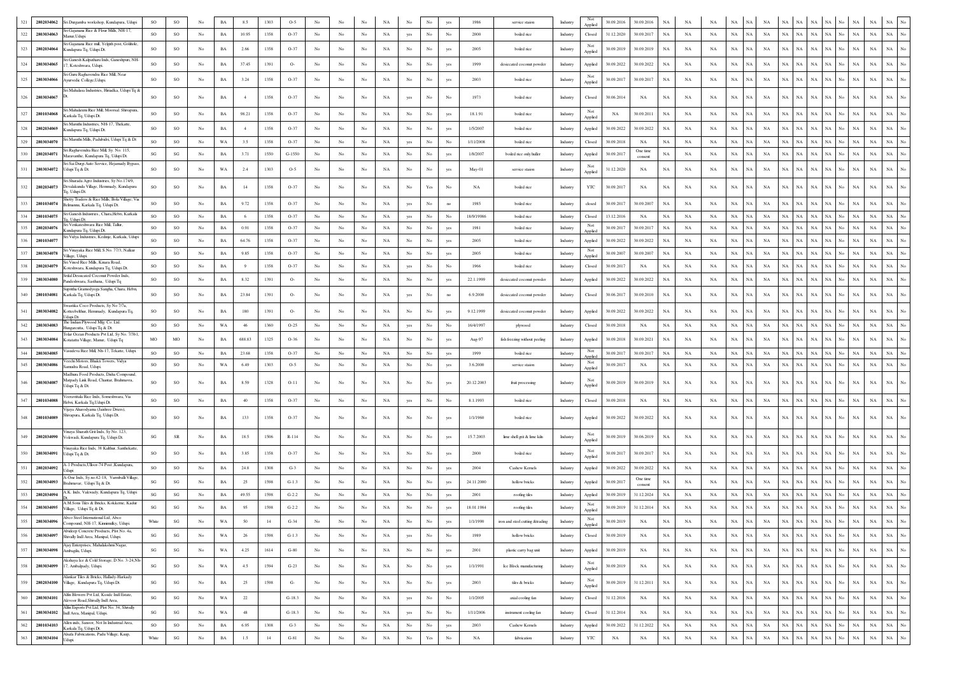| 321 |            | 2802034062 Sri Durgamba workshop, Kundapura, Udupi                                                              | SO                     | SO                     | No               | <b>BA</b>   | 8.5            | 1303 | $O-5$    | No               |                  |             |             |                                      | No                                                                              |                         | 1986        | service staion                  | Industry | Not<br>Applied    | 30.09.2016  | 30.09.2016          | $_{\rm NA}$ | NA                         | <b>NA</b>   | NA          |                            |                        |             |                   | NA                 | $_{\rm NA}$ | NA          |                  |
|-----|------------|-----------------------------------------------------------------------------------------------------------------|------------------------|------------------------|------------------|-------------|----------------|------|----------|------------------|------------------|-------------|-------------|--------------------------------------|---------------------------------------------------------------------------------|-------------------------|-------------|---------------------------------|----------|-------------------|-------------|---------------------|-------------|----------------------------|-------------|-------------|----------------------------|------------------------|-------------|-------------------|--------------------|-------------|-------------|------------------|
| 322 | 2803034063 | i Gajanana Rice & Flour Mills, NH-17,<br>Aanur.Udupi                                                            | SO                     | SO                     | $_{\mathrm{No}}$ | BA          | 10.95          | 1358 | $O-37$   | No               | $_{\rm No}$      | $_{\rm No}$ | NA          | yes                                  | $_{\rm No}$                                                                     | No                      | 2000        | boiled rice                     | Industry | Closed            | 31.12.2020  | 30.09.2017          | $_{\rm NA}$ | NA                         | NA          | $_{\rm NA}$ | NA<br>NA                   | NA<br>NA               | NA          | NA<br>No.         | $_{\rm NA}$        | $_{\rm NA}$ | NA          | No               |
| 323 | 2802034064 | Sri Gajanana Rice mill, Yelgith post, Golihole,<br>Cundapura Tq, Udupi Dt.                                      | <b>SO</b>              | SO                     | No               | BA          | 2.66           | 1358 | $O-37$   | No               | No               | No          | NA          | No                                   | No                                                                              | ves                     | 2005        | boiled rice                     | Industry | Applied           | 30.09.2019  | 30.09.2019          | NA          | NA                         | NA          | NA          | NA<br>NA                   | NA<br>NA               | NA          | NA                | $_{\rm NA}$        | $_{\rm NA}$ | NA          |                  |
| 324 | 2803034065 | ri Ganesh Kalpatharu Inds, Ganeshpuri, NH-<br>7, Koteshwara, Udupi.                                             | SO                     | SO                     | No               | BA          | 37.45          | 1391 | $O-$     | No.              | No               | No          | NA          | No                                   | No                                                                              | yes                     | 1999        | desiccated coconut powder       | Industry | Applied           | 30.09.2022  | 30.09.2022          | NA          | NA                         | NA          | $_{\rm NA}$ | NA<br>NA                   | $_{\rm NA}$<br>NA      | NA          | NA                | NA<br>No.          | $_{\rm NA}$ | $_{\rm NA}$ | No               |
| 325 | 2803034066 | Sri Guru Raghavendra Rice Mill. Near<br>Ayurvedic College, Udupi.                                               | SO                     | SO                     | No               | BA          | 3.24           | 1358 | $O-37$   | No               | No               | No          | NA          | No                                   | No                                                                              | yes                     | 2003        | boiled rice                     | Industry | Not<br>Applied    | 30.09.2017  | 30.09.2017          | NA          | NA                         | NA          | NA          | NA<br>NA                   | NA<br>NA               | $_{\rm NA}$ | NA<br>No          | NA                 | NA          | $_{\rm NA}$ | No               |
|     |            | ri Mahalasa Industries, Hiriadka, Udupi Tq &                                                                    |                        |                        |                  |             |                |      |          |                  |                  |             |             |                                      |                                                                                 |                         |             |                                 |          |                   |             |                     |             |                            |             |             |                            |                        |             |                   |                    |             |             |                  |
| 326 | 2803034067 |                                                                                                                 | SO                     | <sub>SO</sub>          | No               | $_{\rm BA}$ | $\overline{4}$ | 1358 | $O-37$   | No               | No               | No          | NA          | yes                                  | No                                                                              |                         | 1973        | boiled rice                     | Industry | Closed            | 30.06.2014  | NA                  | $_{\rm NA}$ | NA                         | NA          | $_{\rm NA}$ | NA<br>NA                   | NA<br>NA               | NA          | <b>NA</b>         | NA                 | $_{\rm NA}$ | NA          |                  |
| 327 | 2801034068 | iri Mahalaxmi Rice Mill, Moorsal. Shivapura,<br>Carkala Tq, Udupi Dt.<br>ri Maruthi Industries, NH-17, Thekatte | SO                     | SO                     | $_{\mathrm{No}}$ | BA          | 98.21          | 1358 | $O-37$   | $_{\mathrm{No}}$ | No               | No          | NA          | No                                   | No                                                                              |                         | 18.1.91     | boiled rice                     | Industry | Not<br>Applied    | NA          | 30.09.2011          | $_{\rm NA}$ | NA                         | NA          | $_{\rm NA}$ | NA<br>NA                   | NA<br><b>NA</b>        | $_{\rm NA}$ | <b>NA</b>         | NA<br>No.          | $_{\rm NA}$ | $_{\rm NA}$ | $\overline{N}$ o |
| 328 | 2802034069 | Kundapura To, Udupi Dt.                                                                                         | SO                     | SO                     | No               | BA          | $\overline{4}$ | 1358 | $O-37$   | No.              | No               | No          | NA          | No                                   | No                                                                              |                         | 1/5/2007    | boiled rice                     | Industry | Applied           | 30.09.2022  | 30.09.2022          | <b>NA</b>   | NA                         | NA          | NA          | NA.<br>NA                  | $_{\rm NA}$<br>NA      | $_{\rm NA}$ | <b>NA</b>         | NA<br>No.          | $_{\rm NA}$ | NA          | $_{\mathrm{No}}$ |
| 329 | 2803034070 | Sri Maruthi Mills, Padubidri, Udupi Tq & Dt                                                                     | SO                     | SO                     | No               | WA          | 3.5            | 1358 | $O-37$   | No               | No               | No          | NA          | yes                                  | $_{\rm No}$                                                                     | No                      | 1/11/2008   | boiled rice                     | Industry | Closed            | 30.09.2018  | NA                  | $_{\rm NA}$ | NA                         | NA          | $_{\rm NA}$ | <b>NA</b><br>NA            | NA<br>NA               | NA          | NA                | NA                 | $_{\rm NA}$ | $_{\rm NA}$ | No               |
| 330 | 2802034071 | Sri Raghavendra Rice Mill, Sy. No. 115.<br>Maravanthe, Kundapura Tq, Udupi Dt.                                  | $\mathbf{S}\mathbf{G}$ | $\mathbf{S}\mathbf{G}$ | No               | <b>BA</b>   | 3.71           | 1550 | $G-1550$ | No               | No               | No          | NA          | No                                   | No                                                                              | yes                     | 1/8/2007    | boiled rice only huller         | Industry | Applied           | 30.09.2017  | One time<br>consent | NA          | NA                         | NA          | NA          | NA<br>NA                   | NA<br>NA               | $_{\rm NA}$ | <b>NA</b>         | $_{\rm NA}$<br>No  | $_{\rm NA}$ | $_{\rm NA}$ | $_{\mathrm{No}}$ |
| 331 | 2803034072 | Sri Sai Durgi Auto Service, Hejamady Bypass<br>Udupi Tq & Dt.                                                   | SO                     | SO                     | No               | WA          | 2.4            | 1303 | $O-5$    | No.              | No               | No          | NA          | No                                   | No                                                                              | yes                     | May-01      | service staion                  | Industry | Not<br>Applied    | 31.12.2020  | NA                  | NA          | NA                         | NA          | $_{\rm NA}$ | <b>NA</b><br>NA            | NA<br>NA               | NA          | <b>NA</b>         | NA                 | $_{\rm NA}$ | $_{\rm NA}$ | No               |
| 332 | 2802034073 | Sri Sharada Agro Industries, Sy No.174/9,<br>Devalakunda Village, Hemmady, Kundapura<br>Tq, Udupi Dt.           | SO                     | SO                     | No               | BA          | 14             | 1358 | $O-37$   | $_{\rm No}$      | No               | No          | NA          | No                                   | Yes                                                                             | No                      | NA          | boiled rice                     | Industry | YTC               | 30.09.2017  | NA                  | $_{\rm NA}$ | NA                         | NA          | $_{\rm NA}$ | NA<br>NA                   | NA<br>NA               | NA          | NA                | No.<br>NA          | $_{\rm NA}$ | NA          |                  |
| 333 | 2801034074 | Shetty Traders & Rice Mills, Bola Village, Vi<br>Belmannu, Karkala Tq, Udupi Dt.                                | so                     | $SO$                   | No               | BA          | 9.72           | 1358 | $O-37$   | No               | No               | No          | NA          | yes                                  | No                                                                              | <sub>no</sub>           | 1985        | boiled rice                     | Industry | closed            | 30.09.2017  | 30.09.2007          | NA          | NA                         | NA          | NA          | NA<br>NA                   | $_{\rm NA}$<br>NA      | $_{\rm NA}$ |                   | $_{\rm NA}$        | NA          | NA          |                  |
| 334 | 2801034075 | Sri Ganesh Industries., Chara, Hebri, Karkala<br>lq, Udupi Dt                                                   | so                     | SO                     | $_{\mathrm{No}}$ | BA          | - 6            | 1358 | $O-37$   | No               | No               | $_{\rm No}$ | $_{\rm NA}$ | yes                                  | $_{\rm No}$                                                                     | No                      | 18/9/19986  | boiled rice                     | Industry | Closed            | 13.12.2016  | NA                  | $_{\rm NA}$ | NA                         | NA          | $_{\rm NA}$ | <b>NA</b><br>NA            | NA<br>NA               | NA          |                   | NA                 | $_{\rm NA}$ | $_{\rm NA}$ | No               |
| 335 | 2802034076 | iri Venkateshwara Rice Mill, Tallur,<br>Kundapura To. Udupi Dt.                                                 | SO                     | SO                     | No               | BA          | 0.91           | 1358 | $O-37$   | No               | No               | No          | $_{\rm NA}$ | No                                   | $_{\rm No}$                                                                     | yes                     | 1981        | boiled rice                     | Industry | Not<br>Applied    | 30.09.2017  | 30.09.2017          | $_{\rm NA}$ | NA                         | NA          | $_{\rm NA}$ | NA<br>NA                   | NA<br>NA               | NA          |                   | $_{\rm NA}$        | $_{\rm NA}$ | NA          |                  |
| 336 | 2801034077 | šri Vidya Industries, Kedinje, Karkala, Udupi                                                                   | SO                     | SO                     | No               | BA          | 64.76          | 1358 | $O-37$   | No.              | No               | No          | NA          | No                                   | No                                                                              | yes                     | 2005        | boiled rice                     | Industry | Applied           | 30.09.2022  | 30.09.2022          | NA          | NA                         | NA          | $_{\rm NA}$ | NA.<br>NA                  | <b>NA</b><br><b>NA</b> | NA          | NA                | $_{\rm NA}$<br>No  | $_{\rm NA}$ | $_{\rm NA}$ |                  |
| 337 | 2803034078 | Sri Vinayaka Rice Mill, S.No. 77/3, Nalkur                                                                      | SO                     | SO                     | No               | BA          | 9.85           | 1358 | $O-37$   | No               | No               | No          | NA          | No                                   | No                                                                              | yes                     | 2005        | boiled rice                     | Industry | Not               | 30.09.2007  | 30.09.2007          | NA          | NA                         | NA          | $_{\rm NA}$ | NA<br>NA                   | NA<br>NA               | $_{\rm NA}$ | NA                | $_{\rm NA}$<br>No  | $_{\rm NA}$ | $_{\rm NA}$ | No               |
|     | 2802034079 | /illage, Udupi.<br>ri Vinod Rice Mills, Kinara Road                                                             | SO                     | SO                     | No               | $_{\rm BA}$ | 9              | 1358 | $O-37$   | $_{\mathrm{No}}$ | $_{\rm No}$      | $_{\rm No}$ | NA          | yes                                  | No                                                                              | No                      | 1966        | boiled rice                     | Industry | Applied<br>Closed | 30.09.2017  | NA                  | $_{\rm NA}$ | NA                         | NA          | $_{\rm NA}$ | NA<br>NA                   | NA<br>NA               | NA          |                   | $_{\rm NA}$        | $_{\rm NA}$ | NA          |                  |
| 339 | 2803034080 | Coteshwara, Kundapura Tq, Udupi Dt<br>Srifal Dessicated Coconut Powder Inds,                                    | SO                     | SO                     | No               | $_{\rm BA}$ | 8.32           | 1391 | $O-$     | $_{\mathrm{No}}$ | $_{\mathrm{No}}$ | $_{\rm No}$ | NA          | $_{\rm No}$                          | No                                                                              | yes                     | 22.1.1999   | desiccated coconut powder       | Industry | Applied           | 30.09.2022  | 30.09.2022          | $_{\rm NA}$ | NA                         | NA          | $_{\rm NA}$ | NA<br>NA                   | NA<br>NA               | NA          | NA                | NA                 | $_{\rm NA}$ | NA          |                  |
| 340 | 2801034081 | Pandeshwara, Sasthana, Udupi Tq<br>upritha Gramodyoga Sangha, Chara, Hebri,<br>Karkala Tq, Udupi Dt.            | SO                     | SO                     | No               | BA          | 23.84          | 1391 | $O-$     | $_{\rm No}$      | No               | No          | NA          | yes                                  | No                                                                              |                         | 6.9.2000    | desiccated coconut powder       | Industry | Closed            | 30.06.2017  | 30.09.2010          | $_{\rm NA}$ | NA                         | NA          | $_{\rm NA}$ | NA<br>NA                   | NA<br>NA               | NA          | NA                | $_{\rm NA}$<br>No  | $_{\rm NA}$ | NA          |                  |
|     |            | Swastika Coco Products, Sy No 7/7a,                                                                             |                        |                        |                  |             |                |      |          |                  |                  |             |             |                                      |                                                                                 |                         |             |                                 |          |                   |             |                     |             |                            |             |             |                            |                        |             |                   |                    |             |             |                  |
| 341 | 2803034082 | Cotteebelthur, Hemmady, Kundapura Tq,<br>dupi Dt.<br>The Indian Plywood Mfg. Co. Ltd.                           | SO                     | SO                     | No               | BA          | 180            | 1391 | $O-$     | No               | No               | No          | NA          | No                                   | No                                                                              |                         | 9.12.1999   | desiccated coconut powder       | Industry | Applied           | 30.09.2022  | 30.09.2022          | $_{\rm NA}$ | NA                         | NA          | $_{\rm NA}$ | NA<br>NA                   | NA<br>NA               | NA          | <b>NA</b>         | NA<br>No.          | $_{\rm NA}$ | NA          | No               |
| 342 | 2803034083 | Hungarcutta, Udupi Tq & Dt.<br>Tolar Ocean Products Pvt Ltd, Sy No. 7/3b1                                       | SO                     | SO                     | No               | WA          | 46             | 1360 | $O-25$   | No               | No               | $_{\rm No}$ | NA          | yes                                  | No                                                                              | No                      | 16/4/1997   | plywood                         | Industry | Closed            | 30.09.2018  | NA                  | $_{\rm NA}$ | NA                         | NA          | $_{\rm NA}$ | NA<br>NA                   | NA<br>NA               | NA          | <b>NA</b>         | NA<br>No           | NA          | $_{\rm NA}$ | No               |
| 343 | 2803034084 | Kotatattu Village, Manur, Udupi Tq                                                                              | MO                     | MO                     | No               | BA          | 688.83         | 1325 | $O-36$   | No.              | No               | No          | NA          | No                                   | $_{\rm No}$                                                                     | yes                     | Aug-97      | fish freezing without peeling   | Industry | Applied           | 30.09.2018  | 30.09.2021          | NA          | NA                         | NA          | $_{\rm NA}$ | NA<br>NA                   | NA<br>NA               | $_{\rm NA}$ | NA                | $_{\rm NA}$        | $_{\rm NA}$ | $_{\rm NA}$ | No               |
| 344 | 2803034085 | Vasudeva Rice Mill, Nh-17, Tekatte, Udupi.                                                                      | <b>SO</b>              | <b>SO</b>              | No               | BA          | 23.68          | 1358 | $O-37$   | No               | No               | No          | NA          | No                                   | No                                                                              | yes                     | 1999        | boiled rice                     | Industry | Not<br>Annlier    | 30.09.2017  | 30.09.2017          | <b>NA</b>   | NA                         | NA          | NA          | NA<br>NA                   | NA<br>NA               | NA          | NA                | NA                 | $_{\rm NA}$ | $_{\rm NA}$ | No               |
| 345 | 2803034086 | 'eechi Motors, Bhakti Towers, Vidya<br>amudra Road, Udupi                                                       | so                     | SO                     | No               | WA          | 6.49           | 1303 | $O-5$    | No               | No               | No          | NA          | $_{\rm No}$                          | No                                                                              | yes                     | 3.6.2000    | service staion                  | Industry | Not<br>Applied    | 30.09.2017  | NA                  | NA          | NA                         | NA          | $_{\rm NA}$ | NA<br>NA                   | NA<br>NA               | $_{\rm NA}$ | <b>NA</b>         | $_{\rm NA}$<br>No  | $_{\rm NA}$ | $_{\rm NA}$ | No               |
| 346 | 2803034087 | Madhura Food Products, Disha Compound,<br>Aatpady Link Road, Chantar, Brahmavra,<br>Jdupi Tq & Dt.              | SO                     | SO                     | No               | BA          | 8.59           | 1328 | $O-11$   | No               | No               | No          | NA          | No                                   | No                                                                              |                         | 20.12.2003  | fruit processing                | Industry | Applied           | 30.09.2019  | 30.09.2019          | NA          | NA                         | NA          | NA          | NA<br>NA.                  | NA<br>NA               | NA          | NA                | NA<br>No           | NA          | NA          |                  |
| 347 | 2801034088 | 'eeravittala Rice Inds, Someshwara, Via<br>Hebri, Karkala Tq, Udupi Dt.                                         | so                     | SO                     | $_{\mathrm{No}}$ | BA          | $40\,$         | 1358 | $O-37$   | No               | No               | $_{\rm No}$ | NA          | yes                                  | $_{\mathrm{No}}$                                                                | No                      | 8.1.1993    | boiled rice                     | Industry | Closed            | 30.09.2018  | NA                  | $_{\rm NA}$ | NA                         | NA          | $_{\rm NA}$ | NA<br>NA                   | NA<br><b>NA</b>        | <b>NA</b>   | NA                | NA                 | $_{\rm NA}$ | $_{\rm NA}$ |                  |
| 348 | 2801034089 | Vijaya Aharodyama (Jaishree Driers).<br>Shivapura, Karkala Tq, Udupi Dt.                                        | SO.                    | SO                     | No               | <b>BA</b>   | 133            | 1358 | $O-37$   | No               | No               | No          | NA          | No                                   | No                                                                              | ves                     | 1/1/1960    | boiled rice                     | Industry | Applied           | 30.09.2022  | 30.09.2022          | <b>NA</b>   | NA                         | NA          | NA          | NA<br>NA                   | NA<br>NA               | <b>NA</b>   | NA                | <b>NA</b>          | <b>NA</b>   | NA          |                  |
| 349 | 2802034090 | Vinava Sharath Grit Inds. Sv No. 123.                                                                           | SG                     | SR                     | No               | BA          | 18.5           | 1506 | R-114    | No               | No               | No          | NA          | No                                   | No                                                                              | yes                     | 15.7.2003   | lime shell grit & lime kiln     | Industry |                   | 30.09.2019  | 30.06.2019          | NA          | NA                         | NA          | NA          | NA<br>NA                   | NA<br>NA               | NA          |                   | NA                 | NA          | $_{\rm NA}$ | No               |
|     |            | Vokwadi, Kundapura Tq, Udupi Dt.<br>/inayaka Rice Inds, 38 Kalthur, Santhekatte                                 |                        |                        |                  |             |                |      |          |                  |                  |             |             |                                      |                                                                                 |                         |             |                                 |          | Applied           |             |                     |             |                            |             |             |                            |                        |             |                   |                    |             |             |                  |
| 350 | 2803034091 | Udupi Tq & Dt.<br>A-1 Products, Ulloor-74 Post .Kundapura                                                       | so                     | SO                     | No               | BA          | 3.85           | 1358 | $O-37$   | No.              | No               | No          | NA          | No                                   | $_{\rm No}$                                                                     | yes                     | 2000        | boiled rice                     | Industry | Applied           | 30.09.2017  | 30.09.2017          | NA          | NA                         | NA          | $_{\rm NA}$ | NA<br>NA                   | NA<br>NA               | NA          | NA                | $_{\rm NA}$<br>No. | $_{\rm NA}$ | $_{\rm NA}$ |                  |
| 351 | 2802034092 | Idun<br>A-One Inds, Sy.no.42-18, Varmballi Village                                                              | so                     | SO                     | $_{\mathrm{No}}$ | BA          | 24.8           | 1308 | $G-3$    | No               | No               | No          | NA          | $_{\rm No}$                          | $_{\rm No}$                                                                     | ves                     | 2004        | Cashew Kernels                  | Industry | Applied           | 30.09.2022  | 30.09.2022          | NA          | NA                         | NA          | NA          | NA<br>NA                   | NA<br>NA               | <b>NA</b>   | NA                | NA                 | $_{\rm NA}$ | $_{\rm NA}$ | $\overline{N}$ o |
| 352 | 2803034093 | Brahmavar, Udupi Tq & Dt.                                                                                       | $\mathbf{S}\mathbf{G}$ | $\mathbf{S}\mathbf{G}$ | $_{\rm No}$      | $_{\rm BA}$ | 25             | 1598 | $G-1.3$  | No               | No               | No          | NA          | $_{\rm No}$                          | No                                                                              | yes                     | 24.11.2000  | hollow bricks                   | Industry | Applied           | 30.09.2017  | One time<br>consent | $_{\rm NA}$ | $_{\rm NA}$                | NA          | $_{\rm NA}$ | <b>NA</b><br>$_{\rm NA}$   | NA<br>NA               | $_{\rm NA}$ | NA                | NA                 | $_{\rm NA}$ | $_{\rm NA}$ | $\overline{N}$ o |
| 353 | 2802034094 | A.K. Inds, Vakwady, Kundapura Tq, Udupi                                                                         | $\mathbf{S}\mathbf{G}$ | SG                     | No               | $_{\rm BA}$ | 49.55          | 1598 | $G-2.2$  | No               | No               | No          | NA          | No                                   | $_{\mathrm{No}}$                                                                | yes                     | 2001        | roofing tiles                   | Industry | Applied           | 30.09.2019  | 31.12.2024          | NA          | NA                         | NA          | NA          | NA<br>NA                   | NA<br>NA               | NA          | NA                | NA<br>No.          | $_{\rm NA}$ | $_{\rm NA}$ | No               |
| 354 | 2803034095 | A.M.Sons Tiles & Bricks, Kokkerne, Kadur<br>Village, Udupi Tq & Dt.                                             | $\mathbf{S}\mathbf{G}$ | $\mathbf{S}\mathbf{G}$ | $_{\rm No}$      | $_{\rm BA}$ | 95             | 1598 | $G-2.2$  | $_{\rm No}$      | $_{\rm No}$      | No          | NA          | $_{\rm No}$                          | No                                                                              | yes                     | 18.01.1984  | roofing tiles                   | Industry | Not<br>Applied    | 30.09.2019  | 31.12.2014          | NA          | NA                         | NA          | NA          | NA<br>NA                   | $_{\rm NA}$<br>NA      | NA          | NA                | $_{\rm NA}$        | $_{\rm NA}$ | $_{\rm NA}$ |                  |
| 355 | 2803034096 | Abco Steel International Ltd, Abco<br>'ompound NH-17 Kinnimulk                                                  | White                  | $\mathbf{S}\mathbf{G}$ | $_{\mathrm{No}}$ | WA          | 50             | 14   | $G-34$   | No               | No               | No          | $_{\rm NA}$ | No                                   | No                                                                              | ves                     | 1/1/1990    | iron and steel cutting &trading | Industry | Not<br>Applied    | 30.09.2019  | $_{\rm NA}$         | NA          | NA                         | NA          | NA          | $_{\rm NA}$                | $_{\rm NA}$<br>NA      | NA          | NA                | $_{\rm NA}$<br>No  | NA          | $_{\rm NA}$ |                  |
| 356 | 2803034097 | Abideep Concrete Products, Plot No. 4a,<br>Shivally Indl Area, Manipal, Udupi.                                  | $\mathbf{S}\mathbf{G}$ | $\mathbf{S}\mathbf{G}$ | $_{\mathrm{No}}$ | WA          | $26\,$         | 1598 | $G-1.3$  | No               | $_{\mathrm{No}}$ | $_{\rm No}$ | $_{\rm NA}$ | yes                                  | $_{\rm No}$                                                                     | $_{\mathrm{No}}$        | 1989        | hollow bricks                   | Industry | Closed            | 30.09.2019  | NA                  | $_{\rm NA}$ | $_{\rm NA}$                | $_{\rm NA}$ | $_{\rm NA}$ | $_{\rm NA}$<br>NA          | NA<br>$_{\rm NA}$      | $_{\rm NA}$ | NA<br>No          | $_{\rm NA}$        | $_{\rm NA}$ | $_{\rm NA}$ | $_{\mathrm{No}}$ |
| 357 | 2803034098 | Aiav Enterprises, Mahalakshmi Nagar,<br>Ambagilu, Udupi.                                                        | $\mathbf{S}\mathbf{G}$ | $\mathbf{S}\mathbf{G}$ | $_{\mathrm{No}}$ | WA          | 4.25           | 1614 | $G-80$   | $_{\mathrm{No}}$ | $_{\mathrm{No}}$ | $_{\rm No}$ | $_{\rm NA}$ | $_{\mathrm{No}}$                     | $_{\mathrm{No}}$                                                                | yes                     | 2001        | plastic carry bag unit          | Industry | Applied           | 30.09.2019  | $_{\rm NA}$         | $_{\rm NA}$ | $_{\rm NA}$                | NA          | $_{\rm NA}$ | $_{\rm NA}$<br>NA          | NA<br>$_{\rm NA}$      | $_{\rm NA}$ | $_{\rm NA}$       | No<br>$_{\rm NA}$  | $_{\rm NA}$ | $_{\rm NA}$ | $_{\mathrm{No}}$ |
| 358 | 2803034099 | Akshaya Ice & Cold Storage, D No. 3-24, Nh-<br>17, Ambalpady, Udupi.                                            | SG                     | SO                     | $_{\mathrm{No}}$ | WA          | 4.5            | 1594 | $G-23$   | No               | $_{\rm No}$      | $_{\rm No}$ | $_{\rm NA}$ | $_{\mathrm{No}}$                     | $_{\mathrm{No}}$                                                                | yes                     | 1/1/1991    | Ice Block manufacturing         | Industry | Not<br>Applied    | 30.09.2019  | $_{\rm NA}$         | $_{\rm NA}$ | $_{\rm NA}$                | $_{\rm NA}$ | $_{\rm NA}$ | NA<br>NA                   | NA<br>NA               | NA          | <b>NA</b>         | $_{\rm NA}$<br>No  | $_{\rm NA}$ | $_{\rm NA}$ | $_{\mathrm{No}}$ |
| 359 |            | Alankar Tiles & Bricks, Hallady-Harkady<br>2802034100 Village, Kundapura Tq, Udupi Dt.                          | $\mathbf{S}\mathbf{G}$ | $\mathbf{S}\mathbf{G}$ | $_{\mathrm{No}}$ | $_{\rm BA}$ | 25             | 1598 | $G-$     | No               | No               | $_{\rm No}$ | $_{\rm NA}$ | No                                   | $_{\mathrm{No}}$                                                                | yes                     | 2003        | tiles & bricks                  | Industry | Not<br>Applied    | 30.09.2019  | 31.12.2011          | $_{\rm NA}$ | $_{\rm NA}$                | NA          | $_{\rm NA}$ | $_{\rm NA}$<br>NA          | NA<br>NA               | $_{\rm NA}$ | NA                | $_{\rm NA}$<br>No  | NA          | $_{\rm NA}$ | $_{\rm No}$      |
| 360 | 2803034101 | Alfin Blowers Pvt Ltd, Ksside Indl Estate,<br>Alevoor Road, Shivally Indi Area.                                 | $\mathbf{S}\mathbf{G}$ | $\mathbf{S}\mathbf{G}$ | $_{\rm No}$      | $_{\rm WA}$ | $22\,$         |      | $G-18.3$ | $_{\rm No}$      | $_{\mathrm{No}}$ | $_{\rm No}$ | $_{\rm NA}$ | yes                                  | $_{\mathrm{No}}$                                                                | $_{\mathrm{No}}$        | 1/1/2005    | axial cooling fan               | Industry | Closed            | 31.12.2016  | $_{\rm NA}$         | $_{\rm NA}$ | $_{\rm NA}$                | $_{\rm NA}$ | $_{\rm NA}$ | <b>NA</b><br>NA            | NA<br>$_{\rm NA}$      | $_{\rm NA}$ | $_{\rm NA}$<br>No | $_{\rm NA}$        | $_{\rm NA}$ | $_{\rm NA}$ | $_{\mathrm{No}}$ |
| 361 |            | Alfin Exports Pvt Ltd, Plot No. 34, Shivally<br>2803034102 Indl Area, Manipal, Udupi.                           | $\mathbf{S}\mathbf{G}$ | $\mathbf{S}\mathbf{G}$ | $_{\mathrm{No}}$ | WA          | 48             |      | $G-18.3$ | No               | No               | $_{\rm No}$ | $_{\rm NA}$ | yes                                  | $_{\rm No}$                                                                     | No                      | 1/11/2006   | instrument cooling fan          | Industry | Closed            | 31.12.2014  | NA                  | NA          | $_{\rm NA}$                | NA          | $_{\rm NA}$ | NA<br>NA                   | NA<br>NA               | $_{\rm NA}$ | $_{\rm NA}$<br>No | $_{\rm NA}$        | $_{\rm NA}$ | $_{\rm NA}$ | No               |
| 362 | 2801034103 | Allen inds, Sanoor, Not In Industrial Area,                                                                     | $\rm SO$               | SO                     | $_{\mathrm{No}}$ | $_{\rm BA}$ | 6.95           | 1308 | $G-3$    | No               | No               | $_{\rm No}$ |             |                                      |                                                                                 |                         |             |                                 |          |                   |             |                     |             |                            |             |             | NA                         | NA<br>NA               | $_{\rm NA}$ | NA<br>No          | $_{\rm NA}$        | $_{\rm NA}$ | $_{\rm NA}$ | $_{\mathrm{No}}$ |
|     |            |                                                                                                                 |                        |                        |                  |             |                |      |          |                  |                  |             | NA          |                                      | $_{\mathrm{No}}$                                                                |                         | 2003        | Cashew Kernels                  | Industry |                   | 30.09.2022  | 31.12.2022          | $_{\rm NA}$ |                            | NA          | $_{\rm NA}$ | NA                         |                        |             |                   |                    |             |             |                  |
| 363 | 2803034104 | Karkala Tq, Udupi Dt.<br>Alsafa Fabrications, Padu Village, Kaup,<br>Udupi.                                     | White                  | $\mathbf{SG}$          | $_{\mathrm{No}}$ | $_{\rm BA}$ | 1.5            | 14   | $G-81$   | $_{\rm No}$      | $_{\rm No}$      | $_{\rm No}$ | $_{\rm NA}$ | $_{\mathrm{No}}$<br>$_{\mathrm{No}}$ | $\operatorname*{Yes}% \left( X\right) \equiv\operatorname*{Yes}\left( X\right)$ | yes<br>$_{\mathrm{No}}$ | $_{\rm NA}$ | fabrication                     | Industry | Applied<br>YTC    | $_{\rm NA}$ | $_{\rm NA}$         | $_{\rm NA}$ | $_{\rm NA}$<br>$_{\rm NA}$ | $_{\rm NA}$ | $_{\rm NA}$ | $_{\rm NA}$<br>$_{\rm NA}$ | NA NA                  | $_{\rm NA}$ | $_{\rm NA}$<br>No | $_{\rm NA}$        | $_{\rm NA}$ | $_{\rm NA}$ | $_{\mathrm{No}}$ |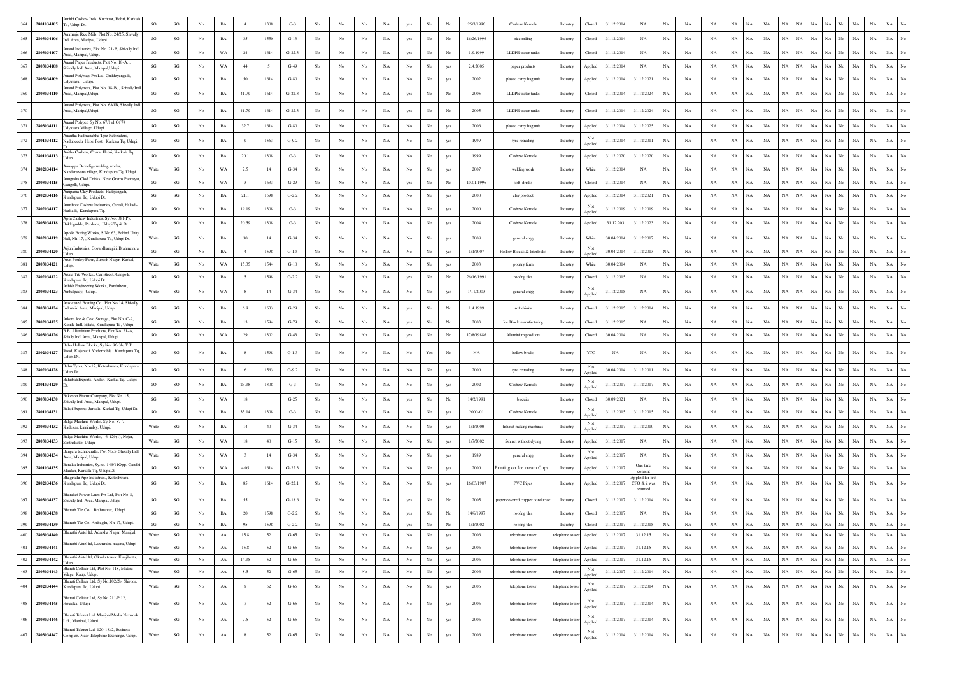| 2801034105        | mithi Cashew Inds, Kuchoor, Hebri, Karkala<br>Fa. Udupi Dt.                                      | SO                                                        | SO                     |                | BA          |                         | 1308   | $G-3$    |                  |                  |             | NA          | yes              | No          |     | 26/3/1996  | Cashew Kernels                 | 31.12.2014<br>Closed<br>NA<br>NA<br>NA<br>NA<br>NA<br>$_{\rm NA}$<br>Industry                                                                                                                                                                                |
|-------------------|--------------------------------------------------------------------------------------------------|-----------------------------------------------------------|------------------------|----------------|-------------|-------------------------|--------|----------|------------------|------------------|-------------|-------------|------------------|-------------|-----|------------|--------------------------------|--------------------------------------------------------------------------------------------------------------------------------------------------------------------------------------------------------------------------------------------------------------|
| 2803034106        | Ammunje Rice Mills, Plot No. 24/25, Shivally<br>Indl Area, Manipal, Udupi                        | SG                                                        | $\mathbf{S}\mathbf{G}$ | No             | $_{\rm BA}$ | 35                      | 1550   | $G-13$   | No               | No               | No          | NA          | yes              | No          | No  | 16/26/1996 | rice milling                   | $_{\rm NA}$<br>NA<br>31.12.2014<br>NA<br>NA<br>NA<br>NA<br>NA<br>NA<br>$_{\rm NA}$<br>Closed<br>NA<br>NA<br>NA<br>NA<br>NA<br>No<br>No<br>Industry                                                                                                           |
| 2803034107        | nand Industries, Plot No. 21-B. Shivally Ind<br>Area, Manipal, Udupi.                            | SG                                                        | SG                     | No             | WA          | 24                      | 1614   | $G-22.3$ | No               | No               | No          | NA          | yes              | $_{\rm No}$ | No  | 1.9.1999   | <b>LLDPE</b> water tanks       | $_{\rm NA}$<br>$_{\rm No}$<br>NA<br>NA<br>NA<br>$_{\rm NA}$<br>NA<br>No<br>NA<br>$_{\rm NA}$<br>31.12.2014<br>NA<br>NA<br>NA<br>NA<br>NA<br>Industry<br>Closed<br>NA                                                                                         |
| 2803034108        | Anand Paper Products, Plot No. 18-A,<br>Shivally Indl Area, Manipal, Udup                        | SG                                                        | $\mathbf{S}\mathbf{G}$ | No             | WA          | 44                      |        | $G-49$   | No               | No               | No          | NA          | No               | No          | yes | 2.4.2005   | paper products                 | NA<br>$_{\rm NA}$<br>NA<br>NA<br>$_{\rm NA}$<br>NA<br>NA<br>$_{\rm NA}$<br>31.12.2014<br>NA<br>NA<br>NA<br>NA<br>No<br>NA<br>No<br>Industry<br>Applied<br>NA                                                                                                 |
| 2803034109        | Anand Polybags Pvt Ltd, Guddeyangadi,<br>Udyavara, Udupi                                         | SG                                                        | $\mathbf{S}\mathbf{G}$ | No             | $_{\rm BA}$ | 50                      | 1614   | $G-80$   | No               | No               | No          | $_{\rm NA}$ | $_{\rm No}$      | $_{\rm No}$ | yes | 2002       | plastic carry bag unit         | 31.12.2014<br>31.12.2021<br>$_{\rm NA}$<br>$_{\rm NA}$<br>NA<br>$_{\rm NA}$<br>NA<br>$_{\rm NA}$<br>$_{\rm NA}$<br>$_{\rm NA}$<br>No<br>NA<br>$_{\rm NA}$<br>$_{\rm NA}$<br>No<br>Industry<br>Applied<br>NA<br>NA                                            |
| 2803034110        | Anand Polymers, Plot No. 18-B., Shivally Ind<br>Area, Manipal, Udupi                             | SG                                                        | SG                     | No             | BA          | 41.79                   | 1614   | $G-22.3$ | No               | No               | No          | NA          | yes              | No          | No  | 2005       | <b>LLDPE</b> water tanks       | NA<br>Industry<br>Closed<br>31.12.2014<br>31.12.2024<br>NA<br>NA<br>NA<br>NA<br>NA<br>NA<br><b>NA</b><br>NA<br><b>NA</b><br>No<br>NA<br>NA<br><b>NA</b>                                                                                                      |
|                   | Anand Polymers, Plot No. 6A1B, Shivally Ind<br>Area, Manipal, Udupi                              | SG                                                        | $\mathbf{S}\mathbf{G}$ | No             | BA          | 41.79                   | 1614   | $G-22.3$ | No               | No               | No          | NA          | yes              | No          | No  | 2005       | <b>LLDPE</b> water tanks       | Closed<br>31.12.2014<br>31.12.2024<br>NA<br>NA<br>NA<br>NA<br>NA<br>NA<br>NA<br>NA<br>NA<br>NA<br>No<br>NA<br>NA<br>NA<br>Industry                                                                                                                           |
| 2803034111        | Anand Polypet, Sy No. 67/1a1 Of 74<br>Udvavara Village, Udupi                                    | SG                                                        | SG                     | No             | BA          | 32.7                    | 1614   | $G-80$   | No               | No               | No          | NA          | No               | No          | yes | 2006       | plastic carry bag unit         | $_{\rm NA}$<br>NA<br>$_{\rm NA}$<br>$_{\rm NA}$<br>NA<br>No<br>NA<br>$_{\rm NA}$<br>$_{\rm NA}$<br>Industry<br>Applied<br>31.12.2014<br>31.12.2025<br>NA<br>NA<br>NA<br>NA<br><b>NA</b>                                                                      |
| 2801034112        | Anantha Padmanabha Tyre Retreaders,<br>Nadubeedu, Hebri Post, Karkala Tq, Udup                   | SG                                                        | SG                     | No             | BA          | $\mathbf Q$             | 1563   | $G-9.2$  | No               | No               | No          | NA          | No               | No.         | yes | 1999       | tyre retrading                 | Not<br>$_{\rm NA}$<br>31.12.2011<br>NA<br>NA<br>NA<br>NA<br>$_{\rm NA}$<br>NA<br>NA<br>31.12.2014<br><b>NA</b><br><b>NA</b><br>NA<br>No<br><b>NA</b><br>Industry<br>NA                                                                                       |
| 2801034113        | Anitha Cashew, Chara, Hebri, Karkala Tq.<br>Udupi                                                | <b>SO</b>                                                 | SO                     | No             | BA          | 20.1                    | 1308   | $G-3$    | No               | No               | No          | NA          | No               | No          |     | 1999       | Cashew Kernels                 | Applied<br>NA  <br>31.12.2020<br>31.12.2020<br>NA<br>$_{\rm NA}$<br>NA<br>NA<br>$_{\rm NA}$<br>No<br>NA<br>NA<br>NA<br>NA<br>NA<br>NA<br>NA<br>Industry<br>Applied                                                                                           |
| 2802034114        | mappa Devadiga welding works.<br>Nandanavana village, Kundapura Tq, Udupi                        | White                                                     | $\mathbf{S}\mathbf{G}$ | No             | WA          | 2.5                     | 14     | $G-34$   | No               | No               | No          | NA          | No               | No          |     | 2007       | welding work                   | NA<br>$_{\rm NA}$<br>NA<br>NA<br>$_{\rm NA}$<br>NA<br>No<br>NA<br>NA<br>NA<br>White<br>31.12.2014<br>NA<br>NA<br>NA<br>NA<br>NA<br>Industry                                                                                                                  |
| 2803034115        | Anugraha Clod Drinks, Near Grama Panhaya<br>Gangolli, Udupi                                      | $\mathbf{S}\mathbf{G}$                                    | $\mathbf{S}\mathbf{G}$ | No             | WA          | $\overline{\mathbf{3}}$ | 1633   | $G-29$   | No               | No               | No          | $_{\rm NA}$ | yes              | $_{\rm No}$ | No  | 10.01.1996 | soft drinks                    | $_{\rm NA}$<br>31.12.2014<br>NA<br>$_{\rm NA}$<br>$_{\rm NA}$<br>NA<br>$_{\rm NA}$<br>NA<br>NA<br>$_{\rm NA}$<br>NA<br>No<br>NA<br>$_{\rm NA}$<br>No<br>Industry<br>Closed<br>NA<br><b>NA</b>                                                                |
| 2802034116        | nupama Clay Products, Hattiyangadi,<br>Kundapura Tq, Udupi Dt.                                   | SG                                                        | $\mathbf{S}\mathbf{G}$ | No             | BA          | 21.1                    | 1598   | $G-2.2$  | No               | No               | No          | NA          | No               | No          |     | 2000       | clay product                   | $_{\rm NA}$<br>$_{\rm No}$<br>NA<br>NA<br>NA<br>$_{\rm NA}$<br>NA No<br>$_{\rm NA}$<br>$_{\rm NA}$<br>Industry<br>Applied<br>31.12.2014<br>31.12.2021<br>NA<br>NA<br>NA<br>NA<br>NA.                                                                         |
| 2802034117        | Anushree Cashew Industries, Gavali, Halladi<br>Harkadi, Kundapura Tq.                            | <b>SO</b>                                                 | SO                     | No             | BA          | 19.19                   | 1308   | $G-3$    | No               | No               | No          | $_{\rm NA}$ | No               | No          | yes | 2000       | Cashew Kernels                 | Not<br>31.12.2019<br>$_{\rm NA}$<br>NA<br>NA<br>NA<br>NA<br>NA<br>$_{\rm NA}$<br>NA<br>No.<br>NA<br>$_{\rm NA}$<br>NA<br>Industry<br>31.12.2019<br><b>NA</b><br>N٨<br>Applied                                                                                |
| 2803034118        | Apm Cashew Industries, Sy.No. 381(P),<br>Bukkigudde, Perdoor, Udupi Ta & Dt.                     | SO                                                        | $_{\rm SO}$            | No             | BA          | 20.59                   | 1308   | $G-3$    | No               | No               | No          | NA          | No               | No          |     | 2004       | Cashew Kernels                 | NA<br>31.12.2023<br>NA<br>NA<br>NA<br>$_{\rm NA}$<br>NA<br>No<br>$_{\rm NA}$<br>$_{\rm NA}$<br>No<br>Industry<br>Applied<br>31.12.203<br>NA<br>NA<br>NA<br>NA<br>NA                                                                                          |
| 2802034119        | Apollo Boring Works, S.No.63, Behind Unit<br>Hall, Nh-17, , Kundapura Tq, Udupi Dt.              | $% \left\vert \mathcal{L}_{\mathcal{A}}\right\vert$ White | SG                     | No             | BA          | 30                      | 14     | $G-34$   | No               | No               | No          | $_{\rm NA}$ | No               | No          |     | 2008       | general engg                   | NA  <br>No<br>$_{\rm NA}$<br>$_{\rm NA}$<br>31.12.2017<br>NA<br>$_{\rm NA}$<br>NA<br>NA<br>$_{\rm NA}$<br>NA<br>White<br>30.04.2014<br>NA<br>NA<br>NA<br>NA<br>Industry                                                                                      |
| 2803034120        | Arjun Industries, Govardhanagiri, Brahmava                                                       | $\mathbf{S}\mathbf{G}$                                    | $\mathbf{S}\mathbf{G}$ | No             | BA          | $\overline{4}$          | 1598   | $G-1.5$  | No               | No               | No          | $_{\rm NA}$ | No               | No          |     | 1/1/2007   | Hollow Blocks & Interlocks     | Not<br>$_{\rm NA}$<br>$_{\rm NA}$<br>$_{\rm NA}$<br>31.12.2013<br>NA<br>NA<br>$_{\rm NA}$<br>NA<br>NA<br>NA<br>No<br>NA<br>30.04.2014<br>NA<br>NA<br>NA<br>Industry<br>Applied                                                                               |
| 2803034121        | Arun Poultry Farm, Subash Nagar, Kurkal<br>Udupi                                                 | White                                                     | $\mathbf{S}\mathbf{G}$ | No             | WA          | 15.35                   | 1544   | $G-10$   | No               | No               | No          | $_{\rm NA}$ | $_{\rm No}$      | $_{\rm No}$ | yes | 2003       | poultry farm                   | 30.04.2014<br>NA<br>$_{\rm NA}$<br>$_{\rm NA}$<br>NA<br>$_{\rm NA}$<br>NA<br>NA<br>$_{\rm NA}$<br>NA<br>No<br>NA<br>$_{\rm NA}$<br>$_{\rm NA}$<br>No<br>Industry<br>White<br>NA<br>NA                                                                        |
| 2802034122        | Aruna Tile Works., Car Street, Gangolli,<br>undapura Tq, Udupi Dt.                               | SG                                                        | SG                     | No             | $_{\rm BA}$ | - 5                     | 1598   | $G-2.2$  | No               | No               | No          | NA          | yes              | No          | No  | 26/16/1991 | roofing tiles                  | $_{\rm NA}$<br>31.12.2015<br>NA<br>NA<br>NA<br>NA<br>NA<br>NA<br>$_{\rm NA}$<br>NA<br>NA<br>$_{\rm NA}$<br>No<br>Industry<br>NA<br>NA<br>No<br>Closed<br>NA                                                                                                  |
| 2803034123        | Ashish Engineering Works, Pandubettu<br>Ambalpady, Udupi.                                        | White                                                     | $\mathbf{S}\mathbf{G}$ | No             | WA          |                         | 14     | $G-34$   | No               | No               | No          | NA          | $_{\rm No}$      | $_{\rm No}$ | yes | 1/11/2003  | general engg                   | Not<br>31.12.2015<br>NA<br>$_{\rm NA}$<br>NA<br>$_{\rm NA}$<br>$_{\rm NA}$<br>$_{\rm NA}$<br>$_{\rm NA}$<br>NA<br>No<br>NA<br>$_{\rm NA}$<br>$_{\rm NA}$<br>Industry<br>NA<br>NA<br>NA<br>Applied                                                            |
| 2803034124        | Associated Bottling Co., Plot No.14, Shivally<br>Industrial Area, Manipal, Udupi.                | SG                                                        | $\mathbf{S}\mathbf{G}$ | N <sub>0</sub> | BA          | 6.9                     | 1633   | $G-29$   | No               | No               | No          | NA          | yes              | No          | No  | 1.4.1999   | soft drinks                    | 31.12.2014<br>$_{\rm NA}$<br>Industry<br>Closed<br>31.12.2015<br>NA<br>NA<br>NA<br>NA<br>NA<br>NA<br>NA<br>NA<br>NA<br>No<br>NA<br>NA<br>NA                                                                                                                  |
| 385<br>2802034125 | Atkere Ice & Cold Storage, Plot No. C-9<br>Ksside Indl. Estate, Kundapura Tq, Udupi              | $\mathbf{S}\mathbf{G}$                                    | SO                     | No             | $_{\rm BA}$ | 13                      | 1594   | $G-79$   | No               | No               | $_{\rm No}$ | $_{\rm NA}$ | yes              | $_{\rm No}$ | No  | 2003       | Ice Block manufacturing        | 31.12.2015<br>NA<br>$_{\rm NA}$<br>$_{\rm NA}$<br>NA<br>NA<br>NA<br>NA<br>NA<br>NA<br>$_{\rm NA}$<br>NA<br>No<br>NA<br>$_{\rm NA}$<br>$_{\rm NA}$<br>Industry<br>Closed                                                                                      |
| 2803034126        | 3.B. Alluminium Products, Plot No. 21-A,<br>Shially Indl Area, Manipal, Udupi                    | <b>SO</b>                                                 | $\mathbf{S}\mathbf{G}$ | No             | WA          | 29                      | 1302   | $G-43$   | No               | No               | No          | $_{\rm NA}$ | yes              | No          | No  | 17/8/19886 | Alluminium products            | NA<br>$_{\rm NA}$<br>NA<br>$_{\rm NA}$<br>NA<br>NA<br>Industry<br>30.04.2014<br>NA<br>NA<br><b>NA</b><br>NA<br>NA<br>No.<br>NA<br>NA.<br>Closed<br>NA                                                                                                        |
| 2802034127<br>387 | Baba Hollow Blocks, Sv No. 86-3b, T.T.<br>oad, Kajapadi, Voderhobli, , Kundapura Tq.<br>dupi Dt. | $\mathbf{S}\mathbf{G}$                                    | $\mathbf{S}\mathbf{G}$ | No             | $_{\rm BA}$ |                         | 1598   | $G-1.3$  | No               | No               | No          | NA          | No               | Yes         | No  | NA         | hollow bricks                  | YTC<br>$_{\rm NA}$<br>NA<br>$_{\rm NA}$<br>$_{\rm NA}$<br>$_{\rm NA}$<br>$_{\rm NA}$<br>NA<br>$_{\rm No}$<br>NA<br>$_{\rm NA}$<br>NA<br>Industry<br>NA<br>NA<br>NA<br>NA<br>NA                                                                               |
| 2802034128<br>388 | Babu Tyres, Nh-17, Koteshwara, Kundapur.<br>Jdupi Dt.                                            | $\mathbf{S}\mathbf{G}$                                    | SG                     | No             | $_{\rm BA}$ | 6                       | 1563   | $G-9.2$  | No               | No               | $_{\rm No}$ | $_{\rm NA}$ | $_{\rm No}$      | $_{\rm No}$ | yes | 2000       | tyre retrading                 | Not<br>30.04.2014<br>31.12.2011<br>$_{\rm NA}$<br>$_{\rm NA}$<br>NA<br>NA<br>NA<br>NA<br>NA NA<br>$_{\rm NA}$<br>NA  <br>No<br>NA<br>$_{\rm NA}$<br>$_{\rm NA}$<br>Industry<br>Applied                                                                       |
| 389<br>2801034129 | 3ahubali Exports, Andar, Karkal Tq, Udupi                                                        | SO                                                        | SO                     | No             | BA          | 23.98                   | 1308   | $G-3$    | No               | No               | No          | NA          | No               | No          | yes | 2002       | Cashew Kernels                 | Not<br>NA<br>NA<br>NA<br>NA<br>NA<br>$_{\rm NA}$<br>No.<br>NA<br>$_{\rm NA}$<br>NA<br>Industry<br>31.12.2017<br>31.12.2017<br>NA<br>NA<br>NA<br>NA<br>Applied                                                                                                |
| 2803034130        | Bakeson Biscuit Company, Plot No. 15.<br>Shivally Indl Area, Manipal, Udupi                      | $\mathbf{S}\mathbf{G}$                                    | SG                     | No             | WA          | 18                      |        | $G-25$   | No               | No               | No          | NA          | yes              | No          | No  | 14/2/1991  | biscuits                       | NA<br>$_{\rm NA}$<br>NA<br>NA<br>NA<br>NA<br>$_{\rm NA}$<br>NA<br>Industry<br>30.09.2021<br>NA<br>NA<br>NA<br>NA<br>NA<br>No.<br>Closed<br>NA                                                                                                                |
| 2801034131        | alaji Exports, Jarkala, Karkal Tq, Udupi Dt                                                      | SO                                                        | SO                     | No             | BA          | 35.14                   | 1308   | $G-3$    | No               | No               | No          | $_{\rm NA}$ | No               | $_{\rm No}$ | yes | 2000-01    | Cashew Kernels                 | Not<br>31.12.2015<br>31.12.2015<br>NA<br>$_{\rm NA}$<br>$_{\rm NA}$<br>$_{\rm NA}$<br>$_{\rm NA}$<br>$_{\rm NA}$<br>$_{\rm NA}$<br>No<br>NA<br>$_{\rm NA}$<br><b>NA</b><br>Industry<br>NA<br>NA<br>Ń<br>Applied                                              |
| 2803034132        | Baliga Machine Works, Sv No. 87-7<br>Kadekar, kinnimulky, Udupi.                                 | White                                                     | $\mathbf{S}\mathbf{G}$ | No             | $_{\rm BA}$ | 14                      | 40     | $G-34$   | No               | No               | $_{\rm No}$ | $_{\rm NA}$ | $_{\rm No}$      | No          | yes | 1/1/2000   | fish net making machines       | Not<br>31.12.2017<br>31.12.2010<br>$_{\rm NA}$<br>$_{\rm NA}$<br>NA<br>$_{\rm NA}$<br>$_{\rm NA}$<br>NA<br>NA.<br>$_{\rm NA}$<br><b>NA</b><br>No<br>NA<br>NA<br>Industry<br>Applied                                                                          |
| 2803034133        | Baliga Machine Works, 6-129(1), Nejar<br>anthekatte, Udupi                                       | White                                                     | $\mathbf{S}\mathbf{G}$ | No             | WA          | 18                      | 40     | $G-15$   | No               | No               | No          | NA          | $_{\rm No}$      | $_{\rm No}$ | yes | 1/7/2002   | fish net without dyeing        | 31.12.2017<br>NA<br>$_{\rm NA}$<br>$_{\rm NA}$<br>NA<br>$_{\rm NA}$<br>$_{\rm NA}$<br>$_{\rm NA}$<br>$_{\rm NA}$<br>NA<br>No<br>NA<br>$_{\rm NA}$<br>$_{\rm NA}$<br>No<br>Industry<br>Applied<br>NA<br>NA                                                    |
| 2803034134        | ingera technocrafts, Plot No.5, Shivally Ind<br>Area Maninal Uduni                               | White                                                     | SG                     | No             | WA          |                         | 14     | $G-34$   | No               | No               | No          | $_{\rm NA}$ | $_{\rm No}$      | No          |     | 1989       | general engg                   | Not<br>NA<br>$_{\rm NA}$<br>31.12.2017<br>NA<br>NA<br>$_{\rm NA}$<br>NA<br>NA<br>NA<br>$_{\rm NA}$<br>NA<br><b>NA</b><br>NA<br>No<br>NA<br><b>NA</b><br>Industry<br>Applied                                                                                  |
| 2801034135        | enaka Industries, Sy.no. 146/11Opp. Gandl<br>Maidan, Karkala Tq, Udupi Dt.                       | $\mathbf{S}\mathbf{G}$                                    | $\mathbf{S}\mathbf{G}$ | No             | WA          | 4.05                    | 1614   | $G-22.3$ | No               | No               | No          | NA          | No               | No          | yes | 2000       | Printing on Ice cream Cups     | One time<br>$_{\rm NA}$<br>NA<br>$_{\rm NA}$<br>NA<br>$_{\rm NA}$<br>$_{\rm NA}$<br>No<br>Industry<br>Applied<br>31.12.2017<br>NA<br>NA<br>NA<br>NA<br>NA<br>NA<br>NA<br>No<br>consent                                                                       |
| 2802034136        | hagirathi Pipe Industries., Koteshwara,<br>Kundapura Tq, Udupi Dt.                               | SG                                                        | SG                     | No             | $_{\rm BA}$ | 85                      | 1614   | $G-22.1$ | No               | No               | No          | NA          | No               | No          | yes | 16/03/1987 | <b>PVC</b> Pipes               | pplied for firs<br>NA<br>$_{\rm NA}$<br>NA<br>$_{\rm NA}$<br>31.12.2017<br>$_{\rm NA}$<br>NA<br>$_{\rm NA}$<br>NA<br>No<br>NA<br>$_{\rm NA}$<br>NA<br>NA<br>NA<br>Industry<br>Applied<br>CFO & it was<br>returned                                            |
| 2803034137        | andari Power Lines Pvt Ltd. Plot No-8.<br>Shivally Ind. Area, Manipal, Udupi                     | $\mathbf{S}\mathbf{G}$                                    | SG                     | No             | $_{\rm BA}$ | 55                      |        | $G-18.6$ | No               | No               | No          | $_{\rm NA}$ | yes              | $_{\rm No}$ | No  | 2005       | paper covered copper conductor | NA<br>31.12.2017<br>31.12.2014<br>$_{\rm NA}$<br>$_{\rm NA}$<br>$_{\rm NA}$<br>NA<br><b>NA</b><br>$_{\rm NA}$<br>NA<br>$_{\rm NA}$<br>NA<br>No.<br>NA<br>$_{\rm NA}$<br>$_{\rm NA}$<br>Industry<br>Closed                                                    |
| 2803034138<br>398 | Bharath Tile Co., Brahmavar, Udupi.                                                              | $\mathbf{S}\mathbf{G}$                                    | SG                     | No             | BA          | 20                      | 1598   | $G-2.2$  | No               | No               | No          | NA          | yes              | No          | No  | 14/6/1997  | roofing tiles                  | NA<br>$_{\rm NA}$<br>$_{\rm NA}$<br>NA<br>NA<br>$_{\rm NA}$<br>31.12.2017<br>NA<br>NA<br><b>NA</b><br>NA<br>No<br>$_{\rm NA}$<br>Closed<br>NA<br>NA<br>NA<br>Industry                                                                                        |
| 2803034139        | Bharath Tile Co. Ambagilu, Nh-17, Udupi.                                                         | SG                                                        | SG                     | NO             | BA          |                         | 1598   | $G-2.2$  |                  | NO               |             | NA          | yes              | No          | No  | 1/1/2002   | roomg ues                      | 31.12.2017<br>31.12.2015<br>NA<br>NA<br>Industry<br>Closed<br>NA<br>NA<br>NA  <br>NA<br>NA<br>NA<br>NO<br>-NA<br>NA<br>NA   N0                                                                                                                               |
| 400<br>2803034140 | Bharathi Airtel Itd, Adarsha Nagar, Manipal<br>Bharathi Airtel Itd, Laxmindra nagara, Udupi      | White                                                     | SG                     | No             | ${\bf AA}$  | 15.8                    | 52     | $G-65$   | $_{\rm No}$      | No               | $_{\rm No}$ | NA          | $_{\rm No}$      | $_{\rm No}$ | yes | 2006       | telephone tower                | $NA$ $NA$<br>$_{\rm NA}$<br>NA No NA<br>$\rm NA-\,No$<br>Applied<br>31.12.2017<br>31.12.15<br>NA<br>NA<br>NA<br>NA<br>NA<br>NA<br>$_{\rm NA}$<br>telephone tower                                                                                             |
| 401<br>2803034141 | Bharathi Airtel Itd, Okudu tower, Kunjibettu,                                                    | White                                                     | $\mathbf{S}\mathbf{G}$ | No             | ${\rm AA}$  | 15.8                    | 52     | $G-65$   | No               | No               | No          | NA          | $_{\rm No}$      | $_{\rm No}$ | yes | 2006       | telephone tower                | $_{\mathrm{No}}$<br>31.12.2017<br>31.12.15<br>$_{\rm NA}$<br>$_{\rm NA}$<br>NA  <br>NA<br>$_{\rm NA}$<br>NA No<br>$_{\rm NA}$<br>$_{\rm NA}$<br>$_{\rm NA}$<br>NA<br>NA<br>NA<br>NA<br>Applied<br>telephone towe                                             |
| 402<br>2803034142 | Bharati Cellular Ltd, Plot No-118, Malaru                                                        | White                                                     | $\mathbf{S}\mathbf{G}$ | No             | AA          | 14.95                   | 52     | $G-65$   | No               | No               | No          | NA          | No               | No          | yes | 2006       | telephone tower                | $\rm NA-\,No$<br>31.12.2017<br>31.12.15<br>$_{\rm NA}$<br>$_{\rm NA}$<br>$_{\rm NA}$<br>NA NA<br>$_{\rm NA}$<br>$\rm NA-NO$<br>$_{\rm NA}$<br>$_{\rm NA}$<br>telephone tower<br>Applied<br>NA<br>NA<br>NA<br>Not                                             |
| 403<br>2803034143 | Vilage, Kaup, Udupi.<br>Bharati Cellular Ltd, Sy No.102/2b, Shiroor,                             | White                                                     | $\mathbf{S}\mathbf{G}$ | No             | ${\rm AA}$  | 8.5                     | 52     | $G-65$   | No               | No               | $_{\rm No}$ | $_{\rm NA}$ | $_{\mathrm{No}}$ | $_{\rm No}$ | yes | 2006       | telephone tower                | 31.12.2017<br>31.12.2014<br>$_{\rm NA}$<br>$_{\rm NA}$<br>NA<br>$_{\rm NA}$<br>$_{\rm NA}$<br>NA<br>NA<br>$_{\rm NA}$<br>NA<br>No<br>$_{\rm NA}$<br>$_{\rm NA}$<br>NA<br>$_{\rm No}$<br>telephone towe<br>NA<br>Applied<br>Not                               |
| 404               | 2802034144 Kundapura Tq, Udupi.<br>Bharati Cellular Ltd, Sy No.211/P 12,                         | White                                                     | $\mathbf{S}\mathbf{G}$ | No             | ${\rm AA}$  | 9                       | 52     | $G-65$   | No               | No               | No          | $_{\rm NA}$ | $_{\rm No}$      | $_{\rm No}$ | yes | 2006       | telephone tower                | 31.12.2014<br>$_{\rm NA}$<br>$_{\rm NA}$<br>$_{\mathrm{No}}$<br>31.12.2017<br>$_{\rm NA}$<br>$_{\rm NA}$<br>$_{\rm NA}$<br>$_{\rm NA}$<br>NA<br>NA<br>$_{\rm NA}$<br>NA  <br>No<br>$_{\rm NA}$<br>telephone towe<br>NA<br>NA<br>Applied                      |
| 405               | 2803034145 Hiriadka, Udupi.                                                                      | White                                                     | $\mathbf{S}\mathbf{G}$ | No             | ${\rm AA}$  | 7                       | 52     | $G-65$   | No               | No               | No          | NA          | $_{\rm No}$      | $_{\rm No}$ | yes | 2006       | telephone tower                | Not<br>31.12.2014<br>$_{\rm NA}$<br>$_{\rm NA}$<br>$_{\rm NA}$<br>$_{\rm NA}$<br>NA<br>$_{\rm NA}$<br>$_{\rm NA}$<br>NA<br>No<br>$_{\rm NA}$<br>$_{\rm NA}$<br>$_{\rm NA}$<br>$_{\mathrm{No}}$<br>31.12.2017<br>NA<br><b>NA</b><br>telephone towe<br>Applied |
| 406<br>2803034146 | Bharati Telenet Ltd, Manipal Media Network<br>Ltd., Manipal, Udupi.                              | White                                                     | $\mathbf{SG}$          | No             | ${\rm AA}$  | 7.5                     | 52     | $G-65$   | No               | No               | No          | $_{\rm NA}$ | No               | $_{\rm No}$ | yes | 2006       | telephone tower                | Not<br>$_{\rm NA}$<br>$_{\mathrm{No}}$<br>31.12.2014<br>$_{\rm NA}$<br>$_{\rm NA}$<br>$_{\rm NA}$<br>NA<br>NA<br>$_{\rm NA}$<br>NA  <br>No<br>$_{\rm NA}$<br>$_{\rm NA}$<br>telephone tow<br>31.12.2017<br>NA<br>NA<br><b>NA</b><br>Applied                  |
| 407               | Bharati Telenet Ltd, 120-18a2, Business<br>2803034147 Complex, Near Telephone Exchange, Udupi.   | White                                                     | $\mathbf{SG}$          | No             | ${\rm AA}$  | 8                       | $52\,$ | $G-65$   | $_{\mathrm{No}}$ | $_{\mathrm{No}}$ | $_{\rm No}$ | $_{\rm NA}$ | $_{\mathrm{No}}$ | $_{\rm No}$ | yes | 2006       | telephone tower                | Not<br>$_{\rm NA}$<br>$_{\rm NA}$<br>$_{\rm NA}$<br>$_{\mathrm{No}}$<br>31.12.2014<br>31.12.2014<br>$_{\rm NA}$<br>$_{\rm NA}$<br>NA<br>$_{\rm NA}$<br>$_{\rm NA}$<br>$_{\rm NA}$<br>No<br>NA<br>$_{\rm NA}$<br>telephone towe<br><b>NA</b><br>NA<br>Applied |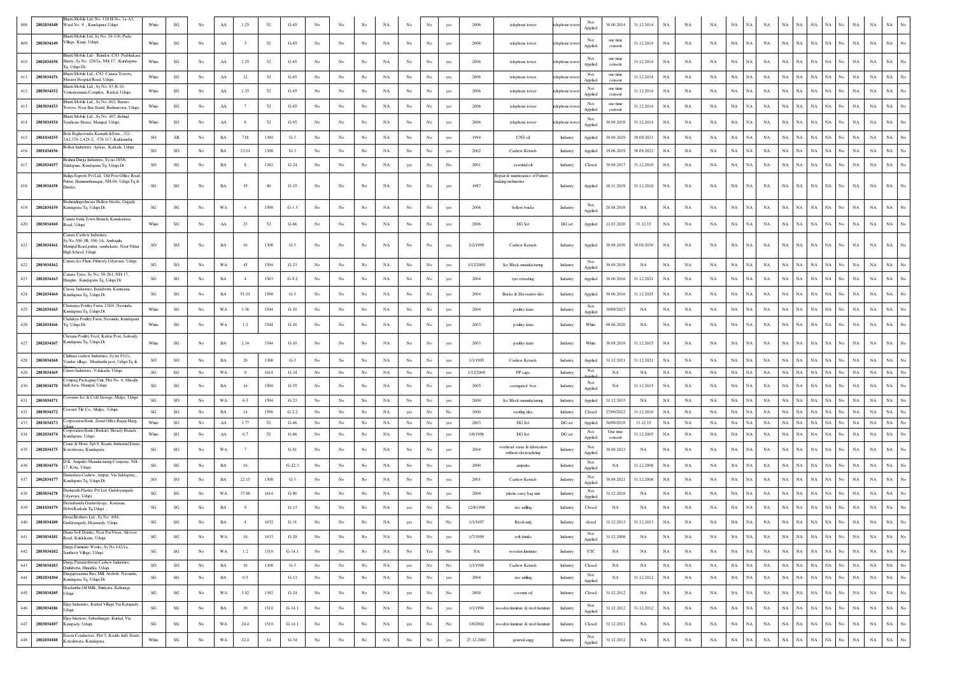|         | 2802034148               | 3harti Mobile Ltd, No. 120 H-No. 1a-A3,<br>Ward No. 9, , Kundapura Udupi                                                          | White                           | SG                     | No          | AA                | 1.25       | 52         | $G-65$            |                  |                  |                   | NA                | No               | No          |                    | 2006         | telephone tower                                        | telephone towe     | Not<br>Applied            | 30.06.2014               | 31.12.2014             | NA          | NA          | NA          | NA          |             | <b>NA</b>       | NA.                        | NA                |             |                    | NA                         | NA                       |                  |
|---------|--------------------------|-----------------------------------------------------------------------------------------------------------------------------------|---------------------------------|------------------------|-------------|-------------------|------------|------------|-------------------|------------------|------------------|-------------------|-------------------|------------------|-------------|--------------------|--------------|--------------------------------------------------------|--------------------|---------------------------|--------------------------|------------------------|-------------|-------------|-------------|-------------|-------------|-----------------|----------------------------|-------------------|-------------|--------------------|----------------------------|--------------------------|------------------|
| 409     | 2803034149               | Bhartí Mobile Ltd, Sy No. 34-11b, Padt<br>Village, Kaup, Udupi                                                                    | White                           | SG                     | No          | ${\rm AA}$        |            | 52         | $G-65$            | No               | No               | No                | $_{\rm NA}$       | $_{\rm No}$      | $_{\rm No}$ | yes                | 2006         | telephone tower                                        | telephone tow      | Not<br>Applied            | one time<br>consent      | 31.12.2014             | $_{\rm NA}$ | NA          | NA          | $_{\rm NA}$ | <b>NA</b>   | NA              | <b>NA</b><br>NA            | $_{\rm NA}$       | NA          | $_{\rm NA}$<br>No. | $_{\rm NA}$                | NA                       | No               |
| 410     | 2802034150               | harti Mobile Ltd - Baindor, C/O, Prabhakar<br>hetty, Sy No. 126/2a, NH-17, Kundapura                                              | White                           | SG                     | No          | AA                | 1.25       | 52         | $G-65$            | No               | No               | No                | NA                | No               |             |                    | 2006         | telephone tower                                        | telephone tow      | Not<br>Applied            | one time<br>consent      | 31.12.2014             | NA          | NA          | NA          | NA          | NA          | NA              | NA                         | NA                |             | NA                 | $_{\rm NA}$                | <b>NA</b>                |                  |
| 411     | 2803034151               | Tq, Udupi Dt.<br>harti Mobile Ltd., C/O. Canara Towers.<br>Mission Hospital Road, Udupi.                                          | White                           | SG                     | No          | AA                | 12         | 52         | $G-65$            | No               | No               | No                | NA                | No.              | No          | yes                | 2006         | telephone tower                                        | telephone tow      | Not<br>Applied            | one time<br>consent      | 31.12.2014             | NA          | NA          | NA          | NA          | NA          | NA              | <b>NA</b><br><b>NA</b>     | <b>NA</b>         | NA          | $_{\rm NA}$<br>No  | $_{\rm NA}$                | $_{\rm NA}$              |                  |
| 412     | 2803034152               | harti Mobile Ltd., Sv No. 93-B-10.<br>Venkatramana Complex, Karkal, Udupi                                                         | White                           | SG                     | No          | ${\rm AA}$        | 1.25       | 52         | $G-65$            | No               | No               | No                | NA                | No               | No          | yes                | 2006         | telephone tower                                        | telephone tow      | Not<br>Applied            | one time<br>consent      | 31.12.2014             | NA          | NA          | NA          | $_{\rm NA}$ | NA          | NA              | <b>NA</b><br>NA            | <b>NA</b>         | NA          | $_{\rm NA}$<br>No. | $_{\rm NA}$                | $_{\rm NA}$              |                  |
|         | 2803034153               | Bharti Mobile Ltd., Sy No.10/2, Barnes<br>owers, Near Bus Stand, Brahmavara, Udup                                                 | White                           | SG                     | No          | ${\rm AA}$        | 7          | 52         | $G-65$            | No               | $_{\rm No}$      | $_{\rm No}$       | $_{\rm NA}$       | $_{\rm No}$      | No          | yes                | 2006         | telephone tower                                        | elephone tow       | Not<br>Applied            | one time<br>consent      | 31.12.2014             | NA          | NA          | NA          | NA          | NA          | NA              | NA                         | N/                |             | $_{\rm NA}$        | $_{\rm NA}$                | $_{\rm NA}$              |                  |
|         | 2803034154               | harti Mobile Ltd., Sv No. 407. Behind<br>Syndicate House, Manipal, Udupi.                                                         | White                           | SG                     | No          | ${\rm AA}$        |            | 52         | $G-65$            | No               | No               | No                | NA                | No               | No          | yes                | 2006         | telephone tower                                        | elephone to        | Not<br>Applied            | 30.09.2018               | 31.12.2014             | NA          | NA          | NA          | NA          | NA          | NA              | NA<br>NA                   | NA                |             | NA                 | NA                         | $_{\rm NA}$              |                  |
|         | 2801034155               | Bola Raghavendra Kamath & Sons., 321-<br>3A2,378-2,429-2, -576 117, Kukkundur,                                                    | <b>SO</b>                       | ${\sf SR}$             | No          | BA                | 718        | 1390       | $G-3$             | No               | No               | No                | $_{\rm NA}$       | $_{\rm No}$      | No          | yes                | 1994         | CNS oil                                                | Industry           | Applied                   | 30.09.2029               | 30.09.2023             | NA          | NA          | NA          | $_{\rm NA}$ | NA          | NA              | NA<br>NA                   | $_{\rm NA}$       | NA          | $_{\rm NA}$<br>No  | $_{\rm NA}$                | $_{\rm NA}$              | No               |
|         | 2801034156               | Bolkar Industries, Ajekar, Karkala, Udupi                                                                                         | <b>SO</b>                       | <sub>SO</sub>          | No          | $_{\rm BA}$       | 23.01      | 1308       | $G-3$             | No               | No               | No                | $_{\rm NA}$       | No               | No          | yes                | 2002         | Cashew Kernels                                         | Industry           | Applied                   | 19.06.2019               | 30.09.2022             | NA          | NA          | NA          | $_{\rm NA}$ | NA          | NA              | NA<br>NA                   | NA                | NA          | $_{\rm NA}$        | $_{\rm NA}$                | NA                       |                  |
| 417     | 2802034157               | rahmi Durga Industries, Sy.no.185/6,<br>Siddapura, Kundapura Tq, Udupi Dt.                                                        | SO                              | $\mathbf{S}\mathbf{G}$ | No          | $_{\rm BA}$       |            | 1382       | $G-24$            | No               | No               | No                | $_{\rm NA}$       | yes              | No          | No                 | 2001         | essential oil                                          | Industry           | Closed                    | 30.09.2017               | 31.12.2010             | $_{\rm NA}$ | NA          | $_{\rm NA}$ | $_{\rm NA}$ | NA          | NA              | $_{\rm NA}$<br>NA          | $_{\rm NA}$       | NA          | $_{\rm NA}$<br>No  | $_{\rm NA}$                | NA                       | No               |
| 418     | 2803034158               | Baliga Exports Pvt Ltd, Old Post Office Road<br>Puttur, Hanumathanagar, NH-66, Udupi Tq &<br>District,                            | SG                              | SG                     | No          | $_{\rm BA}$       | 35         | 40         | $G-15$            | No               | No               | No                | NA                | $_{\rm No}$      | No          | yes                | 1987         | Repair & maintenance of Fishne<br>naking mehineries    | Industry           | Applied                   | 18.11.2018               | 31.12.2018             | $_{\rm NA}$ | NA          | NA          | NA          | NA          | NA              | NA<br>NA                   | NA                | NA          | No.                | NA<br>$_{\rm NA}$          | NA                       |                  |
| 419     | 2802034159               | Brahmalingeshwara Hollow blocks, Gujjadi<br>Kundapura Tq, Udupi Dt.                                                               | SG                              | $\mathbf{S}\mathbf{G}$ | No          | WA                |            | 1598       | $G-1.3$           | No               | No               | No                | $_{\rm NA}$       | No               | No          | yes                | 2006         | hollow bricks                                          | Industry           | Not<br>Applied            | 20.08.2018               | NA                     | $_{\rm NA}$ | NA          | $_{\rm NA}$ | $_{\rm NA}$ | NA          | NA              | <b>NA</b><br>NA            | NA                |             | $_{\rm NA}$        | $_{\rm NA}$                | $_{\rm NA}$              |                  |
| 420     | 2803034160               | anara bank, Town Branch, Kanakadasa<br>oad, Udupi.                                                                                | White                           | SG                     | No          | ${\rm AA}$        | 23         | 52         | $G-66$            | No               | No               | No                | NA                | No               | No          | yes                | 2006         | DG Set                                                 | DG set             | Applied                   | 12.03.2020               | 31.12.15               | NA          | NA          | NA          | NA          | NA          | NA              | <b>NA</b><br>NA            | NA                |             | NA                 | NA                         | NA                       |                  |
| 421     | 2803034161               | anara Cashew Industires,<br>v.No.308-3B, 308-3A, Ambagilu<br>lanipal Road, puttur, santhekatte, Near Nittu<br>High School, Udupi. | so                              | SO                     | No          | $_{\rm BA}$       | 16         | 1308       | $G-3$             | No               | No               | No                | NA                | No               |             | yes                | 2/2/1999     | Cashew Kernels                                         | Industry           | Applied                   | 30.09.2030               | 30.09.2030             | NA          | NA          | NA          | $_{\rm NA}$ | NA          | NA              | $_{\rm NA}$<br>NA          | $_{\rm NA}$       |             | $_{\rm NA}$        | $_{\rm NA}$                | NA                       |                  |
| 422     | 2803034162               | Canara Ice Plant, Pithrody, Udyavara, Udupi                                                                                       | SG                              | SO                     | No          | WA                | 45         | 1594       | $G-23$            | No               | No               | No                | $_{\rm NA}$       | No               | No          |                    | 1/12/2000    | Ice Block manufacturing                                | Industry           | Not<br>Applied            | 30.09.2018               | NA                     | NA          | NA          | NA          | NA          | NA          | <b>NA</b>       | <b>NA</b><br>NA.           | <b>NA</b>         |             | $_{\rm NA}$        | $_{\rm NA}$                | $_{\rm NA}$              |                  |
| 423     | 2802034163               | anara Tyres, Sy No. 58-2b1, NH-17,<br>Hanglur, Kundapura Tq, Udupi Dt.                                                            | SG                              | SG                     | No          | BA                |            | 1563       | $G-9.2$           | No               | No               | No                | NA                | No               |             | yes                | 2004         | tyre retrading                                         | Industry           | Applied                   | 30.06.2016               | 31.12.2021             | NA          | NA          | NA          | NA          | NA          | NA              | NA<br>NA                   | NA                |             | NA                 | NA                         | NA                       |                  |
| 424     | 2802034164               | lassic Industries. Badabettu, Kannyana<br>Kundapura Tq, Udupi Dt.                                                                 | SG                              | $\mathbf{S}\mathbf{G}$ | No          | $_{\rm BA}$       | 51.01      | 1598       | $G-3$             | No               | No               | No                | $_{\rm NA}$       | $_{\rm No}$      | No          | yes                | 2004         | Bricks & Decorative tiles                              | Industry           | Applied                   | 30.06.2016               | 31.12.2025             | NA          | NA          | NA          | $_{\rm NA}$ | NA          | NA              | $_{\rm NA}$<br>NA          | $_{\rm NA}$       | NA          | $_{\rm NA}$<br>No  | $_{\rm NA}$                | NA                       |                  |
| 425     | 2802034165               | Chaitanya Poultry Farm, 236/4, Navunda<br>Kundapura Tq, Udupi Dt.                                                                 | White                           | $\mathbf{S}\mathbf{G}$ | No          | WA                | 3.36       | 1544       | $G-10$            | No               | $_{\rm No}$      | No                | NA                | No               | No          | yes                | 2004         | poultry farm                                           | Industry           | Not<br>Applied            | 30/09/2023               | NA                     | NA          | NA          | NA          | NA          | NA          | NA              | <b>NA</b><br>NA            | NA                |             | NA                 | NA                         | $_{\rm NA}$              |                  |
|         | 2802034166               | Chalukya Poultry Farm, Navunda, Kundapura<br>Tq, Udupi Dt.                                                                        | White                           | SG                     | No          | WA                | 1.2        | 1544       | $G-10$            | No               | No               | No                | NA                | No               | No          | yes                | 2003         | poultry farm                                           | Industry           | White                     | 08.06.2020               | NA                     | NA          | NA          | NA          | NA          | NA          | NA              | <b>NA</b><br>NA            | NA                | NA          | $_{\rm NA}$<br>No. | NA                         | NA                       |                  |
| 427     | 2802034167               | Chetana Poultry Feed, Kalvar Post, Salwady<br>Kundapura Tq, Udupi Dt.                                                             | White                           | SG                     | No          | $_{\rm BA}$       | 2.34       | 1544       | $G-10$            | No               | No               | No                | NA                | No               | No          | yes                | 2003         | poultry farm                                           | Industry           | White                     | 30.09.2018               | 31.12.2015             | <b>NA</b>   | NA          | <b>NA</b>   | NA          | NA          | NA              | <b>NA</b><br>NA            | <b>NA</b>         | NА          | $_{\rm NA}$        | $_{\rm NA}$                | $_{\rm NA}$              | No               |
| 428     | 2803034168               | Chithara cashew Industries, Sy.no.93(1),<br>Vandar village, Mandarthi post, Udupi Tq &                                            | so                              | SO                     | No          | BA                | 20         | 1308       | $G-3$             | No               | No               | No                | NA                | No               |             |                    | 1/1/1995     | Cashew Kernels                                         | Industry           | Applied                   | 31.12.2021               | 31.12.2021             | NA          | NA          | NA          | NA          | NA          | NA              | NA                         | NA                |             | NA                 | NA                         | NA                       |                  |
| 429     | 2803034169               | litizen Industries, Volakadu, Udupi.<br>Compaq Packaging Unit, Plot No. 6, Shivall                                                | SG                              | SG                     | No          | WA                | 9          | 1614       | $G-34$            | No               | No               | No                | NA                | No               | No          | yes                | 1/12/2009    | PP caps                                                | Industry           | Not                       | NA                       | NA                     | NA          | NA          | NA          | NA          | <b>NA</b>   | NA              | NA<br>NA                   | NA                | NA          | No                 | $_{\rm NA}$<br>$_{\rm NA}$ | $_{\rm NA}$              | No               |
|         | 2803034170               | Indl Area, Manipal, Udupi.                                                                                                        | SG                              | SG                     | No          | BA                | 16         | 1509       | $G-55$            | No               | No               | No                | NA                | No               | No          | yes                | 2005         | corrugated box                                         | Industry           | Not<br>Applied            | NA                       | 31.12.2015             | NA          | NA          | NA          | NA          | NA          | NA              | <b>NA</b><br>NA            | NA                | NA.         | $_{\rm NA}$<br>No. | NA                         | $_{\rm NA}$              | No               |
|         | 2803034171               | Coronate Ice & Cold Storage, Malpe, Udupi<br>'oronet Tile Co., Malpe, Udupi                                                       | $\mathbf{S}\mathbf{G}$          | SO                     | No          | WA                | 6.5        | 1594       | $G-23$            | No               | No               | $_{\rm No}$       | $_{\rm NA}$       | $_{\rm No}$      | No<br>No    | yes                | 2000         | Ice Block manufacturing                                | Industry           | Applied                   | 31.12.2033               | NA                     | NA          | NA          | NA          | $_{\rm NA}$ | NA<br>NA    | <b>NA</b>       | NA<br>NA<br>NA             | N/                | NA          | NA<br>$_{\rm NA}$  | $_{\rm NA}$<br>$_{\rm NA}$ | <b>NA</b><br>$_{\rm NA}$ | No               |
|         | 2803034172<br>2803034173 | 'orporation Bank, Zonal Office, Rajaji Marg                                                                                       | $\mathbf{S}\mathbf{G}$<br>White | SG<br>SG               | No<br>No    | $_{\rm BA}$<br>AA | 14<br>3.77 | 1598<br>52 | $G-2.2$<br>$G-66$ | No<br>No         | No<br>No         | $_{\rm No}$<br>No | $_{\rm NA}$<br>NA | yes<br>No        | No          | $_{\rm No}$<br>yes | 2000<br>2003 | roofing tiles<br>DG Set                                | Industry<br>DG set | Closed<br>Applied         | 27/09/2022<br>30/09/2018 | 31.12.2010<br>31.12.15 | NA<br>NA    | NA<br>NA    | NA<br>NA    | NA<br>NA    | NA          | NA<br><b>NA</b> | NA<br>NA.                  | $_{\rm NA}$<br>NA | <b>NA</b>   | $_{\rm NA}$<br>No  | $_{\rm NA}$                | $_{\rm NA}$              | No               |
|         | 2802034174               | 'orporation Bank (Barkur), Herady Branch<br>Kundapura, Udupi.                                                                     | White                           | SG                     | No          | ${\rm AA}$        | 0.7        | 52         | $G-66$            | No               | No               | $_{\rm No}$       | $_{\rm NA}$       | $_{\rm No}$      | No          | yes                | 1/8/1996     | DG Set                                                 | DG set             | Not                       | One time                 | 31.12.2005             | NA          | NA          | $_{\rm NA}$ | $_{\rm NA}$ | NA          | NA              | NA<br><b>NA</b>            | NA                | NA          |                    | NA<br>$_{\rm NA}$          | $_{\rm NA}$              | No               |
|         | 2802034175               | Trane & Hoist, Spl-9, Kssidc Industrial Estat<br>Koteshwara, Kundapura                                                            | $\mathbf{S}\mathbf{G}$          | $\mathbf{S}\mathbf{G}$ | No          | WA                | 7          |            | $G-81$            | No               | No               | $_{\rm No}$       | $_{\rm NA}$       | No               |             | yes                | 2004         | overhead crane & fabrication<br>without electroplating | Industry           | Applied<br>Not<br>Applied | consent<br>30.09.2023    | NA                     | $_{\rm NA}$ | NA          | NA          | NA          | NA          | NA              | NA                         | NA                |             | $_{\rm NA}$        | $_{\rm NA}$                | $_{\rm NA}$              |                  |
|         | 2803034176               | D.K. Ampules Manufacturing Company, NH<br>7, Kota, Udupi.                                                                         | SG                              | SG                     | No          | BA                | 16         |            | $G-22.3$          | No               | No               | No                | $_{\rm NA}$       | No               | No          | yes                | 2000         | ampules                                                | Industry           | Not<br>Applied            | ΝA                       | 31.12.2008             | NA          | NA          | NA          | <b>NA</b>   | $_{\rm NA}$ | <b>NA</b>       | <b>NA</b><br><b>NA</b>     | $_{\rm NA}$       | NA          | $_{\rm NA}$<br>No. | $_{\rm NA}$                | $_{\rm NA}$              |                  |
| 437     | 2802034177               | amodara Cashew, Ampar, Via Siddapura,<br>Kundapura Tq, Udupi Dt.                                                                  | SO                              | SO                     | No          | BA                | 22.15      | 1308       | $G-3$             | No               | No               | No                | NA                | No               |             | yes                | 2001         | Cashew Kernels                                         | Industry           | Not<br>Applied            | 30.09.2021               | 31.12.2008             | $_{\rm NA}$ | $_{\rm NA}$ | $_{\rm NA}$ | $_{\rm NA}$ | NA          | $_{\rm NA}$     | <b>NA</b><br>NA            | NA                |             | $_{\rm NA}$        | $_{\rm NA}$                | $_{\rm NA}$              |                  |
|         | 2803034178               | Dasharath Plastics Pvt Ltd, Guddeyangadi,<br>Udvavara, Udupi                                                                      | SG                              | $\mathbf{SG}$          | No          | WA                | 37.88      | 1614       | $G-80$            | No               | No               | No                | NA                | No               | No          | yes                | 2000         | plastic carry bag unit                                 | Industry           | Not<br>Applied            | 31.12.2018               | NA                     | NA          | NA          | NA          | $_{\rm NA}$ | NA          | NA              | NA<br>NA                   | N/                |             | $_{\rm NA}$        | $_{\rm NA}$                | NA                       |                  |
|         | 2801034179               | Deenabandu Gramodyoga., Kanyana<br>Hebri, Karkala Tq, Udupi                                                                       | SG                              | $\mathbf{S}\mathbf{G}$ | No          | $_{\rm BA}$       |            |            | $G-13$            | No               | No               | No                | $_{\rm NA}$       | yes              | No          | No                 | 12/8/1996    | rice milling                                           | Industry           | Closed                    | NA                       | NA                     | NA          | NA          | $_{\rm NA}$ | $_{\rm NA}$ | NA          | $_{\rm NA}$     | NA                         | N/                |             | $_{\rm NA}$        | $_{\rm NA}$                | $_{\rm NA}$              |                  |
|         | 2803034180               | Desai Brothers Ltd., Sy No. 4/84,<br>inddeanoady Heia                                                                             | $_{\rm SG}$                     | $\mathbf{SG}$          | No          | BA                |            | 1632       | $G-31$            |                  |                  |                   | NA                |                  | No          | $_{\rm No}$        | 1/1/1997     | Beedi mfg                                              | Industry           | closed                    | 31.12.2013               | 31.12.2013             | NA          | $_{\rm NA}$ | NA          | NA          |             |                 |                            |                   |             | NA                 | NA                         | NA                       |                  |
| 441     | 2803034181               | Diana Soft Drimks, Near Pai Nivas, Alevoor<br>Road, Kukkikatte, Udupi.                                                            | $\mathbf{S}\mathbf{G}$          | $\mathbf{S}\mathbf{G}$ | No          | WA                | 16         | 1633       | $G-29$            | $_{\rm No}$      | No               | $_{\rm No}$       | NA                | $_{\rm No}$      | No          | yes                | 1/7/1999     | soft drinks                                            | Industry           | Not<br>Applied            | 31.12.2008               | NA                     | NA          | NA          | NA          | $_{\rm NA}$ | $_{\rm NA}$ | $_{\rm NA}$     | NA  <br>NA                 | $_{\rm NA}$       | NA          | No                 | NA<br>NA                   | $_{\rm NA}$              | $_{\mathrm{No}}$ |
| 442     |                          | Durga Furniture Works, Sy No 142/1a,<br>2803034182 Santhoor Village, Udupi.                                                       | $\mathbf{S}\mathbf{G}$          | $\mathbf{S}\mathbf{G}$ | No          | WA                | 1.2        | 1510       | $G-14.1$          | No               | No               | $_{\mathrm{No}}$  | NA                | $_{\rm No}$      | Yes         | $_{\rm No}$        | NA           | wooden furniture                                       | Industry           | YTC                       | NA                       | NA                     | $_{\rm NA}$ | NA          | NA          | $_{\rm NA}$ | NA          | NA              | $_{\rm NA}$<br>$_{\rm NA}$ | $_{\rm NA}$       | NA          | $_{\rm NA}$<br>No  | $_{\rm NA}$                | $_{\rm NA}$              | $_{\rm No}$      |
| 443     | 2803034183               | Durga Parameshwari Cashew Industries.<br>Onthibettu, Hiriadka, Udupi.                                                             | SO                              | SO                     | No          | $_{\rm BA}$       | 16         | 1308       | $G-3$             | No               | No               | $_{\mathrm{No}}$  | NA                | yes              | $_{\rm No}$ | $_{\rm No}$        | 1/1/1996     | Cashew Kernels                                         | Industry           | Closed                    | NA                       | NA                     | $_{\rm NA}$ | NA          | NA          | NA          | NA          | NA              | NA<br>NA                   | NA                | NA          | No                 | NA<br>NA                   | NA                       | $_{\rm No}$      |
| 444     | 2802034184               | Durgaprasanna Rice Mill, Arehole, Navunda,<br>Kundapura Tq, Udupi Dt.                                                             | $\mathbf{S}\mathbf{G}$          | $\mathbf{SG}$          | $_{\rm No}$ | $_{\rm BA}$       | 0.5        |            | $G-13$            | $_{\mathrm{No}}$ | $_{\mathrm{No}}$ | $_{\rm No}$       | $_{\rm NA}$       | $_{\mathrm{No}}$ | $_{\rm No}$ | yes                | 2004         | rice milling                                           | Industry           | Not<br>Applied            | $_{\rm NA}$              | 31.12.2012             | $_{\rm NA}$ | $_{\rm NA}$ | $_{\rm NA}$ | $_{\rm NA}$ | $_{\rm NA}$ | $_{\rm NA}$     | NA<br>$_{\rm NA}$          | $_{\rm NA}$       | $_{\rm NA}$ | $_{\rm NA}$<br>No  | $_{\rm NA}$                | $_{\rm NA}$              | $_{\mathrm{No}}$ |
| 445     | 2803034185 Udupi.        | Ekadantha Oil Mills, Shiriyara, Kalmargi,                                                                                         | $\mathbf{S}\mathbf{G}$          | $\mathbf{S}\mathbf{G}$ | No          | $_{\rm WA}$       | 3.92       | 1382       | $G-24$            | No               | No               | $_{\rm No}$       | $_{\rm NA}$       | yes              | No          | $_{\rm No}$        | 2004         | coconut oil                                            | Industry           | Closed                    | 31.12.2012               | $_{\rm NA}$            | $_{\rm NA}$ | $_{\rm NA}$ | $_{\rm NA}$ | $_{\rm NA}$ | NA          | <b>NA</b>       | NA<br>NA                   | $_{\rm NA}$       | NA          | $_{\rm NA}$<br>No  | $_{\rm NA}$                | $_{\rm NA}$              | $_{\rm No}$      |
| 446     | 2803034186               | Eljay Industries, Kurkal Village, Via Katapady,<br>Udupi.                                                                         | $\mathbf{S}\mathbf{G}$          | $\mathbf{S}\mathbf{G}$ | No          | $_{\rm BA}$       | $30\,$     | 1510       | $G-14.1$          | $_{\mathrm{No}}$ | No               | $_{\rm No}$       | $_{\rm NA}$       | $_{\mathrm{No}}$ | $_{\rm No}$ | yes                | 1/1/1994     | wooden furniture & steel furniture                     | Industry           | Not<br>Applied            | 31.12.2012               | 31.12.2012             | $_{\rm NA}$ | $_{\rm NA}$ | $_{\rm NA}$ | $_{\rm NA}$ | $_{\rm NA}$ | $_{\rm NA}$     | NA<br>NA                   | $_{\rm NA}$       | $_{\rm NA}$ | No                 | $_{\rm NA}$<br>NA          | $_{\rm NA}$              | $_{\mathrm{No}}$ |
| 447     |                          | Eljay Interiors, Subashnagar, Kurkal, Via<br>2803034187 Katapady, Udupi.                                                          | $\mathbf{S}\mathbf{G}$          | $\mathbf{S}\mathbf{G}$ | No          | $_{\rm WA}$       | 24.4       | 1510       | $G-14.1$          | $_{\mathrm{No}}$ | No               | $_{\rm No}$       | $_{\rm NA}$       | yes              | No          | $_{\mathrm{No}}$   | 1/8/2002     | vooden furniture & steel furniture                     | Industry           | Closed                    | 31.12.2011               | $_{\rm NA}$            | $_{\rm NA}$ | $_{\rm NA}$ | $_{\rm NA}$ | $_{\rm NA}$ | NA          | $_{\rm NA}$     | NA<br>NA                   | $_{\rm NA}$       | $_{\rm NA}$ | $_{\rm NA}$<br>No  | $_{\rm NA}$                | $_{\rm NA}$              | $_{\mathrm{No}}$ |
| $\!448$ | 2802034188               | Essem Conductors, Plot 5, Kssidc Indl. Estate,<br>Koteshwara, Kundapura.                                                          | White                           | $\mathbf{S}\mathbf{G}$ | $_{\rm No}$ | WA                | 22.4       | 14         | $G-34$            | $_{\mathrm{No}}$ | $_{\mathrm{No}}$ | $_{\mathrm{No}}$  | $_{\rm NA}$       | $_{\rm No}$      | $_{\rm No}$ | yes                | 27.12.2001   | general engg                                           | Industry           | Not<br>Applied            | 31.12.2012               | $_{\rm NA}$            | $_{\rm NA}$ | $_{\rm NA}$ | $_{\rm NA}$ | $_{\rm NA}$ | NA          | $_{\rm NA}$     | $_{\rm NA}$<br>$_{\rm NA}$ | $_{\rm NA}$       | $_{\rm NA}$ | $_{\rm No}$        | $_{\rm NA}$<br>$_{\rm NA}$ | $_{\rm NA}$              | $_{\mathrm{No}}$ |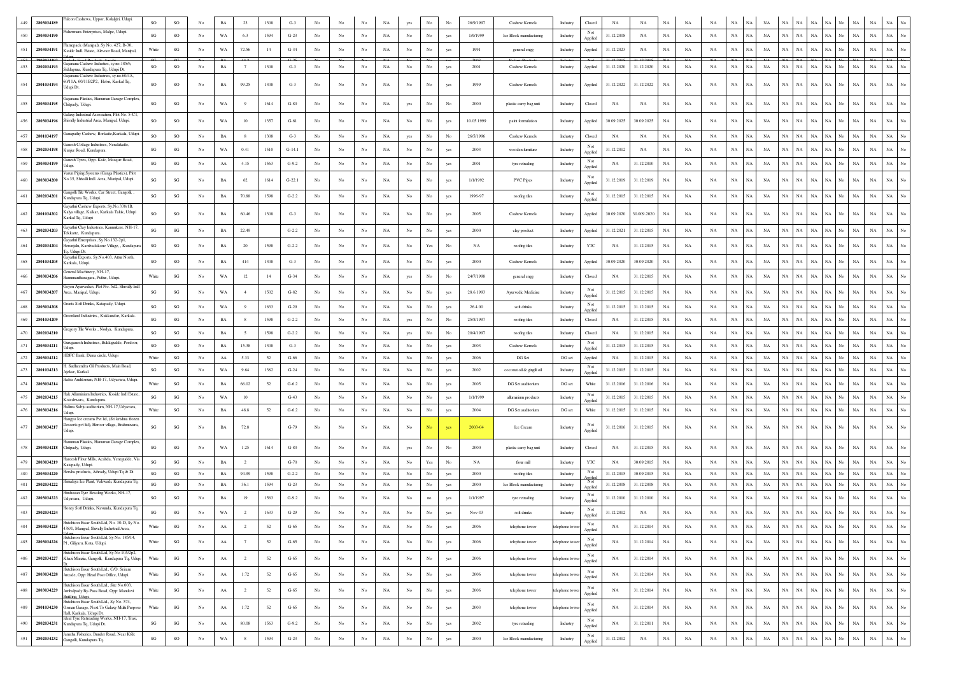| 449        | 2803034189               | Falcon Cashews, Uppor, Kolalgiri, Udupi.                                                                       | SO                     | $_{\rm SO}$                  |                                 | BA                       | 23                               | 1308         | $G-3$             |                   |                   |                            |             |                  |                                 |            | 26/9/1997        | Cashew Kernels                            | Industry             | Closed         | NA                       | NA                       |                            |                            |             |                                               |                            |                   |                      |                                                        |                    |                            |                            |                                                      |
|------------|--------------------------|----------------------------------------------------------------------------------------------------------------|------------------------|------------------------------|---------------------------------|--------------------------|----------------------------------|--------------|-------------------|-------------------|-------------------|----------------------------|-------------|------------------|---------------------------------|------------|------------------|-------------------------------------------|----------------------|----------------|--------------------------|--------------------------|----------------------------|----------------------------|-------------|-----------------------------------------------|----------------------------|-------------------|----------------------|--------------------------------------------------------|--------------------|----------------------------|----------------------------|------------------------------------------------------|
| 450        | 2803034190               | ishermans Enterprises, Malpe, Udupi.                                                                           | SG                     | $\rm SO$                     | No                              | WA                       | 6.3                              | 1594         | $G-23$            | No                | No                | No                         | NA          | N <sub>0</sub>   | No                              | yes        | 1/9/1999         | Ice Block manufacturing                   | Industry             | Not<br>Applied | 31.12.2008               | <b>NA</b>                | <b>NA</b>                  | NA                         | NA          | $_{\rm NA}$<br><b>NA</b>                      | $_{\rm NA}$                | $_{\rm NA}$       | $_{\rm NA}$          | $_{\rm NA}$<br>$_{\rm NA}$                             | No                 | NA                         | $_{\rm NA}$                | $_{\rm NA}$                                          |
| 451        | 2803034191               | lamepack (Manipal), Sy No. 427, B-30,<br>Ksside Indl. Estate, Alevoor Road, Manipal                            | White                  | SG                           | No                              | WA                       | 72.56                            | -14          | $G-34$            | No                | No                | No                         | NA          | $_{\rm No}$      | No                              | yes        | 1991             | general engg                              | Industry             | Applied        | 31.12.2023               | NA                       | NA                         | NA                         | NA          | $_{\rm NA}$<br><b>NA</b>                      | $_{\rm NA}$                | NA                | NA                   | $_{\rm NA}$<br>NA                                      | No                 | $_{\rm NA}$                | $_{\rm NA}$                | $_{\rm NA}$                                          |
| $452 -$    | 2803034192               | urtado Food Producte. Aim<br>iajanana Cashew Industies, sy.no.185/6.                                           |                        |                              |                                 |                          |                                  |              |                   |                   |                   |                            |             |                  |                                 |            | 2003             |                                           |                      |                | 31.12.2015               | 31.12.2015               |                            |                            |             |                                               |                            |                   |                      |                                                        |                    | NΔ                         |                            |                                                      |
| 453        | 2802034193               | iddapura, Kundapura Tq, Udupi Dt.<br>ajanana Cashew Industries, sy.no.60/4A,                                   | SO                     | SO                           | No                              | BA                       | 7                                | 1308         | $G-3$             | No                | No                | No                         | NA          | $_{\rm No}$      | No                              |            | 2001             | Cashew Kernels                            | Industry             | Applied        | 31.12.2020               | 31.12.2020               | $_{\rm NA}$                | NA                         | NA          | NA<br>NA                                      | NA                         | NA                | NA                   | $_{\rm NA}$<br>NA                                      | No                 | NA                         | $_{\rm NA}$                | $_{\rm NA}$                                          |
| 454        | 2801034194               | 60/11A, 60/11B2P2, Hebri, Karkal Tq,<br>Jdupi Dt.                                                              | SO                     | SO                           | No                              | $_{\rm BA}$              | 99.25                            | 1308         | $G-3$             | No                | No                | No                         | NA          | No               | No                              | yes        | 1999             | Cashew Kernels                            | Industry             | Applied        | 31.12.2022               | 31.12.2022               | $_{\rm NA}$                | NA                         | NA          | NA<br>Ń                                       | $_{\rm NA}$                | NA                | NA                   | $_{\rm NA}$<br>NA                                      | No                 | $_{\rm NA}$                | NA                         | $_{\rm NA}$                                          |
| 455        | 2803034195               | iajanana Plastics, Hanuman Garage Complex,<br>Chitpady, Udupi.                                                 | SG                     | $\mathbf{S}\mathbf{G}$       | No                              | WA                       | $\overline{9}$                   | 1614         | $G-80$            | No                | No                | No                         | NA          | yes              | No                              | No         | 2000             | plastic carry bag unit                    | Industry             | Closed         | NA                       | NA                       | $_{\rm NA}$                | NA                         | <b>NA</b>   | NA<br>NA                                      | NA                         | NA                | NA                   | $_{\rm NA}$<br>NA                                      | No                 | NA                         | $_{\rm NA}$                | $_{\rm NA}$                                          |
| 456        | 2803034196               | ialaxy Industrial Association, Plot No. 5-C1,<br>Shivally Industrial Area, Manipal, Udupi.                     | SO                     | $_{\rm SO}$                  | No                              | WA                       | 10                               | 1357         | $G-61$            | No                | No                | No                         | NA          | No               | No                              |            | 10.05.1999       | paint formulation                         | Industry             | Applied        | 30.09.2025               | 30.09.2025               | NA                         | NA                         | NA          | $_{\rm NA}$<br>NA                             | NA                         | NA                | NA                   | $_{\rm NA}$<br><b>NA</b>                               | No.                | NA                         | NA                         | $_{\rm NA}$                                          |
| 457        | 2801034197               | Ganapathy Cashew, Borkatte, Karkala, Udupi.                                                                    | <b>SO</b>              | <b>SO</b>                    | No                              | BA                       | 8                                | 1308         | $G-3$             | No                | No                | No                         | NA          | yes              | No                              | No         | 26/5/1996        | Cashew Kernels                            | Industry             | Closed         | NA                       | NA                       | NA                         | NA                         | <b>NA</b>   | NA<br><b>NA</b>                               | NA                         |                   | NA NA                | $_{\rm NA}$<br>NA                                      | No                 | NA                         | $_{\rm NA}$                | $_{\rm NA}$                                          |
| 458        | 2802034198               | Ganesh Cottage Industries, Neralakatte,<br>Kunjur Road, Kundapura                                              | $\mathbf{SG}$          | $\mathbf{S}\mathbf{G}$       | $_{\rm No}$                     | WA                       | 0.41                             | 1510         | $G-14.1$          | $_{\rm No}$       | No                | No                         | NA          | $_{\mathrm{No}}$ | No                              | yes        | 2003             | wooden fumiture                           | Industry             | Not<br>Applied | 31.12.2012               | NA                       | $_{\rm NA}$                | $_{\rm NA}$                | NA          | $_{\rm NA}$<br>NA                             | $_{\rm NA}$                | NA                | NA                   | $_{\rm NA}$<br>NA                                      |                    | $_{\rm NA}$                | NA                         | $_{\rm NA}$                                          |
| 459        | 2803034199               | lanesh Tyres, Opp. Ksfc, Mosque Road,<br>Idupi                                                                 | SG                     | SG                           | No                              | AA                       | 4.15                             | 1563         | $G-9.2$           | No                | No                | No                         | NA          | No               | No                              | yes        | 2001             | tyre retrading                            | Industry             | Not<br>Applied | NA                       | 31.12.2010               | NA                         | NA                         | NA          | NA<br>NA                                      | NA                         | $_{\rm NA}$       | $_{\rm NA}$          | $_{\rm NA}$<br>NA.                                     | No                 | NA                         | $_{\rm NA}$                | $_{\rm NA}$                                          |
| 460        | 2803034200               | <sup>7</sup> arun Piping Systems (Ganga Plastics), Plot<br>No.35, Shivalli Indl. Area, Manipal, Udupi.         | $\mathbf{SG}$          | $\mathbf{SG}$                | $_{\rm No}$                     | $_{\rm BA}$              | 62                               | 1614         | $G-22.1$          | No                | No                | No                         | NA          | $_{\mathrm{No}}$ | No                              | yes        | 1/1/1992         | PVC Pipes                                 | Industry             | Not<br>Applied | 31.12.2019               | 31.12.2019               | $_{\rm NA}$                | $_{\rm NA}$                | NA          | NA<br>Ń                                       | $_{\rm NA}$                | $_{\rm NA}$       | NA                   | $_{\rm NA}$<br><b>NA</b>                               | No.                | $_{\rm NA}$                | $_{\rm NA}$                | $_{\rm NA}$                                          |
| 461        | 2802034201               | Gangolli Tile Works, Car Street, Gangolli,<br>undapura Tq, Udupi.                                              | SG                     | $_{\rm SG}$                  | No                              | BA                       | 70.88                            | 1598         | $G-2.2$           | No                | No                | No                         | NA          | $_{\rm No}$      | No                              | yes        | 1996-97          | roofing tiles                             | Industry             | Not<br>Applied | 31.12.2015               | 31.12.2015               | NA                         | NA                         | NA          | NA<br>NA                                      | $_{\rm NA}$                | NA                | NA                   | $_{\rm NA}$<br>$_{\rm NA}$                             | No                 | $_{\rm NA}$                | $_{\rm NA}$                | $_{\rm NA}$                                          |
| 462        | 2801034202               | Gayathri Cashew Exports, Sy.No.338/1B,<br>Kalya village, Kalkar, Karkala Taluk, Udupi<br>Carkal Tq, Udupi      | so                     | SO                           | No                              | $_{\rm BA}$              | 60.46                            | 1308         | $G-3$             | $_{\rm No}$       | No                | No                         | NA          | No               | No                              | yes        | 2005             | Cashew Kernels                            | Industry             | Applied        | 30.09.2020               | 30.009.2020              | $_{\rm NA}$                | NA                         | NA          | NA<br>NA                                      | $_{\rm NA}$                | NA                | NA                   | $_{\rm NA}$<br>$_{\rm NA}$                             | No.                | $_{\rm NA}$                | NA                         | $_{\rm NA}$                                          |
| 463        | 2802034203               | Jayathri Clay Industries, Kannukere, NH-17<br>ekkatte, Kundapura.                                              | $\mathbf{S}\mathbf{G}$ | SG                           | No                              | $_{\rm BA}$              | 22.49                            |              | $G-2.2$           | No                | No                | No                         | $_{\rm NA}$ | No               | $_{\rm No}$                     | yes        | 2000             | clay product                              | Industry             | Applied        | 31.12.2021               | 31.12.2015               | $_{\rm NA}$                | $_{\rm NA}$                | NA          | NA<br>NA                                      | $_{\rm NA}$                | NA                | NA                   | $_{\rm NA}$<br>$_{\rm NA}$                             | No                 | $_{\rm NA}$                | $_{\rm NA}$                | $_{\rm NA}$                                          |
| 464        | 2802034204               | Gayathri Enterprises, Sy No.132-2p1,<br>Heranjalu, Kambadakone Village, , Kundapura<br>q, Udupi Dt.            | SG                     | SG                           | No                              | BA                       | 20                               | 1598         | $G-2.2$           | No                | No                | No                         | NA          | $_{\rm No}$      | $\operatorname{Yes}$            | No         | NA               | roofing tiles                             | Industry             | YTC            | NA                       | 31.12.2015               | NA                         | NA                         | NA          | NA<br>NA                                      | NA                         | $_{\rm NA}$       | NA                   | NA<br>NA                                               | No                 | NA                         | NA                         | $_{\rm NA}$                                          |
| 465        | 2801034205               | Gavathri Exports, Sv.No.403, Attur North,<br>Karkala, Udupi.                                                   | SO                     | SO                           | No                              | $_{\rm BA}$              | 414                              | 1308         | $G-3$             | No                | No                | No                         | $_{\rm NA}$ | No               | $_{\rm No}$                     | yes        | 2000             | Cashew Kernels                            | Industry             | Applied        | 30.09.2020               | 30.09.2020               | NA                         | $_{\rm NA}$                | NA          | NA<br>NA                                      | $_{\rm NA}$                | NA                | NA                   | $_{\rm NA}$<br>$_{\rm NA}$                             |                    | $_{\rm NA}$                | NA                         | $_{\rm NA}$                                          |
| 466        | 2803034206               | General Machinery, NH-17,<br>Hanumanthanagara, Puttur, Udupi                                                   | White                  | SG                           | $_{\rm No}$                     | WA                       | 12                               | 14           | $G-34$            | $_{\rm No}$       | No                | No                         | NA          | yes              | $_{\rm No}$                     | No         | 24/7/1998        | general engg                              | Industry             | Closed         | NA                       | 31.12.2015               | NA                         | $_{\rm NA}$                | NA          | NA<br>NA                                      | $_{\rm NA}$                | NA                | NA                   | $_{\rm NA}$<br>NA                                      | No                 | $_{\rm NA}$                | NA                         | $_{\rm NA}$                                          |
|            | 2803034207               | ieyen Ayurvedics, Plot No. 5d2, Shivally Indl<br>trea, Manipal, Udupi                                          | $\mathbf{S}\mathbf{G}$ | SG                           | No                              | WA                       | $\overline{4}$                   | 1502         | $G-82$            | No                | No                | No                         | NA          | No               | $_{\rm No}$                     | yes        | 28.6.1993        | Ayurvedic Medicine                        | Industry             | Not<br>Applied | 31.12.2015               | 31.12.2015               | NA                         | $_{\rm NA}$                | NA          | NA                                            | NA                         | NA                | NA                   | $_{\rm NA}$<br>NA                                      |                    | $_{\rm NA}$                | NA                         | <b>NA</b>                                            |
| 468        | 2803034208               | irants Soft Drinks, Katapady, Udupi.                                                                           | SG                     | SG                           | No                              | WA                       | 9                                | 1633         | $G-29$            | No                | No                | No                         | NA          | No               | $_{\rm No}$                     | yes        | 26.4.00          | soft drinks                               | Industry             | Not<br>Applied | 31.12.2015               | 31.12.2015               | NA                         | NA                         | NA          | NA<br><b>NA</b>                               | $_{\rm NA}$                |                   | $\rm NA-NA$          | $_{\rm NA}$<br>NA                                      | No                 | $_{\rm NA}$                | $_{\rm NA}$                | NA                                                   |
|            | 2801034209               | reenland Industries., Kukkundur, Karkala.                                                                      | $\mathbf{SG}$          | SG                           | $_{\rm No}$                     | $_{\rm BA}$              | 8                                | 1598         | $G-2.2$           | No                | No                | $_{\rm No}$                | NA          | yes              | $_{\rm No}$                     | No         | 25/8/1997        | roofing tiles                             | Industry             | Closed         | NA                       | 31.12.2015               | NA                         | $_{\rm NA}$                | NA          | NA                                            | NA                         | NA                | NA                   | $_{\rm NA}$<br>NA                                      |                    | $_{\rm NA}$                | NA                         | $_{\rm NA}$                                          |
| 470        | 2802034210               | regory Tile Works., Nodya, Kundapura.                                                                          | $\mathbf{S}\mathbf{G}$ | SG                           | No                              | $_{\rm BA}$              | 5                                | 1598         | $G-2.2$           | $_{\rm No}$       | No                | No                         | $_{\rm NA}$ | yes              | $_{\rm No}$                     | No         | 20/4/1997        | roofing tiles                             | Industry             | Closed         | NA                       | 31.12.2015               | NA                         | $_{\rm NA}$                | NA          | NA<br>NA                                      | $_{\rm NA}$                | NA                | NA                   | $_{\rm NA}$<br>$_{\rm NA}$                             | No                 | $_{\rm NA}$                | NA                         | $_{\rm NA}$                                          |
| 471        | 2803034211               | Guruganesh Industries, Bukkigudde, Perdoor,<br>Idupi                                                           | SO                     | SO                           | No                              | BA                       | 15.38                            | 1308         | $G-3$             | No                | No                | No                         | NA          | $_{\rm No}$      | No                              |            | 2003             | Cashew Kernels                            | Industry             | Not<br>Applied | 31.12.2015               | 31.12.2015               | NA                         | NA                         | NA          | $_{\rm NA}$<br>N.                             | $_{\rm NA}$                | NA                | NA                   | $_{\rm NA}$<br>$_{\rm NA}$                             | No                 | NA                         | $_{\rm NA}$                | $_{\rm NA}$                                          |
| 472        | 2803034212               | HDFC Bank, Diana circle, Udupi                                                                                 | White                  | SG                           | No                              | AA                       | 5.33                             | 52           | $G-66$            | No                | No                | No                         | NA          | No               | No                              | yes        | 2006             | DG Set                                    | DG set               | Applied        | NA                       | 31.12.2015               | NA                         | NA                         | NA          | NA<br><b>NA</b>                               | NA                         |                   | $\rm NA-NA$          | NA<br>NA                                               | No.                | $_{\rm NA}$                | $_{\rm NA}$                | No<br>NA                                             |
| 473        | 2801034213               | . Sudheendra Oil Products, Main Road,<br>Ajekar, Karkal.                                                       | SG                     | SG                           | No                              | WA                       | 9.64                             | 1382         | $G-24$            | No                | No                | No                         | NA          | $_{\rm No}$      | No                              | yes        | 2002             | coconut oil & gingili oil                 | Industry             | Not<br>Applied | 31.12.2015               | 31.12.2015               | NA                         | NA                         | NA          | NA<br>NA                                      | NA                         | NA                | NA                   | $_{\rm NA}$<br>$_{\rm NA}$                             | No                 | $_{\rm NA}$                | $_{\rm NA}$                | $_{\rm NA}$                                          |
| 474        | 2803034214               | łafsa Auditorium, NH-17, Udyavara, Udupi                                                                       | White                  | SG                           | No                              | $_{\rm BA}$              | 66.02                            | 52           | $G-6.2$           | $_{\rm No}$       | No                | No                         | NA          | No               | $_{\rm No}$                     | yes        | 2005             | DG Set auditorium                         | DG set               | White          | 31.12.2016               | 31.12.2016               | $_{\rm NA}$                | $_{\rm NA}$                | $_{\rm NA}$ | NA<br>N,                                      | $_{\rm NA}$                | NA                | $_{\rm NA}$          | $_{\rm NA}$<br>$_{\rm NA}$                             | No                 | $_{\rm NA}$                | NA                         | $_{\rm NA}$                                          |
| 475        | 2802034215               | Hak Alluminium Industries, Kssidc Indl Estate<br>Coteshwara, Kundapura                                         | $\mathbf{S}\mathbf{G}$ | SG                           | No                              | WA                       | 10                               |              | $G-43$            | No                | No                | No                         | NA          | No               | $_{\rm No}$                     | yes        | 1/1/1999         | alluminium products                       | Industry             | Not<br>Applied | 31.12.2015               | 31.12.2015               | NA                         | $_{\rm NA}$                | NA          | $_{\rm NA}$<br>Ń                              | $_{\rm NA}$                | NA                | NA                   | $_{\rm NA}$<br>$_{\rm NA}$                             |                    | $_{\rm NA}$                | NA                         | $_{\rm NA}$                                          |
| 476        | 2803034216               | Jalima Sabju auditorium, NH-17, Udyavara,<br>dupi                                                              | White                  | SG                           | No                              | BA                       | 48.8                             | 52           | $G-6.2$           | No                | No                | No                         | NA          | No               | No                              | yes        | 2004             | DG Set auditorium                         | DG set               | White          | 31.12.2015               | 31.12.2015               | NA                         | NA                         | NA          | NA<br>NA                                      | NA                         | NA                | $_{\rm NA}$          | $_{\rm NA}$<br>NA                                      | No                 | $_{\rm NA}$                | $_{\rm NA}$                | $_{\rm NA}$                                          |
| 477        | 2803034217               | langyo Ice creams Pvt ltd, (Sri krishna frozen<br>Desserts pvt ltd), Heroor village, Brahmavara,<br>dupi       | SG                     | SG                           | No                              | BA                       | 72.8                             |              | $G-79$            | No                | No                | No                         | NA          | No               | No                              | yes        | 2003-04          | Ice Cream                                 | Industry             | Applied        | 31.12.2016               | 31.12.2015               | NA                         | NA                         | NA          | NA<br>NA                                      | NA                         | NA                | NA                   | NA<br><b>NA</b>                                        | No.                | NA                         | $_{\rm NA}$                | NA                                                   |
|            | 478 2803034218           | anuman Plastics, Hanuman Garage Complex,<br>Chitpady, Udupi.                                                   | SG                     | SG                           | No                              | WA                       | 1.25                             | 1614         | $G-80$            | No.               | No                | No                         | NA          | yes              | No                              | No         | 2000             | plastic carry bag unit                    | Industry             | Closed         | NA                       | 31.12.2015               | NA                         | NA                         | NA          | NA<br>NA                                      | NA                         | NA                | NA                   | $_{\rm NA}$<br>NA                                      | No                 | $_{\rm NA}$                | $_{\rm NA}$                | $_{\rm NA}$                                          |
| 479        | 2803034219               | areesh Flour Mills, Acahda, Yenegudde, Via<br>atapady, Udupi                                                   | $\mathbf{S}\mathbf{G}$ | SG                           | $_{\rm No}$                     | BA                       | $\overline{2}$                   |              | $G-70$            | No                | No                | $_{\rm No}$                | NA          | No               | Yes                             | No         | NA               | flour mill                                | Industry             | YTC            | NA                       | 30.09.2015               | NA                         | NA                         | NA          | NA<br>NA                                      | NA                         | NA                | NA                   | $_{\rm NA}$<br>$_{\rm NA}$                             | No                 | $_{\rm NA}$                | NA                         | <b>NA</b>                                            |
| 480        | 2803034220               | Hersha products, Athrady, Udupi Tq & Dt<br>-limalaya Ice Plant, Vakwadi, Kundapura Tq.                         | $\mathbf{S}\mathbf{G}$ | SG                           | No                              | BA                       | 94.99                            | 1598         | $G-2.2$           | No                | No                | No                         | NA          | No               | $_{\rm No}$                     | yes        | 2000             | roofing tiles                             | Industry             | Not<br>Not     | 31.12.2015               | 30.09.2015               | NA                         | $_{\rm NA}$                | NA          | NA<br>NA                                      | NA                         | NA                | NA                   | $_{\rm NA}$<br>NA                                      | No                 | $_{\rm NA}$                | NA                         | NA<br>No                                             |
| 481<br>482 | 2802034222<br>2803034223 | industan Tyre Resoling Works, NH-17,                                                                           | SG<br>SG               | SO<br>$\mathbf{S}\mathbf{G}$ | $_{\rm No}$<br>No               | BA<br>$_{\rm BA}$        | 36.1<br>19                       | 1594<br>1563 | $G-23$<br>$G-9.2$ | No<br>$_{\rm No}$ | No<br>No          | No<br>No                   | NA<br>NA    | No<br>No         | $_{\rm No}$<br>no               | yes<br>yes | 2000<br>1/1/1997 | Ice Block manufacturing<br>tyre retrading | Industry<br>Industry | Applied<br>Not | 31.12.2008<br>31.12.2010 | 31.12.2008<br>31.12.2010 | $_{\rm NA}$<br>$_{\rm NA}$ | $_{\rm NA}$<br>$_{\rm NA}$ | NA<br>NA    | NA<br><b>NA</b><br>NA<br>NA                   | $_{\rm NA}$<br>$_{\rm NA}$ | $_{\rm NA}$<br>NA | $_{\rm NA}$<br>NA    | $_{\rm NA}$<br><b>NA</b><br>$_{\rm NA}$<br>$_{\rm NA}$ | No<br>No           | $_{\rm NA}$<br>$_{\rm NA}$ | $_{\rm NA}$<br>$_{\rm NA}$ | $_{\rm NA}$<br>$_{\rm NA}$                           |
| 483        | 2802034224               | Jdyavara, Udupi<br>Honey Soft Drinks, Navunda, Kundapura To.                                                   | SG                     | $_{\rm SG}$                  | No                              | WA                       | $\overline{2}$                   | 1633         | $G-29$            | No                | No                | No                         | NA          | No               | No                              | yes        | Nov-03           | soft drinks                               |                      | Applied<br>Not | 31.12.2012               | NA                       | NA                         | NA                         | NA          | NA<br>NA                                      | $_{\rm NA}$                | NA                | $_{\rm NA}$          | $_{\rm NA}$<br>NA                                      | No                 | $_{\rm NA}$                | $_{\rm NA}$                | $_{\rm NA}$                                          |
|            |                          | Hutchison Feear South Ltd. No. 30-D. Sv No.                                                                    |                        |                              |                                 |                          |                                  |              |                   |                   |                   |                            |             |                  |                                 |            |                  |                                           | Industry             | Applied<br>Not |                          |                          |                            |                            |             |                                               |                            |                   |                      |                                                        |                    |                            |                            |                                                      |
| 484<br>485 | 2803034226               | 2803034225 438/1, Manipal, Shivally Industrial Area,<br>Iutchison Essar South Ltd, Sy No. 185/14,              | White<br>White         | SG<br>$\mathbf{S}\mathbf{G}$ | $_{\rm No}$<br>$_{\mathrm{No}}$ | ${\rm AA}$<br>${\rm AA}$ | $\overline{2}$<br>$\overline{7}$ | 52<br>52     | $G-65$<br>$G-65$  | No<br>$_{\rm No}$ | $_{\rm No}$<br>No | $_{\rm No}$<br>$_{\rm No}$ | NA<br>NA    | No<br>No         | $_{\rm No}$<br>$_{\mathrm{No}}$ | yes        | 2006<br>2006     | telephone tower                           | telephone tower      | Applied<br>Not | NA<br>NA                 | 31.12.2014<br>31.12.2014 | NA<br>NA                   | NA<br>NA                   | NA<br>NA    | NA<br>$_{\rm NA}$<br>$_{\rm NA}$<br><b>NA</b> | NA<br>$_{\rm NA}$          | $_{\rm NA}$       | NA NA<br>$_{\rm NA}$ | $\rm NA-NA$<br>$_{\rm NA}$<br>NA                       | No.<br>$_{\rm No}$ | NA<br>$_{\rm NA}$          | $_{\rm NA}$<br>$_{\rm NA}$ | $_{\rm NA}$<br>No<br>$_{\rm NA}$<br>$_{\mathrm{No}}$ |
|            |                          | P1, Giliyaru, Kota, Udupi.<br>Hutchison Essar South Ltd. Sv No 105/2p2.                                        |                        |                              |                                 |                          |                                  |              |                   |                   |                   |                            |             |                  |                                 | yes        |                  | telephone tower                           | elephone tow         | Applied<br>Not |                          |                          |                            |                            |             |                                               |                            |                   |                      |                                                        |                    |                            |                            |                                                      |
| 486        | 2802034227               | Khazi Manzia, Gangolli, Kundapura Tq, Udupi<br>Hutchison Essar South Ltd., C/O. Sriram                         | White                  | $_{\rm SG}$                  | $_{\mathrm{No}}$                | ${\rm AA}$               | $\overline{2}$                   | 52           | $G-65$            | No                | No                | $_{\rm No}$                | $_{\rm NA}$ | No               | $_{\mathrm{No}}$                | yes        | 2006             | telephone tower                           | telephone towe       | Applied<br>Not | NA                       | 31.12.2014               | $_{\rm NA}$                | $_{\rm NA}$                | NA          | $_{\rm NA}$<br><b>NA</b>                      | $_{\rm NA}$                | NA                | NA                   | $_{\rm NA}$<br>$_{\rm NA}$                             | No                 | $_{\rm NA}$                | $_{\rm NA}$                | $_{\rm NA}$<br>No                                    |
| 487        | 2803034228               | Arcade, Opp: Head Post Office, Udupi.<br>Hutchison Essar South Ltd., Site No.003,                              | White                  | $\mathbf{S}\mathbf{G}$       | No                              | ${\rm AA}$               | 1.72                             | 52           | $G-65$            | No                | No                | $_{\rm No}$                | $_{\rm NA}$ | $_{\rm No}$      | $_{\rm No}$                     | yes        | 2006             | telephone tower                           | telephone tow        | Applied<br>Not | $_{\rm NA}$              | 31.12.2014               | $_{\rm NA}$                | $_{\rm NA}$                | NA          | $_{\rm NA}$<br>NA                             | NA                         | $_{\rm NA}$       | $_{\rm NA}$          | $_{\rm NA}$<br>NA                                      | No                 | $_{\rm NA}$                | $_{\rm NA}$                | $_{\rm NA}$<br>$_{\mathrm{No}}$                      |
| 488        |                          | 2803034229 Ambalpady By-Pass Road, Opp: Mandovi<br>suilding, Udupi.<br>Hutchison Essar South Ltd., Sy No. 574, | White                  | $\mathbf{S}\mathbf{G}$       | $_{\mathrm{No}}$                | $\rm AA$                 | $\overline{2}$                   | 52           | $G-65$            | $_{\rm No}$       | $_{\mathrm{No}}$  | $_{\rm No}$                | $_{\rm NA}$ | $_{\mathrm{No}}$ | $_{\mathrm{No}}$                | yes        | 2006             | telephone tower                           | telephone towe       | Applied        | NA                       | 31.12.2014               | $_{\rm NA}$                | $_{\rm NA}$                | $_{\rm NA}$ | $_{\rm NA}$<br>NA                             | $_{\rm NA}$                | NA                | NA                   | $_{\rm NA}$<br>$_{\rm NA}$                             | $_{\mathrm{No}}$   | $_{\rm NA}$                | $_{\rm NA}$                | $_{\rm NA}$<br>No                                    |
| 489        |                          | 2801034230 Osman Garage, Next To Galaxy Multi Purpose<br>Hall, Karkala, Udupi Dt.                              | White                  | $\mathbf{S}\mathbf{G}$       | $_{\mathrm{No}}$                | ${\rm AA}$               | 1.72                             | 52           | $G-65$            | $_{\mathrm{No}}$  | $_{\rm No}$       | $_{\rm No}$                | $_{\rm NA}$ | $_{\mathrm{No}}$ | $_{\mathrm{No}}$                | yes        | 2003             | telephone tower                           | telephone towe       | Not<br>Applied | NA                       | 31.12.2014               | $_{\rm NA}$                | $_{\rm NA}$                | $_{\rm NA}$ | $_{\rm NA}$<br>$_{\rm NA}$                    | $_{\rm NA}$                | NA                | $_{\rm NA}$          | $_{\rm NA}$<br>$_{\rm NA}$                             | $_{\rm No}$        | $_{\rm NA}$                | $_{\rm NA}$                | $_{\rm NA}$<br>$_{\rm No}$                           |
| 490        | 2802034231               | Ideal Tyre Retreading Works, NH-17, Trasi,<br>Kundapura Tq, Udupi Dt.                                          | $\mathbf{SG}$          | $\mathbf{S}\mathbf{G}$       | $_{\rm No}$                     | ${\rm AA}$               | 80.08                            | 1563         | $G-9.2$           | No                | $_{\rm No}$       | $_{\rm No}$                | $_{\rm NA}$ | $_{\mathrm{No}}$ | $_{\rm No}$                     | yes        | 2002             | tyre retrading                            | Industry             | Not<br>Applied | $_{\rm NA}$              | 31.12.2011               | $_{\rm NA}$                | NA                         | NA          | $_{\rm NA}$<br>NA                             | $_{\rm NA}$                | $_{\rm NA}$       | NA                   | $_{\rm NA}$<br>NA                                      | No                 | $_{\rm NA}$                | $_{\rm NA}$                | $_{\rm NA}$<br>$_{\mathrm{No}}$                      |
| 491        | 2802034232               | matha Fisheries, Bunder Road, Near Kfdc<br>iangolli, Kundapura Tq.                                             | $\mathbf{S}\mathbf{G}$ | $_{\rm SO}$                  | $_{\mathrm{No}}$                | $_{\rm WA}$              | $\,$ 8 $\,$                      | 1594         | $G-23$            | $_{\rm No}$       | $_{\mathrm{No}}$  | $_{\mathrm{No}}$           | $_{\rm NA}$ | $_{\mathrm{No}}$ | $_{\rm No}$                     | yes        | 2000             | Ice Block manufacturing                   | Industry             | Not<br>Applied | 31.12.2012               | $_{\rm NA}$              | $_{\rm NA}$                | $_{\rm NA}$                | $_{\rm NA}$ | $_{\rm NA}$<br><b>NA</b>                      | $_{\rm NA}$                |                   | $_{\rm NA}$ $\,$ NA  | $_{\rm NA}$<br>$_{\rm NA}$                             | $_{\mathrm{No}}$   | $_{\rm NA}$                | $_{\rm NA}$                | $_{\mathrm{No}}$<br>$_{\rm NA}$                      |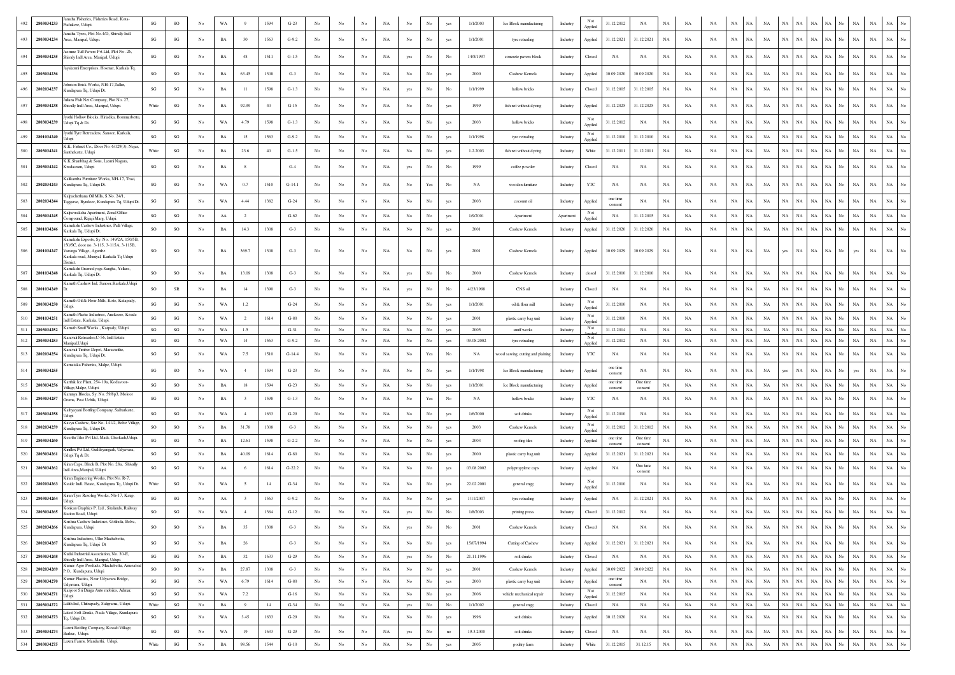| 492 | 2803034233     | natha Fisheries, Fisheries Road, Kota-<br>adukere, Udupi                             | SG                     | $\rm SO$               | No               | WA          |                         | 1594 | $G-23$   |             |                  |             |             |                  | No                   |             | 1/1/2003   | Ice Block manufacturing           | Industry  | Not                                                       | 31.12.2012          | NA                  | NA          | N/          |             |             |                   |                          |                   |             |                    | NA                                 | NA          |                  |
|-----|----------------|--------------------------------------------------------------------------------------|------------------------|------------------------|------------------|-------------|-------------------------|------|----------|-------------|------------------|-------------|-------------|------------------|----------------------|-------------|------------|-----------------------------------|-----------|-----------------------------------------------------------|---------------------|---------------------|-------------|-------------|-------------|-------------|-------------------|--------------------------|-------------------|-------------|--------------------|------------------------------------|-------------|------------------|
| 493 | 2803034234     | natha Tyres, Plot No.4/D, Shivally Indl.<br>rea, Manipal, Udupi.                     | SG                     | SG                     | $_{\mathrm{No}}$ | $_{\rm BA}$ | 30                      | 1563 | $G-9.2$  | No          | No               | $_{\rm No}$ | NA          | $_{\mathrm{No}}$ | No                   | yes         | 1/1/2001   | tyre retrading                    | Industry  | Applied<br>Applied                                        | 31.12.2021          | 31.12.2021          | $_{\rm NA}$ | NA          | $_{\rm NA}$ | $_{\rm NA}$ | NA<br><b>NA</b>   | <b>NA</b><br>NA          | <b>NA</b>         |             | $_{\rm NA}$        | $_{\rm NA}$                        | $_{\rm NA}$ | No               |
|     |                | smine Tuff Pavers Pvt Ltd, Plot No. 26,                                              |                        |                        |                  |             |                         |      |          |             |                  |             |             |                  |                      |             |            |                                   |           |                                                           |                     |                     |             |             |             |             |                   |                          |                   |             |                    |                                    |             |                  |
| 494 | 2803034235     | hivaly Indl Area, Manipal, Udupi<br>yalaxmi Enterprises, Hosmar, Karkala Tq.         | SG                     | SG                     | No               | $_{\rm BA}$ | 48                      | 1511 | $G-1.5$  | No          | No.              | No          | NA          | yes              | No                   | No          | 14/8/1997  | concrete pavers block             | Industry  | Closed                                                    | NA                  | NA                  | NA          | NA          | <b>NA</b>   | $_{\rm NA}$ | <b>NA</b><br>NA   | $_{\rm NA}$              | NA<br>$_{\rm NA}$ | NA          | No.                | $_{\rm NA}$<br>$_{\rm NA}$         | $_{\rm NA}$ | No               |
| 495 | 2803034236     | hnson Brick Works, NH-17, Tallur,                                                    | SO                     | SO                     | No               | $_{\rm BA}$ | 63.45                   | 1308 | $G-3$    | No          | No               | No          | NA          | $_{\mathrm{No}}$ | No                   | yes         | 2000       | Cashew Kernels                    | Industry  | Applied                                                   | 30.09.2020          | 30.09.2020          | NA          | NA          | NA          | NA          | NA                | NA                       | N/                |             | $_{\rm NA}$        | $_{\rm NA}$                        | NA          |                  |
| 496 | 2802034237     | andapura Tq, Udupi Dt.<br>liana Fish Net Company, Plot No. 27,                       | SG                     | $\mathbf{S}\mathbf{G}$ | No               | BA          | 11                      | 1598 | $G-1.3$  | No          | No.              | No          | NA          | yes              | No                   | No          | 1/1/1999   | hollow bricks                     | Industry  | Closed                                                    | 31.12.2005          | 31.12.2005          | NA          | NA          | NA          | NA          | NA<br>NA          | NA<br>NA                 | NA                |             |                    | $_{\rm NA}$<br>$_{\rm NA}$         | NA          |                  |
| 497 | 2803034238     | hivally Indl Area, Manipal, Udupi.                                                   | White                  | SG                     | No               | $_{\rm BA}$ | 92.99                   | 40   | $G-15$   | No          | No               | No          | NA          | $_{\mathrm{No}}$ | No                   | yes         | 1999       | fish net without dyeing           | Industry  | Applied                                                   | 31.12.2025          | 31.12.2025          | $_{\rm NA}$ | NA          | $_{\rm NA}$ | $_{\rm NA}$ | NA<br>NA          | $_{\rm NA}$<br>NA        | NA                | NA          | $_{\rm NA}$<br>No. | $_{\rm NA}$                        | $_{\rm NA}$ |                  |
|     | 2803034239     | othi Hollow Blocks, Hiriadka, Bommarbettu<br>dupi Tq & Dt.                           | $\mathbf{SG}$          | $\mathbf{S}\mathbf{G}$ | No               | WA          | 4.79                    | 1598 | $G-1.3$  | No          | $_{\mathrm{No}}$ | No          | NA          | $_{\rm No}$      | No                   | yes         | 2003       | hollow bricks                     | Industry  | Not<br>Applied                                            | 31.12.2012          | NA                  | NA          | NA          | NA          | NA          | <b>NA</b><br>NA   | <b>NA</b><br>NA          | NA                |             | $_{\rm NA}$        | NA                                 | $_{\rm NA}$ |                  |
| 499 | 2801034240     | othi Tyre Retreaders, Sanoor, Karkala                                                | SG                     | SG                     | No               | $_{\rm BA}$ | 15                      | 1563 | $G-9.2$  | No          | No               | $_{\rm No}$ | NA          | No               | No                   | yes         | 1/1/1998   | tyre retrading                    | Industry  | Not<br>Applied                                            | 31.12.2010          | 31.12.2010          | NA          | NA          | NA          | $_{\rm NA}$ | NA<br>NA          | NA                       | NA<br>NA          | NA.         |                    | NA<br>$_{\rm NA}$                  | NA          |                  |
|     | 2803034241     | K. Fishnet Co., Door No. 6/129(3), Nejar,<br>anthekatte. Udupi                       | White                  | SG                     | No               | BA          | 23.6                    | 40   | $G-1.5$  | No          | No               | No          | NA          | No               | No                   | yes         | 1.2.2003   | fish net without dyeing           | Industry  | White                                                     | 31.12.2011          | 31.12.2011          | NA          | NA          | NA          | NA          | NA<br>NA          | $_{\rm NA}$<br>NA        | $_{\rm NA}$       | NA          |                    | $_{\rm NA}$<br>$_{\rm NA}$         | $_{\rm NA}$ |                  |
|     | 2803034242     | K.Shanbhag & Sons, Laxmi Nagara,<br>rodasram, Udupi                                  | SG                     | SG                     | No               | $_{\rm BA}$ | 8                       |      | $G-4$    | No          | No               | No          | NA          | yes              | No                   | No          | 1999       | coffee powder                     | Industry  | Closed                                                    | NA                  | NA                  | $_{\rm NA}$ | NA          | NA          | $_{\rm NA}$ | NA<br>NA          | NA<br>$_{\rm NA}$        | NA                | NA          | No.<br>$_{\rm NA}$ | $_{\rm NA}$                        | $_{\rm NA}$ |                  |
|     | 2802034243     | alikamba Furniture Works, NH-17, Trasi,<br>Cundapura Tq, Udupi Dt.                   | SG                     | SG                     | No               | WA          | 0.7                     | 1510 | $G-14.1$ | No          | No               | No          | NA          | No               | Yes                  | No          | <b>NA</b>  | wooden fumiture                   | Industry  | YTC                                                       | NA                  | NA                  | <b>NA</b>   | NΑ          | NA          | NA          | NA<br>NA          | <b>NA</b><br>NA          | NA                |             | NA                 | NA                                 | NA          |                  |
|     | 2802034244     | Calpachethana Oil Mills, S.No. 24/1,<br>aggarse, Byndoor, Kundapura Tq, Udupi Dt.    | SG                     | $\mathbf{S}\mathbf{G}$ | No               | WA          | 4.44                    | 1382 | $G-24$   | No          | No               | No          | NA          | No               | No                   | yes         | 2003       | coconut oil                       | Industry  | Applied                                                   | one time<br>consent | NA                  | <b>NA</b>   | NA          | <b>NA</b>   | NA          | NA<br><b>NA</b>   | <b>NA</b><br>NA          | NA                |             | $_{\rm NA}$        | $_{\rm NA}$                        | $_{\rm NA}$ |                  |
| 504 | 2803034245     | alpavraksha Apartment, Zonal Office<br>ompound, Rajaji Marg, Udupi.                  | SG                     | $\mathbf{S}\mathbf{G}$ | No               | AA          | $\overline{2}$          |      | $G-62$   | No          | No               | No          | NA          | $_{\rm No}$      | No                   | yes         | 1/9/2001   | Apartment                         | Apartment | Not<br>Applied                                            | NA                  | 31.12.2005          | NA          | NA          | NA          | NA          | NA<br>NA          | <b>NA</b><br>NA          | NA                | NA          | No                 | $_{\rm NA}$<br>$_{\rm NA}$         | $_{\rm NA}$ | No               |
|     | 2801034246     | amakshi Cashew Industries, Palli Village,<br>arkala Tq, Udupi Dt.                    | SO                     | $\rm SO$               | No               | BA          | 14.3                    | 1308 | $G-3$    | No          | No               | No          | NA          | No               | No                   | yes         | 2001       | Cashew Kernels                    | Industry  | Applied                                                   | 31.12.2020          | 31.12.2020          | NA          | NA          | NA          | $_{\rm NA}$ | NA<br>NA          | NA<br>NA                 | NA                | NA.         | No                 | $_{\rm NA}$<br>$_{\rm NA}$         | $_{\rm NA}$ | No               |
|     |                | amakshi Exports, Sy. No. 149/2A, 150/5B,<br>50/5C, door no. 3-115, 3-115A, 3-115B,   |                        |                        |                  |             |                         |      |          |             |                  |             |             |                  |                      |             |            |                                   |           |                                                           |                     |                     |             |             |             |             |                   |                          |                   |             |                    |                                    |             |                  |
|     | 2801034247     | aranga Village, Agumbe<br>Carkala road, Muniyal, Karkala Tq Udupi<br>strict.         | SO                     | SO                     | No               | BA          | 369.7                   | 1308 | $G-3$    | No          | No               | No          | NA          | No               | No                   | yes         | 2001       | Cashew Kernels                    | Industry  | Applied                                                   | 30.09.2029          | 30.09.2029          | NA          | NA          | NA          | NA          | NA<br>NA          | NA<br>yes                | NA                |             | yes                | <b>NA</b>                          | NA          |                  |
|     | 2801034248     | amakshi Gramodyoga Sangha, Yellare,<br>Karkala Tq, Udupi Dt.                         | SO                     | SO                     | No               | BA          | 13.09                   | 1308 | $G-3$    | No          | No               | No          | NA          | yes              | No                   | No          | 2000       | Cashew Kernels                    | Industry  | closed                                                    | 31.12.2010          | 31.12.2010          | NA          | NA          | NA          | $_{\rm NA}$ | NA<br>NA          | NA                       | NA<br>NA          | NA          |                    | $_{\rm NA}$<br>$_{\rm NA}$         | $_{\rm NA}$ | No               |
| 508 | 2801034249     | amath Cashew Ind, Sanoor, Karkala, Udup                                              | SO                     | ${\sf SR}$             | No               | BA          | 14                      | 1390 | $G-3$    | No          | No               | No          | NA          | yes              | No                   | No          | 4/23/1998  | CNS oil                           | Industry  | Closed                                                    | NA                  | NA                  | NA          | NA          | NA          | $_{\rm NA}$ | NA<br>NA          | NA<br><b>NA</b>          | $_{\rm NA}$       | NA          | $_{\rm NA}$<br>No. | $_{\rm NA}$                        | $_{\rm NA}$ |                  |
| 509 | 2803034250     | amath Oil & Flour Mills, Kote, Katapady,<br>dupi                                     | $\mathbf{S}\mathbf{G}$ | SG                     | No               | WA          | 1.2                     |      | $G-24$   | No          | No               | No          | NA          | $_{\mathrm{No}}$ | $_{\rm No}$          | yes         | 1/1/2001   | oil & flour mill                  | Industry  | Not<br>Applied                                            | 31.12.2010          | NA                  | $_{\rm NA}$ | NA          | $_{\rm NA}$ | $_{\rm NA}$ | NA<br>NA          | <b>NA</b><br>NA          | NA                |             | $_{\rm NA}$        | $_{\rm NA}$                        | NA          | No               |
| 510 | 2801034251     | amath Plastic Industries, Anekeere, Kssidc<br>ndl Estate, Karkala, Udupi.            | $\mathbf{S}\mathbf{G}$ | SG                     | No               | WA          | $\overline{2}$          | 1614 | $G-80$   | No          | No               | No          | NA          | $_{\mathrm{No}}$ | $_{\rm No}$          | yes         | 2001       | plastic carry bag unit            | Industry  | Not<br>Applied                                            | 31.12.2010          | NA                  | $_{\rm NA}$ | NA          | NA          | $_{\rm NA}$ | NA<br>NA          | NA<br>NA                 | NA                | <b>NA</b>   | No                 | $_{\rm NA}$<br>$_{\rm NA}$         | $_{\rm NA}$ | No               |
| 511 | 2803034252     | amath Snuff Works, Katpady, Udupi.                                                   | SG                     | SG                     | No               | WA          | 1.5                     |      | $G-31$   | No          | $_{\mathrm{No}}$ | No          | NA          | $_{\rm No}$      | No                   | yes         | 2005       | snuff works                       | Industry  | Not                                                       | 31.12.2014          | NA                  | NA          | NA          | NA          | NA          | NA<br>NA          | <b>NA</b><br>NA          | $_{\rm NA}$       | NA          | No.                | $_{\rm NA}$<br>$_{\rm NA}$         | $_{\rm NA}$ | No               |
|     | 2803034253     | Caravali Retreades, C-56, Indl Estate<br>Aanipal Udupi                               | $\mathbf{S}\mathbf{G}$ | SG                     | No               | WA          | 14                      | 1563 | $G-9.2$  | $_{\rm No}$ | $_{\rm No}$      | $_{\rm No}$ | $_{\rm NA}$ | $_{\mathrm{No}}$ | No                   | yes         | 09.08.2002 | tyre retrading                    | Industry  | Not<br>Applied                                            | 31.12.2012          | $_{\rm NA}$         | $_{\rm NA}$ | $_{\rm NA}$ | $_{\rm NA}$ | NA          | NA<br>NA          | $_{\rm NA}$              | NA<br>NA          | NA          | $_{\rm NA}$        | $_{\rm NA}$                        | NA          |                  |
|     | 2802034254     | aravali Timber Depot, Maravanthe<br>undapura Tq, Udupi Dt.                           | $\mathbf{S}\mathbf{G}$ | $\mathbf{S}\mathbf{G}$ | No               | WA          | 7.5                     | 1510 | $G-14.4$ | $_{\rm No}$ | No               | No          | NA          | $_{\mathrm{No}}$ | $\operatorname{Yes}$ | No          | NA         | vood sawing, cutting and plaining | Industry  | YTC                                                       | NA                  | NA                  | $_{\rm NA}$ | NA          | $_{\rm NA}$ | $_{\rm NA}$ | NA<br>NA          | NA                       | NA<br>$_{\rm NA}$ | NA          | No                 | $_{\rm NA}$<br>$_{\rm NA}$         | NA          |                  |
| 514 | 2803034255     | Carnataka Fisheries, Malpe, Udupi                                                    | SG                     | SO                     | No               | WA          | $\overline{4}$          | 1594 | $G-23$   | No          | No.              | No          | NA          | No               | No                   | yes         | 1/1/1998   | Ice Block manufacturing           | Industry  | Applied                                                   | one time<br>consent | NA                  | <b>NA</b>   | NA          | NA          | $_{\rm NA}$ | NA<br>NA          | yes                      | NA<br>$_{\rm NA}$ | NA          | No.<br>yes         | $_{\rm NA}$                        | $_{\rm NA}$ |                  |
| 515 | 2803034256     | arthik Ice Plant, 254-19a, Kodavoor-<br>illage, Malpe, Udupi.                        | SG                     | SO                     | No               | $_{\rm BA}$ | 18                      | 1594 | $G-23$   | No          | $_{\rm No}$      | $_{\rm No}$ | NA          | $_{\rm No}$      | $_{\rm No}$          | yes         | 1/1/2001   | Ice Block manufacturing           | Industry  | Applied                                                   | one time<br>consent | One time<br>consen  | $_{\rm NA}$ | NA          | NA          | NA          | <b>NA</b><br>NA   | NA<br>NA                 | $_{\rm NA}$       | NA          |                    | $_{\rm NA}$<br>$_{\rm NA}$         | $_{\rm NA}$ |                  |
|     | 2803034257     | Carunya Blocks, Sy. No. 59/8p3, Moloor<br>Grama, Post Uchila, Udupi.                 | SG                     | SG                     | No               | <b>BA</b>   | -3                      | 1598 | $G-1.3$  | No          | No.              | No          | NA          | No               | Yes                  | No          | NA         | hollow bricks                     | Industry  | YTC                                                       | NA                  | NA                  | NA          | NA          | NA          | NA          | NA<br><b>NA</b>   | NA<br>NA                 | <b>NA</b>         | NA          | <b>NA</b>          | $_{\rm NA}$                        | $_{\rm NA}$ | No               |
| 517 | 2803034258     | athyayani Bottling Company, Saibarkatte,<br>dupi                                     | $\mathbf{S}\mathbf{G}$ | SG                     | No               | WA          | $\overline{4}$          | 1633 | $G-29$   | No          | No               | No          | $_{\rm NA}$ | $_{\mathrm{No}}$ | $_{\rm No}$          | yes         | 1/6/2000   | soft drinks                       | Industry  | Not<br>Applied                                            | 31.12.2010          | NA                  | NA          | NA          | $_{\rm NA}$ | $_{\rm NA}$ | NA<br>NA          | <b>NA</b><br>NA          | NA                | NA          | $_{\rm NA}$        | $_{\rm NA}$                        | $_{\rm NA}$ | No               |
| 518 | 2802034259     | avya Cashew, Site No. 141/2, Belve Village<br>undapura Tq, Udupi Dt.                 | SO                     | SO                     | No               | $_{\rm BA}$ | 31.78                   | 1308 | $G-3$    | No          | $_{\rm No}$      | No          | $_{\rm NA}$ | $_{\mathrm{No}}$ | $_{\rm No}$          |             | 2003       | Cashew Kernels                    | Industry  | Not<br>Applied                                            | 31.12.2012          | 31.12.2012          | NA          | NA          | $_{\rm NA}$ | $_{\rm NA}$ | NA<br>NA          | $_{\rm NA}$<br><b>NA</b> | NA                | NA          | $_{\rm NA}$<br>No  | $_{\rm NA}$                        | $_{\rm NA}$ | $\overline{N}$ o |
| 519 | 2803034260     | eerthi Tiles Pvt Ltd, Madi, Cherkadi, Udupi.                                         | $\mathbf{S}\mathbf{G}$ | SG                     | No               | $_{\rm BA}$ | 12.61                   | 1598 | $G-2.2$  | No          | No               | No          | NA          | $_{\rm No}$      | $_{\rm No}$          | yes         | 2003       | roofing tiles                     | Industry  | Applied                                                   | one time<br>consent | One time<br>consent | NA          | NA          | $_{\rm NA}$ | $_{\rm NA}$ | NA<br>NA          | $_{\rm NA}$<br>NA        | NA                | NA          | No                 | $_{\rm NA}$<br>$_{\rm NA}$         | $_{\rm NA}$ | $\overline{N}$ o |
| 520 | 2803034261     | iniflex Pvt Ltd, Guddeyangadi, Udyavara,<br>dupi Tq & Dt.                            | $\mathbf{S}\mathbf{G}$ | SG                     | $_{\rm No}$      | $_{\rm BA}$ | 40.09                   | 1614 | $G-80$   | No          | No               | No          | $_{\rm NA}$ | $_{\mathrm{No}}$ | $_{\rm No}$          | yes         | 2000       | plastic carry bag unit            | Industry  | Applied                                                   | 31.12.2021          | 31.12.2021          | $_{\rm NA}$ | $_{\rm NA}$ | $_{\rm NA}$ | $_{\rm NA}$ | NA<br>$_{\rm NA}$ | $_{\rm NA}$<br>NA        | NA                | NA          | No.                | $_{\rm NA}$<br>$_{\rm NA}$         | $_{\rm NA}$ | No               |
| 521 | 2803034262     | iran Caps, Block B, Plot No. 28a, Shivally<br>ndl Area.Manipal, Udupi                | $\mathbf{S}\mathbf{G}$ | $\mathbf{S}\mathbf{G}$ | $_{\mathrm{No}}$ | ${\rm AA}$  |                         | 1614 | $G-22.2$ | No          | No               | No          | NA          | $_{\mathrm{No}}$ | No                   | yes         | 03.08.2002 | polypropylene caps                | Industry  | Applied                                                   | NA                  | One time<br>consent | $_{\rm NA}$ | NA          | $_{\rm NA}$ | NA          | <b>NA</b><br>NA   | NA<br><b>NA</b>          | NA                | <b>NA</b>   | No.                | $_{\rm NA}$<br>$_{\rm NA}$         | $_{\rm NA}$ | No               |
| 522 | 2802034263     | iran Engineering Works, Plot No. R-7.<br>Csside Indl. Estate, Kundapura Tq, Udupi Dt | White                  | SG                     | No               | WA          |                         | 14   | $G-34$   | No          | No               | No          | NA          | $_{\rm No}$      | No                   | yes         | 22.02.2001 | general engg                      | Industry  | Not<br>Applied                                            | 31.12.2010          | NA                  | NA          | NA          | NA          | $_{\rm NA}$ | NA<br>NA          | <b>NA</b>                | NA                |             | $_{\rm NA}$        | $_{\rm NA}$                        | $_{\rm NA}$ |                  |
| 523 | 2803034264     | Ciran Tyre Resoling Works, Nh-17, Kaup,<br>tuni                                      | SG                     | SG                     | $_{\mathrm{No}}$ | ${\rm AA}$  | $\overline{\mathbf{3}}$ | 1563 | $G-9.2$  | No          | No               | $_{\rm No}$ | NA          | $_{\rm No}$      | $_{\rm No}$          | yes         | 1/11/2007  | tyre retrading                    | Industry  | Applied                                                   | NA                  | 31.12.2021          | NA          | NA          | <b>NA</b>   | $_{\rm NA}$ | <b>NA</b><br>NA   | NA<br>NA                 | $_{\rm NA}$       | NA          | No.                | $_{\rm NA}$<br>$_{\rm NA}$         | $_{\rm NA}$ | No               |
| 524 | 2803034265     | onkan Graphics P. Ltd., Sitalands, Railway<br>tation Road, Udupi                     | SO                     | $\mathbf{SG}$          | No               | WA          | 4                       | 1364 | $G-12$   | No          | No               | No          | $_{\rm NA}$ | yes              | No                   | No          | 1/8/2003   | printing press                    | Industry  | Closed                                                    | 31.12.2012          | $_{\rm NA}$         | NA          | $_{\rm NA}$ | NA          | $_{\rm NA}$ | NA<br>$_{\rm NA}$ | NA<br>$_{\rm NA}$        | $_{\rm NA}$       | NA          | No                 | $_{\rm NA}$<br>$_{\rm NA}$         | $_{\rm NA}$ |                  |
|     | 525 2802034266 | Krishna Cashew Industries, Golihola, Belve,<br>Kundapura, Udupi                      | so                     | SO                     | No               | BA          | 35                      | 1308 | $G-3$    | No          | No               | No          | NA          | yes              | No                   | No          | 2001       | Cashew Kernels                    | Industry  | Closed                                                    | NA                  | NA                  | NA          | NA          | NA          | NA          | NA<br>NA          |                          |                   |             |                    | $\mathsf{NA}$ NA NA NA No NA NA NA |             | No               |
| 526 | 2802034267     | Crishna Industires, Ullur Machabettu,<br>undapura Tq, Udupi Dt                       | SG                     | $\mathbf{SG}$          | $_{\mathrm{No}}$ | $_{\rm BA}$ | 26                      |      | $G-3$    | No          | No               | $_{\rm No}$ | $_{\rm NA}$ | $_{\mathrm{No}}$ | $_{\rm No}$          | yes         | 15/07/1994 | Cutting of Cashew                 | Industry  | Applied                                                   | 31.12.2021          | 31.12.2021          | $_{\rm NA}$ | $_{\rm NA}$ | NA          | $_{\rm NA}$ | $_{\rm NA}$<br>NA | NA  <br>NA               | $_{\rm NA}$       | NA          | No                 | $_{\rm NA}$<br>NA                  | $_{\rm NA}$ | $_{\mathrm{No}}$ |
| 527 | 2803034268     | Kudal Industrial Association, No. 30-E,<br>hivally Indl Area, Manipal, Udupi.        | $\mathbf{S}\mathbf{G}$ | $\mathbf{S}\mathbf{G}$ | No               | $_{\rm BA}$ | 32                      | 1633 | $G-29$   | No          | No               | $_{\rm No}$ | NA          | yes              | $_{\rm No}$          | $_{\rm No}$ | 21.11.1996 | soft drinks                       | Industry  | Closed                                                    | NA                  | NA                  | $_{\rm NA}$ | NA          | NA          | NA          | NA<br>NA          | NA<br>$_{\rm NA}$        | $_{\rm NA}$       | $_{\rm NA}$ | No.                | NA<br>$_{\rm NA}$                  | NA          | $_{\mathrm{No}}$ |
| 528 | 2802034269     | Cumar Agro Products, Machabettu, Amesabai<br>P.O, Kundapura, Udupi                   | SO                     | SO                     | No               | BA          | 27.87                   | 1308 | $G-3$    | No          | No               | $_{\rm No}$ | NA          | No               | $_{\rm No}$          | yes         | 2001       | Cashew Kernels                    | Industry  | Applied                                                   | 30.09.2022          | 30.09.2022          | NA          | NA          | NA          | NA          | NA<br>NA          | NA<br>$_{\rm NA}$        | $_{\rm NA}$       | NA          | $_{\rm NA}$<br>No  | $_{\rm NA}$                        | $_{\rm NA}$ | $_{\rm No}$      |
| 529 | 2803034270     | Cumar Plastics, Near Udyavara Bridge,<br>dyavara, Udupi.                             | $\mathbf{S}\mathbf{G}$ | $\mathbf{S}\mathbf{G}$ | No               | WA          | 6.79                    | 1614 | $G-80$   | No          | No               | No          | NA          | No               | No                   | yes         | 2003       | plastic carry bag unit            | Industry  | Applied                                                   | one time<br>consent | NA                  | $_{\rm NA}$ | NA          | $_{\rm NA}$ | $_{\rm NA}$ | NA<br>NA          | NA<br>NA                 | $_{\rm NA}$       | NA          | $_{\rm NA}$<br>No  | $_{\rm NA}$                        | $_{\rm NA}$ | $_{\mathrm{No}}$ |
| 530 | 2803034271     | anjoor Sri Durga Auto mobiles, Admar,<br>tuni                                        | SG                     | $\mathbf{S}\mathbf{G}$ | No               | WA          | 7.2                     |      | $G-16$   | No          | No               | $_{\rm No}$ | NA          | No               | $_{\rm No}$          | yes         | 2006       | vehicle mechanical repair         | Industry  | Not<br>Applied                                            | 31.12.2015          | NA                  | $_{\rm NA}$ | NA          | $_{\rm NA}$ | $_{\rm NA}$ | $_{\rm NA}$<br>NA | NA<br>$_{\rm NA}$        | $_{\rm NA}$       | $_{\rm NA}$ | $_{\rm NA}$<br>No  | $_{\rm NA}$                        | $_{\rm NA}$ | $_{\rm No}$      |
| 531 | 2803034272     | Lalith Ind, Chitrapady, Saligrama, Udupi.                                            | White                  | $\mathbf{S}\mathbf{G}$ | No               | $_{\rm BA}$ | 9                       | 14   | $G-34$   | No          | No               | No          | NA          | yes              | No                   | No          | 1/1/2002   | general engg                      | Industry  | Closed                                                    | NA                  | NA                  | $_{\rm NA}$ | $_{\rm NA}$ | NA          | NA          | NA<br>NA          | NA<br>NA                 | $_{\rm NA}$       | <b>NA</b>   | $_{\rm NA}$<br>No  | $_{\rm NA}$                        | NA          | $_{\mathrm{No}}$ |
| 532 | 2802034273     | atest Soft Drinks, Nada Village, Kundapura<br>fq, Udupi Dt.                          | SG                     | $\mathbf{S}\mathbf{G}$ | No               | WA          | 3.45                    | 1633 | $G-29$   | No          | No               | No          | NA          | $_{\mathrm{No}}$ | No                   | yes         | 1996       | soft drinks                       | Industry  | Applied                                                   | 30.12.2020          | NA                  | $_{\rm NA}$ | $_{\rm NA}$ | NA          | $_{\rm NA}$ | NA<br>NA          | NA<br>NA                 | $_{\rm NA}$       | NA          | $_{\rm NA}$<br>No  | $_{\rm NA}$                        | $_{\rm NA}$ | $_{\rm No}$      |
|     | 533 2803034274 | axmi Bottling Company, Kavadi Village,<br>Barkur, Udupi.                             | SG                     | $\mathbf{SG}$          | $_{\mathrm{No}}$ | WA          | 19                      | 1633 | $G-29$   | $_{\rm No}$ | No               | $_{\rm No}$ | NA          | yes              | $_{\mathrm{No}}$     | no          | 19.3.2000  | soft drinks                       | Industry  | Closed                                                    | NA                  | NA                  | $_{\rm NA}$ | NA          | $_{\rm NA}$ | $_{\rm NA}$ | $_{\rm NA}$<br>NA | NA<br>$_{\rm NA}$        | $_{\rm NA}$       | $_{\rm NA}$ | No                 | NA<br>$_{\rm NA}$                  | NA          | $_{\rm No}$      |
| 534 | 2803034275     | .axmi Farms, Mandarthi, Udupi.                                                       | White                  | $\mathbf{S}\mathbf{G}$ | $_{\mathrm{No}}$ | $_{\rm BA}$ | 98.56                   | 1544 | $G-10$   | $_{\rm No}$ | $_{\rm No}$      | $_{\rm No}$ | $_{\rm NA}$ | $_{\mathrm{No}}$ | $_{\rm No}$          | yes         | 2005       | poultry farm                      | Industry  | $% \left\vert \mathcal{L}_{\mathcal{A}}\right\vert$ White | 31.12.2015          | 31.12.15            | $_{\rm NA}$ | $_{\rm NA}$ | $_{\rm NA}$ | $_{\rm NA}$ | NA<br>$_{\rm NA}$ | NA<br>$_{\rm NA}$        | $_{\rm NA}$       | $_{\rm NA}$ | $_{\rm NA}$<br>No  | $_{\rm NA}$                        | $_{\rm NA}$ | $_{\mathrm{No}}$ |
|     |                |                                                                                      |                        |                        |                  |             |                         |      |          |             |                  |             |             |                  |                      |             |            |                                   |           |                                                           |                     |                     |             |             |             |             |                   |                          |                   |             |                    |                                    |             |                  |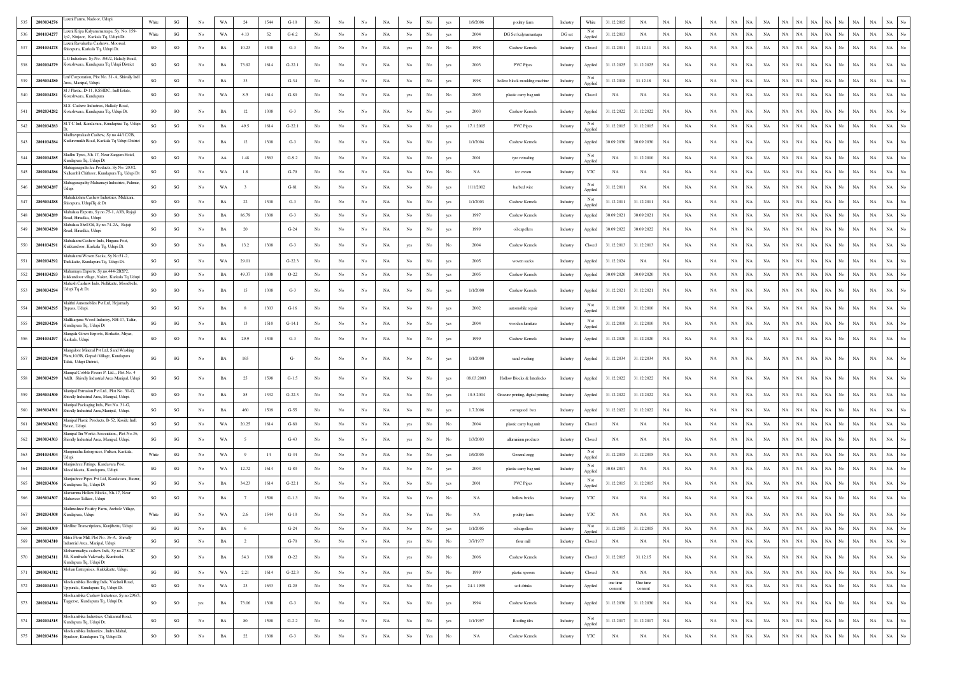| 535 | 2803034276 | Laxmi Farms, Nadoor, Udupi.                                                                                 | White                  | $\mathbf{S}\mathbf{G}$ | No               | WA          | 24                      | 1544 | $G-10$   | No               |                  |             | NA          |                  | No                                                                                    |                  | 1/9/2006    | poultry farm                       | Industry | White          | 31.12.2015          | $_{\rm NA}$         | NA          | NA          | <b>NA</b>   | NA          |           |             |                            |             | NA                                        | NA                                             |
|-----|------------|-------------------------------------------------------------------------------------------------------------|------------------------|------------------------|------------------|-------------|-------------------------|------|----------|------------------|------------------|-------------|-------------|------------------|---------------------------------------------------------------------------------------|------------------|-------------|------------------------------------|----------|----------------|---------------------|---------------------|-------------|-------------|-------------|-------------|-----------|-------------|----------------------------|-------------|-------------------------------------------|------------------------------------------------|
| 536 | 2801034277 | axmi Kripa Kalyanamantapa, Sy. No. 159-<br>2. Ninjoor. Karkala To, Udupi Dt                                 | White                  | $_{\rm SG}$            | No               | WA          | 4.13                    | 52   | $G-6.2$  | No               | No               | No          | NA          | No               | No                                                                                    | yes              | 2004        | DG Set kalynamantapa               | DG set   | Not<br>Applied | 31.12.2013          | NA                  | $_{\rm NA}$ | NA          | NA          | NA          | NA        | NA          | <b>NA</b><br>NA            | NA          | No<br>NA<br>NA                            | $_{\mathrm{No}}$<br>$_{\rm NA}$<br>$_{\rm NA}$ |
| 537 | 2801034278 | axmi Ravalnatha Cashews, Moorsal,<br>Shivapura, Karkala Tq, Udupi Dt.                                       | SO                     | SO                     | $_{\mathrm{No}}$ | BA          | 10.23                   | 1308 | $G-3$    | $_{\rm No}$      | $_{\rm No}$      | No          | NA          | yes              | $_{\rm No}$                                                                           | No               | 1998        | Cashew Kernels                     | Industry | Closed         | 31.12.2011          | 31.12.11            | $_{\rm NA}$ | NA          | NA          | $_{\rm NA}$ | NA        | NA          | NA<br>$_{\rm NA}$          | NA          | NA  <br>No<br>$_{\rm NA}$                 | $_{\rm NA}$<br>$_{\rm NA}$                     |
| 538 | 2802034279 | G Industries. Sy.No. 360/2, Halady Road,<br>Koteshwara, Kundapura Tq Udupi District                         | SG                     | $_{\rm SG}$            | No               | BA          | 73.92                   | 1614 | $G-22.1$ | No               | No               | No          | NA          | No               | No                                                                                    | yes              | 2003        | <b>PVC Pipes</b>                   | Industry | Applied        | 31.12.2025          | 31.12.2025          | NA          | NA          | NA          | $_{\rm NA}$ | NA        | NA          | NA<br>NA                   | $_{\rm NA}$ | $_{\rm NA}$<br>NA<br>No                   | $_{\rm NA}$<br>$_{\rm NA}$                     |
| 539 | 2803034280 | Lmf Corporation, Plot No. 31-A, Shivally Ind<br>Area, Manipal, Udupi.                                       | $\mathbf{S}\mathbf{G}$ | SG                     | $_{\mathrm{No}}$ | BA          | 33                      |      | $G-34$   | $_{\rm No}$      | No               | No          | NA          | $_{\mathrm{No}}$ | $_{\rm No}$                                                                           | yes              | 1998        | hollow block moulding machine      | Industry | Not<br>Applied | 31.12.2018          | 31.12.18            | NA          | NA          | $_{\rm NA}$ | $_{\rm NA}$ | NA        | NA          | NA<br><b>NA</b>            | $_{\rm NA}$ | NA<br>$_{\rm No}$<br>NA                   | $_{\rm No}$<br>$_{\rm NA}$<br>NA               |
| 540 | 2802034281 | M J Plastic, D-11, KSSIDC, Indl Estate<br>Coteshwara, Kundapura                                             | $\mathbf{S}\mathbf{G}$ | $\mathbf{S}\mathbf{G}$ | No               | WA          | 8.5                     | 1614 | $G-80$   | No               | No               | No          | NA          | yes              | $_{\rm No}$                                                                           | No               | 2005        | plastic carry bag unit             | Industry | Closed         | NA                  | NA                  | NA          | NA          | NA          | $_{\rm NA}$ | NA        | $_{\rm NA}$ | NA<br><b>NA</b>            | $_{\rm NA}$ | NA<br>No<br>$_{\rm NA}$                   | $_{\rm NA}$<br>$_{\rm NA}$                     |
| 541 | 2802034282 | M.S. Cashew Industries, Hallady Road<br>Koteshwara, Kundapura Tq, Udupi Dt                                  | SO                     | SO                     | No               | $_{\rm BA}$ | 12                      | 1308 | $G-3$    | No               | No               | No          | NA          | No               | No                                                                                    | yes              | 2003        | Cashew Kernels                     | Industry | Applied        | 31.12.2022          | 31.12.2022          | $_{\rm NA}$ | NA          | $_{\rm NA}$ | $_{\rm NA}$ | NA        | NA          | NA<br>NA                   | $_{\rm NA}$ | NA<br>No<br>NA                            | $_{\rm NA}$<br>NA                              |
| 542 | 2802034283 | M.T.C Ind, Kandavara, Kundapura Tq, Uduj                                                                    | SG                     | SG                     | No               | $_{\rm BA}$ | 49.5                    | 1614 | $G-22.1$ | No               | No               | No          | NA          | $_{\rm No}$      | No                                                                                    | yes              | 17.1.2005   | <b>PVC Pipes</b>                   | Industry | Not<br>Applied | 31.12.2015          | 31.12.2015          | NA          | NA          | NA          | NA          | NA        | NA          | <b>NA</b><br>NA            | NA          | NA  <br>No<br>$_{\rm NA}$                 | $_{\rm NA}$<br>$_{\rm No}$<br>$_{\rm NA}$      |
| 543 | 2801034284 | Aadhavprakash Cashew, Sy.no.44/1C/2B,<br>Kuduremukh Road, Karkala Tq Udupi District                         | SO                     | SO                     | No               | BA          | 12                      | 1308 | $G-3$    | No               | No               | No          | NA          | No               | No                                                                                    | yes              | 1/1/2004    | Cashew Kernels                     | Industry | Applied        | 30.09.2030          | 30.09.2030          | NA          | NA          | NA          | NA          | NA        | NA          | NA<br>$_{\rm NA}$          | NA          | NA  <br>No<br>NA                          | $_{\rm NA}$<br>NA<br>No                        |
| 544 | 2802034285 | Madhu Tyres, Nh-17, Near Sangam Hotel.<br>Kundapura Tq, Udupi Dt                                            | $\mathbf{S}\mathbf{G}$ | SG                     | No               | AA          | 1.48                    | 1563 | $G-9.2$  | No               | No               | No          | NA          | No               | No                                                                                    | yes              | 2001        | tyre retrading                     | Industry | Not<br>Applied | NA                  | 31.12.2010          | NA          | NA          | NA          | NA          | <b>NA</b> | NA          | NA<br>NA                   | NA          | NA<br>No<br>NA                            | $_{\rm NA}$<br>$_{\rm NA}$                     |
| 545 | 2802034286 | Mahaganapathi Ice Products, Sy No. 203/2,<br>Nalkambli Chithoor, Kundapura Tq, Udupi Dt                     | SG                     | SG                     | No               | WA          | 1.8                     |      | $G-79$   | No               | No               | No          | NA          | No               | $\operatorname{Yes}$                                                                  | No               | NA          | ice cream                          | Industry | YTC            | NA                  | NA                  | NA          | NA          | NA          | NA          | NA        | NA          | NA<br>NA                   | NA          | NA<br>No<br>NA                            | $_{\rm NA}$<br>$_{\rm NA}$                     |
| 546 | 2803034287 | lahaganapathy Mahamayi Industries, Palimar<br>Udupi                                                         | SG                     | $_{\rm SG}$            | No               | WA          | $\overline{\mathbf{3}}$ |      | $G-81$   | No               | No               | No          | NA          | $_{\rm No}$      | No                                                                                    | yes              | 1/11/2002   | barbed wire                        | Industry | Not<br>Applied | 31.12.2011          | NA                  | NA          | NA          | NA          | NA          | NA        | NA          | NA<br>NA                   | NA          | NA<br>No<br>NA                            | $_{\rm NA}$<br>$_{\rm NA}$                     |
| 547 | 2803034288 | fahalakshmi Cashew Industries, Mukkani,<br>Shivapura, UdupiTq & Dt                                          | SO                     | SO                     | No.              | BA          | 22                      | 1308 | $G-3$    | No               | No               | No          | NA          | No               | No                                                                                    | yes              | 1/1/2003    | Cashew Kernels                     | Industry | Not<br>Applied | 31.12.2011          | 31.12.2011          | NA          | NA          | NA          | <b>NA</b>   | NA        | NA          | NA<br>NA                   | <b>NA</b>   | NA<br><b>NA</b><br>No                     | $_{\rm NA}$<br>No<br>NA                        |
|     | 2803034289 | Aahalasa Exports, Sy.no.75-1, A3B, Rajaj<br>load, Hiriadka, Udup                                            | SO                     | SO                     | No               | BA          | 86.79                   | 1308 | $G-3$    | $_{\rm No}$      | $_{\mathrm{No}}$ | $_{\rm No}$ | NA          | $_{\mathrm{No}}$ | $_{\rm No}$                                                                           | yes              | 1997        | Cashew Kernels                     | Industry | Applied        | 30.09.2021          | 30.09.2021          | NA          | NA          | NA          | $_{\rm NA}$ | NA        | NA          | NA                         | <b>NA</b>   | <b>NA</b><br>No<br>NA                     | $_{\rm NA}$<br>$_{\rm NA}$<br>No               |
| 549 | 2803034290 | Mahalasa Shell Oil, Sy.no.74-2A, Rajaji<br>Road, Hiriadka, Udupi                                            | SG                     | SG                     | No.              | <b>BA</b>   | 20                      |      | $G-24$   | No               | No               | No          | NA          | No               | No                                                                                    | yes              | 1999        | oil expellers                      | Industry | Applied        | 30.09.2022          | 30.09.2022          | <b>NA</b>   | NA          | NA          | NA          | NA        | NA          | NA<br>NA                   | <b>NA</b>   | NA<br><b>NA</b><br>No                     | NA<br><b>NA</b>                                |
| 550 | 2801034291 | Aahalaxmi Cashew Inds, Hirgana Post<br>Kukkundoor, Karkala Tq, Udupi Dt.                                    | SO                     | $SO$                   | $_{\mathrm{No}}$ | BA          | 13.2                    | 1308 | $G-3$    | $_{\rm No}$      | No               | No          | $_{\rm NA}$ | yes              | $_{\rm No}$                                                                           | No               | 2004        | Cashew Kernels                     | Industry | Closed         | 31.12.2013          | 31.12.2013          | NA          | $_{\rm NA}$ | $_{\rm NA}$ | $_{\rm NA}$ | NA        | NA          | $_{\rm NA}$                | NA          | $_{\rm NA}$<br>NA<br>No                   | $_{\rm NA}$<br>$_{\rm NA}$                     |
| 551 | 2802034292 | fahalaxmi Woven Sacks, Sy No:51-2,<br>Thekkatte, Kundapura Tq, Udupi Dt.                                    | SG                     | $\mathbf{S}\mathbf{G}$ | No               | WA          | 29.01                   |      | $G-22.3$ | $_{\rm No}$      | No               | No          | NA          | No               | No                                                                                    | yes              | 2005        | woven sacks                        | Industry | Applied        | 31.12.2024          | NA                  | $_{\rm NA}$ | NA          | $_{\rm NA}$ | $_{\rm NA}$ | NA        | NA          | NA<br>NA                   | NA          | NA<br>No<br>NA                            | $_{\rm NA}$<br>$_{\rm NA}$                     |
| 552 | 2801034293 | Mahamaya Exports, Sy.no.444-2B2P2,<br>kukkundoor village, Nakre, Karkala Tq Udup                            | SO                     | SO                     | No               | BA          | 49.37                   | 1308 | $O-22$   | No               | No               | No          | $_{\rm NA}$ | $_{\rm No}$      | $_{\rm No}$                                                                           | yes              | 2005        | Cashew Kernels                     | Industry | Applied        | 30.09.2020          | 30.09.2020          | NA          | NA          | NA          | NA          | NA        | NA          | NA<br>NA                   | $_{\rm NA}$ | NA No<br>$_{\rm NA}$                      | $_{\rm NA}$<br>$_{\rm No}$<br>$_{\rm NA}$      |
| 553 | 2803034294 | Aahesh Cashew Inds, Nellikatte, Moodbelle.<br>Udupi Tq & Dt.                                                | SO                     | SO                     | No               | $_{\rm BA}$ | 15                      | 1308 | $G-3$    | No               | No               | No          | NA          | $_{\mathrm{No}}$ | No                                                                                    | yes              | 1/1/2000    | Cashew Kernels                     | Industry | Applied        | 31.12.2021          | 31.12.2021          | NA          | NA          | NA          | NA          | <b>NA</b> | NA          | <b>NA</b><br>NA.           | NA          | <b>NA</b><br>No<br>$_{\rm NA}$            | NA<br><b>NA</b>                                |
| 554 | 2803034295 | Maithri Automobiles Pvt Ltd, Hejamady<br>Bypass, Udupi.                                                     | SG                     | SG                     | No               | BA          | 8                       | 1303 | $G-16$   | No               | No               | No          | NA          | $_{\rm No}$      | No                                                                                    | yes              | 2002        | automobile repair                  | Industry | Not<br>Applied | 31.12.2010          | 31.12.2010          | NA          | NA          | NA          | NA          | NA        | NA          | NA<br>NА                   | NA          | NA<br>No<br>NA                            | $_{\rm NA}$<br>NA                              |
| 555 | 2802034296 | Mallikarjuna Wood Industry, NH-17, Tallur.<br>Kundapura Tq, Udupi Dt                                        | SG                     | $_{\rm SG}$            | No               | BA          | 13                      | 1510 | $G-14.1$ | No               | No               | No          | NA          | $_{\rm No}$      | No                                                                                    | yes              | 2004        | wooden furniture                   | Industry | Not<br>Applied | 31.12.2010          | 31.12.2010          | NA          | NA          | NA          | NA          | NA        | NA          | <b>NA</b><br>NA            | NA          | NA<br>No<br>NA                            | $_{\rm NA}$<br>$_{\rm NA}$<br>No               |
| 556 | 2801034297 | Mangala Gowri Exports, Borkatte, Miyar<br>Karkala, Udupi                                                    | SO                     | SO                     | No               | BA          | 29.9                    | 1308 | $G-3$    | No               | No               | No          | NA          | No               | $_{\rm No}$                                                                           | yes              | 1999        | Cashew Kernels                     | Industry | Applied        | 31.12.2020          | 31.12.2020          | $_{\rm NA}$ | NA          | $_{\rm NA}$ | $_{\rm NA}$ | NA        | NA          | NA<br>$_{\rm NA}$          | NA          | NA<br>No<br>$_{\rm NA}$                   | $_{\rm NA}$<br>NA<br>No                        |
| 557 | 2802034298 | Mangalore Mineral Pvt Ltd. Sand Washing<br>lant, 10/3B, Gopadi Village, Kundapura<br>Taluk, Udupi District, | $\mathbf{S}\mathbf{G}$ | SG                     | No               | $_{\rm BA}$ | 165                     |      | G-       | $_{\rm No}$      | No               | No          | NA          | $_{\mathrm{No}}$ | $_{\rm No}$                                                                           | yes              | 1/1/2000    | sand washing                       | Industry | Applied        | 31.12.2034          | 31.12.2034          | NA          | NA          | NA          | $_{\rm NA}$ | NA        | NA          | NA<br>NA                   | $_{\rm NA}$ | $_{\rm NA}$<br>NA  <br>No                 | $_{\rm NA}$<br>$_{\rm NA}$                     |
| 558 | 2803034299 | Manipal Cobble Pavers P. Ltd Plot No. 4<br>A&B, Shivally Industrial Area Manipal, Udup                      | $\mathbf{S}\mathbf{G}$ | SG                     | $_{\rm No}$      | $_{\rm BA}$ | 25                      | 1598 | $G-1.5$  | $_{\rm No}$      | No               | $_{\rm No}$ | NA          | $_{\mathrm{No}}$ | No                                                                                    | yes              | 08.03.2003  | Hollow Blocks & Interlocks         | Industry | Applied        | 31.12.2022          | 31.12.2022          | NA          | NA          | NA          | $_{\rm NA}$ | <b>NA</b> | <b>NA</b>   | NA<br>NA                   | NA          | NA<br>Ńo.<br>NA                           | NA                                             |
| 559 | 2803034300 | Manipal Extrusion Pvt Ltd., Plot No. 30-G,<br>Shivally Industrial Area, Manipal, Udupi                      | SO                     | SO                     | $_{\mathrm{No}}$ | BA          | 85                      | 1332 | $G-22.3$ | $_{\rm No}$      | No               | No          | $_{\rm NA}$ | $_{\mathrm{No}}$ | $_{\rm No}$                                                                           | yes              | 10.5.2004   | Gravure printing, digital printing | Industry | Applied        | 31.12.2022          | 31.12.2022          | NA          | $_{\rm NA}$ | NA          | $_{\rm NA}$ | NA        | NA          | NA<br>NA                   | NA          | $_{\rm NA}$<br>No<br>NA                   | $_{\rm NA}$<br>$_{\rm NA}$                     |
|     | 2803034301 | Manipal Packaging Inds, Plot No. 31-G,<br>Shivally Industrial Area, Manipal, Udupi.                         | $\mathbf{S}\mathbf{G}$ | $_{\rm SG}$            | No.              | BA          | 460                     | 1509 | $G-55$   | No               | No               | No          | NA          | No               | No                                                                                    | yes              | 1.7.2006    | corrugated box                     | Industry | Applied        | 31.12.2022          | 31.12.2022          | NA          | NA          | NA          | $_{\rm NA}$ | NA        | NA          | NA<br>NA                   | NA          | NA<br>NA<br>No                            | $_{\rm NA}$<br>NA                              |
| 561 | 2803034302 | fanipal Plastic Products, B-52, Ksside Indl.<br>state, Udupi.                                               | $\mathbf{S}\mathbf{G}$ | SG                     | $_{\rm No}$      | WA          | 20.25                   | 1614 | $G-80$   | $_{\rm No}$      | $_{\rm No}$      | No          | $_{\rm NA}$ | yes              | $_{\rm No}$                                                                           | No               | 2004        | plastic carry bag unit             | Industry | Closed         | NA                  | NA                  | NA          | NA          | NA          | $_{\rm NA}$ | NA        | NA          | NA<br>NA                   | $_{\rm NA}$ | NA No<br>$_{\rm NA}$                      | $_{\rm NA}$<br>$_{\rm NA}$<br>No               |
| 562 | 2803034303 | fanipal Tin Works Association Plot No.36<br>Shivally Industrial Area, Manipal, Udupi.                       | SG                     | SG                     | No               | WA          |                         |      | $G-43$   | No               | No               | No          | NA          | yes              | No                                                                                    | No               | 1/3/2003    | alluminium products                | Industry | Closed         | NA                  | NA                  | NA          | NA          | $_{\rm NA}$ | $_{\rm NA}$ | NA        | NA          | NA<br>NA                   | NA          | <b>NA</b><br>No<br>NA                     | $_{\rm NA}$<br>NA                              |
| 563 | 2801034304 | Manjunatha Enterprices, Pulkeri, Karkala,<br>Jdupi                                                          | White                  | SG                     | $_{\rm No}$      | WA          | 9                       | 14   | $G-34$   | No               | No               | No          | $_{\rm NA}$ | No               | $_{\rm No}$                                                                           | yes              | 1/9/2005    | General engg                       | Industry | Not<br>Applied | 31.12.2005          | 31.12.2005          | NA          | NA          | $_{\rm NA}$ | $_{\rm NA}$ | NA        | NA          | NA<br>NA                   | $_{\rm NA}$ | NA<br>NA<br>No                            | $_{\rm No}$<br>$_{\rm NA}$<br>NA               |
| 564 | 2802034305 | Aanjushree Fittings, Kandavara Post,<br>Moodlakatta, Kundapura, Udupi                                       | $\mathbf{S}\mathbf{G}$ | $\mathbf{S}\mathbf{G}$ | $_{\rm No}$      | WA          | 12.72                   | 1614 | $G-80$   | No               | No               | $_{\rm No}$ | $_{\rm NA}$ | $_{\mathrm{No}}$ | No                                                                                    | yes              | 2003        | plastic carry bag unit             | Industry | Not<br>Applied | 30.05.2017          | NA                  | $_{\rm NA}$ | NA          | $_{\rm NA}$ | $_{\rm NA}$ | NA        | NA          | NA<br>NA                   | $_{\rm NA}$ | NA  <br>No<br>NA                          | $_{\rm NA}$<br>$_{\rm NA}$<br>No               |
| 565 | 2802034306 | Manjushree Pipes Pvt Ltd, Kandavara, Basru<br>Kundapura Tq, Udupi Dt                                        | $\mathbf{S}\mathbf{G}$ | $\mathbf{S}\mathbf{G}$ | No               | BA          | 34.23                   | 1614 | $G-22.1$ | No               | No               | No          | NA          | $_{\mathrm{No}}$ | $_{\rm No}$                                                                           | yes              | 2001        | <b>PVC Pipes</b>                   | Industry | Not<br>Applied | 31.12.2015          | 31.12.2015          | NA          | NA          | NA          | NA          | <b>NA</b> | $_{\rm NA}$ | NA<br>NA                   | $_{\rm NA}$ | $\rm NA-\rm No$<br>$_{\rm NA}$            | $_{\rm NA}$<br>$_{\rm NA}$<br>$_{\rm No}$      |
| 566 | 2803034307 | Mariamma Hollow Blocks, Nb-17, Near<br>Mahaveer Talkies, Udupi                                              | $\mathbf{S}\mathbf{G}$ | $\mathbf{S}\mathbf{G}$ | No.              | BA          | 7                       | 1598 | $G-1.3$  | No               | No               | No          | NA          | No               | Yes                                                                                   | No               | NA          | hollow bricks                      | Industry | YTC            | NA                  | NA                  | NA          | NA          | NA          | $_{\rm NA}$ | <b>NA</b> | NA          | NA<br>NA                   | $_{\rm NA}$ | $_{\rm NA}$<br>NA<br>No                   | $_{\rm NA}$<br>$_{\rm NA}$                     |
| 567 | 2802034308 | Mathrushree Poultry Farm, Arehole Village,<br>Kundapura, Udupi                                              | White                  | SG                     | $_{\mathrm{No}}$ | WA          | 2.6                     | 1544 | $G-10$   | $_{\rm No}$      | No               | No          | NA          | No               | Yes                                                                                   | No               | $_{\rm NA}$ | poultry farm                       | Industry | YTC            | NA                  | NA                  | $_{\rm NA}$ | NA          | $_{\rm NA}$ | NA          | NA        | NA          | <b>NA</b><br>NA            | NA          | <b>NA</b><br>No<br>NA                     | $_{\rm NA}$<br>$_{\rm NA}$                     |
| 568 | 2803034309 | ledline Transcriptions, Kunjibettu, Udupi                                                                   | $\mathbf{S}\mathbf{G}$ | $\mathbf{S}\mathbf{G}$ | No.              | BA          | -6                      |      | $G-24$   | No               | No               | $_{\rm No}$ | NA          | No               | $_{\rm No}$                                                                           | yes              | 1/1/2005    | oil expellers                      | Industry | Not<br>Applied | 31.12.2005          | 31.12.2005          | NA          | NA          | NA          | $_{\rm NA}$ | NA        | NA          | NA<br>NA                   | $_{\rm NA}$ | $\rm NA-}{\rm No}$<br>NA                  | $_{\rm NA}$<br>$\rm NA-}{\rm No}$              |
| 569 | 2803034310 | Mitra Flour Mill, Plot No. 36-A, Shivally<br>Industrial Area, Manipal, Udupi                                | $\mathbf{SG}$          | $_{\rm SG}$            | No               | $_{\rm BA}$ | $\overline{2}$          |      | $G-70$   | No               | No               | No          | NA          | yes              | No                                                                                    | No               | 3/7/1977    | flour mill                         | Industry | Closed         | NA                  | NA                  | $_{\rm NA}$ | $_{\rm NA}$ | NA          | $_{\rm NA}$ | <b>NA</b> | NA          | NA<br>NA                   | $_{\rm NA}$ | $NA$ No<br>$_{\rm NA}$                    | $_{\mathrm{No}}$<br>$_{\rm NA}$<br>$_{\rm NA}$ |
| 570 | 2802034311 | Mohammadiya cashew Inds, Sy.no.275-2C<br>3B, Kumbashi Vakwady, Kumbashi,<br>Kundapura Tq, Udupi Dt          | SO                     | SO                     | $_{\mathrm{No}}$ | BA          | 34.3                    | 1308 | $O-22$   | $_{\rm No}$      | No               | $_{\rm No}$ | NA          | yes              | $_{\rm No}$                                                                           | $_{\mathrm{No}}$ | 2006        | Cashew Kernels                     | Industry | Closed         | 31.12.2015          | 31.12.15            | $_{\rm NA}$ | NA          | NA          | $_{\rm NA}$ | NA        | NA          | $_{\rm NA}$<br>$_{\rm NA}$ | $_{\rm NA}$ | $_{\rm NA}$<br>$_{\rm No}$<br>$_{\rm NA}$ | $_{\rm NA}$<br>$_{\rm NA}$<br>$_{\mathrm{No}}$ |
| 571 | 2803034312 | Mohan Entreprises, Kukkikatte, Udupi.                                                                       | $\mathbf{S}\mathbf{G}$ | $\mathbf{S}\mathbf{G}$ | No               | WA          | 2.21                    | 1614 | $G-22.3$ | No               | No               | $_{\rm No}$ | NA          | yes              | $_{\rm No}$                                                                           | No               | 1999        | plastic spoons                     | Industry | Closed         | NA                  | NA                  | $_{\rm NA}$ | NA          | NA          | $_{\rm NA}$ | NA        | NA          | $_{\rm NA}$<br>$_{\rm NA}$ | NA          | $_{\rm NA}$<br>NA  <br>No                 | $_{\rm NA}$<br>$_{\mathrm{No}}$<br>$_{\rm NA}$ |
| 572 | 2802034313 | Mookambika Bottling Inds, Vaicholi Road,<br>Uppunda, Kundapura Tq, Udupi Dt.                                | $\mathbf{S}\mathbf{G}$ | SG                     | $_{\mathrm{No}}$ | WA          | 23                      | 1633 | $G-29$   | $_{\mathrm{No}}$ | $_{\mathrm{No}}$ | $_{\rm No}$ | $_{\rm NA}$ | $_{\mathrm{No}}$ | $_{\rm No}$                                                                           | yes              | 24.1.1999   | soft drinks                        | Industry | Applied        | one time<br>consent | One time<br>consent | $_{\rm NA}$ | $_{\rm NA}$ | $_{\rm NA}$ | $_{\rm NA}$ | NA        | NA          | NA<br>$_{\rm NA}$          | NA          | NA<br>No<br>NA                            | $_{\rm NA}$<br>$_{\mathrm{No}}$<br>$_{\rm NA}$ |
| 573 | 2802034314 | Mookambika Cashew Industries, Sy.no.296/3,<br>Taggerse, Kundapura Tq, Udupi Dt.                             | SO                     | SO                     | yes              | BA          | 73.06                   | 1308 | $G-3$    | No               | No               | $_{\rm No}$ | NA          | $_{\rm No}$      | $_{\rm No}$                                                                           | yes              | 1994        | Cashew Kernels                     | Industry | Applied        | 31.12.2030          | 31.12.2030          | NA          | NA          | NA          | $_{\rm NA}$ | NA        | NA          | $_{\rm NA}$<br>NA          | $_{\rm NA}$ | No<br>$_{\rm NA}$<br>NA                   | $_{\rm NA}$<br>$_{\rm NA}$<br>$_{\mathrm{No}}$ |
| 574 | 2802034315 | Mookambika Industries, Chikansal Road,<br>Kundapura Tq, Udupi Dt.                                           | SG                     | $\mathbf{S}\mathbf{G}$ | No               | BA          | 80                      | 1598 | $G-2.2$  | No               | No               | $_{\rm No}$ | NA          | $_{\rm No}$      | $_{\rm No}$                                                                           | yes              | 1/1/1997    | Roofing tiles                      | Industry | Not<br>Applied | 31.12.2017          | 31.12.2017          | NA          | NA          | NA          | $_{\rm NA}$ | NA        | NA          | NA<br>$_{\rm NA}$          | $_{\rm NA}$ | $_{\rm NA}$<br>NA  <br>No                 | $_{\rm NA}$<br>$_{\mathrm{No}}$<br>$_{\rm NA}$ |
| 575 | 2802034316 | Mookambika Industries, Indra Mahal,<br>Byndoor, Kundapura Tq, Udupi Dt.                                     | $_{\rm SO}$            | $_{\rm SO}$            | $_{\mathrm{No}}$ | $_{\rm BA}$ | $\bf 22$                | 1308 | $G-3$    | $_{\mathrm{No}}$ | $_{\rm No}$      | $_{\rm No}$ | $_{\rm NA}$ | $_{\mathrm{No}}$ | $\operatorname*{Yes}% \left( X\right) \equiv\operatorname*{Yes}(\mathbb{R}^{3}\left)$ | $_{\mathrm{No}}$ | $_{\rm NA}$ | Cashew Kernels                     | Industry | YTC            | $_{\rm NA}$         | $_{\rm NA}$         | $_{\rm NA}$ | $_{\rm NA}$ | $_{\rm NA}$ | $_{\rm NA}$ | NA        | $_{\rm NA}$ | NA<br>N A                  | $N_A$       | NA<br>NA<br>No                            | $_{\rm NA}$<br>$\overline{N}$<br>NA            |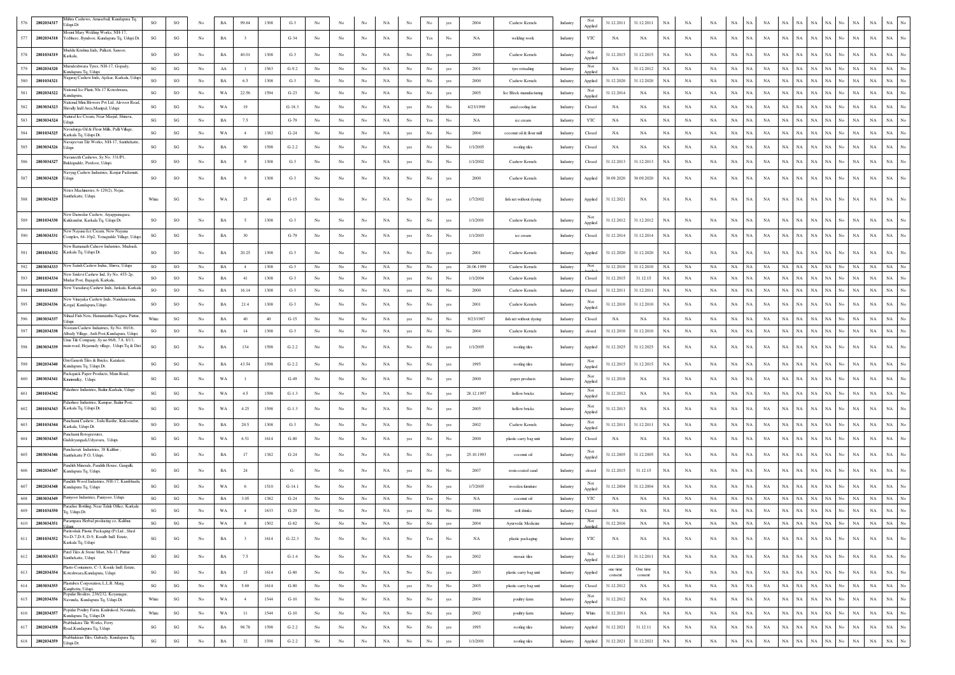|     | 2802034317 | Mithra Cashews, Amasebail, Kundapura Tq,                                                  | SO                     | $_{\rm SO}$            |                  | $_{\rm BA}$ | 99.64                   | 1308 | $G-3$    |                  |                  |             |             |                  |                  |             | 2004       | Cashew Kernels           | Industry | Not            | 31.12.2011            | 31.12.2011    | NA          | NA          |             |                          |                   |             |                   |                            |     |             | $_{\rm NA}$<br>NA          |                  |
|-----|------------|-------------------------------------------------------------------------------------------|------------------------|------------------------|------------------|-------------|-------------------------|------|----------|------------------|------------------|-------------|-------------|------------------|------------------|-------------|------------|--------------------------|----------|----------------|-----------------------|---------------|-------------|-------------|-------------|--------------------------|-------------------|-------------|-------------------|----------------------------|-----|-------------|----------------------------|------------------|
|     |            | Jdupi Dt<br><b>Mount Mary Welding Works</b> , NH-17,                                      |                        |                        |                  |             |                         |      |          |                  |                  |             |             |                  |                  |             |            |                          |          | Applied        |                       |               |             |             |             |                          |                   |             |                   |                            |     |             |                            |                  |
| 577 | 2802034318 | Yedthere, Byndoor, Kundapura Tq, Udupi Dt                                                 | SG                     | $\mathbf{S}\mathbf{G}$ | No               | BA          | $\mathbf{3}$            |      | $G-34$   | No               | No               | No          | NA          | No               | Yes              | No          | NA         | welding work             | Industry | YTC            | NA                    | NA            | NA          | NA          | NA          | $_{\rm NA}$<br>NA        | NA                | <b>NA</b>   | NA                | NA<br>NA                   |     | $_{\rm NA}$ | $_{\rm NA}$<br>$_{\rm NA}$ | No               |
|     | 2801034319 | Muddu Krishna Inds, Pulkeri, Sanoor,<br>Karkala                                           | <b>SO</b>              | SO                     | $_{\mathrm{No}}$ | BA          | 40.01                   | 1308 | $G-3$    | $_{\rm No}$      | $_{\rm No}$      | No          | NA          | No               | No               | yes         | 2000       | Cashew Kernels           | Industry | Applied        | 31.12.2015            | 31.12.2015    | $_{\rm NA}$ | NA          | NA          | $_{\rm NA}$<br><b>NA</b> | NA                | NA          | NA<br>NA          | NA                         |     | $_{\rm NA}$ | $_{\rm NA}$<br>NA          |                  |
|     | 2802034320 | Murudeshwara Tyres, NH-17, Gopady,<br>undapura Tq, Udupi                                  | SG                     | SG                     | No               | AA          | -1                      | 1563 | $G-9.2$  | No               | No               | No          | NA          | No               | No               | yes         | 2001       | tyre retrading           | Industry | Not<br>Applied | NA                    | 31.12.2012    | <b>NA</b>   | NA          | NA          | $_{\rm NA}$<br>NA        | NA                | NA          | NA                | $_{\rm NA}$<br>NA.         | No  | NA          | $_{\rm NA}$<br>$_{\rm NA}$ | No               |
|     | 2801034321 | Jagaraj Cashew Inds, Ajekar, Karkala, Udup                                                | SO                     | SO                     | $_{\rm No}$      | BA          | 6.5                     | 1308 | $G-3$    | No               | No               | No          | NA          | No               | $_{\mathrm{No}}$ | yes         | 2000       | Cashew Kernels           | Industry | Applied        | 31.12.2020            | 31.12.2020    | NA          | NA          | NA          | $_{\rm NA}$<br>NA        | NA                | NA          | NA<br>NA          | NA                         | No  | NA          | $_{\rm NA}$<br>$_{\rm NA}$ | No               |
| 581 | 2802034322 | Jational Ice Plant, Nh-17 Koteshwara,<br>undapura                                         | $\mathbf{S}\mathbf{G}$ | SO                     | No               | WA          | 22.56                   | 1594 | $G-23$   | No               | No               | No          | NA          | No               | $_{\rm No}$      | yes         | 2005       | Ice Block manufacturing  | Industry | Applied        | 31.12.2014            | NA            | NA          | NA          | NA          | NA<br>NA                 | NA                | NA          | NA                | NA<br>NA.                  | No  | NA          | $_{\rm NA}$<br>$_{\rm NA}$ | No               |
| 582 | 2803034323 | ational Mini Blowers Pvt Ltd, Alevoor Road<br>Shivally Indl Area, Manipal, Udupi          | SG                     | SG                     | No               | WA          | 19                      |      | $G-18.3$ | No               | No               | No          | NA          | yes              | No               | No          | 4/23/1999  | axial cooling fan        | Industry | Closed         | NA                    | NA            | NA          | NA          | NA          | NA<br><b>NA</b>          | NA                | NA          | NA<br>NA          | NA                         | No. | NA          | $_{\rm NA}$<br>$_{\rm NA}$ | No               |
| 583 | 2803034324 | Jatural Ice Cream, Near Masjid, Shirava,<br>Idupi                                         | SG                     | SG                     | No               | BA          | 7.5                     |      | $G-79$   | No               | No               | No          | NA          | No               | Yes              | No          | NA         | ice cream                | Industry | YTC            | NA                    | NA            | NA          | NA          | NA          | NA<br><b>NA</b>          | NA                | NA          | <b>NA</b><br>NA   | NA.                        |     | NA          | $_{\rm NA}$<br>$_{\rm NA}$ | $_{\mathrm{No}}$ |
| 584 | 2801034325 | Javadurga Oil & Flour Mills, Palli Village,<br>Karkala Tq, Udupi Dt.                      | SG                     | SG                     | No               | WA          | $\overline{4}$          | 1382 | $G-24$   | No               | No               | No          | NA          | yes              | No               | No          | 2004       | coconut oil & flour mill | Industry | Closed         | NA                    | NA            | NA          | NA          | NA          | $_{\rm NA}$<br>NA        | NA                | NA          | $_{\rm NA}$<br>NA | NA                         | No  | $_{\rm NA}$ | $_{\rm NA}$<br>NA          | No               |
|     | 2803034326 | Javaieevan Tile Works, NH-17, Santhekatte<br>Jdupi.                                       | $\mathbf{S}\mathbf{G}$ | SG                     | $_{\mathrm{No}}$ | $_{\rm BA}$ | 90                      | 1598 | $G-2.2$  | $_{\rm No}$      | $_{\rm No}$      | $_{\rm No}$ | $_{\rm NA}$ | yes              | No               | $_{\rm No}$ | 1/1/2005   | roofing tiles            | Industry | Closed         | NA                    | NA            | $_{\rm NA}$ | NA          | NA          | $_{\rm NA}$<br>NA        | NA                | $_{\rm NA}$ | NA<br>NA          |                            |     | $_{\rm NA}$ | $_{\rm NA}$<br>$_{\rm NA}$ | No               |
| 586 | 2803034327 | Javaneeth Cashews, Sy No. 331/P1,                                                         | SO                     | SO                     | $_{\rm No}$      |             | 9                       | 1308 | $G-3$    | $_{\rm No}$      | $_{\rm No}$      | No          | NA          |                  |                  | No          | 1/1/2002   |                          |          |                | 31.12.2013            |               | $_{\rm NA}$ | NA          | NA          | $_{\rm NA}$<br>NA        | NA                | NA          | NA<br>NA          | NA.                        | No  | NA          | $_{\rm NA}$<br>$_{\rm NA}$ | $_{\rm No}$      |
|     |            | Bukkigudde, Perdoor, Udupi<br>Navyug Cashew Industries, Kenjur Pademutt                   |                        |                        |                  | $_{\rm BA}$ |                         |      |          |                  |                  |             |             | yes              | $_{\rm No}$      |             |            | Cashew Kernels           | Industry | Closed         |                       | 31.12.2013    |             |             |             |                          |                   |             |                   |                            |     |             |                            |                  |
| 587 | 2803034328 | Udupi                                                                                     | SO                     | SO                     | No               | BA          | $\mathbf Q$             | 1308 | $G-3$    | No               | No               | No          | NA          | No               | No               |             | 2000       | Cashew Kernels           | Industry | Applied        | 30.09.2020            | 30.09.2020    | NA          | NA          | NA          | NA                       | NA<br>NA          | NA          | NA<br>NA          | NА                         | No  | $_{\rm NA}$ | $_{\rm NA}$<br>NA          | No               |
| 588 | 2803034329 | Netex Machineries, 6-129(2), Nejar,<br>anthekatte, Udupi.                                 | White                  | $\mathbf{SG}$          | No               | WA          | 25                      | 40   | $G-15$   | No               | No               | No          | NA          | No               | $_{\rm No}$      | yes         | 1/7/2002   | fish net without dyeing  | Industry | Applied        | 31.12.2021            | NA            | $_{\rm NA}$ | NA          | NA          | NA                       | NA<br>NA          | NA          | NA                | NA<br>NA                   | No  | NA          | NA<br>NA                   |                  |
|     |            |                                                                                           |                        |                        |                  |             |                         |      |          |                  |                  |             |             |                  |                  |             |            |                          |          |                |                       |               |             |             |             |                          |                   |             |                   |                            |     |             |                            |                  |
| 589 | 2801034330 | New Damodar Cashew, Aiyappanagara,<br>Kukkundur, Karkala Tq, Udupi Dt.                    | <sub>SO</sub>          | SO                     | No               | BA          | 5                       | 1308 | $G-3$    | No               | No               | No          | NA          | No               | $_{\rm No}$      | yes         | 1/1/2001   | Cashew Kernels           | Industry | Applied        | 31.12.2012            | 31.12.2012    | $_{\rm NA}$ | NA          | NA          | $_{\rm NA}$<br>NA        | <b>NA</b>         | NA          | NA<br><b>NA</b>   |                            |     | $_{\rm NA}$ | $_{\rm NA}$<br>$_{\rm NA}$ | No               |
| 590 | 2803034331 | New Nayana Ice Cream, New Nayana<br>Complex, 64-10p2, Yenagudde Village, Udup             | SG                     | $\mathbf{SG}$          | No               | BA          | 30                      |      | $G-79$   | No               | No               | No          | $_{\rm NA}$ | yes              | $_{\rm No}$      | No          | 1/1/2003   | ice cream                | Industry | Closed         | 31.12.2014            | 31.12.2014    | $_{\rm NA}$ | NA          | NA          | $_{\rm NA}$<br>NA        | NA                | NA          | $_{\rm NA}$       | $_{\rm NA}$<br>NA.         | No  | $_{\rm NA}$ | $_{\rm NA}$<br>$_{\rm NA}$ | $_{\mathrm{No}}$ |
|     |            | New Ramanath Cahsew Industries, Mudradi                                                   |                        |                        |                  |             |                         |      |          |                  |                  |             |             |                  |                  |             |            |                          |          |                |                       |               |             |             |             |                          |                   |             |                   |                            |     |             |                            |                  |
| 591 | 2801034332 | Karkala Tq, Udupi Dt.                                                                     | SO                     | SO                     | No               | BA          | 20.25                   | 1308 | $G-3$    | No               | No               | No          | NA          | No               | No               | yes         | 2001       | Cashew Kernels           | Industry | Applied        | 31.12.2020            | 31.12.2020    | NA          | NA          | NA          | NA<br>$_{\rm NA}$        | NA                | NA          | NA<br>NA          | NA                         | No  | NA          | NA<br>NA                   |                  |
| 592 | 2803034333 | New Satish Cashew Indus, Shirva, Udupi,<br>lew Sridevi Cashew Ind, Sy No. 455-2p.         | SO                     | <b>SO</b>              | No               | BA          | $\sim$                  | 1308 | $G-3$    | No               | No               | No          | NA          | No               | $_{\rm No}$      | yes         | 26.06.1999 | Cashew Kernels           | Industry | Not            | 31.12.2010            | 31.12.2010    | NA          | NA          | NA          | NA                       | NA<br>NA          | NA          | NA                | NA<br>NA                   | No  | NA          | $_{\rm NA}$<br>NA          | No               |
|     | 2801034334 | Mudar Post, Bajagoli, Karkala,<br>Jew Varadaraj Cashew Inds, Jarkala, Karkala             | <sub>SO</sub>          | SO                     | No               | BA          | 41                      | 1308 | $G-3$    | No               | No               | No          | NA          | yes              | No               | No          | 1/1/2004   | Cashew Kernels           | Industry | Closed         | 31.12.2015            | 31.12.15      | $_{\rm NA}$ | NA          | NA          | <b>NA</b><br>NA          | <b>NA</b>         | NA          | NA<br>NA          | NA                         |     | NA          | $_{\rm NA}$<br>$_{\rm NA}$ | $\overline{N}$ o |
| 594 | 2801034335 | New Vinayaka Cashew Inds, Nandanavana,                                                    | SO                     | SO                     | No               | BA          | 16.14                   | 1308 | $G-3$    | No               | No               | No          | NA          | yes              | $_{\rm No}$      | No          | 2000       | Cashew Kernels           | Industry | Closed<br>Not  | 31.12.2011            | 31.12.2011    | NA          | NA          | NA          | $_{\rm NA}$<br>NA        | NA                | NA          | NA                | $_{\rm NA}$<br>NA          | No  | NA          | $_{\rm NA}$<br>NA          | No               |
| 595 | 2802034336 | Kergal, Kundapura, Udupi                                                                  | SO                     | SO                     | $_{\rm No}$      | BA          | 21.4                    | 1308 | $G-3$    | $_{\rm No}$      | No               | No          | NA          | No               | No               | yes         | 2001       | Cashew Kernels           | Industry | Applied        | 31.12.2010            | 31.12.2010    | $_{\rm NA}$ | NA          | NA          | $_{\rm NA}$              | NA<br>$_{\rm NA}$ | NA          | NA                | NA<br>$_{\rm NA}$          | No  | $_{\rm NA}$ | $_{\rm NA}$<br>$_{\rm NA}$ | No               |
|     | 2803034337 | Nihaal Fish Nets, Hanumantha Nagara, Puttur,                                              | White                  | $\mathbf{S}\mathbf{G}$ | No               | BA          | 40                      | 40   | $G-15$   | No               | No               | No          | NA          | yes              | No               | No          | 9/23/1987  | fish net without dyeing  | Industry | Closed         | NA                    | NA            | NA          | NA          | NA          | $_{\rm NA}$<br><b>NA</b> | NA                | NA          | NA<br>NA          | NA.                        |     | NA          | $_{\rm NA}$<br>$_{\rm NA}$ | $\overline{N}$ o |
| 597 | 2802034338 | oorani Cashew Industries, Sy No. 80/1b,<br>dbady Village, Ardi Post, Kundapura, Udupi     | SO                     | SO                     | No               | BA          | 14                      | 1308 | $G-3$    | No               | No               | No          | NA          | yes              | No               | No          | 2004       | Cashew Kernels           | Industry | closed         | 31.12.2010            | 31.12.2010    | <b>NA</b>   | NA          | NA          | $_{\rm NA}$<br>NA        | NA                | NA          | NA                | $_{\rm NA}$<br>NA          | No  | $_{\rm NA}$ | NA<br>$_{\rm NA}$          | $_{\mathrm{No}}$ |
|     | 2803034339 | Uma Tile Company, Sy.no.96/6, 7.8, 8/13,<br>main road, Hejamady village,  Udupi Tq & Dist | SG                     | SG                     | No               | BA          | 134                     | 1598 | $G-2.2$  | No               | No               | No          | NA          | No               | No               | yes         | 1/1/2005   | roofing tiles            | Industry | Applied        | 31.12.2025            | 31.12.2025    | NA          | NA          | NA          | $_{\rm NA}$<br>NA        | $_{\rm NA}$       | NA          | NA<br>NA          | NA                         | No. | $_{\rm NA}$ | $_{\rm NA}$<br>NA          |                  |
| 599 | 2802034340 | Om Ganesh Tiles & Bricks, Katakeri,<br>Cundapura Tq, Udupi Dt.                            | $\mathbf{S}\mathbf{G}$ | SG                     | $_{\mathrm{No}}$ | $_{\rm BA}$ | 43.54                   | 1598 | $G-2.2$  | No               | No               | No          | $_{\rm NA}$ | No               | No               | yes         | 1995       | roofing tiles            | Industry | Not            | 31.12.2015            | 31.12.2015    | $_{\rm NA}$ | NA          | NA          | $_{\rm NA}$<br>NA        | $_{\rm NA}$       | NA          | $_{\rm NA}$<br>NA |                            |     | $_{\rm NA}$ | $_{\rm NA}$<br>$_{\rm NA}$ |                  |
|     | 2803034341 | Packquick Paper Products, Main Road,<br>Kinnimulky, Udupi.                                | SG                     | SG                     | No               | WA          | $\mathbf{I}$            |      | $G-49$   | No               | No               | No          | NA          | No               | No               | yes         | 2000       | paper products           | Industry | Applied<br>No  | 31.12.2018            | NA            | NA          | NA          | NA          | NA<br>NA                 | NA                | NA          | <b>NA</b>         | $_{\rm NA}$<br>NA          | No. | $_{\rm NA}$ | $_{\rm NA}$<br>$_{\rm NA}$ | No               |
|     |            | 'alashree Industries, Bailur, Karkala, Udupi                                              |                        |                        |                  |             |                         |      |          | No               | No               |             |             |                  |                  |             |            |                          |          | Applied<br>Not |                       |               |             |             |             | NA                       | <b>NA</b>         | NA          | NA                | NA                         |     |             |                            | $\overline{N}$ o |
|     | 2801034342 | Palashree Industries, Kampar, Bailur Post,                                                | $\mathbf{S}\mathbf{G}$ | $\mathbf{SG}$          | $_{\rm No}$      | WA          | 4.5                     | 1598 | $G-1.3$  |                  |                  | $_{\rm No}$ | NA          | $_{\rm No}$      | $_{\rm No}$      | yes         | 28.12.1997 | hollow bricks            | Industry | Applied        | 31.12.2012            | NA            | $_{\rm NA}$ | $_{\rm NA}$ | NA          | $_{\rm NA}$              |                   |             | NA                |                            |     | NA          | $_{\rm NA}$<br>$_{\rm NA}$ |                  |
| 602 | 2801034343 | Karkala Tq, Udupi Dt.                                                                     | $\mathbf{S}\mathbf{G}$ | $\mathbf{SG}$          | $_{\rm No}$      | WA          | 4.25                    | 1598 | $G-1.3$  | $_{\rm No}$      | $_{\rm No}$      | $_{\rm No}$ | NA          | No               | $_{\rm No}$      | yes         | 2005       | hollow bricks            | Industry | Applied        | 31.12.2013            | NA            | $_{\rm NA}$ | NA          | NA          | $_{\rm NA}$<br>NA        | NA                | NA          | NA<br>NA          | NA                         |     | $_{\rm NA}$ | $_{\rm NA}$<br>NA          |                  |
| 603 | 2801034344 | Panchami Cashew., Jodu Rasthe, Kukoondur.<br>Carkala, Udupi Dt.                           | SO                     | SO                     | No               | $_{\rm BA}$ | 20.5                    | 1308 | $G-3$    | No               | No               | No          | NA          | No               | No               | yes         | 2002       | Cashew Kernels           | Industry | Not<br>Applied | 31.12.2011            | 31.12.2011    | NA          | NA          | NA          | $_{\rm NA}$<br>NA        | NA                | NA          | NA<br>NA          | NA                         | No  | $_{\rm NA}$ | $_{\rm NA}$<br>$_{\rm NA}$ |                  |
| 604 | 2803034345 | anchami Rotogravures<br>Guddeyangadi, Udyavara, Udupi                                     | $\mathbf{S}\mathbf{G}$ | SG                     | $_{\rm No}$      | WA          | 6.51                    | 1614 | $G-80$   | No               | No               | No          | $_{\rm NA}$ | yes              | No               | No          | 2000       | plastic carry bag unit   | Industry | Closed         | NA                    | NA            | NA          | NA          | NA          | $_{\rm NA}$<br>NA        | NA                | NA          | $_{\rm NA}$<br>NA | NA                         | No. | $_{\rm NA}$ | $_{\rm NA}$<br>$_{\rm NA}$ |                  |
|     | 2803034346 | anchavati Industries, 38 Kalthur<br>Santhekatte P.O. Udupi.                               | SG                     | $\mathbf{SG}$          | $_{\rm No}$      | BA          | 17                      | 1382 | $G-24$   | No               | No               | No          | NA          | No               | No               | yes         | 25.10.1993 | coconut oil              | Industry | Not            | 31.12.2005            | 31.12.2005    | $_{\rm NA}$ | $_{\rm NA}$ | NA          | $_{\rm NA}$              | NA                | <b>NA</b>   | NA<br>NA          |                            |     | NA          | $_{\rm NA}$<br>$_{\rm NA}$ |                  |
| 606 | 2802034347 | Pandith Minerals, Pandith House, Gangulli,                                                | SG                     | SG                     | No               |             | 24                      |      | G-       | No               | No               | No          |             |                  |                  | No          | 2007       | resin coated sand        |          | Applied        |                       |               |             |             |             | NA                       | NA                |             | NA                |                            | No  |             |                            |                  |
|     |            | Cundapura Tq, Udupi.<br>andith Wood Industries, NH-17, Kumbhash                           |                        |                        |                  | BA          |                         |      |          |                  |                  |             | NA          | yes              | No               |             |            |                          | Industry | closed<br>Not  | 31.12.2015            | 31.12.15      | NA          | NA          | NA          | NA                       |                   | NA          | NA                | NA                         |     | NA          | NA<br>NA                   |                  |
| 607 | 2802034348 | Kundapura Tq, Udupi                                                                       | $\mathbf{S}\mathbf{G}$ | SG                     | $_{\mathrm{No}}$ | WA          | 6                       | 1510 | $G-14.1$ | No               | No               | No          | NA          | No               | No               | yes         | 1/7/2005   | wooden furniture         | Industry | Applied        | 31.12.2004            | 31.12.2004    | $_{\rm NA}$ | NA          | NA          | $_{\rm NA}$<br>NA        | $_{\rm NA}$       | NA          | $_{\rm NA}$<br>NA | NA                         | No. | $_{\rm NA}$ | $_{\rm NA}$<br>NA          |                  |
| 608 | 2803034349 | Paniyoor Industries, Paniyoor, Udupi<br>Paradise Bottling, Near Taluk Office, Karkala     | SG                     | SG                     | $_{\rm No}$      | BA          | 3.05                    | 1382 | $G-24$   | No               | $_{\rm No}$      | $_{\rm No}$ | $_{\rm NA}$ | No               | Yes              | No          | NA         | coconut oil              | Industry | YTC            | NA                    | NA            | $_{\rm NA}$ | NA          | NA          | $_{\rm NA}$<br>NA        | NA                | NA          | NA                | $_{\rm NA}$<br>NA          | No  | NA          | NA<br>NA                   | No               |
|     | 2801034350 | Tq, Udupi Dt.<br>Parampara Herbal producing co, Kalthur,                                  | $\mathbf{S}\mathbf{G}$ | SG                     | $_{\mathrm{No}}$ | WA          | $\overline{4}$          | 1633 | $G-29$   | No               | $_{\rm No}$      | No          | NA          | yes              | No               | No          | 1986       | soft drinks              | Industry | Closed<br>Not  | NA                    | NA            | $_{\rm NA}$ | NA          | NA          | $_{\rm NA}$<br>NA        | NA                | NA          | NA                | NA<br>NA                   | No  | NA          | $_{\rm NA}$<br>NA          | No               |
|     | 2803034351 | I Iduni<br>Paritoshak Plastic Packaging (P) Ltd., Shed                                    | SG                     | SG                     | No               | <b>WA</b>   | $\mathbf{\mathbf{R}}$   | 1502 | $G-82$   | No               | No               | No          | <b>NA</b>   | No               | No               |             | 2004       | Augustic Medicine        | Industry | Applied        | 31 12 2016            | NA            | NA          | <b>NA</b>   | NA          | NA<br>NA                 | <b>NA</b>         | NA NA NA    |                   | NA                         | No  | NA          | NA NA                      | No               |
| 611 | 2801034352 | No.D-7.D-8, D-9, Kssidb Indl. Estate,<br>Karkala Tq, Udupi                                | SG                     | $\mathbf{S}\mathbf{G}$ | No               | BA          | $\overline{\mathbf{3}}$ | 1614 | $G-22.3$ | No               | No               | No          | NA          | No               | Yes              | No          | NA         | plastic packaging        | Industry | YTC            | <b>NA</b>             | NA            | <b>NA</b>   | NA          | NA          | $_{\rm NA}$<br><b>NA</b> | NA                | NA          | NA                | NA<br><b>NA</b>            | No  | $_{\rm NA}$ | $_{\rm NA}$<br>$_{\rm NA}$ | $_{\rm No}$      |
| 612 | 2803034353 | atel Tiles & Stone Mart, Nh-17, Puttur<br>Santhekatte, Udupi                              | $\mathbf{S}\mathbf{G}$ | $\mathbf{SG}$          | $_{\mathrm{No}}$ | $_{\rm BA}$ | 7.5                     |      | $G-1.4$  | No               | No               | $_{\rm No}$ | $_{\rm NA}$ | No               | $_{\mathrm{No}}$ | yes         | 2002       | mosaic tiles             | Industry | Not<br>Applied | 31.12.2011            | 31.12.2011    | NA          | NA          | NA          | NA                       | NA<br>NA          | NA          | NA                | $_{\rm NA}$<br>$_{\rm NA}$ | No  | NA          | NA<br>$_{\rm NA}$          | $_{\mathrm{No}}$ |
| 613 | 2802034354 | Plasto Containers, C-3, Ksside Indl. Estate,<br>Koteshwara, Kundapura, Udupi              | $\mathbf{S}\mathbf{G}$ | $\mathbf{SG}$          | $_{\mathrm{No}}$ | BA          | 15                      | 1614 | $G-80$   | No               | $_{\rm No}$      | No          | NA          | No               | $_{\mathrm{No}}$ | yes         | 2003       | plastic carry bag unit   | Industry | Applied        | one time              | One time      | $_{\rm NA}$ | NA          | NA          | $_{\rm NA}$<br>NA        | NA                | $_{\rm NA}$ | $_{\rm NA}$       | $_{\rm NA}$<br>NA          | No  | $_{\rm NA}$ | $_{\rm NA}$<br>$_{\rm NA}$ | $_{\rm No}$      |
| 614 | 2803034355 | Plastubex Corporation, L.L.R. Marg.                                                       | $\mathbf{S}\mathbf{G}$ | $\mathbf{S}\mathbf{G}$ | No               | WA          | 5.69                    | 1614 | $G-80$   | No               | $_{\mathrm{No}}$ | No          | NA          | yes              | $_{\mathrm{No}}$ | No          | 2005       | plastic carry bag unit   | Industry | Closed         | consent<br>31.12.2012 | consent<br>NA | $_{\rm NA}$ | NA          | NA          | $_{\rm NA}$              | NA<br>NA          | NA          | $_{\rm NA}$       | $_{\rm NA}$<br>NA          | No  | $_{\rm NA}$ | $_{\rm NA}$<br>$_{\rm NA}$ | $_{\rm No}$      |
| 615 | 2802034356 | Kunjibettu, Udupi.<br>Popular Broilers, 236/232, Koyanagar,                               | White                  | $\mathbf{S}\mathbf{G}$ | $_{\mathrm{No}}$ | WA          | $\overline{4}$          | 1544 | $G-10$   | $_{\mathrm{No}}$ | $_{\mathrm{No}}$ | No          | NA          | No               | $_{\mathrm{No}}$ | yes         | 2004       | poultry farm             | Industry | Not            | 31.12.2012            | NA            | $_{\rm NA}$ | NA          | $_{\rm NA}$ | $_{\rm NA}$<br>NA        | NA                | $_{\rm NA}$ | $_{\rm NA}$       | $_{\rm NA}$<br>$_{\rm NA}$ | No  | $_{\rm NA}$ | $_{\rm NA}$<br>$_{\rm NA}$ | $_{\mathrm{No}}$ |
| 616 | 2802034357 | Navunda, Kundapura Tq, Udupi Dt<br>Popular Poultry Farm, Kudrukod, Navunda,               | White                  | $\mathbf{S}\mathbf{G}$ |                  | WA          | 11                      | 1544 | $G-10$   | No               | $_{\rm No}$      |             |             |                  |                  |             | 2002       |                          | Industry | Applied        | 31.12.2011            |               | $_{\rm NA}$ |             | $_{\rm NA}$ | NA                       |                   | NA          | NA                | $_{\rm NA}$<br>NA          | No  | $_{\rm NA}$ | $_{\rm NA}$<br>NA          | $_{\mathrm{No}}$ |
|     |            | Kundapura Tq, Udupi Dt<br>Prabhakara Tile Works, Ferry                                    |                        |                        | No               |             |                         |      |          |                  |                  | No          | NA          | No               | $_{\rm No}$      | yes         |            | poultry farm             |          | White          |                       | NA            |             | NA          |             | NA                       | NA                |             |                   |                            |     |             |                            |                  |
| 617 |            | 2802034358 Road, Kundapura Tq, Udupi<br>Prabhakiran Tiles, Gulvady, Kundapura Tq,         | $\mathbf{S}\mathbf{G}$ | $\mathbf{SG}$          | $_{\mathrm{No}}$ | $_{\rm BA}$ | 98.78                   | 1598 | $G-2.2$  | No               | $_{\rm No}$      | No          | $_{\rm NA}$ | No               | $_{\rm No}$      | yes         | 1995       | roofing tiles            | Industry | Applied        | 31.12.2021            | 31.12.11      | $_{\rm NA}$ | $_{\rm NA}$ | $_{\rm NA}$ | $_{\rm NA}$<br>NA        | NA                | NA          | $_{\rm NA}$       | $_{\rm NA}$<br>NA          | No  | $_{\rm NA}$ | $_{\rm NA}$<br>$_{\rm NA}$ | $_{\rm No}$      |
| 618 | 2802034359 | Jdupi Dt.                                                                                 | $\mathbf{S}\mathbf{G}$ | $\mathbf{SG}$          | $_{\mathrm{No}}$ | $_{\rm BA}$ | 32                      | 1598 | $G-2.2$  | $_{\mathrm{No}}$ | $_{\mathrm{No}}$ | $_{\rm No}$ | $_{\rm NA}$ | $_{\mathrm{No}}$ | $_{\mathrm{No}}$ | yes         | 1/1/2001   | roofing tiles            | Industry | Applied        | 31.12.2021            | 31.12.2021    | $_{\rm NA}$ | $_{\rm NA}$ | $_{\rm NA}$ | $_{\rm NA}$<br><b>NA</b> | $_{\rm NA}$       | $_{\rm NA}$ | $_{\rm NA}$       | $_{\rm NA}$<br>$_{\rm NA}$ | No  | $_{\rm NA}$ | $_{\rm NA}$<br>$_{\rm NA}$ | $_{\mathrm{No}}$ |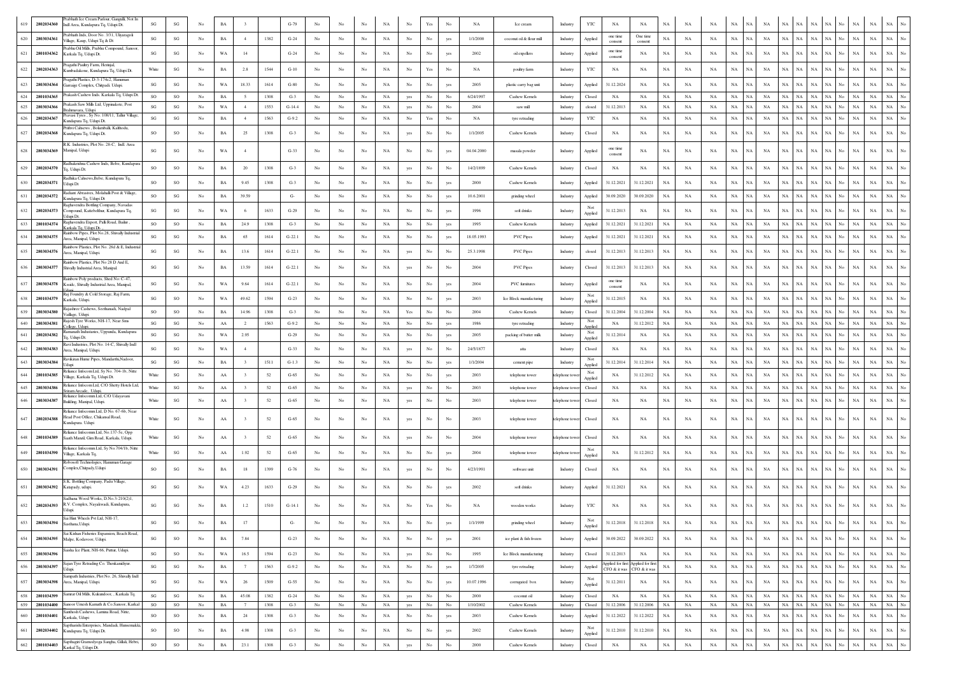| 619 | 2802034360                     | 'rabhath Ice Cream Parlour, Gangulli, Not In<br>Indl Area, Kundapura Tq, Udupi Dt.                     | $\mathbf{S}\mathbf{G}$ | SG                     | No               | $_{\rm BA}$ |                           |      | $G-79$   |                  |                  |             | NA          | No               | $\operatorname{Yes}$ | No               | $_{\rm NA}$ | Ice cream                | Industry       | YTC            | $_{\rm NA}$         | NA                                                               | NA          | NA          |             | NA          |             |             |                          |             |                                          |             |                                 |
|-----|--------------------------------|--------------------------------------------------------------------------------------------------------|------------------------|------------------------|------------------|-------------|---------------------------|------|----------|------------------|------------------|-------------|-------------|------------------|----------------------|------------------|-------------|--------------------------|----------------|----------------|---------------------|------------------------------------------------------------------|-------------|-------------|-------------|-------------|-------------|-------------|--------------------------|-------------|------------------------------------------|-------------|---------------------------------|
| 620 | 2803034361                     | rabhath Inds, Door No. 3/31, Uliyaragoli<br>Village, Kaup, Udupi Tq & Dt                               | SG                     | $\mathbf{S}\mathbf{G}$ | No.              | BA          | $\overline{4}$            | 1382 | $G-24$   | No               | No               | $_{\rm No}$ | NA          | $_{\rm No}$      | $_{\rm No}$          | yes              | 1/1/2000    | coconut oil & flour mill | Industry       | Applied        | one time<br>consent | One time<br>consent                                              | <b>NA</b>   | NA          | NA          | <b>NA</b>   | NA          | <b>NA</b>   | NA<br><b>NA</b>          | $_{\rm NA}$ | $_{\rm NA}$<br>NA<br>No                  | $_{\rm NA}$ | NA<br>No                        |
| 621 | 2801034362                     | rabhu Oil Mills, Prabhu Compound, Sanoor,<br>Karkala Tq, Udupi Dt.                                     | SG                     | $\mathbf{S}\mathbf{G}$ | $_{\rm No}$      | WA          | 14                        |      | $G-24$   | $_{\rm No}$      | No               | $_{\rm No}$ | NA          | $_{\rm No}$      | No                   | yes              | 2002        | oil expellers            | Industry       | Applied        | one time<br>consent | NA                                                               | $_{\rm NA}$ | NA          | $_{\rm NA}$ | $_{\rm NA}$ | NA          | NA          | NA<br>NA                 | $_{\rm NA}$ | NA<br>No<br>$_{\rm NA}$                  | $_{\rm NA}$ | $_{\rm NA}$                     |
| 622 | 2802034363                     | Pragathi Paultry Farm, Herinjal,<br>Cumbadakone, Kundapura Tq, Udupi Dt.                               | White                  | $\mathbf{S}\mathbf{G}$ | $_{\mathrm{No}}$ | $_{\rm BA}$ | 2.8                       | 1544 | $G-10$   | No               | No               | No          | NA          | $_{\rm No}$      | $\operatorname{Yes}$ | No               | NA          | poultry farm             | Industry       | YTC            | NA                  | $_{\rm NA}$                                                      | NA          | NA          | NA          | $_{\rm NA}$ | NA          | NA          | NA<br>NA                 | $_{\rm NA}$ | NA<br>No<br>$_{\rm NA}$                  | $_{\rm NA}$ | NA                              |
| 623 | 2803034364                     | ragathi Plastics, D-3-174c2, Hanuman<br>Garraige Complex, Chitpadi. Udupi.                             | $\mathbf{S}\mathbf{G}$ | SG                     | $_{\rm No}$      | WA          | 18.33                     | 1614 | $G-80$   | $_{\rm No}$      | No               | No          | NA          | $_{\rm No}$      | No                   | yes              | 2005        | plastic carry bag unit   | Industry       | Applied        | 31.12.2024          | NA                                                               | $_{\rm NA}$ | NA          | NA          | $_{\rm NA}$ | NA          | NA          | NA<br>$_{\rm NA}$        | $_{\rm NA}$ | No<br>NA<br>NA                           | $_{\rm NA}$ | $_{\rm NA}$                     |
| 624 | 2801034365                     | Prakash Cashew Inds. Karkala Tq, Udupi Dt.                                                             | SO                     | <b>SO</b>              | No               | BA          | -5                        | 1308 | $G-3$    | No               | No               | No          | NA          | yes              | No                   | No               | 6/24/1997   | Cashew Kernels           | Industry       | Closed         | NA                  | NA                                                               | NA          | NA          | NA          | NA   NA     |             | NA          | <b>NA</b><br>NA          | NA          | NA No<br>NA                              | NA          | $\rm NA-\,No$                   |
| 625 | 2803034366                     | rakash Saw Mills Ltd, Uppinakote, Post<br>rahmavara, Udupi                                             | SG                     | SG                     | No.              | WA          | 4                         | 1553 | $G-14.4$ | No               | No               | No          | NA          | yes              | No                   | No               | 2004        | saw mill                 | Industry       | closed         | 31.12.2013          | NA                                                               | NA          | NA          | NA          | NA          | NA.         | NA          | NA<br>NA                 | $_{\rm NA}$ | NA No<br>$_{\rm NA}$                     | $_{\rm NA}$ | $_{\rm NA}$<br>$_{\rm No}$      |
| 626 | 2802034367                     | Pravasi Tyres , Sy No. 108/11, Tallur Village<br>undapura Tq, Udupi Dt.                                | SG                     | $\mathbf{S}\mathbf{G}$ | No               | BA          | $\overline{4}$            | 1563 | $G-9.2$  | No               | No               | No          | NA          | $_{\rm No}$      | Yes                  | No               | NA          | tyre retrading           | Industry       | YTC            | NA                  | NA                                                               | NA          | NA          | NA          | <b>NA</b>   | $_{\rm NA}$ | NA          | NA<br><b>NA</b>          | NA          | $_{\rm NA}$<br>NA<br>No                  | $_{\rm NA}$ | $_{\rm NA}$                     |
| 627 | 2802034368                     | Prithvi Cahsews, Bolamballi, Kalthodu,<br>Kundapura Tq, Udupi Dt.                                      | SO                     | SO                     | $_{\mathrm{No}}$ | $_{\rm BA}$ | 25                        | 1308 | $G-3$    | $_{\mathrm{No}}$ | $_{\rm No}$      | No          | $_{\rm NA}$ | yes              | No                   | No               | 1/1/2005    | Cashew Kernels           | Industry       | Closed         | NA                  | NA                                                               | $_{\rm NA}$ | $_{\rm NA}$ | NA          | $_{\rm NA}$ | NA          | NA          | <b>NA</b><br>NA          | NA          | $_{\rm NA}$<br>No<br>NA                  | $_{\rm NA}$ | NA                              |
| 628 | 2803034369                     | R.K. Industries, Plot No. 28-C. Indl. Area<br>Manipal, Udupi                                           | SG                     | SG                     | No               | WA          | $\cdot$ 4                 |      | $G-33$   | No               | No               | No          | NA          | No               | No                   | yes              | 04.04.2000  | masala powder            | Industry       | Applied        | one time<br>consent | NA                                                               | NA          | NA          | NA          | NA          | NA          | NA          | NA<br>NA                 | NA          | NA<br>No<br>NA                           | $_{\rm NA}$ | NA                              |
| 629 | 2802034370                     | Radhakrishna Cashew Inds, Belve, Kundapura<br>Fq, Udupi Dt.                                            | <sub>SO</sub>          | $_{\rm SO}$            | No               | BA          | 20                        | 1308 | $G-3$    | No               | No               | No          | NA          | yes              | $_{\rm No}$          | No               | 14/2/1899   | Cashew Kernels           | Industry       | Closed         | NA                  | NA                                                               | <b>NA</b>   | NA          | NA          | <b>NA</b>   | NA          | NA          | NA<br>NA                 | $_{\rm NA}$ | NA<br>$_{\rm NA}$<br>No                  | <b>NA</b>   | NA                              |
| 630 | 2802034371                     | Radhika Cahsews, Belve, Kundapura Tq.<br>Jdupi Dt                                                      | SO                     | SO                     | $_{\rm No}$      | $_{\rm BA}$ | 9.45                      | 1308 | $G-3$    | $_{\mathrm{No}}$ | $_{\rm No}$      | No          | NA          | $_{\rm No}$      | $_{\rm No}$          | yes              | 2000        | Cashew Kernels           | Industry       | Applied        | 31.12.2021          | 31.12.2021                                                       | NA          | NA          | $_{\rm NA}$ | $_{\rm NA}$ | $_{\rm NA}$ | NA          | NA<br>$_{\rm NA}$        | NA          | NA<br>No<br>NA                           | $_{\rm NA}$ | NA<br>No                        |
| 631 | 2802034372                     | tadiant Abrasives, Molahalli Post & Village,<br>Kundapura Tq, Udupi Dt                                 | SO                     | SG                     | $_{\rm No}$      | BA          | 39.59                     |      | $G-$     | $_{\mathrm{No}}$ | No               | No          | $_{\rm NA}$ | $_{\rm No}$      | $_{\rm No}$          | yes              | 10.6.2001   | grinding wheel           | Industry       | Applied        | 30.09.2020          | 30.09.2020                                                       | NA          | NA          | NA          | NA          | NA.         | NA          | NA<br>NA                 | NA          | $NA$<br>No<br>NA                         | NA          | $_{\rm NA}$<br>$\overline{N}$ o |
| 632 | 2802034373                     | Raghavendra Bottling Company, Navadas<br>Compound, Kattebelthur, Kundapura Tq,<br>Jdupi Dt.            | SG                     | SG                     | No               | WA          | -6                        | 1633 | $G-29$   | No               | No               | No          | NA          | No               | No                   | yes              | 1996        | soft drinks              | Industry       | Not<br>Applied | 31.12.2013          | NA                                                               | <b>NA</b>   | NA          | NA          | $_{\rm NA}$ | NA          | NA          | NA<br>$_{\rm NA}$        | $_{\rm NA}$ | NA No<br>$_{\rm NA}$                     | $_{\rm NA}$ | $_{\rm NA}$<br>No               |
| 633 | 2801034374                     | Raghavendra Export, Palli Road, Bailur,<br>Karkala To, Udupi Dt                                        | <sub>SO</sub>          | <sub>SO</sub>          | No               | BA          | 24.9                      | 1308 | $G-3$    | No               | No               | No          | NA          | No               | No                   | ves              | 1995        | Cashew Kernels           | Industry       | Applied        | 31.12.2021          | 31.12.2021                                                       | NA          | NA          | NA          | NA          | NA.         | NA          | NA<br>NA                 | $_{\rm NA}$ | NA No<br>NA                              | <b>NA</b>   | $_{\rm NA}$<br>$_{\rm No}$      |
| 634 | 2803034375                     | Rainbow Pipes, Plot No.28, Shivally Industria<br>trea, Manipal, Udupi.                                 | $\mathbf{S}\mathbf{G}$ | SG                     | $_{\rm No}$      | $_{\rm BA}$ | 65                        | 1614 | $G-22.1$ | $_{\rm No}$      | No               | No          | NA          | $_{\rm No}$      | $_{\rm No}$          | yes              | 18.05.1993  | PVC Pipes                | Industry       | Applied        | 31.12.2021          | 31.12.2021                                                       | NA          | NA          | NA          | $_{\rm NA}$ | NA          | NA          | NA<br>NA                 | NA          | NA  <br>No<br>NA                         | $_{\rm NA}$ | $_{\rm NA}$<br>$_{\rm No}$      |
| 635 | 2803034376                     | tainbow Plastics, Plot No. 28d & E, Industrial<br>Area, Manipal, Udupi.                                | $\mathbf{S}\mathbf{G}$ | $\mathbf{S}\mathbf{G}$ | $_{\rm No}$      | $_{\rm BA}$ | 13.6                      | 1614 | $G-22.1$ | $_{\rm No}$      | $_{\rm No}$      | No          | $_{\rm NA}$ | yes              | $_{\rm No}$          | No               | 25.3.1998   | PVC Pipes                | Industry       | closed         | 31.12.2013          | 31.12.2013                                                       | NA          | $_{\rm NA}$ | NA          | $_{\rm NA}$ | NA          | $_{\rm NA}$ | NA<br>$_{\rm NA}$        | $_{\rm NA}$ | $NA$ No<br>$_{\rm NA}$                   | $_{\rm NA}$ | $_{\rm NA}$<br>No               |
| 636 | 2803034377                     | Rainbow Plastics, Plot No 28 D And E,<br>Shivally Industrial Area, Manipal.                            | SG                     | SG                     | $_{\rm No}$      | $_{\rm BA}$ | 13.59                     | 1614 | $G-22.1$ | $_{\rm No}$      | $_{\rm No}$      | No          | NA          | yes              | No                   | No               | 2004        | PVC Pipes                | Industry       | Closed         | 31.12.2013          | 31.12.2013                                                       | $_{\rm NA}$ | NA          | $_{\rm NA}$ | $_{\rm NA}$ | NA          | NA          | NA<br>$_{\rm NA}$        | $_{\rm NA}$ | NA<br>No<br>NA                           | $_{\rm NA}$ | $_{\rm NA}$                     |
| 637 | 2803034378                     | Rainbow Poly products, Shed No: C-47,<br>Ksside, Shivally Industrial Area, Manipal,                    | $\mathbf{S}\mathbf{G}$ | $\mathbf{SG}$          | No               | WA          | 9.64                      | 1614 | $G-22.1$ | No               | No               | No          | NA          | No               | No                   | yes              | 2004        | <b>PVC</b> furnitures    | Industry       | Applied        | one time<br>consent | NA                                                               | NA          | NA          | NA          | $_{\rm NA}$ | NA          | NA          | NA<br><b>NA</b>          | $_{\rm NA}$ | $_{\rm NA}$<br>NA<br>No                  | <b>NA</b>   | NA                              |
| 638 | 2801034379                     | Raj Foundry & Cold Storage, Raj Farm,<br>Karkala, Udupi.                                               | $\mathbf{SG}$          | $_{\rm SO}$            | $_{\rm No}$      | WA          | 49.62                     | 1594 | $G-23$   | No               | No               | No          | NA          | $_{\rm No}$      | No                   | yes              | 2003        | Ice Block manufacturing  | Industry       | Not<br>Applied | 31.12.2015          | NA                                                               | $_{\rm NA}$ | NA          | $_{\rm NA}$ | $_{\rm NA}$ | NA          | NA          | NA<br>NA                 | $_{\rm NA}$ | NA<br>No<br>NA                           | NA          | NA                              |
| 639 | 2803034380                     | Raiashree Cashews, Seethanadi, Nadpal<br>Vaillage, Udupi,                                              | SO                     | SO                     | $_{\rm No}$      | BA          | 14.96                     | 1308 | $G-3$    | $_{\rm No}$      | No               | No          | $_{\rm NA}$ | Yes              | $_{\rm No}$          | No               | 2004        | Cashew Kernels           | Industry       | Closed         | 31.12.2004          | 31.12.2004                                                       | NA          | NA          | NA          | $_{\rm NA}$ | $_{\rm NA}$ | NA          | NA<br>$_{\rm NA}$        | NA          | NA  <br>No<br>NA                         | NA          | $_{\rm No}$<br>NA               |
| 640 | 2803034381                     | Rajesh Tyre Works, NH-17, Near Sms<br>'ollege, Udupi.                                                  | SG                     | SG                     | No               | AA          | $\overline{2}$            | 1563 | $G-9.2$  | No               | No               | No          | NA          | No               | No                   | yes              | 1986        | tyre retrading           | Industry       | Not<br>Applied | NA                  | 31.12.2012                                                       | NA          | NA          | NA          | NA          | <b>NA</b>   | NA          | <b>NA</b><br>NA          | $_{\rm NA}$ | NA<br>No<br>NA                           | $_{\rm NA}$ | $_{\rm No}$<br>NA               |
| 641 | 2802034382                     | tamanath Industaries, Uppunda, Kundapura<br>q, Udupi Dt.                                               | $\mathbf{S}\mathbf{G}$ | SG                     | No               | WA          | 2.95                      |      | $G-29$   | No               | No               | No          | $_{\rm NA}$ | No               | No                   | yes              | 2005        | packing of butter milk   | Industry       | Not<br>Applied | 31.12.2014          | NA                                                               | NA          | NA          | NA          | $_{\rm NA}$ | <b>NA</b>   | NA          | NA<br>NA                 | NA          | $_{\rm NA}$<br>NA<br>No                  | $_{\rm NA}$ | NA<br>No                        |
| 642 | 2803034383                     | tavi Industries, Plot No. 14-C, Shivally Indl<br>Area, Manipal, Udupi                                  | $\mathbf{S}\mathbf{G}$ | $\mathbf{S}\mathbf{G}$ | No               | WA          | $\sim$                    |      | $G-33$   | No               | No               | No          | $_{\rm NA}$ | yes              | No                   | No               | 24/5/1877   | $\quad$ atta             | Industry       | Closed         | NA                  | $_{\rm NA}$                                                      | NA          | NA          | NA          | $_{\rm NA}$ | <b>NA</b>   | NA          | NA<br>NA                 | $_{\rm NA}$ | $_{\rm NA}$<br>NA<br>No                  | NA          | $_{\rm NA}$                     |
| 643 | 2803034384                     | Ravikiran Hume Pipes, Mandarthi, Nadoor,<br><b>Idupi</b><br>Reliance Infocom Ltd, Sy No. 704-1b, Nitte | SG                     | $_{\rm SG}$            | No               | BA          | $\overline{\mathbf{3}}$   | 1511 | $G-1.3$  | No               | No               | No          | NA          | No               | No                   | yes              | 1/1/2004    | cement pipe              | Industry       | Not<br>Applied | 31.12.2014          | 31.12.2014                                                       | NA          | NA          | NA          | $\rm NA-NA$ |             | NA          | NA<br>NA                 | NA          | NA No<br>NA                              | NA          | NA                              |
|     | 2801034385                     | Village, Karkala Tq, Udupi Dt.<br>Reliance Infocom Ltd, C/O Shetty Hotels Ltd,                         | White                  | SG                     | $_{\mathrm{No}}$ | AA          | $\overline{\mathbf{3}}$   | 52   | $G-65$   | $_{\rm No}$      | $_{\rm No}$      | No          | $_{\rm NA}$ | $_{\rm No}$      | No                   | yes              | 2003        | telephone tower          | telephone tow  | Not<br>Applied | NA                  | 31.12.2012                                                       | NA          | NA          | NA          | NA          | NA          | NA          | <b>NA</b><br>NA          | NA          | NA<br>No<br>NA                           | $_{\rm NA}$ | $_{\rm NA}$                     |
| 645 | 2803034386                     | Sriram Arcade, Udupi.<br>Reliance Infocomm Ltd, C/O Udayavani                                          | White                  | SG                     | No               | AA          | $\overline{\phantom{a}3}$ | 52   | $G-65$   | No               | No               | No          | NA          | yes              | No                   | No               | 2003        | telephone tower          | telephone tow  | Closed         | NA                  | NA                                                               | NA          | NA          | NA          | <b>NA</b>   | NA.         | NA          | NA<br>NA                 | $_{\rm NA}$ | $_{\rm NA}$<br>NA No                     | NA          | $_{\rm NA}$<br>$_{\rm No}$      |
| 646 | 2803034387                     | Building, Manipal, Udupi.<br>Reliance Infocomm Ltd. D No. 67-6b. Near                                  | White                  | $\mathbf{SG}$          | $_{\rm No}$      | ${\rm AA}$  | $\overline{\mathbf{3}}$   | 52   | $G-65$   | $_{\rm No}$      | $_{\rm No}$      | $_{\rm No}$ | NA          | yes              | $_{\rm No}$          | No               | 2003        | telephone tower          | telephone towe | Closed         | $_{\rm NA}$         | NA                                                               | NA          | NA          | NA          | $_{\rm NA}$ | NA          | NA          | $_{\rm NA}$<br>NA        |             | $\rm NA-NA-No$<br>$_{\rm NA}$            | $_{\rm NA}$ | $_{\rm NA}$                     |
| 647 | 2802034388                     | Head Post Office, Chikansal Road<br>Cundapura. Udupi                                                   | White                  | SG                     | $_{\rm No}$      | ${\rm AA}$  |                           | 52   | $G-65$   | No               | No               | No          | NA          | yes              | No                   | No               | 2003        | telephone tower          | telephone towe | Closed         | NA                  | NA                                                               | $_{\rm NA}$ | NA          | NA          | $_{\rm NA}$ | NA          | NA          | NA<br>NA                 | $_{\rm NA}$ | NA<br>No<br>NA                           | $_{\rm NA}$ | <b>NA</b>                       |
| 648 | 2801034389                     | Reliance Infocomm Ltd, No.137-5e, Opp<br>Saath Manzil, Gim Road, Karkala, Udupi.                       | White                  | SG                     | No               | AA          | $\mathbf{3}$              | 52   | $G-65$   | No               | No               | No          | $_{\rm NA}$ | yes              | No                   | No               | 2004        | telephone tower          | telephone towe | Closed         | NA                  | NA                                                               | $_{\rm NA}$ | NA          | NA          | NA          | NA          | NA          | NA<br>NA                 | $_{\rm NA}$ | $_{\rm NA}$<br>NA<br>No                  | $_{\rm NA}$ | $_{\rm NA}$                     |
| 649 | 2801034390                     | teliance Infocomm Ltd, Sy No.704/1b, Nitte<br>Village, Karkala Tq,                                     | White                  | $_{\rm SG}$            | No               | AA          | 1.92                      | 52   | $G-65$   | No               | No               | No          | NA          | No               | No                   | yes              | 2004        | telephone tower          | telephone tov  | Not<br>Applied | NA                  | 31.12.2012                                                       | NA          | NA          | NA          | $_{\rm NA}$ | <b>NA</b>   | NA          | $_{\rm NA}$<br><b>NA</b> | $_{\rm NA}$ | NA<br>$_{\rm NA}$<br>No                  | $_{\rm NA}$ | $_{\rm NA}$                     |
| 650 | 2803034391                     | tobosoft Technologies, Hanuman Garage<br>Complex, Chitpady, Udupi                                      | <sub>SO</sub>          | SG                     | No               | BA          | 18                        | 1399 | $G-76$   | No               | No               | No          | NA          | yes              | No                   | No               | 4/23/1991   | software unit            | Industry       | Closed         | NA                  | NA                                                               | <b>NA</b>   | NA          | NA          | NA          | NA          | NA          | NA<br>$_{\rm NA}$        | $_{\rm NA}$ | NA<br>$_{\rm NA}$<br>No                  | $_{\rm NA}$ | $_{\rm NA}$                     |
| 651 | 2803034392                     | .K. Bottling Company, Padu Village,<br>Katapady, udupi.                                                | $\mathbf{S}\mathbf{G}$ | SG                     | $_{\mathrm{No}}$ | WA          | 4.23                      | 1633 | $G-29$   | $_{\rm No}$      | No               | No          | $_{\rm NA}$ | No               | No                   | yes              | 2002        | soft drinks              | Industry       | Applied        | 31.12.2021          | NA                                                               | $_{\rm NA}$ | NA          | $_{\rm NA}$ | $_{\rm NA}$ | NA          | NA          | NA<br>$_{\rm NA}$        | NA          | $_{\rm NA}$<br>No<br>NA                  | $_{\rm NA}$ | NA                              |
| 652 | 2802034393                     | adhana Wood Works D No 3-210(2)1<br>R.V. Complex, Nayakwadi, Kundapura,<br>Jdupi.                      | SG                     | SG                     | No               | BA          | 1.2                       | 1510 | $G-14.1$ | No               | No               | No          | NA          | No               | Yes                  | No               | NA          | wooden works             | Industry       | YTC            | NA                  | NA                                                               | NA          | NA          | NA          | NA          | <b>NA</b>   | NA          | NA<br>NA                 | $_{\rm NA}$ | NA<br>No<br>NA                           | $_{\rm NA}$ | $_{\rm NA}$                     |
|     | 653 2803034394 Sasthana. Udupi | Sai Hint Wheels Pvt Ltd, NH-17,                                                                        | $\mathbf{S}\mathbf{G}$ | SG                     | No               | <b>BA</b>   |                           |      |          |                  |                  |             |             |                  | No                   |                  | 1/1/1999    | grinding wheel           | Industry       | Not<br>Applied | 31.12.2018          | 31.12.2018                                                       | $_{\rm NA}$ | NA          | NA          | NA          |             | NA          | NA<br>$_{\rm NA}$        | NA          | $_{\rm NA}$<br>No<br>NA                  | NA          | $_{\rm NA}$                     |
| 654 | 2803034395                     | Sai Kishan Fisheries Expansion, Beach Road,<br>Malpe, Kodavoor, Udupi.                                 | $\mathbf{S}\mathbf{G}$ | SO                     | No               | $_{\rm BA}$ | 7.84                      |      | $G-23$   | No               | No               | No          | NA          | No               | $_{\rm No}$          | yes              | 2001        | ice plant & fish frozen  | Industry       | Applied        | 30.09.2022          | 30.09.2022                                                       | NA          | NA          | <b>NA</b>   | $_{\rm NA}$ | NA          | NA          | $_{\rm NA}$<br><b>NA</b> | $_{\rm NA}$ | $_{\rm NA}$<br>NA<br>No                  | $_{\rm NA}$ | $_{\rm NA}$<br>$_{\mathrm{No}}$ |
| 655 | 2803034396                     | Saisha Ice Plant, NH-66, Puttur, Udupi.                                                                | $\mathbf{S}\mathbf{G}$ | $_{\rm SO}$            | $_{\mathrm{No}}$ | WA          | 16.5                      | 1594 | $G-23$   | $_{\mathrm{No}}$ | $_{\mathrm{No}}$ | $_{\rm No}$ | NA          | yes              | $_{\mathrm{No}}$     | No               | 1995        | Ice Block manufacturing  | Industry       | Closed         | 31.12.2013          | NA                                                               | $_{\rm NA}$ | NA          | NA          | $_{\rm NA}$ | NA          | NA          | NA<br>$_{\rm NA}$        | $_{\rm NA}$ | NA<br>$_{\rm No}$<br>$_{\rm NA}$         | $_{\rm NA}$ | $_{\mathrm{No}}$<br>$_{\rm NA}$ |
| 656 | 2803034397                     | ajan Tyre Retrading Co. Thenkanidiyur.<br>Jdupi.                                                       | $\mathbf{S}\mathbf{G}$ | $\mathbf{S}\mathbf{G}$ | $_{\mathrm{No}}$ | $_{\rm BA}$ | 7                         | 1563 | $G-9.2$  | $_{\rm No}$      | No               | $_{\rm No}$ | NA          | $_{\mathrm{No}}$ | $_{\rm No}$          | yes              | 1/7/2005    | tyre retrading           | Industry       | Applied        |                     | Applied for first Applied for first<br>CFO & it was CFO & it was | NA          | NA          | NA          | NA          | NA.         | NA          | NA<br>NA                 | $_{\rm NA}$ | NA  <br>No<br>$_{\rm NA}$                | NA          | $_{\mathrm{No}}$<br>NA          |
| 657 | 2803034398                     | ampath Industries, Plot No. 26, Shivally Indl<br>Area, Manipal, Udupi.                                 | $\mathbf{S}\mathbf{G}$ | $\mathbf{SG}$          | No               | WA          | $26\phantom{.}$           | 1509 | $G-55$   | No               | No               | No          | $_{\rm NA}$ | No               | $_{\rm No}$          | yes              | 10.07.1996  | corrugated box           | Industry       | Not<br>Applied | 31.12.2011          | NA                                                               | $_{\rm NA}$ | $_{\rm NA}$ | NA          | $_{\rm NA}$ | NA          | NA          | $_{\rm NA}$<br>NA        | $_{\rm NA}$ | NA<br>$_{\rm No}$<br>$_{\rm NA}$         | $_{\rm NA}$ | $_{\rm NA}$<br>$_{\mathrm{No}}$ |
| 658 | 2801034399                     | Samrat Oil Mills, Kukundoor, , Karkala Tq.                                                             | $\mathbf{S}\mathbf{G}$ | SG                     | No               | $_{\rm BA}$ | 45.08                     | 1382 | $G-24$   | No               | No               | No          | NA          | yes              | $_{\rm No}$          | No               | 2000        | coconut oil              | Industry       | Closed         | NA                  | NA                                                               | NA          | NA          | NA          | $_{\rm NA}$ | $_{\rm NA}$ | NA          | NA<br>NA                 | $_{\rm NA}$ | NA  <br>No<br>NA                         | NA          | NA No                           |
| 659 | 2801034400                     | Sanoor Umesh Kamath & Co.Sanoor, Karkal<br>anthosh Cashews, Lamina Road, Nitte,                        | SO                     | SO                     | No               | BA          | 7                         | 1308 | $G-3$    | No               | No               | No          | NA          | yes              | $_{\mathrm{No}}$     | No               | 1/10/2002   | Cashew Kernels           | Industry       | Closed         | 31.12.2006          | 31.12.2006                                                       | $_{\rm NA}$ | NA          | NA          | NA          | $_{\rm NA}$ | NA          | NA<br>NA                 | $_{\rm NA}$ | NA<br>No<br>NA                           | NA          | $\rm NA-\,No$                   |
| 660 | 2801034401                     | Karkala, Udupi<br>aptharishi Enterprises, Mandadi, Hunsemakki,                                         | <sub>SO</sub>          | SO                     | No               | $_{\rm BA}$ | 24                        | 1308 | $G-3$    | No               | No               | No          | $_{\rm NA}$ | $_{\mathrm{No}}$ | $_{\rm No}$          | yes              | 2003        | Cashew Kernels           | Industry       | Applied        | 31.12.2022          | 31.12.2022                                                       | NA          | $_{\rm NA}$ | NA          | $_{\rm NA}$ | $_{\rm NA}$ | NA          | NA<br>NA                 | $_{\rm NA}$ | $_{\rm NA}$<br>NA<br>No                  | $_{\rm NA}$ | $_{\rm NA}$<br>$_{\mathrm{No}}$ |
| 661 | 2802034402                     | Kundapura Tq, Udupi Dt.                                                                                | <b>SO</b>              | $\rm SO$               | $_{\mathrm{No}}$ | $_{\rm BA}$ | 4.98                      | 1308 | $G-3$    | No               | No               | $_{\rm No}$ | NA          | $_{\rm No}$      | $_{\mathrm{No}}$     | yes              | 2002        | Cashew Kernels           | Industry       | Not<br>Applied | 31.12.2010          | 31.12.2010                                                       | $_{\rm NA}$ | NA          | NA          | $_{\rm NA}$ | NA          | NA          | $_{\rm NA}$<br>NA        | NA          | $_{\rm NA}$<br>No<br>$_{\rm NA}$         | $_{\rm NA}$ | $_{\rm NA}$<br>$_{\rm No}$      |
| 662 | 2801034403                     | apthagiri Gramodyoga Sangha, Gillali, Hebri,<br>Karkal Tq, Udupi Dt.                                   | $_{\rm SO}$            | $_{\rm SO}$            | $_{\mathrm{No}}$ | $_{\rm BA}$ | 23.1                      | 1308 | $G-3$    | $_{\rm No}$      | $_{\mathrm{No}}$ | $_{\rm No}$ | $_{\rm NA}$ | yes              | $_{\mathrm{No}}$     | $_{\mathrm{No}}$ | 2000        | Cashew Kernels           | Industry       | Closed         | $_{\rm NA}$         | $_{\rm NA}$                                                      | $_{\rm NA}$ | $_{\rm NA}$ | $_{\rm NA}$ | $_{\rm NA}$ | NA.         | $_{\rm NA}$ | $_{\rm NA}$<br>NA        | $_{\rm NA}$ | $_{\rm NA}$<br>$\mathrm{NA}-\mathrm{No}$ | $_{\rm NA}$ | $\rm NA$ $ \rm No$              |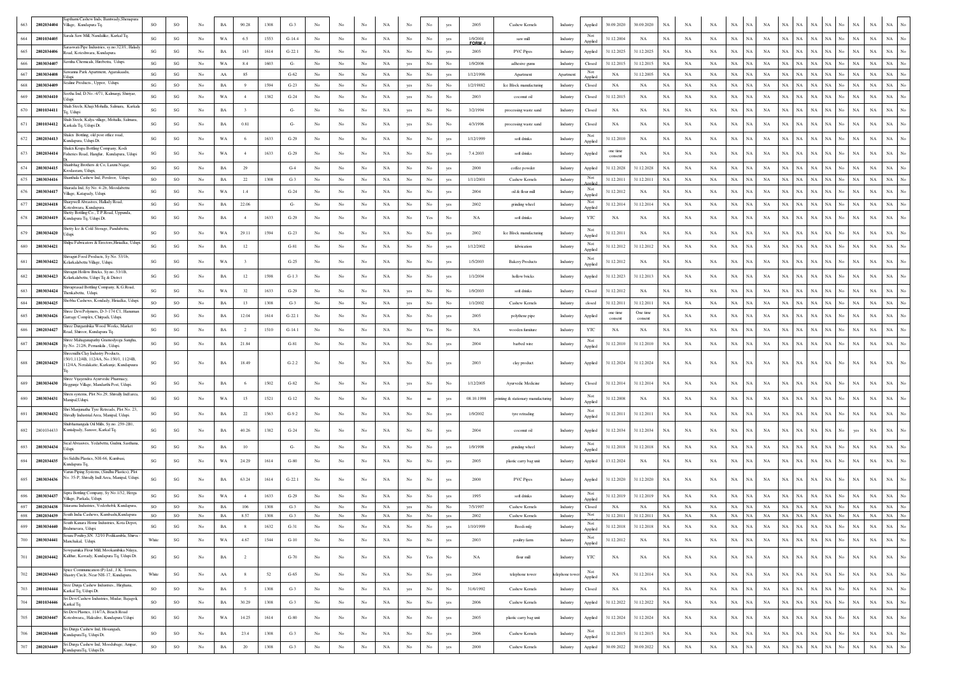|     | 2802034404               | apthami Cashew Inds, Bantwady, Shenapura<br>Village, Kundapura Tq.                            | SO                     | SO                     | No               | $_{\rm BA}$ | 90.28            | 1308         | $G-3$           |                  |                  |                  | NA          | No               |             | yes       | 2005                  | Cashew Kernels                     | 30.09.2020<br>30.09.2020<br>Applied<br>NA<br>NA<br>NA<br>NA<br>NA<br>Industry<br><b>NA</b><br><b>NA</b><br>NA<br>NA<br>NA                                                                                                                                                            |
|-----|--------------------------|-----------------------------------------------------------------------------------------------|------------------------|------------------------|------------------|-------------|------------------|--------------|-----------------|------------------|------------------|------------------|-------------|------------------|-------------|-----------|-----------------------|------------------------------------|--------------------------------------------------------------------------------------------------------------------------------------------------------------------------------------------------------------------------------------------------------------------------------------|
| 664 | 2801034405               | arala Saw Mill, Nandalike, Karkal Tq.                                                         | SG                     | SG                     | No               | WA          | 6.5              | 1553         | $G-14.4$        | No               | No               | No               | NA          | No               | No          |           | 1/9/2001              | saw mill                           | Not<br>$_{\rm NA}$<br>$_{\rm NA}$<br>NA<br>NA<br>$_{\rm NA}$<br>$_{\rm NA}$<br>31.12.2004<br>NA<br>NA<br>NA<br>NA<br>NA<br><b>NA</b><br>NA.<br><b>NA</b><br>No                                                                                                                       |
|     |                          | raswati Pipe Industries, sy.no.323/1, Halady                                                  |                        |                        |                  |             |                  |              |                 |                  |                  |                  |             |                  |             | yes       | FORM                  |                                    | Industry<br>Applied                                                                                                                                                                                                                                                                  |
| 665 | 2802034406               | oad, Koteshwara, Kundapura<br>Savitha Chemicals, Hirebettu, Udupi                             | $\mathbf{S}\mathbf{G}$ | SG                     | $_{\mathrm{No}}$ | $_{\rm BA}$ | 143              | 1614         | $G-22.1$        | No               | No               | No               | NA          | No               | No          | yes       | 2005                  | <b>PVC Pipes</b>                   | $_{\rm NA}$<br>31.12.2025<br>31.12.2025<br>$_{\rm NA}$<br>$_{\rm NA}$<br>NA<br>$_{\rm NA}$<br>$_{\rm NA}$<br>NA<br>$_{\rm NA}$<br>NA<br>$_{\rm NA}$<br>$_{\rm NA}$<br>$_{\rm NA}$<br>Industry<br>Applied                                                                             |
| 666 | 2803034407<br>2803034408 | awanna Park Apartment, Ajjarakaadu,                                                           | SG<br>SG               | SG<br>SG               | No<br>No         | WA<br>AA    | 8.4<br>85        | 1603         | G-<br>$G-62$    | No<br>No         | No<br>No         | No<br>No         | NA<br>NA    | yes<br>No        | No<br>No    | No<br>yes | 1/9/2006<br>1/12/1996 | adhesive gums<br>Apartment         | $_{\rm NA}$<br>31.12.2015<br>NA<br>NA<br>NA<br><b>NA</b><br>NA<br><b>NA</b><br>NA<br>31.12.2015<br>NA<br>NA<br>NA<br>NA<br>NA<br>Industry<br>Closed<br>No.<br>Not<br>$_{\rm NA}$<br>NA<br>31.12.2005<br>NA<br>NA<br>NA<br>NA<br>NA<br>NA<br>NA.<br>NA<br>NA.<br>NA<br>NA<br>Apartmen |
| 668 | 2803034409               | Sealine Products., Uppor, Udupi                                                               | SG                     | SO                     | No               | $_{\rm BA}$ | 9                | 1594         | $G-23$          | No               | No               | No               | NA          | yes              | No          | No        | 1/2/19882             | Ice Block manufacturing            | Applied<br>NA<br>$_{\rm NA}$<br>NA<br>NA<br>$_{\rm NA}$<br>$_{\rm NA}$<br>$_{\rm NA}$<br>NA<br>$_{\rm NA}$<br>Industry<br>Closed<br>NA<br>NA<br>NA<br>NA<br>NA                                                                                                                       |
| 669 | 2803034410               | eetha Ind, D.No.-4/71, Kalmargi, Shiriyar.<br>dupi                                            | SG                     | SG                     | No               | WA          | $\overline{4}$   | 1382         | $G-24$          | No               | No               | No               | NA          | yes              | No          | No        | 2003                  | coconut oil                        | 31.12.2015<br>$_{\rm NA}$<br>$_{\rm NA}$<br>NA<br>NA<br>NA<br>$_{\rm NA}$<br>NA<br>$_{\rm NA}$<br>NA<br>$_{\rm NA}$<br>Industry<br>Closed<br>NA<br>NA<br>NA<br>NA<br>No                                                                                                              |
| 670 | 2801034411               | Shah Steels, Khaji Mohalla, Salmara, Karkal                                                   | SG                     | SG                     | No               | <b>BA</b>   | -3               |              | $G-$            | No               | No               | No               | NA          | yes              | No          | No        | 3/2/1994              | processing waste sand              | NA<br>$_{\rm NA}$<br>$_{\rm NA}$<br>$_{\rm NA}$<br>NA<br>$_{\rm NA}$<br>NA<br>NA<br>NA<br>NA<br>NA<br>NA<br>$_{\rm NA}$<br>NA<br>Industry<br>Closed<br>NA<br>No                                                                                                                      |
|     |                          | Tq, Udupi<br>Shah Steels, Kalya village, Mohalla, Salmara                                     |                        |                        |                  |             |                  |              |                 |                  |                  |                  |             |                  |             |           |                       |                                    |                                                                                                                                                                                                                                                                                      |
| 671 | 2801034412               | Karkala Tq, Udupi Dt.<br>Shakti Bottling, old post office road,                               | SG                     | $\mathbf{S}\mathbf{G}$ | No               | $_{\rm BA}$ | 0.81             |              | G-              | No               | No               | No               | NA          | yes              | $_{\rm No}$ | No        | 4/3/1996              | processing waste sand              | $_{\rm NA}$<br>NA<br>NA<br>$_{\rm NA}$<br>NA<br>NA<br>$_{\rm NA}$<br>$_{\rm NA}$<br>$_{\rm NA}$<br>$_{\rm NA}$<br>$_{\rm NA}$<br>Industry<br>Closed<br>NA<br>NA<br>NA<br>NA<br>No<br>Not                                                                                             |
| 672 | 2802034413               | Kundapura, Udupi Dt.                                                                          | $\mathbf{S}\mathbf{G}$ | SG                     | No               | WA          | 6                | 1633         | $G-29$          | No               | No.              | No               | NA          | No               | No          | yes       | 1/12/1999             | soft drinks                        | $_{\rm NA}$<br>$_{\rm NA}$<br>$_{\rm NA}$<br>$_{\rm NA}$<br>NA<br>$_{\rm NA}$<br>NA<br>NA<br>$_{\rm NA}$<br>31.12.2010<br>NA<br>NA<br>NA<br>NA<br><b>NA</b><br>No.<br>Industry<br>Applied                                                                                            |
| 673 | 2802034414               | hakti Krupa Bottling Company, Kodi<br>Fisheries Road, Hanglur, Kundapura, Udupi               | SG                     | $\mathbf{S}\mathbf{G}$ | No               | WA          |                  | 1633         | $G-29$          | $_{\rm No}$      | $_{\mathrm{No}}$ | No               | NA          | $_{\rm No}$      | No          | yes       | 7.4.2003              | soft drinks                        | one time<br>$_{\rm NA}$<br>$_{\rm NA}$<br>$_{\rm NA}$<br>NA<br>NA<br>$_{\rm NA}$<br>NA<br>$_{\rm NA}$<br>$_{\rm NA}$<br><b>NA</b><br>NA<br>NA<br>NA<br>Industry<br>Applied<br>consent                                                                                                |
| 674 | 2803034415               | Shanbhag Brothers & Co, Laxmi Nagar,<br>Krodasram, Udupi,                                     | $\mathbf{S}\mathbf{G}$ | SG                     | No               | BA          | 29               |              | $G-4$           | No               | No               | No               | NA          | No               | No          | yes       | 2000                  | coffee powder                      | $_{\rm NA}$<br>$_{\rm NA}$<br>Applied<br>31.12.2028<br>31.12.2028<br>NA<br>NA<br>NA<br>NA<br>NA<br>NA<br>NA<br>NA.<br>NA<br><b>NA</b><br>No<br>NA<br>Industry                                                                                                                        |
| 675 | 2803034416               | Shanthala Cashew Ind. Perdoor. Udupi.                                                         | SO.                    | <b>SO</b>              | No               | <b>BA</b>   | 22               | 1308         | $G-3$           | No               | No.              | No               | NA          | No               | No          | yes       | 1/11/2001             | Cashew Kernels                     | Not<br>$_{\rm NA}$<br>$_{\rm NA}$<br>$_{\rm NA}$<br>31.12.2011<br>NA<br>NA<br>NA<br>NA<br>NA<br>$_{\rm NA}$<br>31.12.2011<br><b>NA</b><br>NA<br>NA<br>NA<br>Industry<br>No                                                                                                           |
| 676 | 2803034417               | Sharada Ind. Sv No. 4-2b. Moodabettu<br>Village, Katapady, Udupi.                             | SG                     | SG                     | $_{\rm No}$      | WA          | 1.4              |              | $G-24$          | No               | No.              | No               | NA          | No               | No          | yes       | 2004                  | oil & flour mill                   | Not<br>$_{\rm NA}$<br>$_{\rm NA}$<br>31.12.2012<br>NA<br>NA<br>NA<br>NA<br>NA<br>NA<br>NA<br>NA<br>NA<br>NA<br>No<br>NA<br>NA<br>Industry<br>Applied                                                                                                                                 |
|     | 2802034418               | Sharpwell Abrasives, Hallady Road,<br>oteshwara, Kundapura.                                   | $\mathbf{S}\mathbf{G}$ | SG                     | No               | $_{\rm BA}$ | 22.06            |              | $G-$            | No               | No               | $_{\rm No}$      | NA          | $_{\rm No}$      | $_{\rm No}$ | yes       | 2002                  | grinding wheel                     | Not<br>31.12.2014<br>31.12.2014<br>$_{\rm NA}$<br>NA<br>$_{\rm NA}$<br>NA<br>NA<br>NA<br>$_{\rm NA}$<br>NA<br>$_{\rm NA}$<br>NA<br>$_{\rm NA}$<br>Industry<br>NA<br>NA<br>No<br>Applie                                                                                               |
|     | 2802034419               | Shetty Bottling Co., T.P.Road, Uppunda<br>Kundapura Tq, Udupi Dt.                             | SG                     | $_{\rm SG}$            | No               | $_{\rm BA}$ |                  | 1633         | $G-29$          | No               | No               | No               | NA          | No               | Yes         | No        | NA                    | soft drinks                        | $_{\rm NA}$<br>$_{\rm NA}$<br>NA<br>$_{\rm NA}$<br>$_{\rm NA}$<br>$_{\rm NA}$<br>$_{\rm NA}$<br>NA<br>$_{\rm NA}$<br>Industry<br>YTC<br>NA<br>NA<br>NA<br>NA<br>NA<br>No                                                                                                             |
| 679 | 2803034420               | Shetty Ice & Cold Storage, Pandubettu                                                         | SG                     | SO                     | No               | WA          | 29.11            | 1594         | $G-23$          | No               | No.              | No               | NA          | No               | No          | yes       | 2002                  | Ice Block manufacturing            | Not<br>$_{\rm NA}$<br>$_{\rm NA}$<br>NA<br>$_{\rm NA}$<br>$_{\rm NA}$<br>Industry<br>31.12.2011<br>NA<br>NA<br>NA<br>NA<br>NA<br>NA<br>NA<br>NA<br>No<br>NA                                                                                                                          |
|     |                          | Udupi<br>Shilpa Fabricators & Erectors, Hiriadka, Udup                                        |                        |                        |                  |             |                  |              |                 |                  |                  |                  |             |                  |             |           |                       |                                    | Applied<br>Not                                                                                                                                                                                                                                                                       |
| 680 | 2803034421               | hivagiri Food Products, Sy No. 53/1b,                                                         | $\mathbf{S}\mathbf{G}$ | $_{\rm SG}$            | No               | $_{\rm BA}$ | 12               |              | $G-81$          | $_{\rm No}$      | $_{\mathrm{No}}$ | No               | NA          | $_{\rm No}$      | $_{\rm No}$ | yes       | 1/12/2002             | fabrication                        | 31.12.2012<br>31.12.2012<br>$_{\rm NA}$<br>$_{\rm NA}$<br>NA<br>NA<br>$_{\rm NA}$<br>NA<br>NA<br>$_{\rm NA}$<br>NA<br>$_{\rm NA}$<br>$_{\rm NA}$<br>$_{\rm NA}$<br>Industry<br>NA<br>No<br>Applied                                                                                   |
| 681 | 2803034422               | Kelarkalabettu Village, Udupi.                                                                | SG                     | SG                     | No               | WA          | 3                |              | $G-25$          | No               | No               | No               | NA          | No               | No          | yes       | 1/5/2003              | <b>Bakery Products</b>             | Not<br>$_{\rm NA}$<br>$_{\rm NA}$<br>$_{\rm NA}$<br>$_{\rm NA}$<br>NA<br>NA<br>NA<br>No.<br>$_{\rm NA}$<br>31.12.2012<br>NA<br>NA<br>NA<br>NA<br>NA.<br>NA<br>Industry<br>Applied                                                                                                    |
| 682 | 2803034423               | Shivagiri Hollow Bricks, Sy.no53/1B,<br>Kelarkalabettu, Udupi Tq & Distrct                    | $\mathbf{S}\mathbf{G}$ | SG                     | No               | <b>BA</b>   | 12               | 1598         | $G-1.3$         | No               | No               | No               | NA          | No               | No          | yes       | 1/1/2004              | hollow bricks                      | $_{\rm NA}$<br>31.12.2013<br>NA<br>$_{\rm NA}$<br><b>NA</b><br>NA<br>$_{\rm NA}$<br><b>NA</b><br>$_{\rm NA}$<br>NA<br>31.12.2023<br>NA<br>NA<br>NA<br>Industry<br>Applied<br>N٨<br>No                                                                                                |
| 683 | 2803034424               | Shivaprasad Bottling Company, K.G.Road,<br>Thenkabettu, Udupi.                                | $\mathbf{S}\mathbf{G}$ | SG                     | No               | WA          | 32               | 1633         | $G-29$          | No               | No               | No               | NA          | yes              | $_{\rm No}$ | No        | 1/9/2003              | soft drinks                        | 31.12.2012<br>NA<br>$_{\rm NA}$<br>NA<br>NA<br>$_{\rm NA}$<br>$_{\rm NA}$<br>NA<br><b>NA</b><br>Industry<br>Closed<br>NA<br>NA<br>NA<br>NA<br>Ń<br>NA                                                                                                                                |
| 684 | 2803034425               | Shobha Cashews, Kondady, Hiriadka, Udupi                                                      | SO                     | SO                     | No               | $_{\rm BA}$ | 13               | 1308         | $G-3$           | No               | No               | No               | NA          | yes              | $_{\rm No}$ | No        | 1/1/2002              | Cashew Kernels                     | 31.12.2011<br>31.12.2011<br>$_{\rm NA}$<br>$_{\rm NA}$<br>NA<br>NA<br>$_{\rm NA}$<br>NA<br>$_{\rm NA}$<br>$_{\rm NA}$<br>$_{\rm NA}$<br>$_{\rm NA}$<br>$_{\rm NA}$<br>$_{\rm NA}$<br>Industry<br>closed                                                                              |
| 685 | 2803034426               | hree Devi Polymers, D-3-174 C1, Hanuma<br>Garrage Complex, Chitpadi, Udupi.                   | SG                     | SG                     | No               | BA          | 12.04            | 1614         | $G-22.1$        | No               | No               | No               | NA          | No               | No          | yes       | 2005                  | polythene pipe                     | one time<br>One time<br>NA<br>$_{\rm NA}$<br>NA<br>NA<br>$_{\rm NA}$<br>NA<br>$_{\rm NA}$<br>NA<br>NA<br>No.<br>Industry<br>Applied<br>NA<br>NA<br><b>NA</b><br>NA<br>consent<br>consent                                                                                             |
| 686 | 2802034427               | Shree Durgambika Wood Works, Market<br>Road, Shiroor, Kundapura Tq.                           | SG                     | $_{\rm SG}$            | No               | $_{\rm BA}$ | $\overline{2}$   | 1510         | $G-14.1$        | No               | No               | No               | NA          | No               | Yes         | No        | NA                    | wooden fumiture                    | $_{\rm NA}$<br>$_{\rm NA}$<br>NA<br>$_{\rm NA}$<br>NA<br>$_{\rm NA}$<br>NA<br>$_{\rm NA}$<br>Industry<br>YTC<br>NA<br>NA<br>NA<br>NA<br>NA<br>N/<br>NA                                                                                                                               |
| 687 | 2803034428               | Shree Mahaganapathy Gramodyoga Sangha,                                                        | SG                     | $_{\rm SG}$            | No               | $_{\rm BA}$ | 21.84            |              | $G-81$          | No               | No               | No               | NA          | No               | No          | yes       | 2004                  | barbed wire                        | Not<br>31.12.2010<br>31.12.2010<br>$_{\rm NA}$<br>$_{\rm NA}$<br>NA<br>NA<br>$_{\rm NA}$<br>$_{\rm NA}$<br>NA<br>$_{\rm NA}$<br>Industry<br>NA<br>NA<br>NA<br>N/<br>NA                                                                                                               |
|     |                          | Sy No. 212/6, Pernankila, Udupi.<br>Shreenidhi Clay Industry Products                         |                        |                        |                  |             |                  |              |                 |                  |                  |                  |             |                  |             |           |                       |                                    | Applied                                                                                                                                                                                                                                                                              |
| 688 | 2802034429               | 50/1,112/4B, 112/4A, No.150/1, 112/4B,<br>112/4A, Neralakatte, Karkunje, Kundapuura           | SG                     | SG                     | No               | <b>BA</b>   | 18.49            |              | $G-2.2$         | No               | No.              | No               | NA          | No               | No          | yes       | 2003                  | clay product                       | 31.12.2024<br>NA<br>NA<br>NA<br>NA<br>NA<br>NA<br>NA<br>NA<br>31.12.2024<br>NA<br>NA<br>NA.<br>NA<br>No<br>NA<br>Industry<br>Applied                                                                                                                                                 |
|     |                          | Shree Vijayendra Ayurvedic Pharmacy.                                                          |                        |                        |                  |             |                  |              |                 |                  |                  |                  |             |                  |             |           |                       |                                    |                                                                                                                                                                                                                                                                                      |
| 689 | 2803034430               | Heggunje Village, Mandarthi Post, Udupi.<br>Shren systems, Plot No.29, Shivally Indl area     | SG                     | $\mathbf{S}\mathbf{G}$ | No               | BA          | -6               | 1502         | $G-82$          | No               | No               | No               | NA          | yes              | No          | No        | 1/12/2005             | Ayurvedic Medicine                 | $_{\rm NA}$<br>$_{\rm NA}$<br>31.12.2014<br>NA<br>NA<br>NA<br>$_{\rm NA}$<br>NA<br>$_{\rm NA}$<br>31.12.2014<br>NA<br>NA<br>NA<br>NA<br>NA<br>Industry<br>Closed                                                                                                                     |
|     | 2803034431               | Manipal, Udupi                                                                                | $\mathbf{S}\mathbf{G}$ | $\mathbf{S}\mathbf{G}$ | No               | WA          | 15               | 1521         | $G-12$          | No               | No.              | No               | NA          | $_{\rm No}$      | no.         | yes       | 08.10.1998            | printing & stationary manufacturin | Not<br>31.12.2008<br>NA<br>$_{\rm NA}$<br>$_{\rm NA}$<br>$_{\rm NA}$<br>NA<br>NA<br>$_{\rm NA}$<br>NA<br>$_{\rm NA}$<br>$_{\rm NA}$<br><b>NA</b><br>NA<br>NA<br>Ń<br>Industry<br>Applied                                                                                             |
| 691 | 2803034432               | Shri Maniunatha Tyre Retreads, Plot No. 23<br>Shivally Industrial Area, Manipal, Udupi.       | $\mathbf{S}\mathbf{G}$ | SG                     | $_{\mathrm{No}}$ | $_{\rm BA}$ | 22               | 1563         | $G-9.2$         | No               | No               | No               | NA          | $_{\rm No}$      | $_{\rm No}$ | yes       | 1/9/2002              | tyre retrading                     | Not<br>$_{\rm NA}$<br>31.12.2011<br>31.12.2011<br>$_{\rm NA}$<br>$_{\rm NA}$<br>NA<br>NA<br>$_{\rm NA}$<br>NA<br>$_{\rm NA}$<br>NA<br>Industry<br>NA<br><b>NA</b><br>NA<br>NA<br>No<br>Applied                                                                                       |
| 692 | 2801034433               | Shubhamangala Oil Mills, Sy.no. 259-2B1<br>Kuntalpady, Sanoor, Karkal Tq.                     | SG                     | $\mathbf{S}\mathbf{G}$ | No               | $_{\rm BA}$ | 40.26            | 1382         | $G-24$          | No               | No               | No               | NA          | No               | No          | yes       | 2004                  | coconut oil                        | 31.12.2034<br>$_{\rm NA}$<br>NA<br>NA<br>$_{\rm NA}$<br>$_{\rm NA}$<br>Industry<br>Applied<br>31.12.2034<br>NA<br>NA<br>NA<br>NA<br>NA<br>NA<br>NA<br>yes                                                                                                                            |
|     |                          | Sical Abrasives, Yedabettu, Gudmi, Sasthana                                                   |                        |                        |                  |             |                  |              |                 |                  |                  |                  |             |                  |             |           |                       |                                    | Not                                                                                                                                                                                                                                                                                  |
| 693 | 2803034434               | İduni                                                                                         | SG                     | $\mathbf{S}\mathbf{G}$ | No               | $_{\rm BA}$ | 10               |              | $G-$            | No               | No.              | $_{\rm No}$      | NA          | No               | No          | yes       | 1/9/1998              | grinding wheel                     | $_{\rm NA}$<br>$_{\rm NA}$<br>31.12.2018<br>$_{\rm NA}$<br>NA<br>NA<br><b>NA</b><br>NA<br>31.12.2018<br>NA<br>NA<br>NA<br>NA<br>Industry<br>NA<br>NA.<br>Applied                                                                                                                     |
| 694 | 2802034435               | Sri Siddhi Plastics, NH-66, Kumbasi<br>Kundapura Tq,                                          | $\mathbf{S}\mathbf{G}$ | $_{\rm SG}$            | No               | WA          | 24.29            | 1614         | $G-80$          | No               | No               | No               | NA          | No               | $_{\rm No}$ | yes       | 2005                  | plastic carry bag unit             | $_{\rm NA}$<br>13.12.2024<br>NA<br>$_{\rm NA}$<br>$_{\rm NA}$<br>NA<br>$_{\rm NA}$<br>NA<br>NA<br>$_{\rm NA}$<br>NA<br>No<br>$_{\rm NA}$<br>$_{\rm NA}$<br>Industry<br>Applied<br>NA<br>NA                                                                                           |
| 695 | 2803034436               | Varun Piping Systems, (Sindhu Plastics), Plo<br>No. 35-P, Shivally Indl Area, Manipal, Udupi. | SG                     | SG                     | No               | BA          | 63.24            | 1614         | $G-22.1$        | No               | No               | No               | NA          | No               | No          | yes       | 2000                  | <b>PVC Pipes</b>                   | $_{\rm NA}$<br>NA<br>NA<br>NA<br>$_{\rm NA}$<br>NA<br>NA<br>Industry<br>Applied<br>31.12.2020<br>31.12.2020<br>NA<br>NA<br>NA<br><b>NA</b><br>NA<br>No.<br>NA                                                                                                                        |
|     | 2803034437               | Sipra Bottling Company, Sy No.1/32, Herga                                                     | SG                     |                        |                  | WA          |                  |              |                 |                  |                  |                  |             |                  |             |           |                       |                                    | Not<br>NA<br>NA<br><b>NA</b><br><b>NA</b><br>NA<br><b>NA</b><br>No                                                                                                                                                                                                                   |
| 696 | 2802034438               | /illage, Parkala, Udupi.<br>Sitarama Industries, Voderhobli, Kundapura,                       | SO                     | SG<br>SO               | No<br>No         | BA          | $\cdot$ 4<br>106 | 1633<br>1308 | $G-29$<br>$G-3$ | No<br>No         | No.<br>No        | No<br>No         | NA<br>NA    | No<br>yes        | No<br>No    | yes<br>No | 1995<br>7/5/1997      | soft drinks<br>Cashew Kernels      | NA<br>31.12.2019<br>31.12.2019<br>NA<br>NA<br>NA<br>NA<br>Industry<br><b>NA</b><br>NA<br>Applied<br>NA<br>NA<br>NA<br>$_{\rm NA}$<br>$_{\rm NA}$<br>$_{\rm NA}$<br>$_{\rm NA}$<br>$_{\rm NA}$<br>No<br>Industry<br>Closed<br>NA<br>NA<br>NA<br>NA<br>NA<br>NA<br>NA<br>No            |
| 698 |                          | 2802034439 South India Cashews, Kumbashi, Kundapura                                           | SO                     | SO                     | $_{\rm No}$      | $_{\rm BA}$ | 8.57             | 1308         | $G-3$           | No               | No               | No               | NA          | $_{\rm No}$      | $_{\rm No}$ | yes       | 2002                  | Cashew Kernels                     | Not<br>31.12.2011<br>31.12.2011<br>NA<br>$_{\rm NA}$<br>NA<br>$_{\rm NA}$<br>NA<br>NA<br>NA<br>NA<br>NA<br>$_{\rm NA}$<br>$_{\rm NA}$<br>NA<br>$_{\rm No}$<br>Industry<br>NA<br>No                                                                                                   |
| 699 | 2803034440               | ìouth Kanara Home Industries. Kota Deno<br>Brahmavara, Udupi.                                 | $\mathbf{S}\mathbf{G}$ | $\mathbf{SG}$          | $_{\rm No}$      | $_{\rm BA}$ | 8                | 1632         | $G-31$          | $_{\mathrm{No}}$ | $_{\rm No}$      | $_{\rm No}$      | NA          | $_{\rm No}$      | No          | yes       | 1/10/1999             | Beedi mfg                          | 31.12.2018 31.12.2018<br>$_{\rm NA}$<br>NA<br>NA<br>NA<br>NA<br>$_{\rm NA}$<br>NA NA NA NA No NA<br>NA<br>NA<br>$_{\rm No}$<br>Industry<br>Applied                                                                                                                                   |
| 700 |                          | Souza Poultry, SN. 32/10 Podikambla, Shirva<br>2803034441 Manchakal, Udupi.                   | White                  | $\mathbf{S}\mathbf{G}$ | No               | $_{\rm WA}$ | 4.67             | 1544         | $G-10$          | No               | No               | $_{\rm No}$      | $_{\rm NA}$ | $_{\mathrm{No}}$ | $_{\rm No}$ | yes       | 2003                  | poultry farm                       | Not<br>$\rm NA$ $\rm NA$ $\rm NA$ $\rm NA$ $\rm N$ $\rm No$<br>$_{\mathrm{NA}}$<br>$_{\rm NA}$<br>$_{\rm NA}$<br>$_{\mathrm{No}}$<br>31.12.2012<br>$_{\rm NA}$<br>$_{\rm NA}$<br>$_{\rm NA}$<br>NA<br>$_{\rm NA}$<br>$_{\rm NA}$<br>NA<br>Industry<br>Applied                        |
|     | 2802034442               | Sowpamika Flour Mill, Mookambika Nilaya,<br>Kalthur, Kavrady, Kundapura Tq, Udupi Dt.         |                        |                        |                  |             |                  |              |                 |                  |                  |                  |             |                  |             |           |                       |                                    | NA  <br>$_{\mathrm{No}}$<br><b>NA</b>                                                                                                                                                                                                                                                |
| 701 |                          |                                                                                               | SG                     | $\mathbf{S}\mathbf{G}$ | No               | $_{\rm BA}$ | $\overline{2}$   |              | $G-70$          | No               | No               | No               | NA          | No               | Yes         | No        | NA                    | flour mill                         | NA<br>$\rm NA-NA$<br>$_{\rm No}$<br>NA  <br>$_{\rm NA}$<br>NA<br>YTC<br>$_{\rm NA}$<br>NA<br>$_{\rm NA}$<br>NA<br>NA<br>Industry<br>NA<br>NA                                                                                                                                         |
| 702 | 2802034443               | Spice Communication (P) Ltd., J.K. Towers,<br>Shastry Circle, Near NH-17, Kundapura.          | White                  | $\mathbf{S}\mathbf{G}$ | No               | ${\rm AA}$  | 8                | 52           | $G-65$          | No               | No               | No               | NA          | No               | No          | yes       | 2004                  | telephone tower                    | Not<br>$_{\rm NA}$<br>NA  <br>$_{\rm NA}$<br>$_{\rm NA}$<br>$_{\rm NA}$<br>$_{\mathrm{No}}$<br>31.12.2014<br>$_{\rm NA}$<br>$_{\rm NA}$<br>$_{\rm NA}$<br>NA<br>No<br>$_{\rm NA}$<br>elephone towe<br>NA<br>NA<br>NA<br>NA<br>Applied                                                |
| 703 | 2801034444               | Sree Durga Cashew Industries., Hirghana,<br>Karkal Tq, Udupi Dt.                              | SO                     | $_{\rm SO}$            | $_{\mathrm{No}}$ | $_{\rm BA}$ | -5               | 1308         | $G-3$           | $_{\mathrm{No}}$ | $_{\rm No}$      | No               | $_{\rm NA}$ | yes              | $_{\rm No}$ | No        | 31/6/1992             | Cashew Kernels                     | $_{\mathrm{No}}$<br>$_{\rm NA}$<br>$_{\rm NA}$<br>$_{\rm NA}$<br>$_{\rm NA}$<br>NA<br>NA<br>$_{\rm NA}$<br>NA<br>$_{\rm NA}$<br>$_{\rm NA}$<br>$_{\rm NA}$<br>Industry<br>Closed<br>NA<br>NA<br>NA<br>NA<br>No                                                                       |
| 704 | 2801034446               | Sri Devi Cashew Industries, Mudar, Bajagoli,<br>Karkal Tq.                                    | SO                     | $_{\rm SO}$            | $_{\rm No}$      | $_{\rm BA}$ | 30.29            | 1308         | $G-3$           | $_{\mathrm{No}}$ | $_{\rm No}$      | $_{\rm No}$      | $_{\rm NA}$ | $_{\mathrm{No}}$ | $_{\rm No}$ | yes       | 2006                  | Cashew Kernels                     | $_{\mathrm{No}}$<br>31.12.2022<br>31.12.2022<br>$_{\rm NA}$<br>$_{\rm NA}$<br>$_{\rm NA}$<br>$_{\rm NA}$<br>NA<br>NA<br>$_{\rm NA}$<br>$_{\rm NA}$<br>$_{\rm NA}$<br>$_{\rm NA}$<br>$_{\rm NA}$<br>Industry<br>Applied<br>NA<br>NA<br>No                                             |
| 705 | 2802034447               | Sri Devi Plastics, 114/7A, Beach Road<br>Koteshwara,, Halealive, Kundapura Udupi              | $\mathbf{S}\mathbf{G}$ | $\mathbf{S}\mathbf{G}$ | $_{\mathrm{No}}$ | WA          | 14.25            | 1614         | $G-80$          | No               | No               | No               | NA          | $_{\mathrm{No}}$ | $_{\rm No}$ | yes       | 2005                  | plastic carry bag unit             | $_{\mathrm{No}}$<br>31.12.2024<br>31.12.2024<br>$_{\rm NA}$<br>$_{\rm NA}$<br>NA<br>$_{\rm NA}$<br>NA<br>NA<br>$_{\rm NA}$<br>NA<br>No<br>$_{\rm NA}$<br>$_{\rm NA}$<br>$_{\rm NA}$<br>Industry<br>Applied<br>NA<br>NA                                                               |
|     |                          | Sri Durga Cashew Ind, Hosangadi,                                                              |                        |                        |                  |             |                  |              |                 |                  |                  |                  |             |                  |             |           |                       |                                    | Not                                                                                                                                                                                                                                                                                  |
| 706 | 2802034448               | KundapuraTq, Udupi Dt.<br>Sri Durga Cashew Ind, Moodubage, Ampar,                             | SO                     | SO                     | No               | $_{\rm BA}$ | 23.4             | 1308         | $G-3$           | $_{\mathrm{No}}$ | No               | $_{\mathrm{No}}$ | NA          | $_{\mathrm{No}}$ | No          | yes       | 2006                  | Cashew Kernels                     | $_{\rm NA}$<br>$_{\rm NA}$<br>$_{\rm NA}$<br>$_{\rm NA}$<br>$_{\rm NA}$<br>$_{\rm No}$<br>31.12.2015<br>$_{\rm NA}$<br>$_{\rm NA}$<br>NA<br>$_{\rm NA}$<br>NA<br>NA<br>$_{\mathrm{No}}$<br>31.12.2015<br>NA<br>NA<br>Industry<br>Applied                                             |
| 707 | 2802034449               | KundapuraTo, Udupi Dt.                                                                        | SO                     | SO                     | $_{\rm No}$      | $_{\rm BA}$ | 20               | 1308         | $G-3$           | $_{\rm No}$      | $_{\rm No}$      | $_{\rm No}$      | $_{\rm NA}$ | No               | No          | yes       | 2000                  | Cashew Kernels                     | No<br>$_{\rm NA}$<br>30.09.2022<br>30.09.2022<br>$_{\rm NA}$<br>$_{\rm NA}$<br>NA<br>$_{\rm NA}$<br>$_{\rm NA}$<br>NA<br>$_{\rm NA}$<br>$_{\rm NA}$<br>$_{\rm NA}$<br>$_{\rm NA}$<br>Industry<br>Applied                                                                             |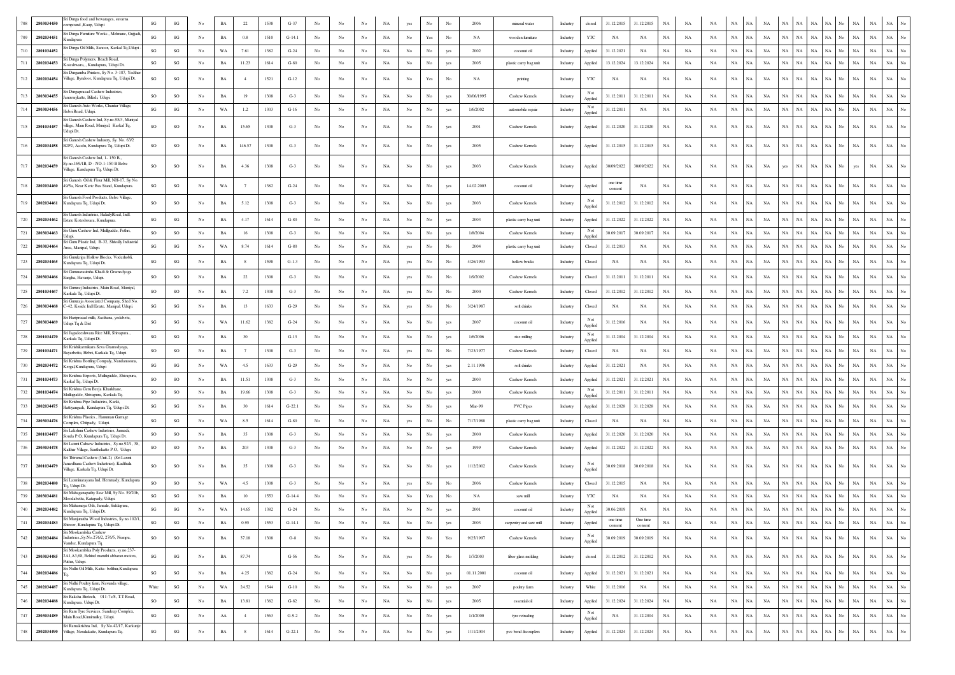|     | 2803034450 | ri Durga food and bewarages, suvarna<br>mpound , Kaup, Udupi                                                    | $\mathbf{SG}$          | SG                     | No               | $_{\rm BA}$ | 22             | 1538 | $G-37$   |                  |                  |                  | NA          | yes              | No               | No               | 2006       | mineral water          | 31.12.2015<br>31.12.2015<br>$_{\rm NA}$<br>$_{\rm NA}$<br>$_{\rm NA}$<br>$_{\rm NA}$<br>Industry<br>closed<br>NA<br>NA<br>NA<br>NA<br>NA<br>NA<br>NA<br>NA                                                                                                               |                  |
|-----|------------|-----------------------------------------------------------------------------------------------------------------|------------------------|------------------------|------------------|-------------|----------------|------|----------|------------------|------------------|------------------|-------------|------------------|------------------|------------------|------------|------------------------|--------------------------------------------------------------------------------------------------------------------------------------------------------------------------------------------------------------------------------------------------------------------------|------------------|
| 709 | 2802034451 | i Durga Furniture Works, Melmane, Gujjad<br>undapura                                                            | SG                     | SG                     | No               | $_{\rm BA}$ | 0.8            | 1510 | $G-14.1$ | No               | No               | No               | $_{\rm NA}$ | $_{\rm No}$      | Yes              | No               | NA         | wooden furniture       | YTC<br>NA<br>$_{\rm NA}$<br>NA<br>NA<br>NA<br>NA<br>$_{\rm NA}$<br>NA<br>$_{\rm NA}$<br>$_{\rm NA}$<br>No.<br>$_{\rm NA}$<br>NA<br>$_{\rm NA}$<br>NA<br>NA<br>Industry                                                                                                   |                  |
| 710 | 2801034452 | i Durga Oil Mills, Sanoor, Karkal Tq, Udupi                                                                     | $\mathbf{S}\mathbf{G}$ | SG                     | No               | WA          | 7.61           | 1382 | $G-24$   | No               | No               | $_{\rm No}$      | $_{\rm NA}$ | $_{\rm No}$      | $_{\rm No}$      | yes              | 2002       | coconut oil            | 31.12.2021<br>NA<br>NA<br>$_{\rm NA}$<br>NA<br>NA<br>NA<br>NA<br>$_{\rm NA}$<br>NA<br>$_{\rm NA}$<br>NA<br>$_{\rm NA}$<br>NA<br>$_{\rm NA}$<br>Industry<br>Applied<br>No                                                                                                 |                  |
| 711 | 2802034453 | i Durga Polymers, Beach Road,<br>oteshwara Kundapura. Udupi Dt.                                                 | SG                     | SG                     | No               | BA          | 11.23          | 1614 | $G-80$   | No               | No               | $_{\rm No}$      | $_{\rm NA}$ | $_{\rm No}$      | No               | yes              | 2005       | plastic carry bag unit | 13.12.2024<br>13.12.2024<br>NA<br>$_{\rm NA}$<br>$_{\rm NA}$<br>NA<br>$_{\rm NA}$<br>NA<br>$_{\rm NA}$<br>$_{\rm NA}$<br>$_{\rm NA}$<br>$_{\rm NA}$<br>NA<br>NA<br>NA<br>Industry<br>Applied                                                                             |                  |
| 712 | 2802034454 | i Durgamba Printers, Sy No. 3-187, Yedther<br>'illage, Byndoor, Kundapura Tq, Udupi Dt.                         | SG                     | SG                     | No               | BA          |                | 1521 | $G-12$   | No               | No               | No               | NA          | No               | Yes              | No               | <b>NA</b>  | printing               | $_{\rm NA}$<br>$_{\rm NA}$<br>YTC<br>NA<br>NA<br>NA<br>NA<br>$_{\rm NA}$<br>NA<br>No.<br>$_{\rm NA}$<br>NA<br>NA<br>NA<br>NA<br>Industry<br>NA<br>NΑ                                                                                                                     |                  |
|     | 2803034455 | i Durgaprasad Cashew Industries,<br>nuvarjkatte, Billadi, Udupi.                                                | SO                     | SO                     | No               | BA          | 19             | 1308 | $G-3$    | No               | No               | No               | NA          | No               | No               |                  | 30/06/1995 | Cashew Kernels         | Not<br>31.12.2011<br>$_{\rm NA}$<br>$_{\rm NA}$<br>$_{\rm NA}$<br>$_{\rm NA}$<br>31.12.2011<br>NA<br>NA<br>NA<br>NA.<br>NA<br>NA<br>NA<br>Industry<br>NA<br>NA<br>Applied                                                                                                |                  |
|     | 2803034456 | ri Ganesh Auto Works, Chantar Village<br>Iebri Road, Udupi.                                                     | SG                     | $\mathbf{SG}$          | No               | WA          | 1.2            | 1303 | $G-16$   | No               | No               | No               | NA          | No               | No               |                  | 1/6/2002   | automobile repair      | Not<br>$_{\rm NA}$<br>$_{\rm NA}$<br>$_{\rm NA}$<br>$_{\rm NA}$<br>$_{\rm NA}$<br>Industry<br>31.12.2011<br>NA<br>NA<br>NA<br>NA<br>NA<br>NA<br>NA<br>NA<br>No<br>NA<br>Applied                                                                                          |                  |
|     | 2801034457 | ri Ganesh Cashew Ind. Sv.no.95/3. Munival<br>Ilage, Main Road, Muniyal, Karkal Tq,<br>dupi Dt.                  | SO                     | SO                     | No               | BA          | 15.65          | 1308 | $G-3$    | No               | $_{\mathrm{No}}$ | No               | NA          | No               | No               | yes              | 2001       | Cashew Kernels         | $_{\rm NA}$<br>$_{\rm NA}$<br>$_{\rm NA}$<br><b>NA</b><br>$_{\rm NA}$<br>$_{\rm NA}$<br>Industry<br>Applied<br>31.12.2020<br>31.12.2020<br>NA<br>NA<br>NA<br>NA<br>NA<br>NA<br>No.<br>NA                                                                                 |                  |
|     | 2802034458 | iri Ganesh Cashew Industry, Sv. No. 63/2<br>B2P2, Asodu, Kundapura Tq, Udupi Dt.                                | SO                     | $_{\rm SO}$            | No               | $_{\rm BA}$ | 146.57         | 1308 | $G-3$    | No               | No               | No               | NA          | No               | No               | yes              | 2005       | Cashew Kernels         | 31.12.2015<br>31.12.2015<br>$_{\rm NA}$<br>$_{\rm NA}$<br>NA<br>$_{\rm NA}$<br>$\rm NA$<br>$_{\rm NA}$<br>Industry<br>Applied<br>NA<br>NA<br>NA<br>NA<br>NA<br>No<br>NA<br>NA                                                                                            |                  |
| 717 | 2802034459 | iri Ganesh Cashew Ind, 1-150 B.<br>y.no.169/1B, D - NO.1-150 B Belve<br>illage, Kundapura Tq, Udupi Dt.         | SO                     | SO                     | No               | BA          | 4.36           | 1308 | $G-3$    | No               | No               | No               | NA          | No               | No               | yes              | 2003       | Cashew Kernels         | Applied<br>30/09/2022<br>30/09/2022<br>NA<br>NA<br>NA<br>NA<br>NA<br>NA<br>NA<br>NA<br>NA<br>NA<br>NA<br>Industry<br>yes<br>No<br>yes                                                                                                                                    |                  |
|     | 2802034460 | iri Ganesh Oil & Flour Mill, NH-17, Sy No.<br>49/5a, Near Ksrtc Bus Stand, Kundapura.                           | SG                     | SG                     | No               | WA          |                | 1382 | $G-24$   | No               | No               | No               | NA          | No               | No               | yes              | 14.02.2003 | coconut oil            | one time<br>NA<br>NA<br>NA<br>NA<br>NA<br>Industry<br>Applied<br>NA<br>NA<br>NA<br>NA<br>NA.<br>NA<br>NA<br>NA<br>NA<br>consent                                                                                                                                          |                  |
|     | 2802034461 | iri Ganesh Food Products, Belve Village<br>Cundapura Tq, Udupi Dt.                                              | SO                     | SO                     | No               | BA          | 5.12           | 1308 | $G-3$    | No               | No               | No               | NA          | No               | No.              | yes              | 2003       | Cashew Kernels         | Not<br>31.12.2012<br>$_{\rm NA}$<br>NA<br><b>NA</b><br>NA<br>$_{\rm NA}$<br>$_{\rm NA}$<br>$_{\rm NA}$<br>31.12.2012<br>NA<br>NA<br>NA<br>NA<br>NA<br>NA<br>Industry<br>No<br>Applied                                                                                    |                  |
|     | 2802034462 | iri Ganesh Industries, HaladyRoad, Indl.<br>state Koteshwara, Kundapura.                                        | $\mathbf{SG}$          | SG                     | No               | BA          | 4.17           | 1614 | $G-80$   | No               | No               | $_{\rm No}$      | $_{\rm NA}$ | $_{\rm No}$      | No               | yes              | 2003       | plastic carry bag unit | 31.12.2022<br>31.12.2022<br>NA<br>$_{\rm NA}$<br>NA<br>$_{\rm NA}$<br>NA<br>$_{\rm NA}$<br>NA<br>$_{\rm NA}$<br>$_{\rm NA}$<br>$_{\rm NA}$<br>NA<br>Industry<br>Applied<br>NΑ<br>NA                                                                                      |                  |
|     | 2803034463 | ri Guru Cashew Ind, Mullgudde, Pethri,                                                                          | so                     | SO                     | No               | $_{\rm BA}$ | 16             | 1308 | $G-3$    | No               | No               | $_{\rm No}$      | $_{\rm NA}$ | $_{\rm No}$      | $_{\rm No}$      | yes              | 1/8/2004   | Cashew Kernels         | Not<br>30.09.2017<br>30.09.2017<br>NA<br>$_{\rm NA}$<br>NA<br>NA<br>NA<br>$_{\rm NA}$<br>NA<br>$_{\rm NA}$<br>$_{\rm NA}$<br>$_{\rm NA}$<br>NA<br>$_{\rm NA}$<br>Industry<br>NA<br>No                                                                                    |                  |
|     | 2803034464 | ri Guru Plastic Ind, B-32, Shivally Industrial<br>rea, Manipal, Udupi.                                          | $\mathbf{SG}$          | $_{\rm SG}$            | $_{\mathrm{No}}$ | WA          | 8.74           | 1614 | $G-80$   | No               | No               | $_{\rm No}$      | $_{\rm NA}$ | yes              | No               | No               | 2004       | plastic carry bag unit | 31.12.2013<br>$_{\rm NA}$<br>$_{\rm NA}$<br>$_{\rm NA}$<br>NA<br>$_{\rm NA}$<br>NA<br>$_{\rm NA}$<br>Industry<br>Closed<br>NA<br>NA<br>NA<br>NA<br>NA<br>NA<br>NA                                                                                                        |                  |
|     | 2802034465 | ri Gurukripa Hollow Blocks, Voderhobli,<br>undapura Tq, Udupi Dt.                                               | $\mathbf{S}\mathbf{G}$ | $\mathbf{SG}$          | No               | BA          | 8              | 1598 | $G-1.3$  | No               | No               | No               | $_{\rm NA}$ | yes              | No               | No               | 4/26/1993  | hollow bricks          | $_{\rm NA}$<br>$_{\rm NA}$<br>$_{\rm NA}$<br>$_{\rm NA}$<br>$_{\rm NA}$<br>$_{\rm NA}$<br>Industry<br>Closed<br>NA<br>NA<br>NA<br>NA<br>NA<br>NA<br>NA<br>NA<br>No<br>NA                                                                                                 |                  |
|     | 2803034466 | i Gurunarasimha Khadi & Gramodvoga<br>angha, Havanje, Udupi.                                                    | so                     | SO                     | No               | <b>BA</b>   | 22             | 1308 | $G-3$    | No               | No               | No               | $_{\rm NA}$ | yes              | No               | No               | 1/9/2002   | Cashew Kernels         | 31.12.2011<br>31.12.2011<br>$_{\rm NA}$<br>$_{\rm NA}$<br>$_{\rm NA}$<br>$_{\rm NA}$<br>$_{\rm NA}$<br>NA<br>NA<br><b>NA</b><br>$_{\rm NA}$<br>NA<br>$_{\rm NA}$<br>Industry<br>Closed<br>NA<br>NA                                                                       |                  |
| 725 | 2801034467 | ri Gururaj Industries, Main Road, Muniyal,<br>arkala Tq, Udupi Dt.                                              | SO.                    | SO                     | No               | BA          | 7.2            | 1308 | $G-3$    | No               | No               | No               | NA          | yes              | No               | No               | 2000       | Cashew Kernels         | 31.12.2012<br>NA<br>NA<br>NA<br><b>NA</b><br>31.12.2012<br>NA<br>NA<br><b>NA</b><br><b>NA</b><br>NA<br><b>NA</b><br>NA<br>Industry<br>Closed<br>NΑ<br>NA                                                                                                                 |                  |
|     | 2803034468 | i Gururaja Associated Company, Shed No<br>-42, Kssidc Indl Estate, Manipal, Udupi.                              | $\mathbf{S}\mathbf{G}$ | SG                     | No               | BA          | 13             | 1633 | $G-29$   | No               | No               | No               | $_{\rm NA}$ | yes              | No               |                  | 3/24/1987  | soft drinks            | $_{\rm NA}$<br>$_{\rm NA}$<br>NA<br>$_{\rm NA}$<br>$_{\rm NA}$<br>NA<br>$_{\rm NA}$<br>NA<br>$_{\rm NA}$<br>NA<br>NA<br>NA<br>NA<br>NA<br>NA<br>Industry<br>Closed                                                                                                       |                  |
| 727 | 2803034469 | iri Hariprasad mills, Sasthana, yedabetu,<br>dupi Tq & Dist                                                     | SG                     | SG                     | No               | WA          | 11.62          | 1382 | $G-24$   | No               | No               | No               | NA          | No               | No               |                  | 2007       | coconut oil            | Not<br>$_{\rm NA}$<br>Industry<br>31.12.2016<br>NA<br>NA<br>NA<br>NA<br>NA<br><b>NA</b><br>NA<br>NA<br>NA<br>NA<br>NA<br>NA<br>NA<br>Applied                                                                                                                             |                  |
| 728 | 2801034470 | Jagadeeshwara Rice Mill, Shivapura.,<br>Carkala Tq, Udupi Dt.                                                   | $\mathbf{SG}$          | SG                     | No               | $_{\rm BA}$ | 30             |      | $G-13$   | No               | No               | No               | $_{\rm NA}$ | $_{\rm No}$      | $_{\rm No}$      | yes              | 1/6/2006   | rice milling           | Not<br>31.12.2004<br>31.12.2004<br>$_{\rm NA}$<br>$_{\rm NA}$<br>$_{\rm NA}$<br>NA<br>$_{\rm NA}$<br>$_{\rm NA}$<br>NA<br>$_{\rm NA}$<br>NA<br>No.<br>$_{\rm NA}$<br>NA<br>$_{\rm NA}$<br>NA<br>Industry<br>Applied                                                      |                  |
| 729 | 2801034471 | i Krishikarmikara Seva Gramodyoga<br>Bayarbettu, Hebri, Karkala Tq, Udupi                                       | SO                     | SO                     | No               | BA          | - 7            | 1308 | $G-3$    | No               | No               | No               | NA          | yes              | No               | No               | 7/23/1977  | Cashew Kernels         | NA<br>$_{\rm NA}$<br>NA<br>NA<br><b>NA</b><br>NA<br>$_{\rm NA}$<br>NA<br>$_{\rm NA}$<br>NA<br>NA<br>NA<br>NA<br>No<br>Industry<br>Closed<br>NA<br>NA                                                                                                                     |                  |
| 730 | 2802034472 | iri Krishna Bottling Compaly, Nandanavana<br>ergal, Kundapura, Udupi                                            | $\mathbf{S}\mathbf{G}$ | SG                     | No               | WA          | 4.5            | 1633 | $G-29$   | No               | No               | $_{\rm No}$      | $_{\rm NA}$ | $_{\rm No}$      | No               | yes              | 2.11.1996  | soft drinks            | 31.12.2021<br>NA<br>$_{\rm NA}$<br>$_{\rm NA}$<br>$_{\rm NA}$<br>NA<br>$_{\rm NA}$<br>NA<br>Industry<br>Applied<br>NA<br>NA<br>NA<br>NA<br>NA<br>NA<br>NA                                                                                                                |                  |
| 731 | 2801034473 | i Krishna Exports, Mullugudde, Shivapura,<br>Carkal Tq, Udupi Dt.                                               | SO                     | SO                     | No               | $_{\rm BA}$ | 11.51          | 1308 | $G-3$    | No               | No               | $_{\rm No}$      | $_{\rm NA}$ | $_{\rm No}$      | No               | yes              | 2003       | Cashew Kernels         | 31.12.2021<br>31.12.2021<br>$_{\rm NA}$<br>$_{\rm NA}$<br>$_{\rm NA}$<br>$_{\rm NA}$<br><b>NA</b><br>NA<br>$_{\rm NA}$<br>$_{\rm NA}$<br>$_{\rm NA}$<br>NA<br>NA<br>NA<br>NA<br>Industry<br>Applied                                                                      |                  |
| 732 | 2801034474 | i Krishna Geru Beeja Kharkhane<br>Iullugudde, Shivapura, Karkala Tq.                                            | so                     | SO                     | No               | BA          | 19.66          | 1308 | $G-3$    | No               | No               | No               | NA          | No               | No               | yes              | 2000       | Cashew Kernels         | Not<br><b>NA</b><br>Industry<br>31.12.2011<br>31.12.2011<br>NA<br>NA<br>NA<br>NA<br>NA<br>NA<br>NA<br>NA<br>NA<br>NA<br>NA<br>NA<br>Applied                                                                                                                              |                  |
|     | 2802034475 | ri Krishna Pipe Industries, Karki,<br>łattiyangadi, Kundapura Tq, Udupi Dt                                      | $\mathbf{S}\mathbf{G}$ | SG                     | No               | $_{\rm BA}$ | 30             | 1614 | $G-22.1$ | No               | No               | $_{\rm No}$      | $_{\rm NA}$ | No               | No               | yes              | Mar-99     | <b>PVC Pipes</b>       | 31.12.2028<br>31.12.2028<br>$_{\rm NA}$<br>$_{\rm NA}$<br>$_{\rm NA}$<br>$_{\rm NA}$<br>NA<br>$_{\rm NA}$<br>$_{\rm NA}$<br>NA<br>ŃА<br>NA<br>NA<br>Industry<br>Applied<br>N/                                                                                            |                  |
|     | 2803034476 | ri Krishna Plastics., Hanuman Garrage<br>omplex, Chitpady, Udupi.                                               | SG                     | SG                     | No               | WA          | 8.5            | 1614 | $G-80$   | No               | No               | No               | NA          | yes              | No               | No               | 7/17/1988  | plastic carry bag unit | $_{\rm NA}$<br>$_{\rm NA}$<br>NA<br><b>NA</b><br>NA<br><b>NA</b><br>NA<br>NA<br>NA<br>NA<br>NA<br>NA<br>NA.<br>NA<br>Industry<br>Closed<br>NA<br>No                                                                                                                      |                  |
|     | 2801034477 | ri Lakshmi Cashew Industries, Jannadi,<br>ouda P.O. Kundapura To. Udupi Dt.                                     | SO                     | SO                     | No               | BA          | 35             | 1308 | $G-3$    | No               | No               | $_{\rm No}$      | $_{\rm NA}$ | $_{\rm No}$      | $_{\rm No}$      | yes              | 2000       | Cashew Kernels         | 31.12.2020<br>31.12.2020<br>NA<br>$_{\rm NA}$<br>NA<br>$_{\rm NA}$<br>NA<br>$_{\rm NA}$<br>NA<br>$_{\rm NA}$<br>$_{\rm NA}$<br>NA<br>$_{\rm NA}$<br>Applied<br>NA<br>Industry<br>NΑ                                                                                      |                  |
|     | 2803034478 | i Laxmi Cahsew Industries, Sy.no.92/1, 38,<br>Calthur Village, Santhekatte P.O. Udupi                           | SO                     | $\rm SO$               | No               | BA          | 203            | 1308 | $G-3$    | No               | No               | No               | NA          | No               | $_{\rm No}$      | yes              | 1999       | Cashew Kernels         | $_{\rm NA}$<br>31.12.2022<br>$_{\rm NA}$<br>$_{\rm NA}$<br>$_{\rm NA}$<br>$_{\rm NA}$<br>$_{\rm NA}$<br>NA<br>$_{\rm NA}$<br>NA<br>$_{\rm NA}$<br>$_{\rm NA}$<br>31.12.2022<br>NA<br>No.<br>Industry<br>Applied<br>NA                                                    |                  |
| 737 | 2801034479 | iri Thirumal Cashew (Unit-2) (Sri Laxmi<br>ardhana Cashew Industries), Kadthala<br>ilage, Karkala Tq, Udupi Dt. | <b>SO</b>              | SO                     | No               | $_{\rm BA}$ | 35             | 1308 | $G-3$    | No               | No               | No               | NA          | No               | No               | yes              | 1/12/2002  | Cashew Kernels         | 30.09.2018<br>30.09.2018<br>NA<br>$_{\rm NA}$<br>$_{\rm NA}$<br>NA<br>NA<br>NA<br>$_{\rm NA}$<br>NA<br>$_{\rm NA}$<br>NA<br>NA<br>NA<br>NA<br>No<br>Industry<br>Applied                                                                                                  |                  |
|     | 2802034480 | Sri Laxminarayana Ind, Hemmady, Kundapura<br>1. Udupi Dt.                                                       | <b>SO</b>              | SO                     | No               | WA          | 4.5            | 1308 | $G-3$    | No               | No               | No               | NA          | yes              | No               | No               | 2006       | Cashew Kernels         | $_{\rm NA}$<br>$_{\rm NA}$<br>31.12.2015<br>NA<br>NA<br>NA<br>NA<br>NA<br><b>NA</b><br><b>NA</b><br><b>NA</b><br>Closed<br>NA<br><b>NA</b><br>NA<br>NA<br>Industry<br>No                                                                                                 |                  |
|     | 2803034481 | i Mahaganapathy Saw Mill, Sy No. 59/20b<br>Ioodabettu, Katapady, Udupi.                                         | $\mathbf{S}\mathbf{G}$ | SG                     | No               | $_{\rm BA}$ | $10\,$         | 1553 | $G-14.4$ | No               | No               | $_{\rm No}$      | $_{\rm NA}$ | $_{\rm No}$      | Yes              | No               | NA         | saw mill               | $_{\rm NA}$<br>YTC<br>NA<br>$_{\rm NA}$<br>NA<br>NA<br>NA<br>$_{\rm NA}$<br>NA<br>$_{\rm NA}$<br>NA<br>$_{\rm NA}$<br>NA<br>Industry<br>NA<br>NA<br>NA<br>No.                                                                                                            |                  |
| 740 | 2802034482 | ri Mahamaya Oils, Jansale, Siddapura<br>Kundapura Tq, Udupi Dt.                                                 | $\mathbf{S}\mathbf{G}$ | $\mathbf{S}\mathbf{G}$ | No               | WA          | 14.65          | 1382 | $G-24$   | No               | No               | No               | NA          | No               | No               |                  | 2001       | coconut oil            | Not<br>$_{\rm NA}$<br>NA<br>Industry<br>30.06.2019<br>NA<br>NA<br>NA<br>NA<br>NA<br>NA<br>NA<br>NA<br>NA<br>NA<br>NA<br>NA<br>No<br>Applied                                                                                                                              |                  |
| 741 | 2802034483 | Sri Manjunatha Wood Industries, Sy.no.102/1,<br>iroor. Kundanura To. Uduni E                                    | $\mathbf{S}\mathbf{G}$ | $\mathbf{S}\mathbf{G}$ | No               | $_{\rm BA}$ | 0.95           | 1553 | $G-14.1$ | No               | No               | No               | $_{\rm NA}$ | $_{\rm No}$      | No               | ves              | 2003       | carpentry and saw mill | One time<br>one time<br>$_{\rm NA}$<br>$_{\rm NA}$<br>$_{\rm NA}$<br>$_{\rm NA}$<br>$_{\rm NA}$<br>$_{\rm NA}$<br>Industry<br>Applied<br>NA<br>$_{\rm NA}$<br>NA<br>NA<br>NA<br>$_{\rm NA}$<br>NA<br>No.<br>consent<br>consent                                           |                  |
| 742 | 2802034484 | ri Mookambika Cashew<br>ndustries., Sy.No.276/2, 276/5, Nempu,<br>andse, Kundapura Tq.                          | SO                     | SO                     | No               | $_{\rm BA}$ | 37.18          | 1308 | $O-8$    | No               | No               | No               | NA          | $_{\rm No}$      | $_{\mathrm{No}}$ | Yes              | 9/25/1997  | Cashew Kernels         | Not<br>$_{\rm NA}$<br>30.09.2019<br>$_{\rm NA}$<br>$_{\rm NA}$<br>$_{\rm NA}$<br>$_{\rm NA}$<br>NA<br>$_{\rm NA}$<br>$_{\rm NA}$<br>$_{\mathrm{No}}$<br>$_{\rm NA}$<br>$_{\rm NA}$<br>30.09.2019<br>NA<br>NA<br>NA<br>Industry<br>Applied                                | No               |
| 743 | 2803034485 | ri Mookambika Poly Products, sy.no.237-<br>2A1, A3, 68, Behind maruthi abharan motors,<br>Puttur, Udupi.        | $\mathbf{S}\mathbf{G}$ | $\mathbf{S}\mathbf{G}$ | No               | $_{\rm BA}$ | 87.74          |      | $G-56$   | No               | No               | $_{\mathrm{No}}$ | NA          | yes              | $_{\rm No}$      | $_{\mathrm{No}}$ | 1/7/2003   | fiber glass molding    | 31.12.2012<br>31.12.2012<br>$_{\rm NA}$<br>$_{\rm NA}$<br>$_{\rm NA}$<br>$_{\rm NA}$<br>$_{\rm NA}$<br>NA<br>$_{\rm NA}$<br>NA<br>$_{\rm NA}$<br>$_{\rm NA}$<br>$_{\rm NA}$<br>Industry<br>closed<br>NA<br>NA<br>No                                                      | No               |
| 744 | 2802034486 | ri Nidhi Oil Mills, Katta- belthur, Kundapura                                                                   | SG                     | $\mathbf{SG}$          | No               | $_{\rm BA}$ | 4.25           | 1382 | $G-24$   | $_{\mathrm{No}}$ | No               | $_{\rm No}$      | $_{\rm NA}$ | $_{\rm No}$      | $_{\rm No}$      | yes              | 01.11.2001 | coconut oil            | $_{\rm NA}$<br>$_{\rm NA}$<br>Industry<br>Applied<br>31.12.2021<br>31.12.2021<br>NA<br>NA<br>NA<br>NA<br>NA<br>NA<br>$_{\rm NA}$<br>NA<br>$_{\rm NA}$<br>NA<br>No<br>$_{\rm NA}$                                                                                         | No               |
| 745 | 2802034487 | i Nidhi Poultry farm, Navunda village,<br>undapura Tq, Udupi Dt.                                                | White                  | $\mathbf{S}\mathbf{G}$ | No               | WA          | 24.52          | 1544 | $G-10$   | No               | No               | $_{\rm No}$      | $_{\rm NA}$ | $_{\rm No}$      | $_{\rm No}$      | yes              | 2007       | poultry farm           | $_{\rm NA}$<br>$_{\rm NA}$<br>$_{\rm NA}$<br>Industry<br>White<br>31.12.2016<br>NA<br>NA<br>NA<br>$_{\rm NA}$<br>NA<br>NA<br>NA<br>$_{\rm NA}$<br>NA<br>No.<br>$_{\rm NA}$<br>NA                                                                                         | No               |
| 746 | 2802034488 | i Raksha Biotech, 011-7c/8, T.T Road,<br>undapura. Udupi Dt.                                                    | SO                     | $\mathbf{S}\mathbf{G}$ | No               | $_{\rm BA}$ | 13.81          | 1382 | $G-82$   | No               | No               | $_{\rm No}$      | NA          | $_{\rm No}$      | $_{\rm No}$      | yes              | 2005       | essential oil          | 31.12.2024<br>31.12.2024<br>$_{\rm NA}$<br>NA<br>$_{\rm NA}$<br>$_{\rm NA}$<br>$_{\rm NA}$<br>NA<br>$_{\rm NA}$<br>$_{\rm NA}$<br>$_{\rm NA}$<br>$_{\rm NA}$<br>$_{\rm NA}$<br>Applied<br>NA<br><b>NA</b><br>No<br>Industry                                              | No               |
| 747 | 2803034489 | iri Ram Tyre Services, Sandeep Complex,<br>Main Road, Kinnimulky, Udupi,                                        | $\mathbf{S}\mathbf{G}$ | $\mathbf{S}\mathbf{G}$ | No               | ${\rm AA}$  | $\overline{4}$ | 1563 | $G-9.2$  | No               | No               | $_{\rm No}$      | $_{\rm NA}$ | $_{\mathrm{No}}$ | $_{\rm No}$      | yes              | 1/1/2000   | tyre retrading         | Not<br>$_{\rm NA}$<br>$_{\rm NA}$<br>Industry<br>$_{\rm NA}$<br>31.12.2004<br>NA<br>NA<br>NA<br>NA<br>NA<br>NA<br>NA<br>NA<br>$_{\rm NA}$<br>NA<br>No<br>$_{\rm NA}$                                                                                                     | $_{\mathrm{No}}$ |
| 748 | 2802034490 | ri Ramakrishna Ind, Sy No.42/17, Karkunje<br>Village, Neralakatte, Kundapura Tq.                                | SG                     | $\mathbf{S}\mathbf{G}$ | No               | $_{\rm BA}$ | 8              | 1614 | $G-22.1$ | $_{\mathrm{No}}$ | No               | $_{\rm No}$      | NA          | $_{\mathrm{No}}$ | $_{\rm No}$      | yes              | 1/11/2004  | pvc bend &couplers     | Applied<br>$_{\rm NA}$<br>$_{\rm NA}$<br>$_{\rm NA}$<br>$_{\rm NA}$<br>$_{\rm NA}$<br>$_{\rm NA}$<br>$_{\rm NA}$<br>31.12.2024<br>31.12.2024<br>$_{\rm NA}$<br>$_{\rm NA}$<br>$_{\rm NA}$<br>$_{\rm NA}$<br>$_{\rm NA}$<br>$_{\mathrm{No}}$<br>NA<br>Industry<br>Applied | $_{\rm No}$      |
|     |            |                                                                                                                 |                        |                        |                  |             |                |      |          |                  |                  |                  |             |                  |                  |                  |            |                        |                                                                                                                                                                                                                                                                          |                  |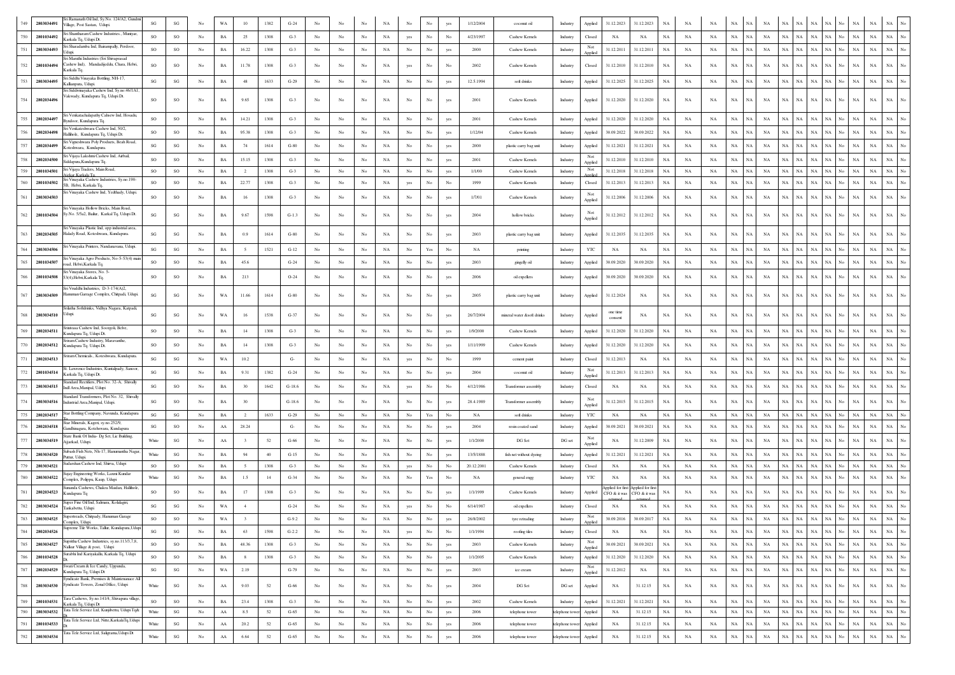| 749     | 2803034491 | Sri Ramanath Oil Ind, Sy.No. 124/A2, Gundr<br>Village, Post Sastan, Udupi.                         | SG                     | $\mathbf{S}\mathbf{G}$ | No               | WA          |                | 1382 | $G-24$   |                  |             |             | NA          |                  | No                                                                              |             | 1/12/2004  | coconut oil               | Industry       | 31.12.2023<br>Applied                | 31.12.2023<br><b>NA</b>                   | NA          |           | NA                         |                            |             |             | NA                        |                                                |
|---------|------------|----------------------------------------------------------------------------------------------------|------------------------|------------------------|------------------|-------------|----------------|------|----------|------------------|-------------|-------------|-------------|------------------|---------------------------------------------------------------------------------|-------------|------------|---------------------------|----------------|--------------------------------------|-------------------------------------------|-------------|-----------|----------------------------|----------------------------|-------------|-------------|---------------------------|------------------------------------------------|
| 750     | 2801034492 | Sri Shantharam Cashew Industries Munivar<br>Karkala Tq, Udupi Dt.                                  | <b>SO</b>              | SO                     | No               | <b>BA</b>   | 25             | 1308 | $G-3$    | No               | No          | No          | NA          | yes              | No                                                                              | No          | 4/23/1997  | Cashew Kernels            | Industry       | NA<br>Closed                         | NA<br>NA                                  | NA          | NA        | NA<br><b>NA</b>            | $_{\rm NA}$<br>NA          | NA          | $_{\rm NA}$ | NA<br>No.<br>NA           | <b>NA</b><br>NA                                |
| 751     | 2803034493 | Fri Sharadamba Ind, Bairampally, Perdoor,<br>Iduni                                                 | <b>SO</b>              | SO                     | No               | BA          | 16.22          | 1308 | $G-3$    | No               | No          | No          | NA          | No               | No                                                                              | yes         | 2000       | Cashew Kernels            | Industry       | Not<br>31.12.2011<br>Applied         | 31.12.2011<br>NA                          | NA          | NA        | NA<br>NA                   | $_{\rm NA}$                | NA NA       | $_{\rm NA}$ | $_{\rm NA}$<br>NA<br>No   | $_{\rm NA}$<br>NA<br>No                        |
| 752     | 2801034494 | Sri Maruthi Industries (Sri Shivaprasad<br>Cashew Ind), Mandadijeddu, Chara, Hebri,<br>Karkala Tq. | SO                     | SO                     | No               | $_{\rm BA}$ | 11.78          | 1308 | $G-3$    | No               | No          | No          | NA          | yes              | No                                                                              | No          | 2002       | Cashew Kernels            | Industry       | 31.12.2010<br>Closed                 | 31.12.2010<br>NA                          | NA          | NA        | $_{\rm NA}$<br>NA          | $_{\rm NA}$<br>$_{\rm NA}$ | NA          | $_{\rm NA}$ | NA<br>No<br>NA            | NA                                             |
| 753     | 2803034495 | Sri Siddhi Vinayaka Bottling, NH-17,<br>Kallianpura, Udupi.                                        | SG                     | SG                     | No               | BA          | 48             | 1633 | $G-29$   | No               | No          | No          | NA          | No               | No                                                                              |             | 12.5.1994  | soft drinks               | Industry       | Applied<br>31.12.2025                | 31.12.2025<br>NA                          | NA          | NA        | NA<br>N.                   | $_{\rm NA}$<br>NA          | NA          | $_{\rm NA}$ | No<br>NA<br>NA.           | $_{\rm NA}$<br>NA                              |
| 754     | 2802034496 | Sri Siddivinayaka Cashew Ind, Sy.no.46/1A1<br>Vakwady, Kundapura Tq, Udupi Dt.                     | <b>SO</b>              | <sub>SO</sub>          | No               | <b>BA</b>   | 9.65           | 1308 | $G-3$    | No               | No          | No          | NA          | No               | No                                                                              | yes         | 2001       | Cashew Kernels            | Industry       | 31.12.2020<br>Applied                | 31.12.2020<br><b>NA</b>                   | NA          | <b>NA</b> | NA<br>NΑ                   | NA<br>NA                   | <b>NA</b>   | $_{\rm NA}$ | NA<br>NA<br>No            | $_{\rm NA}$<br><b>NA</b>                       |
| 755     | 2802034497 | Sri Venkatachalapathy Cahsew Ind. Hosadu<br>Byndoor, Kundapura Tq.                                 | SO                     | SO                     | No               | BA          | 14.21          | 1308 | $G-3$    | No               | $_{\rm No}$ | No          | NA          | No               | No                                                                              | yes         | 2001       | Cashew Kernels            | Industry       | Applied<br>31.12.2020                | 31.12.2020<br>NA                          | NA          | NA        | NA<br><b>NA</b>            | NA<br>NA                   | <b>NA</b>   | NA          | <b>NA</b><br>No<br>NA     | NA<br>NA                                       |
| 756     | 2802034498 | Sri Venkateshwara Cashew Ind, 50/2<br>Hallihole, Kundapura Tq, Udupi Dt.                           | <b>SO</b>              | SO                     | No               | <b>BA</b>   | 95.38          | 1308 | $G-3$    | No               | No          | No          | NA          | No               | No                                                                              | yes         | 1/12/04    | Cashew Kernels            | Industry       | 30.09.2022<br>Applied                | NA<br>30.09.2022                          | NA          | <b>NA</b> | $_{\rm NA}$<br>NA          | NA<br>NA                   | NA          | <b>NA</b>   | NA<br>No.<br>NA           | $_{\rm NA}$<br>NA                              |
| 757     | 2802034499 | Sri Vigneshwara Poly Products, Beah Road<br>Koteshwara, Kundapura.                                 | SG                     | SG                     | No               | <b>BA</b>   | 74             | 1614 | $G-80$   | No               | No          | No          | NA          | No               | No                                                                              | yes         | 2000       | plastic carry bag unit    | Industry       | 31.12.2021<br>Applied                | 31.12.2021<br>NA                          | NA          | NA        | NA<br>NA                   | NA<br>NA                   | NA          | $_{\rm NA}$ | NA<br>No.<br>NA           | $_{\rm NA}$<br>$_{\rm NA}$                     |
| 758     | 2802034500 | Sri Vijaya Lakshmi Cashew Ind, Airbail,<br>Siddapura, Kundapura Tq.                                | <b>SO</b>              | <sub>SO</sub>          | No               | <b>BA</b>   | 15.15          | 1308 | $G-3$    | No               | No          | No          | NA          | No               | No                                                                              | yes         | 2001       | Cashew Kernels            | Industry       | Not<br>31.12.2010<br>Applied         | 31.12.2010<br>NA                          | NA          | NA        | NA<br>NA                   | NA                         | NA<br>NA    | <b>NA</b>   | NA<br>NA<br>No            | <b>NA</b><br>NA                                |
| 759     | 2801034501 | Sri Vijaya Traders, Main Road<br>Aiekar.Karkala Tu.                                                | <b>SO</b>              | SO                     | No               | BA          | $\overline{2}$ | 1308 | $G-3$    | $_{\mathrm{No}}$ | $_{\rm No}$ | $_{\rm No}$ | NA          | $_{\rm No}$      | No                                                                              | yes         | 1/1/00     | Cashew Kernels            | Industry       | Not<br>31.12.2018                    | 31.12.2018<br>NA                          | $_{\rm NA}$ | NA        | $_{\rm NA}$<br>NA          | NA                         | NA NA       | $_{\rm NA}$ | NA<br>NA<br>No            | $_{\rm NA}$<br>NA                              |
|         | 2801034502 | Sri Vinavaka Cashew Industries, Sv.no.190<br>5B. Hebri, Karkala Tq,                                | SO                     | SO                     | $_{\mathrm{No}}$ | BA          | 22.77          | 1308 | $G-3$    | $_{\rm No}$      | $_{\rm No}$ | No          | NA          | yes              | No                                                                              | No          | 1999       | Cashew Kernels            | Industry       | 31.12.2013<br>Closed                 | 31.12.2013<br>NA                          | $_{\rm NA}$ | NA        | $_{\rm NA}$<br>NA          | $_{\rm NA}$                | NA NA       | $_{\rm NA}$ | NA<br>No<br>NA            | $_{\rm NA}$<br>No<br><b>NA</b>                 |
| 761     | 2803034503 | Sri Vinayaka Cashew Ind, Yedthady, Udupi                                                           | <b>SO</b>              | SO                     | No               | BA          | 16             | 1308 | $G-3$    | No               | $_{\rm No}$ | No          | NA          | $_{\rm No}$      | No                                                                              | yes         | 1/7/01     | Cashew Kernels            | Industry       | Not<br>31.12.2006<br>Applied         | 31.12.2006<br>NA                          | NA          | NA        | NA<br>NA                   | $_{\rm NA}$                | NA NA       | <b>NA</b>   | $_{\rm NA}$<br>NA<br>No   | $_{\rm NA}$<br><b>NA</b>                       |
|         | 2801034504 | Sri Vinayaka Hollow Bricks, Main Road<br>Sy.No. 5/5a2, Bailur, Karkal Tq, Udupi Dt.                | $\mathbf{S}\mathbf{G}$ | $\mathbf{S}\mathbf{G}$ | No               | $_{\rm BA}$ | 9.67           | 1598 | $G-1.3$  | $_{\rm No}$      | No          | $_{\rm No}$ | NA          | $_{\rm No}$      | $_{\rm No}$                                                                     | yes         | 2004       | hollow bricks             | Industry       | Not<br>31.12.2012<br>Applied         | 31.12.2012<br>NA                          | NA          | NA        | NA<br>$_{\rm NA}$          | NA<br>$_{\rm NA}$          | $_{\rm NA}$ | $_{\rm NA}$ | $_{\rm NA}$<br>NA<br>No   | $_{\rm NA}$                                    |
| 763     | 2802034505 | Sri Vinayaka Plastic Ind, opp industrial area<br>Halady Road, Koteshwara, Kundapura                | SG                     | $\mathbf{S}\mathbf{G}$ | No               | $_{\rm BA}$ | 0.9            | 1614 | $G-80$   | No               | No          | No          | NA          | $_{\rm No}$      | $_{\rm No}$                                                                     | yes         | 2003       | plastic carry bag unit    | Industry       | 31.12.2035<br>Applied                | 31.12.2035<br>$_{\rm NA}$                 | $_{\rm NA}$ | NA        | $_{\rm NA}$<br>NA          | $_{\rm NA}$<br>NA          | <b>NA</b>   | $_{\rm NA}$ | NA<br>No<br>NA            | $_{\rm NA}$<br>$_{\rm NA}$                     |
| 764     | 2803034506 | Sri Vinayaka Printers, Nandanavana, Udupi                                                          | SG                     | $\mathbf{S}\mathbf{G}$ | No               | $_{\rm BA}$ | -5             | 1521 | $G-12$   | $_{\rm No}$      | $_{\rm No}$ | $_{\rm No}$ | NA          | $_{\rm No}$      | Yes                                                                             | $_{\rm No}$ | NA         | printing                  | Industry       | YTC<br>NA                            | NA<br>NA                                  | NA          | NA        | $_{\rm NA}$<br>Ń           | $_{\rm NA}$<br>NA          | NA          | NA          | NA<br>No<br>NA            | $_{\rm NA}$<br><b>NA</b>                       |
| 765     | 2801034507 | Sri Vinayaka Agro Products, No-5-53(4) ma<br>xad, Hebri, Karkala Tq.                               | SO                     | SO                     | No               | BA          | 45.6           |      | $G-24$   | No               | $_{\rm No}$ | No          | NA          | No               | No                                                                              | yes         | 2003       | gingelly oil              | Industry       | Applied<br>30.09.2020                | 30.09.2020<br>NA                          | NA          | NA        | NA<br>NA                   | NA<br>NA                   | NA          | NA          | <b>NA</b><br>No<br>NA     | <b>NA</b><br>NA                                |
| 766     | 2801034508 | Sri Vinavaka Stores, No. 5-<br>53(4), Hebri, Karkala Tq.                                           | <b>SO</b>              | <sub>SO</sub>          | No               | <b>BA</b>   | 213            |      | $O-24$   | No               | No          | No          | NA          | No               | No                                                                              | yes         | 2006       | oil expellers             | Industry       | 30.09.2020<br>Applied                | 30.09.2020<br>NA                          | NA          | <b>NA</b> | $_{\rm NA}$<br>NA          | NA<br>NA                   | <b>NA</b>   | NA          | NA<br>NA.<br>No           | NA<br>NA                                       |
| 767     | 2803034509 | Sri Vruddhi Industries, D-3-174(A)2<br>Hanuman Garrage Complex, Chitpadi, Udupi                    | SG                     | $\mathbf{S}\mathbf{G}$ | No               | WA          | 11.66          | 1614 | $G-80$   | No               | No          | No          | NA          | $_{\rm No}$      | $_{\rm No}$                                                                     | yes         | 2005       | plastic carry bag unit    | Industry       | 31.12.2024<br>Applied                | $_{\rm NA}$<br>NA                         | NA          | NA        | $_{\rm NA}$<br>NA          | NA<br>NA                   | NA          | $_{\rm NA}$ | NA<br>No.<br>NA           | $_{\rm NA}$<br>NA                              |
| 768     | 2803034510 | Srilatha Softdrinks, Vidhya Nagara, Katpadi<br>Udupi.                                              | SG                     | $\mathbf{S}\mathbf{G}$ | No               | WA          | 16             | 1538 | $G-37$   | No               | No          | No          | NA          | No               | $_{\rm No}$                                                                     | yes         | 26/7/2004  | mineral water &soft drink | Industry       | one time<br>Applied<br>consent       | NA<br>NA                                  | NA          | NA        | $_{\rm NA}$<br>NA          | NA<br>NA                   | $_{\rm NA}$ | NA          | NA<br>NA<br>No            | $_{\rm NA}$<br>$_{\rm NA}$                     |
| 769     | 2802034511 | Srinivasa Cashew Ind, Soorgoli, Belve,<br>Kundapura Tq, Udupi Dt.                                  | SO                     | SO                     | No               | BA          | 14             | 1308 | $G-3$    | $_{\rm No}$      | $_{\rm No}$ | $_{\rm No}$ | NA          | $_{\rm No}$      | $_{\mathrm{No}}$                                                                | yes         | 1/9/2000   | Cashew Kernels            | Industry       | 31.12.2020<br>Applied                | 31.12.2020<br>NA                          | $_{\rm NA}$ | NA        | $_{\rm NA}$<br>NA          | $_{\rm NA}$                | NA NA       | $_{\rm NA}$ | NA<br>NA<br>No            | $_{\rm NA}$<br>$_{\rm NA}$                     |
| 770     | 2802034512 | Sriram Cashew Industry, Maravanthe,<br>Kundapura Tq. Udupi Dt.                                     | SO                     | SO                     | No               | BA          | 14             | 1308 | $G-3$    | No               | No          | No          | NA          | No               | No                                                                              | yes         | 1/11/1999  | Cashew Kernels            | Industry       | Applied<br>31.12.2020                | 31.12.2020<br>NA                          | NA          | NA        | NA<br>NA                   | NA<br>NA                   | <b>NA</b>   | NA          | NA<br>No<br>NA            | NA<br>NA                                       |
| 771     | 2802034513 | Sriram Chemicals., Koteshwara, Kundapura                                                           | $\mathbf{S}\mathbf{G}$ | $\mathbf{S}\mathbf{G}$ | No               | WA          | 10.2           |      | $G-$     | No               | No          | No          | NA          | yes              | No                                                                              | No          | 1999       | cement paint              | Industry       | 31.12.2013<br>Closed                 | NA<br>NA                                  | $_{\rm NA}$ | NA        | NA<br>NA                   | NA<br>NA                   | NA          | $_{\rm NA}$ | NA<br>NA<br>No            | $_{\rm NA}$<br>$_{\rm NA}$<br>No               |
| 772     | 2801034514 | St. Lawrence Industries, Kuntalpady, Sanoo<br>Karkala Tq, Udupi Dt.                                | SG                     | SG                     | No               | BA          | 9.31           | 1382 | $G-24$   | No               | No          | No          | NA          | $_{\rm No}$      | No                                                                              | yes         | 2004       | coconut oil               | Industry       | Not<br>31.12.2013<br>Applied         | 31.12.2013<br>NA                          | NA          | NA        | NA<br><b>NA</b>            | NA<br><b>NA</b>            | NA          | NA          | NA<br>No<br>NA            | $_{\rm NA}$<br>NA<br>No                        |
| 773     | 2803034515 | Standard Rectifiers, Plot No. 32-A. Shivally<br>Indl Area, Manipal, Udup                           | SG                     | SO                     | No               | BA          | 30             | 1642 | $G-18.6$ | No               | No          | No          | NA          | yes              | No                                                                              | No          | 4/12/1986  | Transformer assembly      | Industry       | Closed<br>NA                         | NA<br>NA                                  | NA          | NA        | NA<br>NA                   | NA<br>NA                   | NA          | NA          | NA<br>No<br>NA            | $_{\rm NA}$<br>$_{\mathrm{No}}$<br>$_{\rm NA}$ |
|         | 2803034516 | Standard Transformers, Plot No. 32, Shivally<br>Industrial Area, Manipal, Udupi.                   | SG                     | SO                     | No               | BA          | 30             |      | $G-18.6$ | No               | No          | No          | NA          | $_{\rm No}$      | $_{\rm No}$                                                                     | yes         | 28.4.1989  | Transformer assembly      | Industry       | Not<br>31.12.2015<br>Applied         | 31.12.2015<br>NA                          | NA          | NA        | $_{\rm NA}$                | $_{\rm NA}$<br>NA          | $_{\rm NA}$ | $_{\rm NA}$ | <b>NA</b><br>No<br>NA     | NA<br>NA                                       |
| 775     | 2802034517 | Star Bottling Company, Navunda, Kundapun                                                           | SG                     | SG                     | No               | BA          | $\overline{2}$ | 1633 | $G-29$   | No               | No          | No          | $_{\rm NA}$ | No               | Yes                                                                             | No          | NA         | soft drinks               | Industry       | <b>YTC</b><br>NA                     | NA<br>NA                                  | NA          | NA        | NA<br><b>NA</b>            | NA                         | NA NA       | <b>NA</b>   | NA<br><b>NA</b><br>No     | $_{\rm NA}$<br>$_{\rm NA}$                     |
|         | 2802034518 | Star Minerals, Kageri, sy.no.252/9,<br>Gandhinagara, Kotehswara, Kundapura                         | $\mathbf{S}\mathbf{G}$ | SO                     | $_{\mathrm{No}}$ | AA          | 28.24          |      | $G-$     | $_{\rm No}$      | $_{\rm No}$ | $_{\rm No}$ | NA          | $_{\rm No}$      | No                                                                              | yes         | 2004       | resin coated sand         | Industry       | 30.09.2021<br>Applied                | 30.09.2021<br>NA                          | $_{\rm NA}$ | NA        | $_{\rm NA}$                | $_{\rm NA}$<br>NA          | <b>NA</b>   | $_{\rm NA}$ | <b>NA</b><br>No<br>NA     | $_{\rm NA}$<br>$_{\rm NA}$                     |
| 777     | 2803034519 | State Bank Of India- Dg Set, Lic Building,<br>Ajjarkad, Udupi.                                     | White                  | SG                     | No               | AA          |                | 52   | $G-66$   | No               | No          | No          | NA          | No               | No                                                                              | yes         | 1/1/2000   | DG Set                    | DG set         | Not<br>NA<br>Applied                 | 31.12.2009<br>NA                          | NA          | NA        | NA<br>NA                   | $_{\rm NA}$<br>NA          | <b>NA</b>   | NA          | NA<br>No<br>NA            | NA<br>NA                                       |
| 778     | 2803034520 | Subash Fish Nets, Nh-17, Hanumantha Nagar<br>Puttur, Udupi.                                        | White                  | SG                     | No               | BA          | 94             | 40   | $G-15$   | No               | No          | No          | NA          | No               | No                                                                              | yes         | 13/5/1888  | fish net without dyeing   | Industry       | Applied<br>31.12.2021                | 31.12.2021<br>NA                          | NA          | NA        | NA<br>NA                   | NA<br>NA                   | NA          | <b>NA</b>   | <b>NA</b><br>No<br>NA     | $_{\rm NA}$<br>NA<br>No                        |
| 779     | 2803034521 | Sudarshan Cashew Ind, Shirva, Udupi<br>Sujay Engineering Works, Laxmi Kundar                       | <b>SO</b>              | <sub>SO</sub>          | No               | <b>BA</b>   | -5.            | 1308 | $G-3$    | No               | No          | No          | $_{\rm NA}$ | yes              | No                                                                              | No          | 20.12.2001 | Cashew Kernels            | Industry       | Closed<br>NA                         | NA<br>NA                                  | NA          | NA        | NA<br>N.                   | NA<br>NA                   | <b>NA</b>   | NA          | NA<br>NA<br>No            | <b>NA</b><br><b>NA</b>                         |
| 780     | 2803034522 | Complex, Polippu, Kaup, Udupi<br>nanda Cashews. Chakra Maidan. Hallihole                           | White                  | $\mathbf{S}\mathbf{G}$ | No               | <b>BA</b>   | 1.5            | 14   | $G-34$   | No               | No          | No          | $_{\rm NA}$ | No               | $\operatorname*{Yes}% \left( X\right) \equiv\operatorname*{Yes}\left( X\right)$ | No          | NA         | general engg              | Industry       | <b>YTC</b><br>NA<br>Applied for firs | <b>NA</b><br><b>NA</b><br>pplied for firs | NA          | NA        | $_{\rm NA}$<br>N٨          | NA<br>NA                   | NA          | $_{\rm NA}$ | NA<br><b>NA</b><br>No.    | $_{\rm NA}$<br>NA                              |
| 781     | 2802034523 | Kundapura Tq                                                                                       | SO.                    | SO                     | No               | BA          | 17             | 1308 | $G-3$    | No               | No          | No          | NA          | $_{\rm No}$      | No                                                                              | yes         | 1/1/1999   | Cashew Kernels            | Industry       | Applied<br>CFO & it wa               | NA<br>TO & it was                         | $_{\rm NA}$ | NA        | $_{\rm NA}$<br>NA          | $_{\rm NA}$<br>NA          | NA          | $_{\rm NA}$ | NA<br>No<br>NA            | $_{\rm NA}$<br>$_{\rm NA}$                     |
| 782     | 2803034524 | Super Fine Oil Ind, Salmara, Kolalagiri<br>Tankabettu, Udupi                                       | $\mathbf{S}\mathbf{G}$ | $\mathbf{S}\mathbf{G}$ | No               | WA          |                |      | $G-24$   | No               | No          | No          | NA          | yes              | $_{\rm No}$                                                                     | No          | 6/14/1987  | oil expellers             | Industry       | Closed<br>NA                         | $_{\rm NA}$<br><b>NA</b>                  | $_{\rm NA}$ | NA        | $_{\rm NA}$<br>NA          | $_{\rm NA}$<br>NA          | NA          | $_{\rm NA}$ | <b>NA</b><br>No.<br>NA    | $_{\rm NA}$<br>$_{\rm NA}$                     |
| 783     | 2803034525 | Supertreads, Chitpady, Hanuman Garage<br>Complex, Udupi.                                           | SO                     | SO                     | $_{\mathrm{No}}$ | WA          | $\mathbf{3}$   |      | $G-9.2$  | No               | $_{\rm No}$ | $_{\rm No}$ | NA          | $_{\rm No}$      | No                                                                              | yes         | 26/8/2002  | tyre retrading            | Industry       | Not<br>30.09.2016<br>Applied         | 30.09.2017<br>NA                          | $_{\rm NA}$ | NA        | $_{\rm NA}$<br>$_{\rm NA}$ | $_{\rm NA}$<br>NA          | NA          | $_{\rm NA}$ | NA<br>No<br>$_{\rm NA}$   | $_{\rm NA}$<br>$_{\rm NA}$                     |
| 784     | 2802034526 | Supreme Tile Works, Tallur, Kundapura, Udup                                                        | SG                     | $\mathbf{S}\mathbf{G}$ | No               | BA          | 63             | 1598 | $G-2.2$  | $_{\mathrm{No}}$ | $_{\rm No}$ | $_{\rm No}$ | NA          | yes              | No                                                                              | No          | 1/1/1994   | roofing tiles             | Industry       | Closed<br>NA                         | NA<br>NA                                  | NA          | NA        | $_{\rm NA}$<br>NA          | NA                         | NA NA       | $_{\rm NA}$ | NA  <br>No<br>NA          | $_{\rm NA}$<br>$_{\mathrm{No}}$<br>$_{\rm NA}$ |
| 785     | 2803034527 | Supritha Cashew Industries, sy.no.113/3,7,8,<br>Nalkur Village & post, Udupi                       | SO                     | $_{\rm SO}$            | No               | $_{\rm BA}$ | 48.36          | 1308 | $G-3$    | No               | No          | No          | NA          | No               | $_{\rm No}$                                                                     | yes         | 2003       | Cashew Kernels            | Industry       | Not<br>30.09.2021<br>Applied         | $_{\rm NA}$<br>30.09.2021                 | NA          | NA        | NA<br><b>NA</b>            | NA                         | NA NA       | $_{\rm NA}$ | NA  <br>No<br>$_{\rm NA}$ | $_{\mathrm{No}}$<br>$_{\rm NA}$<br>$_{\rm NA}$ |
| 786     | 2801034528 | Surabhi Ind Kariyakallu, Karkala Tq, Udupi<br>Swati Cream & Ice Candy, Uppunda,                    | SO                     | SO                     | No               | BA          | 8              | 1308 | $G-3$    | $_{\mathrm{No}}$ | $_{\rm No}$ | $_{\rm No}$ | $_{\rm NA}$ | No               | $_{\mathrm{No}}$                                                                | yes         | 1/1/2005   | Cashew Kernels            | Industry       | 31.12.2020<br>Applied                | 31.12.2020<br>NA                          | NA          | NA        | NA<br>NA                   | NA                         | $NA$ $NA$   | $_{\rm NA}$ | NA No<br>$_{\rm NA}$      | $_{\mathrm{No}}$<br>$_{\rm NA}$<br>$_{\rm NA}$ |
| 787     | 2802034529 | Kundapura Tq, Udupi Dt<br>Syndicate Bank, Premises & Maintenanace All                              | $\mathbf{S}\mathbf{G}$ | $\mathbf{S}\mathbf{G}$ | No               | WA          | 2.19           |      | $G-79$   | $_{\mathrm{No}}$ | No          | No          | NA          | $_{\mathrm{No}}$ | $_{\rm No}$                                                                     | yes         | 2003       | ice cream                 | Industry       | Not<br>31.12.2012<br>Applied         | $_{\rm NA}$<br>NA                         | $_{\rm NA}$ | NA        | $_{\rm NA}$<br>NA          | $_{\rm NA}$                | NA NA       | $_{\rm NA}$ | $\rm NA-NO$<br>NA         | $_{\mathrm{No}}$<br>$_{\rm NA}$<br>$_{\rm NA}$ |
| 788     | 2803034530 | Syndicate Towers, Zonal Office, Udupi                                                              | White                  | $\mathbf{S}\mathbf{G}$ | No               | ${\rm AA}$  | 9.03           | 52   | $G-66$   | No               | $_{\rm No}$ | No          | NA          | No               | No                                                                              | yes         | 2004       | DG Set                    | DG set         | Applied<br>NA                        | 31.12.15<br>$_{\rm NA}$                   | NA          | NA        | $_{\rm NA}$<br>NA          | $_{\rm NA}$<br>NA          | NA          | $_{\rm NA}$ | NA<br>No<br>$_{\rm NA}$   | $_{\rm NA}$<br>$_{\rm NA}$<br>$_{\rm No}$      |
| 789     | 2801034531 | Tara Cashews, Sy.no.141/4, Shivapura village,<br>Karkala Tq, Udupi Dt                              | SO                     | SO                     | No               | BA          | 23.4           | 1308 | $G-3$    | $_{\rm No}$      | $_{\rm No}$ | $_{\rm No}$ | NA          | No               | No                                                                              | yes         | 2002       | Cashew Kernels            | Industry       | 31.12.2021<br>Applied                | 31.12.2021<br>NA                          | NA          | NA        | NA<br>$_{\rm NA}$          | NA                         | $NA$ $NA$   | $_{\rm NA}$ | $NA$ $No$<br>$_{\rm NA}$  | $_{\mathrm{No}}$<br>$_{\rm NA}$<br>NA          |
| 790     | 2803034532 | Tata Tele Service Ltd, Kunjibettu, Udupi Tq&<br>Tata Tele Service Ltd, Nitte, KarkalaTq, Udupi     | White                  | $\mathbf{S}\mathbf{G}$ | No               | AA          | 8.5            | 52   | $G-65$   | No               | No          | No          | NA          | No               | No                                                                              | yes         | 2006       | telephone tower           | telephone towe | Applied<br>NA                        | NA<br>31.12.15                            | NA          | <b>NA</b> | NA<br><b>NA</b>            | NA                         | NA NA       | $_{\rm NA}$ | NA<br>NA<br>No            | $_{\rm No}$<br>NA<br>NA                        |
| 791     | 2801034533 | Tata Tele Service Ltd, Saligrama, Udupi Dt                                                         | White                  | $\mathbf{S}\mathbf{G}$ | No               | ${\bf AA}$  | 20.2           | 52   | $G-65$   | No               | $_{\rm No}$ | $_{\rm No}$ | NA          | $_{\rm No}$      | No                                                                              | yes         | 2006       | telephone tower           | elephone towe  | NA<br>Applied                        | 31.12.15<br>NA                            | NA          | NA        | $_{\rm NA}$<br>NA          | NA<br>$_{\rm NA}$          | $_{\rm NA}$ | $_{\rm NA}$ | $_{\rm NA}$<br>NA<br>No   | $_{\rm NA}$<br>$_{\mathrm{No}}$<br>$_{\rm NA}$ |
| $792\,$ | 2803034534 |                                                                                                    | White                  | $\mathbf{SG}$          | $_{\mathrm{No}}$ | AA          | 6.64           | 52   | $G-65$   | $_{\mathrm{No}}$ | $_{\rm No}$ | $_{\rm No}$ | $_{\rm NA}$ | $_{\rm No}$      | $_{\mathrm{No}}$                                                                | yes         | 2006       | telephone tower           | elephone tower | $_{\rm NA}$<br>Applied               | 31.12.15<br>$_{\rm NA}$                   | $_{\rm NA}$ | NA        | $_{\rm NA}$<br>N/          | $_{\rm NA}$<br>$_{\rm NA}$ | $_{\rm NA}$ | $_{\rm NA}$ | $_{\rm NA}$<br>No<br>NA   | $_{\rm NA}$<br>No<br>$_{\rm NA}$               |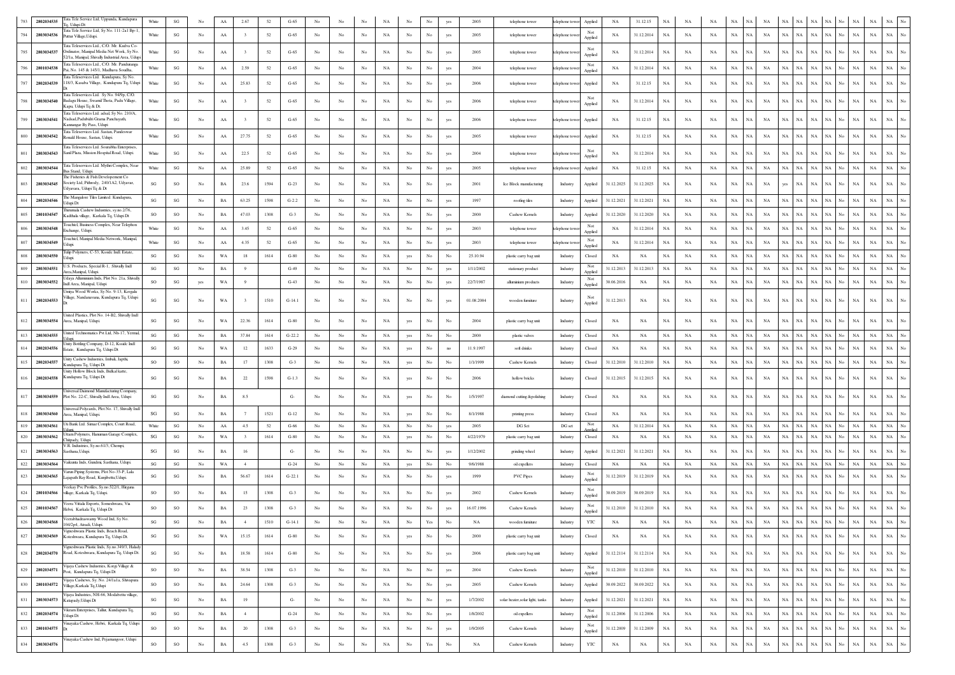|     | 2802034535 | Tata Tele Service Ltd, Uppunda, Kundapura                                                    | White                  | $\mathbf{S}\mathbf{G}$ |                | AA          | 2.67          | 52   | $G-65$   | No               |                  |                  |             |                  |                      |                  | 2005       | telephone tower                  | telephone tower | Applied        | NA          | 31.12.15    | <b>NA</b>   | NA          |             |             |                            |             |                   |             |                   | NA          | NA          | $_{\rm NA}$ | No               |
|-----|------------|----------------------------------------------------------------------------------------------|------------------------|------------------------|----------------|-------------|---------------|------|----------|------------------|------------------|------------------|-------------|------------------|----------------------|------------------|------------|----------------------------------|-----------------|----------------|-------------|-------------|-------------|-------------|-------------|-------------|----------------------------|-------------|-------------------|-------------|-------------------|-------------|-------------|-------------|------------------|
|     | 2803034536 | 1. Udupi Dt<br>Tata Tele Service Ltd, Sy No. 111-2a1 Bp-1                                    | White                  | SG                     | No             | AA          |               | 52   | $G-65$   | No               | No               | No               | NA          | No               | No                   | yes              | 2005       | telephone tower                  | telephone tow   | Not            | NA          | 31.12.2014  | <b>NA</b>   | NA          | <b>NA</b>   | NA          | NA<br>NA                   | <b>NA</b>   | NA                | <b>NA</b>   | NA                | $_{\rm NA}$ | $_{\rm NA}$ | $_{\rm NA}$ | No               |
|     |            | Puttur Village, Udupi.<br>Tata Teleservices Ltd., C/O. Mr. Kudva Co                          |                        |                        |                |             |               |      |          |                  |                  |                  |             |                  |                      |                  |            |                                  |                 | Applied        |             |             |             |             |             |             |                            |             |                   |             |                   |             |             |             |                  |
|     | 2803034537 | Irdinator, Manipal Media Net Work, Sy No.<br>52/1 a. Manipal, Shivally Industrial Area, Udur | White                  | SG                     | No             | AA          |               | 52   | $G-65$   | No               | No               | No               | NA          | No               |                      | yes              | 2005       | telephone tower                  | telephone tow   | Applied        | NA          | 31.12.2014  | <b>NA</b>   | NA          | NA          | NA          | NA<br>NA                   | NA          | NA                | <b>NA</b>   | NA                | <b>NA</b>   | $_{\rm NA}$ | NA          | No               |
|     | 2801034538 | Tata Teleservices Ltd., C/O. Mr. Panduranga<br>Pai, No. 145 & 145/1, Madhava Soudha          | White                  | SG                     | No             | ${\rm AA}$  | 2.59          | 52   | $G-65$   | No               | No               | No               | NA          | No               | No                   | yes              | 2004       | telephone tower                  | elephone toy    | Not<br>Applied | $_{\rm NA}$ | 31.12.2014  | NA          | NA          | NA          | NA          | NA<br>NA                   | NA          | NA                | NA          | NA<br>N٥          | NA          | NA          | $_{\rm NA}$ |                  |
|     | 2802034539 | Esta Teleservices Ltd Kundanura, Sv No<br>118/3, Kasaba Village, Kundapura Tq, Udupi         | White                  | $\mathbf{S}\mathbf{G}$ | No             | AA          | 25.83         | 52   | $G-65$   | No               | No               | No               | NA          | No               | No                   | yes              | 2006       | telephone tower                  | telephone towe  | Applied        | NA          | 31.12.15    | $_{\rm NA}$ | NA          | NA          | $_{\rm NA}$ | NA<br>NA                   | NA          | NA                | $_{\rm NA}$ | NA<br>No          | $_{\rm NA}$ | $_{\rm NA}$ | NA          | No               |
|     |            | Tata Teleservices Ltd. Sy No. 94/9p, C/O                                                     |                        |                        |                |             |               |      |          |                  |                  |                  |             |                  |                      |                  |            |                                  |                 |                |             |             |             |             |             |             |                            |             |                   |             |                   |             |             |             |                  |
|     | 2803034540 | adagu House, Swamil Thota, Padu Village,<br>Kapu, Udupi Tq & Dt.                             | White                  | SG                     | No             | AA          |               | 52   | $G-65$   | No               | No               | No               | NA          | No               | No                   | yes              | 2006       | telephone tower                  | telephone tow   | Not<br>Applied | ΝA          | 31.12.2014  | NA          | ΝA          | NA          | NA          | NA<br>NA                   | NA          | NA                | NA          | NA                | NA          | $_{\rm NA}$ | $_{\rm NA}$ | No               |
|     | 2803034541 | Tata Teleservices Ltd. adsal, Sy No. 210/A.<br>Nadsad, Padubidri Grama Panchayath,           | White                  | $\mathbf{S}\mathbf{G}$ | No             | AA          |               | 52   | $G-65$   | No               | No               | No               | $_{\rm NA}$ | No               |                      | yes              | 2006       | telephone tower                  | telephone towe  | Applied        | NA          | 31.12.15    | NA          | NA          | NA          | NA          | NA<br>NA                   | NA          | ŃА                | NA          |                   | $_{\rm NA}$ | $_{\rm NA}$ | $_{\rm NA}$ |                  |
|     |            | Kannangar By Pass, Udupi<br>Tata Teleservices Ltd. Sastan, Pandeswa                          |                        |                        |                |             |               |      |          |                  |                  |                  |             |                  |                      |                  |            |                                  |                 |                |             |             |             |             |             |             |                            |             |                   |             |                   |             |             |             |                  |
|     | 2803034542 | Ronald House, Sastan, Udupi,<br>lata Teleservices Ltd. Sourabha Enterprise                   | White                  | SG                     | No             | AA          | 27.75         | 52   | $G-65$   | No               | No               | $_{\rm No}$      | $_{\rm NA}$ | $_{\rm No}$      |                      | yes              | 2005       | telephone tower                  | telephone towe  | Applied        | NA          | 31.12.15    | NA          | NA          | NA          | NA          | NA<br>NA                   | $_{\rm NA}$ |                   | NA          |                   | $_{\rm NA}$ | $_{\rm NA}$ | NA          |                  |
| 801 | 2803034543 | Sanil Plaza, Mission Hospital Road, Udupi.                                                   | White                  | $\mathbf{S}\mathbf{G}$ | No             | AA          | 22.5          | 52   | $G-65$   | No               | No               | No               | $_{\rm NA}$ | No               | No                   | yes              | 2004       | telephone tower                  | telephone tow   | Not<br>Applied | NA          | 31.12.2014  | $_{\rm NA}$ | NA          | NA          | $_{\rm NA}$ | $_{\rm NA}$<br>NA          | <b>NA</b>   | NA                | NA          | No.               | $_{\rm NA}$ | $_{\rm NA}$ | <b>NA</b>   |                  |
| 802 | 2803034544 | Tata Teleservices Ltd. Mythri Complex, Nea<br>us Stand, Udupi                                | White                  | $\mathbf{SG}$          | No             | AA          | 25.89         | 52   | $G-65$   | No               | No               | No               | NA          | No               | No                   | yes              | 2005       | telephone tower                  | telephone towe  | Applied        | NA          | 31.12.15    | NA          | NA          | NA          | $_{\rm NA}$ | <b>NA</b><br>NA            |             | NA                | <b>NA</b>   |                   | NA          | NA          | NA          |                  |
| 803 | 2803034545 | The Fisheries & Fish Developement Co<br>Society Ltd, Pithrody, 240/1A2, Udyavar,             | SG                     | SO                     | No             | BA          | 23.6          | 1594 | $G-23$   | No               | No               | No               | NA          | No               |                      | yes              | 2001       | Ice Block manufacturing          | Industry        | Applied        | 31.12.2025  | 31.12.2025  | NA          | NA          | NA          | NA          | NA<br>NA                   | yes         | ŃА                | $_{\rm NA}$ |                   | $_{\rm NA}$ | $_{\rm NA}$ | $_{\rm NA}$ |                  |
|     |            | Udyavara, Udupi Tq & Dt<br>The Mangalore Tiles Limited. Kundapura,                           |                        |                        |                |             |               |      |          |                  |                  |                  |             |                  |                      |                  |            |                                  |                 |                |             |             |             |             |             |             |                            |             |                   |             |                   |             |             |             |                  |
| 804 | 2802034546 | Udupi Dt<br>hirumala Cashew Industries, sy.no.2/76                                           | SG                     | $\mathbf{S}\mathbf{G}$ | No             | BA          | 63.25         | 1598 | $G-2.2$  | No               | No               | No               | NA          | No               | No                   | yes              | 1997       | roofing tiles                    | Industry        | Applied        | 31.12.2021  | 31.12.2021  | NA          | NA          | NA          | NA          | NA<br>NA                   | NA          | NA                | NA          |                   | $_{\rm NA}$ | $_{\rm NA}$ | $_{\rm NA}$ |                  |
| 805 | 2801034547 | Kadthala village, Karkala Tq, Udupi Dt<br>ouchtel, Business Complex, Near Telephon           | SO                     | SO                     | No             | BA          | 47.03         | 1308 | $G-3$    | No               | No               | No               | $_{\rm NA}$ | No               | No                   | yes              | 2000       | Cashew Kernels                   | Industry        | Applied        | 31.12.2020  | 31.12.2020  | NA          | NA          | $_{\rm NA}$ | NA          | NA<br>$_{\rm NA}$          | NA          | NA                | NA          | NA<br>No          | $_{\rm NA}$ | $_{\rm NA}$ | NA          |                  |
|     | 2803034548 | Exchange, Udupi.                                                                             | White                  | SG                     | No             | AA          | 3.45          | 52   | $G-65$   | No               | No               | No               | NA          | No               | No                   | yes              | 2003       | telephone tower                  | elephone tow    | Not<br>Applied | NA          | 31.12.2014  | NA          | NA          | NA          | NA          | NA<br>NA                   | NA          | NA                | NA          |                   | NA          | $_{\rm NA}$ | $_{\rm NA}$ |                  |
|     | 2803034549 | ouchtel, Manipal Media Network, Manipa<br>duni                                               | White                  | $\mathbf{S}\mathbf{G}$ | No             | AA          | 4.35          | 52   | $G-65$   | No               | No               | No               | NA          | No               | No                   | yes              | 2003       | telephone tower                  | elephone tow    | Not<br>Applied | NA          | 31.12.2014  | NA          | NA          | NA          | NA          | NA<br>NA                   | NA          | NA                | NA          |                   | $_{\rm NA}$ | $_{\rm NA}$ | $_{\rm NA}$ | No               |
| 808 | 2803034550 | fulio Polymers, C-53, Ksside Indl. Estate.                                                   | SG                     | $\mathbf{S}\mathbf{G}$ | No             | WA          | 18            | 1614 | $G-80$   | No               | No               | No               | NA          | yes              | No                   | No               | 25.10.94   | plastic carry bag unit           | Industry        | Closed         | NA          | NA          | <b>NA</b>   | NA          | NA          | NA          | NA<br>NA                   | <b>NA</b>   | NA                | NA          |                   | $_{\rm NA}$ | $_{\rm NA}$ | $_{\rm NA}$ | No               |
|     | 2803034551 | .S. Products, Special R-1, Shivally Indl<br>rea, Manipal, Udupi                              | SG                     | $\mathbf{S}\mathbf{G}$ | No             | BA          | 9             |      | $G-49$   | No               | No               | No               | NA          | No               | No                   | yes              | 1/11/2002  | stationary product               | Industry        | Not<br>Applied | 31.12.2013  | 31.12.2013  | NA          | NA          | NA          | NA          | NA<br>NA                   | NA          | NA                | NA          |                   | $_{\rm NA}$ | $_{\rm NA}$ | NA          |                  |
| 810 | 2803034552 | Jdaya Alluminium Inds, Plot No. 21a, Shivally<br>Indl Area, Manipal, Udupi                   | <b>SO</b>              | SG                     | yes            | WA          | 9             |      | $G-43$   | No               | No               | No               | NA          | No               | No                   | yes              | 22/7/1987  | alluminium products              | Industry        | Not<br>Applied | 30.06.2016  | NA          | NA          | NA          | NA          | $_{\rm NA}$ | NA<br>NA                   | NA          | $_{\rm NA}$       | $_{\rm NA}$ | NA<br>No          | $_{\rm NA}$ | $_{\rm NA}$ | $_{\rm NA}$ |                  |
| 811 | 2802034553 | Umiya Wood Works, Sy No. 9-13, Kergalu<br>Village, Nandanavana, Kundapura Tq, Udupi          | SG                     | SG                     | No             | WA          |               | 1510 | $G-14.1$ | No               | No               | No               | NA          | No               | No                   | yes              | 01.08.2004 | wooden furniture                 | Industry        |                | 31.12.2013  | NA          | <b>NA</b>   | ΝA          | NA          | NA          | NA<br>NA                   | NA          | ŃА                | NA          |                   | NA          | NA          | NA          |                  |
|     |            |                                                                                              |                        |                        |                |             |               |      |          |                  |                  |                  |             |                  |                      |                  |            |                                  |                 | Applied        |             |             |             |             |             |             |                            |             |                   |             |                   |             |             |             |                  |
| 812 | 2803034554 | United Plastics, Plot No. 14-B2, Shivally Indl<br>Area, Manipal, Udupi.                      | SG                     | SG                     | No             | WA          | 22.36         | 1614 | $G-80$   | No               | No               | No               | NA          | yes              | No                   | No               | 2004       | plastic carry bag unit           | Industry        | Closed         | NA          | NA          | NA          | NA          | NA          | NA          | NA<br>NA                   | NA          | ٧A                | NA          |                   | NA          | NA          | NA          |                  |
| 813 | 2803034555 | United Technomatics Pvt Ltd, Nh-17, Yerma                                                    | $\mathbf{S}\mathbf{G}$ | SG                     | No             | $_{\rm BA}$ | 37.84         | 1614 | $G-22.2$ | No               | No               | $_{\rm No}$      | $_{\rm NA}$ | yes              | $_{\rm No}$          | No               | 2000       | plastic valves                   | Industry        | Closed         | NA          | NA          | NA          | NA          | NA          | $_{\rm NA}$ | NA<br>NA                   | $_{\rm NA}$ | NA                | NA          | NA<br>No.         | NA          | NA          | NA          | No               |
| 814 | 2802034556 | Jnity Bottling Company, D-12, Ksside Indl<br>state, Kundapura Tq, Udupi Dt                   | SG                     | SG                     | No             | WA          | 12            | 1633 | $G-29$   | No               | No               | No               | NA          | yes              | No                   |                  | 11.9.1997  | soft drinks                      | Industry        | Closed         | NA          | NA          | NA          | NA          | NA          | NA          | NA<br>NA                   | NA          | NA                | NA          | NA<br>No          | NA          | NA          | $_{\rm NA}$ | No               |
| 815 | 2802034557 | Unity Cashew Industries, Imbali, Japthi,<br>Kundapura Tq, Udupi Dt                           | SO                     | SO                     | No             | BA          | 17            | 1308 | $G-3$    | No               | No               | No               | NA          | yes              | No                   | No               | 1/1/1999   | Cashew Kernels                   | Industry        | Closed         | 31.12.2010  | 31.12.2010  | NA          | NA          | NA          | NA          | <b>NA</b><br>NA            | NA          | NA                | $_{\rm NA}$ | NA<br>No          | $_{\rm NA}$ | $_{\rm NA}$ | $_{\rm NA}$ | No               |
| 816 | 2802034558 | Jnity Hollow Block Inds, Bidkal katte,<br>Kundapura Tq, Udupi Dt                             | $\mathbf{S}\mathbf{G}$ | SG                     | N <sub>0</sub> | $_{\rm BA}$ | 22            | 1598 | $G-1.3$  | No               | No               | No               | NA          |                  | No                   | No               | 2006       | hollow bricks                    | Industry        | Closed         | 31.12.2015  | 31.12.2015  | NA          | NA          | NA          | $_{\rm NA}$ | NA<br>NA.                  | NA          | NA                | NA          | NA                | $_{\rm NA}$ | $_{\rm NA}$ | $_{\rm NA}$ |                  |
|     |            |                                                                                              |                        |                        |                |             |               |      |          |                  |                  |                  |             | yes              |                      |                  |            |                                  |                 |                |             |             |             |             |             |             |                            |             |                   |             |                   |             |             |             |                  |
| 817 | 2803034559 | niversal Daimond Manufacturing Company<br>Plot No. 22-C, Shivally Indl Area, Udupi           | SG                     | $\mathbf{S}\mathbf{G}$ | No             | $_{\rm BA}$ | 8.5           |      | G-       | No               | No               | No               | $_{\rm NA}$ | yes              | No                   | No               | 1/5/1997   | diamond cutting &polishing       | Industry        | Closed         | NA          | NA          | $_{\rm NA}$ | NA          | NA          | $_{\rm NA}$ | <b>NA</b><br>NA            | NA          | NA                | $_{\rm NA}$ | NA<br>No.         | $_{\rm NA}$ | $_{\rm NA}$ | $_{\rm NA}$ | No               |
| 818 | 2803034560 | Iniversal Polycards, Plot No. 17, Shivally Inc<br>Area, Manipal, Udupi.                      | SG                     | $\mathbf{S}\mathbf{G}$ | No             | $_{\rm BA}$ |               | 1521 | $G-12$   |                  |                  | No               | NA          | yes              | No                   |                  | 8/1/1988   | printing press                   | Industry        | Closed         | NA          | NA          | $_{\rm NA}$ | NA          | $_{\rm NA}$ | $_{\rm NA}$ | NA<br>NA                   | NA          | NA                | NA          | NA.<br>No.        | $_{\rm NA}$ | $_{\rm NA}$ | NA          | No               |
| 819 | 2803034561 | Uti Bank Ltd. Simaz Complex, Court Road                                                      | White                  | SG                     | No             | AA          | 4.5           | 52   | $G-66$   | No               | No               | No               | <b>NA</b>   | No               | No                   | yes              | 2005       | DG Set                           | DG set          | Not            | NA          | 31.12.2014  | NA          | NA          | NA          | <b>NA</b>   | <b>NA</b><br>NA            | NA          | NA.               | <b>NA</b>   | NA                | NA          | $_{\rm NA}$ | NA          | No               |
| 820 | 2803034562 | ttam Polymers, Hanuman Garage Complex<br>Chitpady, Udupi.                                    | SG                     | SG                     | No             | WA          | $\mathcal{R}$ | 1614 | $G-80$   | No               | No               | No               | NA          | yes              | No                   | No               | 4/22/1979  | plastic carry bag unit           | Industry        | Closed         | NA          | NA          | NA          | NA          | NA          | NA          | NA<br>NA                   | NA          | NA                | NA          | NA<br>No          | $_{\rm NA}$ | $_{\rm NA}$ | $_{\rm NA}$ | No               |
| 821 | 2803034563 | /.R. Industries, Sy.no.61/3, Chempi,<br>Sasthana, Udupi.                                     | SG                     | $\mathbf{S}\mathbf{G}$ | No             | $_{\rm BA}$ | 16            |      | G-       | No               |                  | No               | NA          | No               | No                   | yes              | 1/12/2002  | grinding wheel                   | Industry        | Applied        | 31.12.2021  | 31.12.2021  | $_{\rm NA}$ | NA          | $_{\rm NA}$ | $_{\rm NA}$ | <b>NA</b><br>NA            |             | NA<br>NA          | $_{\rm NA}$ | NA<br>No.         | $_{\rm NA}$ | $_{\rm NA}$ | $_{\rm NA}$ | No               |
| 822 | 2803034564 | Vaikunta Inds, Gundmi, Sasthana, Udup                                                        | SG                     | SG                     | No             | WA          | $\cdot$ 4     |      | $G-24$   | No               | No               | No               | NA          | yes              | No                   | $_{\rm No}$      | 9/6/1988   | oil expellers                    | Industry        | Closed         | NA          | NA          | NA          | NA          | NA          | NA          | $_{\rm NA}$<br>NA          | NA          | NA                | $_{\rm NA}$ | NA<br>No          | NA          | $_{\rm NA}$ | $_{\rm NA}$ | No               |
| 823 | 2803034565 | Jarun Piping Systems, Plot No-35-P, Lak<br>Lajapath Ray Road, Kunjibettu, Udupi.             | SG                     | $\mathbf{S}\mathbf{G}$ | No             | BA          | 56.67         | 1614 | $G-22.1$ | No               | No               | No               | NA          | No               |                      | yes              | 1999       | PVC Pipes                        | Industry        | Not<br>Applied | 31.12.2019  | 31.12.2019  | $_{\rm NA}$ | NA          | $_{\rm NA}$ | NA          | NA<br>NA                   | $_{\rm NA}$ | NA                | NA          |                   | $_{\rm NA}$ | $_{\rm NA}$ | NA          |                  |
| 824 | 2801034566 | 'eekay Pvc Profiles, Sy.no.522/1, Hirgan<br>village, Karkala Tq, Udupi.                      | <b>SO</b>              | SO                     | No             | BA          | 15            | 1308 | $G-3$    | No               | No               | No               | NA          | No               | No                   | yes              | 2002       | Cashew Kernels                   | Industry        |                | 30.09.2019  | 30.09.2019  | NA          | NA          | NA          | $_{\rm NA}$ | NA<br>NA                   | NA          | NA                | <b>NA</b>   | NA<br>No          | $_{\rm NA}$ | $_{\rm NA}$ | $_{\rm NA}$ | No               |
|     |            | 'eera Vittala Exports, Someshwara, Via                                                       |                        |                        |                |             |               |      |          |                  |                  |                  |             |                  |                      |                  |            |                                  |                 | Applied        |             |             |             |             |             |             |                            |             |                   |             |                   |             |             |             |                  |
| 825 | 2801034567 | Hebri, Karkala Tq, Udupi Dt<br>Veerabhadraswamy Wood Ind, Sy No.                             | SO                     | SO                     | No             | BA          | 23            | 1308 | $G-3$    |                  |                  | No               | NA          | No               |                      |                  | 16.07.1996 | Cashew Kernels                   | Industry        | Applied        | 31.12.2010  | 31.12.2010  | NA          | NA          | NA          | NA          | NA<br>NA                   | NA          | NA                | NA          | NA                | $_{\rm NA}$ | NA          | NA          |                  |
| 826 | 2803034568 | 104/2p4, Atradi, Udupi<br>Vigneshwara Plastic Inds, Beach Road,                              | $\mathbf{SG}$          | $_{\rm SG}$            | No             | BA          |               | 1510 | $G-14.1$ | No               | No               | No               | <b>NA</b>   | No               | Yes                  | No               | NA         | wooden furniture                 | Industry        | YTC            | NA          | NA          | NA          | <b>NA</b>   | <b>NA</b>   | NA          | NA                         | NA          |                   | NA          | No                | $_{\rm NA}$ | $_{\rm NA}$ | $_{\rm NA}$ |                  |
| 827 | 2803034569 | Koteshwara, Kundapura Tq, Udupi Dt.                                                          | $\mathbf{S}\mathbf{G}$ | $\mathbf{S}\mathbf{G}$ | No             | WA          | 15.15         | 1614 | $G-80$   | $_{\mathrm{No}}$ | $_{\rm No}$      | $_{\rm No}$      | $_{\rm NA}$ | yes              | $_{\rm No}$          | $_{\mathrm{No}}$ | 2000       | plastic carry bag unit           | Industry        | Closed         | NA          | NA          | NA          | NA          | $_{\rm NA}$ | $_{\rm NA}$ | $_{\rm NA}$<br>$_{\rm NA}$ |             | NA<br>$_{\rm NA}$ | $_{\rm NA}$ | $_{\rm NA}$<br>No | $_{\rm NA}$ | $_{\rm NA}$ | NA          | $_{\mathrm{No}}$ |
| 828 | 2802034570 | Vigneshwara Plastic Inds, Sy.no.349/3, Halady<br>Road, Koteshwara, Kundapura Tq, Udupi Dt.   | SG                     | $\mathbf{S}\mathbf{G}$ | No             | $_{\rm BA}$ | 18.58         | 1614 | $G-80$   | No               | No               | $_{\rm No}$      | NA          | $_{\rm No}$      | No                   | yes              | 2006       | plastic carry bag unit           | Industry        | Applied        | 31.12.2114  | 31.12.2114  | $_{\rm NA}$ | NA          | NA          | $_{\rm NA}$ | NA<br>NA                   | $_{\rm NA}$ | NA                | $_{\rm NA}$ | $_{\rm NA}$<br>No | $_{\rm NA}$ | $_{\rm NA}$ | $_{\rm NA}$ | $_{\rm No}$      |
| 829 | 2802034571 | Vijaya Cashew Industries, Korgi Village &                                                    | SO                     | SO                     | No             | $_{\rm BA}$ | 38.54         | 1308 | $G-3$    | $_{\rm No}$      | No               | $_{\rm No}$      | $_{\rm NA}$ | $_{\rm No}$      | $_{\mathrm{No}}$     | yes              | 2004       | Cashew Kernels                   | Industry        | $\rm Not$      | 31.12.2010  | 31.12.2010  | NA          | NA          | NA          | $_{\rm NA}$ | NA<br>NA                   |             | NA  <br>NA        | $_{\rm NA}$ | NA<br>No          | NA          | NA          | NA          | $_{\mathrm{No}}$ |
| 830 | 2801034572 | Post, Kundapura Tq, Udupi Dt<br>/ijaya Cashews, Sy. No. 24/1a1a, Shivapura                   | $\rm SO$               |                        |                |             |               |      |          |                  |                  |                  |             |                  | $_{\rm No}$          |                  | 2005       |                                  |                 | Applied        | 30.09.2022  | 30.09.2022  |             |             |             | $_{\rm NA}$ | NA                         |             | NA<br>NA          | $_{\rm NA}$ | $_{\rm NA}$<br>No | $_{\rm NA}$ | $_{\rm NA}$ | $_{\rm NA}$ | $_{\mathrm{No}}$ |
|     |            | Village, Karkala Tq, Udupi<br>Vijaya Industries, NH-66, Modabettu village.                   |                        | $_{\rm SO}$            | No             | $_{\rm BA}$ | 24.64         | 1308 | $G-3$    | $_{\mathrm{No}}$ | No               | $_{\rm No}$      | $_{\rm NA}$ | $_{\mathrm{No}}$ |                      | yes              |            | Cashew Kernels                   | Industry        | Applied        |             |             | NA          | $_{\rm NA}$ | NA          |             | NA                         |             |                   |             |                   |             |             |             |                  |
| 831 | 2803034573 | Katapady, Udupi Dt                                                                           | $\mathbf{S}\mathbf{G}$ | $\mathbf{S}\mathbf{G}$ | No             | $_{\rm BA}$ | 19            |      | $G-$     | No               | No               | $_{\rm No}$      | $_{\rm NA}$ | $_{\rm No}$      | $_{\rm No}$          | yes              | 1/7/2002   | solar heater, solar light, tanks | Industry        | Applied        | 31.12.2021  | 31.12.2021  | NA          | NA          | NA          | NA          | NA<br>NA                   | $_{\rm NA}$ | NA                | $_{\rm NA}$ | NA<br>No.         | $_{\rm NA}$ | $_{\rm NA}$ | $_{\rm NA}$ | $_{\rm No}$      |
| 832 | 2802034574 | Vikram Enterprises, Tallur, Kundapura Tq,<br>Udupi Dt                                        | $\mathbf{S}\mathbf{G}$ | $\mathbf{SG}$          | $_{\rm No}$    | $_{\rm BA}$ | 4             |      | $G-24$   | $_{\mathrm{No}}$ | No               | $_{\rm No}$      | $_{\rm NA}$ | $_{\mathrm{No}}$ | $_{\rm No}$          | yes              | 1/8/2002   | oil expellers                    | Industry        | Not<br>Applied | 31.12.2006  | 31.12.2006  | $_{\rm NA}$ | $_{\rm NA}$ | $_{\rm NA}$ | $_{\rm NA}$ | $_{\rm NA}$<br>$_{\rm NA}$ |             | NA<br>$_{\rm NA}$ | $_{\rm NA}$ | $_{\rm NA}$<br>No | $_{\rm NA}$ | $_{\rm NA}$ | $_{\rm NA}$ | $_{\rm No}$      |
| 833 | 2801034575 | /inayaka Cashew, Hebri, Karkala Tq, Udupi<br>IDr                                             | SO                     | $\rm SO$               | No             | $_{\rm BA}$ | $20\,$        | 1308 | $G-3$    | No               | No               | $_{\rm No}$      | $_{\rm NA}$ | $_{\rm No}$      | No                   | yes              | 1/9/2005   | Cashew Kernels                   | Industry        | Not<br>Applied | 31.12.2009  | 31.12.2009  | $_{\rm NA}$ | NA          | NA          | $_{\rm NA}$ | $_{\rm NA}$<br>NA          |             | NA<br>$_{\rm NA}$ | $_{\rm NA}$ | $_{\rm NA}$<br>No | $_{\rm NA}$ | $_{\rm NA}$ | $_{\rm NA}$ | $_{\mathrm{No}}$ |
| 834 | 2803034576 | Vinayaka Cashew Ind, Pejamangoor, Udupi                                                      | SO                     | $_{\rm SO}$            | No             | $_{\rm BA}$ | 4.5           | 1308 | $G-3$    | $_{\mathrm{No}}$ | $_{\mathrm{No}}$ | $_{\mathrm{No}}$ | $_{\rm NA}$ | $_{\rm No}$      | $\operatorname{Yes}$ | $_{\rm No}$      | NA         | Cashew Kernels                   | Industry        | YTC            | $_{\rm NA}$ | $_{\rm NA}$ | $_{\rm NA}$ | $_{\rm NA}$ | $_{\rm NA}$ | $_{\rm NA}$ | $_{\rm NA}$<br>$_{\rm NA}$ |             | NA<br>$_{\rm NA}$ | $_{\rm NA}$ | $_{\rm NA}$<br>No | $_{\rm NA}$ | $_{\rm NA}$ | $_{\rm NA}$ | $_{\mathrm{No}}$ |
|     |            |                                                                                              |                        |                        |                |             |               |      |          |                  |                  |                  |             |                  |                      |                  |            |                                  |                 |                |             |             |             |             |             |             |                            |             |                   |             |                   |             |             |             |                  |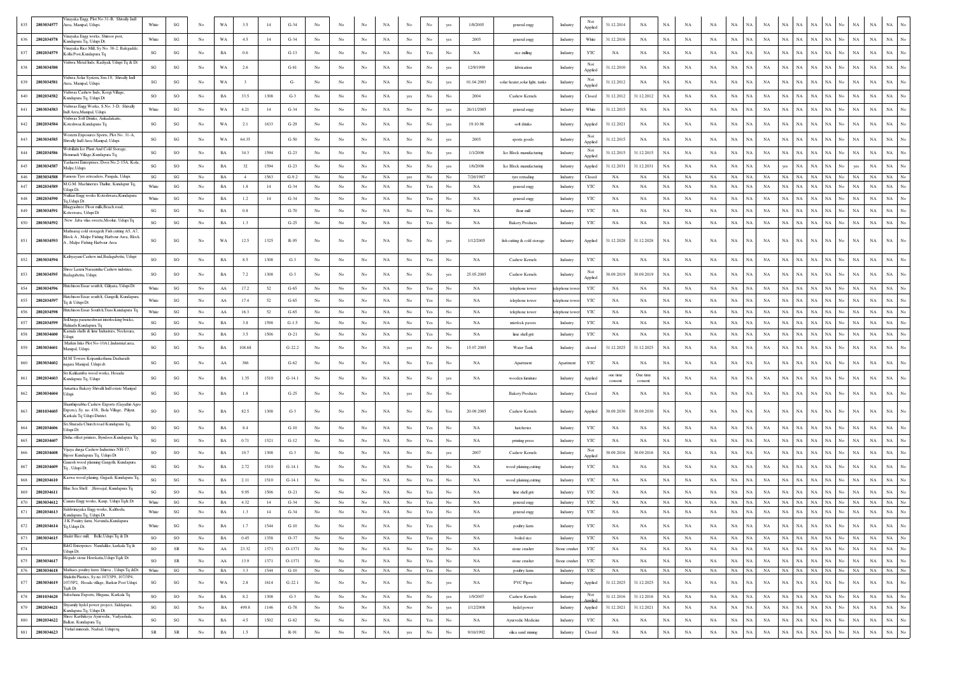| 2803034577<br>835 | inayaka Engg. Plot No 31-B, Shivally Indl<br>trea, Manipal, Udupi                                                        | White                  | $\mathbf{SG}$          | No               | WA          | 3.5            | 14   | $G-34$   | No               |                  |                  | NA          | No               | No                                                                                    | yes              | 1/8/2005   | general engg                     | Industry      | Not<br>Applied            | 31.12.2014          | $_{\rm NA}$         | NA          | NA          | NA          | $_{\rm NA}$ | NA          | NA          | NA<br>NA                                     | NA          | NA                                | NA<br>NA                                       |
|-------------------|--------------------------------------------------------------------------------------------------------------------------|------------------------|------------------------|------------------|-------------|----------------|------|----------|------------------|------------------|------------------|-------------|------------------|---------------------------------------------------------------------------------------|------------------|------------|----------------------------------|---------------|---------------------------|---------------------|---------------------|-------------|-------------|-------------|-------------|-------------|-------------|----------------------------------------------|-------------|-----------------------------------|------------------------------------------------|
| 836<br>2802034578 | 'inayaka Engg works, Shiroor post,<br>undapura Tq, Udupi Dt.                                                             | White                  | SG                     | No               | WA          | 4.5            | 14   | $G-34$   | No               | No               | No               | NA          | No               | No                                                                                    | yes              | 2005       | general engg                     | Industry      | White                     | 31.12.2016          | NA                  | NA          | NA          | NA          | $_{\rm NA}$ | <b>NA</b>   | $_{\rm NA}$ | NA<br>NA                                     | $_{\rm NA}$ | $_{\rm NA}$<br><b>NA</b><br>No    | $_{\rm NA}$<br>NA                              |
| 837<br>2802034579 | inayaka Rice Mill, Sy No. 38-2, Balegadde<br>Kollu Post.Kundapura To                                                     | $\mathbf{S}\mathbf{G}$ | $\mathbf{S}\mathbf{G}$ | No               | BA          | 0.6            |      | $G-13$   | No               | No               | $_{\rm No}$      | $_{\rm NA}$ | $_{\rm No}$      | Yes                                                                                   | $_{\rm No}$      | NA         | rice milling                     | Industry      | YTC                       | NA                  | NA                  | NA          | NA          | NA          | $_{\rm NA}$ | <b>NA</b>   | $_{\rm NA}$ | $_{\rm NA}$<br>NA                            | $_{\rm NA}$ | $_{\rm NA}$<br>NA<br>No           | $_{\rm NA}$<br>$_{\rm NA}$                     |
| 838<br>2803034580 | Vishwa Metal Inds, Kadiyali, Udupi Tq & D                                                                                | SG                     | $\mathbf{S}\mathbf{G}$ | $_{\mathrm{No}}$ | WA          | 2.6            |      | $G-81$   | $_{\rm No}$      | No               | $_{\rm No}$      | $_{\rm NA}$ | $_{\rm No}$      | No                                                                                    |                  | 12/9/1999  | fabrication                      | Industry      | Not                       | 31.12.2010          | $_{\rm NA}$         | $_{\rm NA}$ | NA          | NA          | $_{\rm NA}$ | NA          | $_{\rm NA}$ | $_{\rm NA}$<br>NA                            | $_{\rm NA}$ | $_{\rm NA}$<br>$_{\rm NA}$        | NA<br>NA                                       |
| 2803034581<br>839 | <sup>r</sup> ishwa Solar System, Sm-19, Shivally Indl<br>rea, Manipal, Udupi.                                            | $\mathbf{S}\mathbf{G}$ | SG                     | $_{\mathrm{No}}$ | WA          | 3              |      | $G-$     | $_{\rm No}$      | No               | No               | $_{\rm NA}$ | No               | No                                                                                    | yes              | 01.04.2003 | solar heater, solar light, tanks | Industry      | Applied<br>Not<br>Applied | 31.12.2012          | $_{\rm NA}$         | $_{\rm NA}$ | NA          | $_{\rm NA}$ | $_{\rm NA}$ | N/          | $_{\rm NA}$ | NA<br>$_{\rm NA}$                            | $_{\rm NA}$ | $_{\rm NA}$<br>$_{\rm NA}$        | NA<br>$_{\rm NA}$                              |
| 840<br>2802034582 | ishwas Cashew Inds, Korgi Village<br>Cundapura Tq, Udupi Dt                                                              | SO                     | SO                     | $_{\mathrm{No}}$ | BA          | 33.5           | 1308 | $G-3$    | $_{\rm No}$      | No               | $_{\rm No}$      | $_{\rm NA}$ | yes              |                                                                                       | No               | 2004       | Cashew Kernels                   | Industry      | Closed                    | 31.12.2012          | 31.12.2012          | NA          | NA          | NA          | $_{\rm NA}$ | <b>NA</b>   | $_{\rm NA}$ | NA<br>$_{\rm NA}$                            | $_{\rm NA}$ | NA<br>$_{\rm NA}$                 | NA<br>$_{\rm NA}$                              |
| 2803034583<br>841 | ishwas Engg Works, S.No. 3-D, Shivally<br>ndl Area.Manipal. Udupi                                                        | White                  | $_{\rm SG}$            | $_{\mathrm{No}}$ | WA          | 4.21           | 14   | $G-34$   | $_{\rm No}$      | No               | No               | $_{\rm NA}$ | No               | No                                                                                    | yes              | 26/11/2005 | general engg                     | Industry      | White                     | 31.12.2015          | NA                  | $_{\rm NA}$ | $_{\rm NA}$ | NA          | $_{\rm NA}$ | N/          | NA          | NA<br>$_{\rm NA}$                            | $_{\rm NA}$ | $_{\rm NA}$<br>NA                 | NA<br>$_{\rm NA}$                              |
| 2802034584<br>842 | /ishwas Soft Drinks. Ankadakatte.<br>Koteshwar, Kundapura Tq                                                             | SG                     | SG                     | No.              | WA          | 2.1            | 1633 | $G-29$   | No               | No               | No               | NA          | No.              | No                                                                                    | yes              | 19.10.96   | soft drinks                      | Industry      | Applied                   | 31.12.2021          | <b>NA</b>           | NA          | <b>NA</b>   | NA          | $_{\rm NA}$ | <b>NA</b>   | NA          | NA<br>NA                                     | $_{\rm NA}$ | $_{\rm NA}$<br>NA                 | NA<br>$_{\rm NA}$                              |
| 843<br>2803034585 | /estem Exposures Sports, Plot No. 31-A,<br>Shivally Indl Area Manipal, Udupi.                                            | $\mathbf{S}\mathbf{G}$ | $\mathbf{S}\mathbf{G}$ | No               | WA          | 64.35          |      | $G-50$   | No               | No               | No               | NA          | No               | No                                                                                    | yes              | 2005       | sports goods                     | Industry      | Not                       | 31.12.2015          | NA                  | NA          | NA          | NA          | $_{\rm NA}$ | <b>NA</b>   | $_{\rm NA}$ | $_{\rm NA}$<br>NA                            | $_{\rm NA}$ | $_{\rm NA}$<br><b>NA</b>          | $_{\rm NA}$<br>$_{\rm NA}$                     |
| 844<br>2802034586 | Wobillahi Ice Plant And Cold Storage                                                                                     | SG                     | SO                     | No               | BA          | 34.3           | 1594 | $G-23$   | No               | No               | No               | NA          | No               | No                                                                                    | yes              | 1/1/2006   | Ice Block manufacturing          | Industry      | Applied<br>Not            | 31.12.2015          | 31.12.2015          | NA          | NA          | NA          | $_{\rm NA}$ | NA          | NA          | NA<br>NA                                     | $_{\rm NA}$ | $_{\rm NA}$<br>NA                 | $_{\rm NA}$<br>$_{\rm NA}$                     |
| 845<br>2803034587 | Hemmadi Village, Kundapura Tq.<br>ashaswi Enterprises, Door.No.2-15A, Kola                                               | SG                     | SO                     | No               | BA          | 32             | 1594 | $G-23$   | No               | No               | No               | NA          | No               | Nο                                                                                    | yes              | 1/6/2006   | Ice Block manufacturing          | Industry      | Applied<br>Applied        | 31.12.2031          | 31.12.2031          | NA          | NA          | NA          | $_{\rm NA}$ | <b>NA</b>   | NA          | NA<br>yes                                    | $_{\rm NA}$ | NA<br>yes                         | NA<br>$_{\rm NA}$                              |
| 846<br>2803034588 | Malpe, Udupi.<br>amous Tyre retreaders, Pangala, Udupi.                                                                  | SG                     | SG                     | No               | BA          | $\overline{4}$ | 1563 | $G-9.2$  | No               | No.              | No               | NA          | yes              | No                                                                                    | No               | 7/26/1987  | tyre retrading                   | Industry      | Closed                    | NA                  | NA                  | NA          | NA          | NA          | $_{\rm NA}$ | NA          | NA          | $_{\rm NA}$<br>NA                            | NA          | $_{\rm NA}$<br>NA                 | NA<br>No<br>NA                                 |
| 847<br>2802034589 | M.G.M. Machineries Thallur, Kundapur Tq,<br>dupi Dt.                                                                     | White                  | SG                     | No               | <b>BA</b>   | 1.8            | 14   | $G-34$   | No               | No               | No               | NA          | No               | Yes                                                                                   | No               | <b>NA</b>  | general engg                     | Industry      | <b>YTC</b>                | <b>NA</b>           | NA                  | NA          | NA          | NA          | $_{\rm NA}$ | <b>NA</b>   | NA          | NA                                           | NA NA       | $_{\rm NA}$<br><b>NA</b>          | NA<br>NA<br>No.                                |
| 848<br>2802034590 | Juthan Engg works Koteshwara, Kundapura<br>q,Udupi Dt                                                                    | White                  | SG                     | No               | BA          | 1.2            | 14   | $G-34$   | No               | No               | $_{\rm No}$      | $_{\rm NA}$ | No               | Yes                                                                                   | $_{\rm No}$      | NA         | general engg                     | Industry      | YTC                       | NA                  | $_{\rm NA}$         | NA          | NA          | NA          | $_{\rm NA}$ | NA          | $_{\rm NA}$ | $_{\rm NA}$<br>NA                            | $_{\rm NA}$ | NA<br>$_{\rm NA}$                 | NA<br>NA                                       |
| 849<br>2803034591 | hagyashree Floor mills, Beach road,<br>Coteswara, Udupi Dt                                                               | $\mathbf{S}\mathbf{G}$ | $\mathbf{S}\mathbf{G}$ | No               | BA          | 0.8            |      | $G-70$   | No               | No               | No               | NA          | No               | Yes                                                                                   | No               | NA         | flour mill                       | Industry      | $_{\rm YTC}$              | NA                  | NA                  | NA          | NA          | NA          | $_{\rm NA}$ | <b>NA</b>   | NA          | NA<br>NA                                     | $_{\rm NA}$ | $_{\rm NA}$<br>NA                 | NA<br>NA<br>No                                 |
| 850<br>2803034592 | New Jaba vilas sweets, Moolur, Udupi Tq                                                                                  | $\mathbf{S}\mathbf{G}$ | $\mathbf{S}\mathbf{G}$ | No               | $_{\rm BA}$ | 1.3            |      | $G-25$   | No               | No               | No               | NA          | $_{\mathrm{No}}$ | Yes                                                                                   | No               | NA         | <b>Bakery Products</b>           | Industry      | YTC                       | NA                  | NA                  | NA          | $_{\rm NA}$ | NA          | $_{\rm NA}$ | NA          | $_{\rm NA}$ | $_{\rm NA}$<br>$\mathbf{NA}$ – $\mathbf{NA}$ |             | $_{\rm NA}$<br>NA<br>No.          | $_{\rm NA}$<br>$_{\rm NA}$<br>$_{\mathrm{No}}$ |
| 851<br>2803034593 | Mathsaraj cold storage& Fish cutting A5, A7<br>lock A, Malpe Fishing Harbour Area, Block<br>, Malpe Fishing Harbour Area | SG                     | SG                     | No               | WA          | 12.5           | 1325 | R-95     | $_{\rm No}$      | No               | No               | NA          | No               | No                                                                                    | yes              | 1/12/2005  | fish cutting & cold storage      | Industry      | Applied                   | 31.12.2028          | 31.12.2028          | NA          | NA          | NA          | NA          | $_{\rm NA}$ | NA          | NA                                           | $\rm NA-NA$ | NA<br>$_{\rm NA}$<br>No           | NA<br>NA                                       |
| 2803034594<br>852 | Kathyayani Cashew ind, Badagabettu, Udupi                                                                                | <b>SO</b>              | SO                     | No               | BA          | 8.5            | 1308 | $G-3$    | No               | No               | $_{\rm No}$      | $_{\rm NA}$ | No               | Yes                                                                                   | $_{\rm No}$      | NA         | Cashew Kernels                   | Industry      | YTC                       | NA                  | <b>NA</b>           | $_{\rm NA}$ | NA          | NA          | $_{\rm NA}$ | NA          | $_{\rm NA}$ | $_{\rm NA}$<br>NA                            | $_{\rm NA}$ | $_{\rm NA}$<br>NA                 | $_{\rm NA}$<br>NA                              |
| 853<br>2803034595 | hree Laxmi Narasimha Cashew indstries,<br>Badagabettu, Udupi                                                             | SO                     | SO                     | No               | $_{\rm BA}$ | 7.2            | 1308 | $G-3$    | No               | No               | No               | $_{\rm NA}$ | No               | No                                                                                    | yes              | 25.05.2005 | Cashew Kernels                   | Industry      | Not<br>Applied            | 30.09.2019          | 30.09.2019          | NA          | NA          | $_{\rm NA}$ | $_{\rm NA}$ | $_{\rm NA}$ | $_{\rm NA}$ | $_{\rm NA}$<br>NA                            | $_{\rm NA}$ | $_{\rm NA}$<br>NA<br>No           | $_{\rm NA}$<br>NA                              |
| 854<br>2803034596 | Hutchison Essar south It, Giliyara, Udupi Dt                                                                             | White                  | SG                     | $_{\mathrm{No}}$ | AA          | 17.2           | 52   | $G-65$   | No               | No               | $_{\rm No}$      | $_{\rm NA}$ | $_{\rm No}$      | Yes                                                                                   | $_{\rm No}$      | NA         | telephone tower                  | telephone tow | YTC                       | NA                  | $_{\rm NA}$         | NA          | NA          | NA          | NA          | <b>NA</b>   | $_{\rm NA}$ | $_{\rm NA}$<br>NA                            | NA          | NA  <br>No<br>$_{\rm NA}$         | NA<br>NA<br>No                                 |
| 855<br>2802034597 | utchison Essar south It, Gangolli, Kundapura<br>q & Udupi Dt                                                             | White                  | $\mathbf{S}\mathbf{G}$ | $_{\rm No}$      | AA          | 17.4           | 52   | $G-65$   | $_{\rm No}$      | No               | No               | $_{\rm NA}$ | No               | Yes                                                                                   | No               | NA         | telephone tower                  | telephone tow | YTC                       | NA                  | <b>NA</b>           | NA          | NA          | NA          | $_{\rm NA}$ | NA          | NA          | NA<br>NA                                     | <b>NA</b>   | NA                                | NA<br>NA                                       |
| 856<br>2802034598 | Hutchison Essar South It, Trasi Kundapura Tq.                                                                            | White                  | SG                     | No               | AA          | 16.3           | 52   | $G-65$   | No               | No               | No               | NA          | No               | Yes                                                                                   | No               | NA         | telephone tower                  | telephone tow | YTC                       | NA                  | NA                  | NA          | NA          | NA          | $_{\rm NA}$ | N/          | NA          | NA<br>NA                                     | NA          | NA<br>$_{\rm NA}$                 | NA<br>NA<br>No                                 |
| 857<br>2802034599 | SriDurga parameshwari interlocking bricks,<br>Ialnadu Kundapura Tq                                                       | $\mathbf{S}\mathbf{G}$ | $\mathbf{S}\mathbf{G}$ | No               | BA          | 3.8            | 1598 | $G-1.5$  | No               | No.              | No               | NA          | $_{\rm No}$      | Yes                                                                                   | No               | NA         | interlock pavers                 | Industry      | YTC                       | NA                  | NA                  | $_{\rm NA}$ | NA          | NA          | $_{\rm NA}$ | <b>NA</b>   | NA          | $_{\rm NA}$<br>NA                            | $_{\rm NA}$ | NA<br>$_{\rm NA}$                 | NA<br>NA                                       |
| 858<br>2803034600 | Camala shells & lime Industries, Neelavara,<br>dupi                                                                      | $\mathbf{S}\mathbf{G}$ | SO                     | No               | $_{\rm BA}$ | 3.5            | 1506 | $O-21$   | $_{\rm No}$      | No               | $_{\rm No}$      | $_{\rm NA}$ | $_{\rm No}$      | Yes                                                                                   | $_{\rm No}$      | NA         | lime shell grit                  | Industry      | YTC                       | NA                  | $_{\rm NA}$         | NA          | NA          | NA          | $_{\rm NA}$ | NA          | $_{\rm NA}$ | $_{\rm NA}$<br>$_{\rm NA}$                   | $_{\rm NA}$ | NA<br>$_{\rm NA}$                 | $_{\rm NA}$<br>$_{\rm NA}$                     |
| 859<br>2803034601 | Matkin Inks Plot No-10A1, Industrial area,<br>Manipal, Udupi.                                                            | $\mathbf{S}\mathbf{G}$ | $\mathbf{S}\mathbf{G}$ | $_{\rm No}$      | $_{\rm BA}$ | 108.68         |      | $G-22.2$ | $_{\rm No}$      | No               | $_{\rm No}$      | $_{\rm NA}$ | yes              |                                                                                       | No               | 15.07.2005 | Water Tank                       | Industry      | closed                    | 31.12.2025          | 31.12.2025          | NA          | NA          | NA          | $_{\rm NA}$ | NA          | NA          | NA<br>$_{\rm NA}$                            | $_{\rm NA}$ | $_{\rm NA}$<br>NA                 | NA<br>$_{\rm NA}$                              |
| 860<br>2803034602 | I.M Towers Kripanikethana Dasharath<br>gara Manipal, Udupi dt                                                            | SG                     | $\mathbf{S}\mathbf{G}$ | $_{\rm No}$      | ${\rm AA}$  | 386            |      | $G-62$   | $_{\rm No}$      | No               | No               | $_{\rm NA}$ | No               | Yes                                                                                   | No               | NA         | Apartment                        | Apartment     | YTC                       | NA                  | $_{\rm NA}$         | NA          | $_{\rm NA}$ | NA          | $_{\rm NA}$ | NA          | $_{\rm NA}$ | $_{\rm NA}$<br>NA                            | $_{\rm NA}$ | $_{\rm NA}$<br>$_{\rm NA}$<br>No  | NA<br>$_{\rm NA}$                              |
| 861<br>2802034603 | ri Kalikamba wood works, Hosadu<br>Kundapura Tq, Udupi                                                                   | SG                     | $_{\rm SG}$            | No               | BA          | 1.35           | 1510 | $G-14.1$ | No               | No               | No               | NA          | No               | No                                                                                    | yes              | NA         | wooden fumiture                  | Industry      | Applied                   | one time<br>consent | One time<br>consent | NA          | NA          | NA          | $_{\rm NA}$ | NA          | NA          | NA<br>NA                                     | $_{\rm NA}$ | $_{\rm NA}$<br>NA                 | $_{\rm NA}$<br>NA                              |
| 862<br>2803034604 | Antartica Bakery Shivalli Indl estate Manipal<br>Jdupi                                                                   | SG                     | SG                     | $_{\rm No}$      | BA          | 1.8            |      | $G-25$   | $_{\rm No}$      | No               | $_{\rm No}$      | $_{\rm NA}$ | yes              | $_{\rm No}$                                                                           | No               |            | <b>Bakery Product</b>            | Industry      | Closed                    | NA                  | $_{\rm NA}$         | NA          | NA          | NA          | $_{\rm NA}$ | NA          | $_{\rm NA}$ | NA<br>NA                                     | NA          | NA<br>$_{\rm NA}$<br>No           | NA<br>NA                                       |
| 863<br>2801034605 | hanthiprabha Cashew Exports (Gayathri Agr<br>ixpors), Sy. no. 438, Bola Village, Piliyur,<br>arkala Tq Udupi District.   | SO                     | $_{\rm SO}$            | No               | $_{\rm BA}$ | 82.5           | 1308 | $G-3$    | No               | No               | No               | $_{\rm NA}$ | No               | No                                                                                    | Yes              | 20.09.2005 | Cashew Kernels                   | Industry      | Applied                   | 30.09.2030          | 30.09.2030          | $_{\rm NA}$ | NA          | NA          | $_{\rm NA}$ | <b>NA</b>   | NA          | NA<br>NA                                     | $_{\rm NA}$ | NA<br>$_{\rm NA}$                 | NA<br>NA                                       |
| 864<br>2802034606 | iri Sharada Church road Kundapura Tq,<br>Jdupi Dt                                                                        | $\mathbf{S}\mathbf{G}$ | SG                     | $_{\mathrm{No}}$ | BA          | 8.4            |      | $G-10$   | No               | No               | No               | $_{\rm NA}$ | No               | Yes                                                                                   | No               | NA         | hatcheries                       | Industry      | YTC                       | NA                  | NA                  | NA          | NA          | NA          | $_{\rm NA}$ | NA          | $_{\rm NA}$ | NA<br>NA                                     | NA          | <b>NA</b><br>$_{\rm NA}$          | NA<br>NA                                       |
| 2802034607<br>865 | Disha offset printers, Byndoor, Kundapura Tq.                                                                            | $\mathbf{S}\mathbf{G}$ | SG                     | No               | BA          | 0.71           | 1521 | $G-12$   | No               | No               | No               | NA          | No               | Yes                                                                                   | No               | NA         | printing press                   | Industry      | YTC                       | NA                  | NA                  | NA          | NA          | NA          | NA          | <b>NA</b>   | NA          | NA<br>NA.                                    | NA          | $_{\rm NA}$<br>NA                 | NA<br>NA                                       |
| 866<br>2802034608 | /ijaya durga Cashew Industries NH-17,<br>sijoor Kundapura Tq, Udupi Dt                                                   | so                     | SO                     | No               | BA          | 10.7           | 1308 | $G-3$    | No               | No               | No               | NA          | No               | No                                                                                    | yes              | 2007       | Cashew Kernels                   | Industry      | Not<br>Applied            | 30.09.2016          | 30.09.2016          | NA          | NA          | NA          | NA          | NA          | NA          | NA<br>NA                                     | $_{\rm NA}$ | NA<br>NA                          | $_{\rm NA}$<br>NA                              |
| 867<br>2802034609 | ianesh wood planning Gangolli, Kundapura<br>q, Udupi Dt.                                                                 | $\mathbf{S}\mathbf{G}$ | $\mathbf{SG}$          | $_{\rm No}$      | $_{\rm BA}$ | 2.72           | 1510 | $G-14.1$ | $_{\rm No}$      | No               | $_{\rm No}$      | $_{\rm NA}$ | No               | Yes                                                                                   | $_{\rm No}$      | NA         | wood plaining cutting            | Industry      | YTC                       | NA                  | $_{\rm NA}$         | NA          | NA          | NA          | $_{\rm NA}$ | <b>NA</b>   | $_{\rm NA}$ | NA<br>NA                                     | $_{\rm NA}$ | $_{\rm NA}$<br>N/                 | $_{\rm NA}$<br>NA                              |
| 868<br>2802034610 | Kaswa wood planing, Gujjadi, Kundapura Tq.                                                                               | SG                     | SG                     | No               | BA          | 2.11           | 1510 | $G-14.1$ | No               | No               | No               | NA          | No               | $\operatorname*{Yes}% \left( X\right) \equiv\operatorname*{Yes}(\mathbb{R}^{3}\left)$ | No               | NA         | wood plaining, cutting           | Industry      | YTC                       | NA                  | NA                  | NA          | NA          | NA          | $_{\rm NA}$ | <b>NA</b>   | NA          | NA<br><b>NA</b>                              | $_{\rm NA}$ | $_{\rm NA}$<br>NA                 | $_{\rm NA}$<br>$_{\rm NA}$                     |
| 869<br>2802034611 | Sue Sea Shell ,Heroajal, Kundapura Tq                                                                                    | SG                     | SO                     | No               | BA          | 9.95           | 1506 | $O-21$   | No               | No               | No               | $_{\rm NA}$ | No               | Yes                                                                                   | No               | NA         | lime shell grit                  | Industry      | YTC                       | NA                  | NA                  | NA          | NA          | NA          | $_{\rm NA}$ | N/          | $_{\rm NA}$ | $_{\rm NA}$<br>$_{\rm NA}$                   | $_{\rm NA}$ | $_{\rm NA}$<br>$_{\rm NA}$        | NA<br>NA                                       |
| 870<br>2803034612 | Canara Engg works, Kaup, Udupi Tq& Dt<br>iddivinayaka Engg works, Kalthodu                                               | White                  | SG                     | No               | BA          | 4.32           | 14   | $G-34$   | No               | No               | No               | NA          | No               | $\operatorname*{Yes}% \left( X\right) \equiv\operatorname*{Yes}(\mathbb{R}^{3}\left)$ | No               | NA         | general engg                     | Industry      | YTC                       | NA                  | NA                  | NA          | $_{\rm NA}$ | NA          | $_{\rm NA}$ | N/          | $_{\rm NA}$ | NA<br>NA                                     | NA          | $_{\rm NA}$<br>$_{\rm NA}$<br>No. | $_{\mathrm{No}}$<br>NA<br>NA                   |
| 871<br>2802034613 | Cundapura Tq, Udupi Dt<br>J.K Pouitry farm, Navunda, Kundapura                                                           | White                  | $\mathbf{S}\mathbf{G}$ | No               | $_{\rm BA}$ | 1.3            | 14   | $G-34$   | No               | No               | $_{\rm No}$      | $_{\rm NA}$ | $_{\mathrm{No}}$ | Yes                                                                                   | $_{\rm No}$      | NA         | general engg                     | Industry      | YTC                       | NA                  | $_{\rm NA}$         | $_{\rm NA}$ | $_{\rm NA}$ | $_{\rm NA}$ | $_{\rm NA}$ | NA          | $_{\rm NA}$ | $_{\rm NA}$<br>$\mathbf{NA}$ $ \mathbf{NA}$  |             | $_{\rm NA}$<br>$_{\rm NA}$<br>No  | $_{\rm NA}$<br>$_{\rm NA}$                     |
| 872               | 2802034614 Tq, Udupi Dt.                                                                                                 | White                  | SG                     | No               | BA          | 1.7            | 1544 | $G-10$   | No               |                  |                  | NA          |                  |                                                                                       |                  | NA         | poultry farm                     | Industry      | YTC                       | NΑ                  | NA                  | <b>NA</b>   | NA          | NA          | NA          |             | NA          | NA                                           | NA NA       | NA<br>NA                          | NA<br>NA<br>No                                 |
| 873<br>2803034615 | Shalet Rice mill, Belle, Udupi Tq & Dt                                                                                   | so                     | SO                     | No               | BA          | 0.45           | 1358 | $O-37$   | No               | No               | $_{\rm No}$      | NA          | $_{\rm No}$      | Yes                                                                                   | No               | NA         | boiled rice                      | Industry      | YTC                       | NA                  | NA                  | $_{\rm NA}$ | NA          | NA          | $_{\rm NA}$ | NA          | $_{\rm NA}$ | NA<br>NA NA                                  |             | NA<br>NA<br>No.                   | NA<br>$\rm NA-}{\rm No}$                       |
| 874               | R&G Enterprises Nandalike, karkala Tq &<br>Udupi Dt.                                                                     | SO                     | ${\rm SR}$             | No               | AA          | 23.32          | 1371 | O-1371   | No               | No               | No               | NA          | $_{\rm No}$      | Yes                                                                                   | No               | NA         | stone crusher                    | Stone crusher | YTC                       | NA                  | NA                  | NA          | NA          | NA          | NA          | $_{\rm NA}$ | NA          | $_{\rm NA}$<br>$\mathbf{NA}$ – $\mathbf{NA}$ |             | $_{\rm NA}$<br>NA<br>No           | $_{\rm NA}$<br>$\rm NA-\,No$                   |
| 875<br>2803034617 | Hegade stone Herekatta, Udupi Tq& Dt                                                                                     | <sub>SO</sub>          | ${\rm SR}$             | No               | ${\rm AA}$  | 13.9           | 1371 | $O-1371$ | No               | No               | No               | $_{\rm NA}$ | No               | Yes                                                                                   | $_{\rm No}$      | NA         | stone crusher                    | Stone crushe  | YTC                       | NA                  | NA                  | $_{\rm NA}$ | NA          | NA          | $_{\rm NA}$ | <b>NA</b>   | NA          | $_{\rm NA}$<br>$\mathbf{NA}$ – $\mathbf{NA}$ |             | $_{\rm NA}$<br>$_{\rm NA}$<br>No  | NA<br>$_{\mathrm{No}}$<br>NA                   |
| 876               | 2803034618 Mathaes poultry farm Shirva, Udupi Tq &Dt<br>Shakthi Plastics, Sy.no.107/3P9, 107/3P4,                        | White                  | SG                     | No               | BA          | 3.3            | 1544 | $G-10$   | No               | No               | No               | NA          | $_{\rm No}$      | $\operatorname*{Yes}% \left( X\right) \equiv\operatorname*{Yes}\left( X\right)$       | No               | NA         | poultry farm                     | Industry      | <b>YTC</b>                | NA                  | $_{\rm NA}$         | NA          | NA          | NA          | NA          | NA          | $_{\rm NA}$ | NA<br>NA NA                                  |             | NA<br>No<br>NA                    | $\rm NA-\rm No$<br>NA                          |
| 877<br>2803034619 | 107/5P2, Hosala village, Barkur Post Udupi<br>Ta& Dt                                                                     | $\mathbf{S}\mathbf{G}$ | $\mathbf{S}\mathbf{G}$ | No               | WA          | 2.8            | 1614 | $G-22.1$ | No               | No               | $_{\rm No}$      | $_{\rm NA}$ | $_{\rm No}$      | $_{\rm No}$                                                                           | yes              | NA         | PVC Pipes                        | Industry      | Applied                   | 31.12.2025          | 31.12.2025          | $_{\rm NA}$ | NA          | NA          | $_{\rm NA}$ | NA          | $_{\rm NA}$ | $_{\rm NA}$<br>NA                            | $_{\rm NA}$ | $_{\rm NA}$<br><b>NA</b>          | $_{\rm NA}$<br>$_{\rm NA}$<br>No               |
| 878<br>2801034620 | Sulochana Exports, Hirgana, Karkala Tq<br>Shyamily hydel power project, Siddapura,                                       | SO                     | SO                     | No               | $_{\rm BA}$ | 8.2            | 1308 | $G-3$    | $_{\rm No}$      | No               | $_{\rm No}$      | NA          | No               | $_{\rm No}$                                                                           | yes              | 1/9/2007   | Cashew Kernels                   | Industry      | $\hbox{Not}$<br>Annlier   | 31.12.2016          | 31.12.2016          | NA          | NA          | NA          | $_{\rm NA}$ | NA          | NA          | NA<br>NA NA                                  |             | NA<br>NA<br>No                    | NA<br>$\rm NA-\rm No$                          |
| 879<br>2802034621 | Kundapura Tq, Udupi Dt.<br>Shree Karthikeya Ayurvedic, Vadyashala,                                                       | $\mathbf{S}\mathbf{G}$ | SG                     | $_{\mathrm{No}}$ | BA          | 499.8          | 1146 | $G-78$   | No               | No               | $_{\rm No}$      | $_{\rm NA}$ | $_{\rm No}$      | $_{\rm No}$                                                                           | yes              | 1/12/2008  | hydel power                      | Industry      | Applied                   | 31.12.2021          | 31.12.2021          | NA          | NA          | NA          | $_{\rm NA}$ | NA          | $_{\rm NA}$ | NA<br>NA                                     | $_{\rm NA}$ | NA<br>No<br>NA                    | NA<br>NA<br>No                                 |
| 880<br>2802034622 | Balkur, Kundapura Tq.                                                                                                    | $\mathbf{S}\mathbf{G}$ | SG                     | No               | $_{\rm BA}$ | 4.5            | 1502 | $G-82$   | $_{\mathrm{No}}$ | $_{\rm No}$      | $_{\mathrm{No}}$ | $_{\rm NA}$ | $_{\mathrm{No}}$ | $\operatorname{Yes}$                                                                  | $_{\mathrm{No}}$ | NA         | Ayurvedic Medicine               | Industry      | $_{\rm YTC}$              | NA                  | $_{\rm NA}$         | $_{\rm NA}$ | $_{\rm NA}$ | $_{\rm NA}$ | $_{\rm NA}$ | NA          | $_{\rm NA}$ | $_{\rm NA}$<br>NA                            | $_{\rm NA}$ | $_{\rm NA}$<br>$_{\rm NA}$<br>No  | $_{\rm No}$<br>NA<br>NA                        |
| 881<br>2803034623 | Vishal minerals, Nadsal, Udupi tq.                                                                                       | ${\rm SR}$             | ${\rm SR}$             | $_{\mathrm{No}}$ | $_{\rm BA}$ | 1.5            |      | $R-91$   | $_{\mathrm{No}}$ | $_{\mathrm{No}}$ | $_{\mathrm{No}}$ | $_{\rm NA}$ | yes              | $_{\rm No}$                                                                           | $_{\mathrm{No}}$ | 9/16/1992  | silica sand mining               | Industry      | Closed                    | $_{\rm NA}$         | $_{\rm NA}$         | $_{\rm NA}$ | $_{\rm NA}$ | $_{\rm NA}$ | $_{\rm NA}$ | NA          | $_{\rm NA}$ | $_{\rm NA}$                                  | $\rm NA-NA$ | $_{\rm NA}$<br>$_{\rm NA}$<br>No. | $_{\mathrm{No}}$<br>$_{\rm NA}$<br>$_{\rm NA}$ |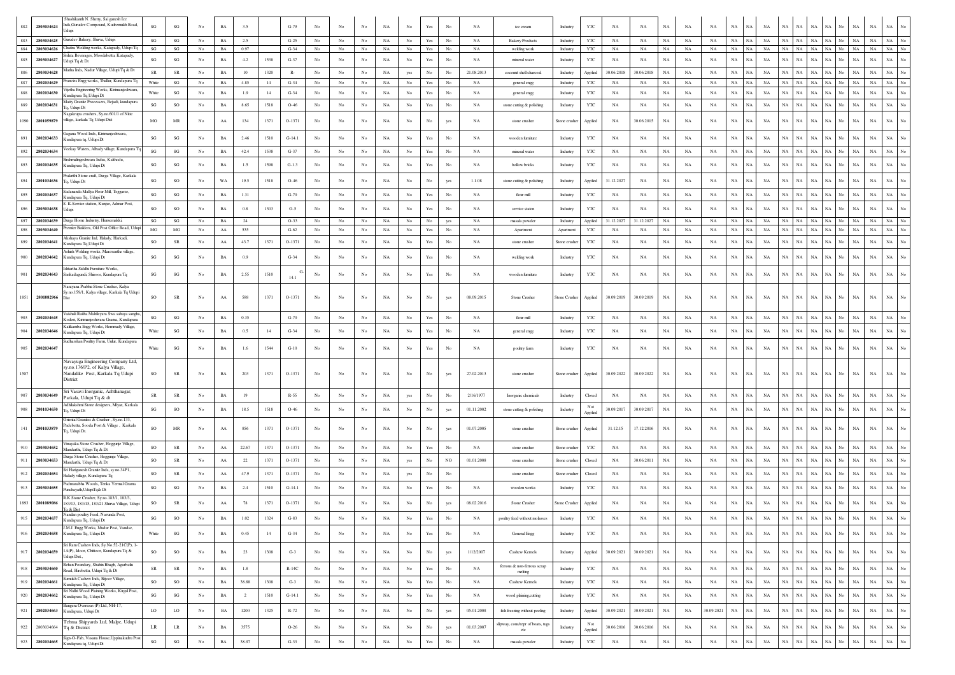| 882        | 2803034624               | Shashikanth N. Shetty, Sai ganesh Ice<br>ds, Gurudev Compound, Kudremukh Road,                  | $\mathbf{S}\mathbf{G}$       | SG                                | No               | BA                       | 3.5            |      | $G-79$           | No               | No               | No                | NA                | No                         | $\operatorname*{Yes}% \left( X\right) \equiv\operatorname*{Yes}(\mathbb{R}^{3}\left)$ | No               | NA              | ice cream                              | Industry                  | YTC                     | NA                       | NA          | NA          | NA          | NA          | $_{\rm NA}$<br>NA        | NA          | NA          | NA<br>NA                               | NA                |     | NA                | $_{\rm NA}$<br>$_{\rm NA}$    | No                     |
|------------|--------------------------|-------------------------------------------------------------------------------------------------|------------------------------|-----------------------------------|------------------|--------------------------|----------------|------|------------------|------------------|------------------|-------------------|-------------------|----------------------------|---------------------------------------------------------------------------------------|------------------|-----------------|----------------------------------------|---------------------------|-------------------------|--------------------------|-------------|-------------|-------------|-------------|--------------------------|-------------|-------------|----------------------------------------|-------------------|-----|-------------------|-------------------------------|------------------------|
|            |                          | iurudev Bakery, Shirva, Udupi                                                                   |                              |                                   |                  |                          |                |      |                  |                  |                  |                   |                   |                            |                                                                                       |                  |                 |                                        |                           |                         |                          |             |             |             |             |                          |             |             |                                        |                   | No  |                   |                               |                        |
| 883<br>884 | 2803034625<br>2803034626 | haitra Welding works, Katapady, Udupi Tq                                                        | SG<br>$\mathbf{S}\mathbf{G}$ | SG<br>SG                          | No<br>No         | $_{\rm BA}$<br><b>BA</b> | 2.5<br>0.97    |      | $G-25$<br>$G-34$ | No<br>No         | No<br>No         | $_{\rm No}$<br>No | $_{\rm NA}$<br>NA | $_{\rm No}$<br>$_{\rm No}$ | $\operatorname{Yes}$<br>$\operatorname{Yes}$                                          | No<br>No         | NA<br><b>NA</b> | <b>Bakery Products</b><br>welding work | Industry<br>Industry      | YTC<br>YTC              | $_{\rm NA}$<br><b>NA</b> | NA<br>NA    | NA<br>NA    | NA<br>NA    | NA<br>NA    | NA<br>NA<br>NA<br>NA     | NA<br>NA    | NA<br>NA    | $_{\rm NA}$<br>NA<br>$_{\rm NA}$<br>NA | $_{\rm NA}$<br>NA | No  | NA<br>$_{\rm NA}$ | NA<br>NA<br>$_{\rm NA}$<br>NA | No<br>$_{\mathrm{No}}$ |
| 885        | 2803034627               | rilata Beverages, Moodabettu, Katapady,<br>dupi Tq & Dt                                         | SG                           | SG                                | No               | BA                       | 4.2            | 1538 | $G-37$           | No               | No               | No                | NA                | No                         | Yes                                                                                   | No               | NA              | mineral water                          | Industry                  | YTC                     | NA                       | NA          | $_{\rm NA}$ | NA          | $_{\rm NA}$ | $_{\rm NA}$<br>NA        | $_{\rm NA}$ | NA          | NA<br>NA                               | NA                | No  | $_{\rm NA}$       | $_{\rm NA}$<br>NA             |                        |
| 886        | 2803034628               | atha Inds, Nadur Village, Udupi Tq & Dt                                                         | SR                           | SR                                | No               | $_{\rm BA}$              | 10             | 1320 | $R-$             | No               | No               | No                | NA                | yes                        | No                                                                                    | No               | 21.08.2013      | coconut shell charcoal                 | Industry                  | Applied                 | 30.06.2018               | 30.06.2018  | <b>NA</b>   | NA          | NA          | NA<br>NA                 | <b>NA</b>   | NA          | $_{\rm NA}$<br>NA                      | NA.               |     | NA                | $_{\rm NA}$<br>$_{\rm NA}$    | $\overline{N}$ o       |
| 887        | 2802034629               | rancies Engg works, Thallur, Kundapura Tq                                                       | White                        | SG                                | No               | <b>BA</b>                | 4.85           | 14   | $G-34$           | No               | No               | No                | NA                | No                         | Yes                                                                                   | No               | NA              | general engg                           | Industry                  | <b>YTC</b>              | NA                       | NA          | NA          | NA          | <b>NA</b>   | NA<br>NA                 | <b>NA</b>   | NA          | $_{\rm NA}$<br>NA                      | NA                | No  | NA<br>NA          | NA                            | No                     |
| 888        | 2802034630               | ijetha Engineering Works, Kirimanjeshwara,<br>andapura Tq, Udupi Dt                             | White                        | SG                                | No               | BA                       | 1.9            | -14  | $G-34$           | No               | No.              | No                | NA                | No                         | Yes                                                                                   | No               | NA              | general engg                           | Industry                  | YTC                     | ΝA                       | NA          | <b>NA</b>   | NA          | <b>NA</b>   | NA<br>NA                 | <b>NA</b>   | NA          | NA<br>NA                               | NA                |     | NA                | $_{\rm NA}$<br>$_{\rm NA}$    | $\overline{N}$ o       |
| 889        | 2802034631               | Matty Granite Processers, Bejadi, kundapura                                                     | SG                           | SO                                | No               | BA                       | 8.65           | 1518 | $O-46$           | No               | No               | No                | NA                | No                         | Yes                                                                                   | No               | NA              | stone cutting & polishing              | Industry                  | YTC                     | NA                       | NA          | NA          | NA          | NA          | NA<br><b>NA</b>          | NA          | NA          | $_{\rm NA}$<br>NA                      | NA                | No  | NA                | $_{\rm NA}$<br>$_{\rm NA}$    | No                     |
|            |                          | 1. Udupi Dt<br>agakrupa crushers, Sy.no.601/1 of Nitte                                          |                              |                                   |                  |                          |                |      |                  |                  |                  |                   |                   |                            |                                                                                       |                  |                 |                                        |                           |                         |                          |             |             |             |             |                          |             |             |                                        |                   |     |                   |                               |                        |
| 1090       | 2801059879               | <i>r</i> illage, karkala Tq Udupi Dist                                                          | MO                           | $\rm MR$                          | No               | AA                       | 134            | 1371 | O-1371           | No               | No               | No                | NA                | $_{\rm No}$                | $_{\rm No}$                                                                           | yes              | NA              | stone crusher                          | Stone crusher             | Applied                 | NA                       | 30.06.2015  | $_{\rm NA}$ | NA          | $_{\rm NA}$ | $_{\rm NA}$<br>NA        | NA          | NA          | $_{\rm NA}$<br>NA                      | NA                | No. | $_{\rm NA}$       | $_{\rm NA}$<br>NA             | No                     |
| 891        | 2802034633               | Tagana Wood Inds. Kirimanieshwara.<br>undapura tq, Udupi Dt                                     | SG                           | SG                                | No               | $_{\rm BA}$              | 2.46           | 1510 | $G-14.1$         | $_{\rm No}$      | $_{\rm No}$      | $_{\rm No}$       | NA                | $_{\mathrm{No}}$           | Yes                                                                                   | $_{\rm No}$      | NA              | wooden furniture                       | Industry                  | YTC                     | $_{\rm NA}$              | NA          | $_{\rm NA}$ | NA          | $_{\rm NA}$ | NA<br>NA                 | NA          | <b>NA</b>   | ŃА<br><b>NA</b>                        |                   |     | $_{\rm NA}$<br>NA | NA                            |                        |
| 892        | 2802034634               | eekay Waters, Albady village, Kundapura T                                                       | SG                           | SG                                | No               | $_{\rm BA}$              | 42.4           | 1538 | $G-37$           | No               | No               | No                | NA                | No                         | $\operatorname{Yes}$                                                                  | No               | NA              | mineral water                          | Industry                  | YTC                     | NA                       | NA          | $_{\rm NA}$ | NA          | NA          | $_{\rm NA}$<br>NA        | NA          | $_{\rm NA}$ | $_{\rm NA}$<br>NA                      | NA                | No  | $_{\rm NA}$       | NA<br>NA                      | No                     |
| 893        | 2802034635               | ahmalingeshwara Indus, Kalthodu<br>Cundapura Tq, Udupi Dt                                       | SG                           | $\mathbf{SG}$                     | No               | BA                       | 1.5            | 1598 | $G-1.3$          | No               | No               | No                | NA                | $_{\rm No}$                | $\operatorname{Yes}$                                                                  | No               | NA              | hollow bricks                          | Industry                  | YTC                     | NA                       | NA          | NA          | NA          | NA          | $_{\rm NA}$<br><b>NA</b> | NA          | <b>NA</b>   | NA<br>NA                               | NA                | No. | $_{\rm NA}$       | $_{\rm NA}$<br>$_{\rm NA}$    |                        |
|            |                          | rakrithi Stone craft, Durga Village, Karkala                                                    |                              |                                   |                  |                          |                |      |                  |                  |                  |                   |                   |                            |                                                                                       |                  |                 |                                        |                           |                         |                          |             |             |             |             |                          |             |             |                                        |                   |     |                   |                               |                        |
|            | 2801034636               | q, Udupi Dt<br>adananda Mallya Flour Mill, Teggarse                                             | $\mathbf{S}\mathbf{G}$       | SO                                | $_{\mathrm{No}}$ | WA                       | 19.5           | 1518 | $O-46$           | No               | No               | No                | NA                | $_{\mathrm{No}}$           | No                                                                                    | ves              | 1.1.08          | stone cutting & polishing              | Industry                  | Applied                 | 31.12.2027               | NA          | $_{\rm NA}$ | NA          | <b>NA</b>   | $_{\rm NA}$<br>NA        | NA          | <b>NA</b>   |                                        |                   |     | <b>NA</b>         | $_{\rm NA}$<br>$_{\rm NA}$    | $\overline{N}$ o       |
| 895        | 2802034637               | undapura Tq, Udupi Dt                                                                           | $\mathbf{S}\mathbf{G}$       | $\mathbf{S}\mathbf{G}$            | No               | $_{\rm BA}$              | 1.31           |      | $G-70$           | No               | No.              | No                | NA                | No                         | Yes                                                                                   | No               | NA              | flour mill                             | Industry                  | YTC                     | NA                       | NA          | <b>NA</b>   | NA          | NA          | NA<br><b>NA</b>          | NA          | NA          | $_{\rm NA}$<br>$_{\rm NA}$             | NA                | No. | $_{\rm NA}$       | $_{\rm NA}$<br>$_{\rm NA}$    | $\overline{N}$ o       |
| 896        | 2803034638               | K.Service station, Kunjur, Admar Post,<br>dupi                                                  | $_{\rm SO}$                  | $\rm SO$                          | No               | BA                       | 0.8            | 1303 | $O-5$            | No               | No               | No                | NA                | $_{\rm No}$                | $\operatorname{Yes}$                                                                  | No               | NA              | service staion                         | Industry                  | YTC                     | NA                       | NA          | NA          | NA          | NA          | $_{\rm NA}$<br>NA        | NA          | $_{\rm NA}$ | NA<br>$_{\rm NA}$                      | NA                | No. | $_{\rm NA}$       | $_{\rm NA}$<br>$_{\rm NA}$    | No                     |
|            | 2802034639               | Durga Home Industry, Hunsemakki<br>emier Builders, Old Post Office Road, Udup                   | SG                           | SG                                | No               | BA                       | 24             |      | $O-33$           | No               | No               | No                | $_{\rm NA}$       | No                         | $_{\rm No}$                                                                           | yes              | NA              | masala powder                          | Industry                  | Applied                 | 31.12.2027               | 31.12.2027  | NA          | NA          | NA          | NA<br>NA                 | NA          | NA          | NA<br>NA                               | $_{\rm NA}$       | No  | NA                | NA<br>NA                      | No                     |
|            | 2803034640               | Akshaya Granite Ind, Halady, Harkadi,                                                           | $_{\rm MG}$                  | $MG$                              | No               | AA                       | 535            |      | $G-62$           | No               | $_{\rm No}$      | $_{\rm No}$       | NA                | $_{\mathrm{No}}$           | $\operatorname{Yes}$                                                                  | No               | NA              | Apartment                              | Apartment                 | YTC                     | $_{\rm NA}$              | NA          | $_{\rm NA}$ | NA          | NA          | $_{\rm NA}$<br>NA        | NA          | NA          | $_{\rm NA}$<br>NA                      | $_{\rm NA}$       | No  | $_{\rm NA}$       | $_{\rm NA}$<br>$_{\rm NA}$    | No                     |
| 899        | 2802034641               | undapura Tq, Udupi Dt<br>shish Welding works. Maravanthe village                                | SO                           | SR                                | No               | $\rm AA$                 | 43.7           | 1371 | O-1371           | No               | No               | $_{\rm No}$       | NA                | $_{\rm No}$                | Yes                                                                                   | $_{\rm No}$      | NA              | stone crusher                          | Stone crushe              | YTC                     | $_{\rm NA}$              | NA          | $_{\rm NA}$ | NA          | NA          | $_{\rm NA}$<br>NA        | NA          | NA          | NA<br>NA                               | NA                | No  | NA                | $_{\rm NA}$<br>NA             | No                     |
| 900        | 2802034642               | Cundapura Tq, Udupi Dt                                                                          | $\mathbf{S}\mathbf{G}$       | SG                                | No               | $_{\rm BA}$              | 0.9            |      | $G-34$           | $_{\rm No}$      | No               | No                | NA                | $_{\mathrm{No}}$           | $\operatorname{Yes}$                                                                  | No               | NA              | welding work                           | Industry                  | YTC                     | NA                       | NA          | $_{\rm NA}$ | NA          | $_{\rm NA}$ | $_{\rm NA}$<br>NA        | NA          | NA          | NA<br>$_{\rm NA}$                      | NA                | No. | $_{\rm NA}$       | $_{\rm NA}$<br>NA             | No                     |
| 901        | 2802034643               | htartha Siddhi Furniture Works,<br>ankadagundi, Shiroor, Kundapura Tq                           | SG                           | $\mathbf{S}\mathbf{G}$            | No               | $_{\rm BA}$              | 2.55           | 1510 | 14.1             | $_{\rm No}$      | $_{\rm No}$      | $_{\rm No}$       | NA                | No                         | Yes                                                                                   | $_{\rm No}$      | NA              | wooden furniture                       | Industry                  | YTC                     | NA                       | NA          | $_{\rm NA}$ | NA          | NA          | $_{\rm NA}$              | NA<br>NA    | NA          | NA<br>$_{\rm NA}$                      | $_{\rm NA}$       | No. | $_{\rm NA}$       | $_{\rm NA}$<br>$_{\rm NA}$    |                        |
|            |                          | Varayana Prabhu Stone Crusher, Kalya<br>y.no.159/1, Kalya village, Karkala Tq Udupi             |                              |                                   |                  |                          |                |      |                  |                  |                  |                   |                   |                            |                                                                                       |                  |                 |                                        |                           |                         |                          |             |             |             |             |                          |             |             |                                        |                   |     |                   |                               |                        |
|            | 1851 2801082966          |                                                                                                 | SO                           | ${\rm SR}$                        | No               | AA                       | 588            | 1371 | O-1371           | No               | No               | No                | NA                | No                         | No                                                                                    | yes              | 08.09.2015      | Stone Crusher                          | Stone Crusher             | Applied                 | 30.09.2019               | 30.09.2019  | NA          | NA          | NA          | $_{\rm NA}$<br>NA        | NA          | <b>NA</b>   | NA<br>NA                               |                   |     | $_{\rm NA}$       | $_{\rm NA}$<br>NA             |                        |
| 903        | 2802034645               | aishali Raitha Mahileyara Swa sahaya sangha<br>oderi, Kirimanjeshwara Grama, Kundapura          | SG                           | $\mathbf{S}\mathbf{G}$            | No               | <b>BA</b>                | 0.35           |      | $G-70$           | No               | No               | No                | NA                | $_{\rm No}$                | Yes                                                                                   | No               | NA              | flour mill                             | Industry                  | YTC                     | NA                       | NA          | NA          | NA          | NA          | <b>NA</b><br>NA          | <b>NA</b>   | NA          | <b>NA</b><br><b>NA</b>                 |                   |     | $_{\rm NA}$       | $_{\rm NA}$<br>$_{\rm NA}$    | No                     |
| 904        | 2802034646               | alikamba Engg Works, Hemmady Village,                                                           | White                        | $\mathbf{SG}$                     | No               | $_{\rm BA}$              | 0.5            | 14   | $G-34$           | $_{\rm No}$      | No               | No                | $_{\rm NA}$       | $_{\mathrm{No}}$           | $\operatorname{Yes}$                                                                  | No               | NA              | general engg                           | Industry                  | YTC                     | NA                       | $_{\rm NA}$ | $_{\rm NA}$ | NA          | NA          | $_{\rm NA}$<br>NA        | NA          | NA          | $_{\rm NA}$<br>$_{\rm NA}$             | NA                |     | $_{\rm NA}$       | $_{\rm NA}$<br>$_{\rm NA}$    | No                     |
|            |                          | undapura Tq, Udupi Dt<br>adharshan Poultry Farm, Uulur, Kundapura                               |                              |                                   |                  |                          |                |      |                  |                  |                  |                   |                   |                            |                                                                                       |                  |                 |                                        |                           |                         |                          |             |             |             |             |                          |             |             |                                        |                   |     |                   |                               |                        |
| 905        | 2802034647               |                                                                                                 | White                        | SG                                | No               | BA                       | 1.6            | 1544 | $G-10$           | No               | No.              | No                | NA                | No                         | Yes                                                                                   | No               | NA              | poultry farm                           | Industry                  | YTC                     | NA                       | NA          | NA          | NA          | NA          | $_{\rm NA}$<br><b>NA</b> | NA          | <b>NA</b>   | $_{\rm NA}$<br><b>NA</b>               | NA                | No. | $_{\rm NA}$       | $_{\rm NA}$<br>NA             |                        |
|            |                          | Navayuga Engineering Company Ltd<br>sy.no.176/P2, of Kalya Village,                             |                              |                                   |                  |                          |                |      |                  |                  |                  |                   |                   |                            |                                                                                       |                  |                 |                                        |                           |                         |                          |             |             |             |             |                          |             |             |                                        |                   |     |                   |                               |                        |
| 1587       |                          | Nandalike Post, Karkala Tq Udupi<br>District                                                    | SO                           | SR                                | No               | BA                       | 203            | 1371 | $O-1371$         | No               | No               | No                | NA                | No                         | No                                                                                    | yes              | 27.02.2013      | stone crusher                          | Stone crusher             | Applied                 | 30.09.2022               | 30.09.2022  | NA          | NA          | NA          | NA<br>NA                 | NA          | NA          | NA<br>NA                               | NA                |     | $_{\rm NA}$       | $_{\rm NA}$<br>NA             |                        |
|            |                          | Sri Vasavi Inorganic, Achthanagar                                                               |                              |                                   |                  |                          |                |      |                  |                  |                  |                   |                   |                            |                                                                                       |                  |                 |                                        |                           |                         |                          |             |             |             |             |                          |             |             |                                        |                   |     |                   |                               |                        |
| 907        | 2803034649               | 'arkala, Udupi Tq & dt<br>dhilakshni Stone designers, Miyar, Karkala                            | SR                           | SR                                | No               | $_{\rm BA}$              | 19             |      | $R-55$           | No               | No               | $_{\rm No}$       | NA                | yes                        | $_{\rm No}$                                                                           | $_{\rm No}$      | 2/16/1977       | Inorganic chemicals                    | Industry                  | Closed<br>Not           | $_{\rm NA}$              | NA          | $_{\rm NA}$ | NA          | NA          | $_{\rm NA}$<br>NA        | <b>NA</b>   | <b>NA</b>   | NA<br>NA                               | NA                | No  | $_{\rm NA}$       | $_{\rm NA}$<br>$_{\rm NA}$    | No                     |
| 908        | 2801034650               | a. Udupi Dt                                                                                     | SG                           | $\rm SO$                          | No               | BA                       | 18.5           | 1518 | $O-46$           | No               | No               | No                | NA                | No                         | No                                                                                    | yes              | 01.11.2002      | stone cutting & polishing              | Industry                  | Applied                 | 30.09.2017               | 30.09.2017  | NA          | NA          | NA          | $_{\rm NA}$<br>NA        | NA          | NA          | $_{\rm NA}$<br>$_{\rm NA}$             | NA                | No. | $_{\rm NA}$       | $_{\rm NA}$<br>$_{\rm NA}$    | No                     |
| 141        | 2801033879               | Oriental Granites & Crusher, Sy.no.133,<br>adebettu, Sooda Post & Village, Karkala              | SO                           | $\ensuremath{\mathsf{MR}}\xspace$ | No               | $\rm AA$                 | 856            | 1371 | O-1371           | No               | No               | No                | NA                | No                         | No                                                                                    | yes              | 01.07.2005      | stone crusher                          | Stone crusher             | Applied                 | 31.12.15                 | 17.12.2016  | $_{\rm NA}$ | NA          | NA          | $_{\rm NA}$<br>NA        | NA          | NA          | NA<br>NA                               | <b>NA</b>         |     | NA                | $_{\rm NA}$<br>NA             |                        |
|            |                          | q, Udupi Dt.                                                                                    |                              |                                   |                  |                          |                |      |                  |                  |                  |                   |                   |                            |                                                                                       |                  |                 |                                        |                           |                         |                          |             |             |             |             |                          |             |             |                                        |                   |     |                   |                               |                        |
|            | 2803034652               | inayaka Stone Crusher, Heggunje Village,<br>Iandarthi, Udupi Tq & Dt                            | SO                           | SR                                | No               | ${\rm AA}$               | 22.67          | 1371 | O-1371           | No               | No               | No                | NA                | $_{\mathrm{No}}$           | Yes                                                                                   | No               | NA              | stone crusher                          | Stone crusher             | YTC                     | NA                       | NA          | $_{\rm NA}$ | NA          | $_{\rm NA}$ | $_{\rm NA}$<br>NA        | NA          | NA          | $_{\rm NA}$<br>$_{\rm NA}$             | $_{\rm NA}$       | No  | $_{\rm NA}$       | $_{\rm NA}$<br>$_{\rm NA}$    | No                     |
| 911        | 2803034653               | urga Stone Crusher, Heggunje Village,<br>Mandarthi, Udupi Tq & Dt                               | <sub>SO</sub>                | ${\sf SR}$                        | No               | ${\rm AA}$               | 22             | 1371 | $O-1371$         | No               | No.              | No                | NA                | yes                        | No                                                                                    | NO.              | 01.01.2008      | stone crusher                          | Stone crusher             | Closed                  | NA                       | 30.06.201   | NA          | NA          | NA          | $_{\rm NA}$<br>NA        | NA          | NA          | $_{\rm NA}$<br>$_{\rm NA}$             | NA                | No. | $_{\rm NA}$       | $_{\rm NA}$<br>$_{\rm NA}$    | $_{\mathrm{No}}$       |
| 912        | 2802034654               | Hariganesh Granite Inds, sy.no.34P1,<br>łałady village, Kundapura Tq                            | <sub>SO</sub>                | ${\sf SR}$                        | No               | ${\rm AA}$               | 47.9           | 1371 | $O-1371$         | No               | No.              | No                | NA                | yes                        | No                                                                                    | No               |                 | stone crusher                          | Stone crusher             | Closed                  | NA                       | NA          | NA          | NA          | NA          | $_{\rm NA}$<br>NA        | NA          | NA          | $_{\rm NA}$<br>$_{\rm NA}$             | NA                | No. | $_{\rm NA}$       | $_{\rm NA}$<br>$_{\rm NA}$    | No                     |
| 913        | 2803034655               | admanabha Woods, Tenka Yermal Grama<br>Punchayath,UdupiTq& Dt                                   | $\mathbf{S}\mathbf{G}$       | $\mathbf{S}\mathbf{G}$            | No               | BA                       | 2.4            | 1510 | $G-14.1$         | No               | No               | No                | NA                | No                         | $\operatorname*{Yes}% \left( X\right) \equiv\operatorname*{Yes}(\mathbb{R}^{3}\left)$ | No               | NA              | wooden works                           | Industry                  | YTC                     | NA                       | NA          | NA          | NA          | NA          | $_{\rm NA}$<br>NA        | NA          | NA          | NA<br>$_{\rm NA}$                      | NA                | No. | $_{\rm NA}$       | $_{\rm NA}$<br>$_{\rm NA}$    | No                     |
|            | 2801089086               | R.K. Stone Crusher, Sy no 183/1-183/3                                                           |                              |                                   | N <sub>0</sub>   |                          |                |      |                  |                  | No               |                   |                   |                            |                                                                                       |                  |                 |                                        |                           |                         |                          |             |             |             |             | NA                       |             |             |                                        |                   |     |                   |                               |                        |
| 1893       |                          | 183/13, 183/15, 183/21 Shirva Village, Udupi<br>Tq & Dist<br>Nandan poultry Feed, Navunda Post, | <b>SO</b>                    | SR                                |                  | AA                       | 78             | 1371 | $O-1371$         | No               |                  | No                | NA                | $_{\rm No}$                | No                                                                                    | yes              | 08.02.2016      | Stone Crusher                          | Stone Crusher             | Applied                 | NA                       | NA          | NA          | NA          | NA          | NA                       | NA          | NA          | NA<br>NA                               | NA                | No  | $_{\rm NA}$       | $_{\rm NA}$<br>NA             |                        |
| 915        | 2802034657               | Kundapura Tq, Udupi Dt<br>M.J. Engg Works, Mudur Post, Vandse,                                  | $\mathbf{S}\mathbf{G}$       | SO                                | No               | $_{\rm BA}$              | 1.02           | 1324 | $G-83$           | No               | No               | No                | NA                | No                         | Yes                                                                                   | No               | NA              | poultry feed without molasses          | Industry                  | YTC                     | <b>NA</b>                | NA          | <b>NA</b>   | NA          | $_{\rm NA}$ | $_{\rm NA}$<br>NA        | $_{\rm NA}$ | NA          | $_{\rm NA}$<br>$_{\rm NA}$             | $_{\rm NA}$       | No  | $_{\rm NA}$       | $_{\rm NA}$<br>$_{\rm NA}$    |                        |
| 916        | 2802034658               | Kundapura Tq, Udupi Dt                                                                          | White                        | $\mathbf{S}\mathbf{G}$            | No               | BA                       | 0.45           | 14   | $G-34$           | No               | No               | No                | NA                | $_{\rm No}$                | Yes                                                                                   | $_{\rm No}$      | NA              | General Engg                           | Industry                  | $_{\rm YTC}$            | NA                       | NA          | $_{\rm NA}$ | NA          | NA          | $_{\rm NA}$<br>NA        | NA          | NA          | $_{\rm NA}$<br>$_{\rm NA}$             | NA                | No  | $_{\rm NA}$       | $_{\rm NA}$<br>NA             | $_{\mathrm{No}}$       |
| 917        | 2802034659               | Sri Ram Cashew Inds, Sy.No.52-21C(P), 1-<br>1A(P), Idoor, Chittoor, Kundapura Tq &              | SO                           | SO                                | No               | $_{\rm BA}$              | 23             | 1308 | $G-3$            | No               | No               | $_{\rm No}$       | NA                | $_{\mathrm{No}}$           | $_{\rm No}$                                                                           | yes              | 1/12/2007       | Cashew Kernels                         | Industry                  | Applied                 | 30.09.2021               | 30.09.2021  | $_{\rm NA}$ | NA          | NA          | $_{\rm NA}$<br>NA        | NA          | NA          | $_{\rm NA}$<br>$_{\rm NA}$             | $_{\rm NA}$       | No  | $_{\rm NA}$       | $_{\rm NA}$<br>$_{\rm NA}$    | $_{\mathrm{No}}$       |
|            |                          | dupi Dist.,<br>chan Foundary, Shahin Bhagh, Agarbailu                                           |                              |                                   |                  |                          |                |      |                  |                  |                  |                   |                   |                            |                                                                                       |                  |                 | ferrous & non-ferrous scrap            |                           |                         |                          |             |             |             |             |                          |             |             |                                        |                   | No  |                   |                               | $_{\mathrm{No}}$       |
| 918        | 2803034660               | oad, Hirebettu, Udupi Tq & Dt<br>mukh Cashew Inds, Bijoor Village                               | ${\rm SR}$                   | ${\sf SR}$                        | No               | $_{\rm BA}$              | $1.8\,$        |      | $R-14C$          | $_{\rm No}$      | $_{\rm No}$      | $_{\rm No}$       | NA                | $_{\rm No}$                | $\operatorname*{Yes}% \left( X\right) \equiv\operatorname*{Yes}(\mathbb{R}^{3}\left)$ | $_{\mathrm{No}}$ | NA              | melting                                | Industry                  | YTC                     | NA                       | NA          | $_{\rm NA}$ | NA          | $_{\rm NA}$ | NA<br>$_{\rm NA}$        | $_{\rm NA}$ | $_{\rm NA}$ | $_{\rm NA}$<br>$_{\rm NA}$             | $_{\rm NA}$       |     | $_{\rm NA}$       | $_{\rm NA}$<br>$_{\rm NA}$    |                        |
| 919        | 2802034661               | undapura Tq, Udupi Dt                                                                           | SO                           | SO                                | No               | $_{\rm BA}$              | 38.88          | 1308 | $G-3$            | No               | No               | $_{\rm No}$       | NA                | $_{\rm No}$                | $\operatorname{Yes}$                                                                  | $_{\rm No}$      | NA              | Cashew Kernels                         | Industry                  | YTC                     | NA                       | NA          | $_{\rm NA}$ | NA          | NA          | NA<br>NA                 | $_{\rm NA}$ | NA          | $_{\rm NA}$<br>NA                      | NA                | No  | NA                | $_{\rm NA}$<br>$_{\rm NA}$    | $_{\mathrm{No}}$       |
| 920        | 2802034662               | iri Nidhi Wood Plaining Works, Kirgal Post,<br>undapura Tq, Udupi Dt                            | SG                           | $\mathbf{S}\mathbf{G}$            | No               | $_{\rm BA}$              | $\overline{2}$ | 1510 | $G-14.1$         | No               | No               | $_{\rm No}$       | NA                | $_{\rm No}$                | $\operatorname{Yes}$                                                                  | $_{\rm No}$      | NA              | wood plaining, cutting                 | Industry                  | YTC                     | NA                       | NA          | $_{\rm NA}$ | NA          | NA          | $_{\rm NA}$<br>NA        | NA          | NA          | $_{\rm NA}$<br>NA                      | NA                | No  | $_{\rm NA}$       | $_{\rm NA}$<br>$_{\rm NA}$    | $_{\mathrm{No}}$       |
| 921        | 2802034663               | ingera Overseas (P) Ltd, NH-17,<br>undapura, Udupi Dt                                           | LO                           | $_{\rm LO}$                       | $_{\mathrm{No}}$ | $_{\rm BA}$              | 1200           | 1325 | R-72             | $_{\mathrm{No}}$ | $_{\rm No}$      | $_{\rm No}$       | $_{\rm NA}$       | $_{\mathrm{No}}$           | $_{\rm No}$                                                                           | yes              | 05.01.2008      | fish freezing without peeling          | Industry                  | Applied                 | 30.09.2021               | 30.09.2021  | $_{\rm NA}$ | $_{\rm NA}$ | 30.09.2021  | $_{\rm NA}$<br>NA        | NA          | NA          | $_{\rm NA}$<br>$_{\rm NA}$             | $_{\rm NA}$       | No  | $_{\rm NA}$       | $_{\rm NA}$<br>$_{\rm NA}$    | No                     |
| 922        | 2803034664               | 'ebma Shipyards Ltd, Malpe, Udupi<br>q & District                                               | LR                           | $\rm LR$                          | No               | $_{\rm BA}$              | 3575           |      | $O-26$           | $_{\mathrm{No}}$ | No               | $_{\rm No}$       | $_{\rm NA}$       | $_{\mathrm{No}}$           | $_{\rm No}$                                                                           | yes              | 01.03.2007      | lipway, cons/repr of boats, tugs       | $\operatorname{Industry}$ | Not                     | 30.06.2016               | 30.06.2016  | $_{\rm NA}$ | $_{\rm NA}$ | $_{\rm NA}$ | $_{\rm NA}$<br>NA        | $_{\rm NA}$ | NA          | $_{\rm NA}$<br>$_{\rm NA}$             | $_{\rm NA}$       | No  | $_{\rm NA}$       | $_{\rm NA}$<br>$_{\rm NA}$    | $_{\mathrm{No}}$       |
| 923        | 2802034665               | Sign-O-Fab, Vasana House, Uppinakudru Post                                                      | $\mathbf{S}\mathbf{G}$       | $\mathbf{S}\mathbf{G}$            | $_{\mathrm{No}}$ | $_{\rm BA}$              | 38.97          |      | $G-33$           | $_{\rm No}$      | $_{\mathrm{No}}$ | $_{\mathrm{No}}$  | $_{\rm NA}$       | $_{\mathrm{No}}$           | $\operatorname{Yes}$                                                                  | $_{\mathrm{No}}$ | NA              | etc<br>masala powder                   | Industry                  | Applied<br>$_{\rm YTC}$ | $_{\rm NA}$              | $_{\rm NA}$ | $_{\rm NA}$ | $_{\rm NA}$ | $_{\rm NA}$ | $_{\rm NA}$<br>NA        | $_{\rm NA}$ | NA          | NA<br>NA                               | $_{\rm NA}$       | No  | $_{\rm NA}$       | $_{\rm NA}$<br>$_{\rm NA}$    | $_{\mathrm{No}}$       |
|            |                          | Cundapura tq, Udupi Dt                                                                          |                              |                                   |                  |                          |                |      |                  |                  |                  |                   |                   |                            |                                                                                       |                  |                 |                                        |                           |                         |                          |             |             |             |             |                          |             |             |                                        |                   |     |                   |                               |                        |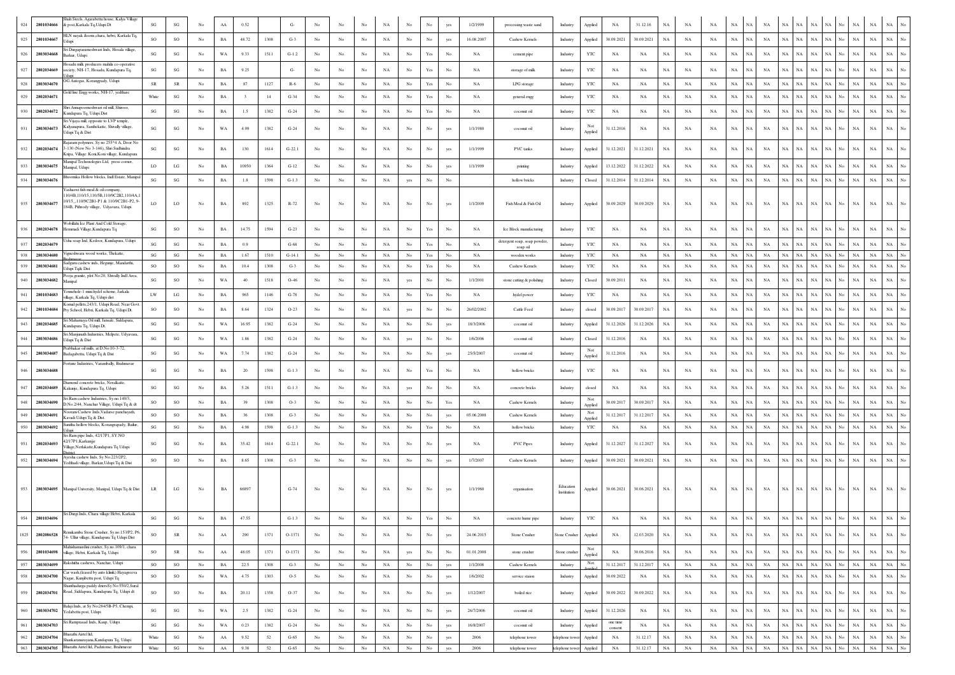| 924  | 2801034666 | Shah Steels, Agarabettu house, Kalya Village<br>k post,Karkala Tq,Udupi Dt                                                                                      | $\mathbf{S}\mathbf{G}$ | $_{\rm SG}$            | No               | $\rm AA$    | 0.52  |        | G-       | No          |                  |                  | NA          | No               | No                                                                                    | yes         | 1/2/1999    | processing waste sand                   | NA<br>31.12.16<br>Applied<br>NA<br>NA<br><b>NA</b><br>NA<br>NA<br>NA<br>NA<br>NA<br>Industry<br>NA<br>NA<br>NA                                                                                                                              |
|------|------------|-----------------------------------------------------------------------------------------------------------------------------------------------------------------|------------------------|------------------------|------------------|-------------|-------|--------|----------|-------------|------------------|------------------|-------------|------------------|---------------------------------------------------------------------------------------|-------------|-------------|-----------------------------------------|---------------------------------------------------------------------------------------------------------------------------------------------------------------------------------------------------------------------------------------------|
| 925  | 2801034667 | HLN nayak &sons,chara, hebri, Karkala Tq                                                                                                                        | SO                     | SO                     | $_{\rm No}$      | $_{\rm BA}$ | 48.72 | 1308   | $G-3$    | No          | No               | $_{\rm No}$      | NA          | $_{\rm No}$      | No                                                                                    | yes         | 16.08.2007  | Cashew Kernels                          | $_{\rm NA}$<br>$_{\rm NA}$<br>30.09.2021<br>30.09.2021<br>NA<br>$_{\rm NA}$<br>NA<br>NA<br>NA<br>$_{\rm NA}$<br>NA<br>NA<br>$_{\rm NA}$<br>NA<br>No.<br>$_{\rm NA}$<br>Applied<br>Industry                                                  |
| 926  | 2803034668 | Jdupi<br>iri Durgaparameshwari Inds, Hosala village,                                                                                                            | $\mathbf{SG}$          | $\mathbf{S}\mathbf{G}$ | No               | WA          | 9.33  | 1511   | $G-1.2$  | No          | No               | No               | NA          | No               | Yes                                                                                   | No          | NA          | cement pipe                             | $_{\rm NA}$<br>$_{\rm NA}$<br>$_{\rm NA}$<br>$_{\rm NA}$<br>$_{\rm NA}$<br>NA<br>$_{\rm NA}$<br>Industry<br>YTC<br>NA<br>NA<br>NA<br>NA<br>NA<br>NA<br>NA<br>No<br>NA                                                                       |
|      |            | Barkur, Udupi<br>Hosadu milk producers mahila co-operative                                                                                                      |                        |                        |                  |             |       |        |          |             |                  |                  |             |                  |                                                                                       |             |             |                                         |                                                                                                                                                                                                                                             |
| 927  | 2802034669 | society, NH-17, Hosadu, Kundapura Tq,                                                                                                                           | SG                     | $\mathbf{S}\mathbf{G}$ | No               | $_{\rm BA}$ | 9.25  |        | G-       | No          | No               | No               | NA          | No               | Yes                                                                                   | No          | $_{\rm NA}$ | storage of milk                         | $_{\rm YTC}$<br>$_{\rm NA}$<br>NA<br>NA<br>$_{\rm NA}$<br>NA<br>NA<br>$_{\rm NA}$<br>$_{\rm NA}$<br>$_{\rm NA}$<br>$_{\rm NA}$<br>$_{\rm NA}$<br>NA<br>NA<br>NA<br>NA<br>No<br>Industry                                                     |
| 928  | 2803034670 | OG Autogas, Korangpady, Udupi<br>Gold line Engg works, NH-17, yedthare                                                                                          | ${\sf SR}$             | SR                     | $_{\mathrm{No}}$ | $_{\rm BA}$ | 87    | 1127   | $R-6$    | No          | No               | $_{\rm No}$      | NA          | $_{\rm No}$      | Yes                                                                                   | $_{\rm No}$ | NA          | LPG storage                             | $_{\rm NA}$<br>YTC<br>NA<br>NA<br>$_{\rm NA}$<br>$_{\rm NA}$<br>NA<br>NA<br>$_{\rm NA}$<br>NA<br>NA<br>NA<br>$_{\rm NA}$<br>NA<br>No.<br>$_{\rm NA}$<br>NA<br>Industry                                                                      |
| 929  | 2802034671 |                                                                                                                                                                 | White                  | $\mathbf{S}\mathbf{G}$ | No               | $_{\rm BA}$ |       | 14     | $G-34$   | No          | No               | No               | NA          | No               | Yes                                                                                   | No          | NA          | general engg                            | $_{\rm YTC}$<br>NA<br>$_{\rm NA}$<br>$_{\rm NA}$<br>NA<br>$_{\rm NA}$<br>NA<br>NA<br>$_{\rm NA}$<br>$_{\rm NA}$<br>$_{\rm NA}$<br>$_{\rm NA}$<br>$_{\rm NA}$<br>Industry<br>NA<br>NA<br>NA<br>No                                            |
| 930  | 2802034672 | Shri Annapoorneshwari oil mill, Shiroor,<br>Kundapura Tq, Udupi Dist                                                                                            | $\mathbf{S}\mathbf{G}$ | $\mathbf{S}\mathbf{G}$ | $_{\mathrm{No}}$ | $_{\rm BA}$ | 1.5   | 1382   | $G-24$   | No          | $_{\mathrm{No}}$ | $_{\rm No}$      | NA          | $_{\rm No}$      | Yes                                                                                   | $_{\rm No}$ | NA          | coconut oil                             | $_{\rm NA}$<br>$_{\rm NA}$<br>YTC<br>NA<br>NA<br>$_{\rm NA}$<br>$_{\rm NA}$<br>NA<br>NA<br>$_{\rm NA}$<br>NA<br>NA<br>NA<br>NA<br>NA<br>No<br>$_{\rm NA}$<br>Industry                                                                       |
| 931  | 2803034673 | ri Vijaya mill, opposite to LVP temple,<br>Kalyanapura, Santhekatte, Shivally village,<br>Udupi Tq & Dist                                                       | SG                     | SG                     | No               | WA          | 4.99  | 1382   | $G-24$   | No          | No               | No               | NA          | No               |                                                                                       | yes         | 1/1/1980    | coconut oil                             | $_{\rm NA}$<br>$_{\rm NA}$<br>31.12.2016<br>NA<br>NA<br>NA<br>NA<br>NA<br>NA<br>NA<br><b>NA</b><br>NA<br>NA<br>No.<br>NA<br>Industry<br>NA<br>Applied                                                                                       |
|      |            | ijaram polymers, Sy no 255*4 A, Door No                                                                                                                         |                        |                        |                  |             |       |        |          |             |                  |                  |             |                  |                                                                                       |             |             |                                         |                                                                                                                                                                                                                                             |
| 932  | 2802034674 | 3-130 (New No 3-146), Shri Sudhindra<br>Kripa, Village: Koni, Koni village, Kundapura                                                                           | SG                     | SG                     | No               | BA          | 130   | 1614   | $G-22.1$ | No          | No               | No               | NA          | No               | No                                                                                    | yes         | 1/1/1999    | PVC tanks                               | $_{\rm NA}$<br>$_{\rm NA}$<br>Applied<br>31.12.2021<br>31.12.2021<br>NA<br>NA<br>NA<br>NA<br>NA<br>NA<br>NA<br><b>NA</b><br>NA<br>NA<br>NA<br>Industry                                                                                      |
| 933  | 2803034675 | Aanipal Techonologies Ltd, press corner,<br>Manipal, Udupi                                                                                                      | LO <sub>1</sub>        | $_{\rm LG}$            | No               | BA          | 10950 | 1364   | $G-12$   | No          | No               | No               | NA          | No               | No                                                                                    | yes         | 1/1/1999    | printing                                | $_{\rm NA}$<br>NA<br>NA<br>$_{\rm NA}$<br>$_{\rm NA}$<br>$_{\rm NA}$<br>Industry<br>Applied<br>13.12.2022<br>31.12.2022<br>NA<br>NA<br>NA<br>NA<br>NA<br>NA<br>NA<br>N٥                                                                     |
| 934  | 2803034676 | oomika Hollow blocks, Indl Estate, Manipal                                                                                                                      | SG                     | SG                     | No               | $_{\rm BA}$ | 1.8   | 1598   | $G-1.3$  | $_{\rm No}$ | No               | No               | $_{\rm NA}$ | yes              | $_{\rm No}$                                                                           | $_{\rm No}$ |             | hollow bricks                           | 31.12.2014<br>31.12.2014<br>$_{\rm NA}$<br>$_{\rm NA}$<br>NA<br>$_{\rm NA}$<br>$_{\rm NA}$<br>NA<br>NA<br>$_{\rm NA}$<br>$_{\rm NA}$<br>$_{\rm NA}$<br>$_{\rm NA}$<br>$_{\rm NA}$<br>Industry<br>Closed<br>Ń<br>No                          |
| 935  | 2803034677 | Yashaswi fish meal & oil company,<br>110/4B.110/15.110/5B.110/9C2B2.110/4A<br>10/15_110/9C2B1-P1 & 110/9C2B1-P2, 9-<br>184B, Pithrody village, Udyavara, Udupi. | LO                     | LO <sub>1</sub>        | No               | BA          | 892   | 1325   | R-72     | No          | No               | No               | NA          | No               |                                                                                       | yes         | 1/1/2009    | Fish Meal & Fish Oil                    | $_{\rm NA}$<br>NA<br>NA<br>$_{\rm NA}$<br>$_{\rm NA}$<br>NA<br>Industry<br>Applied<br>30.09.2029<br>30.09.2029<br>NA<br>NA<br>NA<br>NA<br>NA<br>NA<br>No.<br>NA                                                                             |
| 936  | 2802034678 | Wobillahi Ice Plant And Cold Storage,<br>Hemmadi Village, Kundapura Tq.                                                                                         | SG                     | $_{\rm SO}$            | No               | BA          | 14.75 | 1594   | $G-23$   | No          | No.              | No               | NA          | No               | Yes                                                                                   | No          | NA          | Ice Block manufacturing                 | NA<br>$_{\rm NA}$<br>NA<br>$_{\rm NA}$<br>$_{\rm NA}$<br>$_{\rm NA}$<br>Industry<br>YTC<br>NA<br>NA<br>NA<br>NA<br>NA<br>NA<br>NA<br>NA<br>No.<br>NA                                                                                        |
| 937  | 2802034679 | Usha soap Ind, Kedoor, Kundapura, Udupi                                                                                                                         | SG                     | SG                     | No               | <b>BA</b>   | 0.9   |        | $G-68$   | No          | No               | No               | NA          | No               | Yes                                                                                   | No          | NA          | detergent soap, soap powder<br>soap oil | $_{\rm NA}$<br>$_{\rm NA}$<br>YTC<br>NA<br>NA<br>NA<br>NA<br><b>NA</b><br><b>NA</b><br>NA<br>NA<br>NA<br>NA<br>NA<br>NA<br>No<br>Industry<br>NA                                                                                             |
| 938  | 2803034680 | igneshwara wood works, Thekatte,                                                                                                                                | SG                     | SG                     | No               | $_{\rm BA}$ | 1.67  | 1510   | $G-14.1$ | No          | No               | No               | NA          | $_{\rm No}$      | $\operatorname*{Yes}% \left( X\right) \equiv\operatorname*{Yes}(\mathbb{R}^{3}\left)$ | No          | NA          | wooden works                            | NA<br>NA<br>$_{\rm NA}$<br>$_{\rm NA}$<br>$_{\rm NA}$<br>$_{\rm NA}$<br>$_{\rm NA}$<br>$_{\rm NA}$<br>No<br>Industry<br>YTC<br>NA<br>NA<br>NA<br>NA<br>NA<br>NA<br>NA                                                                       |
| 939  | 2803034681 | sadguru cashew inds, Hegunje, Mandarthi<br>Udupi Tq& Dist                                                                                                       | SO.                    | <b>SO</b>              | No               | BA          | 10.4  | 1308   | $G-3$    | No          | No.              | No               | NA          | No               | Yes                                                                                   | No          | <b>NA</b>   | Cashew Kernels                          | YTC<br>NA<br>NA<br>$_{\rm NA}$<br>$_{\rm NA}$<br>$_{\rm NA}$<br>NA<br>NA<br>NA<br>NA<br>NA<br>NA<br>NA<br>NA<br>Industry<br><b>NA</b><br>NA<br>No                                                                                           |
| 940  | 2803034682 | ooja granite, plot No:20, Shivally Indl Area,<br>Aanipal                                                                                                        | $\mathbf{S}\mathbf{G}$ | SO                     | No               | WA          | 40    | 1518   | $O-46$   | No          | No               | No               | NA          | yes              | No                                                                                    | No          | 1/1/2001    | stone cutting & polishing               | $_{\rm NA}$<br>$_{\rm NA}$<br>Industry<br>Closed<br>30.09.2011<br>NA<br>NA<br>NA<br>NA<br>NA<br>NA<br>NA<br>NA<br>NA<br>NA<br>No<br>NA<br>NA                                                                                                |
| 941  | 2801034683 | /ennehole-1 mini hydel scheme, Jarkala<br>village, Karkala To, Udupi dist                                                                                       | LW                     | LG                     | No               | $_{\rm BA}$ | 965   | 1146   | $G-78$   | No          | $_{\rm No}$      | $_{\rm No}$      | NA          | $_{\rm No}$      | Yes                                                                                   | $_{\rm No}$ | NA          | hydel power                             | $_{\rm NA}$<br>YTC<br>NA<br>$_{\rm NA}$<br>$_{\rm NA}$<br>NA<br>NA<br>$_{\rm NA}$<br>NA<br>NA<br>NA<br>$_{\rm NA}$<br>NA<br>No<br>$_{\rm NA}$<br>NA<br>NA<br>Industry                                                                       |
| 942  | 2801034684 | omal pellets, 243/1, Udupi Road, Near Govt<br>Pry School, Hebri, Karkala Tq, Udupi Dt.                                                                          | SO                     | SO                     | No               | $_{\rm BA}$ | 8.64  | 1324   | $O-23$   | No          | No               | No               | NA          | yes              | No                                                                                    | No          | 26/02/2002  | Cattle Feed                             | 30.09.2017<br>30.09.2017<br>$_{\rm NA}$<br>$_{\rm NA}$<br>NA<br>$_{\rm NA}$<br>NA<br>$_{\rm NA}$<br>$_{\rm NA}$<br>$_{\rm NA}$<br>$_{\rm NA}$<br>$_{\rm NA}$<br>Industry<br>NA<br>N/<br>NA<br>closed                                        |
| 943  | 2802034685 | Sri Mahamaya Oil mill, Jansale, Siddapura,<br>Kundapura Tq, Udupi Dt.                                                                                           | $\mathbf{S}\mathbf{G}$ | SG                     | No               | WA          | 16.95 | 1382   | $G-24$   | No          | No               | No               | NA          | No               | No                                                                                    | yes         | 18/3/2006   | coconut oil                             | $_{\rm NA}$<br>31.12.2026<br>NA<br>NA<br>NA<br>$_{\rm NA}$<br>$_{\rm NA}$<br>31.12.2026<br>NA<br>NA<br>NA<br>NA<br><b>NA</b><br>NA<br>Industry<br>Applied<br>NA<br>No                                                                       |
| 944  | 2803034686 | Sri Maniunath Industries, Melpete, Udvavara<br>Udupi Tq & Dist                                                                                                  | $\mathbf{S}\mathbf{G}$ | SG                     | No               | WA          | 1.86  | 1382   | $G-24$   | No          | No               | No               | NA          | yes              | $_{\rm No}$                                                                           | No          | 1/6/2006    | coconut oil                             | $_{\rm NA}$<br>31.12.2016<br>NA<br>$_{\rm NA}$<br>$_{\rm NA}$<br>NA<br>$_{\rm NA}$<br>NA<br>NA<br>$_{\rm NA}$<br>$_{\rm NA}$<br>$_{\rm NA}$<br>$_{\rm NA}$<br>No<br>Industry<br>Closed<br>NA<br>NA<br>No                                    |
| 945  | 2803034687 | Prabhakar oil mills, at D.No:10-3-72,<br>sadagabettu, Udupi Tq & Dist                                                                                           | $\mathbf{SG}$          | $\mathbf{S}\mathbf{G}$ | No               | WA          | 7.74  | 1382   | $G-24$   | No          | No               | No               | NA          | No               | No                                                                                    | yes         | 25/5/2007   | coconut oil                             | Not<br>$_{\rm NA}$<br>$_{\rm NA}$<br>$_{\rm NA}$<br>$_{\rm NA}$<br>$_{\rm NA}$<br>NA<br>NA<br>$_{\rm NA}$<br>NA<br>$_{\rm NA}$<br>31.12.2016<br>NA<br>NA<br>NA<br>No.<br>Industry<br>NA<br>Applied                                          |
| 946  | 2803034688 | Fortune Industries, Varambally, Brahmavar                                                                                                                       | SG                     | $\mathbf{S}\mathbf{G}$ | No               | <b>BA</b>   | 20    | 1598   | $G-1.3$  | No          | No               | No               | NA          | No               | Yes                                                                                   | No          | <b>NA</b>   | hollow bricks                           | NA<br>$_{\rm NA}$<br>$_{\rm NA}$<br>$_{\rm NA}$<br>YTC<br>NA<br>NA<br>NA<br>NA<br>No<br>NA<br>NA<br>NA<br>NA<br>NA<br>NA<br>Industry<br>NA                                                                                                  |
| 947  | 2802034689 | Diamond concrete bricks, Neralkatte,<br>Kakunje, Kundapura Tq, Udupi                                                                                            | SG                     | $\mathbf{S}\mathbf{G}$ | No               | BA          | 5.26  | 1511   | $G-1.3$  | $_{\rm No}$ | No               | No               | NA          | yes              |                                                                                       | No          | NA          | concrete bricks                         | $_{\rm NA}$<br>$_{\rm NA}$<br>NA<br>$_{\rm NA}$<br>$_{\rm NA}$<br>Industry<br>NA<br>NA<br>NA<br>NA<br>NA<br>NA<br>NA<br>NA<br>No<br>NA<br>closed<br>NA                                                                                      |
| 948  | 2803034690 | ri Ram cashew Industries, Sy.no.149/3,                                                                                                                          | SO                     | SO                     | No               | $_{\rm BA}$ | 39    | 1308   | $O-3$    | No          | $_{\rm No}$      | $_{\rm No}$      | NA          | $_{\rm No}$      | No                                                                                    | Yes         | NA          | Cashew Kernels                          | Not<br>30.09.2017<br>30.09.2017<br>$_{\rm NA}$<br>$_{\rm NA}$<br>NA<br>NA<br>NA<br>NA<br>NA<br>$_{\rm NA}$<br>$_{\rm NA}$<br>$_{\rm NA}$<br>NA<br>$_{\rm NA}$<br>Industry<br>No<br>NA                                                       |
| 949  | 2803034691 | D.No.2/44. Nanchar Village. Udupi Ta & dt<br>oorani Cashew Inds, Vadarse panchayath,<br>Kavadi Udupi Tq & Dist.                                                 | SO                     | SO                     | No               | $_{\rm BA}$ | 36    | 1308   | $G-3$    | No          | No               | No               | NA          | No               |                                                                                       | yes         | 05.06.2008  | Cashew Kernels                          | Applied<br>Not<br>31.12.2017<br>$_{\rm NA}$<br>NA<br>NA<br>$_{\rm NA}$<br>NA<br>$_{\rm NA}$<br>Industry<br>31.12.2017<br>NA<br>NA<br>NA<br>NA<br>NA<br>NA                                                                                   |
| 950  | 2803034692 | Sunitha hollow blocks, Korangrapady, Bailur.                                                                                                                    | $\mathbf{S}\mathbf{G}$ | SG                     | No               | $_{\rm BA}$ | 4.98  | 1598   | $G-1.3$  | No          | $_{\mathrm{No}}$ | No               | NA          | $_{\rm No}$      | Yes                                                                                   | No          | NA          | hollow bricks                           | Applied<br>YTC<br>NA<br>$_{\rm NA}$<br>NA<br>NA<br>NA<br>NA<br>NA<br>NA<br>NA<br>NA<br>$_{\rm NA}$<br>$_{\rm NA}$<br>NA<br>No<br>Industry<br>NA<br>NA<br>No                                                                                 |
| 951  | 2802034693 | Sri Ram pipe Inds, 42/17P1, SY.NO<br>42/17P1, Karkunjje                                                                                                         | SG                     | SG                     | No               | BA          | 35.42 | 1614   | $G-22.1$ | No          | No               | No               | NA          | No               | No                                                                                    | yes         | NA          | <b>PVC Pipes</b>                        | $_{\rm NA}$<br>Applied<br>31.12.2027<br>31.12.2027<br>NA<br>NA<br>NA<br>NA<br>NA<br>NA<br>NA<br>NA<br>NA<br>NA<br>No<br>NA<br>NA<br>Industry                                                                                                |
|      |            | /illage,Nerlakatte,Kundapura Tq Udupi<br>Ayesha cashew Inds, Sy No.223/2P2,                                                                                     |                        |                        |                  |             |       |        |          |             |                  |                  |             |                  |                                                                                       |             |             |                                         |                                                                                                                                                                                                                                             |
| 952  | 2803034694 | Yedthadi village, Barkur, Udupi Tq & Dist                                                                                                                       | so                     | $_{\rm SO}$            | No               | $_{\rm BA}$ | 8.65  | 1308   | $G-3$    | No          | No               | No               | $_{\rm NA}$ | $_{\mathrm{No}}$ | $_{\rm No}$                                                                           | yes         | 1/7/2007    | Cashew Kernels                          | $_{\rm NA}$<br>30.09.2021<br>$_{\rm NA}$<br>$_{\rm NA}$<br>NA<br>NA  <br>$_{\rm NA}$<br>$_{\rm NA}$<br>$_{\rm NA}$<br>$_{\rm NA}$<br>Industry<br>Applied<br>30.09.2021<br>NA<br>NA<br>NA<br>NA.<br>No                                       |
|      |            | 953 2803034695 Manipal University, Manipal, Udupi Tq & Dist                                                                                                     | LR                     | LG                     | No               | BA          | 66897 |        | $G-74$   | No          |                  |                  | NA          | No               |                                                                                       |             | 1/1/1960    | organisation                            | Education<br>NA<br>NA<br>NA  <br>NA<br>NA<br>NA<br>30.06.2021<br>30.06.2021<br>NA<br>NA<br>NA<br>NA<br>  NA<br>NA<br>Applied<br><b>NA</b><br>Institution                                                                                    |
| 954  | 2801034696 | Sri Durgi Inds, Chara village Hebri, Karkala                                                                                                                    | $\mathbf{S}\mathbf{G}$ | SG                     | No               | BA          | 47.55 |        | $G-1.3$  | No          | No.              | No               | NA          | No               | Yes                                                                                   | No          | NA          | concrete hume pipe                      | $_{\rm NA}$<br>$_{\rm NA}$<br>$_{\rm NA}$<br>YTC<br>NA<br>NA<br>$_{\rm NA}$<br>NA<br>NA<br>$_{\rm NA}$<br>$_{\rm No}$<br>$_{\rm NA}$<br>NA<br>NA<br>NA<br>NA<br>NA<br>Industry                                                              |
| 1825 | 2802086528 | enukamba Stone Crusher, Sy.no.153/P2, P6.<br>74- Ullur village, Kundapura Tq Udupi Dist                                                                         | SO                     | ${\sf SR}$             | No               | AA          | 290   | 1371   | O-1371   | No          | $_{\mathrm{No}}$ | $_{\rm No}$      | NA          | $_{\rm No}$      | $_{\rm No}$                                                                           | yes         | 24.06.2015  | Stone Crusher                           | 12.03.2020<br>$_{\rm NA}$<br>$_{\rm NA}$<br>$_{\rm NA}$<br>$_{\rm NA}$<br>$_{\rm NA}$<br>$_{\rm NA}$<br>$_{\rm NA}$<br>No<br>Stone Crusher<br>Applied<br>NA<br>NA<br>NA<br>NA<br>$_{\rm NA}$<br><b>NA</b><br>No.<br>NA                      |
| 956  | 2801034698 | Mahishamardini crusher, Sy.no.109/1, chara<br>village, Hebri, Karkala Tq, Udupi                                                                                 | SO                     | ${\sf SR}$             | No               | ${\bf AA}$  | 48.05 | 1371   | $O-1371$ | No          | No               | $_{\mathrm{No}}$ | NA          | yes              | No                                                                                    | $_{\rm No}$ | 01.01.2008  | stone crusher                           | Not<br>30.06.2016<br>$_{\rm NA}$<br>$_{\rm NA}$<br>$_{\rm NA}$<br>$_{\rm NA}$<br>NA<br>NA<br>$_{\rm NA}$<br>$_{\rm NA}$<br>$_{\rm NA}$<br>$_{\rm NA}$<br>$_{\rm No}$<br>NA<br>NA<br>NA<br>No.<br>Stone crusher<br>NA<br>Applied             |
| 957  | 2803034699 | Rakshitha cashews, Nanchar, Udupi                                                                                                                               | $\rm SO$               | $_{\rm SO}$            | No               | $_{\rm BA}$ | 22.5  | 1308   | $G-3$    | No          | No               | $_{\rm No}$      | $_{\rm NA}$ | $_{\mathrm{No}}$ | $_{\rm No}$                                                                           | yes         | 1/1/2008    | Cashew Kernels                          | Not<br>$_{\mathrm{No}}$<br>31.12.2017<br>$_{\rm NA}$<br>31.12.2017<br>$_{\rm NA}$<br>$_{\rm NA}$<br>$_{\rm NA}$<br>$_{\rm NA}$<br>NA<br>NA<br>$_{\rm NA}$<br>NA<br>$_{\rm NA}$<br>$_{\rm NA}$<br>Industry<br>NA<br>NA<br>No<br>ooliec       |
| 958  | 2803034700 | Car wash (leased by auto klinik) Havagreeva<br>Nagar, Kunjibettu post, Udupi Tq                                                                                 | SO                     | SO                     | No               | WA          | 4.75  | 1303   | $O-5$    | No          | $_{\rm No}$      | $_{\mathrm{No}}$ | NA          | $_{\mathrm{No}}$ | $_{\rm No}$                                                                           | yes         | 1/6/2002    | service staion                          | $_{\rm NA}$<br>$_{\rm No}$<br>30.09.2022<br>$_{\rm NA}$<br>$_{\rm NA}$<br>$_{\rm NA}$<br>$_{\rm NA}$<br>$_{\rm NA}$<br>NA<br>NA<br>$_{\rm NA}$<br>$_{\rm NA}$<br>$_{\rm NA}$<br>Industry<br>Applied<br>NA<br>NA<br>No<br><b>NA</b>          |
| 959  | 2802034701 | Shanthadurga paddy driersSy No:550/2,Sural<br>Road, Siddapura, Kundapura Tq, Udupi dt                                                                           | SO                     | SO                     | No               | $_{\rm BA}$ | 20.11 | 1358   | $O-37$   | No          | No               | $_{\rm No}$      | NA          | $_{\rm No}$      | No                                                                                    | yes         | 1/12/2007   | boiled rice                             | 30.09.2022<br>30.09.2022<br>$_{\rm NA}$<br>$_{\rm NA}$<br>$_{\rm NA}$<br>$_{\rm NA}$<br>$_{\rm NA}$<br>$_{\rm NA}$<br>$_{\rm NA}$<br>$_{\rm No}$<br>Applied<br>NA<br>NA<br>NA<br>NA<br>NA<br>No.<br>Industry<br>NA                          |
| 960  | 2803034702 | Balaji Inds, at Sy No:284/5B-P5, Chempi,<br>Yedabettu post, Udupi                                                                                               | $\mathbf{S}\mathbf{G}$ | $\mathbf{S}\mathbf{G}$ | $_{\mathrm{No}}$ | $_{\rm WA}$ | 2.5   | 1382   | $G-24$   | No          | No               | $_{\rm No}$      | NA          | $_{\mathrm{No}}$ | $_{\rm No}$                                                                           | yes         | 26/7/2006   | coconut oil                             | $_{\rm No}$<br>$_{\rm NA}$<br>$_{\rm NA}$<br>$_{\rm NA}$<br>$_{\rm NA}$<br>$_{\rm NA}$<br>$_{\rm NA}$<br>$\rm NA$<br>$_{\rm NA}$<br>$_{\rm NA}$<br>NA<br>Industry<br>Applied<br>31.12.2026<br>NA<br>NA<br>NA<br>NA<br>No                    |
| 961  | 2803034703 | Sri Ramprasad Inds, Kaup, Udupi                                                                                                                                 | $\mathbf{S}\mathbf{G}$ | $\mathbf{S}\mathbf{G}$ | No               | WA          | 0.23  | 1382   | $G-24$   | No          | No               | $_{\rm No}$      | NA          | $_{\rm No}$      | No                                                                                    | yes         | 16/8/2007   | coconut oil                             | one time<br>$_{\mathrm{No}}$<br>$_{\rm NA}$<br>$_{\rm NA}$<br>$_{\rm NA}$<br>NA<br>NA<br>$_{\rm NA}$<br>$_{\rm NA}$<br>$_{\rm NA}$<br>$_{\rm NA}$<br>$_{\rm NA}$<br>NA<br>$_{\rm NA}$<br>NA<br>NA<br>No<br>Industry<br>Applied<br>consent   |
| 962  | 2802034704 | Bharathi Airtel Itd,<br>Shankaranarayana, Kundapura Tq, Udupi                                                                                                   | White                  | $\mathbf{S}\mathbf{G}$ | No               | ${\rm AA}$  | 9.52  | $52\,$ | $G-65$   | No          | No               | $_{\rm No}$      | NA          | $_{\rm No}$      | $_{\rm No}$                                                                           | yes         | 2006        | telephone tower                         | $_{\rm NA}$<br>$_{\rm NA}$<br>NA<br>$_{\rm NA}$<br>$_{\rm NA}$<br>$_{\rm NA}$<br>$_{\rm NA}$<br>$_{\mathrm{No}}$<br>$_{\rm NA}$<br>31.12.17<br>$_{\rm NA}$<br>$_{\rm NA}$<br>NA<br>NA<br>NA<br>telephone towe<br>Applied<br><b>NA</b><br>No |
| 963  | 2803034705 | Bharathi Airtel Itd, Padutonse, Brahmavar                                                                                                                       | White                  | $\mathbf{S}\mathbf{G}$ | $_{\rm No}$      | ${\rm AA}$  | 9.38  | 52     | $G-65$   | No          | $_{\rm No}$      | $_{\mathrm{No}}$ | $_{\rm NA}$ | $_{\mathrm{No}}$ | $_{\mathrm{No}}$                                                                      | yes         | 2006        | telephone tower                         | $_{\mathrm{No}}$<br>$_{\rm NA}$<br>NA<br>telephone tower<br>Applied<br>$_{\rm NA}$<br>31.12.17<br>NA<br>$_{\rm NA}$<br>NA<br>$_{\rm NA}$<br>NA<br>$_{\rm NA}$<br>NA<br>NA .<br>NA<br>NA<br>No<br>$_{\rm NA}$                                |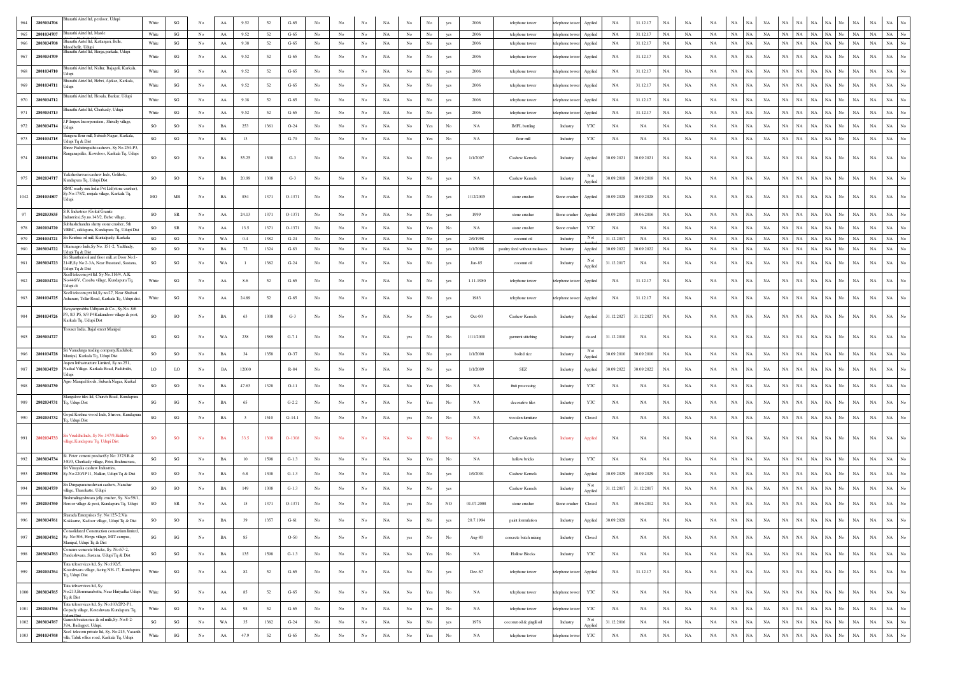| 964  | 2803034706      | Bharathi Airtel Itd, perdoor, Udupi                                                                                      | White                  | $\mathbf{S}\mathbf{G}$ | No               | ${\rm AA}$  | 9.52                    | 52     | $G-65$   |                  |             |                  |             |                  |                                                                                       |                  | 2006        | telephone tower               | 31.12.17<br>$_{\rm NA}$<br>NA<br>NA<br>NA<br>NA<br>NA<br>telephone towe<br>Applied<br>NA                                                                                                                                             | NA                              |
|------|-----------------|--------------------------------------------------------------------------------------------------------------------------|------------------------|------------------------|------------------|-------------|-------------------------|--------|----------|------------------|-------------|------------------|-------------|------------------|---------------------------------------------------------------------------------------|------------------|-------------|-------------------------------|--------------------------------------------------------------------------------------------------------------------------------------------------------------------------------------------------------------------------------------|---------------------------------|
| 965  | 2801034707      | Bharathi Airtel Itd, Marde                                                                                               | White                  | SG                     | No               | ${\rm AA}$  | 9.52                    | 52     | $G-65$   | No               | No          | $\rm No$         | NA          | $_{\rm No}$      | $_{\rm No}$                                                                           | yes              | 2006        | telephone tower               | telephone towe<br>Applied<br>NA<br>31.12.17<br>NA<br>$_{\rm NA}$<br>NA<br>NA<br><b>NA</b><br>NA<br>NA<br>NA<br>$_{\rm NA}$<br>$_{\rm NA}$<br>$_{\rm NA}$<br>NA                                                                       | NA<br>No                        |
| 966  | 2803034708      | harathi Airtel Itd, Kattanjari, Belle,<br>loodhelle Liduni<br>harathi Airtel Itd, Herga, parkala, Udupi                  | White                  | SG                     | No               | ${\rm AA}$  | 9.38                    | 52     | $G-65$   | No               | No.         | No               | NA          | $_{\rm No}$      | No                                                                                    | yes              | 2006        | telephone tower               | $_{\rm NA}$<br>$_{\rm NA}$<br>$_{\rm NA}$<br>$_{\rm NA}$<br>$_{\rm NA}$<br>$_{\rm NA}$<br>$_{\rm NA}$<br>NA<br>NA<br>NA<br>$_{\rm NA}$<br>NA<br>31.12.17<br>NA<br>No<br>telephone tow<br>Applied                                     | $_{\rm NA}$<br>No               |
| 967  | 2803034709      |                                                                                                                          | White                  | SG                     | No               | AA          | 9.52                    | 52     | $G-65$   | No               | No          | No               | NA          | No               | No                                                                                    | yes              | 2006        | telephone tower               | $_{\rm NA}$<br>NA<br>$_{\rm NA}$<br>31.12.17<br>$_{\rm NA}$<br>NA<br>NA<br>NA<br>No.<br>$_{\rm NA}$<br>NA<br>NA<br>NA<br>NA<br>telephone towe<br>Applied<br>NA                                                                       | $_{\rm NA}$                     |
| 968  | 2801034710      | Bharathi Airtel Itd, Nallur, Bajagoli, Karkala,<br>Udupi                                                                 | White                  | SG                     | No               | AA          | 9.52                    | 52     | $G-65$   | No               | No          | No               | NA          | No               | No                                                                                    | yes              | 2006        | telephone tower               | 31.12.17<br>$_{\rm NA}$<br>$_{\rm NA}$<br>$_{\rm NA}$<br>$_{\rm NA}$<br>NA<br>NA<br>$_{\rm NA}$<br>$_{\rm NA}$<br>$_{\rm NA}$<br>$_{\rm NA}$<br>elephone towe<br>Applied<br>NA<br>NA<br>NA<br>No                                     | $_{\rm NA}$                     |
| 969  | 2801034711      | Bharathi Airtel Itd, Hebri, Ajekar, Karkala,<br>Udupi                                                                    | White                  | $_{\rm SG}$            | No               | ${\rm AA}$  | 9.52                    | 52     | $G-65$   | No               | No          | No               | NA          | No               | No                                                                                    | yes              | 2006        | telephone tower               | 31.12.17<br>$_{\rm NA}$<br>$_{\rm NA}$<br>NA<br>$_{\rm NA}$<br>NA<br>$_{\rm NA}$<br>$_{\rm NA}$<br>$_{\rm NA}$<br>$_{\rm NA}$<br>NA<br>elephone towe<br>Applied<br>NA<br>NA<br>Ń<br>No                                               | <b>NA</b>                       |
| 970  | 2803034712      | Bharathi Airtel Itd. Hosala, Barkur, Udupi                                                                               | White                  | SG                     | No               | AA          | 9.38                    | 52     | $G-65$   | No               | No.         | No               | NA          | No               | No                                                                                    | yes              | 2006        | telephone tower               | NA<br>NA<br>NA<br>NA<br>NA<br>$_{\rm NA}$<br>$_{\rm NA}$<br>NA<br>NA<br>31.12.17<br>NA<br>NA<br><b>NA</b><br>telephone towe<br>Applied<br>N٨<br>No                                                                                   | <b>NA</b>                       |
| 971  | 2803034713      | Bharathi Airtel Itd, Cherkady, Udupi                                                                                     | White                  | $\mathbf{S}\mathbf{G}$ | No               | AA          | 9.52                    | 52     | $G-65$   | No               | No          | No               | NA          | No               | No                                                                                    | yes              | 2006        | telephone tower               | $_{\rm NA}$<br>NA<br>$_{\rm NA}$<br>$_{\rm NA}$<br>$_{\rm NA}$<br>$_{\rm NA}$<br>NA<br>elephone towe<br>Applied<br>NA<br>31.12.17<br>NA<br>NA<br>NA<br>NA                                                                            | $_{\rm NA}$                     |
| 972  | 2803034714      | J.P.Impex Incorporation, Shivally village<br>Udupi                                                                       | SO                     | SO                     | No               | $_{\rm BA}$ | 253                     | 1361   | $O-24$   | No               | No          | No               | NA          | No               |                                                                                       | No               | NA          | IMFL bottling                 | $_{\rm NA}$<br>$_{\rm NA}$<br>NA<br>$_{\rm NA}$<br>$_{\rm NA}$<br>$_{\rm NA}$<br>$_{\rm NA}$<br>NA<br>Industry<br>YTC<br>NA<br>NA<br>NA<br>NA<br>NA                                                                                  | NA                              |
| 973  | 2801034715      | ngera flour mill, Subash Nagar, Karkala,<br>Udupi Tq & Dist                                                              | $\mathbf{S}\mathbf{G}$ | $\mathbf{S}\mathbf{G}$ | No               | $_{\rm BA}$ | 13                      |        | $G-70$   | No               | No          | No               | NA          | No               | Yes                                                                                   | No               | NA          | flour mill                    | $_{\rm NA}$<br>$_{\rm NA}$<br>$_{\rm NA}$<br>YTC<br>NA<br>$_{\rm NA}$<br>NA<br>NA<br>NA<br>NA<br>NA<br>NA<br>NA<br>NA<br>NA<br>No<br>Industry                                                                                        | $_{\rm NA}$                     |
|      | 974 2801034716  | Shree Padutirupathi cashews, Sy No.254-P3,<br>inganapalke, Kowdoor, Karkala Tq, Udupi                                    | SO                     | SO                     | No               | $_{\rm BA}$ | 55.25                   | 1308   | $G-3$    | No               | No          | No               | NA          | No               | No                                                                                    | yes              | 1/1/2007    | Cashew Kernels                | 30.09.2021<br>30.09.2021<br>NA<br>NA<br>NA  <br>NA<br>NA<br>Industry<br>Applied<br>NA<br>NA<br>NA<br>NA<br>NA<br><b>NA</b><br>No<br>NA                                                                                               | NA                              |
| 975  | 2802034717      | Yaksheshawari cashew Inds, Golihole,                                                                                     | SO                     | $_{\rm SO}$            | No               | BA          | 20.99                   | 1308   | $G-3$    | No               | No          | No               | NA          | No               | No                                                                                    | yes              | NA          | Cashew Kernels                | Not<br>30.09.2018<br>$_{\rm NA}$<br>$_{\rm NA}$<br>$_{\rm NA}$<br>NA<br>$_{\rm NA}$<br>Industry<br>30.09.2018<br>NA<br>NA<br>NA<br>NA<br>NA<br>NA<br>No<br>NA                                                                        | $_{\rm NA}$                     |
|      | 1042 2801034807 | Cundapura Tq, Udupi Dist<br>RMC ready mix India Pvt Ltd(stone crusher).<br>šy.No:178/2, renjala village, Karkala Tq,     | MO                     | MR                     | No               | BA          | 854                     | 1371   | $O-1371$ | No               | No          | No               | NA          | No               | No                                                                                    | yes              | 1/12/2005   | stone crusher                 | Applied<br>NA<br>Stone crusher<br>Applied<br>30.09.2028<br>30.09.2028<br>NA<br>NA<br>NA<br>NA<br>NA<br>NA<br>NA<br>NA<br>NA<br>NA<br>No.<br>NA                                                                                       | <b>NA</b>                       |
| 97   | 2802033835      | S.K Industries (Gokul Granite                                                                                            | SO                     | SR                     | No               | $\rm AA$    | 24.13                   | 1371   | O-1371   | No               | $_{\rm No}$ | $_{\rm No}$      | NA          | $_{\rm No}$      | No                                                                                    | yes              | 1999        | stone crusher                 | 30.09.2005<br>30.06.2016<br>$_{\rm NA}$<br>$_{\rm NA}$<br>NA<br>$_{\rm NA}$<br>$_{\rm NA}$<br><b>NA</b><br>NA<br>$_{\rm NA}$<br>$_{\rm NA}$<br>$_{\rm NA}$<br>Stone crusher<br>Applied<br>Ń<br>NA                                    | NA                              |
| 978  | 2802034720      | Industries).Sv.no.143/2. Belve village<br>Subhashchandra shetty stone crusher, 5th                                       | SO                     | ${\sf SR}$             | No               |             | 13.5                    | 1371   | O-1371   | No               | No          | No               | NA          | No               | Yes                                                                                   | No               | NA          |                               | $_{\rm NA}$<br>$_{\rm NA}$<br>NA<br>$_{\rm NA}$<br>$_{\rm NA}$<br>$_{\rm NA}$<br>$_{\rm NA}$<br>$_{\rm NA}$<br>YTC<br>NA<br>NA<br>NA<br>NA<br>NA                                                                                     | NA                              |
|      | 2801034721      | VRBC, siddapura, Kundapura Tq, Udupi Dist<br>Sri Krishna oil mill, Kuntalpady, Karkala                                   | $\mathbf{S}\mathbf{G}$ | SG                     | No               | AA<br>WA    | 0.4                     | 1382   | $G-24$   | No               | No          | $_{\rm No}$      | NA          | $_{\rm No}$      | $_{\rm No}$                                                                           | yes              | 2/9/1998    | stone crusher<br>coconut oil  | Stone crusher<br>Not<br>31.12.2017<br>NA<br>$_{\rm NA}$<br>$_{\rm NA}$<br>NA<br>$_{\rm NA}$<br>NA<br>NA<br>NA<br>$_{\rm NA}$<br>NA<br>No<br>NA<br>NA<br>Industry<br>NA                                                               | $_{\rm NA}$                     |
|      | 2803034722      | Uttam agro Inds, Sy No. 151-2, Yadthady,<br>Jdupi Tq & Dist                                                              | SO                     | SO                     | No               | $_{\rm BA}$ | 72                      | 1324   | $G-83$   | No               | No          | $_{\rm No}$      | NA          | $_{\rm No}$      | No                                                                                    | yes              | 1/1/2008    | poultry feed without molasses | 30.09.2022<br>30.09.2022<br>$_{\rm NA}$<br>$_{\rm NA}$<br>NA<br>$_{\rm NA}$<br>$_{\rm NA}$<br>NA<br>NA<br>$_{\rm NA}$<br><b>NA</b><br>$_{\rm NA}$<br>NA<br>Applied<br>Ń<br>Industry                                                  | $_{\rm NA}$                     |
|      | 2803034723      | Sri Shantheri oil and floor mill, at Door No:1<br>214E, Sy No.2-3A, Near Busstand, Sastana.<br>Jdupi Tq & Dist           | SG                     | SG                     | No               | WA          |                         | 1382   | $G-24$   | No               | No          | No               | NA          | No               | No                                                                                    | yes              | Jan-85      | coconut oil                   | NA<br>NA<br>NA<br><b>NA</b><br>NA<br>$_{\rm NA}$<br>$_{\rm NA}$<br>NA<br>31.12.2017<br>NA<br>NA<br>NA<br><b>NA</b><br>No<br>Industry<br>NA<br>Applied                                                                                | $_{\rm NA}$                     |
| 982  | 2802034724      | Xcell telecom pvt ltd. Sy No.116/4, A.K.<br>No:446/V, Casaba village, Kundapura Tq,<br>Jdupi dt                          | White                  | $_{\rm SG}$            | No               | ${\rm AA}$  | 8.6                     | 52     | $G-65$   | No               | No          | No               | NA          | No               | No                                                                                    | yes              | 1.11.1980   | telephone tower               | 31.12.17<br>$_{\rm NA}$<br>NA<br>NA<br>NA<br>NA<br>$_{\rm NA}$<br>$_{\rm NA}$<br>NA<br>telephone towe<br>Applied<br>NA<br>NA<br>NA<br>NA<br>NA<br>No                                                                                 | $_{\rm NA}$                     |
| 983  | 2801034725      | Xcell telecom pvt ltd, Sy no:27, Near Shabari<br>Asharam, Tellar Road, Karkala Tq, Udupi dist                            | White                  | SG                     | No               | ${\rm AA}$  | 24.89                   | 52     | $G-65$   | No               | No          | No               | NA          | $_{\rm No}$      | $_{\rm No}$                                                                           | yes              | 1983        | telephone tower               | 31.12.17<br>$_{\rm NA}$<br>$_{\rm NA}$<br>NA<br>$_{\rm NA}$<br>$_{\rm NA}$<br>NA<br>NA<br>$_{\rm NA}$<br>NA<br>$_{\rm NA}$<br>$_{\rm NA}$<br>telephone towe<br>Applied<br>NA<br>NA<br>No                                             | $_{\rm NA}$                     |
|      | 2801034726      | Swayamprabha Udhyam & Co., Sy.No. 8/6<br>P3, 8/3 P5, 8/3 P4Kukundoor village & post,<br>Karkala Tq, Udupi Dist           | SO                     | SO                     | No               | $_{\rm BA}$ | 63                      | 1308   | $G-3$    | No               | No          | No               | NA          | $_{\rm No}$      | No                                                                                    | yes              | $Oct-00$    | Cashew Kernels                | 31.12.2027<br>31.12.2027<br>$_{\rm NA}$<br>NA<br>NA<br>$_{\rm NA}$<br>NA<br>NA<br>$_{\rm NA}$<br>$_{\rm NA}$<br>$_{\rm NA}$<br>$_{\rm NA}$<br>Industry<br>Applied<br>NA<br>N/<br>No                                                  | $_{\rm NA}$                     |
| 984  |                 |                                                                                                                          |                        |                        |                  |             |                         |        |          |                  |             |                  |             |                  |                                                                                       |                  |             |                               |                                                                                                                                                                                                                                      |                                 |
| 985  | 2803034727      | Trouser India, Bajal street Manipal                                                                                      | SG                     | SG                     | No               | WA          | 238                     | 1589   | $G-7.1$  | No               | No          | No               | NA          | yes              | No                                                                                    | No               | 1/11/2000   | garment stitching             | 31.12.2010<br>NA<br>$_{\rm NA}$<br>NA<br>NA<br>$_{\rm NA}$<br>NA<br>$_{\rm NA}$<br>$_{\rm NA}$<br>$_{\rm NA}$<br>$_{\rm NA}$<br>NA<br>Industry<br>closed<br>NA<br>NA<br>No                                                           | $_{\rm NA}$                     |
|      | 2801034728      | Sri Vanadurga trading company, Kaduhole,                                                                                 | SO                     | SO                     | No               | $_{\rm BA}$ | 34                      | 1358   | $O-37$   | No               | No          | No               | NA          | $_{\rm No}$      | No                                                                                    | yes              | 1/1/2000    | boiled rice                   | Not<br>30.09.2010<br>30.09.2010<br>$_{\rm NA}$<br>NA<br>$_{\rm NA}$<br>NA<br>NA<br>$_{\rm NA}$<br>$_{\rm NA}$<br>$_{\rm NA}$<br>$_{\rm NA}$<br>Industry<br>NA<br>NA<br>NA<br>No                                                      | $_{\rm NA}$                     |
| 987  | 2803034729      | Muniyal, Karkala Tq, Udupi Dist<br>Aspen Infrastructure Limited, Sv.no.251.<br>Nadsal Village. Karkala Road, Padubidri,  | LO                     | LO                     | No               | BA          | 12000                   |        | $R-84$   | No               | No          | No               | NA          | No               | No                                                                                    | yes              | 1/1/2009    | SEZ                           | Applied<br>30.09.2022<br>30.09.2022<br>$_{\rm NA}$<br>$_{\rm NA}$<br>$_{\rm NA}$<br>NA<br>$_{\rm NA}$<br>$_{\rm NA}$<br>$_{\rm NA}$<br>$_{\rm NA}$<br>Industry<br>Applied<br>NA<br>NA<br>NA<br>NA<br>No                              | $_{\rm NA}$                     |
| 988  | 2803034730      | dupi<br>Agro Manipal foods, Subash Nagar, Kurkal                                                                         | SO                     | SO                     | No               | $_{\rm BA}$ | 47.63                   | 1328   | $O-11$   | No               | No          | No               | NA          | No               | Yes                                                                                   | No               | NA          | fruit processing              | YTC<br>$_{\rm NA}$<br>NA<br>NA<br>$_{\rm NA}$<br>NA<br>NA<br>NA<br>$_{\rm NA}$<br>$_{\rm NA}$<br>$_{\rm NA}$<br>$_{\rm NA}$<br>Industry<br>NA<br>NA<br>NA<br>No                                                                      | $_{\rm NA}$                     |
| 989  | 2802034731      | Mangalore tiles ltd, Church Road, Kundapura<br>Tq, Udupi Dist                                                            | SG                     | SG                     | No               | BA          | 65                      |        | $G-2.2$  | No               | No          | No               | NA          | No               | Yes                                                                                   | No               | NA          | decorative tiles              | NA<br>Industry<br>YTC<br>NA<br>NA<br>NA<br>NA<br>NA<br>NA<br>NA<br>NA<br>NA<br>NA<br>NA<br>NA<br>NA<br>No                                                                                                                            | NA                              |
| 990  | 2802034732      | Gopal Krishna wood Inds, Shiroor, Kundapura                                                                              | SG                     | $\mathbf{S}\mathbf{G}$ | No               | $_{\rm BA}$ | $\overline{\mathbf{3}}$ | 1510   | $G-14.1$ | No               | No          | No               | NA          | yes              | No                                                                                    | No               | NA          | wooden furniture              | NA NA NA NA<br>$_{\rm NA}$<br>NA<br>$_{\rm NA}$<br>NA<br>NA<br>$_{\rm NA}$<br>No<br>NA<br>Closed<br>NA<br>NA<br>NA<br>Industry                                                                                                       | $_{\rm NA}$                     |
| 991  | 2802034733      | Tq, Udupi Dist<br>ri Vruddhi Inds, Sy No.147/9, Halihole<br>age, Kundapura Tq, Udupi Dist.                               | <b>SO</b>              | <b>SO</b>              | <b>No</b>        | <b>BA</b>   | 33.5                    | 1308   | $O-1308$ | <b>No</b>        | <b>No</b>   | No               | NA          | No               | No                                                                                    | Yes              | NA          | Cashew Kernels                | $\rm NA-NA$<br>$_{\rm NA}$<br>NA<br>NA<br>NA<br>NA<br>No<br>NA<br>NA<br><b>NA</b><br>NA<br>NA.<br>Industry<br>Applied<br>NA<br>NA.                                                                                                   | $_{\rm NA}$                     |
| 992  | 2803034734      | St. Peter cement productSy No: 337/1B &                                                                                  | SG                     | $\mathbf{S}\mathbf{G}$ | No               | $_{\rm BA}$ | 10                      | 1598   | $G-1.3$  | No               | No          | No               | NA          | No               | Yes                                                                                   | No               | NA          | hollow bricks                 | $_{\rm NA}$<br>$_{\rm NA}$<br>NA<br>NA<br>$_{\rm NA}$<br>$_{\rm NA}$<br>Industry<br>YTC<br>NA<br>NA<br>NA<br>NA<br>NA<br>NA<br>NA<br>NA                                                                                              | $_{\rm NA}$                     |
| 993  | 2803034758      | 340/3, Cherkady village, Petri, Brahmavara,<br>Sri Vinayaka cashew Industries<br>Sy.No:220/1P11, Nalkur, Udupi Tq & Dist | SO                     | SO                     | $_{\mathrm{No}}$ | $_{\rm BA}$ | 6.8                     | 1308   | $G-1.3$  | $_{\rm No}$      | No          | No               | NA          | $_{\rm No}$      | No                                                                                    | yes              | 1/9/2001    | Cashew Kernels                | $_{\rm NA}$<br>$_{\rm NA}$<br>30.09.2029<br>30.09.2029<br>$_{\rm NA}$<br>$_{\rm NA}$<br>NA<br>$_{\rm NA}$<br>$_{\rm NA}$<br>NA<br>$_{\rm NA}$<br>NA<br>$_{\rm NA}$<br>Industry<br>Applied<br>Ń                                       | $_{\rm NA}$                     |
| 994  | 2803034759      | Sri Durgaparameshwari cashew, Nanchar<br>village, Tharekatte, Udupi                                                      | SO                     | SO                     | No               | $_{\rm BA}$ | 149                     | 1308   | $G-1.3$  | No               | No          | No               | NA          | $_{\rm No}$      | $_{\rm No}$                                                                           | yes              |             | Cashew Kernels                | Not<br>31.12.2017<br>31.12.2017<br>NA<br>$_{\rm NA}$<br>NA<br>NA<br>NA<br>NA<br><b>NA</b><br><b>NA</b><br>$_{\rm NA}$<br>NA<br>Industry<br>NA<br>NA<br>No<br>Applied                                                                 | $_{\rm NA}$                     |
|      | 2802034760      | 3rahmalingeshwara ielly crusher, Sv. No59/1<br>Heroor village & post, Kundapura Tq, Udupi                                | SO                     | ${\sf SR}$             | No               | AA          | 15                      | 1371   | $O-1371$ | No               | No          | No               | NA          | yes              |                                                                                       | NO.              | 01.07.2008  | stone crusher                 | 30.06.2012<br>NA<br>NA<br>NA<br>Stone crusher<br>Closed<br>NA<br>NA<br>NA<br>NA<br>NA<br>NA<br>NA<br>NA                                                                                                                              | NA                              |
| 996  | 2803034761      | Sharada Enterprises Sy. No:125-2, Via<br>Kokkame, Kadoor village, Udupi Tq & Dist                                        | $\rm SO$               | $SO$                   | No               | $_{\rm BA}$ | 39                      | 1357   | $G-61$   | No.              | No.         | No               | NA          | No               | No                                                                                    | yes              | 20.7.1994   | paint formulation             | $_{\rm NA}$<br>$_{\rm NA}$<br>$_{\rm NA}$<br>$_{\rm NA}$<br>$_{\rm NA}$<br>NA<br>$_{\rm NA}$<br>$_{\rm NA}$<br>30.09.2028<br><b>NA</b><br>NA<br>$_{\rm NA}$<br>NA<br>Industry<br>Applied<br>NA<br>No                                 | $_{\rm NA}$                     |
| 997  | 2803034762      | onsolidated Construction consortium limited,<br>Sy. No:306, Herga vilage, MIT campus,<br>Manipal, Udupi Tq & Dist        | $\mathbf{S}\mathbf{G}$ | $\mathbf{S}\mathbf{G}$ | No               | $_{\rm BA}$ | 85                      |        | $O-50$   | No               | No          | $_{\rm No}$      | NA          | yes              | $_{\rm No}$                                                                           | $_{\rm No}$      | Aug-80      | concrete batch mixing         | $_{\rm NA}$<br>$_{\rm NA}$<br>$_{\rm NA}$<br>NA<br>NA<br>$_{\rm NA}$<br>NA<br>No<br>$_{\rm NA}$<br>NA<br>NA<br>$_{\rm NA}$<br>NA<br>NA<br>Industry<br>Closed<br><b>NA</b>                                                            | $_{\rm NA}$<br>$_{\mathrm{No}}$ |
| 998  | 2803034763      | oncure concrete blocks, Sy. No:67-2,<br>Pandeshwara, Sastana, Udupi Tq & Dist                                            | $\mathbf{S}\mathbf{G}$ | $\mathbf{S}\mathbf{G}$ | $_{\mathrm{No}}$ | $_{\rm BA}$ | 135                     | 1598   | $G-1.3$  | $_{\rm No}$      | $_{\rm No}$ | $_{\rm No}$      | $_{\rm NA}$ | $_{\mathrm{No}}$ | $\operatorname*{Yes}% \left( X\right) \equiv\operatorname*{Yes}(\mathbb{R}^{3}\left)$ | $_{\mathrm{No}}$ | NA          | <b>Hollow Blocks</b>          | YTC<br>$_{\rm NA}$<br>$_{\rm NA}$<br>$_{\rm NA}$<br>$_{\rm NA}$<br>$_{\rm NA}$<br>$_{\rm NA}$<br>$_{\rm NA}$<br>$_{\rm NA}$<br>$_{\rm NA}$<br>$_{\rm NA}$<br>$_{\rm NA}$<br>NA<br>NA<br>NA<br>No<br>$\operatorname{Industry}$        | $_{\rm NA}$<br>$_{\mathrm{No}}$ |
| 999  | 2802034764      | Tata teleservices ltd, Sy. No:192/5,<br>Koteshwara village, facing NH-17, Kundapura<br>Tq, Udupi Dist                    | White                  | $\mathbf{S}\mathbf{G}$ | No               | $\rm AA$    | 82                      | 52     | $G-65$   | No               | No          | $_{\rm No}$      | NA          | $_{\rm No}$      | No                                                                                    | yes              | Dec-67      | telephone tower               | $_{\rm NA}$<br>$_{\rm NA}$<br>$_{\rm NA}$<br>$_{\rm NA}$<br>$_{\rm NA}$<br>$_{\rm NA}$<br>$_{\rm NA}$<br>$_{\rm NA}$<br>telephone tower<br>Applied<br>NA<br>31.12.17<br>NA<br>NA<br>NA<br>No<br>NA                                   | $_{\rm NA}$<br>No               |
| 1000 | 2803034765      | Tata teleservices ltd, Sy.<br>No:213, Bommarabettu, Near Hiriyadka Udupi<br>Tq & Dist                                    | White                  | $\mathbf{S}\mathbf{G}$ | No               | ${\rm AA}$  | 85                      | $52\,$ | $G-65$   | No               | No          | $_{\rm No}$      | NA          | $_{\rm No}$      | $\operatorname{Yes}$                                                                  | $_{\rm No}$      | NA          | telephone tower               | $_{\rm NA}$<br>$_{\rm NA}$<br>$_{\rm NA}$<br>telephone towe<br>$_{\rm YTC}$<br>NA<br>$_{\rm NA}$<br>$_{\rm NA}$<br>NA<br>NA<br>NA<br>NA<br>$_{\rm NA}$<br>$_{\rm NA}$<br>No<br>$_{\rm NA}$<br>NA                                     | $_{\rm NA}$<br>$_{\mathrm{No}}$ |
| 1001 | 2802034766      | Tata teleservices ltd, Sy. No:103/2P2-P1,<br>Gopady village, Koteshwara Kundapura Tq,                                    | White                  | $\mathbf{S}\mathbf{G}$ | $_{\mathrm{No}}$ | ${\rm AA}$  | 98                      | $52\,$ | $G-65$   | $_{\mathrm{No}}$ | $_{\rm No}$ | $_{\rm No}$      | $_{\rm NA}$ | $_{\mathrm{No}}$ | $\operatorname{Yes}$                                                                  | $_{\mathrm{No}}$ | NA          | telephone tower               | $_{\rm NA}$<br>YTC<br>$_{\rm NA}$<br>$_{\rm NA}$<br>$_{\rm NA}$<br>$_{\rm NA}$<br>$_{\rm NA}$<br>$_{\rm NA}$<br>$_{\rm NA}$<br>$_{\rm NA}$<br>$_{\rm NA}$<br>$_{\rm NA}$<br>$_{\rm NA}$<br>NA<br>No<br>telephone towe<br><b>NA</b>   | $_{\rm NA}$<br>$_{\mathrm{No}}$ |
| 1002 | 2803034767      | luni Dist<br>Ganesh beaten rice & oil mills, Sy. No:8-2-                                                                 | $\mathbf{S}\mathbf{G}$ | $\mathbf{S}\mathbf{G}$ | No               | WA          | 35                      | 1382   | $G-24$   | $_{\mathrm{No}}$ | No          | No               | $_{\rm NA}$ | $_{\mathrm{No}}$ | $_{\rm No}$                                                                           | yes              | 1976        | coconut oil & gingili oil     | Not<br>$_{\rm NA}$<br>$_{\rm NA}$<br>$_{\rm NA}$<br>$_{\rm NA}$<br>31.12.2016<br>$_{\rm NA}$<br>$_{\rm NA}$<br>NA<br>$_{\rm NA}$<br>NA<br>$_{\rm NA}$<br>Industry<br>NA<br>NA<br>NA<br>No<br>Applied                                 | $_{\rm NA}$<br>$_{\rm No}$      |
| 1003 | 2801034768      | 39A, Badagpet, Udupi.<br>Xcel telecom private ltd, Sy. No:215, Vasantl<br>villa, Taluk office road, Karkala Tq, Udupi    | White                  | $\mathbf{S}\mathbf{G}$ | $_{\mathrm{No}}$ | ${\rm AA}$  | 47.9                    | 52     | $G-65$   | $_{\mathrm{No}}$ | $_{\rm No}$ | $_{\mathrm{No}}$ | $_{\rm NA}$ | $_{\mathrm{No}}$ | $\operatorname{Yes}$                                                                  | $_{\mathrm{No}}$ | $_{\rm NA}$ | telephone tower               | YTC<br>$_{\rm NA}$<br>$_{\rm NA}$<br>$_{\rm NA}$<br>$_{\rm NA}$<br>$_{\rm NA}$<br>$_{\rm NA}$<br>$_{\rm NA}$<br>$_{\rm NA}$<br>$_{\rm NA}$<br>$_{\rm NA}$<br>$_{\rm NA}$<br>$_{\rm NA}$<br>$_{\rm NA}$<br>telephone towe<br>NA<br>No | $_{\rm NA}$<br>$_{\mathrm{No}}$ |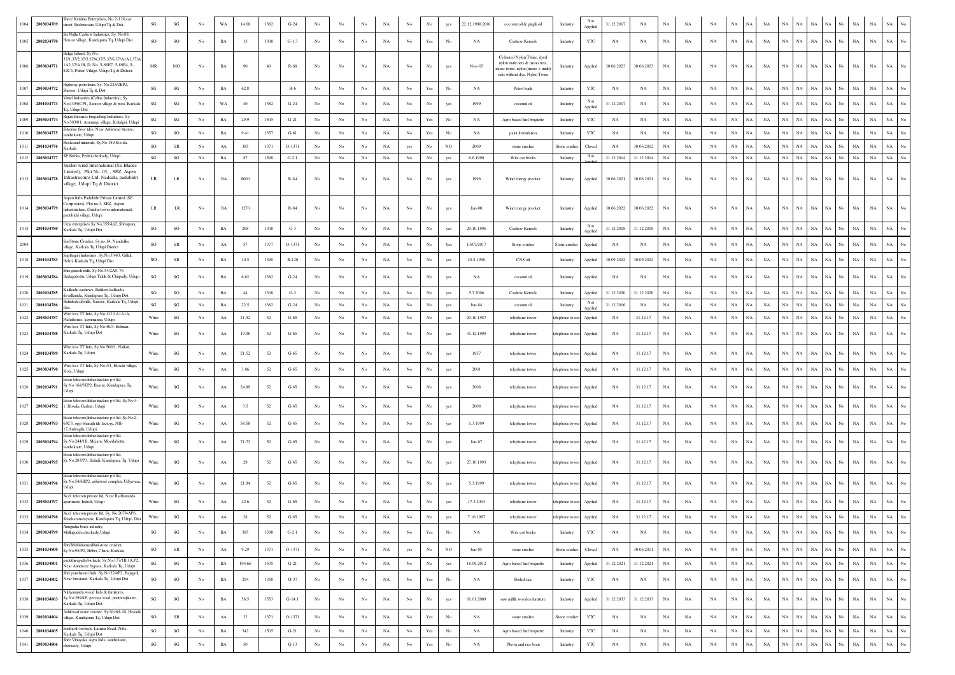|      | 2803034769      | Shree Krishna Enterprises, No.2-126,car<br>street, Brahmavara Udupi Tq & Dist.                                                                              | $\mathbf{S}\mathbf{G}$ | $\mathbf{S}\mathbf{G}$ | No               | WA          | 14.68  | 1382 | $G-24$   |                  |                  |                  |             |                  | No                                                                                    | yes              | 22.12.1988,2001 | coconut oil & gingili oil                                                                                                        | Industry       | Not<br>Applied | 31.12.2017  | NA          |             |             |             |             |             |             |                   |             |             |             |                            |             |                  |
|------|-----------------|-------------------------------------------------------------------------------------------------------------------------------------------------------------|------------------------|------------------------|------------------|-------------|--------|------|----------|------------------|------------------|------------------|-------------|------------------|---------------------------------------------------------------------------------------|------------------|-----------------|----------------------------------------------------------------------------------------------------------------------------------|----------------|----------------|-------------|-------------|-------------|-------------|-------------|-------------|-------------|-------------|-------------------|-------------|-------------|-------------|----------------------------|-------------|------------------|
| 1005 | 2802034770      | Sri Nidhi Cashew Industries, Sy. No:88,<br>Heroor village, Kundapura Tq, Udupi Dist                                                                         | SO                     | SO                     | No               | $_{\rm BA}$ | 13     | 1308 | $G-1.3$  | No               | No               | No               | NA          | No               | Yes                                                                                   | No               | NA              | Cashew Kernels                                                                                                                   | Industry       | YTC            | NA          | NA          | NA          | NA          | NA          | $_{\rm NA}$ | NA.         | NA          | NA                | NA          | NA          | $_{\rm NA}$ | $_{\rm NA}$                | $_{\rm NA}$ |                  |
|      | 1006 2803034771 | Baliga fishnet, Sv.No.<br>37/1.37/2.37/3.37/4.37/5.37/6.37/A1A1.37//<br>1A2,37/A1B, D. No. 5-89E7, 5-89E4, 5-<br>82C4, Putter Village, Udupi Tq & District. | MR                     | MO                     | No               | BA          | 90     | 40   | R-68     | No               | No               | No               | NA          | No               | No                                                                                    |                  | Nov-05          | Coloured Nylon Twine, dyed<br>nylon multi nets & mono nets,<br>tono twine, nylon (mono + multi)<br>nets without dye, Nylon Twine | Industry       | Applied        | 30.06.2023  | 30.06.2023  | NA          | NA          | NA          | NA          | NA 1        | NA          | NA<br>NA          | NA          | NA          | No          | NA<br>NA                   | NA          |                  |
| 1007 | 2803034772      | Highway petroleum, Sy. No.225/2BP2,<br>Shiroor, Udupi To & Dist                                                                                             | SG                     | SG                     | No               | BA          | 62.8   |      | $R-6$    | No               | No               | No               | NA          | No               | Yes                                                                                   |                  | NA              | Petrol bunk                                                                                                                      | Industry       | YTC            | NA          | NA          | NA          | NA          | NA          | NA          | NA          | $_{\rm NA}$ | <b>NA</b><br>NA   | NA          | NA          | NA          | $_{\rm NA}$                | $_{\rm NA}$ |                  |
| 1008 | 2801034773      | Vintel Industries (Celina Industries), Sv.<br>No:439/6CP1, Sanoor village & post, Karkala<br>Tq, Udupi Dist                                                 | SG                     | $\mathbf{SG}$          | No               | WA          | 40     | 1382 | $G-24$   | No               | No               | No               | NA          | No               | No                                                                                    |                  | 1999            | coconut oil                                                                                                                      | Industry       | Not<br>Applied | 31.12.2017  | NA          | $_{\rm NA}$ | NA          | $_{\rm NA}$ | NA          | NA          | NA          | NA<br>NА          | $_{\rm NA}$ | NA          | No          | $_{\rm NA}$<br>$_{\rm NA}$ | NA          |                  |
| 1009 | 2803034774      | ajan Biomass briquetting Industries, Sy.<br>No:303/01, Ammunje village, Kolalgiri, Udup                                                                     | SG                     | SG                     | No               | BA          | 29.9   | 1505 | $G-21$   | No               | No               | No               | NA          | No               | Yes                                                                                   | No               | NA              | Agro based fuel briquette                                                                                                        | Industry       | <b>YTC</b>     | NA          | NA          | NA          | NA          | NA          | <b>NA</b>   | NA          | NA          | NA<br>NA          | NA          | NА          |             | NA<br>$_{\rm NA}$          | <b>NA</b>   |                  |
|      | 2803034775      | Silverine floor tiles, Near Ashirwad theatre,<br>santhekatte, Udupi                                                                                         | SO                     | SO                     | No               | $_{\rm BA}$ | 9.41   | 1357 | $G-61$   | No               | $_{\rm No}$      | No               | NA          | $_{\mathrm{No}}$ | Yes                                                                                   | No               | NA              | paint formulation                                                                                                                | Industry       | YTC            | NA          | NA          | $_{\rm NA}$ | NA          | NA          | NA          | NA          | NA          | NA                | NA          |             |             | $_{\rm NA}$<br>$_{\rm NA}$ | $_{\rm NA}$ |                  |
| 1011 | 2801034776      | Rocksand minerals, Sy.No:189,Sooda,<br>Karkala                                                                                                              | <b>SO</b>              | SR                     | No               | AA          | 385    | 1371 | O-1371   | $_{\rm No}$      | No               | No               | NA          | yes              | No                                                                                    | NO               | 2009            | stone crusher                                                                                                                    | Stone crusher  | Closed         | NA          | 30.06.2012  | NA          | $_{\rm NA}$ | NA          | $_{\rm NA}$ | NA          | NA          | NA<br>ŃA          | NA          |             |             | $_{\rm NA}$<br>$_{\rm NA}$ | $_{\rm NA}$ |                  |
| 1012 | 2803034777      | SP Bricks, Pethri,cherkady, Udupi                                                                                                                           | SG                     | SG                     | No               | BA          | 87     | 1598 | $G-2.1$  | No               | No               | No               | NA          | No               | No                                                                                    | yes              | 6.6.1990        | Wire cut bricks                                                                                                                  | Industry       | Not<br>innlie  | 31.12.2014  | 31.12.2014  | $_{\rm NA}$ | $_{\rm NA}$ | NA          | NA          | NA          | NA          | <b>NA</b><br>NA   | $_{\rm NA}$ | NA          | No          | NA<br>NA                   | NA          |                  |
|      | 1013 2803034778 | Suzlon wind International (SE Blades<br>Limited), Plot No. 03, , SEZ, Aspen<br>Infrastructure Ltd, Nadsalu, padubidri<br>village, Udupi Tq & District       | LR                     | $\rm LR$               | No               | BA          | 8000   |      | R-84     | No               | No               | No               | NA          | No               | No                                                                                    | yes              | 1996            | Wind energy product                                                                                                              | Industry       | Applied        | 30.06.2021  | 30.06.2021  | NA          | NA          | NA          | NA          | NA          | NA          | NA<br>NА          | $_{\rm NA}$ | NA          |             | $_{\rm NA}$<br>NA          | NA          |                  |
| 1014 | 2803034779      | Aspen Infra Padubidri Private Limited (SE<br>mposites), Plot no.3, SEZ- Aspen<br>Infrastructure, (Suzlon tower international).<br>padubidri village, Udupi  | LR.                    | <b>LR</b>              | No               | BA          | 1270   |      | $R - 84$ | No               | No               | No               | NA          | No               | No                                                                                    | yes              | $Jan-00$        | Wind energy product                                                                                                              | Industry       | Applied        | 30.06.2022  | 30.06.2022  | <b>NA</b>   | NA          | NA          | NA          | NA.         | NA          | NA<br>NA          | $_{\rm NA}$ | NA          | No.         | $_{\rm NA}$<br>$_{\rm NA}$ | $_{\rm NA}$ | No               |
| 1015 | 2801034780      | Uma enterprises Sy.No:355/4p2, Shivapura,<br>Karkala Tq, Udupi Dist                                                                                         | SO                     | SO                     | No               | BA          | 268    | 1308 | $G-3$    | No               | No               | No               | NA          | No               | No                                                                                    | yes              | 29.10.1996      | Cashew Kernels                                                                                                                   | Industry       | Not<br>Applied | 31.12.2018  | 31.12.2018  | $_{\rm NA}$ | NA          | <b>NA</b>   | $_{\rm NA}$ | NA          | NA          | NA<br>NA          | $_{\rm NA}$ | NA          |             | $_{\rm NA}$<br>$_{\rm NA}$ | $_{\rm NA}$ |                  |
| 2004 |                 | Sai Stone Crusher, Sy.no.14, Nandalike<br>village, Karkala Tq Udupi District                                                                                | so                     | SR                     | No               | AA          | -57    | 1377 | O-1371   | No               | No               | No               | NA          | $_{\rm No}$      | No                                                                                    | Yes              | 13/07/2017      | Stone crusher                                                                                                                    | Stone crusher  | Applied        | NA          | NA          | $_{\rm NA}$ | NA          | NA          | NA          | <b>NA</b>   | NA          | <b>NA</b><br>NA   | $_{\rm NA}$ |             |             | $_{\rm NA}$<br>$_{\rm NA}$ | $_{\rm NA}$ |                  |
|      | 1018 2801034783 | Sapthagiri Industries, Sy.No:334/3, Gillali,<br>Hebri, Karkala Tq, Udupi Dist                                                                               | SO                     | SR                     | No               | BA          | 10.5   | 1390 | R-120    | No               | No               | No               | NA          | $_{\rm No}$      | No                                                                                    | yes              | 20.8.1998       | CNS oil                                                                                                                          | Industry       | Applied        | 30.09.2022  | 30.09.2022  | NA          | NA          | NA          | NA          | NA          | NA          | NA<br>NA          | $_{\rm NA}$ | NA          | No          | $_{\rm NA}$<br>$_{\rm NA}$ | $_{\rm NA}$ |                  |
| 1019 | 2803034784      | Shri ganesh mills, Sy.No.54/2A9, 76<br>Badagabettu, Udupi Taluk & Chitpady, Udupi                                                                           | SG                     | SG                     | No               | BA          | 6.62   | 1382 | $G-24$   | No               | No               | No               | NA          | No               | No                                                                                    | yes              | NA              | coconut oil                                                                                                                      | Industry       | Applied        | NA          | NA          | NA          | NA          | NA          | NA          | NA          | NA          | <b>NA</b><br>NA   | $_{\rm NA}$ | <b>NA</b>   | No          | NA<br>$_{\rm NA}$          | NA          |                  |
| 1020 | 2802034785      | Kalikadu cashews, Balikeri-kalikadu<br>devalkunda. Kundapura To, Udupi Dist                                                                                 | SO                     | SO                     | No               | BA          | 44     | 1308 | $G-3$    | $_{\rm No}$      | $_{\rm No}$      | No               | NA          | $_{\mathrm{No}}$ | No                                                                                    | ves              | 5.7.2006        | Cashew Kernels                                                                                                                   | Industry       | Applied        | 31.12.2020  | 31.12.2020  | NA          | NA          | NA          | $_{\rm NA}$ | NA          | NA          | NA                | <b>NA</b>   | NA          |             | $_{\rm NA}$<br>$_{\rm NA}$ |             |                  |
| 1021 | 2801034786      | Bahubali oil mills, Sanoor, Karkala Tq, Udup                                                                                                                | SG                     | $\mathbf{S}\mathbf{G}$ | No               | BA          | 22.5   | 1382 | $G-24$   | No               | $_{\rm No}$      | No               | NA          | $_{\mathrm{No}}$ | $_{\rm No}$                                                                           | yes              | Jun-84          | coconut oil                                                                                                                      | Industry       | Not<br>Applied | 31.12.2016  | NA          | NA          | NA          | NA          | $_{\rm NA}$ | $_{\rm NA}$ | NA          | NA<br>NA          | NA          | NA          | No.         | NA<br>$_{\rm NA}$          | $_{\rm NA}$ | No               |
| 1022 | 2803034787      | Wire less TT Info, Sy.No:122/1A1A1A,<br>Paduthonse, kemmannu, Udupi                                                                                         | White                  | $\mathbf{S}\mathbf{G}$ | No               | AA          | 21.52  | 52   | $G-65$   | No               | No               | No               | NA          | No               | No                                                                                    | yes              | 20.10.1987      | telephone tower                                                                                                                  | telephone towe | Applied        | NA          | 31.12.17    | NA          | NA          | NA          | NA          | <b>NA</b>   | NA          | NA<br>NA          | NA          | <b>NA</b>   | No          | NA<br>$_{\rm NA}$          | $_{\rm NA}$ | No               |
| 1023 | 2801034788      | Wire less TT Info. Sv.No:46/3. Belman.<br>Karkala Tq, Udupi Dist                                                                                            | White                  | $\mathbf{S}\mathbf{G}$ | No               | AA          | 19.96  | 52   | $G-65$   | No               | No               | No               | NA          | $_{\mathrm{No}}$ | No                                                                                    | yes              | 31.12.1999      | telephone tower                                                                                                                  | telephone towe | Applied        | NA          | 31.12.17    | NA          | NA          | NA          | NA          | NA          | NA          | NA<br>ŃА          | $_{\rm NA}$ | NA          |             | $_{\rm NA}$<br>$_{\rm NA}$ | $_{\rm NA}$ |                  |
|      | 1024 2801034789 | Wire less TT Info, Sy.No:500/1, Nalkur<br>Karkala Tq, Udupi                                                                                                 | White                  | $\mathbf{S}\mathbf{G}$ | No               | AA          | 21.52  | 52   | $G-65$   | No               | No               | No               | NA          | No               | No                                                                                    |                  | 1957            | telephone tower                                                                                                                  | telephone tow  | Applied        | NA          | 31.12.17    | <b>NA</b>   | NA          | NA          | NA          | NA          | NA          | NA<br>NA          | <b>NA</b>   |             | <b>NA</b>   | $_{\rm NA}$                | $_{\rm NA}$ |                  |
| 1025 | 2803034790      | Wire less TT Info, Sy.No:3/1, Hosala village<br>Kota, Udupi                                                                                                 | White                  | $\mathbf{S}\mathbf{G}$ | No               | ${\rm AA}$  | 3.86   | 52   | $G-65$   | No               | No               | No               | $_{\rm NA}$ | $_{\rm No}$      | No                                                                                    | yes              | 2001            | telephone tower                                                                                                                  | telephone towe | Applied        | NA          | 31.12.17    | $_{\rm NA}$ | NA          | NA          | $_{\rm NA}$ | NA          | NA          | NA<br>NA          | NA          | $_{\rm NA}$ | No.         | $_{\rm NA}$<br>$_{\rm NA}$ | $_{\rm NA}$ |                  |
| 1026 | 2802034791      | Essar telecom Infrastructure pvt ltd.<br>Sy.No:168/3EP2, Basrur, Kundapura Tq,<br>dupi                                                                      | White                  | $\mathbf{S}\mathbf{G}$ | No               | AA          | 24.89  | 52   | $G-65$   |                  |                  |                  | NA          | No               | No                                                                                    |                  | 2008            | telephone tower                                                                                                                  | telephone towe | Applied        | NA          | 31.12.17    | NA          | NA          | <b>NA</b>   | NA          | NA          | NA          | <b>NA</b><br>NA.  | $_{\rm NA}$ | NA          |             | $_{\rm NA}$<br>$_{\rm NA}$ | <b>NA</b>   |                  |
| 1027 | 2803034792      | Essar telecom Infrastructure pvt ltd, Sy.No:3<br>1, Hosala, Barkur, Udupi                                                                                   | White                  | SG                     | No               | AA          | 3.5    | 52   | $G-65$   | No               | No               | No               | NA          | No               | No                                                                                    | yes              | 2008            | telephone tower                                                                                                                  | telephone towe | Applied        | NA          | 31.12.17    | NA          | NA          | NA          | NA          | <b>NA</b>   | NA          | NA<br>NA          | $_{\rm NA}$ | NА          | <b>NA</b>   | NA                         | <b>NA</b>   |                  |
| 1028 | 2803034793      | Essar telecom Infrastructure pvt ltd, Sy.No.2<br>65C3, opp bharath tile factory, NH-<br>Ambagilu, Udupi                                                     | White                  | $\mathbf{S}\mathbf{G}$ | No               | ${\rm AA}$  | 58.58  | 52   | $G-65$   | No               | No               | No               | NA          | $_{\mathrm{No}}$ | No                                                                                    | yes              | 1.3.1999        | telephone tower                                                                                                                  | telephone towe | Applied        | NA          | 31.12.17    | $_{\rm NA}$ | NA          | $_{\rm NA}$ | NA          | NA          | NA          | $_{\rm NA}$<br>NА | $_{\rm NA}$ | NA          | No          | $_{\rm NA}$<br>$_{\rm NA}$ | NA          |                  |
| 1029 | 2803034794      | ssar telecom Infrastructure pvt ltd,<br>Sy.No:244/1B, Mejaru, Moodabettu,<br>santhekatte, Udupi                                                             | White                  | SG                     | No               | AA          | 71.72  | 52   | $G-65$   | No               | No               | No               | NA          | No               | No                                                                                    |                  | Jan-07          | telephone tower                                                                                                                  | telephone tow  | Applied        | NA          | 31.12.17    | NA          | NA          | NA          | NA          | <b>NA</b>   | NA          | <b>NA</b><br>NА   | NA          |             | NA          | NA                         | NA          |                  |
|      | 1030 2802034795 | Essar telecom Infrastructure pvt ltd,<br>Sy.No:203/P3, Haladi, Kundapura Tq, Udupi                                                                          | White                  | SG                     | No               | AA          |        | 52   | $G-65$   |                  | No               | No               | NA          | No               | No                                                                                    |                  | 27.10.1993      | telephone tower                                                                                                                  | telephone tov  | Applied        | NA          | 31.12.17    | NA          | NA          | NA          | NA          | <b>NA</b>   | NA          | NA<br>NА          | NA          |             | NA          | NA                         | NA          |                  |
| 1031 | 2803034796      | Essar telecom Infrastructure pvt ltd,<br>Sy.No:54/6BP2, ashirwad complex, Udyavara,<br>Jdupi                                                                | White                  | SG                     | No               | AA          | 21.94  | 52   | $G-65$   | No               | No               | No               | NA          | No               | No                                                                                    | yes              | 5.3.1999        | telephone tower                                                                                                                  | telephone toy  | Applied        | NA          | 31.12.17    | NA          | NA          | NA          | NA          | <b>NA</b>   | NA          | NA<br>NА          | $_{\rm NA}$ |             | NA          | NA                         | NA          |                  |
| 1032 | 2803034797      | Xcel telecom private ltd. Near Radhananda<br>apartment, Indrali, Udupi                                                                                      | White                  | $\mathbf{S}\mathbf{G}$ | No               | AA          | 22.6   | 52   | $G-65$   | No               |                  | No               | NA          | No               | No                                                                                    |                  | 17.3.2003       | telephone tower                                                                                                                  | telephone towe | Applied        | NA          | 31.12.17    | NA          | NA          | <b>NA</b>   | NA          | <b>NA</b>   | NA          | <b>NA</b><br>NA.  | NA          | NA          | $_{\rm NA}$ | $_{\rm NA}$                | $_{\rm NA}$ |                  |
| 1033 | 2802034798      | Xcel telecom private ltd, Sy. No:207/4AP6,<br>Shankaranarayana, Kundapura Tq, Udupi Dist                                                                    | White                  | $\mathbf{S}\mathbf{G}$ | No               | AA          | 28     | 52   | $G-65$   | No               | No               | No               | NA          | No               | No                                                                                    |                  | 7.10.1987       | telephone tower                                                                                                                  | telephone towe | Applied        | NA          | 31.12.17    | NA          | NA          | NA          | NA          | NA          | NA          | <b>NA</b><br>NA   | NA          | NA          | NA          | NA                         | NA          |                  |
| 1034 |                 | Anueraha brick industry.<br>2803034799 Mullugudde, cherkady, Udupi                                                                                          | $\mathbf{S}\mathbf{G}$ | $\mathbf{S}\mathbf{G}$ | No               | BA          | 385    | 1598 | $G-2.1$  | No               | No               | No               | NA          | $_{\mathrm{No}}$ | $\operatorname*{Yes}% \left( X\right) \equiv\operatorname*{Yes}(\mathbb{R}^{3}\left)$ | No               | NA              | Wire cut bricks                                                                                                                  | Industry       | $_{\rm YTC}$   | NA          | NA          | NA          | NA          | NA          | NA          | NA          | NA          | NA<br>$_{\rm NA}$ | NA          | NA          | No          | NA<br>NA                   | NA          | $_{\mathrm{No}}$ |
| 1035 | 2801034800      | Shri Mahishamardhini stone crusher,<br>Sv.No:95/P2, Hebri Chara, Karkala                                                                                    | SO                     | ${\sf SR}$             | No               | ${\rm AA}$  | 9.29   | 1371 | O-1371   | No               | $_{\rm No}$      | $_{\rm No}$      | $_{\rm NA}$ | yes              | $_{\rm No}$                                                                           | NO               | $Jun-05$        | stone crusher                                                                                                                    | Stone crusher  | Closed         | NA          | 30.06.2011  | NA          | NA          | NA          | NA          | NA          | NA          | $_{\rm NA}$<br>NA | $_{\rm NA}$ | $_{\rm NA}$ | No          | NA<br>$_{\rm NA}$          | $_{\rm NA}$ | $_{\mathrm{No}}$ |
| 1036 | 2801034801      | paduthirupathi biofuels, Sy.No:177/1B,1A,P2,<br>Near Annekere bypass, Karkala To, Udupi                                                                     | SG                     | $\mathbf{S}\mathbf{G}$ | No               | $_{\rm BA}$ | 194.66 | 1505 | $G-21$   | No               | $_{\mathrm{No}}$ | $_{\rm No}$      | NA          | No               | $_{\mathrm{No}}$                                                                      | yes              | 18.09.2012      | Agro based fuel briquette                                                                                                        | Industry       | Applied        | 31.12.2021  | 31.12.2021  | NA          | NA          | NA          | $_{\rm NA}$ | NA          | NA          | NA<br>$_{\rm NA}$ | $_{\rm NA}$ | NA          | No          | $_{\rm NA}$<br>NA          | $_{\rm NA}$ | $_{\mathrm{No}}$ |
| 1037 | 2801034802      | Shri panchavati Inds, Sy.No:324/P2, Bajagoli,<br>Near busstand, Karkala Tq, Udupi Dist                                                                      | SO                     | SO                     | No               | BA          | 294    | 1358 | $O-37$   | No               | No               | No               | NA          | $_{\mathrm{No}}$ | $\operatorname*{Yes}% \left( X\right) \equiv\operatorname*{Yes}(\mathbb{R}^{3}\left)$ | No               | NA              | Boiled rice                                                                                                                      | Industry       | YTC            | NA          | $_{\rm NA}$ | $_{\rm NA}$ | NA          | NA          | NA          | NA          | NA          | NA<br>$_{\rm NA}$ | $_{\rm NA}$ | NA          | No          | $_{\rm NA}$<br>$_{\rm NA}$ | $_{\rm NA}$ | No               |
| 1038 | 2801034803      | Nithyananda wood Inds & furnitures,<br>Sy.No:399/4P, pervaje road, panthonjikatte,<br>Karkala Tq, Udupi Dist                                                | SG                     | $\mathbf{S}\mathbf{G}$ | No               | $_{\rm BA}$ | 56.5   | 1553 | $G-14.1$ | $_{\rm No}$      | No               | $_{\rm No}$      | $_{\rm NA}$ | $_{\mathrm{No}}$ | $_{\rm No}$                                                                           | yes              | 01.01.2009      | saw milk wooden furniture                                                                                                        | Industry       | Applied        | 31.12.2033  | 31.12.2033  | $_{\rm NA}$ | NA          | NA          | NA          | NA          | NA          | NA<br>$_{\rm NA}$ | $_{\rm NA}$ | NA          | No          | $_{\rm NA}$<br>$_{\rm NA}$ | $_{\rm NA}$ | $_{\mathrm{No}}$ |
| 1039 | 2802034804      | Ashirwad stone crusher, Sy.No:69-10, Hosad<br>village, Kundapura Tq, Udupi Dist                                                                             | SO                     | ${\sf SR}$             | No               | ${\rm AA}$  | $22\,$ | 1371 | O-1371   | No               | $_{\mathrm{No}}$ | No               | $_{\rm NA}$ | No               | $\operatorname*{Yes}% \left( X\right) \equiv\operatorname*{Yes}(\mathbb{R}^{3}\left)$ | $_{\mathrm{No}}$ | NA              | stone crusher                                                                                                                    | Stone crusher  | YTC            | NA          | $_{\rm NA}$ | $_{\rm NA}$ | $_{\rm NA}$ | NA          | NA          | NA          | NA          | NA<br>$_{\rm NA}$ | $_{\rm NA}$ | NA          | No          | $_{\rm NA}$<br>$_{\rm NA}$ | $_{\rm NA}$ | $_{\mathrm{No}}$ |
| 1040 | 2801034805      | Santhosh biofaels, Lamina Road, Nitte,<br>Karkala Tq, Udupi Dist                                                                                            | SG                     | $\mathbf{S}\mathbf{G}$ | $_{\mathrm{No}}$ | BA          | 342    | 1505 | $G-21$   | No               | $_{\rm No}$      | No               | NA          | $_{\rm No}$      | $\operatorname*{Yes}% \left( X\right) \equiv\operatorname*{Yes}(\mathbb{R}^{3}\left)$ | $_{\rm No}$      | NA              | Agro based fuel briquette                                                                                                        | Industry       | YTC            | NA          | NA          | $_{\rm NA}$ | NA          | NA          | NA          | NA          | NA          | NA<br>NA          | NA          | NA          | No          | NA<br>NA                   | NA          | $_{\rm No}$      |
| 1041 | 2803034806      | Shre Vinayaka Agro Inds, santhekatte,<br>cherkady, Udupi                                                                                                    | $\mathbf{S}\mathbf{G}$ | $\mathbf{S}\mathbf{G}$ | $_{\mathrm{No}}$ | $_{\rm BA}$ | $50\,$ |      | $G-13$   | $_{\mathrm{No}}$ | $_{\mathrm{No}}$ | $_{\mathrm{No}}$ | $_{\rm NA}$ | $_{\mathrm{No}}$ | $\operatorname{Yes}$                                                                  | $_{\mathrm{No}}$ | NA              | Phova and rice bran                                                                                                              | Industry       | $_{\rm YTC}$   | $_{\rm NA}$ | $_{\rm NA}$ | $_{\rm NA}$ | $_{\rm NA}$ | $_{\rm NA}$ | $_{\rm NA}$ | NA          | $_{\rm NA}$ | NA<br>$_{\rm NA}$ | $_{\rm NA}$ | $_{\rm NA}$ | No          | $_{\rm NA}$<br>$_{\rm NA}$ | $_{\rm NA}$ | $_{\mathrm{No}}$ |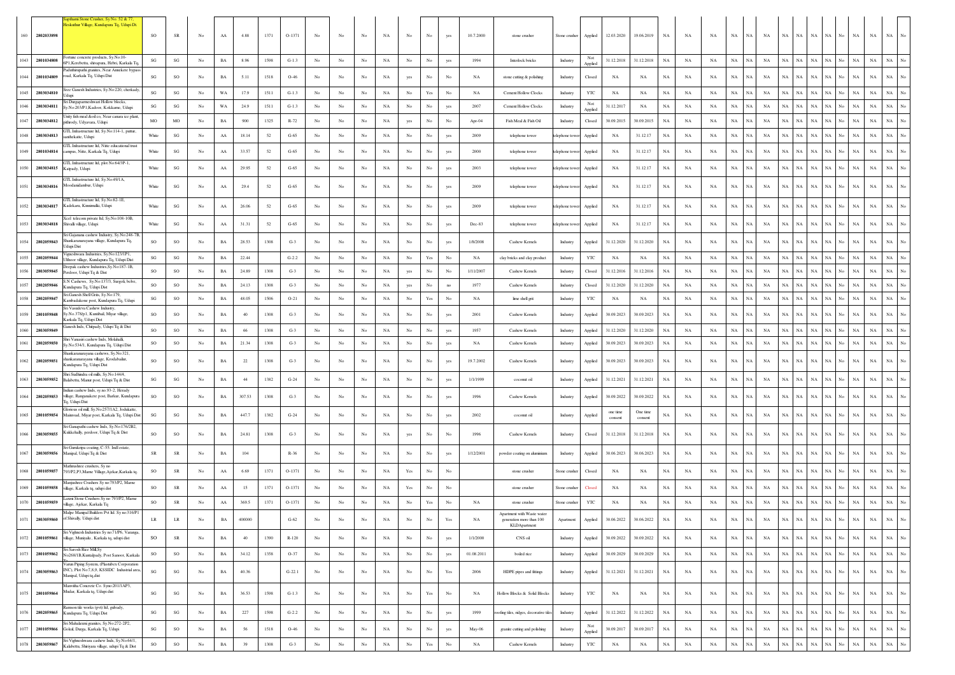|      | 2802033898<br>160  | ami Stone Crusher, Sy No. 52 & 77,<br>eskuthur Village, Kundapura Tq, Udupi Dt.                                       | SO                     | <b>SR</b>              | No               | AA          | 4.88   | 1371 | $O-1371$ | No          | No               | No               | NA          | N <sub>0</sub>   | No                   | yes                                                                                   | 10.7.2000   | stone crusher                                                          | Stone crusher  | Applied                | 12.03.2020          | 19.06.2019          | $_{\rm NA}$ | NA          | NA          | $_{\rm NA}$<br>NA.         | NA          | NA          | NA          | NA<br>NA                   | No | NA          | NA          |                                 |
|------|--------------------|-----------------------------------------------------------------------------------------------------------------------|------------------------|------------------------|------------------|-------------|--------|------|----------|-------------|------------------|------------------|-------------|------------------|----------------------|---------------------------------------------------------------------------------------|-------------|------------------------------------------------------------------------|----------------|------------------------|---------------------|---------------------|-------------|-------------|-------------|----------------------------|-------------|-------------|-------------|----------------------------|----|-------------|-------------|---------------------------------|
|      |                    | ortune concrete products, Sy.No:10-                                                                                   |                        |                        |                  |             |        |      |          |             |                  |                  |             |                  |                      |                                                                                       |             |                                                                        |                |                        |                     |                     |             |             |             |                            |             |             |             |                            |    |             |             |                                 |
| 1043 | 2801034808         | 5P1, Kerebettu, shivapura, Hebri, Karkala To<br>aduthirupathi granites, Near Annekere bypas                           | SG                     | $\mathbf{SG}$          | No               | BA          | 8.96   | 1598 | $G-1.3$  | No          | No               | No               | NA          | No               | $_{\rm No}$          | yes                                                                                   | 1994        | Interlock bricks                                                       | Industry       | Not<br>Applied         | 31.12.2018          | 31.12.2018          | $_{\rm NA}$ | NA          | NA          | $_{\rm NA}$<br>$_{\rm NA}$ | NA          | NA          | $_{\rm NA}$ | $_{\rm NA}$<br>NA          |    | $_{\rm NA}$ | $_{\rm NA}$ | $_{\rm NA}$<br>No               |
|      | 1044<br>2801034809 | oad, Karkala Tq, Udupi Dist                                                                                           | SG                     | SO                     | No               | BA          | 5.11   | 1518 | $O-46$   | No          | No               | No               | NA          | yes              | No                   | No                                                                                    | NA          | stone cutting & polishing                                              | Industry       | Closed                 | NA                  | NA                  | NA          | NA          | NA          | $_{\rm NA}$<br>$_{\rm NA}$ | NA          | NA          | $_{\rm NA}$ | NA<br>NA                   | No | $_{\rm NA}$ | $_{\rm NA}$ | <b>NA</b>                       |
| 1045 | 2803034810         | Sree Ganesh Industries, Sy.No:220, cherkady<br>iri Durgaparmeshwari Hollow blocks,                                    | SG                     | $\mathbf{SG}$          | No               | WA          | 17.9   | 1511 | $G-1.3$  | No          | No               | No               | NA          | No               | $\operatorname{Yes}$ | No                                                                                    | NA          | <b>Cement Hollow Clocks</b>                                            | Industry       | YTC<br>Not             | NA                  | NA                  | NA          | NA          | NA          | $_{\rm NA}$<br>NA          | NA          | NA          | NA          | NA<br>NA                   |    | NA          | NA          | $_{\rm NA}$<br>$\overline{N}$ o |
| 1046 | 2803034811         | y.No.203/P1, Kadoor, Kokkame, Udupi<br>nity fish meal &oil co, Near canara ice plant                                  | SG                     | $\mathbf{SG}$          | No               | WA          | 24.9   | 1511 | $G-1.3$  | $_{\rm No}$ | $_{\rm No}$      | No               | $_{\rm NA}$ | $_{\rm No}$      | $_{\rm No}$          | yes                                                                                   | 2007        | Cement Hollow Clocks                                                   | Industry       | Applied                | 31.12.2017          | NA                  | NA          | NA          | $_{\rm NA}$ | $_{\rm NA}$<br>$_{\rm NA}$ | NA          | NA          | NA          | NA<br>$_{\rm NA}$          | No | $_{\rm NA}$ | $_{\rm NA}$ | $_{\rm NA}$<br>No               |
| 1047 | 2803034812         | xithrody, Udyavara, Udupi<br>FTL Infrastructure ltd, Sy.No:114-1, puttur,                                             | MO                     | MO                     | No               | BA          | 900    | 1325 | R-72     | No          | No               | No               | NA          | yes              | No                   | No                                                                                    | Apr-04      | Fish Meal & Fish Oil                                                   | Industry       | Closed                 | 30.09.2015          | 30.09.2015          | NA          | NA          | NA          | NA<br><b>NA</b>            | NA          | NA          | $_{\rm NA}$ | $_{\rm NA}$<br>NA          | No | NA          | $_{\rm NA}$ | $_{\rm NA}$<br>No               |
| 1048 | 2803034813         | inthekatte, Udupi<br>FTL Infrastructure ltd, Nitte educational trust                                                  | White                  | $\mathbf{SG}$          | No               | AA          | 18.14  | 52   | $G-65$   | No          | No               | No               | NA          | No               | $_{\rm No}$          | yes                                                                                   | 2009        | telephone tower                                                        | elephone tow   | Applied                | NA                  | 31.12.17            | NA          | NA          | NA          | NA<br><b>NA</b>            | NA          | NA          | $_{\rm NA}$ | $_{\rm NA}$<br>NA          | No | $_{\rm NA}$ | $_{\rm NA}$ | $_{\rm NA}$<br>No               |
| 1049 | 2801034814         | ampus, Nitte, Karkala Tq, Udupi                                                                                       | White                  | SG                     | No               | AA          | 33.57  | 52   | $G-65$   | No          | No               | No               | NA          | No               | No                   | yes                                                                                   | 2000        | telephone tower                                                        | lephone tow    | Applied                | NA                  | 31.12.17            | $_{\rm NA}$ | NA          | NA          | $_{\rm NA}$<br>NA          | NA          | NA          | $_{\rm NA}$ | NA<br>NA                   | No | $_{\rm NA}$ | $_{\rm NA}$ | $_{\rm NA}$<br>$_{\rm No}$      |
|      | 1050<br>2803034815 | <b>TIL Infrastructure ltd. plot No:64/3P-1.</b><br>atpady, Udupi                                                      | White                  | $\mathbf{SG}$          | No               | AA          | 29.95  | 52   | $G-65$   | No          | No               | No               | NA          | No               | $_{\rm No}$          | yes                                                                                   | 2003        | telephone tower                                                        | elephone tow   | Applied                | NA                  | 31.12.17            | $_{\rm NA}$ | NA          | NA          | NA<br>NA                   | NA          | NA          | NA          | $_{\rm NA}$<br>NA          |    | NA          | $_{\rm NA}$ | $_{\rm NA}$<br>$_{\mathrm{No}}$ |
|      | 1051<br>2803034816 | TL Infrastructure ltd, Sy.No:49/1A,<br>Aoodanidambur, Udupi                                                           | White                  | SG                     | No               | AA          | 29.4   | 52   | $G-65$   | No          | No               | No               | NA          | No               | No                   | yes                                                                                   | 2009        | telephone tower                                                        | telephone tow  | Applied                | <b>NA</b>           | 31.12.17            | NA          | NA          | NA          | $_{\rm NA}$<br>NA.         | NA          | NA          | NA          | $_{\rm NA}$<br>NA          | No | NA          | $_{\rm NA}$ | $_{\rm NA}$<br>No               |
|      | 1052<br>2803034817 | TL Infrastructure ltd, Sy.No 82-1E,<br>Kadekaru, Kinnimulki, Udupi                                                    | White                  | $\mathbf{SG}$          | No               | AA          | 26.06  | 52   | $G-65$   | No          | No               | No               | NA          | No               | No                   | yes                                                                                   | 2009        | telephone tower                                                        | lephone tow    | Applied                | NA                  | 31.12.17            | NA          | NA          | NA          | $_{\rm NA}$<br>NA          | NA          | NA          | $_{\rm NA}$ | NA<br>VА                   |    | NA          | $_{\rm NA}$ | $_{\rm NA}$<br>No               |
|      | 1053<br>2803034818 | Ccel telecom private ltd, Sy.No:108-10B,<br>Shivalli village, Udupi                                                   | White                  | $\mathbf{SG}$          | No               | AA          | 31.31  | 52   | $G-65$   | $_{\rm No}$ | $_{\rm No}$      | $_{\rm No}$      | NA          | $_{\rm No}$      | $_{\rm No}$          | yes                                                                                   | Dec-83      | telephone tower                                                        | telephone towe | ${\Large\bf Applied}$  | NA                  | 31.12.17            | NA          | NA          | NA          | $_{\rm NA}$<br>NA.         | NA          | $_{\rm NA}$ | NA          | NA<br>NA.                  |    | $_{\rm NA}$ | $_{\rm NA}$ | $_{\rm NA}$                     |
|      | 1054<br>2802059843 | iri Gajanana cashew Industry, Sy.No.248-7B<br>hankaranarayana yillage, Kundapura To,<br>dupi Dist                     | SO                     | SO                     | No               | BA          | 28.53  | 1308 | $G-3$    | No          | No               | No               | NA          | No               | No                   | yes                                                                                   | 1/8/2008    | Cashew Kernels                                                         | Industry       | Applied                | 31.12.2020          | 31.12.2020          | NA          | NA          | NA          | NA<br>NA                   | NA          | NA          | $_{\rm NA}$ | NA<br>NA                   | No | NA          | NA          | NA<br>No                        |
| 1055 | 2802059844         | /igneshwara Industries, Sy.No:123/1P1,<br>Jithoor village, Kundapura Tq, Udupi Dist                                   | $\mathbf{S}\mathbf{G}$ | $\mathbf{S}\mathbf{G}$ | No               | BA          | 22.44  |      | $G-2.2$  | $_{\rm No}$ | $_{\rm No}$      | No               | $_{\rm NA}$ | No               | $\operatorname{Yes}$ | No                                                                                    | NA          | clay bricks and clay product                                           | Industry       | YTC                    | NA                  | NA                  | $_{\rm NA}$ | NA          | $_{\rm NA}$ | $_{\rm NA}$<br>NA          | NA          | NA          | NA          | $_{\rm NA}$<br>NA          |    | $_{\rm NA}$ | $_{\rm NA}$ | NA<br>No                        |
| 1056 | 2803059845         | beepak cashew Industries, Sy.No:187-1B,<br>erdoor, Udupi Tq & Dist                                                    | SO                     | SO                     | No               | BA          | 24.89  | 1308 | $G-3$    | $_{\rm No}$ | $_{\rm No}$      | No               | $_{\rm NA}$ | yes              | $_{\rm No}$          | No                                                                                    | 1/11/2007   | Cashew Kernels                                                         | Industry       | Closed                 | 31.12.2016          | 31.12.2016          | NA          | NA          | $_{\rm NA}$ | $_{\rm NA}$<br>NA          | $_{\rm NA}$ | NA          | NA          | NA<br>NA                   | No | $_{\rm NA}$ | $_{\rm NA}$ | $_{\rm NA}$<br>No               |
| 1057 | 2802059846         | N Cashews, Sy.No:137/3, Surgoli, belve,<br>Cundapura Tq, Udupi Dist                                                   | SO                     | SO                     | No               | BA          | 24.13  | 1308 | $G-3$    | $_{\rm No}$ | $_{\rm No}$      | $_{\rm No}$      | NA          | yes              | $_{\rm No}$          | no                                                                                    | 1977        | Cashew Kernels                                                         | Industry       | Closed                 | 31.12.2020          | 31.12.2020          | NA          | NA          | NA          | $_{\rm NA}$<br>NA          | NA          | $_{\rm NA}$ | NA          | $_{\rm NA}$<br>NA          |    | $_{\rm NA}$ | $_{\rm NA}$ | $_{\rm NA}$<br>No               |
| 1058 | 2802059847         | ri.Ganesh Shell Grits, Sy.No:179<br>Kambadakone post, Kundapura Tq, Udupi                                             | $\mathbf{S}\mathbf{G}$ | SO                     | No               | BA          | 48.05  | 1506 | $O-21$   | $_{\rm No}$ | $_{\rm No}$      | No               | NA          | No               | Yes                  | No                                                                                    | NA          | lime shell grit                                                        | Industry       | YTC                    | NA                  | NA                  | $_{\rm NA}$ | NA          | NA          | $_{\rm NA}$<br>NA          | NA          | $_{\rm NA}$ | $_{\rm NA}$ | NA<br>NA                   |    | NA          | $_{\rm NA}$ | $_{\rm NA}$<br>No               |
| 1059 | 2801059848         | Sri Vasudeva Cashew Industry,<br>y.No.378/p1, Kuntibail, Miyar village,<br>Karkala Tq, Udupi Dist                     | <b>SO</b>              | <b>SO</b>              | No               | BA          | 40     | 1308 | $G-3$    | No          | No               | No               | NA          | No               | No                   | yes                                                                                   | 2001        | Cashew Kernels                                                         | Industry       | Applied                | 30.09.2023          | 30.09.2023          | <b>NA</b>   | NA          | NA          | $_{\rm NA}$<br>NA          | NA          | NA          | $_{\rm NA}$ | NA<br>NA                   | No | $_{\rm NA}$ | $_{\rm NA}$ | $_{\rm NA}$<br>No               |
|      | 1060<br>2803059849 | ianesh Inds, Chitpady, Udupi Tq & Dist                                                                                | SO                     | $_{\rm SO}$            | No               | BA          | 66     | 1308 | $G-3$    | No          | No               | No               | NA          | No               | No                   | yes                                                                                   | 1957        | Cashew Kernels                                                         | Industry       | Applied                | 31.12.2020          | 31.12.2020          | $_{\rm NA}$ | NA          | NA          | $_{\rm NA}$<br>NA          | NA          | NA          | NA          | <b>NA</b><br>NA            |    | <b>NA</b>   | $_{\rm NA}$ | $_{\rm NA}$<br>No               |
| 1061 | 2802059850         | Shri Vanasiri cashew Inds, Molahalli<br>y.No:534/1, Kundapura Tq, Udupi Dist                                          | SO                     | $\rm SO$               | No               | BA          | 21.34  | 1308 | $G-3$    | No          | No               | No               | $_{\rm NA}$ | No               | $_{\rm No}$          | yes                                                                                   | NA          | Cashew Kernels                                                         | Industry       | Applied                | 30.09.2023          | 30.09.2023          | NA          | NA          | NA          | $_{\rm NA}$<br>NA          | NA          | NA          | $_{\rm NA}$ | $_{\rm NA}$<br>NA          | No | $_{\rm NA}$ | $_{\rm NA}$ | $_{\rm NA}$<br>$\overline{N}$ o |
|      | 1062<br>2802059851 | hankaranarayana cashews, Sy.No:321.<br>ankaranarayana village, Krodabailur,<br>undapura Tq, Udupi Dist                | SO                     | SO                     | No               | BA          | 22     | 1308 | $G-3$    | No          | No               | No               | NA          | No               | No                   | yes                                                                                   | 19.7.2002   | Cashew Kernels                                                         | Industry       | Applied                | 30.09.2023          | 30.09.2023          | NA          | NA          | NA          | NA<br>NA.                  | NA          | NA          | NA          | NA<br>NA                   | No | NA          | NA          | NA                              |
|      | 1063<br>2803059852 | Shri Sudhindra oil mills, Sv.No:144/4.<br>Balabettu, Manur post, Udupi Tq & Dist                                      | SG                     | SG                     | No               | BA          | 44     | 1382 | $G-24$   | No          | No               | No               | NA          | No               | $_{\rm No}$          | yes                                                                                   | 1/1/1999    | coconut oil                                                            | Industry       | Applied                | 31.12.2021          | 31.12.2021          | NA          | NA          | NA          | $_{\rm NA}$<br>NA          | NA          | NA          | NA          | $_{\rm NA}$<br>NA          |    | $_{\rm NA}$ | $_{\rm NA}$ | $_{\rm NA}$<br>No               |
|      | 1064<br>2802059853 | lian cashew Inds, sy.no.93-2, Herady<br>illage, Ranganakere post, Barkur, Kundapur<br>q, Udupi Dist                   | SO                     | SO                     | No               | BA          | 307.53 | 1308 | $G-3$    | $_{\rm No}$ | No               | $_{\rm No}$      | NA          | No               | N <sub>C</sub>       | yes                                                                                   | 1996        | Cashew Kernels                                                         | Industry       | Applied                | 30.09.2022          | 30.09.2022          | NA          | NA          | $_{\rm NA}$ | $_{\rm NA}$<br>NA          | NA          | $_{\rm NA}$ | $_{\rm NA}$ | NA<br>NA                   | No | $_{\rm NA}$ | $_{\rm NA}$ | $_{\rm NA}$<br>No               |
|      | 1065<br>2801059854 | Glorious oil mill. Sv.No.257/1A2. Jodukatte<br>Mainroad, Miyar post, Karkala Tq, Udupi Dis                            | SG                     | SG                     | No               | BA          | 447.7  | 1382 | $G-24$   | No          | No               | No               | NA          | No               | No                   | yes                                                                                   | 2002        | coconut oil                                                            | Industry       | Applied                | one time<br>consent | One time<br>consent | NA          | NA          | NA          | NA<br>NA                   | NA          | NA          | NA          | NA<br>NА                   | No | NA          | NA          | NA                              |
|      | 1066<br>2803059855 | Sri Ganapathi cashew Inds. Sv.No:176/2B2.<br>Kukkehally, perdoor, Udupi Tq & Dist                                     | SO                     | SO                     | No               | BA          | 24.81  | 1308 | $G-3$    | No          | No               | No               | NA          | yes              | No                   | No                                                                                    | 1996        | Cashew Kernels                                                         | Industry       | Closed                 | 31.12.2018          | 31.12.2018          | NA          | NA          | NA          | NA<br><b>NA</b>            | NA          | NA          | NA          | NA                         |    | $_{\rm NA}$ | $_{\rm NA}$ | $_{\rm NA}$                     |
| 1067 | 2803059856         | Sri Gurukripa coating, C-55. Indl estate,<br>Manipal, Udupi Tq & Dist                                                 | SR                     | ${\sf SR}$             | $_{\rm No}$      | BA          | 104    |      | $R-36$   | $_{\rm No}$ | $_{\rm No}$      | $_{\rm No}$      | NA          | $_{\rm No}$      | $_{\rm No}$          | yes                                                                                   | 1/12/2001   | powder coating on aluminium                                            | Industry       | ${\Large \bf Applied}$ | 30.06.2023          | 30.06.2023          | $_{\rm NA}$ | NA          | NA          | $_{\rm NA}$<br>NA          | NA          | NA          | $_{\rm NA}$ | $_{\rm NA}$                |    | $_{\rm NA}$ | $_{\rm NA}$ | $_{\rm NA}$<br>$\overline{N}$ o |
|      | 1068<br>2801059857 | Aathrushree crushers, Sy no<br>793/P2,P3,Marne Village,Ajekar,Karkala tq.                                             | so                     | SR                     | No               | AA          | 6.69   | 1371 | O-1371   | No          | No               | No               | NA          | Yes              | No                   | No                                                                                    |             | stone crusher                                                          | Stone crusher  | Closed                 | NA                  | NA                  | NA          | NA          | NA          | $_{\rm NA}$<br>NA          | NA          | NA          | $_{\rm NA}$ | NA<br>NA.                  | No | $_{\rm NA}$ | $_{\rm NA}$ | $_{\rm NA}$<br>No               |
| 1069 | 2801059858         | Ianjushree Crushers Sy no:793/P2, Marne<br>illage, Karkala tq, udupi dist                                             | <b>SO</b>              | ${\rm SR}$             | No               | AA          | 15     | 1371 | O-1371   | No          | No               | No               | NA          | Yes              | $_{\rm No}$          | No                                                                                    |             | stone crusher                                                          | Stone crushe   | Closed                 | NA                  | NA                  | NA          | NA          | NA          | $_{\rm NA}$<br>NA          | NA          | NA          | $_{\rm NA}$ | NA                         |    | NA          | $_{\rm NA}$ | $_{\rm NA}$<br>$_{\mathrm{No}}$ |
|      | 1070<br>2801059859 | axmi Stone Crushers Sy no 793/P2, Marne<br>llage, Ajekar, Karkala Tq                                                  | SO                     | ${\rm SR}$             | No               | AA          | 369.5  | 1371 | O-1371   | $_{\rm No}$ | $_{\rm No}$      | No               | NA          | No               | Yes                  | No                                                                                    | NA          | stone crusher                                                          | Stone crushe   | YTC                    | NA                  | NA                  | NA          | NA          | NA          | $_{\rm NA}$                | NA          | $_{\rm NA}$ | NA          | $_{\rm NA}$<br>NA          |    | NA          | $_{\rm NA}$ | $_{\rm NA}$<br>No               |
| 1071 | 2803059860         | Malpe Manipal Builders Pvt ltd. Sy no 316/P1<br>of Shivally, Udupi dist                                               | LR                     | $\rm LR$               | No               | BA          | 400000 |      | $G-62$   | No          | No               | N <sub>0</sub>   | NA          | No               | $_{\rm No}$          | Yes                                                                                   | $_{\rm NA}$ | Apartment with Waste water<br>generation more than 100<br>KLDApartment | Apartment      | Applied                | 30.06.2022          | 30.06.2022          | NA          | NA          | $_{\rm NA}$ | $_{\rm NA}$<br>NA          | NA          | $_{\rm NA}$ | <b>NA</b>   | $_{\rm NA}$<br>NA.         |    | NA          | NA          | N A                             |
|      | 1072<br>2801059861 | Sri Vighnesh Industries Sy no:71/P6. Varanga<br>dlage, Muniyalu, Karkala tq, udupi dist                               | SO                     | ${\rm SR}$             | No               | BA          | 40     | 1390 | $R-120$  | $_{\rm No}$ | $_{\rm No}$      | No               | NA          | No               | $_{\rm No}$          | yes                                                                                   | 1/1/2000    | CNS oil                                                                | Industry       | Applied                | 30.09.2022          | 30.09.2022          | $_{\rm NA}$ | NA          | NA          | $_{\rm NA}$<br>$_{\rm NA}$ | NA          | NA          | $_{\rm NA}$ | NA<br>NA                   | No | NA          | $_{\rm NA}$ | $_{\rm NA}$<br>$_{\rm No}$      |
| 1073 | 2801059862         | Sri Sarosh Rice Mill, Sy<br>No268/1B, Kuntalpady, Post Sanoor, Karkala                                                | SO                     | $\rm SO$               | $_{\mathrm{No}}$ | $_{\rm BA}$ | 34.12  | 1358 | $O-37$   | No          | $_{\rm No}$      | $_{\rm No}$      | $_{\rm NA}$ | No               | $_{\rm No}$          | yes                                                                                   | 01.08.2011  | boiled rice                                                            | Industry       | Applied                | 30.09.2029          | 30.09.2029          | $_{\rm NA}$ | $_{\rm NA}$ | $_{\rm NA}$ | $_{\rm NA}$<br>NA          | $_{\rm NA}$ | NA          | NA          | $_{\rm NA}$<br>NA          | No | $_{\rm NA}$ | $_{\rm NA}$ | $_{\rm NA}$<br>$_{\mathrm{No}}$ |
|      | 1074<br>2803059863 | Varun Piping System, (Plastubex Corporation<br>INC), Plot No:7,8,9, KSSIDC Industrial area<br>Aanipal, Udupi tq, dist | $\mathbf{S}\mathbf{G}$ | $\mathbf{SG}$          | $_{\mathrm{No}}$ | $_{\rm BA}$ | 40.36  |      | $G-22.1$ | $_{\rm No}$ | $_{\rm No}$      | No               | NA          | $_{\mathrm{No}}$ | $_{\rm No}$          | $\operatorname*{Yes}% \left( X\right) \equiv\operatorname*{Yes}(\mathbb{R}^{3}\left)$ | 2006        | HDPE pipes and fittings                                                | Industry       | Applied                | 31.12.2021          | 31.12.2021          | $_{\rm NA}$ | NA          | NA          | $_{\rm NA}$<br>NA          | NA          | NA          | NA          | NA<br>NA                   | No | $_{\rm NA}$ | NA          | $_{\rm NA}$<br>$_{\rm No}$      |
|      | 1075<br>2801059864 | Manvitha Concrete Co. Syno:201/1AP3,<br>Mudar, Karkala tq, Udupi dist                                                 | SG                     | $\mathbf{S}\mathbf{G}$ | No               | BA          | 36.53  | 1598 | $G-1.3$  | No          | No               | No               | NA          | No               | Yes                  | No                                                                                    | NA          | Hollow Blocks & Solid Blocks                                           | Industry       | YTC                    | NA                  | NA                  | $_{\rm NA}$ | NA          | NA          | $_{\rm NA}$<br>NA          | NA          | NA          | NA          | NA<br>NA                   | No | NA          | $_{\rm NA}$ | $_{\rm NA}$<br>$_{\rm No}$      |
|      | 1076<br>2802059865 | Ramson tile works (pvt) ltd, gulvady,<br>Kundapura Tq, Udupi Dist                                                     | SG                     | $\mathbf{SG}$          | $_{\mathrm{No}}$ | $_{\rm BA}$ | 227    | 1598 | $G-2.2$  | $_{\rm No}$ | $_{\rm No}$      | $_{\rm No}$      | $_{\rm NA}$ | $_{\rm No}$      | $_{\rm No}$          | yes                                                                                   | 1999        | pofing tiles, ridges, decorative tiles                                 | Industry       | Applied                | 31.12.2022          | 31.12.2022          | $_{\rm NA}$ | NA          | $_{\rm NA}$ | NA<br><b>NA</b>            | NA          | NA          | $_{\rm NA}$ | $_{\rm NA}$<br>NA          | No | $_{\rm NA}$ | $_{\rm NA}$ | $_{\rm NA}$<br>$_{\rm No}$      |
|      | 1077<br>2801059866 | ri Mahalaxmi granites, Sy.No.272-2P2,<br>Gokul, Durga, Karkala Tq, Udupi                                              | $\mathbf{S}\mathbf{G}$ | $\rm SO$               | $_{\mathrm{No}}$ | BA          | 56     | 1518 | $O-46$   | No          | $_{\rm No}$      | No               | $_{\rm NA}$ | No               | $_{\rm No}$          | yes                                                                                   | May-06      | granite cutting and polishing                                          | Industry       | Not<br>Applied         | 30.09.2017          | 30.09.2017          | $_{\rm NA}$ | $_{\rm NA}$ | NA          | $_{\rm NA}$<br>$_{\rm NA}$ | NA          | $_{\rm NA}$ | $_{\rm NA}$ | $_{\rm NA}$<br>NA          | No | $_{\rm NA}$ | $_{\rm NA}$ | $_{\rm NA}$<br>$_{\rm No}$      |
| 1078 | 2803059867         | Sri Vighneshwara cashew Inds, Sy.No:64/1,<br>Kalabettu, Shiriyara village, udupi Tq & Dist                            | $\rm SO$               | $\rm SO$               | $_{\mathrm{No}}$ | $_{\rm BA}$ | 39     | 1308 | $G-3$    | $_{\rm No}$ | $_{\mathrm{No}}$ | $_{\mathrm{No}}$ | $_{\rm NA}$ | $_{\mathrm{No}}$ | $\operatorname{Yes}$ | $_{\rm No}$                                                                           | $_{\rm NA}$ | Cashew Kernels                                                         | Industry       | YTC                    | $_{\rm NA}$         | $_{\rm NA}$         | $_{\rm NA}$ | $_{\rm NA}$ | $_{\rm NA}$ | $_{\rm NA}$<br>$_{\rm NA}$ | $_{\rm NA}$ | NA          | $_{\rm NA}$ | $_{\rm NA}$<br>$_{\rm NA}$ | No | $_{\rm NA}$ | $_{\rm NA}$ | $_{\mathrm{No}}$<br>$_{\rm NA}$ |
|      |                    |                                                                                                                       |                        |                        |                  |             |        |      |          |             |                  |                  |             |                  |                      |                                                                                       |             |                                                                        |                |                        |                     |                     |             |             |             |                            |             |             |             |                            |    |             |             |                                 |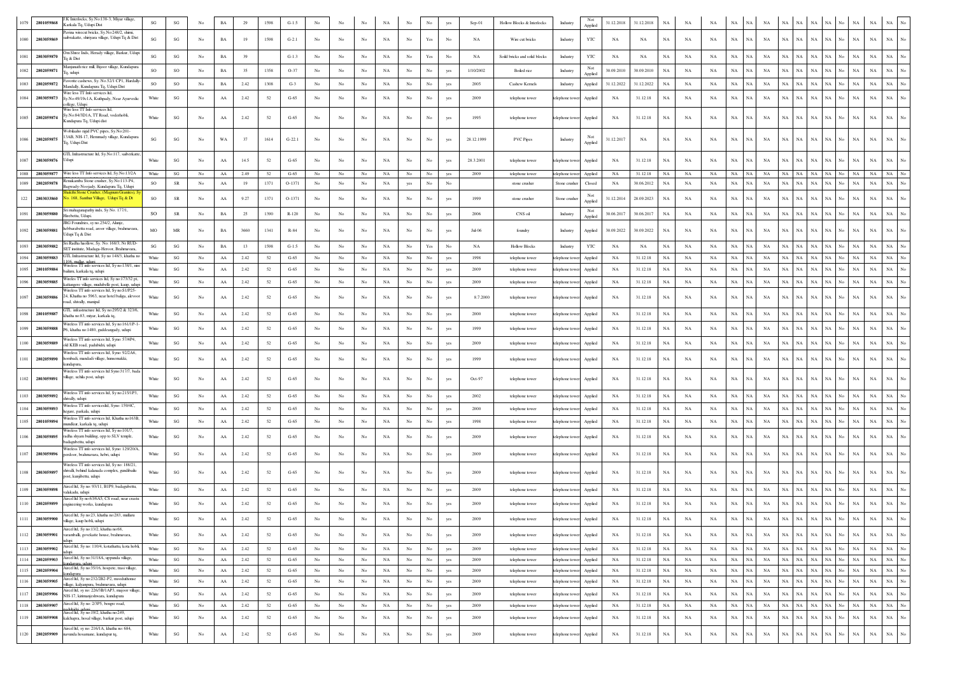| 1079  | 2801059868 | .K Interlocks, Sy.No:138-3, Miyar village,<br>Karkala Tq, Udupi Dist                                                    | SG                     | $\mathbf{S}\mathbf{G}$            |    |             |      | 1598   | $G-1.5$  |                  |             |             |             |                  |                      |     | Sep-01     | Hollow Blocks & Interlocks    | Industry        | Not<br>Applied | 31.12.2018 | 31.12.2018 | NA          |             |             |             |                          |             |             |             |                   |             |             |                                 |
|-------|------------|-------------------------------------------------------------------------------------------------------------------------|------------------------|-----------------------------------|----|-------------|------|--------|----------|------------------|-------------|-------------|-------------|------------------|----------------------|-----|------------|-------------------------------|-----------------|----------------|------------|------------|-------------|-------------|-------------|-------------|--------------------------|-------------|-------------|-------------|-------------------|-------------|-------------|---------------------------------|
| 1080  | 2803059869 | avina wirecut bricks, Sv.No.248/2, shimi.<br>saibrakatte, shiriyara village, Udupi Tq & Dist                            | $\mathbf{S}\mathbf{G}$ | SG                                | No | $_{\rm BA}$ | 19   | 1598   | $G-2.1$  | No               |             | No          | NA          | No               | Yes                  | No  | NA         | Wire cut bricks               | Industry        | YTC            | NA         | NA         | NA          | NA          | NA          | $_{\rm NA}$ | NA<br>NA                 | <b>NA</b>   | NA          | $_{\rm NA}$ | NA<br>No.         | $_{\rm NA}$ | $_{\rm NA}$ | NA                              |
| 1081  | 2803059870 | 3m Shree Inds, Herady village, Barkur, Udur<br>a & Dist                                                                 | SG                     | $\mathbf{S}\mathbf{G}$            | No | $_{\rm BA}$ | 39   |        | $G-1.3$  | No               | No          | No          | $_{\rm NA}$ | No               | $\operatorname{Yes}$ | No  | NA         | Soild bricks and solid blocks | Industry        | YTC            | NA         | NA         | $_{\rm NA}$ | NA          | NA          | $_{\rm NA}$ | NA<br>NA                 | $_{\rm NA}$ | NA          | NA          | NA<br>No          | $_{\rm NA}$ | $_{\rm NA}$ | NA                              |
| 1082  | 2802059871 | lanjunath rice mill, Bijoor village, Kundapura<br>lq, udupi                                                             | SO                     | SO                                | No | $_{\rm BA}$ | 35   | 1358   | $O-37$   | No               | No          | No          | $_{\rm NA}$ | No               | No                   | yes | 1/10/2002  | Boiled rice                   | Industry        | Not<br>Applied | 30.09.2010 | 30.09.2010 | NA          | NA          | $_{\rm NA}$ | $_{\rm NA}$ | <b>NA</b><br>NA          | <b>NA</b>   | NA          | NA          | NA<br>No.         | $_{\rm NA}$ | $_{\rm NA}$ | $_{\rm NA}$                     |
| 1083  | 2802059872 | Favorite cashews, Sy. No.52/1 CP1, Hardally<br>Mandally, Kundapura To, Udupi Dist                                       | so                     | SO                                | No | $_{\rm BA}$ | 2.42 | 1308   | $G-3$    | No               | No          | $_{\rm No}$ | $_{\rm NA}$ | No               | No                   | yes | 2005       | Cashew Kernels                | Industry        | Applied        | 31.12.2022 | 31.12.2022 | NA          | NA          | NA          | $_{\rm NA}$ | NA<br>NA                 | $_{\rm NA}$ | NA          | NA          | NA<br>No          | NA          | $_{\rm NA}$ | NA                              |
| 1084  | 2803059873 | Wire less TT Info services ltd,<br>Sy.No:49/19c1A, Kuthpady, Near Ayurvedic<br>college, Udupi                           | White                  | SG                                | No | AA          | 2.42 | 52     | $G-65$   | No               | No          | No          | NA          | No               | No                   | yes | 2009       | telephone tower               | telephone towe  | Applied        | NA         | 31.12.18   | <b>NA</b>   | NA          | <b>NA</b>   | <b>NA</b>   | NA<br>NA                 | NA          | NA          | <b>NA</b>   | ŃА<br>No.         | $_{\rm NA}$ | $_{\rm NA}$ | $_{\rm NA}$                     |
| 1085  | 2802059874 | Wire less TT Info services ltd,<br>Sv.No:84/3D1A. TT Road. voderhobli<br>undapura Tq, Udupi dist                        | White                  | SG                                | No | ${\rm AA}$  | 2.42 | 52     | $G-65$   | No               | No          | No          | NA          | No               | No                   | yes | 1995       | telephone tower               | telephone towe  | Applied        | NA         | 31.12.18   | NA          | NA          | NA          | NA          | NA<br>NA                 | NA          | NA          | NA          | NA<br>No          | NA          | NA          | NA                              |
| 1086  | 2802059875 | Wobilaaho rigid PVC pipes, Sy.No:201-<br>3AB, NH-17, Hemmady village, Kundapura<br>q, Udupi Dist                        | SG                     | SG                                | No | WA          | 37   | 1614   | $G-22.1$ | No               | No          | No          | NA          | No               | No                   | yes | 28.12.1999 | <b>PVC Pipes</b>              | Industry        | Applied        | 31.12.2017 | NA         | NA          | NA          | NA          | NA          | <b>NA</b><br>NA          | NA          | NA          | $_{\rm NA}$ |                   | <b>NA</b>   | NA          | NA                              |
| 1087  | 2803059876 | <b>TL Infrastructure ltd, Sy.No:117, saiberkatte</b><br>Udupi                                                           | White                  | $\mathbf{S}\mathbf{G}$            | No | AA          | 14.5 | 52     | $G-65$   | No               | No          | No          | NA          | No               | $_{\rm No}$          | yes | 28.3.2001  | telephone tower               | telephone towe  | Applied        | NA         | 31.12.18   | NA          | NA          | NA          | $_{\rm NA}$ | NA<br>NA                 | <b>NA</b>   | NA.         | NA          |                   | <b>NA</b>   | <b>NA</b>   | N <sub>A</sub>                  |
| 1088  | 2803059877 | Wire less TT Info services ltd, Sy.No:13/2A<br>enukamba Stone crusher, Sy.No:113-P4                                     | White                  | SG                                | No | ${\rm AA}$  | 2.49 | 52     | $G-65$   | No               | No          | No          | NA          | No               | No                   | yes | 2009       | telephone tower               | telephone tower | Applied        | NA         | 31.12.18   | NA          | NA          | NA          | NA          | <b>NA</b><br>NA          | NA          | NA          | NA          | NA<br>N٥          | NA          | NA          | NA                              |
| 1089  | 2802059878 | agwady-Noojady, Kundapura Tq, Udupi<br>takthi Stone Crusher, (Magnum Granit                                             | <b>SO</b>              | <b>SR</b>                         | No | AA          | 19   | 1371   | $O-1371$ | No               | No          | No          | NA          | yes              | Nο                   | No  |            | stone crusher                 | Stone crusher   | Closed         | NA         | 30.06.2012 | <b>NA</b>   | NA          | NA          | <b>NA</b>   | NA<br>NA                 | NA          |             | N/          |                   | <b>NA</b>   | <b>NA</b>   | <b>NA</b>                       |
| 122   | 2803033860 | o. 168, Santhur Village, Udupi Tq & Dt                                                                                  | <b>SO</b>              | SR                                | No | AA          | 9.27 | 1371   | O-1371   | No               | No          | No          | $_{\rm NA}$ | $_{\rm No}$      |                      | yes | 1999       | stone crusher                 | Stone crushe    | Not<br>Applied | 31.12.2014 | 28.09.2023 | NA          | NA          | NA          | NA          | NA<br>NA                 | <b>NA</b>   | ŃА          | NA          | NA                | $_{\rm NA}$ | $_{\rm NA}$ | $_{\rm NA}$                     |
| 1091  | 2803059880 | Sri mahaganapathy inds, Sy No. 177/1,<br>Hirebettu, Udupi,                                                              | <sub>SO</sub>          | SR                                | No | $_{\rm BA}$ | 25   | 1390   | $R-120$  | No               | No          | $_{\rm No}$ | $_{\rm NA}$ | $_{\rm No}$      | No                   | yes | 2006       | CNS oil                       | Industry        | Not<br>Applied | 30.06.2017 | 30.06.2017 | NA          | NA          | NA          | $_{\rm NA}$ | NA<br>NA                 | NA          | NA          | NA          | NA.<br>No.        | NA          | $_{\rm NA}$ | $_{\rm NA}$                     |
| 1092  | 2803059881 | IRG Foundries, sy no.254/2, Alunje<br>hebbarabettu road, aroor village, brahmavara,<br>Udupi Ta & Dist                  | MO                     | $\ensuremath{\mathsf{MR}}\xspace$ | No | $_{\rm BA}$ | 3660 | 1341   | R-84     |                  | No          | No          | NA          | No               | No                   |     | Jul-06     | foundry                       | Industry        | Applied        | 30.09.2022 | 30.09.2022 | NA          | NA          | NA          | $_{\rm NA}$ | NA<br>NA                 | NA          | NA          | NA          | No.               | $_{\rm NA}$ | $_{\rm NA}$ | <b>NA</b>                       |
| 1093  | 2803059882 | Sri Radha haollow, Sy. No: 168/3, Nr RUD-<br>SET institute, Madaga-Heroor, Brahmavara,                                  | SG                     | $\mathbf{S}\mathbf{G}$            | No | BA          | 13   | 1598   | $G-1.5$  | No               | No          | No          | NA          | No               | Yes                  | No  | NA         | <b>Hollow Blocks</b>          | Industry        | YTC            | NA         | NA         | NA          | NA          | NA          | NA          | <b>NA</b><br>NA          | NA          | NA          | NA          | NA<br>No          | NA          | NA          | NA                              |
|       | 2803059883 | GTL Infrastructure ltd, Sy no 148/3, khatha no<br>06 mallar uduni                                                       | White                  | SG                                | No | AA          | 2.42 | 52     | $G-65$   | No               | No          | $_{\rm No}$ | $_{\rm NA}$ | No               | No                   | yes | 1998       | telephone tower               | telephone towe  | Applied        | NA         | 31.12.18   | NA          | NA          | NA          | NA          | NA<br>NA                 | NA          | NA          | <b>NA</b>   |                   | $_{\rm NA}$ | $_{\rm NA}$ | NA                              |
|       | 2801059884 | Wireless TT info services ltd, Sy no:138/1, nire<br>bailuru, karkala tq, udupi                                          | White                  | $\mathbf{S}\mathbf{G}$            | No | AA          | 2.42 | 52     | $G-65$   | No               | No          | No          | $_{\rm NA}$ | No               | No                   | yes | 2009       | telephone tower               | elephone tow    | Applied        | NA         | 31.12.18   | NA          | NA          | $_{\rm NA}$ | NA          | NA<br>NA                 | NA          |             | NA          |                   | $_{\rm NA}$ | $_{\rm NA}$ | <b>NA</b>                       |
| 1096  | 2803059885 | Wireles TT info services ltd, Sy no:173/32 pt,<br>ttangere village, mudubelle post, kaup, udup                          | White                  | SG                                | No | AA          | 2.42 | 52     | $G-65$   | No               | No          | $_{\rm No}$ | $_{\rm NA}$ | $_{\rm No}$      | No                   | yes | 2009       | telephone tower               | telephone towe  | Applied        | NA         | 31.12.18   | NA          | NA          | NA          | $_{\rm NA}$ | NA<br>NA                 | NA          | NA          | NA          | NA<br>No          | NA          | $_{\rm NA}$ | $_{\rm NA}$                     |
| 1097  | 2803059886 | Wireless TT info services ltd, Sy no:S1/P25-<br>4, Khatha no 5963, near hotel baliga, alevoor<br>oad, shivally, manipal | White                  | SG                                | No | AA          | 2.42 | 52     | $G-65$   | No               | No          | No          | NA.         | No               |                      | yes | 8.7.2000   | telephone tower               | telephone towe  | Applied        | NA         | 31.12.18   | <b>NA</b>   | NA          | NA          | NA          | NA<br><b>NA</b>          |             |             | N/          |                   | NA          | NA          | NA                              |
| 1098  | 2801059887 | TL infrastructure ltd, Sy no:295/2 & 323/6<br>khatha no:83 miyar karkala to                                             | White                  | SG                                | No | AA          | 2.42 | 52     | $G-65$   | No               | No          | No          | NA          | No.              | No                   | yes | 2000       | telephone tower               | telephone towe  | Applied        | NA         | 31.12.18   | NA          | NA          | NA          | $_{\rm NA}$ | NA<br>NA                 | <b>NA</b>   | NA          | NA          | NA                | $_{\rm NA}$ | NA          | <b>NA</b>                       |
| 1099  | 2803059888 | Wireless TT info services ltd, Sy no:161/1P-<br>P6, khatha no:1480, guddeangady, udupi                                  | White                  | $\mathbf{SG}$                     | No | ${\rm AA}$  | 2.42 | 52     | $G-65$   | $_{\mathrm{No}}$ | No          | No          | NA          | No               | No                   | yes | 1999       | telephone tower               | telephone towe  | Applied        | NA         | 31.12.18   | NA          | NA          | NA          | NA          | NA<br>NA                 | NA          | NA          | NA          | NA<br>No          | NA          | NA          | NA                              |
| 1100  | 2803059889 | Vireless TT info services ltd, Syno: 57/4P4                                                                             | White                  | SG                                | No | ${\rm AA}$  | 2.42 | 52     | $G-65$   | No               | No          | $_{\rm No}$ | $_{\rm NA}$ | $_{\rm No}$      | No                   | yes | 2009       | telephone tower               | telephone tow   | Applied        | NA         | 31.12.18   | NA          | NA          | NA          | $_{\rm NA}$ | NA<br>NA                 | NA          | NA          | $_{\rm NA}$ | NA<br>No.         | $_{\rm NA}$ | $_{\rm NA}$ | $_{\rm NA}$                     |
|       |            | old KEB road, padubidri, udupi<br>Vireless TT info services ltd, Syno: 92/2A6                                           |                        |                                   |    |             |      |        |          |                  |             |             |             |                  |                      |     |            |                               |                 |                |            |            |             |             |             |             |                          |             |             |             |                   |             |             |                                 |
| 1101  | 2802059890 | hombadi, mandadi village, hunsemakki,<br>undapura<br>Wireless TT info services ltd Syno 317/7, bada                     | White                  | SG                                | No | ${\rm AA}$  | 2.42 | 52     | $G-65$   | No               | No          | No          | NA          | No               | No                   | yes | 1999       | telephone tower               | telephone towe  | Applied        | NA         | 31.12.18   | NA          | NA          | NA          | NA          | NA<br>NA                 | <b>NA</b>   | NA          | NA          | NA.<br>No         | $_{\rm NA}$ | NA          | NA                              |
| 1102  | 2803059891 | village, uchila post, udupi                                                                                             | White                  | SG                                | No | AA          | 2.42 | 52     | $G-65$   | No               | No          | No          | NA          | No.              | No                   | yes | $Oct-97$   | telephone tower               | telephone tower | Applied        | NA         | 31.12.18   | NA          | NA          | NA          | $_{\rm NA}$ | NA<br>NA                 | NA          | VА          | NA          |                   | <b>NA</b>   | <b>NA</b>   | NA                              |
| 1103. | 2803059892 | Wireless TT info services ltd, Sy no:215/1P3<br>ivally, udupi                                                           | White                  | SG                                | No | AA          | 2.42 | 52     | $G-65$   | No               | No          | $_{\rm No}$ | $_{\rm NA}$ | No               | No                   | yes | 2002       | telephone tower               | telephone tower | Applied        | <b>NA</b>  | 31.12.18   | NA          | NA          | NA          | $_{\rm NA}$ | NA<br><b>NA</b>          | NA          | NA          | NA          | NA                | NA          | $_{\rm NA}$ | NA                              |
|       | 2803059893 | Vireless TT info serviceshd, Syno: 159/4C.<br>hegare, parkala, udupi                                                    | White                  | $\mathbf{S}\mathbf{G}$            | No | AA          | 2.42 | 52     | $G-65$   | No               | No          | $_{\rm No}$ | $_{\rm NA}$ | No               |                      | yes | 2000       | telephone tower               | telephone towe  | Applied        | NA         | 31.12.18   | NA          | NA          | NA          | $_{\rm NA}$ | NA<br>NA                 | $_{\rm NA}$ | NA          | $_{\rm NA}$ | NA<br>No          | $_{\rm NA}$ | $_{\rm NA}$ | NA                              |
| 1105  | 2801059894 | Wireless TT info services ltd. Khatha no163B<br>nundkur, karkala tq, udupi                                              | White                  | SG                                | No | AA          | 2.42 | 52     | $G-65$   | No               | No          | No          | $_{\rm NA}$ | No               | No                   |     | 1998       | telephone tower               | telephone tow   | Applied        | NA         | 31.12.18   | NA          | NA          | NA          | <b>NA</b>   | NA<br>NA                 | NA          | <b>NA</b>   | <b>NA</b>   | NA                | NA          | $_{\rm NA}$ | $_{\rm NA}$                     |
| 1106  | 2803059895 | Wireless TT info services ltd, Sy no:101/7<br>radha shyam building, opp to SLV temple,                                  | White                  | $\mathbf{S}\mathbf{G}$            | No | AA          | 2.42 | 52     | $G-65$   | No               | No          | No          | NA          | No               |                      | yes | 2009       | telephone tower               | telephone tow   | Applied        | NA         | 31.12.18   | <b>NA</b>   | NA          | NA          | NA          | NA<br>NA                 | <b>NA</b>   | NA          | NA          | NA                | $_{\rm NA}$ | NA          | NA                              |
|       |            | badagubettu, udupi<br>Wireless TT info services ltd, Syno: 129/20/A                                                     |                        |                                   |    |             |      |        |          |                  |             |             |             |                  |                      |     |            |                               |                 |                |            |            |             |             |             |             |                          |             |             |             |                   |             |             |                                 |
| 1107  | 2803059896 | perdoor, brahmavara, hebri, udupi<br>Wireless TT info services ltd, Sy no: 188/21                                       | White                  | SG                                | No | AA          | 2.42 | 52     | $G-65$   | No               | No          | No          | $_{\rm NA}$ | No               | No                   | yes | 2009       | telephone tower               | telephone towe  | Applied        | NA         | 31.12.18   | NA          | NA          | <b>NA</b>   | <b>NA</b>   | <b>NA</b><br>NA          | NA          | NA          | <b>NA</b>   |                   | $_{\rm NA}$ | <b>NA</b>   | <b>NA</b>                       |
| 1108  | 2803059897 | tivalli, behind kalanada complex, gundibailu<br>ost, kunjibettu, udupi                                                  | White                  | SG                                | No | AA          | 2.42 | 52     | $G-65$   | No               |             | No          | NA.         | No               |                      |     | 2009       | telephone tower               | telephone towe  | Applied        | <b>NA</b>  | 31.12.18   | <b>NA</b>   | NA          | NA          | NA          | NA<br>NA                 | NA          | NA          | <b>NA</b>   |                   | NA          | NA          | <b>NA</b>                       |
| 1109  | 2803059898 | Aircel ltd, Sy no: 93/11, B1P9, badagubettu<br>alakadu, udupi                                                           | White                  | SG                                | No | AA          | 2.42 | 52     | $G-65$   | No               | No          | No          | $_{\rm NA}$ | No               | No                   |     | 2009       | telephone tower               | telephone towe  | Applied        | NA         | 31.12.18   | NA          | NA          | NA          | <b>NA</b>   | NA<br>NA                 |             |             |             |                   | NA          | $_{\rm NA}$ | $_{\rm NA}$                     |
|       | 2802059899 | Aircel ltd Sy no:63/6A5, CS road, near crast<br>ngineering works, kundapura                                             | White                  | $\mathbf{S}\mathbf{G}$            | No | AA          | 2.42 | 52     | $G-65$   | No               |             | No          | NA          | No               |                      |     | 2009       | telephone tower               | telephone towe  | Applied        | NA         | 31.12.18   | NA          | NA          | NA          | NA          | NA                       | NA          |             | NA          |                   | NA          | NA          | $_{\rm NA}$                     |
| 1111  | 2803059900 | Aircel ltd, Sy no:23, khatha no:283, mullaru<br>village, kaup hobli, udupi                                              | White                  | $\mathbf{S}\mathbf{G}$            | No | ${\rm AA}$  | 2.42 | 52     | $G-65$   | No               | $_{\rm No}$ | No          | $_{\rm NA}$ | No               | No                   |     | 2009       | telephone tower               | telephone tower | Applied        | NA         | 31.12.18   | NA          | NA          | $_{\rm NA}$ | $_{\rm NA}$ | NA<br>NA                 | $_{\rm NA}$ | NA          | NA          | NA<br>No          | $_{\rm NA}$ | $_{\rm NA}$ | <b>NA</b>                       |
| 1112  | 2803059901 | arcel ltd, Sy no:13/2, khatha no:68,<br>varamballi, govekatte house, brahmavara,                                        | White                  | SG                                | No | ${\rm AA}$  | 2.42 | 52     | $G-65$   | No               | No          | $_{\rm No}$ | $_{\rm NA}$ | No               | $_{\rm No}$          | yes | 2009       | telephone tower               | telephone towe  | Applied        | NA         | 31.12.18   | NA          | NA          | $_{\rm NA}$ | $_{\rm NA}$ | NA<br>NA                 | NA          | $_{\rm NA}$ | $_{\rm NA}$ | NA<br>No          | $_{\rm NA}$ | $_{\rm NA}$ | $_{\rm NA}$<br>$_{\rm No}$      |
| 1113  | 2803059902 | Aircel ltd, Sy no: 110/4, kotathattu, kota hobli,                                                                       | White                  | $\mathbf{S}\mathbf{G}$            | No | $\rm AA$    | 2.42 | 52     | $G-65$   | No               | No          | No          | $_{\rm NA}$ | $_{\rm No}$      | No                   | yes | 2009       | telephone tower               | telephone tower | Applied        | NA         | 31.12.18   | $_{\rm NA}$ | NA          | NA          | $_{\rm NA}$ | NA<br>NA                 | NA          | <b>NA</b>   | $_{\rm NA}$ | NA<br>No.         | $_{\rm NA}$ | $_{\rm NA}$ | NA<br>$_{\rm No}$               |
| 1114  | 2802059903 | Aircel ltd, Sy no:31/18A, uppunda village,<br>indanura uduni                                                            | White                  | SG                                | No | AA          | 2.42 | 52     | $G-65$   | No               | No          | $_{\rm No}$ | NA          | $_{\mathrm{No}}$ | No                   | yes | 2009       | telephone tower               | telephone tower | Applied        | NA         | 31.12.18   | NA          | NA          | NA          | $\rm NA-NA$ | $_{\rm NA}$              | NA          | NA          | $_{\rm NA}$ | NA<br>No          | $_{\rm NA}$ | NA .        | $_{\rm NA}$<br>No               |
| 1115  | 2802059904 | Aircel ltd, Sy no:35/16, hospete, trasi village,<br>undapura                                                            | White                  | SG                                | No | $\rm AA$    | 2.42 | 52     | $G-65$   | No               | No          | No          | NA          | $_{\rm No}$      | $_{\rm No}$          | yes | 2009       | telephone tower               | telephone towe  | Applied        | NA         | 31.12.18   | NA          | NA          | NA          | $\rm NA-NA$ | NA                       | NA          | NA          | $_{\rm NA}$ | NA<br>No          | NA          | NA          | NA<br>$_{\rm No}$               |
| 1116  | 2803059905 | Aircel ltd, Sy no:232/2B2-P2, mooduthonse<br>village, kalyanpura, brahmavara, udupi                                     | White                  | SG                                | No | ${\rm AA}$  | 2.42 | 52     | $G-65$   | No               | No          | No          | NA          | $_{\rm No}$      | No                   | yes | 2009       | telephone tower               | telephone towe  | Applied        | NA         | 31.12.18   | NA          | NA          | NA          | NA          | $_{\rm NA}$<br><b>NA</b> | $_{\rm NA}$ | NA          | $_{\rm NA}$ | NA<br>No          | $_{\rm NA}$ | $_{\rm NA}$ | $_{\rm NA}$<br>$_{\mathrm{No}}$ |
| 1117  | 2802059906 | Aircel ltd, sy no: 226/3B/1AP3, majoor village,<br>NH-17, kirimanjeshwara, kundapura                                    | White                  | $\mathbf{SG}$                     | No | ${\rm AA}$  | 2.42 | 52     | $G-65$   | No               | No          | $_{\rm No}$ | $_{\rm NA}$ | $_{\mathrm{No}}$ | No                   | yes | 2009       | telephone tower               | telephone towe  | Applied        | NA         | 31.12.18   | NA          | $_{\rm NA}$ | NA          | $_{\rm NA}$ | NA<br><b>NA</b>          | NA          | NA          | $_{\rm NA}$ | NA<br>No          | $_{\rm NA}$ | $_{\rm NA}$ | $_{\rm NA}$<br>$_{\mathrm{No}}$ |
| 1118  | 2803059907 | Aircel ltd, Sy no: 2/3P5, bengre road,                                                                                  | White                  | $\mathbf{S}\mathbf{G}$            | No | ${\bf AA}$  | 2.42 | 52     | $G-65$   | No               | No          | No          | $_{\rm NA}$ | No               | No                   | yes | 2009       | telephone tower               | telephone towe  | Applied        | NA         | 31.12.18   | $_{\rm NA}$ | NA          | NA          | NA          | NA<br>NA                 | NA          | NA          | NA          | NA<br>N٥          | NA          | <b>NA</b>   | $_{\rm NA}$<br>$_{\mathrm{No}}$ |
| 1119  | 2803059908 | Vircel ltd, Sy no:19/2, khatha no:249,<br>kalchapra, hosal village, barkur post, udupi                                  | White                  | $\mathbf{SG}$                     | No | ${\rm AA}$  | 2.42 | 52     | $G-65$   | No               | No          | $_{\rm No}$ | $_{\rm NA}$ | $_{\rm No}$      | $_{\rm No}$          | yes | 2009       | telephone tower               | telephone tow   | Applied        | NA         | 31.12.18   | $_{\rm NA}$ | $_{\rm NA}$ | $_{\rm NA}$ | $_{\rm NA}$ | NA<br>NA                 | NA          | $_{\rm NA}$ | $_{\rm NA}$ | NA<br>No          | $_{\rm NA}$ | $_{\rm NA}$ | $_{\mathrm{No}}$<br>$_{\rm NA}$ |
| 1120  | 2802059909 | Aircel ltd, sy no: 216/1A, khatha no: 684,<br>navunda hosamane, kundapur tq.                                            | White                  | $\mathbf{S}\mathbf{G}$            | No | ${\rm AA}$  | 2.42 | $52\,$ | $G-65$   | No               | No          | $_{\rm No}$ | $_{\rm NA}$ | $_{\rm No}$      | $_{\rm No}$          | yes | 2009       | telephone tower               | telephone tower | Applied        | NA         | 31.12.18   | $_{\rm NA}$ | $_{\rm NA}$ | $_{\rm NA}$ | $_{\rm NA}$ | NA<br>NA                 | NA          | $_{\rm NA}$ | $_{\rm NA}$ | $_{\rm NA}$<br>No | $_{\rm NA}$ | $_{\rm NA}$ | $_{\rm NA}$<br>$_{\mathrm{No}}$ |
|       |            |                                                                                                                         |                        |                                   |    |             |      |        |          |                  |             |             |             |                  |                      |     |            |                               |                 |                |            |            |             |             |             |             |                          |             |             |             |                   |             |             |                                 |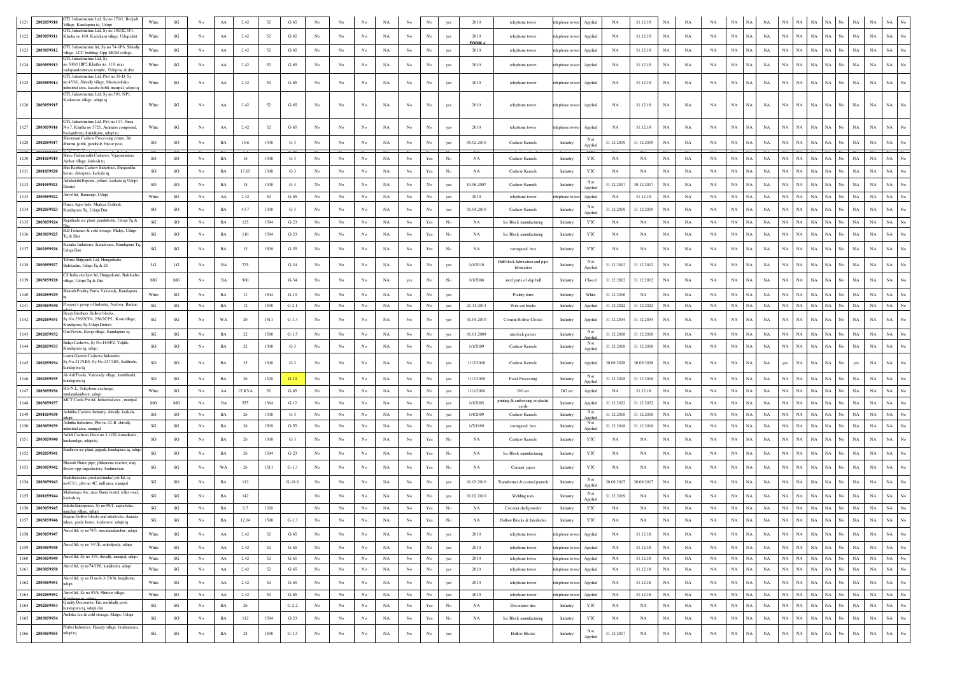| 1121 | GTL Infrastructure Ltd, Sy no 170/1, Beejadi<br>2802059910<br>Village, Kundapura tq, Udupi                                                         | White                  | $\mathbf{S}\mathbf{G}$ |                  | AA          | 2.42       | 52   | $G-65$           | No               |                  |             |             |                   | No                                                                                    |                  | 2010         | telephone tower                                    | telephone tower<br>Applied                      | NA         | 31.12.19    | NA          | NA          |             |             |             |             |                            |             |             |                    | NA          |                |                  |
|------|----------------------------------------------------------------------------------------------------------------------------------------------------|------------------------|------------------------|------------------|-------------|------------|------|------------------|------------------|------------------|-------------|-------------|-------------------|---------------------------------------------------------------------------------------|------------------|--------------|----------------------------------------------------|-------------------------------------------------|------------|-------------|-------------|-------------|-------------|-------------|-------------|-------------|----------------------------|-------------|-------------|--------------------|-------------|----------------|------------------|
| 1122 | GTL Infrastructure Ltd, Sy no.101/2C3P1,<br>2803059911<br>Khatha no.100, Kadekaru village, Udupi dist                                              | White                  | $\mathbf{S}\mathbf{G}$ | No               | ${\rm AA}$  | 2.42       | 52   | $G-65$           | No               | No               | No          | NA          | $_{\mathrm{No}}$  | $_{\rm No}$                                                                           |                  | 2010         | telephone tower                                    | telephone towe<br>Applied                       | NA         | 31.12.19    | $_{\rm NA}$ | NA          | <b>NA</b>   | $_{\rm NA}$ | NA          | NA          | NA<br>NA                   | NA          | NA          | $_{\rm NA}$<br>No  | $_{\rm NA}$ | NA             |                  |
|      | GTL Infrastructure ltd, Sy no.74-1P6, Shivally                                                                                                     | White                  |                        |                  |             |            | 52   |                  |                  |                  |             |             |                   | No                                                                                    |                  | FORM<br>2010 |                                                    |                                                 |            |             |             |             |             | NA          | $_{\rm NA}$ | <b>NA</b>   | NA<br>NA                   | <b>NA</b>   | NA          |                    |             |                |                  |
|      | 1123 2803059912<br>village, LCC building, Opp MGM college,<br>GTL Infrastructure Ltd. Sv                                                           |                        | $\mathbf{S}\mathbf{G}$ | No               | AA          | 2.42       |      | $G-65$           | No               | No               | No          | NA          | No                |                                                                                       | yes              |              | telephone tower                                    | telephone towe<br>Applied                       | NA         | 31.12.19    | NA          | NA          | NA          |             |             |             |                            |             |             | $_{\rm NA}$<br>N٥  | $_{\rm NA}$ | $_{\rm NA}$    |                  |
| 1124 | 2803059913<br>to.300/11BP2, Khatha no. 119, near<br>adapandeshwara temple, Udupi tq & dist                                                         | White                  | $\mathbf{S}\mathbf{G}$ | No               | AA          | 2.42       | 52   | $G-65$           | No               | No               | No          | NA          | No                | No                                                                                    | yes              | 2010         | telephone tower                                    | telephone towe<br>Applied                       | NA         | 31.12.19    | $_{\rm NA}$ | NA          | $_{\rm NA}$ | $_{\rm NA}$ | $_{\rm NA}$ | NA          | <b>NA</b><br>NA            | NA          | NA          | $_{\rm NA}$<br>No  | $_{\rm NA}$ | <b>NA</b>      |                  |
| 1125 | GTL Infrastructure Ltd, Plot no.30-D, Sy<br>no.433/1, Shivally village, Mookambika<br>2803059914<br>dustrial area, kasaba hobli, manipal, udupi to | White                  | $\mathbf{S}\mathbf{G}$ | No               | AA          | 2.42       | 52   | $G-65$           | No               | No               | No          | NA          | No                | No                                                                                    |                  | 2010         | telephone tower                                    | telephone towe<br>Applied                       | NA         | 31.12.19    | NA          | NA          | <b>NA</b>   | NA          | <b>NA</b>   | NA          | NA<br>NA                   | NA          | NA          | NA                 | $_{\rm NA}$ | NA             |                  |
|      | GTL Infrastructure Ltd, Sy no.591, NP1,<br>Kodavoor village, udupi tq<br>1126 2803059915                                                           | White                  | SG                     | No               | AA          | 2.42       | 52   | $G-65$           | No               | No               | No          | NA          | No                | No                                                                                    | yes              | 2010         | telephone tower                                    | telephone towe<br>Applied                       | NA         | 31.12.19    | NA          | NA          | NA          | NA          | NA          | NA          | <b>NA</b><br>NA.           | NA          | <b>NA</b>   | No<br>NA           | NA          | NA             |                  |
| 1127 | GTL Infrastructure Ltd. Plot no.117. Hissa<br>2803059916<br>No.7, Khatha no.5721, Ammans compound,                                                 | White                  | SG                     | No               | AA          | 2.42       | 52   | $G-65$           | No               | No               | No          | NA          | No                | No                                                                                    | yes              | 2010         | telephone tower                                    | telephone towe<br>Applied                       | NA         | 31.12.19    | NA          | NA          | NA          | NA          | NA          | NA          | <b>NA</b><br>NA            | NA          | NA.         | NA<br>No           | $_{\rm NA}$ | NA             |                  |
|      | adagubettu, kukkikatte, udupi tq<br>Shivamani Cashew Processing centre, Sri<br>1128 2802059917<br>dharma jyothi, gantihole, bijoor post,           | SO                     | SO                     | No               | BA          | 15.6       | 1308 | $G-3$            | No               | No               | No          | NA          | No                | No                                                                                    |                  | 05.02.2010   | Cashew Kernels                                     | Not<br>Industry<br>Applied                      | 31.12.2019 | 31.12.2019  | NA          | NA          | NA          | NA          | NA          | $_{\rm NA}$ | <b>NA</b><br>NA            | $_{\rm NA}$ | NA          | $_{\rm NA}$<br>No  | $_{\rm NA}$ | NA             |                  |
|      | Shree Padmavathi Cashews, Vijayasrinivas,<br>1130 2801059919                                                                                       | <sub>SO</sub>          | SO                     | N <sub>0</sub>   | BA          | 16         | 1308 | $G-3$            | No               | No               | No          | NA          | No                | Yes                                                                                   | No               | NA           | Cashew Kernels                                     | YTC<br>Industry                                 | NA         | NA          | $_{\rm NA}$ | NA          | <b>NA</b>   | $_{\rm NA}$ | NA          | NA          | NA<br>NA                   | $_{\rm NA}$ | NA          | No.<br>$_{\rm NA}$ | $_{\rm NA}$ | $_{\rm NA}$    |                  |
| 1131 | Ajekar village, karkala tq<br>Shri Krishna Cashew Industries, Shrigandha<br>2801059920                                                             | <b>SO</b>              | SO                     | No               | BA          | 17.65      | 1308 | $G-3$            | No               | No               | No          | NA          | No                | Yes                                                                                   | No               | NA           | Cashew Kernels                                     | <b>YTC</b><br>Industry                          | <b>NA</b>  | NA          | NA          | NA          | NA          | NA          | NA          | NA          | <b>NA</b><br>NA.           | NA          | NA          | NA                 | NA          | NA             |                  |
| 1132 | ouse, shivapura, karkala tq<br>Adishakthi Exports, yellare, karkala tq Udupi<br>2801059921                                                         | <b>SO</b>              | SO                     | No               | BA          | 18         | 1308 | $G-3$            | No               | No               | No          |             | No                | No                                                                                    |                  | 10.06.2007   | Cashew Kernels                                     | Not                                             | 31.12.2017 | 30.12.2017  | NA          | NA          | NA          | $_{\rm NA}$ | <b>NA</b>   | NA          | <b>NA</b><br>NA            | NA          | <b>NA</b>   | NA<br>No           | $_{\rm NA}$ | NA             | No               |
|      | District<br>Aircel ltd, Bannanje, Udupi<br>1133 2803059922                                                                                         | White                  | SG                     | No               | AA          | 2.42       | 52   | $G-65$           | No               | No               | No          | NA<br>NA    | $_{\rm No}$       | No                                                                                    | yes              | 2010         | telephone tower                                    | Industry<br>Applied<br>telephone tow<br>Applied | NA         | 31.12.19    | NA          | NA          | NA          | NA          | <b>NA</b>   | NA          | <b>NA</b><br>NA            | NA          | NA          | NA                 | NA          | NA             | No               |
| 1134 | Prince Agro Inds, Murkai, Golihole,<br>2802059923                                                                                                  | SO                     | SO                     | No               | BA          | 43.7       | 1308 | $G-3$            | No               | No               | No          | NA          | $_{\mathrm{No}}$  | $_{\rm No}$                                                                           | yes              | 01.04.2010   | Cashew Kernels                                     | Not<br>Industry                                 | 31.12.2019 | 31.12.2019  | $_{\rm NA}$ | NA          | $_{\rm NA}$ | $_{\rm NA}$ | $_{\rm NA}$ | NA          | NA<br><b>NA</b>            | NA          | NA          | No<br>NA           | $_{\rm NA}$ | $_{\rm NA}$    | No               |
|      | Kundapura Tq, Udupi Dist<br>Rajathadri ice plant, pandubettu, Udupi Tq &<br>1135 2803059924                                                        | SG                     | SO                     | No               |             |            | 1594 |                  | No               | No               | No          |             |                   |                                                                                       | No               | NA           |                                                    | Applied                                         |            |             |             |             |             | NA          | NA          |             | <b>NA</b><br>NA            | NA          | <b>NA</b>   | NA<br>No.          | NA          | NA             | No               |
| 1136 | R.B Fisheries & cold storage, Malpe, Udupi<br>2803059925                                                                                           | SG                     | SO                     | No               | BA<br>BA    | 125<br>110 | 1594 | $G-23$<br>$G-23$ | $_{\rm No}$      | No               | No          | NA<br>NA    | No<br>$_{\rm No}$ | Yes<br>Yes                                                                            | No               | NA           | Ice Block manufacturing<br>Ice Block manufacturing | Industry<br>YTC<br>YTC<br>Industry              | NA<br>NA   | NA<br>NA    | NA<br>NA    | NA<br>NA    | NA<br>NA    | NA          | <b>NA</b>   | NA<br>NA    | NA<br>NA                   | NA          | NA          | $_{\rm NA}$<br>N٥  | NA          | $_{\rm NA}$    |                  |
| 1137 | Tq & Dist<br>Kanaka Industries, Kandavara, Kundapura T<br>2802059926<br><b>Udupi Dist</b>                                                          | SG                     | SG                     | No               | BA          | 15         | 1509 | $G-55$           | No               | No               | No          | NA          | No                | Yes                                                                                   | No               | NA           | corrugated box                                     | <b>YTC</b><br>Industry                          | <b>NA</b>  | NA          | NA          | NA          | NA          | <b>NA</b>   | NA          | NA          | NA<br>NA                   | NA          | NA          | NA                 | $_{\rm NA}$ | NA             |                  |
|      | Tebma Shipyards Ltd, Hungarkatte,<br>1138 2803059927                                                                                               | LG                     | LG                     | No               | BA          | 725        |      | $G-34$           | No               | No               | No          | NA          | $_{\mathrm{No}}$  | No                                                                                    |                  | 1/1/2010     | Hull block fabrication and pipe                    | Not<br>Industry                                 | 31.12.2012 | 31.12.2012  | NA          | NA          | NA          | NA          | NA          | NA          | NA                         | <b>NA</b>   | NA          | $_{\rm NA}$        | $_{\rm NA}$ | $_{\rm NA}$    |                  |
|      | Balekudru, Udupi Tq & Dt<br>CS India steel pvt ltd, Hungarkatte, Balekudru                                                                         |                        |                        |                  |             |            |      |                  |                  |                  |             |             |                   |                                                                                       |                  |              | fabrication                                        | Applied                                         |            |             |             |             |             |             |             |             |                            |             |             |                    |             |                |                  |
|      | 1139 2803059928<br>village, Udupi Tq & Dist                                                                                                        | MG                     | MG                     | No               | BA          | 900        |      | $G-34$           | No               | No               | No          | NA          | yes               | No                                                                                    | No               | 1/1/2008     | steel parts of ship hull                           | Industry<br>Closed                              | 31.12.2012 | 31.12.2012  | NA          | NA          | NA          | NA          | NA          | NA          | <b>NA</b><br>NA            | NA          | NA          | $_{\rm NA}$<br>No  | $_{\rm NA}$ | NA             |                  |
|      | Sharath Poultry Farm, Vakwady, Kundapura<br>1140 2802059929                                                                                        | White                  | $\mathbf{S}\mathbf{G}$ | No               | BA          | 12         | 1544 | $G-10$           | No               | No               | No          | NA          | $_{\mathrm{No}}$  | No                                                                                    | yes              |              | Poultry farm                                       | Industry<br>White                               | 31.12.2016 | NA          | NA          | NA          | NA          | $_{\rm NA}$ | $_{\rm NA}$ | NA          | NA<br>NA                   | $_{\rm NA}$ | $_{\rm NA}$ | NA<br>No           | $_{\rm NA}$ | NA             | No               |
|      | Poojary's group of Industry, Nadoor, Barkur,<br>1141 2803059930<br><b>Beary Brothers Hollow blocks.</b>                                            | SG                     | SG                     | No               | BA          | 12         | 1598 | $G-2.1$          | No               | No               | No          | NA          | No                | No                                                                                    | yes              | 21.11.2013   | Wire cut bricks                                    | Industry<br>Applied                             | 31.12.2022 | 31.12.2022  | NA          | NA          | NA          | NA          | NA          | NA          | <b>NA</b><br>NA            | NA          | <b>NA</b>   | NA                 | NA          | NA             | No               |
|      | Sy.No.256/2CP4, 256/2CP5, Koni village,<br>1142 2802059931<br>Kundapura Tq Udupi District.                                                         | SG                     | SG                     | No               | WA          | 20         | 1511 | $G-1.3$          | No               | No               | No          | NA          | No                | No                                                                                    | yes              | 01.04.2010   | Cement Hollow Clocks                               | Applied<br>Industry                             | 31.12.2034 | 31.12.2034  | NA          | NA          | NA          | $_{\rm NA}$ | NA          | NA          | <b>NA</b><br>NA            | $_{\rm NA}$ | NA          | $_{\rm NA}$<br>No. | $_{\rm NA}$ | NA             |                  |
| 1143 | Om Pavers, Korgi village, Kundapura tq<br>2802059932                                                                                               | SG                     | $\mathbf{S}\mathbf{G}$ | No               | BA          | 22         | 1598 | $G-1.5$          | $_{\rm No}$      | $_{\mathrm{No}}$ | $_{\rm No}$ | NA          | $_{\mathrm{No}}$  | $_{\rm No}$                                                                           | yes              | 01.01.2009   | interlock pavers                                   | Not<br>Industry<br>Applied                      | 31.12.2018 | 31.12.2018  | NA          | NA          | NA          | NA          | $_{\rm NA}$ | NA          | NA<br>NA                   | NA          | NA          | NA                 | NA          | NA             |                  |
| 1144 | Balaji Cashews, Sy No:164/P2, Yeljith,<br>2802059933<br>Kundapura tq, udupi                                                                        | <b>SO</b>              | SO                     | No               | <b>BA</b>   | 22         | 1308 | $G-3$            | No               | No               | No          | NA          | No                | No                                                                                    |                  | 1/1/2009     | Cashew Kernels                                     | Not<br>Industry<br>Applied                      | 31.12.2018 | 31.12.2018  | <b>NA</b>   | NA          | NA          | NA          | NA          | NA          | NA<br>NA                   | $_{\rm NA}$ | NA          | NA<br>No.          | $_{\rm NA}$ | $_{\rm NA}$    | No               |
|      | Laxmi Ganesh Cashews Industries<br>Sy.No.217/1B5, Sy.No.217/1B5, Kalthodu,<br>1145 2802059934<br>undapura tq                                       | <sub>SO</sub>          | SO                     | N <sub>0</sub>   | $_{\rm BA}$ | 25         | 1308 | $G-3$            | No               | No               | No          | NA          | $_{\mathrm{No}}$  | No                                                                                    | yes              | 1/12/2008    | Cashew Kernels                                     | Industry<br>Applied                             | 30.09.2028 | 30.09.2028  | $_{\rm NA}$ | NA          | NA          | $_{\rm NA}$ | NA          | NA          | NA.                        | $_{\rm NA}$ | <b>NA</b>   | yes                | $_{\rm NA}$ | NA             |                  |
| 1146 | Al-Arif Feeds, Vakwady village, kumbhashi,<br>2802059935<br>undapura t                                                                             | SO                     | SG                     | No               | BA          | 26         | 1328 | $G-10$           | No               | No               | No          | NA          | $_{\rm No}$       | $_{\rm No}$                                                                           | yes              | 1/11/2009    | Food Processing                                    | Not<br>Industry<br>Applied                      | 31.12.2018 | 31.12.2018  | NA          | NA          | NA          | NA          | <b>NA</b>   | NA          | NA<br>NA.                  | <b>NA</b>   | NA.         | NA<br>No           | $_{\rm NA}$ | $_{\rm NA}$    | No               |
| 1147 | 3.S.N.L, Telephone exchange,<br>2803059936<br>udanidamboor udun                                                                                    | White                  | $\mathbf{S}\mathbf{G}$ | No               | AA          | 15 KVA     | 52   | $G-65$           | No               | No               | No          | $_{\rm NA}$ | $_{\mathrm{No}}$  | $_{\rm No}$                                                                           | yes              | 1/11/2000    | DG set                                             | DG set<br>Applied                               | NA         | 31.12.18    | $_{\rm NA}$ | NA          | $_{\rm NA}$ | $_{\rm NA}$ | NA          | NA          | NA                         | NA          |             | $_{\rm NA}$        | $_{\rm NA}$ | NA             |                  |
| 1148 | MCT Cards Pvt ltd, Industrial area, manipal<br>2803059937                                                                                          | MO                     | $_{\rm MG}$            | No               | BA          | 555        | 1364 | $G-12$           | No               | No               | No          | NA          | $_{\mathrm{No}}$  | No                                                                                    | yes              | 1/1/2005     | printing & embossing on plastic<br>cards           | Industry<br>Applied                             | 31.12.2022 | 31.12.2022  | NA          | NA          | NA          | $_{\rm NA}$ | NA          | NA          | <b>NA</b><br>NA            | $_{\rm NA}$ | NA          | $_{\rm NA}$<br>No  | $_{\rm NA}$ | NA             |                  |
| 1149 | Ashritha Cashew Industry, shivally, karkala<br>2801059938<br>Ashriha Industries, Plot no.22-B, shivally,                                           | <b>SO</b>              | SO                     | No               | BA          | 26         | 1308 | $G-3$            | No               | No               | No          | NA          | $_{\rm No}$       | $_{\rm No}$                                                                           |                  | 1/4/2009     | Cashew Kernels                                     | Not<br>Industry<br>Applied<br>Not               | 31.12.2018 | 31.12.2018  | NA          | NA          | NA          | NA          | NA          | NA          | NA.<br>NΑ                  | NA          |             | NA                 | NA          | NA             |                  |
| 1150 | 2803059939<br>industrial area, manipal<br>Adithi Cashews Door no.3-10D, kuntalkatte,                                                               | SG                     | SG                     | No               | BA          | 26         | 1509 | $G-55$           | No               | No               | No          | NA          | No                | No                                                                                    | yes              | 1/7/1999     | corrugated box                                     | Industry<br>Applied                             | 31.12.2018 | 31.12.2018  | NA          | NA          | NA          | NA          | <b>NA</b>   | NA          | <b>NA</b><br>NA.           | NA          | <b>NA</b>   | NA<br>No           | $_{\rm NA}$ | $_{\rm NA}$    | No               |
| 1151 | 2803059940<br>harikandige, udupi tq                                                                                                                | SO                     | SO                     | No               | $_{\rm BA}$ | 26         | 1308 | $G-3$            | No               | No               | No          | NA          | $_{\mathrm{No}}$  | Yes                                                                                   | No               | NA           | Cashew Kernels                                     | YTC<br>Industry                                 | NA         | NA          | NA          | NA          | NA          | $_{\rm NA}$ | <b>NA</b>   | NA          |                            | NA          | NA          | $_{\rm NA}$        | $_{\rm NA}$ | $_{\rm NA}$    |                  |
|      | Sindhoor ice plant, gujjadi, kundapura tq, udup<br>1152 2802059941                                                                                 | SG                     | <sub>SO</sub>          | No               | <b>BA</b>   | 26         | 1594 | $G-23$           | No               | No               | No          | NA          | No                | Yes                                                                                   | No               | NA           | Ice Block manufacturing                            | <b>YTC</b><br>Industry                          | <b>NA</b>  | NA          | NA          | NA          | <b>NA</b>   | NA          | NA          | <b>NA</b>   | NA<br>NA                   | <b>NA</b>   | NA          | $_{\rm NA}$        | $_{\rm NA}$ | $_{\rm NA}$    | No               |
|      | harath Hume pipe, philomena teacher, may<br>1153 2803059942<br>flower opp sugarfactory, brahmavara                                                 | SG                     | SG                     | No               | WA          | 26         | 1511 | $G-1.3$          | No               | No               | No          | NA          | No                | Yes                                                                                   | No               | NA           | Cement pipes                                       | Industry<br>YTC                                 | NA         | NA          | NA          | NA          | NA          | NA          | NA          | NA          | NA<br>NA.                  | $_{\rm NA}$ | <b>NA</b>   | NA<br>No.          | $_{\rm NA}$ | $_{\rm NA}$    | No               |
|      | Shakthi techno products(india) pvt ltd, sy<br>1154 2803059943<br>no433/1, plot no 4C, indl area, manipal                                           | SG                     | SO                     | No               | <b>BA</b>   | 112        |      | $G-18.6$         | No               | No               | No          | NA          | No                | No                                                                                    |                  | 01.03.2010   | Transformer & control pannels                      | Not<br>Industry<br>Applied                      | 30.09.2017 | 30.09.2017  | <b>NA</b>   | NA          | NA          | NA          | NA          | NA          | NA<br>NA.                  | $_{\rm NA}$ | NA          | $_{\rm NA}$<br>No  | $_{\rm NA}$ | $_{\rm NA}$    |                  |
| 1155 | Mahamaya Arc, near Bunts hostel, tellar road<br>2801059944<br>karkala tq                                                                           | SG                     | $\mathbf{S}\mathbf{G}$ | No               | BA          | 142        |      |                  | No               | No               | No          | NA          | $_{\mathrm{No}}$  | No                                                                                    |                  | 01.02.2010   | Welding rods                                       | Not<br>Industry<br>Applied                      | 31.12.2019 | $_{\rm NA}$ | NA          | NA          | NA          | NA          | <b>NA</b>   | NA          | $_{\rm NA}$<br>NA          | <b>NA</b>   | NA          | $_{\rm NA}$        | $_{\rm NA}$ | NA             | No               |
| 1156 | Sakshi Enterprises. Sv no 99/1, saptabelar.<br>2803059945<br>anchar village-uduni                                                                  | SG                     | $\mathbf{S}\mathbf{G}$ | No               | BA          | 9.7        | 1320 |                  | No               | No               | No          | NA          | No                | $\operatorname*{Yes}% \left( X\right) \equiv\operatorname*{Yes}(\mathbb{R}^{3}\left)$ | No               | NA           | Coconut shell powder                               | Industry<br>YTC                                 | NA         | NA          | NA          | NA          | NA          | NA          | <b>NA</b>   | NA          | <b>NA</b><br>NA.           | NA          | <b>NA</b>   | NA<br>No           | NA          | $_{\rm NA}$    | No               |
| 1157 | Sujana Hollow blocks and interlocks, sharada<br>2803059946<br>nilava, garde house, kodavoor, udupi to                                              | $\mathbf{S}\mathbf{G}$ | $\mathbf{S}\mathbf{G}$ | No               | <b>BA</b>   | 12.04      | 1598 | $G-1.3$          | No               | No               | No          | NA          | No                | Yes                                                                                   |                  | <b>NA</b>    | Hollow Blocks & Interlocks                         | YTC<br>Industry                                 | NA         | NA          | NA          | NA          | <b>NA</b>   | $_{\rm NA}$ | NA          | NA          | NA                         | NA          | NA          | NA<br>No           | <b>NA</b>   | N <sub>A</sub> |                  |
| 1158 | Aircel ltd, sy no79/3, moodanidambur, udupi<br>2803059947                                                                                          | White                  | $\mathbf{S}\mathbf{G}$ | No               | ${\rm AA}$  | 2.42       | 52   | $G-65$           | No               | No               | $_{\rm No}$ | NA          | No                | $_{\rm No}$                                                                           | yes              | 2010         | telephone tower                                    | telephone tower<br>Applied                      | NA         | 31.12.18    | $_{\rm NA}$ | NA          | $_{\rm NA}$ | $_{\rm NA}$ | NA          | NA          | NA<br>NA                   | $_{\rm NA}$ | $_{\rm NA}$ | No<br>NA           | $_{\rm NA}$ | $_{\rm NA}$    | $_{\rm No}$      |
|      | Aircel ltd, sy no 74/7E, ambalpady, udupi<br>1159 2803059948                                                                                       | White                  | $\mathbf{S}\mathbf{G}$ | No               | ${\rm AA}$  | 2.42       | 52   | $G-65$           | $_{\rm No}$      | No               | No          | $_{\rm NA}$ | $_{\rm No}$       | $_{\mathrm{No}}$                                                                      | yes              | 2010         | telephone tower                                    | Applied<br>telephone tower                      | NA         | 31.12.18    | $_{\rm NA}$ | $_{\rm NA}$ | NA          | $_{\rm NA}$ | NA          | NA          | NA<br>$_{\rm NA}$          | NA          | $_{\rm NA}$ | No<br>NA           | NA          | NA             | $_{\rm No}$      |
|      | Aircel ltd, Sy no 318, shivally, manipal, udupi<br>1160 2803059949<br>Aircel ltd, sy no74/1P6, kunjibettu, udupi                                   | White                  | SG                     | No               | AA          | 2.42       | 52   | $G-65$           | No               | No               | $_{\rm No}$ | NA          | No                | $_{\rm No}$                                                                           | yes              | 2010         | telephone tower                                    | telephone tower<br>Applied                      | NA         | 31.12.18    | NA          | NA          | NA          | $\rm NA-NA$ |             | NA          | NA<br>NA                   | NA          | $_{\rm NA}$ | No<br>NA           | NA          | NA             | No               |
| 1161 | 2803059950<br>Aircel ltd, sy no D.no.8-3-23(9), kunjibettu,                                                                                        | White                  | SG                     | No               | ${\rm AA}$  | 2.42       | 52   | $G-65$           | $_{\mathrm{No}}$ | $_{\rm No}$      | No          | NA          | No                | $_{\mathrm{No}}$                                                                      | yes              | 2010         | telephone tower                                    | telephone tower<br>Applied                      | NA         | 31.12.18    | NA          | NA          | NA          | $NA$ $NA$   |             | NA          | NA<br>NA                   | $\rm NA-NA$ |             | NA<br>No           | NA          | NA             | $_{\mathrm{No}}$ |
|      | 1162 2803059951<br>udupi                                                                                                                           | White                  | $\mathbf{S}\mathbf{G}$ | No               | ${\rm AA}$  | 2.42       | 52   | $G-65$           | $_{\mathrm{No}}$ | $_{\mathrm{No}}$ | No          | $_{\rm NA}$ | No                | No                                                                                    | yes              | 2010         | telephone tower                                    | telephone towe<br>Applied                       | NA         | 31.12.18    | $_{\rm NA}$ | NA          | NA          | $_{\rm NA}$ | NA          | NA          | $_{\rm NA}$<br>NA          | $_{\rm NA}$ | NA          | $_{\rm NA}$<br>No  | $_{\rm NA}$ | $_{\rm NA}$    | $_{\rm No}$      |
|      | Aircel ltd, Sy no 92/6, Shiroor village,<br>1163 2802059952<br>Quality Decorative Tile, molahally post,                                            | White                  | $\mathbf{S}\mathbf{G}$ | No               | ${\rm AA}$  | 2.42       | 52   | $G-65$           | No               | $_{\rm No}$      | No          | $_{\rm NA}$ | No                | No                                                                                    | yes              | 2010         | telephone tower                                    | telephone tower<br>Applied                      | NA         | 31.12.18    | $_{\rm NA}$ | NA          | NA          | NA          | NA          | NA          | NA<br>NA                   | $_{\rm NA}$ | $_{\rm NA}$ | NA<br>No           | $_{\rm NA}$ | NA             | $_{\mathrm{No}}$ |
| 1164 | 2802059953<br>kundapura to, udupi dist<br>Ambika Ice & cold storage, Malpe, Udupi                                                                  | $\mathbf{S}\mathbf{G}$ | $\mathbf{S}\mathbf{G}$ | $_{\mathrm{No}}$ | BA          | 26         |      | $G-2.2$          | $_{\rm No}$      | $_{\mathrm{No}}$ | $_{\rm No}$ | $_{\rm NA}$ | $_{\mathrm{No}}$  | $\operatorname*{Yes}% \left( X\right) \equiv\operatorname*{Yes}\left( X\right)$       | $_{\rm No}$      | $_{\rm NA}$  | Decorative tiles                                   | $_{\rm YTC}$<br>Industry                        | NA         | NA          | $_{\rm NA}$ | $_{\rm NA}$ | NA          | $_{\rm NA}$ | NA          | NA          | NA<br>$_{\rm NA}$          | NA          | $_{\rm NA}$ | No<br>$_{\rm NA}$  | $_{\rm NA}$ | NA             | No               |
| 1165 | 2803059954<br>Prithvi Industries, Harady village, brahmavara,                                                                                      | $\mathbf{S}\mathbf{G}$ | $\rm SO$               | No               | BA          | 112        | 1594 | $G-23$           | $_{\rm No}$      | $_{\rm No}$      | $_{\rm No}$ | NA          | No                | Yes                                                                                   | $_{\mathrm{No}}$ | NA           | Ice Block manufacturing                            | YTC<br>Industry<br>Not                          | NA         | NA          | NA          | NA          | NA          | $_{\rm NA}$ | NA          | NA          | NA<br>NA                   | NA          | NA          | NA<br>No           | $_{\rm NA}$ | NA             | $_{\rm No}$      |
| 1166 | 2803059955<br>udupi tq                                                                                                                             | $\mathbf{S}\mathbf{G}$ | $\mathbf{S}\mathbf{G}$ | No               | $_{\rm BA}$ | 28         | 1598 | $G-1.5$          | $_{\rm No}$      | $_{\mathrm{No}}$ | $_{\rm No}$ | $_{\rm NA}$ | $_{\mathrm{No}}$  | $_{\mathrm{No}}$                                                                      | yes              |              | <b>Hollow Blocks</b>                               | Industry<br>Applied                             | 31.12.2017 | $_{\rm NA}$ | $_{\rm NA}$ | NA          | NA          | $_{\rm NA}$ | NA          | NA          | $_{\rm NA}$<br>$_{\rm NA}$ | $_{\rm NA}$ | $_{\rm NA}$ | No<br>$_{\rm NA}$  | $_{\rm NA}$ | $_{\rm NA}$    | $_{\rm No}$      |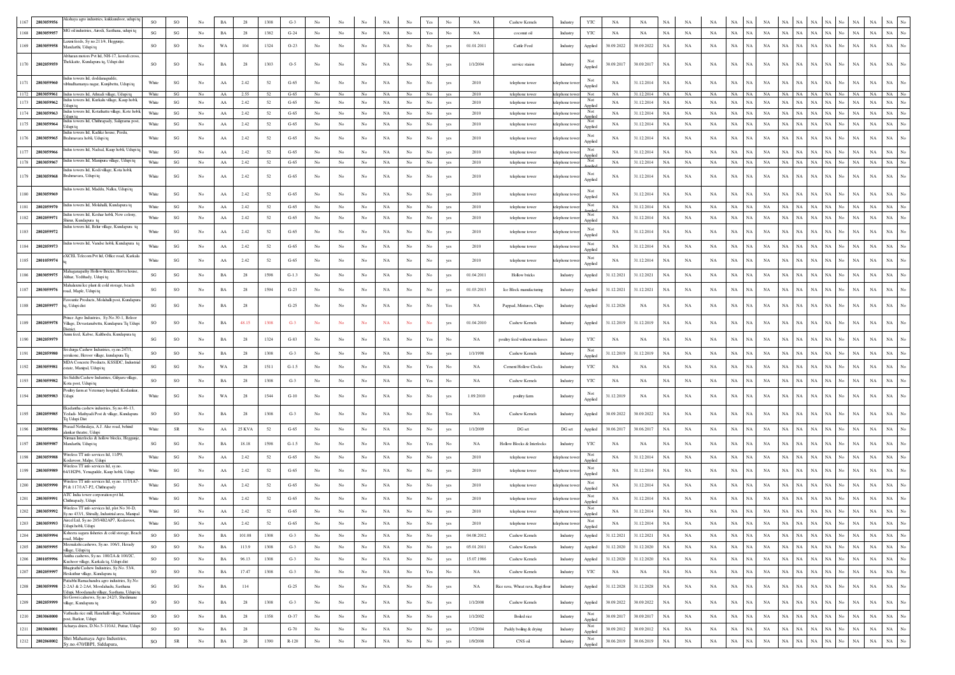| 1167 | 280305995  | kkshaya agro industries, kukkundoor, udupi tq                                                                                            | <sub>SO</sub>          | SO                     |                  |             | 28              | 1308 | $G-2$   |                  |             |             |             |                  |             |     | NA         | Cashew Kernels                    | Industry        | YTO            | NA         | NA         |             |             |             |             |                   |             |             | NA                         |       | NA<br>NA                   | NA                         |                  |
|------|------------|------------------------------------------------------------------------------------------------------------------------------------------|------------------------|------------------------|------------------|-------------|-----------------|------|---------|------------------|-------------|-------------|-------------|------------------|-------------|-----|------------|-----------------------------------|-----------------|----------------|------------|------------|-------------|-------------|-------------|-------------|-------------------|-------------|-------------|----------------------------|-------|----------------------------|----------------------------|------------------|
| 1168 | 2803059957 | MG oil industries, Airodi, Sasthana, udupi tq                                                                                            | SG                     | SG                     | $_{\rm No}$      | BA          | 28              | 1382 | $G-24$  | $_{\rm No}$      | $_{\rm No}$ | No          | NA          | No               | Yes         | No  | NA         | coconut oil                       | <b>Industry</b> | YTC            | NA         | NA         | $_{\rm NA}$ | NA          | NA          | $_{\rm NA}$ | $_{\rm NA}$<br>NA | NA          | NA          | NA<br>$_{\rm NA}$          | No    | $_{\rm NA}$<br>$_{\rm NA}$ | $_{\rm NA}$                |                  |
| 1169 | 2803059958 | axmi feeds, Sy no.211/4, Heggunje,<br>Mandarthi, Udupi tq                                                                                | SO                     | SO                     | No               | WA          | 104             | 1324 | $O-23$  | No               | No          | No          | NA          | No               | No          | yes | 01.01.2011 | Cattle Feed                       | Industry        | Applied        | 30.09.2022 | 30.09.2022 | NA          | NA          | NA          | $_{\rm NA}$ | NA<br>NA          | NA          | NA          | $_{\rm NA}$<br>NA          | No.   | $_{\rm NA}$<br>$_{\rm NA}$ | $_{\rm NA}$                | No               |
|      |            | Abharan motors Pvt ltd. NH-17. korodi cross<br>Thekkatte, Kundapura tq, Udupi dist                                                       |                        |                        |                  |             |                 |      |         |                  |             |             |             |                  |             |     |            |                                   |                 |                |            |            |             |             |             |             |                   |             |             |                            |       |                            |                            |                  |
| 1170 | 2802059959 |                                                                                                                                          | SO                     | SO                     | $_{\rm No}$      | BA          | 28              | 1303 | $O-5$   | $_{\rm No}$      | $_{\rm No}$ | No          | NA          | No               | $_{\rm No}$ | yes | 1/1/2004   | service staion                    | Industry        | Applied        | 30.09.2017 | 30.09.2017 | $_{\rm NA}$ | NA          | NA          | $_{\rm NA}$ | NA<br>NA          | NA          | NA          | $_{\rm NA}$<br><b>NA</b>   | No    | $_{\rm NA}$<br>NA          | $_{\rm NA}$                |                  |
| 1171 | 2803059960 | indus towers ltd, doddanagudde<br>vibhudhamanya nagar, Kunjibettu, Udupi tq                                                              | White                  | SG                     | No               | AA          | 2.42            | 52   | $G-65$  | No               | No          | No          | NA          | No               | No          | yes | 2010       | telephone tower                   | lephone tow     |                | NA         | 31.12.2014 | NA          | NA          | NA          | NA          | NA<br>NA          | NA          | NA          | $_{\rm NA}$<br>NA          | No    | $_{\rm NA}$                | $_{\rm NA}$<br>$_{\rm NA}$ | No               |
| 1172 |            | 2803059961 Indus towers ltd, Athradi village, Udupi tq                                                                                   | White                  | SG                     | No               | AA          | 2.55            | 52   | $G-65$  | No               | No          | No          | NA          | No               | No          | yes | 2010       | telephone tower                   | telephone tow   | Applied<br>Not | NA         | 31.12.2014 | NA          | NA          | NA          | NA NA       | NA                |             | NA NA NA    | NA                         | No NA |                            | NA NA No                   |                  |
| 1173 | 2803059962 | idus towers ltd, Kurkalu village, Kaup hobli,                                                                                            | White                  | SG                     | No               | $\rm AA$    | 2.42            | 52   | $G-65$  | No               | No          | No          | $_{\rm NA}$ | No               | $_{\rm No}$ | yes | 2010       | telephone tower                   | telephone tow   | Not<br>Applied | NA         | 31.12.2014 | NA          | NA          | NA          | NA          | $_{\rm NA}$<br>NA | NA          | NA NA       | $_{\rm NA}$                | No    | NA                         | $_{\rm NA}$<br>NA          | No               |
| 1174 | 2803059963 | Indus towers ltd, Kotathattu village, Kote hobli,                                                                                        | White                  | SG                     | No               | AA          | 2.42            | 52   | $G-65$  | No               | No          | No          | NA          | No.              | No          | yes | 2010       | telephone tower                   | elephone tow    | Not            | NA         | 31.12.2014 | $_{\rm NA}$ | NA          | NA          | NA          | NA<br><b>NA</b>   | NA          | <b>NA</b>   | <b>NA</b>                  |       | NA<br>$_{\rm NA}$          | NA                         | $\overline{N}$ o |
| 1175 | 2803059964 | dus towers ltd, Chithrapady, Saligrama post,<br>Jdupi tq                                                                                 | White                  | SG                     | No               | AA          | 2.42            | 52   | $G-65$  | $_{\mathrm{No}}$ | No          | No          | NA          | No               | No          | yes | 2010       | telephone tower                   | elephone to     | Not<br>Applied | NA         | 31.12.2014 | NA          | NA          | NA          | NA          | <b>NA</b><br>NA   | NA          | NA          | $_{\rm NA}$<br>NA          | No    | $_{\rm NA}$<br>$_{\rm NA}$ | $_{\rm NA}$                | $\overline{N}$ o |
| 1176 | 2803059965 | Indus towers ltd, Kadike house, Perdu,<br>Brahmavara hobli, Udupi tq                                                                     | White                  | SG                     | No               | AA          | 2.42            | 52   | $G-65$  | No               | No          | No          | NA          | No               | No          | yes | 2010       | telephone tower                   | lephone toy     | Not<br>Applied | NA         | 31.12.2014 | NA          | NA          | NA          | $_{\rm NA}$ | <b>NA</b><br>NA   | NA          | $_{\rm NA}$ | NA<br>NA                   | No    | NA<br>$_{\rm NA}$          | $_{\rm NA}$                |                  |
| 1177 | 2803059966 | Indus towers ltd, Nadsal, Kaup hobli, Udupi t                                                                                            | White                  | SG                     | $_{\mathrm{No}}$ | AA          | 2.42            | 52   | $G-65$  | No               | No          | No          | NA          | $_{\rm No}$      | $_{\rm No}$ | yes | 2010       | telephone tower                   | elephone tow    | Not            | NA         | 31.12.2014 | $_{\rm NA}$ | NA          | NA          | $_{\rm NA}$ | NA<br>$_{\rm NA}$ | <b>NA</b>   | NA          | NA<br>NA                   |       | $_{\rm NA}$<br>$_{\rm NA}$ | <b>NA</b>                  |                  |
| 1178 | 2803059967 | Indus towers ltd, Manipura village, Udupi tq                                                                                             | White                  | SG                     | No               | AA          | 2.42            | 52   | $G-65$  | No               | No          | No          | $_{\rm NA}$ | $_{\rm No}$      | No          | yes | 2010       | telephone tower                   | elephone tow    | Applied<br>Not | NA         | 31.12.2014 | $_{\rm NA}$ | $_{\rm NA}$ | NA          | $_{\rm NA}$ | $_{\rm NA}$<br>NA | NA          | NA          | NA<br>NA                   | No    | NA<br>$_{\rm NA}$          | NA                         | No               |
| 1179 | 2803059968 | indus towers ltd. Kodi village. Kota hobli.<br>Brahmavara, Udupi tq                                                                      | White                  | SG                     | No               | AA          | 2.42            | 52   | $G-65$  | No               | No          | No          | NA          | No               | No          | yes | 2010       | telephone tower                   | telephone tow   |                | NA         | 31.12.2014 | NA          | NA          | NA          | NA          | NA<br><b>NA</b>   | NA          | NA          | NA<br>NA                   | No    | $_{\rm NA}$<br>NA          | $_{\rm NA}$                |                  |
|      |            | Indus towers ltd, Maddu, Nalku, Udupi tq                                                                                                 |                        |                        |                  |             |                 |      |         |                  |             |             |             |                  |             |     |            |                                   |                 | Applied        |            |            |             |             |             |             |                   |             |             |                            |       |                            |                            |                  |
| 1180 | 2803059969 |                                                                                                                                          | White                  | SG                     | No               | AA          | 2.42            | 52   | $G-65$  | No               | No          | No          | NA          | No               | No          | yes | 2010       | telephone tower                   | elephone toy    | Applied        | NA         | 31.12.2014 | NA          | NA          | NA          | NA          | <b>NA</b><br>NA   | NA          | NA          | NA<br><b>NA</b>            | No    | $_{\rm NA}$<br>$_{\rm NA}$ | $_{\rm NA}$                | $_{\mathrm{No}}$ |
| 1181 | 2802059970 | Indus towers ltd, Molahalli, Kundapura tq                                                                                                | White                  | SG                     | $_{\mathrm{No}}$ | ${\rm AA}$  | 2.42            | 52   | $G-65$  | No               | $_{\rm No}$ | No          | $_{\rm NA}$ | No               | $_{\rm No}$ | yes | 2010       | telephone tower                   | elephone tow    | Not            | NA         | 31.12.2014 | $_{\rm NA}$ | NA          | NA          | $_{\rm NA}$ | NA<br>NA          | NA          | NA          | <b>NA</b><br>NA            |       | NA                         | $_{\rm NA}$<br>NA          |                  |
| 1182 | 2802059971 | ndus towers ltd, Keshar hobli, New colony<br>hirur, Kundapura tq                                                                         | White                  | SG                     | No               | AA          | 2.42            | 52   | $G-65$  | No               | No          | No          | NA          | No               | No          | yes | 2010       | telephone tower                   | elephone tow    | Not<br>Applied | NA         | 31.12.2014 | NA          | NA          | NA          | $_{\rm NA}$ | <b>NA</b><br>NA   | NA          | NA          | NA<br>NA.                  |       | NA<br>$_{\rm NA}$          | NA                         | No               |
| 1183 | 2802059972 | dus towers ltd, Belur village, Kundapura tq                                                                                              | White                  | $\mathbf{S}\mathbf{G}$ | No               | AA          | 2.42            | 52   | $G-65$  | No               | No          | No          | NA          | No               | No          | yes | 2010       | telephone tower                   | elephone tow    | Not<br>Applied | NA         | 31.12.2014 | $_{\rm NA}$ | NA          | NA          | NA          | NA<br>NA          | NA          | NA          | NA<br>NA                   | No    | $_{\rm NA}$<br>$_{\rm NA}$ | NA                         | No               |
| 1184 | 2802059973 | Indus towers ltd, Vandse hobli, Kundapura to                                                                                             | White                  | SG                     | No               | AA          | 2.42            | 52   | $G-65$  | No               | No          | No          | NA          | No               | No          | yes | 2010       | telephone tower                   | elephone tow    | Not            | NA         | 31.12.2014 | NA          | NA          | NA          | $_{\rm NA}$ | NA<br>NA          | NA          | NA          | NA<br>NA.                  | No    | $_{\rm NA}$<br>$_{\rm NA}$ | $_{\rm NA}$                |                  |
|      |            | eXCEL Telecom Pvt ltd, Office road, Karkala                                                                                              |                        |                        |                  |             |                 |      |         |                  |             |             |             |                  |             |     |            |                                   |                 | Applied<br>Not |            |            |             |             |             |             |                   | NA          | NA          |                            | No.   |                            |                            |                  |
| 1185 | 2801059974 | Mahaganapathy Hollow Bricks, Horva house                                                                                                 | White                  | SG                     | No               | AA          | 2.42            | 52   | $G-65$  | No               | No          | No          | NA          | No               | No          | yes | 2010       | telephone tower                   | lephone to      | Applied        | NA         | 31.12.2014 | NA          | NA          | NA          | NA          | <b>NA</b><br>NA   |             |             | NA<br>NA                   |       | $_{\rm NA}$<br>$_{\rm NA}$ | $_{\rm NA}$                |                  |
| 1186 | 2803059975 | Althar, Yedthady, Udupi tq                                                                                                               | $\mathbf{S}\mathbf{G}$ | $\mathbf{S}\mathbf{G}$ | No               | BA          | 28              | 1598 | $G-1.3$ | No               | No          | No          | NA          | No               | $_{\rm No}$ | yes | 01.04.2011 | <b>Hollow</b> bricks              | Industry        | Applied        | 31.12.2021 | 31.12.2021 | NA          | NA          | NA          | $_{\rm NA}$ | NA<br>NA          | NA          | NA          | <b>NA</b>                  |       | $_{\rm NA}$<br>NA          | $_{\rm NA}$                |                  |
| 1187 | 2803059976 | Aahalaxmi Ice plant & cold storage, beach<br>oad, Maple, Udupi tq                                                                        | SG                     | SO                     | $_{\rm No}$      | BA          | 28              | 1594 | $G-23$  | No               | No          | No          | NA          | No               | No          | yes | 01.03.2013 | Ice Block manufacturing           | Industry        | Applied        | 31.12.2021 | 31.12.2021 | $_{\rm NA}$ | NA          | NA          | $_{\rm NA}$ | $_{\rm NA}$<br>NA | NA          | NA          | $_{\rm NA}$<br>NA          | No.   | NA                         | $_{\rm NA}$<br>$_{\rm NA}$ | No               |
| 1188 | 2802059977 | avourite Products, Molahalli post, Kundapura<br>q, Udupi dist                                                                            | SG                     | SG                     | No               | BA          | 28              |      | $G-25$  | No               | No          | No          | NA          | No               | No          | Yes | NA         | Pappad, Mixtures, Chips           | Industry        | Applied        | 31.12.2026 | NA         | NA          | NA          | NA          | NA          | NA<br><b>NA</b>   | NA          | NA          | NA<br>NA                   |       | NA<br>NA                   | NA                         |                  |
|      |            | rince Agro Industries, Sy.No.30-1, Beloor                                                                                                |                        |                        |                  |             |                 |      |         |                  |             |             |             |                  |             |     |            |                                   |                 |                |            |            |             |             |             |             |                   |             |             |                            |       |                            |                            |                  |
| 1189 | 2802059978 | Village, Devastanabettu, Kundapura Tq Udupi<br>District.                                                                                 | <sub>SO</sub>          | SO                     | No               | BA          | 48.15           | 1308 | $G-3$   | No               | No          | No          | <b>NA</b>   | No               | No          | yes | 01.04.2010 | Cashew Kernels                    | Industry        | Applied        | 31.12.2019 | 31.12.2019 | NA          | NA          | NA          | $_{\rm NA}$ | NA<br><b>NA</b>   | NA          | NA.         | NA<br>NA                   | No    | $_{\rm NA}$<br><b>NA</b>   | $_{\rm NA}$                |                  |
|      | 2802059979 | Annu feed, Kabse, Kalthodu, Kundapura tq                                                                                                 | SG                     | SO                     | $_{\rm No}$      | $_{\rm BA}$ | 28              | 1324 | $G-83$  | $_{\rm No}$      | No          | No          | NA          | No               | Yes         | No  | NA         | poultry feed without molasses     | Industry        | YTC            | NA         | NA         | NA          | NA          | NA          | NA          | NA<br>NA          | NA          | $_{\rm NA}$ | NA                         |       | $_{\rm NA}$<br>$_{\rm NA}$ | NA                         |                  |
|      | 2802059980 | iri durga Cashew Industries, sy.no.247/1,                                                                                                | SO                     | SO                     | $_{\rm No}$      | BA          | 28              | 1308 | $G-3$   | No               | $_{\rm No}$ | No          | NA          | No               | No          | yes | 1/1/1998   | Cashew Kernels                    | Industry        | Not            | 31.12.2019 | 31.12.2019 | $_{\rm NA}$ | NA          | NA          | $_{\rm NA}$ | NA<br>NA          | NA          | NA          | NA<br>NA                   |       | NA<br>$_{\rm NA}$          | NA                         |                  |
|      |            | erukone, Heroor village, kundapura Tq<br>MDA Concrete Products, KSSIDC, Industria                                                        |                        |                        |                  |             |                 |      |         |                  |             |             |             |                  |             |     |            |                                   |                 | Applied        |            |            |             |             |             |             |                   |             |             |                            |       |                            |                            |                  |
| 1192 | 2803059981 | state, Manipal, Udupi tq<br>Sri Siddhi Cashew Industries, Giliyaru village.                                                              | SG                     | SG                     | No               | WA          | 28              | 1511 | $G-1.5$ | No               | No          | No          | NA          | No               | Yes         | No  | NA         | <b>Cement Hollow Clocks</b>       | Industry        | YTC            | NA         | NA         | NA          | NA          | NA          | $_{\rm NA}$ | NA<br>NA          | NA          | NA          | NA<br>NA                   |       | NA<br>$_{\rm NA}$          | NA                         |                  |
| 1193 | 2803059982 | Cota post, Udupi tq                                                                                                                      | <sub>SO</sub>          | SO                     | No               | BA          | 28              | 1308 | $G-3$   | No               | No          | No          | NA          | No               | Yes         | No  | NA         | Cashew Kernels                    | Industry        | YTC            | NA         | NA         | NA          | NA          | NA          | $_{\rm NA}$ | NA<br>NA          | NA          | NA          | $_{\rm NA}$<br>NA          | No    | $_{\rm NA}$<br>$_{\rm NA}$ | NA                         |                  |
| 1194 | 2803059983 | oultry farm at Veternary hospital, Kodankur<br>Jdupi                                                                                     | White                  | SG                     | No               | WA          | 28              | 1544 | $G-10$  | No               | No          | No          | NA          | No               | No          | yes | 1.09.2010  | poultry farm                      | Industry        | Applied        | 31.12.2019 | NA         | NA          | NA          | NA          | $_{\rm NA}$ | NA<br>NA          | NA          | $_{\rm NA}$ | $_{\rm NA}$<br>NA          | No    | $_{\rm NA}$<br>$_{\rm NA}$ | $_{\rm NA}$                |                  |
|      |            | Ekadantha cashew industries, Sv.no.46-13.                                                                                                |                        |                        |                  |             |                 |      |         |                  |             |             |             |                  |             |     |            |                                   |                 |                |            |            |             |             |             |             |                   |             |             |                            |       |                            |                            |                  |
| 1195 | 2802059985 | Yedadi- Mathyadi Post & village, Kundapura<br>Tq Udupi Dist                                                                              | SO                     | SO                     | No               | BA          | 28              | 1308 | $G-3$   | No               | No          |             | NA          | No               | No          | Yes | NA         | Cashew Kernels                    | Industry        | Applied        | 30.09.2022 | 30.09.2022 | NA          | NA          | NA          | $_{\rm NA}$ | NA                | NA          | NA          | NA                         |       | NA                         | $_{\rm NA}$<br>NA          |                  |
| 1196 | 2803059986 | rasad Nethralaya, A.J. Alse road, behind<br>lankar theatre, Udupi                                                                        | White                  | SR                     | No               | AA          | <b>25 KVA</b>   | 52   | $G-65$  | $_{\mathrm{No}}$ | No          | No          | NA          | No               | No          | yes | 1/1/2009   | DG set                            | DG set          | Applied        | 30.06.2017 | 30.06.2017 | NA          | NA          | NA          | $_{\rm NA}$ | NA<br>NA          | NA          | NA          | $_{\rm NA}$<br>NA          | No    | NA<br>NA                   | NA                         |                  |
| 1197 | 2803059987 | iman Interlocks & hollow blocks, Heggunje<br>Mandarthi, Udupi tq                                                                         | SG                     | SG                     | No               | BA          | 18.18           | 1598 | $G-1.5$ | No               | No          | No          | NA          | No               | Yes         | No  | NA         | Hollow Blocks & Interlocks        | Industry        | YTC            | NA         | NA         | NA          | NA          | NA          | $_{\rm NA}$ | NA<br>NA          | NA          | $_{\rm NA}$ | NA<br>NA                   | No    | NA<br>$_{\rm NA}$          | $_{\rm NA}$                |                  |
| 1198 | 2803059988 | Wireless TT info services ltd, 11/P9,                                                                                                    | White                  | SG                     | No               | AA          | 2.42            | 52   | $G-65$  | No               | No          | No          | <b>NA</b>   | No.              | No          | yes | 2010       | telephone tower                   | elephone tow    | Not            | NA         | 31.12.2014 | NA          | NA          | NA          | $_{\rm NA}$ | NA<br>NA          | NA          | $_{\rm NA}$ | NA<br>NA                   | No.   | NA<br>$_{\rm NA}$          | $_{\rm NA}$                |                  |
| 1199 | 2803059989 | odavoor, Malpe, Udupi<br>Wireless TT info services ltd, sy.no<br>54/1H2P6, Yenagudde, Kaup hobli, Udupi                                  | White                  | SG                     | No               | AA          | 2.42            | 52   | $G-65$  | No               | No          | No          | NA          | No               | No          | yes | 2010       | telephone tower                   | lephone tow     | Applied<br>Not | NA         | 31.12.2014 | NA          | NA          | NA          | $_{\rm NA}$ | NA<br>NA          | NA          | NA          | NA<br>NA                   | No.   | $_{\rm NA}$<br>$_{\rm NA}$ | $_{\rm NA}$                |                  |
|      |            | Wireless TT info services ltd, sy.no. 117/1A7-                                                                                           |                        |                        |                  |             |                 |      |         |                  |             |             |             |                  |             |     |            |                                   |                 | Applied<br>Not |            |            |             |             |             |             |                   |             |             |                            |       |                            |                            |                  |
| 1200 | 2803059990 | 1& 117/1A7-P2, Chithrapady<br>ATC India tower corporation pvt ltd,                                                                       | White                  | SG                     | No               | AA          | 2.42            | 52   | $G-65$  | No               | No          | No          | NA          | No               | No          | yes | 2010       | telephone tower                   | elephone tow    | Applied<br>Not | NA         | 31.12.2014 | NA          | NA          | NA          | $_{\rm NA}$ | $_{\rm NA}$<br>NA | NA          | $_{\rm NA}$ | NA                         |       | $_{\rm NA}$<br>$_{\rm NA}$ | NA                         |                  |
| 1201 | 2803059991 | Chithrapady, Udupi                                                                                                                       | White                  | SG                     | No               | AA          | 2.42            | 52   | $G-65$  | No               | No          | No          | NA          | No               | No          | yes | 2010       | telephone tower                   | lephone to      | Applied        | NA         | 31.12.2014 | NA          | NA          | NA          | NA          | NA<br>NA          | <b>NA</b>   | NA          | NA                         |       | $_{\rm NA}$<br>NA          | $_{\rm NA}$                |                  |
| 1202 | 2803059992 | Vireless TT info services ltd, plot No 30-D,<br>y.no 433/1, Shivally, Industrial area, Manipal<br>Aircel Ltd. Sv.no.205/4B2AP7. Kodavoor | White                  | SG                     | No               | ${\rm AA}$  | 2.42            | 52   | $G-65$  | No               | $_{\rm No}$ | No          | NA          | $_{\rm No}$      |             | yes | 2010       | telephone tower                   | telephone tow   | Not<br>Applied | NA         | 31.12.2014 | $_{\rm NA}$ | NA          | NA          | NA          | NA<br>NA          | NA          | $_{\rm NA}$ | $_{\rm NA}$<br>NA          | No.   | $_{\rm NA}$<br>NA          | $_{\rm NA}$                |                  |
| 1203 | 2803059993 | Udupi hobli, Udupi                                                                                                                       | White                  | -SG                    | No               | AA          | 2.42            | -52  | $G-65$  | No               | No          | No          | NA.         | No.              | No          | ves | 2010       | telephone tower                   | telephone towe  | Not<br>Applied | NA.        | 31.12.2014 | NA.         | NA          | NA.         | NA          | NA.<br>NA.        |             | NA NA NA    | NA 1                       | No I  | NA                         | NA                         | NA   No          |
| 1204 | 2803059994 | Ksheera sagara fisheries & cold storage, Beach<br>oad, Malpe                                                                             | SO                     | SO                     | No               | $_{\rm BA}$ | 101.08          | 1308 | $G-3$   | No               | No          | No          | NA          | No               | $_{\rm No}$ | yes | 04.08.2012 | Cashew Kernels                    | Industry        | Applied        | 31.12.2021 | 31.12.2021 | NA          | NA          | NA          | $_{\rm NA}$ | NA<br>NA          | NA          | NA          | $_{\rm NA}$<br>NA          | No    | $_{\rm NA}$<br>$_{\rm NA}$ | $_{\rm NA}$                | $_{\mathrm{No}}$ |
| 1205 | 2803059995 | Meenakshi cashews, Sy.no. 106/1, Herady<br>dlage, Udupi tq                                                                               | <b>SO</b>              | SO                     | No               | BA          | 113.9           | 1308 | $G-3$   | No               | No          | No          | NA          | No               | No          | yes | 05.01.2011 | Cashew Kernels                    | Industry        | Applied        | 31.12.2020 | 31.12.2020 | NA          | NA          | NA          | $_{\rm NA}$ | NA<br>NA          | NA          | NA          | $_{\rm NA}$<br>NA          | No    | NA                         | $_{\rm NA}$<br>$_{\rm NA}$ | $_{\mathrm{No}}$ |
| 1206 | 2801059996 | Anitha cashews, Sy.no. 100/2A & 100/2C,<br>Kuchoor village, Karkala tq, Udupi dist                                                       | SO                     | SO                     | $_{\mathrm{No}}$ | BA          | 96.13           | 1308 | $G-3$   | No               | $_{\rm No}$ | No          | $_{\rm NA}$ | No               | $_{\rm No}$ | yes | 15.07.1986 | Cashew Kernels                    | Industry        | Applied        | 31.12.2020 | 31.12.2020 | $_{\rm NA}$ | NA          | NA          | $_{\rm NA}$ | NA<br>NA          | NA          | NA          | $_{\rm NA}$<br>NA          | No    | NA                         | $_{\rm NA}$<br>$_{\rm NA}$ | $_{\rm No}$      |
| 1207 | 2802059997 | Bhagirathi Cashew Industries, Sy.No. 53/4,<br>Heskuthur village, Kundapura tq                                                            | <b>SO</b>              | SO                     | $_{\mathrm{No}}$ | $_{\rm BA}$ | 17.47           | 1308 | $G-3$   | No               | No          | No          | $_{\rm NA}$ | No               | Yes         | No  | NA         | Cashew Kernels                    | Industry        | YTC            | NA         | NA         | $_{\rm NA}$ | NA          | NA          | $_{\rm NA}$ | <b>NA</b><br>NA   | NA          | NA          | NA<br>NA                   | No    | $_{\rm NA}$                | $_{\rm NA}$<br>$_{\rm NA}$ | $_{\mathrm{No}}$ |
| 1208 |            | Pattabhi Ramachandra agro industries, Sy.No<br>2803059998 2-2A3 & 2-2A4, Moodahadu, Sasthana                                             | SG                     | $\mathbf{SG}$          | $_{\rm No}$      | BA          | 114             |      | $G-25$  | No               | $_{\rm No}$ | $_{\rm No}$ | $_{\rm NA}$ | No               | $_{\rm No}$ | yes | NA         | Rice rava, Wheat rava, Ragi flour | Industry        | Applied        | 31.12.2028 | 31.12.2028 | $_{\rm NA}$ | NA          | NA          | $_{\rm NA}$ | NA<br>$_{\rm NA}$ | NA          | $_{\rm NA}$ | $_{\rm NA}$<br>NA          | No    | $_{\rm NA}$                | $_{\rm NA}$<br>$_{\rm NA}$ | $_{\rm No}$      |
|      |            | Udupi, Moodanadu village, Sasthana, Udupi tq<br>Sri Gowri cahsews, Sy.no 242/3, Shedimane                                                |                        |                        |                  |             |                 |      |         |                  |             |             |             |                  |             |     |            |                                   |                 |                |            |            |             |             |             |             |                   |             |             |                            |       |                            |                            |                  |
| 1209 | 2802059999 | dlage, Kundapura tq                                                                                                                      | <sub>SO</sub>          | SO                     | No               | BA          | 28              | 1308 | $G-3$   | No               | No          | No          | NA          | No               | No          | yes | 1/1/2008   | Cashew Kernels                    | Industry        | Applied        | 30.09.2022 | 30.09.2022 | NA          | NA          | NA          | $_{\rm NA}$ | NA<br>NA          | NA          | NA          | $_{\rm NA}$<br>NA          | No    | NA                         | $_{\rm NA}$<br>$_{\rm NA}$ | $_{\rm No}$      |
| 1210 | 2803060000 | athsalta rice mill, Hanehalli village, Nadumane<br>ost, Barkur, Udupi                                                                    | SO                     | SO                     | $_{\rm No}$      | BA          | 28              | 1358 | $O-37$  | No               | $_{\rm No}$ | $_{\rm No}$ | NA          | $_{\rm No}$      | $_{\rm No}$ | yes | 1/1/2002   | Boiled rice                       | Industry        | Not<br>Applied | 30.09.2017 | 30.09.2017 | NA          | NA          | NA          | $_{\rm NA}$ | NA<br>NA          | NA          | NA          | NA<br>NA                   | No    | NA                         | NA<br>NA                   | $_{\rm No}$      |
| 1211 | 2803060001 | Acharya driers, D.No.5-110A1, Puttur, Udupi                                                                                              | so                     | $_{\rm SO}$            | $_{\mathrm{No}}$ | $_{\rm BA}$ | 28              |      | $G-70$  | No               | No          | No          | $_{\rm NA}$ | No               | $_{\rm No}$ | yes | 1/7/2004   | Paddy boiling & drying            | Industry        | Not<br>Applied | 30.09.2012 | 30.09.2012 | NA          | NA          | NA          | NA          | NA<br>NA          | NA          | NA          | $_{\rm NA}$<br>NA          | No    | $_{\rm NA}$                | $_{\rm NA}$<br>$_{\rm NA}$ | $_{\rm No}$      |
| 1212 | 2802060002 | Shri Mahamaya Agro Industries,<br>Sy.no.470/IBPI, Siddapura,                                                                             | so                     | ${\sf SR}$             | No               | $_{\rm BA}$ | $26\phantom{.}$ | 1390 | $R-120$ | $_{\mathrm{No}}$ | $_{\rm No}$ | No          | $_{\rm NA}$ | $_{\mathrm{No}}$ | $_{\rm No}$ | yes | 1/9/2008   | CNS oil                           | Industry        | Not<br>Applied | 30.06.2019 | 30.06.2019 | NA          | $_{\rm NA}$ | $_{\rm NA}$ | $_{\rm NA}$ | $_{\rm NA}$<br>NA | $_{\rm NA}$ | $_{\rm NA}$ | $_{\rm NA}$<br>$_{\rm NA}$ | No    | $_{\rm NA}$<br>$_{\rm NA}$ | $_{\rm NA}$                | $\overline{N}$ o |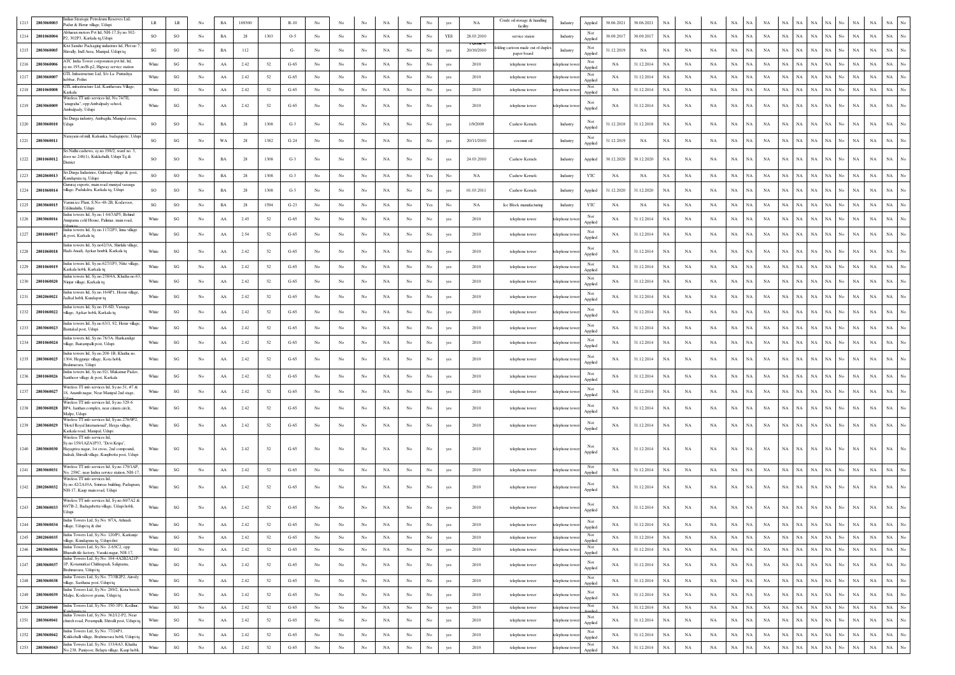| 1213 | 2803060003      | ndian Stratogic Petroleum Reserves Ltd,<br>Padur & Herur village, Udupi                                                       | LR                     | $\rm LR$               | No               | <b>BA</b>        | 169300 |        | $R-10$   |                  |                  |                  |             |                  |                  |            | <b>NA</b>           | Crude oil storage & handling     | Industry       | Applied                   | 30.06.2021  | 30.06.2021 | NA          |             |             |                          |             |                            |             |                   |             |             |                                 |
|------|-----------------|-------------------------------------------------------------------------------------------------------------------------------|------------------------|------------------------|------------------|------------------|--------|--------|----------|------------------|------------------|------------------|-------------|------------------|------------------|------------|---------------------|----------------------------------|----------------|---------------------------|-------------|------------|-------------|-------------|-------------|--------------------------|-------------|----------------------------|-------------|-------------------|-------------|-------------|---------------------------------|
| 1214 | 2801060004      | bharan motors Pvt ltd, NH-17,Sy.no 302-<br>2, 302P3, Karkala tq, Udupi                                                        | SO.                    | SO                     | No               | BA               | 28     | 1303   | $O-5$    | No               | No               | $_{\rm No}$      | NA          | $_{\rm No}$      | No               | YES        | 28.03.2010          | facility<br>service staion       | Industry       | Not                       | 30.09.2017  | 30.09.2017 | $_{\rm NA}$ | NA          | <b>NA</b>   | $_{\rm NA}$<br>NA        | NA          | NA<br>NA                   | NA          | NA<br>No          | $_{\rm NA}$ | $_{\rm NA}$ | $_{\rm NA}$                     |
|      | 1215 2803060005 | Kivi Sansho Packaging industries ltd, Plot no<br>Shivally, Indl Area, Manipal, Udupi tq                                       | SG                     | SG                     | No               | BA               | 112    |        | G-       | No.              | No               | No               | NA          | No               | No               | yes        | rvnm-<br>20/10/2010 | Iding cartoon made out of duplex | Industry       | Applied<br>Not            | 31.12.2019  | NA         | NA          | NA          | NA          | $_{\rm NA}$<br>NA        | NA          | NA<br>NA                   | <b>NA</b>   | NA                | $_{\rm NA}$ | $_{\rm NA}$ | $_{\rm NA}$                     |
| 1216 | 28030600        | ATC India Tower corporation pvt ltd, ltd,                                                                                     | White                  | SG                     | $_{\mathrm{No}}$ | ${\rm AA}$       | 2.42   | 52     | $G-65$   | No               | No               | No               | $_{\rm NA}$ | No               | No               | yes        | 2010                | paper board<br>telephone tower   | elephone tow   | Applied<br>Not            | NA          | 31.12.2014 | NA          | NA          | NA          | $_{\rm NA}$<br>NA        | $_{\rm NA}$ | NA<br>NA                   | NA          |                   | $_{\rm NA}$ | $_{\rm NA}$ | $_{\rm NA}$                     |
| 1217 | 2803060007      | y.no.195,no/B-p2, Higway service station<br>GTL Infrastructure Ltd, S/o La. Puttushya                                         | White                  | SG                     | No               |                  | 2.42   | 52     | $G-65$   | No.              | No               | No               | NA          | No               | No               |            | 2010                | telephone tower                  | telephone to   | Applied<br>Not            | NA          | 31.12.2014 | NA          | NA          | NA          | $_{\rm NA}$<br><b>NA</b> | NA          | <b>NA</b><br><b>NA</b>     | NA          | NA                | $_{\rm NA}$ | $_{\rm NA}$ | $_{\rm NA}$                     |
| 1218 | 2801060008      | ebbar, Pethri<br>GTL infrastructure Ltd, Kanthavara Village,                                                                  | White                  | $\mathbf{S}\mathbf{G}$ | No               | AA<br>${\rm AA}$ | 2.42   | 52     | $G-65$   | No               | No               | No               | NA          | No               | No               | yes<br>yes | 2010                | telephone tower                  | telephone tow  | Applied<br>Not            | NA          | 31.12.2014 | NA          | NA          | NA          | $_{\rm NA}$<br>NA        | NA          | NA<br>NA                   | NA          | NA                | $_{\rm NA}$ | $_{\rm NA}$ | $_{\rm NA}$<br>No               |
| 1219 | 28030600        | Carkala<br>Wireless TT info services ltd, No.74/7E,<br>anugraha", opp:Ambalpady school,                                       | White                  | SG                     | No               | ${\rm AA}$       | 2.42   | 52     | $G-65$   | No               | No               | No               | NA          | No               | No               | yes        | 2010                | telephone tower                  | telephone tow  | Applied<br>Not            | NA          | 31.12.2014 | $_{\rm NA}$ | NA          | NA          | $_{\rm NA}$<br>NA        | $_{\rm NA}$ | <b>NA</b><br>NA            | NA          |                   | $_{\rm NA}$ | $_{\rm NA}$ | <b>NA</b>                       |
| 1220 | 2803060010      | Ambalpady, Udupi<br>Sri Durga industry, Ambagilu, Manipal cross<br>Jdupi                                                      | SO                     | SO                     | No               | BA               | 28     | 1308   | $G-3$    | $_{\rm No}$      | No               | No               | NA          | No               | No               | yes        | 1/9/2009            | Cashew Kernels                   | Industry       | Applied<br>Not            | 31.12.2018  | 31.12.2018 | $_{\rm NA}$ | NA          | NA          | $_{\rm NA}$<br>NA        | NA          | NA<br>NA                   | NA          |                   | $_{\rm NA}$ | $_{\rm NA}$ | NA                              |
| 1221 | 2803060011      | larayani oil mill, Kalsanka, badagupete, Udup                                                                                 | $\mathbf{S}\mathbf{G}$ | $\mathbf{S}\mathbf{G}$ | No               | WA               | 28     | 1382   | $G-24$   | No               | No               | No               | $_{\rm NA}$ | No               | $_{\mathrm{No}}$ | yes        | 20/11/2010          | coconut oil                      | Industry       | Applied<br>Not            | 31.12.2019  | NA         | NA          | NA          | NA          | NA<br>NA                 | NA          | NA<br>NA                   | NA          | NA<br>No          | NA          | $_{\rm NA}$ | $_{\rm NA}$<br>$\overline{N}$ o |
|      | 1222 2801060012 | Sri Nidhi cashews, sy.no.198/2, ward no. 3,<br>door no 248(1). Kukkehalli, Udupi Ta &                                         | SO.                    | SO                     | No               | <b>BA</b>        | 28     | 1308   | $G-3$    | No.              | No               | No               | NA          | No               | No               | yes        | 24.03.2010          | Cashew Kernels                   | Industry       | Applied<br>Applied        | 30.12.2020  | 30.12.2020 | NA          | NA          | NA          | $_{\rm NA}$<br>NA        | NA          | NA<br>NA                   | NA          |                   | <b>NA</b>   | <b>NA</b>   | <b>NA</b>                       |
| 1223 | 2802060013      | <b>istrict</b><br>Sri Durga Industries, Gulwady village & post,<br>Kundapura tq, Udup                                         | SO                     | SO                     | No               | BA               | 28     | 1308   | $G-3$    | No               | No               | No               | NA          | No               | Yes              | No         | NA                  | Cashew Kernels                   | Industry       | YTC                       | NA          | NA         | $_{\rm NA}$ | NA          | NA          | NA<br>NA                 | NA          | <b>NA</b>                  | N/          |                   | NA          | $_{\rm NA}$ | NA                              |
|      | 1224 2801060014 | Gururaj exports, main road muniyal varanga<br>village, Padukdru, Karkala tq, Udupi                                            | SO                     | $SO$                   | No               | BA               | 28     | 1308   | $G-3$    | No               | No               | No               | NA          | No               | No               |            | 01.03.2011          | Cashew Kernels                   | Industry       | Applied                   | 31.12.2020  | 31.12.2020 | NA          | NA          | NA          | $_{\rm NA}$<br>NA        | NA          | <b>NA</b><br>NA            | NA          |                   | $_{\rm NA}$ | NA          | NA                              |
|      |                 | Varuni ice Plant, S.No-48-2B, Kodavoor,                                                                                       |                        |                        |                  |                  |        |        |          |                  |                  |                  |             |                  |                  |            |                     |                                  |                |                           |             |            |             |             |             |                          |             |                            |             |                   |             |             |                                 |
| 1225 | 2803060015      | Jddinahitlu, Udupi<br>Indus towers ltd, Sy.no.1 64/3AP5, Behind                                                               | SG                     | SO                     | No               | $_{\rm BA}$      | 28     | 1594   | $G-23$   | No               | No               | No               | NA          | No               | Yes              | No         | NA                  | Ice Block manufacturing          | Industry       | YTC                       | NA          | NA         | NA          | NA          | NA          | NA<br>NA                 | NA          | NA<br>NA                   | $_{\rm NA}$ | NA<br>No          | $_{\rm NA}$ | $_{\rm NA}$ | $_{\rm NA}$                     |
| 1226 | 2803060016      | Anupama cold House, Palimar, main road,<br>adus towers ltd, Sy.no.117/2P3, Inna village                                       | White                  | SG                     | No               | AA               | 2.45   | 52     | $G-65$   | No               | No               | No               | NA          | No               | No               |            | 2010                | telephone tower                  | telephone toy  | Applied                   | NA          | 31.12.2014 | NA          | NA          | NA          | NA<br>NA                 | NA          | NA<br>NA                   | NA          | NA<br>No          | $_{\rm NA}$ | NA          | $_{\rm NA}$                     |
|      | 1227 2801060017 | & post, Karkala tq                                                                                                            | White                  | $\mathbf{SG}$          | No               | AA               | 2.54   | 52     | $G-65$   | No               | No               | No               | NA          | No               | No               | yes        | 2010                | telephone tower                  | elephone tow   | Not<br>Applied            | NA          | 31.12.2014 | NA          | NA          | NA          | NA<br><b>NA</b>          | NA          | $_{\rm NA}$<br>NA          | NA          | NA<br>No          | $_{\rm NA}$ | $_{\rm NA}$ | $_{\rm NA}$                     |
|      | 1228 2801060018 | Indus towers ltd, Sy.no42/3A, Shirlalu village,<br>Hadi-Anadi, Ajekar honbli, Karkala tq                                      | White                  | SG                     | No               | AA               | 2.42   | 52     | $G-65$   | No               | No               | No               | NA          | No               | No               |            | 2010                | telephone tower                  | elephone to    | Not<br>Applied            | NA          | 31.12.2014 | NA          | NA          | NA          | NA<br>NA                 | NA          | <b>NA</b><br>NA            | NA          |                   | NA          | NA          | NA                              |
|      | 1229 2801060019 | ndus towers ltd, Sy.no.627/1P3, Nitte village<br>.<br>Carkala hobli, Karkala tq                                               | White                  | SG                     | $_{\mathrm{No}}$ | ${\rm AA}$       | 2.42   | 52     | $G-65$   | No               | $_{\rm No}$      | No               | NA          | $_{\rm No}$      | $_{\rm No}$      | yes        | 2010                | telephone tower                  | telephone tow  | Not<br>Applied            | NA          | 31.12.2014 | NA          | NA          | NA          | $_{\rm NA}$<br>NA        | NA          | NA<br>NA                   | NA          | NA<br>No          | NA          | $_{\rm NA}$ | NA                              |
| 1230 | 2801060020      | idus towers ltd. Sv.no.238/4A. Khatha no.62<br>Vinjur village, Karkala tq                                                     | White                  | $\mathbf{S}\mathbf{G}$ | No               | ${\rm AA}$       | 2.42   | 52     | $G-65$   | No.              | No               | No               | NA          | No               | No               | yes        | 2010                | telephone tower                  | telephone tow  | Not<br>Applied            | NA          | 31.12.2014 | NA          | NA          | NA          | $_{\rm NA}$<br>NA        | NA          | $_{\rm NA}$<br>$_{\rm NA}$ | NA          | NA<br>No          | $_{\rm NA}$ | $_{\rm NA}$ | $_{\rm NA}$                     |
| 1231 | 2802060021      | Indus towers ltd, Sy.no.16/4P1, Hosur village<br>Jadkal hobli, Kundapur tq                                                    | White                  | $\mathbf{S}\mathbf{G}$ | No               | ${\rm AA}$       | 2.42   | 52     | $G-65$   | No.              | No               | No               | NA          | No               | No               | yes        | 2010                | telephone tower                  | elephone tow   | Not<br>Applied            | NA          | 31.12.2014 | NA          | NA          | NA          | NA<br><b>NA</b>          | NA          | NA<br>NA                   | NA          |                   | NA          | $_{\rm NA}$ | $_{\rm NA}$<br>No               |
|      | 1232 2801060022 | ndus towers ltd, Sy.no.19-6D, Varanga<br>village, Ajekar hobli, Karkala tq                                                    | White                  | SG                     | No               | ${\rm AA}$       | 2.42   | 52     | $G-65$   | No.              | No               | No               | NA          | No               | $_{\rm No}$      | yes        | 2010                | telephone tower                  | telephone tov  | Not<br>Applied            | NA          | 31.12.2014 | NA          | NA          | NA          | $_{\rm NA}$<br>NA        | NA          | NA<br>NA                   | <b>NA</b>   |                   | NA          | $_{\rm NA}$ | $_{\rm NA}$<br>No               |
| 1233 | 2803060023      | dus towers ltd, Sy.no.63/1, 92, Herur village<br>3antakal post, Udupi                                                         | White                  | SG                     | No               | AA               | 2.42   | 52     | $G-65$   | No               | No               | No               | NA          | No               | No               | yes        | 2010                | telephone tower                  | telephone tov  |                           | NA          | 31.12.2014 | NA          | NA          | NA          | NA<br>NA                 | NA          | NA<br>NA                   | $_{\rm NA}$ | NA<br>No          | $_{\rm NA}$ | $_{\rm NA}$ | $_{\rm NA}$                     |
| 1234 | 2801060024      | adus towers ltd, Sy.no.78/3A, Harikandige<br>village, Bairampalli post, Udupi                                                 | White                  | $\mathbf{S}\mathbf{G}$ | No               | ${\rm AA}$       | 2.42   | 52     | $G-65$   | No.              | No               | No               | $_{\rm NA}$ | No               | No               | yes        | 2010                | telephone tower                  | telephone tow  | Applied<br>Not            | NA          | 31.12.2014 | NA          | NA          | NA          | $_{\rm NA}$<br>NA        | NA          | $_{\rm NA}$<br>NA          | $_{\rm NA}$ | <b>NA</b><br>No   | $_{\rm NA}$ | $_{\rm NA}$ | $_{\rm NA}$                     |
|      |                 | Indus towers ltd, Sy.no.208-1B, Khatha no.                                                                                    |                        |                        |                  |                  |        |        |          |                  |                  |                  |             |                  |                  |            |                     |                                  |                | Applied<br>Not            |             |            |             |             |             |                          |             |                            |             |                   |             |             |                                 |
| 1235 | 2803060025      | 1304, Heggunje village, Kota hobli,<br>Brahmavara, Udupi<br>adus towers ltd. Sv.no.92/. Mukamar Padav.                        | White                  | SG                     | No               | ${\bf AA}$       | 2.42   | 52     | $G - 65$ | No               | No               | No               | NA          | No               | No               | yes        | 2010                | telephone tower                  | telephone tow  | Applied                   | NA          | 31.12.2014 | $_{\rm NA}$ | NA          | NA          | $_{\rm NA}$<br>NA        | NA          | NA<br>NA                   | NA          | NA<br>No.         | NA          | $_{\rm NA}$ | $_{\rm NA}$                     |
| 1236 | 2801060026      | Santhoor village & post, Karkala<br>Wireless TT info services ltd. Sv.no.51, #7 &                                             | White                  | $\mathbf{S}\mathbf{G}$ | No               | ${\rm AA}$       | 2.42   | 52     | $G-65$   | No               | No               | No               | NA          | $_{\rm No}$      | No               | yes        | 2010                | telephone tower                  | telephone tow  | Not<br>Applied            | NA          | 31.12.2014 | $_{\rm NA}$ | NA          | NA          | $_{\rm NA}$<br>NA        | NA          | NA<br>NA                   | NA          | NA<br>No          | NA          | $_{\rm NA}$ | NA                              |
| 1237 | 2803060027      | 18, Ananth nagar, Near Manipal 2nd stage,                                                                                     | White                  | SG                     | No               | ${\rm AA}$       | 2.42   | 52     | $G-65$   | $_{\rm No}$      | $_{\rm No}$      | $_{\rm No}$      | NA          | $_{\rm No}$      | No               | yes        | 2010                | telephone tower                  | telephone tow  | Not<br>Applied            | NA          | 31.12.2014 | $_{\rm NA}$ | NA          | NA          | $_{\rm NA}$<br>NA        | NA          | <b>NA</b><br>NA            | NA          |                   | $_{\rm NA}$ | $_{\rm NA}$ | $_{\rm NA}$                     |
| 1238 | 2803060028      | Wireless TT info services ltd, Sy.no.329-6<br>BP4, Janthan complex, near citizen circle,<br>Malpe, Udupi                      | White                  | $_{\rm SG}$            | No               | AA               | 2.42   | 52     | $G-65$   | No               | No               | No               | NA          | No               | No               |            | 2010                | telephone tower                  | lephone to     | Not<br>Applied            | NA          | 31.12.2014 | NA          | NA          | NA          | NA<br>NA                 | NA          | NA<br>NA                   | NA          |                   | NA          | NA          | $_{\rm NA}$                     |
| 1239 | 2803060029      | Wireless TT info services ltd, Sy.no.278/9P2,<br>'Hotel Royal International'', Herga village,<br>Karkala road, Manipal, Udupi | White                  | SG                     | $_{\rm No}$      | ${\rm AA}$       | 2.42   | 52     | $G-65$   | $_{\mathrm{No}}$ | $_{\mathrm{No}}$ | No               | NA          | No               | $_{\rm No}$      | yes        | 2010                | telephone tower                  | telephone tow  | Not<br>Applied            | $_{\rm NA}$ | 31.12.2014 | $_{\rm NA}$ | NA          | NA          | $_{\rm NA}$<br>NA        | NA          | $_{\rm NA}$<br>NA          | NA          | NA<br>No.         | NA          | $_{\rm NA}$ | $_{\rm NA}$                     |
|      | 1240 2803060030 | Wireless TT info services ltd,<br>y.no.159/1AZA1P33, "Devi Kripa",<br>Hayagriva ragar, 1st cross, 2nd compound,               | White                  | $_{\rm SG}$            | No               | AA               | 2.42   | 52     | $G-65$   | No               | No               | No               | NA          | No               | No               |            | 2010                | telephone tower                  | telephone tov  | Not                       | NA          | 31.12.2014 | NA          | NA          | NA          | NA<br><b>NA</b>          | NA          | <b>NA</b><br>NA.           | NA          |                   | <b>NA</b>   | NA          | NA                              |
|      |                 | Indrali, Shivalli village, Kunjibettu post, Udupi<br>Wireless TT info services ltd. Sv.no.179/1AP.                            |                        |                        |                  |                  |        |        |          |                  |                  |                  |             |                  |                  |            |                     |                                  |                | Applied<br>Not            |             |            |             |             |             |                          |             |                            |             |                   |             |             |                                 |
| 1241 | 2803060031      | No. 259C, near Indira service station, NH-17<br>Wireless TT info services ltd.                                                | White                  | SG                     | No               | ${\rm AA}$       | 2.42   | 52     | $G-65$   | No               | No               | No               | NA          | $_{\rm No}$      | $_{\rm No}$      | yes        | 2010                | telephone tower                  | telephone towe | Applied                   | $_{\rm NA}$ | 31.12.2014 | NA          | NA          | NA          | $_{\rm NA}$<br>NA.       | NA          | NA<br>NA                   | NA          | NA                | NA          | $_{\rm NA}$ | NA                              |
|      | 1242 2802060032 | Sy.no.42/2A10A, Srinivas building, Padugram<br>NH-17, Kaup main road, Udupi                                                   | White                  | SG                     | No               | ${\rm AA}$       | 2.42   | 52     | $G-65$   | No               | No               | No               | NA          | No               | No               | yes        | 2010                | telephone tower                  | telephone tow  | Not<br>Applied            | NA          | 31.12.2014 | $_{\rm NA}$ | NA          | NA          | $_{\rm NA}$<br>NA        | NA          | NA<br>NA                   | NA          | NA<br>No.         | $_{\rm NA}$ | $_{\rm NA}$ | NA                              |
| 1243 | 2803060033      | Wireless TT info services ltd, Sy.no.60/7A2 &<br>60/7B-2, Badagubettu village, Udupi hobli,<br>Udupi                          | White                  | SG                     | No               | ${\bf AA}$       | 2.42   | 52     | $G-65$   | $_{\rm No}$      | No               | No               | NA          | No               | No               | yes        | 2010                | telephone tower                  | telephone tow  | Not<br>Applied            | NA          | 31.12.2014 | $_{\rm NA}$ | NA          | NA          | $_{\rm NA}$<br>NA        | NA          | <b>NA</b><br>NA            | NA          | ŃА                | NA          | NA          | <b>NA</b>                       |
| 1244 | 280,50600,54    | Indus Towers Ltd, Sy.No. 9/7A, Athradi<br>village, Udupi tq & dist                                                            | White                  | SG                     | No.              | AA               | 2.42   | 52     | $G - 65$ | No               | No               | No               | NA          | No               |                  |            | 2010                | telephone tower                  | telephone towe | Not<br>Applied            | NA          | 1.12.2014  | NA          | NA          | NA          | NA                       | - NA        | NA<br>NA 1                 | NA          | NA                | NA.         | NA.         | NA                              |
| 1245 | 2802060035      | Indus Towers Ltd, Sy.No. 120/P1, Karkunje<br>village, Kundapura tq, Udupi dist                                                | White                  | SG                     | No               | ${\rm AA}$       | 2.42   | 52     | $G-65$   | No               | $_{\mathrm{No}}$ | $_{\rm No}$      | NA          | $_{\rm No}$      | $_{\rm No}$      | yes        | 2010                | telephone tower                  | telephone towe | Not<br>Applied            | NA          | 31.12.2014 | NA          | NA          | NA          | $_{\rm NA}$<br>NA        | NA          | NA<br>NA                   | NA          | $_{\rm NA}$<br>No | NA          | NA          | $_{\rm NA}$<br>$_{\mathrm{No}}$ |
| 1246 | 2803060036      | Indus Towers Ltd, Sy.No. 2-65C2, opp.<br>Bharath tile factory, Vasuki nagar, NH-17,                                           | White                  | $\mathbf{S}\mathbf{G}$ | No               | ${\rm AA}$       | 2.42   | 52     | $G-65$   | No               | No               | $_{\mathrm{No}}$ | NA          | No               | $_{\mathrm{No}}$ | yes        | 2010                | telephone tower                  | telephone towe | Not<br>Applied            | $_{\rm NA}$ | 31.12.2014 | NA          | NA          | NA          | NA<br>$_{\rm NA}$        | NA          | NA  <br>NA                 | NA          | NA<br>No          | NA          | NA          | NA<br>$_{\rm No}$               |
| 1247 | 2803060037      | Indus Towers Ltd, Sy.No. 104-4A2B2A21P-<br>IP, Kotamurkai Chithrapadi, Saligrama,<br>Brahmavara, Udupi tq                     | White                  | SG                     | $_{\mathrm{No}}$ | ${\rm AA}$       | 2.42   | 52     | $G-65$   | No               | No               | $_{\rm No}$      | $_{\rm NA}$ | $_{\mathrm{No}}$ | $_{\rm No}$      | yes        | 2010                | telephone tower                  | telephone tow  | Not<br>Applied            | NA          | 31.12.2014 | $_{\rm NA}$ | $_{\rm NA}$ | NA          | $_{\rm NA}$<br>NA        | NA          | $_{\rm NA}$<br>NA          | $_{\rm NA}$ | $_{\rm NA}$<br>No | $_{\rm NA}$ | $_{\rm NA}$ | $_{\rm NA}$<br>No               |
| 1248 | 2803060038      | Indus Towers Ltd, Sy.No. 77/3B2P2, Airody<br>village, Sasthana post, Udupi tq                                                 | White                  | $\mathbf{S}\mathbf{G}$ | $_{\mathrm{No}}$ | ${\bf AA}$       | 2.42   | 52     | $G-65$   | $_{\mathrm{No}}$ | $_{\mathrm{No}}$ | $_{\mathrm{No}}$ | $_{\rm NA}$ | $_{\mathrm{No}}$ | $_{\mathrm{No}}$ | yes        | 2010                | telephone tower                  | telephone towe | Not<br>Applied            | $_{\rm NA}$ | 31.12.2014 | $_{\rm NA}$ | $_{\rm NA}$ | $_{\rm NA}$ | $_{\rm NA}$<br>NA        | $_{\rm NA}$ | NA<br>$_{\rm NA}$          | $_{\rm NA}$ | $_{\rm NA}$<br>No | NA          | $_{\rm NA}$ | $_{\rm NA}$<br>$_{\mathrm{No}}$ |
| 1249 |                 | Indus Towers Ltd, Sy.No. 289/2, Kota beech<br>2803060039 Malpe, Kodavoor grama, Udupi tq                                      | White                  | $\mathbf{S}\mathbf{G}$ | $_{\mathrm{No}}$ | ${\bf AA}$       | 2.42   | 52     | $G-65$   | $_{\rm No}$      | No               | $_{\rm No}$      | NA          | $_{\mathrm{No}}$ | $_{\mathrm{No}}$ | yes        | 2010                | telephone tower                  | telephone tow  | Not<br>Applied            | NA          | 31.12.2014 | $_{\rm NA}$ | NA          | NA          | $_{\rm NA}$<br>NA        | NA          | NA<br>NA                   | NA          | $_{\rm NA}$<br>No | $_{\rm NA}$ | NA          | $_{\rm NA}$<br>$_{\mathrm{No}}$ |
| 1250 | 2802060040      | Indus Towers Ltd, Sy.No. 150-1P1, Kedhur,                                                                                     | White                  | SG                     | $_{\rm No}$      | ${\rm AA}$       | 2.42   | 52     | $G-65$   | No               | No               | $_{\rm No}$      | NA          | $_{\mathrm{No}}$ | $_{\mathrm{No}}$ | yes        | 2010                | telephone tower                  | telephone towe | Not                       | $_{\rm NA}$ | 31.12.2014 | NA          | $_{\rm NA}$ | NA          | NA<br>$_{\rm NA}$        | NA          | NA<br>NA                   | NA          | NA<br>No          | NA          | NA          | NA<br>$_{\rm No}$               |
| 1251 | 2803060041      | Indus Towers Ltd. Sv.No. 362/12-P2. Near<br>church road, Perampalli, Shivalli post, Udupi tq                                  | White                  | $\mathbf{S}\mathbf{G}$ | No               | ${\bf AA}$       | 2.42   | 52     | $G-65$   | $_{\rm No}$      | No               | $_{\rm No}$      | NA          | No               | $_{\rm No}$      | yes        | 2010                | telephone tower                  | telephone tow  | Not<br>Applied            | NA          | 31.12.2014 | NA          | $_{\rm NA}$ | $_{\rm NA}$ | $_{\rm NA}$<br>NA        | NA          | NA<br>NA                   | NA          | <b>NA</b><br>No   | $_{\rm NA}$ | $_{\rm NA}$ | $_{\rm NA}$<br>$_{\mathrm{No}}$ |
| 1252 | 2803060042      | Indus Towers Ltd, Sy.No. 77/24P1,<br>Kukkehalli village, Brahmavara hobli, Udupi tq                                           | White                  | $\mathbf{S}\mathbf{G}$ | $_{\mathrm{No}}$ | ${\rm AA}$       | 2.42   | 52     | $G-65$   | No               | No               | $_{\rm No}$      | NA          | $_{\mathrm{No}}$ | $_{\mathrm{No}}$ | yes        | 2010                | telephone tower                  | telephone tow  | Not                       | $_{\rm NA}$ | 31.12.2014 | NA          | $_{\rm NA}$ | $_{\rm NA}$ | $_{\rm NA}$<br>NA        | NA          | NA<br>NA                   | $_{\rm NA}$ | NA<br>No          | NA          | $_{\rm NA}$ | NA<br>$_{\rm No}$               |
| 1253 | 2803060043      | Indus Towers Ltd, Sy.No. 133/4A3, Khatha<br>No.238, Paniyoor, Belapu village, Kaup hobli,                                     | White                  | $\mathbf{S}\mathbf{G}$ | No               | ${\bf AA}$       | 2.42   | $52\,$ | $G-65$   | $_{\rm No}$      | $_{\mathrm{No}}$ | $_{\rm No}$      | $_{\rm NA}$ | $_{\mathrm{No}}$ | $_{\mathrm{No}}$ | yes        | 2010                | telephone tower                  | telephone tow  | Applied<br>Not<br>Applied | $_{\rm NA}$ | 31.12.2014 | NA          | $_{\rm NA}$ | $_{\rm NA}$ | $_{\rm NA}$<br><b>NA</b> | $_{\rm NA}$ | NA<br>$_{\rm NA}$          | $_{\rm NA}$ | $_{\rm NA}$<br>No | $_{\rm NA}$ | $_{\rm NA}$ | $_{\rm NA}$<br>$_{\mathrm{No}}$ |
|      |                 |                                                                                                                               |                        |                        |                  |                  |        |        |          |                  |                  |                  |             |                  |                  |            |                     |                                  |                |                           |             |            |             |             |             |                          |             |                            |             |                   |             |             |                                 |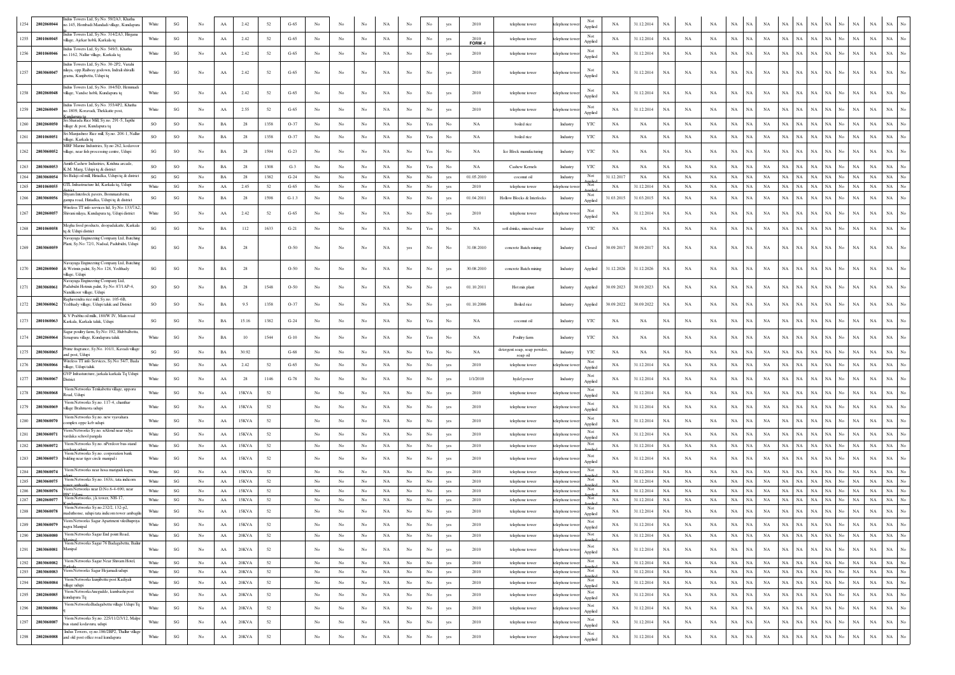| 1254           | 2802060044               | ndus Towers Ltd, Sy.No. 59/2A3, Khatha<br>o.145, Hombadi Mandadi village, Kundapura                                                     | White                  | $\mathbf{S}\mathbf{G}$       | No               | AA               | 2.42              | 52         | $G-65$           |                  |                  |                   | NA                       |                        | No                                                                                    |            | 2010                | telephone tower                         | elephone tow                     | Not<br>Applied            | NA               | 31.12.2014               | NA          |             |             |                          |                   |             |                                       |                   |                                                |                          |                                                      |
|----------------|--------------------------|-----------------------------------------------------------------------------------------------------------------------------------------|------------------------|------------------------------|------------------|------------------|-------------------|------------|------------------|------------------|------------------|-------------------|--------------------------|------------------------|---------------------------------------------------------------------------------------|------------|---------------------|-----------------------------------------|----------------------------------|---------------------------|------------------|--------------------------|-------------|-------------|-------------|--------------------------|-------------------|-------------|---------------------------------------|-------------------|------------------------------------------------|--------------------------|------------------------------------------------------|
| 1255           | 2801060045               | ndus Towers Ltd, Sy.No. 314/2A3, Hirgana<br>village, Ajekar hobli, Karkala tq                                                           | White                  | SG                           | No               | AA               | 2.42              | 52         | $G-65$           | No               | No               | No                | NA                       | No                     | No                                                                                    | yes        | 2010                | telephone tower                         | elephone toy                     | Not<br>Applied            | NA               | 31.12.2014               | NA          | NA          | <b>NA</b>   | $_{\rm NA}$              | NA                | NA          | NA<br>NA                              | $_{\rm NA}$       | NA<br>NA<br>No                                 | $_{\rm NA}$              | $_{\rm NA}$<br>No                                    |
|                | 1256 2801060046          | ndus Towers Ltd. Sv No. 549/3 Khatha<br>o.1162, Nallur village, Karkala tq                                                              | White                  | $\mathbf{S}\mathbf{G}$       | No               | ${\rm AA}$       | 2.42              | 52         | $G-65$           | No               | No               | No                | NA                       | No                     | $_{\rm No}$                                                                           | yes        | <b>FORM</b><br>2010 | telephone tower                         | telephone tow                    | Not                       | NA               | 31.12.2014               | NA          | NA          | NA          | NA                       | NA                | NA          | $_{\rm NA}$<br>NA                     | $_{\rm NA}$       | NA No<br>$_{\rm NA}$                           | $_{\rm NA}$              | $_{\rm NA}$                                          |
| 1257           | 2803060047               | Indus Towers Ltd, Sy.No. 30-2P2, Varahi<br>ilaya, opp.Railway godown, Indrali shivalli                                                  | White                  | SG                           | No               | AA               | 2.42              | 52         | $G-65$           | No               | No               | No                | NA                       | No                     | No                                                                                    |            | 2010                | telephone tower                         | telephone tow                    | Applied<br>Not            | NA               | 31.12.2014               | NA          | NA          | NA          | NA                       | NA                | NA          | NA<br>NA                              | $_{\rm NA}$       | $_{\rm NA}$<br>NA<br>No                        | $_{\rm NA}$              | NA                                                   |
|                |                          | rama, Kunjibettu, Udupi tq<br>Indus Towers Ltd, Sy.No. 184/5D, Hemmad                                                                   |                        |                              |                  |                  |                   |            |                  |                  |                  |                   |                          |                        |                                                                                       |            |                     |                                         |                                  | Applied<br>Not            |                  |                          |             |             |             |                          |                   |             |                                       |                   |                                                |                          |                                                      |
| 1258           | 2802060048               | village, Vandse hobli, Kundapura tq<br>Indus Towers Ltd. Sv.No. 355/4P2. Khatha                                                         | White                  | $_{\rm SG}$                  | No               | AA               | 2.42              | 52         | $G-65$           | No               | No               | No                | NA                       | No                     | No                                                                                    | yes        | 2010                | telephone tower                         | telephone towe                   | Applied<br>Not            | NA               | 31.12.2014               | NA          | NA          | NA          | NA                       | NA.               | NA          | NA<br>NA                              | NA                | NA<br>NA<br>No                                 | <b>NA</b>                | <b>NA</b>                                            |
| 1259           | 2802060049               | o.1809, Koravadi, Thekkatte post,<br>Sri Sharada Rice Mill, Sy.no. 291-5, Japthi                                                        | White                  | SG                           | No.              | AA               | 2.55              | 52         | $G-65$           | No               | No               | No                | NA                       | No                     | No                                                                                    | yes        | 2010                | telephone tower                         | telephone tow                    | Applied                   | NA.              | 31.12.2014               | NA          | NA          | NA          | $_{\rm NA}$              | NA                | NA          | NA<br>NA                              | NA                | <b>NA</b><br>No<br>NA                          | NA                       | NA                                                   |
| 1260           | 2802060050               | village & post, Kundapura tq<br>Sri Manjushree Rice mill, Sy.no. 208-1, Nallur                                                          | so                     | SO                           | No               | BA               | 28                | 1358       | $O-37$           | $_{\rm No}$      | $_{\rm No}$      | No                | $_{\rm NA}$              | $_{\mathrm{No}}$       | $\operatorname{Yes}$                                                                  | No         | NA                  | boiled rice                             | Industry                         | YTC                       | NA               | NA                       | NA          | NA          | NA          | NA                       | NA                | NA          | NA<br>$_{\rm NA}$                     | NA                | NA  <br>No<br>NA                               | $_{\rm NA}$              | NA                                                   |
| 1261           | 2801060051               | village, Karkala to<br>MRF Marine Industries, Sv.no 262, kodavoc                                                                        | so                     | SO                           | No               | BA               | 28                | 1358       | $O-37$           | No               | $_{\rm No}$      | $_{\rm No}$       | NA                       | $_{\rm No}$            | Yes                                                                                   | No         | NA                  | boiled rice                             | Industry                         | YTC                       | NA               | NA                       | NA          | NA          | NA          | $_{\rm NA}$              | NA                | NA          | NA<br><b>NA</b>                       | NA                | NA  <br>No<br>NA                               | $_{\rm NA}$              | <b>NA</b>                                            |
| 1262           | 2803060052               | village, near fish processing centre, Udupi                                                                                             | SG                     | SO                           | No               | $_{\rm BA}$      | 28                | 1594       | $G-23$           | No               | No               | No                | NA                       | No                     | Yes                                                                                   | No         | NA                  | Ice Block manufacturing                 | Industry                         | YTC                       | NA               | NA                       | $_{\rm NA}$ | NA          | $_{\rm NA}$ | $_{\rm NA}$              | NA                | NA          | NA<br>NA                              | $_{\rm NA}$       | NA<br>NA<br>No                                 | $_{\rm NA}$              | $_{\rm NA}$                                          |
| 1263           | 2803060053               | Amith Cashew Industries, Krishna arcade,<br>C.M. Marg, Udupi tq & district<br>Sri Balaii oil mill. Hiriadka. Udupi to & district        | SO                     | SO                           | No               | BA               | 28                | 1308       | $G-3$            | No               | No               | No                | NA                       | No                     | $\operatorname*{Yes}% \left( X\right) \equiv\operatorname*{Yes}(\mathbb{R}^{3}\left)$ | No         | NA                  | Cashew Kernels                          | Industry                         | YTC                       | NA               | NA                       | NA          | NA          | NA          | $_{\rm NA}$              | NA                | NA          | <b>NA</b><br>NA                       | NA                | $_{\rm NA}$<br>No<br>NA                        | $_{\rm NA}$              | $_{\rm NA}$                                          |
| 1264<br>1265   | 2803060054<br>2801060055 | GTL Infrastructure Itd, Karkala tq, Udupi                                                                                               | SG<br>White            | $\mathbf{SG}$<br>SG          | No<br>No         | BA<br>AA         | 28<br>2.45        | 1382<br>52 | $G-24$<br>$G-65$ | No<br>No         | No<br>No         | $_{\rm No}$<br>No | $_{\rm NA}$<br><b>NA</b> | $_{\mathrm{No}}$<br>No | $_{\rm No}$<br>No                                                                     | yes<br>yes | 01.05.2010<br>2010  | coconut oil<br>telephone tower          | Industry<br>telephone tow        | Not<br>Not                | 31.12.2017<br>NA | NA<br>31.12.2014         | NA<br>NA    | NA<br>NA    | NA<br>NA    | $_{\rm NA}$<br><b>NA</b> | NA<br>$_{\rm NA}$ | NA<br>NA    | NA<br>$_{\rm NA}$<br>NA<br>NA         | NA<br>NA          | NA  <br>No<br>NA<br>NA No<br>NA                | $_{\rm NA}$<br><b>NA</b> | $_{\mathrm{No}}$<br>NA<br>$_{\rm NA}$<br>$_{\rm No}$ |
| 1266           | 2803060056               | iyam Interlock pavers, Bommarabettu,                                                                                                    | SG                     | $\mathbf{S}\mathbf{G}$       | $_{\mathrm{No}}$ | $_{\rm BA}$      | 28                | 1598       | $G-1.3$          | $_{\rm No}$      | $_{\rm No}$      | $_{\rm No}$       | NA                       | $_{\rm No}$            | No                                                                                    | yes        | 01.04.2011          | Hollow Blocks & Interlocks              | Industry                         | Not                       | 31.03.2015       | 31.03.2015               | NA          | NA          | NA          | $_{\rm NA}$              | <b>NA</b>         | NA          | NA<br>NA                              | NA                | NA<br>No<br>NA                                 | $_{\rm NA}$              | <b>NA</b>                                            |
| 1267           | 2802060057               | mpa road. Hiriadka. Udupi ta & district<br>Vireless TT info services ltd, Sy.No: 133/7A<br>Shivani nilaya, Kundapura tq, Udupi district | White                  | $\mathbf{S}\mathbf{G}$       | No               | ${\rm AA}$       | 2.42              | 52         | $G-65$           | No               | No               | No                | NA                       | No                     | No                                                                                    | yes        | 2010                | telephone tower                         | telephone tov                    | Applied<br>Not            | NA               | 31.12.2014               | NA          | NA          | <b>NA</b>   | NA                       | NA                | NA          | NA<br>NA                              | $_{\rm NA}$       | NA<br>$_{\mathrm{No}}$<br>$_{\rm NA}$          | $_{\rm NA}$              | $_{\rm NA}$                                          |
|                |                          | Megha food products, doopadakatte, Karkak                                                                                               |                        |                              |                  |                  |                   |            |                  |                  |                  |                   |                          |                        |                                                                                       |            |                     |                                         |                                  | Applied                   |                  |                          |             |             |             |                          |                   |             |                                       |                   |                                                |                          |                                                      |
| 1268           | 2801060058               | q & Udupi district<br>lavayuga Engineering Company Ltd, Batching                                                                        | $\mathbf{S}\mathbf{G}$ | $\mathbf{S}\mathbf{G}$       | No               | BA               | 112               | 1633       | $G-21$           | No               | No               | No                | NA                       | No                     | $\operatorname*{Yes}% \left( X\right) \equiv\operatorname*{Yes}(\mathbb{R}^{3}\left)$ | No         | NA                  | soft drinks, mineral water              | Industry                         | YTC                       | NA               | NA                       | NA          | NA          | NA          | $_{\rm NA}$              | NA                | NA          | NA<br>NA                              | $_{\rm NA}$       | NA  <br>$_{\rm NA}$<br>No                      | $_{\rm NA}$              | $_{\rm NA}$                                          |
|                | 1269 2803060059          | Plant, Sy.No: 72/1, Nadsal, Padubidri, Udupi                                                                                            | SG                     | SG                           | No               | BA               | 28                |            | $O-50$           | No               | No               | No                | NA                       | yes                    | No                                                                                    | No         | 31.08.2010          | concrete Batch mixing                   | Industry                         | Closed                    | 30.09.2017       | 30.09.2017               | <b>NA</b>   | NA          | NA          | NA                       | <b>NA</b>         | NA          | NA<br>NA                              | $_{\rm NA}$       | NA  <br>No<br><b>NA</b>                        | $_{\rm NA}$              | NA                                                   |
| 1270           | 2802060060               | Navavuga Engineering Company Ltd, Batchin<br>k Wetmix palnt, Sy.No: 128, Yedthady<br>village, Udupi                                     | SG                     | SG                           | No               | BA               | 28                |            | $O-50$           | $_{\rm No}$      | No               | No                | NA                       | No                     | $_{\rm No}$                                                                           | yes        | 30.08.2010          | concrete Batch mixing                   | Industry                         | Applied                   | 31.12.2026       | 31.12.2026               | NA          | NA          | NA          | $_{\rm NA}$              | NA                | NA          | NA<br><b>NA</b>                       | NA                | <b>NA</b><br>No<br>NA                          | <b>NA</b>                | NA                                                   |
| 1271           | 2803060061               | lavayuga Engineering Company Ltd,<br>adubidri Hotmix palnt, Sv.No: 87/1AP-4.<br>Vandikoor village, Udupi                                | SO                     | SO                           | No               | BA               | 28                | 1548       | $O-50$           | No               | No               | No                | NA                       | $_{\rm No}$            | No                                                                                    | yes        | 01.10.2011          | Hot mix plant                           | Industry                         | Applied                   | 30.09.2023       | 30.09.2023               | NA          | NA          | NA          | NA                       | NA                | NA          | NA<br>NA                              | $_{\rm NA}$       | NA<br>No<br>NA                                 | $_{\rm NA}$              | NA                                                   |
| 1272           | 2803060062               | Raghavendra rice mill, Sy.no. 105-6B,<br>Yedthady village, Udupi taluk and District                                                     | so                     | SO                           | No               | BA               | 9.5               | 1358       | $O-37$           | No               | No               | No                | NA                       | $_{\mathrm{No}}$       | $_{\rm No}$                                                                           | yes        | 01.10.2006          | Boiled rice                             | Industry                         | Applied                   | 30.09.2022       | 30.09.2022               | NA          | NA          | NA          | NA                       | NA                | NA          | NA<br>$_{\rm NA}$                     | NA                | NA<br>No<br>NA                                 | <b>NA</b>                | NA                                                   |
| 1273           | 2801060063               | K V Prabhu oil mills, 180/W IV, Main road<br>Karkala, Karkala taluk, Uduni                                                              | SG                     | SG                           | No               | BA               | 15.16             | 1382       | $G-24$           | No               | No               | No                | NA                       | No                     | $\operatorname{Yes}$                                                                  | No         | NA                  | coconut oil                             | Industry                         | YTC                       | NA               | NA                       | NA          | NA          | NA          | NA                       | NA                | NA          | NA<br>NA                              | NA                | NA<br>No<br>NA                                 | NA                       | NA                                                   |
| 1274           | 2802060064               | Sagar poultry farm, Sy.No: 192, Hubbalbetti<br>Senapura village, Kundapura taluk                                                        | White                  | SG                           | No.              | <b>BA</b>        | 10                | 1544       | $G-10$           | No               | No               | No                | NA                       | No                     | Yes                                                                                   | No         | NA                  | Poultry farm                            | Industry                         | YTC                       | NA               | NA                       | <b>NA</b>   | NA          | NA          | NA                       | NA                | <b>NA</b>   | NA<br>NA                              | NA                | $_{\rm NA}$<br><b>NA</b><br>No                 | NA                       | NA                                                   |
| 1275           | 2803060065               | Prime fragrance, Sy.No. 101/1, Kavadi village<br>and post. Udupi                                                                        | $\mathbf{S}\mathbf{G}$ | SG                           | $_{\mathrm{No}}$ | BA               | 30.92             |            | $G-68$           | No               | No               | No                | NA                       | $_{\mathrm{No}}$       | $\operatorname{Yes}$                                                                  | No         | NA                  | detergent soap, soap powder<br>soap oil | Industry                         | YTC                       | NA               | NA                       | NA          | NA          | $_{\rm NA}$ | $_{\rm NA}$              | NA                | NA          | NA<br><b>NA</b>                       | NA                | NA<br>No<br>NA                                 | $_{\rm NA}$              | $_{\rm NA}$<br>No                                    |
| 1276           | 2803060066               | Vireless TT info Services, Sy.No: 54/7, Bada<br>village, Udupi taluk                                                                    | White                  | SG                           | No               | AA               | 2.42              | 52         | $G-65$           | $_{\rm No}$      | $_{\rm No}$      | $_{\rm No}$       | NA                       | $_{\rm No}$            | $_{\rm No}$                                                                           | yes        | 2010                | telephone tower                         | elephone tow                     | Not<br>Applied            | NA               | 31.12.2014               | NA          | NA          | NA          | $_{\rm NA}$              | NA                | NA          | NA<br>NA                              | NA                | NA<br>No<br>NA                                 | $_{\rm NA}$              | $_{\rm NA}$                                          |
| 1277           | 2803060067               | GVP Infrasturcture, jarkala karkala Tq Udupi<br><b>District</b>                                                                         | White                  | $\mathbf{S}\mathbf{G}$       | No.              | AA               | 28                | 1146       | $G-78$           | No               | No               | No                | NA                       | No                     | No                                                                                    | yes        | 1/1/2010            | hydel power                             | Industry                         | Not<br>Applied            | NA               | 31.12.2014               | <b>NA</b>   | NA          | <b>NA</b>   | <b>NA</b>                | NA                | NA          | NA<br>NA.                             | NA                | NA<br><b>NA</b><br>No                          | NA                       | NA                                                   |
| 1278           | 2803060068               | Viom Networks Tenkabettu village, upporu<br>oad, Udupi                                                                                  | White                  | SG                           | $_{\mathrm{No}}$ | AA               | 15KVA             | 52         |                  | No               | No               | No                | NA                       | $_{\mathrm{No}}$       | $_{\rm No}$                                                                           | yes        | 2010                | telephone tower                         | elephone tow                     | Not<br>Applied            | NA               | 31.12.2014               | NA          | NA          | $_{\rm NA}$ | $_{\rm NA}$              | NA                | NA          | NA<br>$_{\rm NA}$                     | NA                | NA<br>No<br>NA                                 | $_{\rm NA}$              | NA<br>No                                             |
| 1279           | 28030600                 | Viom Networks Sy.no. 117-4, chanthai<br>illage Brahmavra udupi                                                                          | White                  | SG                           | $_{\mathrm{No}}$ | $\rm AA$         | 15KVA             | 52         |                  | No               | $_{\rm No}$      | No                | NA                       | $_{\mathrm{No}}$       | $_{\rm No}$                                                                           | yes        | 2010                | telephone tower                         | elephone toy                     | Not<br>Applied            | NA               | 31.12.2014               | NA          | NA          | $_{\rm NA}$ | NA                       | NA                | NA          | NA<br>NA                              | NA                | NA  <br>No<br>NA                               | $_{\rm NA}$              | NA<br>$_{\rm No}$                                    |
| 1280           | 2803060070               | Viom Networks Sy.no. new vyavahara<br>omplex oppe keb udupi                                                                             | White                  | $_{\rm SG}$                  | $_{\mathrm{No}}$ | AA               | 15KVA             | 52         |                  | No               | No               | No                | NA                       | $_{\mathrm{No}}$       | $_{\rm No}$                                                                           | ves        | 2010                | telephone tower                         | telephone toy                    | Not<br>Applied            | NA               | 31.12.2014               | NA          | NA          | NA          | $_{\rm NA}$              | NA                | NA          | NA<br>NA                              | NA                | NA No<br>NA                                    | <b>NA</b>                | NA                                                   |
| 1281           | 2803060071               | 'iom Networks Sy.no. nAlond near vidya<br>ardaka school pangala                                                                         | White                  | $_{\rm SG}$                  | $_{\mathrm{No}}$ | AA               | 15KVA             | 52         |                  | No               | No               | No                | NA                       | $_{\mathrm{No}}$       | No                                                                                    | ves        | 2010                | telephone tower                         | telephone to                     | Not<br>Applied            | NA               | 31.12.2014               | NA          | NA          | <b>NA</b>   | NA                       | NA                | NA          | NA<br>NA                              | <b>NA</b>         | NA<br>No<br>NA                                 | NA                       | <b>NA</b>                                            |
| 1282           | 2803060072               | Viom Networks Sy.no. nPerdoor bus-stand                                                                                                 | White                  | SG                           | No               | AA               | 15KVA             | 52         |                  | No               | $_{\mathrm{No}}$ | No                | NA                       | $_{\rm No}$            | No                                                                                    | yes        | 2010                | telephone tower                         | elephone toy                     | Not                       | NA               | 31.12.2014               | NA          | NA          | NA          | NA                       | NA                | NA          | NA<br>NA                              | NA                | NA  <br>$_{\rm NA}$<br>No                      | $_{\rm NA}$              | $_{\rm NA}$<br>No                                    |
|                | 1283 2803060073          | Viom Networks Sy.no. corporation bank<br>bulding near tiger circle manipal i                                                            | White                  | SG                           | No               | ${\rm AA}$       | 15KVA             | 52         |                  | No               | No               | No                | NA                       | No                     | No                                                                                    | yes        | 2010                | telephone tower                         | telephone tow                    | Not<br>Applied            | NA               | 31.12.2014               | NA          | NA          | NA          | $_{\rm NA}$              | NA                | NA          | NA<br>NA                              | $_{\rm NA}$       | NA<br>$_{\rm NA}$<br>No                        | $_{\rm NA}$              | $_{\rm NA}$                                          |
| 1284           | 2803060074               | Viom Networks near hosa marigudi kapu,                                                                                                  | White                  | SG                           | $_{\mathrm{No}}$ | AA               | 15KVA             | 52         |                  | No               | No               | $_{\rm No}$       | NA                       | $_{\rm No}$            | $_{\rm No}$                                                                           | yes        | 2010                | telephone tower                         | telephone tow                    | Not                       | NA               | 31.12.2014               | NA          | NA          | <b>NA</b>   | $_{\rm NA}$              | $_{\rm NA}$       | NA          | NA<br>NA                              | NA                | NA  <br>No<br>NA                               | $_{\rm NA}$              | NA<br>No                                             |
| 1285           | 2803060075               | Viom Networks Sy.no. 163/c, tata indicom                                                                                                | White                  | SG                           | No               | AA               | 15KVA             | 52         |                  | No               | No               | No                | NA                       | No                     | No                                                                                    | yes        | 2010                | telephone tower                         | telephone tow                    | Not<br>onlin              | NA               | 31.12.2014               | NA          | NA          | NA          | NA                       | NA                | NA          | NA<br><b>NA</b>                       | NA                | NA<br>NA<br>No                                 | $_{\rm NA}$              | $_{\rm No}$<br>$_{\rm NA}$                           |
| 1286<br>1287   | 2803060076<br>2802060077 | Viom Networks near D.No.6-4-690, near<br>C LL<br>Viom Networks, j.k tower, NH-17,                                                       | White                  | SG                           | No               | AA               | 15KVA             | 52         |                  | No               | No               | $_{\rm No}$       | NA                       | $_{\rm No}$            | $_{\rm No}$                                                                           | yes        | 2010                | telephone tower                         | telephone tow                    | Not<br>Not                | $_{\rm NA}$      | 31.12.2014               | NA          | NA          | NA          | $_{\rm NA}$              | NA<br>NA          | NA          | NA<br>NA                              | $_{\rm NA}$       | $_{\rm NA}$<br>NA  <br>No<br>NA                | $_{\rm NA}$              | $_{\rm NA}$<br>$_{\rm No}$                           |
| 1288           | 2803060078               | Viom Networks Sy.no.232/2, 132-p2,                                                                                                      | White<br>White         | SG<br>$\mathbf{S}\mathbf{G}$ | No<br>No         | AA<br>${\rm AA}$ | 15KVA<br>15KVA    | 52<br>52   |                  | No<br>No         | No<br>No         | No<br>$_{\rm No}$ | NA<br>NA                 | No<br>$_{\rm No}$      | No<br>No                                                                              | yes<br>yes | 2010<br>2010        | telephone tower<br>telephone tower      | elephone to<br>telephone tow     | Not                       | NA<br>NA         | 31.12.2014<br>31.12.2014 | NA<br>NA    | NA<br>NA    | NA<br>NA    | NA<br>NA                 | NA                | NA<br>NA    | <b>NA</b><br>NA.<br>NA<br>$_{\rm NA}$ | NA<br>$_{\rm NA}$ | $_{\rm NA}$<br>No<br>$_{\rm NA}$<br>NA  <br>No | $_{\rm NA}$<br>NA        | $_{\rm NA}$<br>$_{\rm No}$<br>NA                     |
|                |                          | maduthonse, udupi tata indicom tower ambagil<br>Viom Networks Sagar Apartment viledhupriya                                              |                        | $\mathbf{S}\mathbf{G}$       | No               |                  |                   |            |                  |                  |                  |                   |                          |                        |                                                                                       |            |                     |                                         |                                  | Applied<br>Not            |                  |                          |             |             |             |                          |                   |             |                                       |                   |                                                |                          |                                                      |
| 1289  <br>1290 | 2803060079<br>2803060080 | nagra Manipal<br>Viom Networks Sagar End point Road,                                                                                    | White<br>White         | SG                           | No               | AA<br>AA         | 15KVA<br>$20$ KVA | -52<br>52  |                  | No               | $_{\rm No}$      | No<br>No          | NA.<br>NA                | No<br>No               | No.<br>$_{\rm No}$                                                                    | ves<br>yes | 2010<br>2010        | telephone tower<br>telephone tower      | elephone towe<br>telephone tower | Applied<br>Not            | <b>NA</b><br>NA  | 31.12.2014<br>31.12.2014 | NA.<br>NA   | NA<br>NA    | NA<br>NA    | NA<br>NA                 | NA 1<br>NA.       | NA<br>NA    | NA   NA  <br>NA NA                    | NA I<br>NA        | NA No<br>NA<br>NA No<br>NA                     | NA<br>NA                 | NA NO<br>$\rm NA-}{\rm No}$                          |
| 1291           | 2803060081               | Viom Networks Sagar 76 Badagabettu, Bailur<br>Manipal                                                                                   | White                  | SG                           | $_{\mathrm{No}}$ | ${\rm AA}$       | $20$ KVA          | 52         |                  | $_{\rm No}$      | No               | $_{\rm No}$       | NA                       | $_{\mathrm{No}}$       | $_{\rm No}$                                                                           | yes        | 2010                | telephone tower                         | telephone tow                    | Not                       | NA               | 31.12.2014               | NA          | NA          | NA          | $_{\rm NA}$              | NA                | NA          | NA<br>$_{\rm NA}$                     | NA                | NA  <br>No<br>NA                               | $_{\rm NA}$              | $_{\mathrm{No}}$<br>NA                               |
| 1292           | 2803060082               | Viom Networks Sagar Near Shivam Hotel,                                                                                                  | White                  | $_{\rm SG}$                  | No               | ${\rm AA}$       | 20KVA             | 52         |                  | No               | No               | No                | NA                       | No                     | $_{\mathrm{No}}$                                                                      | yes        | 2010                | telephone tower                         | telephone tower                  | Applied<br>Not            | NA               | 31.12.2014               | NA          | NA          | NA          | NA                       | NA.               | NA          | NA  <br>NA                            | $_{\rm NA}$       | NA No NA                                       | NA                       | $\rm NA-\rm No$                                      |
| 1293           | 2803060083               | Viom Networks Sagar Hejamadi udupi                                                                                                      | White                  | $\mathbf{S}\mathbf{G}$       | $_{\rm No}$      | ${\bf AA}$       | $20$ KVA          | 52         |                  | $_{\rm No}$      | $_{\mathrm{No}}$ | $_{\mathrm{No}}$  | $_{\rm NA}$              | $_{\mathrm{No}}$       | $_{\mathrm{No}}$                                                                      | yes        | 2010                | telephone tower                         | telephone towe                   | Not                       | NA               | 31.12.2014               | $_{\rm NA}$ | $_{\rm NA}$ | NA          | $_{\rm NA}$              | $_{\rm NA}$       | $_{\rm NA}$ | NA<br>$_{\rm NA}$                     | $_{\rm NA}$       | NA  <br>$_{\rm No}$<br>$_{\rm NA}$             | $_{\rm NA}$              | NA  <br>$_{\mathrm{No}}$                             |
| 1294           | 2803060084               | Viom Networks kunjibettu post Kadiyali<br>village udupi                                                                                 | White                  | $\mathbf{S}\mathbf{G}$       | No.              | ${\bf AA}$       | 20KVA             | 52         |                  | $_{\rm No}$      | No               | No                | NA                       | No                     | $_{\mathrm{No}}$                                                                      | yes        | 2010                | telephone tower                         | telephone tow                    | Not<br>Applied            | NA               | 31.12.2014               | $_{\rm NA}$ | $_{\rm NA}$ | NA          | NA                       | $_{\rm NA}$       | NA          | NA<br>NA                              | $_{\rm NA}$       | NA No<br>$_{\rm NA}$                           | $_{\rm NA}$              | $\rm NA-\,No$                                        |
| 1295           | 2802060085               | Viom NetworksAnegudde, kumbashi post<br>undapura Tq                                                                                     | White                  | $\mathbf{S}\mathbf{G}$       | No               | ${\rm AA}$       | $20$ KVA          | $52\,$     |                  | $_{\rm No}$      | No               | No                | $_{\rm NA}$              | $_{\rm No}$            | $_{\rm No}$                                                                           | yes        | 2010                | telephone tower                         | telephone tov                    | $\rm Not$                 | NA               | 31.12.2014               | $_{\rm NA}$ | $_{\rm NA}$ | $_{\rm NA}$ | $_{\rm NA}$              | NA                | NA          | NA<br>NA                              | $_{\rm NA}$       | NA  <br>No<br>$_{\rm NA}$                      | $_{\rm NA}$              | $_{\mathrm{No}}$<br>$_{\rm NA}$                      |
| 1296           | 2803060086               | Viom NetworksBadagabettu village Udupi Tq                                                                                               | White                  | $\mathbf{S}\mathbf{G}$       | No               | ${\bf AA}$       | 20KVA             | 52         |                  | $_{\rm No}$      | $_{\mathrm{No}}$ | $_{\rm No}$       | $_{\rm NA}$              | $_{\mathrm{No}}$       | $_{\rm No}$                                                                           | yes        | 2010                | telephone tower                         | telephone tow                    | Applied<br>Not<br>Applied | NA               | 31.12.2014               | $_{\rm NA}$ | $_{\rm NA}$ | $_{\rm NA}$ | $_{\rm NA}$              | $_{\rm NA}$       | $_{\rm NA}$ | NA<br>$_{\rm NA}$                     | $_{\rm NA}$       | NA No<br>$_{\rm NA}$                           | $_{\rm NA}$              | $_{\rm NA}$<br>$_{\mathrm{No}}$                      |
| 1297           | 2803060087               | Viom Networks Sy.no. 225/11/2/3/12, Malpe<br>bus stand kodavuru, udupi                                                                  | White                  | $\mathbf{S}\mathbf{G}$       | No               | ${\rm AA}$       | $20$ KVA          | $52\,$     |                  | $_{\mathrm{No}}$ | No               | No                | $_{\rm NA}$              | $_{\mathrm{No}}$       | $_{\rm No}$                                                                           | yes        | 2010                | telephone tower                         | telephone tov                    | Not                       | NA               | 31.12.2014               | $_{\rm NA}$ | $_{\rm NA}$ | $_{\rm NA}$ | $_{\rm NA}$              | $_{\rm NA}$       | NA          | $_{\rm NA}$<br>$_{\rm NA}$            | NA                | NA  <br>$_{\rm No}$<br>$_{\rm NA}$             | $_{\rm NA}$              | $_{\mathrm{No}}$<br>$_{\rm NA}$                      |
| 1298           | 2802060088               | Indus Towers, sy.no.186/2BP2, Thallur village<br>and old post office road kundapura                                                     | White                  | $\mathbf{S}\mathbf{G}$       | $_{\mathrm{No}}$ | ${\rm AA}$       | $20$ KVA          | 52         |                  | $_{\rm No}$      | $_{\mathrm{No}}$ | $_{\rm No}$       | $_{\rm NA}$              | $_{\mathrm{No}}$       | $_{\mathrm{No}}$                                                                      | yes        | 2010                | telephone tower                         | telephone towe                   | Applied<br>Not            | NA               | 31.12.2014               | $_{\rm NA}$ | $_{\rm NA}$ | $_{\rm NA}$ | $_{\rm NA}$              | $_{\rm NA}$       | $_{\rm NA}$ | $_{\rm NA}$<br>$_{\rm NA}$            | NA                | NA<br>$_{\mathrm{No}}$<br>$_{\rm NA}$          | $_{\rm NA}$              | $_{\mathrm{No}}$<br>$_{\rm NA}$                      |
|                |                          |                                                                                                                                         |                        |                              |                  |                  |                   |            |                  |                  |                  |                   |                          |                        |                                                                                       |            |                     |                                         |                                  | Applied                   |                  |                          |             |             |             |                          |                   |             |                                       |                   |                                                |                          |                                                      |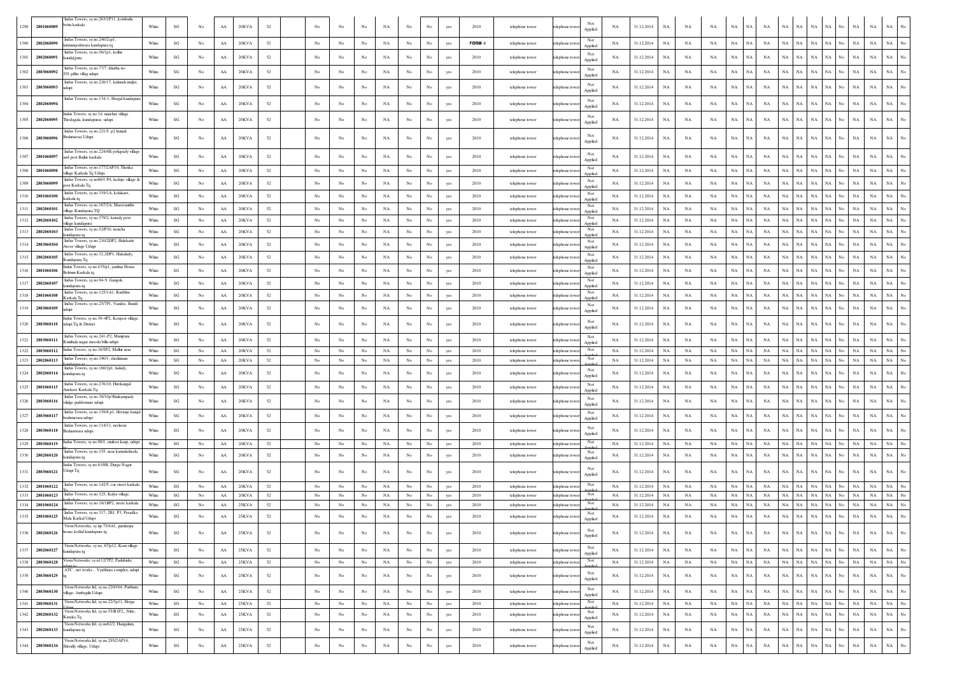|      |                 | Indus Towers, sy.no.263/1P11, kombailu                                                  |       |                        |                  |            |              |        |                  |             |                  |             |                  |                  |     |         |                 |                 |                       |             |            |             |             |             |             |                   |                            |             |             |                                  |                                                |
|------|-----------------|-----------------------------------------------------------------------------------------|-------|------------------------|------------------|------------|--------------|--------|------------------|-------------|------------------|-------------|------------------|------------------|-----|---------|-----------------|-----------------|-----------------------|-------------|------------|-------------|-------------|-------------|-------------|-------------------|----------------------------|-------------|-------------|----------------------------------|------------------------------------------------|
| 1299 | 2801060089      | bettu karkala                                                                           | White | SG                     | No               | $\rm AA$   | 20KVA        | 52     | No               | No          | No               | NA          | No               | No               | yes | 2010    | telephone tower | telephone tow   | Applied               | NA          | 31.12.2014 | NA          | NA          | NA          | NA          | NA<br>NA          | NA                         | NA          | NA          | NA<br>NA<br>No                   | $_{\rm NA}$<br>NA                              |
| 1300 | 2802060090      | Indus Towers, sy.no.240/2cp1,<br>kirimanieshwara kundapura to                           | White | SG                     | No               | ${\rm AA}$ | 20KVA        | 52     | No               | No          | No               | NA          | No               | $_{\rm No}$      | yes | FORM -I | telephone tower | elephone tow    | Not<br>Applied        | NA          | 31.12.2014 | NA          | NA          | NA          | $_{\rm NA}$ | NA                | NA<br>NA                   | $_{\rm NA}$ | NA          | NA<br>No<br>NA                   | $_{\rm NA}$<br>$_{\rm NA}$<br>No               |
| 1301 | 2802060091      | Indus Towers, sy.no.56/1p1, kollur<br>kunda[pura                                        | White | SG                     | $_{\mathrm{No}}$ | $\rm AA$   | $20$ KVA     | 52     | $_{\rm No}$      | No          | $_{\rm No}$      | NA          | $_{\mathrm{No}}$ | No               | yes | 2010    | telephone tower | elephone toy    | Not                   | NA          | 31.12.2014 | NA          | NA          | NA          | $_{\rm NA}$ | <b>NA</b>         | NA<br>NA                   | NA          | NA          | <b>NA</b><br>No<br>NA            | NA<br><b>NA</b>                                |
|      |                 | Indus Towers, sy.no.77/7, khatha no-                                                    |       |                        |                  |            |              |        |                  |             |                  |             |                  |                  |     |         |                 |                 | Applied<br>Not        |             |            |             |             |             |             |                   |                            |             |             |                                  |                                                |
|      | 1302 2803060092 | 291. pillar villag udupi                                                                | White | SG                     | $_{\mathrm{No}}$ | AA         | $20$ KVA     | 52     | $_{\rm No}$      | $_{\rm No}$ | No               | NA          | $_{\mathrm{No}}$ | $_{\rm No}$      | yes | 2010    | telephone tower | telephone toy   | Applied               | NA          | 31.12.2014 | NA          | NA          | NA          | NA          | NA                | NA<br>NA                   | NA          | <b>NA</b>   | NA<br>No<br>NA                   | <b>NA</b><br>NA<br>No                          |
|      | 1303 2803060093 | Indus Towers, sy.no.226/17, kalmadi malpe,<br>adupi                                     | White | $_{\rm SG}$            | No               | AA         | $20$ KVA     | 52     | No               | No          | No               | NA          | No               | No               | yes | 2010    | telephone tower | telephone tow   | Not<br>Applied        | NA          | 31.12.2014 | NA          | NA          | $_{\rm NA}$ | $_{\rm NA}$ | NA                | NA<br>NA                   | $_{\rm NA}$ | NA          | NA<br>No<br>$_{\rm NA}$          | $_{\rm NA}$<br>$_{\rm NA}$                     |
|      | 1304 2802060094 | Indus Towers, sy.no.134-1, Hergal kundapura                                             | White | $\mathbf{S}\mathbf{G}$ | No               | ${\rm AA}$ | 20KVA        | 52     | No               | No          | No               | NA          | No               | No               | yes | 2010    | telephone tower | telephone tow   | Not<br>Applied        | NA          | 31.12.2014 | NA          | NA          | NA          | NA          | NA                | NA<br>NA                   | $_{\rm NA}$ | $_{\rm NA}$ | NA  <br>No<br>$_{\rm NA}$        | $_{\rm NA}$<br>$_{\rm NA}$                     |
|      | 1305 2802060095 | Indus Towers, sy.no.14, nanchar village<br>Thodagala, kundapuras udupi                  | White | $\mathbf{S}\mathbf{G}$ | $_{\mathrm{No}}$ | ${\rm AA}$ | $20$ KVA     | 52     | No               | No          | No               | NA          | $_{\mathrm{No}}$ | No               | yes | 2010    | telephone tower | telephone tow   | Not<br>Applied        | NA          | 31.12.2014 | $_{\rm NA}$ | NA          | <b>NA</b>   | $_{\rm NA}$ | NA                | NA<br>NA                   | NA          | $_{\rm NA}$ | $_{\rm NA}$<br>$_{\rm NA}$<br>No | $_{\rm NA}$<br>$_{\rm NA}$                     |
| 1306 | 2803060096      | Indus Towers, sy.no.221/5, p2 kunjal,<br>Brahmavaa Udupi                                | White | SG                     | No               | $\rm AA$   | $20$ KVA     | 52     | No               | No          | No               | NA          | No               | No               | yes | 2010    | telephone tower | telephone tow   | Not<br>Applied        | NA          | 31.12.2014 | $_{\rm NA}$ | NA          | NA          | NA          | NA                | NA<br>NA                   | $_{\rm NA}$ | NA          | NA<br>No<br>NA                   | $_{\rm NA}$<br><b>NA</b>                       |
| 1307 | 2801060097      | Indus Towers, sy.no.224/4B, yerlapady village<br>and post Bailur karkala                | White | SG                     | No               | AA         | 20KVA        | 52     | No               | No          | No               | NA          | No               | No               | yes | 2010    | telephone tower | telephone towe  | Not<br>Applied        | NA          | 31.12.2014 | NA          | NA          | NA          | NA          | NA                | NA<br><b>NA</b>            | NA          | NA          | NA<br>No<br>NA                   | NA<br><b>NA</b>                                |
|      | 1308 2801060098 | Indus Towers, sv.no.177/2AP19. Thenka<br>village Karkala Tq Udupi                       | White | SG                     | No               | ${\rm AA}$ | $20$ KVA     | 52     | $_{\rm No}$      | No          | No               | NA          | $_{\rm No}$      | $_{\rm No}$      | yes | 2010    | telephone tower | telephone tow   | Not<br>Applied        | NA          | 31.12.2014 | NA          | NA          | NA          | NA          | $_{\rm NA}$       | NA<br>NA                   | NA          | NA          | NA No<br>NA                      | $_{\rm NA}$<br>NA<br>No                        |
| 1309 | 2803060095      | Indus Towers, sy.no66/1 P4, kednje village &<br>ost Karkala Tq                          | White | SG                     | No               | AA         | 20KVA        | 52     | No               | No          | No               | NA          | No               | No               | yes | 2010    | telephone tower | telephone tow   | Not<br>Applied        | NA          | 31.12.2014 | NA          | NA          | NA          | $_{\rm NA}$ | NA                | NA<br>NA                   | NA          | NA          | NA No<br>NA                      | NA<br>NA                                       |
| 1310 | 2801060100      | Indus Towers, sy.no.319/1A, kolakare,<br>karkala to                                     | White | $_{\rm SG}$            | No               | AA         | $20$ KVA     | 52     | No               | No          | No               | NA          | No               | $_{\rm No}$      | yes | 2010    | telephone tower | elephone tow    | Not<br>Applied        | NA          | 31.12.2014 | NA          | NA          | NA          | $_{\rm NA}$ | NA                | NA<br>NA                   | NA          | NA          | NA  <br>No<br>NA                 | NA<br>NA<br>No                                 |
| 1311 | 2802060101      | Indus Towers, sy.no.167/2A, Maravantthe                                                 | White | SG                     | $_{\mathrm{No}}$ | AA         | $20$ KVA     | 52     | No               | No          | $_{\rm No}$      | NA          | $_{\mathrm{No}}$ | No               | yes | 2010    | telephone tower | telephone toy   | Not                   | NA          | 31.12.2014 | NA          | NA          | NA          | NA          | NA                | NA<br>NA                   | <b>NA</b>   | NA          | $NA$ No<br>$_{\rm NA}$           | NA<br>No<br><b>NA</b>                          |
| 1312 | 2802060102      | village Kundapura TQ<br>Indus Towers, sy.no.379/2, kurady post                          | White | SG                     | No               | AA         | $20$ KVA     | 52     | No               | $_{\rm No}$ | $_{\rm No}$      | NA          | $_{\mathrm{No}}$ | $_{\rm No}$      | yes | 2010    | telephone tower | telephone tow   | Applied<br>Not        | NA          | 31.12.2014 | NA          | NA          | NA          | $_{\rm NA}$ | NA                | NA<br>NA                   | <b>NA</b>   | NA          | $_{\rm NA}$<br>NA  <br>No        | $_{\rm NA}$<br>$_{\rm No}$<br>$_{\rm NA}$      |
| 1313 | 2802060103      | village kundapura<br>Indus Towers, sy.no.52/P10, kencha                                 | White | $\mathbf{S}\mathbf{G}$ | No               | AA         | $20$ KVA     | 52     | $_{\rm No}$      | No          | No               | NA          | $_{\rm No}$      | $_{\rm No}$      | yes | 2010    | telephone tower | telephone tow   | Applied<br>Not        | NA          | 31.12.2014 | NA          | NA          | NA          | NA          | NA                | NA<br>NA                   | $_{\rm NA}$ | NA          | NA  <br>No<br>NA                 | $_{\rm No}$<br>$_{\rm NA}$<br>NA               |
| 1314 | 2803060104      | undapura tq<br>Indus Towers, sy.no.210/2DP2, Halekatte<br>Aroor village Udupi           | White | SG                     | No               | AA         | 20KVA        | 52     | No               | No          | $_{\rm No}$      | NA          | No               | No               | yes | 2010    | telephone tower | telephone tow   | Applied<br>Not        | NA          | 31.12.2014 | NA          | NA          | NA          | NA          | NA                | NA<br>NA                   | <b>NA</b>   | NA          | NA<br>NA<br>No                   | $_{\rm NA}$<br>NA                              |
| 1315 | 2802060105      | Indus Towers, sy.no.32.2DP1, Hakalady,                                                  | White | $_{\rm SG}$            | No               | AA         | $20$ KVA     | 52     | $_{\rm No}$      | No          | No               | NA          | No               | $_{\rm No}$      | yes | 2010    | telephone tower | elephone tow    | Applied<br>Not        | NA          | 31.12.2014 | NA          | $_{\rm NA}$ | NA          | $_{\rm NA}$ | NA                | NA<br>NA                   | NA          | NA          | NA<br>No<br>NA                   | $_{\rm NA}$<br>$_{\rm NA}$<br>No               |
|      | 2801060106      | Kundapura To<br>Indus Towers, sy.no.435/p1, janthar House                               |       | $\mathbf{S}\mathbf{G}$ |                  |            | 20KVA        | 52     | No               | No          |                  |             |                  | No               |     | 2010    |                 |                 | Applied<br>Not        |             | 31.12.2014 |             |             | NA          |             | <b>NA</b>         | NA                         | NA          | $_{\rm NA}$ | NA No<br>$_{\rm NA}$             | $_{\rm NA}$<br>No                              |
| 1316 |                 | Belmun Karkala tq<br>Indus Towers, sy.no.94-9, Gangoli,                                 | White |                        | No               | ${\rm AA}$ |              |        |                  |             | No               | NA          | No               |                  | yes |         | telephone tower | telephone tov   | Applied<br>Not        | NA          |            | NA          | NA          |             | $_{\rm NA}$ |                   | NA                         |             |             |                                  | $_{\rm NA}$                                    |
| 1317 | 2802060107      | kundapura tq<br>Indus Towers, sy.no.125/1A1, Kudthru                                    | White | $\mathbf{S}\mathbf{G}$ | $_{\mathrm{No}}$ | AA         | $20$ KVA     | 52     | No               | No          | No               | NA          | $_{\mathrm{No}}$ | $_{\rm No}$      | yes | 2010    | telephone tower | telephone toy   | Applied<br>Not        | NA          | 31.12.2014 | NA          | NA          | NA          | NA          | NA                | <b>NA</b><br>NA            | <b>NA</b>   | NA          | $_{\rm NA}$<br>NA  <br>No        | $_{\rm NA}$<br>No<br><b>NA</b>                 |
| 1318 | 2801060108      | Karkala Tq<br>Indus Towers, sy.no.25/7P1, Vandse, Bandi                                 | White | SG                     | No               | AA         | $20$ KVA     | 52     | No               | No          | $_{\rm No}$      | NA          | $_{\mathrm{No}}$ | $_{\rm No}$      | yes | 2010    | telephone tower | telephone tow   | Applied<br>Not        | NA          | 31.12.2014 | NA          | NA          | NA          | $_{\rm NA}$ | <b>NA</b>         | NA<br>NA                   | <b>NA</b>   | NA          | $_{\rm NA}$<br>NA  <br>No        | $_{\rm NA}$<br>$_{\rm No}$<br>$_{\rm NA}$      |
| 1319 | 2803060109      | uduni                                                                                   | White | SG                     | No               | AA         | 20KVA        | 52     | No               | No          | No               | NA          | $_{\rm No}$      | No               | yes | 2010    | telephone tower | elephone tow    | Applied               | NA          | 31.12.2014 | NA          | NA          | NA          | NA          | NA                | NA<br><b>NA</b>            | <b>NA</b>   | NA          | $_{\rm NA}$<br>NA<br>No          | $_{\rm NA}$<br>$_{\rm NA}$<br>No               |
|      | 1320 2803060110 | Indus Towers, sy.no.30-4P2, Kenjoor village.<br>udupi Tq & District                     | White | SG                     | No               | AA         | $20$ KVA     | 52     | No               | No          | No               | NA          | No               | No               | yes | 2010    | telephone tower | telephone tow   | Not<br>Applied        | NA          | 31.12.2014 | NA          | NA          | NA          | NA          | NA                | NA<br>NA                   | NA          | NA          | NA  <br>No<br>NA                 | $_{\rm NA}$<br>NA                              |
| 1321 | 2803060111      | Indus Towers, sv.no.241-P2, Manipura<br>Kunthala nagar moodu billu udup                 | White | SG                     | No               | AA         | 20KVA        | 52     | No               | No          | No               | NA          | No               | No               | ves | 2010    | telephone tower | telephone tow   | Not<br>Applied        | NA          | 31.12.2014 | NA          | NA          | NA          | NA          | NA                | <b>NA</b><br>NA            | <b>NA</b>   | <b>NA</b>   | NA<br>No<br><b>NA</b>            | NA<br><b>NA</b>                                |
| 1322 | 2803060112      | Indus Towers, sy.no.16/5P2, Mallur near                                                 | White | SG                     | No               | AA         | 20KVA        | 52     | No               | No          | No               | NA          | No               | $_{\rm No}$      | yes | 2010    | telephone tower | telephone tow   | Not                   | NA          | 31.12.2014 | NA          | NA          | NA          | NA          | NA                | NA<br>NA                   | NA          | NA          | NA  <br>No<br>NA                 | $_{\rm NA}$<br>NA<br>No                        |
| 1323 | 2802060113      | Indus Towers, sy.no.190/1, shediman<br>Indus Towers, sy.no.166/2p1, halady,             | White | SG                     | No               | AA         | 20KVA        | 52     | No               | No          | No               | NA          | No.              | No               | yes | 2010    | telephone tower | telephone towe  | Not                   | NA          | 31.12.2014 | <b>NA</b>   | NA          | NA          | NA          | NA.<br>NA         | NA                         | NA          | $_{\rm NA}$ | $_{\rm NA}$<br>NA No             | $\rm NA-\,No$<br>NA                            |
| 1324 | 2802060114      | kundapura tq<br>Indus Towers, sy.no.276/10, Hirekangal                                  | White | $_{\rm SG}$            | No               | ${\rm AA}$ | 20KVA        | 52     | $_{\rm No}$      | No          | No               | NA          | No               | No               | yes | 2010    | telephone tower | telephone tow   | Not<br>Applied<br>Not | NA          | 31.12.2014 | NA          | NA          | $_{\rm NA}$ | $_{\rm NA}$ | NA                | NA<br>NA                   | $_{\rm NA}$ | NA          | NA<br>$_{\rm No}$<br>$_{\rm NA}$ | $_{\rm NA}$<br>$_{\rm NA}$                     |
| 1325 | 2801060115      | Anekere Karkala Tq                                                                      | White | $\mathbf{S}\mathbf{G}$ | No.              | AA         | 20KVA        | 52     | No               | No          | $_{\rm No}$      | NA          | No               | No               | yes | 2010    | telephone tower | telephone tow   | Applied               | NA          | 31.12.2014 | NA          | NA          | NA          | NA          | <b>NA</b>         | NA<br>NA                   | <b>NA</b>   | NA          | $_{\rm NA}$<br>NA No             | $_{\rm NA}$<br>$_{\rm NA}$                     |
| 1326 | 2803060116      | Indus Towers, sy.no.38/10p3Baikampady<br>ilalge guddemane udupi                         | White | SG                     | No               | ${\rm AA}$ | 20KVA        | 52     | No               | No          | No               | NA          | No               | No               | yes | 2010    | telephone tower | telephone tow   | Not<br>Applied        | NA          | 31.12.2014 | NA          | NA          | NA          | $_{\rm NA}$ | NA                | NA<br>NA                   | NA          | NA          | $_{\rm NA}$<br>No<br>NA          | NA<br>NA                                       |
| 1327 | 2803060117      | Indus Towers, sy.no.159/8,p1, Heranje kunja<br>rahmavara udupi                          | White | SG                     | $_{\mathrm{No}}$ | ${\rm AA}$ | $20$ KVA     | 52     | $_{\rm No}$      | $_{\rm No}$ | No               | NA          | $_{\mathrm{No}}$ | $_{\rm No}$      | yes | 2010    | telephone tower | telephone tow   | Not<br>Applied        | $_{\rm NA}$ | 31.12.2014 | NA          | NA          | NA          | NA          | NA                | NA<br>NA                   | NA          | $_{\rm NA}$ | NA  <br>No<br>$_{\rm NA}$        | $_{\rm NA}$<br>NA                              |
|      | 1328 2803060118 | Indus Towers, sy.no.114/11, neelavar<br>Brahamvara udupi                                | White | SG                     | No               | ${\rm AA}$ | 20KVA        | 52     | $_{\rm No}$      | No          | No               | NA          | No               | No               | yes | 2010    | telephone tower | elephone tov    | Not<br>Applied        | NA          | 31.12.2014 | NA          | NA          | $_{\rm NA}$ | $_{\rm NA}$ | NA                | NA<br>NA                   | NA          | NA          | <b>NA</b><br>No<br>NA            | $_{\rm NA}$<br>NA                              |
| 1329 | 2803060119      | Indus Towers, sy.no.98/1, muloor kaup, udup                                             | White | SG                     | No               | AA         | 20KVA        | 52     | No               | No          | No               | NA          | No               | No               | yes | 2010    | telephone tower | telephone tow   | Not                   | NA          | 31.12.2014 | NA          | NA          | NA          | <b>NA</b>   | <b>NA</b><br>NA   | NA                         | <b>NA</b>   | NA          | NA<br>No<br><b>NA</b>            | NA<br>No<br><b>NA</b>                          |
| 1330 | 2802060120      | Indus Towers, sy.no.155, near kamalasheela<br>kundapura to                              | White | SG                     | No               | AA         | $20$ KVA     | 52     | $_{\rm No}$      | No          | $_{\rm No}$      | NA          | $_{\mathrm{No}}$ | No               | yes | 2010    | telephone tower | telephone tow   | Not<br>Applied        | $_{\rm NA}$ | 31.12.2014 | NA          | NA          | NA          | $_{\rm NA}$ | NA                | NA<br>NA                   | NA          | NA          | NA<br>No<br>NA                   | $_{\rm NA}$<br><b>NA</b>                       |
| 1331 | 2803060121      | Indus Towers, sy.no.63/8B, Durga Nagar<br>Udupi Tq                                      | White | SG                     | No               | ${\rm AA}$ | $20$ KVA     | 52     | No               | No          | No               | NA          | No               | No               | yes | 2010    | telephone tower | telephone tow   | Not<br>Applied        | NA          | 31.12.2014 | $_{\rm NA}$ | NA          | $_{\rm NA}$ | $_{\rm NA}$ | NA                | NA<br><b>NA</b>            | NA          | NA          | NA<br>No<br>NA                   | NA                                             |
| 1332 | 2801060122      | Indus Towers, sy.no.142/5, car street karkak                                            | White | SG                     | No               | AA         | 20KVA        | 52     | No               | No          | No               | NA          | No               | $_{\rm No}$      | yes | 2010    | telephone tower | telephone towe  | Not                   | NA          | 31.12.2014 | NA          | NA          | NA          | NA          | NA<br>NA          | <b>NA</b>                  | NA          | NA          | NA No<br>NA                      | <b>NA</b><br>NA<br>No                          |
| 1333 | 2801060123      | Indus Towers, sy.no.325, Kalya village,                                                 | White | SG                     | No               | AA         | 20KVA        | 52     | No               | No          | No               | NA          | $_{\mathrm{No}}$ | $_{\rm No}$      | yes | 2010    | telephone tower | elephone to     | Not                   | $_{\rm NA}$ | 31.12.2014 | NA          | NA          | NA          | NA          | NA                | NA<br>NA                   | $_{\rm NA}$ | NA          | NA<br>No<br>NA                   | $_{\rm No}$<br>$_{\rm NA}$<br>NA               |
| 1334 | 2801060124      | Indus Towers, sy.no.18/1BP2, neere karkala<br>Indus Towers, sy.no.317, 2B1, P3, Peradka | White | SG                     | No               | AA         | <b>25KVA</b> | 52     | No               | No          | No               | <b>NA</b>   | No               | No               | yes | 2010    | telephone tower | telephone tow   | Not<br>Not            | NA          | 31.12.2014 | NA          | NA          | NA          | <b>NA</b>   | $_{\rm NA}$<br>NA | NA                         | NA          | NA          | NA  <br>$_{\rm NA}$<br>No        | $_{\rm NA}$<br>$_{\rm No}$<br><b>NA</b>        |
| 1335 | 2801060125      | Mala Karkal Udupi<br>Viom Networks, sy.np.75/4A1, gurukripa                             | White | SG                     | No               | AA         | 25KVA        | 52     | No               | No          | $_{\rm No}$      | NA          | $_{\mathrm{No}}$ | No               | yes | 2010    | telephone tower | telephone tow   | Applied               | $_{\rm NA}$ | 31.12.2014 | NA          | NA          | $_{\rm NA}$ | $_{\rm NA}$ | NA                | NA<br>NA                   | NA          | NA          | NA<br>No<br>NA                   | NA                                             |
| 1336 | 2802060126      | house kothal kundapura tq                                                               | White | $_{\rm SG}$            | $_{\mathrm{No}}$ | ${\rm AA}$ | 25KVA        | 52     | $_{\rm No}$      | $_{\rm No}$ | No               | $_{\rm NA}$ | No               | $_{\rm No}$      | yes | 2010    | telephone tower | telephone towe  | Not<br>Applied        | NA          | 31.12.2014 | $_{\rm NA}$ | NA          | $_{\rm NA}$ | NA          | NA                | NA<br>NA                   | $_{\rm NA}$ | NA          | NA<br>No<br>NA                   | $_{\rm NA}$<br>$_{\mathrm{No}}$<br>$_{\rm NA}$ |
| 1337 | 2802060127      | Viom Networks, sy.no, 67/p12, Koni village<br>undapura tq                               | White | $\mathbf{S}\mathbf{G}$ | No               | ${\rm AA}$ | 25KVA        | 52     | No               | No          | $_{\rm No}$      | NA          | No               | $_{\mathrm{No}}$ | yes | 2010    | telephone tower | telephone tow   | Not<br>Applied        | NA          | 31.12.2014 | NA          | NA          | NA          | $_{\rm NA}$ | NA                | $_{\rm NA}$<br>NA          | $_{\rm NA}$ | NA          | $_{\rm NA}$<br>NA  <br>No        | $_{\rm NA}$<br>$_{\rm NA}$<br>$_{\mathrm{No}}$ |
| 1338 | 2803060128      | Viom Networks, sy.nl 12/7P2, Padubidri,                                                 | White | $\mathbf{S}\mathbf{G}$ | No               | AA         | 25KVA        | 52     | No               | No          | $_{\rm No}$      | NA          | No               | $_{\rm No}$      | yes | 2010    | telephone tower | telephone tower | Not                   | NA          | 31.12.2014 | NA          | NA          | NA          | $_{\rm NA}$ | <b>NA</b>         | NA<br>NA                   | <b>NA</b>   | NA          | NA<br>No<br>NA                   | $_{\rm NA}$<br>$_{\mathrm{No}}$<br>$_{\rm NA}$ |
| 1339 | 2803060129      | ATC, net works, Vyabhara complex, udupi                                                 | White | SG                     | $_{\mathrm{No}}$ | ${\rm AA}$ | 25KVA        | 52     | $_{\rm No}$      | No          | $_{\rm No}$      | NA          | $_{\mathrm{No}}$ | $_{\mathrm{No}}$ | yes | 2010    | telephone tower | telephone towe  | Not<br>Applied        | NA          | 31.12.2014 | $_{\rm NA}$ | NA          | NA          | $_{\rm NA}$ | NA                | NA<br>NA                   | $_{\rm NA}$ | NA          | NA  <br>No<br>NA                 | $_{\rm NA}$<br>NA<br>$_{\rm No}$               |
| 1340 | 2803060130      | Viom Networks ltd, sy.no.220/1b4, Putthuru<br>village, Ambagilu Udupi                   | White | $\mathbf{S}\mathbf{G}$ | No               | ${\rm AA}$ | 25KVA        | 52     | No               | No          | $_{\mathrm{No}}$ | NA          | $_{\mathrm{No}}$ | $_{\rm No}$      | yes | 2010    | telephone tower | telephone tow   | Not<br>Applied        | NA          | 31.12.2014 | NA          | NA          | NA          | $_{\rm NA}$ | NA                | NA<br>NA                   | NA          | $_{\rm NA}$ | $NA$ $No$<br>$_{\rm NA}$         | $_{\rm NA}$<br>$_{\mathrm{No}}$<br>$_{\rm NA}$ |
| 1341 | 2803060131      | Viom Networks ltd, sy.no.22/3p11, Herga                                                 | White | $\mathbf{S}\mathbf{G}$ | No               | ${\rm AA}$ | 25KVA        | 52     | No               | No          | $_{\rm No}$      | NA          | No               | No               | yes | 2010    | telephone tower | telephone tow   | Not                   | NA          | 31.12.2014 | $_{\rm NA}$ | NA          | NA          | NA          | <b>NA</b>         | NA<br>NA                   | NA          | NA          | NA No<br>$_{\rm NA}$             | $_{\mathrm{No}}$<br>NA<br>$_{\rm NA}$          |
| 1342 | 2802060132      | Viom Networks Itd, sy.no.55/B1P2,, Nitte,<br>Karaka Tq                                  | White | $_{\rm SG}$            | No               | ${\rm AA}$ | 25KVA        | 52     | No               | $_{\rm No}$ | No               | $_{\rm NA}$ | $_{\mathrm{No}}$ | $_{\rm No}$      | yes | 2010    | telephone tower | elephone tow    | Not<br>Applied        | NA          | 31.12.2014 | $_{\rm NA}$ | $_{\rm NA}$ | NA          | $_{\rm NA}$ | NA                | NA<br>NA                   | $_{\rm NA}$ | NA          | NA<br>No<br>NA                   | $_{\mathrm{No}}$<br>$_{\rm NA}$<br>NA          |
| 1343 | 2802060133      | Viom Networks Itd, sy.no62/2, Hangaluru,<br>kundapura tq                                | White | $\mathbf{S}\mathbf{G}$ | No               | ${\rm AA}$ | 25KVA        | $52\,$ | No               | No          | No               | NA          | No               | No               | yes | 2010    | telephone tower | telephone tow   | Not<br>Applied        | NA          | 31.12.2014 | $_{\rm NA}$ | $_{\rm NA}$ | NA          | $_{\rm NA}$ | NA                | NA<br>NA                   | $_{\rm NA}$ | $_{\rm NA}$ | $_{\rm NA}$<br>NA  <br>No        | $_{\rm NA}$<br>$_{\mathrm{No}}$<br>$_{\rm NA}$ |
| 1344 |                 | Viom Networks ltd, sy.no.295/2AP14,<br>2803060134 Shivally village, Udupi               | White | $\mathbf{S}\mathbf{G}$ | No               | ${\rm AA}$ | 25KVA        | 52     | $_{\mathrm{No}}$ | $_{\rm No}$ | $_{\rm No}$      | NA          | $_{\mathrm{No}}$ | $_{\mathrm{No}}$ | yes | 2010    | telephone tower | telephone towe  | Not<br>Applied        | $_{\rm NA}$ | 31.12.2014 | $_{\rm NA}$ | NA          | NA          | $_{\rm NA}$ | $_{\rm NA}$       | $_{\rm NA}$<br>$_{\rm NA}$ | $_{\rm NA}$ | NA          | NA<br>$_{\rm No}$<br>$_{\rm NA}$ | $_{\rm NA}$<br>$_{\rm NA}$<br>$_{\mathrm{No}}$ |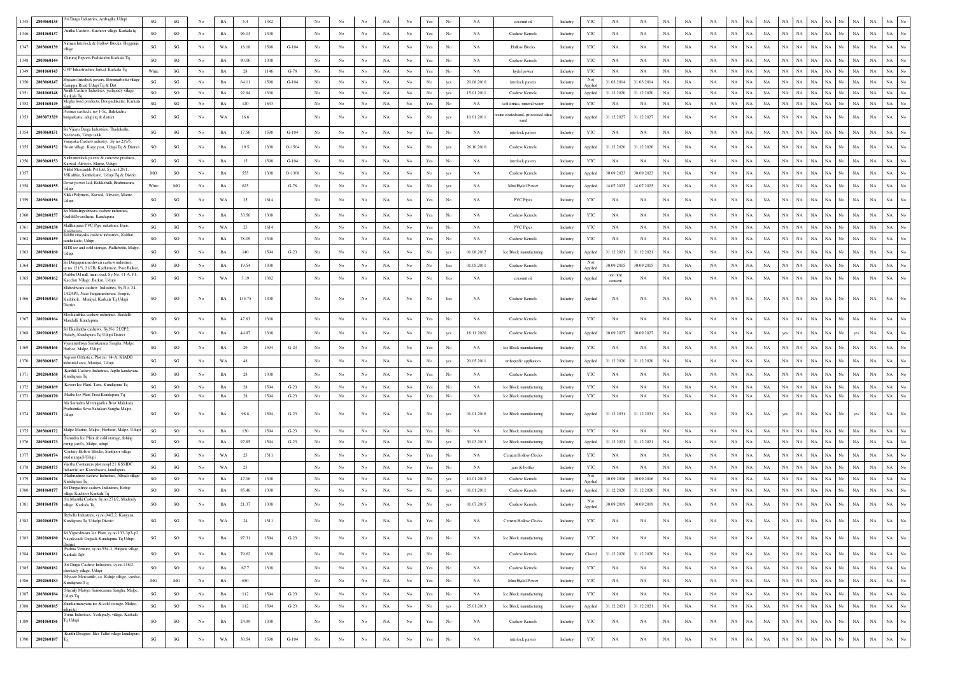| 2803060135<br>1345 | Sri Durga Industries, Ambagilu, Udupi                                                                               | $\mathbf{S}\mathbf{G}$ | SG                     | No               | BA          | 5.4     | 1382 |          |                  |                  |                  |             |                  | Yes                  | No               | NA          | coconut oil                               | Industry | YTC            | $_{\rm NA}$            | NA          | $_{\rm NA}$ | NA          | <b>NA</b>   | NA                         |             |             |                            |             |           | NA<br>$_{\rm NA}$          | $_{\rm NA}$ | No               |
|--------------------|---------------------------------------------------------------------------------------------------------------------|------------------------|------------------------|------------------|-------------|---------|------|----------|------------------|------------------|------------------|-------------|------------------|----------------------|------------------|-------------|-------------------------------------------|----------|----------------|------------------------|-------------|-------------|-------------|-------------|----------------------------|-------------|-------------|----------------------------|-------------|-----------|----------------------------|-------------|------------------|
| 2801060137<br>1346 | Anitha Cashew, Kuchoor village Karkala tq                                                                           | SO                     | SO                     | $_{\rm No}$      | BA          | 96.13   | 1308 |          | $_{\mathrm{No}}$ | $_{\rm No}$      | No               | NA          | No               | Yes                  | No               | NA          |                                           |          |                | NA                     | NA          | $_{\rm NA}$ | NA          | NA          | $_{\rm NA}$<br>NA          | $_{\rm NA}$ | NA          | NA<br>NA                   | NA          | No.       | $_{\rm NA}$<br>$_{\rm NA}$ | $_{\rm NA}$ | No               |
|                    | Nirman Interlock & Hollow Blocks, Heggunje                                                                          |                        |                        |                  |             |         |      |          |                  |                  |                  |             |                  |                      |                  |             | Cashew Kernels                            | Industry | $_{\rm YTC}$   |                        |             |             |             |             |                            |             |             |                            |             |           |                            |             |                  |
| 1347<br>2803060139 | llaoe                                                                                                               | $\mathbf{S}\mathbf{G}$ | SG                     | $_{\rm No}$      | WA          | 18.18   | 1598 | $G-104$  | $_{\mathrm{No}}$ | $_{\rm No}$      | No               | NA          | No               | $\operatorname{Yes}$ | No               | NA          | <b>Hollow Blocks</b>                      | Industry | YTC            | NA                     | NA          | $_{\rm NA}$ | NA          | NA          | $_{\rm NA}$<br>NA          | $_{\rm NA}$ | NA          | NA<br>NA                   | $_{\rm NA}$ | No.       | NA<br>$_{\rm NA}$          | $_{\rm NA}$ |                  |
| 1348<br>280306014  | Gururaj Exports Padukudru Karkala Tq                                                                                | SO                     | <b>SO</b>              | No               | BA          | 90.06   | 1308 |          | No               | No               | No               | NA          | No               | Yes                  | No               | NA          | Cashew Kernels                            | Industry | YTC            | NA                     | NA          | NA          | NA          | NA          | NA<br><b>NA</b>            | NA          | NA          | NA<br>$_{\rm NA}$          | $_{\rm NA}$ | No        | NA<br>NA                   | $_{\rm NA}$ | No               |
| 1349<br>2801060145 | <b>GVP</b> Infrastructure Jarkal, Karkala Tq<br>hyaam Interlock pavers, Bommarbettu village                         | White                  | $\mathbf{SG}$          | $_{\mathrm{No}}$ | BA          | 28      | 1146 | $G-78$   | No               | $_{\rm No}$      | No               | $_{\rm NA}$ | No               | Yes                  | No               | NA          | hydel power                               | Industry | YTC<br>Not     | NA                     | NA          | $_{\rm NA}$ | NA          | NA          | $_{\rm NA}$<br><b>NA</b>   | NA          | NA          | NA<br>NA                   | NA          | No        | NA<br>NA                   | $_{\rm NA}$ | No               |
| 1350<br>2803060147 | amppa Road Udupi Tq & Dist<br>Amith Cashew Industries, yerlapady village                                            | SG                     | SG                     | No               | BA          | 64.11   | 1598 | $G-104$  | No               | No               | No               | NA          | No               | No                   | yes              | 20.08.2010  | interlock pavers                          | Industry | Applied        | 31.03.2014             | 31.03.2014  | <b>NA</b>   | NA          | NA          | $_{\rm NA}$<br><b>NA</b>   | NA          | NA<br>NA    | NA                         | NA.         | No        | NA<br>NA                   | $_{\rm NA}$ | $_{\mathrm{No}}$ |
| 1351<br>2801060148 | Carkala To<br>Megha food products, Doopadakatte, Karkala                                                            | SO                     | SO                     | No               | BA          | 92.94   | 1308 |          | No               | $_{\rm No}$      | No               | NA          | No               | $_{\rm No}$          | yes              | 15.01.2011  | Cashew Kernels                            | Industry | Applied        | 31.12.2020             | 31.12.2020  | $_{\rm NA}$ | NA          | NA          | $_{\rm NA}$<br>NA          | NA          | NA          | NA<br>NA                   | $_{\rm NA}$ | No.       | NA<br>NA                   | NA          | No               |
| 1352<br>2801060149 | Premier casttech, no-1-5c, Balekudru,                                                                               | SG                     | SG                     | No               | BA          | 120     | 1633 |          | No               | No               | No               | NA          | $_{\rm No}$      | Yes                  | No               | NA          | soft drinks, mineral wate                 | Industry | YTC            | NA                     | NA          | $_{\rm NA}$ | $_{\rm NA}$ | NA          | $_{\rm NA}$<br>NA          | NA          | NA          | NA<br>NA                   | $_{\rm NA}$ | No        | $_{\rm NA}$<br>$_{\rm NA}$ | NA          | No               |
| 1353<br>2803073329 | hungarkatta, udupi tq & district                                                                                    | SG                     | $\mathbf{S}\mathbf{G}$ | No               | WA          | 16.6    |      |          | No               | No               | No               | NA          | No               | No                   | yes              | 10.01.2011  | sine coatedsand, processed silica<br>sand | Industry | Applied        | 31.12.2027             | 31.12.2027  | $_{\rm NA}$ | NA          | NA          | $_{\rm NA}$<br>NA          | NA          | NA          | NA<br>NA                   | $_{\rm NA}$ | No        | NA<br>$_{\rm NA}$          | $_{\rm NA}$ |                  |
| 1354<br>2803060151 | Sri Vijaya Durga Industries, Thadekallu,<br>Veelavara. Uduni taluk                                                  | SG                     | SG                     | $_{\mathrm{No}}$ | $_{\rm BA}$ | 17.56   | 1598 | $G-104$  | No               | No               | No               | $_{\rm NA}$ | No               | $\operatorname{Yes}$ | $_{\rm No}$      | NA          | interlock pavers                          | Industry | YTC            | NA                     | NA          | NA          | NA          | NA          | NA<br>NA                   | $_{\rm NA}$ | NA          | NA<br>NA                   |             |           | NA<br>$_{\rm NA}$          | NA          | No               |
| 1355<br>2803060152 | inayaka Cashew industry, Sy.no.219/5,<br>Hosur village, Karje post, Udupi Tq & District                             | <sub>SO</sub>          | SG                     | No               | BA          | 19.5    | 1308 | $O-1504$ | No               | No               | No               | NA          | No               | No                   | yes              | 26.10.2010  | Cashew Kernels                            | Industry | Applied        | 31.12.2020             | 31.12.2020  | NA          | NA          | NA          | $_{\rm NA}$<br><b>NA</b>   | NA          | <b>NA</b>   | NA<br><b>NA</b>            |             | NA        | <b>NA</b>                  | $_{\rm NA}$ |                  |
| 1356<br>2803060153 | Nidhi interlock pavers & concrete products.                                                                         |                        |                        |                  |             |         |      |          |                  |                  |                  |             |                  |                      |                  |             |                                           |          |                |                        |             |             |             |             |                            |             |             |                            | NA          | N٥        |                            | $_{\rm NA}$ | No               |
|                    | Carwal, Alevoor, Mame, Udupi<br>Nikhil Mercantile Pvt Ltd, Sy.no.120/1,                                             | SG                     | SG                     | No               | BA          | 15      | 1598 | $G-104$  | No               | No               | No               | NA          | No               | Yes                  | No               | NA          | interlock pavers                          | Industry | YTC            | NA                     | NA          | NA          | NA          | NA          | NA<br>NA                   | NA          | NA<br>NA    | NA                         |             |           | $_{\rm NA}$<br>NA          |             |                  |
|                    | 38Kalthur, Santhekatte, Udupi Tq & District<br>Devar power Ltd, Kukkehalli, Brahmavara,                             | MO                     | SO                     | No               | BA          | 555     | 1308 | $O-1308$ | No               | No               | No               | NA          | No               | No                   | yes              | NA          | Cashew Kernels                            | Industry | Applied        | 30.09.2023             | 30.09.2023  | NA          | NA          | NA          | $_{\rm NA}$<br>NA          | $_{\rm NA}$ | NA          | $_{\rm NA}$<br>NA          |             |           | $_{\rm NA}$<br>$_{\rm NA}$ | NA          |                  |
| 2803060155<br>1358 | dupi<br>Nikki Polymers, Karwal, Alevoor, Marne,                                                                     | White                  | MG                     | No               | BA          | 625     |      | $G-78$   | No               | No               | No               | <b>NA</b>   | No               | No                   | yes              | NA          | Mini Hydel Power                          | Industry | Applied        | 14.07.2025             | 14.07.2025  | NA          | NA          | NA          | $_{\rm NA}$<br>NA          | NA          | NA          | $_{\rm NA}$<br>NA          | NA          | No        | $_{\rm NA}$<br>NA          | $_{\rm NA}$ |                  |
| 1359<br>2803060156 | Jdupi                                                                                                               | SG                     | SG                     | No               | WA          | 25      | 1614 |          | No               | No               | No               | NA          | No               | Yes                  | No               | NA          | PVC Pipes                                 | Industry | YTC            | NA                     | NA          | NA          | NA          | NA          | NA<br><b>NA</b>            | NA          | <b>NA</b>   | <b>NA</b><br>NA            | NA          | No.       | $_{\rm NA}$<br>$_{\rm NA}$ | $_{\rm NA}$ |                  |
| 2802060157<br>1360 | iri Mahalingeshwara cashew industries,<br>GuddeDevasthana. Kundapura                                                | SO                     | SO                     | No               | BA          | 33.56   | 1308 |          | No               | No               | No               | NA          | No               | Yes                  | No               | NA          | Cashew Kernels                            | Industry | YTC            | NA                     | NA          | NA          | NA          | NA          | NA<br><b>NA</b>            | NA          | NA          | <b>NA</b><br>NA            |             |           | NA<br>$_{\rm NA}$          | $_{\rm NA}$ | No               |
| 1361<br>2802060158 | Mallikarjuna PVC Pipe industries, Bijur,                                                                            | SG                     | SG                     | No               | WA          | 25      | 1614 |          | No               | No               | No               | NA          | No               | Yes                  | No               | NA          | <b>PVC Pipes</b>                          | Industry | YTC            | NA                     | NA          | NA          | NA          | NA          | NA<br>NA                   | NA          | NA          | NA<br>$_{\rm NA}$          | NA          | N٥        | NA<br>$_{\rm NA}$          | NA          | No               |
| 2803060159<br>1362 | iddhi vinavaka cashew industries. Kalthur<br>inthekatte, Udupi                                                      | <sub>SO</sub>          | <sub>SO</sub>          | No               | BA          | 78.09   | 1308 |          | No               | No               | No               | $_{\rm NA}$ | No               | Yes                  | No               | NA          | Cashew Kernels                            | Industry | YTC            | NA                     | NA          | NA          | NA          | NA          | $_{\rm NA}$<br>NA          | NA          | NA          | <b>NA</b><br>NA            | NA          |           | NA<br>NA                   | NA          |                  |
| 2803060160         | MTR ice and cold storage, Padlabettu, Malpe.                                                                        | SG                     | SO                     | No               | BA          | 140     | 1594 | $G-23$   | No               | No               | No               | NA          | No               | No                   | yes              | 01.08.2012  | Ice Block manufacturing                   | Industry |                | 31.12.2021             | 31.12.2021  | NA          | NA          | NA          | NA<br>NA                   | NA          | NA          | NA<br>NA                   | NA          |           | NA<br>NA                   | NA          |                  |
|                    | ri Durgaparameshwari cashew industries,                                                                             |                        |                        |                  |             |         |      |          |                  |                  |                  |             |                  |                      |                  |             |                                           |          | Applied<br>Not |                        |             |             |             |             |                            |             |             |                            |             |           |                            |             |                  |
| 2802060161         | .no.121/3, 21/2B, Kadlumane, Post Balku<br>Prabhu Oil mill, main road, Sy.No. 11 A, P1.                             | SO                     | SO                     | $_{\mathrm{No}}$ | BA          | 19.54   | 1308 |          | No               | No               | No               | $_{\rm NA}$ | $_{\rm No}$      | No                   | Yes              | 01.05.2011  | Cashew Kernels                            | Industry | Applied        | 30.09.2015<br>one time | 30.09.2015  | $_{\rm NA}$ | NA          | NA          | $_{\rm NA}$<br>NA          | NA          | NA          | NA<br>NA                   | NA          |           | NA<br>$_{\rm NA}$          | NA          |                  |
| 1365<br>2803060162 | Kacchur Village, Barkur, Udupi                                                                                      | $\mathbf{S}\mathbf{G}$ | $\mathbf{S}\mathbf{G}$ | No               | WA          | 3.19    | 1382 |          | $_{\rm No}$      | No               | No               | NA          | No               | No                   | Yes              | NA          | coconut oil                               | Industry | Applied        | consent                | NA          | NA          | NA          | NA          | NA<br>NA                   | NA          | NA          | $_{\rm NA}$<br>$_{\rm NA}$ | NA          | No.       | $_{\rm NA}$<br>$_{\rm NA}$ | $_{\rm NA}$ | No               |
| 1366 2801060163    | Maheshwara cashew Industries, Sy.No. 34-<br>A2AP1, Near Jangameshwara Temple<br>Kaduhole, Muniyal, Karkala Tq Udupi | SO                     | SO                     | No               | BA          | 135.75  | 1308 |          | No               | No               | No               | NA          | No               | No                   | Yes              | NA          | Cashew Kernels                            | Industry | Applied        | NA                     | NA          | <b>NA</b>   | NA          | NA          | NA<br>NA                   | NA          | NA          | NA<br>NA                   |             |           | NA<br>$_{\rm NA}$          | $_{\rm NA}$ | No               |
|                    | listrict.                                                                                                           |                        |                        |                  |             |         |      |          |                  |                  |                  |             |                  |                      |                  |             |                                           |          |                |                        |             |             |             |             |                            |             |             |                            |             |           |                            |             |                  |
| 1367<br>2802060164 | Mookambika cashew industries, Hardalli-<br>Mandalli, Kundapura                                                      | so                     | SO                     | No               | BA          | 47.83   | 1308 |          | No               | No               | No               | NA          | No               | Yes                  | No               | NA          | Cashew Kernels                            | Industry | YTC            | NA                     | NA          | NA          | NA          | NA          | NA<br>NA                   | NA          | NA          | NA<br>$_{\rm NA}$          |             |           | $_{\rm NA}$<br>$_{\rm NA}$ | $_{\rm NA}$ |                  |
| 2802060165<br>1368 | iri Ekadantha cashews, Sy.No: 21/2P2,<br>lalady, Kundapura Tq Udupi District                                        | SO                     | SO                     | No               | BA          | 44.97   | 1308 |          | $_{\rm No}$      | $_{\rm No}$      | No               | NA          | No               | No                   | yes              | 18.11.2020  | Cashew Kernels                            | Industry | Applied        | 30.09.2027             | 30.09.2027  | $_{\rm NA}$ | NA          | NA          | NA<br>NA                   | NA          | yes         | $_{\rm NA}$<br>NA          |             | yes       | $_{\rm NA}$                | NA          |                  |
| 2803060166<br>1369 | yasamathsya Samskarana Sangha, Malpe                                                                                | SG                     | SO                     | No               |             | 29      | 1594 |          | No               | No               |                  |             |                  |                      | No               |             |                                           |          |                |                        |             |             |             |             |                            |             |             |                            |             |           |                            |             |                  |
|                    | Harbor, Malpe, Udupi<br>apson Orthotics, Plot no: 14-A, KIADB                                                       |                        |                        |                  | BA          |         |      | $G-23$   |                  |                  | No               | NA          | No               | Yes                  |                  | NA          | Ice Block manufacturing                   | Industry | YTC            | NA                     | NA          | NA          | NA          | NA          | NA<br>NA                   | NA          | NA          | NA<br>NA                   | NA.         |           | NA<br>NA                   | NA          |                  |
| 2803060167<br>1370 | dustrial area, Manipal, Udupi<br>Karthik Cashew Industries, Japthi kandavara                                        | SG                     | SG                     | No               | WA          | 48      |      |          | No               | No               | No               | NA          | No               | No                   | yes              | 20.05.2011  | orthopedic appliances                     | Industry | Applied        | 31.12.2020             | 31.12.2020  | NA          | NA          | NA          | $_{\rm NA}$<br>NA          | NA          | NA          | NA<br>NA                   | NA          | No        | NA<br>NA                   | $_{\rm NA}$ | No               |
| 2802060168<br>1371 | Cundapura Tq                                                                                                        | <sub>SO</sub>          | <b>SO</b>              | No               | BA          | 28      | 1308 |          | No               | No               | No               | <b>NA</b>   | No               | Yes                  | No               | NA          | Cashew Kernels                            | Industry | YTC            | <b>NA</b>              | NA          | NA          | NA          | NA          | $_{\rm NA}$<br>NA          | NA          | NA          | NA<br><b>NA</b>            | NA          |           | NA<br><b>NA</b>            | $_{\rm NA}$ | No               |
| 1372<br>2802060169 | Kaveri Ice Plant, Tarsi, Kundapura Tq                                                                               | SG                     | <b>SO</b>              | No               | BA          | 28      | 1594 | $G-23$   | No               | No               | No               | NA          | No               | Yes                  | No               | NA          | Ice Block manufacturing                   | Industry | <b>YTC</b>     | <b>NA</b>              | NA          | <b>NA</b>   | NA          | NA          | NA<br>NA                   | NA          | NA<br>NA    | NA                         | <b>NA</b>   | NA<br>No  | NA                         | NA          | No               |
| 1373<br>2802060170 | Matha Ice Plant Trasi Kundapura Tq<br>Ala Samudra Meenugarika Boat Malakara                                         | $\mathbf{S}\mathbf{G}$ | SO                     | No               | BA          | 28      | 1594 | $G-23$   | No               | No               | No               | NA          | No               | Yes                  | No               | NA          | Ice Block manufacturing                   | Industry | YTC            | $_{\rm NA}$            | NA          | $_{\rm NA}$ | $_{\rm NA}$ | $_{\rm NA}$ | $_{\rm NA}$<br>NA          | NA          | NA          | NA<br>$_{\rm NA}$          | NA          | No        | NA<br>$_{\rm NA}$          | $_{\rm NA}$ | No               |
| 1374 2803060171    | 'rathamika Seva Sahakari Sangha Malpe,<br>Jdupi                                                                     | SG                     | SO                     | No               | BA          | 98.8    | 1594 | $G-23$   | No               | No               | No               | NA          | No               | No                   | yes              | 01.01.2016  | Ice Block manufacturing                   | Industry | Applied        | 31.12.2031             | 31.12.2031  | $_{\rm NA}$ | NA          | NA          | $_{\rm NA}$<br>NA          | NA          | yes         | NA<br>NA                   | <b>NA</b>   | No<br>yes | $_{\rm NA}$                | NA          |                  |
|                    |                                                                                                                     |                        |                        |                  |             |         |      |          |                  |                  |                  |             |                  |                      |                  |             |                                           |          |                |                        |             |             |             |             |                            |             |             |                            |             |           |                            |             |                  |
| 1375<br>2803060172 | Malpe Marine, Malpe, Harbour, Malpe, Udupi<br>amudra Ice Plant & cold storage, fishing                              | SG                     | <b>SO</b>              | No               | BA          | 130     | 1594 | $G-23$   | No               | No               | No               | <b>NA</b>   | No.              | Yes                  | No               | NA          | Ice Block manufacturing                   | Industry | YTC            | NA                     | NA          | NA          | NA          | NA          | NA<br>NA                   | NA          | NA<br>NA    | NA                         | NA          | NA<br>No  | NA                         | NA          | No               |
| 2803060173<br>1376 | iring yard's, Malpe, udupi<br>Century Hollow Blocks, Santhoor village                                               | SG                     | SO                     | No               | BA          | 97.85   | 1594 | $G-23$   | No               | No               | No               | NA          | No               | No                   | yes              | 30.03.2013  | Ice Block manufacturing                   | Industry | Applied        | 31.12.2021             | 31.12.2021  | NA          | NA          | NA          | $_{\rm NA}$<br>NA          | NA          | NA          | NA<br>NA                   |             |           | NA<br>$_{\rm NA}$          | NA          |                  |
| 1377<br>2803060174 | udarangadi Udupi                                                                                                    | $\mathbf{S}\mathbf{G}$ | SG                     | No               | WA          | 25      | 1511 |          | No               | No               | No               | NA          | No               | Yes                  | No               | NA          | Cement Hollow Clocks                      | Industry | YTC            | NA                     | NA          | NA          | NA          | NA          | NA<br><b>NA</b>            | NA          | NA          | NA<br>$_{\rm NA}$          | NA          |           | $_{\rm NA}$<br>$_{\rm NA}$ | $_{\rm NA}$ | No               |
| 1378<br>2802060175 | ijetha Containers plot nospl.21 KSSIDC<br>dustrial are Koteshwara, kundanur                                         | SG                     | SG                     | No               | WA          | 23      |      |          | No               | No               | No               | NA          | No               | Yes                  | No               | NA          | jars & bottles                            | Industry | YTC            | NA                     | NA          | NA          | NA          | NA          | $_{\rm NA}$<br><b>NA</b>   | NA          | NA          | NA<br>NA                   | NA.         | No.       | NA<br>$_{\rm NA}$          | $_{\rm NA}$ | No               |
| 1379<br>2802060176 | Mathrushree cashew Industries, Albadi village<br>Cundapura Tq                                                       | SO                     | SO                     | No               | BA          | 47.16   | 1308 |          | No               | No               | No               | NA          | No               | No                   | yes              | 10.01.2012  | Cashew Kernels                            | Industry | Applied        | 30.09.2016             | 30.09.2016  | NA          | NA          | NA          | NA<br><b>NA</b>            | NA          | NA          | NA<br>$_{\rm NA}$          | NA          | No.       | NA<br>$_{\rm NA}$          | NA          | No               |
| 2801060177<br>1380 | iri Durgashree cashew Industries, Belnje<br>lage Kuchoor Karkala To                                                 | <sub>SO</sub>          | <b>SO</b>              | No               | BA          | 85.46   | 1308 |          | No               | No               | No               | $_{\rm NA}$ | No               | No                   | yes              | 01.01.2011  | Cashew Kernels                            | Industry | Applied        | 31.12.2020             | 31.12.2020  | NA          | NA          | NA          | NA<br><b>NA</b>            | NA          | NA          | NA<br>NA                   | NA.         | No        | NA<br>NA                   | $_{\rm NA}$ | No               |
| 1381<br>2801060178 | Sri Maruthi Cashew Sv.no.271/2. Mudrady<br>illage Karkala Tq                                                        | <b>SO</b>              | <sub>SO</sub>          | No               | BA          | 21.37   | 1308 |          | No               | No               | No               | NA          | No               |                      | yes              | 01.07.2015  | Cashew Kernels                            | Industry | Applied        | 30.09.2019             | 30.09.2019  | NA          | NA          | <b>NA</b>   | NA                         | NA          | NA          | NA<br>NA                   | NA          |           | $_{\rm NA}$<br>$_{\rm NA}$ | $_{\rm NA}$ |                  |
| 1382               | Rebello Industries, sy,no,94/2,2, Kanyana,<br>2802060179 Kundapura Tq Ududpi District                               | $\mathbf{S}\mathbf{G}$ | SG                     | No               | WA          | $^{24}$ | 1511 |          | No               |                  | No               | <b>NA</b>   | No               | Yes                  |                  | <b>NA</b>   | <b>Cement Hollow Clocks</b>               | Industry | <b>YTC</b>     | NA                     | NA          | NA          | <b>NA</b>   | NA          | $_{\rm NA}$                | NA          | NA          | NA<br>NA                   |             | NA        |                            |             |                  |
|                    | Sri Vigneshwara Ice Plant, sv.no.133-3p3-p2.                                                                        |                        |                        |                  |             |         |      |          |                  |                  |                  |             |                  |                      |                  |             |                                           |          |                |                        |             |             |             |             |                            |             |             |                            |             |           |                            |             |                  |
| 1383<br>2802060180 | Nayakwadi, Gujjadi, Kundapura Tq Udupi<br><b>Estrict</b>                                                            | SG                     | SO                     | No               | BA          | 97.31   | 1594 | $G-23$   | No               | No               | No               | NA          | No               | Yes                  | No               | NA          | Ice Block manufacturing                   | Industry | YTC            | NA                     | NA          | $_{\rm NA}$ | NA          | NA          | $_{\rm NA}$<br><b>NA</b>   | NA          | NA          | NA<br>$_{\rm NA}$          | <b>NA</b>   | No        | $_{\rm NA}$<br>$_{\rm NA}$ | $_{\rm NA}$ | $_{\mathrm{No}}$ |
| 1384<br>2801060181 | Padma Venture, sy.no.554-3, Hirgana village,<br>Karkala Tqb                                                         | SO                     | SO                     | $_{\mathrm{No}}$ | $_{\rm BA}$ | 79.62   | 1308 |          | $_{\mathrm{No}}$ | $_{\mathrm{No}}$ | $_{\mathrm{No}}$ | $_{\rm NA}$ | yes              | $_{\rm No}$          | No               |             | Cashew Kernels                            | Industry | Closed         | 31.12.2020             | 31.12.2020  | $_{\rm NA}$ | $_{\rm NA}$ | NA          | $_{\rm NA}$<br>NA          | NA          | NA          | $_{\rm NA}$<br>$_{\rm NA}$ | $_{\rm NA}$ | No        | $_{\rm NA}$<br>$_{\rm NA}$ | $_{\rm NA}$ | $_{\rm No}$      |
| 1385<br>2803060182 | Sri Durga Cashew Industries, sy.no.416/2,                                                                           | SO                     | SO                     | $_{\mathrm{No}}$ | $_{\rm BA}$ | 67.7    | 1308 |          | No               | $_{\rm No}$      | $_{\rm No}$      | $_{\rm NA}$ | $_{\mathrm{No}}$ | $\operatorname{Yes}$ | No               | NA          | Cashew Kernels                            | Industry | YTC            | NA                     | NA          | $_{\rm NA}$ | $_{\rm NA}$ | NA          | $_{\rm NA}$<br>$_{\rm NA}$ | NA          | NA<br>NA    | NA                         | $_{\rm NA}$ | No        | NA<br>NA                   | $_{\rm NA}$ | $_{\mathrm{No}}$ |
| 1386<br>2802060183 | herkady village, Udupi<br>Mysore Mercantile, co. Kulnje village, vandse,                                            | MG                     | $_{\rm MG}$            | No               |             | 650     |      |          | $_{\mathrm{No}}$ | $_{\rm No}$      | No               |             |                  |                      | No               | NA          | Mini Hydel Power                          | Industry | YTC            |                        | NA          |             | NA          | NA          | $_{\rm NA}$<br>$_{\rm NA}$ | NA          | NA<br>NA    | $_{\rm NA}$                | NA          | No        | $_{\rm NA}$<br>$_{\rm NA}$ | $_{\rm NA}$ | $_{\mathrm{No}}$ |
|                    | Kundapura T q<br>Shamily Matsya Samskarana Sangha, Malpe,                                                           |                        |                        |                  | $_{\rm BA}$ |         |      |          |                  |                  |                  | $_{\rm NA}$ | No               | $\operatorname{Yes}$ |                  |             |                                           |          |                | NA                     |             | $_{\rm NA}$ |             |             |                            |             |             |                            |             |           |                            |             |                  |
| 1387<br>2803060184 | Jdupi Tq                                                                                                            | SG                     | SO                     | No               | BA          | 112     | 1594 | $G-23$   | No               | No               | No               | NA          | No               | $\operatorname{Yes}$ | No               | NA          | Ice Block manufacturing                   | Industry | YTC            | NA                     | NA          | $_{\rm NA}$ | NA          | NA          | $_{\rm NA}$<br>$_{\rm NA}$ | NA          | NA          | NA<br>$_{\rm NA}$          | NA          | No        | $_{\rm NA}$<br>$_{\rm NA}$ | $_{\rm NA}$ | $_{\mathrm{No}}$ |
| 1388<br>2803060185 | hankamarayana ice & cold storage, Malpe,<br>xdupitq<br>Suma Industries, Yerlapady, village, Karkala                 | $\mathbf{S}\mathbf{G}$ | SO                     | No               | $_{\rm BA}$ | 112     | 1594 | $G-23$   | $_{\rm No}$      | $_{\mathrm{No}}$ | $_{\rm No}$      | $_{\rm NA}$ | No               | $_{\rm No}$          | yes              | 25.01.2013  | Ice Block manufacturing                   | Industry | Applied        | 31.12.2021             | 31.12.2021  | $_{\rm NA}$ | $_{\rm NA}$ | NA          | $_{\rm NA}$<br>NA          | NA          | NA          | NA<br>$_{\rm NA}$          | $_{\rm NA}$ | No        | NA<br>NA                   | $_{\rm NA}$ | $_{\rm No}$      |
| 1389<br>2801060186 | Tq Udupi                                                                                                            | SO                     | $_{\rm SO}$            | $_{\rm No}$      | $_{\rm BA}$ | 24.99   | 1308 |          | $_{\rm No}$      | No               | $_{\rm No}$      | NA          | $_{\mathrm{No}}$ | $\operatorname{Yes}$ | $_{\mathrm{No}}$ | NA          | Cashew Kernels                            | Industry | YTC            | $_{\rm NA}$            | NA          | $_{\rm NA}$ | NA          | $_{\rm NA}$ | $_{\rm NA}$<br>$_{\rm NA}$ | NA          | NA          | NA<br>$_{\rm NA}$          | $_{\rm NA}$ | No        | $_{\rm NA}$<br>$_{\rm NA}$ | $_{\rm NA}$ | $_{\mathrm{No}}$ |
|                    | Kunthi Designer Tiles Tallur village kundapura                                                                      |                        |                        |                  |             |         |      |          |                  |                  |                  |             |                  |                      |                  |             |                                           |          |                |                        |             |             |             |             |                            |             |             |                            |             |           |                            |             |                  |
| 1390<br>2802060187 |                                                                                                                     | $\mathbf{S}\mathbf{G}$ | $_{\rm SG}$            | $_{\mathrm{No}}$ | $_{\rm WA}$ | 30.54   | 1598 | $G-104$  | $_{\mathrm{No}}$ | $_{\mathrm{No}}$ | $_{\mathrm{No}}$ | $_{\rm NA}$ | $_{\mathrm{No}}$ | $\operatorname{Yes}$ | $_{\mathrm{No}}$ | $_{\rm NA}$ | interlock pavers                          | Industry | YTC            | $_{\rm NA}$            | $_{\rm NA}$ | $_{\rm NA}$ | $_{\rm NA}$ | $_{\rm NA}$ | $_{\rm NA}$<br>NA          | $_{\rm NA}$ | $_{\rm NA}$ | NA  <br>$_{\rm NA}$        | $_{\rm NA}$ | No        | $_{\rm NA}$<br>NA          | $_{\rm NA}$ | $_{\mathrm{No}}$ |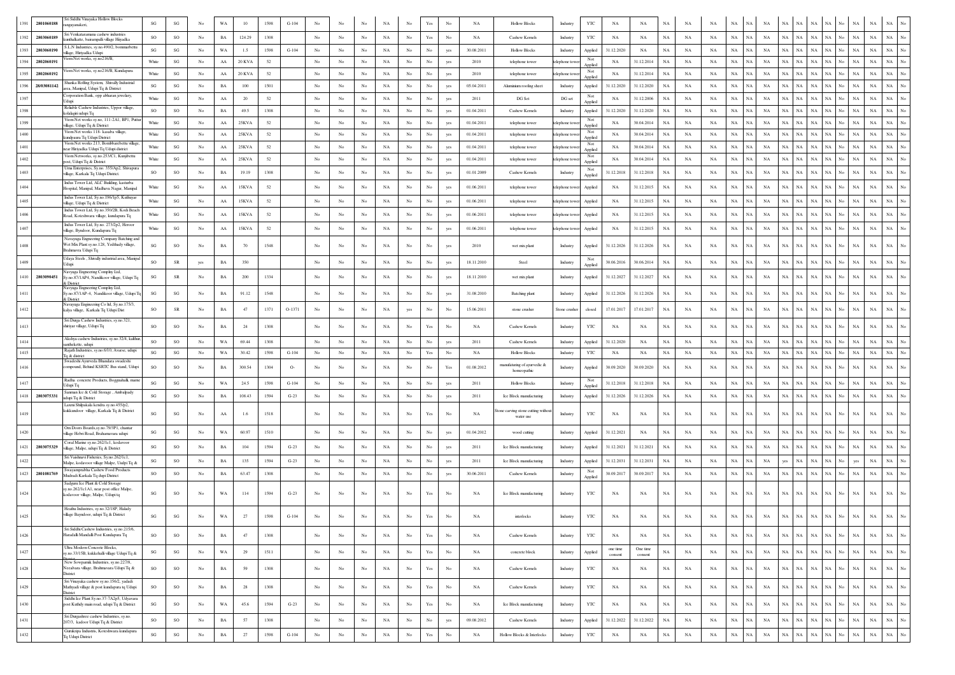| 1391 | 2801060188      | Sri Siddhi Vinayaka Hollow Blocks<br>mgayanakeri.                                                    | SG                     | $\mathbf{S}\mathbf{G}$ | No               | WA          | 10            | 1598 | $G-104$ |                  |                  |                  | NA          |                  |                                                                                       |                  | $_{\rm NA}$ | <b>Hollow Blocks</b>                       | YTC<br>NA<br>NA<br>$_{\rm NA}$<br>$_{\rm NA}$<br>Industry<br>NA<br>NA                                                                                                                                                                                                    |
|------|-----------------|------------------------------------------------------------------------------------------------------|------------------------|------------------------|------------------|-------------|---------------|------|---------|------------------|------------------|------------------|-------------|------------------|---------------------------------------------------------------------------------------|------------------|-------------|--------------------------------------------|--------------------------------------------------------------------------------------------------------------------------------------------------------------------------------------------------------------------------------------------------------------------------|
| 1392 | 2803060189      | Sri Venkataramana cashew industries<br>unthalkatte, bairampalli village Hiiyadka                     | SO                     | SO                     | No               | $_{\rm BA}$ | 124.29        | 1308 |         | No               | No               | No               | NA          | No               | Yes                                                                                   | No               | NA          | Cashew Kernels                             | $_{\rm YTC}$<br>$_{\rm NA}$<br>$_{\rm NA}$<br>NA<br>$_{\rm NA}$<br>NA<br>$_{\rm NA}$<br>$_{\rm NA}$<br>$_{\rm NA}$<br>Industry<br>NA<br>NA<br>NA<br>NA<br>NA<br>NA<br>NA                                                                                                 |
| 1393 | 2803060190      | S.L.N Industries, sy.no.490/2, bommarbettu<br>village. Hiriyadka Udupi                               | SG                     | SG                     | No               | WA          | 1.5           | 1598 | $G-104$ | No               | No.              | No               | NA          | No               | No                                                                                    | yes              | 30.08.2011  | <b>Hollow Blocks</b>                       | $_{\rm NA}$<br>NA<br>$_{\rm NA}$<br>$_{\rm NA}$<br>$_{\rm NA}$<br>$_{\rm NA}$<br>$_{\rm NA}$<br>31.12.2020<br>NA<br>NA<br>No<br>NA<br>NA<br>NA<br>NA<br>NA<br>Industry<br>Applied                                                                                        |
| 1394 | 2802060191      | iom Net works, sy.no216/B.                                                                           | White                  | SG                     | No               | AA          | <b>20 KVA</b> | 52   |         | No               | No.              | $_{\rm No}$      | NA          | $_{\rm No}$      | No                                                                                    | yes              | 2010        | telephone tower                            | Not<br>NA<br>31.12.2014<br>$_{\rm NA}$<br>NA<br>NA<br>NA<br>NA<br>$_{\rm NA}$<br>NA<br>NA<br>$_{\rm NA}$<br>telephone towe<br>NA<br>NA<br><b>NA</b><br>NA<br>Applied                                                                                                     |
| 1395 | 2802060192      | /iom Net works, sy.no216/B, Kundapura                                                                | White                  | SG                     | No               | AA          | <b>20 KVA</b> | 52   |         | No               | No               | $_{\rm No}$      | NA          | $_{\rm No}$      | No                                                                                    | yes              | 2010        | telephone tower                            | Not<br>$_{\rm NA}$<br>31.12.2014<br><b>NA</b><br>$_{\rm NA}$<br>NA<br>NA<br>NA<br>$_{\rm NA}$<br>NA<br>NA<br>NA<br>No<br>NA<br>NA<br>$_{\rm NA}$<br>telephone tow<br>NA<br>Applied                                                                                       |
| 1396 | 28/03081142     | Shanka Roffing System. Shivally Industrial<br>rea, Manipal, Udupi Tq & District                      | $\mathbf{S}\mathbf{G}$ | SG                     | No               | <b>BA</b>   | 100           | 1501 |         | No               | No               | No               | NA          | No               | No                                                                                    | yes              | 05.04.2011  | Aluminium roofing sheet                    | 31.12.2020<br>$_{\rm NA}$<br>$_{\rm NA}$<br>$_{\rm NA}$<br>31.12.2020<br>$_{\rm NA}$<br>NA<br>NA<br>NA<br>NA<br>NA<br>NA<br>$_{\rm NA}$<br>NA<br>Industry<br>Applied<br>NA<br>No                                                                                         |
| 1397 |                 | 'orporation Bank, opp abharan jewelary,<br>Udupi                                                     | White                  | $_{\rm SG}$            | No               | AA          | 20            | 52   |         | No               | No               | No               | NA          | No               | No                                                                                    | yes              | 2011        | DG Set                                     | Not<br>31.12.2006<br>$_{\rm NA}$<br>$_{\rm NA}$<br>$_{\rm NA}$<br>$_{\rm NA}$<br>NA<br>NA<br>$_{\rm NA}$<br>$_{\rm NA}$<br>$_{\rm NA}$<br>NA<br>$_{\rm NA}$<br>DG set<br>NA<br>NA<br>Applied                                                                             |
| 1398 |                 | Reliable Cashew Industries, Uppor village,<br>kolalagiri udupi Tq                                    | SO                     | SO                     | No               | $_{\rm BA}$ | 49.5          | 1308 |         | No               | No               | No               | NA          | No               | $_{\rm No}$                                                                           | yes              | 01.04.2011  | Cashew Kernels                             | 31.12.2020<br>31.12.2020<br>NA<br>$_{\rm NA}$<br>NA<br>NA<br>NA<br>$_{\rm NA}$<br>NA<br>NA<br>$_{\rm NA}$<br>NA<br>No<br>$_{\rm NA}$<br>NA<br>NA<br>Industry<br>Applied<br>No                                                                                            |
| 1399 |                 | Viom Net works sv.no. 111-2A1. BP1. Putt<br>village, Udupi Tq & District                             | White                  | $_{\rm SG}$            | $_{\mathrm{No}}$ | $\rm AA$    | 25KVA         | 52   |         | No               | No               | No               | NA          | No               | No                                                                                    | yes              | 01.04.2011  | telephone tower                            | Not<br>30.04.2014<br>$_{\rm NA}$<br>NA<br>$_{\rm NA}$<br>$_{\rm NA}$<br>NA<br>NA<br>$_{\rm NA}$<br>$_{\rm NA}$<br>NA<br>$_{\rm NA}$<br>telephone towe<br>NA<br>NA<br>NA<br>Applied                                                                                       |
| 1400 |                 | Viom Net works 118- kasaba village<br>kundpaura Ta Udupi District                                    | White                  | SG                     | $_{\mathrm{No}}$ | $\rm AA$    | 25KVA         | 52   |         | No               | $_{\mathrm{No}}$ | No               | NA          | No               | $_{\rm No}$                                                                           | yes              | 01.04.2011  | telephone tower                            | Not<br>30.04.2014<br>$_{\rm NA}$<br>NA<br>NA<br>NA<br>NA<br>NA<br>$_{\rm NA}$<br>NA<br>$_{\rm NA}$<br>NA<br>NA<br>No<br>telephone tow<br>NA<br>NA<br><b>NA</b><br>No<br>Applied                                                                                          |
| 1401 |                 | Viom Net works 213, Bombbarebettu village<br>near Hiriyadka Udupi Tq Udupi district                  | White                  | SG                     | No               | ${\bf AA}$  | 25KVA         | 52   |         | $_{\rm No}$      | $_{\mathrm{No}}$ | $_{\rm No}$      | NA          | $_{\rm No}$      | No                                                                                    | yes              | 01.04.2011  | telephone tower                            | Not<br>30.04.2014<br>$_{\rm NA}$<br>$_{\rm NA}$<br>NA<br>$_{\rm NA}$<br>$_{\rm NA}$<br>NA<br>NA<br>$_{\rm NA}$<br>$_{\rm NA}$<br>$_{\rm NA}$<br>$_{\rm NA}$<br>telephone tow<br>NA<br>NA<br>Applied                                                                      |
| 1402 |                 | Viom Networks, sy.no.253/C1, Kunjibettu<br>post. Udupi To & District                                 | White                  | SG                     | No               | AA          | 25KVA         | 52   |         | No               | No               | No               | NA          | No               | No                                                                                    | yes              | 01.04.2011  | telephone tower                            | Not<br>$_{\rm NA}$<br>NA<br>NA<br>$_{\rm NA}$<br>NA<br>$_{\rm NA}$<br>NA<br>30.04.2014<br><b>NA</b><br>NA<br>NA<br>NA<br>NA<br>telephone tow<br>NA<br><b>NA</b><br>No<br>Applied                                                                                         |
| 1403 |                 | Uma Enterprises, Sy.no. 355/Ap2, Shivapura<br>village, Karkala Tq Udupi District.                    | SO.                    | SO                     | No               | <b>BA</b>   | 19.19         | 1308 |         | No               | No.              | No               | NA          | No               | No                                                                                    | yes              | 01.01.2009  | Cashew Kernels                             | Not<br>$_{\rm NA}$<br>$_{\rm NA}$<br>$_{\rm NA}$<br>31.12.2018<br>NA<br>$_{\rm NA}$<br>NA<br>NA<br>NA<br>$_{\rm NA}$<br>31.12.2018<br>NA<br>NA<br>NA<br>NA<br>No<br>Industry<br>Applied                                                                                  |
| 1404 |                 | Indus Tower Ltd, ALC Building, kasturba<br>Hospital, Manipal, Madhava Nagar, Manipal                 | White                  | SG                     | No               | ${\rm AA}$  | 15KVA         | 52   |         | No               | No               | No               | NA          | No               | No                                                                                    | yes              | 01.06.2011  | telephone tower                            | 31.12.2015<br>$_{\rm NA}$<br>$_{\rm NA}$<br>NA<br>NA<br>$_{\rm NA}$<br>NA<br>$_{\rm NA}$<br>NA<br>NA<br>$_{\rm NA}$<br>NA<br>$_{\rm NA}$<br>elephone towe<br>Applied<br>NA<br>NA                                                                                         |
| 1405 |                 | Indus Tower Ltd, Sy.no.196/1p5, Kuthuyar<br>village, Udupi Tq & District                             | White                  | $\mathbf{S}\mathbf{G}$ | No               | ${\rm AA}$  | 15KVA         | 52   |         | No               | No               | $_{\rm No}$      | $_{\rm NA}$ | $_{\rm No}$      | $_{\rm No}$                                                                           | yes              | 01.06.2011  | telephone tower                            | 31.12.2015<br>$_{\rm NA}$<br>$_{\rm NA}$<br>NA<br>$_{\rm NA}$<br>$_{\rm NA}$<br>NA<br>$_{\rm NA}$<br>NA<br>$_{\rm NA}$<br>NA<br>$_{\rm NA}$<br>elephone towe<br>Applied<br>NA<br>N/<br>NA                                                                                |
| 1406 |                 | Indus Tower Ltd, Sy.no.350/2B, Kodi Beach<br>Road, Koteshwara village, kundapura Tq                  | White                  | $\mathbf{S}\mathbf{G}$ | No               | ${\rm AA}$  | 15KVA         | 52   |         | $_{\rm No}$      | No               | No               | NA          | No               | No                                                                                    | yes              | 01.06.2011  | telephone tower                            | 31.12.2015<br>$_{\rm NA}$<br>$_{\rm NA}$<br>$_{\rm NA}$<br>$_{\rm NA}$<br>NA<br>$_{\rm NA}$<br>NA<br>$_{\rm NA}$<br>$_{\rm NA}$<br>$_{\rm NA}$<br>elephone towe<br>Applied<br>NA<br>NA<br>NA                                                                             |
| 1407 |                 | Indus Tower Ltd, Sy.no. 273/2p2, Heroor                                                              | White                  | $\mathbf{S}\mathbf{G}$ | No               | $\rm AA$    | 15KVA         | 52   |         | No               | No               | No               | NA          | No               | No                                                                                    | yes              | 01.06.2011  | telephone tower                            | $_{\rm NA}$<br>31.12.2015<br>NA<br>$_{\rm NA}$<br>NA<br>NA<br>$_{\rm NA}$<br>$_{\rm NA}$<br>$_{\rm NA}$<br>NA<br>NA<br>NA<br>NA<br><b>NA</b><br>telephone towe<br>Applied<br>N٨<br>No                                                                                    |
|      |                 | village, Byndoor, Kundapura To<br>Navayuga Engneering Company Batching and                           |                        |                        |                  |             |               |      |         |                  |                  |                  |             |                  |                                                                                       |                  |             |                                            |                                                                                                                                                                                                                                                                          |
| 1408 |                 | Wet Mix Plant sy.no.128, Yedthady village,<br>Brahmavra Udupi Tq                                     | SG                     | SO                     | No               | $_{\rm BA}$ | 70            | 1548 |         | No               | No.              | No               | NA          | $_{\rm No}$      | No                                                                                    | yes              | 2010        | wet mix plant                              | 31.12.2026<br>31.12.2026<br>NA<br>$_{\rm NA}$<br>NA<br>NA<br>$_{\rm NA}$<br>NA<br>NA<br>$_{\rm NA}$<br>$_{\rm NA}$<br>NA<br>$_{\rm NA}$<br>Applied<br>NA<br>Ńо<br>Industry<br>NA                                                                                         |
| 1409 |                 | Udaya Steels, Shivally industrial area, Manipal<br>Udupi                                             | SO                     | ${\sf SR}$             | yes              | $_{\rm BA}$ | 350           |      |         | No               | No               | No               | NA          | No               | No                                                                                    | yes              | 18.11.2010  | Steel                                      | Not<br>30.06.2016<br>30.06.2014<br>$_{\rm NA}$<br>$_{\rm NA}$<br>$_{\rm NA}$<br>$_{\rm NA}$<br>NA<br>$_{\rm NA}$<br>NA<br>$_{\rm NA}$<br>NA<br>$_{\rm NA}$<br>Industry<br>NA<br>NA<br>NA<br>Applied                                                                      |
| 1410 | 2803090451      | Navyuga Engneering Complny Ltd,<br>Sy.no.87/1AP4, Nandikoor village, Udupi Tq                        | SG                     | SR                     | No               | BA          | 200           | 1334 |         | No               | No               | No               | NA          | No               | No                                                                                    | yes              | 18.11.2010  | wet mix plant                              | $_{\rm NA}$<br>NA<br>$_{\rm NA}$<br>NA<br>Industry<br>Applied<br>31.12.2027<br>31.12.2027<br>NA<br>NA<br>NA<br>NA<br>NA<br>NA<br>NA<br>No<br>NA<br>NA                                                                                                                    |
| 1411 |                 | & District<br>Navyuga Engneering Complny Ltd,<br>Sy.no.87/1 AP-4, Nandikoor village, Udupi To        | SG                     | SG                     | $_{\mathrm{No}}$ | $_{\rm BA}$ | 91.12         | 1548 |         | No               | No               | No               | NA          | $_{\rm No}$      | No                                                                                    | yes              | 31.08.2010  | Batching plant                             | 31.12.2026<br>31.12.2026<br>$_{\rm NA}$<br>$_{\rm NA}$<br>NA<br>$_{\rm NA}$<br>$_{\rm NA}$<br>NA<br>NA<br>$_{\rm NA}$<br>$_{\rm NA}$<br>$_{\rm NA}$<br>Applied<br>NA<br><b>NA</b><br>Industry                                                                            |
| 1412 |                 | & District<br>Navayuga Engineering Co ltd, Sy.no.175/3,<br>kalya village, Karkala Tq Udupi Dist      | SO                     | SR                     | No               | $_{\rm BA}$ | 47            | 1371 | O-1371  | $_{\rm No}$      | No               | No               | NA          | yes              | No                                                                                    | No               | 15.06.2011  | stone crusher                              | 17.01.2017<br>17.01.2017<br>$_{\rm NA}$<br>$_{\rm NA}$<br>NA<br>NA<br>$_{\rm NA}$<br>NA<br>$_{\rm NA}$<br>$_{\rm NA}$<br>$_{\rm NA}$<br>$_{\rm NA}$<br>NA<br>$_{\rm NA}$<br>Stone crusher<br>closed                                                                      |
|      |                 | Sri Durga Cashew Industries, sv.no.321.                                                              |                        |                        |                  |             |               |      |         |                  |                  |                  |             |                  |                                                                                       |                  |             |                                            |                                                                                                                                                                                                                                                                          |
| 1413 |                 | shiriyar village, Udupi Tq                                                                           | SO                     | SO                     | No               | $_{\rm BA}$ | 24            | 1308 |         | No               | No               | No               | NA          | No               | Yes                                                                                   | No               | NA          | Cashew Kernels                             | YTC<br>NA<br>$_{\rm NA}$<br>NA<br>$_{\rm NA}$<br>$_{\rm NA}$<br>$_{\rm NA}$<br>NA<br>$_{\rm NA}$<br>Industry<br>NA<br>NA<br>NA<br>NA<br>NA<br>NA<br>No                                                                                                                   |
| 1414 |                 | Akshya cashew Industries, sy.no.32/4, kalthu<br>anthekette, udupi                                    | SO                     | SO                     | No               | WA          | 69.44         | 1308 |         | No               | No               | No               | NA          | No               | No                                                                                    | yes              | 2011        | Cashew Kernels                             | NA<br>NA  <br>$_{\rm NA}$<br>$_{\rm NA}$<br>$_{\rm NA}$<br>$_{\rm NA}$<br>Industry<br>Applied<br>31.12.2020<br>NA<br>NA<br>NA<br>NA<br>NA<br>NA<br>NA<br>NA<br>No.                                                                                                       |
| 1415 |                 | Rajath Industries, sy.no.6/10, Avarse, udupi<br>Tq & district<br>Swadeshi Ayurveda Bhandara swadeshi | $\mathbf{S}\mathbf{G}$ | SG                     | No               | WA          | 30.42         | 1598 | $G-104$ | No               | No               | $_{\rm No}$      | NA          | $_{\rm No}$      | Yes                                                                                   | $_{\rm No}$      | NA          | <b>Hollow Blocks</b>                       | $_{\rm NA}$<br>$_{\rm NA}$<br>No<br>YTC<br>NA<br>NA<br>$_{\rm NA}$<br>$_{\rm NA}$<br>NA<br>NA<br>NA<br>$_{\rm NA}$<br>NA<br>NA<br><b>NA</b><br>No<br>NA<br>NA<br>Industry                                                                                                |
| 1416 |                 | ompound, Behind KSRTC Bus stand, Udupi                                                               | SO                     | SO                     | No               | $_{\rm BA}$ | 300.54        | 1304 | $O-$    | No               | No               | No               | NA          | No               | No                                                                                    | Yes              | 01.08.2012  | manufaturing of ayurvedic &<br>homeopathic | 30.09.2020<br>30.09.2020<br>$_{\rm NA}$<br>NA<br>NA<br>NA<br>$_{\rm NA}$<br>$_{\rm NA}$<br>NA<br>$_{\rm NA}$<br>Industry<br>Applied<br>NA<br>NA<br>NA<br>NA                                                                                                              |
| 1417 |                 | Radha concrete Products, Boggnahalli, marne<br>Udupi Ta                                              | SG                     | $\mathbf{S}\mathbf{G}$ | $_{\mathrm{No}}$ | WA          | 24.5          | 1598 | $G-104$ | No               | No               | $_{\rm No}$      | NA          | $_{\rm No}$      | $_{\rm No}$                                                                           | yes              | 2011        | <b>Hollow Blocks</b>                       | Not<br>$_{\rm NA}$<br>$_{\rm NA}$<br>$_{\rm NA}$<br>$_{\rm NA}$<br>$_{\rm NA}$<br>$_{\rm NA}$<br>31.12.2018<br>31.12.2018<br>$_{\rm NA}$<br>$_{\rm NA}$<br>NA<br>NA<br>NA<br>$_{\rm NA}$<br>NA<br>No<br>Industry<br>Applied                                              |
| 1418 | 2803075331      | Sanman Ice & Cold Storage, Ambalpady<br>dupi Tq & District                                           | SG                     | SO                     | No               | BA          | 108.43        | 1594 | $G-23$  | No               | No               | No               | NA          | No               | No                                                                                    | yes              | 2011        | Ice Block manufacturing                    | $_{\rm NA}$<br>NA<br>$_{\rm NA}$<br>$_{\rm NA}$<br>Industry<br>Applied<br>31.12.2026<br>31.12.2026<br>NA<br>NA<br>NA<br>NA<br>NA.<br>NA<br>NA<br>NA<br>$_{\rm No}$<br>NA                                                                                                 |
| 1419 |                 | Laxmi Shilpakala kendra sy.no.455/p2,<br>kukkundoor village, Karkala Tq & District                   | SG                     | SG                     | No               | ${\bf AA}$  | 1.6           | 1518 |         | No               | No               | No               | NA          | No               | Yes                                                                                   | No               | NA          | tone carving stone cutting withou          | YTC<br>$_{\rm NA}$<br>NA<br>NA<br>NA<br>NA<br>NA<br>$_{\rm NA}$<br>$_{\rm NA}$<br>No<br>$_{\rm NA}$<br>NA<br>$_{\rm NA}$<br>Industry<br>NA<br>NA<br>NA<br>NA                                                                                                             |
|      |                 |                                                                                                      |                        |                        |                  |             |               |      |         |                  |                  |                  |             |                  |                                                                                       |                  |             | water use                                  |                                                                                                                                                                                                                                                                          |
| 1420 |                 | Om Doors Boards.sv.no.79/3P1. chantar<br>village Hebri Road, Brahamavara udupi                       | SG                     | SG                     | $_{\mathrm{No}}$ | WA          | 60.97         | 1510 |         | No               | No               | No               | NA          | No               | No                                                                                    | yes              | 01.04.2012  | wood cutting                               | 31.12.2021<br>NA<br>$_{\rm NA}$<br>$_{\rm NA}$<br>NA<br>$_{\rm NA}$<br>$_{\rm NA}$<br>NA<br>$_{\rm NA}$<br>NA<br>NA<br>$_{\rm NA}$<br>$_{\rm NA}$<br>$_{\rm NA}$<br>Industry<br>Applied<br>NA                                                                            |
|      | 1421 2803075329 | Coral Marine sy.no.262/1c1, kodavoor<br>village, Malpe, udupi Tq & District                          | SG                     | SO                     | No               | BA          | 104           | 1594 | $G-23$  | No               | No.              | No               | NA          | No               | No                                                                                    | yes              | 2011        | Ice Block manufacturing                    | $_{\rm NA}$<br>31.12.2021<br>NA<br>$_{\rm NA}$<br>NA<br>NA<br>NA<br>Industry<br>Applied<br>31.12.2021<br>NA<br>NA<br>NA<br>NA<br>NA<br>NA<br>No.<br>NA                                                                                                                   |
| 1422 |                 | Sri Vaishnavi Fisheries, Sy.no.262/1c1.<br>Malpe, kodavoor village Malpe, Uudpi To &                 | SG                     | SO                     | No               | $_{\rm BA}$ | 135           | 1594 | $G-23$  | No               | No               | No               | NA          | No               | $_{\rm No}$                                                                           | yes              | 2011        | Ice Block manufacturing                    | 31.12.2031<br>31.12.2031<br>$_{\rm NA}$<br>$_{\rm NA}$<br>NA<br>$_{\rm NA}$<br>NA<br>$_{\rm NA}$<br>$_{\rm NA}$<br>$_{\rm NA}$<br>NA<br>Industry<br>Applied<br>NA<br>Ń<br>yes<br>No<br>yes<br>No                                                                         |
| 1423 | 2801081769      | Swayamprabha Cashew Food Products<br>Mudradi Karkala Tq dupi District                                | <b>SO</b>              | SO                     | No               | $_{\rm BA}$ | 63.47         | 1308 |         | No               | No               | No               | NA          | $_{\rm No}$      | $_{\rm No}$                                                                           | yes              | 30.06.2011  | Cashew Kernels                             | Not<br>$_{\rm NA}$<br>$_{\rm NA}$<br>30.09.2017<br>NA<br>NA<br>NA<br>NA<br>NA<br>$_{\rm NA}$<br>$_{\rm NA}$<br>Industry<br>30.09.2017<br>NA<br>NA<br>NA<br>No<br>NA<br>Applied                                                                                           |
|      |                 | Sadguru Ice Plant & Cold Storage<br>sy.no.262/1c1A1, near post office Malpe,                         |                        |                        |                  |             |               |      |         |                  |                  |                  |             |                  |                                                                                       |                  |             |                                            |                                                                                                                                                                                                                                                                          |
| 1424 |                 | kodavoor village, Malpe, Udupi tq                                                                    | SG                     | SO                     | No               | WA          | 114           | 1594 | $G-23$  | No               | No               | No               | NA          | No               | Yes                                                                                   | No               | NA          | Ice Block manufacturing                    | $_{\rm YTC}$<br>$_{\rm NA}$<br>NA<br>$_{\rm NA}$<br>NA<br>NA<br>$_{\rm NA}$<br>$_{\rm NA}$<br>$_{\rm NA}$<br>NA<br>$_{\rm NA}$<br>Industry<br>NA<br>NA<br>NA<br>NA<br>NA<br>No                                                                                           |
| 1425 |                 | Heathu Industries, sy.no.32/18P, Halady<br>village Bayndoor, udupi Tq & District                     |                        |                        |                  |             | $27\,$        | 1598 | $G-104$ | No               | No.              |                  |             |                  |                                                                                       |                  | NA          |                                            | $_{\rm NA}$<br>$_{\rm NA}$<br>$_{\rm NA}$<br>NA<br>NA<br>No                                                                                                                                                                                                              |
|      |                 |                                                                                                      | $\mathbf{SG}$          | $\mathbf{S}\mathbf{G}$ | No               | WA          |               |      |         |                  |                  | No               | NA          | No               | Yes                                                                                   | No               |             | interlocks                                 | $_{\rm NA}$<br>YTC<br>$_{\rm NA}$<br>NA<br>$_{\rm NA}$<br>NA<br>$_{\rm NA}$<br>NA<br>NA<br>NA<br>NA<br>Industry                                                                                                                                                          |
| 1426 |                 | Sri Siddhi Cashew Industries, sy.no.215/6,<br>Haradalli Mandalli Post Kundapura Tq                   | <b>SO</b>              | SO                     | No               | BA          | 47            | 1308 |         | No               | No               | No               | NA          | No               | $\operatorname*{Yes}% \left( X\right) \equiv\operatorname*{Yes}(\mathbb{R}^{3}\left)$ | No               | NA          | Cashew Kernels                             | $_{\rm NA}$<br>$_{\rm NA}$<br>$_{\rm NA}$<br>$_{\rm NA}$<br>$_{\rm NA}$<br>YTC<br>NA<br>$_{\rm NA}$<br>NA<br>NA<br>NA<br>$_{\rm NA}$<br>NA<br>No<br>$_{\rm NA}$<br>$_{\rm No}$<br>Industry<br>NA<br>NA                                                                   |
| 1427 |                 | Ultra Modern Concrete Blocks,<br>sy.no.33/15B, kukkehalli village Udupi Tq &                         | $\mathbf{S}\mathbf{G}$ | $\mathbf{S}\mathbf{G}$ | No               | WA          | 29            | 1511 |         | $_{\mathrm{No}}$ | No               | $_{\rm No}$      | NA          | $_{\rm No}$      | Yes                                                                                   | $_{\mathrm{No}}$ | NA          | concrete block                             | one time<br>One time<br>$_{\rm NA}$<br>$_{\rm NA}$<br>$_{\rm NA}$<br>$_{\rm NA}$<br>$_{\rm NA}$<br>No<br>Industry<br>Applied<br>$_{\rm NA}$<br>$_{\rm NA}$<br>NA<br>$_{\rm NA}$<br>$_{\rm NA}$<br>NA<br>$_{\rm NA}$<br>No.<br>NA<br>consent<br>consent                   |
| 1428 |                 | New Sowpamik Industries, sy.no.227/8,<br>Neealvara village, Brahmavara Udupi Tq &                    | SO                     | SO                     | $_{\mathrm{No}}$ | $_{\rm BA}$ | 59            | 1308 |         | $_{\mathrm{No}}$ | $_{\mathrm{No}}$ | $_{\rm No}$      | NA          | $_{\mathrm{No}}$ | $\operatorname{Yes}$                                                                  | $_{\mathrm{No}}$ | NA          | Cashew Kernels                             | $_{\rm NA}$<br>$_{\mathrm{No}}$<br>YTC<br>$_{\rm NA}$<br>$_{\rm NA}$<br>$_{\rm NA}$<br>$_{\rm NA}$<br>$_{\rm NA}$<br>NA<br>$_{\rm NA}$<br>$_{\rm NA}$<br>No<br>$_{\rm NA}$<br>$_{\rm NA}$<br>Industry<br>NA<br>NA<br>NA<br>NA                                            |
|      |                 | District<br>Sri Vinayaka cashew sy.no.156/2, yadadi                                                  |                        |                        |                  |             |               |      |         |                  |                  |                  |             |                  |                                                                                       |                  |             |                                            |                                                                                                                                                                                                                                                                          |
| 1429 |                 | Mathyadi village & post kundapura tq Udupi<br>District                                               | SO                     | SO                     | $_{\mathrm{No}}$ | $_{\rm BA}$ | 28            | 1308 |         | No               | $_{\rm No}$      | $_{\rm No}$      | NA          | $_{\rm No}$      | $\operatorname{Yes}$                                                                  | $_{\rm No}$      | NA          | Cashew Kernels                             | $_{\rm NA}$<br>$_{\rm YTC}$<br>NA<br>NA<br>$_{\rm NA}$<br>NA<br>NA<br>NA<br>$_{\rm NA}$<br>$_{\rm NA}$<br>NA<br>NA<br>$_{\rm NA}$<br>NA<br>No<br>$_{\rm NA}$<br>NA<br>$_{\rm No}$<br>Industry                                                                            |
| 1430 |                 | Siddhi Ice Plant Sy.no.37-7A2p5, Udyavara<br>post Kuthdy main road, udupi Tq & District              | $\mathbf{S}\mathbf{G}$ | SO                     | $_{\mathrm{No}}$ | WA          | 45.6          | 1594 | $G-23$  | No               | $_{\rm No}$      | $_{\rm No}$      | NA          | $_{\rm No}$      | $\operatorname{Yes}$                                                                  | $_{\rm No}$      | NA          | Ice Block manufacturing                    | YTC<br>$_{\rm NA}$<br>$_{\rm NA}$<br>$_{\rm NA}$<br>$_{\rm NA}$<br>$_{\rm NA}$<br>$_{\rm NA}$<br>$_{\rm NA}$<br>$_{\rm NA}$<br>$_{\rm No}$<br>$_{\rm NA}$<br>$_{\rm NA}$<br>$_{\rm NA}$<br>$_{\rm No}$<br>Industry<br>NA<br>NA<br>NA<br>NA                               |
| 1431 |                 | Sri Durgashree cashew Industries, sy.no.                                                             | $\rm SO$               | SO                     | $_{\mathrm{No}}$ | $_{\rm BA}$ | 57            | 1308 |         | No               | $_{\rm No}$      | $_{\rm No}$      | NA          | $_{\mathrm{No}}$ | $_{\rm No}$                                                                           | yes              | 09.08.2012  | Cashew Kernels                             | $_{\rm NA}$<br>31.12.2022<br>31.12.2022<br>$_{\rm NA}$<br>$_{\rm NA}$<br>$_{\rm NA}$<br>$_{\rm NA}$<br>$_{\rm NA}$<br>$_{\mathrm{No}}$<br>Applied<br>$_{\rm NA}$<br>$_{\rm NA}$<br>NA<br>$_{\rm NA}$<br>$_{\rm NA}$<br>$_{\rm NA}$<br>$_{\mathrm{No}}$<br>Industry<br>NA |
|      |                 | 207/3, kadoor Udupi Tq & District<br>Gurukripa Industris, Koteshwara kundapura                       |                        |                        |                  |             |               |      |         |                  |                  |                  |             |                  |                                                                                       |                  |             |                                            |                                                                                                                                                                                                                                                                          |
| 1432 |                 | Tq Udupi District                                                                                    | $\mathbf{S}\mathbf{G}$ | $\mathbf{S}\mathbf{G}$ | $_{\mathrm{No}}$ | $_{\rm BA}$ | 27            | 1598 | $G-104$ | $_{\rm No}$      | $_{\mathrm{No}}$ | $_{\mathrm{No}}$ | $_{\rm NA}$ | $_{\mathrm{No}}$ | $\operatorname{Yes}$                                                                  | $_{\rm No}$      | NA          | Hollow Blocks & Interlocks                 | $_{\mathrm{No}}$<br>$_{\rm NA}$<br>$_{\rm NA}$<br>YTC<br>$_{\rm NA}$<br>$_{\rm NA}$<br>$_{\rm NA}$<br>$_{\rm NA}$<br>$_{\rm NA}$<br>$_{\rm NA}$<br>$_{\rm NA}$<br>$_{\rm NA}$<br>$_{\rm NA}$<br>$_{\rm NA}$<br>$_{\rm NA}$<br>No<br>$_{\rm NA}$<br>Industry<br>NA        |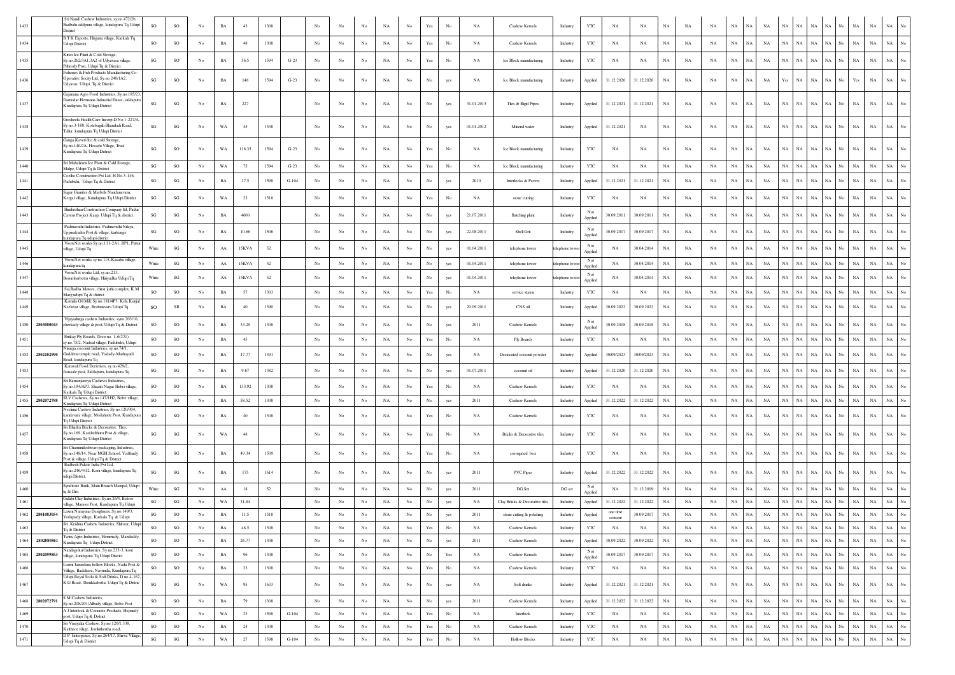| 1433     | Sri Nandi Cashew Industries, sy.no.472/2b<br>Badbalu siddpura village, kundapura Tq Udupi                                   | SO                     | SO                     | $_{\mathrm{No}}$ | BA          | 43      | 1308 |                     |                  |                  |             | NA          | $_{\rm No}$      | Yes                                                                             |                                                                                       | $_{\rm NA}$ | Cashew Kernels                 | Industry     | YTC            | NA                  | $_{\rm NA}$ | $_{\rm NA}$ | NA          | NA          | NA                       | NA          | NA          | NA.         | $_{\rm NA}$ | NA<br>$_{\rm NA}$<br>No                        | $_{\rm NA}$ |                                 |
|----------|-----------------------------------------------------------------------------------------------------------------------------|------------------------|------------------------|------------------|-------------|---------|------|---------------------|------------------|------------------|-------------|-------------|------------------|---------------------------------------------------------------------------------|---------------------------------------------------------------------------------------|-------------|--------------------------------|--------------|----------------|---------------------|-------------|-------------|-------------|-------------|--------------------------|-------------|-------------|-------------|-------------|------------------------------------------------|-------------|---------------------------------|
|          | District<br>B T K Exports, Hirgana village, Karkala Tq                                                                      |                        |                        |                  |             |         |      |                     |                  |                  |             |             |                  |                                                                                 |                                                                                       |             |                                |              |                |                     |             |             |             |             |                          |             |             |             |             |                                                |             |                                 |
| 1434     | Jdupi District                                                                                                              | SO                     | $_{\rm SO}$            | No               | BA          | 48      | 1308 |                     | No               | $_{\rm No}$      | No          | $_{\rm NA}$ | $_{\rm No}$      | $\operatorname{Yes}$                                                            | No                                                                                    | NA          | Cashew Kernels                 | Industry     | $_{\rm YTC}$   | NA                  | NA          | NA          | NA          | NA          | $_{\rm NA}$<br>NA        | $_{\rm NA}$ | NA          | $_{\rm NA}$ | $_{\rm NA}$ | NA<br>No<br>NA                                 | $_{\rm NA}$ | $_{\rm NA}$                     |
| 1435     | Kiran Ice Plant & Cold Storage,<br>Sy.no.262/3A1,3A2 of Udyavara village,<br>Pithrody Post, Udupi Tq & District             | SG                     | SO                     | No               | BA          | 56.5    | 1594 | $G-23$              | No               | No               | No          | NA          | No               | Yes                                                                             | No                                                                                    | NA          | Ice Block manufacturing        | Industry     | YTC            | NA                  | NA          | NA          | NA          | NA          | $_{\rm NA}$<br>N٨        | NA          | NA          | $_{\rm NA}$ | NA          | NA.<br>No.<br>NA                               | NA          | $_{\rm NA}$                     |
| 1436     | Fisheries & Fish Products Manufacturing Co.<br>Operative Socity Ltd, Sy.no.240/1A2,<br>Udyavar, Udupi Tq & District         | SG                     | SO                     | No               | BA          | 148     | 1594 | $G-23$              | No               | No               | No          | NA          | No               | No                                                                              | ves                                                                                   | NA          | Ice Block manufacturing        | Industry     | Applied        | 31.12.2026          | 31.12.2026  | NA          | NA          | NA          | $_{\rm NA}$<br>NA        | $_{\rm NA}$ | Yes         | NA          | <b>NA</b>   | NA<br>No<br>Yes                                | NA          |                                 |
| 1437     | Gajanana Agro Food Industries, Sy.no.185/23<br>Damodar Hemanna Industrial Estate, siddapur.<br>Kundapura Tq Udupi District  | SG                     | $\mathbf{S}\mathbf{G}$ | No               | BA          | 227     |      |                     | No               | No               | No          | NA          | No               | No                                                                              | yes                                                                                   | 31.01.2013  | Tiles & Rigid Pipes            | Industry     | Applied        | 31.12.2021          | 31.12.2021  | NA          | NA          | NA          | NA<br>NA                 | NA          | NA          | $_{\rm NA}$ | $_{\rm NA}$ | No<br>NA<br>NA                                 | $_{\rm NA}$ | NA                              |
| 1438     | Gresheela Health Care Incorp D.No.1-227/A<br>Sy no 3-188 Kotebagilu Bhandadi Road<br>Tallur, kundapura Tq Udupi District    | SG                     | SG                     | No               | WA          | 45      | 1538 |                     | No               | No               | No          | NA          | No               | No                                                                              | yes                                                                                   | 01.01.2012  | Mineral water                  | Industry     | Applied        | 31.12.2021          | NA          | NA          | NA          | <b>NA</b>   | NA<br>NA                 | NA          | NA          | NA          | $_{\rm NA}$ | $_{\rm NA}$<br>NA<br>No.                       | <b>NA</b>   | NA                              |
| 1439     | Ganza Kaveri Ice & cold Storage,<br>Sy.no.140/2A, Hosadu Village, Trasi<br>Kundapura Tq Udupi District                      | SG                     | SO                     | No               | WA          | 116.35  | 1594 | $G-23$              | No               | No               | No          | NA          | $_{\rm No}$      | Yes                                                                             | No                                                                                    | NA          | Ice Block manufacturing        | Industry     | YTC            | NA                  | NA          | NA          | NA          | NA          | NA<br>NA                 | NA          | NA          | $_{\rm NA}$ | $_{\rm NA}$ | <b>NA</b><br>No<br>NA                          | $_{\rm NA}$ | NA                              |
| 1440     | Sri Mahalaxni Ice Plant & Cold Storage,<br>Malpe, Udupi Tq & District                                                       | SG                     | SO                     | No               | WA          | 75      | 1594 | $G-23$              | No               | $_{\rm No}$      | No          | NA          | No               | Yes                                                                             | No                                                                                    | NA          | Ice Block manufacturing        | Industry     | YTC            | NA                  | NA          | NA          | NA          | NA          | NA<br>N/                 | NA          | NA          | NA          | $_{\rm NA}$ | NA<br>NA<br>No                                 | NA          | NA                              |
| 1441     | Coelho Construction Pvt Ltd, H.No.3-146,<br>Padubidri, Udupi Tq & District                                                  | SG                     | SG                     | No               | <b>BA</b>   | 27.5    | 1598 | $G-104$             | No               | No               | No          | NA          | No               | No                                                                              | yes                                                                                   | 2010        | Interlocks & Pavers            | Industry     | Applied        | 31.12.2021          | 31.12.2021  | NA          | NA          | NA          | NA<br>N٨                 | NA          | NA          | NA          | $_{\rm NA}$ | $_{\rm NA}$<br>NA<br>No.                       | <b>NA</b>   | NA                              |
| 1442     | Sagar Granites & Marbels Nandanavana,<br>Kergal village, Kundapura Tq Udupi District                                        | SG                     | $\mathbf{S}\mathbf{G}$ | No               | WA          | 23      | 1518 |                     | No               | No               | No          | NA          | $_{\rm No}$      | Yes                                                                             | No                                                                                    | NA          | stone cutting                  | Industry     | YTC            | NA                  | NA          | NA          | NA          | NA          | $_{\rm NA}$              | $_{\rm NA}$ | NA          | NA          | NA          | NA<br>NA<br>No                                 | NA          |                                 |
| 1443     | Hindusthan Construction Company Itd, Padu<br>Cavern Project Kaup, Udupi Tq & district.                                      | SG                     | SG                     | No               | <b>BA</b>   | 4600    |      |                     | No               | No               | No          | NA          | No               | No                                                                              | yes                                                                                   | 21.07.2011  | Batching plant                 | Industry     | Not            | 30.09.2011          | 30.09.2011  | <b>NA</b>   | NA          | NA          | NA<br>N٨                 | $_{\rm NA}$ | NA          | NA          | <b>NA</b>   | $_{\rm NA}$<br>NA<br>No                        | <b>NA</b>   | NA.                             |
| 1444     | Padmavathi Industries, Padmavathi Nilaya,<br>Jppinakudru Post & village, karkunjje                                          | SG                     | SO                     | No               | BA          | 10.66   | 1506 |                     | $_{\rm No}$      | $_{\rm No}$      | $_{\rm No}$ | NA          | $_{\rm No}$      | $_{\rm No}$                                                                     | yes                                                                                   | 22.08.2011  | Shell Grit                     | Industry     | Applied<br>Not | 30.09.2017          | 30.09.2017  | NA          | $_{\rm NA}$ | NA          | $_{\rm NA}$              | $_{\rm NA}$ | NA          | $_{\rm NA}$ | $_{\rm NA}$ | NA<br>No<br>NA                                 | $_{\rm NA}$ | NA                              |
| 1445     | undapura Tq udupi district<br>Viom Net works Sy.no.111-2A1. BP1, Putt                                                       | White                  | $\mathbf{S}\mathbf{G}$ | No               | AA          | 15KVA   | 52   |                     | No               | No               | No          |             | $_{\rm No}$      | $_{\rm No}$                                                                     |                                                                                       | 01.04.2011  |                                |              | Applied<br>Not | NA                  | 30.04.2014  | NA          | $_{\rm NA}$ | NA          | $_{\rm NA}$<br>N/        | $_{\rm NA}$ | NA          | $_{\rm NA}$ | $_{\rm NA}$ | NA<br>No<br>NA                                 | <b>NA</b>   |                                 |
|          | village, Udupi Tq<br>Viom Net works sy.no.118-Kasaba village,                                                               |                        |                        |                  |             |         |      |                     |                  |                  |             | $_{\rm NA}$ |                  |                                                                                 | yes                                                                                   |             | telephone tower                | elephone tow | Applied<br>Not |                     |             |             |             |             |                          |             |             |             |             |                                                |             |                                 |
| 1446     | undapura tq<br>Viom Net works Ltd, sy.no.213,                                                                               | White                  | $\mathbf{S}\mathbf{G}$ | No               | AA          | 15KVA   | 52   |                     | $_{\rm No}$      | No               | No          | NA          | No               | No                                                                              | yes                                                                                   | 01.04.2011  | telephone tower                | elephone tow | Applied<br>Not | NA                  | 30.04.2014  | NA          | NA          | NA          | NA<br>NA                 | NA          | NA          | NA          | NA          | NA<br>No<br>NA                                 | $_{\rm NA}$ | NA                              |
| 1447     | Bommbarbettu village, Hiriyadka Udupi Tq<br>Sai Radha Motors, chirst jothi complex, K.M.                                    | White                  | $\mathbf{S}\mathbf{G}$ | No               | AA          | 15KVA   | 52   |                     | No               | No               | No          | $_{\rm NA}$ | $_{\rm No}$      | No                                                                              | yes                                                                                   | 01.04.2011  | telephone tower                | telephone to | Applied        | NA                  | 30.04.2014  | NA          | $_{\rm NA}$ | NA          | NA<br>NA                 | $_{\rm NA}$ | NA          | NA          | $_{\rm NA}$ | NA<br>No.<br>NA                                | NA          | <b>NA</b>                       |
| $1448\,$ | Marg udupi Tq & district<br>Kamala Oil Mill, Sy.no.181/4P3, Kela Kunja                                                      | SO                     | SO                     | No               | BA          | 57      | 1303 |                     | $_{\rm No}$      | No               | No          | NA          | No               | $\operatorname*{Yes}% \left( X\right) \equiv\operatorname*{Yes}\left( X\right)$ | No                                                                                    | NA          | service staion                 | Industry     | YTC            | NA                  | NA          | NA          | NA          | NA          | NA<br>NA                 | $_{\rm NA}$ | NA NA       |             | $_{\rm NA}$ | NA<br>No<br>NA                                 | $_{\rm NA}$ | NA                              |
| 1449     | Neelavar village, Brahmavara Udupi Tq                                                                                       | SO                     | ${\sf SR}$             | No               | <b>BA</b>   | 40      | 1390 |                     | No               | No               | No          | NA          | No               | No                                                                              | yes                                                                                   | 20.09.2011  | CNS oil                        | Industry     | Applied        | 30.09.2022          | 30.09.2022  | NA          | NA          | NA          | $_{\rm NA}$<br>NA        | $_{\rm NA}$ | NA          | NA          | NA          | NA<br>NA<br>No                                 | NA          | NA                              |
|          | Vijavadurga cashew Industries, syno.203/10<br>1450 2803080043<br>cherkady village & post, Udupi Tq & District               | SO                     | SO                     | No               | BA          | 33.29   | 1308 |                     | No               | No               | No          | NA          | No               | No                                                                              | yes                                                                                   | 2011        | Cashew Kernels                 | Industry     | Not<br>Applied | 30.09.2018          | 30.09.2018  | NA          | $_{\rm NA}$ | NA          | NA<br>NA                 | $_{\rm NA}$ | NA          | NA          | $_{\rm NA}$ | NA<br>No<br>NA                                 | $_{\rm NA}$ | <b>NA</b>                       |
| 1451     | Emkay Ply Boards, Door no. 1-6(221)<br>y.no.75/2, Nadsal village, Padubidri, Udupi                                          | <b>SO</b>              | SO                     | No               | BA          | 45      |      |                     | $_{\rm No}$      | No               | No          | NA          | No               | Yes                                                                             | No                                                                                    | <b>NA</b>   | Ply Boards                     | Industry     | <b>YTC</b>     | NA                  | NA          | NA          | <b>NA</b>   | NA          | NA<br>NA                 | NA          | NA NA       |             | $_{\rm NA}$ | NA<br>No<br>NA                                 | $_{\rm NA}$ | $_{\rm NA}$                     |
| 1452     | Nisarga coconut Industries, sy.no.74/1,<br>2802102990<br>Guddettu temple road, Yadady-Mathayadi<br>Road, kundapura To       | SO                     | SO                     | No               | BA          | 47.77   | 1391 |                     | $_{\rm No}$      | No               | $_{\rm No}$ | NA          | $_{\rm No}$      | $_{\rm No}$                                                                     | yes                                                                                   | NA          | Desiccated coconut powder      | Industry     | Applied        | 30/09/2023          | 30/09/2023  | NA          | $_{\rm NA}$ | NA          | NA                       | $_{\rm NA}$ | $_{\rm NA}$ | $_{\rm NA}$ | $_{\rm NA}$ | NA<br>No<br>NA                                 | $_{\rm NA}$ | $_{\rm NA}$                     |
| 1453     | Karavali Food Derivtives, sy.no.429/2,<br>Janasale post, Siddapura, kundapura Tq                                            | SG                     | SG                     | No               | BA          | 9.67    | 1382 |                     | No               | $_{\rm No}$      | No          | NA          | No               | No                                                                              | yes                                                                                   | 01.07.2011  | coconut oil                    | Industry     | Applied        | 31.12.2020          | 31.12.2020  | NA          | NA          | NA          | $_{\rm NA}$<br><b>NA</b> | $_{\rm NA}$ | NA          | NA          | $_{\rm NA}$ | <b>NA</b><br>No.<br>NA                         | $_{\rm NA}$ | $_{\rm NA}$                     |
| 1454     | Sri Ramanjaneya Cashews Industries<br>Sy.no.194/AP3, Shaatri Nagar Hebri village,<br>Karkala Tq Udupi District              | SO                     | SO                     | No               | BA          | 133.92  | 1308 |                     | No               | No               | No          | NA          | $_{\rm No}$      | $\operatorname{Yes}$                                                            | No                                                                                    | NA          | Cashew Kernels                 | Industry     | YTC            | NA                  | NA          | NA          | $_{\rm NA}$ | NA          | NA<br>NA                 | $_{\rm NA}$ | NA          | NA          | $_{\rm NA}$ | NA<br>No<br>NA                                 | $_{\rm NA}$ | $_{\rm NA}$                     |
| 1455     | SLV Cashews, Sy.no.147/1H2, Belve village,<br>2802072788<br>Kundapura Tq Udupi District                                     | SO                     | SO                     | No               | BA          | 58.52   | 1308 |                     | No               | No               | No          | NA          | No               | No                                                                              | yes                                                                                   | 2011        | Cashew Kernels                 | Industry     | Applied        | 31.12.2022          | 31.12.2022  | <b>NA</b>   | NA          | NA          | NA<br><b>NA</b>          | NA          | NA NA       |             | $_{\rm NA}$ | NA<br>No<br>NA                                 | $_{\rm NA}$ | NA                              |
| 1456     | Neelima Cashew Industries, Sy.no.120/304,<br>ndavara village, Modahatte Post, Kundapura<br>Tq Udupi District                | SO                     | SO                     | No               | BA          | 40      | 1308 |                     | No               | No               | No          | NA          | $_{\rm No}$      | Yes                                                                             | No                                                                                    | NA          | Cashew Kernels                 | Industry     | YTC            | NA                  | NA          | NA          | $_{\rm NA}$ | NA          | $_{\rm NA}$              | $_{\rm NA}$ | $_{\rm NA}$ | NA          | $_{\rm NA}$ | No<br>NA<br>NA                                 | NA          | NA                              |
| 1457     | Sri Bhadra Bricks & Decorative, Tiles,<br>Sv.no.169. Katabelthuru Post & village.<br>Kundapura Tq Udupi District            | SG                     | $\mathbf{S}\mathbf{G}$ | No               | WA          | 48      |      |                     | No               | No               | No          | NA          | $_{\rm No}$      | Yes                                                                             | No                                                                                    | NA          | Bricks & Decorative tiles      | Industry     | YTC            | NA                  | NA          | NA          | NA          | NA          | NA<br>NA                 | $_{\rm NA}$ | NA          | NA          | $_{\rm NA}$ | <b>NA</b><br>No.<br>NA                         | $_{\rm NA}$ | NA                              |
| 1458     | Sri Chamundeshwari packaging, Industries,<br>Sy.no.148/14, Near MGH School, Yedthady<br>Post & village, Udupi Tq & District | SG                     | $\mathbf{S}\mathbf{G}$ | No               | BA          | 49.34   | 1509 |                     | $_{\rm No}$      | No               | No          | $_{\rm NA}$ | No               | Yes                                                                             | No                                                                                    | NA          | corrugated box                 | Industry     | YTC            | NA                  | NA          | NA          | NA          | NA          | NA<br>NA                 | $_{\rm NA}$ | NA          | NA          | $_{\rm NA}$ | $_{\rm NA}$<br>NA<br>No                        | <b>NA</b>   | NA                              |
| 1459     | Radhesh Palstic India Pvt Ltd,<br>Sy.no.246/44J2, Koni village, kundapura Tq<br>udupi District,                             | SG                     | $\mathbf{S}\mathbf{G}$ | No               | $_{\rm BA}$ | 175     | 1614 |                     | No               | No               | No          | NA          | No               | No                                                                              | yes                                                                                   | 2011        | PVC Pipes                      | Industry     | Applied        | 31.12.2022          | 31.12.2022  | $_{\rm NA}$ | NA          | NA          | NA<br>NA                 | $_{\rm NA}$ | NA          | NA          | <b>NA</b>   | <b>NA</b><br>No.<br>NA                         | <b>NA</b>   | NA                              |
| 1460     | Syndicate Bank, Main Branch Manipal, Udupi<br>tq & Dist                                                                     | White                  | $\mathbf{S}\mathbf{G}$ | No               | AA          | 18      | 52   |                     | $_{\rm No}$      | No               | No          | $_{\rm NA}$ | $_{\rm No}$      | No                                                                              | yes                                                                                   | 2011        | DG Set                         | DG set       | Not<br>Applied | NA                  | 31.12.2009  | NA          | NA          | NA          | NA<br><b>NA</b>          | $_{\rm NA}$ | $\rm NA-NA$ |             | $_{\rm NA}$ | NA<br>NA<br>No                                 | <b>NA</b>   | NA                              |
| 1461     | Gulabi Clay Industries, Sy.no.26/4, Beloor<br>village, Manoor Post, Kundapura To Udupi                                      | SG                     | $\mathbf{S}\mathbf{G}$ | $_{\mathrm{No}}$ | WA          | 31.84   |      |                     | $_{\rm No}$      | $_{\rm No}$      | No          | NA          | $_{\rm No}$      | No                                                                              | yes                                                                                   | NA          | Clay Bricks & Decorative tiles | Industry     | Applied        | 31.12.2022          | 31.12.2022  | NA          | $_{\rm NA}$ | NA          | NA<br><b>NA</b>          | NA          | NA NA       |             | $_{\rm NA}$ | NA<br>No<br>NA                                 | $_{\rm NA}$ | $_{\rm NA}$<br>No               |
| 1462     | Laxmi Narayana Desighners, Sy.no.149/3,<br>2801083054<br>Yerlapady village, Karkala Tq & Udupi                              | SG                     | <b>SO</b>              | No.              | $_{\rm BA}$ | 11.5    | 1518 |                     | $_{\mathrm{No}}$ | $_{\rm No}$      | No          | NA          | No               | $_{\rm No}$                                                                     | yes                                                                                   | 2011        | stone cutting & polishing      | Industry     | Applied        | one time<br>consent | 30.09.2017  | $_{\rm NA}$ | NA          | NA          | NA<br>NA                 | $_{\rm NA}$ | NA NA       |             | $_{\rm NA}$ | $_{\rm NA}$<br>$_{\rm NA}$<br>No               | $_{\rm NA}$ | $_{\rm NA}$                     |
| 1463     | To & District                                                                                                               | SO                     | $_{\rm SO}$            | No               | BA          | 48.5    | 1308 |                     | No               | $_{\rm No}$      | No          | NA          | No               | $\operatorname{Yes}$                                                            | No                                                                                    | NA          | Cashew Kernels                 | Industry     | $_{\rm YTC}$   | NA                  | NA          | $_{\rm NA}$ | NA          | NA          | $_{\rm NA}$<br>NA        | $_{\rm NA}$ | $\rm NA-NA$ |             | $_{\rm NA}$ | $\rm NA-No-NA$                                 | $_{\rm NA}$ | $\rm NA-}{\rm No}$              |
| 1464     | Twins Agro Industries, Hemmady, Mandaddy.<br>2802080861<br>Kundapura Tq Udupi District                                      | SO                     | $_{\rm SO}$            | No               | $_{\rm BA}$ | 26.77   | 1308 |                     | $_{\mathrm{No}}$ | $_{\rm No}$      | No          | $_{\rm NA}$ | No               | $_{\mathrm{No}}$                                                                | yes                                                                                   | 2011        | Cashew Kernels                 | Industry     | Applied        | 30.09.2022          | 30.09.2022  | $_{\rm NA}$ | $_{\rm NA}$ | NA          | $_{\rm NA}$<br>NA        | $_{\rm NA}$ | $\rm NA-NA$ |             | $_{\rm NA}$ | $\rm NA-\rm No-\rm NA$                         | $_{\rm NA}$ | $_{\mathrm{No}}$<br>$_{\rm NA}$ |
| 1465     | Nandagokul Industries, Sy.no.235-3, koni<br>2802099863<br>village, kundapura Tq Udupi District                              | SO                     | SO                     | $_{\mathrm{No}}$ | BA          | 96      | 1308 |                     | $_{\mathrm{No}}$ | $_{\mathrm{No}}$ | $_{\rm No}$ | $_{\rm NA}$ | $_{\rm No}$      | No                                                                              | $\operatorname*{Yes}% \left( X\right) \equiv\operatorname*{Yes}(\mathbb{R}^{3}\left)$ | NA          | Cashew Kernels                 | Industry     | Not<br>Applied | 30.09.2017          | 30.09.2017  | NA          | $_{\rm NA}$ | NA          | NA<br>N/                 | NA          | $\rm NA-NA$ |             | $_{\rm NA}$ | $_{\mathrm{No}}$<br>$_{\rm NA}$<br>NA          | $_{\rm NA}$ | $_{\mathrm{No}}$<br>$_{\rm NA}$ |
| 1466     | Laxmi Janardana hollow Blocks, Nada Post &<br>Village, Badakere, Navunda, Kundapura Tq                                      | SO                     | $_{\rm SO}$            | No               | $_{\rm BA}$ | $^{23}$ | 1308 |                     | $_{\mathrm{No}}$ | No               | No          | $_{\rm NA}$ | No               | $\operatorname*{Yes}% \left( X\right) \equiv\operatorname*{Yes}\left( X\right)$ | $_{\mathrm{No}}$                                                                      | NA          | Cashew Kernels                 | Industry     | $_{\rm YTC}$   | $_{\rm NA}$         | NA          | $_{\rm NA}$ | $_{\rm NA}$ | $_{\rm NA}$ | $_{\rm NA}$<br>N/        | $_{\rm NA}$ | NA          | $_{\rm NA}$ | $_{\rm NA}$ | NA<br>No<br>$_{\rm NA}$                        | $_{\rm NA}$ | $_{\rm NA}$<br>$_{\mathrm{No}}$ |
| 1467     | Udupi Royal Soda & Soft Drinks, D.no.4-162,<br>K.G Road, Thenkkabettu, Udupi Tq & Distric                                   | SG                     | $\mathbf{S}\mathbf{G}$ | No               | WA          | 95      | 1633 |                     | No               | No               | No          | NA          | No               | No                                                                              | yes                                                                                   | NA          | Soft drinks                    | Industry     | Applied        | 31.12.2021          | 31.12.2021  | $_{\rm NA}$ | NA          | NA          | NA<br><b>NA</b>          | $_{\rm NA}$ | NA          | NA          | $_{\rm NA}$ | NA<br>No<br>$_{\rm NA}$                        | $_{\rm NA}$ | $_{\rm NA}$<br>$_{\mathrm{No}}$ |
| 1468     | S M Cashew Industries,<br>2802072791<br>Sy.no.208/201/Abady village, Belve Post                                             | SO                     | $_{\rm SO}$            | No               | $_{\rm BA}$ | 79      | 1308 |                     | $_{\mathrm{No}}$ | $_{\rm No}$      | $_{\rm No}$ | $_{\rm NA}$ | No               | $_{\mathrm{No}}$                                                                | yes                                                                                   | 2011        | Cashew Kernels                 | Industry     | Applied        | 31.12.2022          | 31.12.2022  | $_{\rm NA}$ | $_{\rm NA}$ | NA          | NA<br>$_{\rm NA}$        | NA          | NA NA       |             | $_{\rm NA}$ | $_{\rm NA}$<br>$_{\rm No}$<br>$_{\rm NA}$      | $_{\rm NA}$ | $_{\mathrm{No}}$<br>$_{\rm NA}$ |
| 1469     | A J Interlock & Concrete Products, Hejmady<br>post, Udupi Tq & District                                                     | SG                     | $\mathbf{S}\mathbf{G}$ | No               | WA          | 23      | 1598 | $G-104$             | $_{\mathrm{No}}$ | No               | No          | NA          | No               | $\operatorname*{Yes}% \left( X\right) \equiv\operatorname*{Yes}\left( X\right)$ | No                                                                                    | NA          | Interlock                      | Industry     | $_{\rm YTC}$   | $_{\rm NA}$         | NA          | $_{\rm NA}$ | NA          | NA          | $_{\rm NA}$<br>NA        | $_{\rm NA}$ | NA NA       |             | $_{\rm NA}$ | NA  <br>$_{\rm No}$<br>$_{\rm NA}$             | $_{\rm NA}$ | $_{\mathrm{No}}$<br>$_{\rm NA}$ |
| 1470     | Sri Vinayaka Cashew, Sy.no.120/1,338,<br>Kalthoor vilage, Jomluthertha road,                                                | SO                     | $_{\rm SO}$            | No               | BA          | 24      | 1308 |                     | No               | $_{\rm No}$      | $_{\rm No}$ | NA          | No               | Yes                                                                             | $_{\mathrm{No}}$                                                                      | NA          | Cashew Kernels                 | Industry     | YTC            | NA                  | NA          | NA          | NA          | NA          | $_{\rm NA}$<br>NA        | NA          | NA NA       |             | $_{\rm NA}$ | NA  <br>No<br>$_{\rm NA}$                      | $_{\rm NA}$ | $_{\rm NA}$<br>$_{\mathrm{No}}$ |
| 1471     | D P Enterprises, Sy.no.264/17, Shirva Village,<br>Udupi Tq & District                                                       | $\mathbf{S}\mathbf{G}$ | $\mathbf{SG}$          | $_{\mathrm{No}}$ | $_{\rm WA}$ | $27\,$  | 1598 | $_{\mathrm{G-104}}$ | $_{\rm No}$      | $_{\mathrm{No}}$ | $_{\rm No}$ | $_{\rm NA}$ | $_{\mathrm{No}}$ | $\operatorname{Yes}$                                                            | $_{\mathrm{No}}$                                                                      | $_{\rm NA}$ | <b>Hollow Blocks</b>           | Industry     | $_{\rm YTC}$   | $_{\rm NA}$         | $_{\rm NA}$ | $_{\rm NA}$ | $_{\rm NA}$ | $_{\rm NA}$ | $_{\rm NA}$<br>NA        | $_{\rm NA}$ | $_{\rm NA}$ | $_{\rm NA}$ | $_{\rm NA}$ | $_{\rm NA}$<br>$_{\rm NA}$<br>$_{\mathrm{No}}$ | $_{\rm NA}$ | $_{\mathrm{No}}$<br>$_{\rm NA}$ |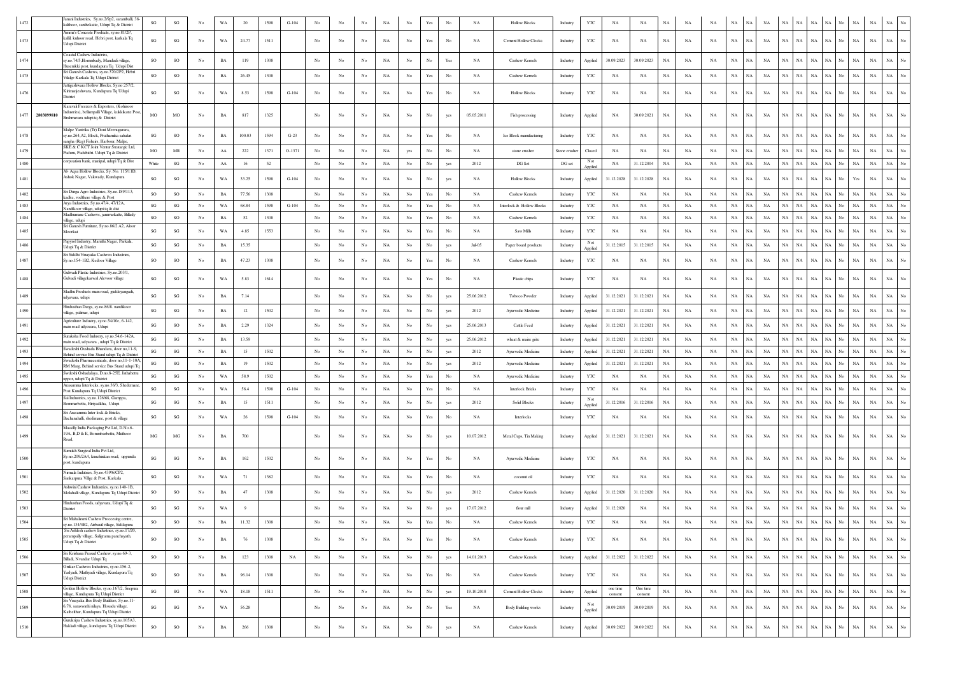| 1472               | anani Industries, Sy.no.2/9p2, saramballi, 38<br>kalthoor, santhekatte, Udupi Tq & District                                      | $\mathbf{S}\mathbf{G}$ | $\mathbf{S}\mathbf{G}$ | No               | WA          | 20             | 1598 | $G-104$     | No               |                  |             |             |                  | Yes                                                                                   |                  | NA          | <b>Hollow Blocks</b>       | Industry      | $_{\rm YTC}$   | NA                  | $_{\rm NA}$         | NA          | NA          |             | <b>NA</b>                  |             |             |                                                                                     |                          |                                 | NA                                                                                    | $_{\rm NA}$ | $_{\rm NA}$                     |
|--------------------|----------------------------------------------------------------------------------------------------------------------------------|------------------------|------------------------|------------------|-------------|----------------|------|-------------|------------------|------------------|-------------|-------------|------------------|---------------------------------------------------------------------------------------|------------------|-------------|----------------------------|---------------|----------------|---------------------|---------------------|-------------|-------------|-------------|----------------------------|-------------|-------------|-------------------------------------------------------------------------------------|--------------------------|---------------------------------|---------------------------------------------------------------------------------------|-------------|---------------------------------|
| 1473               | Ammu's Concrete Products, sy.no.81/2P,<br>kallil, kuhoor road, Hebri post, karkala Tq<br>Jdupi District                          | SG                     | SG                     | $_{\rm No}$      | WA          | 24.77          | 1511 |             | No               | No               | No          | NA          | $_{\mathrm{No}}$ | Yes                                                                                   | No               | NA          | Cement Hollow Clocks       | Industry      | $_{\rm YTC}$   | NA                  | NA                  | $_{\rm NA}$ | $_{\rm NA}$ | NA          | NA<br>Ń                    | $_{\rm NA}$ | NA          | NA                                                                                  | $_{\rm NA}$              | $_{\rm NA}$<br>No               | $_{\rm NA}$                                                                           | $_{\rm NA}$ | NA                              |
| 1474               | loastal Cashew Industries,<br>y.no.74/5, Hommbady, Mandadi village<br>Husemkki post, kundapura Tq Udupi Dist                     | so                     | $_{\rm SO}$            | No               | BA          | 119            | 1308 |             | No               | No               | No          | NA          | $_{\rm No}$      | No                                                                                    | Yes              | NA          | Cashew Kernels             | Industry      | Applied        | 30.09.2023          | 30.09.2023          | NA          | NA          | NA          | $_{\rm NA}$<br>NA          | $_{\rm NA}$ | NA          | NA                                                                                  | $_{\rm NA}$<br>NA        | No.                             | NA                                                                                    | $_{\rm NA}$ | $_{\rm NA}$                     |
| 1475               | Sri Ganesh Cashews, sy.no.370/2P2, Hebri<br>Vilalge Karkala Tq Udupi District                                                    | <b>SO</b>              | SO                     | No               | $_{\rm BA}$ | 26.45          | 1308 |             | No               | No               | $_{\rm No}$ | NA          | No               | $\operatorname{Yes}$                                                                  | No               | NA          | Cashew Kernels             | Industry      | $_{\rm YTC}$   | NA                  | NA                  | $_{\rm NA}$ | NA          | NA          | $_{\rm NA}$<br>NA          | $_{\rm NA}$ | $_{\rm NA}$ | NA                                                                                  | $_{\rm NA}$              | NA<br>No                        | $_{\rm NA}$                                                                           | $_{\rm NA}$ | $_{\rm NA}$                     |
| 1476               | Jattigeshwara Hollow Blocks, Sy.no.257/2,<br>Kirimanjeshwara, Kundapura Tq Udupi<br>District                                     | SG                     | SG                     | No               | WA          | 8.53           | 1598 | $G-104$     | No               | No               | No          | NA          | No               | $\operatorname*{Yes}% \left( X\right) \equiv\operatorname*{Yes}(\mathbb{R}^{3}\left)$ | No               | NA          | <b>Hollow Blocks</b>       | Industry      | YTC            | NA                  | NA                  | NA          | NA          | NA          | NA<br>NA                   | NA          | NA          | NA                                                                                  | NA                       | NA<br>No                        | NA                                                                                    | NA          | $_{\rm NA}$                     |
| 1477<br>2803099810 | Karavali Freezers & Exporters, (Kohinoor<br>ndustries), bellampalli Village, kukkikatte Post,<br>3rahmavara udupi tq & District  | MO                     | MO                     | No               | BA          | 817            | 1325 |             | No.              | No               | No          | NA          | No               | No                                                                                    | yes              | 05.05.2011  | Fish processing            | Industry      | Applied        | NA                  | 30.09.2021          | NA          | NA          | NA          | NA<br>NA                   | NA          | NA          | NA                                                                                  | $_{\rm NA}$<br><b>NA</b> | No                              | $_{\rm NA}$                                                                           | $_{\rm NA}$ | $_{\rm NA}$                     |
| 1478               | Malpe Yantrika (Tr) Doni Meenugarara,<br>sv.no.264.A2. Block. Prathamika sahakri<br>angha (Reg) Fisheirs, Harbour, Malpe,        | SG                     | $_{\rm SO}$            | No               | BA          | 100.03         | 1594 | $G-23$      | No               | No               | No          | NA          | $_{\rm No}$      | $\operatorname*{Yes}% \left( X\right) \equiv\operatorname*{Yes}(\mathbb{R}^{3}\left)$ | No               | NA          | Ice Block manufacturing    | Industry      | YTC            | NA                  | NA                  | NA          | NA          | NA          | $_{\rm NA}$<br>NA          | $_{\rm NA}$ | NA          | NA                                                                                  | $_{\rm NA}$<br>NA        | No                              | NA                                                                                    | $_{\rm NA}$ | $_{\rm NA}$                     |
| 1479               | SKE & C KCT Joint Ventur Stratargic Ltd,<br>Paduru, Padubidri. Udupi Tq & District                                               | MO                     | MR                     | No               | AA          | $222\,$        | 1371 | O-1371      | No               | No               | No          | NA          | yes              | No                                                                                    | No               | NA          | stone crusher              | Stone crusher | Closed         | NA                  | NA                  | NA          | NA          | NA          | $_{\rm NA}$<br>NA          | $_{\rm NA}$ | NA          | NA                                                                                  | $_{\rm NA}$              | NA.<br>No                       | $_{\rm NA}$                                                                           | $_{\rm NA}$ | $_{\rm NA}$                     |
| 1480               | orpoation bank, manipal, udupi Tq & Dist                                                                                         | White                  | SG                     | $_{\rm No}$      | ${\rm AA}$  | 16             | 52   |             | $_{\rm No}$      | $_{\rm No}$      | No          | NA          | No               | $_{\rm No}$                                                                           | yes              | 2012        | DG Set                     | DG set        | Not            | $_{\rm NA}$         | 31.12.2004          | $_{\rm NA}$ | $_{\rm NA}$ | NA          | NA<br>NA                   | $_{\rm NA}$ | NA          | NA                                                                                  | $_{\rm NA}$              | NA<br>No                        | $_{\rm NA}$                                                                           | $_{\rm NA}$ | NA<br>No                        |
| 1481               | Al- Aqsa Hollow Blocks, Sy. No. 115/11D,<br>Ashok Nagar, Vakwady, Kundapura                                                      | SG                     | $\mathbf{S}\mathbf{G}$ | No               | WA          | 33.25          | 1598 | $G-104$     | $_{\rm No}$      | No               | No          | NA          | No               | $_{\rm No}$                                                                           | yes              | NA          | <b>Hollow Blocks</b>       | Industry      | Applied        | 31.12.2028          | 31.12.2028          | $_{\rm NA}$ | $_{\rm NA}$ | $_{\rm NA}$ | NA<br>NA                   | $_{\rm NA}$ | NA          | NA                                                                                  | $_{\rm NA}$              | NA<br>No                        | $\operatorname*{Yes}% \left( X\right) \equiv\operatorname*{Yes}(\mathbb{R}^{3}\left)$ | $_{\rm NA}$ | $_{\rm NA}$                     |
| 1482               | Sri Durga Agro Industries, Sy.no.189/113,<br>cadke, vodthere village & Post                                                      | SO                     | SO                     | No               | $_{\rm BA}$ | 77.56          | 1308 |             | No               | No               | $_{\rm No}$ | $_{\rm NA}$ | $_{\mathrm{No}}$ | Yes                                                                                   | $_{\rm No}$      | NA          | Cashew Kernels             | Industry      | YTC            | NA                  | NA                  | $_{\rm NA}$ | $_{\rm NA}$ | NA          | $_{\rm NA}$<br>Ń           | $_{\rm NA}$ | NA          | NA                                                                                  | $_{\rm NA}$<br><b>NA</b> |                                 | $_{\rm NA}$                                                                           | $_{\rm NA}$ | $_{\rm NA}$                     |
| 1483               | Arya Industries, Sy.no.47/4, 47/12A,<br>Nandikoor village, udupi tq & dist                                                       | $\mathbf{S}\mathbf{G}$ | SG                     | No               | WA          | 68.84          | 1598 | $G-104$     | No               | $_{\rm No}$      | No          | NA          | No               | Yes                                                                                   | No               | NA          | Interlock & Hollow Blocks  | Industry      | YTC            | NA                  | NA                  | NA          | $_{\rm NA}$ | NA          | NA<br>$_{\rm NA}$          | NA          | NA          | NA                                                                                  | $_{\rm NA}$              | NA<br>No                        | $_{\rm NA}$                                                                           | NA          | NA<br>No                        |
| 1484               | Madhumane Cashews, januvarkatte, Billady<br>village, udupi<br>Sri Ganesh Furniture, Sy.no.86/2 A2, Aloor                         | SO                     | SO                     | No               | BA          | 52             | 1308 |             | No               | No               | No          | NA          | No               | $\operatorname{Yes}$                                                                  | No               | NA          | Cashew Kernels             | Industry      | YTC            | NA                  | NA                  | NA          | NA          | NA          | NA<br>N.                   | NA          | NA          | NA                                                                                  | $_{\rm NA}$<br>NA        | No.                             | $_{\rm NA}$                                                                           | $_{\rm NA}$ | $_{\rm NA}$<br>No               |
| 1485               | Moorkai                                                                                                                          | $\mathbf{SG}$          | $_{\rm SG}$            | No               | WA          | 4.85           | 1553 |             | $_{\rm No}$      | No               | No          | NA          | $_{\rm No}$      | $\operatorname{Yes}$                                                                  | No               | NA          | Saw Mills                  | Industry      | YTC            | NA                  | NA                  | $_{\rm NA}$ | NA          | NA          | $_{\rm NA}$<br>N.          | $_{\rm NA}$ | NA          | NA                                                                                  | $_{\rm NA}$              | $_{\rm NA}$<br>No               | $_{\rm NA}$                                                                           | $_{\rm NA}$ | $_{\rm NA}$<br>No               |
| 1486               | Papyrol Industry, Maruthi Nagar, Parkala,<br>Udupi Tq & District                                                                 | $\mathbf{SG}$          | $\mathbf{S}\mathbf{G}$ | $_{\rm No}$      | $_{\rm BA}$ | 15.35          |      |             | $_{\rm No}$      | $_{\rm No}$      | $_{\rm No}$ | NA          | No               | $_{\rm No}$                                                                           | yes              | Jul-05      | Paper board products       | Industry      | Not<br>Applied | 31.12.2015          | 31.12.2015          | $_{\rm NA}$ | $_{\rm NA}$ | NA          | $_{\rm NA}$<br>Ń           | NA          | NA          | NA                                                                                  | $_{\rm NA}$              | $_{\rm NA}$<br>No               | $_{\rm NA}$                                                                           | NA          | $_{\rm NA}$                     |
| 1487               | Sri Siddhi Vinayaka Cashews Industries<br>Sy.no.154-1B2, Kedoor Village                                                          | <sub>SO</sub>          | SO                     | No               | $_{\rm BA}$ | 47.23          | 1308 |             | No               | No               | No          | NA          | No               | $\operatorname{Yes}$                                                                  | No               | NA          | Cashew Kernels             | Industry      | $_{\rm YTC}$   | NA                  | NA                  | $_{\rm NA}$ | $_{\rm NA}$ | $_{\rm NA}$ | NA<br>NA                   | $_{\rm NA}$ | NA          | NA                                                                                  | $_{\rm NA}$              | $_{\rm NA}$<br>No               | $_{\rm NA}$                                                                           | $_{\rm NA}$ | $_{\rm NA}$                     |
| 1488               | Gulwadi Plastic Industries, Sy.no.203/1,<br>Gulvadi villagekarwal Alevoor village                                                | SG                     | SG                     | No               | WA          | 5.83           | 1614 |             | No               | No               | No          | NA          | No               | $\operatorname*{Yes}% \left( X\right) \equiv\operatorname*{Yes}(\mathbb{R}^{3}\left)$ | No               | NA          | Plastic chips              | Industry      | YTC            | NA                  | NA                  | NA          | NA          | NA          | $_{\rm NA}$<br>NA          | NA          | NA          | NA                                                                                  | NA<br>NA                 | No.                             | NA                                                                                    | $_{\rm NA}$ | $_{\rm NA}$                     |
| 1489               | Madhu Products main road, guddeyangadi,<br>udyavara, udupi                                                                       | $\mathbf{S}\mathbf{G}$ | SG                     | $_{\rm No}$      | $_{\rm BA}$ | 7.14           |      |             | $_{\rm No}$      | No               | No          | NA          | No               | $_{\rm No}$                                                                           | yes              | 25.06.2012  | Toboco Powder              | Industry      | Applied        | 31.12.2021          | 31.12.2021          | $_{\rm NA}$ | $_{\rm NA}$ | NA          | NA<br>NA                   | $_{\rm NA}$ | NA          | $_{\rm NA}$                                                                         | NA<br>NA                 |                                 | $_{\rm NA}$                                                                           | $_{\rm NA}$ | $_{\rm NA}$                     |
| 1490               | Iindusthan Durgs, sy.no.86/8. nandikoor<br>village, palimar, udupi                                                               | $\mathbf{S}\mathbf{G}$ | SG                     | No               | BA          | 12             | 1502 |             | No               | No               | No          | NA          | $_{\rm No}$      | No                                                                                    | yes              | 2012        | Ayurvedic Medicine         | Industry      | Applied        | 31.12.2021          | 31.12.2021          | NA          | NA          | NA          | $_{\rm NA}$<br>NA          | $_{\rm NA}$ | NA          | NA                                                                                  | $_{\rm NA}$              | NA<br>No                        | $_{\rm NA}$                                                                           | $_{\rm NA}$ | $_{\rm NA}$                     |
| 1491               | Agriculture Industry, sy.no.54/10c, 6-142,<br>nain road udyavara, Udupi                                                          | $\mathbf{SG}$          | $_{\rm SO}$            | $_{\rm No}$      | BA          | 2.29           | 1324 |             | No               | No               | $_{\rm No}$ | NA          | $_{\mathrm{No}}$ | $_{\rm No}$                                                                           | yes              | 25.06.2013  | Cattle Feed                | Industry      | Applied        | 31.12.2021          | 31.12.2021          | <b>NA</b>   | $_{\rm NA}$ | NA          | $_{\rm NA}$<br>NA          | NA          | $_{\rm NA}$ | NA                                                                                  | $_{\rm NA}$<br>NA        | No                              | $_{\rm NA}$                                                                           | $_{\rm NA}$ | $_{\rm NA}$                     |
| 1492               | Suraksha Food Industry, sy.no.54,6-142A,<br>nain road, udyavara , udupi Tq & District                                            | $\mathbf{S}\mathbf{G}$ | $_{\rm SG}$            | No               | BA          | 13.59          |      |             | No               | No               | No          | NA          | No               | $_{\rm No}$                                                                           | yes              | 25.06.2012  | wheat & maize grite        | Industry      | Applied        | 31.12.2021          | 31.12.2021          | <b>NA</b>   | NA          | NA          | NA<br>NA                   | $_{\rm NA}$ | NA          | NA                                                                                  | $_{\rm NA}$<br>NA        | No                              | $_{\rm NA}$                                                                           | $_{\rm NA}$ | $_{\rm NA}$                     |
| 1493               | Swadeshi Oushada Bhandara, door no, 11-9,<br>lehind service Bus Stand udupi Tq & District                                        | $\mathbf{S}\mathbf{G}$ | SG                     | No.              | BA          | 15             | 1502 |             | No               | No               | No          | NA          | No               | $_{\rm No}$                                                                           | yes              | 2012        | Avurvedic Medicine         | Industry      | Applied        | 31.12.2021          | 31.12.2021          | NA          | NA          | NA          | NA<br>NA                   | NA          |             | NA NA                                                                               | $_{\rm NA}$              | NA<br>No                        | $_{\rm NA}$                                                                           | $_{\rm NA}$ | $_{\rm NA}$<br>No               |
| 1494               | Swadeshi Pharmacenticals, door no, l 1-1-10A,<br>RM Marg, Behind service Bus Stand udupi Tq                                      | SG                     | SG                     | No               | BA          | 19             | 1502 |             | No               | No               | No          | NA          | $_{\rm No}$      | No                                                                                    | yes              | 2012        | Ayurvedic Medicine         | Industry      | Applied        | 31.12.2021          | 31.12.2021          | NA          | NA          | NA          | NA<br>NA                   | NA          | NA          | NA                                                                                  | $_{\rm NA}$<br>NA        | No                              | $_{\rm NA}$                                                                           | NA          | $_{\rm NA}$                     |
| 1495               | wdeshi Oshadalaya, D.no.8-25E, Jathabettu<br>uppor, udupi Tq & District                                                          | SG                     | $\mathbf{S}\mathbf{G}$ | $_{\rm No}$      | WA          | 58.9           | 1502 |             | No               | No               | $_{\rm No}$ | NA          | No               | Yes                                                                                   | No               | NA          | Ayurvedic Medicine         | Industry      | YTC            | NA                  | NA                  | $_{\rm NA}$ | $_{\rm NA}$ | NA          | NA<br>NA                   | $_{\rm NA}$ | NA          | NA                                                                                  | $_{\rm NA}$              | NA<br>No                        | $_{\rm NA}$                                                                           | NA          | $_{\rm NA}$                     |
| 1496               | Arasamma Interlocks, sy.no.36/3, Shedemane<br>Post Kundapura Tq Udupi District                                                   | SG                     | SG                     | No               | WA          | 56.4           | 1598 | $G-104$     | No               | No               | No          | NA          | No               | $\operatorname*{Yes}% \left( X\right) \equiv\operatorname*{Yes}(\mathbb{R}^{3}\left)$ | No               | NA          | <b>Interlock Bricks</b>    | Industry      | YTC            | NA                  | NA                  | NA          | NA          | NA          | NA<br>NA                   | NA          | NA          | NA                                                                                  | $_{\rm NA}$              | $_{\rm NA}$<br>No               | $_{\rm NA}$                                                                           | $_{\rm NA}$ | $_{\rm NA}$                     |
| 1497               | Sai Industries, sy.no.126/68, Gamppa,<br>3ommarbettu, Hiriyadkha, Udupi                                                          | SG                     | $\mathbf{S}\mathbf{G}$ | No.              | BA          | 15             | 1511 |             | No               | No               | No          | NA          | No               | No                                                                                    | yes              | 2012        | Solid Blocks               | Industry      | Not<br>Applied | 31.12.2016          | 31.12.2016          | $_{\rm NA}$ | NA          | NA          | NA<br>N٨                   | $_{\rm NA}$ | NA          | NA                                                                                  | $_{\rm NA}$              | NA<br>No                        | $_{\rm NA}$                                                                           | $_{\rm NA}$ | $_{\rm NA}$                     |
| 1498               | Sri Arasamma Inter lock & Bricks.<br>Bachanahalli, shedimane, post & village                                                     | $\mathbf{S}\mathbf{G}$ | $\mathbf{S}\mathbf{G}$ | $_{\rm No}$      | WA          | 26             | 1598 | $G-104$     | $_{\mathrm{No}}$ | No               | $_{\rm No}$ | NA          | No               | Yes                                                                                   | $_{\mathrm{No}}$ | $_{\rm NA}$ | Interlocks                 | Industry      | YTC            | NA                  | NA                  | $_{\rm NA}$ | $_{\rm NA}$ | NA          | NA<br>$_{\rm NA}$          | NA          |             | $\rm NA-NA$                                                                         | $_{\rm NA}$              | $\rm NA$<br>$_{\mathrm{No}}$    | $_{\rm NA}$                                                                           | $_{\rm NA}$ | $_{\rm NA}$                     |
| 1499               | Massilly India Packaging Pvt Ltd, D.No.6-<br>19A, B,D & E, Bommbarbettu, Muthoor                                                 | MG                     | MG                     | No               | BA          | 700            |      |             | No               | No               | No          | NA          | No               | No                                                                                    | yes              | 10.07.2012  | Metal Cups, Tin Making     | Industry      | Applied        | 31.12.2021          | 31.12.2021          | <b>NA</b>   | <b>NA</b>   | NA          | NA<br>NA                   | NA          | NA          | NA                                                                                  | NA<br>NA                 | No                              | NA                                                                                    | $_{\rm NA}$ | $_{\rm NA}$                     |
| 1500               | Sumukh Surgical India Pvt Ltd,<br>Sy.no.209/2A4, kunchinkan road, uppunda<br>ost, kundapura                                      | SG                     | $\mathbf{S}\mathbf{G}$ | No               | $_{\rm BA}$ | 162            | 1502 |             | No.              | No               | No          | NA          | No               | Yes                                                                                   | No               | <b>NA</b>   | Ayurvedic Medicine         | Industry      | $_{\rm YTC}$   | NA                  | NA                  | <b>NA</b>   | NA          | NA          | NA<br>NA                   | $_{\rm NA}$ | NA          | NA                                                                                  | <b>NA</b><br>NA          | No.                             | NA                                                                                    | NA          | NA                              |
|                    | Nirmala Indutries, Sv.no.439/6/CP2.<br>Sankarpura Villge & Post, Karkala                                                         | $\mathbf{SG}$          | SG                     | $_{\rm No}$      | WA          | 71             | 1382 |             | $_{\mathrm{No}}$ | $_{\rm No}$      | No          | NA          | No               | Yes                                                                                   | $_{\rm No}$      | NA          | coconut oil                | Industry      | YTC            | NA                  | NA                  | $_{\rm NA}$ | $_{\rm NA}$ | NA          | NA<br>NA                   | NA          | NA          | NA                                                                                  | $_{\rm NA}$              | $_{\rm NA}$<br>Ńo.              | $_{\rm NA}$                                                                           | NA          | $_{\rm NA}$                     |
| 1502               | Ashwini Cashew Industries, sv.no.140-1B.<br>Molahalli village, Kundapura Tq Udupi District                                       | SO                     | SO                     | $_{\rm No}$      | $_{\rm BA}$ | 47             | 1308 |             | No               | No               | $_{\rm No}$ | NA          | $_{\mathrm{No}}$ | No                                                                                    | yes              | 2012        | Cashew Kernels             | Industry      | Applied        | 31.12.2020          | 31.12.2020          | $_{\rm NA}$ | $_{\rm NA}$ | NA          | NA<br>$_{\rm NA}$          | $_{\rm NA}$ | $_{\rm NA}$ | $_{\rm NA}$                                                                         | $_{\rm NA}$              | $_{\rm NA}$<br>No               | $_{\rm NA}$                                                                           | $_{\rm NA}$ | $_{\rm NA}$                     |
| 1503               | Hindusthan Foods, udyavara, Udupi Tq &<br>District                                                                               | SG                     | $\mathbf{S}\mathbf{G}$ | No               | WA          | $\overline{9}$ |      |             | No               | No               | No          | NA          | No               | No                                                                                    | yes              | 17.07.2012  | flour mill                 | Industry      | Applied        | 31.12.2020          | NA                  | NA          | NA          | <b>NA</b>   | NA<br>NA                   | NA          | NA          | NA                                                                                  | $_{\rm NA}$              | $_{\rm NA}$<br>No               | NA                                                                                    | $_{\rm NA}$ | $_{\rm NA}$                     |
| 1504               | Sri Mahalaxmi Cashew Proccesing centre,<br>iy.no.134/4B2, Airbauil village, Siddapura                                            | $_{\rm SO}$            | $_{\rm SO}$            | $_{\mathrm{No}}$ | $_{\rm BA}$ | 11.32          | 1308 |             | $_{\mathrm{No}}$ | $_{\mathrm{No}}$ | No          | $_{\rm NA}$ | $_{\rm No}$      | $\operatorname*{Yes}% \left( X\right) \equiv\operatorname*{Yes}(\mathbb{R}^{3}\left)$ | $_{\rm No}$      | NA          | Cashew Kernels             | Industry      | $_{\rm YTC}$   | NA                  | $_{\rm NA}$         | $_{\rm NA}$ | $_{\rm NA}$ | $_{\rm NA}$ | $_{\rm NA}$<br>$_{\rm NA}$ | $_{\rm NA}$ |             | $\mathrm{NA}$ $\mathrm{NA}$ $\mathrm{NA}$ $\mathrm{NA}$ $\mathrm{NA}$ $\mathrm{No}$ |                          |                                 | $_{\rm NA}$                                                                           | $_{\rm NA}$ | $_{\rm NA}$<br>$_{\mathrm{No}}$ |
| 1505               | Sri Ashlesh cashew Industries, sy.no.17/20,<br>perampally village, Saligrama panchayath,<br>Udupi Tq & District                  | SO                     | SO                     | No               | $_{\rm BA}$ | 76             | 1308 |             | No               | No               | No          | NA          | No               | $\operatorname*{Yes}% \left( X\right) \equiv\operatorname*{Yes}(\mathbb{R}^{3}\left)$ | $_{\rm No}$      | NA          | Cashew Kernels             | Industry      | $_{\rm YTC}$   | NA                  | NA                  | $_{\rm NA}$ | NA          | <b>NA</b>   | NA<br>NA                   | $_{\rm NA}$ | NA          | NA                                                                                  | $_{\rm NA}$              | NA<br>No                        | $_{\rm NA}$                                                                           | $_{\rm NA}$ | $_{\rm NA}$<br>No               |
| 1506               | Sri Krishana Prasad Cashew, sy.no.69-3,<br>Billadi, Nvandar Udupi Tq                                                             | $_{\rm SO}$            | SO                     | No               | $_{\rm BA}$ | 123            | 1308 | $_{\rm NA}$ | No               | No               | $_{\rm No}$ | $_{\rm NA}$ | $_{\mathrm{No}}$ | $_{\mathrm{No}}$                                                                      | yes              | 14.01.2013  | Cashew Kernels             | Industry      | Applied        | 31.12.2022          | 31.12.2022          | $_{\rm NA}$ | $_{\rm NA}$ | NA          | $_{\rm NA}$<br>NA          | $_{\rm NA}$ |             | $NA$ $NA$                                                                           | $_{\rm NA}$              | NA<br>$_{\rm No}$               | $_{\rm NA}$                                                                           | $_{\rm NA}$ | $_{\rm NA}$<br>$_{\mathrm{No}}$ |
| 1507               | Omkar Cashews Industries, sy.no.156-2,<br>Yadyadi, Mathyadi vilage, Kundapura Tq<br>Udupi District                               | <b>SO</b>              | SO                     | No               | $_{\rm BA}$ | 96.14          | 1308 |             | No               | No               | $_{\rm No}$ | $_{\rm NA}$ | No               | $\operatorname{Yes}$                                                                  | No               | NA          | Cashew Kernels             | Industry      | $_{\rm YTC}$   | NA                  | $_{\rm NA}$         | $_{\rm NA}$ | NA          | NA          | $_{\rm NA}$<br>NA          | $_{\rm NA}$ | NA          | NA                                                                                  | $_{\rm NA}$              | $_{\rm NA}$<br>No               | $_{\rm NA}$                                                                           | $_{\rm NA}$ | $_{\rm NA}$<br>$_{\mathrm{No}}$ |
| 1508               | Golden Hollow Blocks, sy.no.167/2, Snepura<br>village, Kundapura Tq Udupi District                                               | $\mathbf{S}\mathbf{G}$ | $\mathbf{S}\mathbf{G}$ | No               | WA          | 18.18          | 1511 |             | No               | No               | $_{\rm No}$ | NA          | No               | $_{\mathrm{No}}$                                                                      | yes              | 19.10.2018  | Cement Hollow Clocks       | Industry      | Applied        | one time<br>consent | One time<br>consent | $_{\rm NA}$ | $_{\rm NA}$ | NA          | $_{\rm NA}$<br>NA          | $_{\rm NA}$ |             | NA NA                                                                               | $_{\rm NA}$              | $_{\rm NA}$<br>$_{\mathrm{No}}$ | $_{\rm NA}$                                                                           | $_{\rm NA}$ | $_{\rm NA}$<br>$_{\mathrm{No}}$ |
| 1509               | Sri Vinayaka Bus Body Builders, Sy.no.11-<br>6,78, saraswathi nilaya, Hosadu village,<br>Katbelthur, Kundapura Tq Udupi District | $\mathbf{SG}$          | SG                     | $_{\rm No}$      | WA          | 56.28          |      |             | No               | $_{\rm No}$      | $_{\rm No}$ | NA          | $_{\mathrm{No}}$ | $_{\rm No}$                                                                           | Yes              | NA          | <b>Body Building works</b> | Industry      | Not<br>Applied | 30.09.2019          | 30.09.2019          | $_{\rm NA}$ | NA          | NA          | NA<br>$_{\rm NA}$          | $_{\rm NA}$ | NA          | NA                                                                                  | $_{\rm NA}$              | NA<br>No                        | $_{\rm NA}$                                                                           | NA          | NA<br>$_{\rm No}$               |
| 1510               | Gurukripa Cashew Industries, sy.no.105A3,<br>Hakladi village, kundapura Tq Udupi District                                        | <b>SO</b>              | SO                     | $_{\rm No}$      | $_{\rm BA}$ | 266            | 1308 |             | $_{\mathrm{No}}$ | No               | $_{\rm No}$ | $_{\rm NA}$ | $_{\mathrm{No}}$ | $_{\rm No}$                                                                           | yes              | $_{\rm NA}$ | Cashew Kernels             | Industry      | Applied        | 30.09.2022          | 30.09.2022          | $_{\rm NA}$ | $_{\rm NA}$ | NA          | $_{\rm NA}$<br>NA          | $_{\rm NA}$ | $_{\rm NA}$ | $_{\rm NA}$                                                                         | $_{\rm NA}$              | $_{\rm NA}$<br>$_{\mathrm{No}}$ | $_{\rm NA}$                                                                           | $_{\rm NA}$ | $_{\rm NA}$<br>$_{\rm No}$      |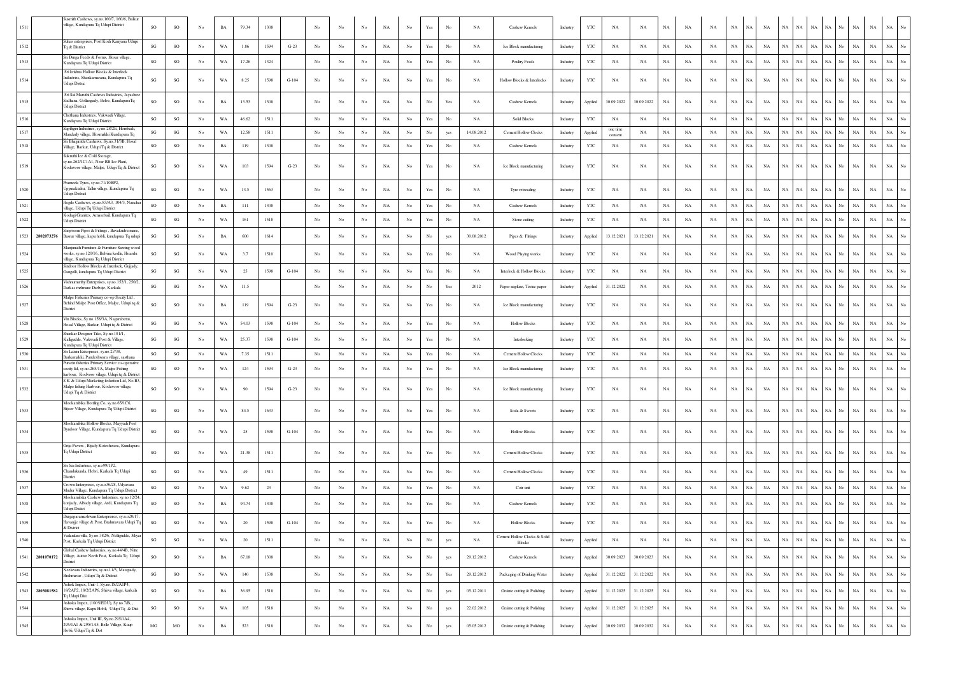| 1511               | smith Cashews, sy.no.160/7, 160/6, Balku<br>village, Kundapura Tq Udupi District                                                        | SO                     | SO                     | No               | BA          | 79.34   | 1308 |         |             |                  |             | NA          | No               | Yes                  |                                                                                       | NA         | Cashew Kernels                                | Industry | YTC          | NA                  | NA         | NA          | NA          | NA          | $_{\rm NA}$<br>NA          | NA          | NA          | NA          | <b>NA</b>   |                                                | $_{\rm NA}$ | NA                         |
|--------------------|-----------------------------------------------------------------------------------------------------------------------------------------|------------------------|------------------------|------------------|-------------|---------|------|---------|-------------|------------------|-------------|-------------|------------------|----------------------|---------------------------------------------------------------------------------------|------------|-----------------------------------------------|----------|--------------|---------------------|------------|-------------|-------------|-------------|----------------------------|-------------|-------------|-------------|-------------|------------------------------------------------|-------------|----------------------------|
| 1512               | Suhas enterprises, Post Kodi Kanyana Udupi<br>To & District                                                                             | SG                     | SO                     | $_{\mathrm{No}}$ | WA          | 1.86    | 1594 | $G-23$  | No          | $_{\rm No}$      | No          | $_{\rm NA}$ | $_{\rm No}$      | Yes                  | No                                                                                    | NA         | Ice Block manufacturing                       | Industry | YTC          | NA                  | NA         | $_{\rm NA}$ | NA          | NA          | $_{\rm NA}$<br>NA          | NA          | NA          | NA          | NA          | $_{\rm NA}$<br>No<br>NA                        | $_{\rm NA}$ | $_{\rm NA}$<br>No          |
| 1513               | Sri Durga Feeds & Forms, Hosar village,<br>Kundapura Tq Udupi District                                                                  | SG                     | SO                     | No               | WA          | 17.26   | 1324 |         | $_{\rm No}$ | No               | No          | $_{\rm NA}$ | $_{\rm No}$      | Yes                  | No                                                                                    | NA         | Poultry Feeds                                 | Industry | YTC          | $_{\rm NA}$         | NA         | $_{\rm NA}$ | NA          | NA          | $_{\rm NA}$<br>NA          | NA          | $_{\rm NA}$ | NA          | $_{\rm NA}$ | $_{\rm NA}$<br>$_{\rm NA}$<br>No               | $_{\rm NA}$ | $_{\rm NA}$                |
| 1514               | Sri krishna Hollow Blocks & Interlock<br>Industries, Shankarnarana, Kundapura Tq<br>Udupi Distric                                       | SG                     | $\mathbf{S}\mathbf{G}$ | No               | WA          | 8.25    | 1598 | $G-104$ | No          | No               | No          | NA          | $_{\rm No}$      | Yes                  | No                                                                                    | NA         | Hollow Blocks & Interlocks                    | Industry | YTC          | NA                  | NA         | $_{\rm NA}$ | NA          | NA          | $_{\rm NA}$<br>NA          | NA          | NA          | NA          | NA          | NA<br>NA<br>No                                 | $_{\rm NA}$ | $_{\rm NA}$                |
| 1515               | Sri Sai Maruthi Cashews Industries, Javashro<br>Sadhana, Gollangady, Belve, KundapuraTq<br>Jdupi District                               | <b>SO</b>              | SO                     | No               | <b>BA</b>   | 13.53   | 1308 |         | No          | No               |             | NA          | No               | No                   | Yes                                                                                   | NA         | Cashew Kernels                                | Industry | Applied      | 30.09.2022          | 30.09.2022 | NA          | NA          | NA          | NA<br>NA                   | NA          | NA          | NA          | <b>NA</b>   | <b>NA</b><br>No<br><b>NA</b>                   | $_{\rm NA}$ | $_{\rm NA}$                |
| 1516               | Chethana Industries, Vakwadi Village,<br>Kundapura Tq Udupi District                                                                    | SG                     | SG                     | No               | WA          | 46.62   | 1511 |         | No          | No               | No          | NA          | No               | Yes                  | No                                                                                    | NA         | <b>Solid Blocks</b>                           | Industry | YTC          | NA                  | NA         | NA          | NA          | NA          | NA<br>NA                   | NA          | <b>NA</b>   | NA          | NA          | NA<br>No<br>NA                                 | NA          | $_{\rm NA}$                |
| 1517               | Sapthgiri Industries, sy.no.28/2E, Hombadi,<br>Mandady village, Hosmakki Kundapura Tq                                                   | SG                     | SG                     | No               | WA          | 12.58   | 1511 |         | No          | No               | No          | NA          | No               | No                   | yes                                                                                   | 14.08.2012 | <b>Cement Hollow Clocks</b>                   | Industry | Applied      | one time<br>consent | NA         | NA          | NA          | NA          | $_{\rm NA}$<br>NA          | NA          | <b>NA</b>   | NA          | NA          | $_{\rm NA}$<br>No<br><b>NA</b>                 | $_{\rm NA}$ | $_{\rm NA}$                |
| 1518               | Sri Bhagirathi Cashews, Sy.no.31/3B, Hosal<br>Village, Barkur, Udupi Tq & District                                                      | SO                     | SO                     | No               | BA          | 119     | 1308 |         | $_{\rm No}$ | No               | No          | NA          | $_{\mathrm{No}}$ | Yes                  | No                                                                                    | NA         | Cashew Kernels                                | Industry | YTC          | NA                  | NA         | NA          | NA          | NA          | $_{\rm NA}$<br>$_{\rm NA}$ | NA          | NA          | NA          | $\rm NA-NA$ | No.<br>NA                                      | $_{\rm NA}$ | $_{\rm NA}$                |
| 1519               | Sukruthi Ice & Cold Storage<br>sy.no.262/1C1A1, Near RB Ice Plant<br>Kodavoor village, Malpe, Udupi Tq & District                       | SG                     | SO                     | No               | WA          | 103     | 1594 | $G-23$  | No          | No               | No          | NA          | No               | Yes                  | No                                                                                    | <b>NA</b>  | Ice Block manufacturing                       | Industry | YTC          | NA                  | NA         | NA          | NA          | NA          | $_{\rm NA}$<br>NA          | NA          | NA          | NA          | NA          | NA<br>NA<br>No                                 | $_{\rm NA}$ | $_{\rm NA}$<br>No          |
| 1520               | Prameela Tyres, sy.no.71/10BP2,<br>Uppinakudru, Tallur village, Kundapura Tq<br>Jdupi District                                          | SG                     | $\mathbf{S}\mathbf{G}$ | No               | WA          | 13.5    | 1563 |         | No          | No               | No          | NA          | $_{\rm No}$      | $\operatorname{Yes}$ | No                                                                                    | NA         | Tyre retreading                               | Industry | YTC          | $_{\rm NA}$         | NA         | $_{\rm NA}$ | NA          | NA          | $_{\rm NA}$<br>NA          | NA          | NA          | NA          | NA          | $_{\rm NA}$<br>No<br>NA                        | NA          | $_{\rm NA}$                |
| 1521               | Hegde Cashews, sy.no.83/A3, 104/3, Nanch<br>illage, Udupi Tq Udupi District                                                             | SO                     | $_{\rm SO}$            | No               | $_{\rm BA}$ | 111     | 1308 |         | $_{\rm No}$ | No               | No          | NA          | No               | $\operatorname{Yes}$ | No                                                                                    | NA         | Cashew Kernels                                | Industry | $_{\rm YTC}$ | NA                  | NA         | $_{\rm NA}$ | NA          | $_{\rm NA}$ | $_{\rm NA}$<br>NA          | NA          | NA          | NA          | NA          | NA<br>NA<br>No                                 | $_{\rm NA}$ | $_{\rm NA}$                |
| 1522               | Kodagi Granites, Amasebail, Kundapura Tq<br>Jdupi District                                                                              | SG                     | $\mathbf{SG}$          | No               | WA          | 161     | 1518 |         | No          | No               | No          | NA          | No               | Yes                  | No                                                                                    | NA         | Stone cutting                                 | Industry | YTC          | $_{\rm NA}$         | NA         | NA          | NA          | $_{\rm NA}$ | NA<br>NA                   | NA          | NA          | NA          | NA          | NA<br>No<br>NA                                 | $_{\rm NA}$ | $_{\rm NA}$                |
| 1523<br>2802073276 | Sanjiveeni Pipes & Fittings, Bavakudru mana<br>Basrur village, kapu hobli, kundapura Tq udupi                                           | SG                     | SG                     | No               | <b>BA</b>   | 600     | 1614 |         | $_{\rm No}$ | No               | No          | NA          | No               | No                   | yes                                                                                   | 30.08.2012 | Pipes & Fittings                              | Industry | Applied      | 13.12.2021          | 13.12.2021 | NA          | NA          | NA          | $_{\rm NA}$<br>NA          | NA          | NA          | NA          | NA          | $_{\rm NA}$<br>NA<br>No                        | $_{\rm NA}$ | $_{\rm NA}$                |
| 1524               | Manjunath Furniture & Furniture Sawing woo<br>works, sy.no, 120/16, Belvina kodlu, Hoasdu<br>village, Kundapura Tq Udupi District       | SG                     | $\mathbf{S}\mathbf{G}$ | No               | WA          | 3.7     | 1510 |         | No          | No               | No          | NA          | No               | $\operatorname{Yes}$ | No                                                                                    | NA         | Wood Playing works                            | Industry | YTC          | NA                  | NA         | $_{\rm NA}$ | NA          | NA          | $_{\rm NA}$<br>NA          | NA          | NA          | NA          | NA          | $_{\rm NA}$<br>NA<br>No                        | $_{\rm NA}$ | $_{\rm NA}$                |
| 1525               | Sindoor Hollow Blocks & Interlock, Gujjady<br>Gangolli, kundapura Tq Udupi District                                                     | SG                     | $\mathbf{S}\mathbf{G}$ | $_{\mathrm{No}}$ | WA          | 25      | 1598 | $G-104$ | No          | No               | No          | $_{\rm NA}$ | $_{\rm No}$      | $\operatorname{Yes}$ | No                                                                                    | NA         | Interlock & Hollow Blocks                     | Industry | YTC          | $_{\rm NA}$         | NA         | $_{\rm NA}$ | $_{\rm NA}$ | NA          | $_{\rm NA}$<br>NA          | NA          | NA          | NA          | $_{\rm NA}$ | $_{\rm NA}$<br>No<br>$_{\rm NA}$               | $_{\rm NA}$ | $_{\rm NA}$                |
| 1526               | Vishnumurthy Enterprises, sy.no.152/1, 250/2<br>Darkas melmane Darbuje, Karkala                                                         | SG                     | $\mathbf{S}\mathbf{G}$ | No               | WA          | 11.5    |      |         | $_{\rm No}$ | $_{\rm No}$      | $_{\rm No}$ | NA          | $_{\rm No}$      | No                   | Yes                                                                                   | 2012       | Paper napkins, Tissue paper                   | Industry | Applied      | 31.12.2022          | NA         | $_{\rm NA}$ | NA          | NA          | NA<br>NA                   | NA          | $_{\rm NA}$ | NA          | $_{\rm NA}$ | $_{\rm NA}$<br>$_{\rm NA}$                     | $_{\rm NA}$ | $_{\rm NA}$                |
| 1527               | Malpe Fisheries Primary co-op Socity Ltd,<br>Behind Malpe Post Office, Malpe, Udupi tq &<br>District                                    | SG                     | SO                     | No               | BA          | 119     | 1594 | $G-23$  | No          | No               | No          | NA          | $_{\rm No}$      | Yes                  | No                                                                                    | NA         | Ice Block manufacturing                       | Industry | YTC          | $_{\rm NA}$         | NA         | $_{\rm NA}$ | NA          | NA          | $_{\rm NA}$<br>$_{\rm NA}$ | NA          | NA          | NA          | NA          | $_{\rm NA}$<br>$_{\rm No}$<br>NA               | NA          | NA                         |
| 1528               | Vin Blocks, Sy.no.158/3A, Nagarabettu,<br>Hosal Village, Barkur, Udupi tq & District                                                    | SG                     | $\mathbf{S}\mathbf{G}$ | No               | WA          | 54.03   | 1598 | $G-104$ | $_{\rm No}$ | No               | No          | NA          | No               | Yes                  | No                                                                                    | NA         | <b>Hollow Blocks</b>                          | Industry | YTC          | $_{\rm NA}$         | NA         | NA          | NA          | $_{\rm NA}$ | NA<br>NA                   | NA          | <b>NA</b>   | NA          | NA          | <b>NA</b><br>No<br>NA                          | $_{\rm NA}$ | $_{\rm NA}$                |
| 1529               | Shankar Designer Tiles, Sy.no.181/1,<br>Kalligudde, Vakwadi Post & Village,<br>Kundapura Tq Udupi District                              | SG                     | $\mathbf{S}\mathbf{G}$ | $_{\mathrm{No}}$ | WA          | 25.37   | 1598 | $G-104$ | No          | No               | No          | NA          | $_{\rm No}$      | Yes                  | No                                                                                    | NA         | Interlocking                                  | Industry | YTC          | $_{\rm NA}$         | NA         | $_{\rm NA}$ | NA          | NA          | $_{\rm NA}$<br>NA          | NA          | NA          | NA          | NA          | NA<br><b>NA</b>                                | $_{\rm NA}$ | $_{\rm NA}$                |
| 1530               | Sri Laxmi Enterprises, sy.no.27/38,<br>Barkamakki, Pandeshwara village, sasthana                                                        | SG                     | $\mathbf{SG}$          | No               | WA          | 7.35    | 1511 |         | $_{\rm No}$ | No               | No          | $_{\rm NA}$ | $_{\rm No}$      | Yes                  | No                                                                                    | NA         | Cement Hollow Clocks                          | Industry | YTC          | $_{\rm NA}$         | NA         | $_{\rm NA}$ | $_{\rm NA}$ | NA          | $_{\rm NA}$<br>$_{\rm NA}$ | NA          | $_{\rm NA}$ | NA          | NA          | NA<br>No<br>NA                                 | $_{\rm NA}$ | NA                         |
| 1531               | Pursein fisheries Primary Service co-operativ<br>socity ltd, sy.no.265/1A, Malpe Fishing<br>rbour, Kodvoor village, Udupi tq & District | SG                     | SO                     | No               | WA          | 124     | 1594 | $G-23$  | No          | No               | No          | NA          | No               | Yes                  | No                                                                                    | NA         | Ice Block manufacturing                       | Industry | YTC          | NA                  | NA         | NA          | NA          | NA          | $_{\rm NA}$<br>NA          | NA          | NA          | NA          | NA          | $_{\rm NA}$<br>NA<br>No                        | $_{\rm NA}$ | $_{\rm NA}$                |
| 1532               | S K & Udupi Marketing fedartion Ltd, No.B.<br>Malpe fishing Harbour, Kodavoor village,<br>Udupi Tq & District                           | SG                     | SO                     | No               | WA          | 90      | 1594 | $G-23$  | No          | No               | No          | NA          | No               | Yes                  | No                                                                                    | NA         | Ice Block manufacturing                       | Industry | $_{\rm YTC}$ | NA                  | NA         | NA          | NA          | NA          | $_{\rm NA}$<br>NA.         | NA          | NA          | NA          | NA          | NA<br><b>NA</b><br>No                          | $_{\rm NA}$ | NA                         |
| 1533               | Mookambika Bottling Co, sy.no.65/1C6,<br>Bijoor Village, Kundapura Tq Udupi District                                                    | SG                     | $\mathbf{S}\mathbf{G}$ | No               | WA          | 84.5    | 1633 |         | No          | No               | No          | NA          | No               | Yes                  | No                                                                                    | NA         | Soda & Sweets                                 | Industry | YTC          | $_{\rm NA}$         | NA         | $_{\rm NA}$ | NA          | NA          | $_{\rm NA}$<br>NA          | NA          | $_{\rm NA}$ | NA          | $_{\rm NA}$ | $_{\rm NA}$<br>NA<br>No                        | NA          | NA                         |
| 1534               | Mookambika Hollow Blocks, Mayyadi Post<br>Byndoor Village, Kundapura Tq Udupi District                                                  | SG                     | $\mathbf{S}\mathbf{G}$ | No               | WA          | 25      | 1598 | $G-104$ | No          | No               | No          | NA          | No               | Yes                  | No                                                                                    | <b>NA</b>  | <b>Hollow Blocks</b>                          | Industry | YTC          | NA                  | NA         | $_{\rm NA}$ | NA          | NA          | $_{\rm NA}$<br>NA          | NA          | NA          | NA          | NA          | NA<br>No<br><b>NA</b>                          | $_{\rm NA}$ | NA                         |
| 1535               | Grija Pavers, Bijady Koteshwara, Kundapura<br>Tq Udupi District                                                                         | SG                     | $\mathbf{S}\mathbf{G}$ | No               | WA          | 21.38   | 1511 |         | No          | No               | No          | NA          | No               | $\operatorname{Yes}$ | No                                                                                    | NA         | Cement Hollow Clocks                          | Industry | YTC          | NA                  | NA         | NA          | NA          | NA          | $_{\rm NA}$<br>NA          | NA          | NA          | NA          | NA          | NA<br>No<br><b>NA</b>                          | $_{\rm NA}$ | $_{\rm NA}$                |
| 1536               | Sri Sai Industries, sv.n.o99/1P2.<br>Chandukunda, Hebri, Karkala Tq Udupi<br>strict                                                     | SG                     | $\mathbf{S}\mathbf{G}$ | No               | WA          | 49      | 1511 |         | No          | No               | No          | NA          | No               | Yes                  | No                                                                                    | NA         | <b>Cement Hollow Clocks</b>                   | Industry | YTC          | NA                  | NA         | $_{\rm NA}$ | NA          | NA          | $_{\rm NA}$<br>NA          | NA          | $_{\rm NA}$ | NA          | $_{\rm NA}$ | $_{\rm NA}$<br>NA<br>No                        | NA          | $_{\rm NA}$                |
| 1537               | Crown Enterprises, sy.n.o36/28, Udyavara<br>Mudur Village, Kundapura Tq Udupi District                                                  | SG                     | $\mathbf{S}\mathbf{G}$ | No               | WA          | 9.62    | 23   |         | No          | No               | No          | NA          | No               | $\operatorname{Yes}$ | No                                                                                    | <b>NA</b>  | Coir unit                                     | Industry | YTC          | NA                  | NA         | $_{\rm NA}$ | NA          | NA          | $_{\rm NA}$<br>NA          | NA          | NA          | NA          | NA          | NA<br>NA<br>No                                 | $_{\rm NA}$ | $_{\rm NA}$<br>No          |
| 1538               | Mookambika Cashew Industries, sy.no.12/24<br>konjady, Albady village, Ardi, Kundapura Tq<br><b>Udupi Distict</b>                        | <b>SO</b>              | SO                     | No               | BA          | 94.74   | 1308 |         | No          | No               | No          | NA          | No               | Yes                  |                                                                                       | NA         | Cashew Kernels                                | Industry | YTC          | NA                  | NA         | NA          | NA          | NA          | $_{\rm NA}$<br>NA          | NA          | <b>NA</b>   | NA.         | NA          | NA<br><b>NA</b>                                | $_{\rm NA}$ | NA                         |
| 1539               | Durgaparameshwari Enterprisres, sy.n.o20/17<br>Havanjje village & Post, Brahmavara Udupi Tq<br>& District                               | SG                     | SG                     |                  |             |         |      |         |             |                  |             |             |                  |                      |                                                                                       |            | <b>Hollow Blocks</b>                          | Industry | <b>YTC</b>   |                     |            |             |             |             |                            |             |             |             |             |                                                |             |                            |
| 1540               | Vailankini villa, Sy.no.382/6, Nelligudde, Miya<br>Post, Karkala Tq Udupi District                                                      | $\mathbf{S}\mathbf{G}$ | $\mathbf{S}\mathbf{G}$ | $_{\mathrm{No}}$ | WA          | 20      | 1511 |         | $_{\rm No}$ | $_{\rm No}$      | $_{\rm No}$ | $_{\rm NA}$ | $_{\mathrm{No}}$ | No                   | yes                                                                                   | NA         | Cement Hollow Clocks & Solid<br><b>Blocks</b> | Industry | Applied      | NA                  | NA         | $_{\rm NA}$ | NA          | NA          | $_{\rm NA}$<br>NA          | NA          | NA          | $_{\rm NA}$ | NA          | NA<br>$_{\rm No}$<br>NA                        | $_{\rm NA}$ | $_{\rm NA}$<br>$_{\rm No}$ |
| 1541<br>2801070172 | Global Cashew Industries, sy.no.44/4B, Nitte<br>Village, Auttur North Post, Karkala Tq Udupi<br>istrict                                 | SO                     | $_{\rm SO}$            | No               | $_{\rm BA}$ | 67.18   | 1308 |         | $_{\rm No}$ | $_{\mathrm{No}}$ | $_{\rm No}$ | NA          | $_{\rm No}$      | $_{\mathrm{No}}$     | yes                                                                                   | 29.12.2012 | Cashew Kernels                                | Industry | Applied      | 30.09.2023          | 30.09.2023 | $_{\rm NA}$ | NA          | NA          | $_{\rm NA}$<br>$_{\rm NA}$ | NA          | NA          | NA          | $_{\rm NA}$ | $_{\rm NA}$<br>$_{\mathrm{No}}$<br>$_{\rm NA}$ | $_{\rm NA}$ | $_{\rm NA}$<br>No.         |
| 1542               | Neelavara Industries, sy.no.11/3, Matapady,<br>Brahmavar, Udupi Tq & District                                                           | $\mathbf{S}\mathbf{G}$ | $_{\rm SO}$            | $_{\rm No}$      | WA          | 140     | 1538 |         | $_{\rm No}$ | $_{\mathrm{No}}$ | No          | $_{\rm NA}$ | $_{\mathrm{No}}$ | $_{\mathrm{No}}$     | $\operatorname*{Yes}% \left( X\right) \equiv\operatorname*{Yes}(\mathbb{R}^{3}\left)$ | 29.12.2012 | Packaging of Drinking Water                   | Industry | Applied      | 31.12.2022          | 31.12.2022 | $_{\rm NA}$ | $_{\rm NA}$ | $_{\rm NA}$ | $_{\rm NA}$<br>$_{\rm NA}$ | NA          | NA          | NA          | NA          | NA<br>$_{\rm NA}$<br>No                        | $_{\rm NA}$ | $_{\rm NA}$<br>No.         |
| 1543<br>2803081582 | Ashok Impex, Unit-1, Sy.no.18/2A1P4,<br>18/2AP2, 18/2/2AP6, Shirva village, karkala<br>Fq Udupi Dist                                    | SG                     | $\rm SO$               | No               | $_{\rm BA}$ | 36.95   | 1518 |         | $_{\rm No}$ | $_{\rm No}$      | $_{\rm No}$ | NA          | $_{\rm No}$      | No                   | yes                                                                                   | 05.12.2011 | Grainte cutting & Polishing                   | Industry | Applied      | 31.12.2025          | 31.12.2025 | $_{\rm NA}$ | NA          | NA          | NA<br>NA                   | NA          | NA          | NA          | $_{\rm NA}$ | $_{\rm NA}$<br>No<br>$_{\rm NA}$               | $_{\rm NA}$ | $_{\rm NA}$<br>No.         |
| 1544               | Ashoka Impex, (100%EOU), Sy.no.7/B, ,<br>Shirva village, Kapu Hobli, Udupi Tq & Dist                                                    | $\mathbf{S}\mathbf{G}$ | SO                     | $_{\rm No}$      | WA          | 105     | 1518 |         | No          | $_{\rm No}$      | No          | $_{\rm NA}$ | $_{\mathrm{No}}$ | No                   | yes                                                                                   | 22.02.2012 | Grainte cutting & Polishing                   | Industry | Applied      | 31.12.2025          | 31.12.2025 | $_{\rm NA}$ | NA          | $_{\rm NA}$ | $_{\rm NA}$<br>NA          | NA          | NA          | NA          | NA          | NA<br>$_{\rm No}$<br>NA                        | $_{\rm NA}$ | $_{\rm NA}$<br>No          |
| 1545               | Ashoka Impex, Unit III, Sy.no.295/1A4,<br>295/1A1 & 295/1A5, Belle Village, Kaup<br>Hobli, Udupi Tq & Dist                              | $_{\rm MG}$            | $_{\rm MO}$            | No               | $_{\rm BA}$ | $523\,$ | 1518 |         | $_{\rm No}$ | $_{\mathrm{No}}$ | No          | $_{\rm NA}$ | $_{\mathrm{No}}$ | $_{\mathrm{No}}$     | yes                                                                                   | 05.05.2012 | Grainte cutting & Polishing                   | Industry | Applied      | 30.09.2032          | 30.09.2032 | $_{\rm NA}$ | $_{\rm NA}$ | $_{\rm NA}$ | $_{\rm NA}$<br>NA          | $_{\rm NA}$ | $_{\rm NA}$ | $_{\rm NA}$ | NA          | $_{\rm NA}$<br>No<br>NA                        | $_{\rm NA}$ | $_{\rm NA}$<br>No.         |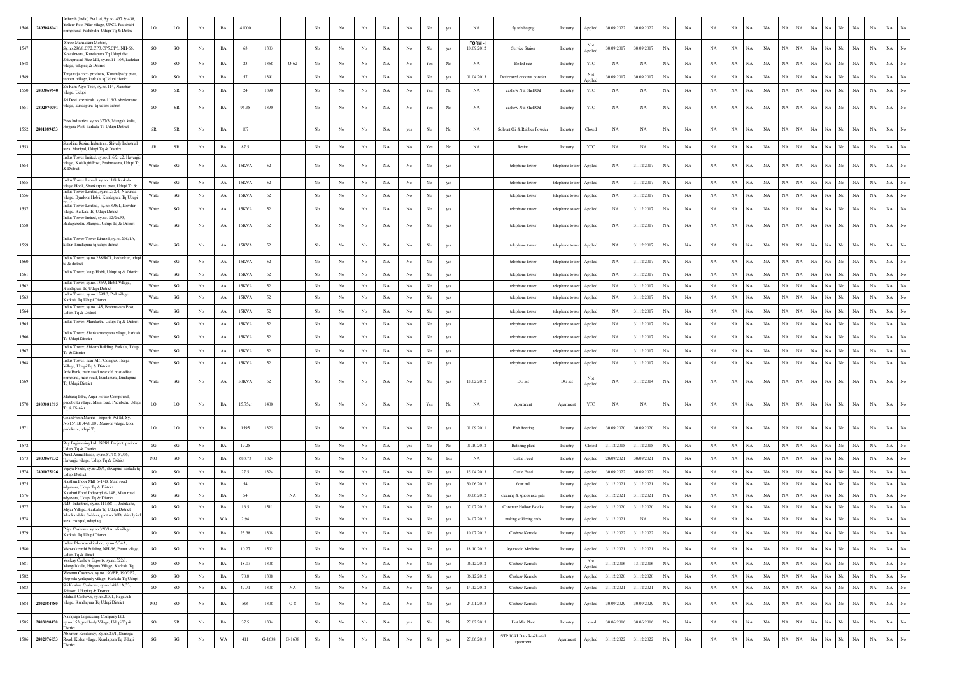| 1546         | Ashtech (Indai) Pvt Ltd. Sv.no. 437 & 438.<br>elleur Post Pillar village, UPCL Padubidri<br>2803088041<br>mpound, Padubidri, Udupi Tq & Distric | LO                           | LO <sub>1</sub>              | No               | BA                | 41000        |          |             | No          | No          | No          | NA                | No               | No                                                                                    | yes         | NA                       | fly ash baging                                  | Industry             | Applied               | 30.09.2022               | 30.09.2022              | NA              | NA          | NA          | $_{\rm NA}$<br>NA                      | NA          | NA                | NA<br>NA                         | NA             | No                              | $_{\rm NA}$<br>NA             | $_{\rm NA}$                | No               |
|--------------|-------------------------------------------------------------------------------------------------------------------------------------------------|------------------------------|------------------------------|------------------|-------------------|--------------|----------|-------------|-------------|-------------|-------------|-------------------|------------------|---------------------------------------------------------------------------------------|-------------|--------------------------|-------------------------------------------------|----------------------|-----------------------|--------------------------|-------------------------|-----------------|-------------|-------------|----------------------------------------|-------------|-------------------|----------------------------------|----------------|---------------------------------|-------------------------------|----------------------------|------------------|
| 1547         | Shree Mahalaxmi Motors,<br>Sy no 296/8 CP2 CP3 CP5 CP6 NH-66<br>oteshwara, Kundapura Tq Udupi dist                                              | SO                           | SO                           | No               | BA                | 63           | 1303     |             | No          | No          | No          | NA                | No               | No                                                                                    |             | FORM-<br>10.09.2012      | Service Staion                                  | Industry             | Applied               | 30.09.2017               | 30.09.2017              | NA              | NA          | NA          | NA<br>NA                               | NA          | NA                | NA<br>NA                         | NA             | No<br>NA                        | NA                            | NA                         | No               |
| 1548         | Shivaprasad Rice Mill, sy.no.11-103, kadekar<br>village, udupi q & District                                                                     | SO                           | SO                           | No               | BA                | 23           | 1358     | $O-62$      | No          | No          | No          | NA                | No               | $\operatorname{Yes}$                                                                  | No          | NA                       | Boiled rice                                     | Industry             | YTC                   | NA                       | NA                      | NA              | NA          | NA          | $_{\rm NA}$<br>NA                      | NA          | NA                | $_{\rm NA}$<br>NA                | NA             | No<br>NA                        | NA                            | NA                         | No               |
| 1549         | Fenguraja coco products, Kunthalpady post.<br>moor village, karkala tqUdupi district                                                            | <sub>SO</sub>                | SO                           | No               | $_{\rm BA}$       | 57           | 1391     |             | No          | No          | No          | NA                | No               | No                                                                                    | yes         | 01.04.2013               | Desiccated coconut powder                       | Industry             | Not<br>Applied        | 30.09.2017               | 30.09.2017              | NA              | NA          | NA          | NA<br>NA                               | NA          | NA                | NA<br>NA                         | NA             | No                              | NA<br>NA                      | NA                         | No               |
| 1550         | ri Ram Agro Tech, sy.no.114, Nanchar<br>2803069640<br>llage, Udupi                                                                              | SO                           | SR                           | $_{\mathrm{No}}$ | $_{\rm BA}$       | 24           | 1390     |             | No          | No          | $_{\rm No}$ | NA                | $_{\rm No}$      | Yes                                                                                   | No          | NA                       | cashew Nut Shell Oil                            | Industry             | YTC                   | $_{\rm NA}$              | NA                      | $_{\rm NA}$     | NA          | NA          | $_{\rm NA}$<br>NA                      | NA          | NA                | NA<br>NA                         | NA             | No                              | NA<br>$_{\rm NA}$             | $_{\rm NA}$                |                  |
|              | ri Devi chemicals, sy.no.116/3, shedemane<br>rillage, kundapura tq udupi district<br>1551 2802070791                                            | SO                           | SR                           | No               | BA                | 96.95        | 1390     |             | No          | No          | $_{\rm No}$ | NA                | No               | Yes                                                                                   | No          | NA                       | cashew Nut Shell Oil                            | Industry             | YTC                   | NA                       | NA                      | $_{\rm NA}$     | NA          | NA          | $_{\rm NA}$<br>NA                      | NA          | NA                | NA<br>$_{\rm NA}$                | NA             | No                              | NA<br>$_{\rm NA}$             | $_{\rm NA}$                | No               |
|              | Pass Industries, sy.no.377/3, Mangala kallu,<br>Iirgana Post, karkala Tq Udupi District<br>1552 2801089453                                      | SR                           | SR                           | No               | $_{\rm BA}$       | 107          |          |             | No          | No          | No          | NA                | yes              | No                                                                                    | No          | NA                       | Solvent Oil & Rubber Powder                     | Industry             | Closed                | NA                       | NA                      | $_{\rm NA}$     | NA          | NA          | $_{\rm NA}$<br>$_{\rm NA}$             | NA          | $_{\rm NA}$       | NA<br>NA                         | NA             | No<br>NA                        | NA                            | $_{\rm NA}$                |                  |
| 1553         | Sunshine Resine Industries, Shivally Industrial<br>irea, Manipal, Udupi Tq & District                                                           | ${\rm SR}$                   | SR                           | No               | BA                | 87.5         |          |             | No          | No          | No          | NA                | No               | $\operatorname*{Yes}% \left( X\right) \equiv\operatorname*{Yes}(\mathbb{R}^{3}\left)$ | No          | NA                       | Resine                                          | Industry             | YTC                   | NA                       | NA                      | NA              | NA          | NA          | $_{\rm NA}$<br>$_{\rm NA}$             | NA          | NA                | NA<br>NA                         | NA             | No                              | $_{\rm NA}$<br>NA             | $_{\rm NA}$                | $_{\rm No}$      |
| 1554         | ndus Tower limited, sy.no.116/2, c2, Havanjj<br>illage, Kolalagiri Post, Brahmavara, Udupi Tq<br>& District                                     | White                        | SG                           | No               | AA                | 15KVA        | 52       |             | No          | No          | No          | NA                | No               | No                                                                                    | yes         |                          | telephone tower                                 | elephone towe        | Applied               | NA                       | 31.12.2017              | NA              | NA          | NA          | $_{\rm NA}$<br>NA                      | NA          | NA                | $_{\rm NA}$<br>NA                | NA             | No<br>NA                        | NA                            | <b>NA</b>                  | No               |
| 1555         | indus Tower Limted, sy.no.11/8, karkala<br>illage Hobli, Shankarpura post, Udupi Tq &                                                           | White                        | SG                           | No               | AA                | 15KVA        | 52       |             | No          | No          | No          | NA                | No               | No                                                                                    | yes         |                          | telephone tower                                 | elephone tov         | Applied               | NA                       | 31.12.2017              | NA              | NA          | NA          | NA<br>NA                               | NA          | NA                | $_{\rm NA}$<br>NA                | NA             | No<br>NA                        | $_{\rm NA}$                   | $_{\rm NA}$                | No               |
| 1556         | ndus Tower Limited, sy.no.232/4, Navunda<br>illage, Byndoor Hobli, Kundapura Tq Udup                                                            | White                        | SG                           | $_{\mathrm{No}}$ | ${\rm AA}$        | 15KVA        | 52       |             | No          | No          | No          | NA                | $_{\rm No}$      | No                                                                                    | yes         |                          | telephone tower                                 | telephone tow        | Applied               | NA                       | 31.12.2017              | $_{\rm NA}$     | $_{\rm NA}$ | $_{\rm NA}$ | $_{\rm NA}$<br>NA                      | NA          | NA                | $_{\rm NA}$<br>NA                | NA             | No<br><b>NA</b>                 | $_{\rm NA}$                   | $_{\rm NA}$                | No               |
| 1557         | dus Tower Limited, sy.no.398/1, kowdur                                                                                                          | White                        | SG                           | No               | AA                | 15KVA        | 52       |             | No          | No          | No          | NA                | No               | No                                                                                    | yes         |                          | telephone tower                                 | telephone towe       | Applied               | NA                       | 31.12.2017              | NA              | NA          | NA          | NA<br>NA                               | $_{\rm NA}$ | NA                | NA                               | $\rm NA-NA-No$ |                                 | NA<br>$_{\rm NA}$             | $_{\rm NA}$                | $_{\rm No}$      |
| 1558         | llage, Karkala Tq Udupi District<br>ndus Tower limited, sy.no. 82/2AP3<br>kadagabettu, Manipal, Udupi Tq & District                             | White                        | SG                           | No               | AA                | 15KVA        | 52       |             | No          | No          | No          | NA                | No               | No                                                                                    | yes         |                          | telephone tower                                 | telephone tower      | Applied               | NA                       | 31.12.2017              | NA              | NA          | NA          | $_{\rm NA}$<br>NA                      | NA          | NA                | NA<br>NA                         | NA             | NA<br>No                        | $_{\rm NA}$                   | $_{\rm NA}$                |                  |
| 1559         | indus Tower Tower Limited, sv.no.208/1A.<br>collur, kundapura tq udupi district                                                                 | White                        | SG                           | No               | AA                | 15KVA        | 52       |             | No          | No          | No          | NA                | N <sub>0</sub>   | No                                                                                    | yes         |                          | telephone tower                                 | telephone towe       | Applied               | NA                       | 31.12.2017              | NA              | NA          | NA          | $_{\rm NA}$<br>NA.                     | NA          | <b>NA</b>         | NA<br>NA                         | NA             | <b>NA</b><br>No                 | NA                            | NA                         | No               |
| 1560         | Indus Tower, sy.no.238/RC1, kodankur, udupi<br>tq & district                                                                                    | White                        | SG                           | No               | ${\rm AA}$        | 15KVA        | 52       |             | $_{\rm No}$ | $_{\rm No}$ | $_{\rm No}$ | NA                | $_{\rm No}$      | No                                                                                    | yes         |                          | telephone tower                                 | telephone towe       | Applied               | $_{\rm NA}$              | 31.12.2017              | $_{\rm NA}$     | NA          | NA          | $_{\rm NA}$<br>NA                      | NA          | NA                | NA<br>NA                         | NA             | No<br><b>NA</b>                 | $_{\rm NA}$                   | $_{\rm NA}$                | $_{\rm No}$      |
| 1561         | ndus Tower, kaup Hobli, Udupi tq & District                                                                                                     | White                        | SG                           | No               | AA                | 15KVA        | 52       |             | No          | No          | No          | NA                | No               | No                                                                                    | yes         |                          | telephone tower                                 | telephone tow        | Applied               | <b>NA</b>                | 31.12.2017              | NA              | NA          | NA          | NA<br>NA                               | NA          | NA                | $_{\rm NA}$<br>NA                | NA             | $_{\mathrm{No}}$                | NA<br>NA                      | $_{\rm NA}$                | No               |
| 1562         | ndus Tower, sy.no.136/9, Hobli Village,<br>undapura Tq Udupi District                                                                           | White                        | SG                           | No               | AA                | 15KVA        | 52       |             | No          | No          | No          | $_{\rm NA}$       | No               | $_{\rm No}$                                                                           | yes         |                          | telephone tower                                 | telephone towe       | Applied               | NA                       | 31.12.2017              | NA              | NA          | $_{\rm NA}$ | $_{\rm NA}$<br>NA                      | NA          | $_{\rm NA}$       | $_{\rm NA}$<br>NA                | NA             | No                              | NA<br>NA                      | $_{\rm NA}$                | No               |
| 1563         | dus Tower, sy.no.159/13, Palli village,<br>Karkala Tq Udupi District                                                                            | White                        | SG                           | No               | AA                | 15KVA        | 52       |             | No          | No          | No          | NA                | No               | $_{\rm No}$                                                                           | yes         |                          | telephone tower                                 | telephone tow        | Applied               | NA                       | 31.12.2017              | $_{\rm NA}$     | NA          | NA          | $_{\rm NA}$<br>NA                      | NA          | NA                | $_{\rm NA}$<br>NA                | NA             | No                              | NA<br>NA                      | $_{\rm NA}$                | $_{\rm No}$      |
| 1564         | indus Tower, sy.no 145, Brahmavara Post,<br>Jdupi Tq & District                                                                                 | White                        | SG                           | $_{\mathrm{No}}$ | ${\rm AA}$        | 15KVA        | 52       |             | No          | No          | $_{\rm No}$ | NA                | $_{\rm No}$      | $_{\rm No}$                                                                           | yes         |                          | telephone tower                                 | telephone tow        | Applied               | NA                       | 31.12.2017              | $_{\rm NA}$     | $_{\rm NA}$ | $_{\rm NA}$ | $_{\rm NA}$<br>NA                      | NA          | NA                | $_{\rm NA}$<br>NA                | NA             | No                              | NA<br>$_{\rm NA}$             | $_{\rm NA}$                | No               |
| 1565         | Indus Tower, Mandarthi, Udupi To & District                                                                                                     | White                        | SG                           | No               | AA                | 15KVA        | 52       |             | No          | No          | No          | NA                | No               | $_{\rm No}$                                                                           | yes         |                          | telephone tower                                 | telephone tow        | Applied               | NA                       | 31.12.2017              | NA              | NA          | NA          | NA<br>NA                               | NA          | NA                | NA<br>NA                         | NA No          |                                 | NA<br>$_{\rm NA}$             | $_{\rm NA}$                | No               |
| 1566         | Indus Tower, Shankamarayana village, karkala<br><b>Fq Udupi District</b>                                                                        | White                        | SG                           | No               | ${\rm AA}$        | 15KVA        | 52       |             | No          | No          | $_{\rm No}$ | NA                | $_{\rm No}$      | No                                                                                    | yes         |                          | telephone tower                                 | elephone tow         | Applied               | $_{\rm NA}$              | 31.12.2017              | $_{\rm NA}$     | NA          | $_{\rm NA}$ | $_{\rm NA}$<br><b>NA</b>               | NA          | NA                | NA<br>$_{\rm NA}$                | NA             | $_{\rm NA}$<br>No               | $_{\rm NA}$                   | NA                         | No               |
| 1567         | ndus Tower, Shivam Building, Parkala, Udupi<br>Ta & District                                                                                    | White                        | SG                           | No               | AA                | 15KVA        | 52       |             | No          | No          | No          | NA                | No               | No                                                                                    | yes         |                          | telephone tower                                 | elephone towe        | Applied               | <b>NA</b>                | 31.12.2017              | <b>NA</b>       | NA          | NA          | $_{\rm NA}$<br>NA                      | NA          | NA                | NA<br>NA                         | NA             | No<br>NA                        | NA                            | NA                         | No               |
| 1568         | adus Tower, near MIT Compus, Herga<br>Village, Udupi Tq & District                                                                              | White                        | SG                           | No               | AA                | 15KVA        | 52       |             | No          | No          | No          | NA                | No               | No                                                                                    | yes         |                          | telephone tower                                 | elephone tow         | Applied               | NA                       | 31.12.2017              | NA              | NA          | NA          | NA<br>NA                               | NA          | $_{\rm NA}$       | $_{\rm NA}$<br>NA                | NA             | $_{\mathrm{No}}$<br>$_{\rm NA}$ | $_{\rm NA}$                   | $_{\rm NA}$                | No               |
| 1569         | Axis Bank, main road near old post office<br>ompund, main road, kundapura, kundapura<br>l'q Udupi District                                      | White                        | SG                           | No               | AA                | 50KVA        | 52       |             | No          | No          | No          | NA                | No               | No                                                                                    | yes         | 18.02.2012               | DG set                                          | DG set               | Applied               | NA                       | 31.12.2014              | NA              | NA          | NA          | NA<br>NA                               | NA          | NA                | NA<br>NA                         | NA             | NA<br>No                        | $_{\rm NA}$                   | NA                         | No               |
|              | Maharai Infra. Aniar House Compound.<br>adebettu village, Main road, Padubidri, Udupi<br>1570 2803081395<br>q & District                        | LO                           | LO                           | No               | BA                | 15.75cr      | 1400     |             | No          | No          | No          | NA                | No               | Yes                                                                                   | No          | NA                       | Apartment                                       | Apartment            | YTC                   | NA                       | NA                      | NA              | NA          | NA          | $_{\rm NA}$<br>NA                      | NA          | NA                | <b>NA</b><br>NA                  | NA             | No<br>NA                        | <b>NA</b>                     | <b>NA</b>                  |                  |
| 1571         | Goan Fresh Marine Exports Pvt kd, Sy.<br>No:15/1B1,44/8,10, Manoor village, kota                                                                | LO                           | LO                           | No               | BA                | 1595         | 1325     |             | No          | No          | No          | NA                | No               | No                                                                                    | yes         | 01.09.2011               | Fish freezing                                   | Industry             | Applied               | 30.09.2020               | 30.09.2020              | <b>NA</b>       | NA          | NA          | NA<br>NA                               | NA          | NA                | $_{\rm NA}$<br>NA                | NA             | No<br>NA                        | NA                            | NA                         | No               |
|              | padekere, udupi Tq                                                                                                                              |                              |                              |                  |                   |              |          |             |             |             |             |                   |                  |                                                                                       |             |                          |                                                 |                      |                       |                          |                         |                 |             |             |                                        |             |                   |                                  |                |                                 |                               |                            |                  |
| 1572         | Ray Engineering Ltd, ISPRL Project, padoor<br>dupi Tq & District<br>Amul Animal feeds, sy.no.57/18, 57/05,                                      | SG                           | SG                           | No               | $_{\rm BA}$       | 19.25        |          |             | No          | $_{\rm No}$ | No          | NA                | yes              | $_{\rm No}$                                                                           | $_{\rm No}$ | 01.10.2012               | Batching plant                                  | Industry             | Closed                | 31.12.2015               | 31.12.2015              | $_{\rm NA}$     | NA          | NA          | $_{\rm NA}$<br>NA                      | NA          | NA                | $_{\rm NA}$<br>NA                | NA             | No                              | NA<br>NA                      | $_{\rm NA}$                | No               |
|              | 1573 2803067932<br>Havanjje village, Udupi Tq & Dsitrict                                                                                        | MO                           | SO                           | No               | BA                | 683.73       | 1324     |             | No          | No          | No          | NA                | No               | No                                                                                    | Yes         | NA                       | Cattle Feed                                     | Industry             | Applied               | 20/09/2021               | 30/09/2021              | NA              | NA          | NA          | $_{\rm NA}$<br>NA                      | NA          | $_{\rm NA}$       | $_{\rm NA}$<br>NA                | NA             | No<br>NA                        | NA                            | $_{\rm NA}$                | $_{\rm No}$      |
|              | ijaya Feeds, sy.no.25/4, shivapura karkala tq<br>1574 2801075926<br>dupi District                                                               | SO                           | SO                           | No               | BA                | 27.5         | 1324     |             | No          | No          | No          | NA                | No               | No                                                                                    | yes         | 15.04.2013               | Cattle Feed                                     | Industry             | Applied               | 30.09.2022               | 30.09.2022              | NA              | NA          | NA          | $_{\rm NA}$<br>NA                      | NA          | NA                | NA<br>NA                         | NA             | No<br>NA                        | NA                            | $_{\rm NA}$                | No               |
| 1575         | asthuri Floor Mill, 6-14B, Main road<br>Iyavara, Udupi Tq & District<br>Kasthuri Food Industryl, 6-14B, Main road                               | SG                           | SG                           | No               | BA                | 54           |          |             | No          | No          | No          | NA                | No               | No                                                                                    | yes         | 30.06.2012               | flour mill                                      | Industry             | Applied               | 31.12.2021               | 31.12.2021              | <b>NA</b>       | NA          | NA          | NA<br>NA                               | NA          | NA                | NA<br>NA                         | NA No          |                                 | NA<br>NA                      | NA                         | No               |
| 1576         | Iyavara, Udupi Tq & District<br>JMJ Industries, sy.no.111/58-1, Jodukatte,                                                                      | SG                           | SG                           | No               | $_{\rm BA}$       | 54           |          | $_{\rm NA}$ | No          | No          | No          | NA                | No               | $_{\rm No}$                                                                           | yes         | 30.06.2012               | cleaning & spices rice grits                    | Industry             | Applied               | 31.12.2021               | 31.12.2021              | $_{\rm NA}$     | NA          | NA          | $_{\rm NA}$<br>NA                      | NA          | NA                | NA<br>NA                         | NA             | No                              | NA<br>$_{\rm NA}$             | $_{\rm NA}$                | No               |
| 1577<br>1578 | Miyar Village, Karkala Tq Udupi District<br>Mookambika Solders, plot no.30D, shivally ind                                                       | SG<br>$\mathbf{S}\mathbf{G}$ | SG<br>$\mathbf{S}\mathbf{G}$ | No<br>No         | $_{\rm BA}$<br>WA | 16.5<br>2.94 | 1511     |             | No<br>No    | No<br>No    | No<br>No    | $_{\rm NA}$<br>NA | No<br>No         | $_{\rm No}$<br>No                                                                     | yes         | 07.07.2012<br>04.07.2012 | Concrete Hollow Blocks<br>making soldering rods | Industry<br>Industry | Applied               | 31.12.2020<br>31.12.2021 | 31.12.2020<br><b>NA</b> | NA<br><b>NA</b> | NA<br>NA    | NA<br>NA    | $_{\rm NA}$<br>NA<br>$_{\rm NA}$<br>NA | NA<br>NA    | $_{\rm NA}$<br>NA | $_{\rm NA}$<br>NA<br>$_{\rm NA}$ | NA<br>NA NA No | No                              | NA<br>$_{\rm NA}$<br>NA<br>NA | $_{\rm NA}$<br>$_{\rm NA}$ | No<br>No         |
|              | area, manipal, udupi tq<br>Priya Cashews, sy.no.320/1A, alli village,                                                                           |                              |                              |                  |                   |              |          |             |             |             |             |                   |                  |                                                                                       | ves         |                          |                                                 |                      | ${\Large\bf Applied}$ |                          |                         |                 |             |             |                                        |             |                   |                                  |                |                                 |                               |                            |                  |
| 1579         | Karkala Tq Udupi District<br>Indian Pharmacultical co. sv.no.5/34A.                                                                             | SO                           | SO                           | No               | $_{\rm BA}$       | 25.38        | 1308     |             | No          | No          | No          | $_{\rm NA}$       | No               | $_{\rm No}$                                                                           | yes         | 10.07.2012               | Cashew Kernels                                  | Industry             | Applied               | 31.12.2022               | 31.12.2022              | $_{\rm NA}$     | NA          | NA          | $_{\rm NA}$<br>NA                      | NA          | NA                | $_{\rm NA}$<br>NA                | NA             | No                              | $_{\rm NA}$<br>NA             | $_{\rm NA}$                | $_{\rm No}$      |
| 1580         | Vishwakeerthi Building, NH-66, Puttur village,<br>Jdupi Tq & ditrict                                                                            | SG                           | $\mathbf{S}\mathbf{G}$       | No               | $_{\rm BA}$       | 10.27        | 1502     |             | No          | No          | No          | $_{\rm NA}$       | No               | $_{\mathrm{No}}$                                                                      | yes         | 18.10.2012               | Ayurvedic Medicine                              | Industry             | Applied               | 31.12.2021               | 31.12.2021              | $_{\rm NA}$     | NA          | NA          | NA<br>NA                               | NA          | NA                | NA<br>NA                         | NA             | No                              | NA<br>$_{\rm NA}$             | $_{\rm NA}$                | $_{\mathrm{No}}$ |
| 1581         | Veekay Cashew Exports, sy.no.522/1,<br>Mangalakallu, Hirgana Village, Karkala Tq                                                                | SO                           | SO                           | No               | $_{\rm BA}$       | 18.07        | 1308     |             | No          | No          | No          | NA                | No               | $_{\mathrm{No}}$                                                                      | yes         | 06.12.2012               | Cashew Kernels                                  | Industry             | Not<br>Applied        | 31.12.2016               | 13.12.2016              | $_{\rm NA}$     | NA          | NA          | $_{\rm NA}$<br>NA                      | NA          | NA                | $_{\rm NA}$<br>NA                | NA             | $_{\mathrm{No}}$<br>NA          | $_{\rm NA}$                   | $_{\rm NA}$                | $_{\rm No}$      |
| 1582         | /estrun Cashews, sy.no.190/BP, 190/2P2,<br>leppala yerlapady village, Karkala Tq Udupi                                                          | SO                           | $\rm SO$                     | No               | $_{\rm BA}$       | $70.8\,$     | 1308     |             | No          | No          | No          | NA                | No               | $_{\mathrm{No}}$                                                                      | yes         | 06.12.2012               | Cashew Kernels                                  | Industry             | Applied               | 31.12.2020               | 31.12.2020              | $_{\rm NA}$     | NA          | $_{\rm NA}$ | $_{\rm NA}$<br>NA                      | NA          | NA                | $_{\rm NA}$<br>NA                | NA             | No                              | $_{\rm NA}$<br>NA             | $_{\rm NA}$                | $_{\rm No}$      |
| 1583         | ri Krishna Cashews, sy.no.148/-1A,33,<br>Shiroor, Udupi tq & District                                                                           | SO                           | $\rm SO$                     | No               | $_{\rm BA}$       | 47.71        | 1308     | NA          | No          | No          | No          | NA                | No               | $_{\rm No}$                                                                           | yes         | 14.12.2012               | Cashew Kernels                                  | Industry             | Applied               | 31.12.2021               | 31.12.2021              | NA              | $_{\rm NA}$ | NA          | $_{\rm NA}$<br>$_{\rm NA}$             | NA          | NA                | $_{\rm NA}$<br>NA                | NA             | No                              | NA<br>$_{\rm NA}$             | $_{\rm NA}$                | $_{\rm No}$      |
| 1584         | Malnad Cashews, sy.no.203/1, Hegavalli<br>village, Kundapura Tq Udupi District<br>2802084780                                                    | MO                           | SO                           | No               | $_{\rm BA}$       | 596          | 1308     | $O-8$       | No          | No          | No          | NA                | No               | No                                                                                    | yes         | 24.01.2013               | Cashew Kernels                                  | Industry             | Applied               | 30.09.2029               | 30.09.2029              | $_{\rm NA}$     | NA          | NA          | NA<br>NA                               | NA          | <b>NA</b>         | NA<br>NA                         | NA             | No                              | $_{\rm NA}$<br>NA             | $_{\rm NA}$                | $_{\mathrm{No}}$ |
| 1585         | avayuga Engineering Company Ltd,<br>2803090450<br>y.no.153, yedthady Village, Udupi Tq &<br><b>District</b>                                     | SO                           | ${\sf SR}$                   | No               | $_{\rm BA}$       | 37.5         | 1334     |             | No          | No          | No          | NA                | yes              | $_{\mathrm{No}}$                                                                      | No          | 27.02.2013               | Hot Mix Plant                                   | Industry             | closed                | 30.06.2016               | 30.06.2016              | $_{\rm NA}$     | NA          | NA          | $_{\rm NA}$<br>NA                      | NA          | NA                | $_{\rm NA}$<br>NA                | NA             | No                              | $_{\rm NA}$<br>$_{\rm NA}$    | $_{\rm NA}$                | $_{\mathrm{No}}$ |
| 1586         | Abhimon Residency, Sy.no.27/1, Shimoga<br>2802076653<br>Road, Kollur village, Kundapura Tq Udupi<br><b>District</b>                             | $\mathbf{S}\mathbf{G}$       | $\mathbf{S}\mathbf{G}$       | $_{\mathrm{No}}$ | WA                | 411          | $G-1638$ | $G-1638$    | No          | $_{\rm No}$ | $_{\rm No}$ | $_{\rm NA}$       | $_{\mathrm{No}}$ | $_{\rm No}$                                                                           | yes         | 27.06.2013               | STP 10KLD to Residential<br>apartment           | Apartment            | Applied               | 31.12.2022               | 31.12.2022              | $_{\rm NA}$     | $_{\rm NA}$ | $_{\rm NA}$ | $_{\rm NA}$<br>NA                      | $_{\rm NA}$ | NA                | $_{\rm NA}$<br>$_{\rm NA}$       | NA             | No                              | $_{\rm NA}$<br>NA             | $\rm NA-\,No$              |                  |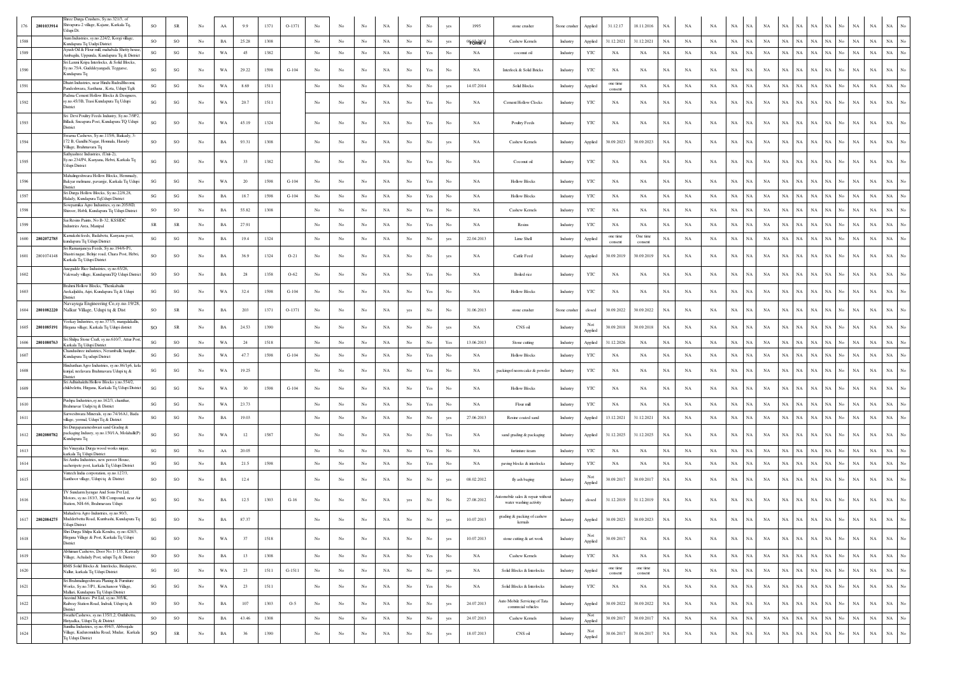| 2801033914         | Shree Durga Crushers, Sy.no.321/3, of<br>Shivapura-2 village, Kajane, Karkala Tq,<br>Udupi Dt.                                   | so                     | SR                     | No             | ${\rm AA}$  | 9.9    | 1371 | O-1371   |                  |                  |                  | NA          | No               | No                                                                                    |             | 1995        | stone crusher                                              | Stone crusher | Applied        | 31.12.17            | 18.11.2016          | $_{\rm NA}$ | $_{\rm NA}$ | NA          | $_{\rm NA}$ | <b>NA</b>                  | NA          | NA.         | <b>NA</b><br>NA            |                           | NA.         | $_{\rm NA}$ | NA                              |
|--------------------|----------------------------------------------------------------------------------------------------------------------------------|------------------------|------------------------|----------------|-------------|--------|------|----------|------------------|------------------|------------------|-------------|------------------|---------------------------------------------------------------------------------------|-------------|-------------|------------------------------------------------------------|---------------|----------------|---------------------|---------------------|-------------|-------------|-------------|-------------|----------------------------|-------------|-------------|----------------------------|---------------------------|-------------|-------------|---------------------------------|
| 1588               | Aum Industries, sy.no.224/2, Korgi village,<br>Kundapura Tq Uudpi District                                                       | SO                     | SO                     | No             | $_{\rm BA}$ | 25.28  | 1308 |          | No               | No               | $_{\rm No}$      | NA          | $_{\rm No}$      | $_{\rm No}$                                                                           | yes         | $068 - 13$  | Cashew Kernels                                             | Industry      | Applied        | 31.12.2021          | 31.12.2021          | $_{\rm NA}$ | NA          | NA          | $_{\rm NA}$ | NA<br>NA                   | NA          | $_{\rm NA}$ | NA<br>$_{\rm NA}$          | No                        | NA          | NA          | $_{\rm NA}$<br>No               |
| 1589               | Ayush Oil & Flour mill, mahabala Shetty house<br>Ambagilu, Uppunda, Kundapura Tq & District                                      | $\mathbf{S}\mathbf{G}$ | $\mathbf{S}\mathbf{G}$ | No             | WA          | 45     | 1382 |          | No               | No               | $_{\rm No}$      | NA          | $_{\rm No}$      | Yes                                                                                   | No          | NA          | coconut oil                                                | Industry      | YTC            | NA                  | NA                  | $_{\rm NA}$ | NA          | NA          | $_{\rm NA}$ | $_{\rm NA}$<br>NA          | NA          | $_{\rm NA}$ | $_{\rm NA}$<br>$_{\rm NA}$ | $_{\mathrm{No}}$          | $_{\rm NA}$ | $_{\rm NA}$ | $_{\rm NA}$<br>$_{\rm No}$      |
| 1590               | Sri Laxmi Kripa Interlocks, & Solid Blocks,<br>sy.no.75/4, Gudddeyangadi, Teggarse,<br>Kundapura Tq                              | SG                     | SG                     | No             | WA          | 29.22  | 1598 | $G-104$  | No               | No               | No               | NA          | No               | Yes                                                                                   | No          | NA          | Interlock & Solid Bricks                                   | Industry      | YTC            | NA                  | NA                  | $_{\rm NA}$ | NA          | NA          | $_{\rm NA}$ | NA<br>NA                   | $_{\rm NA}$ | NA          | NA<br>NA                   | No                        | NA          | $_{\rm NA}$ | $_{\rm NA}$                     |
| 1591               | Dhatri Industries, near Hindu RudraBhoomi.<br>andeshwara, Sasthana, Kota, Udupi Ta&                                              | SG                     | $\mathbf{S}\mathbf{G}$ | No             | WA          | 8.69   | 1511 |          | No               | No               | $_{\rm No}$      | NA          | No               | $_{\rm No}$                                                                           | yes         | 14.07.2014  | Solid Blocks                                               | Industry      | Applied        | one time<br>consent | NA                  | $_{\rm NA}$ | NA          | NA          | $_{\rm NA}$ | NA<br>NA                   | NA          | $_{\rm NA}$ | NA<br>NA                   | No                        | NA          | $_{\rm NA}$ | $_{\rm NA}$<br>No               |
| 1592               | Padma Cement Hollow Blocks & Designers,<br>sy.no.45/3B, Trasi Kundapura Tq Udupi<br>District                                     | SG                     | SG                     | No             | WA          | 20.7   | 1511 |          | No               | No               | No               | NA          | $_{\rm No}$      | Yes                                                                                   | No          | NA          | Cement Hollow Clocks                                       | Industry      | YTC            | NA                  | NA                  | NA          | NA          | NA          | $_{\rm NA}$ | NA<br>NA.                  | $_{\rm NA}$ | NA          | NA<br>NA                   | No                        | NA          | $_{\rm NA}$ | NA                              |
|                    | Sri Devi Poultry Feeds Industry, Sy.no.7/9P2.<br>Billadi, Sneapura Post, Kundapura TQ Udupi<br>District                          | $\mathbf{S}\mathbf{G}$ | SO                     | No             | WA          | 45.19  | 1324 |          | No               | No               | No               | NA          | $_{\rm No}$      | Yes                                                                                   | No          | NA          | Poultry Feeds                                              | Industry      | YTC            | NA                  | NA                  | $_{\rm NA}$ | NA          | NA          | $_{\rm NA}$ | NA<br>NA.                  | $_{\rm NA}$ | NA          | NA<br>NA                   | No                        | NA          | $_{\rm NA}$ | NA                              |
| 1594               | Swama Cashews, Sy.no.115/6, Baikady, 3<br>172 B, Gandhi Nagar, Honnala, Harady<br>Village, Brahmavara Tq                         | SO                     | SO                     | No             | BA          | 93.31  | 1308 |          | No               | No               | No               | NA          | No               | No                                                                                    | yes         | NA          | Cashew Kernels                                             | Industry      | Applied        | 30.09.2023          | 30.09.2023          | NA          | NA          | NA          | $_{\rm NA}$ | NA<br>NA                   | NA          | $_{\rm NA}$ | $_{\rm NA}$<br>NA          | No                        | NA          | $_{\rm NA}$ | NA<br>No                        |
| 1595               | Sathyashree Industries, (Unit-2),<br>šy.no.234/P4, Kanyana, Hebri, Karkala Tq<br>Udupi District                                  | SG                     | SG                     | No             | WA          | 33     | 1382 |          | No               | No               | No               | NA          | $_{\rm No}$      | Yes                                                                                   | No          | NA          | Coconut oil                                                | Industry      | YTC            | NA                  | NA                  | $_{\rm NA}$ | NA          | NA          | $_{\rm NA}$ | NA.<br>NA                  | NA          | $_{\rm NA}$ | $_{\rm NA}$<br>NA          | No                        | NA          | $_{\rm NA}$ | NA                              |
|                    | Mahalingeshwara Hollow Blocks, Hemmady,<br>Bakyar melmane, pavanjje, Karkala Tq Udupi<br>District                                | SG                     | SG                     | No             | WA          | 20     | 1598 | $G-104$  | No               | No               | No               | NA          | No               | Yes                                                                                   | No          | NA          | <b>Hollow Blocks</b>                                       | Industry      | YTC            | NA                  | NA                  | NA          | NA          | NA          | $_{\rm NA}$ | NA<br>NA                   | NA          | NA.         | $_{\rm NA}$<br>NA          | No                        | NA          | NA          | NA<br>No                        |
|                    | Sri Durga Hollow Blocks, Sy.no.22/8,28,<br>Halady, Kundapura TqUdupi District                                                    | $\mathbf{S}\mathbf{G}$ | SG                     | No             | $_{\rm BA}$ | 18.7   | 1598 | $G-104$  | No               | No               | No               | NA          | $_{\rm No}$      | Yes                                                                                   | No          | NA          | <b>Hollow Blocks</b>                                       | Industry      | YTC            | NA                  | NA                  | $_{\rm NA}$ | NA          | NA          | $_{\rm NA}$ | NA<br>NA                   | NA          | NA          | <b>NA</b><br>NA            | No                        | NA          | $_{\rm NA}$ | $_{\rm NA}$<br>No               |
|                    | Sowpamika Agro Industries, sy.no.205/8D.<br>Shiroor, Hobli, Kundapura Tq Udupi District                                          | SO                     | SO                     | No             | $_{\rm BA}$ | 55.82  | 1308 |          | $_{\rm No}$      | No               | No               | NA          | $_{\rm No}$      | Yes                                                                                   | No          | NA          | Cashew Kernels                                             | Industry      | YTC            | NA                  | NA                  | $_{\rm NA}$ | NA          | NA          | $_{\rm NA}$ | $_{\rm NA}$<br>NA          | NA          | $_{\rm NA}$ | NA<br>NA                   | No                        | NA          | NA          | $_{\rm NA}$<br>No               |
|                    | Sai Resins Paints, No B-32, KSSIDC<br>Industries Area, Manipal                                                                   | $_{\rm SR}$            | ${\sf SR}$             | No             | $_{\rm BA}$ | 27.91  |      |          | $_{\rm No}$      | No               | No               | NA          | $_{\rm No}$      | Yes                                                                                   | No          | NA          | Resins                                                     | Industry      | YTC            | $_{\rm NA}$         | NA                  | $_{\rm NA}$ | NA          | NA          | $_{\rm NA}$ | NA<br>NA                   | $_{\rm NA}$ | NA          | NA<br>NA                   | No                        | NA          | $_{\rm NA}$ | NA                              |
| 1600<br>2802072785 | amakshi feeds, Badabetu, Kanyana post,<br>undapura Tq Udupi District                                                             | SG                     | SG                     | No             | BA          | 19.4   | 1324 |          | No               | No               | No               | NA          | $_{\rm No}$      | No                                                                                    | yes         | 22.04.2013  | Lime Shell                                                 | Industry      | Applied        | one time<br>consent | One time<br>consent | <b>NA</b>   | NA          | NA          | $_{\rm NA}$ | NA<br>NA                   | NA          | $_{\rm NA}$ | NA                         | NA No                     | NA          | $_{\rm NA}$ | $_{\rm NA}$<br>No               |
| 1601<br>2801074148 | ri Ramanjaneya Feeds, Sy.no.194/6-P1.<br>hastri nagar, Belnje road, Chara Post, Hebri<br>Karkala Tq Udupi District               | SO.                    | SO                     | No             | BA          | 36.9   | 1324 | $O-21$   | No               | No               | No               | NA          | No               | No                                                                                    | yes         | NA          | Cattle Feed                                                | Industry      | Applied        | 30.09.2019          | 30.09.2019          | NA          | NA          | NA          | $_{\rm NA}$ | NA<br>NA.                  | NA          | NA          | $_{\rm NA}$<br>NA          | No                        | NA          | $_{\rm NA}$ | NA<br>No                        |
|                    | Anegudde Rice Industries, sy.no.65/26.<br>Vakwady village, KundapuraTQ Udupi District                                            | <b>SO</b>              | SO                     | No             | BA          | 28     | 1358 | $O-62$   | No               | No               | No               | NA          | No               | Yes                                                                                   | No          | <b>NA</b>   | Boiled rice                                                | Industry      | YTC            | ΝA                  | NA                  | $_{\rm NA}$ | NA          | NA          | $_{\rm NA}$ | NA<br>NA                   | NA          | NA          | $_{\rm NA}$<br>NA          | No                        | $_{\rm NA}$ | $_{\rm NA}$ | $_{\rm NA}$<br>No               |
| 1603               | Brahmi Hollow Blocks, 'Thenkabailu<br>Arekaljiddu, Aijri, Kundapura Tq & Udupi<br>District                                       | SG                     | SG                     | No             | WA          | 32.4   | 1598 | $G-104$  | No               | No               | No               | NA          | No               | $\operatorname*{Yes}% \left( X\right) \equiv\operatorname*{Yes}(\mathbb{R}^{3}\left)$ | No          | NA          | <b>Hollow Blocks</b>                                       | Industry      | YTC            | NA                  | NA                  | NA          | NA          | NA          | $_{\rm NA}$ | NA<br>NA                   | NA          | $_{\rm NA}$ | $_{\rm NA}$<br>NA          | No                        | NA          | $_{\rm NA}$ | NA<br>No                        |
| 1604<br>2801082220 | Navayuga Engineering Co,sy.no.19/28.<br>Nalkur Village, Udupi tq & Dist                                                          | SO                     | ${\sf SR}$             | No             | $_{\rm BA}$ | 203    | 1371 | O-1371   | No               | No               | No               | NA          | yes              | No                                                                                    | No          | 31.06.2013  | stone crusher                                              | Stone crusher | closed         | 30.09.2022          | 30.09.2022          | $_{\rm NA}$ | NA          | NA          | $_{\rm NA}$ | NA<br>NA                   | $_{\rm NA}$ | NA          | NA<br>NA                   | No                        | NA          | NA          | $_{\rm NA}$                     |
| 1605<br>2801085191 | /eekay Industries, sy.no.377/5, mangalakallu<br>Hirgana village, Karkala Tq Udupi district                                       | <b>SO</b>              | ${\sf SR}$             | No             | BA          | 24.53  | 1390 |          | No               | No               | No               | NA          | No               | No                                                                                    | yes         | <b>NA</b>   | CNS oil                                                    | Industry      | Applied        | 30.09.2018          | 30.09.2018          | NA          | NA          | NA          | $_{\rm NA}$ | NA<br><b>NA</b>            | NA          | NA.         | NA<br>NA                   | No                        | NA          | NA          | NA                              |
| 1606<br>2801080763 | Sri Shilpa Stone Craft, sy.no.610/7, Attur Post<br>Karkala Tq Udupi District                                                     | $\mathbf{S}\mathbf{G}$ | SO                     | No             | WA          | 24     | 1518 |          | $_{\rm No}$      | $_{\rm No}$      | $_{\rm No}$      | NA          | $_{\mathrm{No}}$ | $_{\rm No}$                                                                           | Yes         | 13.06.2013  | Stone cutting                                              | Industry      | Applied        | 31.12.2026          | NA                  | $_{\rm NA}$ | NA          | NA          | $_{\rm NA}$ | NA<br>NA                   | NA          | NA          | NA<br>NA                   | $_{\rm No}$               | NA          | $_{\rm NA}$ | $_{\rm NA}$                     |
|                    | Chandushree industries, Neramballi, hanglur,<br>Kundapura Tq udupi District                                                      | SG                     | SG                     | No             | WA          | 47.7   | 1598 | $G-104$  | No               | No.              | No               | NA          | No               | $\operatorname{Yes}$                                                                  | No          | NA          | <b>Hollow Blocks</b>                                       | Industry      | YTC            | NA                  | NA                  | NA          | NA          | NA          | NA          | NA<br>NA                   | NA          | $_{\rm NA}$ | $_{\rm NA}$<br>$_{\rm NA}$ | No                        | $_{\rm NA}$ | $_{\rm NA}$ | $_{\rm NA}$                     |
|                    | Hindusthan Agro Industries, sy.no.86/1p6, kela<br>kunjal, neelavara Brahmavara Udupi tq &<br>District                            | SG                     | SG                     | No             | WA          | 19.25  |      |          | No               | No               | No               | NA          | $_{\rm No}$      | Yes                                                                                   | No          | NA          | packingof neem cake & powder                               | Industry      | YTC            | $_{\rm NA}$         | NA                  | $_{\rm NA}$ | NA          | NA          | $_{\rm NA}$ | NA<br>NA                   | $_{\rm NA}$ | $_{\rm NA}$ | NA<br>NA                   | No                        | NA          | NA          | $_{\rm NA}$<br>No               |
|                    | Sri Adhishakthi Hollow Blocks y.no.554/2,<br>chikbelettu, Hirgana, Karkala Tq Udupi Distric                                      | SG                     | $\mathbf{S}\mathbf{G}$ | No             | WA          | 30     | 1598 | $G-104$  | No               | No               | No               | NA          | No               | Yes                                                                                   | No          | NA          | <b>Hollow Blocks</b>                                       | Industry      | YTC            | NA                  | NA                  | $_{\rm NA}$ | NA          | NA          | $_{\rm NA}$ | NA<br>NA                   | $_{\rm NA}$ | NA          | NA<br>NA                   |                           | NA          | $_{\rm NA}$ |                                 |
| 1610               | Pushpa Industries, sy.no.162/3, chanthar,<br>Brahmavar Uudpi tq & District                                                       | SG                     | $\mathbf{S}\mathbf{G}$ | No             | WA          | 23.73  |      |          | No               | No               | No               | NA          | No               | Yes                                                                                   | No          | NA          | Flour mill                                                 | Industry      | $_{\rm YTC}$   | NA                  | NA                  | NA          | NA          | $_{\rm NA}$ | $_{\rm NA}$ | $_{\rm NA}$<br>NA          | NA          | $_{\rm NA}$ | NA<br>NA                   | No                        | $_{\rm NA}$ | $_{\rm NA}$ | NA                              |
| 1611               | Sarweshwara Minerals, sy.no.74/16A1, Bada<br>village, yermal, Udupi Tq & District                                                | SG                     | $\mathbf{S}\mathbf{G}$ | No             | BA          | 19.03  |      |          | No               | No.              | No               | NA          | No               | No                                                                                    | yes         | 27.06.2013  | Resine coated sand                                         | Industry      | Applied        | 13.12.2021          | 31.12.2021          | NA          | NA          | NA          | $_{\rm NA}$ | $_{\rm NA}$<br>NA          | NA          | $_{\rm NA}$ | NA  <br>NA                 | $_{\mathrm{No}}$          | NA          | $_{\rm NA}$ | $_{\rm NA}$                     |
| 1612 2802080782    | Sri Durgaparameshwari sand Gradng &<br>packaging Indusry, sy.no.150/1A, Molahalli(P)<br>undapura Tq                              | SG                     | SG                     | No             | WA          | 12     | 1587 |          | No               | No               | No               | NA          | No               | No                                                                                    | Yes         | <b>NA</b>   | sand grading & packaging                                   | Industry      | Applied        | 31.12.2025          | 31.12.2025          | NA          | NA          | NA          | $_{\rm NA}$ | NA<br>NA                   | NA          | $_{\rm NA}$ | NA<br>NA                   | No                        | NA          | NA          | $_{\rm NA}$                     |
| 1613               | Sri Vinayaka Durga wood works ninjar<br>karkala Tq Udupi District                                                                | $\mathbf{S}\mathbf{G}$ | SG                     | No             | ${\bf AA}$  | 20.05  |      |          | No               | No               | $_{\rm No}$      | NA          | $_{\rm No}$      | Yes                                                                                   | No          | NA          | furtinture iteam                                           | Industry      | YTC            | NA                  | NA                  | $_{\rm NA}$ | NA          | NA          | NA          | NA<br>NA                   | NA          | NA          | NA<br>NA                   | No                        | NA          | NA          | $_{\rm NA}$<br>No               |
|                    | Sri Amba Industries, new peroor House.<br>sacheripete post, karkala Tq Udupi District<br>Vintech India corporation, sy.no.127/3, | $\mathbf{S}\mathbf{G}$ | SG                     | No             | $_{\rm BA}$ | 21.5   | 1598 |          | $_{\rm No}$      | No               | $_{\rm No}$      | NA          | $_{\rm No}$      | Yes                                                                                   | No          | NA          | paving blocks & interlocks                                 | Industry      | YTC            | NA                  | NA                  | $_{\rm NA}$ | $_{\rm NA}$ | NA          | $_{\rm NA}$ | NA<br>NA                   | $_{\rm NA}$ | NA          | NA<br>NA                   | No                        | NA          | NA          | NA                              |
| 1615               | Santhoor village, Udupi tq & District                                                                                            | SO                     | SO                     | No             | $_{\rm BA}$ | 12.4   |      |          | No               | No               | No               | NA          | No               | No                                                                                    | yes         | 08.02.2012  | fly ash baging                                             | Industry      | Not<br>Applied | 30.09.2017          | 30.09.2017          | $_{\rm NA}$ | NA          | NA          | $_{\rm NA}$ | NA<br>NA                   | $_{\rm NA}$ | NA          | NA<br>NA                   | No                        | NA          | $_{\rm NA}$ | $_{\rm NA}$<br>No               |
| 1616               | IV Sundarm Iyengar And Sons Pvt Ltd,<br>Motors, sy.no.183/3, NB Compound, near Air<br>tation, NH-66, Brahmavara Udupi            | SG                     | SG                     | N <sub>0</sub> | BA          | 12.5   | 1303 | $G-16$   | No               | No               | No               | NA          | yes              | No                                                                                    | No          | 27.08.2012  | utomobile sales & repair without<br>water washing activity | Industry      | closed         | 31.12.2019          | 31.12.2019          | NA          | NA          | NA          | $_{\rm NA}$ | NA.<br>NA                  | NA          | NA.         | NA<br>NA                   | No                        | NA          | $_{\rm NA}$ | <b>NA</b>                       |
| 1617<br>2802084275 | Mahadeva Agro Industries, sy.no.90/3,<br>Mudderbettu Road, Kumbashi, Kundapura Tq<br>Udupi District                              | SG                     | $\rm SO$               | No             | $_{\rm BA}$ | 87.37  |      |          | No               | No               | $_{\rm No}$      | NA          | $_{\rm No}$      | No                                                                                    | yes         | 10.07.2013  | grading & packing of cashew<br>kernals                     | Industry      | Applied        | 30.09.2023          | 30.09.2023          | $_{\rm NA}$ | NA          | NA          | $_{\rm NA}$ | $_{\rm NA}$<br>NA          | $_{\rm NA}$ | $_{\rm NA}$ | $_{\rm NA}$<br>NA          | No                        | NA          | $_{\rm NA}$ | $_{\rm NA}$<br>No               |
| 1618               | Shri Durga Shilpa Kala Kendra, sy.no.428/3,<br>Hirgana Village & Post, Karkala Tq Udupi<br>District                              | SG                     | SO                     | No             | WA          | 37     | 1518 |          | No               | No               | $_{\rm No}$      | NA          | No               | No                                                                                    | yes         | 10.07.2013  | stone cutting & art work                                   | Industry      | Not<br>Applied | 30.09.2017          | NA                  | $_{\rm NA}$ | NA          | NA          | $_{\rm NA}$ | NA<br>NA                   | NA          | NA          | $_{\rm NA}$<br>NA          | $_{\mathrm{No}}$          | NA          | $_{\rm NA}$ | $_{\rm NA}$<br>$_{\mathrm{No}}$ |
| 1619               | Abhiman Cashews, Door No.1-135, Kawady<br>Village, Achalady Post, udupi Tq & District                                            | SO                     | $\rm SO$               | No             | $_{\rm BA}$ | 13     | 1308 |          | $_{\mathrm{No}}$ | $_{\rm No}$      | $_{\mathrm{No}}$ | $_{\rm NA}$ | $_{\mathrm{No}}$ | $\operatorname*{Yes}% \left( X\right) \equiv\operatorname*{Yes}(\mathbb{R}^{3}\left)$ | $_{\rm No}$ | $_{\rm NA}$ | Cashew Kernels                                             | Industry      | YTC            | $_{\rm NA}$         | $_{\rm NA}$         | $_{\rm NA}$ | $_{\rm NA}$ | $_{\rm NA}$ | $_{\rm NA}$ | NA<br>$_{\rm NA}$          | NA          | $_{\rm NA}$ | NA                         | $\mathrm{NA}-\mathrm{No}$ | NA          | $_{\rm NA}$ | $_{\rm NA}$<br>$_{\mathrm{No}}$ |
| 1620               | RMS Solid Blocks & Interlocks, Biralapete,<br>Nallur, karkala Tq Udupi District                                                  | $\mathbf{S}\mathbf{G}$ | $\mathbf{S}\mathbf{G}$ | No             | WA          | 23     | 1511 | $G-1511$ | $_{\mathrm{No}}$ | No               | $_{\rm No}$      | NA          | $_{\rm No}$      | $_{\rm No}$                                                                           | yes         | NA          | Solid Blocks & Interlocks                                  | Industry      | Applied        | one time<br>consent | one time<br>consent | $_{\rm NA}$ | NA          | NA          | $_{\rm NA}$ | $_{\rm NA}$<br>$_{\rm NA}$ | NA          | $_{\rm NA}$ | $_{\rm NA}$<br>$_{\rm NA}$ | No                        | $_{\rm NA}$ | $_{\rm NA}$ | $_{\rm NA}$<br>$_{\rm No}$      |
| 1621               | Sri Brahmalingeshwara Planing & Furniture<br>Works, Sy.no.7/P1, Kenchanoor Village,<br>Mallari, Kundapura Tq Udupi District      | SG                     | $\mathbf{SG}$          | No             | WA          | $23\,$ | 1511 |          | No               | No               | $_{\rm No}$      | NA          | $_{\mathrm{No}}$ | $\operatorname{Yes}$                                                                  | No          | NA          | Solid Blocks & Interlocks                                  | Industry      | YTC            | NA                  | NA                  | $_{\rm NA}$ | NA          | $_{\rm NA}$ | $_{\rm NA}$ | $_{\rm NA}$<br>NA          | NA          | $_{\rm NA}$ | $_{\rm NA}$<br>NA          | No                        | $_{\rm NA}$ | $_{\rm NA}$ | $_{\rm NA}$<br>$_{\mathrm{No}}$ |
| 1622               | Aravind Motors Pvt Ltd, sy.no.305/K,<br>Railway Station Road, Indrali, Udupi tq &<br>District                                    | SO                     | SO                     | No             | $_{\rm BA}$ | 107    | 1303 | $O-5$    | No               | No               | $_{\rm No}$      | NA          | $_{\mathrm{No}}$ | $_{\rm No}$                                                                           | yes         | 24.07.2013  | Auto Mobile Servicing of Tata<br>commetal vehicles         | Industry      | Applied        | 30.09.2022          | 30.09.2022          | $_{\rm NA}$ | NA          | NA          | $_{\rm NA}$ | NA<br>NA                   | NA          | NA          | $_{\rm NA}$<br>NA          | $_{\rm No}$               | NA          | $_{\rm NA}$ | $_{\rm No}$<br>$_{\rm NA}$      |
| 1623               | Swathi Cashews, sy.no.135/1,2, Onthibettu,<br>Hiriyadka, Udupi Tq & District                                                     | SO                     | $\rm SO$               | No             | $_{\rm BA}$ | 43.46  | 1308 |          | $_{\mathrm{No}}$ | $_{\mathrm{No}}$ | $_{\mathrm{No}}$ | NA          | $_{\rm No}$      | $_{\rm No}$                                                                           | yes         | 24.07.2013  | Cashew Kernels                                             | Industry      | Not<br>Applied | 30.09.2017          | 30.09.2017          | $_{\rm NA}$ | $_{\rm NA}$ | $_{\rm NA}$ | $_{\rm NA}$ | $_{\rm NA}$<br>NA          | NA          | $_{\rm NA}$ | $_{\rm NA}$<br>$_{\rm NA}$ | $_{\mathrm{No}}$          | $_{\rm NA}$ | $_{\rm NA}$ | $_{\rm NA}$<br>$_{\rm No}$      |
| 1624               | Sunitha Industries, sy.no.494/3, Abbenjalu<br>Village, Kuduremukha Road, Mudar, Karkala<br>Tq Udupi District                     | SO                     | ${\rm SR}$             | No             | $_{\rm BA}$ | 36     | 1390 |          | $_{\mathrm{No}}$ | No               | $_{\rm No}$      | NA          | $_{\rm No}$      | $_{\mathrm{No}}$                                                                      | yes         | 18.07.2013  | CNS oil                                                    | Industry      | Not<br>Applied | 30.06.2017          | 30.06.2017          | $_{\rm NA}$ | NA          | $_{\rm NA}$ | $_{\rm NA}$ | NA<br>NA                   | $_{\rm NA}$ | $_{\rm NA}$ | $_{\rm NA}$<br>$_{\rm NA}$ | No                        | $_{\rm NA}$ | $_{\rm NA}$ | $_{\rm NA}$<br>$_{\mathrm{No}}$ |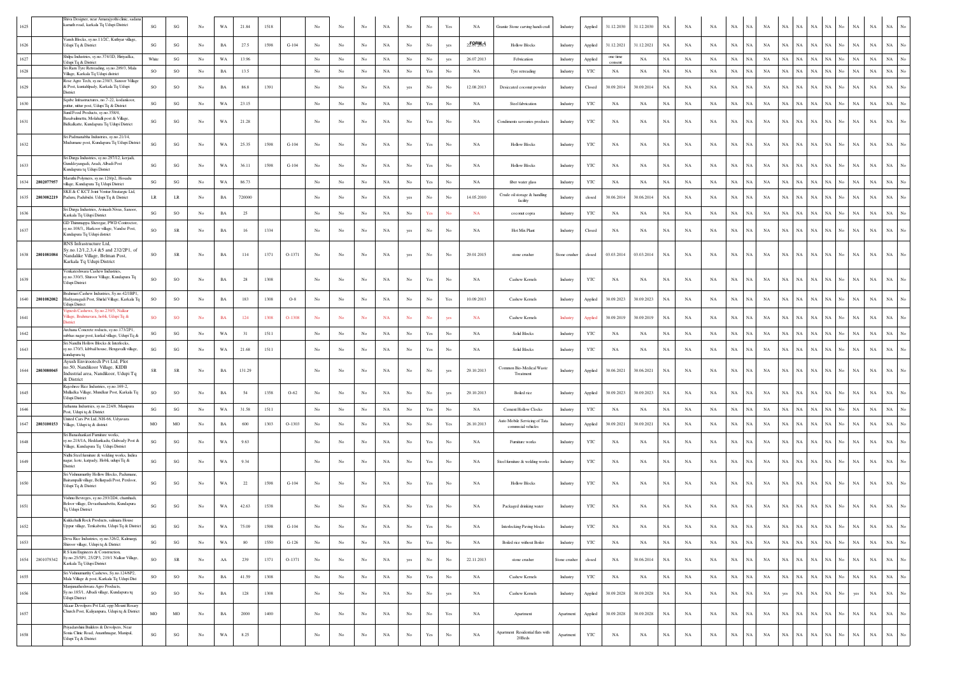| 1625               | Shiva Designer, near Amarajyothi clinic, sadar<br>amath road, karkala Tq Udupi District                                        | $\mathbf{S}\mathbf{G}$ | SG                     | No               | WA          | 21.84  | 1518 |          | No               | No               | No               | NA          | No               | No                                                                                    | Yes              | NA         | Granite Stone carving handi craft                  | Industry      | Applied      | 31.12.2030          | 31.12.2030  | NA          | NA          | NA          | $_{\rm NA}$ | NA          | NA          | $_{\rm NA}$<br>NA        | NA          |                       | NA                 | $_{\rm NA}$                | NA          |                  |
|--------------------|--------------------------------------------------------------------------------------------------------------------------------|------------------------|------------------------|------------------|-------------|--------|------|----------|------------------|------------------|------------------|-------------|------------------|---------------------------------------------------------------------------------------|------------------|------------|----------------------------------------------------|---------------|--------------|---------------------|-------------|-------------|-------------|-------------|-------------|-------------|-------------|--------------------------|-------------|-----------------------|--------------------|----------------------------|-------------|------------------|
| 1626               | Vansh Blocks, sy.no.11/2C, Kuthyar village<br>Udupi Tq & District                                                              | SG                     | $\mathbf{SG}$          | No               | $_{\rm BA}$ | 27.5   | 1598 | $G-104$  | No               | No               | $_{\rm No}$      | $_{\rm NA}$ | No               | No                                                                                    | yes              | 250 RM rs  | <b>Hollow Blocks</b>                               | Industry      | Applied      | 31.12.2021          | 31.12.2021  | NA          | NA          | NA          | $_{\rm NA}$ | NA          | NA          | NA<br>NA                 | $_{\rm NA}$ | NA                    | No.                | $_{\rm NA}$<br>$_{\rm NA}$ | $_{\rm NA}$ | $_{\mathrm{No}}$ |
| 1627               | Shilpa Industries, sy.no.374/1D, Hiriyadka<br>Udupi Tq & District                                                              | White                  | SG                     | No               | WA          | 13.96  |      |          | No               | No               | $_{\rm No}$      | $_{\rm NA}$ | No               | No                                                                                    | yes              | 26.07.2013 | Febrication                                        | Industry      | Applied      | one time<br>consent | NA          | NA          | NA          | NA          | $_{\rm NA}$ | NA          | <b>NA</b>   | NA<br>NA                 | <b>NA</b>   |                       | <b>NA</b>          | $_{\rm NA}$                | $_{\rm NA}$ |                  |
| 1628               | Sri Ram Tyre Retreading, sy.no.289/3, Mala<br>Village, Karkala Tq Udupi district                                               | SO                     | SO                     | No               | $_{\rm BA}$ | 13.5   |      |          | No               | No               | $_{\rm No}$      | $_{\rm NA}$ | No               | Yes                                                                                   | $_{\rm No}$      | NA         | Twe retreading                                     | Industry      | YTC          | NA                  | NA          | NA          | NA          | NA          | $_{\rm NA}$ | <b>NA</b>   | <b>NA</b>   | NA<br>NA                 | $_{\rm NA}$ | NA.                   | $_{\rm NA}$<br>No  | $_{\rm NA}$                | $_{\rm NA}$ | No               |
| 1629               | Rose Agro Tech, sy.no.230/3, Sanoor Village<br>& Post, kuntahlpady, Karkala Tq Udupi<br>District                               | SO                     | SO                     | No               | BA          | 86.8   | 1391 |          | No               | No               | No               | NA          | yes              | No                                                                                    | No               | 12.08.2013 | Desiccated coconut powder                          | Industry      | Closed       | 30.09.2014          | 30.09.2014  | NA          | NA          | NA          | $_{\rm NA}$ | NA          | NA          | NA<br>NA                 | $_{\rm NA}$ | NA                    | No.                | $_{\rm NA}$<br>$_{\rm NA}$ | $_{\rm NA}$ | No               |
| 1630               | Sqube Infrastructures, no.7-22, kodankoor,<br>puttur, nittur post, Udupi Tq & District                                         | $\mathbf{S}\mathbf{G}$ | $\mathbf{S}\mathbf{G}$ | No               | WA          | 23.15  |      |          | $_{\mathrm{No}}$ | $_{\rm No}$      | $_{\rm No}$      | $_{\rm NA}$ | $_{\rm No}$      | Yes                                                                                   | $_{\rm No}$      | NA         | Steel fabrication                                  | Industry      | YTC          | NA                  | NA          | NA          | NA          | NA          | $_{\rm NA}$ | $_{\rm NA}$ | NA          | NA<br>$_{\rm NA}$        | $_{\rm NA}$ | NA                    | No                 | $_{\rm NA}$<br>$_{\rm NA}$ | $_{\rm NA}$ |                  |
| 1631               | Sunil Food Products, sy.no.358/4,<br>asabailmettu, Molahalli post & Village,<br>Bidkalkatte, Kundapura Tq Udupi District       | $\mathbf{S}\mathbf{G}$ | SG                     | No               | WA          | 21.28  |      |          | No               | No               | No               | $_{\rm NA}$ | $_{\rm No}$      | Yes                                                                                   | No               | NA         | Condiments savouries products                      | Industry      | YTC          | NA                  | NA          | $_{\rm NA}$ | NA          | NA          | $_{\rm NA}$ | NA          | NA          | $_{\rm NA}$<br>NA        | NA          | NA                    | $_{\rm NA}$<br>No  | $_{\rm NA}$                | NA          |                  |
| 1632               | Sri Padmanabha Industries, sy.no.21/14,<br>Mudumane post, Kundapura Tq Udupi Distric                                           | SG                     | SG                     | No               | WA          | 25.35  | 1598 | $G-104$  | No               | No               | No               | NA          | No.              | Yes                                                                                   | No               | NA         | <b>Hollow Blocks</b>                               | Industry      | YTC          | NA                  | NA          | <b>NA</b>   | NA          | NA          | NA          | NA          | NA          | NA<br>NA                 | $_{\rm NA}$ | <b>NA</b>             | NA<br>No           | <b>NA</b>                  | NA          |                  |
| 1633               | Sri Durga Industries, sy.no.297/12, kerjadi<br>Gunddeyangadi, Aradi, Albadi Post<br>Kundapura tq Udupi District                | SG                     | $\mathbf{S}\mathbf{G}$ | No               | WA          | 36.11  | 1598 | $G-104$  | No               | No               | No               | <b>NA</b>   | No.              | Yes                                                                                   | No               | <b>NA</b>  | <b>Hollow Blocks</b>                               | Industry      | YTC          | NA                  | NA          | <b>NA</b>   | NA          | NA          | NA          | NA          | NA          | $_{\rm NA}$<br>NA        | NA          | NA                    | $_{\rm NA}$<br>No. | $_{\rm NA}$                | $_{\rm NA}$ | $_{\mathrm{No}}$ |
| 1634 2802077957    | Maruthi Polymers, sy.no.120/p2, Hosadu<br>village, Kundapura Tq Udupi District                                                 | SG                     | $\mathbf{S}\mathbf{G}$ | No               | WA          | 86.73  |      |          | $_{\rm No}$      | No               | No               | $_{\rm NA}$ | No               | Yes                                                                                   | No               | NA         | fiber water glass                                  | Industry      | YTC          | NA                  | NA          | NA          | NA          | NA          | $_{\rm NA}$ | $_{\rm NA}$ | NA          | $_{\rm NA}$<br>NA        | $_{\rm NA}$ | NA                    |                    | $_{\rm NA}$<br>NA          | $_{\rm NA}$ | No               |
| 1635<br>2803082219 | SKE & C KCT Joint Ventur Stratargic Ltd,<br>Paduru, Padubidri. Udupi Tq & District                                             | LR.                    | LR                     | No               | BA          | 720000 |      |          | No               | No               | No               | NA          | yes              | No                                                                                    | No               | 14.05.2010 | Crude oil storage & handling<br>facility           | Industry      | closed       | 30.06.2014          | 30.06.2014  | NA          | NA          | NA          | NA          | NA          | NA          | NA<br>NA                 | NA          | NA                    | NA<br>No           | NA                         | $_{\rm NA}$ |                  |
| 1636               | Sri Durga Industries, Avinash Nivas, Sanoor,<br>Karkala Tq Udupi District                                                      | SG                     | $_{\rm SO}$            | No               | BA          | 25     |      |          | No               | $_{\rm No}$      | No               | NA          | No               | Yes                                                                                   | No               | <b>NA</b>  | coconut copra                                      | Industry      | YTC          | NA                  | NA          | NA          | NA          | NA          | $_{\rm NA}$ | NA          | $_{\rm NA}$ | NA<br><b>NA</b>          | NA          |                       | $_{\rm NA}$        | $_{\rm NA}$                | $_{\rm NA}$ |                  |
| 1637               | GD Thimmappa Sheregar, PWD Controctor<br>sy.no.108/3,, Harkoor village, Vandse Post,<br>Kundapura Tq Udupi district            | <b>SO</b>              | SR                     | No               | BA          | 16     | 1334 |          | No               | No               | No               | NA          | yes              | No                                                                                    | No               | NA         | Hot Mix Plant                                      | Industry      | Closed       | NA                  | NA          | NA          | NA          | NA          | $_{\rm NA}$ | NA          | NA          | NA<br>NA                 | NA          |                       |                    | $_{\rm NA}$<br>$_{\rm NA}$ | $_{\rm NA}$ |                  |
| 1638<br>2801081084 | RNS Infrastructure Ltd,<br>Sy.no.12/1,2,3,4 &5 and 232/2P1, of<br>Nandalike Village, Belman Post,<br>Karkala Tq Udupi District | SO                     | SR                     | No               | $_{\rm BA}$ | 114    | 1371 | O-1371   | No               | No               | $_{\rm No}$      | NA          | yes              | No                                                                                    | No               | 29.01.2015 | stone crusher                                      | Stone crusher | closed       | 03.03.2014          | 03.03.2014  | NA          | NA          | NA          | $_{\rm NA}$ | NA          | NA          | NA<br>NA                 | NA          | $_{\rm NA}$           | No                 | $_{\rm NA}$<br>$_{\rm NA}$ | NA          |                  |
| 1639               | /enkateshwara Cashew Industries,<br>sy.no.330/3, Shiroor Village, Kundapura Tq<br>Udupi District                               | <b>SO</b>              | SO                     | No               | BA          | 28     | 1308 |          | No               | No               | No               | NA          | No               | $\operatorname*{Yes}% \left( X\right) \equiv\operatorname*{Yes}(\mathbb{R}^{3}\left)$ | No               | NA         | Cashew Kernels                                     | Industry      | YTC          | NA                  | NA          | NA          | NA          | NA          | NA          | NA          | NA          | NA<br>NA                 | NA          | NA.                   | No                 | NA<br>NA                   | NA          |                  |
| 2801082082<br>1640 | Brahmari Cashew Industries, Sy.no.42/1BP1<br>adiyanagadi Post, Shirlal Village, Karkala Te<br>Udupi Distret                    | SO                     | SO                     | No               | $_{\rm BA}$ | 183    | 1308 | $O-8$    | No               | No               | $_{\rm No}$      | $_{\rm NA}$ | $_{\rm No}$      | No                                                                                    | Yes              | 10.09.2013 | Cashew Kernels                                     | Industry      | Applied      | 30.09.2023          | 30.09.2023  | NA          | NA          | NA          | NA          | <b>NA</b>   | NA          | $_{\rm NA}$<br>ŃА        | NA          | NA                    | $_{\rm NA}$        | $_{\rm NA}$                | $_{\rm NA}$ |                  |
| 1641               | ignesh Cashews, Sy.no.239/5, Nakur<br>/illage, Brahmavara, hobli, Udupi Tq &<br>istrict                                        | <b>SO</b>              | <b>SO</b>              | No               | $_{\rm BA}$ | 124    | 1308 | $O-1308$ | No               | No               | No               | NA          | No               | No                                                                                    | yes              | NA         | Cashew Kernels                                     | Industry      | Applied      | 30.09.2019          | 30.09.2019  | NA          | NA          | NA          | $_{\rm NA}$ | $_{\rm NA}$ | NA          | NA<br>NA                 | $_{\rm NA}$ | NA                    | No                 | $_{\rm NA}$<br>$_{\rm NA}$ | NA          |                  |
| 1642               | Archana Concrete roducts, sy.no.173/2P1<br>subhas nagar post, kurkal village, Udupi Tq &                                       | SG                     | $\mathbf{S}\mathbf{G}$ | No               | WA          | 31     | 1511 |          | No               | No               | $_{\rm No}$      | $_{\rm NA}$ | No               | Yes                                                                                   | $_{\rm No}$      | <b>NA</b>  | Solid Blocks                                       | Industry      | YTC          | NA                  | NA          | NA          | NA          | $_{\rm NA}$ | $_{\rm NA}$ | <b>NA</b>   | NA          | NA<br>NA                 | NA          | NA.                   | No                 | $_{\rm NA}$<br>$_{\rm NA}$ | $_{\rm NA}$ |                  |
| 1643               | Sri Nandhi Hollow Blocks & Interlocks,<br>sy.no.170/3, kibbail house, Hengavalli village,<br>kundapura tq                      | SG                     | SG                     | No               | WA          | 21.68  | 1511 |          | No               | No               | No               | NA          | No               | Yes                                                                                   | No               | NA         | <b>Solid Blocks</b>                                | Industry      | YTC          | NA                  | NA          | NA          | NA          | NA          | $_{\rm NA}$ | <b>NA</b>   | NA          | NA<br>NA                 | $_{\rm NA}$ | NA                    | $_{\rm NA}$<br>No. | $_{\rm NA}$                | $_{\rm NA}$ |                  |
| 2803080045<br>1644 | Ayush Envirootech Pvt Ltd, Plot<br>10.50. Nandikoor Village, KIDB<br>Industrial area, Nandikoor, Udupi Tq<br>& District        | SR                     | SR                     | No               | $_{\rm BA}$ | 131.29 |      |          | No               | No               | No               | NA          | No.              | No                                                                                    | yes              | 29.10.2013 | Common Bio-Medical Waste<br>Treatment              | Industry      | Applied      | 30.06.2021          | 30.06.2021  | <b>NA</b>   | NA          | NA          | $_{\rm NA}$ | <b>NA</b>   | NA          | NA<br>NA                 | $_{\rm NA}$ | NA                    | No.                | $_{\rm NA}$<br>$_{\rm NA}$ | $_{\rm NA}$ | No               |
| 1645               | Rajeshree Rice Industries, sy.no.169-2,<br>Mulladka Village, Mundkur Post, Karkala Tq<br>Udupi District                        | <sub>SO</sub>          | SO                     | No               | BA          | -54    | 1358 | $O-62$   | No               | No               | No               | NA          | No.              | No                                                                                    | yes              | 29.10.2013 | Boiled rice                                        | Industry      | Applied      | 30.09.2023          | 30.09.2023  | NA          | NA          | NA          | $_{\rm NA}$ | NA          | NA          | NA<br>NA                 | $_{\rm NA}$ | <b>NA</b>             | $_{\rm NA}$<br>No. | $_{\rm NA}$                | $_{\rm NA}$ | No               |
|                    | thanna Industries, sy.no.224/8, Manipura<br>Post. Udupi ta & District                                                          | SG                     | $\mathbf{S}\mathbf{G}$ | No               | WA          | 31.58  | 1511 |          | $_{\rm No}$      | $_{\rm No}$      | $_{\rm No}$      | $_{\rm NA}$ | $_{\rm No}$      | Yes                                                                                   | $_{\rm No}$      | NA         | Cement Hollow Clocks                               | Industry      | YTC          | NA                  | NA          | NA          | NA          | NA          | $_{\rm NA}$ | $_{\rm NA}$ | NA          | $_{\rm NA}$<br><b>NA</b> | $_{\rm NA}$ | NA                    | No.                | $_{\rm NA}$<br>$_{\rm NA}$ | $_{\rm NA}$ |                  |
| 1647<br>2803100153 | United Cars Pvt Ltd, NH-66, Udyavara<br>Village, Udupi tq & district                                                           | MO                     | MO                     | No               | BA          | 600    | 1303 | $O-1303$ | No               | No               | No               | NA          | No               | No                                                                                    | Yes              | 26.10.2013 | Auto Mobile Servicing of Tata<br>commetal vehicles | Industry      | Applied      | 30.09.2021          | 30.09.2021  | NA          | NA          | NA          | $_{\rm NA}$ | <b>NA</b>   | NA          | NA<br>NA                 | NA          | NA                    | $_{\rm NA}$<br>No. | $_{\rm NA}$                | $_{\rm NA}$ |                  |
|                    | Sri Banashankari Furniture works,<br>sy.no.218/1A, Heddarikadu, Gulwady Post &<br>Village, Kundapura Tq Udupi District         | $\mathbf{S}\mathbf{G}$ | SG                     | No.              | WA          | 9.63   |      |          | $_{\mathrm{No}}$ | No               | $_{\rm No}$      | $_{\rm NA}$ | $_{\rm No}$      | Yes                                                                                   | $_{\rm No}$      | NA         | Furniture works                                    | Industry      | YTC          | NA                  | NA          | $_{\rm NA}$ | NA          | NA          | NA          | NA          | NA          | NA<br>ŃА                 | $_{\rm NA}$ | NA                    | $_{\rm NA}$        | $_{\rm NA}$                | $_{\rm NA}$ |                  |
|                    | Nidhi Steel furniture & welding works, Indira<br>nagar, kote, katpady, Hobli, udupi To &<br>District                           | SG                     | SG                     | No               | WA          | 9.34   |      |          | No               | No               | No               | NA          | No               | Yes                                                                                   | No               | NA         | Steel furniture & welding works                    | Industry      | YTC          | NA                  | NA          | $_{\rm NA}$ | NA          | NA          | $_{\rm NA}$ | NA          | NA          | $_{\rm NA}$<br>NA        | NA          |                       | $_{\rm NA}$        | $_{\rm NA}$                | NA          |                  |
|                    | Sri Vishnunurthy Hollow Blocks, Padumane,<br>Bairampalli village, Bellarpadi Post, Perdoor,<br>Udupi Tq & District             | SG                     | SG                     | No               | WA          | 22     | 1598 | $G-104$  | No               | No               | $_{\rm No}$      | $_{\rm NA}$ | $_{\rm No}$      | Yes                                                                                   | $_{\rm No}$      | NA         | <b>Hollow Blocks</b>                               | Industry      | YTC          | NA                  | NA          | $_{\rm NA}$ | NA          | NA          | $_{\rm NA}$ | NA          | NA          | $_{\rm NA}$<br>NA        | NA          | NA                    |                    | $_{\rm NA}$<br>$_{\rm NA}$ | $_{\rm NA}$ |                  |
| 1651               | Vishnu Bevreges, sy.no.293/2D4, chanthadi,<br>Beloor village, Devasthanabettu, Kundapura<br>Tq Udupi District                  | SG                     | SG                     | No               | WA          | 42.63  | 1538 |          | $_{\mathrm{No}}$ | No               | $_{\rm No}$      | $_{\rm NA}$ | $_{\rm No}$      | Yes                                                                                   | $_{\rm No}$      | NA         | Packaged drinking water                            | Industry      | YTC          | NA                  | NA          | $_{\rm NA}$ | NA          | NA          | NA          | NA          | NA          | NA<br>NA                 | $_{\rm NA}$ | NA                    | No.                | $_{\rm NA}$<br>$_{\rm NA}$ | $_{\rm NA}$ | No               |
| 1652               | Kukkehali Rock Products, salmara House<br>Uppur village, Tenkabettu, Udupi Tq & District                                       | $\mathbf{S}\mathbf{G}$ | $\mathbf{S}\mathbf{G}$ | $_{\mathrm{No}}$ | WA          | 75.09  | 1598 | $G-104$  | No               | No               | $_{\rm No}$      | $_{\rm NA}$ | $_{\rm No}$      | $\operatorname{Yes}$                                                                  | $_{\rm No}$      | NA         | Interlocking Paving blocks                         | Industry      | YTC          | NA                  | $_{\rm NA}$ | $_{\rm NA}$ | $_{\rm NA}$ | $_{\rm NA}$ | $_{\rm NA}$ | $_{\rm NA}$ | $_{\rm NA}$ | NA<br>NA                 |             | $\rm NA$ $\;$ NA $\;$ | No                 | $_{\rm NA}$<br>$_{\rm NA}$ | NA          | $_{\mathrm{No}}$ |
| 1653               | Deva Rice Industries, sy.no.326/2, Kalmargi,<br>Shiroor village, Udupi tq & District                                           | $\mathbf{S}\mathbf{G}$ | $\mathbf{S}\mathbf{G}$ | No               | $_{\rm WA}$ | $80\,$ | 1550 | $G-126$  | $_{\mathrm{No}}$ | $_{\rm No}$      | $_{\mathrm{No}}$ | $_{\rm NA}$ | $_{\mathrm{No}}$ | $\operatorname{Yes}$                                                                  | $_{\mathrm{No}}$ | NA         | Boiled rice without Boiler                         | Industry      | YTC          | $_{\rm NA}$         | $_{\rm NA}$ | $_{\rm NA}$ | $_{\rm NA}$ | $_{\rm NA}$ | $_{\rm NA}$ | $_{\rm NA}$ | $_{\rm NA}$ | $_{\rm NA}$<br>NA        | $_{\rm NA}$ | NA                    | No                 | $_{\rm NA}$<br>NA          | $_{\rm NA}$ | $_{\mathrm{No}}$ |
| 1654<br>2801079342 | R S kini Engineers & Construction,<br>Sy.no.25/5P1, 25/2P3, 219/1 Nalkur Village,<br>Karkala Tq Udupi District                 | SO                     | ${\rm SR}$             | No               | ${\rm AA}$  | 239    | 1371 | $O-1371$ | No               | No               | $_{\rm No}$      | $_{\rm NA}$ | yes              | $_{\rm No}$                                                                           | $_{\rm No}$      | 22.11.2013 | stone crusher                                      | Stone crusher | closed       | NA                  | 30.06.2014  | $_{\rm NA}$ | NA          | $_{\rm NA}$ | $_{\rm NA}$ | $_{\rm NA}$ | NA          | NA<br>NA                 | $_{\rm NA}$ | $_{\rm NA}$           | No                 | $_{\rm NA}$<br>$_{\rm NA}$ | $_{\rm NA}$ | $_{\rm No}$      |
| 1655               | Sri Vishnumurthy Cashews, Sy.no.124/6P2,<br>Mala Village & post, Karkala Tq Udupi Dist                                         | $_{\rm SO}$            | $\rm SO$               | $_{\rm No}$      | $_{\rm BA}$ | 41.59  | 1308 |          | $_{\mathrm{No}}$ | $_{\mathrm{No}}$ | $_{\rm No}$      | $_{\rm NA}$ | $_{\mathrm{No}}$ | Yes                                                                                   | $_{\mathrm{No}}$ | NA         | Cashew Kernels                                     | Industry      | $_{\rm YTC}$ | $_{\rm NA}$         | $_{\rm NA}$ | $_{\rm NA}$ | $_{\rm NA}$ | $_{\rm NA}$ | $_{\rm NA}$ | $_{\rm NA}$ | $_{\rm NA}$ | NA<br>$_{\rm NA}$        | $_{\rm NA}$ | $_{\rm NA}$           | No                 | $_{\rm NA}$<br>$_{\rm NA}$ | $_{\rm NA}$ | $_{\mathrm{No}}$ |
| 1656               | Manjunatheshwara Agro Products,<br>Sy.no.185/1, Albadi village, Kundapura tq<br>Udupi District                                 | $_{\rm SO}$            | $_{\rm SO}$            | No               | $_{\rm BA}$ | 128    | 1308 |          | $_{\mathrm{No}}$ | $_{\rm No}$      | $_{\rm No}$      | $_{\rm NA}$ | $_{\rm No}$      | $_{\rm No}$                                                                           | yes              | NA         | Cashew Kernels                                     | Industry      | Applied      | 30.09.2028          | 30.09.2028  | $_{\rm NA}$ | NA          | $_{\rm NA}$ | $_{\rm NA}$ | $_{\rm NA}$ | NA          | NA<br>yes                | $_{\rm NA}$ | $_{\rm NA}$           | No                 | $_{\rm NA}$<br>yes         | $_{\rm NA}$ | $_{\mathrm{No}}$ |
| 1657               | Akaar Devolpers Pvt Ltd, opp Mount Rosary<br>Church Post, Kaliyanpura, Udupi tq & District                                     | <b>MO</b>              | MO                     | No               | $_{\rm BA}$ | 2000   | 1400 |          | No               | $_{\rm No}$      | $_{\rm No}$      | $_{\rm NA}$ | $_{\rm No}$      | No                                                                                    | Yes              | NA         | Apartment                                          | Apartment     | Applied      | 30.09.2028          | 30.09.2028  | $_{\rm NA}$ | NA          | NA          | $_{\rm NA}$ | $_{\rm NA}$ | NA          | NA<br>$_{\rm NA}$        | $_{\rm NA}$ | $_{\rm NA}$           | No                 | $_{\rm NA}$<br>$_{\rm NA}$ | NA          | $_{\rm No}$      |
| 1658               | Priyadarshini Builders & Devolpers, Near<br>Sonia Clinic Road, Ananthnagar, Manipal,<br>Udupi Tq & District                    | $\mathbf{S}\mathbf{G}$ | $\mathbf{SG}$          | No               | $_{\rm WA}$ | 8.25   |      |          | $_{\mathrm{No}}$ | $_{\mathrm{No}}$ | $_{\rm No}$      | $_{\rm NA}$ | $_{\mathrm{No}}$ | $\operatorname{Yes}$                                                                  | $_{\mathrm{No}}$ | NA         | Apartment Residential flats with<br>20Beds         | Apartment     | $_{\rm YTC}$ | NA                  | $_{\rm NA}$ | $_{\rm NA}$ | $_{\rm NA}$ | $_{\rm NA}$ | $_{\rm NA}$ | $_{\rm NA}$ | $_{\rm NA}$ | NA<br>$_{\rm NA}$        | $_{\rm NA}$ | $_{\rm NA}$           | $_{\rm No}$        | $_{\rm NA}$<br>$_{\rm NA}$ | $_{\rm NA}$ | $_{\mathrm{No}}$ |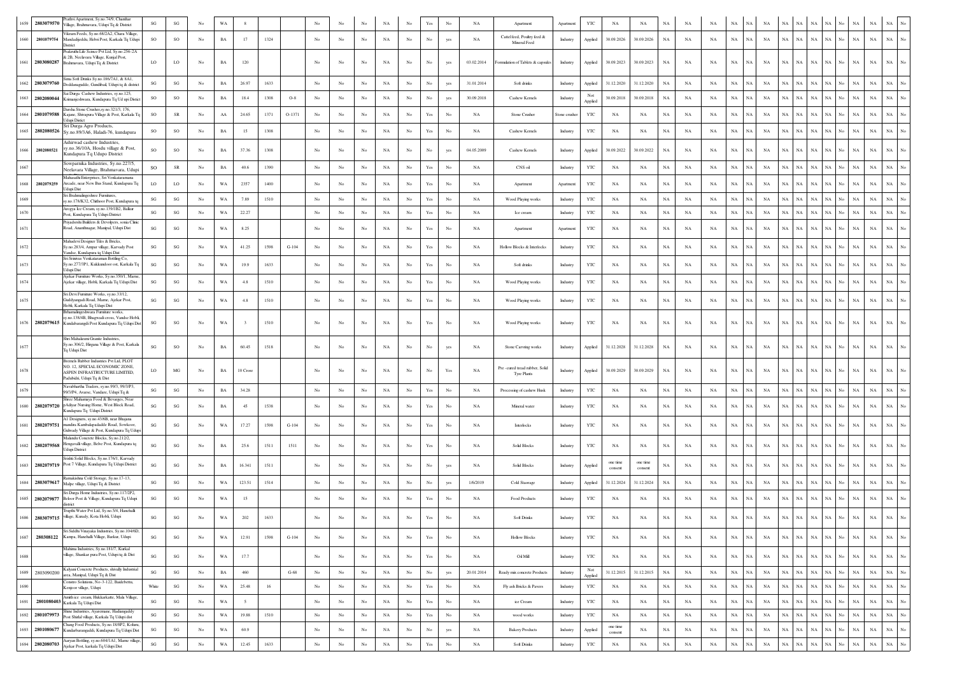|      | 1659 2803079570 | athvi Apartment, Sy.no.74/9, Chanthai<br>Village, Brahmavara, Udupi Tq & District                                                                     | SG                     | $\mathbf{S}\mathbf{G}$ | No               | WA          |          |      |         |                  |                  |                  | NA          |                  |                                                                                       |                  | NA          | Apartment                                           | Apartmer      | YTC            | NA                  | NA                  |             | NA          |             |             |             |             |                            |             |             | NA  | NA                         | NA          |                  |
|------|-----------------|-------------------------------------------------------------------------------------------------------------------------------------------------------|------------------------|------------------------|------------------|-------------|----------|------|---------|------------------|------------------|------------------|-------------|------------------|---------------------------------------------------------------------------------------|------------------|-------------|-----------------------------------------------------|---------------|----------------|---------------------|---------------------|-------------|-------------|-------------|-------------|-------------|-------------|----------------------------|-------------|-------------|-----|----------------------------|-------------|------------------|
| 1660 | 2801079754      | Vikram Feeds, Sy.no.68/2A2, Chara Village<br>Mandadijeddu, Hebri Post, Karkala Tq Udupi<br><b>Jistrict</b>                                            | SO                     | SO                     | No               | BA          | 17       | 1324 |         | No               | No               | No               | NA          | $_{\mathrm{No}}$ | $_{\rm No}$                                                                           | yes              | NA          | Cattel feed, Poultry feed &<br>Mineral Feed         | Industry      | Applied        | 30.09.2026          | 30.09.2026          | $_{\rm NA}$ | NA          | NA          | $_{\rm NA}$ | NA          | NA          | NA<br>NA                   | NA          | NA          | No  | $_{\rm NA}$<br>$_{\rm NA}$ | $_{\rm NA}$ | $_{\rm No}$      |
|      | 1661 2803080287 | Prakruthi Life Scince Pvt Ltd, Sy.no.256-2A<br>& 2B, Neelavara Village, Kunjal Post.<br>Brahmavara, Udupi Tq & District                               | LO                     | LO                     | No               | $_{\rm BA}$ | 120      |      |         | No               | No               | No               | NA          | No               | No                                                                                    | yes              | 03.02.2014  | Formulation of Tablets & capsules                   | Industry      | Applied        | 30.09.2023          | 30.09.2023          | NA          | NA          | NA          | $_{\rm NA}$ | NA          | NA          | NA<br>٧A                   | $_{\rm NA}$ | NA          | NA  | $_{\rm NA}$                | NA          |                  |
| 1662 | 2803079760      | Sima Soft Drinks Sy.no.186/7A1, & 8A1,<br>Doddanagudde, Gundibail, Udupi to & district                                                                | SG                     | $\mathbf{S}\mathbf{G}$ | No               | BA          | 26.97    | 1633 |         | No               | No               | No               | NA          | No               | No                                                                                    | yes              | 31.01.2014  | Soft drinks                                         | Industry      | Applied        | 31.12.2020          | 31.12.2020          | NA          | NA          | NA          | NA          | NA          | NA          | NA<br>NA                   | NA          | NA          | No  | $_{\rm NA}$<br>NA          | $_{\rm NA}$ |                  |
|      | 1663 2802080044 | ai Durga Cashew Industries, sy.no.125.<br>Krimanjeshwara, Kundapura Tq Ud upi Distict                                                                 | SO                     | SO                     | No               | BA          | 18.4     | 1308 | $O-8$   | No               | No               | No               | NA          | No               | No                                                                                    | yes              | 30.09.2018  | Cashew Kernels                                      | Industry      | Applied        | 30.09.2018          | 30.09.2018          | $_{\rm NA}$ | NA          | NA          | $_{\rm NA}$ | NA          | NA          | NA<br>NA                   | $_{\rm NA}$ | NA          | No. | $_{\rm NA}$<br>$_{\rm NA}$ | $_{\rm NA}$ |                  |
|      | 1664 2801079588 | Darsha Stone Crusher, sy.no.321/3, 176,<br>Kajane, Shivapura Village & Post, Karkala Tq                                                               | SO                     | ${\sf SR}$             | No               | AA          | 24.65    | 1371 | O-1371  | No               | No               | No               | NA          | No               | Yes                                                                                   | No               | NA          | Stone Crusher                                       | Stone crusher | YTC            | NA                  | NA                  | NA          | NA          | NA          | $_{\rm NA}$ | NA          | NA          | NA<br>NA                   | $_{\rm NA}$ | $_{\rm NA}$ | No  | $_{\rm NA}$<br>$_{\rm NA}$ | NA          |                  |
| 1665 | 2802080526      | Jdupi Distict<br>Sri Durga Agro Products,<br>Sy.no.89/3A6, Haladi-76, kundapura                                                                       | <b>SO</b>              | <b>SO</b>              | No               | BA          | 15       | 1308 |         | No               | No               | No               | NA          | No               | Yes                                                                                   | No               | NA          | Cashew Kernels                                      | Industry      | YTC            | NA                  | NA                  | NA          | NA          | NA          | NA          | NA          | NA          | NA<br>NА                   | NA          | NA          | No  | NA<br>NA                   | NA          |                  |
| 1666 | 2802080521      | Ashirwad cashew Industries<br>sy.no.36/10A, Hosdu village & Post,<br>Kundapura Tq Udupo District                                                      | <b>SO</b>              | SO                     | No               | BA          | 37.36    | 1308 |         |                  | No               | No               | NA          | No               | No                                                                                    | yes              | 04.05.2009  | Cashew Kernels                                      | Industry      | Applied        | 30.09.2022          | 30.09.2022          | NA          | NA          | NA          | $_{\rm NA}$ | NA          | NA          | $_{\rm NA}$<br>NА          | $_{\rm NA}$ |             |     | $_{\rm NA}$<br>$_{\rm NA}$ | $_{\rm NA}$ |                  |
| 1667 |                 | Sowparnika Industries, Sy.no.227/5,<br>Neelavara Village, Brahmavara, Udupi                                                                           | so                     | ${\sf SR}$             | No               | BA          | 40.6     | 1390 |         | No               | No               | No               | NA          | $_{\rm No}$      | Yes                                                                                   | No               | NA          | CNS oil                                             | Industry      | YTC            | NA                  | NA                  | $_{\rm NA}$ | NA          | NA          | NA          | NA          | NA          | NA<br>ŃА                   | NA          |             |     | $_{\rm NA}$<br>$_{\rm NA}$ | $_{\rm NA}$ |                  |
| 1668 | 2802079259      | Jahasathi Enterprises, Sri Venkataramana<br>Arcade, near New Bus Stand, Kundapura To<br><b>Jdupi Dist</b>                                             | <b>LO</b>              | LO                     | No               | WA          | 2357     | 1400 |         |                  | No               | No               | NA          | No               | Yes                                                                                   |                  | NA          | Apartment                                           | Apartmen      | YTC            | NA                  | NA                  | NA          | NA          | NA          | NA          | <b>NA</b>   | NA          | NA                         | NA          |             |     | NA<br>NA                   | NA          |                  |
| 1669 |                 | Sri Brahmalingeshree Furnitures,<br>y.no.178/K32, Chithoor Post, Kundapura tq                                                                         | SG                     | $\mathbf{S}\mathbf{G}$ | No               | WA          | 7.89     | 1510 |         | No               | No               | No               | NA          | No               | Yes                                                                                   | No               | NA          | Wood Playing works                                  | Industry      | YTC            | NA                  | NA                  | NA          | NA          | NA          | $_{\rm NA}$ | <b>NA</b>   | NA          | NA<br>NA                   | NA          | NA          | No  | $_{\rm NA}$<br>NA          | $_{\rm NA}$ |                  |
| 1670 |                 | trogya Ice Cream, sy.no.139/1B2, Balkur<br>Post, Kundapura Tq Udupi District                                                                          | SG                     | $_{\rm SG}$            | No               | WA          | 22.27    |      |         | No               | No               | No               | $_{\rm NA}$ | No               | Yes                                                                                   | No               | NA          | Ice cream                                           | Industry      | $_{\rm YTC}$   | NA                  | NA                  | NA          | NA          | NA          | $_{\rm NA}$ | NA          | NA          | <b>NA</b><br>NA            | NA          | NA          |     | $_{\rm NA}$<br>$_{\rm NA}$ | $_{\rm NA}$ |                  |
| 1671 |                 | riyadsrshi Builders & Devolpers, sonia Clinic<br>Road, Ananthnagar, Manipal, Udupi Dist                                                               | SG                     | $\mathbf{S}\mathbf{G}$ | No               | WA          | 8.25     |      |         | No               | No               | No               | NA          | No               | Yes                                                                                   | No               | NA          | Apartment                                           | Apartment     | YTC            | NA                  | NA                  | NA          | NA          | NA          | NA          | NA.         | NA          |                            | NA          |             |     | $_{\rm NA}$<br>$_{\rm NA}$ | $_{\rm NA}$ |                  |
| 1672 |                 | Mahadevi Designer Tiles & Bricks,<br>y.no.283/4, Ampar village, Karvady Post<br>andse. Kundapura to Udupi Dist                                        | SG                     | SG                     | No               | WA          | 41.25    | 1598 | $G-104$ | No               | No               | No               | NA          | No               | Yes                                                                                   | No               | NA          | Hollow Blocks & Interlocks                          | Industry      | YTC            | NA                  | NA                  | NA          | NA          | NA          | NA          | NA          | NA          | NA<br>٧A                   | NA          |             |     | NA<br>NA                   | NA          |                  |
| 1673 |                 | Sri Srinivas Venkataraman Bottling Co,<br>Sy.no.277/3P1, Kukkundoor ost, Karkala Tq<br>Jdupi Dist                                                     | $_{\rm SG}$            | $\mathbf{S}\mathbf{G}$ | No               | WA          | 19.9     | 1633 |         | No               | No               |                  | NA          | $_{\rm No}$      | Yes                                                                                   | No               | NA          | Soft drinks                                         | Industry      | YTC            | NA                  | NA                  | $_{\rm NA}$ | NA          | NA          | $_{\rm NA}$ | NA          | NA          | NA<br>NA.                  | $_{\rm NA}$ | NA          |     | $_{\rm NA}$<br>$_{\rm NA}$ | $_{\rm NA}$ |                  |
| 1674 |                 | Ajekar Furniture Works, Sy.no.350/1, Marne<br>Ajekar village, Hobli, Karkala Tq Udupi Dist                                                            | SG                     | $\mathbf{SG}$          | No               | WA          | $4.8\,$  | 1510 |         | No               | No               | No               | NA          | No               | $\operatorname*{Yes}% \left( X\right) \equiv\operatorname*{Yes}(\mathbb{R}^{3}\left)$ | No               | NA          | Wood Playing works                                  | Industry      | YTC            | NA                  | NA                  | NA          | NA          | NA          | NA          | NA          | NA          | NA<br>NА                   | NA          | NA          | No. | $_{\rm NA}$<br>$_{\rm NA}$ | $_{\rm NA}$ |                  |
| 1675 |                 | Sri Devi Furniture Works, sy.no.33/12,<br>addyangadi Road, Marne, Ajekar Post,<br>Hobli, Karkala To Udupi Dist                                        | SG                     | $\mathbf{S}\mathbf{G}$ | No               | WA          | $4.8\,$  | 1510 |         | No               | No               | No               | NA          | $_{\rm No}$      | Yes                                                                                   | No               | NA          | Wood Playing works                                  | Industry      | YTC            | NA                  | NA                  | NA          | NA          | NA          | NA          | NA.         | NA          | NA                         | NA          |             |     | $_{\rm NA}$<br>$_{\rm NA}$ | NA          |                  |
|      |                 | Brhamalingeshwara Furniture works,<br>.no.138/4B, Bhagwadi cross, Vandse Hobli,<br>1676   2802079615   Kundabarangdi Post Kundapura Tq Udupi Dist     | $_{\rm SG}$            | SG                     | No               | WA          |          | 1510 |         | No               | No               | No               | NA          | No               | Yes                                                                                   | No               | NA          | Wood Playing works                                  | Industry      | YTC            | NA                  | NA                  | $_{\rm NA}$ | NA          | NA          | NA          | NA          | NA          | NA<br>NA                   | NA          | NA          | No  | $_{\rm NA}$<br>$_{\rm NA}$ | NA          |                  |
| 1677 |                 | Shri Mahalaxmi Granite Industries,<br>Sy.no.306/2, Hirgana Village & Post, Karkala<br>Tq Udupi Dist                                                   | SG                     | SO                     | No               | BA          | 60.45    | 1518 |         | No               | No               | No               | NA          | No               | No                                                                                    |                  | NA          | Stone Carvring works                                | Industry      | Applied        | 31.12.2028          | 31.12.2028          | NA          | NA          | NA          | NA          | NA          | NA          | NA<br>NA                   | $_{\rm NA}$ | NA.         |     | $_{\rm NA}$<br>$_{\rm NA}$ | $_{\rm NA}$ |                  |
| 1678 |                 | Bremels Rubber Industries Pvt Ltd, PLOT<br>NO. 12, SPECIAL ECONOMIC ZONE,<br>ASPEN INFRASTRUCTURE LIMITED.                                            | LO                     | MG                     | No               | BA          | 10 Crore |      |         | No               | No               | No               | NA          | No               | No                                                                                    | Yes              | NA          | Pre-cured tread rubber, Solid<br><b>Tyre Plants</b> | Industry      | Applied        | 30.09.2029          | 30.09.2029          | NA          | NA          | NA          | NA          | NA          | NA          | NA<br>NA                   | $_{\rm NA}$ | NA          | N٥  | NA<br>NA                   | NA          |                  |
| 1679 |                 | Padubidri, Udupi Tq & Dist<br>Navabhartha Traders, sy.no.99/3, 99/3/P3,<br>99/3/P4, Avarse, Vandare, Udupi Tq &                                       | SG                     | SG                     | No               | BA          | 34.28    |      |         | No               | No               | $_{\rm No}$      | $_{\rm NA}$ | $_{\mathrm{No}}$ | $\operatorname*{Yes}% \left( X\right) \equiv\operatorname*{Yes}\left( X\right)$       | No               | NA          | Processing of cashew Husk                           | Industry      | $_{\rm YTC}$   | NA                  | NA                  | $_{\rm NA}$ | NA          | NA          | $_{\rm NA}$ | NA          | NA          | NA<br>NA                   | NA          | $_{\rm NA}$ | No. | NA<br>$_{\rm NA}$          | NA          |                  |
|      | 1680 2802079720 | aree Mahamaya Food & Bevarges, Near<br>pAdiyar Nursing Home, West Block Road,                                                                         | SG                     | $_{\rm SG}$            | No               | BA          | 45       | 1538 |         | No               | No               | No               | NA          | No               | Yes                                                                                   | No               | NA          | Mineral water                                       | Industry      | YTC            | NA                  | NA                  | NA          | NA          | NA          | $_{\rm NA}$ | NA          | NA          | <b>NA</b><br>NA            | $_{\rm NA}$ | NA          | No  | $_{\rm NA}$<br>$_{\rm NA}$ | $_{\rm NA}$ |                  |
| 1681 | 2802079751      | Kundapura Tq Udupi District<br>A1 Designers, sy.no.43/6B, near Bhajana<br>mandira Kambalapadadde Road, Sowkoor,                                       | SG                     | $\mathbf{S}\mathbf{G}$ | No               | WA          | 17.27    | 1598 | $G-104$ | No               | No               | No               | NA          | No               | Yes                                                                                   | No               | NA          | Interlocks                                          | Industry      | YTC            | NA                  | NA                  | NA          | NA          | NA          | NA          | NA          | NA          | NA<br>NА                   | NA          | NА          |     | $_{\rm NA}$<br>$_{\rm NA}$ | $_{\rm NA}$ |                  |
|      | 1682 2802079568 | Gulwady Village & Post, Kundapura Tq Udupi<br>Malandu Concrete Blocks, Sy.no.212/2,<br>Hengavalli village, Belve Post, Kundapura tq<br>Idupi District | SG                     | $_{\rm SG}$            | No               | <b>BA</b>   | 25.6     | 1511 | 1511    | No               | No               | No               | NA          | No               | Yes                                                                                   | No               | <b>NA</b>   | Solid Blocks                                        | Industry      | YTC            | NA.                 | NA                  | <b>NA</b>   | NA          | NA          | NA          | NA          | NA          | <b>NA</b><br>NA            | NA          | NA.         |     | NA<br>$_{\rm NA}$          | NA          |                  |
|      | 1683 2802079719 | Srishti Solid Blocks, Sv.no.176/1. Karvady<br>Post 7 Village, Kundapura Tq Udupi District                                                             | SG                     | $\mathbf{S}\mathbf{G}$ | No               | BA          | 16.341   | 1511 |         | No               | No               | No               | NA          | No               | No                                                                                    | yes              | NA          | <b>Solid Blocks</b>                                 | Industry      | Applied        | one time<br>consent | one time<br>consent | NA          | NA          | NA          | $_{\rm NA}$ | NA          | NA          | NA<br>NA.                  | NA          | NA          |     | $_{\rm NA}$<br>$_{\rm NA}$ | NA          | No               |
|      | 1684 2803079617 | Ramakishna Cold Storage, Sy.no.17-13,<br>Malpe village, Udupi Tq & District                                                                           | SG                     | $_{\rm SG}$            | $_{\mathrm{No}}$ | WA          | 123.51   | 1514 |         | No               | No               | No               | NA          | $_{\rm No}$      | $_{\rm No}$                                                                           |                  | 1/6/2019    | Cold Staorage                                       | Industry      | Applied        | 31.12.2024          | 31.12.2024          | NA          | NA          | NA          | $_{\rm NA}$ | NA          | NA          | NA<br>NA                   | $_{\rm NA}$ | NA          |     | $_{\rm NA}$<br>$_{\rm NA}$ | $_{\rm NA}$ | $\overline{N}$ o |
|      | 1685 2802079877 | Sri Durga Home Industries, Sv.no.117/2P2.<br>Beloor Post & Village, Kundapura Tq Udupi                                                                | $\mathbf{S}\mathbf{G}$ | $\mathbf{S}\mathbf{G}$ | No               | WA          | 15       |      |         |                  | No               | No               | NA          | No               | Yes                                                                                   | No               | NA          | Food Products                                       | Industry      | YTC            | NA                  | NA                  | $_{\rm NA}$ | NA          | NA          | NA          | NA          | NA          | NA<br>NА                   | NA          | NA          |     | $_{\rm NA}$<br>$_{\rm NA}$ | NA          |                  |
|      | 1686 2803079715 | rupthi Water Pvt Ltd, Sy.no.5/4, Hanehalli<br>village, Kurady, Kota Hobli, Udupi                                                                      | SG                     | $\mathbf{SG}$          | No               | WA          | 202      | 1633 |         | No               | No               | No               | NA          | No               | $\operatorname{Yes}$                                                                  | No               | NA          | Soft Drinks                                         | Industry      | $_{\rm YTC}$   | NA                  | NA                  | $_{\rm NA}$ | NA          | $_{\rm NA}$ | $_{\rm NA}$ | NA          | $_{\rm NA}$ | NA<br>ŃА                   | $_{\rm NA}$ | $_{\rm NA}$ | No  | $_{\rm NA}$<br>$_{\rm NA}$ | NA          |                  |
|      | 1687 280308122  | Sri Siddhi Vinayaka Industries, Sy.no.104/6D,<br>Kampa, Hanehalli Village, Barkur, Udupi                                                              | $\mathbf{S}\mathbf{G}$ | $\mathbf{SG}$          | No               | WA          | 12.91    | 1598 | $G-104$ | $_{\rm No}$      | No               | No               | NA          | $_{\rm No}$      | $\operatorname{Yes}$                                                                  | $_{\rm No}$      | NA          | <b>Hollow Blocks</b>                                | Industry      | YTC            | NA                  | $_{\rm NA}$         | $_{\rm NA}$ | NA          | $_{\rm NA}$ | $_{\rm NA}$ | NA          | $_{\rm NA}$ | NA<br>NA                   | $_{\rm NA}$ | $_{\rm NA}$ | No  | $_{\rm NA}$<br>$_{\rm NA}$ | $_{\rm NA}$ | $_{\mathrm{No}}$ |
| 1688 |                 | Mahima Industries, Sy.no.181/7, Kurkal<br>village, Shankar pura Post, Udupi tq & Dist                                                                 | $\mathbf{S}\mathbf{G}$ | $\mathbf{SG}$          | No               | WA          | 17.7     |      |         | $_{\rm No}$      | No               | No               | NA          | No               | $\operatorname{Yes}$                                                                  | $_{\rm No}$      | NA          | Oi Mil                                              | Industry      | $_{\rm YTC}$   | $_{\rm NA}$         | $_{\rm NA}$         | $_{\rm NA}$ | $_{\rm NA}$ | $_{\rm NA}$ | $_{\rm NA}$ | NA          | NA          | $_{\rm NA}$<br>NA          | $_{\rm NA}$ | $_{\rm NA}$ | No  | $_{\rm NA}$<br>$_{\rm NA}$ | $_{\rm NA}$ | $_{\mathrm{No}}$ |
| 1689 | 2803090200      | Kalyani Concrete Products, shivally Industrial<br>area, Manipal, Udupi Tq & Dist                                                                      | $\mathbf{S}\mathbf{G}$ | $\mathbf{S}\mathbf{G}$ | $_{\mathrm{No}}$ | $_{\rm BA}$ | 460      |      | $G-68$  | $_{\mathrm{No}}$ | $_{\mathrm{No}}$ | $_{\mathrm{No}}$ | NA          | $_{\rm No}$      | $_{\mathrm{No}}$                                                                      | yes              | 20.01.2014  | Ready mix concrete Products                         | Industry      | Not<br>Applied | 31.12.2015          | 31.12.2015          | $_{\rm NA}$ | $_{\rm NA}$ | $_{\rm NA}$ | $_{\rm NA}$ | $_{\rm NA}$ | NA          | $_{\rm NA}$<br>$_{\rm NA}$ | $_{\rm NA}$ | $_{\rm NA}$ | No  | $_{\rm NA}$<br>$_{\rm NA}$ | $_{\rm NA}$ | $_{\rm No}$      |
| 1690 |                 | Constro Solutions, No-3-122, Baidebettu,<br>Cenjoor village, Udupi                                                                                    | White                  | $\mathbf{S}\mathbf{G}$ | No               | WA          | 25.48    | 16   |         | No               | No               | $_{\rm No}$      | $_{\rm NA}$ | $_{\rm No}$      | $\operatorname{Yes}$                                                                  | $_{\rm No}$      | NA          | Fly ash Bricks & Pavers                             | Industry      | YTC            | NA                  | $_{\rm NA}$         | $_{\rm NA}$ | NA          | NA          | $_{\rm NA}$ | NA          | NA          | $_{\rm NA}$<br>NA          | $_{\rm NA}$ | NA.         | No. | $_{\rm NA}$<br>$_{\rm NA}$ | $_{\rm NA}$ | $_{\mathrm{No}}$ |
| 1691 |                 | Amith ice cream, Hukkarkatte, Mala Village,<br>2801080403 Karkala Tq Udupi Dist                                                                       | $\mathbf{S}\mathbf{G}$ | $\mathbf{S}\mathbf{G}$ | No               | WA          | $\sim$   |      |         | $_{\rm No}$      | No               | $_{\rm No}$      | $_{\rm NA}$ | $_{\rm No}$      | Yes                                                                                   | $_{\rm No}$      | NA          | ice Cream                                           | Industry      | YTC            | NA                  | $_{\rm NA}$         | $_{\rm NA}$ | $_{\rm NA}$ | NA          | $_{\rm NA}$ | $_{\rm NA}$ | NA          | $_{\rm NA}$<br>$_{\rm NA}$ | $_{\rm NA}$ | $_{\rm NA}$ | No  | $_{\rm NA}$<br>$_{\rm NA}$ | $_{\rm NA}$ | $_{\mathrm{No}}$ |
|      | 1692 2801079973 | Shine Industries, Ayaremane, Hadiangaddy<br>Post Shirlal village, Karkala Tq Udupi dist                                                               | $\mathbf{S}\mathbf{G}$ | $\mathbf{S}\mathbf{G}$ | No               | WA          | 19.88    | 1510 |         | $_{\rm No}$      | No               | $_{\rm No}$      | NA          | $_{\mathrm{No}}$ | Yes                                                                                   | $_{\rm No}$      | NA          | wood works                                          | Industry      | YTC            | NA                  | NA                  | $_{\rm NA}$ | NA          | NA          | $_{\rm NA}$ | $_{\rm NA}$ | $_{\rm NA}$ | NA<br>$_{\rm NA}$          | $_{\rm NA}$ | $_{\rm NA}$ | No  | NA<br>$_{\rm NA}$          | $_{\rm NA}$ | $_{\mathrm{No}}$ |
|      | 1693 2801080677 | Chang Food Products, Sy.no.18/8P2, Koluru,<br>Kundarbarangaddi, Kundapura Tq Udupi Dist                                                               | SG                     | $\mathbf{SG}$          | No               | WA          | 60.9     |      |         | No               | No               | No               | $_{\rm NA}$ | No               | $_{\rm No}$                                                                           | yes              | NA          | <b>Bakery Products</b>                              | Industry      | Applied        | one time<br>consent | $_{\rm NA}$         | $_{\rm NA}$ | $_{\rm NA}$ | $_{\rm NA}$ | $_{\rm NA}$ | NA          | NA          | $_{\rm NA}$<br>NA          | $_{\rm NA}$ | $_{\rm NA}$ | No  | $_{\rm NA}$<br>$_{\rm NA}$ | $_{\rm NA}$ | $_{\mathrm{No}}$ |
| 1694 | 2802080703      | Aaryan Bottling, sy.no.604/1A1, Marne village,<br>Ajekar Post, karkala Tq Udupi Dist                                                                  | $\mathbf{S}\mathbf{G}$ | $\mathbf{S}\mathbf{G}$ | $_{\mathrm{No}}$ | WA          | 12.45    | 1633 |         | $_{\mathrm{No}}$ | No               | $_{\rm No}$      | $_{\rm NA}$ | $_{\mathrm{No}}$ | $\operatorname{Yes}$                                                                  | $_{\mathrm{No}}$ | $_{\rm NA}$ | <b>Soft Drinks</b>                                  | Industry      | YTC            | $_{\rm NA}$         | $_{\rm NA}$         | $_{\rm NA}$ | $_{\rm NA}$ | $_{\rm NA}$ | $_{\rm NA}$ | $_{\rm NA}$ | $_{\rm NA}$ | $_{\rm NA}$<br>$_{\rm NA}$ | $_{\rm NA}$ | $_{\rm NA}$ | No  | $_{\rm NA}$<br>$_{\rm NA}$ | $_{\rm NA}$ | $_{\mathrm{No}}$ |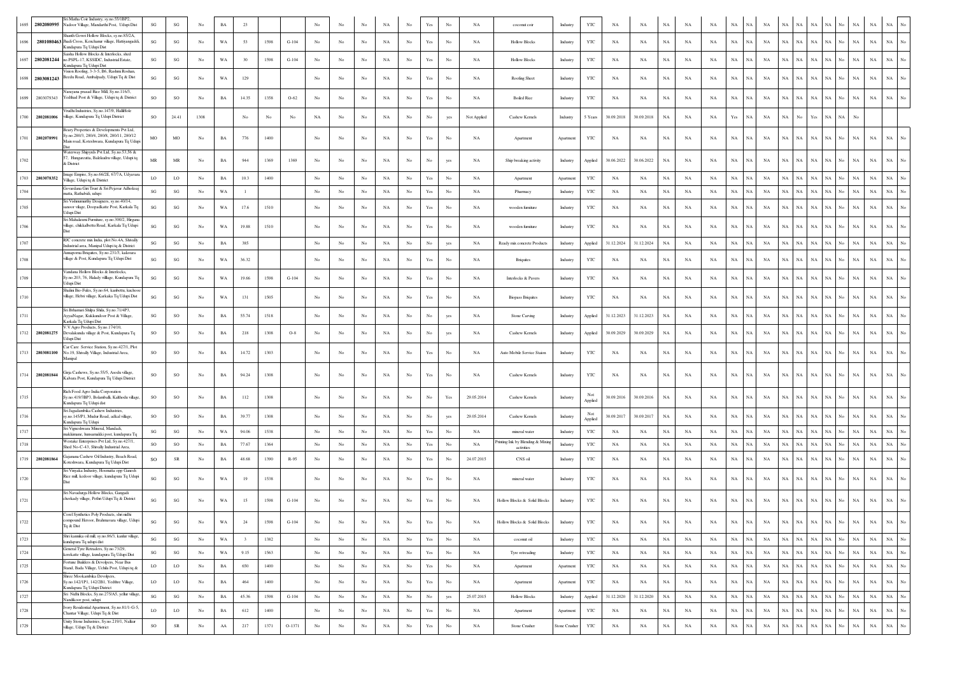| 2802080995         | ri Matha Coir Industry, sy.no.55/1BP2<br>Nadoor Village, Mandarthi Post, Udupi Dist                                               | SG                                | SG                                | No          | BA          | 23                      |      |          |                  |                  |                  |             |                  |                                                                                       |                  | NA          | coconut coir                                    | Industry      | YTC            | NA          | NA          | $_{\rm NA}$ | NA          | NA          | NA          |             |             |                            |             |             |          | NA                         |             |                  |
|--------------------|-----------------------------------------------------------------------------------------------------------------------------------|-----------------------------------|-----------------------------------|-------------|-------------|-------------------------|------|----------|------------------|------------------|------------------|-------------|------------------|---------------------------------------------------------------------------------------|------------------|-------------|-------------------------------------------------|---------------|----------------|-------------|-------------|-------------|-------------|-------------|-------------|-------------|-------------|----------------------------|-------------|-------------|----------|----------------------------|-------------|------------------|
|                    | Shanth Gowri Hollow Blocks, sy.no.85/2A,<br>2801080463 Jhadi Cross, Kenchanur village, Hattiyangadd<br>Kundapura Tq Udupi Dist    | $\mathbf{S}\mathbf{G}$            | $\mathbf{S}\mathbf{G}$            | No          | WA          | 53                      | 1598 | $G-104$  | No               | No               | $_{\rm No}$      | $_{\rm NA}$ | $_{\rm No}$      |                                                                                       | No               | NA          | <b>Hollow Blocks</b>                            | Industry      | YTC            | NA          | NA          | $_{\rm NA}$ | NA          | NA          | NA          | NA          | NA          | $_{\rm NA}$<br>ŃА          | NA          |             |          | $_{\rm NA}$<br>$_{\rm NA}$ | $_{\rm NA}$ |                  |
| 1697               | Saisha Hollow Blocks & Interlocks, shed<br>2802081244 no.PSPL-17, KSSIDC, Industrial Estate,<br>Kundapura Tq Udupi Dist           | SG                                | SG                                | No          | WA          | 30                      | 1598 | $G-104$  | No               | No               | No               | NA          | No               | Yes                                                                                   | No               | NA          | <b>Hollow Blocks</b>                            | Industry      | YTC            | NA          | NA          | NA          | NA          | NA          | NA          | NA          | NA          | NA<br>NA                   | NA          | NA          | No       | $_{\rm NA}$<br>$_{\rm NA}$ | $_{\rm NA}$ | No               |
| 1698 2803081243    | Vision Roofing, 3-3-5, B6, Rashmi Roshan<br>Beedu Road, Ambalpady, Udupi Tq & Dist                                                | SG                                | $\mathbf{S}\mathbf{G}$            | No          | WA          | 129                     |      |          | No               | No               | No               | NA          | No               |                                                                                       | No               | NA          | Roofing Sheet                                   | Industry      | YTC            | NA          | NA          | NA          | NA          | NA          | $_{\rm NA}$ | NA          | NA          | <b>NA</b><br>NA            | $_{\rm NA}$ | NА          | No.      | $_{\rm NA}$<br>NA          | <b>NA</b>   |                  |
| 2803079343<br>1699 | larayana prasad Rice Mill, Sy.no.116/3,<br>Yedthad Post & Village, Udupi tq & District                                            | <sub>SO</sub>                     | $_{\rm SO}$                       | No          | BA          | 14.35                   | 1358 | $O-62$   | No               | No               | No               | NA          | No.              | Yes                                                                                   | No               | NA          | <b>Boiled Rice</b>                              | Industry      | YTC            | NA          | NA          | <b>NA</b>   | NA          | NA          | <b>NA</b>   | <b>NA</b>   | NA          | <b>NA</b><br>NA            | $_{\rm NA}$ | NA          | No       | $_{\rm NA}$<br>$_{\rm NA}$ | $_{\rm NA}$ | No               |
| 1700<br>2802081006 | /rudhi Industries, Sy.no.147/9, HalliHole<br>village, Kundapura Tq Udupi District                                                 | <b>SO</b>                         | 24.41                             | 1308        |             | No                      | No   | No       | NA               | No               | No               | NA          | No               | No                                                                                    | yes              | Not Applied | Cashew Kernels                                  | Industry      | 5 Years        | 30.09.2018  | 30.09.2018  | NA          | NA          | NA          | Yes         | NA          | NA          | NA<br>No                   | Yes         | NA          | NA<br>No |                            |             |                  |
| 1701<br>2802078991 | Beary Properties & Developments Pvt Ltd,<br>v.no.280/3, 280/4, 280/8, 280/11, 280/12<br>Main road, Koteshwara, Kundapura Tq Udupi | MO                                | MO                                | No          | $_{\rm BA}$ | 776                     | 1400 |          | No               | No               | No               | NA          | No               | $\operatorname*{Yes}% \left( X\right) \equiv\operatorname*{Yes}(\mathbb{R}^{3}\left)$ | No               | NA          | Apartment                                       | Apartment     | YTC            | NA          | NA          | $_{\rm NA}$ | NA          | NA          | $_{\rm NA}$ | NA          | NA          | NA<br>NA                   | NA          | NA          |          | $_{\rm NA}$<br>NA          | NA          |                  |
|                    | Waterway Shipyrds Pvt Ltd, Sy.no.53,56 &<br>7, Hungarcutta, Balekudru village, Udupi tq<br>District                               | $\ensuremath{\mathsf{MR}}\xspace$ | $\ensuremath{\mathsf{MR}}\xspace$ | No          | $_{\rm BA}$ | 944                     | 1369 | 1369     | No               | No               | No               | NA          | No               |                                                                                       | yes              | NA          | Ship breaking activity                          | Industry      | Applied        | 30.06.2022  | 30.06.2022  | NA          | NA          | NA          | $_{\rm NA}$ | NA          | NA          | NA                         | NA          |             |          | $_{\rm NA}$<br>$_{\rm NA}$ | NA          |                  |
| 2803078352<br>1703 | nage Empire, Sy.no.66/2E, 67/7A, Udyava<br>Village, Udupi tq & District                                                           | LO                                | LO                                | No          | $_{\rm BA}$ | 10.3                    | 1400 |          | No               | No               | No               | $_{\rm NA}$ | No.              | Yes                                                                                   | No               | <b>NA</b>   | Apartment                                       | Apartment     | YTC            | NA          | NA          | NA          | NA          | NA          | $_{\rm NA}$ | NA          | NA          | NA<br>NA                   | NA          | NA          |          | $_{\rm NA}$<br>$_{\rm NA}$ | NA          | No               |
|                    | Govardana Giri Trust & Sri Pejavar Adhoksaj<br>natta, Rathabidi, udupi                                                            | SG                                | SG                                | No          | WA          | $\mathbf{1}$            |      |          | No               | No               | No               | $_{\rm NA}$ | No               | Yes                                                                                   | No               | <b>NA</b>   | Pharmacy                                        | Industry      | YTC            | <b>NA</b>   | NA          | NA          | NA          | NA          | $_{\rm NA}$ | NA          | NA          | NA<br>$_{\rm NA}$          | $_{\rm NA}$ | NA          | No       | $_{\rm NA}$<br>$_{\rm NA}$ | $_{\rm NA}$ | No               |
|                    | Sri Vishnumurthy Designers, sy.no.40/14.<br>anoor vilage, Doopadkatte Post, Karkala To<br><b>Udupi Dist</b>                       | SG                                | SG                                | No          | WA          | 17.6                    | 1510 |          | No               | No               | No               | NA          | No               | Yes                                                                                   | No               | NA          | wooden fumiture                                 | Industry      | YTC            | NA          | NA          | NA          | NA          | NA          | $_{\rm NA}$ | NA          | NA          | NA<br>NA                   | $_{\rm NA}$ | NA          | No.      | $_{\rm NA}$<br>$_{\rm NA}$ | $_{\rm NA}$ | No               |
| 1706               | Sri Mahalaxmi Furniture, sy.no.300/2, Hirgan<br>illage, chikkalbettu Road, Karkala Tq Udupi                                       | SG                                | $\mathbf{S}\mathbf{G}$            | No          | WA          | 19.88                   | 1510 |          | No               | No               | No               | NA          | No               | Yes                                                                                   | No               | NA          | wooden fumiture                                 | Industry      | YTC            | NA          | NA          | $_{\rm NA}$ | NA          | $_{\rm NA}$ | $_{\rm NA}$ | NA          | NA          | NA<br>NA                   | NA          | NA.         |          | $_{\rm NA}$<br>$_{\rm NA}$ | NA          |                  |
| 1707               | RJC concrete mix India, plot No.4A, Shivally<br>ndustrial area, Manipal Udupi tq & District                                       | $\mathbf{S}\mathbf{G}$            | $\mathbf{SG}$                     | No          | BA          | 385                     |      |          | No               | No               | No               | NA          | No               | No                                                                                    | yes              | NA          | Ready mix concrete Products                     | Industry      | Applied        | 31.12.2024  | 31.12.2024  | NA          | NA          | $_{\rm NA}$ | $_{\rm NA}$ | <b>NA</b>   | NA          | NA<br>NA                   | NA          | NA          | No       | NA<br>$_{\rm NA}$          | $_{\rm NA}$ | No               |
|                    | Annaporna Briquites, Sv.no.231/3, kalavara<br>village & Post, Kundapura Tq Udupi Dist                                             | SG                                | $\mathbf{S}\mathbf{G}$            | No          | WA          | 36.32                   |      |          | No               | No               | No               | NA          | $_{\rm No}$      |                                                                                       | No               | NA          | <b>Briquites</b>                                | Industry      | YTC            | NA          | NA          | $_{\rm NA}$ | NA          | NA          | NA          | NA          | NA          | NA                         | NA          |             | NA       | $_{\rm NA}$                | $_{\rm NA}$ |                  |
| 1709               | Vandana Hollow Blocks & Interlocks.<br>Sy.no.203, 76, Halady village, Kundapura Tq<br>Udupi Dist                                  | SG                                | SG                                | No          | WA          | 19.66                   | 1598 | $G-104$  | No               | No               | No               | NA          | $_{\rm No}$      | Yes                                                                                   | $_{\rm No}$      | NA          | Interlocks & Pavers                             | Industry      | YTC            | NA          | NA          | $_{\rm NA}$ | NA          | NA          | $_{\rm NA}$ | NA          | NA          | $_{\rm NA}$<br>NA          | $_{\rm NA}$ | <b>NA</b>   |          | $_{\rm NA}$<br>$_{\rm NA}$ | $_{\rm NA}$ | No               |
| 1710               | Shalini Bio-Fules, Sy.no.64, kanbettu, kuchoo<br>village, Hebri village, Karkaka Tq Udupi Dist                                    | SG                                | SG                                | No          | WA          | 131                     | 1505 |          | No               | No               | No               | NA          | No.              | Yes                                                                                   | No               | <b>NA</b>   | <b>Biopass Briquites</b>                        | Industry      | YTC            | NA          | NA          | NA          | NA          | NA          | $_{\rm NA}$ | NA          | NA          | NA<br>NA                   | $_{\rm NA}$ | <b>NA</b>   | No.      | $_{\rm NA}$<br>$_{\rm NA}$ | NA          |                  |
| 1711               | Sri Brhamari Shilpa Shila, Sy.no.71/4P3,<br>AyyaiNagar, Kukkundoor Post & Village,<br>Carkala Tq Udupi Dist                       | $\mathbf{S}\mathbf{G}$            | SO                                | No          | $_{\rm BA}$ | 55.74                   | 1518 |          | No               | No               | No               | $_{\rm NA}$ | No               | No                                                                                    | yes              | NA          | Stone Carving                                   | Industry      | Applied        | 31.12.2023  | 31.12.2023  | $_{\rm NA}$ | NA          | NA          | $_{\rm NA}$ | NA          | NA          | NA<br>NA                   | $_{\rm NA}$ | NA          | No.      | $_{\rm NA}$<br>$_{\rm NA}$ | $_{\rm NA}$ |                  |
| 1712<br>2802081275 | V Agro Products, Sy.no.174/10,<br>Devalakunda village & Post, Kundapura Tq<br>Udupi Dist                                          | <sub>SO</sub>                     | SO                                | No          | BA          | 218                     | 1308 | $O-8$    | No               | No               | No               | NA          | No               | No                                                                                    | yes              | <b>NA</b>   | Cashew Kernels                                  | Industry      | Applied        | 30.09.2029  | 30.09.2029  | NA          | NA          | NA          | <b>NA</b>   | NA          | NA          | NA<br>NA                   | $_{\rm NA}$ | <b>NA</b>   | No.      | $_{\rm NA}$<br>NA          | $_{\rm NA}$ | $\overline{N}$ o |
| 1713 2803081100    | Car Care Service Station, Sy.no.427/1, Plot<br>No.19, Shivally Village, Industrial Area,<br>Manipal                               | SO                                | SO                                | No          | $_{\rm BA}$ | 14.72                   | 1303 |          | No               | No               | No               | NA          | No               | Yes                                                                                   | No               | NA          | Auto Mobile Service Staion                      | Industry      | YTC            | NA          | NA          | $_{\rm NA}$ | NA          | NA          | $_{\rm NA}$ | NA          | NA          | $_{\rm NA}$<br>NA          | NA          | NA          | No.      | $_{\rm NA}$<br>$_{\rm NA}$ | NA          |                  |
| 1714 2802081844    | Girja Cashews, Sy.no.55/5, Asodu village.<br>Kalvara Post, Kundapura Tq Udupi District                                            | SO                                | $_{\rm SO}$                       | No          | $_{\rm BA}$ | 94.24                   | 1308 |          | No               | No               | No               | $_{\rm NA}$ | $_{\rm No}$      | Yes                                                                                   | No               | $_{\rm NA}$ | Cashew Kernels                                  | Industry      | YTC            | NA          | NA          | NA          | NA          | NA          | $_{\rm NA}$ | NA          | $_{\rm NA}$ | $_{\rm NA}$<br>NA          | $_{\rm NA}$ | NA          |          | $_{\rm NA}$<br>$_{\rm NA}$ | NA          |                  |
| 1715               | Rich Food Agro India Corporation<br>Sy.no.419/3BP3, Bolamballi, Kalthodu village,<br>Kundapura Tq Udupi dist                      | SO                                | SO                                | No          | $_{\rm BA}$ | 112                     | 1308 |          | No               | No               | No               | $_{\rm NA}$ | $_{\rm No}$      | No                                                                                    | Yes              | 29.05.2014  | Cashew Kernels                                  | Industry      | Not<br>Applied | 30.09.2016  | 30.09.2016  | $_{\rm NA}$ | NA          | NA          | $_{\rm NA}$ | NA          | NA          | NA<br>ŃА                   | NA          | NA.         |          | $_{\rm NA}$<br>$_{\rm NA}$ | NA          | No               |
| 1716               | Sri Jagadambika Cashew Industries,<br>sy.no.145/P1, Mudur Road, adkal village,<br>Kundapura Tq Udupi                              | <b>SO</b>                         | SO                                | No          | BA          | 39.77                   | 1308 |          | No               | No               | No               | NA          | No               | No                                                                                    | yes              | 29.05.2014  | Cashew Kernels                                  | Industry      | Not<br>Applied | 30.09.2017  | 30.09.2017  | NA          | NA          | NA          | $_{\rm NA}$ | NA          | NA          | <b>NA</b><br>٧A            | NA          |             | NA       | NA                         | $_{\rm NA}$ |                  |
|                    | Sri Vigneshwara Mineral, Mandadi,<br>nakkimane, hunsamakki post, kundapura Tq                                                     | SG                                | SG                                | No          | WA          | 94.06                   | 1538 |          | No               | No               | No               | NA          | No               | Yes                                                                                   | No               | <b>NA</b>   | mineral water                                   | Industry      | YTC            | NΑ          | NA          | NA          | NA          | NA          | $_{\rm NA}$ | NA          | NA          | NA<br>NA                   | <b>NA</b>   |             |          | $_{\rm NA}$<br>$_{\rm NA}$ | $_{\rm NA}$ |                  |
| 1718               | Westake Enterprises Pvt Ltd, Sy.no.427/1,<br>Shed No-C-43, Shivally Industrial Area,                                              | so                                | SO                                | No          | $_{\rm BA}$ | 77.67                   | 1364 |          | No               | No               | $_{\rm No}$      | $_{\rm NA}$ | $_{\rm No}$      | $\operatorname{Yes}$                                                                  | $_{\rm No}$      | NA          | Printing Ink by Blending & Mixing<br>activities | Industry      | YTC            | NA          | NA          | NA          | NA          | NA          | $_{\rm NA}$ | $_{\rm NA}$ | NA          | $_{\rm NA}$<br>$_{\rm NA}$ | NA          | NA          | No       | NA<br>$_{\rm NA}$          | $_{\rm NA}$ |                  |
| 1719<br>2802081864 | iajanana Cashew Oil Industry, Beach Road,<br>Koteshwara, Kundapura Tq Udupi Dist                                                  | SO                                | ${\rm SR}$                        | No          | BA          | 48.68                   | 1390 | R-95     | No               | No               | No               | NA          | No               | Yes                                                                                   | $_{\rm No}$      | 24.07.2015  | CNS oil                                         | Industry      | YTC            | NA          | NA          | NA          | NA          | NA          | $_{\rm NA}$ | NA          | NA          | NA<br><b>NA</b>            | $_{\rm NA}$ | NA          | No.      | $_{\rm NA}$<br>$_{\rm NA}$ | $_{\rm NA}$ |                  |
| 1720               | Sri Vinyaka Industry, Hosmatta opp Ganesh<br>Rice mill, kedoor village, kundapura Tq Udupi                                        | SG                                | SG                                | No          | WA          | 19                      | 1538 |          | No               | No               | No               | NA          | $_{\rm No}$      | Yes                                                                                   | No               | NA          | mineral water                                   | Industry      | YTC            | NA          | NA          | $_{\rm NA}$ | NA          | NA          | $_{\rm NA}$ | NA          | NA          | $_{\rm NA}$<br>NA          | NA          | NA.         | No.      | $_{\rm NA}$<br>$_{\rm NA}$ | NA          | No               |
|                    | Sri Navadurga Hollow Blocks, Gangadi<br>cherkady village, Pethri Udupi Tq & District                                              | $\mathbf{S}\mathbf{G}$            | SG                                | No          | WA          | 15                      | 1598 | $G-104$  | No               | No               | No               | NA          | No               |                                                                                       |                  | NA          | Hollow Blocks & Solid Blocks                    | Industry      | YTC            | NA          | NA          | $_{\rm NA}$ | NA          | NA          | $_{\rm NA}$ | NA          | NA          | <b>NA</b><br>NA            | $_{\rm NA}$ | NA          |          | $_{\rm NA}$<br>$_{\rm NA}$ | NA          |                  |
|                    | Corel Synthetics Poly Products, shri nidhi<br>compound Heroor, Brahmavara village, Udupi<br>Tq & Dist                             | SG                                | $\mathbf{SG}$                     | No          | WA          | 24                      | 1598 | $G-104$  |                  | No               | No               | NA          | No               | Yes                                                                                   | No               | NA          | Hollow Blocks & Solid Blocks                    | Industry      | YTC            | $_{\rm NA}$ | NA          | NA          | NA          | NA          | NA          | NA          | NA          | NA<br>NA                   | NA          |             |          |                            |             |                  |
| 1723               | Shri kannika oil mill, sy.no.86/3, kanlur village,<br>kundapura Tq udupi dist                                                     | $\mathbf{S}\mathbf{G}$            | $\mathbf{S}\mathbf{G}$            | No          | $_{\rm WA}$ | $\overline{\mathbf{3}}$ | 1382 |          | $_{\mathrm{No}}$ | No               | $_{\rm No}$      | $_{\rm NA}$ | $_{\mathrm{No}}$ | $\operatorname*{Yes}% \left( X\right) \equiv\operatorname*{Yes}(\mathbb{R}^{3}\left)$ | $_{\rm No}$      | NA          | coconut oil                                     | Industry      | $_{\rm YTC}$   | NA          | $_{\rm NA}$ | $_{\rm NA}$ | $_{\rm NA}$ | $_{\rm NA}$ | $_{\rm NA}$ | $_{\rm NA}$ | $_{\rm NA}$ | $_{\rm NA}$<br>NA          | $_{\rm NA}$ | $_{\rm NA}$ | No       | NA<br>NA                   | $_{\rm NA}$ | $_{\mathrm{No}}$ |
| 1724               | General Tyre Retraders, Sy.no.73/29,<br>kerekatte village, kundapura Tq Udupi Dist                                                | $\mathbf{S}\mathbf{G}$            | $\mathbf{S}\mathbf{G}$            | No          | WA          | 9.15                    | 1563 |          | $_{\mathrm{No}}$ | $_{\rm No}$      | $_{\mathrm{No}}$ | $_{\rm NA}$ | $_{\mathrm{No}}$ | $\operatorname{Yes}$                                                                  | $_{\mathrm{No}}$ | $_{\rm NA}$ | Tyre retreading                                 | Industry      | YTC            | $_{\rm NA}$ | $_{\rm NA}$ | $_{\rm NA}$ | $_{\rm NA}$ | $_{\rm NA}$ | $_{\rm NA}$ | $_{\rm NA}$ | $_{\rm NA}$ | NA<br>$_{\rm NA}$          | $_{\rm NA}$ | NA          | No       | $_{\rm NA}$<br>$_{\rm NA}$ | $_{\rm NA}$ | $_{\mathrm{No}}$ |
| 1725               | Fortune Builders & Devolpers, Near Bus<br>Stand, Bada Village, Uchila Post, Udupi tq &                                            | LO                                | $_{\rm LO}$                       | No          | $_{\rm BA}$ | 650                     | 1400 |          | $_{\mathrm{No}}$ | $_{\rm No}$      | $_{\mathrm{No}}$ | $_{\rm NA}$ | $_{\mathrm{No}}$ | $\operatorname{Yes}$                                                                  | $_{\mathrm{No}}$ | $_{\rm NA}$ | Apartment                                       | Apartment     | $_{\rm YTC}$   | $_{\rm NA}$ | $_{\rm NA}$ | $_{\rm NA}$ | $_{\rm NA}$ | $_{\rm NA}$ | $_{\rm NA}$ | $_{\rm NA}$ | $_{\rm NA}$ | NA<br>$_{\rm NA}$          | $_{\rm NA}$ | NA          | No       | $_{\rm NA}$<br>$_{\rm NA}$ | $_{\rm NA}$ | $_{\mathrm{No}}$ |
| 1726               | Shree Mookambika Devolpers,<br>Sy.no.142/1P1, 142/2B1, Yedthre Village,<br>Kundapura Tq Udupi District                            | LO                                | $_{\rm LO}$                       | No          | $_{\rm BA}$ | 464                     | 1400 |          | $_{\mathrm{No}}$ | $_{\mathrm{No}}$ | $_{\rm No}$      | $_{\rm NA}$ | $_{\mathrm{No}}$ | $\operatorname{Yes}$                                                                  | $_{\rm No}$      | NA          | Apartment                                       | Apartment     | $_{\rm YTC}$   | $_{\rm NA}$ | $_{\rm NA}$ | $_{\rm NA}$ | $_{\rm NA}$ | $_{\rm NA}$ | $_{\rm NA}$ | NA          | NA          | $_{\rm NA}$<br>$_{\rm NA}$ | $_{\rm NA}$ | NA          | No.      | $_{\rm NA}$<br>$_{\rm NA}$ | $_{\rm NA}$ | $_{\mathrm{No}}$ |
| 1727               | Sri Nidhi Blocks, Sy.no.275/A5, yellur village,<br>Vandikoor post, udupi                                                          | $\mathbf{S}\mathbf{G}$            | $\mathbf{SG}$                     | No          | $_{\rm BA}$ | 45.36                   | 1598 | $G-104$  | $_{\rm No}$      | $_{\rm No}$      | $_{\mathrm{No}}$ | $_{\rm NA}$ | $_{\rm No}$      | No                                                                                    | yes              | 25.07.2015  | <b>Hollow Blocks</b>                            | Industry      | Applied        | 31.12.2020  | 31.12.2020  | $_{\rm NA}$ | $_{\rm NA}$ | $_{\rm NA}$ | $_{\rm NA}$ | $_{\rm NA}$ | NA          | NA  <br>NA                 | $_{\rm NA}$ | NA          | No       | NA<br>NA                   | $_{\rm NA}$ | $_{\mathrm{No}}$ |
| 1728               | Ivory Residential Apartment, Sy.no.81/1-G-5,<br>Chantar Village, Udupi Tq & Dist                                                  | LO                                | LO                                | No          | $_{\rm BA}$ | 612                     | 1400 |          | $_{\mathrm{No}}$ | No               | $_{\rm No}$      | $_{\rm NA}$ | $_{\rm No}$      | $\operatorname{Yes}$                                                                  | $_{\mathrm{No}}$ | NA          | Apartment                                       | Apartment     | YTC            | $_{\rm NA}$ | $_{\rm NA}$ | $_{\rm NA}$ | $_{\rm NA}$ | $_{\rm NA}$ | NA          | NA          | <b>NA</b>   | $_{\rm NA}$<br>NA          | $_{\rm NA}$ | $_{\rm NA}$ | No       | $_{\rm NA}$<br>$_{\rm NA}$ | $_{\rm NA}$ | $_{\mathrm{No}}$ |
| 1729               | Unity Stone Industries, Sy.no.219/1, Nalkur<br>illage, Udupi Tq & District                                                        | $_{\rm SO}$                       | $_{\rm SR}$                       | $_{\rm No}$ | ${\rm AA}$  | $217\,$                 | 1371 | $O-1371$ | $_{\mathrm{No}}$ | $_{\mathrm{No}}$ | $_{\rm No}$      | $_{\rm NA}$ | $_{\mathrm{No}}$ | $\operatorname{Yes}$                                                                  | $_{\rm No}$      | $_{\rm NA}$ | Stone Crusher                                   | Stone Crusher | $_{\rm YTC}$   | $_{\rm NA}$ | $_{\rm NA}$ | $_{\rm NA}$ | $_{\rm NA}$ | $_{\rm NA}$ | $_{\rm NA}$ | NA          | $_{\rm NA}$ | $_{\rm NA}$<br>$_{\rm NA}$ | $_{\rm NA}$ | $_{\rm NA}$ | No       | $_{\rm NA}$<br>$_{\rm NA}$ | $_{\rm NA}$ | $_{\mathrm{No}}$ |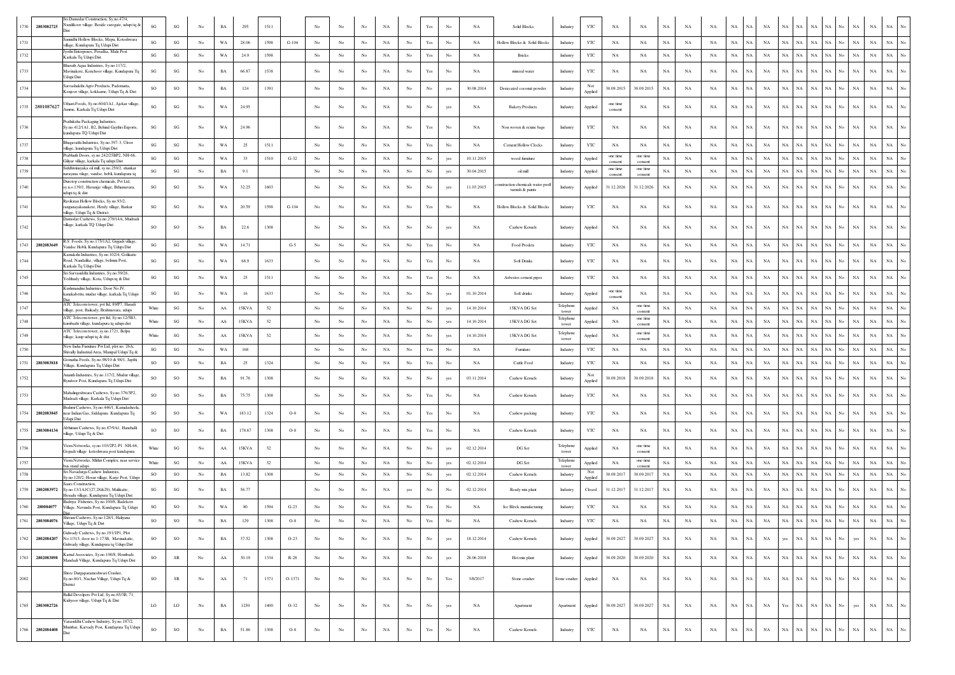| 1730 | 2803082725      | ri Damodar Construction, Sy.no.47/4,<br>Nandikoor village, Beside carogate, udupi tq &                                             | SG        | $\mathbf{S}\mathbf{G}$ | No               | BA          | 295    | 1511 |         | No               | No               | No          | NA          | No               | Yes                  | No          | <b>NA</b>  | Solid Blocks                                        | Industry           | YTC            | NA                  | NA                  | $_{\rm NA}$ | NA          | NA          | $_{\rm NA}$ | NA.         | NA          |                   | NA          |             | NA                 | NA          | NA          |                  |
|------|-----------------|------------------------------------------------------------------------------------------------------------------------------------|-----------|------------------------|------------------|-------------|--------|------|---------|------------------|------------------|-------------|-------------|------------------|----------------------|-------------|------------|-----------------------------------------------------|--------------------|----------------|---------------------|---------------------|-------------|-------------|-------------|-------------|-------------|-------------|-------------------|-------------|-------------|--------------------|-------------|-------------|------------------|
| 1731 |                 | annidhi Hollow Blocks, Mepu, Koteshwara<br>dilage, Kundapura Tq Udupi Dist                                                         | SG        | $\mathbf{S}\mathbf{G}$ | No               | WA          | 28.06  | 1598 | $G-104$ | No               | No               | No          | NA          | No               | Yes                  | No          | NA         | Hollow Blocks & Solid Blocks                        | Industry           | YTC            | NA                  | NA                  | NA          | NA          | NA          | $_{\rm NA}$ | NA.         | NA          | NA<br><b>NA</b>   | NA          | NA          | $_{\rm NA}$        | $_{\rm NA}$ | $_{\rm NA}$ |                  |
| 1732 |                 | lyothi Enterprises, Peradka, Mala Post<br>Karkala To Udupi Dist                                                                    | SG        | SG                     | No               | WA          | 24.9   | 1598 |         | $_{\rm No}$      | No               | $_{\rm No}$ | $_{\rm NA}$ | $_{\rm No}$      | Yes                  | $_{\rm No}$ | NA         | <b>Bricks</b>                                       | Industry           | YTC            | NA                  | NA                  | NA          | NA          | NA          | $_{\rm NA}$ | $_{\rm NA}$ | NA          | $_{\rm NA}$<br>NA | $_{\rm NA}$ | NA          | $_{\rm NA}$<br>No. | $_{\rm NA}$ | $_{\rm NA}$ |                  |
| 1733 |                 | Bharath Aqua Industries, Sy.no.117/2,<br>Mavinakere, Kenchoor village, Kundapura Tq                                                | SG        | SG                     | No               | BA          | 66.87  | 1538 |         | No               | No               | No          | NA          | No               | Yes                  | No          | NA         | mineral water                                       | Industry           | YTC            | NA                  | NA                  | NA          | NA          | NA          | NA          | NA          | NA          | NA<br>NA          | $_{\rm NA}$ | NA          | No<br>NA           | NA          | NA          |                  |
| 1734 |                 | Udupi Dist<br>Sarvashakthi Agro Products, Padematta,<br>Kenjoor village, kokkarne, Udupi Tq & Dist                                 | SO        | SO                     | $_{\mathrm{No}}$ | BA          | 124    | 1391 |         | No               | No               | No          | $_{\rm NA}$ | $_{\rm No}$      | $_{\rm No}$          | yes         | 30.08.2014 | Desiccated coconut powder                           | Industry           | Not<br>Applied | 30.09.2015          | 30.09.2015          | NA          | NA          | NA          | $_{\rm NA}$ | NA          | NA          | NA<br>NA          | $_{\rm NA}$ | NA          | No<br>$_{\rm NA}$  | $_{\rm NA}$ | NA          |                  |
|      | 1735 2801087627 | Utham Foods, Sy.no.604/1A1, Ajekar village<br>Amrne, Karkala Tq Udupi Dist                                                         | SG        | SG                     | No               | WA          | 24.95  |      |         | No               | No               | No          | NA          | No               | No                   | yes         | <b>NA</b>  | <b>Bakery Products</b>                              | Industry           | Applied        | one time<br>consent | NA                  | NA          | NA          | NA          | NA          | NA          | NA          | NA<br>NA          | $_{\rm NA}$ | NA          | $_{\rm NA}$        | $_{\rm NA}$ | NA          |                  |
| 1736 |                 | Prathiksha Packaging Industries,<br>Sy.no.412/1A1, B2, Behind Gaythri Exports,                                                     | SG        | SG                     | No               | WA          | 24.96  |      |         | No               | No               | No          | NA          | No               | Yes                  | No          | <b>NA</b>  | Non woven & rexine bags                             | Industry           | YTC            | NA                  | NA                  | <b>NA</b>   | NA          | NA          | NA          | NA          | NA          | $_{\rm NA}$<br>NA | $_{\rm NA}$ | <b>NA</b>   | $_{\rm NA}$<br>No. | $_{\rm NA}$ | $_{\rm NA}$ |                  |
| 1737 |                 | kundapura TQ Udupi Dist<br>agavathi Industries, Sv.no.397-3, Uloor<br>village, kundapura Tq Udupi Dist                             | SG        | $\mathbf{S}\mathbf{G}$ | $_{\mathrm{No}}$ | WA          | 25     | 1511 |         | $_{\rm No}$      | $_{\rm No}$      | $_{\rm No}$ | $_{\rm NA}$ | No               | Yes                  | $_{\rm No}$ | NA         | Cement Hollow Clocks                                | Industry           | YTC            | NA                  | NA                  | $_{\rm NA}$ | NA          | NA          | NA          | <b>NA</b>   | NA          | NA                | <b>NA</b>   |             | $_{\rm NA}$        | NA          | NA          |                  |
| 1738 |                 | rabhath Doors, sy.no.242/25BP2, NH-66,<br>Giliyar village, karkala Tq udupi Dist                                                   | SG        | $\mathbf{S}\mathbf{G}$ | No               | WA          | 33     | 1510 | $G-32$  | No               | No               | No          | $_{\rm NA}$ | No               | $_{\rm No}$          | yes         | 10.11.2015 | wood furniture                                      | Industry           | Applied        | one time<br>consent | one time<br>consent | $_{\rm NA}$ | NA          | $_{\rm NA}$ | $_{\rm NA}$ | NA          | NA          | <b>NA</b><br>ŃA   | NA          | NA          | $_{\rm NA}$        | $_{\rm NA}$ | $_{\rm NA}$ |                  |
| 1739 |                 | Siddhivinavaka oil mill. sv.no.250/2. shankar<br>arayana vilage, vandse, hobli, kundapura tq                                       | SG        | SG                     | No               | BA          | 9.1    |      |         | No               | No               | $_{\rm No}$ | NA          | $_{\rm No}$      | $_{\rm No}$          | yes         | 30.04.2015 | oil mill                                            | Industry           | Applied        | one time<br>consent | one time<br>consent | $_{\rm NA}$ | NA          | NA          | $_{\rm NA}$ | NA          | NA          | NA<br>NA          | $_{\rm NA}$ | NA          | No.<br>$_{\rm NA}$ | $_{\rm NA}$ | $_{\rm NA}$ |                  |
| 1740 |                 | Durotop construction chemicals. Pvt Ltd.<br>iy.n.o.139/1, Havanjje village, Brhamavara,                                            | SG        | $\mathbf{S}\mathbf{G}$ | No               | WA          | 32.25  | 1603 |         | No               | No               | No          | NA          | No               | No                   | yes         | 11.03.2015 | instruction chemicals water prof<br>vamish & paints | Industry           | Applied        | 31.12.2026          | 31.12.2026          | NA          | NA          | NA          | $_{\rm NA}$ | NA          | NA          | <b>NA</b><br>NA   | $_{\rm NA}$ | NA          | $_{\rm NA}$<br>No. | NA          | NA          |                  |
| 1741 |                 | xlupi tq & dist<br>Ravikiran Hollow Blocks, Sy.no.93/2,<br>anganayakanakere, Herdy village, Barkur<br>village. Udupi To & District | SG        | $\mathbf{S}\mathbf{G}$ | No               | WA          | 20.59  | 1598 | $G-104$ | $_{\rm No}$      | No               | $_{\rm No}$ | $_{\rm NA}$ | $_{\rm No}$      | Yes                  | $_{\rm No}$ | NA         | Hollow Blocks & Solid Blocks                        | Industry           | YTC            | NA                  | NA                  | $_{\rm NA}$ | NA          | NA          | $_{\rm NA}$ | $_{\rm NA}$ | NA          | <b>NA</b><br>ŃА   | NA          | <b>NA</b>   | $_{\rm NA}$        | $_{\rm NA}$ | $_{\rm NA}$ |                  |
| 1742 |                 | Damodar Cashews, Sy.no.279/14A, Mudradi<br>village, karkala TQ Udupi Dist                                                          | SO        | SO                     | No               | BA          | 22.6   | 1308 |         | No               | No               | No          | NA          | No               | $_{\rm No}$          | yes         | NA         | Cashew Kernels                                      | Industry           | Applied        | NA                  | NA                  | $_{\rm NA}$ | NA          | NA          | $_{\rm NA}$ | NA          | NA          | <b>NA</b><br>NA.  | $_{\rm NA}$ | <b>NA</b>   | $_{\rm NA}$        | $_{\rm NA}$ | $_{\rm NA}$ |                  |
|      | 1743 2802083649 | R.S Foods, Sy.no.175/1A2, Gujjadi village<br>Vandse Hobli, Kundapura Tq Udupi Dist                                                 | SG        | SG                     | No               | WA          | 14.71  |      | $G-5$   | $_{\rm No}$      | No               | $_{\rm No}$ | $_{\rm NA}$ | $_{\rm No}$      | $\operatorname{Yes}$ | $_{\rm No}$ | NA         | Food Prodets                                        | Industry           | $_{\rm YTC}$   | NA                  | NA                  | $_{\rm NA}$ | NA          | NA          | $_{\rm NA}$ | NA          | NA          | NA<br>$_{\rm NA}$ | NA          | $_{\rm NA}$ | No<br>NA           | $_{\rm NA}$ | NA          |                  |
| 1744 |                 | Kamakshi Industries, Sv.no.102/4, Golikatte<br>Road, Nandalike, village, belmun Post,<br>Karkala Tq Udupi Dist                     | SG        | $\mathbf{S}\mathbf{G}$ | No               | WA          | 68.9   | 1633 |         | $_{\rm No}$      | $_{\rm No}$      | $_{\rm No}$ | $_{\rm NA}$ | No               | Yes                  | $_{\rm No}$ | NA         | <b>Soft Drinks</b>                                  | Industry           | YTC            | NA                  | NA                  | $_{\rm NA}$ | NA          | NA          | $_{\rm NA}$ | NA          | NA          | NA<br>NA.         | NA          | NA          | $_{\rm NA}$        | $_{\rm NA}$ | NA          |                  |
| 1745 |                 | Sri Sarvasiddhi Industries, Sy.no.59/28,<br>Yedthady village, Kota, Udupi tq & Dist                                                | SG        | $\mathbf{S}\mathbf{G}$ | No               | WA          | $25\,$ | 1511 |         | No               | No               | No          | $_{\rm NA}$ | $_{\rm No}$      | $\operatorname{Yes}$ | No          | NA         | Asbestos cement pipes                               | Industry           | $_{\rm YTC}$   | NA                  | NA                  | $_{\rm NA}$ | $_{\rm NA}$ | NA          | $_{\rm NA}$ | NA          | NA          | $_{\rm NA}$<br>ŃA | NA          | NA          | $_{\rm NA}$<br>No  | $_{\rm NA}$ | NA          |                  |
| 1746 |                 | Kushmandini Industries, Door No.IV,<br>kanakabettu, mudar village, karkala Tq Udupi                                                | SG        | $\mathbf{S}\mathbf{G}$ | No               | WA          | 16     | 1633 |         | No               | No               | No          | $_{\rm NA}$ | No               | $_{\rm No}$          | yes         | 01.10.2014 | Soft drinks                                         | Industry           | Applied        | one time<br>consent | NA                  | $_{\rm NA}$ | NA          | $_{\rm NA}$ | $_{\rm NA}$ | NA          | NA          | NA<br>NA.         | $_{\rm NA}$ | <b>NA</b>   | No.<br>$_{\rm NA}$ | $_{\rm NA}$ | $_{\rm NA}$ |                  |
| 1747 |                 | ATC Telecom tower, pvt ltd, 89/P7, Haradi<br>village, post. Baikady, Brahmayara, udupi                                             | White     | SG                     | No               | AA          | 15KVA  | 52   |         | No               | No               | No          | NA          | No               | No                   | yes         | 14.10.2014 | 15KVA DG Set                                        | Telephone<br>tower | Applied        | NA                  | one time<br>consent | NA          | NA          | NA          | NA          | <b>NA</b>   | NA          | <b>NA</b><br>NA   | NA          | NA          | $_{\rm NA}$<br>N٥  | NA          | NA          |                  |
| 1748 |                 | ATC Telecom tower, pvt ltd, Sy.no.12/5B3,<br>kumbashi village, kundapura tq udupi dist                                             | White     | $\mathbf{S}\mathbf{G}$ | No               | AA          | 15KVA  | 52   |         | No               | No               | No          | NA          | No               | No                   | yes         | 14.10.2014 | 15KVA DG Set                                        | Telephone<br>tower | Applied        | NA                  | one time<br>consent | NA          | NA          | NA          | $_{\rm NA}$ | NA          | NA          | <b>NA</b><br>NA   | NA          | NA          | $_{\rm NA}$<br>N٥  | $_{\rm NA}$ | $_{\rm NA}$ |                  |
| 1749 |                 | ATC Telecom tower, sy.no.1721, Belpu<br>village, kaup udupi tq & dist                                                              | White     | $_{\rm SG}$            | No               | ${\rm AA}$  | 15KVA  | 52   |         | No               | No               | $_{\rm No}$ | $_{\rm NA}$ | $_{\rm No}$      | $_{\rm No}$          | yes         | 14.10.2014 | 15KVA DG Set                                        | Telephone<br>tower | Applied        | NA                  | one time<br>consent | $_{\rm NA}$ | $_{\rm NA}$ | $_{\rm NA}$ | $_{\rm NA}$ | NA          | NA          | NA                | N/          |             | $_{\rm NA}$        | $_{\rm NA}$ | $_{\rm NA}$ |                  |
| 1750 |                 | Vew India Furniture Pvt Ltd, plot no. 26A,<br>Shivally Industrial Area, Manipal Udupi Tq &                                         | SG        | $\mathbf{S}\mathbf{G}$ | No               | WA          | 168    |      |         | No               | No               | $_{\rm No}$ | $_{\rm NA}$ | $_{\rm No}$      | Yes                  | $_{\rm No}$ | NA         | Furniture                                           | Industry           | YTC            | NA                  | NA                  | NA          | NA          | NA          | NA          | NA          | NA          | <b>NA</b>         | <b>NA</b>   |             | $_{\rm NA}$        | $_{\rm NA}$ | $_{\rm NA}$ |                  |
| 1751 | 2803083818      | matha Feeds, Sy.no.98/10 & 98/1, Japthi<br>Village, Kundapura Tq Udupi Dist                                                        | SO        | SO                     | No               | BA          | 25     | 1324 |         | No               | No               | $_{\rm No}$ | $_{\rm NA}$ | $_{\rm No}$      | Yes                  | $_{\rm No}$ | NA         | Cattle Feed                                         | Industry           | YTC            | $_{\rm NA}$         | NA                  | $_{\rm NA}$ | NA          | $_{\rm NA}$ | $_{\rm NA}$ | NA          | NA          | $_{\rm NA}$<br>ŃA | NA          |             | $_{\rm NA}$        | $_{\rm NA}$ | $_{\rm NA}$ |                  |
| 1752 |                 | Ananth Industries, Sy.no.117/2, Mudur village<br>Byndoor Post, Kundapura Tq Udupi Dist                                             | <b>SO</b> | <b>SO</b>              | No               | BA          | 91.76  | 1308 |         | No               | No               | No          | NA          | No               | No                   | yes         | 03.11.2014 | Cashew Kernels                                      | Industry           | Not<br>Applied | 30.09.2018          | 30.09.2018          | NA          | NA          | NA          | NA          | NA          | NA          | <b>NA</b><br>NA   | $_{\rm NA}$ | NA.         | $_{\rm NA}$<br>No. | NA          | NA          |                  |
| 1753 |                 | Mahalingeshwara Cashews, Sy.no.376/3P2,<br>Mudradi vilage, Karkala Tq Udupi Dist                                                   | <b>SO</b> | SO                     | No               | BA          | 75.75  | 1308 |         | No               | No               | No          | $_{\rm NA}$ | $_{\rm No}$      | Yes                  | No          | NA         | Cashew Kernels                                      | Industry           | YTC            | NA                  | NA                  | $_{\rm NA}$ | NA          | NA          | $_{\rm NA}$ | NA          | NA          | NA<br>NA.         | $_{\rm NA}$ | NA          | $_{\rm NA}$<br>No. | $_{\rm NA}$ | NA          | No               |
| 1754 | 2802083845      | Irahmi Cashews, Sy.no.446/1, Kamalasheela<br>ear Indian Gas, Siddapura Kundapura Tq<br>dupi Dist                                   | SG        | $_{\rm SO}$            | No               | WA          | 183.12 | 1324 | $O-8$   | No               | No               | No          | NA          | No               | Yes                  | No          | NA         | Cashew packing                                      | Industry           | YTC            | NA                  | NA                  | NA          | NA          | NA          | $_{\rm NA}$ | NA          | NA          | NA<br>NA          | $_{\rm NA}$ | NA          | $_{\rm NA}$<br>No. | $_{\rm NA}$ | $_{\rm NA}$ |                  |
| 1755 | 2803084134      | bhiman Cashews, Sy.no.87/9A1, Hanehalli<br>illage, Udupi Tq & Dist                                                                 | SO        | SO                     | No               | BA          | 178.67 | 1308 | $O-8$   | No               | No               | $_{\rm No}$ | $_{\rm NA}$ | No               | Yes                  | No          | NA         | Cashew Kernels                                      | Industry           | $_{\rm YTC}$   | NA                  | NA                  | $_{\rm NA}$ | NA          | NA          | $_{\rm NA}$ | NA          | NA          | <b>NA</b><br>NA.  | NA          | NA          | $_{\rm NA}$<br>No. | $_{\rm NA}$ | $_{\rm NA}$ |                  |
| 1756 |                 | Viom Networks, sy.no.103/2P2-P1. NH-66,<br>Gopadi village koteshwara post kundapura                                                | White     | SG                     | No               | ${\rm AA}$  | 15KVA  | 52   |         | No               | No               | $_{\rm No}$ | $_{\rm NA}$ | $_{\rm No}$      | $_{\rm No}$          | yes         | 02.12.2014 | DG Set                                              | Telephone<br>tower | Applied        | NA                  | one time<br>consent | $_{\rm NA}$ | NA          | NA          | $_{\rm NA}$ | NA          | NA          | <b>NA</b><br>ŃА   | $_{\rm NA}$ | NA          | $_{\rm NA}$        | $_{\rm NA}$ | $_{\rm NA}$ |                  |
| 1757 |                 | Viom Networks, Mithri Complex, near service<br>as stand udupi                                                                      | White     | SG                     | No               | ${\rm AA}$  | 15KVA  | 52   |         | $_{\rm No}$      | $_{\rm No}$      | $_{\rm No}$ | $_{\rm NA}$ | $_{\rm No}$      | $_{\rm No}$          | yes         | 02.12.2014 | DG Set                                              | Telephone<br>tower | Applied        | NA                  | one time<br>consent | NA          | NA          | NA          | NA          | NA          | NA          | NA<br>$_{\rm NA}$ | NA          | $_{\rm NA}$ | No<br>NA           | NA          | NA          | No               |
| 1758 |                 | ri Navadurga Cashew Industries,<br>y.no.120/2, Hosur village, Karje Post, Udup<br>aars Construction,                               | <b>SO</b> | $_{\rm SO}$            | No               | BA          | 13.82  | 1308 |         | No               | No               | No          | NA          | No               | No                   | yes         | 02.12.2014 | Cashew Kernels                                      | Industry           | Not<br>Applied | 30.09.2017          | 30.09.2017          | NA          | NA          | NA          | NA          | <b>NA</b>   | NA          | <b>NA</b><br>NA   | $_{\rm NA}$ | NA          | $_{\rm NA}$<br>N٥  | $_{\rm NA}$ | $_{\rm NA}$ | No               |
| 1759 | 2802083972      | .no.13/1A1C(27.28&29), Mulikatte.<br>osadu village, Kundapura Tq Udupi Dist<br>Badriya Fisheries, Sy.no.100/8, Badekere            | SG        | $_{\rm SG}$            | No               | BA          | 56.77  |      |         | No               | No               | No          | NA          | yes              | No                   | No          | 02.12.2014 | Ready mix plant                                     | Industry           | Closed         | 31.12.2017          | 31.12.2017          | NA          | NA          | <b>NA</b>   | $_{\rm NA}$ | NA          | NA          | NA<br>NA          | NA          | NA          | $_{\rm NA}$<br>No  | $_{\rm NA}$ | NA          |                  |
| 1760 | 280084077       | Village, Navunda Post, Kundapura Tq Udupi                                                                                          | SG        | $_{\rm SO}$            | No               | WA          | 80     | 1594 | $G-23$  | No               | No               | No          | NA          | No               | Yes                  | No          | NA         | Ice Block manufacturing                             | Industry           | YTC            | NA                  | NA                  | <b>NA</b>   | NA          | NA          | NA          | NA          | <b>NA</b>   | <b>NA</b><br>NA   | $_{\rm NA}$ | NA          | $_{\rm NA}$        | $_{\rm NA}$ | $_{\rm NA}$ |                  |
|      | 1761 2803084076 | Shivani Cashews, Sy.no.128/1, Haliyana<br>Village, Udupi Tq & Dist                                                                 | SO        | $\rm SO$               | No               | BA          | 129    | 1308 | $O-8$   | No               | No               | No          | NA          | $_{\rm No}$      | Yes                  | No          | NA         | Cashew Kernels                                      | Industry           | YTC            | NA                  | NA                  | $_{\rm NA}$ | NA          | $_{\rm NA}$ | $_{\rm NA}$ | NA          | $_{\rm NA}$ | NA<br>NA          | NA          | $_{\rm NA}$ | No<br>$_{\rm NA}$  | $_{\rm NA}$ | $_{\rm NA}$ | No               |
| 1762 | 2802084207      | ulwady Cashews, Sy.no.191/1P1, Plot<br>No.1/315, door no 1-173B, Mavinakatte,<br>Gulwady village, Kundapura tq Udupi Dist          | <b>SO</b> | $_{\rm SO}$            | No               | $_{\rm BA}$ | 37.52  | 1308 | $O-23$  | $_{\rm No}$      | $_{\rm No}$      | $_{\rm No}$ | NA          | $_{\rm No}$      | $_{\rm No}$          | yes         | 18.12.2014 | Cashew Kernels                                      | Industry           | Applied        | 30.09.2027          | 30.09.2027          | $_{\rm NA}$ | NA          | <b>NA</b>   | NA          | NA          | NA          | NA<br>yes         | $_{\rm NA}$ | $_{\rm NA}$ | No.<br>yes         | $_{\rm NA}$ | $_{\rm NA}$ | $_{\mathrm{No}}$ |
| 1763 | 2802083898      | Kamal Associates, Sy.no.100/8, Hombadi-<br>Mandadi Village, Kundapura Tq Udupi Dist                                                | SO        | ${\sf SR}$             | No               | ${\rm AA}$  | 30.19  | 1334 | $R-28$  | No               | No               | No          | NA          | $_{\rm No}$      | $_{\rm No}$          | yes         | 28.06.2018 | Hot mix plant                                       | Industry           | Applied        | 30.09.2020          | 30.09.2020          | $_{\rm NA}$ | NA          | NA          | $_{\rm NA}$ | NA          | <b>NA</b>   | NA<br>NA          | $_{\rm NA}$ | NA          | $_{\rm NA}$<br>No. | $_{\rm NA}$ | $_{\rm NA}$ | $_{\mathrm{No}}$ |
| 2002 |                 | Shree Durgaparameshwari Crusher,<br>Sy.no.60/1, Nachar Village, Udupi Tq &<br>District                                             | SO        | SR                     | No               | ${\rm AA}$  | 71     | 1371 | O-1371  | $_{\rm No}$      | $_{\rm No}$      | $_{\rm No}$ | $_{\rm NA}$ | $_{\rm No}$      | $_{\rm No}$          | Yes         | 3/8/2017   | Stone crusher                                       | Stone crusher      | Applied        | NA                  | NA                  | NA          | NA          | NA          | NA          | NA          | NA          | NA<br>$_{\rm NA}$ | NA          | NA          | No<br>NA           | $_{\rm NA}$ | NA          | $_{\rm No}$      |
| 1765 | 2803082726      | Ballal Devolpers Pvt Ltd, Sy.no.65/3B, 71,<br>Kidiyoor village, Udupi Tq & Dist                                                    | LO        | $_{\rm LO}$            | No               | $_{\rm BA}$ | 1250   | 1400 | $O-32$  | No               | No               | No          | NA          | No               | $_{\rm No}$          | yes         | NA         | Apartment                                           | Apartment          | Applied        | 30.09.2027          | 30.09.2027          | NA          | NA          | NA          | $_{\rm NA}$ | NA.         | NA          | Yes<br>NA         | $_{\rm NA}$ | NA          | No<br>yes          | $_{\rm NA}$ | $_{\rm NA}$ | No               |
| 1766 | 2802084408      | <sup>/</sup> arasiddhi Cashew Industry, Sy.no.187/2,<br>Mumbar, Karvady Post, Kundapura Tq Udupi                                   | <b>SO</b> | SO                     | No               | BA          | 51.86  | 1308 | $O-8$   | $_{\mathrm{No}}$ | $_{\mathrm{No}}$ | $_{\rm No}$ | $_{\rm NA}$ | $_{\mathrm{No}}$ | Yes                  | $_{\rm No}$ | NA         | Cashew Kernels                                      | Industry           | YTC            | NA                  | $_{\rm NA}$         | $_{\rm NA}$ | $_{\rm NA}$ | NA          | NA          | NA          | NA          | $_{\rm NA}$<br>NA | $_{\rm NA}$ | NA          | No<br>NA           | NA          | NA          | $_{\mathrm{No}}$ |
|      |                 |                                                                                                                                    |           |                        |                  |             |        |      |         |                  |                  |             |             |                  |                      |             |            |                                                     |                    |                |                     |                     |             |             |             |             |             |             |                   |             |             |                    |             |             |                  |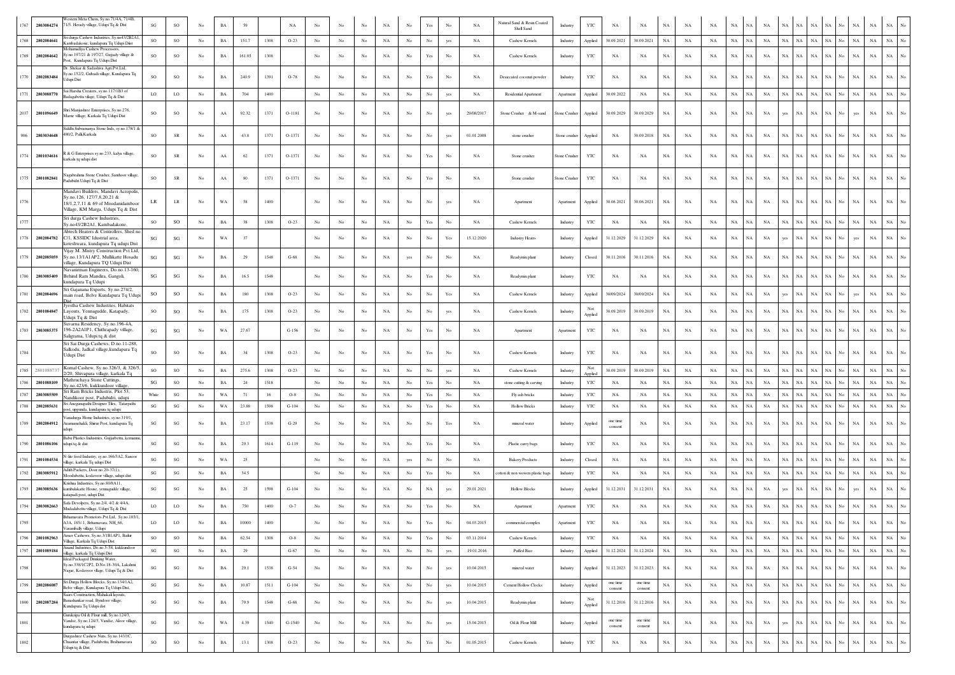| 1767         | 2803084274               | estem Meta Chem. Sv.no.71/4A, 71/4B<br>71/5. Herady village, Udupi Tq & Dist                                                                   | SG                       | $\rm SO$               | No               | $_{\rm BA}$                |              |              | NA       |                  |                  |                  | NA                | No               | Yes                                                                                   |             | NA          | Natural Sand & Resin Coated                        | Industry              | YTC            | NA                  | $_{\rm NA}$         | $_{\rm NA}$                | NA          | NA                | NA                         |                             | NA          | NA.             | <b>NA</b>                              |                  |                 |                            |                                 |
|--------------|--------------------------|------------------------------------------------------------------------------------------------------------------------------------------------|--------------------------|------------------------|------------------|----------------------------|--------------|--------------|----------|------------------|------------------|------------------|-------------------|------------------|---------------------------------------------------------------------------------------|-------------|-------------|----------------------------------------------------|-----------------------|----------------|---------------------|---------------------|----------------------------|-------------|-------------------|----------------------------|-----------------------------|-------------|-----------------|----------------------------------------|------------------|-----------------|----------------------------|---------------------------------|
| 1768         | 2802084641               | ri durga Cashew Industries, Sy.no43/2B2A1                                                                                                      | SO                       | $_{\rm SO}$            | No               | BA                         | 151.7        | 1308         | $O-23$   | No               | No               | $_{\rm No}$      | $_{\rm NA}$       | No               | $_{\rm No}$                                                                           | yes         | NA          | Shell Sand<br>Cashew Kernels                       | Industry              | Applied        | 30.09.2021          | 30.09.2021          | NA                         | NA          | NA                | $_{\rm NA}$                | $_{\rm NA}$<br>NA           | NA          | NA              | $_{\rm NA}$<br>NA                      | No               | NA              | $_{\rm NA}$                | NA<br>No                        |
| 1769         | 2802084642               | Cambadakone, kundapura Tq Udupi Diist<br>Aohamadiya Cashew Processors.<br>y.no.197/21 & 197/27, Gujjady village &                              | SO                       | SO                     | No               | $_{\rm BA}$                | 161.05       | 1308         |          | No               | No               | No               | $_{\rm NA}$       | $_{\rm No}$      | Yes                                                                                   | No          | $_{\rm NA}$ | Cashew Kernels                                     | Industry              | YTC            | $_{\rm NA}$         | NA                  | $_{\rm NA}$                | NA          | NA                | $_{\rm NA}$                | $_{\rm NA}$<br>NA           | $_{\rm NA}$ | NA              | $_{\rm NA}$<br>NA                      | No               | NA              | $_{\rm NA}$                | $_{\rm NA}$<br>No               |
|              |                          | st, Kundapura Tq Udupi Dist<br>Dr. Shekar & Sadashiya Agri Pvt Ltd.<br>no.152/2, Gulvadi village, Kundapura Tq                                 |                          |                        |                  |                            |              |              |          |                  |                  |                  |                   |                  |                                                                                       |             |             |                                                    |                       |                |                     |                     |                            |             |                   |                            |                             |             |                 |                                        |                  |                 |                            |                                 |
| 1770<br>1771 | 2802083484<br>2803088770 | lupi Dist<br>Sai Harsha Creaters, sy.no.117/1B3 of                                                                                             | <b>SO</b><br>$_{\rm LO}$ | SO<br>$_{\rm LO}$      | No<br>No         | $_{\rm BA}$<br>$_{\rm BA}$ | 240.9<br>704 | 1391<br>1400 | $O-78$   | No<br>No         | No<br>No         | No<br>No         | $_{\rm NA}$<br>NA | No<br>No         | Yes<br>No                                                                             | No<br>yes   | NA<br>NA    | Desiccated coconut powder<br>Residential Apartment | Industry<br>Apartment | YTC<br>Applied | NA<br>30.09.2022    | NA<br>NA            | $_{\rm NA}$<br>$_{\rm NA}$ | NA<br>NA    | NA<br>$_{\rm NA}$ | $_{\rm NA}$<br>$_{\rm NA}$ | NA<br>NA<br><b>NA</b><br>NA | NA<br>NA    | <b>NA</b><br>NA | $_{\rm NA}$<br>NA<br>$_{\rm NA}$<br>NA | No<br>No         | <b>NA</b><br>NA | $_{\rm NA}$<br>$_{\rm NA}$ | $_{\rm NA}$                     |
|              |                          | kadagabettu vilage, Udupi Tq & Dist                                                                                                            |                          |                        |                  |                            |              |              |          |                  |                  |                  |                   |                  |                                                                                       |             |             |                                                    |                       |                |                     |                     |                            |             |                   |                            |                             |             |                 |                                        |                  |                 |                            |                                 |
| 2037         | 2801096649               | ari Manjushree Enterprises, Sy.no.276,<br>Marne village, Karkala Tq Udupi Dist<br>Siddhi Subramanya Stone Inds, sy.no.178/1 &                  | <b>SO</b>                | $_{\rm SO}$            | No               | ${\rm AA}$                 | 92.32        | 1371         | O-1181   | No               | No               | No               | NA                | No               | No                                                                                    | yes         | 29/08/2017  | Stone Crusher & M-sand                             | Stone Crusher         | Applied        | 30.09.2029          | 30.09.2029          | NA                         | NA          | NA                | NA                         | $_{\rm NA}$<br>NA           | yes         | NA              | $_{\rm NA}$<br>NA                      | No               | yes             | $_{\rm NA}$                | $_{\rm NA}$<br>No               |
| 906          | 2803034648               | 480/2, Palli, Karkala                                                                                                                          | SO                       | SR                     | No               | ${\rm AA}$                 | 43.8         | 1371         | $O-1371$ | No               | $_{\mathrm{No}}$ | No               | NA                | No               | No                                                                                    | yes         | 01.01.2008  | stone crusher                                      | Stone crusher         | Applied        | NA                  | 30.09.2018          | NA                         | NA          | NA                | $_{\rm NA}$                | NA<br>NA                    | NA          | <b>NA</b>       | $_{\rm NA}$<br>VА                      |                  | NA              | $_{\rm NA}$                | <b>NA</b>                       |
| 1774         | 2801034616               | & G Enterprises sy.no.233, kalya village,<br>karkala tq udupi dist                                                                             | SO                       | SR                     | No               | ${\rm AA}$                 | 62           | 1371         | O-1371   | No               | No               | No               | $_{\rm NA}$       | $_{\rm No}$      | Yes                                                                                   | No          | NA          | Stone crusher                                      | Stone Crusher         | YTC            | $_{\rm NA}$         | NA                  | $_{\rm NA}$                | NA          | NA                | $_{\rm NA}$                | NA<br>NA                    | NA          | $_{\rm NA}$     | $_{\rm NA}$<br>NA                      | No               | NA              | $_{\rm NA}$                | NA                              |
|              | 1775 2801082841          | Jagabrahma Stone Crusher, Santhoor village,<br>Padubidri Udupi Tq & Dist                                                                       | SO                       | ${\sf SR}$             | No               | ${\rm AA}$                 | 80           | 1371         | O-1371   | No               | No               | No               | NA                | No               | $\operatorname*{Yes}% \left( X\right) \equiv\operatorname*{Yes}(\mathbb{R}^{3}\left)$ | No          | NA          | Stone crusher                                      | Stone Crusher         | YTC            | NA                  | NA                  | NA                         | NA          | NA                | NA                         | NA<br>NA                    | NA          | NA              | NA<br>٧A                               | No               | NA              | NA                         | NA                              |
| 1776         |                          | Mandavi Builders, Mandavi Acropolis,<br>Sv.no.126, 127/7.8.20.21 &<br>18/1,2,7,11 & 69 of Moodanidamboor<br>Village, KM Marga, Udupi Tq & Dist | LR                       | $_{\rm LR}$            | No               | WA                         | 58           | 1400         |          | No               | No               | No               | NA                | $_{\rm No}$      | $_{\rm No}$                                                                           | yes         | NA          | Apartment                                          | Apartment             | Applied        | 30.06.2021          | 30.06.2021          | NA                         | NA          | NA                | NA                         | NA<br>NA                    | NA          | NA              | NA<br>NA                               | No               | NA              | $_{\rm NA}$                | N <sub>A</sub>                  |
| 1777         |                          | Sri durga Cashew Industries,<br>y.no43/2B2A1, Kambadakone,                                                                                     | SO                       | SO                     | No               | $_{\rm BA}$                | 38           | 1308         | $O-23$   | No               | No               | No               | $_{\rm NA}$       | $_{\mathrm{No}}$ | $\operatorname*{Yes}% \left( X\right) \equiv\operatorname*{Yes}(\mathbb{R}^{3}\left)$ | $_{\rm No}$ | NA          | Cashew Kernels                                     | Industry              | $_{\rm YTC}$   | NA                  | NA                  | $_{\rm NA}$                | $_{\rm NA}$ | NA                | $_{\rm NA}$                | $_{\rm NA}$<br>NA           | NA          | NA              | $_{\rm NA}$<br>NA                      | No               | NA              | $_{\rm NA}$                | $_{\rm NA}$<br>No               |
| 1778         | 2802084782               | Abtech Heaters & Controllers, Shed no<br>C/1, KSSIDC Idustrial area,<br>koteshwara, kundapura Tq udupi Dist                                    | SG                       | SG                     | No               | WA                         | 37           |              |          | No               | No               | No               | $_{\rm NA}$       | $_{\rm No}$      |                                                                                       | Yes         | 15.12.2020  | <b>Industry Heatrs</b>                             | Industry              | Applied        | 31.12.2029          | 31.12.2029          | $_{\rm NA}$                | $_{\rm NA}$ | NA                | $_{\rm NA}$                | NA<br>NA                    | yes         | NA              | $_{\rm NA}$<br>NA                      | No               | yes             | $_{\rm NA}$                |                                 |
|              | 1779 2802085059          | Vijav M. Mistry Construction Pvt Ltd.<br>Sy.no.13/1A1AP2, Mullikatte Hosadu<br>village, Kundapura TQ Udupi Dist                                | SG                       | SG                     | No               | $_{\rm BA}$                | 29           | 1548         | $G-68$   | No               | No               | No               | NA                | yes              | No                                                                                    | No          | <b>NA</b>   | Readymix plant                                     | Industry              | Closed         | 30.11.2016          | 30.11.2016          | <b>NA</b>                  | NA          | NA                | $_{\rm NA}$                | NA<br>NA                    | NA          | $_{\rm NA}$     | $_{\rm NA}$<br>NA                      | No               | NA              | $_{\rm NA}$                | <b>NA</b>                       |
| 1780         | 2803085409               | Navanirman Engineers, Do.no.13-160,<br>Behind Ram Mandira, Gangoli,<br>andapura Tq Udupi                                                       | SG                       | SG                     | No               | BA                         | 16.5         | 1548         |          | No               | No               | No               | NA                | No               | Yes                                                                                   | No          | NA          | Readymix plant                                     | Industry              | YTC            | NA                  | NA                  | NA                         | NA          | NA                | $_{\rm NA}$                | NA.<br>NA                   | NA          | $_{\rm NA}$     | $_{\rm NA}$<br>NA                      | No               | NA              | $_{\rm NA}$                | <b>NA</b>                       |
| 1781         | 2802084696               | ri Gajanana Exports, Sy.no.274/2,<br>main road, Belve Kundapura Tq Udup                                                                        | SO                       | SO                     | $_{\mathrm{No}}$ | $_{\rm BA}$                | 180          | 1308         | $O-23$   | No               | No               | No               | $_{\rm NA}$       | No               | No                                                                                    | Yes         | NA          | Cashew Kernels                                     | Industry              | Applied        | 30/09/2024          | 30/09/2024          | $_{\rm NA}$                | $_{\rm NA}$ | NA                | $_{\rm NA}$                | NA<br>$_{\rm NA}$           | yes         | $_{\rm NA}$     | $_{\rm NA}$<br>NA                      | No               | yes             | $_{\rm NA}$                | NA                              |
|              | 1782 2801084847          | Jyestha Cashew Industries, Habitats<br>ayouts, Yennagudde, Katapady,<br>Jdupi Tq & Dist                                                        | SO                       | SO                     | No               | $_{\rm BA}$                | 175          | 1308         | $O-23$   | No               | No               | No               | $_{\rm NA}$       | $_{\rm No}$      | No                                                                                    | yes         | NA          | Cashew Kernels                                     | Industry              | Not<br>Applied | 30.09.2019          | 30.09.2019          | $_{\rm NA}$                | NA          | NA                | $_{\rm NA}$                | NA<br>NA                    | NA          | $_{\rm NA}$     | $_{\rm NA}$<br>NA                      | No               | NA              | $_{\rm NA}$                | $_{\rm NA}$                     |
| 1783         | 2803085375               | Suvarna Residency, Sy.no.196-4A,<br>196-2A2A1P1, Chithrapady village,<br>Saligrama, Udupi tq & dist                                            | SG                       | $\mathbf{S}\mathbf{G}$ | No               | WA                         | 27.67        |              | $G-156$  | No               | No               | No               | NA                | No.              | Yes                                                                                   | No          | NA          | Apartment                                          | Apartment             | YTC            | NA                  | NA                  | NA                         | NA          | NA                | $_{\rm NA}$                | NA<br>NA                    | NA          | $_{\rm NA}$     | $_{\rm NA}$<br>NA                      | No.              | NA              | $_{\rm NA}$                | NA                              |
| 1784         |                          | Sri Sai Durga Cashews, D.no.11-288,<br>Salkodu, Jadkal village, kundapura Tq<br>Udupi Dist                                                     | <b>SO</b>                | SO                     | No               | <b>BA</b>                  | 34           | 1308         | $O-23$   | No               | No               | No               | NA                | No               | Yes                                                                                   | No          | NA          | Cashew Kernels                                     | Industry              | YTC            | NA                  | NA                  | NA                         | NA          | NA                | $_{\rm NA}$                | $_{\rm NA}$<br>NA           | NA          | $_{\rm NA}$     | $_{\rm NA}$<br>NA                      | No.              | <b>NA</b>       | $_{\rm NA}$                | NA                              |
| 1785         | 280108873                | Komal Cashew, Sy.no.326/3, & 326/5<br>/20, Shivapura village, karkala Tq.                                                                      | SO                       | SO                     | No               | BA                         | 275.6        | 1308         | $O-23$   | $_{\rm No}$      | No               | $_{\rm No}$      | $_{\rm NA}$       | No               | $_{\rm No}$                                                                           | yes         | NA          | Cashew Kernels                                     | Industry              | Not<br>Applied | 30.09.2019          | 30.09.2019          | $_{\rm NA}$                | NA          | NA                | $_{\rm NA}$                | NA<br>NA                    | $_{\rm NA}$ | NA              | $_{\rm NA}$<br>NA                      | No               | NA              | $_{\rm NA}$                | $_{\rm NA}$<br>No               |
| 1786         | 2801088109               | Mathruchaya Stone Cuttings<br>y.no.423/6, kukkundoor village                                                                                   | SG                       | SO                     | No               | BA                         | 24           | 1518         |          | No               | No               | $_{\rm No}$      | $_{\rm NA}$       | No               | Yes                                                                                   | No          | NA          | stone cutting & carving                            | Industry              | YTC            | NA                  | NA                  | NA                         | NA          | NA                | NA                         | NA<br>NA                    | NA          | NA              | NA<br>NA                               | No               | NA              | $_{\rm NA}$                | NA<br>No                        |
| 1787         | 2803085509               | Sri Ram Bricks Industris, Plot 53.<br>andikoor post, Padubidri, udup                                                                           | White                    | $\mathbf{S}\mathbf{G}$ | No               | WA                         | 71           | 16           | $O-8$    | No               | No               | $_{\rm No}$      | $_{\rm NA}$       | No               | Yes                                                                                   | No          | NA          | Fly ash bricks                                     | Industry              | YTC            | NA                  | NA                  | $_{\rm NA}$                | NA          | NA                | $_{\rm NA}$                | NA<br>NA                    | NA          | $_{\rm NA}$     | $_{\rm NA}$<br>NA                      | No               | NA              | $_{\rm NA}$                | NA<br>No                        |
| 1788         | 2802085631               | ri Aneganapathi Designer Tiles, Tatarpathi<br>st, uppunda, kundapura tq udupi                                                                  | SG                       | $_{\rm SG}$            | No               | WA                         | 23.88        | 1598         | $G-104$  | $_{\rm No}$      | No               | $_{\rm No}$      | $_{\rm NA}$       | No               | Yes                                                                                   | $_{\rm No}$ | NA          | <b>Hollow Bricks</b>                               | Industry              | YTC            | $_{\rm NA}$         | NA                  | NA                         | NA          | NA                | NA                         | NA<br>NA                    |             | NA NA           | NA                                     | NA No            | NA              | NA                         | No<br>NA                        |
| 1789         | 2802084912               | anadurga Home Industries, sy.no.319/1<br>ramamehakli, Shirur Post, kundapura Tq<br>xluoi                                                       | SG                       | $\mathbf{S}\mathbf{G}$ | No               | $_{\rm BA}$                | 23.17        | 1538         | $G-29$   | No               | No               | No               | NA                | $_{\rm No}$      | No                                                                                    | Yes         | NA          | mineral water                                      | Industry              | Applied        | one time<br>consent | NA                  | $_{\rm NA}$                | NA          | NA                | $_{\rm NA}$                | NA<br>NA                    | NA          | NA              | $_{\rm NA}$<br>NA                      | No               | NA              | $_{\rm NA}$                | $_{\rm NA}$                     |
| 1790         | 2801086106               | Babu Plastics Industries, Gujjarbettu, kemanni<br>xlupi tq & dist                                                                              | SG                       | $\mathbf{S}\mathbf{G}$ | No               | $_{\rm BA}$                | 29.3         | 1614         | $G-119$  | No               | No               | No               | NA                | No               | Yes                                                                                   | No          | NA          | Plastic carry bags                                 | Industry              | YTC            | $_{\rm NA}$         | NA                  | $_{\rm NA}$                | NA          | NA                | $_{\rm NA}$                | NA<br>NA                    | $_{\rm NA}$ | $_{\rm NA}$     | $_{\rm NA}$<br>NA                      | No               | NA              | NA                         | NA                              |
| 1791         | 2801084534               | - lite food Industry, sy.no.166/3A2, Sanoor<br>lage, karkala Tq udupi Dist                                                                     | SG                       | $\mathbf{S}\mathbf{G}$ | No               | WA                         | 25           |              |          | $_{\mathrm{No}}$ | $_{\rm No}$      | $_{\rm No}$      | $_{\rm NA}$       | yes              | No                                                                                    | $_{\rm No}$ | NA          | <b>Bakery Products</b>                             | Industry              | Closed         | NA                  | NA                  | $_{\rm NA}$                | NA          | NA                | $_{\rm NA}$                | NA<br>NA                    | NA          | NA.             | NA<br>ŃА                               |                  | <b>NA</b>       | $_{\rm NA}$                |                                 |
| 1792         | 2803085912               | Adith Packers, Door no.20-37(1).<br>Moodubettu, kodavoor village, udupi dis                                                                    | SG                       | SG                     | No               | $_{\rm BA}$                | 34.5         |              |          | No               | No               | $_{\rm No}$      | $_{\rm NA}$       | $_{\rm No}$      | Yes                                                                                   | $_{\rm No}$ | NA          | otton & non wowen plastic bags                     | Industry              | YTC            | NA                  | NA                  | $_{\rm NA}$                | NA          | NA                | $_{\rm NA}$                | <b>NA</b><br>NA             | NA          | $_{\rm NA}$     | $_{\rm NA}$<br>NA                      | No               | NA              | $_{\rm NA}$                | <b>NA</b><br>No                 |
| 1793         | 280308563                | rishna Industries, Sy.no.80/8A11,<br>umbalakatte House, yennagudde village,<br>tapadi post, udupi Dist                                         | SG                       | SG                     | No               | BA                         | 25           | 1598         | $G-104$  | No               | No               | No               | NA                | No               | NA                                                                                    | yes         | 29.01.2021  | <b>Hollow Blocks</b>                               | Industry              | Applied        | 31.12.2031          | 31.12.2031          | NA                         | NA          | NA                | $_{\rm NA}$                | NA<br>NA                    | yes         | NA              | NA<br>NA                               | No               | yes             | NA                         | $_{\rm NA}$                     |
| 1794         | 2803082663               | Safa Devolpers, Sy.no.2/4, 4/2 & 4/4A,<br>Mudadabettu village, Udupi Tq & Dist                                                                 | LO                       | $_{\rm LO}$            | No               | $_{\rm BA}$                | 750          | 1400         | $O-7$    | No               | No               | No               | $_{\rm NA}$       | No               |                                                                                       | No          | NA          | Apartment                                          | Apartment             | YTC            | NA                  | NA                  | NA                         | NA          | NA                | NA                         | NA<br>NA                    | $_{\rm NA}$ | $_{\rm NA}$     | $_{\rm NA}$<br>NA                      | No               | $_{\rm NA}$     | $_{\rm NA}$                | NA<br>No                        |
|              |                          | Brhamavara Promotors Pvt Ltd, Sy.no.185/1,<br>43A, 185/-1, Brhamayara, NH 66<br>Varambally village, Udupi                                      |                          | LO                     |                  |                            |              |              |          |                  |                  |                  |                   |                  |                                                                                       |             | 04.03.2015  |                                                    |                       | <b>YTC</b>     |                     |                     |                            |             |                   | NA                         |                             |             | NA.             | NA                                     |                  | NA              | <b>NA</b>                  | NA                              |
| 1796         | 2801082963               | Arnav Cashews, Sy.no.3/1B1AP1, Bailur<br>Village, Karkala Tq Udupi Dist                                                                        | SO                       | SO                     | No               | $_{\rm BA}$                | 62.54        | 1308         | $O-8$    | $_{\mathrm{No}}$ | No               | $_{\rm No}$      | $_{\rm NA}$       | No               | Yes                                                                                   | $_{\rm No}$ | 03.11.2014  | Cashew Kernels                                     | Industry              | YTC            | NA                  | NA                  | $_{\rm NA}$                | NA          | NA                | $_{\rm NA}$                | <b>NA</b><br>NA             | NA          | $_{\rm NA}$     | $_{\rm NA}$<br>$_{\rm NA}$             | $_{\mathrm{No}}$ | $_{\rm NA}$     | $_{\rm NA}$                | $_{\rm No}$<br>$_{\rm NA}$      |
| 1797         | 2801089184               | Anand Industries, Do.no.5-58, kukkundoor<br>illage, karkala Tq Udupi Dist                                                                      | $\mathbf{S}\mathbf{G}$   | $\mathbf{SG}$          | No               | $_{\rm BA}$                | 29           |              | $G-67$   | $_{\mathrm{No}}$ | No               | $_{\rm No}$      | $_{\rm NA}$       | $_{\mathrm{No}}$ | $_{\rm No}$                                                                           | yes         | 19.01.2016  | <b>Puffed Rice</b>                                 | Industry              | Applied        | 31.12.2024          | 31.12.2024          | $_{\rm NA}$                | $_{\rm NA}$ | $_{\rm NA}$       | $_{\rm NA}$                | $_{\rm NA}$<br><b>NA</b>    | NA          | $_{\rm NA}$     | $_{\rm NA}$<br>$_{\rm NA}$             | $_{\rm No}$      | $_{\rm NA}$     | $_{\rm NA}$                | $_{\rm No}$<br>$_{\rm NA}$      |
| 1798         |                          | Ideal Packaged Drinking Water,<br>y.no.338/1C2P2, D.No.18-30A, Lakshmi<br>Nagar, Kodavoor vllage, Udupi Tq & Dist                              | SG                       | $\mathbf{S}\mathbf{G}$ | No               | $_{\rm BA}$                | 29.1         | 1538         | $G-54$   | No               | No               | $_{\rm No}$      | $_{\rm NA}$       | $_{\rm No}$      | $_{\rm No}$                                                                           | yes         | 10.04.2015  | mineral water                                      | Industry              | Applied        | 31.12.2023          | 31.12.2023          | $_{\rm NA}$                | NA          | NA                | $_{\rm NA}$                | $_{\rm NA}$<br>NA           | NA          | NA              | NA<br>NA                               | $_{\rm No}$      | NA              | $_{\rm NA}$                | $_{\rm NA}$<br>$_{\rm No}$      |
| 1799         | 2802086087               | Sri Durga Hollow Blocks, Sy.no.134/1A2,<br>Belve village, Kundapura Tq Udupi Dist,                                                             | $\mathbf{S}\mathbf{G}$   | $\mathbf{S}\mathbf{G}$ | $_{\rm No}$      | $_{\rm BA}$                | 10.87        | 1511         | $G-104$  | $_{\mathrm{No}}$ | No               | $_{\mathrm{No}}$ | $_{\rm NA}$       | $_{\mathrm{No}}$ | $_{\rm No}$                                                                           | yes         | 10.04.2015  | Cement Hollow Clocks                               | Industry              | Applied        | one time<br>consent | one time<br>consent | $_{\rm NA}$                | $_{\rm NA}$ | $_{\rm NA}$       | $_{\rm NA}$                | NA<br>NA                    | $_{\rm NA}$ | $_{\rm NA}$     | $_{\rm NA}$<br>$_{\rm NA}$             | No               | $_{\rm NA}$     | $_{\rm NA}$                | $_{\rm NA}$<br>$_{\rm No}$      |
| 1800         | 2802087284               | aars Construction, Mahakali layouts,<br>Banashankar road, Byndoor village,<br>Kundapura Tq Udupi dist                                          | $\mathbf{S}\mathbf{G}$   | $\mathbf{S}\mathbf{G}$ | No               | $_{\rm BA}$                | 79.9         | 1548         | $G-68$   | No               | No               | $_{\rm No}$      | $_{\rm NA}$       | $_{\rm No}$      | $_{\rm No}$                                                                           | yes         | 10.04.2015  | Readynix plant                                     | Industry              | Not<br>Applied | 31.12.2016          | 31.12.2016          | $_{\rm NA}$                | NA          | $_{\rm NA}$       | $_{\rm NA}$                | $_{\rm NA}$<br>NA           | NA          | $_{\rm NA}$     | $_{\rm NA}$<br>NA                      | No               | $_{\rm NA}$     | $_{\rm NA}$                | $_{\rm NA}$<br>$_{\mathrm{No}}$ |
| 1801         |                          | Gurukripa Oil & Flour mill, Sy.no.124/3,<br>Vandse, Sy.no.124/3, Vandse, Aloor village,<br>kundapura tq udupi                                  | SG                       | $\mathbf{S}\mathbf{G}$ | No               | WA                         | 4.39         | 1540         | $G-1540$ | $_{\rm No}$      | No               | $_{\rm No}$      | $_{\rm NA}$       | $_{\rm No}$      | $_{\rm No}$                                                                           | yes         | 15.04.2015  | Oil & Flour Mill                                   | Industry              | Applied        | one time<br>consent | one time<br>consent | $_{\rm NA}$                | NA          | NA                | $_{\rm NA}$                | NA<br>NA                    | yes         | $_{\rm NA}$     | $_{\rm NA}$<br>$_{\rm NA}$             | No               | $_{\rm NA}$     | $_{\rm NA}$                | $_{\rm NA}$<br>$_{\mathrm{No}}$ |
| 1802         |                          | Durgashree Cashew Nuts, Sy.no.143/1C,<br>Chaantar village, Padubettu, Brahamavara<br>Udupi tq & Dist                                           | SO                       | $_{\rm SO}$            | $_{\rm No}$      | $_{\rm BA}$                | 13.1         | 1308         | $O-23$   | $_{\mathrm{No}}$ | $_{\mathrm{No}}$ | $_{\rm No}$      | $_{\rm NA}$       | $_{\mathrm{No}}$ | $\operatorname{Yes}$                                                                  | $_{\rm No}$ | 01.05.2015  | Cashew Kernels                                     | Industry              | $_{\rm YTC}$   | $_{\rm NA}$         | $_{\rm NA}$         | $_{\rm NA}$                | $_{\rm NA}$ | $_{\rm NA}$       | $_{\rm NA}$                | $_{\rm NA}$<br>$_{\rm NA}$  | NA          | $_{\rm NA}$     | $_{\rm NA}$<br>$_{\rm NA}$             | $_{\mathrm{No}}$ | $_{\rm NA}$     | $_{\rm NA}$                | $_{\rm NA}$<br>$_{\mathrm{No}}$ |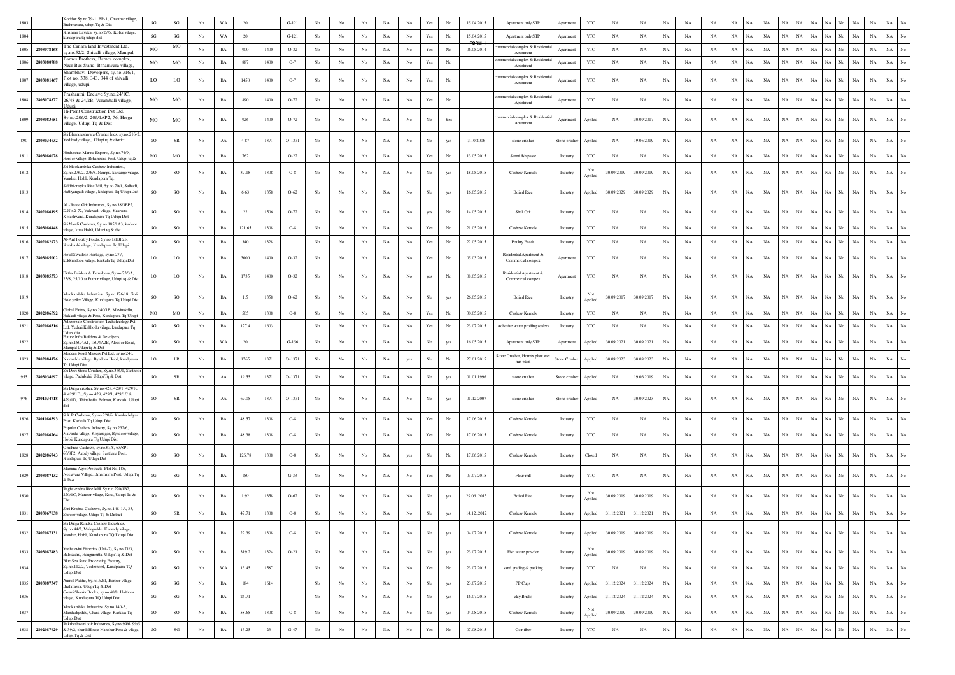| 1803 | Koridor Sy.no.79-1, BP-1, Chanthar village,<br>trahmavara, udupi Tq & Dist                                                                     | $\mathbf{S}\mathbf{G}$ | $\mathbf{S}\mathbf{G}$ |                  | WA          | 20     |        | $G-121$  |                  |                  |                  | NA          |                  | Yes                                                                             |                  | 15.04.2015 | Apartment only STP                           | Apartment     | YTC            | NA          | NA          | <b>NA</b>   | NA          |             | <b>NA</b>   |             |             |                            | NA          |                          |             |             |                                 |  |
|------|------------------------------------------------------------------------------------------------------------------------------------------------|------------------------|------------------------|------------------|-------------|--------|--------|----------|------------------|------------------|------------------|-------------|------------------|---------------------------------------------------------------------------------|------------------|------------|----------------------------------------------|---------------|----------------|-------------|-------------|-------------|-------------|-------------|-------------|-------------|-------------|----------------------------|-------------|--------------------------|-------------|-------------|---------------------------------|--|
| 1804 | rishnan Bavuka, sy.no.27/5, Kollur village,<br>undapura tq udupi dist                                                                          | SG                     | SG                     | No               | WA          | 20     |        | $G-121$  | No               | No               | No               | NA          | $_{\rm No}$      | Yes                                                                             | No               | 15.04.2015 | Apartment only STP                           | Apartment     | YTC            | NA          | NA          | NA          | NA          | NA          | $_{\rm NA}$ | NA          | $_{\rm NA}$ | $_{\rm NA}$<br>NA          | $_{\rm NA}$ | NA  <br>No               | $_{\rm NA}$ | $_{\rm NA}$ | <b>NA</b>                       |  |
|      | he Canara land Investment Ltd,<br>1805 2803078168<br>.no.52/2, Shivalli village, Manipal,                                                      | <b>MO</b>              | MO                     | No.              | $_{\rm BA}$ | 900    | 1400   | $O-32$   | No               | No               | $_{\rm No}$      | NA          | $_{\rm No}$      | Yes                                                                             | No               | 06.05.2014 | mmercial complex & Resident<br>Apartment     | Apartment     | YTC            | NA          | NA          | NA          | NA          | NA          | NA          | $_{\rm NA}$ | NA          | $_{\rm NA}$<br>$_{\rm NA}$ | $_{\rm NA}$ | $\rm NA-}{\rm No}$       | $_{\rm NA}$ | $_{\rm NA}$ | <b>NA</b>                       |  |
| 1806 | arnes Brothers, Barnes complex,<br>2803080788<br>lear Bus Stand, Brhamvara village,                                                            | MO                     | MO                     | No               | BA          | 887    | 1400   | $O-7$    | No               | No               | No               | NA          | No               | Yes                                                                             | No               |            | mmercial complex & Resident<br>Apartment     | Apartment     | YTC            | NA          | NA          | NA          | NA          | NA          | NA          | NA          | NA          | NA<br>NA                   | $_{\rm NA}$ | NA No                    | $_{\rm NA}$ | $_{\rm NA}$ | NA.                             |  |
|      | Shambhavi Devolpers, sv no 316/1<br>lot no. 338, 343, 344 of shivalli<br>1807 2803081467<br>illage, udupi                                      | LO                     | LO                     | No               | $_{\rm BA}$ | 1450   | 1400   | $O-7$    | No               | No               | No               | NA          | No               | Yes                                                                             | No               |            | ommercial complex & Residenti<br>Apartment   | Apartment     | YTC            | NA          | $_{\rm NA}$ | NA          | NA          | NA          | $_{\rm NA}$ | NA          | NA          | NA<br>NA                   | $_{\rm NA}$ | NA  <br>No.              | $_{\rm NA}$ | <b>NA</b>   |                                 |  |
| 1808 | Prashanthi Enclave Sv.no.24/1C.<br>2803078877<br>26/48 & 24/2B, Varamballi village,<br>dun                                                     | MO                     | MO                     | No               | BA          | 890    | 1400   | $O-72$   | No               | No               | No               | NA          | No               | Yes                                                                             | No               |            | commercial complex & Residenti<br>Apartment  | Apartmen      | YTC            | NA          | NA          | NA          | NA          | NA          | NA          | NA          | NA          | NA<br>NA                   | $_{\rm NA}$ | $_{\rm NA}$<br>No        | $_{\rm NA}$ | NA          | NA.                             |  |
| 1809 | Hi-Point Construction Pvt Ltd.<br>y.no.206/2, 206/1AP2, 76, Herga<br>2803083651<br>illage, Udupi Tq & Dist                                     | MO                     | $_{\rm MO}$            | No               | BA          | 926    | 1400   | $O-72$   | No               | No               | No               | NA          | No               | No                                                                              | Yes              |            | ommercial complex & Residentia<br>Apartment  | Apartment     | Applied        | NA          | 30.09.2017  | NA          | NA          | NA          | NA          | $_{\rm NA}$ | NA          | NA<br>NA                   | $_{\rm NA}$ | NA No                    | $_{\rm NA}$ | $_{\rm NA}$ |                                 |  |
| 890  | ri Bhuvaneshwara Crusher Inds, sy.no.216-2,<br>'edthady village, Udupi tq & district<br>2803034632                                             | <b>SO</b>              | SR                     | No.              | AA          | 4.87   | 1371   | $O-1371$ | No               | No               | No               | NA          | No               | No                                                                              | yes              | 3.10.2006  | stone crusher                                | Stone crusher | Applied        | NA          | 19.06.2019  | NA          | NA          | NA          | NA          | NA          | NA          | $_{\rm NA}$<br>NA          | $_{\rm NA}$ | NA<br>No                 | $_{\rm NA}$ | <b>NA</b>   |                                 |  |
|      | Hindusthan Marine Exports, Sy.no.74/9,<br>1811 2803086078<br>roor village, Brhamvara Post, Udupi tq &                                          | MO                     | MO                     | No               | BA          | 762    |        | $O-22$   | No               | No               | No               | NA          | No               | Yes                                                                             | No               | 13.05.2015 | Surmi fish paste                             | Industry      | YTC            | NA          | NA          | NA          | NA          | NA          | NA          | $_{\rm NA}$ | NA          | $_{\rm NA}$<br>NA          | $_{\rm NA}$ | NA No                    | $_{\rm NA}$ | NA          |                                 |  |
| 1812 | ri Mookambika Cashew Industries<br>Sv.no.276/2, 276/5, Nempu, karkunje village<br>andse, Hobli, Kundapura Tq.                                  | <b>SO</b>              | SO.                    | No               | BA          | 37.18  | 1308   | $O-8$    | No               | No               | No               | NA          | No               | No                                                                              | yes              | 18.05.2015 | Cashew Kernels                               | Industry      | Not<br>Applied | 30.09.2019  | 30.09.2019  | $_{\rm NA}$ | NA          | NA          | NA          | NA          | NA          | $_{\rm NA}$<br>NA          | NA          | NA  <br>No               | $_{\rm NA}$ | NA          |                                 |  |
| 1813 | iddhivinayka Rice Mill, Sy.no.70/1, Salbadi<br>-lattiyangadi village,, kndapura Tq Udupi Dist                                                  | <b>SO</b>              | SO                     | No               | $_{\rm BA}$ | 6.63   | 1358   | $O-62$   | No               | No               | No               | NA          | No               | $_{\rm No}$                                                                     | yes              | 16.05.2015 | <b>Boiled Rice</b>                           | Industry      | Applied        | 30.09.2029  | 30.09.2029  | NA          | NA          | NA          | $_{\rm NA}$ | $_{\rm NA}$ | NA          | $_{\rm NA}$<br>NA          | $_{\rm NA}$ | NA<br>No                 | $_{\rm NA}$ | $_{\rm NA}$ | NA.                             |  |
| 1814 | AL-Razee Grit Industries, Sy.no.38/3BP2,<br>No.2-72, Vakwadi village, Kalavara<br>2802086195<br>oteshwara, Kundapura Tq Udupi Dist             | SG                     | SO                     | No               | BA          | 22     | 1506   | $O-72$   | No               | No               | No               | NA          | No               | yes                                                                             | No               | 14.05.2015 | Shell Grit                                   | Industry      | YTC            | <b>NA</b>   | <b>NA</b>   | NA          | NA          | NA          | NA          | NA          | NA          | $_{\rm NA}$<br>NA.         | $_{\rm NA}$ | NA  <br>No               | NA          | NA          |                                 |  |
| 1815 | ri Nandi Cashews, Sy.no.185/1A3, kadoor<br>2803086448<br>lage, kota Hobli, Udupi tq & dist                                                     | SO                     | SO                     | No               | BA          | 121.65 | 1308   | $O-8$    | No               | No               | $_{\rm No}$      | $_{\rm NA}$ | $_{\rm No}$      | Yes                                                                             | No               | 21.05.2015 | Cashew Kernels                               | Industry      | YTC            | NA          | NA          | NA          | NA          | NA          | $_{\rm NA}$ | NA          | NA          | NA<br>NA                   | $_{\rm NA}$ | NA  <br>No               | NA          | <b>NA</b>   |                                 |  |
| 1816 | L-Arif Poultry Feeds, Sy.no.1/1BP25,<br>2802082973<br>umbashi village, Kundapura Tq Udupi                                                      | SO                     | SO                     | $_{\mathrm{No}}$ | $_{\rm BA}$ | 340    | 1328   |          | $_{\rm No}$      | $_{\rm No}$      | $_{\rm No}$      | $_{\rm NA}$ | $_{\rm No}$      | Yes                                                                             | No               | 22.05.2015 | Poultry Feeds                                | Industry      | YTC            | NA          | $_{\rm NA}$ | NA          | NA          | NA          | $_{\rm NA}$ | $_{\rm NA}$ | NA          | NA<br>NA                   | $_{\rm NA}$ | NA                       | $_{\rm NA}$ | $_{\rm NA}$ |                                 |  |
|      | otel Swadesh Hertiage, sy.no.277<br>1817 2803085002<br>cukkundooe village, karkala Tq Udupi Dist                                               | LO                     | LO                     | No               | $_{\rm BA}$ | 3000   | 1400   | $O-32$   | No               | No               | No               | $_{\rm NA}$ | $_{\rm No}$      | Yes                                                                             | No               | 05.03.2015 | Residential Apartment &<br>Commercial compex | Apartment     | YTC            | NA          | NA          | NA          | NA          | NA          | NA          | NA          | NA          | $_{\rm NA}$<br>$_{\rm NA}$ | $_{\rm NA}$ | $_{\rm NA}$<br>No        | $_{\rm NA}$ | NA          | <b>NA</b>                       |  |
| 1818 | ktha Builders & Devolpers, Sy.no.73/3A,<br>2803085373<br>25/8, 25/10 at Puthur village, Udupi tq & Dist                                        | LO                     | LO                     | No               | $_{\rm BA}$ | 1735   | 1400   | $O-32$   | No               | No               | No               | NA          | $_{\rm No}$      | yes                                                                             | No               | 08.05.2015 | Residential Apartment &<br>Commercial compex | Apartment     | YTC            | NA          | $_{\rm NA}$ | NA          | NA          | NA          | $_{\rm NA}$ | NA          | NA          | $_{\rm NA}$<br>$_{\rm NA}$ | $_{\rm NA}$ | NA  <br>No               | $_{\rm NA}$ | $_{\rm NA}$ |                                 |  |
| 1819 | Mookambika Industries, Sy.no.176/18, Goli<br>Hole yeller Village, Kundapura Tq Udupi Dist                                                      | SO                     | SO                     | No.              | BA          | 1.5    | 1358   | $O-62$   | No               | No               | No               | NA          | No               | No                                                                              | yes              | 26.05.2015 | <b>Boiled Rice</b>                           | Industry      | Not<br>Applied | 30.09.2017  | 30.09.2017  | NA          | NA          | NA          | NA          | $_{\rm NA}$ | NA          | $_{\rm NA}$<br>NA          | $_{\rm NA}$ | NA  <br>No               | $_{\rm NA}$ | <b>NA</b>   |                                 |  |
| 1820 | 'ilohal Exims. Sv.no.240/1B. Mavinakdlu.<br>2802086592<br>Hakladi village & Post, Kundapura Tq Udup                                            | MO                     | MO                     | No               | BA          | 505    | 1308   | $O-8$    | No               | No               | No               | NA          | $_{\rm No}$      | $\operatorname{Yes}$                                                            | No               | 30.05.2015 | Cashew Kernels                               | Industry      | YTC            | NA          | NA          | NA          | NA          | NA          | NA          | NA          | NA          | NA<br>NA                   | $_{\rm NA}$ | NA No                    | $_{\rm NA}$ | NA          |                                 |  |
|      | dhecreate Construction Techohnology Pvt<br>1821 2802086516<br>td, Yederi Kalthodu village, kundapura Tq                                        | SG                     | $\mathbf{SG}$          | No               | BA          | 177.4  | 1603   |          | No               | No               | No               | NA          | No               | $\operatorname*{Yes}% \left( X\right) \equiv\operatorname*{Yes}\left( X\right)$ | No               | 23.07.2015 | Adhesive water proffing sealers              | Industry      | YTC            | NA          | NA          | NA          | NA          | NA          | $_{\rm NA}$ | $_{\rm NA}$ | NA          | $_{\rm NA}$<br>NA          | $_{\rm NA}$ | NA No                    | $_{\rm NA}$ | NA          |                                 |  |
| 1822 | Future Infra Builders & Devolpers,<br>y.no.150/4A1, 150/4A2B, Alevoor Road,<br>Manipal Udupi to & Dist                                         | SO                     | SO                     | No               | WA          | 20     |        | $G-156$  | No               | No               | No               | NA          | $_{\mathrm{No}}$ | No                                                                              | yes              | 16.05.2015 | Apartment only STP                           | Apartment     | Applied        | 30.09.2021  | 30.09.2021  | NA          | NA          | NA          | $_{\rm NA}$ | NA          | NA          | $_{\rm NA}$<br>NA          | $_{\rm NA}$ | NA  <br>No               | $_{\rm NA}$ | $_{\rm NA}$ |                                 |  |
| 1823 | Modern Road Makers Pvt Ltd, sy.no.246,<br>2802084176<br>avundda village, Byndoor Hobli, kundpaura<br>I Udupi Dist                              | LO                     | LR                     | No               | $_{\rm BA}$ | 1765   | 1371   | O-1371   | No               | No               | No               | NA          | yes              | No                                                                              | No               | 27.01.2015 | tone Crusher, Hotmix plant we<br>mix plant   | Stone Crusher | Applied        | 30.09.2023  | 30.09.2023  | NA          | NA          | NA          | $_{\rm NA}$ | NA          | NA          | NA<br>NA                   | $_{\rm NA}$ | $_{\rm NA}$<br>No        | $_{\rm NA}$ | NA          | NA.                             |  |
| 955  | i Devi Stone Crusher, Sy.no.366/1, Santhoo<br>2803034697<br>illage, Padubidri, Udupi Tq & Dist                                                 | SO                     | ${\sf SR}$             | No               | ${\rm AA}$  | 19.55  | 1371   | $O-1371$ | No               | No               | No               | NA          | No               | No                                                                              | yes              | 01.01.1996 | stone crusher                                | Stone crusher | Applied        | NA          | 19.06.2019  | $_{\rm NA}$ | NA          | NA          | NA          | $_{\rm NA}$ | NA          | $_{\rm NA}$<br>NA          | $_{\rm NA}$ | NA No                    | $_{\rm NA}$ | $_{\rm NA}$ | NA                              |  |
| 976  | iri Durga crusher, Sy.no.428, 429/1, 429/1C<br>429/1D, Sy.no.428, 429/1, 429/1C &<br>2801034718<br>429/1D, Thirtabailu, Belman, Karkala, Udupi | <b>SO</b>              | SR                     | No               | AA          | 69.05  | 1371   | $O-1371$ | No               | No               | No               | NA          | No               | No                                                                              | yes              | 01.12.2007 | stone crusher                                | Stone crusher | Applied        | NA          | 30.09.2023  | NA          | <b>NA</b>   | NA          | NA          | $_{\rm NA}$ | NA          | NA<br>NA                   | $_{\rm NA}$ | NA No                    | NA          | NA          | NA                              |  |
| 1826 | K.R Cashews, Sy.no.220/6, Kamba Miyar<br>2801086593<br>ost, Karkala Tq Udupi Dist                                                              | SO                     | SO                     | No               | $_{\rm BA}$ | 48.57  | 1308   | $O-8$    | No               | No               | No               | $_{\rm NA}$ | $_{\rm No}$      | Yes                                                                             | No               | 17.06.2015 | Cashew Kernels                               | Industry      | YTC            | NA          | NA          | NA          | NA          | NA          | $_{\rm NA}$ | NA          | NA          | NA<br><b>NA</b>            | $_{\rm NA}$ | $_{\rm NA}$<br>No        | $_{\rm NA}$ | $_{\rm NA}$ |                                 |  |
| 1827 | ppular Cashew Industry, Sy.no.232/6.<br>avunda village, Koyanagar, Byndoor village,<br>2802086764<br>obli, Kundapura Tq Udupi Dist             | <sub>SO</sub>          | SO                     | No               | BA          | 48.38  | 1308   | $O-8$    | No               | No               | No               | NA          | No               | Yes                                                                             | No               | 17.06.2015 | Cashew Kernels                               | Industry      | YTC            | NA          | NA          | NA          | NΑ          | NA          | $_{\rm NA}$ | NA          | NA          | $_{\rm NA}$<br>NA          | $_{\rm NA}$ | NA<br>No                 | $_{\rm NA}$ | <b>NA</b>   |                                 |  |
|      | mshree Cashews, sy.no.63/8, 63/8P1<br>3/8P2, Airody village, Sasthana Post,<br>1828 2802086743<br>undapura Tq Udupi Dist                       | SO.                    | SO                     | No               | BA          | 126.78 | 1308   | $O-8$    | No               | No               | No               | NA          | yes              | No                                                                              | No               | 17.06.2015 | Cashew Kernels                               | Industry      | Closed         | <b>NA</b>   | <b>NA</b>   | NA          | <b>NA</b>   | NA          | NA          | $_{\rm NA}$ | NA          | NA<br>NA                   | $_{\rm NA}$ | NA<br>No.                | $_{\rm NA}$ | <b>NA</b>   |                                 |  |
| 1829 | Mamma Agro Products, Plot No.186.<br>Jeelavara Village, Brhamavra Post, Udupi Tq<br>2803087132<br>Dist                                         | SG                     | SG                     | No               | BA          | 150    |        | $G-33$   | No               | No               | No               | NA          | No               | Yes                                                                             | No               | 03.07.2015 | Flour mill                                   | Industry      | YTC            | <b>NA</b>   | <b>NA</b>   | NA          | <b>NA</b>   | <b>NA</b>   | $_{\rm NA}$ | NA          | NA          | NA<br>NA.                  | $_{\rm NA}$ | NA                       | NA          | <b>NA</b>   |                                 |  |
| 1830 | Raghavendra Rice Mill. Sv.n.o.270/1B2.<br>270/1C, Manoor village, Kota, Udupi Tq &                                                             | <b>SO</b>              | SO.                    | No               | BA          | 1.92   | 1358   | $O-62$   | No               | No               | No               | NA          | No               | No                                                                              |                  | 29.062015  | <b>Boiled Rice</b>                           | Industry      | Not<br>Applied | 30.09.2019  | 30.09.2019  | $_{\rm NA}$ | NA          | NA          | NA          | NA          | NA          | $_{\rm NA}$<br>$_{\rm NA}$ | $_{\rm NA}$ | NA  <br>No.              | $_{\rm NA}$ | NA          |                                 |  |
|      | hri Krishna Cashews, Sy.no.148-1A, 33,<br>1831 2803067038<br>Shiroor village, Udupi Tq & District                                              | <sub>SO</sub>          | SR                     | No               | BA          | 47.71  | 1308   | $O-8$    | No               | No               | No               | NA          | No               | No                                                                              | yes              | 14.122012  | Cashew Kernels                               | Industry      | Applied        | 31.12.2021  | 31.12.2021  | $_{\rm NA}$ | NA          | NA          | $_{\rm NA}$ | $_{\rm NA}$ | NA          | $_{\rm NA}$<br>NA          | $_{\rm NA}$ | NA No                    | $_{\rm NA}$ | $_{\rm NA}$ |                                 |  |
|      | ri Durea Renuka Cashew In<br>y.no.44/2, Mulugudde, Karvady village,<br>1832 2802087131<br>andse, Hobli, Kundapura TQ Udupi Dist                | SO                     | $\rm SO$               | $_{\mathrm{No}}$ | $_{\rm BA}$ | 22.39  | 1308   | $O-8$    | No               | No               | $_{\rm No}$      | NA          | $_{\rm No}$      | $_{\rm No}$                                                                     | yes              | 04.07.2015 | Cashew Kernels                               | Industry      | Applied        | 30.09.2019  | 30.09.2019  | $_{\rm NA}$ | NA          | NA          | $_{\rm NA}$ | NA          | NA          | $_{\rm NA}$<br>NA          | $_{\rm NA}$ | NA  <br>No               | $_{\rm NA}$ | $_{\rm NA}$ | $_{\rm NA}$<br>$_{\rm No}$      |  |
| 1833 | Yashaswini Fisheries (Unit-2), Sy.no.71/3,<br>2803087483<br>kalekudru, Hangurcutta, Udupi Tq & Dist                                            | SO                     | $\rm SO$               | No               | $_{\rm BA}$ | 319.2  | 1324   | $O-21$   | No               | No               | $_{\mathrm{No}}$ | $_{\rm NA}$ | No               | No                                                                              | yes              | 23.07.2015 | Fish waste powder                            | Industry      | Not<br>Applied | 30.09.2019  | 30.09.2019  | $_{\rm NA}$ | $_{\rm NA}$ | $_{\rm NA}$ | $_{\rm NA}$ | NA          | NA          | $_{\rm NA}$<br>NA          | $_{\rm NA}$ | NA No                    | $_{\rm NA}$ | $_{\rm NA}$ | $_{\rm No}$<br>$_{\rm NA}$      |  |
| 1834 | Blue Sea Sand Processing Factory,<br>Sy.no.112/2, Voderhobli, Kundpaura TQ<br>Jdupi Dist                                                       | SG                     | $\mathbf{S}\mathbf{G}$ | No               | WA          | 13.45  | 1587   |          | No               | No               | No               | NA          | $_{\rm No}$      | $\operatorname*{Yes}% \left( X\right) \equiv\operatorname*{Yes}\left( X\right)$ | $_{\mathrm{No}}$ | 23.07.2015 | sand grading & packing                       | Industry      | $_{\rm YTC}$   | NA          | NA          | $_{\rm NA}$ | NA          | NA          | $_{\rm NA}$ | NA          | NA          | $_{\rm NA}$<br>NA          | $_{\rm NA}$ | NA<br>No                 | $_{\rm NA}$ | $_{\rm NA}$ | $_{\mathrm{No}}$<br>NA          |  |
| 1835 | Anmol Palstic, Sy.no.62/1, Heroor village,<br>2803087347<br>srahmavra, Udupi Tq & Dist                                                         | SG                     | SG                     | No               | $_{\rm BA}$ | 184    | 1614   |          | $_{\mathrm{No}}$ | No               | $_{\rm No}$      | $_{\rm NA}$ | $_{\rm No}$      | $_{\mathrm{No}}$                                                                | yes              | 23.07.2015 | PP Cups                                      | Industry      | Applied        | 31.12.2024  | 31.12.2024  | NA          | NA          | NA          | NA          | NA          | NA          | NA<br>NA                   | $_{\rm NA}$ | NA No                    | NA          | $_{\rm NA}$ | $_{\mathrm{No}}$<br>NA          |  |
| 1836 | Gowri Shankr Bricks, sy.no.40/8, Halthoor<br>dlage, Kundapura TQ Udupi Dist                                                                    | $\mathbf{S}\mathbf{G}$ | $\mathbf{SG}$          | No               | $_{\rm BA}$ | 26.71  |        |          | No               | No               | No               | $_{\rm NA}$ | $_{\mathrm{No}}$ | $_{\mathrm{No}}$                                                                | yes              | 16.07.2015 | clay Bricks                                  | Industry      | Applied        | 31.12.2024  | 31.12.2024  | $_{\rm NA}$ | NA          | NA          | $_{\rm NA}$ | $_{\rm NA}$ | NA          | $_{\rm NA}$<br>NA          | $_{\rm NA}$ | NA No                    | $_{\rm NA}$ | $_{\rm NA}$ | $_{\rm No}$<br>NA               |  |
| 1837 | Mookambika Industries, Sy.no.140-3,<br>Mandadijeddu, Chara village, Karkala Tq                                                                 | SO                     | $_{\rm SO}$            | $_{\rm No}$      | $_{\rm BA}$ | 58.65  | 1308   | $O-8$    | No               | No               | $_{\rm No}$      | $_{\rm NA}$ | $_{\mathrm{No}}$ | $_{\rm No}$                                                                     | yes              | 04.08.2015 | Cashew Kernels                               | Industry      | Not<br>Applied | 30.09.2019  | 30.09.2019  | $_{\rm NA}$ | $_{\rm NA}$ | NA          | $_{\rm NA}$ | NA          | $_{\rm NA}$ | $_{\rm NA}$<br>$_{\rm NA}$ | $_{\rm NA}$ | NA  <br>$_{\mathrm{No}}$ | $_{\rm NA}$ | NA          | $_{\mathrm{No}}$<br>$_{\rm NA}$ |  |
| 1838 | Jdupi Dist<br>Raktheshwari coir Industries, Sy.no.99/6, 99/5<br>2802087629<br>& 39/2, chardi House Nanchar Post & village,                     | $\mathbf{S}\mathbf{G}$ | $\mathbf{SG}$          | No               | $_{\rm BA}$ | 13.25  | $23\,$ | $G-47$   | $_{\mathrm{No}}$ | $_{\mathrm{No}}$ | $_{\rm No}$      | $_{\rm NA}$ | $_{\mathrm{No}}$ | $\operatorname*{Yes}% \left( X\right) \equiv\operatorname*{Yes}\left( X\right)$ | $_{\mathrm{No}}$ | 07.08.2015 | Coir fiber                                   | Industry      | $_{\rm YTC}$   | $_{\rm NA}$ | $_{\rm NA}$ | $_{\rm NA}$ | $_{\rm NA}$ | $_{\rm NA}$ | $_{\rm NA}$ | NA          | $_{\rm NA}$ | $_{\rm NA}$<br>$_{\rm NA}$ | $_{\rm NA}$ | $_{\rm NA}$<br>No        | $_{\rm NA}$ | $_{\rm NA}$ | $_{\rm No}$<br>$_{\rm NA}$      |  |
|      | Idupi To & Dist                                                                                                                                |                        |                        |                  |             |        |        |          |                  |                  |                  |             |                  |                                                                                 |                  |            |                                              |               |                |             |             |             |             |             |             |             |             |                            |             |                          |             |             |                                 |  |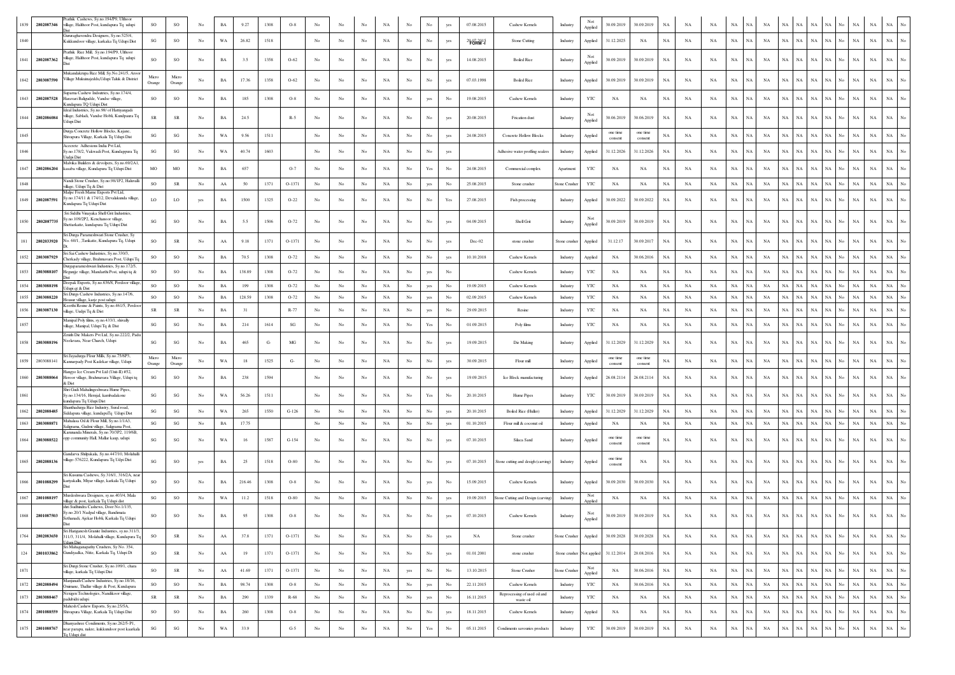| 1839<br>2802087346 | athik Cashews, Sy.no.194/P9, Ulthoor<br>lage, Halthoor Post, kundapura Tq udupi                                             | SO                     | SO                     | No               | BA          | 9.27   | 1308 | $O-8$                  |             |             |                  | NA          |                  | No                   | yes         | 07.08.2015 | Cashew Kernels                            | Industry                  | Not<br>Applied | 30.09.2019          | 30.09.2019          | NA          | NA          | NA          | NA          | NA<br>NA                   |                            | NA                | NA          | NA                | $_{\rm NA}$                | $_{\rm NA}$ |                  |
|--------------------|-----------------------------------------------------------------------------------------------------------------------------|------------------------|------------------------|------------------|-------------|--------|------|------------------------|-------------|-------------|------------------|-------------|------------------|----------------------|-------------|------------|-------------------------------------------|---------------------------|----------------|---------------------|---------------------|-------------|-------------|-------------|-------------|----------------------------|----------------------------|-------------------|-------------|-------------------|----------------------------|-------------|------------------|
| 1840               | Gururaghavendra Designers, Sy.no.525/4,<br>Kukkundoor village, karkaka Tq Udupi Dist                                        | SG                     | SO                     | No               | WA          | 26.82  | 1518 |                        | No          | No          | No               | $_{\rm NA}$ | No               | No                   | yes         | 2907015    | Stone Cutting                             | Industry                  | Applied        | 31.12.2025          | NA                  | NA          | NA          | NA          | NA          | NA  <br>NA                 | NA<br><b>NA</b>            | <b>NA</b>         | NA          | No                | $_{\rm NA}$<br>$_{\rm NA}$ | $_{\rm NA}$ |                  |
| 1841<br>2802087362 | rathik Rice Mill, Sy.no.194/P9, Ulthoor<br>illage, Halthoor Post, kundapura Tq udupi                                        | SO                     | <b>SO</b>              | N <sub>0</sub>   | BA          | 3.5    | 1358 | $O-62$                 | No          | No          | No               | NA          | No               | No                   | yes         | 14.08.2015 | <b>Boiled Rice</b>                        | Industry                  | Not<br>Applied | 30.09.2019          | 30.09.2019          | NA          | NA          | NA          | NA          | $_{\rm NA}$<br>NA          | $_{\rm NA}$<br>NA          | $_{\rm NA}$       | NA          | No                | $_{\rm NA}$<br>$_{\rm NA}$ | $_{\rm NA}$ |                  |
| 1842 2803087590    | Mukandakrupa Rice Mill, Sy.No.241/5, Aroor<br>Village Mukuinajeddu, Udupi Taluk & District                                  | Micro<br>Orange        | Micro<br>Orange        | No               | BA          | 17.36  | 1358 | $O-62$                 | No          | No          | No               | NA          | No               | $_{\rm No}$          | yes         | 07.03.1998 | <b>Boiled Rice</b>                        | Industry                  | Applied        | 30.09.2019          | 30.09.2019          | NA          | NA          | NA          | $_{\rm NA}$ | $_{\rm NA}$<br>NA          | $_{\rm NA}$                | NA<br>$_{\rm NA}$ | NA          | No                | NA<br>NA                   | NA          |                  |
| 1843 2802087528    | uparna Cashew Indsutries, Sy.no.174/4,<br>aravari Baligudde, Vandse village<br>undapura TQ Udupi Dist                       | SO                     | $\rm SO$               | No               | BA          | 185    | 1308 | $O-8$                  | No          | No          | No               | $_{\rm NA}$ | No               | yes                  | No          | 19.08.2015 | Cashew Kernels                            | Industry                  | $_{\rm YTC}$   | NA                  | NA                  | NA          | NA          | NA          | NA          | $_{\rm NA}$<br>NA          | $_{\rm NA}$<br><b>NA</b>   | $_{\rm NA}$       | NA          | $_{\rm NA}$<br>No | $_{\rm NA}$                | $_{\rm NA}$ |                  |
| 1844 2802086084    | deal Industries, Sy.no.98/ of Hattiyangadi<br>village, Sabladi, Vandse Hobli, Kundpaura Tq<br>Jdupi Dist                    | <b>SR</b>              | <b>SR</b>              | No               | BA          | 24.5   |      | $R-5$                  | No          | No          | No               | NA          | No               | No                   | yes         | 20.08.2015 | Frication dust                            | Industry                  | Not<br>Applied | 30.06.2019          | 30.06.2019          | NA          | <b>NA</b>   | NA          | NA          | NA<br>NA                   | NA<br>NA                   | $_{\rm NA}$       | NA          | No                | NA<br>NA                   | $_{\rm NA}$ |                  |
| 1845               | Durea Concrete Hollow Blocks, Kaiane<br>ivapura Village, Karkala Tq Udupi Dist                                              | SG                     | $\mathbf{SG}$          | No               | WA          | 9.56   | 1511 |                        | No          | No          | No               | NA          | No               | No                   | yes         | 24.08.2015 | <b>Concrete Hollow Blocks</b>             | Industry                  | Applied        | one time<br>consent | one time<br>consent | NA          | NA          | NA          | NA          | NA<br>NA                   | $_{\rm NA}$<br><b>NA</b>   | <b>NA</b>         | NA.         |                   | $_{\rm NA}$<br>NA          | $_{\rm NA}$ |                  |
| 1846               | Acecrete Adhesions India Pvt Ltd,<br>Sv.no.178/2, Vakwadi Post, Kundappura Tq<br>Judpi Dist                                 | SG                     | SG                     | No               | WA          | 40.74  | 1603 |                        | No          | No          | No               | NA          | No               | No                   | yes         |            | Adhesive water proffing sealers           | Industry                  | Applied        | 31.12.2026          | 31.12.2026          | NA          | NA          | NA          | NA          | NA<br>NA                   | $_{\rm NA}$<br>NA          | NA                | NA          |                   | $_{\rm NA}$<br>NA          | NA          |                  |
| 1847<br>2802086204 | Malvika Builders & devolpers, Sy.no.69/2A1,<br>kasaba village, Kundapura Tq Udupi Dist                                      | MO                     | MO                     | No               | BA          | 657    |      | $O-7$                  | No          | No          | No               | NA          | No               | Yes                  | No          | 24.08.2015 | Commercial complex                        | Apartment                 | YTC            | NA                  | NA                  | NA          | NA          | NA          | NA          | NA<br>NA                   | <b>NA</b><br>NA.           | $_{\rm NA}$       | <b>NA</b>   | No                | NA<br>NA                   | NA          |                  |
| 1848               | Nandi Stone Crusher, Sy.no.98/1P2, Haluvalli<br>illage, Udupi Tq & Dist                                                     | SO                     | ${\rm SR}$             | No               | AA          | 50     | 1371 | $O-1371$               | No          | No          | No               | $_{\rm NA}$ | No               | yes                  | No          | 25.08.2015 | Stone crusher                             | <b>Stone Crusher</b>      | YTC            | NA                  | NA                  | NA          | NA          | NA          | NA          | NA<br>NA                   | <b>NA</b><br>NA            | <b>NA</b>         | <b>NA</b>   |                   | $_{\rm NA}$<br>NA          | $_{\rm NA}$ |                  |
| 1849<br>2802087591 | Malpe Fresh Mame Exports Pvt Ltd,<br>Sy.no.174/11 & 174/12, Devalakunda village,<br>ndapura Tq Udupi Dist                   | LO                     | LO                     | yes              | BA          | 1500   | 1325 | $O-22$                 | No          | No          | No               | $_{\rm NA}$ | No               | $_{\rm No}$          | Yes         | 27.08.2015 | Fish processing                           | Industry                  | Applied        | 30.09.2022          | 30.09.2022          | NA          | NA          | NA          | $_{\rm NA}$ | $_{\rm NA}$<br>NA          | NA                         | NA<br>$_{\rm NA}$ | NA          | No                | $_{\rm NA}$<br>$_{\rm NA}$ | NA          |                  |
| 1850<br>2802087735 | Sri Siddhi Vinayaka Shell Grit Industries,<br>Sy.no.109/2P2, Kenchanoor village,<br>ettarkatte, kundapura Tq Udupi Dist     | SG                     | <b>SO</b>              | No               | BA          | 5.5    | 1506 | $O-72$                 | No          | No          | No               | NA          | No               | No                   | yes         | 04.09.2015 | Shell Grit                                | Industry                  | Applied        | 30.09.2019          | 30.09.2019          | NA          | NA          | NA          | NA          | NA<br>NA                   | <b>NA</b><br>NA            | NA                | NA          | No.               | $_{\rm NA}$<br>NA          | NA          |                  |
| 181<br>2802033920  | Sri Durga Parameshwari Stone Crusher, Sy<br>No. 60/1, ,Tarikatte, Kundapura Tq, Udupi                                       | SO                     | SR                     | No               | AA          | 9.18   | 1371 | $O-1371$               | No          | No          | No               | NA          | No               | No                   | yes         | $Dec-02$   | stone crusher                             | Stone crusher             | Applied        | 31.12.17            | 30.09.2017          | NA          | NA          | NA          | NA          | $_{\rm NA}$<br>NA          | <b>NA</b><br><b>NA</b>     | $_{\rm NA}$       | $_{\rm NA}$ | No<br>NA          | $_{\rm NA}$                | NA          |                  |
| 1852<br>2803087929 | iri Sai Cashew Industries, Sv.no.330/3.<br>Therkady village, Brahmavara Post, Udupi Tq                                      | SO                     | <b>SO</b>              | No               | BA          | 70.5   | 1308 | $O-72$                 | No          | No          | No               | NA          | No               | No                   | yes         | 10.10.2018 | Cashew Kernels                            | Industry                  | Applied        | NA                  | 30.06.2016          | NA          | NA          | NA          | NA          | $_{\rm NA}$<br>NA          | <b>NA</b><br><b>NA</b>     | $_{\rm NA}$       | NA          | NA<br>No          | $_{\rm NA}$                | $_{\rm NA}$ |                  |
| 1853<br>2803088107 | urgaparameshwari Industries, Sy.no.172/5.<br>Hegunjje village, Mandarthi Post, udupi tq &                                   | SO                     | SO                     | $_{\rm No}$      | $_{\rm BA}$ | 138.89 | 1308 | $O-72$                 | No          | No          | No               | NA          | $_{\rm No}$      | yes                  | No          |            | Cashew Kernels                            | Industry                  | YTC            | NA                  | NA                  | NA          | NA          | NA          | $_{\rm NA}$ | NA<br>NA                   | $_{\rm NA}$<br>NA          | $_{\rm NA}$       | NA.         |                   | $_{\rm NA}$<br>$_{\rm NA}$ | NA          |                  |
| 1854<br>2803088198 | Deepak Exports, Sy.no.636/8, Perdoor village<br>lupi qt & Dist                                                              | <sub>SO</sub>          | SO                     | No               | BA          | 199    | 1308 | $O-72$                 | No          | No          | No               | $_{\rm NA}$ | $_{\rm No}$      | yes                  | No          | 19.09.2015 | Cashew Kernels                            | Industry                  | YTC            | NA                  | NA                  | NA          | NA          | NA          | NA          | NA<br>NA                   | <b>NA</b><br>NA            | $_{\rm NA}$       | NA          | No<br>$_{\rm NA}$ | $_{\rm NA}$                | NA          |                  |
| 1855<br>2803088220 | iri Durgs Cashew Industries, Sv.no.147/6.<br>usur village, karje post udupi<br>eerthi Resine & Paints, Sy.no.461/5, Perdoo  | SO                     | SO                     | No               | BA          | 128.59 | 1308 | $O-72$                 | No          | No          | No               | NA          | $_{\rm No}$      | yes                  | No          | 02.09.2015 | Cashew Kernels                            | Industry                  | YTC            | NA                  | NA                  | NA          | NA          | NA          | NA          | NA<br>NA                   | $_{\rm NA}$<br>NA          | $_{\rm NA}$       | NA          |                   | $_{\rm NA}$<br>$_{\rm NA}$ | $_{\rm NA}$ |                  |
| 1856<br>2803087130 | village, Uudpi Tq & Dist<br>Manipal Poly films, sy.no.433/1, shivally                                                       | SR                     | SR                     | No               | BA          | 31     |      | R-77                   | No          | No          | No               | NA          | No               | yes                  | No          | 29.09.2015 | Resine                                    | Industry                  | YTC            | NA                  | $_{\rm NA}$         | NA          | NA          | NA          | NA          | $_{\rm NA}$<br>NA          | NA<br>NA                   | $_{\rm NA}$       | NA          |                   | NA<br>NA                   | $_{\rm NA}$ |                  |
| 1857               | illage, Manipal, Udupi Tq & Dist                                                                                            | SG                     | $\mathbf{SG}$          | No               | BA          | 214    | 1614 | $\mathbf{S}\mathbf{G}$ | $_{\rm No}$ | $_{\rm No}$ | No               | NA          | $_{\rm No}$      | Yes                  | $_{\rm No}$ | 01.09.2015 | Poly films                                | Industry                  | YTC            | NA                  | $_{\rm NA}$         | NA          | NA          | NA          | $_{\rm NA}$ | NA<br>NA                   | NA<br>NA.                  | $_{\rm NA}$       | NA          |                   | $_{\rm NA}$<br>$_{\rm NA}$ | NA          |                  |
| 1858 2803088196    | Zenith Die Makers Pvt Ltd, Sy.no.222/2, Padu<br>eelavara, Near Charch, Udupi                                                | SG                     | SG                     | No               | BA          | 465    | G-   | MG                     | No          | No          | No               | NA          | No               | No                   | yes         | 19.09.2015 | Die Making                                | Industry                  | Applied        | 31.12.2029          | 31.12.2029          | NA          | NA          | NA          | NA          | NA<br>NA                   | NA<br>NА                   | NA                | NA          |                   | $_{\rm NA}$<br>NA          | NA          |                  |
| 1859<br>2803088141 | Sri Jayadurga Flour Mills, Sy.no.75/6P3,<br>annarpady Post Kadekar village, Udupi                                           | Micro<br>Orange        | Micro<br>Orange        | No               | WA          | 18     | 1525 | $G-$                   | No          | No          | No               | $_{\rm NA}$ | $_{\rm No}$      | No                   | yes         | 30.09.2015 | Flour mill                                | Industry                  | Applied        | one time<br>consent | one time<br>consent | NA          | NA          | NA          | $_{\rm NA}$ | $_{\rm NA}$<br>$_{\rm NA}$ | NA<br><b>NA</b>            | $_{\rm NA}$       | NA          |                   | $_{\rm NA}$<br>$_{\rm NA}$ | $_{\rm NA}$ |                  |
| 1860<br>2803088064 | angyo Ice Cream Pvt Ltd (Unit-II) #52,<br>Heroor village, Brahmavara Village, Udupi tq<br>v Dist                            | SG                     | <b>SO</b>              | No               | BA          | 238    | 1594 |                        | No          | No          | No               | NA          | No               | No                   | yes         | 19.09.2015 | Ice Block manufacturing                   | Industry                  | Applied        | 26.08.2114          | 26.08.2114          | NA          | NA          | NA          | NA          | $_{\rm NA}$<br>NA          | <b>NA</b><br>NA            | <b>NA</b>         | NA          | No                | $_{\rm NA}$<br>NA          | NA          |                  |
| 1861               | Shri Gudi Mahalingeshwara Hume Pipes<br>y.no.134/16, Hernjal, kambadakone<br>undapura Tq Udupi Dist                         | SG                     | $\mathbf{SG}$          | No               | WA          | 56.26  | 1511 |                        | No          | No          | No               | $_{\rm NA}$ | $_{\rm No}$      | $\operatorname{Yes}$ | No          | 20.10.2015 | Hume Pipes                                | Industry                  | $_{\rm YTC}$   | 30.09.2019          | 30.09.2019          | NA          | NA          | NA          | $_{\rm NA}$ | $_{\rm NA}$<br>NA          | $_{\rm NA}$<br>NA          | $_{\rm NA}$       | NA          | NA                | NA                         | <b>NA</b>   |                  |
| 1862<br>2802088485 | anthadurga Rice Industry, Sural road,<br>Siddapura village, kundapuTq Udupi Dist                                            | SG                     | $\mathbf{SG}$          | No               | WA          | 265    | 1550 | $G-126$                | $_{\rm No}$ | No          | No               | $_{\rm NA}$ | No               | No                   | yes         | 20.10.2015 | Boiled Rice (Huller)                      | Industry                  | Applied        | 31.12.2029          | 31.12.2029          | NA          | NA          | NA          | NA          | NA<br>NA                   | $_{\rm NA}$<br>$_{\rm NA}$ | $_{\rm NA}$       | NA          | $_{\rm NA}$<br>No | $_{\rm NA}$                | $_{\rm NA}$ |                  |
| 1863<br>2803088871 | Mahalasa Oil & Flour Mill, Sy.no.1/1A3,<br>ligrama, Gudmi village, Saligrama Post,                                          | SG                     | $\mathbf{SG}$          | No               | BA          | 17.75  |      |                        | $_{\rm No}$ | $_{\rm No}$ | No               | $_{\rm NA}$ | $_{\rm No}$      | $_{\rm No}$          | yes         | 01.10.2015 | Flour mill & coconut oil                  | Industry                  | Applied        | NA                  | $_{\rm NA}$         | NA          | NA          | NA          | NA          | NA<br>NA                   | $_{\rm NA}$<br>NA          | $_{\rm NA}$       | NA          | No                | $_{\rm NA}$<br>NA          | $_{\rm NA}$ |                  |
| 1864<br>2803088522 | Karunanda Minerals, Sv.no.70/3P2, 119/6B<br>opp community Hall, Mallar kaup, udupi                                          | SG                     | $\mathbf{SG}$          | No               | WA          | 16     | 1587 | $G-154$                | No          | No          | No               | $_{\rm NA}$ | No               | $_{\rm No}$          | yes         | 07.10.2015 | Silaca Sand                               | Industry                  | Applied        | one time<br>consent | one time<br>consent | NA          | NA          | NA          | $_{\rm NA}$ | $_{\rm NA}$<br>NA          | $_{\rm NA}$<br>NA          | $_{\rm NA}$       | NA          | $_{\rm NA}$<br>No | NA                         | NA          |                  |
| 1865 2802088136    | iandarva Shilpakala, Sy.no.447/10, Molahal<br>illage-576222, Kundapura Tq Udpi Dist                                         | SG                     | SO                     | yes              | BA          | 25     | 1518 | $O-80$                 | No          | No          | No               | NA          | No               | No                   | yes         | 07.10.2015 | Stone cutting and desigh (carving)        | Industry                  | Applied        | one time<br>consent | NA                  | NA          | NA          | NA          | NA          | NA<br>NA                   | $_{\rm NA}$<br>NA          | $_{\rm NA}$       | <b>NA</b>   | No                | NA<br>NA                   | NA          |                  |
| 1866<br>2801088299 | Sri Kusuma Cashews, Sy.316/1, 316/2A, near<br>ariyakallu, Miyar village, karkala Tq Udupi                                   | SO                     | SO                     | No               | BA          | 216.46 | 1308 | $O-8$                  | No          | No          | No               | NA          | No               | yes                  | No          | 15.09.2015 | Cashew Kernels                            | Industry                  | Applied        | 30.09.2030          | 30.09.2030          | NA          | NA          | NA          | NA          | NA<br>NA                   | $_{\rm NA}$                | NA<br>$_{\rm NA}$ | NA          | No                | $_{\rm NA}$<br>NA          | NA          |                  |
| 1867<br>2801088197 | Murdeshwara Designers, sy.no.403/4, Mala<br>age & post, karkala Tq Udupi dist                                               | SG                     | SO                     | No               | WA          | 11.2   | 1518 | $O-80$                 | $_{\rm No}$ | $_{\rm No}$ | No               | $_{\rm NA}$ | No               | $_{\rm No}$          | yes         | 19.09.2015 | Stone Cutting and Design (carving)        | Industry                  | Not<br>Applied | NA                  | NA                  | NA          | NA          | NA          | NA          | NA<br>NA                   | NA<br>NA                   |                   | NA NA       | No                | $_{\rm NA}$<br>NA          |             |                  |
| 1868<br>2801087503 | shri Sudhindra Cashews, Door No.1/135,<br>Sy.no.20/1 Nadpal village, Bandimata<br>Sethanadi, Ajekar Hobli, Karkala Tq Udupi | so                     | SO                     | No               | BA          | 95     | 1308 | $O-8$                  | No          | No          | No               | NA          | No               | No                   | yes         | 07.10.2015 | Cashew Kernels                            | Industry                  | Not<br>Applied | 30.09.2019          | 30.09.2019          | NA          | NA          | NA          | NA          | NA<br>NA                   | NA<br>NA                   | NA                | NA          | No                | NA<br>NA                   | <b>NA</b>   |                  |
| 1764<br>2802083650 | Sri Hariganesh Granite Industries, sy.no.311/3,<br>311/3, 311/4, Molahalli village, Kundapura Tq                            | SO                     | ${\rm SR}$             | $_{\rm No}$      | $\rm AA$    | 37.8   | 1371 | $O-1371$               | $_{\rm No}$ | $_{\rm No}$ | No               | $_{\rm NA}$ | $_{\mathrm{No}}$ | $_{\rm No}$          | yes         | NA         | Stone crusher                             | <b>Stone Crusher</b>      | Applied        | 30.09.2028          | 30.09.2028          | $_{\rm NA}$ | NA          | $_{\rm NA}$ | $_{\rm NA}$ | NA<br>$_{\rm NA}$          | $_{\rm NA}$                | NA<br>$_{\rm NA}$ | $_{\rm NA}$ | No                | $_{\rm NA}$<br>$_{\rm NA}$ | $_{\rm NA}$ | No               |
| 124<br>2801033862  | duni Dict<br>Sri Mahaganapathy Crushers, Sy No. 354,<br>Gundiyadka, Nitte, Karkala Tq, Udupi Dt                             | SO                     | ${\rm SR}$             | No               | ${\rm AA}$  | 19     | 1371 | $O-1371$               | No          | No          | No               | $_{\rm NA}$ | No               | No                   | yes         | 01.01.2001 | stone crusher                             | Stone crusher Not applied |                | 31.12.2014          | 20.08.2016          | NA          | NA          | NA          | NA          | NA<br>NA                   | $_{\rm NA}$<br>NA          | $_{\rm NA}$       | NA          | $_{\rm NA}$<br>No | $_{\rm NA}$                | $_{\rm NA}$ | $_{\rm No}$      |
| 1871               | Sri Durgi Stone Crusher, Sy.no.109/1, chara<br>illage, karkala Tq Udupi Dist                                                | SO                     | ${\rm SR}$             | No               | ${\rm AA}$  | 41.69  | 1371 | O-1371                 | $_{\rm No}$ | $_{\rm No}$ | No               | $_{\rm NA}$ | yes              | No                   | $_{\rm No}$ | 13.10.2015 | Stone Crusher                             | Stone Crusher             | Not<br>Applied | NA                  | 30.06.2016          | $_{\rm NA}$ | NA          | NA          | $_{\rm NA}$ | $_{\rm NA}$<br>NA          | $_{\rm NA}$<br>NA          | $_{\rm NA}$       | NA          | No                | $_{\rm NA}$<br>$_{\rm NA}$ | $_{\rm NA}$ | $_{\rm No}$      |
| 1872<br>2802088494 | Aanjunath Cashew Industries, Sy.no.18/16,<br>imane, Thallur village & Post, Kundapura                                       | SO                     | SO                     | No               | BA          | 98.74  | 1308 | $O-8$                  | $_{\rm No}$ | $_{\rm No}$ | No               | NA          | No               | yes                  | $_{\rm No}$ | 22.11.2015 | Cashew Kernels                            | Industry                  | YTC            | NA                  | 30.06.2016          | NA          | NA          | NA          | NA          | NA<br>NA                   | NA<br><b>NA</b>            | $_{\rm NA}$       | NA          | No                | $_{\rm NA}$<br>$_{\rm NA}$ | $_{\rm NA}$ | $_{\rm No}$      |
| 1873<br>2803088467 | Vexigen Technologies, Nandikoor village,<br>adubidri udupi                                                                  | ${\rm SR}$             | ${\rm SR}$             | $_{\mathrm{No}}$ | $_{\rm BA}$ | 290    | 1339 | $R-68$                 | $_{\rm No}$ | $_{\rm No}$ | $_{\mathrm{No}}$ | $_{\rm NA}$ | $_{\mathrm{No}}$ | yes                  | No          | 16.11.2015 | Reprocessing of used oil and<br>waste oil | Industry                  | YTC            | NA                  | NA                  | $_{\rm NA}$ | $_{\rm NA}$ | NA          | $_{\rm NA}$ | NA<br>$_{\rm NA}$          | $_{\rm NA}$<br><b>NA</b>   | $_{\rm NA}$       | $_{\rm NA}$ | $_{\rm NA}$<br>No | $_{\rm NA}$                | $_{\rm NA}$ | $_{\mathrm{No}}$ |
| 1874<br>2801088559 | Mahesh Cashew Exports, Sy.no.25/5A,<br>Shivapura Village, Karkala Tq Udupi Dist                                             | SO                     | $\rm SO$               | No               | BA          | 260    | 1308 | $O-8$                  | $_{\rm No}$ | No          | No               | NA          | $_{\rm No}$      | $_{\mathrm{No}}$     | yes         | 18.11.2015 | Cashew Kernels                            | Industry                  | Applied        | NA                  | $_{\rm NA}$         | $_{\rm NA}$ | NA          | NA          | $_{\rm NA}$ | $_{\rm NA}$<br>NA          | $_{\rm NA}$<br><b>NA</b>   | $_{\rm NA}$       | $_{\rm NA}$ | No                | $_{\rm NA}$<br>$_{\rm NA}$ | $_{\rm NA}$ | $_{\mathrm{No}}$ |
| 1875<br>2801088767 | Dhanyashree Condiments, Sy.no.262/5-P1,<br>near parapu, nakre, kukkundoor post kaarkala<br>Ta Udupi dist                    | $\mathbf{S}\mathbf{G}$ | $\mathbf{S}\mathbf{G}$ | $_{\rm No}$      | WA          | 33.9   |      | $G-5$                  | $_{\rm No}$ | $_{\rm No}$ | $_{\mathrm{No}}$ | $_{\rm NA}$ | $_{\mathrm{No}}$ | $\operatorname{Yes}$ | $_{\rm No}$ | 05.11.2015 | Condiments savouries products             | Industry                  | $_{\rm YTC}$   | 30.09.2019          | 30.09.2019          | $_{\rm NA}$ | NA          | $_{\rm NA}$ | $_{\rm NA}$ | $_{\rm NA}$<br>$_{\rm NA}$ | $_{\rm NA}$<br>$_{\rm NA}$ | $_{\rm NA}$       | NA          | No                | $_{\rm NA}$<br>$_{\rm NA}$ | $_{\rm NA}$ | $_{\rm No}$      |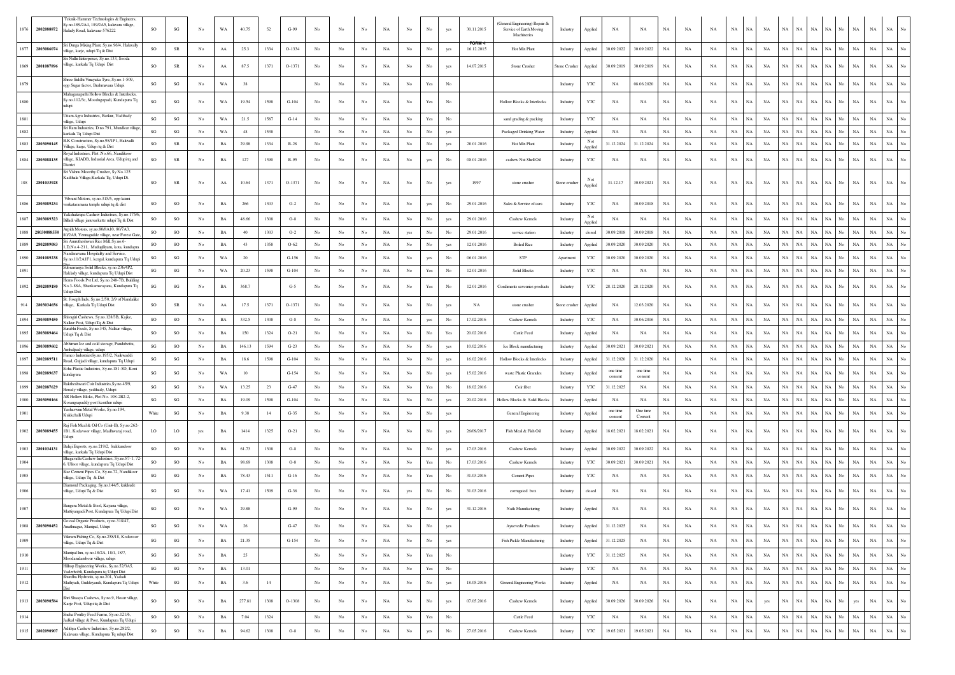|      | 1876 2802088872 | Teknik-Hammer Technologies & Engineers<br>v.no.189/2A4, 189/2A5, kalavara vilage,<br>Halady Road, kalavara-576222              | SO                     | SG                     | No          | WA          | 40.75  | 52   | $G-99$  | No               | No               | No          | $_{\rm NA}$ | No               | No                                                                              | yes              | 30.11.2015                 | General Engineering) Repair &<br>Service of Earth Moving<br>Machineries | Industry      | Applied        | NA                  | NA                  | $_{\rm NA}$ | NA          | NA          | $_{\rm NA}$<br>NA               | NA          | NA          | NA                | NA          | NA.<br>NA                                      | NA                  | $_{\rm NA}$                     |
|------|-----------------|--------------------------------------------------------------------------------------------------------------------------------|------------------------|------------------------|-------------|-------------|--------|------|---------|------------------|------------------|-------------|-------------|------------------|---------------------------------------------------------------------------------|------------------|----------------------------|-------------------------------------------------------------------------|---------------|----------------|---------------------|---------------------|-------------|-------------|-------------|---------------------------------|-------------|-------------|-------------------|-------------|------------------------------------------------|---------------------|---------------------------------|
| 1877 | 2803086074      | Sri Durga Mixing Plant, Sy.no.96/4, Haluvally<br>illage, karje, udupi Tq & Dist                                                | SO                     | SR                     | No          | AA          | 25.3   | 1334 | O-1334  | No               | No               | No          | NA          | No               | No                                                                              | yes              | <b>FORM-</b><br>16.12.2015 | Hot Mix Plant                                                           | Industry      | Applied        | 30.09.2022          | 30.09.2022          | NA          | NA          | NA          | $_{\rm NA}$<br>$_{\rm NA}$      | NA          | NA          | NA                | NA          | NA<br>No<br>NA                                 | $_{\rm NA}$         | $_{\rm NA}$<br>No               |
|      | 1869 2801087896 | Sri Nidhi Enterprises, Sv.no.133, Sooda<br>village, karkala Tq Udupi Dist                                                      | SO                     | SR                     | No          | AA          | 87.5   | 1371 | O-1371  | No               | No               | No          | NA          | No               | No                                                                              | yes              | 14.07.2015                 | Stone Crusher                                                           | Stone Crusher | Applied        | 30.09.2019          | 30.09.2019          | NA          | NA          | NA          | NA<br>NA                        | NA          | NA          | NA                | <b>NA</b>   | NA<br><b>NA</b><br>No                          | NA                  | $_{\rm NA}$                     |
| 1879 |                 | Shree Siddhi Vinayaka Tyre, Sy.no.1-509,<br>opp Sugar factor, Brahmavara Udupi                                                 | SG                     | $\mathbf{S}\mathbf{G}$ | No          | WA          | 38     |      |         | No               | No               | No          | $_{\rm NA}$ | No               | Yes                                                                             | $_{\rm No}$      |                            |                                                                         | Industry      | YTC            | NA                  | 08.06.2020          | $_{\rm NA}$ | NA          | NA          | $_{\rm NA}$<br>NA               | NA          | NA          | NA                | NA          | NA<br>$_{\rm NA}$<br>No                        | $_{\rm NA}$         | $_{\rm NA}$<br>No               |
| 1880 |                 | Mahaganapathi Hollow Blocks & Interlocks.<br>Sy.no.112/3c, Moodugopadi, Kundapura Tq                                           | SG                     | $\mathbf{S}\mathbf{G}$ | No          | WA          | 19.54  | 1598 | $G-104$ |                  |                  | No          | NA          | No               |                                                                                 | No               |                            | Hollow Blocks & Interlocks                                              | Industry      | YTC            | NA                  | NA                  | NA          | NA          | NA          | $_{\rm NA}$<br>NA               | NA          | NA          | NA                | $_{\rm NA}$ | NA<br>No<br><b>NA</b>                          | NA                  | $_{\rm NA}$                     |
| 1881 |                 | Uttam Agro Industries, Barkur, Yadthady<br>village, Udupi                                                                      | $\mathbf{S}\mathbf{G}$ | $_{\rm SG}$            | No          | WA          | 21.5   | 1587 | $G-14$  | No               | No               | No          | $_{\rm NA}$ | No               | Yes                                                                             | $_{\rm No}$      |                            | sand grading & packing                                                  | Industry      | YTC            | NA                  | NA                  | $_{\rm NA}$ | $_{\rm NA}$ | NA          | $_{\rm NA}$<br>NA               | NA          | NA          | NA                | <b>NA</b>   | NA<br>NA                                       | NA                  | $_{\rm NA}$                     |
| 1882 |                 | Sri Ram Industries, D.no.791, Mundkur village<br>karkala Tq Udupi Dist                                                         | SG                     | $\mathbf{S}\mathbf{G}$ | No          | WA          | 48     | 1538 |         | No               | No               | $_{\rm No}$ | $_{\rm NA}$ | No               | No                                                                              | yes              |                            | Packaged Drinking Water                                                 | Industry      | Applied        | NA                  | NA                  | $_{\rm NA}$ | $_{\rm NA}$ | $_{\rm NA}$ | $_{\mathrm{NA}}$<br>$_{\rm NA}$ | NA          | <b>NA</b>   | NA                | NA          | $_{\rm NA}$<br><b>NA</b>                       | NA                  | $_{\rm NA}$                     |
| 1883 | 2803090145      | B.K Construction, Sy.no.98/1P1, Haluvalli<br>/illage, karje, Udupi tq & Dist                                                   | <b>SO</b>              | <b>SR</b>              | No          | BA          | 29.98  | 1334 | $R-28$  | No               | No               | No          | NA          | No.              | No                                                                              | yes              | 20.01.2016                 | Hot Mix Plant                                                           | Industry      | Not<br>Applied | 31.12.2024          | 31.12.2024          | NA          | NA          | NA          | NA<br>NA.                       | NA          | $_{\rm NA}$ | NA                | NA          | NA<br>NA<br>No                                 | $_{\rm NA}$         | $_{\rm NA}$                     |
| 1884 | 2803088135      | yal Industries, Plot .No.66, Nandikoor<br>village, KIADB, Indusrial Area, Udupi tq and<br>District                             | <b>SO</b>              | SR                     | No          | BA          | 127    | 1390 | R-95    | No               | No               | No          | NA          | No               | yes                                                                             | No               | 08.01.2016                 | cashew Nut Shell Oil                                                    | Industry      | YTC            | NA                  | NA                  | NA          | NA          | NA          | $_{\rm NA}$<br>NA               | NA          | NA          | NA                | <b>NA</b>   | NA<br>No<br><b>NA</b>                          | $_{\rm NA}$         | $_{\rm NA}$                     |
|      | 188 2801033928  | Sri Vishnu Moorthy Crusher, Sy No.125<br>Cadthala Village, Karkala Tq, Udupi Dt.                                               | SO                     | ${\sf SR}$             | No          | $\rm AA$    | 10.64  | 1371 | O-1371  | No               | No               | No          | NA          | No               |                                                                                 | yes              | 1997                       | stone crusher                                                           | Stone crushe  | Not<br>Applied | 31.12.17            | 30.09.2021          | $_{\rm NA}$ | NA          | NA          | $_{\rm NA}$<br>NA               | NA          | NA          | NA                | NA          | NA<br>NA                                       | NA                  | $_{\rm NA}$<br>No               |
|      | 1886 2803089234 | Vibrant Motors, sy.no.315/5, opp laxmi<br>venkataramana temple udupi tq & dist                                                 | SO                     | SO                     | No          | BA          | 266    | 1303 | $O-2$   | No               | No               | No          | NA          | No               |                                                                                 |                  | 29.01.2016                 | Sales & Service of cars                                                 | Industry      | YTC            | NA                  | 30.09.2018          | NA          | NA          | NA          | $_{\rm NA}$<br>NA               | NA          | <b>NA</b>   | NA                | NA          | <b>NA</b><br>NA                                | $_{\rm NA}$         | $_{\rm NA}$                     |
|      | 1887 2803089323 | Yakshakrupa Cashew Industries, Sy.no.175/<br>Billadi village januvarkatte udupi Tq & Dist                                      | SO                     | SO                     | No          | BA          | 48.66  | 1308 | $O-8$   | No               | No               | No          | NA          | No               | No                                                                              | yes              | 29.01.2016                 | Cashew Kernels                                                          | Industry      | Not<br>Applied | NA                  | NA                  | NA          | NA          | NA          | $_{\rm NA}$<br>NA               | NA          | NA          | NA                | NA          | NA<br>No<br>NA                                 | $_{\rm NA}$         | $_{\rm NA}$                     |
| 1888 | 28030888558     | Arpith Motors, sy.no.80/8A10, 80/7A3,<br>80/2A9, Yennagudde village, near Forest Gate                                          | <b>SO</b>              | <sub>SO</sub>          | No          | BA          | 40     | 1303 | $O-2$   | No               | No               | No          | $_{\rm NA}$ | yes              | No                                                                              | No               | 29.01.2016                 | service station                                                         | Industry      | closed         | 30.09.2018          | 30.09.2018          | <b>NA</b>   | NA          | NA          | $_{\rm NA}$<br>NA               | NA          | <b>NA</b>   | NA                | <b>NA</b>   | <b>NA</b><br><b>NA</b>                         | $_{\rm NA}$         | NA                              |
| 1889 | 2802089083      | Sri Amrutheshwari Rice Mill, Sy.no.6-<br>1,D,No.4-211, Mudugiliyaru, kota, kundapra                                            | SO.                    | SO                     | No          | BA          | 43     | 1358 | $O-62$  | No               | No               | No          | NA          | No               | No                                                                              | ves              | 12.01.2016                 | <b>Boiled Rice</b>                                                      | Industry      | Applied        | 30.09.2020          | 30.09.2020          | NA          | NA          | NA          | $_{\rm NA}$<br>NA               | NA          | <b>NA</b>   | NA                | NA          | NA<br>No.<br><b>NA</b>                         | NA                  | $_{\rm NA}$<br>No               |
|      | 1890 2801089238 | andanavana Hospitality and Service,<br>Sy.no.11/2A1F1, kergal, kundapura Tq Udupi                                              | $\mathbf{S}\mathbf{G}$ | $_{\rm SG}$            | No          | WA          | 20     |      | $G-156$ | No               | No               | No          | $_{\rm NA}$ | No               | yes                                                                             | No               | 06.01.2016                 | STP                                                                     | Apartment     | YTC            | 30.09.2020          | 30.09.2020          | $_{\rm NA}$ | $_{\rm NA}$ | $_{\rm NA}$ | $_{\rm NA}$<br>NA               | NA          | NA          | NA                | NA          | $_{\rm NA}$<br><b>NA</b>                       | NA                  | NA<br>No                        |
| 1891 |                 | Subramanya Solid Blocks, sy.no.236/4P2,<br>Haklady village, kundapura Tq Udupi Dist                                            | SG                     | $_{\rm SG}$            | No          | WA          | 20.23  | 1598 | $G-104$ | $_{\rm No}$      | No               | $_{\rm No}$ | $_{\rm NA}$ | No               | Yes                                                                             | No               | 12.01.2016                 | Solid Blocks                                                            | Industry      | YTC            | $_{\rm NA}$         | NA                  | $_{\rm NA}$ | NA          | $_{\rm NA}$ | $_{\rm NA}$<br>NA               | NA          | NA          | NA                | NA          | NA<br>No<br>NA                                 | $_{\rm NA}$         | $_{\rm NA}$<br>No               |
|      | 1892 2802089180 | Hems Foods Pvt Ltd, Sy.no.248-7B, Building<br>No.3-88A, Shankamarayana, Kundapura Tq<br>Udupi Dist                             | SG                     | SG                     | No          | BA          | 368.7  |      | $G-5$   | No               | No               | No          | NA          | No.              | Yes                                                                             | No               | 12.01.2016                 | Condiments savouries products                                           | Industry      | YTC            | 28.12.2020          | 28.12.2020          | NA          | NA          | NA          | $_{\rm NA}$<br>NA.              | NA          | <b>NA</b>   | NA.               | <b>NA</b>   | NA.<br><b>NA</b>                               | NA                  | NA                              |
|      | 914 2803034656  | St. Joseph Inds, Sy.no.2/50, 2/9 of Nandaliko<br>village. Karkala To Udupi Dist                                                | <b>SO</b>              | ${\sf SR}$             | No          | AA          | 17.5   | 1371 | O-1371  | No               | No               | No          | NA          | No               |                                                                                 |                  | NA                         | stone crusher                                                           | Stone crushe  | Applied        | NA                  | 12.03.2020          | $_{\rm NA}$ | NA          | $_{\rm NA}$ | $_{\rm NA}$<br>NA               | NA          | NA          | NA                | NA          | NA<br>NA                                       | $_{\rm NA}$         | $_{\rm NA}$                     |
| 1894 | 2803089450      | Shivagiri Cashews, Sy.no.128/3B, Kajke,<br>Nalkur Post, Udupi Tq & Dist<br>urabhi Feeds, Sy.no.345, Nalkur village,            | SO                     | SO                     | No          | BA          | 332.5  | 1308 | $O-8$   | No               | No               | $_{\rm No}$ | $_{\rm NA}$ | No               | yes                                                                             | No               | 17.02.2016                 | Cashew Kernels                                                          | Industry      | YTC            | NA                  | 30.06.2016          | $_{\rm NA}$ | NA          | NA          | $_{\rm NA}$<br>NA               | NA          | NA          | NA                | $_{\rm NA}$ | $_{\rm NA}$<br>No<br>NA                        | $_{\rm NA}$         | NA                              |
| 1895 | 2803089464      | Udupi Tq & Dist                                                                                                                | <b>SO</b>              | SO                     | No          | BA          | 150    | 1324 | $O-21$  | No               | No               | No          | NA          | No               | Nο                                                                              | Yes              | 20.02.2016                 | Cattle Feed                                                             | Industry      | Applied        | NA                  | NA                  | NA          | NA          | NA          | $_{\rm NA}$<br>NA               | NA          | <b>NA</b>   | NA                | NA          | NA<br>No<br>NA                                 | $_{\rm NA}$         | $_{\rm NA}$<br>No               |
| 1896 | 2803089602      | bhiman Ice and cold storage, Pandubettu,<br>Ambalpady village, udupi                                                           | SG                     | SO                     | No          | BA          | 146.13 | 1594 | $G-23$  | No               | No               | No          | NA          | No               | No                                                                              | yes              | 10.02.2016                 | Ice Block manufacturing                                                 | Industry      | Applied        | 30.09.2021          | 30.09.2021          | <b>NA</b>   | NA          | NA          | NA<br>NA                        | NA          | <b>NA</b>   | NA                | <b>NA</b>   | NA<br>No<br><b>NA</b>                          | $_{\rm NA}$         | NA<br>No                        |
| 1897 | 2802089511      | Famco IndustriesSy.no.195/2, Naikwaddi<br>Road, Gujjadi village, kundapura Tq Udupi                                            | $\mathbf{S}\mathbf{G}$ | $_{\rm SG}$            | No          | BA          | 18.6   | 1598 | $G-104$ | No               | No               | $_{\rm No}$ | $_{\rm NA}$ | No               | $_{\rm No}$                                                                     | yes              | 16.02.2016                 | Hollow Blocks & Interlocks                                              | Industry      | Applied        | 31.12.2020          | 31.12.2020          | $_{\rm NA}$ | $_{\rm NA}$ | $_{\rm NA}$ | $_{\rm NA}$<br>NA               | NA          | NA          | NA                | NA          | NA<br>$_{\rm No}$<br>NA                        | $_{\rm NA}$         | NA<br>$_{\rm No}$               |
| 1898 | 2802089637      | Soha Plastic Industries, Sy.no.181-5D, Koni<br>ındapura                                                                        | $\mathbf{S}\mathbf{G}$ | $_{\rm SG}$            | No          | WA          | $10$   |      | $G-154$ | $_{\rm No}$      | $_{\rm No}$      | No          | $_{\rm NA}$ | No               | No                                                                              | yes              | 15.02.2016                 | waste Plastic Granules                                                  | Industry      | Applied        | one time<br>consent | one time<br>consent | $_{\rm NA}$ | NA          | $_{\rm NA}$ | $_{\rm NA}$<br>NA               | NA          | NA          | NA                | NA          | NA<br><b>NA</b>                                | NA                  | $_{\rm NA}$<br>No               |
| 1899 | 2802087629      | Raktheshwari Coir Industries. Sv. no. 45/9.<br>Herady village, yedthady, Udupi                                                 | SG                     | $_{\rm SG}$            | No          | WA          | 13.25  | 23   | $G-47$  | No               | No               | No          | NA          | No               | Yes                                                                             | No               | 18.02.2016                 | Coir fiber                                                              | Industry      | YTC            | 31.12.2025          | NA                  | NA          | NA          | NA          | $_{\rm NA}$<br>NA               | NA          | <b>NA</b>   | NA                | NA.         | NA<br>No<br>NA.                                | $_{\rm NA}$         | $_{\rm NA}$                     |
| 1900 | 2803090166      | AR Hollow Bloks, Plot No. 108-2B2-2.<br>Korangrapaddy post kemthur udupi                                                       | $\mathbf{S}\mathbf{G}$ | $_{\rm SG}$            | No          | BA          | 19.09  | 1598 | $G-104$ | No               | No               | No          | NA          | No               | $_{\rm No}$                                                                     | yes              | 20.02.2016                 | Hollow Blocks & Solid Blocks                                            | Industry      | Applied        | NA                  | NA                  | $_{\rm NA}$ | $_{\rm NA}$ | NA          | $_{\rm NA}$<br>NA               | NA          | NA          | NA                | NA          | NA<br>$_{\rm NA}$<br>No                        | $_{\rm NA}$         | NA<br>No                        |
| 1901 |                 | Yashaswini Metal Works, Sy.no.194,<br>Kukkehalli Udupi                                                                         | White                  | $_{\rm SG}$            | No          | BA          | 9.38   | 14   | $G-35$  | No               | No               | No          | $_{\rm NA}$ | No               | $_{\rm No}$                                                                     | yes              |                            | General Engineering                                                     | Industry      | Applied        | one time<br>consent | One time<br>Consent | $_{\rm NA}$ | $_{\rm NA}$ | $_{\rm NA}$ | $_{\rm NA}$<br>NA               | NA          | NA          | NA                | NA          | NA<br>$_{\rm No}$<br>NA                        | $_{\rm NA}$         | NA<br>No                        |
|      | 1902 2803089455 | ij Fish Meal & Oil Co (Unit-II), Sy.no.262<br>1B1, Kodavoor village, Madhwaraj road,<br>Udupi                                  | LO                     | LO                     | yes         | <b>BA</b>   | 1414   | 1325 | $O-21$  | No               | No               | No          | NA          | No               | No                                                                              | yes              | 26/09/2017                 | Fish Meal & Fish Oil                                                    | Industry      | Applied        | 18.02.2021          | 18.02.2021          | <b>NA</b>   | NA          | NA          | $_{\rm NA}$<br>NA               | NA          | NA          | NA                | <b>NA</b>   | NA<br>NA.<br>No                                | <b>NA</b>           | NA                              |
| 1903 | 2801034131      | Balaji Exports, sy.no.219/2, kukkundoor<br>village karkala To Uduni Dist                                                       | SO                     | SO                     | No          | BA          | 61.73  | 1308 | $O-8$   | No               | No               | No          | NA          | No               | No                                                                              |                  | 17.03.2016                 | Cashew Kernels                                                          | Industry      | Applied        | 30.09.2022          | 30.09.2022          | NA          | NA          | NA          | $_{\rm NA}$<br>NA               | NA          | <b>NA</b>   | NA                | NA          | NA<br>NA                                       | $_{\rm NA}$         | $_{\rm NA}$<br>No               |
| 1904 |                 | hagayathi Cashew Industries Sy no 87-1-7<br>6, Ulloor village, kundapura Tq Udupi Dist                                         | <b>SO</b>              | SO                     | No          | BA          | 98.69  | 1308 | $O-8$   | No               | No               | No          | NA          | No               | Yes                                                                             |                  | 17.03.2016                 | Cashew Kernels                                                          | Industry      | YTC            | 30.09.2021          | 30.09.2021          | NA          | NA          | NA          | $_{\rm NA}$<br>NA               | NA          | <b>NA</b>   | NA                | NA          | NA<br>No<br>NA                                 | $_{\rm NA}$         | $_{\rm NA}$<br>No               |
| 1905 |                 | Star Cement Pipes Co, Sy.no.72, Nandikoo<br>village, Udupi Tq & Dist                                                           | SG                     | $\mathbf{S}\mathbf{G}$ | No          | BA          | 78.43  | 1511 | $G-16$  | No               | $_{\mathrm{No}}$ | No          | $_{\rm NA}$ | No               | Yes                                                                             | No               | 31.03.2016                 | <b>Cement Pipes</b>                                                     | Industry      | YTC            | NA                  | NA                  | NA          | NA          | NA          | $_{\rm NA}$<br>NA               | NA          | <b>NA</b>   | NA                | <b>NA</b>   | NA<br>No<br><b>NA</b>                          | $_{\rm NA}$         | $_{\rm NA}$                     |
| 1906 |                 | Diamond Packaging, Sy.no.144/5, kukkude<br>village, Udupi Tq & Dist                                                            | $\mathbf{S}\mathbf{G}$ | $_{\rm SG}$            | No          | WA          | 17.41  | 1509 | $G-36$  | No               | No               | No          | $_{\rm NA}$ | yes              |                                                                                 | No               | 31.03.2016                 | corrugated box                                                          | Industry      | closed         | NA                  | NA                  | $_{\rm NA}$ | NA          | $_{\rm NA}$ | $_{\rm NA}$<br>NA               | NA          | NA          | NA.               | NA          | NA<br>NA                                       | NA                  | $_{\rm NA}$                     |
| 1907 |                 | Bangera Metal & Steel, Kayana village,<br>Mattiyangadi Post, Kundapura Tq Udupi Dist<br>Govsal Organic Products, sy.no.318/47, | SG                     | $_{\rm SG}$            | No          | WA          | 29.88  |      | $G-99$  | No               | No               | No          | $_{\rm NA}$ | No               | No                                                                              |                  | 31.12.2016                 | Nails Manufacturing                                                     | Industry      | Applied        | $_{\rm NA}$         | NA                  | $_{\rm NA}$ | NA          | NA          | NA<br>$_{\rm NA}$               | NA          | NA          | $_{\rm NA}$       | NA          | $_{\rm NA}$<br>$_{\rm No}$<br>NA               | NA                  | NA                              |
| 1908 |                 | 2803090452 Anathnagar, Manipal, Udupi                                                                                          | $\mathbf{SG}$          | $\mathbf{SG}$          | $_{\rm No}$ | WA          | 26     |      | $G-47$  | No               | No               | No          | $_{\rm NA}$ | $_{\mathrm{No}}$ | No                                                                              | yes              |                            | Ayuevedic Products                                                      | Industry      | Applied        | 31.12.2025          | NA                  | NA          | $_{\rm NA}$ | $_{\rm NA}$ | $_{\rm NA}$<br>$_{\mathrm{NA}}$ | $_{\rm NA}$ |             | $\it NA$ $\it NA$ | $\rm NA-NA$ | $_{\mathrm{No}}$                               | NA  <br>$_{\rm NA}$ | $_{\rm NA}$<br>No               |
| 1909 |                 | Vikram Fishing Co, Sy.no.258/18, Kodavoor<br>village, Udupi Tq & Dist                                                          | SG                     | $\mathbf{SG}$          | No          | $_{\rm BA}$ | 21.35  |      | $G-154$ | No               | No               | No          | $_{\rm NA}$ | No               | $_{\rm No}$                                                                     | yes              |                            | Fish Pickle Manufacturing                                               | Industry      | Applied        | 31.12.2025          | $_{\rm NA}$         | $_{\rm NA}$ | $_{\rm NA}$ | $_{\rm NA}$ | $_{\rm NA}$<br>NA               | $_{\rm NA}$ | $_{\rm NA}$ | $_{\rm NA}$       | $\rm NA-NA$ | $_{\rm No}$<br>$_{\rm NA}$                     | $_{\rm NA}$         | $_{\rm NA}$<br>$_{\rm No}$      |
| 1910 |                 | Manipal Inn, sy.no.18/2A, 18/1, 18/7,<br>Moodanidambour village, udupi                                                         | $\mathbf{S}\mathbf{G}$ | $\mathbf{S}\mathbf{G}$ | No          | $_{\rm BA}$ | $25\,$ |      |         | $_{\mathrm{No}}$ | No               | $_{\rm No}$ | $_{\rm NA}$ | No               | Yes                                                                             | $_{\rm No}$      |                            |                                                                         | Industry      | YTC            | 31.12.2025          | NA                  | $_{\rm NA}$ | NA          | $_{\rm NA}$ | $_{\rm NA}$<br>$_{\mathrm{NA}}$ | $_{\rm NA}$ | $_{\rm NA}$ | NA                | $_{\rm NA}$ | $_{\rm NA}$<br>$_{\mathrm{No}}$<br>$_{\rm NA}$ | $_{\rm NA}$         | $_{\rm NA}$<br>No               |
| 1911 |                 | Hiltop Engineering Works, Sy.no.52/3A5,<br>Vaderhobli, Kundapura tq Udupi Dist                                                 | SG                     | $\mathbf{S}\mathbf{G}$ | No          | $_{\rm BA}$ | 13.01  |      |         | $_{\mathrm{No}}$ | $_{\mathrm{No}}$ | $_{\rm No}$ | $_{\rm NA}$ | $_{\mathrm{No}}$ | $\operatorname{Yes}$                                                            | $_{\rm No}$      |                            |                                                                         | Industry      | YTC            | $_{\rm NA}$         | $_{\rm NA}$         | $_{\rm NA}$ | $_{\rm NA}$ | $_{\rm NA}$ | $_{\rm NA}$<br>NA               | NA          | NA          | $_{\rm NA}$       | NA          | $_{\rm NA}$<br>$_{\rm No}$<br>NA               | $_{\rm NA}$         | $_{\rm NA}$<br>No               |
| 1912 |                 | Shardha Hydronix, sy.no.201, Yadadi<br>Mathyadi, Guddeyandi, Kundapura Tq Udupi                                                | White                  | $\mathbf{S}\mathbf{G}$ | No          | $_{\rm BA}$ | 3.6    | 14   |         | $_{\mathrm{No}}$ | No               | $_{\rm No}$ | $_{\rm NA}$ | No               | $_{\rm No}$                                                                     | yes              | 18.05.2016                 | General Engineering Works                                               | Industry      | Applied        | NA                  | NA                  | $_{\rm NA}$ | NA          | $_{\rm NA}$ | $_{\rm NA}$<br>NA               | NA          | $_{\rm NA}$ | NA                | $_{\rm NA}$ | $_{\rm NA}$<br>No<br>$_{\rm NA}$               | $_{\rm NA}$         | $_{\rm NA}$<br>$_{\mathrm{No}}$ |
| 1913 | 2803090584      | Shri Shaaya Cashews, Sy.no.9, Hosur village,<br>Karje Post, Udupi tq & Dist                                                    | SO                     | SO                     | No          | $_{\rm BA}$ | 277.81 | 1308 | O-1308  | $_{\rm No}$      | No               | $_{\rm No}$ | $_{\rm NA}$ | No               | $_{\rm No}$                                                                     | yes              | 07.05.2016                 | Cashew Kernels                                                          | Industry      | Applied        | 30.09.2026          | 30.09.2026          | $_{\rm NA}$ | NA          | NA          | $_{\rm NA}$<br>$_{\rm NA}$      | yes         | NA          | $_{\rm NA}$       | $_{\rm NA}$ | $_{\rm NA}$<br>$_{\rm No}$<br>yes              | $_{\rm NA}$         | $_{\rm NA}$<br>No               |
| 1914 |                 | Sneha Poultry Feed Farms, Sy.no.121/6,<br>Jadkal village & Post, Kundapura Tq Udupi                                            | SO                     | SO                     | No          | $_{\rm BA}$ | 7.04   | 1324 |         | $_{\mathrm{No}}$ | No               | $_{\rm No}$ | $_{\rm NA}$ | No               | $\operatorname*{Yes}% \left( X\right) \equiv\operatorname*{Yes}\left( X\right)$ | $_{\mathrm{No}}$ |                            | Cattle Feed                                                             | Industry      | YTC            | NA                  | NA                  | $_{\rm NA}$ | $_{\rm NA}$ | NA          | $_{\rm NA}$<br>NA               | $_{\rm NA}$ | NA          | NA                | $\rm NA-NA$ | No<br>NA                                       | $_{\rm NA}$         | NA<br>No.                       |
| 1915 | 2802090907      | Adithya Cashew Industries, Sy.no.282/2,<br>Kalavara village, Kundapura Tq udupi Dist                                           | SO                     | SO                     | No          | BA          | 94.62  | 1308 | $O-8$   | $_{\rm No}$      | $_{\rm No}$      | $_{\rm No}$ | $_{\rm NA}$ | $_{\mathrm{No}}$ | yes                                                                             | $_{\rm No}$      | 27.05.2016                 | Cashew Kernels                                                          | Industry      | $_{\rm YTC}$   | 19.05.2021          | 19.05.2021          | $_{\rm NA}$ | $_{\rm NA}$ | $_{\rm NA}$ | $_{\rm NA}$<br>$_{\rm NA}$      | $_{\rm NA}$ | NA          | $_{\rm NA}$       | NA          | $_{\rm NA}$<br>$_{\mathrm{No}}$<br>NA          | $_{\rm NA}$         | $_{\rm NA}$<br>$_{\rm No}$      |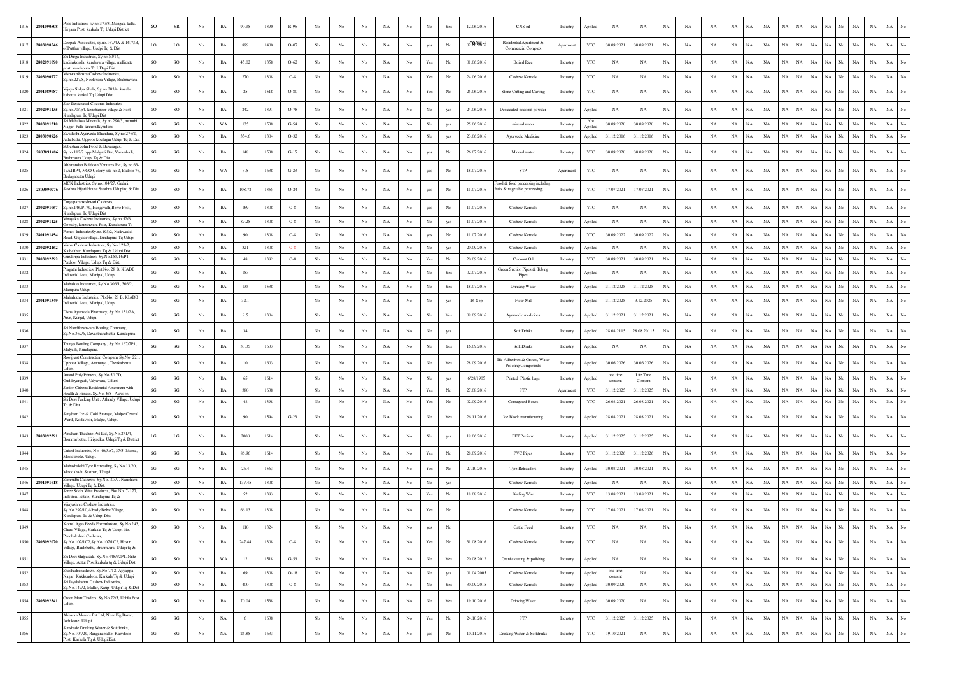| 1916 | ass Industries, sy.no.377/3, Mangala kallu,<br>2801090508<br>Iirgana Post, karkala Tq Udupi District                                 | SO                     | SR                     | No               | BA          | 90.95  | 1390 | R-95     |                  |                  |                  | NA          | No               | No                                                                              | Yes                                                                                   | 12.06.2016 | CNS oil                                                           | Industry  | Applied        | NA                  | NA                   | NA          | NA          | NA          | NA          | <b>NA</b>   | NA          | NA<br>NA.                  | NA          |                   | NA                 | NA          | NA          |                  |
|------|--------------------------------------------------------------------------------------------------------------------------------------|------------------------|------------------------|------------------|-------------|--------|------|----------|------------------|------------------|------------------|-------------|------------------|---------------------------------------------------------------------------------|---------------------------------------------------------------------------------------|------------|-------------------------------------------------------------------|-----------|----------------|---------------------|----------------------|-------------|-------------|-------------|-------------|-------------|-------------|----------------------------|-------------|-------------------|--------------------|-------------|-------------|------------------|
| 1917 | Deepak Associates, sy.no.167/4A & 167/3B,<br>2803090546<br>of Putthur village, Uudpi Tq & Dist                                       | LO                     | LO <sub>1</sub>        | No               | BA          | 899    | 1400 | $O - 07$ | No               | No               | No               | NA          | $_{\rm No}$      | yes                                                                             | No                                                                                    | 02.08.2016 | Residential Apartment &<br><b>Commercial Complex</b>              | Apartment | YTC            | 30.09.2021          | 30.09.2021           | NA          | NA          | NA          | NA          | NA          | NA          | <b>NA</b><br>NA            | $_{\rm NA}$ | NA                | $_{\rm NA}$<br>No. | $_{\rm NA}$ | NA          |                  |
|      | Sri Durga Industries, Sy.no.50/14,<br>1918 2802091090<br>kadinakonda, kandavara village, mullikatte<br>ost, kundapura Tq UDupi Dist. | <b>SO</b>              | SO                     | No               | BA          | 45.02  | 1358 | $O-62$   | No               | No               | No               | NA          | No               | Yes                                                                             | No                                                                                    | 01.06.2016 | <b>Boiled Rice</b>                                                | Industry  | YTC            | NA                  | NA                   | NA          | NA          | NA          | NA          | NA          | NA          | <b>NA</b><br>NA            | NA          | NA                | NA<br>No           | NA          | NA          |                  |
| 1919 | Vishwambhara Cashew Industries.<br>2803090777<br>Sy.no.227/8, Neelavara Village, Brahmavara                                          | <b>SO</b>              | SO                     | No               | BA          | 270    | 1308 | $O-8$    | $_{\rm No}$      | No               | No               | $_{\rm NA}$ | $_{\mathrm{No}}$ | $\operatorname{Yes}$                                                            | No                                                                                    | 24.06.2016 | Cashew Kernels                                                    | Industry  | YTC            | NA                  | NA                   | $_{\rm NA}$ | NA          | NA          | $_{\rm NA}$ | $_{\rm NA}$ | NA          | NA<br>NA                   | NA          | $_{\rm NA}$       | No<br>NA           | $_{\rm NA}$ | NA          |                  |
| 1920 | /ijaya Shilpa Shala, Sy.no.203/4, kasaba,<br>2801089987<br>cabettu, karkal Tq Udupi Dist                                             | $\mathbf{S}\mathbf{G}$ | SO                     | No               | BA          | 25     | 1518 | $O-80$   | No               | No               | No               | NA          | No               | Yes                                                                             | No                                                                                    | 25.06.2016 | Stone Cutting and Carving                                         | Industry  | $_{\rm YTC}$   | NA                  | NA                   | $_{\rm NA}$ | NA          | $_{\rm NA}$ | $_{\rm NA}$ | <b>NA</b>   | NA          | NA<br>NA                   | NA          | NA                | $_{\rm NA}$<br>No. | $_{\rm NA}$ | <b>NA</b>   |                  |
| 1921 | Star Desiccated Coconut Industries,<br>2802091135<br>Sy.no.70/Ip4, kenchanoor village & Post<br>undapura Tq Udupi Dist               | SO.                    | <sub>SO</sub>          | No               | <b>BA</b>   | 242    | 1391 | $O-78$   | No               | No               | No               | NA          | No               | No                                                                              | yes                                                                                   | 24.06.2016 | Desiccated coconut powder                                         | Industry  | Applied        | <b>NA</b>           | NA                   | NA          | NA          | NA          | <b>NA</b>   | <b>NA</b>   | NA          | NA<br>NA                   | NA          | NA                | NA                 | NA          | NA          |                  |
| 1922 | Sri Mahalasa Minerals, Sy.no.290/3, maruthi<br>2803091210<br>Vagar, Palli, kinnimulky udupi                                          | SG                     | SG                     | No               | WA          | 135    | 1538 | $G-54$   | No               | No               | No               | NA          | No               | $_{\rm No}$                                                                     | yes                                                                                   | 25.06.2016 | mineral water                                                     | Industry  | Not<br>Applied | 30.09.2020          | 30.09.2020           | NA          | NA          | NA          | NA          | $_{\rm NA}$ | NA          | NA<br>NA                   | $_{\rm NA}$ | NA                | NA<br>No           | $_{\rm NA}$ | NA          | No               |
| 1923 | Swadeshi Avurveda Bhandara, Sv.no.276/2.<br>2803090926<br>athabettu, Uppoor kolalagiri Udupi Tq & Dist                               | SO                     | SO                     | No               | BA          | 354.6  | 1304 | $O-32$   | $_{\rm No}$      | $_{\rm No}$      | No               | $_{\rm NA}$ | $_{\mathrm{No}}$ | No                                                                              | yes                                                                                   | 23.06.2016 | Ayurvedic Medicine                                                | Industry  | Applied        | 31.12.2016          | 31.12.2016           | $_{\rm NA}$ | NA          | NA          | $_{\rm NA}$ | <b>NA</b>   | NA          | NA<br>ŃА                   | NA          | NA                | $_{\rm NA}$        | $_{\rm NA}$ | $_{\rm NA}$ |                  |
| 1924 | Sebestian John Food & Beverages,<br>2803091486<br>Sy.no.112/7 opp Malgudi Bar, Varamballi,<br>Brahmavra Udupi Tq & Dist              | $\mathbf{S}\mathbf{G}$ | $\mathbf{S}\mathbf{G}$ | No               | $_{\rm BA}$ | 148    | 1538 | $G-15$   | No               | No               | No               | $_{\rm NA}$ | $_{\mathrm{No}}$ | yes                                                                             | No                                                                                    | 26.07.2016 | Mineral water                                                     | Industry  | YTC            | 30.09.2020          | 30.09.2020           | $_{\rm NA}$ | NA          | $_{\rm NA}$ | $_{\rm NA}$ | NA          | NA          | NA<br>NA.                  | $_{\rm NA}$ | NA                | No.<br>$_{\rm NA}$ | $_{\rm NA}$ | $_{\rm NA}$ | No               |
| 1925 | Abhinandan Buildcon Ventures Pvt, Sy.no.63-<br>17A1BP4, NGO Colony site no.2, Bailoor 76<br>Badagabettu Udupi                        | SG                     | $\mathbf{S}\mathbf{G}$ | No               | WA          | 3.5    | 1638 | $G-23$   | No               | No               | No               | NA          | $_{\mathrm{No}}$ | yes                                                                             | No                                                                                    | 18.07.2016 | STP                                                               | Apartment | YTC            | NA                  | NA                   | NA          | NA          | NA          | $_{\rm NA}$ | <b>NA</b>   | NA          | NA<br>NA.                  | $_{\rm NA}$ | NA                | $_{\rm NA}$        | $_{\rm NA}$ | $_{\rm NA}$ |                  |
|      | MCK Industries, Sy.no.104/27, Gudmi<br>1926 2803090776<br>Sasthna Hijari House Saathna Udupi tq & Dist                               | <b>SO</b>              | SO                     | No               | BA          | 108.72 | 1355 | $O-24$   | No               | No               | No               | NA          | No.              | yes                                                                             | No                                                                                    | 11.07.2016 | ood & food processing including<br>fruits & vegetable processing; | Industry  | YTC            | 17.07.2021          | 17.07.2021           | NA          | NA          | NA          | NA          | NA          | NA          | NA<br>NA                   | $_{\rm NA}$ | NA                | $_{\rm NA}$        | $_{\rm NA}$ | $_{\rm NA}$ |                  |
| 1927 | Durgaparameshwari Cashews,<br>2802091067<br>Sy.no.146/P179, Hengavalli, Belve Post,<br>Kundapura Tq Udupi Dist                       | <b>SO</b>              | SO                     | No               | BA          | 169    | 1308 | $O-8$    | $_{\rm No}$      | No               | No               | NA          | No               | yes                                                                             | No                                                                                    | 11.07.2016 | Cashew Kernels                                                    | Industry  | $_{\rm YTC}$   | NA                  | NA                   | $_{\rm NA}$ | NA          | $_{\rm NA}$ | $_{\rm NA}$ | NA          | NA          | NA<br>NA                   | NA          | NA<br>No          | $_{\rm NA}$        | $_{\rm NA}$ | $_{\rm NA}$ |                  |
| 1928 | Vinayaka Cashew Industries, Sy.no.52/6,<br>2802091125<br>Gopady, koteshwara Post, Kundapura Tq                                       | SO                     | SO                     | No               | $_{\rm BA}$ | 89.25  | 1308 | $O-8$    | $_{\rm No}$      | $_{\rm No}$      | No               | $_{\rm NA}$ | $_{\mathrm{No}}$ | No                                                                              | yes                                                                                   | 11.07.2016 | Cashew Kernels                                                    | Industry  | Applied        | NA                  | NA                   | $_{\rm NA}$ | NA          | NA          | $_{\rm NA}$ | NA          | NA          | NA<br>NA                   | $_{\rm NA}$ | NA                | $_{\rm NA}$        | $_{\rm NA}$ | <b>NA</b>   |                  |
| 1929 | Famco IndustriesSy.no.195/2, Nakwaddi<br>2801091454<br>Road, Gujjadi village, kundapura Tq Udupi                                     | SO                     | SO                     | No               | BA          | 90     | 1308 | $O-8$    | No               | No               | No               | NA          | No               | yes                                                                             | No                                                                                    | 11.07.2016 | Cashew Kernels                                                    | Industry  | YTC            | 30.09.2022          | 30.09.2022           | NA          | NA          | $_{\rm NA}$ | $_{\rm NA}$ | NA          | NA          | NA                         | NA          | NA                | $_{\rm NA}$        | $_{\rm NA}$ | <b>NA</b>   |                  |
| 1930 | /ishal Cashew Industries, Sy.No.123-2.<br>2802092162<br>Katbelthur, Kundapura Tq & Udupi Dist                                        | -SO                    | SO                     | No               | <b>BA</b>   | 321    | 1308 | $O-8$    | No               | No               | No               | NA          | No               | No                                                                              |                                                                                       | 20.09.2016 | Cashew Kernels                                                    | Industry  | Applied        | NA                  | NA                   | NA          | NA          | <b>NA</b>   | <b>NA</b>   | NA          | NA          | NA<br>NA                   | $_{\rm NA}$ | NA<br>N٥          | $_{\rm NA}$        | $_{\rm NA}$ | NA          | No               |
| 1931 | Gurukripa Industries, Sy.No.155/16/P1<br>2803092292<br>Perdoor Village, Udupi Tq & Dist.                                             | SG                     | SO                     | No               | BA          | 48     | 1382 | $O-8$    | $_{\rm No}$      | No               | No               | NA          | $_{\mathrm{No}}$ | Yes                                                                             | No                                                                                    | 20.09.2016 | Coconut Oil                                                       | Industry  | YTC            | 30.09.2021          | 30.09.2021           | NA          | NA          | NA          | $_{\rm NA}$ | NA          | NA          | NA<br>NΑ                   | $_{\rm NA}$ | NA                | NA                 | $_{\rm NA}$ | NA          |                  |
| 1932 | Pragathi Industries, Plot No. 28 B. KIADB<br>Industrial Area, Manipal, Udupi                                                         | SG                     | $\mathbf{S}\mathbf{G}$ | No               | BA          | 153    |      |          | $_{\rm No}$      | No               | No               | NA          | $_{\mathrm{No}}$ | No                                                                              | Yes                                                                                   | 02.07.2016 | Green Suction Pipes & Tubing<br>Pipes                             | Industry  | Applied        | NA                  | NA                   | $_{\rm NA}$ | NA          | NA          | $_{\rm NA}$ | NA          | NA          | NA                         | NA          | NA                | $_{\rm NA}$        | $_{\rm NA}$ | $_{\rm NA}$ |                  |
| 1933 | Mahalasa Industries, Sy.No.306/1, 306/2,<br>Manipura Udupi                                                                           | SG                     | $\mathbf{S}\mathbf{G}$ | No               | BA          | 135    | 1538 |          | $_{\rm No}$      | No               | No               | $_{\rm NA}$ | No               | No                                                                              | Yes                                                                                   | 18.07.2016 | Drinking Water                                                    | Industry  | Applied        | 31.12.2025          | 31.12.2025           | NA          | NA          | NA          | <b>NA</b>   | NA          | NA          | NA<br>NA                   | $_{\rm NA}$ | NA                | $_{\rm NA}$        | $_{\rm NA}$ | <b>NA</b>   |                  |
| 1934 | Mahalaxmi Industries, PlotNo. 28 B, KIADB<br>2801091349<br>Industrial Area, Manipal, Udupi                                           | SG                     | SG                     | No               | $_{\rm BA}$ | 32.1   |      |          | No               | No               | No               | NA          | $_{\rm No}$      | $_{\rm No}$                                                                     | yes                                                                                   | 16-Sep     | Flour Mill                                                        | Industry  | Applied        | 31.12.2025          | 3.12.2025            | NA          | NA          | NA          | NA          | NA          | NA          | <b>NA</b><br>NA            | $_{\rm NA}$ | NA                | $_{\rm NA}$<br>No  | $_{\rm NA}$ | NA          |                  |
| 1935 | Disha Ayurveda Pharmacy, Sy.No.131/2A,<br>Arur, Kunjal, Udupi                                                                        | $\mathbf{S}\mathbf{G}$ | $\mathbf{S}\mathbf{G}$ | No               | BA          | 9.5    | 1304 |          | No               | No               | No               | $_{\rm NA}$ | $_{\mathrm{No}}$ | $_{\rm No}$                                                                     | Yes                                                                                   | 09.09.2016 | Ayurvedic medicines                                               | Industry  | Applied        | 31.12.2021          | 31.12.2021           | $_{\rm NA}$ | NA          | NA          | $_{\rm NA}$ | $_{\rm NA}$ | NA          | NA<br>$_{\rm NA}$          | NA          | $_{\rm NA}$       | NA<br>No           | $_{\rm NA}$ | NA          |                  |
| 1936 | Sri Nandikeshwara Bottling Company<br>Sy.No.362/6, Devasthanabettu, Kundapura                                                        | SG                     | SG                     | No               | <b>BA</b>   | 34     |      |          | No               | No               | No               | NA          | No               | No                                                                              | yes                                                                                   |            | <b>Soft Drinks</b>                                                | Industry  | Applied        | 28.08.2115          | 28.08.20115          | <b>NA</b>   | NA          | NA          | NA          | NA          | <b>NA</b>   | NA<br>NA                   | $_{\rm NA}$ | <b>NA</b>         | $_{\rm NA}$<br>No. | $_{\rm NA}$ | NA          |                  |
| 1937 | Thunga Bottling Company, Sy.No.167/7P1,<br>Malvadi, Kundapura.                                                                       | SG                     | $\mathbf{S}\mathbf{G}$ | No               | BA          | 33.35  | 1633 |          | No               | No               | No               | NA          | $_{\rm No}$      | No                                                                              | Yes                                                                                   | 16.09.2016 | Soft Drinks                                                       | Industry  | Applied        | NA                  | NA                   | NA          | NA          | NA          | NA          | NA          | NA          | NA<br>NA                   | $_{\rm NA}$ | NA                | $_{\rm NA}$        | $_{\rm NA}$ | NA          |                  |
| 1938 | Roofplast Construction Company Sy.No. 221<br>Uppoor Village, Ammunje, Thenkabettu,                                                   | SG                     | $\mathbf{SG}$          | No               | $_{\rm BA}$ | 10     | 1603 |          |                  | No               | No               | $_{\rm NA}$ | $_{\mathrm{No}}$ | No                                                                              | Yes                                                                                   | 28.09.2016 | Tile Adhesives & Grouts, Water<br>Proofing Compounds              | Industry  | Applied        | 30.06.2026          | 30.06.2026           | $_{\rm NA}$ | NA          | $_{\rm NA}$ | $_{\rm NA}$ | NA          | NA          | NA<br>NA.                  | $_{\rm NA}$ | NA                | No.<br>$_{\rm NA}$ | $_{\rm NA}$ | $_{\rm NA}$ |                  |
| 1939 | Anand Poly Printers, Sv.No.5/17D.<br>Guddeyangadi, Udyavara, Udup                                                                    | SG                     | $\mathbf{S}\mathbf{G}$ | No               | BA          | 65     | 1614 |          | No               | No               | No               | NA          | No               | No                                                                              | yes                                                                                   | 6/28/1905  | Printed Plastic bags                                              | Industry  | Applied        | one time<br>consent | Life Time<br>Consent | NA          | $_{\rm NA}$ | NA          | $_{\rm NA}$ | NA          | NA          | <b>NA</b><br>NA            | NA          |                   | $_{\rm NA}$        | $_{\rm NA}$ | $_{\rm NA}$ |                  |
| 1940 | Senior Citizens Residential Apartment with<br>Health & Fitness, Sy.No. 6/5, Alevoor,                                                 | SG                     | SG                     | No               | BA          | 380    | 1638 |          | No               | No               | No               | NA          | No               | Yes                                                                             | No                                                                                    | 27.08.2016 | <b>STP</b>                                                        | Apartment | <b>YTC</b>     | 31.12.2025          | 31.12.2025           | NA          | NA          | NA          | NA          | $_{\rm NA}$ | NA          | NA<br><b>NA</b>            | $_{\rm NA}$ | <b>NA</b>         | NA<br>No           | <b>NA</b>   | $_{\rm NA}$ |                  |
| 1941 | Sri Devi Packing Unit, Athrady Village, Udup<br>a & Dist.                                                                            | SG                     | $\mathbf{S}\mathbf{G}$ | No               | BA          | $48\,$ | 1398 |          | $_{\rm No}$      | $_{\rm No}$      | No               | $_{\rm NA}$ | $_{\mathrm{No}}$ | Yes                                                                             | No                                                                                    | 02.09.2016 | Corrugated Boxes                                                  | Industry  | YTC            | 26.08.2021          | 26.08.2021           | NA          | NA          | NA          | $_{\rm NA}$ | NA          | NA          | NA<br>NA                   | NA          | NA                | NA<br>No           | $_{\rm NA}$ | $_{\rm NA}$ |                  |
| 1942 | Sangham Ice & Cold Storage, Malpe Central<br>Ward, Kodavoor, Malpe, Udupi.                                                           | SG                     | $\mathbf{S}\mathbf{G}$ | No               | BA          | 90     | 1594 | $G-23$   | No               | No               | No               | NA          | No               | No                                                                              | Yes                                                                                   | 26.11.2016 | Ice Block manufacturing                                           | Industry  | Applied        | 28.08.2021          | 28.08.2021           | $_{\rm NA}$ | NA          | $_{\rm NA}$ | $_{\rm NA}$ | NA          | NA          | NA<br>NA                   | $_{\rm NA}$ | $_{\rm NA}$       | $_{\rm NA}$<br>No  | $_{\rm NA}$ | NA          |                  |
|      | Pancham Thechno Pvt Ltd, Sy.No.271/4,<br>1943 2803092291<br>Bommarbettu, Hiriyadka, Udupi Tq & District                              | LG                     | $_{\rm LG}$            | No               | BA          | 2000   | 1614 |          | No               | No               | No               | NA          | $_{\mathrm{No}}$ | No                                                                              | yes                                                                                   | 19.06.2016 | PET Preform                                                       | Industry  | Applied        | 31.12.2025          | 31.12.2025           | $_{\rm NA}$ | NA          | <b>NA</b>   | $_{\rm NA}$ | <b>NA</b>   | NA          | <b>NA</b><br>ŃА.           | NA          | NA                | $_{\rm NA}$        | $_{\rm NA}$ | NA          |                  |
| 1944 | United Industries, No. 40/3A7, 37/5, Marne,<br>Moodubelle, Udupi.                                                                    | SG                     | $\mathbf{S}\mathbf{G}$ | No               | $_{\rm BA}$ | 86.96  | 1614 |          | $_{\rm No}$      | No               | No               | NA          | $_{\mathrm{No}}$ | $\operatorname{Yes}$                                                            | No                                                                                    | 28.09.2016 | <b>PVC Pipes</b>                                                  | Industry  | <b>YTC</b>     | 31.12.2026          | 31.12.2026           | NA          | NA          | <b>NA</b>   | $_{\rm NA}$ | NA          | <b>NA</b>   | NA<br>NA                   | NA          | NA                | $_{\rm NA}$        | $_{\rm NA}$ | $_{\rm NA}$ |                  |
| 1945 | Mahashakthi Tyre Retreading, Sy.No.13/20,<br>Moodahadu Sasthan, Udupi                                                                | SG                     | $\mathbf{S}\mathbf{G}$ | No               | <b>BA</b>   | 26.4   | 1563 |          | No               | No               | No               | NA          | No               | $\operatorname*{Yes}% \left( X\right) \equiv\operatorname*{Yes}\left( X\right)$ | No                                                                                    | 27.10.2016 | Tyre Retreaders                                                   | Industry  | Applied        | 30.08.2021          | 30.08.2021           | NA          | NA          | NA          | NA          | NA          | NA          | NA<br>NA                   | $_{\rm NA}$ | <b>NA</b>         | $_{\rm NA}$        | $_{\rm NA}$ | $_{\rm NA}$ |                  |
| 1946 | Samrudhi Cashews, Sy.No.103/7, Nancharu<br>2801091618<br>Village, Udupi Tq & Dist.                                                   | SO                     | SO                     | No               | BA          | 137.45 | 1308 |          | No               | No               | No               | NA          | No               | No                                                                              | yes                                                                                   |            | Cashew Kernels                                                    | Industry  | Applied        | NA                  | NA                   | <b>NA</b>   | NA          | NA          | <b>NA</b>   | <b>NA</b>   | NA          | <b>NA</b><br><b>NA</b>     | NA          | <b>NA</b><br>N٥   | NA                 | $_{\rm NA}$ | NA          | No               |
| 1947 | Shree Sddhi Wire Products, Plot No. 7-177,<br>Isutrial Estate. Kundapura To &                                                        | SG                     | SO                     | No               | $_{\rm BA}$ | 52     | 1383 |          | $_{\rm No}$      | $_{\rm No}$      | $_{\rm No}$      | $_{\rm NA}$ | $_{\mathrm{No}}$ | Yes                                                                             | $_{\rm No}$                                                                           | 18.08.2016 | <b>Binding Wire</b>                                               | Industry  | YTC            | 13.08.2021          | 13.08.2021           | NA          | NA          | NA          | $_{\rm NA}$ | NA          | NA          | NA<br>NA                   | NA          | $_{\rm NA}$       | NA<br>No           | $_{\rm NA}$ | $_{\rm NA}$ | No               |
| 1948 | Vijavashree Cashew Industries<br>Sy.No.297/10, Albady Belve Village,<br>Kundapura Tq & Udupi Dist.                                   | SO                     | SO                     | No               | BA          | 66.13  | 1308 |          | No               | No               | No               | NA          | No               | Yes                                                                             | No                                                                                    |            | Cashew Kernels                                                    | Industry  | YTC            | 17.08.2021          | 17.08.2021           | NA          | NA          | NA          | NA          | NA          | NA          | NA<br><b>NA</b>            | NA          | <b>NA</b>         | NA<br>No.          | $_{\rm NA}$ | NA          |                  |
| 1949 | Chara Village, Karkala Tq & Udupi dist.                                                                                              | SO                     | SO                     | No               | BA          | 110    | 1324 |          | $_{\rm No}$      | No               | No               | NA          | No               | yes                                                                             | No                                                                                    |            | Cattle Feed                                                       | Industry  | YTC            | NA                  | NA                   | NA          | NA          | NA          | NA          | NA          | NA          | NA NA                      |             | $\rm NA-NA-No$    | NA                 | NA .        | $_{\rm NA}$ | No               |
| 1950 | Panchakshari Cashews,<br>2803092070 Sy.No.107/1C2,Sy.No.107/1C2, Hosur<br>Village, Baidebettu, Brahnwara, Udupi tq &                 | SO                     | $_{\rm SO}$            | No               | $_{\rm BA}$ | 247.44 | 1308 | $O-8$    | $_{\mathrm{No}}$ | $_{\mathrm{No}}$ | $_{\rm No}$      | NA          | No               | Yes                                                                             | $_{\mathrm{No}}$                                                                      | 31.08.2016 | Cashew Kernels                                                    | Industry  | YTC            | $_{\rm NA}$         | NA                   | $_{\rm NA}$ | $_{\rm NA}$ | NA          | $_{\rm NA}$ | NA          | $_{\rm NA}$ | $_{\rm NA}$<br>NA          | $_{\rm NA}$ | $_{\rm NA}$       | $_{\rm NA}$<br>No  | $_{\rm NA}$ | $_{\rm NA}$ | $_{\mathrm{No}}$ |
| 1951 | Sri Devi Shilpakala, Sy.No.448/P2P1, Nitte<br>Village, Atttur Post karkala tq & Udupi Dist.                                          | SG                     | $_{\rm SO}$            | No               | WA          | 12     | 1518 | $G-56$   | $_{\rm No}$      | $_{\rm No}$      | $_{\rm No}$      | $_{\rm NA}$ | $_{\rm No}$      | $_{\mathrm{No}}$                                                                | $\operatorname*{Yes}% \left( X\right) \equiv\operatorname*{Yes}(\mathbb{R}^{3}\left)$ | 20.08.2012 | Granite cutting & polishing                                       | Industry  | Applied        | NA                  | $_{\rm NA}$          | $_{\rm NA}$ | $_{\rm NA}$ | NA          | $_{\rm NA}$ | $_{\rm NA}$ | <b>NA</b>   | $_{\rm NA}$<br>NA          | $_{\rm NA}$ | NA                | No<br>$_{\rm NA}$  | $_{\rm NA}$ | $_{\rm NA}$ | $_{\mathrm{No}}$ |
| 1952 | Sheshadri cashews, Sy.No.7/12, Ayyappa<br>Nagar, Kukkundoor, Karkala Tq & Udupi                                                      | SO                     | $\rm SO$               | No               | $_{\rm BA}$ | 69     | 1308 | $O-18$   | $_{\mathrm{No}}$ | $_{\mathrm{No}}$ | $_{\rm No}$      | $_{\rm NA}$ | No               | $_{\mathrm{No}}$                                                                | yes                                                                                   | 01.04.2005 | Cashew Kernels                                                    | Industry  | Applied        | one time<br>consent | NA                   | $_{\rm NA}$ | $_{\rm NA}$ | NA          | $_{\rm NA}$ | NA          | NA          | $_{\rm NA}$<br>NA          | $_{\rm NA}$ | $_{\rm NA}$       | $_{\rm NA}$<br>No  | NA          | $_{\rm NA}$ | $_{\mathrm{No}}$ |
| 1953 | Sri Jayalakshmi Cashew Industries,<br>Sy.No.149/2, Mallar, Kaup, Udupi Tq & Dist                                                     | $\rm{SO}$              | $_{\rm SO}$            | No               | $_{\rm BA}$ | 400    | 1308 | $O-8$    | $_{\mathrm{No}}$ | $_{\rm No}$      | $_{\rm No}$      | $_{\rm NA}$ | $_{\mathrm{No}}$ | $_{\mathrm{No}}$                                                                | $\operatorname*{Yes}% \left( X\right) \equiv\operatorname*{Yes}(\mathbb{R}^{3}\left)$ | 30.09.2015 | Cashew Kernels                                                    | Industry  | Applied        | 30.09.2020          | $_{\rm NA}$          | $_{\rm NA}$ | $_{\rm NA}$ | NA          | NA          | $_{\rm NA}$ | NA          | $_{\rm NA}$<br>$_{\rm NA}$ | $_{\rm NA}$ | $_{\rm NA}$<br>No | $_{\rm NA}$        | $_{\rm NA}$ | $_{\rm NA}$ | $_{\mathrm{No}}$ |
| 1954 | Green Mart Traders, Sy.No.72/5, Uchila Post<br>2803092541<br>Udupi                                                                   | $\mathbf{S}\mathbf{G}$ | $\mathbf{S}\mathbf{G}$ | No               | $_{\rm BA}$ | 70.04  | 1538 |          | $_{\rm No}$      | $_{\mathrm{No}}$ | $_{\rm No}$      | NA          | $_{\rm No}$      | $_{\mathrm{No}}$                                                                | Yes                                                                                   | 19.10.2016 | Drinking Water                                                    | Industry  | Applied        | 30.09.2020          | NA                   | $_{\rm NA}$ | NA          | NA          | $_{\rm NA}$ | $_{\rm NA}$ | NA          | $_{\rm NA}$<br>$_{\rm NA}$ | $_{\rm NA}$ | $_{\rm NA}$       | No<br>$_{\rm NA}$  | $_{\rm NA}$ | $_{\rm NA}$ | $_{\mathrm{No}}$ |
| 1955 | Abharan Motors Pvt Ltd, Near Big Bazar,<br>Jodukatte, Udupi                                                                          | $\mathbf{S}\mathbf{G}$ | $\mathbf{S}\mathbf{G}$ | No               | $_{\rm NA}$ | -6     | 1638 |          | $_{\mathrm{No}}$ | $_{\rm No}$      | $_{\rm No}$      | $_{\rm NA}$ | $_{\mathrm{No}}$ | Yes                                                                             | No                                                                                    | 24.10.2016 | STP                                                               | Industry  | YTC            | 31.12.2025          | 31.12.2025           | $_{\rm NA}$ | $_{\rm NA}$ | NA          | $_{\rm NA}$ | NA          | $_{\rm NA}$ | NA<br>NA                   | $\rm NA-NA$ |                   | No<br>NA           | $_{\rm NA}$ | NA          | $_{\mathrm{No}}$ |
| 1956 | Sunshade Drinking Water & Softdrinks,<br>Sy.No.104/29, Ranganapalke, Kawdoor                                                         | $\mathbf{S}\mathbf{G}$ | $\mathbf{S}\mathbf{G}$ | $_{\mathrm{No}}$ | $_{\rm NA}$ | 26.85  | 1633 |          | $_{\rm No}$      | $_{\rm No}$      | $_{\mathrm{No}}$ | $_{\rm NA}$ | $_{\mathrm{No}}$ | yes                                                                             | $_{\mathrm{No}}$                                                                      | 10.11.2016 | Drinking Water & Softdrinks                                       | Industry  | YTC            | 19.10.2021          | $_{\rm NA}$          | $_{\rm NA}$ | $_{\rm NA}$ | $_{\rm NA}$ | $_{\rm NA}$ | $_{\rm NA}$ | $_{\rm NA}$ | $_{\rm NA}$<br>$_{\rm NA}$ | $_{\rm NA}$ | $_{\rm NA}$       | No<br>$_{\rm NA}$  | $_{\rm NA}$ | $_{\rm NA}$ | $_{\mathrm{No}}$ |
|      | Post, Karkala Tq & Udupi Dist.                                                                                                       |                        |                        |                  |             |        |      |          |                  |                  |                  |             |                  |                                                                                 |                                                                                       |            |                                                                   |           |                |                     |                      |             |             |             |             |             |             |                            |             |                   |                    |             |             |                  |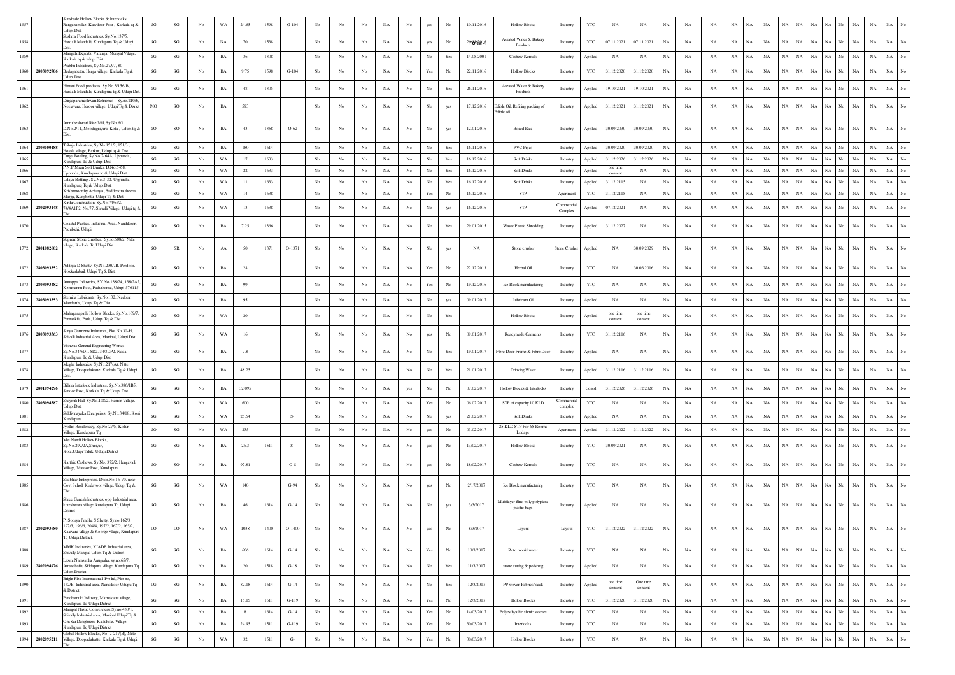| 1957 |                 | unshade Hollow Blocks & Interlocks<br>anganapalke, Kawdoor Post, Karkala tq &             | SG                     | $\mathbf{S}\mathbf{G}$ | No               | WA          | 24.65  | 1598 | $G-104$   | No               | No               | No          | NA          | No               | yes                                                                                   | No               | 10.11.2016     | <b>Hollow Blocks</b>                            | Industry            | YTC          | NA                  | NA                    | NA          | NA          | NA          | NA          | <b>NA</b>                  | <b>NA</b>   | NA<br>NA                   |                            |     | NA<br>NA                   | NA                         |                  |
|------|-----------------|-------------------------------------------------------------------------------------------|------------------------|------------------------|------------------|-------------|--------|------|-----------|------------------|------------------|-------------|-------------|------------------|---------------------------------------------------------------------------------------|------------------|----------------|-------------------------------------------------|---------------------|--------------|---------------------|-----------------------|-------------|-------------|-------------|-------------|----------------------------|-------------|----------------------------|----------------------------|-----|----------------------------|----------------------------|------------------|
|      |                 | Jdupi Dist.<br>ushma Food Industries, Sy.No.137/5,                                        |                        |                        |                  |             |        |      |           |                  |                  |             |             |                  |                                                                                       |                  |                | Aerated Water & Bakery                          |                     |              |                     |                       |             |             |             |             |                            |             |                            |                            |     |                            |                            |                  |
| 1958 |                 | Hardalli Mandalli, Kundapura Tq & Udupi                                                   | SG                     | $\mathbf{S}\mathbf{G}$ | No               | NA          | 70     | 1538 |           | No               | No               | No          | NA          | $_{\rm No}$      | yes                                                                                   | No               | $24$ bhin $16$ | Products                                        | Industry            | YTC          | 07.11.2021          | 07.11.2021            | NA          | NA          | NA          | NA          | NA<br>NA                   | NA          | NA<br>NA                   | NA                         | No. | $_{\rm NA}$<br>NA          | $_{\rm NA}$                | No               |
| 1959 |                 | Mangala Exports, Varanga, Muniyal Village,<br>arkala tq & udupi Dist.                     | SG                     | $\mathbf{S}\mathbf{G}$ | No               | $_{\rm BA}$ | 36     | 1308 |           | $_{\rm No}$      | $_{\rm No}$      | $_{\rm No}$ | NA          | $_{\mathrm{No}}$ | $_{\rm No}$                                                                           | Yes              | 14.05.2001     | Cashew Kernels                                  | Industry            | Applied      | $_{\rm NA}$         | $_{\rm NA}$           | NA          | $_{\rm NA}$ | NA          | $_{\rm NA}$ | NA<br>NA                   | NA          | NA<br>$_{\rm NA}$          | $_{\rm NA}$                | No  | NA<br>$_{\rm NA}$          | $_{\rm NA}$                | No               |
| 1960 | 2803092706      | rabhu Indsutries, Sy.No.27/97, 80<br>adagabettu, Herga village, Karkala Tq &              | SG                     | $\mathbf{S}\mathbf{G}$ | No               | BA          | 9.75   | 1598 | $G-104$   | No               | No               | No          | NA          | No               | Yes                                                                                   | No               | 22.11.2016     | <b>Hollow Blocks</b>                            | Industry            | YTC          | 31.12.2020          | 31.12.2020            | NA          | NA          | NA          | $_{\rm NA}$ | NA<br><b>NA</b>            | NA          | NA<br>$_{\rm NA}$          | ŃА                         | No. | $_{\rm NA}$<br>$_{\rm NA}$ | $_{\rm NA}$                |                  |
|      |                 | dupi Dist.                                                                                |                        |                        |                  |             |        |      |           |                  |                  |             |             |                  |                                                                                       |                  |                |                                                 |                     |              |                     |                       |             |             |             |             |                            |             |                            |                            |     |                            |                            |                  |
| 1961 |                 | imani Food products, Sv.No.3/156-B.<br>lardalli Mandalli, Kundapura tq & Udupi Dis        | SG                     | SG                     | No               | $_{\rm BA}$ | 48     | 1305 |           | No               | No               | No          | NA          | $_{\mathrm{No}}$ | No                                                                                    | Yes              | 26.11.2016     | Areated Water & Bakery<br>Products              | Industry            | Applied      | 19.10.2021          | 19.10.2021            | NA          | NA          | NA          | $_{\rm NA}$ | NA<br>NA                   | <b>NA</b>   | ŃА<br>NA                   | NA                         |     | $_{\rm NA}$<br>$_{\rm NA}$ | $_{\rm NA}$                |                  |
|      |                 | Durgaparameshwari Refineries, Sy.no.210/6,                                                |                        |                        |                  |             |        |      |           |                  |                  |             |             |                  |                                                                                       |                  |                |                                                 |                     |              |                     |                       |             |             |             |             |                            |             |                            |                            |     |                            |                            |                  |
| 1962 |                 | Veelavara, Heroor village, Udupi Tq & Disrict                                             | MO                     | SO                     | No               | $_{\rm BA}$ | 593    |      |           | No               | No               | No          | NA          | $_{\rm No}$      | No                                                                                    | yes              | 17.12.2016     | Edible Oil, Refining packing of<br>Edible oil   | Industry            | Applied      | 31.12.2021          | 31.12.2021            | $_{\rm NA}$ | NA          | NA          | $_{\rm NA}$ | NA<br>NA                   | NA          | NA<br>NA                   | NA                         |     | $_{\rm NA}$<br>$_{\rm NA}$ | $_{\rm NA}$                |                  |
|      |                 | Amrutheshwari Rice Mill, Sy.No.6/1,                                                       |                        |                        |                  |             |        |      |           |                  |                  |             |             |                  |                                                                                       |                  |                |                                                 |                     |              |                     |                       |             |             |             |             |                            |             |                            |                            |     |                            |                            |                  |
| 1963 |                 | D.No.2/11, Moodugiliyaru, Kota, Udupi tq &                                                | <b>SO</b>              | SO                     | No               | BA          | 43     | 1358 | $O-62$    | No               | No               | No          | NA          | No               | No                                                                                    | yes              | 12.01.2016     | <b>Boiled Rice</b>                              | Industry            | Applied      | 30.09.2030          | 30.09.2030            | <b>NA</b>   | NA          | NA          | NA          | NA<br>NA                   | NA          | NA<br>$_{\rm NA}$          | NA                         |     | $_{\rm NA}$<br>$_{\rm NA}$ | $_{\rm NA}$                | $\overline{N}$ o |
|      |                 | ribuja Industries, Sy.No.151/2, 151/3                                                     |                        |                        |                  |             |        |      |           |                  |                  |             |             |                  |                                                                                       |                  |                |                                                 |                     |              |                     |                       |             |             |             |             |                            |             |                            |                            |     |                            |                            |                  |
| 1964 | 2803100188      | osala village, Barkur, Udupi tq & Dist<br>Durga Bottling, Sy.No.2-64A, Uppunda,           | SG                     | $\mathbf{S}\mathbf{G}$ | No               | BA          | 180    | 1614 |           | No               | No               | No          | NA          | No               | No                                                                                    | Yes              | 16.11.2016     | <b>PVC Pipes</b>                                | Industry            | Applied      | 30.09.2020          | 30.09.2020            | NA          | NA          | NA          | NA          | NA<br>NA                   | NA          | NA<br>NA                   | NA                         | N٥  | NA<br>$_{\rm NA}$          | $_{\rm NA}$                | No               |
| 1965 |                 | undapura Tq & Udupi Dist.                                                                 | SG                     | SG                     | No               | WA          | 17     | 1633 |           | No               | No.              | No          | NA          | No               | No                                                                                    | Yes              | 16.12.2016     | <b>Soft Drinks</b>                              | Industry            | Applied      | 31.12.2026          | 31.12.2026            | <b>NA</b>   | NA          | NA          | NA.         | NA<br><b>NA</b>            | NA          | NA<br>$_{\rm NA}$          | NA                         | No  | NA<br>$_{\rm NA}$          | $_{\rm NA}$                | No               |
| 1966 |                 | '.N.P Milan Soft Drinks, D.No.5-68,<br>ppunda, Kundapura tq & Udupi Dist.                 | SG                     | SG                     | No               | WA          | 22     | 1633 |           | No               | $_{\rm No}$      | $_{\rm No}$ | NA          | $_{\rm No}$      | $_{\rm No}$                                                                           | Yes              | 16.12.2016     | Soft Drinks                                     | Industry            | Applied      | one time<br>consent | NA                    | $_{\rm NA}$ | NA          | NA          | NA          | <b>NA</b><br>NA            | $_{\rm NA}$ | NA<br>NA                   | NA                         |     | $_{\rm NA}$<br>$_{\rm NA}$ | $_{\rm NA}$                | No               |
| 1967 |                 | Jdaya Bottling, Sy.No.3-32, Uppunda,<br>undapurq Tq & Udupi Dist.                         | $\mathbf{S}\mathbf{G}$ | SG                     | No               | WA          | 11     | 1633 |           | $_{\rm No}$      | $_{\rm No}$      | $_{\rm No}$ | NA          | $_{\rm No}$      | $_{\rm No}$                                                                           | Yes              | 16.12.2016     | <b>Soft Drinks</b>                              | Industry            | Applied      | 31.12.2115          | NA                    | NA          | NA          | $_{\rm NA}$ | $_{\rm NA}$ | NA<br>NA                   | NA          | NA<br>NA                   | <b>NA</b>                  | No  | $_{\rm NA}$<br>NA          | $_{\rm NA}$                | No               |
| 1968 |                 | rishnmoorthy Acharya, Suddendra theerta<br>Aarga, Kunjibettu, Udupi Tq & Dist.            | $\mathbf{S}\mathbf{G}$ | SG                     | No               | WA          | 14     | 1638 |           | $_{\rm No}$      | $_{\rm No}$      | No          | NA          | $_{\mathrm{No}}$ | Yes                                                                                   | No               | 16.12.2016     | STP                                             | Apartment           | YTC          | 31.12.2115          | NA                    | $_{\rm NA}$ | NA          | $_{\rm NA}$ | NA          | NA<br>$_{\rm NA}$          | $_{\rm NA}$ | NA<br>NA                   |                            |     | $_{\rm NA}$<br>$_{\rm NA}$ | $_{\rm NA}$                | No               |
| 1969 | 2802093148      | irthi Construction, Sy.No.74/6P2,<br>74/4A1P2, No.77, Shivalli Village, Udupi tq &        | $_{\rm SG}$            | SG                     | No               | WA          | 13     | 1638 |           | $_{\rm No}$      | No               | No          | $_{\rm NA}$ | $_{\mathrm{No}}$ | $_{\rm No}$                                                                           | yes              | 16.12.2016     | ${\rm STP}$                                     | Commercial          | Applied      | 07.12.2021          | NA                    | $_{\rm NA}$ | NA          | $_{\rm NA}$ | NA          | $_{\rm NA}$<br><b>NA</b>   | $_{\rm NA}$ | NA<br>NA                   | NA                         | No. | $_{\rm NA}$<br>$_{\rm NA}$ | $_{\rm NA}$                | No               |
|      |                 |                                                                                           |                        |                        |                  |             |        |      |           |                  |                  |             |             |                  |                                                                                       |                  |                |                                                 | Complex             |              |                     |                       |             |             |             |             |                            |             |                            |                            |     |                            |                            |                  |
| 1970 |                 | oastal Plastics, Industrial Area, Nandikoor,<br>Padubidri, Udupi                          | SO                     | SG                     | No               | $_{\rm BA}$ | 7.25   | 1366 |           | No               | No               | No          | NA          | No               | $_{\rm No}$                                                                           | Yes              | 29.01.2015     | Waste Plastic Shredding                         | Industry            | Applied      | 31.12.2027          | NA                    | $_{\rm NA}$ | NA          | $_{\rm NA}$ | $_{\rm NA}$ | NA<br>NA                   | $_{\rm NA}$ | NA<br>NA                   | NA                         | No  | NA<br>$_{\rm NA}$          | NA                         |                  |
|      |                 | sprem Stone Crusher, Sy.no.508/2, Nitte                                                   |                        |                        |                  |             |        |      |           |                  |                  |             |             |                  |                                                                                       |                  |                |                                                 |                     |              |                     |                       |             |             |             |             |                            |             |                            |                            |     |                            |                            |                  |
| 1772 | 2801082602      | llage, Karkala Tq Udupi Dist                                                              | SO                     | SR                     | No               | ${\bf AA}$  | 50     | 1371 | O-1371    | No               | No               | No          | NA          | $_{\mathrm{No}}$ | No                                                                                    | yes              | NA             | Stone crusher                                   | <b>Stone Crushe</b> | Applied      | NA                  | 30.09.2029            | $_{\rm NA}$ | NA          | NA          | $_{\rm NA}$ | NA<br>NA                   | NA          | NA<br>NA                   | NA                         | No  | $_{\rm NA}$<br>$_{\rm NA}$ | $_{\rm NA}$                | $_{\rm No}$      |
|      |                 |                                                                                           |                        |                        |                  |             |        |      |           |                  |                  |             |             |                  |                                                                                       |                  |                |                                                 |                     |              |                     |                       |             |             |             |             |                            |             |                            |                            |     |                            |                            |                  |
|      | 1972 2803093352 | dithya D Shetty, Sy.No.230/7B, Perdoor,<br>okkadabail, Udupi Tq & Dist.                   | SG                     | $\mathbf{S}\mathbf{G}$ | No               | $_{\rm BA}$ | 28     |      |           | No               | No.              | No          | NA          | No               | Yes                                                                                   | No               | 22.12.2013     | Herbal Oil                                      | Industry            | YTC          | NA                  | 30.06.2016            | NA          | NA          | NA          | NA          | NA<br><b>NA</b>            | $_{\rm NA}$ | NA<br>$_{\rm NA}$          | <b>NA</b>                  | No. | $_{\rm NA}$<br>$_{\rm NA}$ | $_{\rm NA}$                | $_{\mathrm{No}}$ |
|      |                 | nnappa Industries, SY.No.138/24, 138/2A2                                                  |                        |                        |                  |             |        |      |           |                  |                  |             |             |                  |                                                                                       |                  |                |                                                 |                     |              |                     |                       |             |             |             |             |                            |             |                            |                            |     |                            |                            |                  |
| 1973 | 2803093482      | mmannu Post, Paduthonse, Udupi-576115                                                     | $\mathbf{S}\mathbf{G}$ | $\mathbf{S}\mathbf{G}$ | $_{\mathrm{No}}$ | $_{\rm BA}$ | 99     |      |           | No               | No               | $_{\rm No}$ | NA          | $_{\mathrm{No}}$ | Yes                                                                                   | No               | 19.12.2016     | Ice Block manufacturing                         | Industry            | YTC          | $_{\rm NA}$         | NA                    | $_{\rm NA}$ | NA          | $_{\rm NA}$ | NA          | <b>NA</b><br>NA            | NA          | $_{\rm NA}$<br>NA          | NA                         |     | $_{\rm NA}$<br>$_{\rm NA}$ | $_{\rm NA}$                | $_{\mathrm{No}}$ |
|      | 1974 2803093353 | temina Lubricants, Sy.No.132, Nadoor.<br>andarthi, Udupi Tq & Dist                        | SG                     | SG                     | No               | $_{\rm BA}$ | 95     |      |           | $_{\rm No}$      | $_{\mathrm{No}}$ | $_{\rm No}$ | NA          | $_{\rm No}$      | $_{\rm No}$                                                                           | yes              | 09.01.2017     | Lubricant Oil                                   | Industry            | Applied      | $_{\rm NA}$         | NA                    | $_{\rm NA}$ | NA          | NA          | NA          | <b>NA</b><br>NA            | $_{\rm NA}$ | NA<br>NA                   | NA                         |     | $_{\rm NA}$<br>$_{\rm NA}$ | $_{\rm NA}$                | No               |
| 1975 |                 | ahaganapathi Hollow Blocks, Sy.No.169/7,                                                  | SG                     | $\mathbf{S}\mathbf{G}$ | No               | WA          | -20    |      |           | No               | No               | No          | NA          | No               | No                                                                                    | Yes              |                | <b>Hollow Blocks</b>                            | Industry            | Applied      | one time            | one time              | NA          | NA          | NA          | $_{\rm NA}$ | <b>NA</b><br>NA            | NA          | NA<br>$_{\rm NA}$          | NA                         | No. | $_{\rm NA}$<br>$_{\rm NA}$ | $_{\rm NA}$                | $_{\mathrm{No}}$ |
|      |                 | mankila, Patla, Udupi Tq & Dist.                                                          |                        |                        |                  |             |        |      |           |                  |                  |             |             |                  |                                                                                       |                  |                |                                                 |                     |              | consent             | consent               |             |             |             |             |                            |             |                            |                            |     |                            |                            |                  |
| 1976 | 2803093363      | urya Garments Industries, Plot No.30-H,<br>hivalli Industrial Area, Manipal, Udupi Dist.  | $\mathbf{S}\mathbf{G}$ | SG                     | No               | WA          | 16     |      |           | No               | No               | No          | NA          | No               | yes                                                                                   | No               | 09.01.2017     | Readymade Garments                              | Industry            | YTC          | 31.12.2116          | NA                    | NA          | NA          | NA          | NA          | NA<br>NA                   | NA          | NA<br>NA                   | NA                         |     | $_{\rm NA}$<br>$_{\rm NA}$ | $_{\rm NA}$                | No               |
|      |                 | Vishwas General Engineering Works,                                                        |                        |                        |                  |             |        |      |           |                  |                  |             |             |                  |                                                                                       |                  |                |                                                 |                     |              |                     |                       |             |             |             |             |                            |             |                            |                            |     |                            |                            |                  |
|      |                 | Sy.No.34/5D1, 5D2, 34/3DP2, Nada,<br>undapura Tq & Udupi Dist.                            | SG                     | $\mathbf{SG}$          | No               | BA          | 7.8    |      |           | No               | $_{\rm No}$      | No          | NA          | No               | No                                                                                    | Yes              | 19.01.2017     | Fibre Door Frame & Fibre Door                   | Industry            | Applied      | NA                  | NA                    | NA          | NA          | NA          | NA          | NA<br>NA                   | NA          | $_{\rm NA}$<br>NA          | <b>NA</b>                  | No  | $_{\rm NA}$<br>$_{\rm NA}$ | $_{\rm NA}$                | $_{\mathrm{No}}$ |
| 1978 |                 | Megha Industries, Sy.No.217(A), Nitte<br>Village, Doopadakatte, Karkala Tq & Udupi        | SG                     | $\mathbf{S}\mathbf{G}$ | No               | $_{\rm BA}$ | 48.25  |      |           | No               | No               | No          | NA          | No               | No                                                                                    | Yes              | 21.01.2017     | Drinking Water                                  | Industry            | Applied      | 31.12.2116          | 31.12.2116            | <b>NA</b>   | NA          | NA          | $_{\rm NA}$ | <b>NA</b><br><b>NA</b>     | $_{\rm NA}$ | NA<br>$_{\rm NA}$          | NA.                        | No. | $_{\rm NA}$<br>$_{\rm NA}$ | $_{\rm NA}$                | $_{\mathrm{No}}$ |
|      |                 |                                                                                           |                        |                        |                  |             |        |      |           |                  |                  |             |             |                  |                                                                                       |                  |                |                                                 |                     |              |                     |                       |             |             |             |             |                            |             |                            |                            |     |                            |                            |                  |
| 1979 | 2801094296      | illava Interlock Industries, Sv.No.386/1B5.<br>anoor Post, Karkala Tq & Udupi Dist.       | SG                     | SG                     | No               | $_{\rm BA}$ | 32.095 |      |           | No               | No               | No          | NA          | yes              | No                                                                                    | No               | 07.02.2017     | Hollow Blocks & Interlocks                      | Industry            | closed       | 31.12.2026          | 31.12.2026            | NA          | NA          | NA          | NA          | NA<br>NA                   | $_{\rm NA}$ | NA<br>$_{\rm NA}$          |                            |     | $_{\rm NA}$<br>$_{\rm NA}$ | NA                         |                  |
| 1980 | 2803094587      | aymili Hall, Sy.No.108/2, Herror Village,                                                 | SG                     | SG                     | No               | WA          | 600    |      |           | $_{\rm No}$      | $_{\rm No}$      | $_{\rm No}$ | $_{\rm NA}$ | $_{\rm No}$      | $\operatorname{Yes}$                                                                  | $_{\rm No}$      | 06.02.2017     | STP of capacity 10 KLD                          | Commercia           | YTC          | $_{\rm NA}$         | NA                    | NA          | NA          | NA          | $_{\rm NA}$ | NA<br>NA                   | NA          | $_{\rm NA}$<br>NA          | $_{\rm NA}$                | No  | NA<br>NA                   | $_{\rm NA}$                | No               |
|      |                 | dupi Dist.<br>Siddivinayaka Enterprises, Sy.No.34/18, Koni                                |                        |                        |                  |             |        |      |           |                  |                  |             |             |                  |                                                                                       |                  |                |                                                 | complex             |              |                     |                       |             |             |             |             |                            |             |                            |                            |     |                            |                            |                  |
| 1981 |                 | <b>Cundapura</b>                                                                          | SG                     | $\mathbf{S}\mathbf{G}$ | No               | WA          | 25.54  |      | $S-$      | No               | No.              | No          | NA          | No               | No                                                                                    | yes              | 21.02.2017     | <b>Soft Drinks</b>                              | Industry            | Applied      | NA                  | NA                    | NA          | NA          | NA          | $_{\rm NA}$ | NA<br>NA                   | NA          | NA<br>$_{\rm NA}$          | NA                         | No. | $_{\rm NA}$<br>$_{\rm NA}$ | $_{\rm NA}$                | No               |
| 1982 |                 | yothis Residencey, Sy.No.27/5, Kollur<br>illage, Kundapura Tq                             | SO                     | $\mathbf{S}\mathbf{G}$ | No               | WA          | 235    |      |           | No               | No.              | No          | NA          | No               | yes                                                                                   | No               | 03.02.2017     | 25 KLD STP For 65 Rooms<br>Lodage               | Apartment           | Applied      | 31.12.2022          | 31.12.2022            | NA          | NA          | NA          | $_{\rm NA}$ | NA<br>NA                   | NA          | $_{\rm NA}$<br>$_{\rm NA}$ | NA                         | No  | $_{\rm NA}$<br>$_{\rm NA}$ | $_{\rm NA}$                | No               |
| 1983 |                 | M's Nandi Hollow Blocks.<br>Sy.No.292/2A,Shiriyar,                                        | SG                     | $\mathbf{S}\mathbf{G}$ | No               | BA          | 26.3   | 1511 | $S-$      | No               | No               | No          | NA          | No               | yes                                                                                   | No               | 13/02/2017     | <b>Hollow Blocks</b>                            | Industry            | YTC          | 30.09.2021          | NA                    | NA          | NA          | NA          | $_{\rm NA}$ | NA<br>NA                   | NA          | NA<br>$_{\rm NA}$          | NA                         | No  | $_{\rm NA}$<br>$_{\rm NA}$ | $_{\rm NA}$                | No               |
|      |                 | Kota, Udupi Taluk, Udupi District                                                         |                        |                        |                  |             |        |      |           |                  |                  |             |             |                  |                                                                                       |                  |                |                                                 |                     |              |                     |                       |             |             |             |             |                            |             |                            |                            |     |                            |                            |                  |
| 1984 |                 | Karthik Cashews, Sv.No. 372/2. Hengavalli<br>Village, Maroor Post, Kundapura              | <b>SO</b>              | SO                     | No               | $_{\rm BA}$ | 97.81  |      | $O-8$     | $_{\rm No}$      | No               | $_{\rm No}$ | NA          | $_{\mathrm{No}}$ | yes                                                                                   | No               | 18/02/2017     | Cashew Kernels                                  | Industry            | YTC          | NA                  | NA                    | $_{\rm NA}$ | NA          | NA          | $_{\rm NA}$ | NA<br>NA                   | NA          | NA<br>NA                   | NA                         | No. | $_{\rm NA}$<br>$_{\rm NA}$ | $_{\rm NA}$                | $_{\mathrm{No}}$ |
|      |                 | Sadbhav Enterprises, Door, No.16-70, near                                                 |                        |                        |                  |             |        |      |           |                  |                  |             |             |                  |                                                                                       |                  |                |                                                 |                     |              |                     |                       |             |             |             |             |                            |             |                            |                            |     |                            |                            |                  |
| 1985 |                 | Govt Scholl, Kodavoor village, Udupi Tq &                                                 | SG                     | SG                     | No               | WA          | 140    |      | $G-94$    | No               | No               | No          | NA          | No               | yes                                                                                   | No               | 2/17/2017      | Ice Block manufacturing                         | Industry            | YTC          | NA                  | NA                    | $_{\rm NA}$ | NA          | NA          | $_{\rm NA}$ | NA<br>NA                   | $_{\rm NA}$ | $_{\rm NA}$<br>NA          | NA                         |     | NA<br>$_{\rm NA}$          | NA                         |                  |
|      |                 | Shree Ganesh Industries, opp Industrial area                                              |                        |                        |                  |             |        |      |           |                  |                  |             |             |                  |                                                                                       |                  |                |                                                 |                     |              |                     |                       |             |             |             |             |                            |             |                            |                            |     |                            |                            |                  |
|      |                 | oteshwara village, kundapura Tq Udupi<br>District                                         | SG                     | SG                     | No               | $_{\rm BA}$ | 46     | 1614 | $G-14$    | No               | No               | No          | NA          | No               | No                                                                                    | yes              | 3/3/2017       | Multilayer films poly polyplene<br>plastic bags | Industry            | Applied      | NA                  | NA                    | $_{\rm NA}$ | NA          | NA          | $_{\rm NA}$ | NA<br>NA                   | NA          | $_{\rm NA}$<br>NA          | NA                         | No  | $_{\rm NA}$<br>$_{\rm NA}$ | $_{\rm NA}$                | $_{\rm No}$      |
|      |                 | P. Soorya Prabha S Shetty, Sy.no.162/3,                                                   |                        |                        |                  |             |        |      |           |                  |                  |             |             |                  |                                                                                       |                  |                |                                                 |                     |              |                     |                       |             |             |             |             |                            |             |                            |                            |     |                            |                            |                  |
|      | 1987 2802093680 | 7/3, 196/6, 204/4, 197/2, 167/2, 165/2,<br>Calavara village & Koorge village, Kundapura   | LO                     | LO                     | No               | WA          | 1038   | 1400 | $O-1400$  | No               | No               | $\rm No$    | NA          | No               | yes                                                                                   | No               | 8/3/2017       | Layout                                          | Layout              | YTC          |                     | 31.12.2022 31.12.2022 | NA          | NA          | NA          | $NA$ $NA$   | NA                         |             |                            | NA NA NA NA No NA          |     |                            | $\rm NA$ $\rm NA$ $\rm No$ |                  |
|      |                 | Tq Udupi District.                                                                        |                        |                        |                  |             |        |      |           |                  |                  |             |             |                  |                                                                                       |                  |                |                                                 |                     |              |                     |                       |             |             |             |             |                            |             |                            |                            |     |                            |                            |                  |
| 1988 |                 | MMK Industries, KIADB Industrial area,<br>Shivally Manipal Udupi Tq & District            | $\mathbf{S}\mathbf{G}$ | $\mathbf{S}\mathbf{G}$ | No               | BA          | 666    | 1614 | $G-14$    | $_{\mathrm{No}}$ | No               | $_{\rm No}$ | $_{\rm NA}$ | $_{\mathrm{No}}$ | $\operatorname{Yes}$                                                                  | $_{\mathrm{No}}$ | 10/3/2017      | Roto mould water                                | Industry            | YTC          | $_{\rm NA}$         | NA                    | $_{\rm NA}$ | $_{\rm NA}$ | $_{\rm NA}$ | $_{\rm NA}$ | NA<br>$_{\rm NA}$          | NA          | NA                         | $_{\rm NA}$<br>$_{\rm NA}$ | No  | NA                         | NA<br>NA                   | $_{\mathrm{No}}$ |
|      |                 | Laxmi Narasimha Anugraha, sy.no.65/7,                                                     |                        |                        |                  |             |        |      |           |                  |                  |             |             |                  |                                                                                       |                  |                |                                                 |                     |              |                     |                       |             |             |             |             |                            |             |                            |                            |     |                            |                            |                  |
| 1989 | 2802094976      | Amasebailu, Siddapura village, Kundapura Tq<br>Jdupi District                             | SG                     | $\mathbf{S}\mathbf{G}$ | No               | $_{\rm BA}$ | 20     | 1518 | $G-18$    | No               | No               | No          | NA          | No               | $_{\rm No}$                                                                           | Yes              | 11/3/2017      | stone cutting & polishing                       | Industry            | Applied      | NA                  | NA                    | $_{\rm NA}$ | NA          | NA          | $_{\rm NA}$ | NA<br>NA                   | NA          | $_{\rm NA}$<br>NA          | NA                         | No  | $_{\rm NA}$<br>$_{\rm NA}$ | $_{\rm NA}$                | $_{\rm No}$      |
| 1990 |                 | Bright Flex International Pvt ltd, Plot no,<br>162/B, Industrial area, Nandikoor Udupu Tq | LG                     | $\mathbf{S}\mathbf{G}$ | No               | BA          | 82.18  | 1614 | $G-14$    | No               | No               | No          | NA          | No               | No                                                                                    | Yes              | 12/3/2017      | PP woven Fabrics/ sack                          | Industry            | Applied      | one time            | One time              | NA          | NA          | NA          | $_{\rm NA}$ | NA<br>NA                   | NA          | NA                         | $_{\rm NA}$<br>NA          | No  | $_{\rm NA}$                | NA<br>$_{\rm NA}$          | $_{\mathrm{No}}$ |
|      |                 | & District                                                                                |                        |                        |                  |             |        |      |           |                  |                  |             |             |                  |                                                                                       |                  |                |                                                 |                     |              | consent             | consent               |             |             |             |             |                            |             |                            |                            |     |                            |                            |                  |
| 1991 |                 | Panchamuki Industry, Mamakatte village,<br>Kundapura Tq Udupi District                    | SG                     | SG                     | No               | $_{\rm BA}$ | 15.15  | 1511 | $G-119$   | No               | No               | $_{\rm No}$ | NA          | $_{\rm No}$      | Yes                                                                                   | No               | 12/3/2017      | <b>Holow Blocks</b>                             | Industry            | YTC          | 31.12.2020          | 31.12.2020            | NA          | NA          | NA          | NA          | NA  <br>NA                 | NA          | NA                         | NA<br>NA                   | No  | NA                         | NA<br>NA                   | $_{\rm No}$      |
| 1992 |                 | Manipal Plastic Convereters, Sy.no.433/1,<br>Shivally Industrial area, Manipal Udupi Tq & | SG                     | $\mathbf{S}\mathbf{G}$ | No               | $_{\rm BA}$ | 8      | 1614 | $G-14$    | No               | No               | No          | NA          | No               | $\operatorname*{Yes}% \left( X\right) \equiv\operatorname*{Yes}(\mathbb{R}^{3}\left)$ | No               | 14/03/2017     | Polyesthyathic shrnic steeves                   | Industry            | $_{\rm YTC}$ | NA                  | NA                    | NA          | $_{\rm NA}$ | NA          | $_{\rm NA}$ | NA<br>NA                   | NA          | $_{\rm NA}$<br>NA          | NA.                        | No  | $_{\rm NA}$<br>NA          | $_{\rm NA}$                | $_{\mathrm{No}}$ |
| 1993 |                 | Om Sai Desighners, Kaduhole, Village,<br>Kundapura Tq Udupi District                      | SG                     | $\mathbf{S}\mathbf{G}$ | No               | $_{\rm BA}$ | 24.95  | 1511 | $G-119$   | $_{\rm No}$      | No               | $_{\rm No}$ | NA          | $_{\rm No}$      | $\operatorname{Yes}$                                                                  | $_{\rm No}$      | 30/03/2017     | Interlocks                                      | Industry            | YTC          | NA                  | NA                    | $_{\rm NA}$ | NA          | NA          | NA          | NA<br>NA                   | NA          | NA                         | NA<br>NA                   | No  | NA<br>NA                   | $_{\rm NA}$                | $_{\rm No}$      |
|      | 1994 2802095211 | Global Hollow Blocks, No. 2-217(B), Nitte                                                 | $\mathbf{S}\mathbf{G}$ | $\mathbf{S}\mathbf{G}$ | $_{\mathrm{No}}$ | WA          | 32     | 1511 | ${\bf G}$ | $_{\mathrm{No}}$ | $_{\rm No}$      | $_{\rm No}$ | $_{\rm NA}$ | $_{\mathrm{No}}$ | $\operatorname{Yes}$                                                                  | $_{\rm No}$      | 30/03/2017     | <b>Hollow Blocks</b>                            | Industry            | YTC          | NA                  | $_{\rm NA}$           | $_{\rm NA}$ | $_{\rm NA}$ | $_{\rm NA}$ | $_{\rm NA}$ | $_{\rm NA}$<br>$_{\rm NA}$ | NA          | NA                         | $_{\rm NA}$<br>NA          | No  | $_{\rm NA}$                | $_{\rm NA}$<br>NA          | $_{\mathrm{No}}$ |
|      |                 | Village, Doopadakatte, Karkala Tq & Udupi                                                 |                        |                        |                  |             |        |      |           |                  |                  |             |             |                  |                                                                                       |                  |                |                                                 |                     |              |                     |                       |             |             |             |             |                            |             |                            |                            |     |                            |                            |                  |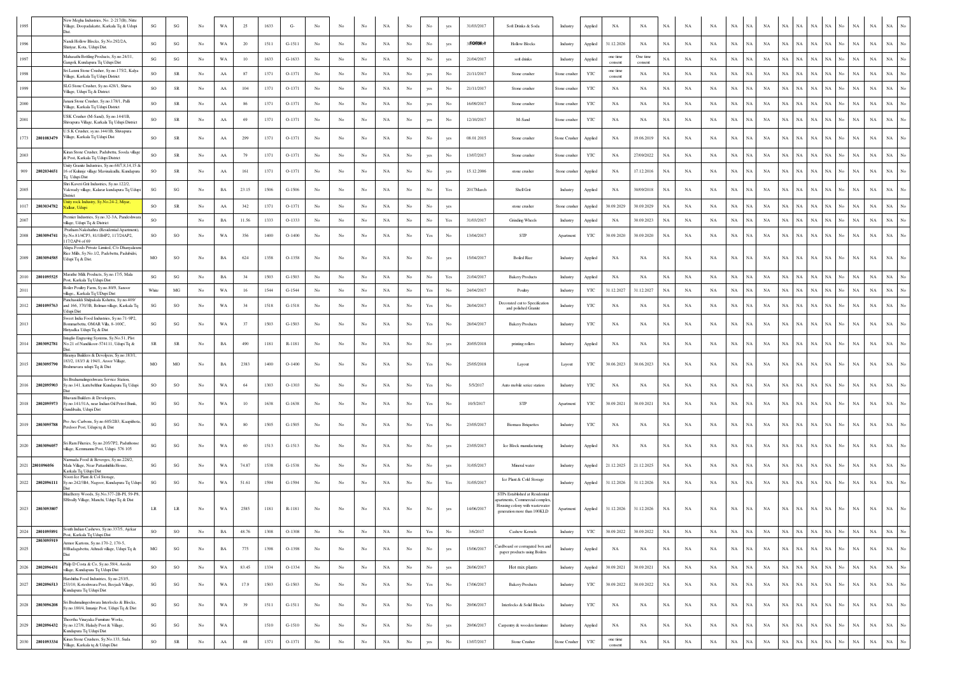|                        | New Megha Industries, No. 2-217(B), Nitte<br>Village, Doopadakatte, Karkala Tq & Udupi                           | SG                     | SG                     | No          | WA          | 25     | 1633 | $G-$     |                  |                  |             | NA          | No               |                                                                                       |             | 31/03/2017 | Soft Drinks & Soda                                                                                | Industry             | Applied      | NA                  | NA                  | NA          | NA          | NA          | NA          | NA          | NA          | NA<br>NA                   | NA          |           |     | NA<br>NA                   | NA          |                  |
|------------------------|------------------------------------------------------------------------------------------------------------------|------------------------|------------------------|-------------|-------------|--------|------|----------|------------------|------------------|-------------|-------------|------------------|---------------------------------------------------------------------------------------|-------------|------------|---------------------------------------------------------------------------------------------------|----------------------|--------------|---------------------|---------------------|-------------|-------------|-------------|-------------|-------------|-------------|----------------------------|-------------|-----------|-----|----------------------------|-------------|------------------|
| 1996                   | Nandi Hollow Blocks, Sy.No.292/2A,<br>Shiriyar, Kota, Udupi Dist.                                                | $\mathbf{S}\mathbf{G}$ | $\mathbf{S}\mathbf{G}$ | No          | WA          | 20     | 1511 | $G-1511$ | No               | No               | $_{\rm No}$ | $_{\rm NA}$ | No.              | No                                                                                    | yes         | 317099011  | <b>Hollow Blocks</b>                                                                              | Industry             | Applied      | 31.12.2026          | NA                  | <b>NA</b>   | NA          | <b>NA</b>   | NA          | NA          | <b>NA</b>   | NA<br>NA                   | $_{\rm NA}$ | NA        |     | $_{\rm NA}$<br>$_{\rm NA}$ | $_{\rm NA}$ | No               |
| 1997                   | Mahasathi Bottling Products, Sy.no.24/11.<br>Gangoli, Kundapura Tq Udupi Dist                                    | $\mathbf{S}\mathbf{G}$ | $\mathbf{S}\mathbf{G}$ | No          | WA          | 10     | 1633 | $G-1633$ | No               | No               | $_{\rm No}$ | $_{\rm NA}$ | $_{\rm No}$      | No                                                                                    | yes         | 21/04/2017 | soft drinks                                                                                       | Industry             | Applied      | one time<br>consent | One time<br>consent | $_{\rm NA}$ | NA          | <b>NA</b>   | $_{\rm NA}$ | NA          | NA          | NA<br>NA                   | $_{\rm NA}$ | NA        |     | $_{\rm NA}$<br>$_{\rm NA}$ | $_{\rm NA}$ | $\overline{N}$ o |
|                        | Sri Laxmi Stone Crusher, Sy.no.175/2, Kalya<br>Village, Karkala To Udupi District                                | SO                     | ${\rm SR}$             | No          | ${\rm AA}$  | 87     | 1371 | O-1371   | No               | No               | No          | NA          | No               |                                                                                       | No          | 21/11/2017 | Stone crusher                                                                                     | Stone crusher        | YTC          | one time<br>consent | NA                  | NA          | NA          | $_{\rm NA}$ | $_{\rm NA}$ | NA          | NA          | NA<br><b>NA</b>            | $_{\rm NA}$ | NA        | No  | $_{\rm NA}$<br>$_{\rm NA}$ | $_{\rm NA}$ |                  |
|                        | SLG Stone Crusher, Sy.no.428/1, Shirva<br>Village, Udupi Tq & District                                           | SO                     | ${\sf SR}$             | No          | ${\rm AA}$  | 104    | 1371 | O-1371   | No               | No               | No          | $_{\rm NA}$ | No               | yes                                                                                   | No          | 21/11/2017 | Stone crusher                                                                                     | Stone crusher        | YTC          | NA                  | NA                  | $_{\rm NA}$ | NA          | NA          | $_{\rm NA}$ | NA          | NA          | $_{\rm NA}$<br>NA          | $_{\rm NA}$ | NA        | No  | $_{\rm NA}$<br>NA          | NA          |                  |
| 2000                   | anani Stone Crusher, Sy.no.178/1, Palli<br>Village, Karkala Tq Udupi District                                    | $\rm SO$               | ${\rm SR}$             | No          | ${\rm AA}$  | 86     | 1371 | $O-1371$ | No               | No               | No          | NA          | No               | yes                                                                                   | No          | 16/09/2017 | Stone crusher                                                                                     | Stone crusher        | YTC          | NA                  | $_{\rm NA}$         | NA          | NA          | NA          | $_{\rm NA}$ | NA          | NA          | NA<br>NA                   | $_{\rm NA}$ | NA        | No. | $_{\rm NA}$<br>$_{\rm NA}$ | $_{\rm NA}$ |                  |
| 2001                   | USK Crusher (M-Sand), Sy.no.144/1B,<br>Shivapura Village, Karkala Tq Udupi District                              | <b>SO</b>              | ${\rm SR}$             | No          | ${\rm AA}$  | 69     | 1371 | O-1371   | No               | No               | No          | NA          | No               | yes                                                                                   | No          | 12/10/2017 | M-Sand                                                                                            | Stone crusher        | YTC          | NA                  | NA                  | NA          | NA          | NA          | $_{\rm NA}$ | NA          | NA          | NA<br>NA                   | $_{\rm NA}$ | NA.       | No. | $_{\rm NA}$<br>NA          | $_{\rm NA}$ | No               |
| 1773<br>2801083479     | U.S.K Crusher, sv.no.144/1B, Shivapura<br>Village, Karkala Tq Udupi Dist                                         | <sub>SO</sub>          | ${\rm SR}$             | No          | AA          | 299    | 1371 | $O-1371$ | No               | No               | No          | NA          | No.              | No                                                                                    | yes         | 08.01.2015 | Stone crusher                                                                                     | <b>Stone Crusher</b> | Applied      | NA                  | 19.06.2019          | <b>NA</b>   | NA          | NA          | NA          | NA          | NA          | $_{\rm NA}$<br>NA          | NA          | NA        | No. | $_{\rm NA}$<br><b>NA</b>   | $_{\rm NA}$ | $_{\mathrm{No}}$ |
| 2003                   | Kiran Stone Crusher, Padubettu, Sooda village<br>& Post, Karkala To Udupi District                               | SO                     | ${\rm SR}$             | No          | ${\rm AA}$  | 79     | 1371 | O-1371   | No               | No               | No          | NA          | No               |                                                                                       | No          | 13/07/2017 | Stone crusher                                                                                     | Stone crusher        | YTC          | NA                  | 27/09/2022          | $_{\rm NA}$ | NA          | $_{\rm NA}$ | $_{\rm NA}$ | NA          | NA          | NA<br><b>NA</b>            | $_{\rm NA}$ | NA        |     | $_{\rm NA}$<br>$_{\rm NA}$ | $_{\rm NA}$ | No               |
| 909<br>2802034651      | Unity Granite Industries, Sv.no.68/7.8.14.15 &<br>16 of Kulunje village Mavinakudlu, Kundapura<br>To Udupi Dist  | SO                     | ${\rm SR}$             | No          | ${\rm AA}$  | 161    | 1371 | O-1371   | $_{\rm No}$      | No               | No          | $_{\rm NA}$ | No               | No                                                                                    | yes         | 15.12.2006 | stone crusher                                                                                     | Stone crusher        | Applied      | NA                  | 17.12.2016          | $_{\rm NA}$ | NA          | NA          | $_{\rm NA}$ | <b>NA</b>   | NA          | NA<br>NA                   | $_{\rm NA}$ | NA        | No. | $_{\rm NA}$<br>$_{\rm NA}$ | $_{\rm NA}$ |                  |
|                        | Shri Kaveri Grit Industries, Sy.no.122/2,<br>Vakwady village, Kalarar kundapura Tq Udup<br>District              | $\mathbf{S}\mathbf{G}$ | SG                     | No          | $_{\rm BA}$ | 23.15  | 1506 | $G-1506$ | No               | No               | No          | $_{\rm NA}$ | No               | No                                                                                    | Yes         | 2017 March | Shell Grit                                                                                        | Industry             | Applied      | NA                  | 30/09/2018          | $_{\rm NA}$ | NA          | NA          | $_{\rm NA}$ | NA          | NA          | $_{\rm NA}$<br>NA          | NA          | NA        |     | $_{\rm NA}$<br>$_{\rm NA}$ | NA          |                  |
| 1017<br>2803034782     | nity rock Industry, Sy.No.24-2, Miyar<br>alkur, Udupi                                                            | <sub>SO</sub>          | ${\rm SR}$             | No          | ${\rm AA}$  | 342    | 1371 | $O-1371$ | No               | No               | No          | NA          | No               | No                                                                                    | yes         |            | stone crusher                                                                                     | Stone crusher        | Applied      | 30.09.2029          | 30.09.2029          | NA          | NA          | NA          | $_{\rm NA}$ | $_{\rm NA}$ | NA          | NA<br>NA                   | $_{\rm NA}$ | NA        | No. | $_{\rm NA}$<br>$_{\rm NA}$ | $_{\rm NA}$ |                  |
| 2007                   | Premier Industries, Sy.no.32-3A, Pandeshwa<br>village, Udupi Tq & District                                       | <b>SO</b>              |                        | No          | BA          | 11.56  | 1333 | $O-1333$ | No               | No               | No          | NA          | No               | No                                                                                    | Yes         | 31/03/2017 | Grinding Wheels                                                                                   | Industry             | Applied      | NA                  | 30.09.2023          | NA          | NA          | NA          | $_{\rm NA}$ | NA          | NA          | NA<br><b>NA</b>            | NA          |           |     | $_{\rm NA}$<br>$_{\rm NA}$ | $_{\rm NA}$ |                  |
| 2008<br>2803094741     | Pratham Nakshathra (Residential Apartment).<br>Sy.No.81/4CP3, 81/1B4P2, 117/24AP2,<br>7/2AP4 of 69               | SO                     | SO                     | No          | WA          | 356    | 1400 | $O-1400$ | No               | No               | No          | NA          | No               | Yes                                                                                   | No          | 13/04/2017 | STP                                                                                               | Apartment            | YTC          | 30.09.2020          | 30.09.2020          | $_{\rm NA}$ | NA          | $_{\rm NA}$ | $_{\rm NA}$ | NA          | NA          | $_{\rm NA}$<br>NA          | $_{\rm NA}$ | NA        | No  | $_{\rm NA}$<br>$_{\rm NA}$ | NA          | No               |
| 2009<br>2803094585     | Alupa Foods Private Limited, C/o Dhanyalaxmi<br>Rice Mills, Sy.No.1/2, Padebettu, Padubidri,<br>Udupi Tq & Dist. | MO                     | SO                     | No          | $_{\rm BA}$ | 624    | 1358 | O-1358   | No               | No               | No          | $_{\rm NA}$ | $_{\rm No}$      | No                                                                                    | yes         | 15/04/2017 | <b>Boiled Rice</b>                                                                                | Industry             | Applied      | NA                  | NA                  | NA          | NA          | NA          | NA          | NA          | NA          | NA<br>$_{\rm NA}$          | NA          | NA        | No. | $_{\rm NA}$<br>$_{\rm NA}$ | NA          |                  |
| 2010<br>2801095525     | Marathe Milk Products, Sy.no.17/5, Mala<br>Post, Karkala Tq Udupi Dist                                           | SG                     | SG                     | No          | $_{\rm BA}$ | 34     | 1503 | $G-1503$ | No               | $_{\rm No}$      | $_{\rm No}$ | $_{\rm NA}$ | $_{\rm No}$      | $_{\rm No}$                                                                           | Yes         | 21/04/2017 | <b>Bakery Products</b>                                                                            | Industry             | Applied      | NA                  | NA                  | NA          | NA          | NA          | $_{\rm NA}$ | NA          | NA          | NA<br><b>NA</b>            | NA          | <b>NA</b> |     | $_{\rm NA}$<br>$_{\rm NA}$ | NA          |                  |
| 2011                   | Boiler Poultry Farm, Sy.no.80/9, Sanoor<br>village Karkala To UDupi Dist                                         | White                  | $_{\rm MG}$            | No          | WA          | 16     | 1544 | G-1544   | $_{\mathrm{No}}$ | $_{\rm No}$      | $_{\rm No}$ | $_{\rm NA}$ | $_{\rm No}$      | Yes                                                                                   | $_{\rm No}$ | 24/04/2017 | Poultry                                                                                           | Industry             | YTC          | 31.12.2027          | 31.12.2027          | NA          | NA          | NA          | $_{\rm NA}$ | $_{\rm NA}$ | NA          | NA<br>NA                   | NA          | NA        | No  | NA<br>$_{\rm NA}$          | $_{\rm NA}$ | No               |
| 2012<br>2801095763     | Panchasiddi Shilpakala Kshetra, Sy.no.409/<br>and 166, 370/3B, Belman village, Karkala Tq<br>Udupi Dist          | $\mathbf{S}\mathbf{G}$ | SO                     | No          | WA          | 34     | 1518 | $G-1518$ | $_{\mathrm{No}}$ | No               | $_{\rm No}$ | $_{\rm NA}$ | $_{\rm No}$      | Yes                                                                                   | No          | 28/04/2017 | Decorated cut to Specification<br>and polished Granite                                            | Industry             | YTC          | NA                  | NA                  | $_{\rm NA}$ | NA          | NA          | NA          | NA          | NA          | NA<br>ŃА                   | NA          | NA        |     | $_{\rm NA}$<br>$_{\rm NA}$ | $_{\rm NA}$ |                  |
| 2013                   | Sweet India Food Industries, Sy.no.71-9P2,<br>ommarbettu, OMAR Villa, 8-100C,<br>Hiriyadka Udupi Ta & Dist       | $\mathbf{S}\mathbf{G}$ | SG                     | No          | WA          | 37     | 1503 | $G-1503$ | No               | No               | No          | NA          | No               | Yes                                                                                   | No          | 28/04/2017 | <b>Bakery Products</b>                                                                            | Industry             | YTC          | NA                  | NA                  | $_{\rm NA}$ | NA          | NA          | $_{\rm NA}$ | NA          | NA          | $_{\rm NA}$<br>NA          | NA          | NA        | No  | $_{\rm NA}$<br>$_{\rm NA}$ | NA          |                  |
| 2014<br>2803092781     | Intaglio Engraving Systems, Sy.No.51, Plot<br>No.21 of Nandikoor-574111, Udupi Tq &                              | <b>SR</b>              | SR                     | No          | BA          | 490    | 1181 | R-1181   | No               | No               | No          | NA          | No.              | No                                                                                    | yes         | 20/05/2018 | printing rollers                                                                                  | Industry             | Applied      | NA                  | NA                  | <b>NA</b>   | NA          | NA          | <b>NA</b>   | NA          | <b>NA</b>   | NA<br>NA                   | $_{\rm NA}$ | NA        | No. | $_{\rm NA}$<br>$_{\rm NA}$ | $_{\rm NA}$ | No               |
| 2015<br>2803095790     | Hiranya Builders & Devolpers, Sy.no.183/1,<br>183/2, 183/3 & 194/1, Aroor Village,<br>3rahmavara udupi Tq & Dist | MO                     | MO                     | No          | BA          | 2383   | 1400 | $O-1400$ | No               | No               | No          | NA.         | No.              | Yes                                                                                   | No          | 25/05/2018 | Layout                                                                                            | Layout               | YTC          | 30.06.2023          | 30.06.2023          | <b>NA</b>   | NA          | NA          | <b>NA</b>   | NA          | NA          | <b>NA</b><br>NA            | <b>NA</b>   | NA        | No  | <b>NA</b><br>$_{\rm NA}$   | $_{\rm NA}$ |                  |
| 2016<br>2802095903     | Sri Brahamalingeshwara Service Station,<br>Sy.no.141, kattebelthur Kundapura Tq Udupi                            | <b>SO</b>              | SO                     | No          | WA          | 64     | 1303 | $O-1303$ | No               | No               | No          | NA          | No               | $\operatorname*{Yes}% \left( X\right) \equiv\operatorname*{Yes}(\mathbb{R}^{3}\left)$ | No          | 5/5/2017   | Auto mobile serice station                                                                        | Industry             | YTC          | NA                  | NA                  | NA          | NA          | NA          | $_{\rm NA}$ | NA          | NA          | $_{\rm NA}$<br>NA          | $_{\rm NA}$ | NA        | No  | $_{\rm NA}$<br>$_{\rm NA}$ | $_{\rm NA}$ | No               |
| 2018<br>2802095973     | avani Builders & Developers,<br>Sy.no.141/31A, near Indian Oil Petrol Bunk.<br>Gundibailu, Udupi Dist            | $\mathbf{S}\mathbf{G}$ | SG                     | No          | WA          | 10     | 1638 | $G-1638$ | No               | No               | No          | NA          | No               | Yes                                                                                   | No          | 10/5/2017  | STP                                                                                               | Apartment            | YTC          | 30.09.2021          | 30.09.2021          | <b>NA</b>   | NA          | NA          | $_{\rm NA}$ | <b>NA</b>   | NA          | NA<br>NA                   | $_{\rm NA}$ | NA        | No. | <b>NA</b><br>$_{\rm NA}$   | NA          |                  |
| 2019<br>2803095788     | Pro Arc Carbons, Sy.no.605/2B3, Kaapithota,<br>erdoor Post, Udupi tq & Dist                                      | $\mathbf{S}\mathbf{G}$ | SG                     | No          | WA          | 80     | 1505 | $G-1505$ | No               | No               | No          | $_{\rm NA}$ | No               | Yes                                                                                   | No          | 23/05/2017 | <b>Biomass Briquettes</b>                                                                         | Industry             | YTC          | NA                  | NA                  | $_{\rm NA}$ | NA          | NA          | $_{\rm NA}$ | NA          | NA          | $_{\rm NA}$<br>NA          | NA          | NA        | No. | $_{\rm NA}$<br>$_{\rm NA}$ | NA          | No               |
| 2020<br>2803096057     | i Ram Fiheries, Sy.no.205/7P2, Paduthonse<br>llage, Kemmannu Post, Udupi- 576 105                                | SG                     | SG                     | No          | WA          | 60     | 1513 | $G-1513$ | No               | No               | No          | <b>NA</b>   | No.              | No                                                                                    | yes         | 23/05/2017 | Ice Block manufacturing                                                                           | Industry             | Applied      | NA                  | NA                  | <b>NA</b>   | NA          | NA          | <b>NA</b>   | NA          | <b>NA</b>   | NA<br>NA                   | $_{\rm NA}$ | NA        | No. | $_{\rm NA}$<br>$_{\rm NA}$ | $_{\rm NA}$ |                  |
| 2021 2801096056        | Narmada Food & Beverges, Sy.no.228/2,<br>Mala Village, Near Pattanhithlu House,<br>Karkala Tq Udupi Dist         | $\mathbf{S}\mathbf{G}$ | $\mathbf{S}\mathbf{G}$ | No          | WA          | 74.87  | 1538 | $G-1538$ | $_{\rm No}$      | No               | $_{\rm No}$ | $_{\rm NA}$ | No               | No                                                                                    | yes         | 31/05/2017 | Mineral water                                                                                     | Industry             | Applied      | 21.12.2025          | 21.12.2025          | $_{\rm NA}$ | NA          | NA          | $_{\rm NA}$ | <b>NA</b>   | NA          | NA<br>NA                   | NA          | NA        | No. | $_{\rm NA}$<br>$_{\rm NA}$ | $_{\rm NA}$ |                  |
| 2022<br>2802096111     | Voori Ice Plant & Col Storage,<br>y.no.242/3B4, Nagoor, Kundapura Tq Udupi                                       | SG                     | SG                     | No          | WA          | 51.61  | 1594 | $G-1594$ | No               | No               | $_{\rm No}$ | $_{\rm NA}$ | $_{\rm No}$      |                                                                                       | Yes         | 31/05/2017 | Ice Plant & Cold Storage                                                                          | Industry             | Applied      | 31.12.2026          | 31.12.2026          | NA          | NA          | NA          | NA          | NA          | NA          | $_{\rm NA}$<br>ŃА          | NA          | NA        |     | $_{\rm NA}$<br>$_{\rm NA}$ | $_{\rm NA}$ |                  |
|                        | BlueBerry Woods, Sy.No.377-2B-PI, 59-P8<br>SHivally Village, Manchi, Udupi Tq & Dist                             |                        |                        |             |             |        |      |          |                  |                  |             |             |                  |                                                                                       |             |            | STPs Established at Residentia<br>partments, Commercial complex<br>Housing colony with wastewater |                      |              |                     |                     |             |             |             |             |             |             |                            |             |           |     |                            |             |                  |
| 2023 2803093807        |                                                                                                                  | $\rm LR$               | $\rm LR$               | No          | WA          | 2585   | 1181 | R-1181   | No               | No               | No          | NA          | No               |                                                                                       | yes         | 14/06/2017 | generation more than 100KLD                                                                       | Apartment            | Applied      | 31.12.2026          | 31.12.2026          | NA          | NA          | NA          | $_{\rm NA}$ | $_{\rm NA}$ | NA          | NA<br>NA                   | $_{\rm NA}$ | NA        | No. | NA<br>$_{\rm NA}$          | $_{\rm NA}$ |                  |
| 2024<br>2801095891     | South Indian Cashews, Sy.no.337/5, Ajekar<br>Post, Karkala Tq Udupi Dist                                         | SO                     | SO                     | No          | BA          | 48.76  | 1308 | $O-1308$ | $_{\rm No}$      | No               | $_{\rm No}$ | $_{\rm NA}$ | $_{\rm No}$      | Yes                                                                                   | $_{\rm No}$ | 3/6/2017   | Cashew Kernels                                                                                    | Industry             | YTC          | 30.09.2022          | 30.09.2022          | NA          | NA          | NA          | NA          | $_{\rm NA}$ | NA          | NA<br>NA                   | NA          | NA        | No  | NA<br>NA                   | NA          | $_{\rm No}$      |
| 2803095919<br>2025     | Armor Kartons, Sy.no.170-2, 170-5,<br>80Badagabettu, Athradi village, Udupi Tq &                                 | MG                     | SG                     | No          | $_{\rm BA}$ | 775    | 1398 | O-1398   | $_{\rm No}$      | No               | $_{\rm No}$ | $_{\rm NA}$ | $_{\rm No}$      | $_{\rm No}$                                                                           | yes         | 15/06/2017 | ardboard or corrugated box and<br>paper products using Boilers                                    | Industry             | Applied      | NA                  | NA                  | NA          | NA          | NA          | $_{\rm NA}$ | $_{\rm NA}$ | NA          | NA<br>NA                   | NA          | NA        | No  | NA<br>$_{\rm NA}$          | NA          | $_{\mathrm{No}}$ |
| 2026<br>2802096431     | Philp D Costa & Co, Sy.no.59/4, Asodu<br>village, Kundapura Tq Udupi Dist                                        | $\rm{SO}$              | $\rm SO$               | $_{\rm No}$ | WA          | 83.45  | 1334 | O-1334   | No               | No               | No          | $_{\rm NA}$ | No               | No                                                                                    | yes         | 28/06/2017 | Hot mix plants                                                                                    | Industry             | Applied      | 30.09.2021          | 30.09.2021          | $_{\rm NA}$ | NA          | $_{\rm NA}$ | $_{\rm NA}$ | NA          | NA          | $_{\rm NA}$<br>NA          | $_{\rm NA}$ | NA        | No  | NA<br>$_{\rm NA}$          | $_{\rm NA}$ | $_{\mathrm{No}}$ |
| 2027<br>2802096513     | larshitha Food Industries, Sy.no.253/5,<br>253/10, Koteshwara Post, Beejadi Village,<br>Kundapura Tq Udupi Dist  | $\mathbf{S}\mathbf{G}$ | $\mathbf{SG}$          | No          | WA          | 17.9   | 1503 | $G-1503$ | No               | No               | $_{\rm No}$ | $_{\rm NA}$ | $_{\mathrm{No}}$ | $\operatorname{Yes}$                                                                  | $_{\rm No}$ | 17/06/2017 | <b>Bakery Products</b>                                                                            | Industry             | YTC          | 30.09.2022          | 30.09.2022          | $_{\rm NA}$ | $_{\rm NA}$ | NA          | $_{\rm NA}$ | NA          | NA          | NA<br>NA                   | $_{\rm NA}$ | NA        | No  | $_{\rm NA}$<br>$_{\rm NA}$ | $_{\rm NA}$ | $_{\rm No}$      |
| 2028<br>2803096208     | iri Brahmalingeshwara Interlocks & Blocks,<br>y.no.180/4, Innanje Post, Udupi Tq & Dist                          | $\mathbf{S}\mathbf{G}$ | SG                     | No          | WA          | 39     | 1511 | $G-1511$ | $_{\rm No}$      | No               | $_{\rm No}$ | $_{\rm NA}$ | $_{\rm No}$      | $\operatorname{Yes}$                                                                  | $_{\rm No}$ | 29/06/2017 | Interlocks & Solid Blocks                                                                         | Industry             | YTC          | NA                  | NA                  | NA          | NA          | NA          | $_{\rm NA}$ | NA          | NA          | $_{\rm NA}$<br>NA          | $_{\rm NA}$ | NA        | No  | $_{\rm NA}$<br>$_{\rm NA}$ | $_{\rm NA}$ | No               |
| 2029<br>2802096432     | Theertha Vinavaka Furniture Works.<br>Sy.no.127/8, Halady Post & Village,<br>Kundapura Tq Udupi Dist             | SG                     | $\mathbf{SG}$          | No          | WA          |        | 1510 | $G-1510$ | $_{\mathrm{No}}$ | No               | $_{\rm No}$ | $_{\rm NA}$ | $_{\mathrm{No}}$ | $_{\rm No}$                                                                           | yes         | 29/06/2017 | Carpentry & wooden furniture                                                                      | Industry             | Applied      | NA                  | NA                  | $_{\rm NA}$ | $_{\rm NA}$ | $_{\rm NA}$ | $_{\rm NA}$ | NA          | NA          | $_{\rm NA}$<br>NA          | $_{\rm NA}$ | NA        | No  | $_{\rm NA}$<br>$_{\rm NA}$ | $_{\rm NA}$ | $_{\rm No}$      |
| $2030\,$<br>2801093334 | Kiran Stone Crushers, Sy.No.133, Suda<br>Village, Karkala tq & Udupi Dist                                        | $_{\rm SO}$            | ${\rm SR}$             | $_{\rm No}$ | ${\rm AA}$  | $68\,$ | 1371 | $O-1371$ | $_{\mathrm{No}}$ | $_{\mathrm{No}}$ | $_{\rm No}$ | $_{\rm NA}$ | $_{\mathrm{No}}$ | yes                                                                                   | $_{\rm No}$ | 13/07/2017 | Stone Crusher                                                                                     | Stone Crusher        | $_{\rm YTC}$ | one time<br>consent | $_{\rm NA}$         | $_{\rm NA}$ | $_{\rm NA}$ | $_{\rm NA}$ | $_{\rm NA}$ | <b>NA</b>   | $_{\rm NA}$ | $_{\rm NA}$<br>$_{\rm NA}$ | $_{\rm NA}$ | NA        | Ñ٥  | $_{\rm NA}$<br>$_{\rm NA}$ | $_{\rm NA}$ | $_{\mathrm{No}}$ |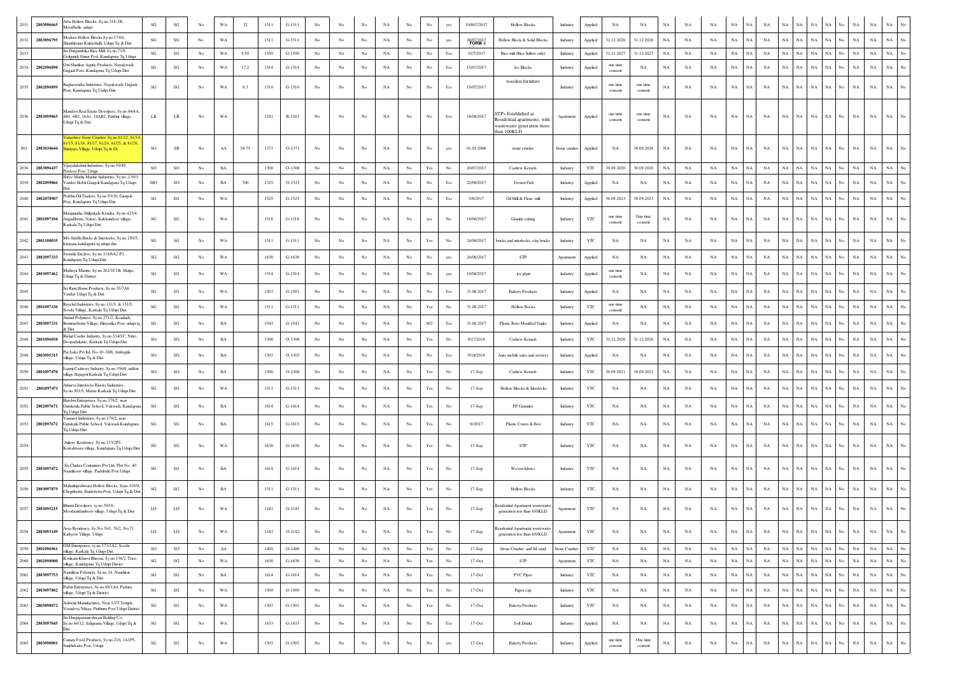| 2031     | 2803096665      | Ava Hollow Blocks, Sy.no.318-2B,<br>ioodbelle, udupi                                                                    | $\mathbf{S}\mathbf{G}$ | SG                     | No               | WA          | 32    | 1511 | $G-1511$ | No               |                  | No               | NA          | No               | No                                                                                    |                                                                                       | 10/007/2017 | <b>Hollow Blocks</b>                                                                           | Industry      | Applied      | NA                  | NA                  | NA          | NA          | NA          | NA                         | NA          | <b>NA</b>   |             | <b>NA</b>                  |                  | NA          | <b>NA</b>   | <b>NA</b>                       |
|----------|-----------------|-------------------------------------------------------------------------------------------------------------------------|------------------------|------------------------|------------------|-------------|-------|------|----------|------------------|------------------|------------------|-------------|------------------|---------------------------------------------------------------------------------------|---------------------------------------------------------------------------------------|-------------|------------------------------------------------------------------------------------------------|---------------|--------------|---------------------|---------------------|-------------|-------------|-------------|----------------------------|-------------|-------------|-------------|----------------------------|------------------|-------------|-------------|---------------------------------|
| 2032     | 2803096795      | odern Hollow Blocks.Sv.no.174/4.<br>anthivana Kukkehalli, Udupi Tq & Dist                                               | $\mathbf{SG}$          | $\mathbf{SG}$          | No               | WA          |       | 1511 | $G-1511$ | $_{\rm No}$      | $_{\rm No}$      | $_{\rm No}$      | $_{\rm NA}$ | $_{\rm No}$      | $_{\rm No}$                                                                           | yes                                                                                   | 26/07/2017  | Hollow Block & Solid Blocks                                                                    | Industry      | Applied      | 31.12.2026          | 31.12.2026          | $_{\rm NA}$ | $_{\rm NA}$ | NA          | $_{\rm NA}$<br>NA          | NA          | $_{\rm NA}$ | NA          | $_{\rm NA}$<br>NA          |                  | $_{\rm NA}$ | $_{\rm NA}$ | $_{\rm NA}$                     |
| 2033     |                 | ri Durgambika Rice Mill. Sv.no.71/9.<br>oligundi Shirur Post, Kundapura Tq Udu                                          | $\mathbf{SG}$          | SG                     | No               | WA          | 9.85  | 1550 | $G-1550$ | $_{\rm No}$      | $_{\rm No}$      | $_{\rm No}$      | $_{\rm NA}$ | $_{\rm No}$      | $_{\rm No}$                                                                           | Yes                                                                                   | 10/7/2017   | Rice mill (Rice hullers only)                                                                  | Industry      | Applied      | 31.12.2027          | 31.12.2027          | NA          | $_{\rm NA}$ | NA          | $_{\rm NA}$<br>NA          | $_{\rm NA}$ | $_{\rm NA}$ | $_{\rm NA}$ | $_{\rm NA}$<br>$_{\rm NA}$ | No               | $_{\rm NA}$ | $_{\rm NA}$ | $_{\rm NA}$                     |
| 2034     | 2802096898      | m Shankar Aqutic Products, Navakwadi,<br>ajjadi Post, Kundapura Tq Udupi Dist                                           | SG                     | SG                     | No               | WA          | 17.2  | 1514 | $G-1514$ | $_{\rm No}$      | $_{\rm No}$      | $_{\rm No}$      | $_{\rm NA}$ | $_{\rm No}$      |                                                                                       | Yes                                                                                   | 15/07/2017  | Ice Blocks                                                                                     | Industry      | Applied      | one time<br>consent | NA                  | $_{\rm NA}$ | $_{\rm NA}$ | NA          | $_{\rm NA}$<br>NΑ          | $_{\rm NA}$ | $_{\rm NA}$ | NA          | $_{\rm NA}$<br>NA          |                  | $_{\rm NA}$ | $_{\rm NA}$ | $_{\rm NA}$                     |
|          | 2035 2802096899 | Raghavendra Industries, Nayakwadi, Gujjadi<br>'ost, Kundapura Tq Uudpi Dist                                             | $\mathbf{S}\mathbf{G}$ | SG                     | No               | WA          | 8.3   | 1510 | $G-1510$ | No               | No               | No               | NA          | No               | No                                                                                    | Yes                                                                                   | 15/07/2017  | wooden furniture                                                                               | Industry      | Applied      | one time<br>consent | one time<br>consent | NA          | NA          | NA          | $_{\rm NA}$<br>NA          | $_{\rm NA}$ | $_{\rm NA}$ | NA          | $_{\rm NA}$<br>NA          | No.              | NA          | $_{\rm NA}$ | $_{\rm NA}$                     |
| 2036     | 2803099865      | Iandavi Real Estate Devolpers, Sy.no.84/4A,<br>4B1, 4B2, 18A1, 18AB2, Putthur village,<br>Jdupi Tq & Dist               | $_{\rm LR}$            | $_{\rm LR}$            | No               | WA          |       | 1181 | R-1181   | No               | No               | No               | NA          | $_{\rm No}$      | No                                                                                    | Yes                                                                                   | 18/08/2017  | TPs Established at<br>Residential apartments, with<br>wastewater generation more<br>han 100KLD | Apartment     | Applied      | one time<br>consent | one time<br>consent | $_{\rm NA}$ | $_{\rm NA}$ | NA          | $_{\rm NA}$                | NA          | NA          | NA          | NA                         |                  |             | NA          | <b>NA</b>                       |
| 902      | 2803034644      | rashree Stone Crusher, Sy.no.81/12, 81/1<br>715, 81/16, 81/17, 81/24, 81/25, & 81/26.<br>iriyara Village, Udupi Tq & Dt | SO                     | SR                     | No               | AA          | 58.75 | 1371 | O-1371   | No               | No               | No               | NA          | No               | No                                                                                    | yes                                                                                   | 01.01.2006  | stone crusher                                                                                  | Stone crusher | Applied      | NA                  | 30.09.2028          | NA          | NA          | NA          | NA<br>NA.                  | $_{\rm NA}$ | $_{\rm NA}$ | NA.         | NA<br>NA                   |                  | NA          | NA          | $_{\rm NA}$                     |
| 2038     | 2803096437      | ijayalakshmi Industries, Sy.no.55/49,<br>rdoor Post, Udupi                                                              | <b>SO</b>              | SO                     | No               | $_{\rm BA}$ |       | 1308 | $O-1308$ | No               | $_{\rm No}$      | $_{\rm No}$      | $_{\rm NA}$ | $_{\rm No}$      | Yes                                                                                   | $_{\rm No}$                                                                           | 20/07/2017  | Cashew Kernels                                                                                 | Industry      | YTC          | 30.09.2020          | 30.09.2020          | NA          | $_{\rm NA}$ | NA          | $_{\rm NA}$<br>NA          | NA          | <b>NA</b>   | NA          | <b>NA</b>                  |                  | $_{\rm NA}$ | $_{\rm NA}$ | <b>NA</b>                       |
| 2039     | 28020998        | aree Matha Marine Industries, Sv.no., 139/3.<br>andse Hobli Gangoli Kundapura Tq Udupi                                  | MO                     | SO                     | No               | BA          | 700   | 1325 | O-1325   | No               | No               | No               | NA          | No               | No                                                                                    | Yes                                                                                   | 22/08/2017  | Frozen Fish                                                                                    | Industry      | Applied      | NA                  | NA                  | NA          | NA          | NA          | NA<br>NA                   | $_{\rm NA}$ | $_{\rm NA}$ | NA          | NA<br>NA                   |                  | NA          | NA          | <b>NA</b>                       |
| 2040     | 2802078907      | Prabhu Oil Traders, Sy.no.93/10, Gangoli<br>ost, Kundapura Tq Udupi Dist                                                | $\mathbf{S}\mathbf{G}$ | $\mathbf{S}\mathbf{G}$ | $_{\mathrm{No}}$ | WA          |       | 1525 | $G-1525$ | $_{\mathrm{No}}$ | $_{\rm No}$      | $_{\rm No}$      | $_{\rm NA}$ | $_{\rm No}$      | $_{\rm No}$                                                                           | Yes                                                                                   | 5/8/2017    | Oil Mill & Flour mill                                                                          | Industry      | Applied      | 30.09.2023          | 30.09.2023          | $_{\rm NA}$ | $_{\rm NA}$ | NA          | NA<br>$_{\rm NA}$          | $_{\rm NA}$ | $_{\rm NA}$ | $_{\rm NA}$ | $_{\rm NA}$<br>NA          | No               | $_{\rm NA}$ | $_{\rm NA}$ | NA                              |
| 2041     | 2801097104      | anjunatha Shilpakala Kendra, Sy.no.423/4<br>ugadibettu, Nakre, Kukkundoor village,<br>arkala Tq Udupi Dist              | $\mathbf{SG}$          | SG                     | No               | WA          |       | 1518 | $G-1518$ | $_{\mathrm{No}}$ | $_{\rm No}$      | No               | $_{\rm NA}$ | $_{\rm No}$      | yes                                                                                   | No                                                                                    | 19/08/2017  | Granite cutting                                                                                | Industry      | YTC          | one time<br>consent | One time<br>consent | NA          | NA          | NA          | NA<br>NA                   | $_{\rm NA}$ | $_{\rm NA}$ | NA          | NA<br>NA                   | No               | $_{\rm NA}$ | NA          | $_{\rm NA}$                     |
| 2042     | 2801100035      | 4/s Siddhi Bricks & Interlocks, Sy.no.150/5,<br>nyana kundapura tq udupi dist                                           | $\mathbf{S}\mathbf{G}$ | SG                     | No               | WA          |       | 1511 | $G-1511$ | No               | $_{\rm No}$      | No               | $_{\rm NA}$ | $_{\rm No}$      | Yes                                                                                   | $_{\rm No}$                                                                           | 24/08/2017  | bricks and interlocks, clay bricks                                                             | Industry      | $_{\rm YTC}$ | NA                  | NA                  | NA          | NA          | NA          | $_{\rm NA}$<br>NA          | $_{\rm NA}$ | $_{\rm NA}$ | NA          | $_{\rm NA}$<br>NA          | No               | $_{\rm NA}$ | NA          | $_{\rm NA}$                     |
| 2043     | 2802097333      | vastik Enclave, Sy.no.118/6A2-P1,<br>undapura Tq Udupi Dist                                                             | $\mathbf{S}\mathbf{G}$ | $\mathbf{SG}$          | No               | WA          |       | 1638 | $G-1638$ | No               | No               | No               | $_{\rm NA}$ | $_{\rm No}$      | No                                                                                    | yes                                                                                   | 24/08/2017  | <b>STP</b>                                                                                     | Apartment     | Applied      | NA                  | $_{\rm NA}$         | $_{\rm NA}$ | $_{\rm NA}$ | NA          | $_{\rm NA}$<br>NA          | $_{\rm NA}$ | $_{\rm NA}$ | NA          | $_{\rm NA}$<br><b>NA</b>   | No               | $_{\rm NA}$ | $_{\rm NA}$ | $_{\rm NA}$                     |
| 2044     | 2803097462      | lathsya Marine, Sy.no.262/1C1B, Malpe,                                                                                  | $\mathbf{SG}$          | $\mathbf{SG}$          | No               | WA          |       | 1514 | $G-1514$ | No               | No               | No               | $_{\rm NA}$ | $_{\rm No}$      | $_{\rm No}$                                                                           | yes                                                                                   | 19/08/2017  | ice plant                                                                                      | Industry      | Applied      | one time            | NA                  | $_{\rm NA}$ | NA          | NA          | $_{\rm NA}$<br>NA          | $_{\rm NA}$ | $_{\rm NA}$ | NA          | $_{\rm NA}$<br>NA          | No.              | $_{\rm NA}$ | NA          | $_{\rm NA}$                     |
|          |                 | dupi Tq & District<br>ri Ram Home Products, Sy.no.55/7A8,                                                               |                        |                        |                  |             |       |      |          |                  |                  |                  |             |                  |                                                                                       |                                                                                       |             |                                                                                                |               |              | consent             |                     |             |             |             | NA                         |             |             | NA          | NA                         |                  |             |             | <b>NA</b>                       |
| $2045\,$ |                 | andar Udupi Tq & Dist<br>avchel Industries, Sv.no.131/3, & 131/5.                                                       | $\mathbf{SG}$          | $\mathbf{S}\mathbf{G}$ | No               | WA          |       | 1503 | $G-1503$ | No               | No               | No               | NA          | No               | $_{\rm No}$                                                                           | Yes                                                                                   | 31.08.2017  | <b>Bakery Products</b>                                                                         | Industry      | Applied      | NA<br>one time      | NA                  | $_{\rm NA}$ | NA          | NA          | $_{\rm NA}$                | $_{\rm NA}$ | $_{\rm NA}$ |             | NA                         |                  | NA          | $_{\rm NA}$ |                                 |
| 2046     | 2801097330      | ooda Village, Karkala Tq Udupi Dist<br>nand Polymers, Sy.no.271/2, Kondadi,                                             | $\mathbf{S}\mathbf{G}$ | SG                     | No               | WA          |       | 1511 | $G-1511$ | No               | $_{\rm No}$      | $_{\rm No}$      | $_{\rm NA}$ | $_{\rm No}$      | $\operatorname{Yes}$                                                                  | No                                                                                    | 31.08.2017  | <b>Hollow Bocks</b>                                                                            | Industry      | $_{\rm YTC}$ | consent             | NA                  | $_{\rm NA}$ | $_{\rm NA}$ | NA          | NA<br>$_{\rm NA}$          | NA          | $_{\rm NA}$ | NA          | $_{\rm NA}$<br>NA          | No               | $_{\rm NA}$ | $_{\rm NA}$ | $_{\rm NA}$                     |
| 2047     | 2803097331      | ommerbettu Village, Hiriyadka Post, udupi tq<br>Dist                                                                    | SG                     | $\mathbf{S}\mathbf{G}$ | No               | BA          |       | 1543 | $G-1543$ | No               | No               | No               | NA          | No               | NO                                                                                    | Yes                                                                                   | 31.08.2017  | Plastic Roto Moulded Tanks                                                                     | Industry      | Applied      | NA                  | NA                  | NA          | NA          | NA          | $_{\rm NA}$<br><b>NA</b>   | $_{\rm NA}$ | NA          | <b>NA</b>   | $_{\rm NA}$<br>NA          | No               | $_{\rm NA}$ | $_{\rm NA}$ | $_{\rm NA}$                     |
| 2048     | 2801096058      | tishal Cashw Industry, Sy.no.534/1C, Nitte,<br>oopadakatte, Karkala Tq Udupi Dist                                       | SO                     | $\rm SO$               | No               | BA          |       | 1308 | $O-1308$ | No               | No               | No               | NA          | No               | Yes                                                                                   | No                                                                                    | 9/17/2018   | Cashew Kernels                                                                                 | Industry      | YTC          | 31.12.2026          | 31.12.2026          | NA          | NA          | NA          | $_{\rm NA}$<br>NA          | $_{\rm NA}$ | $_{\rm NA}$ | $_{\rm NA}$ | $_{\rm NA}$<br>NA          | No               | $_{\rm NA}$ | $_{\rm NA}$ | $_{\rm NA}$                     |
| 2049     | 2803095315      | ai Sales Pvt ltd, No-10-28H, Ambagilu<br>lage, Udupi Tq & Dist                                                          | SO                     | $_{\rm SO}$            | No               | $_{\rm BA}$ |       | 1303 | $O-1303$ | No               | No               | No               | $_{\rm NA}$ | No               | No                                                                                    | Yes                                                                                   | 9/18/2018   | Auto mobile sales and services                                                                 | Industry      | Applied      | NA                  | NA                  | $_{\rm NA}$ | $_{\rm NA}$ | NA          | $_{\rm NA}$<br>NA          | $_{\rm NA}$ | $_{\rm NA}$ | NA          | $_{\rm NA}$<br>NA          | No.              | $_{\rm NA}$ | $_{\rm NA}$ | $_{\rm NA}$                     |
| 2050     | 2801097470      | axmi Cashews Industry, Sy.no.356/9, nalkur<br>llage Bajagoli Karkala Tq Udupi Dist                                      | SO                     | SO                     | $_{\mathrm{No}}$ | BA          |       | 1308 | $O-1308$ | No               | No               | No               | $_{\rm NA}$ | $_{\rm No}$      | Yes                                                                                   | No                                                                                    | $17-Sep$    | Cashew Kernels                                                                                 | Industry      | YTC          | 30.09.2021          | 30.09.2021          | $_{\rm NA}$ | $_{\rm NA}$ | NA          | NA<br>$_{\rm NA}$          | $_{\rm NA}$ | $_{\rm NA}$ | NA          | $_{\rm NA}$<br>$_{\rm NA}$ | No               | $_{\rm NA}$ | $_{\rm NA}$ | $_{\rm NA}$                     |
|          | 2051 2801097471 | tharva Interlocks Blocks Industries,<br>v.no.501/5, Mame Karkala Tq Udupi Dist                                          | SG                     | $\mathbf{S}\mathbf{G}$ | No               | WA          |       | 1511 | $G-1511$ | No               | No               | No               | NA          | No               | Yes                                                                                   | No                                                                                    | 17-Sep      | Hollow Blocks & Interlocks                                                                     | Industry      | YTC          | NA                  | NA                  | NA          | NA          | NA          | NA<br>$_{\rm NA}$          | NA          | $_{\rm NA}$ | NA          | NA<br>NA                   |                  | NA          | NA          | NA                              |
| 2052     | 2802097671      | larshvi Enterprises, Sy.no.178/2, near<br>urukrula Public School, Vakwadi, Kundapura<br>I Udupi Dist                    | $\mathbf{S}\mathbf{G}$ | SG                     | $_{\mathrm{No}}$ | $_{\rm BA}$ |       | 1614 | $G-1614$ | No               | $_{\rm No}$      | No               | NA          | $_{\rm No}$      | $\operatorname{Yes}$                                                                  | No                                                                                    | $17-Sep$    | PP Granules                                                                                    | Industry      | $_{\rm YTC}$ | NA                  | NA                  | $_{\rm NA}$ | $_{\rm NA}$ | NA          | NA<br>$_{\rm NA}$          | NA          | $_{\rm NA}$ | NA          | $_{\rm NA}$<br>NA          | No               | $_{\rm NA}$ | $_{\rm NA}$ | $_{\rm NA}$                     |
| 2053     | 2802097672      | aisnavi Industries, Sv.no.178/2, near<br>urukula Public School, Vakwadi Kundapura<br>q Udupi Dist                       | $\mathbf{S}\mathbf{G}$ | $\mathbf{S}\mathbf{G}$ | No               | BA          |       | 1615 | $G-1615$ | No               | No               | No               | $_{\rm NA}$ | No               | $\operatorname*{Yes}% \left( X\right) \equiv\operatorname*{Yes}(\mathbb{R}^{3}\left)$ | No                                                                                    | 9//2017     | Plastic Crates & Box                                                                           | Industry      | $_{\rm YTC}$ | NA                  | NA                  | $_{\rm NA}$ | NA          | NA          | $_{\rm NA}$<br>NA          | $_{\rm NA}$ | $_{\rm NA}$ | NA          | $_{\rm NA}$<br>NA          | No.              | $_{\rm NA}$ | $_{\rm NA}$ | $_{\rm NA}$                     |
| 2054     |                 | Juleyo Residency, Sy.no.333/2P5.<br>oteshwara village, Kundapura Tq Udupi Dist                                          | $\mathbf{S}\mathbf{G}$ | SG                     | No               | WA          |       | 1638 | $G-1638$ | No               | No               | $_{\rm No}$      | $_{\rm NA}$ | $_{\rm No}$      | Yes                                                                                   | No                                                                                    | $17-Sep$    | STP                                                                                            | Industry      | YTC          | NA                  | NA                  | $_{\rm NA}$ | NA          | NA          | $_{\rm NA}$<br>NA          | $_{\rm NA}$ | $_{\rm NA}$ | NA          | $_{\rm NA}$<br>NA          |                  | $_{\rm NA}$ | $_{\rm NA}$ | $_{\rm NA}$                     |
| 2055     | 2803097472      | iri Chakra Containers Pvt Ltd, Plot No. 40<br>andikoor village, Padubidri Post Udupi                                    | $\mathbf{SG}$          | SG                     | No               | $_{\rm BA}$ |       | 1614 | $G-1614$ | No               | No               | No               | $_{\rm NA}$ | $_{\rm No}$      | Yes                                                                                   | No                                                                                    | 17-Sep      | Woven fabrics                                                                                  | Industry      | $_{\rm YTC}$ | NA                  | NA                  | NA          | $_{\rm NA}$ | NA          | $_{\rm NA}$<br>NA          | $_{\rm NA}$ | $_{\rm NA}$ | NA          | $_{\rm NA}$<br>NA          |                  | $_{\rm NA}$ | NA          | $_{\rm NA}$                     |
| 2056     | 2803097879      | ahalingeshwara Hollow Blocks, Syno.105/9.<br>hegribettu, Baidebettu Post, Udupi Tq & Dist                               | $\mathbf{SG}$          | $\mathbf{S}\mathbf{G}$ | No               | BA          |       | 1511 | $G-1511$ | No               | No               | No               | NA          | No               | Yes                                                                                   | No                                                                                    | 17-Sep      | <b>Hollow Blocks</b>                                                                           | Industry      | YTC          | NA                  | NA                  | NA          | NA          | NA          | $_{\rm NA}$<br>NA          | $_{\rm NA}$ | NA          | VА          | NA                         |                  | NA          | $_{\rm NA}$ | $_{\rm NA}$                     |
|          |                 | 2057 2803095215 Moodanidamboor village, Udupi Tq & Dist                                                                 | $_{\rm LO}$            | LO                     | No               | WA          |       | 1181 | O-1181   | No               | No               | No               | NA          | $_{\rm No}$      | Yes                                                                                   | No                                                                                    | $17-Sep$    | esidential Apartment wastewate<br>generation less than 100KLD.                                 | Apartment     | YTC          | NA                  | NA                  | NA          | NA          | NA          | $_{\rm NA}$<br>NA          | $_{\rm NA}$ | $_{\rm NA}$ | NA          | $_{\rm NA}$<br>NA          | No               | $_{\rm NA}$ | $_{\rm NA}$ | $_{\rm NA}$                     |
| 2058     | 2803093149      | Arya Residency, Sy.No.76/1, 76/2, No.71<br>Cidiyoor Village, Udupi                                                      | LO                     | LO                     | No               | WA          |       | 1182 | O-1182   | No               | No               | No               | NA          | No               | Yes                                                                                   | $_{\rm No}$                                                                           | 17-Sep      | Residential Apartment wastewater<br>generation less than 100KLD.                               | Apartment     | YTC          | NA                  | $_{\rm NA}$         | $_{\rm NA}$ | NA          | NA          | $_{\rm NA}$<br>NA          | $_{\rm NA}$ | $_{\rm NA}$ | NA          | $_{\rm NA}$<br>NA          | No               | $_{\rm NA}$ | $_{\rm NA}$ | $_{\rm NA}$<br>$_{\rm No}$      |
| 2059     | 2801096961      | OM Enterprises, sy.no.171/1A2, Sooda<br>lage, Karkala Tq Udupi Dist                                                     | SO                     | SO                     | No               | $\rm AA$    |       | 1400 | $O-1400$ | No               | No               | $_{\rm No}$      | NA          | $_{\rm No}$      | Yes                                                                                   | No                                                                                    | $17-Sep$    | Stone Crusher and M-sand                                                                       | Stone Crusher | YTC          | NA                  | NA                  | NA          | NA          | NA          | NA<br>NA                   | NA          | NA          | NA          | NA<br>NA                   | No               | NA          | NA          | $_{\rm No}$<br>NA               |
| 2060     | 2802098000      | onkani Kharvi Bhavan, Sy.no.138/2, Trasi<br>lage, Kundapura Tq Udupi Disrict                                            | $\mathbf{S}\mathbf{G}$ | $\mathbf{S}\mathbf{G}$ | $_{\rm No}$      | WA          |       | 1638 | $G-1638$ | No               | No               | $_{\rm No}$      | $_{\rm NA}$ | $_{\rm No}$      | Yes                                                                                   | $_{\rm No}$                                                                           | $17-Oct$    | <b>STP</b>                                                                                     | Apartment     | YTC          | $_{\rm NA}$         | NA                  | $_{\rm NA}$ | $_{\rm NA}$ | NA          | $_{\rm NA}$<br>NA          | $_{\rm NA}$ | $_{\rm NA}$ | NA          | $_{\rm NA}$<br>NA          | No               | $_{\rm NA}$ | $_{\rm NA}$ | $_{\rm NA}$<br>No               |
| 2061     | 2803097753      | andikur Polymers, Sy.no.24, Nandikur<br>llage, Udupi Tq & Dist                                                          | $\mathbf{S}\mathbf{G}$ | $\mathbf{S}\mathbf{G}$ | No               | $_{\rm BA}$ |       | 1614 | $G-1614$ | No               | No               | $_{\rm No}$      | $_{\rm NA}$ | $_{\rm No}$      | Yes                                                                                   | $_{\rm No}$                                                                           | $17-Oct$    | <b>PVC Pipes</b>                                                                               | Industry      | YTC          | $_{\rm NA}$         | $_{\rm NA}$         | $_{\rm NA}$ | $_{\rm NA}$ | NA          | $_{\rm NA}$<br><b>NA</b>   | $_{\rm NA}$ | $_{\rm NA}$ | NA          | $_{\rm NA}$<br>NA          | No               | $_{\rm NA}$ | $_{\rm NA}$ | $_{\rm NA}$<br>$_{\mathrm{No}}$ |
| 2062     | 2803097882      | adur Enterprises, Sy.no.98/1A4, Paduru<br>dlage, Udupi Tq & District                                                    | $\mathbf{S}\mathbf{G}$ | $\mathbf{S}\mathbf{G}$ | No               | WA          |       | 1509 | $G-1509$ | No               | No               | $_{\rm No}$      | $_{\rm NA}$ | $_{\mathrm{No}}$ | Yes                                                                                   | $_{\rm No}$                                                                           | $17-Oct$    | Paper cup                                                                                      | Industry      | YTC          | $_{\rm NA}$         | $_{\rm NA}$         | $_{\rm NA}$ | $_{\rm NA}$ | NA          | $_{\rm NA}$<br>NA          | $_{\rm NA}$ | $_{\rm NA}$ | $_{\rm NA}$ | $_{\rm NA}$<br>$_{\rm NA}$ | No               | $_{\rm NA}$ | $_{\rm NA}$ | $_{\rm NA}$<br>$_{\rm No}$      |
| 2063     | 2803098072      | shwini Manufactures, Near LVT Temple,<br>asudeva Nilaya, Putthuru Post Udupi District                                   | $\mathbf{S}\mathbf{G}$ | $\mathbf{S}\mathbf{G}$ | No               | WA          |       | 1503 | $G-1503$ | No               | No               | $_{\rm No}$      | $_{\rm NA}$ | $_{\rm No}$      | $\operatorname{Yes}$                                                                  | $_{\rm No}$                                                                           | $17-Oct$    | <b>Bakery Products</b>                                                                         | Industry      | YTC          | $_{\rm NA}$         | $_{\rm NA}$         | $_{\rm NA}$ | NA          | NA          | $_{\rm NA}$<br><b>NA</b>   | NA          | $_{\rm NA}$ | NA          | $_{\rm NA}$<br>NA          | No               | $_{\rm NA}$ | $_{\rm NA}$ | $_{\rm NA}$<br>$_{\mathrm{No}}$ |
| 2064     | 2803097845      | Sri Durgaparameshwari Bottling Co,<br>Sy.no.66/12, Saligrama Village, Udupi Tq &                                        | $\mathbf{S}\mathbf{G}$ | $\mathbf{SG}$          | No               | WA          |       | 1633 | $G-1633$ | $_{\mathrm{No}}$ | No               | $_{\rm No}$      | NA          | $_{\mathrm{No}}$ | $_{\rm No}$                                                                           | $\operatorname*{Yes}% \left( X\right) \equiv\operatorname*{Yes}(\mathbb{R}^{3}\left)$ | $17-Oct$    | <b>Soft Drinks</b>                                                                             | Industry      | Applied      | NA                  | NA                  | $_{\rm NA}$ | NA          | NA          | $_{\rm NA}$<br><b>NA</b>   | $_{\rm NA}$ | $_{\rm NA}$ | NA          | $_{\rm NA}$<br>$_{\rm NA}$ | No.              | $_{\rm NA}$ | $_{\rm NA}$ | $_{\rm NA}$<br>$_{\mathrm{No}}$ |
| 2065     | 2803098001      | lanara Food Products, Sy.no.210, 1A1P5,<br>anthekatte Post, Udupi                                                       | $\mathbf{S}\mathbf{G}$ | $\mathbf{S}\mathbf{G}$ | $_{\rm No}$      | WA          |       | 1503 | $G-1503$ | $_{\mathrm{No}}$ | $_{\mathrm{No}}$ | $_{\mathrm{No}}$ | $_{\rm NA}$ | $_{\mathrm{No}}$ | $_{\mathrm{No}}$                                                                      | yes                                                                                   | $17-Oct$    | <b>Bakery Products</b>                                                                         | Industry      | Applied      | one time<br>consent | One time<br>consent | $_{\rm NA}$ | NA          | $_{\rm NA}$ | $_{\rm NA}$<br>$_{\rm NA}$ | $_{\rm NA}$ | $_{\rm NA}$ | $_{\rm NA}$ | $_{\rm NA}$<br>$_{\rm NA}$ | $_{\mathrm{No}}$ | $_{\rm NA}$ | $_{\rm NA}$ | $_{\rm NA}$<br>$_{\mathrm{No}}$ |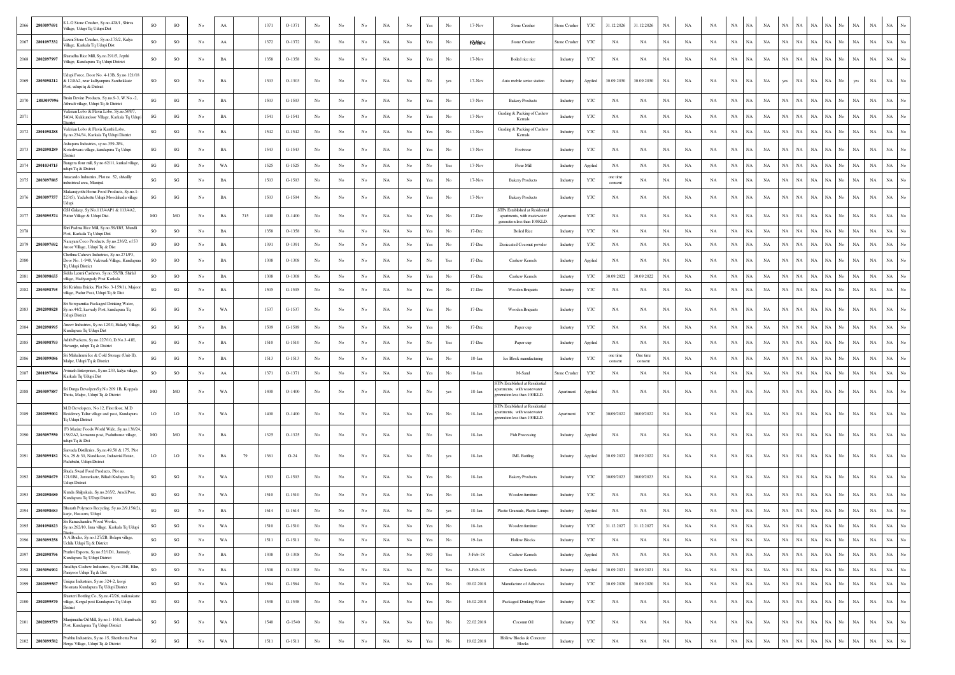|                    | L.G Stone Crusher, Sy.no.428/1, Shirva                                                                                |                        |                        |                  |             |     |      |          |                  |                  |                |             |                  |                                                                                       |                                                                                       |                     |                                                                                               |                 |              |                        |                     |             |             |             |                            |             |             |             |                            |                            |             |                                 |
|--------------------|-----------------------------------------------------------------------------------------------------------------------|------------------------|------------------------|------------------|-------------|-----|------|----------|------------------|------------------|----------------|-------------|------------------|---------------------------------------------------------------------------------------|---------------------------------------------------------------------------------------|---------------------|-----------------------------------------------------------------------------------------------|-----------------|--------------|------------------------|---------------------|-------------|-------------|-------------|----------------------------|-------------|-------------|-------------|----------------------------|----------------------------|-------------|---------------------------------|
| 2803097691<br>2066 | 'illage, Udupi Tq Udupi Dist                                                                                          | SO                     | SO                     | No               | AA          |     | 1371 | $O-1371$ | No               |                  |                | NA          | No               | Yes                                                                                   | No                                                                                    | $17-Nov$            | Stone Crusher                                                                                 | Stone Crusher   | YTC          | 31.12.2026             | 31.12.2026          | NA          | ΝA          | NA          | NA                         | NA          | NA.         | NA          |                            |                            | NA          | NA                              |
| 2801097332<br>2067 | axmi Stone Crusher, Sy.no.175/2, Kalya<br>/illage, Karkala Tq Udupi Dist                                              | SO                     | SO                     | No               | AA          |     | 1372 | $O-1372$ | No               | No               | No             | NA          | No               | $\operatorname*{Yes}% \left( X\right) \equiv\operatorname*{Yes}(\mathbb{R}^{3}\left)$ | No                                                                                    | FORM <sup>V</sup> I | Stone Crusher                                                                                 | Stone Crushe    | YTC          | NA                     | NA                  | $_{\rm NA}$ | <b>NA</b>   | $_{\rm NA}$ | $_{\rm NA}$<br>NA          | NA          | NA          | NA          | <b>NA</b><br>NA            | NA                         | $_{\rm NA}$ | $_{\rm NA}$                     |
| 2068<br>2802097997 | aradha Rice Mill, Sy.no.291/5, Jepthi<br>/illage, Kundapura Tq Udupi District                                         | SO                     | SO                     | No.              | BA          |     | 1358 | $O-1358$ | No               | No               | No             | NA          | No               | Yes                                                                                   | No                                                                                    | $17-Nov$            | Boiled rice rice                                                                              | Industry        | YTC          | NA                     | NA                  | NA          | NA          | NA          | $_{\rm NA}$<br><b>NA</b>   | NA          | <b>NA</b>   | NA          | NA<br>NA                   | <b>NA</b><br>No            | $_{\rm NA}$ | $_{\rm NA}$                     |
| 2069<br>2803098212 | Jdupi Force, Door No. 4-13B, Sy.no.121/18<br>& 12/8A2, near kalliyanpura Santhekkate                                  | SO                     | $_{\rm SO}$            | $_{\mathrm{No}}$ | $_{\rm BA}$ |     | 1303 | $O-1303$ | No               | No               | No             | NA          | No               | No                                                                                    | yes                                                                                   | $17-Nov$            | Auto mobile serice station                                                                    | Industry        | Applied      | 30.09.2030             | 30.09.2030          | $_{\rm NA}$ | NA          | $_{\rm NA}$ | $_{\rm NA}$<br>NA          | NA          | yes         | NA          | <b>NA</b><br>ŃА            | yes                        | $_{\rm NA}$ | $_{\rm NA}$                     |
| 2070<br>2803097996 | Post, udupi tq & District<br>rain Devine Products, Sy.no.9-3, W.No.-2                                                 | $\mathbf{S}\mathbf{G}$ | $\mathbf{SG}$          | $_{\mathrm{No}}$ | <b>BA</b>   |     | 1503 | $G-1503$ | No               | No               | No             | NA          | No               | $\operatorname{Yes}$                                                                  | No                                                                                    | $17-Nov$            | <b>Bakery Products</b>                                                                        | Industry        | YTC          | $_{\rm NA}$            | NA                  | $_{\rm NA}$ | NA          | $_{\rm NA}$ | $_{\rm NA}$<br>NA          | NA          | NA          | NA          | NA<br>NA                   | NA<br>No                   | $_{\rm NA}$ | $_{\rm NA}$<br>No               |
|                    | Athradi village, Udupi Tq & District<br>Valerian Lobo & Flavia Lobo, Sy.no.569/7                                      |                        |                        |                  |             |     |      |          |                  |                  |                |             |                  |                                                                                       |                                                                                       |                     | Grading & Packing of Cashew                                                                   |                 |              |                        |                     |             |             |             |                            |             |             |             |                            |                            |             |                                 |
|                    | 540/4, Kukkundoor Village, Karkala Tq Udupi                                                                           | $\mathbf{S}\mathbf{G}$ | $\mathbf{S}\mathbf{G}$ | No               | <b>BA</b>   |     | 1541 | $G-1541$ | $_{\rm No}$      | No               | No             | NA          | $_{\rm No}$      | Yes                                                                                   | No                                                                                    | $17-Nov$            | Kemak                                                                                         | Industry        | YTC          | $_{\rm NA}$            | NA                  | NA          | NA          | $_{\rm NA}$ | $_{\rm NA}$<br>NA          | NA          | NA          | NA          | NA                         | NA                         | $_{\rm NA}$ | $_{\rm NA}$                     |
| 2072<br>2801098288 | /alerian Lobo & Flavia Kanthi Lobo.<br>y.no.234/34, Karkala Tq Udupi District                                         | SG                     | SG                     | $_{\rm No}$      | $_{\rm BA}$ |     | 1542 | $G-1542$ | $_{\rm No}$      | No               | No             | NA          | $_{\rm No}$      | Yes                                                                                   | No                                                                                    | $17-Nov$            | Grading & Packing of Cashew<br>Kemak                                                          | Industry        | YTC          | $_{\rm NA}$            | NA                  | $_{\rm NA}$ | NA          | $_{\rm NA}$ | $_{\rm NA}$<br>NA          | NA          | NA          | NA          | NA<br>NA                   | No<br>NA                   | NA          | $_{\rm NA}$<br>No               |
| 2073<br>2802098289 | shapura Industries, sv.no.359-2P4.<br>Coteshwara village, kundapura Tq Udupi<br>District                              | $\mathbf{S}\mathbf{G}$ | $\mathbf{SG}$          | No               | BA          |     | 1543 | $G-1543$ | No               | No               | No             | NA          | No               | $\operatorname*{Yes}% \left( X\right) \equiv\operatorname*{Yes}(\mathbb{R}^{3}\left)$ | No                                                                                    | $17-Nov$            | Footwear                                                                                      | Industry        | YTC          | NA                     | NA                  | NA          | NA          | NA          | $_{\rm NA}$<br>NA          | NA          | <b>NA</b>   | NA          |                            | NA                         | $_{\rm NA}$ | $_{\rm NA}$                     |
| 2074<br>2801034715 | ngera flour mill, Sy.no.62/11, kurkal village<br>udupi Tq & District                                                  | $\mathbf{S}\mathbf{G}$ | $\mathbf{S}\mathbf{G}$ | No               | WA          |     | 1525 | $G-1525$ | $_{\rm No}$      | No               | N <sub>C</sub> | $_{\rm NA}$ | $_{\rm No}$      | $_{\rm No}$                                                                           | Yes                                                                                   | $17-Nov$            | Flour Mill                                                                                    | Industry        | Applied      | $_{\rm NA}$            | NA                  | $_{\rm NA}$ | NA          | $_{\rm NA}$ | $_{\rm NA}$<br>$_{\rm NA}$ | NA          | $_{\rm NA}$ | NA          | NA<br>$_{\rm NA}$          | NA<br>No                   | NA          | $_{\rm NA}$<br>No               |
| 2075<br>2803097885 | nacardo Industries, Plot no. 52, shivallly<br>ndustrical area, Manipal                                                | $\mathbf{S}\mathbf{G}$ | $\mathbf{S}\mathbf{G}$ | No               | <b>BA</b>   |     | 1503 | $G-1503$ | No               | No               | No             | NA          | No               | $\operatorname{Yes}$                                                                  | No                                                                                    | $17-Nov$            | <b>Bakery Products</b>                                                                        | Industry        | YTC          | one time<br>consent    | NA                  | NA          | NA          | $_{\rm NA}$ | $_{\rm NA}$<br>NA          | NA          | NA          | NA          | NA<br>NA                   | No<br>NA                   | $_{\rm NA}$ | $_{\rm NA}$                     |
| 2076<br>2803097757 | Aakarajyothi Home Food Products, Sy.no.1<br>223(5), Yadabettu Udupi Moodahadu village<br>dupi                         | SG                     | SG                     | No               | BA          |     | 1503 | G-1504   | No               | No               |                | NA          | No               | $\operatorname{Yes}$                                                                  |                                                                                       | $17-Nov$            | <b>Bakery Products</b>                                                                        | Industry        | YTC          | NA                     | NA                  | NA          | NA          | NA          | NA<br>NA.                  | NA          | NA          | NA          | <b>NA</b><br>NA            | NA                         | $_{\rm NA}$ | $_{\rm NA}$<br>No               |
| 2077<br>2803095374 | GSJ Galaxy, Sy.No.113/4AP1 & 113/4A2,<br>Puttur Village & Udupi Dist.                                                 | MO                     | MO                     | No               | BA          | 715 | 1400 | $O-1400$ | No               | No               | No             | NA          | No               | Yes                                                                                   | No                                                                                    | 17-Dec              | STPs Established at Residential<br>apartments, with wastewater<br>generation less than 100KLE | Apartment       | YTC          | NA                     | NA                  | NA          | NA          | $_{\rm NA}$ | $_{\rm NA}$<br>NA.         | NA          | NA          | NA          | <b>NA</b><br>NA            | NA                         | $_{\rm NA}$ | $_{\rm NA}$                     |
|                    | Shri Padma Rice Mill, Sy.no.59/1B5, Mundli<br>ost, Karkala Tq Udupi Dist                                              | <b>SO</b>              | SO                     | No               | <b>BA</b>   |     | 1358 | $O-1358$ | No               | No               | No             | NA          | No               | $\operatorname{Yes}$                                                                  | No                                                                                    | 17-Dec              | <b>Boiled Rice</b>                                                                            | Industry        | YTC          | NA                     | NA                  | NA          | NA          | NA          | $_{\rm NA}$<br>NA          | NA          | <b>NA</b>   | NA          | NA                         | NA                         | $_{\rm NA}$ | $_{\rm NA}$<br>No               |
| 2079<br>2803097692 | arayani Coco Products, Sy.no.236/2, of 53<br>Aroor Village, Udupi Tq & Dist                                           | SO                     | $_{\rm SO}$            | $_{\mathrm{No}}$ | $_{\rm BA}$ |     | 1391 | O-1391   | $_{\rm No}$      | No               | No             | $_{\rm NA}$ | $_{\rm No}$      | Yes                                                                                   | No                                                                                    | 17-Dec              | Desiccated Coconut powder                                                                     | <b>Industry</b> | YTC          | $_{\rm NA}$            | NA                  | $_{\rm NA}$ | NA          | $_{\rm NA}$ | $_{\rm NA}$<br>NA          | NA          | $_{\rm NA}$ | NA          | NA<br>$_{\rm NA}$          | NA<br>No                   | $_{\rm NA}$ | $_{\rm NA}$<br>No               |
| 2080               | Chethna Cahews Industries, Sv.no.271/P3<br>Door No. 1-940, Vakwadi Village, Kundapura<br>Tq Udupi District            | <b>SO</b>              | SO                     | No               | BA          |     | 1308 | $O-1308$ | No               | No               | No             | NA          | No               | No                                                                                    | Yes                                                                                   | 17-Dec              | Cashew Kernels                                                                                | Industry        | Applied      | NA                     | NA                  | NA          | NA          | NA          | NA<br>NA                   | NA          | NA          | NA          | NA<br>NA                   | NA<br>No                   | NA          | $_{\rm NA}$                     |
| 2803098655<br>2081 | Sidda Laxmi Cashews, Sy.no.55/3B, Shirlal                                                                             | SO                     | $_{\rm SO}$            | No               | <b>BA</b>   |     | 1308 | $O-1308$ | No               | No               | No             | $_{\rm NA}$ | No               | $\operatorname{Yes}$                                                                  | No                                                                                    | 17-Dec              | Cashew Kernels                                                                                | Industry        | YTC          | 30.09.2022             | 30.09.2022          | NA          | NA          | $_{\rm NA}$ | $_{\rm NA}$<br>$_{\rm NA}$ | NA          | NA          | NA          | NA<br>NA                   | No<br>NA                   | $_{\rm NA}$ | $_{\rm NA}$                     |
| 2082<br>2803098795 | llage, Hadiyangady Post Karkala<br>Sri Krishna Bricks, Plot No. 3-159(1), Majoo<br>llage, Padur Post, Udupi Tq & Dist | SG                     | $\mathbf{S}\mathbf{G}$ | No               | <b>BA</b>   |     | 1505 | $G-1505$ | $_{\rm No}$      | No               | No             | NA          | $_{\rm No}$      | Yes                                                                                   | No                                                                                    | 17-Dec              | <b>Wooden Briquiets</b>                                                                       | Industry        | YTC          | $_{\rm NA}$            | NA                  | $_{\rm NA}$ | NA          | $_{\rm NA}$ | $_{\rm NA}$<br>$_{\rm NA}$ | NA          | NA          | NA          | $_{\rm NA}$<br>NA          | $_{\rm NA}$                | $_{\rm NA}$ | $_{\rm NA}$                     |
| 2083<br>2802098828 | ri Sowpamika Packaged Drinking Water,<br>Sy.no.44/2, karvady Post, kundapura Tq<br>Udupi District                     | SG                     | $\mathbf{S}\mathbf{G}$ | No               | WA          |     | 1537 | G-1537   | No               | No               | No             | NA          | No               | Yes                                                                                   | No                                                                                    | 17-Dec              | <b>Wooden Briquiets</b>                                                                       | Industry        | YTC          | NA                     | NA                  | NA          | NA          | NA          | $_{\rm NA}$<br>NA          | <b>NA</b>   | NA          | NA          | NA<br>NA                   |                            | <b>NA</b>   | NA                              |
| 280209899<br>2084  | neev Industries, Sy.no.12/10, Halady Village<br>undapura Tq Udupi Dist                                                | $\mathbf{S}\mathbf{G}$ | $\mathbf{S}\mathbf{G}$ | No               | $_{\rm BA}$ |     | 1509 | G-1509   | $_{\rm No}$      | No               | No             | NA          | $_{\rm No}$      | Yes                                                                                   | No                                                                                    | 17-Dec              | Paper cup                                                                                     | Industry        | YTC          | NA                     | NA                  | NA          | NA          | $_{\rm NA}$ | $_{\rm NA}$<br>NA          | NA          | $_{\rm NA}$ | NA          | NA                         | NA                         | $_{\rm NA}$ | $_{\rm NA}$                     |
| 2085<br>2803098793 | Adith Packers, Sv.no.227/10, D.No.3-41E<br>Havanjje, udupi Tq & District                                              | $\mathbf{S}\mathbf{G}$ | SG                     | No               | <b>BA</b>   |     | 1510 | $G-1510$ | $_{\rm No}$      | No               | No             | NA          | $_{\rm No}$      | No                                                                                    | Yes                                                                                   | 17-Dec              | Paper cup                                                                                     | Industry        | Applied      | $_{\rm NA}$            | NA                  | NA          | NA          | $_{\rm NA}$ | $_{\rm NA}$<br>NA          | NA          | $_{\rm NA}$ | NA          | NA<br>NA                   | NA<br>No                   | NA          | $_{\rm NA}$<br>No               |
| 2803099086<br>2086 | Sri Mahalaxmi Ice & Cold Storage (Unit-II),<br>Malpe, Udupi Tq & District                                             | $\mathbf{S}\mathbf{G}$ | SG                     | No               | BA          |     | 1513 | $G-1513$ | No               | No               | No             | NA          | No               | Yes                                                                                   | No                                                                                    | $18 - Jan$          | Ice Block manufacturing                                                                       | Industry        | <b>YTC</b>   | one time               | One time<br>consent | $_{\rm NA}$ | NA          | $_{\rm NA}$ | $_{\rm NA}$<br>NA          | NA          | NA          | NA          | <b>NA</b><br>NA            | NA                         | $_{\rm NA}$ | $_{\rm NA}$<br>No               |
| 2087<br>2801097864 | Avinash Enterprises, Sy.no.233, kalya village                                                                         | SO                     | SO                     | $_{\mathrm{No}}$ | AA          |     | 1371 | O-1371   | No               | No               | No             | $_{\rm NA}$ | No               | $\operatorname{Yes}$                                                                  | No                                                                                    | 18-Jan              | M-Sand                                                                                        | tone Crushe     | YTC          | consent<br>$_{\rm NA}$ | NA                  | $_{\rm NA}$ | NA          | $_{\rm NA}$ | $_{\rm NA}$<br>NA          | NA          | $_{\rm NA}$ | NA          | NA<br>$_{\rm NA}$          | NA<br>No                   | $_{\rm NA}$ | $_{\rm NA}$<br>$_{\mathrm{No}}$ |
| 2088 2803097887    | Karkala Tq Udupi Dist<br>Sri Durga DevolpersSy.No 209 1B, Koppala<br>Thota, Malpe, Udupi Tq & District                | MO                     | MO                     | No               | WA          |     | 1400 | $O-1400$ | No               | No               | No             | NA          | No               | No                                                                                    |                                                                                       | 18-Jan              | TPs Established at Residential<br>partments, with wastewater<br>neration less than 100KLD.    | Apartment       | Applied      | NA                     | NA                  | NA          | NA          | NA          | $_{\rm NA}$<br>NA.         | NA          | NA          | NA          | <b>NA</b><br>NA            | No<br>NA.                  | NA          | NA                              |
| 2089<br>2802099002 | M.D Developers, No.12, First floor, M.D.<br>Residency Tallur village and post, Kundapura                              | LO                     | LO                     | No               | WA          |     | 1400 | $O-1400$ | No               | No               | No             | NA          | No               | $\operatorname{Yes}$                                                                  | No                                                                                    | 18-Jan              | TPs Established at Residential<br>ments. with wastewater                                      | Apartment       | YTC          | 30/09/2022             | 30/09/2022          | $_{\rm NA}$ | NA          | NA          | $_{\rm NA}$<br>NA          | NA          | $_{\rm NA}$ | NA          | NA<br>$_{\rm NA}$          | No<br>NA                   | $_{\rm NA}$ | $_{\rm NA}$<br>No               |
| 2090<br>2803097550 | Tq Udupi District<br>F3 Marine Foods World Wide, Sy.no.138/24<br>138/2A2, kemannu post, Paduthonse village,           | MO                     | MO                     | $_{\mathrm{No}}$ | $_{\rm BA}$ |     | 1325 | $O-1325$ | No               | No               | No             | NA          | No               | No                                                                                    |                                                                                       | 18-Jan              | eneration less than 100KLD.<br><b>Fish Processing</b>                                         |                 |              | NA                     | NA                  | $_{\rm NA}$ | NA          | NA          | $_{\rm NA}$<br>NA          | NA          | NA          | NA          |                            | NA                         | NA          | $_{\rm NA}$                     |
|                    | udupi Tq & Dist<br>rvada Distilleries, Sv.no.49.50 & 175. Plot                                                        |                        |                        |                  |             |     |      |          |                  |                  |                |             |                  |                                                                                       | Yes                                                                                   |                     |                                                                                               | Industry        | Applied      |                        |                     |             |             |             |                            |             |             |             |                            |                            |             |                                 |
| 2091<br>2803099182 | No, 29 & 30, Nandikoor, Industrial Estate,<br>adubidri, Udupi District                                                | LO <sub>1</sub>        | LO <sub>1</sub>        | No               | BA          | 79  | 1361 | $O-24$   | No               | No               | No             | NA          | No               | No                                                                                    | yes                                                                                   | 18-Jan              | <b>IML</b> Bottling                                                                           | Industry        | Applied      | 30.09.2022             | $30.09.2022\,$      | NA          | NA          | NA          | $_{\rm NA}$<br><b>NA</b>   | NA          | <b>NA</b>   | NA          | <b>NA</b><br>NA            | No<br><b>NA</b>            | $_{\rm NA}$ | $_{\rm NA}$                     |
| 280309867<br>2092  | tuda Swad Food Products, Plot no<br>21/1B1, Janvarkatte, Billadi Kndapura Tq<br>dupi District                         | $\mathbf{S}\mathbf{G}$ | SG                     | No               | WA          |     | 1503 | $G-1503$ | No               | No               | No             | NA          | No               | $\operatorname{Yes}$                                                                  | No                                                                                    | 18-Jan              | <b>Bakery Products</b>                                                                        | Industry        | YTC          | 30/09/2023             | 30/09/2023          | $_{\rm NA}$ | NA          | NA          | $_{\rm NA}$<br>NA          | NA          | NA          | NA          | NA                         | NA                         | $_{\rm NA}$ | $_{\rm NA}$                     |
| 2802098680<br>2093 | unda Shilpakala, Sy.no.265/2, Aradi Post,<br>Kundapura Tq UDupi District                                              | SG                     | SG                     | No               | WA          |     | 1510 | $G-1510$ | No               | No               | No             | NA          | No               | $\operatorname{Yes}$                                                                  | No                                                                                    | 18-Jan              | Wooden furniture                                                                              | Industry        | YTC          | NA                     | NA                  | NA          | NA          | NA          | NA<br>NA                   | NA          | NA          | NA          | <b>NA</b><br>NA.           | NA                         | NA          | $_{\rm NA}$                     |
| 2803098683         | Bharath Polymers Recycling, Sy.no.2/9,156(2)<br>arje, Hosooru, Udupi                                                  | $\mathbf{S}\mathbf{G}$ | $\mathbf{SG}$          | $_{\mathrm{No}}$ | <b>BA</b>   |     | 1614 | $G-1614$ | No               | No               |                | $_{\rm NA}$ | No               | No                                                                                    |                                                                                       | $18 - Jan$          | Plastic Granuals, Plastic Lumps                                                               | Industry        | Applied      | $_{\rm NA}$            | $_{\rm NA}$         | NA          | NA          | $_{\rm NA}$ | $_{\rm NA}$<br>NA          | NA          | $_{\rm NA}$ | NA          | NA                         | NA                         | $_{\rm NA}$ | NA                              |
| 2095<br>2801098823 | Sri Ramachandra Wood Works,<br>Sy.no.262/10, Inna village. Karkala Tq Udupi                                           | SG                     | SG                     | No               | WA          |     | 1510 | $G-151C$ | No               |                  | No             | NA          | No               | Yes                                                                                   |                                                                                       | 18-Jan              | Wooden furniture                                                                              | Industry        | YTC          | 31.12.202              | 31.12.2027          | NA          | NA          |             | NA<br>NA                   | NA          | NA          |             | NA NA NA                   | No<br>NA                   | NA          | NA<br>No                        |
| 2096<br>2803099258 | A A Bricks, Sy.no.127/2B, Belapu village,<br>Uchila Udupi Tq & District                                               | $\mathbf{S}\mathbf{G}$ | $\mathbf{S}\mathbf{G}$ | No               | WA          |     | 1511 | $G-1511$ | No               | No               | $_{\rm No}$    | NA          | No               | $\operatorname{Yes}$                                                                  | $_{\mathrm{No}}$                                                                      | $19-Jan$            | <b>Hollow Blocks</b>                                                                          | Industry        | YTC          | NA                     | NA                  | $_{\rm NA}$ | $_{\rm NA}$ | NA          | $_{\rm NA}$<br>NA          | $_{\rm NA}$ | NA          | $_{\rm NA}$ | NA<br>$_{\rm NA}$          | $_{\rm No}$<br>NA          | $_{\rm NA}$ | $_{\rm NA}$<br>No.              |
| 2097<br>2802098796 | Pruthvi Exports, Sy.no.52/1D1, Jannady,                                                                               | $\rm{SO}$              | $_{\rm SO}$            | $_{\mathrm{No}}$ | $_{\rm BA}$ |     | 1308 | $O-1308$ | $_{\mathrm{No}}$ | $_{\rm No}$      | $_{\rm No}$    | $_{\rm NA}$ | $_{\mathrm{No}}$ | $_{\rm NO}$                                                                           | $\operatorname*{Yes}% \left( X\right) \equiv\operatorname*{Yes}(\mathbb{R}^{3}\left)$ | $3-Feb-18$          | Cashew Kernels                                                                                | Industry        | Applied      | $_{\rm NA}$            | $_{\rm NA}$         | $_{\rm NA}$ | $_{\rm NA}$ | $_{\rm NA}$ | $_{\rm NA}$<br>$_{\rm NA}$ | $_{\rm NA}$ | NA          | $_{\rm NA}$ | $_{\rm NA}$<br>NA          | $_{\rm No}$<br>$_{\rm NA}$ | $_{\rm NA}$ | $_{\rm NA}$<br>No               |
| 2098<br>2803096902 | Kundapura Tq Udupi District<br>Aradhya Cashew Industries, Sy.no.26B, Ellur,                                           | SO                     | $_{\rm SO}$            | $_{\rm No}$      | $_{\rm BA}$ |     | 1308 | $O-1308$ | No               | No               | $_{\rm No}$    | $_{\rm NA}$ | No               | $_{\mathrm{No}}$                                                                      | $\operatorname*{Yes}% \left( X\right) \equiv\operatorname*{Yes}(\mathbb{R}^{3}\left)$ | 3-Feb-18            | Cashew Kernels                                                                                | Industry        |              | 30.09.2021             | 30.09.2021          | $_{\rm NA}$ | $_{\rm NA}$ | NA          | $_{\rm NA}$<br>NA          | NA          | NA          | NA          | NA<br>NA                   | No<br>NA                   | $_{\rm NA}$ | $_{\rm NA}$<br>No.              |
|                    | aniyoor Udupi Tq & Dist<br>nique Industries, Sy.no.324-2, korgi                                                       |                        |                        |                  |             |     |      |          |                  |                  |                |             |                  |                                                                                       |                                                                                       |                     |                                                                                               |                 | Applied      |                        |                     |             |             |             |                            |             |             |             |                            |                            |             |                                 |
| 2099<br>2802099567 | Iosmata Kundapura Tq Udupi District                                                                                   | $\mathbf{S}\mathbf{G}$ | $\mathbf{SG}$          | $_{\mathrm{No}}$ | WA          |     | 1564 | $G-1564$ | $_{\rm No}$      | $_{\mathrm{No}}$ | $_{\rm No}$    | $_{\rm NA}$ | $_{\rm No}$      | $\operatorname*{Yes}% \left( X\right) \equiv\operatorname*{Yes}(\mathbb{R}^{3}\left)$ | $_{\rm No}$                                                                           | 09.02.2018          | Manufacture of Adhesives                                                                      | Industry        | $_{\rm YTC}$ | 30.09.2020             | 30.09.2020          | $_{\rm NA}$ | NA          | $_{\rm NA}$ | $_{\rm NA}$<br>NA          | NA          | NA          | NA          | NA<br>NA                   | $_{\rm No}$<br>NA          | $_{\rm NA}$ | $_{\rm NA}$<br>$_{\rm No}$      |
| 2100<br>2802099570 | hanteri Bottling Co, Sy.no.47/26, naiknakatte<br>village, Kergal post Kundapura Tq Udupi<br>District                  | SG                     | $\mathbf{S}\mathbf{G}$ | No               | WA          |     | 1538 | $G-1538$ | No               | No               | $_{\rm No}$    | $_{\rm NA}$ | $_{\mathrm{No}}$ | $\operatorname*{Yes}% \left( X\right) \equiv\operatorname*{Yes}(\mathbb{R}^{3}\left)$ | No                                                                                    | 16.02.2018          | Packaged Drinking Water                                                                       | Industry        | $_{\rm YTC}$ | $_{\rm NA}$            | NA                  | $_{\rm NA}$ | NA          | $_{\rm NA}$ | $_{\rm NA}$<br>NA          | NA          | NA          | NA          | NA<br>$_{\rm NA}$          | $_{\rm No}$<br>NA          | $_{\rm NA}$ | $_{\rm NA}$<br>No.              |
| 2101<br>2802099579 | Aanjunatha Oil Mill, Sy.no.1-168/1, Kumbashi<br>Post, Kundapura Tq Udupi District                                     | $\mathbf{S}\mathbf{G}$ | $\mathbf{SG}$          | No               | WA          |     | 1540 | $G-1540$ | No               | No               | No             | NA          | No               | $\operatorname*{Yes}% \left( X\right) \equiv\operatorname*{Yes}(\mathbb{R}^{3}\left)$ | No                                                                                    | 22.02.2018          | Coconut Oil                                                                                   | Industry        | $_{\rm YTC}$ | NA                     | NA                  | $_{\rm NA}$ | NA          | NA          | $_{\rm NA}$<br>NA          | NA          | NA          | NA          | NA<br>$_{\rm NA}$          | No<br>NA                   | $_{\rm NA}$ | $_{\rm NA}$<br>No.              |
| 2102<br>2803099582 | Prabhu Industries, Sy.no.15, Shettibettu Post<br>Herga Village, Udupi Tq & District                                   | $\mathbf{SG}$          | $\mathbf{SG}$          | $_{\mathrm{No}}$ | $_{\rm WA}$ |     | 1511 | $G-1511$ | $_{\mathrm{No}}$ | $_{\rm No}$      | $_{\rm No}$    | $_{\rm NA}$ | $_{\rm No}$      | $\operatorname*{Yes}% \left( X\right) \equiv\operatorname*{Yes}(\mathbb{R}^{3}\left)$ | No                                                                                    | 19.02.2018          | Hollow Blocks & Concrete<br><b>Blocks</b>                                                     | Industry        | $_{\rm YTC}$ | $_{\rm NA}$            | $_{\rm NA}$         | $_{\rm NA}$ | $_{\rm NA}$ | $_{\rm NA}$ | $_{\rm NA}$<br>NA          | $_{\rm NA}$ | $_{\rm NA}$ | NA          | $_{\rm NA}$<br>$_{\rm NA}$ | No<br>$_{\rm NA}$          | $_{\rm NA}$ | $_{\rm NA}$<br>$_{\mathrm{No}}$ |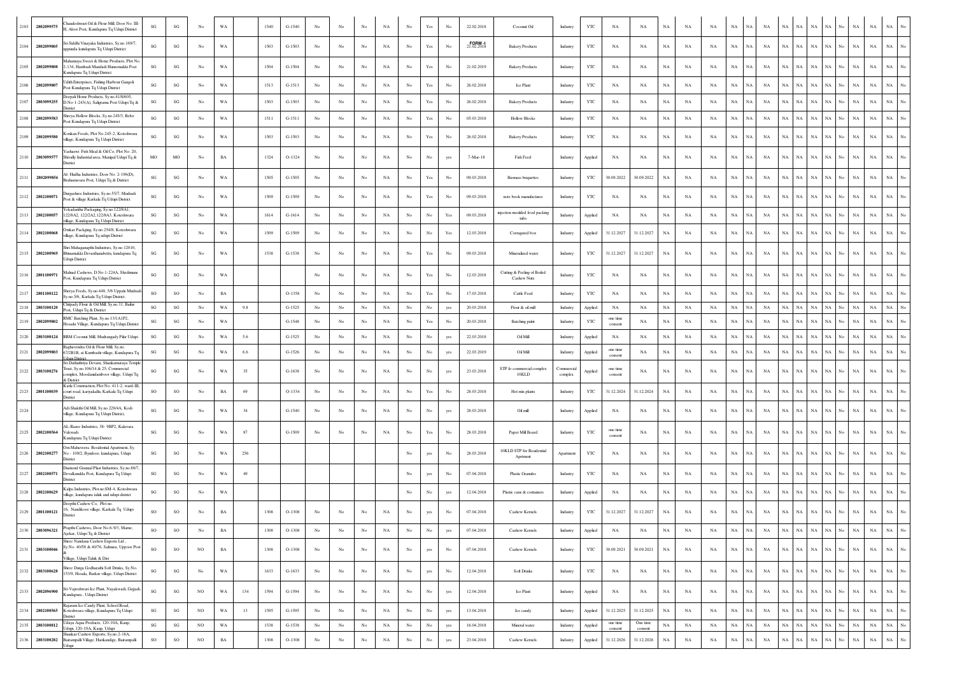| 2103 | 2802099575      | audeshwari Oil & Flour Mill, Door No. III<br>Aloor Post, Kundapura Tq Udupi District                                                           | SG                     | $\mathbf{SG}$          | No               | WA          |     | 1540 | $G-1540$ | No          |                  |             | NA          | No               | Yes                                                                                   | No          | 22.02.2018 | Coconut Oil                                | Industry                    | YTC     | NA                  | NA          | NA          | NA          | NA          | NA          | NA<br><b>NA</b>   | <b>NA</b>   | NA          | NA          |                    | NA          | NA          | NA          |                  |
|------|-----------------|------------------------------------------------------------------------------------------------------------------------------------------------|------------------------|------------------------|------------------|-------------|-----|------|----------|-------------|------------------|-------------|-------------|------------------|---------------------------------------------------------------------------------------|-------------|------------|--------------------------------------------|-----------------------------|---------|---------------------|-------------|-------------|-------------|-------------|-------------|-------------------|-------------|-------------|-------------|--------------------|-------------|-------------|-------------|------------------|
| 2104 | 2802099805      | ri Siddhi Vinayaka Industries, Sy.no.169/7,<br>ppunda kundapura Tq Udupi District                                                              | SG                     | SG                     | $_{\mathrm{No}}$ | WA          |     | 1503 | $G-1503$ | No          | No               | No          | NA          | $_{\rm No}$      | Yes                                                                                   | No          | 2.02.2018  | <b>Bakery Products</b>                     | Industry                    | YTC     | $_{\rm NA}$         | NA          | $_{\rm NA}$ | NA          | NA          | NA          | NA<br>NA          | $_{\rm NA}$ | NA          | $_{\rm NA}$ | <b>NA</b><br>No.   | $_{\rm NA}$ | $_{\rm NA}$ | $_{\rm NA}$ | $_{\mathrm{No}}$ |
| 2105 | 280209980       | Aahamaya Sweet & Home Products, Plot No<br>134, Hambadi Mandadi Hunsemakki Post<br>undapura Tq Udupi District                                  | SG                     | SG                     | No               | WA          |     | 1504 | $G-1504$ | $_{\rm No}$ | No               | No          | NA          | $_{\rm No}$      | Yes                                                                                   | No          | 21.02.2019 | <b>Bakery Products</b>                     | Industry                    | YTC     | NA                  | NA          | $_{\rm NA}$ | NA          | NA          | $_{\rm NA}$ | NA<br>NA          | $_{\rm NA}$ | NA          | $_{\rm NA}$ | NA<br>No.          | $_{\rm NA}$ | $_{\rm NA}$ | $_{\rm NA}$ |                  |
| 2106 | 28020998        | dith Enterprises, Fishing Harbour Gangoli<br>ost Kundapura Tq Udupi District                                                                   | $\mathbf{S}\mathbf{G}$ | SG                     | No               | WA          |     | 1513 | $G-1513$ | $_{\rm No}$ | $_{\mathrm{No}}$ | No          | NA          | $_{\rm No}$      | $\operatorname*{Yes}% \left( X\right) \equiv\operatorname*{Yes}(\mathbb{R}^{3}\left)$ | No          | 26.02.2018 | Ice Plant                                  | Industry                    | YTC     | $_{\rm NA}$         | NA          | $_{\rm NA}$ | NA          | $_{\rm NA}$ | $_{\rm NA}$ | $_{\rm NA}$<br>NA | $_{\rm NA}$ | NA          | NA          | NA<br>No.          | $_{\rm NA}$ | $_{\rm NA}$ | $_{\rm NA}$ |                  |
| 2107 | 2803099255      | eepali Home Products, Sy.no.41/8/605,<br>No-1-243(A), Saligrama Post Udupi Tq &<br>strict                                                      | SG                     | $\mathbf{S}\mathbf{G}$ | No               | WA          |     | 1503 | $G-1503$ | No          | No               | No          | NA          | $_{\rm No}$      | $\operatorname*{Yes}% \left( X\right) \equiv\operatorname*{Yes}(\mathbb{R}^{3}\left)$ | No          | 26.02.2018 | <b>Bakery Products</b>                     | Industry                    | YTC     | NA                  | NA          | $_{\rm NA}$ | NA          | $_{\rm NA}$ | $_{\rm NA}$ | $_{\rm NA}$<br>NA | $_{\rm NA}$ | NA          | NA          |                    | $_{\rm NA}$ | $_{\rm NA}$ | NA          |                  |
| 2108 | 2802099583      | hreya Hollow Blocks, Sy.no.245/3, Belve<br>st Kundapura Tq Udupi District                                                                      | $\mathbf{S}\mathbf{G}$ | $\mathbf{S}\mathbf{G}$ | No               | WA          |     | 1511 | $G-1511$ | No          | No               | No          | NA          | No               | $\operatorname{Yes}$                                                                  | No          | 05.03.2018 | <b>Hollow Blocks</b>                       | Industry                    | YTC     | NA                  | NA          | NA          | NA          | NA          | $_{\rm NA}$ | NA<br>NA          | NA          | NA          | $_{\rm NA}$ | NA<br>No.          | $_{\rm NA}$ | $_{\rm NA}$ | $_{\rm NA}$ |                  |
| 2109 | 2802099580      | onkan Foods, Plot No.245-2, Koteshwara<br>lage, Kundapura Tq Udupi District                                                                    | SG                     | SG                     | No               | WA          |     | 1503 | $G-1503$ | No          | No               | No          | NA          | $_{\rm No}$      | Yes                                                                                   | No          | 26.02.2018 | <b>Bakery Products</b>                     | Industry                    | YTC     | $_{\rm NA}$         | NA          | $_{\rm NA}$ | NA          | NA          | NA          | NA<br>NA          | $_{\rm NA}$ | NA          | NA          |                    | $_{\rm NA}$ | $_{\rm NA}$ | NA          |                  |
| 2110 | 2803099577      | ashaswi Fish Meal & Oil Co, Plot No. 20,<br>Shivally Industrial area, Manipal Udupi Tq &<br>strict                                             | MO                     | $_{\rm MO}$            | No               | BA          |     | 1324 | $O-1324$ | No          | No               | No          | NA          | No               | No                                                                                    | yes         | $7-Mar-18$ | Fish Feed                                  | Industry                    | Applied | NA                  | NA          | <b>NA</b>   | NA          | NA          | $_{\rm NA}$ | NA<br>NA          | NA          | NA          | $_{\rm NA}$ | NA                 | $_{\rm NA}$ | NA          | NA          |                  |
| 2111 | 2802099856      | I- Hudha Industries, Door No. 2-196(D).<br>ahamavara Post, Udupi Tq & District                                                                 | SG                     | SG                     | $_{\mathrm{No}}$ | WA          |     | 1505 | $G-1505$ | $_{\rm No}$ | No               | $_{\rm No}$ | NA          | $_{\rm No}$      | Yes                                                                                   | No          | 09.03.2018 | <b>Biomass briquettes</b>                  | Industry                    | YTC     | 30.09.2022          | 30.09.2022  | $_{\rm NA}$ | NA          | NA          | NA          | NA<br>NA          | $_{\rm NA}$ | NA          | NA          |                    | $_{\rm NA}$ | $_{\rm NA}$ | $_{\rm NA}$ |                  |
|      | 2112 2802100071 | urgashree Industries, Sy.no.55/7, Mudradi<br>ost & village Karkala Tq Udupi District                                                           | SG                     | SG                     | No               | WA          |     | 1509 | $G-1509$ | No          | No               | No          | NA          | No               | Yes                                                                                   | No          | 09.03.2018 | note book manufactures                     | Industry                    | YTC     | <b>NA</b>           | NA          | <b>NA</b>   | NA          | NA          | <b>NA</b>   | NA<br>NA          | NA          | NA          | $_{\rm NA}$ | NA                 | $_{\rm NA}$ | $_{\rm NA}$ | $_{\rm NA}$ |                  |
| 2113 | 2802100057      | 'ekadantha Packaging, Sy.no.122/8A1,<br>22/8A2. 122/2A2,122/8A3, Koteshwara<br>lage, Kundapura Tq Udupi District                               | SG                     | $\mathbf{S}\mathbf{G}$ | No               | WA          |     | 1614 | $G-1614$ | No          | No.              | No          | NA          | No               | No                                                                                    | Yes         | 09.03.2018 | njection moulded food packing<br>tubs      | Industry                    | Applied | NA                  | NA          | <b>NA</b>   | NA          | NA          | NA          | NA<br>NA          | <b>NA</b>   | NA          | NA          |                    | $_{\rm NA}$ | $_{\rm NA}$ | $_{\rm NA}$ |                  |
| 2114 | 280210006       | Imkar Packging, Sy.no.254/8, Koteshwara<br>llage, Kundapura Tq udupi District                                                                  | SG                     | SG                     | No               | WA          |     | 1509 | $G-1509$ | No          | No               | No          | NA          | $_{\rm No}$      | No                                                                                    | Yes         | 12.03.2018 | Corrugated box                             | Industry                    | Applied | 31.12.2027          | 31.12.2027  | NA          | NA          | NA          | NA          | NA<br>NA          | NA          | NA          | NA          | NΑ<br>No           | NA          | NA          | $_{\rm NA}$ | No               |
|      | 2115 2802100969 | Shri Mahaganapthi Industries, Sv.no.12010<br>ttnamakki Devasthanabettu, kundapura Tq<br>dupi District                                          | SG                     | SG                     | No               | WA          |     | 1538 | $G-1538$ | No          | No               | No          | NA          | No               | $\operatorname*{Yes}% \left( X\right) \equiv\operatorname*{Yes}(\mathbb{R}^{3}\left)$ | No          | 09.03.2018 | Mineralized water                          | Industry                    | YTC     | 31.12.2027          | 31.12.2027  | NA          | NA          | NA          | NA          | NA<br>NA          | NA          | NA          | NA          | NA<br>No           | NA          | NA          | NA          |                  |
| 2116 | 2801100971      | alnad Cashews, D.No.1-224A, Shedimane<br>st, Kundapura Tq Udupi District                                                                       | SG                     | SG                     | No               | WA          |     |      |          | No          | No.              | No          | NA          | No               | Yes                                                                                   | No          | 12.03.2018 | Cutting & Peeling of Boiled<br>Cashew Nuts | Industry                    | YTC     | NA                  | NA          | <b>NA</b>   | NA          | NA          | <b>NA</b>   | <b>NA</b><br>NA   | <b>NA</b>   | NA          | <b>NA</b>   |                    | <b>NA</b>   | $_{\rm NA}$ | $_{\rm NA}$ | No               |
| 2117 | 2801100122      | herya Feeds, Sy.no.448, 5/6 Uppala Mudrad<br>.no.5/6, Karkala Tq Udupi District.                                                               | <b>SO</b>              | SO                     | No               | <b>BA</b>   |     |      | $O-1358$ | No          | No.              | No          | NA          | No               | Yes                                                                                   | No          | 17.03.2018 | Cattle Feed                                | Industry                    | YTC     | NA                  | NA          | <b>NA</b>   | NA          | NA          | NA          | NA<br>NA          | NA          | NA          | NA          |                    | $_{\rm NA}$ | $_{\rm NA}$ | NA          |                  |
|      | 2118 2803100120 | hitpady Flour & Oil Mill, Sy.no.31, Bailur<br>ost, Udupi Tq & District                                                                         | SG                     | $\mathbf{S}\mathbf{G}$ | No               | WA          | 9.8 |      | $G-1525$ | No          | No               | No          | NA          | No               | No                                                                                    | yes         | 20.03.2018 | Flour & oil mill                           | Industry                    | Applied | NA                  | NA          | NA          | NA          | NA          | NA          | <b>NA</b><br>NA   | $_{\rm NA}$ | NA          | $_{\rm NA}$ | NA<br>No           | $_{\rm NA}$ | $_{\rm NA}$ | $_{\rm NA}$ | No               |
| 2119 | 2802099802      | MC Batching Plant, Sy.no.13/1A1P2,<br>osadu Village, Kundapura Tq Udupi District                                                               | SG                     | SG                     | N <sub>0</sub>   | WA          |     |      | $G-1548$ | No          | No.              | No          | NA          | $_{\rm No}$      | $\operatorname{Yes}$                                                                  | No          | 20.03.2018 | Batching paint                             | Industry                    | YTC     | one time<br>consent | NA          | NA          | NA          | NA          | NA          | NA<br>NA          | NA          | NA          | $_{\rm NA}$ | NA<br>No           | $_{\rm NA}$ | NA          | $_{\rm NA}$ | No               |
| 2120 | 2803100124      | RRM Coconut Mill, Mudrangady Pilar Udupi                                                                                                       | $\mathbf{S}\mathbf{G}$ | SG                     | No               | WA          | 5.6 |      | $G-1525$ | $_{\rm No}$ | No               | No          | NA          | $_{\mathrm{No}}$ | No                                                                                    | yes         | 22.03.2018 | Ol Mil                                     | Industry                    | Applied | $_{\rm NA}$         | NA          | $_{\rm NA}$ | NA          | $_{\rm NA}$ | $_{\rm NA}$ | NA<br>NA          | $_{\rm NA}$ | NA          | NA          | No.<br>NA          | $_{\rm NA}$ | $_{\rm NA}$ | $_{\rm NA}$ | No               |
| 2121 | 2802099803      | aghavendra Oil & Flour Mill, Sy.no<br>7/2B1B, at Kumbashi village, Kundapura Tq<br>luni District                                               | $\mathbf{S}\mathbf{G}$ | $\mathbf{S}\mathbf{G}$ | $_{\rm No}$      | WA          | 6.6 |      | $G-1526$ | No          | No               | No          | NA          | $_{\mathrm{No}}$ | $_{\rm No}$                                                                           | yes         | 22.03.2019 | Oi Mil                                     | Industry                    | Applied | one time<br>consent | NA          | $_{\rm NA}$ | NA          | $_{\rm NA}$ | $_{\rm NA}$ | NA<br>NA          | NA          | NA          | $_{\rm NA}$ | $_{\rm NA}$<br>No. | $_{\rm NA}$ | $_{\rm NA}$ | $_{\rm NA}$ | No               |
| 2122 | 2803100276      | iri Dathathriya Devaru, Shankamaraya Tempk<br>ust, Sy.no.106/14 & 25, Commercial<br>mplex, Moodanidamboor village, Udupi Tq<br><b>District</b> | SG                     | SG                     | No               | WA          | 35  |      | $G-1638$ | $_{\rm No}$ | No               | No          | NA          | $_{\mathrm{No}}$ | No                                                                                    | yes         | 23.03.2018 | STP fo commercial complex<br>10KLD         | <b>Commercia</b><br>complex | Applied | one time<br>consent | NA          | $_{\rm NA}$ | NA          | NA          | $_{\rm NA}$ | NA<br>NA          | $_{\rm NA}$ | NA          | $_{\rm NA}$ | $_{\rm NA}$<br>No. | $_{\rm NA}$ | $_{\rm NA}$ | $_{\rm NA}$ | No               |
| 2123 | 2801100039      | Karla Construction, Plot No. 411-2, ward-III,<br>ourt road, kariyakallu, Karkala Tq Udupi<br>istrict                                           | SO                     | SO                     | $_{\mathrm{No}}$ | $_{\rm BA}$ | 69  |      | O-1334   | $_{\rm No}$ | $_{\rm No}$      | No          | $_{\rm NA}$ | $_{\mathrm{No}}$ | $\operatorname*{Yes}% \left( X\right) \equiv\operatorname*{Yes}(\mathbb{R}^{3}\left)$ | No          | 28.03.2018 | Hot mix plants                             | Industry                    | YTC     | 31.12.2024          | 31.12.2024  | $_{\rm NA}$ | NA          | $_{\rm NA}$ | $_{\rm NA}$ | NA<br>NA          | $_{\rm NA}$ | NA          | NA          | NA<br>No.          | $_{\rm NA}$ | $_{\rm NA}$ | NA          |                  |
| 2124 |                 | Adi Shakthi Oil Mill, Sy.no.228/4A, Kodi<br>dllage, Kundapura Tq Udupi District,                                                               | SG                     | SG                     | No               | WA          | 34  |      | $G-1540$ | No          | No               | No          | NA          | No               | No                                                                                    | yes         | 28.03.2018 | Oilmil                                     | Industry                    | Applied | NA                  | NA          | <b>NA</b>   | NA          | NA          | $_{\rm NA}$ | NA<br><b>NA</b>   | NA          | NA          | $_{\rm NA}$ | NA<br>No           | NA          | $_{\rm NA}$ | $_{\rm NA}$ | No               |
| 2125 | 2802100564      | L-Razee Industries, 38- 9BP2, Kalavara<br>akwadi<br>undapura Tq Udupi District                                                                 | $\mathbf{S}\mathbf{G}$ | SG                     | No               | WA          | 87  |      | $G-1509$ | $_{\rm No}$ | No               | No          | NA          | $_{\mathrm{No}}$ | $\operatorname*{Yes}% \left( X\right) \equiv\operatorname*{Yes}(\mathbb{R}^{3}\left)$ | No          | 28.03.2018 | Paper Mill Board                           | Industry                    | YTC     | one time<br>consent | NA          | $_{\rm NA}$ | NA          | NA          | $_{\rm NA}$ | NA<br>NA          | $_{\rm NA}$ | NA          | NA          | NA<br>No.          | $_{\rm NA}$ | $_{\rm NA}$ | NA          |                  |
| 2126 | 2802100277      | Om Mahaveera Residential Apartment, Sy.<br>lo - 109/2, Byndoor, kundapura, Udupi<br>trict                                                      | SG                     | $\mathbf{SG}$          | No               | WA          | 256 |      |          |             |                  |             |             | No               | yes                                                                                   | No          | 28.03.2018 | 10KLD STP for Residential<br>Aprtment      | Apartment                   | YTC     | NA                  | NA          | NA          | NA          | NA          | $_{\rm NA}$ | NA<br>NA          | $_{\rm NA}$ | NA          | $_{\rm NA}$ | <b>NA</b><br>No.   | $_{\rm NA}$ | $_{\rm NA}$ | $_{\rm NA}$ | No               |
| 2127 | 2802100571      | iamond Granual Plast Industries, Sy.no.88/7<br>levalkundda Post, Kundapura Tq Udupi<br>istrict                                                 | SG                     | $\mathbf{SG}$          | No               | WA          | 49  |      |          |             |                  |             |             | No               | yes                                                                                   | No          | 07.04.2018 | <b>Plastic Granules</b>                    | Industry                    | YTC     | $_{\rm NA}$         | NA          | $_{\rm NA}$ | NA          | NA          | NA          | NA<br>NA          | <b>NA</b>   | NA          | NA          |                    | $_{\rm NA}$ | $_{\rm NA}$ | $_{\rm NA}$ |                  |
|      | 2128 2802100629 | alpa Industries, Plot.no:SM-4, Koteshwara<br>lage, kundapura taluk and udupi district                                                          | $\mathbf{S}\mathbf{G}$ | $\mathbf{S}\mathbf{G}$ | No               | WA          |     |      |          |             |                  |             |             | $_{\mathrm{No}}$ | No                                                                                    | yes         | 12.04.2018 | Plastic cans & containers                  | Industry                    | Applied | $_{\rm NA}$         | NA          | $_{\rm NA}$ | NA          | NA          | NA          | NA<br>NA          | NA          | NA          | $_{\rm NA}$ | NA<br>No.          | $_{\rm NA}$ | $_{\rm NA}$ | $_{\rm NA}$ | No               |
|      | 2129 2801100121 | eepthi Cashew Co, Plot no.<br>16, Nandikoor village, Karkala Tq Udupi<br>istrict                                                               | SO                     | SO                     | N <sub>0</sub>   | BA          |     | 1308 | $O-1308$ | No          | No               | No          | NA          | No               | yes                                                                                   | No          | 07.04.2018 | Cashew Kernels                             | Industry                    | YTC     | 31.12.2027          | 31.12.2027  | NA          | NA          | NA          | NA          | NA<br>NA          | <b>NA</b>   | NA          | NA          | NA                 | NA          | NA          | NA          |                  |
|      | 2130 2803096321 | Prapthi Cashews, Door No.6-9/3, Marne,<br>vjekar, Udupi Tq & District                                                                          | $_{\rm SO}$            | $\rm SO$               | $_{\mathrm{No}}$ | $_{\rm BA}$ |     | 1308 | $O-1308$ | No          | No               | No          | $_{\rm NA}$ | $_{\mathrm{No}}$ | $_{\rm No}$                                                                           | yes         | 07.04.2018 | Cashew Kernels                             | Industry                    | Applied | NA                  | $_{\rm NA}$ | $_{\rm NA}$ | $_{\rm NA}$ | $_{\rm NA}$ | $_{\rm NA}$ | $_{\rm NA}$<br>NA | $_{\rm NA}$ | $_{\rm NA}$ | $_{\rm NA}$ | $_{\rm NA}$<br>No  | $_{\rm NA}$ | $_{\rm NA}$ | $_{\rm NA}$ | $_{\rm No}$      |
| 2131 | 2803100046      | hree Nandana Cashew Exports Ltd,<br>y.No. 40/58 & 40/76, Salmara, Uppoor Post<br>illage, Udupi Taluk & Dist                                    | SO                     | SO                     | NO               | BA          |     | 1308 | $O-1308$ | No          | No               | $_{\rm No}$ | NA          | $_{\mathrm{No}}$ | yes                                                                                   | $_{\rm No}$ | 07.04.2018 | Cashew Kernels                             | Industry                    | YTC     | 30.09.2021          | 30.09.2021  | $_{\rm NA}$ | NA          | NA          | NA          | NA<br>NA          | NA          | NA          | $_{\rm NA}$ | NA<br>No           | NA          | NA          | NA          | No               |
| 2132 | 2803100628      | hree Durga Godharathi Soft Drinks, Sy.No.<br>53/9, Hosala, Barkur village, Udupi District                                                      | SG                     | $\mathbf{SG}$          | No               | WA          |     | 1633 | $G-1633$ | No          | No               | No          | NA          | $_{\mathrm{No}}$ | yes                                                                                   | No          | 12.04.2018 | Soft Drinks                                | Industry                    | YTC     | NA                  | NA          | $_{\rm NA}$ | NA          | NA          | $_{\rm NA}$ | $_{\rm NA}$<br>NA | NA          | NA          | $_{\rm NA}$ | $_{\rm NA}$<br>No  | $_{\rm NA}$ | $_{\rm NA}$ | NA          | $_{\mathrm{No}}$ |
|      | 2133 2802096900 | iri Vajreshwari Ice Plant, Nayakwadi, Gujjadi,<br>Cundapura, Udupi District                                                                    | SG                     | $\mathbf{S}\mathbf{G}$ | NO               | WA          | 134 | 1594 | G-1594   | No          | No               | No          | NA          | No               | No                                                                                    | yes         | 12.04.2018 | Ice Plant                                  | Industry                    | Applied | NA                  | NA          | $_{\rm NA}$ | NA          | $_{\rm NA}$ | $_{\rm NA}$ | NA<br>NA          | NA          | $_{\rm NA}$ | $_{\rm NA}$ | <b>NA</b><br>No    | $_{\rm NA}$ | $_{\rm NA}$ | $_{\rm NA}$ | $_{\mathrm{No}}$ |
| 2134 | 2802100565      | Rajaram Ice Candy Plant, School Road,<br>oteshwara village, Kundapura Tq Udupi                                                                 | SG                     | $\mathbf{S}\mathbf{G}$ | NO               | WA          | 13  | 1595 | $G-1595$ | No          | $_{\rm No}$      | $_{\rm No}$ | $_{\rm NA}$ | $_{\mathrm{No}}$ | $_{\rm No}$                                                                           | yes         | 13.04.2018 | Ice candy                                  | Industry                    | Applied | 31.12.2025          | 31.12.2025  | $_{\rm NA}$ | NA          | NA          | $_{\rm NA}$ | $_{\rm NA}$<br>NA | NA          | NA          | $_{\rm NA}$ | NA<br>No           | $_{\rm NA}$ | $_{\rm NA}$ | $_{\rm NA}$ | $_{\mathrm{No}}$ |
| 2135 | 2803100812      | ) istrict<br>Jdaya Aqua Products, 120-10A, Kaup,                                                                                               | $\mathbf{S}\mathbf{G}$ | $\mathbf{SG}$          | NO               | WA          |     | 1538 | $G-1538$ | No          | No               | No          | NA          | $_{\mathrm{No}}$ | $_{\rm No}$                                                                           | yes         | 16.04.2018 | Mineral water                              | Industry                    |         | one time            | One time    | $_{\rm NA}$ | $_{\rm NA}$ | NA          | $_{\rm NA}$ | NA<br>NA          | NA          | $_{\rm NA}$ | $_{\rm NA}$ | <b>NA</b><br>No    | $_{\rm NA}$ | $_{\rm NA}$ | $_{\rm NA}$ | $_{\mathrm{No}}$ |
|      |                 | dupi, 120-10A, Kaup, Udupi<br>Shankar Cashew Exports, Sy.no.2-18A,                                                                             |                        |                        |                  |             |     |      |          |             |                  |             |             |                  |                                                                                       |             |            |                                            |                             | Applied | consent             | consent     |             |             |             |             |                   |             |             |             |                    |             |             |             |                  |
| 2136 | 2803100282      | Bairampalli Village, Harikandige, Bairampalli<br>Jdupi                                                                                         | SO                     | SO                     | $_{\rm NO}$      | $_{\rm BA}$ |     | 1308 | $O-1308$ | $_{\rm No}$ | $_{\rm No}$      | $_{\rm No}$ | $_{\rm NA}$ | $_{\mathrm{No}}$ | $_{\rm No}$                                                                           | yes         | 23.04.2018 | Cashew Kernels                             | Industry                    | Applied | 31.12.2026          | 31.12.2026  | NA          | $_{\rm NA}$ | $_{\rm NA}$ | $_{\rm NA}$ | NA<br>$_{\rm NA}$ | $_{\rm NA}$ | $_{\rm NA}$ | $_{\rm NA}$ | $_{\rm NA}$<br>No  | $_{\rm NA}$ | $_{\rm NA}$ | $_{\rm NA}$ | $_{\mathrm{No}}$ |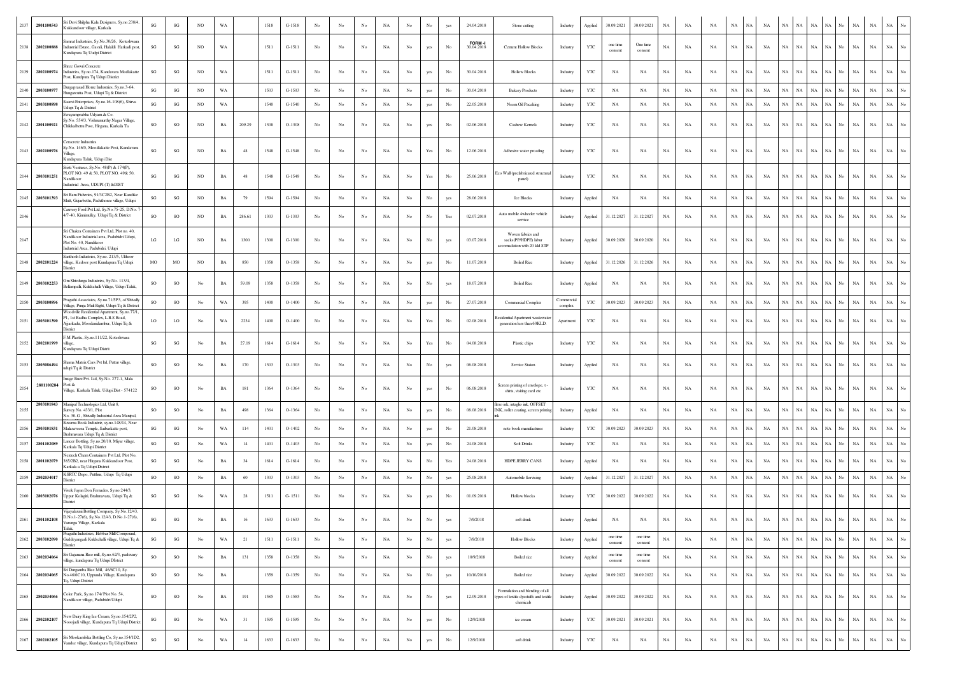| 2137 | 2801100543      | ri Devi Shilpha Kala Designers, Sy.no.238/4,<br>ukkundoor village, Karkala                                                         | $\mathbf{S}\mathbf{G}$ | $\mathbf{S}\mathbf{G}$ | <b>NO</b>        | WA          |        | 1518 | $G-1518$ | No               | No               | No          | NA          | No               | No                   |     | 24.04.2018          | Stone cutting                                                             | Industry             | Applied      | 30.09.2021          | 30.09.2021          | NA          | NA          | NA          | NA<br>NA                   | NA          | <b>NA</b>   | NA          |             |                                 |             | NA<br>NA                   |             |
|------|-----------------|------------------------------------------------------------------------------------------------------------------------------------|------------------------|------------------------|------------------|-------------|--------|------|----------|------------------|------------------|-------------|-------------|------------------|----------------------|-----|---------------------|---------------------------------------------------------------------------|----------------------|--------------|---------------------|---------------------|-------------|-------------|-------------|----------------------------|-------------|-------------|-------------|-------------|---------------------------------|-------------|----------------------------|-------------|
|      | 2138 2802100888 | nrat Industries, Sy.No.30/26, Koteshwara<br>ndustrial Estate, Gavali, Halaldi Harkadi post<br>undapura Tq Uudpi District           | SG                     | SG                     | NO.              | WA          |        | 1511 | $G-1511$ | No               | No               | No          | NA          | No               | yes                  | No  | FORM-<br>30.04.2018 | <b>Cement Hollow Blocks</b>                                               | Industry             | YTC          | one time<br>consent | One time<br>consent | $_{\rm NA}$ | NA          | NA          | $_{\rm NA}$<br>NA          | NA          | NA          | NA          | <b>NA</b>   | <b>NA</b><br>No.                | NA          | $_{\rm NA}$<br>$_{\rm NA}$ | $_{\rm No}$ |
| 2139 | 2802100974      | tree Gowri Concrete<br>dustries, Sy.no.174, Kandavara Modlakatte<br>ost, Kundpura Tq Udupi District                                | SG                     | $\mathbf{S}\mathbf{G}$ | NO               | WA          |        | 1511 | $G-1511$ | No               | No               | No          | NA          | No               | yes                  | No  | 30.04.2018          | <b>Hollow Blocks</b>                                                      | Industry             | YTC          | NA                  | NA                  | NA          | NA          | NA          | $_{\rm NA}$<br>NA          | NA          | <b>NA</b>   | NA          | <b>NA</b>   | $_{\rm NA}$<br>No               | <b>NA</b>   | $_{\rm NA}$<br>$_{\rm NA}$ |             |
| 2140 | 2803100977      | Jurgaprasad Home Industries, Sy.no.3-64,<br>ungarcutta Post, Udupi Tq & District                                                   | $\mathbf{SG}$          | $\mathbf{S}\mathbf{G}$ | NO               | WA          |        | 1503 | $G-1503$ | No               | No               | No          | NA          | No               | yes                  | No  | 30.04.2018          | <b>Bakery Products</b>                                                    | Industry             | YTC          | NA                  | NA                  | $_{\rm NA}$ | NA          | NA          | $_{\rm NA}$<br>$_{\rm NA}$ | $_{\rm NA}$ | NA          | NA          | NA          | NA                              | NA          | $_{\rm NA}$<br>NA          |             |
| 2141 | 2803100898      | anvi Enterprises, Sy.no.16-108(6), Shirva<br>dupi Tq & District                                                                    | SG                     | SG                     | NO               | WA          |        | 1540 | G-1540   | No               | No               | No          | $_{\rm NA}$ | $_{\mathrm{No}}$ | yes                  | No  | 22.05.2018          | Neem Oil Pacaking                                                         | Industry             | $_{\rm YTC}$ | NA                  | NA                  | $_{\rm NA}$ | NA          | $_{\rm NA}$ | $_{\rm NA}$<br>$_{\rm NA}$ | $_{\rm NA}$ | NA          | NA          | NA          | $_{\rm NA}$<br>No               | NA          | $_{\rm NA}$<br>$_{\rm NA}$ |             |
|      |                 | wayamprabha Udyam & Co.<br>y.No. 554/3, Vishnumurthy Nagar Village,                                                                |                        |                        |                  |             |        |      |          |                  |                  |             |             |                  |                      |     |                     |                                                                           |                      |              |                     |                     |             |             |             |                            |             |             |             |             |                                 |             |                            |             |
| 2142 | 2801100921      | Chikkalbettu Post, Hirgana, Karkala Ta<br>eracrete Industries                                                                      | SO                     | SO                     | NO               | $_{\rm BA}$ | 209.29 | 1308 | O-1308   | No               | No               | No          | NA          | No               | yes                  | No  | 02.06.2018          | Cashew Kernels                                                            | Industry             | YTC          | NA                  | NA                  | $_{\rm NA}$ | NA          | NA          | $_{\rm NA}$<br>$_{\rm NA}$ | NA          | NA          | NA          | NA          | NA<br>No                        | NA          | $_{\rm NA}$<br>NA          |             |
| 2143 | 2802100976      | y.No. 146/5, Moodlakatte Post, Kandavara<br>illage,<br>Kundapura Taluk, Udupi Dist                                                 | SG                     | SG                     | NO               | $_{\rm BA}$ | 48     | 1548 | G-1548   | No               | No               | No          | NA          | $_{\rm No}$      | $\operatorname{Yes}$ | No  | 12.06.2018          | Adhesive water proofing                                                   | Industry             | YTC          | NA                  | NA                  | $_{\rm NA}$ | NA          | $_{\rm NA}$ | $_{\rm NA}$<br>NA          | NA          | <b>NA</b>   | NA          | <b>NA</b>   | NA.                             | <b>NA</b>   | NA<br>NA                   |             |
|      | 2144 2803101251 | Sristi Ventures, Sy.No. 48(P) & 174(P),<br>PLOT NO. 49 & 50, PLOT NO. 49& 50,<br>andikoo                                           | SG                     | SG                     | NO               | $_{\rm BA}$ | 48     | 1548 | G-1549   | No               | No               | No          | NA          | No               | Yes                  | No  | 25.06.2018          | Eco Wall (prefabricated structura<br>panel)                               | Industry             | YTC          | NA                  | NA                  | $_{\rm NA}$ | NA          | NA          | $_{\rm NA}$<br>NA          | NA          | NA          | NA          |             |                                 |             | $_{\rm NA}$<br>NA          |             |
| 2145 | 2803101393      | dustrial Area, UDUPI (T) &DIST<br>iri Ram Fisheries, 91/3C2B2, Near Kandiko                                                        | SG                     | $\mathbf{S}\mathbf{G}$ | NO               | $_{\rm BA}$ | 79     | 1594 | G-1594   | $_{\rm No}$      | No               | No          | $_{\rm NA}$ | $_{\mathrm{No}}$ | $_{\rm No}$          | yes | 28.06.2018          | Ice Blocks                                                                | Industry             | Applied      | $_{\rm NA}$         | NA                  | $_{\rm NA}$ | NA          | $_{\rm NA}$ | $_{\rm NA}$<br>$_{\rm NA}$ | NA          | $_{\rm NA}$ | NA          | NA          | NA<br>No                        | $_{\rm NA}$ | $_{\rm NA}$<br>$_{\rm NA}$ |             |
| 2146 |                 | Mutt, Gujarbettu, Paduthonse village, Udupi<br>lauvery Ford Pvt Ltd, Sy.No.75-25, D.No.<br>1/7-40, Kinnimulky, Udupi Tq & District | SO                     | $_{\rm SO}$            | NO               | $_{\rm BA}$ | 286.61 | 1303 | G-1303   | $_{\rm No}$      | No               | No          | NA          | No               | No                   | Yes | 02.07.2018          | Auto mobile 4wheeler vehicle                                              |                      |              | 31.12.2027          | 31.12.2027          | $_{\rm NA}$ | NA          | $_{\rm NA}$ | $_{\rm NA}$<br>NA          | NA          | $_{\rm NA}$ | NA          | <b>NA</b>   | ŃА                              | NA          | $_{\rm NA}$                | $_{\rm NA}$ |
|      |                 | Sri Chakra Containers Pvt Ltd, Plot no. 40,                                                                                        |                        |                        |                  |             |        |      |          |                  |                  |             |             |                  |                      |     |                     | service<br>Woven fabrics and                                              | Industry             | Applied      |                     |                     |             |             |             |                            |             |             |             |             |                                 |             |                            |             |
| 2147 |                 | Jandikoor Industrial area, Padubidri Udupi,<br>Plot No. 40, Nandikoor<br>ndustrial Area, Padubidri, Udupi                          | LG                     | LG                     | NO               | BA          | 1300   | 1300 | $G-1300$ | No               | No               | No          | NA          | No               | No                   | yes | 03.07.2018          | sacks(PP/HDPE) labur<br>accomadation with 20 kkl STP                      | Industry             | Applied      | 30.09.2020          | 30.09.2020          | NA          | NA          | NA          | NA<br>$_{\rm NA}$          | NA          | NA          | NA          | NA          | NA                              | NA          | NA<br>NA                   |             |
| 2148 | 2802101224      | anthosh Industries, Sv.no. 213/5. Ulthoor<br>rillage, Kedoor post Kundapura Tq Udupi<br><b>District</b>                            | MO                     | $_{\rm MO}$            | NO               | $_{\rm BA}$ | 850    | 1358 | O-1358   | No               | No               | No          | NA          | No               | yes                  | No  | 11.07.2018          | <b>Boiled Rice</b>                                                        | Industry             | Applied      | 31.12.2026          | 31.12.2026          | $_{\rm NA}$ | NA          | NA          | NA<br>$_{\rm NA}$          | NA          | <b>NA</b>   | NA          | <b>NA</b>   | NA<br>No                        | NA          | $_{\rm NA}$<br>NA          | No          |
| 2149 | 2803102253      | Om Shivdurga Industries, Sy.No. 113/4,<br>lellampalli, Kukkehalli Village, Udupi Taluk,                                            | SO                     | SO                     | No               | $_{\rm BA}$ | 59.09  | 1358 | O-1358   | No               | No               | No          | NA          | $_{\rm No}$      | No                   | yes | 18.07.2018          | <b>Boiled Rice</b>                                                        | Industry             | Applied      | NA                  | NA                  | $_{\rm NA}$ | NA          | $_{\rm NA}$ | $_{\rm NA}$<br>NA          | NA          | NA          | NA          | <b>NA</b>   | NA.                             |             | $_{\rm NA}$                | NA          |
| 2150 | 2803100896      | ragathi Associates, Sy.no.71/5P3, of Shivally<br>illage, Punja Muli Right, Udupi Tq & District                                     | SO                     | $_{\rm SO}$            | No               | WA          | 395    | 1400 | $O-1400$ | No               | No               | No          | $_{\rm NA}$ | No               | yes                  | No  | 27.07.2018          | <b>Commercial Complex</b>                                                 | Commercia<br>complex | YTC          | 30.09.2023          | 30.09.2023          | $_{\rm NA}$ | NA          | NA          | $_{\rm NA}$<br>NA          | NA          | NA          | NA          | <b>NA</b>   | NA<br>No                        | $_{\rm NA}$ | $_{\rm NA}$<br>$_{\rm NA}$ | No          |
| 2151 | 2803101390      | Voodville Residential Apartment, Sy.no.77/1.<br>1, 1st Radha Complex, L.B.S Road,<br>jjarkadu, Moodanidambur, Udupi Tq &           | LO                     | LO                     | No               | WA          | 2234   | 1400 | $O-1400$ | $_{\rm No}$      | No               | No          | NA          | $_{\rm No}$      | $\operatorname{Yes}$ | No  | 02.08.2018          | esidential Apartment wastewate<br>generation less than 60KLD.             | Apartment            | YTC          | NA                  | NA                  | NA          | NA          | $_{\rm NA}$ | $_{\rm NA}$<br>NA          | NA          | <b>NA</b>   | NA          | NA          | NА                              | NA          | $_{\rm NA}$<br>NA          |             |
| 2152 | 2802101999      | District<br>M Plastic, Sy.no.111/22, Koteshwara<br>llage.                                                                          | SG                     | SG                     | No               | $_{\rm BA}$ | 27.19  | 1614 | $G-1614$ | $_{\rm No}$      | No               | No          | NA          | No               | Yes                  | No  | 04.08.2018          | Plastic chips                                                             | Industry             | YTC          | NA                  | NA                  | $_{\rm NA}$ | NA          | $_{\rm NA}$ | $_{\rm NA}$<br>NA          | NA          | NA          | NA          | NA          | NA<br>No                        | <b>NA</b>   | $_{\rm NA}$                | $_{\rm NA}$ |
|      |                 | Kundapura Tq Udupi Distrit                                                                                                         |                        |                        |                  |             |        |      |          |                  |                  |             |             |                  |                      |     |                     |                                                                           |                      |              |                     |                     |             |             |             |                            |             |             |             |             |                                 |             |                            |             |
| 2153 | 2803086494      | aama Matrix Cars Pvt ltd, Puttur village<br>lupi Tq & District<br>nage Buzz Pvt. Ltd, Sy.No. 277-1, Mala                           | SO                     | SO                     | $_{\mathrm{No}}$ | $_{\rm BA}$ | 170    | 1303 | $O-1303$ | $_{\mathrm{No}}$ | No               | No          | NA          | No               | No                   | yes | 06.08.2018          | Service Staion                                                            | Industry             | Applied      | NA                  | NA                  | $_{\rm NA}$ | NA          | $_{\rm NA}$ | $_{\rm NA}$<br>NA          | NA          | NA          | NA          | $_{\rm NA}$ | NA.                             | NA          | $_{\rm NA}$                | $_{\rm NA}$ |
| 2154 | 2801100284      | ost &<br>'illage, Karkala Taluk, Udupi Dist - 574122                                                                               | so                     | $_{\rm SO}$            | No               | $_{\rm BA}$ | 181    | 1364 | O-1364   | No               | No               | No          | $_{\rm NA}$ | $_{\mathrm{No}}$ | yes                  | No  | 06.08.2018          | Screen printing of envelope, t<br>shirts, visiting card etc               | Industry             | $_{\rm YTC}$ | NA                  | NA                  | $_{\rm NA}$ | NA          | $_{\rm NA}$ | $_{\rm NA}$<br>$_{\rm NA}$ | NA          | $_{\rm NA}$ | NA          | NA          |                                 | NA          | $_{\rm NA}$<br>NA          |             |
| 2155 | 2803101843      | Manipal Technologies Ltd, Unit 8,<br>urvev No. 433/1. Plot<br>o. 30-G, Shivally Industrial Area Manipal,                           | SO                     | $_{\rm SO}$            | No               | $_{\rm BA}$ | 498    | 1364 | O-1364   | $_{\rm No}$      | No               | No          | NA          | No               | yes                  | No  | 08.08.2018          | flexo ink, intaglio ink, OFFSET<br>INK, roller coating, screen printing   | Industry             | Applied      | NA                  | NA                  | $_{\rm NA}$ | NA          | NA          | $_{\rm NA}$<br>NA          | NA          | $_{\rm NA}$ | NA          | NA          | NА                              | NA          | $_{\rm NA}$                | $_{\rm NA}$ |
| 2156 | 2803101831      | ama Book Industrie, sy.no.148/14, Near<br>Malasaveera Temple, Saibarkatte post,                                                    | SG                     | $\mathbf{S}\mathbf{G}$ | No               | WA          | 114    | 1401 | $O-1402$ | No.              | No               | No          | NA          | No               | yes                  | No  | 21.08.2018          | note book manufactures                                                    | Industry             | YTC          | 30.09.2023          | 30.09.2023          | $_{\rm NA}$ | NA          | NA          | $_{\rm NA}$<br>$_{\rm NA}$ | $_{\rm NA}$ | NA          | NA          | <b>NA</b>   |                                 |             | $_{\rm NA}$<br>$_{\rm NA}$ |             |
| 2157 | 2801102089      | Brahmavara Udupi Tq & District<br>ancer Bottling, Sy.no.20/10, Miyar village,<br>Carkala Tq Udupi District                         | $\mathbf{S}\mathbf{G}$ | $\mathbf{S}\mathbf{G}$ | No               | WA          | 14     | 1401 | $O-1403$ | No               | No               | No          | $_{\rm NA}$ | $_{\mathrm{No}}$ | yes                  | No  | 24.08.2018          | <b>Soft Drinks</b>                                                        | Industry             | YTC          | NA                  | NA                  | $_{\rm NA}$ | NA          | NA          | $_{\rm NA}$<br>$_{\rm NA}$ | $_{\rm NA}$ | $_{\rm NA}$ | NA          | NA          | $_{\rm NA}$                     | <b>NA</b>   | $_{\rm NA}$<br>$_{\rm NA}$ |             |
| 2158 | 2801102079      | extech Chem Containers Pvt Ltd, Plot No<br>385/2B2, near Hirgana Kukkundoor Post,<br>Carkala a Tq Udupi District                   | SG                     | SG                     | No               | BA          | 34     | 1614 | $G-1614$ | No               | No               | No          | NA          | No               | No                   | Yes | 24.08.2018          | <b>HDPE JERRY CANS</b>                                                    | Industry             | Applied      | NA                  | NA                  | NA          | NA          | NA          | NA<br>NA                   | NA          | <b>NA</b>   | NA          | <b>NA</b>   | NA<br>No.                       | <b>NA</b>   | NA                         | $_{\rm NA}$ |
| 2159 | 2802034017      | SRTC Depo, Putthur, Udupi Tq Udupi<br>strict                                                                                       | SO                     | SO                     | No               | $_{\rm BA}$ | 60     | 1303 | $O-1303$ | No               | No               | No          | NA          | $_{\rm No}$      | No                   | yes | 25.08.2018          | Automobile Servicing                                                      | Industry             | Applied      | 31.12.2027          | 31.12.2027          | NA          | NA          | $_{\rm NA}$ | $_{\rm NA}$<br>NA          | NA          | NA          | NA          | NA          | NA<br>No                        | <b>NA</b>   | $_{\rm NA}$<br>$_{\rm NA}$ |             |
| 2160 | 2803102076      | ivek Jayan Don Fernades, Sy.no.244/3,<br>Uppur Kolagiri, Brahmavara, Udupi Tq &<br>istrict                                         | SG                     | SG                     | No               | WA          | 28     | 1511 | $G-1511$ | No               | No               | No          | NA          | No               | yes                  | No  | 01.09.2018          | Hollow blocks                                                             | Industry             | YTC          | 30.09.2022          | 30.09.2022          | $_{\rm NA}$ | NA          | NA          | $_{\rm NA}$<br>$_{\rm NA}$ | NA          | NA          | NA          | NA          | NA                              | NA          | NA<br>NA                   |             |
| 2161 | 2801102108      | ijayalaxmi Bottling Company, Sy.No.12/43,<br>0.No.1-27(6), Sy, No.12/43, D.No.1-27(6),<br>anga Village, Karkala                    | SG                     | SG                     | No               | $_{\rm BA}$ | 16     | 1633 | $G-1633$ | $_{\rm No}$      | No               | No          | NA          | No               | No                   | yes | 7/9/2018            | soft drink                                                                | Industry             | Applied      | NA                  | $_{\rm NA}$         | $_{\rm NA}$ | NA          | $_{\rm NA}$ | $_{\rm NA}$<br>NA          | NA          | NA          | NA          | NA          | NA<br>No                        | NA          | NA<br>NA                   |             |
| 2162 | 2803102090      | Taluk,<br>Pragathi Industries, Hebbar Mill Compound,<br>Guddeyangadi Kukkehalli village, Udupi Tq &                                | $\mathbf{S}\mathbf{G}$ | SG                     | $_{\rm No}$      | WA          | 21     | 1511 | $G-1511$ | No               | No               | No          | NA          | $_{\rm No}$      | $_{\rm No}$          | yes | 7/9/2018            | <b>Hollow Blocks</b>                                                      | Industry             | Applied      | one time<br>consent | one time<br>consent | $_{\rm NA}$ | NA          | $_{\rm NA}$ | $_{\rm NA}$<br>NA          | NA          | $_{\rm NA}$ | NA          | NA          | $_{\rm NA}$<br>No               | NA          | $_{\rm NA}$<br>$_{\rm NA}$ | No          |
| 2163 | 2802034064      | <b>District</b><br>Sri Gajanana Rice mill, Sy.no.62/3, paduvary<br>illage, kundapura Tq Udupi DIstrict                             | $\rm SO$               | $SO$                   | No               | $_{\rm BA}$ | 131    | 1358 | O-1358   | $_{\mathrm{No}}$ | $_{\rm No}$      | $_{\rm No}$ | NA          | $_{\rm No}$      | $_{\mathrm{No}}$     | yes | 10/9/2018           | Boiled rice                                                               | Industry             | Applied      | one time<br>consent | one time<br>consent | $_{\rm NA}$ | $_{\rm NA}$ | NA          | $_{\rm NA}$<br>$_{\rm NA}$ | $_{\rm NA}$ | $_{\rm NA}$ | NA          | $_{\rm NA}$ | $_{\rm NA}$<br>$_{\mathrm{No}}$ | $_{\rm NA}$ | $_{\rm NA}$<br>$_{\rm NA}$ | No.         |
| 2164 | 2802034065      | iri Durgamba Rice Mill, 46/6C10, Sy.<br>No.46/6C10, Uppunda Village, Kundapura                                                     | $\rm SO$               | $_{\rm SO}$            | $_{\rm No}$      | $_{\rm BA}$ |        | 1359 | O-1359   | $_{\rm No}$      | $_{\mathrm{No}}$ | $_{\rm No}$ | $_{\rm NA}$ | $_{\rm No}$      | $_{\rm No}$          | yes | 10/10/2018          | Boiled rice                                                               | Industry             | Applied      | 30.09.2022          | 30.09.2022          | $_{\rm NA}$ | $_{\rm NA}$ | $_{\rm NA}$ | $_{\rm NA}$<br>$_{\rm NA}$ | $_{\rm NA}$ | NA          | $_{\rm NA}$ | $_{\rm NA}$ | $_{\rm NA}$<br>No               | $_{\rm NA}$ | $_{\rm NA}$<br>$_{\rm NA}$ | No.         |
| 2165 | 2802034066      | q, Udupi District<br>Color Park, Sy.no.174/ Plot No. 54,                                                                           | $\rm SO$               | $SO$                   | $_{\rm No}$      | $_{\rm BA}$ | 191    | 1585 | $O-1585$ | $_{\rm No}$      | No               | No          | NA          | No               | $_{\mathrm{No}}$     | yes | 12.09.2018          | Formulation and blending of all<br>types of textile dyestuffs and textile | Industry             | Applied      | 30.09.2022          | 30.09.2022          | $_{\rm NA}$ | $_{\rm NA}$ | $_{\rm NA}$ | $_{\rm NA}$<br>$_{\rm NA}$ | $_{\rm NA}$ | <b>NA</b>   | NA          | $_{\rm NA}$ | $_{\rm NA}$<br>$_{\rm No}$      | $_{\rm NA}$ | $_{\rm NA}$<br>$_{\rm NA}$ | No.         |
|      |                 | andikoor village, Padubidri Udupi<br>New Dairy King Ice Cream, Sy.no.154/2P2,                                                      |                        |                        |                  |             |        |      |          |                  |                  |             |             |                  |                      |     |                     | chemicals                                                                 |                      |              |                     |                     |             |             |             |                            |             |             |             |             |                                 |             |                            |             |
| 2166 | 2802102107      | ooojadi village, Kundapura Tq Udupi District<br>ri Mookambika Bottling Co, Sy.no.154/1D2,                                          | SG                     | $\mathbf{S}\mathbf{G}$ | No               | WA          | 31     | 1595 | $G-1595$ | No               | No               | $_{\rm No}$ | $_{\rm NA}$ | $_{\mathrm{No}}$ | yes                  | No  | 12/9/2018           | ice cream                                                                 | Industry             | $_{\rm YTC}$ | 30.09.2021          | 30.09.2021          | $_{\rm NA}$ | NA          | $_{\rm NA}$ | $_{\rm NA}$<br>$_{\rm NA}$ | NA          | $_{\rm NA}$ | NA          | NA          | $_{\rm NA}$<br>No               | NA          | $_{\rm NA}$<br>$_{\rm NA}$ | $_{\rm No}$ |
| 2167 | 2802102105      | andse village, Kundapura Tq Udupi District                                                                                         | $\mathbf{SG}$          | $\mathbf{S}\mathbf{G}$ | $_{\rm No}$      | $_{\rm WA}$ | 14     | 1633 | $G-1633$ | $_{\rm No}$      | No               | $_{\rm No}$ | $_{\rm NA}$ | $_{\mathrm{No}}$ | yes                  | No  | 12/9/2018           | soft drink                                                                | Industry             | YTC          | $_{\rm NA}$         | $_{\rm NA}$         | $_{\rm NA}$ | $_{\rm NA}$ | $_{\rm NA}$ | $_{\rm NA}$<br>$_{\rm NA}$ | $_{\rm NA}$ | NA          | $_{\rm NA}$ | NA          | $_{\rm NA}$<br>$_{\rm No}$      | $_{\rm NA}$ | $_{\rm NA}$<br>$_{\rm NA}$ | No          |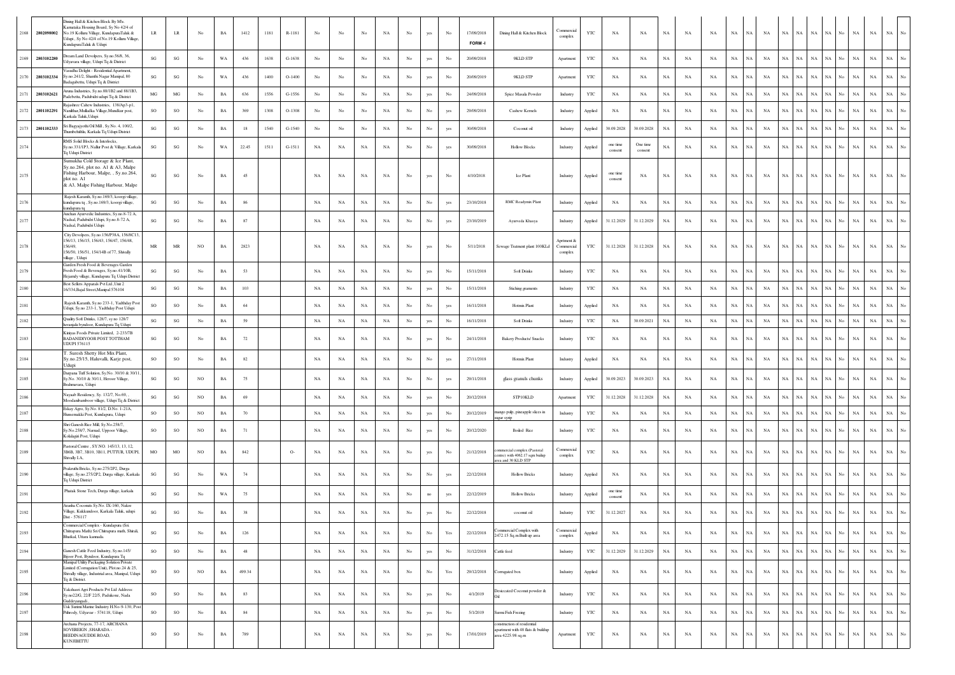|      | 2168 2802098002 | Dining Hall & Kitchen Block By M\s.<br>arnataka Housing Board, Sy No 42/4 of<br>No.19 Kolluru Village, KundapuraTaluk &<br>dupi, Sy No 42/4 of No.19 Kolluru Village,<br>CundapuraTaluk & Udupi | LR                     | $\rm LR$                          | No               | <b>BA</b>   | 1412   | 1181 | R-1181   | No          | No          | No          | NA          | No               | yes              | No                                                                                    | 17/09/2018<br>FORM-I | Dining Hall & Kitchen Block                                                        | <b>Commercial</b><br>complex        | <b>YTC</b>   | <b>NA</b>           | NA                  | <b>NA</b>   | NA          | NA          | NA          | NA          | NA          | NA<br>NA          | $_{\rm NA}$ | NA                    | NA                 | $_{\rm NA}$ | $_{\rm NA}$ | $_{\mathrm{No}}$ |
|------|-----------------|-------------------------------------------------------------------------------------------------------------------------------------------------------------------------------------------------|------------------------|-----------------------------------|------------------|-------------|--------|------|----------|-------------|-------------|-------------|-------------|------------------|------------------|---------------------------------------------------------------------------------------|----------------------|------------------------------------------------------------------------------------|-------------------------------------|--------------|---------------------|---------------------|-------------|-------------|-------------|-------------|-------------|-------------|-------------------|-------------|-----------------------|--------------------|-------------|-------------|------------------|
| 2169 | 2803102280      | ream Land Devolpers, Sy.no.56/8, 36,<br>Jdyavara village, Udupi Tq & District                                                                                                                   | $\mathbf{S}\mathbf{G}$ | $\mathbf{SG}$                     | No               | WA          | 436    | 1638 | $G-1638$ | No          | No          | No          | NA          | No               | yes              | No                                                                                    | 20/09/2018           | 9KLD STP                                                                           | Apartment                           | YTC          | <b>NA</b>           | NA                  | NA          | NA          | NA          | NA          | NA          | <b>NA</b>   | NA<br>NA          | $_{\rm NA}$ | NA                    | $_{\rm NA}$<br>No. | $_{\rm NA}$ | $_{\rm NA}$ | No               |
|      | 2170 2803102334 | <sup>/</sup> asudha Delight - Residential Apartment,<br>Sy.no.241/2, Shanthi Nagar Manipal, 80<br>adagabettu, Udupi Tq & District                                                               | SG                     | $\mathbf{SG}$                     | No               | WA          | 436    | 1400 | $O-1400$ | No          | No          | No          | NA          | No               | yes              | No                                                                                    | 20/09/2019           | 9KLD STP                                                                           | Apartment                           | YTC          | NA                  | NA                  | NA          | NA          | NA          | $_{\rm NA}$ | NA          | <b>NA</b>   | NA<br>NA          | $_{\rm NA}$ | NA                    | $_{\rm NA}$<br>No. | $_{\rm NA}$ | $_{\rm NA}$ | No               |
| 2171 | 2803102621      | runa Industries, Sy.no.88/1B2 and 88/1B3,<br>adebettu, Padubidri udupi Tq & District                                                                                                            | $_{\rm MG}$            | $_{\rm MG}$                       | No               | $_{\rm BA}$ | 636    | 1556 | G-1556   | No          | No          | No          | NA          | No               | yes              | No                                                                                    | 24/09/2018           | Spice Masala Powder                                                                | Industry                            | $_{\rm YTC}$ | NA                  | NA                  | NA          | NA          | NA          | $_{\rm NA}$ | NA          | $_{\rm NA}$ | NA<br>NA          | $_{\rm NA}$ | NA                    | $_{\rm NA}$        | $_{\rm NA}$ | $_{\rm NA}$ | $\overline{N}$ o |
|      | 2172 2801102291 | jashree Cahew Industries, 138/Ap3-p1,<br>Vanilthar, Mulladka Village, Mundkur post,<br>Karkala Taluk, Udupi                                                                                     | <b>SO</b>              | SO                                | No               | BA          | 369    | 1308 | $O-1308$ | No          | No          | No          | NA          | $_{\rm No}$      | $_{\rm No}$      | yes                                                                                   | 29/09/2018           | Cashew Kernels                                                                     | Industry                            | Applied      | NA                  | NA                  | $_{\rm NA}$ | NA          | NA          | $_{\rm NA}$ | NA          | NA          | NA<br>NA.         | $_{\rm NA}$ | NA                    | No.<br>$_{\rm NA}$ | $_{\rm NA}$ | $_{\rm NA}$ | No               |
|      | 2173 2801102333 | i Bagyajyothi Oil Mill, Sy.No. 4, 100/2,<br>humbehithlu, Karkala Tq Udupi District                                                                                                              | $\mathbf{S}\mathbf{G}$ | $\mathbf{S}\mathbf{G}$            | No               | BA          | 18     | 1540 | G-1540   | No          | No          | No          | NA          | No               | $_{\rm No}$      | yes                                                                                   | 30/09/2018           | Coconut oil                                                                        | Industry                            | Applied      | 30.09.2028          | 30.09.2028          | NA          | NA          | NA          | $_{\rm NA}$ | NA          | $_{\rm NA}$ | NA<br>NA          | $_{\rm NA}$ | NA                    | $_{\rm NA}$<br>No. | $_{\rm NA}$ | $_{\rm NA}$ | $\overline{N}$ o |
| 2174 |                 | RMS Solid Blocks & Interlocks<br>Sy.no.331/1P3, Nallur Post & Village, Karkala<br>Fq Udupi District                                                                                             | SG                     | $\mathbf{S}\mathbf{G}$            | No               | WA          | 22.45  | 1511 | $G-1511$ | NA          | NA          | $_{\rm NA}$ | NA          | No               | No               | yes                                                                                   | 30/09/2018           | <b>Hollow Blocks</b>                                                               | Industry                            | Applied      | one time<br>consent | One time<br>consent | NA          | NA          | NA          | NA          | NA          | NA          | <b>NA</b><br>NА   | $_{\rm NA}$ | NA                    | No.<br>NA          | NA          | NA          | No               |
| 2175 |                 | Sumukha Cold Storage & Ice Plant,<br>Sy.no.264, plot no. A1 & A3, Malpe<br>Fishing Harbour, Malpe, , Sy.no.264,<br>plot no. A1<br>& A3, Malpe Fishing Harbour, Malpe                            | SG                     | $\mathbf{SG}$                     | No               | BA          | 45     |      |          | NA          | NA          | NA          | NA          | No               | yes              | No                                                                                    | 4/10/2018            | Ice Plant                                                                          | Industry                            | Applied      | one time<br>consent | NA                  | NA          | NA          | NA          | NA          | NA          | NA          | NA<br>NA          | $_{\rm NA}$ | <b>NA</b>             | NA                 | $_{\rm NA}$ | $_{\rm NA}$ | No               |
| 2176 |                 | Rajesh Karanth, Sy.no.169/3, koorgi village,<br>kundapura tq , Sy.no.169/3, koorgi village,                                                                                                     | SG                     | SG                                | No               | BA          | 86     |      |          | NA          | $_{\rm NA}$ | $_{\rm NA}$ | NA          | $_{\rm No}$      | $_{\rm No}$      | yes                                                                                   | 23/10/2018           | RMC Readymix Plant                                                                 | Industry                            | Applied      | $_{\rm NA}$         | NA                  | $_{\rm NA}$ | NA          | NA          | NA          | NA          | NA          | NA<br>$_{\rm NA}$ | NA          | $_{\rm NA}$           | No<br>$_{\rm NA}$  | $_{\rm NA}$ | $_{\rm NA}$ | No               |
| 2177 |                 | cundapura to<br>Anchan Ayurvedic Industries, Sy.no.8-72 A,<br>Nadsal, Padubidri Udupi, Sy.no.8-72 A,<br>Nadsal, Padubidri Udupi                                                                 | SG                     | $\mathbf{S}\mathbf{G}$            | No               | $_{\rm BA}$ | $87\,$ |      |          | NA          | NA          | $_{\rm NA}$ | NA          | $_{\rm No}$      | $_{\rm No}$      | yes                                                                                   | 23/10/2019           | Ayurveda Khasya                                                                    | Industry                            | Applied      | 31.12.2029          | 31.12.2029          | $_{\rm NA}$ | NA          | NA          | $_{\rm NA}$ | NA          | NA          | $_{\rm NA}$<br>NA | $_{\rm NA}$ | $_{\rm NA}$           | No.<br>$_{\rm NA}$ | $_{\rm NA}$ | $_{\rm NA}$ | No               |
| 2178 |                 | City Devolpers, Sy.no.156/P38A, 156/8C13,<br>156/13, 156/15, 156/43, 156/47, 156/48,<br>156/49.<br>156/50, 156/51, 154/14B of 77, Shivally<br>village, Udupi                                    | MR                     | $\ensuremath{\mathsf{MR}}\xspace$ | NO               | BA          | 2823   |      |          | NA          | NA          | NA          | NA          | $_{\rm No}$      | yes              | No                                                                                    | 5/11/2018            | Sewage Tratment plant 100KLd                                                       | Aprtment &<br>Commercial<br>complex | YTC          | 31.12.2028          | 31.12.2028          | $_{\rm NA}$ | NA          | NA          | NA          | NA          | NA          | NA<br>NA          | NA          | NA                    | $_{\rm NA}$<br>No  | $_{\rm NA}$ | NA          | No               |
| 2179 |                 | Garden Fresh Food & Beverages Garden<br>Fresh Food & Beverages, Sy.no.41/10B,<br>Hejamdy village, Kundapura Tq Udupi District                                                                   | SG                     | SG                                | No               | BA          | 53     |      |          | NA          | NA          | <b>NA</b>   | NA          | No               | yes              | No                                                                                    | 15/11/2018           | <b>Soft Drinks</b>                                                                 | Industry                            | YTC          | NA                  | NA                  | <b>NA</b>   | NA          | NA          | $_{\rm NA}$ | NA          | <b>NA</b>   | $_{\rm NA}$<br>NA | $_{\rm NA}$ | NA                    | $_{\rm NA}$<br>No. | $_{\rm NA}$ | $_{\rm NA}$ | $\overline{N}$ o |
| 2180 |                 | Best Sellers Apparals Pvt Ltd., Unit 2<br>16/334, Bajal Street, Manipal 576104                                                                                                                  | $\mathbf{S}\mathbf{G}$ | $\mathbf{S}\mathbf{G}$            | No               | BA          | 103    |      |          | NA          | NA          | $_{\rm NA}$ | NA          | No               | yes              | $_{\rm No}$                                                                           | 15/11/2018           | Stiching graments                                                                  | Industry                            | YTC          | NA                  | NA                  | NA          | NA          | NA          | $_{\rm NA}$ | NA          | NA          | <b>NA</b><br>NA   | NA          | NA                    | $_{\rm NA}$<br>No  | $_{\rm NA}$ | $_{\rm NA}$ |                  |
| 2181 |                 | Rajesh Karanth, Sy.no 233-1, Yadthday Post<br>Udupi, Sy.no 233-1, Yadthday Post Udupi                                                                                                           | <b>SO</b>              | SO                                | No               | BA          | 64     |      |          | NA          | NA          | $_{\rm NA}$ | NA          | No               | No               | yes                                                                                   | 16/11/2018           | Hotmix Plant                                                                       | Industry                            | Applied      | NA                  | NA                  | NA          | NA          | NA          | $_{\rm NA}$ | NA          | NA          | NA<br>N A         | $_{\rm NA}$ | NA                    | $_{\rm NA}$<br>N٥  | $_{\rm NA}$ | $_{\rm NA}$ |                  |
| 2182 |                 | Quality Soft Drinks, 128/7, sy no 128/7<br>heranjalu byndoor, Kundapura Tq Udupi                                                                                                                | SG                     | SG                                | $_{\mathrm{No}}$ | BA          | 59     |      |          | $_{\rm NA}$ | $_{\rm NA}$ | $_{\rm NA}$ | $_{\rm NA}$ | $_{\rm No}$      | yes              | $_{\rm No}$                                                                           | 16/11/2018           | Soft Drinks                                                                        | Industry                            | $_{\rm YTC}$ | $_{\rm NA}$         | 30.09.2021          | $_{\rm NA}$ | NA          | NA          | $_{\rm NA}$ | $_{\rm NA}$ | NA          | NA<br>$_{\rm NA}$ | NA          | $_{\rm NA}$           | NA<br>No           | $_{\rm NA}$ | $_{\rm NA}$ | No               |
| 2183 |                 | Kiniyas Foods Private Limited, 2-233/7B<br>BADANIDIYOOR POST TOTTHAM<br><b>UDUPI 576115</b>                                                                                                     | SG                     | SG                                | No               | BA          | 72     |      |          | NA          | NA          | $_{\rm NA}$ | $_{\rm NA}$ | $_{\rm No}$      | yes              | No                                                                                    | 24/11/2018           | <b>Bakery Products/ Snacks</b>                                                     | Industry                            | YTC          | NA                  | NA                  | $_{\rm NA}$ | NA          | NA          | $_{\rm NA}$ | NA          | NA          | <b>NA</b><br>NA.  | $_{\rm NA}$ | NA                    | Ñ٥<br>$_{\rm NA}$  | $_{\rm NA}$ | $_{\rm NA}$ |                  |
| 2184 |                 | . Suresh Shetty Hot Mix Plant,<br>Sy.no.25/15, Haluvalli, Karje post,<br>Udupi                                                                                                                  | SO                     | SO                                | $_{\mathrm{No}}$ | BA          | 82     |      |          | NA          | NA          | $_{\rm NA}$ | NA          | $_{\rm No}$      | $_{\rm No}$      | yes                                                                                   | 27/11/2018           | Hotmix Plant                                                                       | Industry                            | Applied      | NA                  | NA                  | $_{\rm NA}$ | NA          | NA          | $_{\rm NA}$ | NA          | NA          | NA<br>NA          | $_{\rm NA}$ | $_{\rm NA}$           | No.<br>$_{\rm NA}$ | $_{\rm NA}$ | $_{\rm NA}$ | No               |
| 2185 |                 | Darpana Tuff Solution, Sy.No. 30/10 & 30/11<br>Sy.No. 30/10 & 30/11, Heroor Village,<br>Brahmavara, Udup                                                                                        | SG                     | $\mathbf{SG}$                     | NO               | BA          | 75     |      |          | NA          | NA          | $_{\rm NA}$ | NA          | No               | No               | yes                                                                                   | 29/11/2018           | glass granuls chunks                                                               | Industry                            | Applied      | 30.09.2023          | 30.09.2023          | NA          | NA          | NA          | $_{\rm NA}$ | NA          | NA          | NA<br>NA          | $_{\rm NA}$ | NA.                   | $_{\rm NA}$<br>No  | $_{\rm NA}$ | $_{\rm NA}$ | No               |
| 2186 |                 | Jayaab Residency, Sy. 132/7, No.69, ,<br>Moodanibamboor village, Udupi Tq & District                                                                                                            | SG                     | $\mathbf{S}\mathbf{G}$            | NO               | $_{\rm BA}$ | 69     |      |          | NA          | NA          | $_{\rm NA}$ | NA          | No               | yes              | $_{\rm No}$                                                                           | 20/12/2018           | <b>STP10KLD</b>                                                                    | Apartment                           | YTC          | 31.12.2028          | 31.12.2028          | NA          | NA          | NA          | $_{\rm NA}$ | NA          | NA          | NA<br>NA          | $_{\rm NA}$ | NA                    | $_{\rm NA}$<br>No. | $_{\rm NA}$ | $_{\rm NA}$ | No               |
| 2187 |                 | Eskay Agro, Sy.No. 81/2, D.No. 1-21A,<br>nsemakki Post, Kundapura, Udupi                                                                                                                        | SO                     | $_{\rm SO}$                       | NO               | BA          | 70     |      |          | $_{\rm NA}$ | NA          | $_{\rm NA}$ | $_{\rm NA}$ | $_{\rm No}$      | yes              | No                                                                                    | 20/12/2019           | nango pulp, pineapple slices in<br>gar syrip                                       | Industry                            | YTC          | NA                  | NA                  | $_{\rm NA}$ | NA          | NA          | $_{\rm NA}$ | NA          | NA          | NA<br><b>NA</b>   | $_{\rm NA}$ | NA                    | NA                 | $_{\rm NA}$ | $_{\rm NA}$ | $\overline{N}$ o |
| 2188 |                 | Shri Ganesh Rice Mill, Sy.No.258/7,<br>Sy.No.258/7, Narnad, Uppoor Village,<br>Kolalagiri Post, Udupi                                                                                           | <b>SO</b>              | $_{\rm SO}$                       | NO.              | <b>BA</b>   | 71     |      |          | NA          | NA          | NA          | NA          | No               | yes              | No                                                                                    | 20/12/2020           | <b>Boiled Rice</b>                                                                 | Industry                            | $_{\rm YTC}$ | NA                  | NA                  | <b>NA</b>   | NA          | NA          | NA          | NA          | NA          | NA<br>NA          | NA          | <b>NA</b>             | NA<br>No.          | $_{\rm NA}$ | NA          | No               |
| 2189 |                 | Pastoral Centre . SY.NO. 145/13, 13, 12,<br>3B6B, 3B7, 3B10, 3B11, PUTTUR, UDUPI<br>Shivally I.A.                                                                                               | MO                     | MO                                | NO               | BA          | 842    |      | $O-$     | NA          | NA          | $_{\rm NA}$ | NA          | No               | yes              | No                                                                                    | 21/12/2018           | nmercial complex (Pastoral<br>ntre) with 4062.17 sqm builup<br>ea and 30 KLD STP   | 'ommercial<br>complex               | YTC          | NA                  | NA                  | NA          | NA          | NA          | NA          | NA          | NA          | <b>NA</b><br>NA   | $_{\rm NA}$ | NA                    | $_{\rm NA}$<br>No. | $_{\rm NA}$ | $_{\rm NA}$ | $_{\mathrm{No}}$ |
| 2190 |                 | Prakruthi Bricks, Sy.no.275/2P2, Durga<br>village, Sy.no.275/2P2, Durga village, Karkala<br>Tq Udupi District                                                                                   | SG                     | SG                                | No               | WA          | 74     |      |          | NA          | NA          | NA          | NA          | $_{\rm No}$      | $_{\rm No}$      | yes                                                                                   | 22/12/2018           | <b>Hollow Bricks</b>                                                               | Industry                            | Applied      | NA                  | NA                  | $_{\rm NA}$ | NA          | NA          | $_{\rm NA}$ | NA          | NA          | NA<br>NA          | NA          | NA                    | No.<br>$_{\rm NA}$ | $_{\rm NA}$ | NA          | No               |
| 2191 |                 | Phatak Stone Tech, Durga village, karkala                                                                                                                                                       | $\mathbf{S}\mathbf{G}$ | $\mathbf{S}\mathbf{G}$            | No               | WA          | 75     |      |          | NA          | NA          | $_{\rm NA}$ | NA          | No               | no.              | yes                                                                                   | 22/12/2019           | <b>Hollow Bricks</b>                                                               | Industry                            | Applied      | one time<br>consent | NA                  | $_{\rm NA}$ | NA          | NA          | NA          | NA          | <b>NA</b>   | <b>NA</b><br>NA.  | $_{\rm NA}$ | NA                    | $_{\rm NA}$<br>No. | $_{\rm NA}$ | $_{\rm NA}$ | No               |
| 2192 |                 | Aranha Coconuts Sy.No. IX-160, Nakre<br>Village, Kukkundoor, Karkala Taluk, udupi<br>Dist - 576117                                                                                              | SG                     | $\mathbf{S}\mathbf{G}$            | No               | BA          | 38     |      |          | NA          | NA          | NA          | NA          | No               | yes              | No                                                                                    | 22/12/2018           | coconut oil                                                                        | Industry                            | YTC          | 31.12.2027          | NA                  | $_{\rm NA}$ | NA          | <b>NA</b>   | $_{\rm NA}$ | NA          | NA          | NA<br>NA          | NA          | NA.                   | NA<br>No.          | $_{\rm NA}$ | NA          |                  |
| 2193 |                 | ommercial Complex - Kundapura (Sri.<br>Chitrapura Math) Sri Chitrapura math, Shirali,<br>Bhatkal, Uttara kannada.                                                                               | $\mathbf{S}\mathbf{G}$ | $\mathbf{S}\mathbf{G}$            | No               | $_{\rm BA}$ | 126    |      |          | NA          | NA          | NA          | NA          | No               | $_{\mathrm{No}}$ | Yes                                                                                   | 22/12/2018           | ommercial Complex with<br>2472.15 Sq.m Built up area                               | Commercial<br>complex               | Applied      | $_{\rm NA}$         | NA                  | $_{\rm NA}$ | NA          | NA          | $_{\rm NA}$ | NA          | <b>NA</b>   | NA<br>NA          | $_{\rm NA}$ | NA                    | No<br>NA           | $_{\rm NA}$ | NA          | $_{\mathrm{No}}$ |
| 2194 |                 | Ganesh Cattle Feed Industry, Sy.no.145/<br>Bijoor Post, Byndoor, Kundapura Tq                                                                                                                   | SO                     | $_{\rm SO}$                       | No               | $_{\rm BA}$ | $48\,$ |      |          | NA          | NA          | $_{\rm NA}$ | $_{\rm NA}$ | $_{\rm No}$      | yes              | $_{\rm No}$                                                                           | 31/12/2018           | Cattle feed                                                                        | Industry                            | YTC          | 31.12.2029          | 31.12.2029          | $_{\rm NA}$ | $_{\rm NA}$ | $_{\rm NA}$ | $_{\rm NA}$ | NA          | $_{\rm NA}$ | NA<br>NA          | $_{\rm NA}$ | $_{\rm NA}$           | $_{\rm NA}$<br>No  | $_{\rm NA}$ | $_{\rm NA}$ | $_{\mathrm{No}}$ |
| 2195 |                 | Manipal Utility Packaging Solution Private<br>Limited (Corrugation Unit), Plot.no.24 & 25,<br>Shivally village, Industrial area, Manipal, Udupi<br>Tq & District.                               | SO                     | $_{\rm SO}$                       | $_{\rm NO}$      | $_{\rm BA}$ | 499.34 |      |          | $_{\rm NA}$ | $_{\rm NA}$ | $_{\rm NA}$ | $_{\rm NA}$ | $_{\mathrm{No}}$ | $_{\rm No}$      | $\operatorname*{Yes}% \left( X\right) \equiv\operatorname*{Yes}(\mathbb{R}^{3}\left)$ | 29/12/2018           | Corrugated box                                                                     | Industry                            | Applied      | $_{\rm NA}$         | $_{\rm NA}$         | $_{\rm NA}$ | $_{\rm NA}$ | $_{\rm NA}$ | $_{\rm NA}$ | NA          | NA          | $_{\rm NA}$<br>NA | $_{\rm NA}$ | NA                    | $_{\rm NA}$<br>No  | $_{\rm NA}$ | $_{\rm NA}$ | $_{\rm No}$      |
| 2196 |                 | Yakshasri Agri Products Pvt Ltd Address:<br>Sy.no22/G, 22/F 22/5, Padukone, Nada<br>Guddeyangadi,                                                                                               | SO                     | $_{\rm SO}$                       | $_{\rm No}$      | $_{\rm BA}$ | 83     |      |          | NA          | NA          | $_{\rm NA}$ | NA          | $_{\rm No}$      | yes              | $_{\rm No}$                                                                           | 4/1/2019             | Desiccated Coconut powder &                                                        | Industry                            | YTC          | NA                  | NA                  | $_{\rm NA}$ | NA          | NA          | $_{\rm NA}$ | NA          | NA          | NA<br>NA          | $_{\rm NA}$ | $_{\rm NA}$           | No<br>$_{\rm NA}$  | $_{\rm NA}$ | $_{\rm NA}$ | $_{\mathrm{No}}$ |
| 2197 |                 | Usk Surimi Marine Industry H.No-9-130, Post<br>Pithrody, Udyavar - 574118, Udupi                                                                                                                | SO                     | SO                                | No               | $_{\rm BA}$ | $84\,$ |      |          | NA          | NA          | $_{\rm NA}$ | NA          | $_{\rm No}$      | yes              | $_{\rm No}$                                                                           | 5/1/2019             | Surmi Fish Frezing                                                                 | Industry                            | YTC          | NA                  | NA                  | $_{\rm NA}$ | NA          | NA          | $_{\rm NA}$ | NA          | $_{\rm NA}$ | $_{\rm NA}$<br>NA | $_{\rm NA}$ | $_{\rm NA}$           | No<br>$_{\rm NA}$  | $_{\rm NA}$ | $_{\rm NA}$ | $_{\mathrm{No}}$ |
| 2198 |                 | Archana Projects, 77-17, ARCHANA<br>SOVEREIGN , SHARADA -<br>BEEDIN AGUDDE ROAD,<br><b>KUNJIBETTU</b>                                                                                           | SO                     | $_{\rm SO}$                       | $_{\rm No}$      | $_{\rm BA}$ | 789    |      |          | $_{\rm NA}$ | $_{\rm NA}$ | $_{\rm NA}$ | $_{\rm NA}$ | $_{\mathrm{No}}$ | yes              | $_{\rm No}$                                                                           | 17/01/2019           | onstruction of residential<br>artment with 48 flats & buildup<br>area 4225.98 sq.m | Apartment                           | YTC          | NA                  | $_{\rm NA}$         | $_{\rm NA}$ | NA          | NA          | NA          | NA          | NA          | NA<br>NA          |             | $\rm NA$ $\;$ NA $\;$ | NA<br>No           | NA          | NA          | $_{\rm No}$      |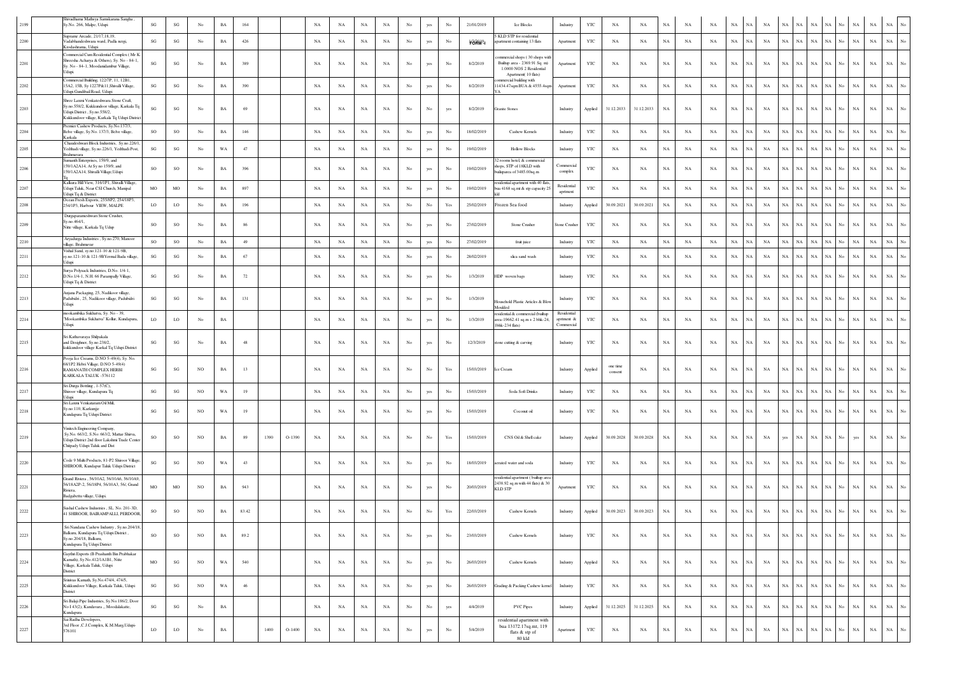|          | Shivadhama Mathsya Samskarana Sangha,<br>Sy.No. 266, Malpe, Udupi                                                                                                    | $\mathbf{S}\mathbf{G}$ | $\mathbf{S}\mathbf{G}$ | No          | $_{\rm BA}$ | 164   |      |          | $_{\rm NA}$ | NA          | $_{\rm NA}$ | $_{\rm NA}$ | No               | yes         | No                                                                                    | 21/01/2019        | Ice Blocks                                                                                                        | Industry                                | YTC          | NA                  | NA          | NA          | NA          | NA          | $_{\rm NA}$ |             | NA          |             |                            |                   | NA                              | NA          |                                 |
|----------|----------------------------------------------------------------------------------------------------------------------------------------------------------------------|------------------------|------------------------|-------------|-------------|-------|------|----------|-------------|-------------|-------------|-------------|------------------|-------------|---------------------------------------------------------------------------------------|-------------------|-------------------------------------------------------------------------------------------------------------------|-----------------------------------------|--------------|---------------------|-------------|-------------|-------------|-------------|-------------|-------------|-------------|-------------|----------------------------|-------------------|---------------------------------|-------------|---------------------------------|
| 2200     | Suprame Arcade, 21/17,18,19,<br>'adabhandeshwara ward, Padla nergi,<br>Krodashrama, Udupi                                                                            | $\mathbf{S}\mathbf{G}$ | $\mathbf{S}\mathbf{G}$ | No          | $_{\rm BA}$ | 426   |      |          | $_{\rm NA}$ | $_{\rm NA}$ | $_{\rm NA}$ | $_{\rm NA}$ | $_{\rm No}$      | yes         | No                                                                                    | Förm <sup>9</sup> | KLD STP for residential<br>partment containing 13 flats                                                           | Apartment                               | $_{\rm YTC}$ | NA                  | $_{\rm NA}$ | $_{\rm NA}$ | $_{\rm NA}$ | NA          | NA          | Ń           | NA          | NA          | $_{\rm NA}$<br>$_{\rm NA}$ | $_{\rm NA}$       | No<br>NA                        | $_{\rm NA}$ | $_{\rm NA}$                     |
| 2201     | 'ommercial Cum Residential Complex (Mr K<br>Shreesha Acharya & Others), Sy. No - 84-1<br>Sy. No - 84-1, Moodanidambur Village,<br>dupi.                              | SG                     | $\mathbf{S}\mathbf{G}$ | No          | $_{\rm BA}$ | 389   |      |          | NA          | NA          | $_{\rm NA}$ | NA          | $_{\rm No}$      | yes         | $_{\rm No}$                                                                           | 8/2/2019          | mmercial shops (30 shops with<br>Builtup area - 2369.91 Sq. m)<br>1.0000 NOS 2 Residential<br>Apartment(10 flats) | Apartment                               | YTC          | NA                  | NA          | $_{\rm NA}$ | NA          | NA          | NA          | NA          | NA          | NA          | NA<br>$_{\rm NA}$          | NA                | No.<br>NA                       | $_{\rm NA}$ | NA                              |
| 2202     | Commercial Building, 122/7P, 11, 12B1,<br>15A2, 15B, Sy 1227P&11, Shivalli Village,<br>Jdupi Gundibail Road, Udup                                                    | $\mathbf{S}\mathbf{G}$ | $\mathbf{S}\mathbf{G}$ | No          | $_{\rm BA}$ | 390   |      |          | NA          | NA          | $_{\rm NA}$ | NA          | $_{\rm No}$      | yes         | No                                                                                    | 8/2/2019          | mmercial building with<br>1434.47sqm BUA & 4555.4sqm                                                              | Apartment                               | YTC          | NA                  | NA          | $_{\rm NA}$ | NA          | NA          | $_{\rm NA}$ | NA          | $_{\rm NA}$ | $_{\rm NA}$ | NA<br>$_{\rm NA}$          | NA                | No<br>NA                        | NA          | NA                              |
| 2203     | Shree Laxmi Venkateshwara Stone Craft,<br>Sy.no.558/2, Kukkundoor village, Karkala T<br>Udupi District, Sy.no.558/2,<br>Kukkundoor village, Karkala Tq Udupi Distric | SG                     | $_{\rm SG}$            | No          | BA          | 69    |      |          | NA          | NA          | NA          | NA          | No               | No          | yes                                                                                   | 8/2/2019          | Granite Stones                                                                                                    | Industry                                | Applied      | 31.12.2033          | 31.12.2033  | $_{\rm NA}$ | NA          | NA          | $_{\rm NA}$ | NA          | $_{\rm NA}$ | NA          | NA<br>$_{\rm NA}$          | NA                | $_{\rm NA}$<br>No               | $_{\rm NA}$ | NA                              |
| 2204     | Premier Cashew Products, Sy.No.137/3,<br>Belve village, Sy.No. 137/3, Belve village,<br>Karkala                                                                      | SO                     | SO                     | No          | $_{\rm BA}$ | 146   |      |          | NA          | NA          | $_{\rm NA}$ | NA          | $_{\rm No}$      | yes         | $_{\rm No}$                                                                           | 18/02/2019        | Cashew Kernels                                                                                                    | Industry                                | YTC          | NA                  | NA          | $_{\rm NA}$ | NA          | NA          | NA          | NA          | NA          | NA          | $_{\rm NA}$<br>NA          | NA                | No<br>NA                        | $_{\rm NA}$ | $_{\rm NA}$                     |
| 2205     | Chaudeshwari Block Industries, Sy.no.226/1<br>Yedthadi village, Sy.no.226/1, Yedthadi Post,<br><b>Brahmavara</b>                                                     | $\mathbf{S}\mathbf{G}$ | $\mathbf{S}\mathbf{G}$ | No          | WA          | 47    |      |          | NA          | NA          | $_{\rm NA}$ | $_{\rm NA}$ | $_{\rm No}$      | yes         | No                                                                                    | 19/02/2019        | <b>Hollow Blocks</b>                                                                                              | Industry                                | YTC          | NA                  | NA          | $_{\rm NA}$ | $_{\rm NA}$ | NA          | $_{\rm NA}$ | $_{\rm NA}$ | NA          | $_{\rm NA}$ | $_{\rm NA}$<br>$_{\rm NA}$ | NA                | $_{\rm No}$<br>NA               | $_{\rm NA}$ | $_{\rm NA}$                     |
| 2206     | umanth Enterprises, 159/9, and<br>159/1A2A14, At Sy no 159/9, and<br>159/1A2A14, Shivalli Village, Udupi                                                             | SO                     | SO                     | No          | $_{\rm BA}$ | 396   |      |          | NA          | NA          | $_{\rm NA}$ | $_{\rm NA}$ | $_{\rm No}$      | yes         | No                                                                                    | 19/02/2019        | 2 rooms hotel, & commercial<br>hops, STP of 18KLD with<br>uiluparea of 3485.00sq.m                                | Commercial<br>complex                   | YTC          | NA                  | NA          | $_{\rm NA}$ | NA          | NA          | NA          | NA          | NA          | NA          | $_{\rm NA}$<br>$_{\rm NA}$ | NA                | $_{\rm No}$<br>NA               | $_{\rm NA}$ | $_{\rm NA}$<br>No               |
| 2207     | Kalkura Hill View, 316/1P1, Shivalli Village,<br>Udupi Taluk, Near CSI Church, Manipal<br>Udupi Tq & District                                                        | MO                     | MO                     | No          | $_{\rm BA}$ | 897   |      |          | NA          | NA          | NA          | NA          | No               | yes         | No                                                                                    | 19/02/2019        | esidential apartment with 40 flats<br>bua 4168 sq.mt & stp capacity 25                                            | Residential<br>aprtment                 | <b>YTC</b>   | NA                  | NA          | $_{\rm NA}$ | NA          | NA          | $_{\rm NA}$ | NA          | $_{\rm NA}$ | NA          | NA<br>$_{\rm NA}$          | NA                | NA<br>No                        | NA          | <b>NA</b>                       |
| 2208     | Ocean Fresh Exports, 255/8P2, 254/18P3,<br>254/1P3, Harbour VIEW, MALPE                                                                                              | LO                     | LO                     | No          | $_{\rm BA}$ | 196   |      |          | NA          | NA          | $_{\rm NA}$ | NA          | $_{\rm No}$      | $_{\rm No}$ | $\operatorname*{Yes}% \left( X\right) \equiv\operatorname*{Yes}(\mathbb{R}^{3}\left)$ | 25/02/2019        | Frozen Sea food                                                                                                   | Industry                                | Applied      | 30.09.2021          | 30.09.2021  | $_{\rm NA}$ | NA          | NA          | $_{\rm NA}$ | NA          | NA          | $_{\rm NA}$ | $_{\rm NA}$<br>$_{\rm NA}$ | NA                | No<br>NA                        | $_{\rm NA}$ | $_{\rm NA}$                     |
| 2209     | Durgaparameshwari Stone Crusher,<br>y.no.464/1,<br>Nitte village, Karkala Tq Udup                                                                                    | SO                     | SO                     | No          | BA          | 86    |      |          | NA          | NA          | $_{\rm NA}$ | NA          | No               | yes         | No                                                                                    | 27/02/2019        | Stone Crusher                                                                                                     | Stone Crusher                           | YTC          | NA                  | NA          | NA          | NA          | NA          | $_{\rm NA}$ | NA          | $_{\rm NA}$ | NA          | NA<br>$_{\rm NA}$          | NA.               | $_{\rm NA}$<br>No.              | NA          | $_{\rm NA}$                     |
| 2210     | Aryadurga Industries, Sy.no.270, Manoor<br>village, Brahmavar<br>Vishal Sand, sy.no.121-10 & 121-9B,                                                                 | SO                     | SO                     | No          | BA          | 49    |      |          | NA          | NA          | $_{\rm NA}$ | NA          | No               | yes         | $_{\rm No}$                                                                           | 27/02/2019        | fruit juice                                                                                                       | Industry                                | YTC          | NA                  | NA          | NA          | NA          | NA          | NA          | NA          | NA          | NA          | $_{\rm NA}$<br>NA          | NA                | NA<br>No                        | NA          | $_{\rm NA}$<br>No               |
| 2211     | sy.no.121-10 & 121-9BYermal Bada village,<br>dupi                                                                                                                    | SG                     | $\mathbf{S}\mathbf{G}$ | No          | $_{\rm BA}$ | 67    |      |          | NA          | NA          | NA          | NA          | No               | yes         | No                                                                                    | 28/02/2019        | slica sand wash                                                                                                   | Industry                                | YTC          | NA                  | NA          | NA          | $_{\rm NA}$ | NA          | NA          | NA          | $_{\rm NA}$ | $_{\rm NA}$ | NA<br>$_{\rm NA}$          | NA                | $_{\rm NA}$<br>No               | $_{\rm NA}$ | $_{\rm NA}$                     |
| 2212     | Surya Polysack Industries, D.No. 1/4-1,<br>D.No.1/4-1, N.H. 66 Parampally Village,<br>Udupi Tq & District                                                            | SG                     | SG                     | No          | $_{\rm BA}$ | 72    |      |          | NA          | NA          | $_{\rm NA}$ | NA          | $_{\rm No}$      | yes         | No                                                                                    | 1/3/2019          | HDP woven bags                                                                                                    | Industry                                | YTC          | NA                  | NA          | $_{\rm NA}$ | NA          | NA          | $_{\rm NA}$ | NA          | NA          | $_{\rm NA}$ | $_{\rm NA}$<br>NA          | NA                | No<br>NA                        | $_{\rm NA}$ | $_{\rm NA}$                     |
| 2213     | Anjana Packaging, 25, Nadikoor village,<br>Padubidri, 25, Nadikoor village, Padubidri<br>Udupi                                                                       | SG                     | $\mathbf{S}\mathbf{G}$ | No          | $_{\rm BA}$ | 131   |      |          | NA          | NA          | $_{\rm NA}$ | $_{\rm NA}$ | $_{\rm No}$      | yes         | No                                                                                    | 1/3/2019          | ousehold Plastic Articles & Blo<br>Moulded                                                                        | Industry                                | YTC          | NA                  | NA          | $_{\rm NA}$ | NA          | NA          | $_{\rm NA}$ | NA          | NA          | $_{\rm NA}$ | NA<br>$_{\rm NA}$          | <b>NA</b>         | $_{\rm NA}$<br>No               | $_{\rm NA}$ | NA                              |
| 2214     | mookambika Sukhatva, Sy. No - 39,<br>"Mookambika Sukhatva" Kollur, Kundapura,<br>Udupi.                                                                              | LO                     | LO                     | No          | $_{\rm BA}$ |       |      |          | NA          | NA          | NA          | $_{\rm NA}$ | $_{\rm No}$      | yes         | No                                                                                    | 1/3/2019          | esidential & commercial (builtup<br>area-19662.41 sq.m + 2 bhk-24<br>1bhk-234 flats)                              | Residential<br>aprtment &<br>Commercial | YTC          | NA                  | NA          | $_{\rm NA}$ | NA          | NA          | $_{\rm NA}$ | NA          | NA          | NA          | $_{\rm NA}$<br>$_{\rm NA}$ | $_{\rm NA}$       | No<br>$_{\rm NA}$               | $_{\rm NA}$ | $_{\rm NA}$                     |
| 2215     | Sri Kathavaraya Shilpakala<br>and Desighner, Sy.no.238/2,<br>kukkundoor village Karkal Tq Udupi District                                                             | SG                     | SG                     | No          | BA          | 48    |      |          | NA          | NA          | $_{\rm NA}$ | NA          | No               | yes         | $_{\rm No}$                                                                           | 12/3/2019         | stone cutting & carving                                                                                           | Industry                                | YTC          | NA                  | NA          | NA          | NA          | NA          | NA          | <b>NA</b>   | NA          | NA          | NA<br>$_{\rm NA}$          | NA                | No<br>NA                        | NA          | NA                              |
| 2216     | Pooja Ice Creams, D.NO 5-49(4), Sy. No.<br>68/1P2 Hebri Village, D.NO 5-49(4)<br>RAMANATH COMPLEX HERBI<br>KARKALA TALUK -576112                                     | SG                     | SG                     | NO          | BA          | 13    |      |          | NA          | NA          | $_{\rm NA}$ | NA          | No               | No          | Yes                                                                                   | 15/03/2019        | Ice Cream                                                                                                         | Industry                                | Applied      | one time<br>consent | NA          | NA          | NA          | NA          | NA          | NA          | $_{\rm NA}$ | NA          | NA<br>$_{\rm NA}$          | NA                | No<br>NA                        | NA          | $_{\rm NA}$                     |
| 2217     | Sri Durga Bottling, 1-57(C),<br>Shiroor village, Kundapura Tq                                                                                                        | $\mathbf{S}\mathbf{G}$ | $_{\rm SG}$            | NO          | WA          | 19    |      |          | NA          | NA          | NA          | NA          | No               | yes         | $_{\rm No}$                                                                           | 15/03/2019        | Soda Soft Drinks                                                                                                  | Industry                                | YTC          | NA                  | NA          | $_{\rm NA}$ | NA          | NA          | NA          | <b>NA</b>   | NA          | NA          | $_{\rm NA}$<br>$_{\rm NA}$ | NA                | No.<br>NA                       | $_{\rm NA}$ | $_{\rm NA}$                     |
| 2218     | Udupi<br>Sri Laxmi Venkataram Oil Mill.<br>Sy.no.110, Karkunjje<br>Kundapura Tq Udupi District                                                                       | SG                     | SG                     | NO.         | WA          | 19    |      |          | NA          | NA          | NA          | NA          | No               | yes         | No                                                                                    | 15/03/2019        | Coconut oil                                                                                                       | Industry                                | YTC          | NA                  | NA          | $_{\rm NA}$ | NA          | NA          | NA          | <b>NA</b>   | NA          | NA          | $_{\rm NA}$<br>$_{\rm NA}$ | NA                | No<br><b>NA</b>                 | $_{\rm NA}$ | NA                              |
| 2219     | Vinitech Engineering Company.<br>Sy.No. 663/2, S.No: 663/2, Mattar Shirva,<br>Uduni District 2nd floor Lakshmi Trade Center<br>Chitpady Udupi Taluk and Dist         | SO                     | SO                     | NO          | BA          | 89    | 1390 | $O-1390$ | NA          | NA          | $_{\rm NA}$ | NA          | No               | No          | Yes                                                                                   | 15/03/2019        | CNS Oil & Shell cake                                                                                              | Industry                                | Applied      | 30.09.2028          | 30.09.2028  | NA          | NA          | NA          | NA          | NA          | $_{\rm NA}$ | yes         | NA<br>$_{\rm NA}$          | NA                | No<br>yes                       | NA          | $_{\rm NA}$                     |
| 2220     | Code 9 Multi Products, 81-P2 Shiroor Village,<br>SHIROOR, Kundapur Taluk Udupi District                                                                              | $\mathbf{S}\mathbf{G}$ | $\mathbf{S}\mathbf{G}$ | NO          | WA          | 43    |      |          | NA          | NA          | $_{\rm NA}$ | $_{\rm NA}$ | $_{\rm No}$      | yes         | No                                                                                    | 18/03/2019        | erated water and soda                                                                                             | Industry                                | $_{\rm YTC}$ | NA                  | NA          | $_{\rm NA}$ | $_{\rm NA}$ | NA          | NA          | NA          | NA          | NA          | $_{\rm NA}$<br>$_{\rm NA}$ | $_{\rm NA}$       | No<br>NA                        | $_{\rm NA}$ | $_{\rm NA}$<br>No               |
| 2221     | Grand Riviera, 56/10A2, 56/10A6, 56/10A9.<br>56/18A2P-2, 56/18P4, 56/10A3, 56/, Grand<br>iviera.<br>Badgabettu village, Udupi.                                       | MO                     | MO                     | NO          | $_{\rm BA}$ | 943   |      |          | NA          | NA          | NA          | NA          | No               | yes         | No                                                                                    | 20/03/2019        | esidential apartment (builtup area<br>2438.92 sq.m with 44 flats) & 30<br><b>KLD STP</b>                          | Apartment                               | $_{\rm YTC}$ | NA                  | NA          | $_{\rm NA}$ | $_{\rm NA}$ | NA          | NA          | NA          | NA          | $_{\rm NA}$ | $_{\rm NA}$<br>$_{\rm NA}$ | NA                | NA<br>No                        | $_{\rm NA}$ | $_{\rm NA}$                     |
| 2222     | Sushal Cashew Industries . SL, No. 201-3D.<br>41 SHIROOR, BAIRAMPALLI, PERDOOR                                                                                       | SO                     | SO                     | NO          | $_{\rm BA}$ | 83.42 |      |          | NA          | NA          | $_{\rm NA}$ | $_{\rm NA}$ | $_{\rm No}$      | No          | Yes                                                                                   | 22/03/2019        | Cashew Kernels                                                                                                    | Industry                                | Applied      | 30.09.2023          | 30.09.2023  | NA          | NA          | NA          | NA          | NA          | NA          | NA          | $_{\rm NA}$<br>$_{\rm NA}$ | NA                | NA<br>No                        | $_{\rm NA}$ | NA                              |
| 2223     | Sri Nandana Cashew Industry, Sy.no.204/18,<br>Balkuru, Kundapura Tq Udupi District,<br>Sy.no.204/18, Balkuru,<br>Kundapura Tq Udupi District                         | SO                     | SO                     | NO          | $_{\rm BA}$ | 89.2  |      |          | $_{\rm NA}$ | NA          | NA          | NA          | No               | yes         | No                                                                                    | 23/03/2019        | Cashew Kernels                                                                                                    | Industry                                | YTC          | NA                  | NA          | $_{\rm NA}$ | NA          | NA          | NA          | NA.         | $_{\rm NA}$ | NA          | NA                         | $_{\rm NA}$<br>NA | $_{\rm NA}$<br>No               | $_{\rm NA}$ | NA  <br>$_{\mathrm{No}}$        |
| 2224     | Gaythri Exports (B Prashanth Bin Prabhakar<br>Kamath), Sv.No.412/1A1B1, Nitte<br>Village, Karkala Taluk, Udupi<br>District                                           | $_{\rm MO}$            | $\mathbf{S}\mathbf{G}$ | $_{\rm NO}$ | WA          | 540   |      |          | NA          | NA          | $_{\rm NA}$ | NA          | $_{\mathrm{No}}$ | yes         | $_{\rm No}$                                                                           | 26/03/2019        | Cashew Kernels                                                                                                    | Industry                                | Applied      | $_{\rm NA}$         | $_{\rm NA}$ | $_{\rm NA}$ | $_{\rm NA}$ | $_{\rm NA}$ | $_{\rm NA}$ | $_{\rm NA}$ | $_{\rm NA}$ | $_{\rm NA}$ | $_{\rm NA}$<br>$_{\rm NA}$ | NA                | No<br>$_{\rm NA}$               | $_{\rm NA}$ | $_{\rm NA}$<br>$_{\mathrm{No}}$ |
| $2225\,$ | Srinivas Kamath, Sy.No.474/4, 474/5,<br>Kukkundoor Village, Karkala Taluk, Udupi<br>District                                                                         | SG                     | $\mathbf{S}\mathbf{G}$ | NO          | WA          | 46    |      |          | $_{\rm NA}$ | $_{\rm NA}$ | $_{\rm NA}$ | $_{\rm NA}$ | $_{\mathrm{No}}$ | yes         | $_{\rm No}$                                                                           | 26/03/2019        | Grading & Packing Cashew kernel                                                                                   | Industry                                | $_{\rm YTC}$ | $_{\rm NA}$         | $_{\rm NA}$ | $_{\rm NA}$ | $_{\rm NA}$ | NA          | $_{\rm NA}$ | NA          | $_{\rm NA}$ | $_{\rm NA}$ | $_{\rm NA}$<br>$_{\rm NA}$ | $_{\rm NA}$       | $_{\mathrm{No}}$<br>$_{\rm NA}$ | $_{\rm NA}$ | $_{\rm NA}$<br>$_{\mathrm{No}}$ |
| 2226     | Sri Balaji Pipe Industries, Sy.No.186/2, Door<br>No I 43(2), Kandavara " Moodalakatte,<br>Kundapura                                                                  | $\mathbf{S}\mathbf{G}$ | $\mathbf{S}\mathbf{G}$ | No          | $_{\rm BA}$ |       |      |          | NA          | NA          | $_{\rm NA}$ | $_{\rm NA}$ | $_{\rm No}$      | $_{\rm No}$ | yes                                                                                   | 4/4/2019          | <b>PVC Pipes</b>                                                                                                  | Industry                                | Applied      | 31.12.2025          | 31.12.2025  | $_{\rm NA}$ | $_{\rm NA}$ | NA          | $_{\rm NA}$ | $_{\rm NA}$ | $_{\rm NA}$ | $_{\rm NA}$ | $_{\rm NA}$<br>$_{\rm NA}$ | $_{\rm NA}$       | No<br>$_{\rm NA}$               | $_{\rm NA}$ | $_{\rm NA}$<br>$_{\mathrm{No}}$ |
| 2227     | Sai Radha Developers,<br>3rd Floor , C.J.Complex, K.M.Marg, Udupi-<br>576101                                                                                         | LO                     | $\rm LO$               | No          | $_{\rm BA}$ |       | 1400 | $O-1400$ | $_{\rm NA}$ | $_{\rm NA}$ | NA          | $_{\rm NA}$ | No               | yes         | $_{\rm No}$                                                                           | 5/4/2019          | residential apartment with<br>bua 13172.17sq.mt, 119<br>flats & stp of<br>80 kld                                  | Apartment                               | YTC          | $_{\rm NA}$         | $_{\rm NA}$ | $_{\rm NA}$ | $_{\rm NA}$ | $_{\rm NA}$ | $_{\rm NA}$ | NA          | $_{\rm NA}$ | NA          | $_{\rm NA}$<br>$_{\rm NA}$ | $\rm NA-\rm No$   | $_{\rm NA}$                     | $_{\rm NA}$ | $_{\rm NA}$<br>$_{\mathrm{No}}$ |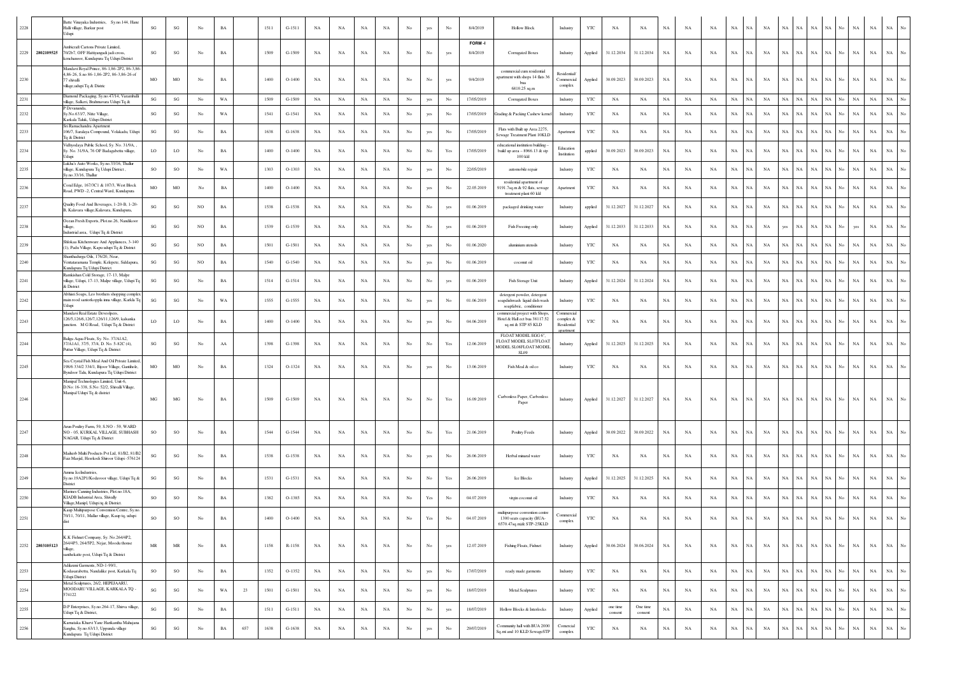| 2228 | katte Vinayaka Industries, Sy.no.144, Hane<br>Halli village, Barkur post                                                                      | SG                     | SG                                | No  | <b>BA</b>   |     | 1511 | $G-1511$ | NA          | NA          | ΝA          | NA          | No          | yes              |                  | 8/4/2019           | <b>Hollow Block</b>                                                                     | Industry                              | YTC                   | NΑ                  | NA                  | NA          | NA          | NA          | $_{\rm NA}$<br>NA          | NA          | NA          | NA          | <b>NA</b>   | NA                | NA          | $_{\rm NA}$ | NA<br>No                   |
|------|-----------------------------------------------------------------------------------------------------------------------------------------------|------------------------|-----------------------------------|-----|-------------|-----|------|----------|-------------|-------------|-------------|-------------|-------------|------------------|------------------|--------------------|-----------------------------------------------------------------------------------------|---------------------------------------|-----------------------|---------------------|---------------------|-------------|-------------|-------------|----------------------------|-------------|-------------|-------------|-------------|-------------------|-------------|-------------|----------------------------|
|      | mbicraft Cartons Private Limited,<br>2229 2802109525<br>70/2b7, OFF Hattiyangadi jadi cross,<br>cenchanoor, Kundapura Tq Udupi District       | SG                     | SG                                | No  | $_{\rm BA}$ |     | 1509 | $G-1509$ | NA          | NA          | $_{\rm NA}$ | $_{\rm NA}$ | No          | No               | yes              | FORM-I<br>8/4/2019 | Corrugated Boxes                                                                        | Industry                              | Applied               | 31.12.2034          | 31.12.2034          | $_{\rm NA}$ | NA          | $_{\rm NA}$ | $_{\rm NA}$<br>$_{\rm NA}$ | NA          | $_{\rm NA}$ | NA          | NA          | $_{\rm NA}$<br>No | NA          | NA          | NA                         |
| 2230 | Mandavi Royal Prince, 86-1,86-2P2, 86-3,86<br>,86-26, S.no 86-1,86-2P2, 86-3,86-26 of<br>7 shivalli<br>dllage, udupi Tq & Distric             | $_{\rm MO}$            | MO                                | No  | $_{\rm BA}$ |     | 1400 | $O-1400$ | NA          | NA          | $_{\rm NA}$ | NA          | $_{\rm No}$ | No               | yes              | 9/4/2019           | commercial cum residential<br>partment with shops 14 flats 36                           | Residential<br>Commercial<br>complex  | Applied               | 30.09.2023          | 30.09.2023          | $_{\rm NA}$ | NA          | $_{\rm NA}$ | $_{\rm NA}$<br>NA          | NA          | $_{\rm NA}$ | NA          | NA          | $_{\rm NA}$<br>No | NA          | NA          | NA                         |
| 2231 | Diamond Packaging, Sy.no.47/14, Varamballi                                                                                                    | SG                     | SG                                | No  | WA          |     | 1509 | $G-1509$ | NA          | NA          | NA          | NA          | No          | yes              | No               | 17/05/2019         | 6810.25 sq.m<br><b>Corrugated Boxes</b>                                                 | Industry                              | YTC                   | NA                  | NA                  | $_{\rm NA}$ | NA          | NA          | NA<br>$_{\rm NA}$          | NA          | $_{\rm NA}$ | NA          | NA          | NA<br>No          | NA          | $_{\rm NA}$ | $_{\rm NA}$<br>No          |
| 2232 | village, Salkeri, Brahmavara Udupi Tq &<br>P Devananda<br>y.No.633/7, Nitte Village,                                                          | SG                     | SG                                | No  | WA          |     | 1541 | $G-1541$ | NA          | NA          | $_{\rm NA}$ | NA          | $_{\rm No}$ | yes              | No               | 17/05/2019         | Grading & Packing Cashew kernel                                                         | Industry                              | YTC                   | NA                  | NA                  | NA          | NA          | $_{\rm NA}$ | $_{\rm NA}$<br>NA          | $_{\rm NA}$ | NA          | NA          | $_{\rm NA}$ | NA                | <b>NA</b>   | $_{\rm NA}$ | $_{\rm NA}$                |
| 2233 | Karkala Taluk, Udupi District<br>Sri Ramachandra Apartment<br>106/7, Saralaya Compound, Volakadu, Udupi                                       | SG                     | SG                                | No  | BA          |     | 1638 | $G-1638$ | NA          | NA          | NA          | NA          | No          | yes              | No               | 17/05/2019         | Flats with Built up Area 2275<br>Sewage Treatment Plant 10KLD                           | Apartment                             | YTC                   | NA                  | NA                  | $_{\rm NA}$ | NA          | NA          | NA<br>NA                   | NA          | NA          | NA          | NA          | NA<br>No          | NA          | NA          | NA                         |
| 2234 | Tq & District<br>Vidhvodava Public School, Sv. No. 31/9A,<br>Sy. No. 31/9A, 76 OF Badagabettu village,<br>Idupi                               | LO                     | $_{\rm LO}$                       | No  | BA          |     | 1400 | $O-1400$ | NA          | NA          | NA          | NA          | No          | No               | Yes              | 17/05/2019         | educational institution building -<br>build up area - 8966.13 & stp<br>$100$ kld        | Education<br>Institution              | applied               | 30.09.2023          | 30.09.2023          | NA          | NA          | NA          | $_{\rm NA}$<br>NA          | NA          | <b>NA</b>   | NA          | NA          | NA                | NA          | $_{\rm NA}$ | $_{\rm NA}$                |
| 2235 | Lukha's Auto Works, Sy.no.33/16, Thallur<br>, illage, Kundapura Tq Udupi District<br>Sy.no.33/16, Thallur                                     | SO                     | $_{\rm SO}$                       | No  | WA          |     | 1303 | $O-1303$ | NA          | NA          | $_{\rm NA}$ | $_{\rm NA}$ | $_{\rm No}$ | yes              | No               | 22/05/2019         | automobile repair                                                                       | Industry                              | YTC                   | NA                  | NA                  | $_{\rm NA}$ | NA          | $_{\rm NA}$ | $_{\rm NA}$<br>NA          | NA          | $_{\rm NA}$ | NA          | NA          | $_{\rm NA}$<br>No | NA          | $_{\rm NA}$ | $_{\rm NA}$<br>No          |
| 2236 | Coral Edge, 167/3C1 & 107/3, West Block<br>Road, PWD -2, Central Ward, Kundapura                                                              | MO                     | MO                                | No  | BA          |     | 1400 | $O-1400$ | NA          | NA          | NA          | NA          | No          | yes              | No               | 22.05.2019         | residential apartment of<br>9191.7sq.m & 92 flats, sewage<br>treatment plant 60 kld     | Apartment                             | YTC                   | NA                  | NA                  | $_{\rm NA}$ | NA          | NA          | $_{\rm NA}$<br>NA          | NA          | <b>NA</b>   | NA          | <b>NA</b>   | <b>NA</b><br>No   | <b>NA</b>   | NA          | NA                         |
| 2237 | Quality Food And Beverages, 1-20-B, 1-20-<br>3, Kalavara village, Kalavara, Kundapura,                                                        | $\mathbf{S}\mathbf{G}$ | $\mathbf{S}\mathbf{G}$            | NO  | $_{\rm BA}$ |     | 1538 | $G-1538$ | NA          | NA          | NA          | $_{\rm NA}$ | No          | No               | yes              | 01.06.2019         | packaged drinking water                                                                 | Industry                              | applied               | 31.12.2027          | 31.12.2027          | $_{\rm NA}$ | NA          | $_{\rm NA}$ | $_{\rm NA}$<br>$_{\rm NA}$ | NA          | $_{\rm NA}$ | NA          | NA          | NА<br>No          | NA          | $_{\rm NA}$ | $_{\rm NA}$<br>No          |
| 2238 | Ocean Fresh Exports, Plot.no.26, Nandikoor<br>illage.                                                                                         | SG                     | SG                                | NO  | $_{\rm BA}$ |     | 1539 | G-1539   | NA          | NA          | NA          | NA          | $_{\rm No}$ | No               | yes              | 01.06.2019         | Fish Freezing only                                                                      | Industry                              | Applied               | 31.12.2033          | 31.12.2033          | NA          | NA          | $_{\rm NA}$ | $_{\rm NA}$<br>NA          | NA          | yes         | NA          | $_{\rm NA}$ | NA                | ves         | $_{\rm NA}$ | $_{\rm NA}$                |
| 2239 | Industrial area, Udupi Tq & District<br>Shlokaa Kitchenware And Appliances, 3-140<br>(1), Padu Village, Kapu udupi Tq & District              | SG                     | SG                                | NO  | $_{\rm BA}$ |     | 1501 | $G-1501$ | NA          | NA          | NA          | NA          | $_{\rm No}$ | yes              | No               | 01.06.2020         | aluminium utensils                                                                      | Industry                              | YTC                   | NA                  | NA                  | $_{\rm NA}$ | NA          | $_{\rm NA}$ | $_{\rm NA}$<br>$_{\rm NA}$ | NA          | $_{\rm NA}$ | NA          | NA          | NA.               | NA          | $_{\rm NA}$ | $_{\rm NA}$<br>No          |
| 2240 | Shanthadurga Oils, 176/20, Near,<br>Ventataramana Temple, Kelepete, Siddapura,<br>Kundapura Tq Udupi District.                                | SG                     | $\mathbf{S}\mathbf{G}$            | NO  | $_{\rm BA}$ |     | 1540 | G-1540   | NA          | NA          | NA          | NA          | $_{\rm No}$ | yes              | No               | 01.06.2019         | coconut oil                                                                             | Industry                              | YTC                   | NA                  | NA                  | $_{\rm NA}$ | NA          | $_{\rm NA}$ | $_{\rm NA}$<br>$_{\rm NA}$ | NA          | $_{\rm NA}$ | NA          | NA          | $_{\rm NA}$<br>No | NA          | NA          | $_{\rm NA}$<br>No          |
| 2241 | Ramkishan Cold Storage, 17-13, Malpe<br>illage, Udupi, 17-13, Malpe village, Udupi Tq<br>& District                                           | SG                     | SG                                | No  | $_{\rm BA}$ |     | 1514 | $G-1514$ | NA          | NA          | NA          | NA          | No          | No               | yes              | 01.06.2019         | Fish Storage Unit                                                                       | Industry                              | Applied               | 31.12.2024          | 31.12.2024          | NA          | NA          | $_{\rm NA}$ | $_{\rm NA}$<br>NA          | NA          | <b>NA</b>   | NA          | $_{\rm NA}$ | NA                | <b>NA</b>   | NA          | $_{\rm NA}$                |
| 2242 | Abhisri Soaps, Leo brothers shopping complex<br>nain rood santorkoppla inna village, Karkla To<br>Jdupi                                       | $\mathbf{S}\mathbf{G}$ | SG                                | No  | WA          |     | 1555 | $G-1555$ | NA          | NA          | NA          | $_{\rm NA}$ | No          | yes              |                  | 01.06.2019         | detergent powder, detergent<br>soapdishwash liquid dish wash<br>soapfabric, conditioner | Industry                              | YTC                   | NA                  | NA                  | $_{\rm NA}$ | NA          | $_{\rm NA}$ | $_{\rm NA}$<br>NA          | NA          | $_{\rm NA}$ | NA          | NA          |                   | NA          | $_{\rm NA}$ | $_{\rm NA}$                |
| 2243 | Mandavi Real Estate Deveolpers,<br>126/5.126/6.126/7.126/11.126/9. kalsanka<br>unction. M G Road, Udupi Tq & District                         | LO                     | LO                                | No  | $_{\rm BA}$ |     | 1400 | $O-1400$ | NA          | NA          | NA          | NA          | $_{\rm No}$ | yes              | No               | 04.06.2019         | commercial project with Shops.<br>Hotel & Hall ect bua 38117.52<br>sq.mt & STP 85 KLD   | Commercia<br>complex &<br>Residential | YTC                   | NA                  | NA                  | NA          | NA          | $_{\rm NA}$ | $_{\rm NA}$<br>NA          | NA          | <b>NA</b>   | NA          | <b>NA</b>   | NA                | NA          | NA          | $_{\rm NA}$                |
| 2244 | kaliga Aqua Floats, Sy. No. 37/A1A2,<br>37/A1A1, 37/5, 37/4, D. No. 5-82C (4),                                                                | SG                     | SG                                | No. | ${\rm AA}$  |     | 1398 | $G-1398$ | NA          | NA          | NA          | NA          | No          | No               | Yes              | 12.06.2019         | FLOAT MODEL EGG 6".<br><b>LOAT MODEL SL07FLOAT</b><br>MODEL SL08FLOAT MODEL             | partment<br>Industry                  | Applied               | 31.12.2025          | 31.12.2025          | $_{\rm NA}$ | NA          | NA          | $_{\rm NA}$<br>NA          | NA          | NA          | NA          | <b>NA</b>   | <b>NA</b><br>No   | NA          | NA          | $_{\rm NA}$<br>No.         |
| 2245 | Puttur Village, Udupi Tq & District<br>Sea Crystal Fish Meal And Oil Private Limited<br>198/6 334/2 334/1, Bijoor Village, Ganthole,          | MO                     | MO                                | No  | $_{\rm BA}$ |     | 1324 | O-1324   | NA          | NA          | $_{\rm NA}$ | NA          | No          | yes              | No               | 13.06.2019         | SL09<br>Fish Meal & oil co                                                              | Industry                              | $_{\rm YTC}$          | NA                  | NA                  | $_{\rm NA}$ | NA          | $_{\rm NA}$ | $_{\rm NA}$<br>$_{\rm NA}$ | NA          | $_{\rm NA}$ | NA          | NA          | $_{\rm NA}$<br>No | NA          | NA          | NA<br>No                   |
|      | <b>Byndoor Talu, Kundapura Tq Udupi District</b><br>Manipal Technologies Limited, Unit-6,<br>D.No: 16-338, S.No: 52/2, Shivalli Village,      |                        |                                   |     |             |     |      |          |             |             |             |             |             |                  |                  |                    |                                                                                         |                                       |                       |                     |                     |             |             |             |                            |             |             |             |             |                   |             |             |                            |
| 2246 | Manipal Udupi Tq & district                                                                                                                   | MG                     | $_{\rm MG}$                       | No  | $_{\rm BA}$ |     | 1509 | $G-1509$ | NA          | NA          | $_{\rm NA}$ | $_{\rm NA}$ | No          | $_{\rm No}$      | Yes              | 16.09.2019         | Carbonless Paper, Carbonless<br>Paper                                                   | Industry                              | Applied               | 31.12.2027          | 31.12.2027          | $_{\rm NA}$ | NA          | $_{\rm NA}$ | NA<br>NA                   | NA          | $_{\rm NA}$ | NA          | NA          | $_{\rm NA}$<br>No | NA          | $_{\rm NA}$ | NA<br>$_{\rm No}$          |
|      | Arun Poultry Farm, 59, S.NO - 59, WARD<br>NO - 05, KURKAL VILLAGE, SUBHASH<br>NAGAR, Udupi Tq & District                                      | SO                     | SO                                | No  | $_{\rm BA}$ |     | 1544 | G-1544   | NA          | NA          | NA          | NA          | $_{\rm No}$ | $_{\rm No}$      | Yes              | 21.06.2019         | Poultry Feeds                                                                           | Industry                              | ${\Large\bf Applied}$ | 30.09.2022          | 30.09.2022          | $_{\rm NA}$ | NA          | NA          | $_{\rm NA}$<br>$_{\rm NA}$ | NA          | NA          | NA          | NA          | NA                | NA          | $_{\rm NA}$ | NA                         |
| 2248 | Maiherb Multi Products Pvt Ltd. 81/B2, 81/B<br>Faiz Masjid, Hesrkodi Shiroor Udupi -576124                                                    | SG                     | SG                                | No  | $_{\rm BA}$ |     | 1538 | G-1538   | NA          | NA          | NA          | NA          | No          | yes              | No               | 26.06.2019         | Herbal minaral water                                                                    | Industry                              | YTC                   | NA                  | NA                  | NA          | NA          | NA          | $_{\rm NA}$<br>$_{\rm NA}$ | $_{\rm NA}$ | NA          | NA          | $_{\rm NA}$ | <b>NA</b><br>No   | NA          | NA          | $_{\rm NA}$                |
| 2249 | Amma IceIndustries.<br>Sy.no.19A2P1/Kodavoor village, Udupi Tq &<br>District                                                                  | SG                     | SG                                | No  | $_{\rm BA}$ |     | 1531 | $G-1531$ | NA          | NA          | NA          | NA          | No          | No               | Yes              | 26.06.2019         | Ice Blocks                                                                              | Industry                              | Applied               | 31.12.2025          | 31.12.2025          | NA          | NA          | $_{\rm NA}$ | $_{\rm NA}$<br>NA          | NA          | NA          | NA          |             |                   | NA          | $_{\rm NA}$ | $_{\rm NA}$                |
| 2250 | Marines Canning Industries, Plot.no.18A,<br>KIADB Industrial Area, Shivally                                                                   | so                     | SO                                | No  | BA          |     | 1382 | O-1385   | NA          | NA          | NA          | NA          | No          | Yes              | No               | 04.07.2019         | virgin coconut oil                                                                      | Industry                              | YTC                   | NA                  | NA                  | NA          | NA          | NA          | $_{\rm NA}$<br>NA          | $_{\rm NA}$ | <b>NA</b>   | NA          | NA          | NA                | NA          | $_{\rm NA}$ | NA                         |
| 2251 | Village, Manipl, Udupi tq & District.<br>Kaup Multipurpose Convention Centre, Sy.no.<br>70/11, 70/11, Mallar village, Kaup tq, udupi          | $_{\rm SO}$            | $_{\rm SO}$                       | No  | $_{\rm BA}$ |     | 1400 | $O-1400$ | NA          | NA          | NA          | NA          | No          | Yes              | No               | 04.07.2019         | multipurpose convention centre<br>1300 seats capacity (BUA-<br>570.47sq.m)& STP-25KLI   | Commercia<br>complex                  | YTC                   | NA                  | NA                  | NA          | NA          | NA          | $_{\rm NA}$<br>NA          | $_{\rm NA}$ | NA          | NA          | NA          | $_{\rm NA}$<br>No | NA          | $_{\rm NA}$ | $_{\rm NA}$                |
| 2252 | .K Fishnet Company, Sy. No.264/4P2,<br>264/4P3, 264/5P2, Nejar, Moodu thonse<br>2803105123<br>illage.<br>anthekatte post, Udupi Tq & District | $\rm MR$               | $\ensuremath{\mathsf{MR}}\xspace$ | No  | $_{\rm BA}$ |     | 1158 | R-1158   | NA          | NA          | NA          | NA          | No          | $_{\rm No}$      | yes              | 12.07.2019         | Fishing Floats, Fishnet                                                                 | Industry                              | Applied               | 30.06.2024          | 30.06.2024          | $_{\rm NA}$ | NA          | NA          | $_{\rm NA}$<br>NA          | NA          | $_{\rm NA}$ | NA          | NA          | $_{\rm NA}$<br>No | NA          | $_{\rm NA}$ | $_{\rm NA}$<br>No          |
| 2253 | Adilaxmi Garments ND-1-99/1<br>Kodasarabettu, Nandalke post, Karkala Tq                                                                       | SO                     | SO                                | No  | $_{\rm BA}$ |     | 1352 | O-1352   | NA          | NA          | NA          | NA          | $_{\rm No}$ | yes              | No               | 17/07/2019         | ready made garments                                                                     | Industry                              | YTC                   | NA                  | NA                  | $_{\rm NA}$ | NA          | $_{\rm NA}$ | $_{\rm NA}$<br>$_{\rm NA}$ | NA          | NA          | $_{\rm NA}$ | NA          | NA<br>No          | NA          | $_{\rm NA}$ | $_{\rm NA}$<br>No          |
| 2254 | Jdupi District<br>Metal Sculptures, 26/2, HEPEJAARU,<br>MOODARU VILLAGE, KARKALA TQ -<br>574122                                               | $\mathbf{S}\mathbf{G}$ | $\mathbf{S}\mathbf{G}$            | No  | WA          | 23  | 1501 | $G-1501$ | $_{\rm NA}$ | $_{\rm NA}$ | NA          | NA          | No          | yes              | $_{\mathrm{No}}$ | 18/07/2019         | <b>Metal Sculptures</b>                                                                 | Industry                              | YTC                   | NA                  | NA                  | $_{\rm NA}$ | $_{\rm NA}$ | $_{\rm NA}$ | $_{\rm NA}$<br>$_{\rm NA}$ | $_{\rm NA}$ | <b>NA</b>   | NA          | $_{\rm NA}$ | $_{\rm NA}$<br>No | $_{\rm NA}$ | $_{\rm NA}$ | $_{\rm NA}$<br>$_{\rm No}$ |
| 2255 | D.P Enterprises, Sy.no.264-17, Shirva village,<br>Jdupi Tq & District,                                                                        | $\mathbf{S}\mathbf{G}$ | $\mathbf{S}\mathbf{G}$            | No  | $_{\rm BA}$ |     | 1511 | $G-1511$ | NA          | $_{\rm NA}$ | NA          | $_{\rm NA}$ | No          | $_{\mathrm{No}}$ | yes              | 18/07/2019         | Hollow Blocks & Interlocks                                                              | Industry                              | Applied               | one time<br>consent | One time<br>consent | $_{\rm NA}$ | NA          | NA          | $_{\rm NA}$<br>$_{\rm NA}$ | NA          | NA          | NA          | NA          | $_{\rm NA}$<br>No | $_{\rm NA}$ | $_{\rm NA}$ | $_{\rm NA}$<br>No.         |
| 2256 | Karnataka Kharvi Yane Harikantha Mahajana<br>Sangha, Sy.no.63/13, Uppunda village<br>Kundapura Tq Udupi District                              | SG                     | $\mathbf{S}\mathbf{G}$            | No  | $_{\rm BA}$ | 657 | 1638 | $G-1638$ | NA          | $_{\rm NA}$ | $_{\rm NA}$ | $_{\rm NA}$ | No          | yes              | No               | 29/07/2019         | Community hall with BUA 2000<br>Sq.mt and 10 KLD SewageSTP                              | Comercial<br>complex                  | YTC                   | $_{\rm NA}$         | $_{\rm NA}$         | $_{\rm NA}$ | NA          | $_{\rm NA}$ | $_{\rm NA}$<br>$_{\rm NA}$ | NA          | NA          | NA          | NA          | NA<br>No          | NA          | $_{\rm NA}$ | $_{\rm NA}$<br>No          |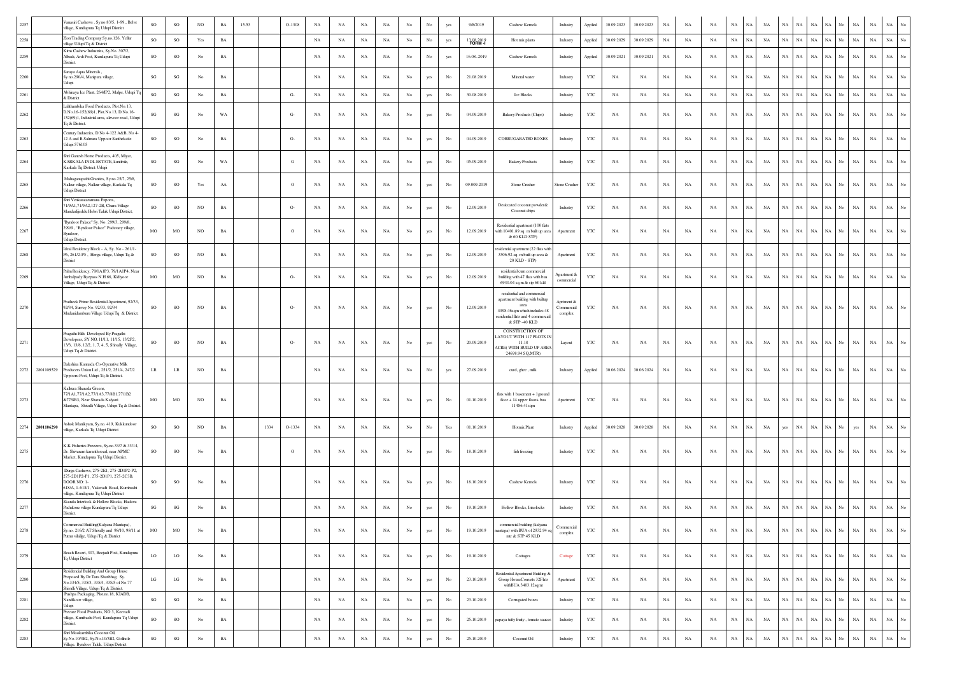| 2257     | anasiri Cashews, Sy.no.83/5, 1-99,, Belve<br>illage, Kundapura Tq Udupi District                                                                                             | SO                     | SO                     | NO.         | BA          | 15.53 |      | $O-1308$ | NA          | NA          | $_{\rm NA}$ | $_{\rm NA}$ | No               | No          | yes              | 9/8/2019    | Cashew Kernels                                                                                                                                              | Industry                            | Applied      | 30.09.2023  | 30.09.2023  | NA          | NA          | NA          | NA<br>NA                   | NA                         | NA          | NA          | NA<br>NA                                                   |                  | NA          | NA          | NA                              |  |
|----------|------------------------------------------------------------------------------------------------------------------------------------------------------------------------------|------------------------|------------------------|-------------|-------------|-------|------|----------|-------------|-------------|-------------|-------------|------------------|-------------|------------------|-------------|-------------------------------------------------------------------------------------------------------------------------------------------------------------|-------------------------------------|--------------|-------------|-------------|-------------|-------------|-------------|----------------------------|----------------------------|-------------|-------------|------------------------------------------------------------|------------------|-------------|-------------|---------------------------------|--|
| 2258     | Zion Trading Company Sy.no.126, Yellur<br>llage Udupi Tq & District                                                                                                          | $_{\rm SO}$            | $\rm SO$               | Yes         | BA          |       |      |          | $_{\rm NA}$ | NA          | $_{\rm NA}$ | $_{\rm NA}$ | $_{\mathrm{No}}$ | No          | yes              | 13082019    | Hot mix plants                                                                                                                                              | Industry                            | Applied      | 30.09.2029  | 30.09.2029  | $_{\rm NA}$ | $_{\rm NA}$ | $_{\rm NA}$ | $_{\rm NA}$<br><b>NA</b>   | $_{\rm NA}$                | $_{\rm NA}$ | NA          | $_{\rm NA}$<br>$_{\rm NA}$                                 | No               | $_{\rm NA}$ | $_{\rm NA}$ | $_{\rm NA}$<br>No               |  |
| 2259     | Kims Cashew Industries, Sy.No. 307/2,<br>Albadi, Ardi Post, Kundapura Tq Udupi<br>District.                                                                                  | SO                     | SO                     | No          | $_{\rm BA}$ |       |      |          | NA          | NA          | $_{\rm NA}$ | NA          | No               | No          | yes              | 16.08.,2019 | Cashew Kernels                                                                                                                                              | Industry                            | Applied      | 30.09.2021  | 30.09.2021  | $_{\rm NA}$ | NA          | NA          | $_{\rm NA}$<br>NA          | $_{\rm NA}$                | NA          | NA          | $_{\rm NA}$<br>NA                                          | No.              | $_{\rm NA}$ | $_{\rm NA}$ | $_{\rm NA}$                     |  |
| 2260     | arayu Aqua Minerals.<br>Sy.no.290/4, Manipura village,<br><b>Idupi</b>                                                                                                       | SG                     | $\mathbf{S}\mathbf{G}$ | No          | <b>BA</b>   |       |      |          | NA          | NA          | $_{\rm NA}$ | NA          | No               | yes         | No               | 21.08.2019  | Mineral water                                                                                                                                               | Industry                            | YTC          | NA          | NA          | $_{\rm NA}$ | NA          | NA          | $_{\rm NA}$<br>NA          | NA                         | $_{\rm NA}$ | NA          | $_{\rm NA}$<br>NA                                          | No               | <b>NA</b>   | NA          | NA                              |  |
| 2261     | Abhinaya Ice Plant, 264/IP2, Malpe, Udupi Tq<br>& District                                                                                                                   | $\mathbf{S}\mathbf{G}$ | $\mathbf{SG}$          | No          | $_{\rm BA}$ |       |      | $G-$     | NA          | NA          | $_{\rm NA}$ | $_{\rm NA}$ | $_{\mathrm{No}}$ | yes         | $_{\rm No}$      | 30.08.2019  | <b>Ice Blocks</b>                                                                                                                                           | Industry                            | $_{\rm YTC}$ | $_{\rm NA}$ | NA          | $_{\rm NA}$ | NA          | NA          | $_{\rm NA}$<br><b>NA</b>   | $_{\rm NA}$                | $_{\rm NA}$ | NA          | $_{\rm NA}$<br>$_{\rm NA}$                                 | No               | $_{\rm NA}$ | $_{\rm NA}$ | $_{\rm NA}$                     |  |
| 2262     | Lalithambika Food Products, Plot.No.13.<br>D.No.16-152(69)1, Plot.No.13, D.No.16-<br>152(69)1, Industrial area, alevoor road, Udupi<br>To & District.                        | SG                     | $\mathbf{S}\mathbf{G}$ | No          | WA          |       |      | $G-$     | $_{\rm NA}$ | NA          | NA          | NA          | $_{\rm No}$      | yes         | No               | 04.09.2019  | <b>Bakery Products (Chips)</b>                                                                                                                              | Industry                            | YTC          | NA          | NA          | $_{\rm NA}$ | NA          | NA          | $_{\rm NA}$<br><b>NA</b>   | $_{\rm NA}$                | $_{\rm NA}$ | NA          | $_{\rm NA}$<br>$_{\rm NA}$                                 | No.              | $_{\rm NA}$ | $_{\rm NA}$ | $_{\rm NA}$                     |  |
| 2263     | entury Industries, D No 4-122 A&B, No 4-<br>12 A and B Salmara Uppoor Santhekatte<br>Jdupi 576105                                                                            | SO.                    | SO                     | No          | $_{\rm BA}$ |       |      | $O-$     | NA          | NA          | NA          | NA          | No               | yes         | No               | 04.09.2019  | <b>CORRUGARATED BOXES</b>                                                                                                                                   | Industry                            | YTC          | NA          | NA          | $_{\rm NA}$ | NA          | NA          | $_{\rm NA}$<br>NA          | NA                         | NA          | NA          | NA<br>$_{\rm NA}$                                          | No.              | NA          | $_{\rm NA}$ | $_{\rm NA}$                     |  |
| 2264     | Shri Ganesh Home Products 405 Miyar<br>KARKALA INDL ESTATE, kuntibile,<br>Karkala Tq District: Udupi                                                                         | $\mathbf{SG}$          | $\mathbf{S}\mathbf{G}$ | No          | WA          |       |      | G        | NA          | NA          | $_{\rm NA}$ | NA          | No               | yes         | $_{\rm No}$      | 05.09.2019  | <b>Bakery Products</b>                                                                                                                                      | Industry                            | $_{\rm YTC}$ | NA          | NA          | NA          | NA          | NA          | $_{\rm NA}$                | $_{\rm NA}$<br>NA          | $_{\rm NA}$ | NA          | $_{\rm NA}$<br>NA                                          | No               | $_{\rm NA}$ | $_{\rm NA}$ | $_{\rm NA}$                     |  |
| 2265     | Mahaganapathi Granites, Sy.no.25/7, 25/8,<br>Nalkur village, Nalkur village, Karkala Tq<br>Idupi District                                                                    | SO.                    | SO                     | Yes         | ${\bf AA}$  |       |      | $\circ$  | NA          | NA          | $_{\rm NA}$ | NA          | No               | yes         | No               | 09.009.2019 | Stone Crusher                                                                                                                                               | Stone Crusher                       | YTC          | NA          | NA          | NA          | NA          | NA          | $_{\rm NA}$<br><b>NA</b>   | NA                         | $_{\rm NA}$ | <b>NA</b>   | $_{\rm NA}$<br>NA                                          | No               | NA          | $_{\rm NA}$ | NA                              |  |
| 2266     | Shri Venkatataramana Exports,<br>71/9A1,71/9A2,127-2B, Chara Village<br>Aandadijeddu Hebri Taluk Udupi District,                                                             | SO                     | SO                     | NO          | $_{\rm BA}$ |       |      | $O-$     | $_{\rm NA}$ | NA          | $_{\rm NA}$ | $_{\rm NA}$ | $_{\rm No}$      | yes         | $_{\rm No}$      | 12.09.2019  | Desiccated coconut powder&<br>Coconut chips                                                                                                                 | Industry                            | $_{\rm YTC}$ | $_{\rm NA}$ | $_{\rm NA}$ | $_{\rm NA}$ | $_{\rm NA}$ | NA          | NA<br>NA                   | $_{\rm NA}$                | $_{\rm NA}$ | NA          | $_{\rm NA}$<br>$_{\rm NA}$                                 | No               | $_{\rm NA}$ | $_{\rm NA}$ | $_{\rm NA}$<br>No               |  |
| 2267     | 'Byndoor Palace" Sy. No. 299/3, 299/8,<br>299/9, "Byndoor Palace" Paduvary village,<br>Byndoor,<br>Udupi District.                                                           | MO                     | $_{\rm MO}$            | NO          | $_{\rm BA}$ |       |      | $\circ$  | NA          | NA          | $_{\rm NA}$ | NA          | No               | yes         | No               | 12.09.2019  | Residential apartment (100 flats<br>with 10401.89 sq. m built up area<br>& 60 KLD STP)                                                                      | Apartment                           | $_{\rm YTC}$ | NA          | NA          | $_{\rm NA}$ | NA          | NA          | $_{\rm NA}$<br>NA          | $_{\rm NA}$                | $_{\rm NA}$ | NA          | $_{\rm NA}$<br>$_{\rm NA}$                                 | No.              | $_{\rm NA}$ | $_{\rm NA}$ | $_{\rm NA}$                     |  |
| 2268     | Ideal Residency Block - A, Sy. No - 261/1-<br>P6, 261/2-P5, Herga village, Udupi Tq &<br>District                                                                            | $_{\rm SO}$            | $\rm SO$               | NO          | $_{\rm BA}$ |       |      |          | NA          | NA          | $_{\rm NA}$ | NA          | No               | yes         | $_{\rm No}$      | 12.09.2019  | idential apartment (22 flats with<br>3506.92 sq. m built up area &<br>20 KLD - STP)                                                                         | Apartment                           | $_{\rm YTC}$ | NA          | NA          | $_{\rm NA}$ | NA          | NA          | $_{\rm NA}$<br><b>NA</b>   | $_{\rm NA}$                | $_{\rm NA}$ | NA          | $_{\rm NA}$<br>NA                                          | No.              | NA          | $_{\rm NA}$ | $_{\rm NA}$                     |  |
| 2269     | Palm Residency, 79/1A1P3, 79/1A1P4, Near<br>Ambalpady Byepass N.H 66, Kidiyoor<br>Village, Udupi Tq & District                                                               | MO                     | MO                     | NO          | BA          |       |      | $O-$     | NA          | NA          | $_{\rm NA}$ | NA          | No               | yes         | No               | 12.09.2019  | residential cum commercial<br>building with 47 flats with bua<br>6930.04 sq.m & stp 60 kkl                                                                  | partment &<br>commercial            | YTC          | NA          | NA          | NA          | NA          | NA          | NA<br>NA                   | $_{\rm NA}$                | $_{\rm NA}$ | NA          | $_{\rm NA}$<br>NA                                          | No               | $_{\rm NA}$ | $_{\rm NA}$ | $_{\rm NA}$<br>No               |  |
| 2270     | Pratheek Prime Residential Apartment, 92/33,<br>92/34, Survey No. 92/33, 92/34<br>Mudanidamburu Village Udupi Tq & District.                                                 | SO                     | SO                     | NO.         | BA          |       |      | $O-$     | NA          | NA          | $_{\rm NA}$ | NA          | No               | yes         | No               | 12.09.2019  | residential and commercial<br>apartment building with builtup<br>area<br>4098.46sqm which includes 48<br>esidential flats and 4 commercial<br>& STP -40 KLD | Aprtment &<br>Commercial<br>complex | YTC          | NA          | NA          | NA          | NA          | NA          | NA<br>NA                   | NA                         | NA          | NA          | NA<br>NA                                                   |                  | NA          | NA          | NA                              |  |
| 2271     | ragathi Hills Developed By Pragathi<br>Developers, SY NO.11/11, 11/15, 13/2P2,<br>13/3, 13/6, 12/2, 1, 7, 4, 5, Shivally Village,<br>dupi Tq & District.                     | SO                     | SO                     | NO          | $_{\rm BA}$ |       |      | $O-$     | NA          | NA          | $_{\rm NA}$ | $_{\rm NA}$ | $_{\rm No}$      | yes         | No               | 20.09.2019  | <b>CONSTRUCTION OF</b><br>AYOUT WITH 117 PLOTS IN<br>11.18<br>CRE(WITH BUILD UP AREA<br>24698.94 SO.MTR)                                                    | Layout                              | YTC          | NA          | NA          | NA          | NA          | NA          | NA                         | NA<br>NA                   | $_{\rm NA}$ | NA          | $_{\rm NA}$<br>NA                                          | No               | NA          | NA          | NA                              |  |
|          | Dakshina Kannada Co-Operative Milk<br>2272 2801109529<br>Producers Union Ltd., 251/2, 251/4, 247/2<br>Jppooru Post, Udupi Tq & District.                                     | $\rm LR$               | LR                     | NO          | $_{\rm BA}$ |       |      |          | $_{\rm NA}$ | NA          | $_{\rm NA}$ | $_{\rm NA}$ | $_{\rm No}$      | $_{\rm No}$ | yes              | 27.09.2019  | curd, ghee, mik                                                                                                                                             | Industry                            | Applied      | 30.06.2024  | 30.06.2024  | $_{\rm NA}$ | NA          | NA          | NA                         | NA<br>$_{\rm NA}$          | $_{\rm NA}$ | NA          | $_{\rm NA}$<br>$_{\rm NA}$                                 | No.              | $_{\rm NA}$ | NA          | $_{\rm NA}$                     |  |
| 2273     | Calkura Sharada Greens,<br>77/1A1,77/1A2,77/1A3,77/8B1,77/1B2<br>&77/8B3, Near Sharada Kalyani<br>Mantapa, Shivalli Village, Udupi Tq & District.                            | MO                     | MO                     | NO          | $_{\rm BA}$ |       |      |          | $_{\rm NA}$ | NA          | $_{\rm NA}$ | $_{\rm NA}$ | $_{\rm No}$      | yes         | $_{\rm No}$      | 01.10.2019  | flats with 1 basement + 1 ground<br>floor + 14 upper floor+ bua<br>11486.41sqm                                                                              | Apartment                           | YTC          | NA          | NA          | $_{\rm NA}$ | NA          | NA          | NA                         | NA<br>NA                   | NA          | NA          | NA<br>NA                                                   | No               | $_{\rm NA}$ | NA          | NA<br>No                        |  |
| 2274     | shok Manikyam, Sy.no. 419, Kukkundoor<br>2801106290<br>illage, Karkala Tq Udupi District                                                                                     | SO                     | $\rm SO$               | NO          | $_{\rm BA}$ |       | 1334 | O-1334   | $_{\rm NA}$ | NA          | $_{\rm NA}$ | $_{\rm NA}$ | $_{\mathrm{No}}$ | $_{\rm No}$ | Yes              | 01.10.2019  | Hotmix Plant                                                                                                                                                | Industry                            | Applied      | 30.09.2028  | 30.09.2028  | $_{\rm NA}$ | NA          | NA          | NA                         | NA<br>$_{\rm NA}$          | yes         | NA          | $_{\rm NA}$<br>NA                                          | No               | yes         | $_{\rm NA}$ | NA<br>No                        |  |
| 2275     | LK Fisheries Freezers, Sy.no.33/7 & 33/14,<br>Dr. Shivaram karanth road, near APMC<br>Market, Kundapura Tq Udupi District.                                                   | SO.                    | SO                     | No          | $_{\rm BA}$ |       |      | $\circ$  | NA          | NA          | NA          | NA          | $_{\rm No}$      | yes         | $_{\rm No}$      | 18.10.2019  | fish freezing                                                                                                                                               | Industry                            | YTC          | NA          | NA          | NA          | NA          | NA          | $_{\rm NA}$                | NA<br><b>NA</b>            | $_{\rm NA}$ | NA          | $_{\rm NA}$<br>$_{\rm NA}$                                 | No.              | $_{\rm NA}$ | $_{\rm NA}$ | $_{\rm NA}$                     |  |
| 2276     | Durga Cashews, 275-2E1, 275-2D1P2-P2,<br>275-2DIP2-P1, 275-2DIP1, 275-2C3B,<br>DOOR NO: 1-<br>618/A, 1-618/1, Vakwadi Road, Kumbashi<br>village, Kundapura Tq Udupi District | SO.                    | SO                     | No          | $_{\rm BA}$ |       |      |          | NA          | NA          | NA          | NA          | $_{\rm No}$      | yes         | No               | 18.10.2019  | Cashew Kernels                                                                                                                                              | Industry                            | YTC          | NA          | NA          | NA          | NA          | NA          | $_{\rm NA}$<br>NA          | $_{\rm NA}$                | $_{\rm NA}$ | NA          | $_{\rm NA}$<br>NA                                          | No               | $_{\rm NA}$ | $_{\rm NA}$ | $_{\rm NA}$                     |  |
| 2277     | Skanda Interlock & Hollow Blocks, Hadavu<br>Padukone village Kundapura Tq Udupi<br>District.                                                                                 | SG                     | $\mathbf{S}\mathbf{G}$ | $_{\rm No}$ | $_{\rm BA}$ |       |      |          | NA          | NA          | $_{\rm NA}$ | $_{\rm NA}$ | $_{\rm No}$      | yes         | $_{\rm No}$      | 19.10.2019  | Hollow Blocks, Interlocks                                                                                                                                   | Industry                            | YTC          | NA          | NA          | $_{\rm NA}$ | NA          | NA          | $_{\rm NA}$<br>NA          | $_{\rm NA}$                | $_{\rm NA}$ | NA          | $_{\rm NA}$<br>NA                                          | Vo.              | $_{\rm NA}$ | $_{\rm NA}$ | $_{\rm NA}$                     |  |
| 2278     | ommercial Building Kalvana Mantapa) .<br>Sy.no. 216/2 AT Shivally and 98/10, 98/11 at<br>Puttur vilallge, Udupi Tq & District                                                | MO                     | $_{\rm MO}$            | No          | $_{\rm BA}$ |       |      |          | $_{\rm NA}$ | $_{\rm NA}$ | $_{\rm NA}$ | $_{\rm NA}$ | $_{\mathrm{No}}$ | yes         | $_{\rm No}$      | 19.10.2019  | commercial building (kalyana<br>antapa) with BUA of 2932.94 sq<br>mtr & STP 45 KLD                                                                          | Commercial<br>complex               | $_{\rm YTC}$ | $_{\rm NA}$ | $_{\rm NA}$ | $_{\rm NA}$ | $_{\rm NA}$ | NA          | $_{\rm NA}$                | $_{\rm NA}$<br>$_{\rm NA}$ |             |             | $\rm NA$ $\rm NA$ $\rm NA$ $\rm NA$ $\rm N$ $\rm No$       |                  | $_{\rm NA}$ | $_{\rm NA}$ | $\rm NA-\,No$                   |  |
| 2279     | Beach Resort, 307, Beejadi Post, Kundapura<br>Tq Udupi District                                                                                                              | LO                     | $_{\rm LO}$            | No          | $_{\rm BA}$ |       |      |          | NA          | NA          | NA          | NA          | No               | yes         | $_{\mathrm{No}}$ | 19.10.2019  | Cottages                                                                                                                                                    | Cottage                             | YTC          | NA          | NA          | $_{\rm NA}$ | NA          | NA          | $_{\rm NA}$                | $_{\rm NA}$<br>NA          | NA          | NA          | $_{\rm NA}$<br>$\rm NA$                                    | $_{\mathrm{No}}$ | NA          | $_{\rm NA}$ | $_{\rm NA}$<br>$_{\rm No}$      |  |
| 2280     | Residencial Building And Group House<br>Proposed By Dr. Tara Shanbhag, Sy.<br>Vo.334/5, 335/3, 335/4, 335/5 of No.77<br>Shivalli Village, Udupi Tq & District.               | LG                     | $_{\rm LG}$            | No          | $_{\rm BA}$ |       |      |          | NA          | NA          | $_{\rm NA}$ | NA          | $_{\rm No}$      | yes         | $_{\mathrm{No}}$ | 23.10.2019  | Residential Apartment Building &<br>Group HouseConsists 32Flats<br>withBUA 3403.12sqmt                                                                      | Apartment                           | YTC          | NA          | NA          | $_{\rm NA}$ | NA          | NA          | $_{\rm NA}$<br>NA          | $_{\rm NA}$                | NA          | NA          | $_{\rm NA}$<br>$_{\rm NA}$                                 | $_{\rm No}$      | $_{\rm NA}$ | $_{\rm NA}$ | $_{\rm NA}$<br>$_{\rm No}$      |  |
| $2281\,$ | Pushpa Packaging, Plot.no.18, KIADB,<br>Nandikoor village,<br>Jdupi                                                                                                          | SG                     | $\mathbf{S}\mathbf{G}$ | No          | $_{\rm BA}$ |       |      |          | $_{\rm NA}$ | NA          | $_{\rm NA}$ | $_{\rm NA}$ | $_{\mathrm{No}}$ | yes         | $_{\rm No}$      | 23.10.2019  | Corrugated boxes                                                                                                                                            | Industry                            | $_{\rm YTC}$ | $_{\rm NA}$ | $_{\rm NA}$ | $_{\rm NA}$ | $_{\rm NA}$ | NA          | NA                         | $_{\rm NA}$<br>NA          | $_{\rm NA}$ | $_{\rm NA}$ | $_{\rm NA}$<br>$\mathbf{NA}$                               | No               | $_{\rm NA}$ | $_{\rm NA}$ | $_{\rm NA}$<br>$_{\rm No}$      |  |
| 2282     | Precare Food Products, NO 3, Korvadi<br>village, Kumbashi Post, Kundapura Tq Udupi<br>District.                                                                              | SO                     | SO                     | No          | $_{\rm BA}$ |       |      |          | NA          | NA          | $_{\rm NA}$ | $_{\rm NA}$ | $_{\rm No}$      | yes         | No               | 25.10.2019  | papaya tutty fruity, tomato sauces                                                                                                                          | Industry                            | YTC          | NA          | NA          | $_{\rm NA}$ | NA          | NA          | $_{\rm NA}$<br>$_{\rm NA}$ | NA                         | $_{\rm NA}$ | $_{\rm NA}$ | $_{\rm NA}$<br>$_{\rm NA}$                                 | No               | $_{\rm NA}$ | $_{\rm NA}$ | $_{\rm NA}$<br>No               |  |
| 2283     | Shri Mookambika Coconut Oil,<br>Sy.No.10/3B2, Sy.No.10/3B2, Golihole<br>Village, Byndoor Taluk, Udupi District                                                               | $\mathbf{S}\mathbf{G}$ | $\mathbf{SG}$          | $_{\rm No}$ | $_{\rm BA}$ |       |      |          | $_{\rm NA}$ | $_{\rm NA}$ | $_{\rm NA}$ | $_{\rm NA}$ | $_{\mathrm{No}}$ | yes         | $_{\rm No}$      | 25.10.2019  | Coconut Oil                                                                                                                                                 | Industry                            | $_{\rm YTC}$ | $_{\rm NA}$ | $_{\rm NA}$ | $_{\rm NA}$ | $_{\rm NA}$ | $_{\rm NA}$ | $_{\rm NA}$                | $_{\rm NA}$<br>$_{\rm NA}$ | NA          |             | $\mathrm{NA}$ $ \mathrm{NA}$ $ \mathrm{NA}$ $ \mathrm{No}$ |                  | NA          | $_{\rm NA}$ | $_{\rm NA}$<br>$_{\mathrm{No}}$ |  |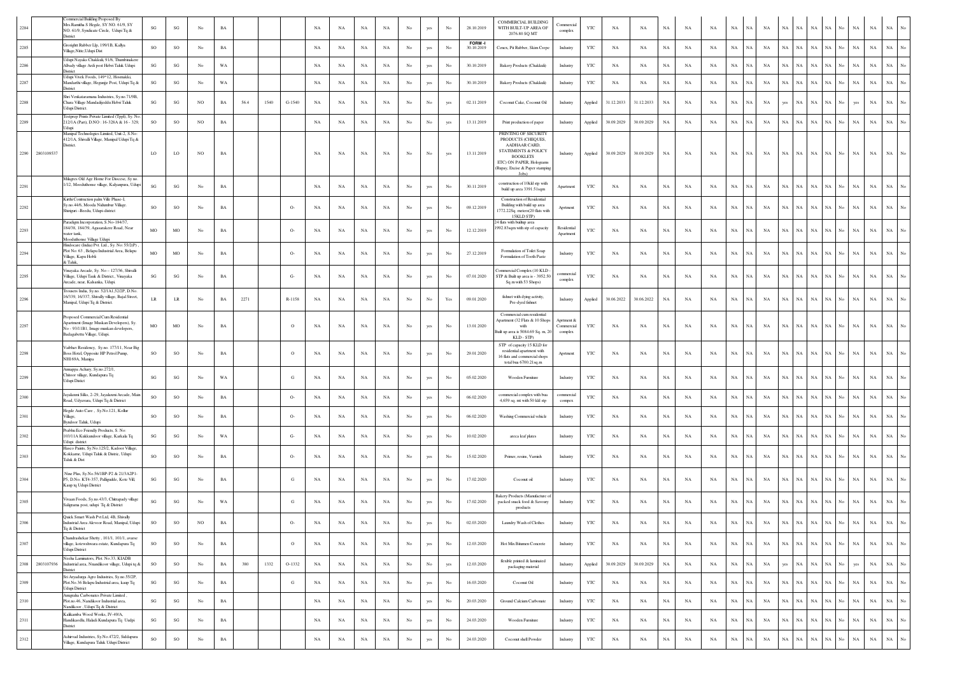| 2284 |                 | ommercial Building Proposed By<br>Mrs.Ramitha S Hegde, SY NO. 61/9, SY<br>NO. 61/9, Syndicate Circle, Udupi Tq &<br><b>District</b>                     | SG                     | $\mathbf{SG}$          | No               | $_{\rm BA}$ |      |      |          | NA          | NA          | NA          | NA          | No               | yes         | No          | 28.10.2019           | COMMERCIAL BUILDING<br>WITH BUILT-UP AREA OF<br>2076.80 SO MT                                                          | <b>Commercial</b><br>complex        | YTC     | NA          | NA          | NA          | NA          | NA          | $_{\rm NA}$ | NA          | $_{\rm NA}$ | $_{\rm NA}$ | $_{\rm NA}$<br>$_{\rm NA}$ | NA                         | No                 | NA          | $_{\rm NA}$ | $_{\rm NA}$<br>No               |
|------|-----------------|---------------------------------------------------------------------------------------------------------------------------------------------------------|------------------------|------------------------|------------------|-------------|------|------|----------|-------------|-------------|-------------|-------------|------------------|-------------|-------------|----------------------|------------------------------------------------------------------------------------------------------------------------|-------------------------------------|---------|-------------|-------------|-------------|-------------|-------------|-------------|-------------|-------------|-------------|----------------------------|----------------------------|--------------------|-------------|-------------|---------------------------------|
| 2285 |                 | Grorightt Rubber Llp, 199/1B, Kallya<br>Village, Nitte, Udupi Dist                                                                                      | SO                     | $_{\rm SO}$            | No               | $_{\rm BA}$ |      |      |          | NA          | NA          | $_{\rm NA}$ | $_{\rm NA}$ | $_{\rm No}$      | yes         | No          | FORM-I<br>30.10.2019 | Cenex, Pit Rubber, Skim Crepe                                                                                          | Industry                            | YTC     | $_{\rm NA}$ | NA          | $_{\rm NA}$ | NA          | NA          | $_{\rm NA}$ | $_{\rm NA}$ | NA          | $_{\rm NA}$ | NA<br>$_{\rm NA}$          | NA                         | No                 | NA          | $_{\rm NA}$ | $_{\rm NA}$<br>No               |
| 2286 |                 | Udupi Nayaks Chakkuli, 91/6, Thumbinakere<br>Albady village Ardi post Hebri Taluk Udupi<br>District                                                     | SG                     | SG                     | No               | WA          |      |      |          | NA          | NA          | $_{\rm NA}$ | $_{\rm NA}$ | No               | yes         | No          | 30.10.2019           | Bakery Products (Chakkuli)                                                                                             | Industry                            | YTC     | $_{\rm NA}$ | NA          | $_{\rm NA}$ | NA          | NA          | $_{\rm NA}$ | NA          | NA          | $_{\rm NA}$ | $_{\rm NA}$<br>$_{\rm NA}$ | NA                         | No                 | NA          | $_{\rm NA}$ | $_{\rm NA}$<br>No               |
| 2287 |                 | Udupi Vivek Foods, 149*12, Hosmakki,<br>Iandarthi village, Hegunjje Post, Udupi Tq &<br>District                                                        | SG                     | $\mathbf{SG}$          | $_{\rm No}$      | WA          |      |      |          | $_{\rm NA}$ | NA          | $_{\rm NA}$ | $_{\rm NA}$ | $_{\rm No}$      | yes         | No          | 30.10.2019           | Bakery Products (Chakkuli)                                                                                             | Industry                            | YTC     | $_{\rm NA}$ | NA          | $_{\rm NA}$ | NA          | NA          | $_{\rm NA}$ | NA          | NA          | $_{\rm NA}$ | NA<br>$_{\rm NA}$          | NA                         | No                 | NA          | $_{\rm NA}$ | NA                              |
| 2288 |                 | Shri Venkataramana Industries, Sy.no.71/9B,<br>Chara Village Mandadijeddu Hebri Taluk<br>Udupi District.                                                | SG                     | SG                     | NO               | $_{\rm BA}$ | 56.4 | 1540 | $G-1540$ | NA          | NA          | $_{\rm NA}$ | $_{\rm NA}$ | $_{\rm No}$      | No          | yes         | 02.11.2019           | Coconut Cake, Coconut Oil                                                                                              | Industry                            | Applied | 31.12.2033  | 31.12.2033  | $_{\rm NA}$ | NA          | NA          | $_{\rm NA}$ | NA          | NA          | yes         | NA<br>$_{\rm NA}$          | NA                         | No                 | yes         | $_{\rm NA}$ | $_{\rm NA}$                     |
| 2289 |                 | Festprep Prints Private Limited (TppI), Sy. No<br>212/1A (Part), D.NO: 16-328A & 16 - 329,<br>Jdupi                                                     | SO                     | $_{\rm SO}$            | NO               | $_{\rm BA}$ |      |      |          | NA          | NA          | $_{\rm NA}$ | NA          | No               | No          | yes         | 13.11.2019           | Print production of paper                                                                                              | Industry                            | Applied | 30.09.2029  | 30.09.2029  | NA          | NA          | NA          | $_{\rm NA}$ | NA          | NA          | NA          | $_{\rm NA}$                | $_{\rm NA}$<br>NA          | No                 | $_{\rm NA}$ | $_{\rm NA}$ | $_{\rm NA}$<br>No               |
|      |                 | Manipal Technologies Limited, Unit-2, S.No.<br>412/1A, Shivalli Village, Manipal Udupi Tq &<br>listrict.                                                |                        |                        |                  |             |      |      |          |             |             |             |             |                  |             |             |                      | PRINTING OF SECURITY<br>PRODUCTS (CHEQUES,<br>AADHAAR CARD,                                                            |                                     |         |             |             |             |             |             |             |             |             |             |                            |                            |                    |             |             |                                 |
|      | 2290 2803109537 |                                                                                                                                                         | LO                     | LO                     | NO               | $_{\rm BA}$ |      |      |          | $_{\rm NA}$ | NA          | $_{\rm NA}$ | $_{\rm NA}$ | $_{\rm No}$      | $_{\rm No}$ | yes         | 13.11.2019           | STATEMENTS & POLICY<br><b>BOOKLETS</b><br>ETC) ON PAPER, Holograms<br>(Rupay, Excise & Paper stamping<br>Lobe)         | Industry                            | Applied | 30.09.2029  | 30.09.2029  | $_{\rm NA}$ | NA          | NA          | NA          | NA          | NA          | NA          | NA                         | NA                         | $NA$ $No$          | NA          | $_{\rm NA}$ | NA<br>$_{\mathrm{No}}$          |
| 2291 |                 | Milagres Old Age Home For Diocese, Sy no<br>/12, Mooduthonse village, Kalyanpura, Udupi                                                                 | SG                     | $\mathbf{SG}$          | No               | $_{\rm BA}$ |      |      |          | NA          | NA          | $_{\rm NA}$ | $_{\rm NA}$ | $_{\rm No}$      | yes         | No          | 30.11.2019           | construction of 10kkl stp with<br>build up area 3391.51sqm                                                             | Apartment                           | YTC     | NA          | NA          | $_{\rm NA}$ | NA          | NA          | NA          | NA          | NA          | $_{\rm NA}$ | $_{\rm NA}$                | NA<br>NA                   | No.                | NA          | $_{\rm NA}$ | NA                              |
| 2292 |                 | Kirthi Contruction palm Ville Phase-I,<br>Sy.no.44/6, Mooda Nidumbur Village.<br>Shiriguri - Beedu, Udupi-district                                      | SO                     | SO                     | No               | $_{\rm BA}$ |      |      | $O-$     | NA          | NA          | $_{\rm NA}$ | NA          | No               | yes         | No          | 09.12.2019           | <b>Construction of Residential</b><br>Building with build up area<br>1772.22Sq. meters(20 flats with<br>15KLD STP)     | Aprtment                            | YTC     | NA          | NA          | NA          | NA          | NA          | $_{\rm NA}$ | <b>NA</b>   | NA          | NA          | $_{\rm NA}$<br>$_{\rm NA}$ | NA                         | No.                | NA          | $_{\rm NA}$ | $_{\rm NA}$<br>No               |
| 2293 |                 | Paradigm Incorporation, S.No-184/37,<br>184/38, 184/39, Agasarakere Road, Near<br>water tank,                                                           | MO                     | MO                     | $_{\rm No}$      | $_{\rm BA}$ |      |      | $O-$     | NA          | NA          | $_{\rm NA}$ | $_{\rm NA}$ | $_{\rm No}$      | yes         | No          | 12.12.2019           | 4 flats with builtup area<br>992.83sqm with stp of capacity                                                            | Residential<br>Apartmen             | YTC     | NA          | NA          | $_{\rm NA}$ | NA          | NA          | $_{\rm NA}$ | NA          | NA          | NA          | $_{\rm NA}$                | $_{\rm NA}$<br>NA          | No                 | NA          | $_{\rm NA}$ | $_{\rm NA}$<br>No               |
| 2294 |                 | Mooduthonse Village Udupi<br>Hindocare (India) Pvt. Ltd., Sy. No: 55/2(P)<br>Plot No: 63, Belapu Industrial Area, Belapu<br>Village, Kapu Hobli         | MO                     | MO                     | No               | BA          |      |      | $O-$     | NA          | NA          | $_{\rm NA}$ | NA          | No               | yes         | $_{\rm No}$ | 27.12.2019           | Formulation of Toilet Soap<br>Formulation of Tooth Paste                                                               | Industry                            | YTC     | $_{\rm NA}$ | NA          | NA          | NA          | NA          | NA          | NA.         | NA          | NA          | NA                         | NA<br>NA                   | No                 | NA          | NA          | NA                              |
| 2295 |                 | & Taluk.<br>Vinayaka Arcade, Sy. No - 127/36, Shivalli<br>Village, Udupi Tauk & District., Vinayaka<br>Arcade, near, Kalsanka, Udupi.                   | SG                     | $\mathbf{S}\mathbf{G}$ | No               | $_{\rm BA}$ |      |      | $G-$     | NA          | NA          | $_{\rm NA}$ | $_{\rm NA}$ | $_{\rm No}$      | yes         | No          | 07.01.2020           | ommercial Complex (10 KLD<br>TP & Built up area is - 3952.50<br>Sq.m with 53 Shops)                                    | ommercial<br>complex                | YTC     | $_{\rm NA}$ | NA          | $_{\rm NA}$ | NA          | NA          | $_{\rm NA}$ | NA          | NA          | NA          | $_{\rm NA}$<br>$_{\rm NA}$ | NA                         | No                 | NA          | $_{\rm NA}$ | NA<br>No                        |
| 2296 |                 | Frousers India, Sy.no. 52/1A1,52/2P, D.No.<br>16/339, 16/337, Shivally village, Bajal Street,<br>Manipal, Udupi Tq & District.                          | LR.                    | $_{\rm LR}$            | No               | BA          | 2271 |      | R-1158   | NA          | NA          | NA          | NA          | No               | No          | Yes         | 09.01.2020           | fishnet with dying activity,<br>Pre-dyed fishnet                                                                       | Industry                            | Applied | 30.06.2022  | 30.06.2022  | NA          | NA          | NA          | NA          | NA          | NA          | NA          | NA<br>NA                   | NA.                        | No                 | NA          | $_{\rm NA}$ | $_{\rm NA}$<br>No               |
| 2297 |                 | roposed Commercial Cum Residential<br>Apartment (Image Muskan Developers), Sy.<br>No - 93/11B1, Image muskan developers,<br>Badagabettu Village, Udupi. | MO                     | MO                     | $_{\mathrm{No}}$ | $_{\rm BA}$ |      |      | $\circ$  | NA          | NA          | $_{\rm NA}$ | $_{\rm NA}$ | $_{\rm No}$      | yes         | $_{\rm No}$ | 13.01.2020           | Commercial cum residential<br>partment (32 Flats & 10 Shop<br>with<br>Built up area is 5084.69 Sq. m, 20<br>KLD - STP) | Aprtment &<br>Commercial<br>complex | YTC     | NA          | NA          | $_{\rm NA}$ | NA          | NA          | $_{\rm NA}$ | NA          | NA          | NA          | NA                         | NA<br>NA                   | No                 | NA          | $_{\rm NA}$ | NA<br>No                        |
| 2298 |                 | Vaibhav Residency, Sy.no. 177/11, Near Big<br>Boss Hotel, Opposite HP Petrol Pump,<br>NH169A, Manipa                                                    | <b>SO</b>              | $SO$                   | No               | $_{\rm BA}$ |      |      | $\circ$  | NA          | NA          | NA          | NA          | No               | yes         | No          | 29.01.2020           | STP of capacity 15 KLD for<br>residential apartment with<br>16 flats and commercial shops                              | Aprtment                            | YTC     | NA          | NA          | <b>NA</b>   | NA          | NA          | $_{\rm NA}$ | NA          | NA          | NA          | $_{\rm NA}$<br>NA          | NA                         | No.                | NA          | $_{\rm NA}$ | $\rm NA-\rm No$                 |
| 2299 |                 | Annappa Achary, Sy.no.272/1,<br>Chitoor village, Kundapura Tq<br>Udupi Distict                                                                          | SG                     | $\mathbf{S}\mathbf{G}$ | No               | WA          |      |      | G        | NA          | NA          | $_{\rm NA}$ | NA          | No               | yes         | $_{\rm No}$ | 05.02.2020           | total bua 6700.21sq.m<br>Wooden Furniture                                                                              | Industry                            | YTC     | NA          | NA          | NA          | NA          | NA          | $_{\rm NA}$ | <b>NA</b>   | NA          | NA          | <b>NA</b>                  | $_{\rm NA}$<br>NA          | No                 | NA          | $_{\rm NA}$ | <b>NA</b>                       |
| 2300 |                 | Jayalaxmi Silks, 2-29, Jayalaxmi Arcade, Mai<br>Road, Udyavara, Udupi Tq & District                                                                     | SO                     | $_{\rm SO}$            | $_{\rm No}$      | $_{\rm BA}$ |      |      | $O-$     | $_{\rm NA}$ | NA          | $_{\rm NA}$ | $_{\rm NA}$ | $_{\rm No}$      | yes         | $_{\rm No}$ | 06.02.2020           | commercial complex with bua<br>4,659 sq. mt with 50 kkl stp                                                            | ommercial<br>compex                 | YTC     | NA          | NA          | $_{\rm NA}$ | NA          | NA          | $_{\rm NA}$ | NA          | NA          | $_{\rm NA}$ | $_{\rm NA}$                | $_{\rm NA}$<br>NA          | No.                | NA          | $_{\rm NA}$ | $_{\rm NA}$<br>$_{\rm No}$      |
| 2301 |                 | Hegde Auto Care, Sy.No.121, Kollur<br>Village.                                                                                                          | <b>SO</b>              | SO                     | No               | $_{\rm BA}$ |      |      | $O-$     | NA          | NA          | NA          | NA          | No.              | yes         | No          | 06.02.2020           | Washing Commercial vehicle                                                                                             | Industry                            | YTC     | <b>NA</b>   | NA          | NA          | NA          | NA          | $_{\rm NA}$ | NA.         | NA          | NA          | NA.<br>$_{\rm NA}$         | NA                         | No.                | NA          | NA          | NA                              |
| 2302 |                 | Byndoor Taluk, Udupi<br>Prabhu Eco Friendly Products, S. No.<br>103/11A Kukkundoor village, Karkala Tq<br>Udupi district                                | SG                     | SG                     | No               | WA          |      |      | G-       | NA          | NA          | $_{\rm NA}$ | $_{\rm NA}$ | No               | yes         | No          | 10.02.2020           | areca leaf plates                                                                                                      | Industry                            | YTC     | NA          | NA          | $_{\rm NA}$ | NA          | NA          | NA          | $_{\rm NA}$ | NA          | $_{\rm NA}$ | NA<br>$_{\rm NA}$          |                            |                    | NA          | $_{\rm NA}$ | NA<br>No                        |
| 2303 |                 | Hasco Paints, Sy.No.125/2, Kadoor Village,<br>Kokkame, Udupi Taluk & Distric, Udupi<br>Taluk & Dist                                                     | SO                     | SO                     | No               | $_{\rm BA}$ |      |      | $O-$     | NA          | NA          | $_{\rm NA}$ | $_{\rm NA}$ | $_{\rm No}$      | yes         | No          | 15.02.2020           | Primer, resins, Vamish                                                                                                 | Industry                            | YTC     | $_{\rm NA}$ | NA          | $_{\rm NA}$ | NA          | NA          | $_{\rm NA}$ | $_{\rm NA}$ | NA          | NA          | $_{\rm NA}$<br>$_{\rm NA}$ | NA                         | No                 | NA          | $_{\rm NA}$ | $_{\rm NA}$                     |
| 2304 |                 | Nine Plus, Sy.No.56/1BP-P2 & 21/3A2P1-<br>P5, D.No. KT4-357, Palligudde, Kote Vill,<br>Kaup tq Udupi District                                           | SG                     | $\mathbf{SG}$          | No               | $_{\rm BA}$ |      |      | G        | NA          | NA          | NA          | NA          | No.              | yes         | No          | 17.02.2020           | Coconut oil                                                                                                            | Industry                            | YTC     | NA          | NA          | $_{\rm NA}$ | NA          | NA          | $_{\rm NA}$ | <b>NA</b>   | NA          | NA          | NA                         | $_{\rm NA}$<br>NA          | No                 | <b>NA</b>   | $_{\rm NA}$ | $_{\rm NA}$<br>$_{\rm No}$      |
| 2305 |                 | Vivaan Foods, Sy.no.43/3, Chitrapady village<br>Saligrama post, udupi Tq & District                                                                     | SG                     | $\mathbf{SG}$          | No               | WA          |      |      | G        | NA          | NA          | $_{\rm NA}$ | NA          | No               | yes         | No          | 17.02.2020           | Bakery Products (Manufacture o<br>packed snack food & Savoury<br>products                                              | Industry                            | YTC     | NA          | NA          | NA          | NA          | NA          | NA          | NA.         | NA          | NA          | $_{\rm NA}$<br>$_{\rm NA}$ | NA                         | No                 | $_{\rm NA}$ | $_{\rm NA}$ | $_{\rm NA}$<br>No               |
| 2306 |                 | Ouick Smart Wash Pvt Ltd. 4B. Shivally<br>Industrial Area Alevoor Road, Manipal, Udupi<br>Tq & District                                                 | $\rm{SO}$              | $_{\rm SO}$            | $_{\rm NO}$      | $_{\rm BA}$ |      |      | $O-$     | <b>NA</b>   | NA          | $_{\rm NA}$ | NA          | No               | yes         | $_{\rm No}$ | 02.03.2020           | Laundry Wash of Clothes                                                                                                | Industry                            | YTC     | $_{\rm NA}$ | NA          | NA          | NA          | <b>NA</b>   | NA          | NA          | NA          | NA          | NA<br>NA                   | NA                         | No                 | NA          | $_{\rm NA}$ | NA                              |
| 2307 |                 | handrashekar Shetty, 101/1, 101/1, avarse<br>village, kotewshwara estate, Kundapura Tq<br>Udupi District                                                | <b>SO</b>              | $SO$                   | No               | $_{\rm BA}$ |      |      | $\circ$  | NA          | NA          | NA          | NA          | $_{\rm No}$      | yes         | No          | 12.03.2020           | Hot Mix Bitumen Concrete                                                                                               | Industry                            | YTC     | NA          | NA          | NA          | NA          | NA          | $_{\rm NA}$ | $_{\rm NA}$ | NA          | NA          | NA                         | $_{\rm NA}$<br>NA          | $_{\mathrm{No}}$   | $_{\rm NA}$ | $_{\rm NA}$ | $\rm NA-\rm No$                 |
| 2308 | 2803107936      | Veeha Laminators, Plot. No.33, KIADB<br>Industrial area, Nnandikoor village, Udupi tq &                                                                 | so                     | $_{\rm SO}$            | $_{\rm No}$      | $_{\rm BA}$ | 380  | 1332 | O-1332   | NA          | NA          | $_{\rm NA}$ | $_{\rm NA}$ | $_{\mathrm{No}}$ | No          | yes         | 12.03.2020           | flexible printed & laminated<br>packaging material                                                                     | Industry                            | Applied | 30.09.2029  | 30.09.2029  | $_{\rm NA}$ | NA          | NA          | $_{\rm NA}$ | $_{\rm NA}$ | NA          | yes         | $_{\rm NA}$                | $_{\rm NA}$<br>$_{\rm NA}$ | No                 | yes         | $_{\rm NA}$ | $_{\rm No}$<br>$_{\rm NA}$      |
| 2309 |                 | District<br>Sri Aryadurga Agro Industries, Sy.no.55/2P,<br>Plot.No.36 Belapu Industrial area, kaup Tq<br><b>Udupi District</b>                          | $\mathbf{S}\mathbf{G}$ | $\mathbf{S}\mathbf{G}$ | No               | $_{\rm BA}$ |      |      | G        | NA          | NA          | $_{\rm NA}$ | $_{\rm NA}$ | $_{\rm No}$      | yes         | $_{\rm No}$ | 16.03.2020           | Coconut Oil                                                                                                            | Industry                            | YTC     | NA          | NA          | $_{\rm NA}$ | NA          | NA          | $_{\rm NA}$ | $_{\rm NA}$ | NA          | NA          | NA                         | $_{\rm NA}$<br>$_{\rm NA}$ | No                 | $_{\rm NA}$ | $_{\rm NA}$ | $_{\rm NA}$<br>$_{\mathrm{No}}$ |
| 2310 |                 | Anugraha Carbonates Private Limited,<br>Plot.no.46, Nandikoor Industrial area,<br>Nandikoor, Udupi Tq & District                                        | SG                     | $\mathbf{S}\mathbf{G}$ | $_{\mathrm{No}}$ | $_{\rm BA}$ |      |      |          | $_{\rm NA}$ | NA          | $_{\rm NA}$ | $_{\rm NA}$ | $_{\mathrm{No}}$ | yes         | $_{\rm No}$ | 20.03.2020           | Ground Calcium Carbonate                                                                                               | Industry                            | YTC     | $_{\rm NA}$ | $_{\rm NA}$ | $_{\rm NA}$ | $_{\rm NA}$ | $_{\rm NA}$ | $_{\rm NA}$ | $_{\rm NA}$ | NA          | NA          | NA                         | $_{\rm NA}$<br>NA          | No                 | $_{\rm NA}$ | $_{\rm NA}$ | $_{\rm NA}$<br>$_{\rm No}$      |
| 2311 |                 | Kalikamba Wood Works, IV-49/A,<br>Handikaodlu, Haladi Kundapura Tq Uudpi<br>District                                                                    | SG                     | $\mathbf{SG}$          | No               | $_{\rm BA}$ |      |      |          | $_{\rm NA}$ | NA          | $_{\rm NA}$ | $_{\rm NA}$ | $_{\rm No}$      | yes         | $_{\rm No}$ | 24.03.2020           | Wooden Furniture                                                                                                       | Industry                            | YTC     | $_{\rm NA}$ | NA          | $_{\rm NA}$ | NA          | NA          | $_{\rm NA}$ | $_{\rm NA}$ | NA          | NA          | NA                         | $_{\rm NA}$<br>NA          | No                 | NA          | $_{\rm NA}$ | $_{\rm NA}$<br>$_{\rm No}$      |
| 2312 |                 | Ashirvad Industries, Sy.No.472/2, Siddapura<br>Village, Kundapura Taluk Udupi District                                                                  | $\rm{SO}$              | $_{\rm SO}$            | No               | $_{\rm BA}$ |      |      |          | $_{\rm NA}$ | $_{\rm NA}$ | $_{\rm NA}$ | $_{\rm NA}$ | $_{\mathrm{No}}$ | yes         | $_{\rm No}$ | 24.03.2020           | Coconut shell Powder                                                                                                   | Industry                            | YTC     | NA          | $_{\rm NA}$ | $_{\rm NA}$ | $_{\rm NA}$ | $_{\rm NA}$ | $_{\rm NA}$ | $_{\rm NA}$ | $_{\rm NA}$ | $_{\rm NA}$ | $_{\rm NA}$                | $_{\rm NA}$                | $\rm NA-}{\rm No}$ | $_{\rm NA}$ | $_{\rm NA}$ | $\rm NA-\,No$                   |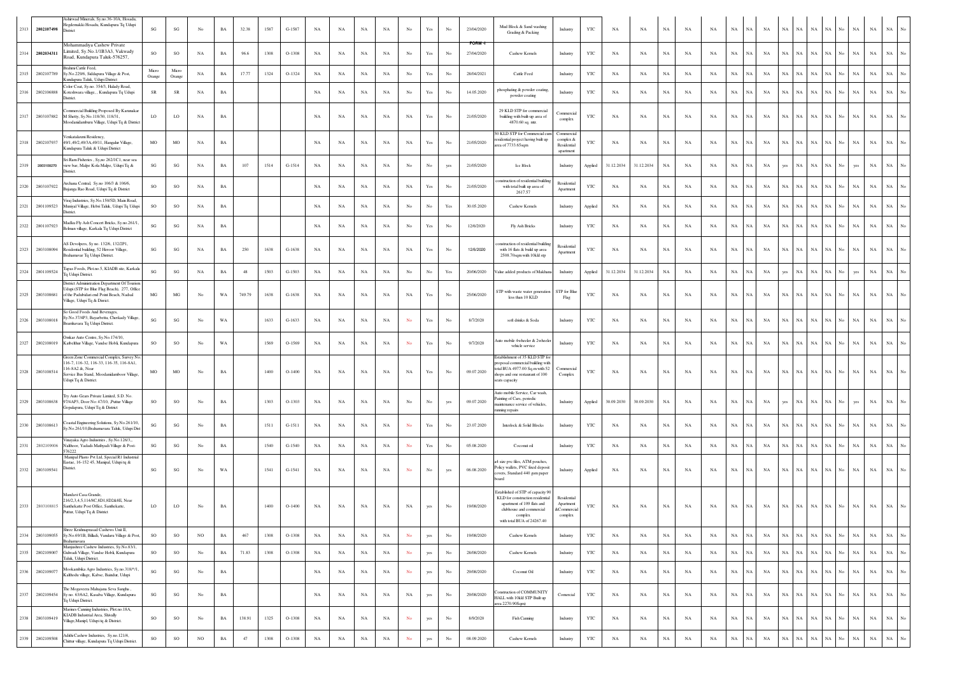|      | 2313 2802107498 | Ashirwad Minerals, Sy.no.36-10A, Hosadu<br>legdemakki Hosadu, Kundapura Tq Udupi<br>District                                                                                 | SG                     | $\mathbf{S}\mathbf{G}$ | No          | BA          | 32.38  | 1587 | G-1587   | NA          | NA          | NA          | NA          | $_{\rm No}$    | Yes                  | No          | 23/04/2020                  | Mud Block & Sand washing<br>Grading & Packing                                                                                                                            | Industry                                                 | YTC          | NA          | NA          | $_{\rm NA}$ | NA          | NA          | $_{\rm NA}$ | NA<br>$_{\rm NA}$ | NA          | $_{\rm NA}$ | $_{\rm NA}$ | NA<br>No          | NA          | $_{\rm NA}$ | $_{\rm NA}$ | $_{\mathrm{No}}$ |
|------|-----------------|------------------------------------------------------------------------------------------------------------------------------------------------------------------------------|------------------------|------------------------|-------------|-------------|--------|------|----------|-------------|-------------|-------------|-------------|----------------|----------------------|-------------|-----------------------------|--------------------------------------------------------------------------------------------------------------------------------------------------------------------------|----------------------------------------------------------|--------------|-------------|-------------|-------------|-------------|-------------|-------------|-------------------|-------------|-------------|-------------|-------------------|-------------|-------------|-------------|------------------|
|      | 2314 2802034311 | Mohammadiya Cashew Private<br>Limited, Sy.No.1/1B3A3, Vakwady<br>Road, Kundapura Taluk-576257,                                                                               | SO                     | $_{\rm SO}$            | $_{\rm NA}$ | BA          | 96.6   | 1308 | $O-1308$ | NA          | NA          | NA          | $_{\rm NA}$ | No             | Yes                  | No          | <b>FORM-I</b><br>27/04/2020 | Cashew Kernels                                                                                                                                                           | Industry                                                 | YTC          | NA          | NA          | <b>NA</b>   | NA          | NA          | $_{\rm NA}$ | $_{\rm NA}$<br>NA | NA          | $_{\rm NA}$ | NA          | NA<br>No          | NA          | $_{\rm NA}$ | $_{\rm NA}$ | No               |
| 2315 | 2802107789      | Brahmi Cattle Feed<br>Sy.No.229/6, Siddapura Village & Post,<br>Kundapura Taluk, Udupi District                                                                              | Micro<br>Orange        | Micro<br>Orange        | $_{\rm NA}$ | BA          | 17.77  | 1324 | O-1324   | NA          | NA          | $_{\rm NA}$ | NA          | $_{\rm No}$    | Yes                  | $_{\rm No}$ | 28/04/2021                  | Cattle Feed                                                                                                                                                              | Industry                                                 | YTC          | NA          | NA          | $_{\rm NA}$ | NA          | NA          | $_{\rm NA}$ | NA<br>NA          | NA          | $_{\rm NA}$ | $_{\rm NA}$ | $_{\rm NA}$<br>No | $_{\rm NA}$ | $_{\rm NA}$ | $_{\rm NA}$ | No               |
| 2316 | 2802106888      | Color Coat, Sy.no. 354/3, Halady Road,<br>Koteshwara village, , Kundapura Tq Udupi<br>District                                                                               | SR                     | ${\sf SR}$             | $_{\rm NA}$ | $_{\rm BA}$ |        |      |          | NA          | NA          | $_{\rm NA}$ | NA          | $_{\rm No}$    | Yes                  | $_{\rm No}$ | 14.05.2020                  | phosphating & powder coating<br>powder coating                                                                                                                           | Industry                                                 | YTC          | NA          | NA          | $_{\rm NA}$ | NA          | NA          | $_{\rm NA}$ | NA<br>NA          | <b>NA</b>   | NA          | $_{\rm NA}$ | NA<br>No          | NA          | $_{\rm NA}$ | NA          |                  |
| 2317 | 2803107882      | ommercial Building Proposed By Karunaka<br>M Shetty, Sv.No.118/30, 118/31.<br>foodanidamburu Village, Udupi Tq & District                                                    | LO                     | LO                     | $_{\rm NA}$ | BA          |        |      |          | NA          | $_{\rm NA}$ | NA          | NA          | $_{\rm NA}$    | Yes                  | No          | 21/05/2020                  | 29 KLD STP for commercial<br>building with built-up area of<br>4870.60 sq. mtr.                                                                                          | 'ommercia<br>complex                                     | YTC          | NA          | NA          | NA          | NA          | NA          | $_{\rm NA}$ | NA<br>NA.         | NA          | NA          | $_{\rm NA}$ | NA<br>No          | NA          | $_{\rm NA}$ | NA          |                  |
| 2318 | 2802107937      | Venkatalaxmi Residency.<br>49/1,49/2,49/3A,49/11, Hangalur Village,<br>Kundapura Taluk & Udupi District                                                                      | MO                     | <b>MO</b>              | NA          | BA          |        |      |          | NA          | NA          | NA          | NA          | $_{\rm NA}$    | Yes                  | No          | 21/05/2020                  | 0 KLD STP for Commercial cum<br>sidential project having built up<br>rea of 7733.65sqm                                                                                   | Commercial<br>complex &<br>Residential<br>apartment      | YTC          | NA          | NA          | NA          | NA          | NA          | $_{\rm NA}$ | NA<br>NA          | NA          | $_{\rm NA}$ | NA          | NA<br>No          | NA          | $_{\rm NA}$ | $_{\rm NA}$ | No               |
| 2319 | 2803108270      | Sri Ram Fisheries, Sy,no 262/1C1, near sea<br>view bar, Malpe Kola Malpe, Udupi Tq &<br>District                                                                             | SG                     | $\mathbf{S}\mathbf{G}$ | $_{\rm NA}$ | BA          | 107    | 1514 | $G-1514$ | NA          | NA          | $_{\rm NA}$ | NA          | $_{\rm No}$    | $_{\rm No}$          | yes         | 21/05/2020                  | Ice Block                                                                                                                                                                | Industry                                                 | Applied      | 31.12.2034  | 31.12.2034  | <b>NA</b>   | <b>NA</b>   | NA          | $_{\rm NA}$ | NA<br><b>NA</b>   | yes         | NA          | $_{\rm NA}$ | NA                | yes         | $_{\rm NA}$ | $_{\rm NA}$ |                  |
|      | 2320 2803107922 | Archana Central, Sy.no 106/3 & 106/6,<br>ijanga Rao Road, Udupi Tq & District                                                                                                | SO                     | $\rm SO$               | $_{\rm NA}$ | BA          |        |      |          | NA          | NA          | NA          | NA          | NA             | Yes                  | No          | 21/05/2020                  | istruction of residential buildin<br>with total built up area of                                                                                                         | Residential<br>Apartmen                                  | YTC          | NA          | NA          | <b>NA</b>   | NA          | NA          | $_{\rm NA}$ | NA<br>NA          | NA          | $_{\rm NA}$ | NA          | NA<br>No          | NA          | $_{\rm NA}$ | <b>NA</b>   |                  |
| 2321 | 2801109523      | Viraj Industries, Sy.No.150/5D, Main Road,<br>Muniyal Village, Hebri Taluk, Udupi Tq Udupi                                                                                   | SO                     | SO                     | $_{\rm NA}$ | BA          |        |      |          | NA          | NA          | $_{\rm NA}$ | NA          | $_{\rm No}$    | $_{\rm No}$          | Yes         | 30.05.2020                  | 2617.57<br>Cashew Kernels                                                                                                                                                | Industry                                                 | Applied      | NA          | NA          | $_{\rm NA}$ | NA          | NA          | $_{\rm NA}$ | $_{\rm NA}$<br>NA | NA          | NA          | $_{\rm NA}$ | NA<br>No          | NA          | $_{\rm NA}$ | $_{\rm NA}$ | No               |
|      | 2322 2801107923 | District.<br>Madku Fly Ash Concert Bricks, Sy.no.261/1<br>Belman village, Karkala Tq Udupi District                                                                          | $\mathbf{S}\mathbf{G}$ | SG                     | NA          | BA          |        |      |          | NA          | NA          | NA          | NA          | No             | Yes                  | No          | 12/6/2020                   | Fly Ash Bricks                                                                                                                                                           | Industry                                                 | YTC          | NA          | NA          | NA          | NA          | NA          | NA          | NA<br>NA          | NA          | NA          | $_{\rm NA}$ | NA<br>No          | NA          | NA          | NA          |                  |
| 2323 | 2803108094      | AS Devolpers, Sy no. 132/6, 132/2P1,<br>Residential building, 52 Heroor Village,<br>Brahamavar Tq Udupi District.                                                            | SG                     | SG                     | NA          | BA          | 250    | 1638 | $G-1638$ | NA          | NA          | NA          | NA          | NA             | Yes                  | No          | 12/6/2020                   | nstruction of residential buildin<br>with 16 flats & build up area<br>2508.70sqm with 10kld stp                                                                          | Residential<br>Apartment                                 | YTC          | NA          | NA          | <b>NA</b>   | NA          | NA          | $_{\rm NA}$ | NA<br>NA.         | NA          | NA          | $_{\rm NA}$ | NA<br>No.         | NA          | $_{\rm NA}$ | $_{\rm NA}$ | $_{\rm No}$      |
|      | 2324 2801109524 | Tapas Foods, Plot.no.5, KIADB site, Karkala<br>Tq Udupi District                                                                                                             | SG                     | $\mathbf{SG}$          | NA          | BA          | 48     | 1503 | $G-1503$ | NA          | NA          | NA          | NA          | No             | $_{\rm No}$          | Yes         | 20/06/2020                  | Value added products of Makhar                                                                                                                                           | Industry                                                 | Applied      | 31.12.2034  | 31.12.2034  | NA          | NA          | NA          | $_{\rm NA}$ | NA<br>$_{\rm NA}$ | yes         | $_{\rm NA}$ | $_{\rm NA}$ | NA<br>No          | yes         | $_{\rm NA}$ | $_{\rm NA}$ | No               |
|      | 2325 2803108681 | District Administration Department Of Touris<br>Jdupi (STP for Blue Flag Beach), 277, Office<br>of the Padubidari end Point Beach, Nadsal<br>Village, Udupi Tq & Disrict.    | MG                     | $_{\rm MG}$            | No          | WA          | 749.79 | 1638 | $G-1638$ | $_{\rm NA}$ | $_{\rm NA}$ | $_{\rm NA}$ | NA          | $_{\rm NA}$    | Yes                  | No          | 25/06/2020                  | STP with waste water generation<br>less than 10 KLD                                                                                                                      | STP for Blue<br>Flag                                     | YTC          | NA          | NA          | $_{\rm NA}$ | NA          | NA          | $_{\rm NA}$ | NA<br>NA          | NA          | $_{\rm NA}$ | NA          | NA<br>No          | NA          | $_{\rm NA}$ | $_{\rm NA}$ |                  |
| 2326 | 2803108018      | So Good Foods And Beverages,<br>Sy.No.37/4P3, Bayarbettu, Cherkady Village,<br>amhavara Tq Udupi District.                                                                   | SG                     | $\mathbf{S}\mathbf{G}$ | No          | WA          |        | 1633 | $G-1633$ | NA          | NA          | $_{\rm NA}$ | NA          | $\mathbf {No}$ | Yes                  | $_{\rm No}$ | 8/7/2020                    | soft drinks & Soda                                                                                                                                                       | Industry                                                 | YTC          | NA          | NA          | $_{\rm NA}$ | NA          | NA          | $_{\rm NA}$ | NA<br>NA          | $_{\rm NA}$ | NA          | $_{\rm NA}$ | NA<br>No          | NA          | $_{\rm NA}$ |             |                  |
| 2327 | 2802108019      | Omkar Auto Centre, Sy.No.174/10,<br>Katbelthur Village, Vandse Hobli, Kundapura                                                                                              | SO                     | SO                     | No          | WA          |        | 1569 | $O-1569$ | NA          | NA          | NA          | NA          | No             | Yes                  | No          | 9/7/2020                    | uto mobile 4wheeler & 2wheeler<br>vehicle service                                                                                                                        | Industry                                                 | YTC          | NA          | NA          | <b>NA</b>   | NA          | NA          | $_{\rm NA}$ | NA<br>NA          | $_{\rm NA}$ | NA          | NA          | NA<br>No          | <b>NA</b>   | $_{\rm NA}$ | NA          | No               |
| 2328 | 2803108514      | Green Zone Commercial Complex, Survey No<br>116-7, 116-32, 116-33, 116-35, 116-8A1.<br>116-8A2 &. Near<br>Service Bus Stand, Moodanidamboor Village,<br>Udupi Tq & District. | MO                     | <b>MO</b>              | No          | BA          |        | 1400 | $O-1400$ | NA          | NA          | NA          | NA          | <b>NA</b>      | Yes                  | No          | 09.07.2020                  | Establishment of 35 KLD STP for<br>pposal commercial building with<br>total BUA 4977.00 Sq.m with 52<br>hops and one restaurant of 100<br>eats capacity                  | Commercia<br>Complex                                     | YTC          | NA          | NA          | <b>NA</b>   | NA          | NA          | $_{\rm NA}$ | NA<br>NA          | NA          | NA          | $_{\rm NA}$ | NA<br>No.         | $_{\rm NA}$ | $_{\rm NA}$ | $_{\rm NA}$ | $_{\rm No}$      |
| 2329 | 2803108638      | Try Auto Gears Private Limited, S.D. No<br>97/4AP3, Door No: 47/10, ,Puttur Village<br>Gopalapura, Udupi Tq & District                                                       | SO                     | SO                     | No          | BA          |        | 1303 | O-1303   | $_{\rm NA}$ | $_{\rm NA}$ | $_{\rm NA}$ | $_{\rm NA}$ | $_{\rm No}$    | $_{\rm No}$          | yes         | 09.07.2020                  | Auto mobile Service, Car wash,<br>ainting of Cars, periodic<br>taintenance service of vehicles,<br>unning repairs                                                        | Industry                                                 | Applied      | 30.09.2030  | 30.09.2030  | $_{\rm NA}$ | NA          | NA          | $_{\rm NA}$ | NA<br>NA          | yes         | NA          | NA          | NA<br>No          | yes         | $_{\rm NA}$ | $_{\rm NA}$ |                  |
| 2330 | 2803108613      | oastal Engineering Solutions, Sy.No.261/10<br>Sy.No.261/10, Brahamavara Taluk, Udupi Dis                                                                                     | SG                     | $\mathbf{S}\mathbf{G}$ | No          | BA          |        | 1511 | $G-1511$ | $_{\rm NA}$ | NA          | $_{\rm NA}$ | $_{\rm NA}$ | No             | $\operatorname{Yes}$ | $_{\rm No}$ | 23.07.2020                  | Interlock & Solid Blocks                                                                                                                                                 | Industry                                                 | YTC          | NA          | NA          | $_{\rm NA}$ | NA          | NA          | $_{\rm NA}$ | $_{\rm NA}$<br>NA | $_{\rm NA}$ | NA          | $_{\rm NA}$ | NA<br>No          | NA          | $_{\rm NA}$ | $_{\rm NA}$ | No               |
| 2331 | 2802109006      | Vinavaka Agro Industries . Sv.No.126/3<br>Nalthoor, Yadadi-Mathyadi Village & Post-<br>576222                                                                                | $\mathbf{S}\mathbf{G}$ | $\mathbf{SG}$          | No          | $_{\rm BA}$ |        | 1540 | $G-1540$ | NA          | NA          | NA          | NA          | No             | $\operatorname{Yes}$ | $_{\rm No}$ | 05.08.2020                  | Coconut oil                                                                                                                                                              | Industry                                                 | YTC          | NA          | NA          | NA          | NA          | NA          | $_{\rm NA}$ | <b>NA</b><br>NA   | $_{\rm NA}$ | $_{\rm NA}$ | $_{\rm NA}$ | NA<br>No          | $_{\rm NA}$ | $_{\rm NA}$ | $_{\rm NA}$ | No               |
|      | 2332 2803109541 | Manipal Plasto Pvt Ltd, Special R1 Industria<br>Eastae, 16-152 45, Manipal, Udupi tq &<br>District                                                                           | SG                     | $\mathbf{S}\mathbf{G}$ | No          | WA          |        | 1541 | G-1541   | NA          | NA          | NA          | NA          | $\mathbf {No}$ | No                   | yes         | 06.08.2020                  | 4 size pvc files, ATM pouches,<br>Policy wallets, PVC fixed deposit<br>overs, Standard 440 gsm paper<br>board                                                            | Industry                                                 | Applied      | NA          | NA          | $_{\rm NA}$ | NA          | NA          | $_{\rm NA}$ | NA<br>NA.         | NA          | NA          | $_{\rm NA}$ | NA                | <b>NA</b>   | NA          |             |                  |
|      | 2333 2803108815 | fandavi Casa Grande,<br>216/2,3,4,5,114/8C,8D1,8D2&8E, Near<br>Santhekatte Post Office, Santhekatte<br>Puttur, Udupi Tq & District                                           | LO                     | $_{\rm LO}$            | No          | <b>BA</b>   |        | 1400 | $O-1400$ | NA          | $_{\rm NA}$ | NA          | NA          | NA             | yes                  | No          | 19/08/2020                  | Established of STP of capacity 90<br>KLD for construction residential<br>apartment of 109 flats and<br>clubhouse and commercial<br>complex<br>with total BUA of 24267.40 | <b>Residential</b><br>Apartment<br>&Commercia<br>complex | YTC          | NA          | NA          | <b>NA</b>   | NA          | NA          | $_{\rm NA}$ | NA<br>NA          | NA          | $_{\rm NA}$ | $_{\rm NA}$ | $NA$ $No$         | $_{\rm NA}$ | $_{\rm NA}$ | $_{\rm NA}$ | $_{\rm No}$      |
| 2334 | 2803109055      | Shree Krishnaprasad Cashews Unit II<br>Sy.No.69/1B, Billadi, Vandaru Village & Post,<br><b>Brahamavara</b>                                                                   | SO                     | $_{\rm SO}$            | $_{\rm NO}$ | $_{\rm BA}$ | 467    | 1308 | $O-1308$ | $_{\rm NA}$ | $_{\rm NA}$ | $_{\rm NA}$ | $_{\rm NA}$ | No             | yes                  | No          | 19/08/2020                  | Cashew Kernels                                                                                                                                                           | Industry                                                 | YTC          | NA          | $_{\rm NA}$ | $_{\rm NA}$ | $_{\rm NA}$ | $_{\rm NA}$ | $_{\rm NA}$ | $_{\rm NA}$<br>NA | NA          | $_{\rm NA}$ | $_{\rm NA}$ | NA<br>No          | $_{\rm NA}$ | $_{\rm NA}$ | $_{\rm NA}$ | $_{\mathrm{No}}$ |
| 2335 | 2802109007      | Manjushree Cashew Industries, Sy.No.83/1,<br>Gulwadi Village, Vandse Hobli, Kundapura<br>Taluk, Udupi District.                                                              | SO                     | $_{\rm SO}$            | $_{\rm No}$ | $_{\rm BA}$ | 71.83  | 1308 | $O-1308$ | $_{\rm NA}$ | $_{\rm NA}$ | $_{\rm NA}$ | $_{\rm NA}$ | $\mathbf {No}$ | yes                  | $_{\rm No}$ | 28/08/2020                  | Cashew Kernels                                                                                                                                                           | Industry                                                 | YTC          | NA          | $_{\rm NA}$ | $_{\rm NA}$ | $_{\rm NA}$ | NA          | $_{\rm NA}$ | NA<br>NA          | NA          | NA          | $_{\rm NA}$ | NA<br>No          | $_{\rm NA}$ | $_{\rm NA}$ | $_{\rm NA}$ | $_{\rm No}$      |
| 2336 | 2802109077      | Mookambika Agro Industries, Sy.no.318/*/1,<br>Kalthodu village, Kabse, Baindur, Udupi                                                                                        | $\mathbf{S}\mathbf{G}$ | $\mathbf{S}\mathbf{G}$ | $_{\rm No}$ | $_{\rm BA}$ |        |      |          | NA          | NA          | $_{\rm NA}$ | NA          | $\mathbf {No}$ | yes                  | No          | 29/08/2020                  | Coconut Oil                                                                                                                                                              | Industry                                                 | YTC          | NA          | NA          | $_{\rm NA}$ | NA          | NA          | $_{\rm NA}$ | $_{\rm NA}$<br>NA | $_{\rm NA}$ | NA          | $_{\rm NA}$ | $_{\rm NA}$<br>No | $_{\rm NA}$ | $_{\rm NA}$ | $_{\rm NA}$ | $_{\rm No}$      |
| 2337 | 2802109454      | The Mogaveera Mahajana Seva Sangha,<br>Sy no. 63/6A2, Kasaba Village, Kundapura<br>Tq Udupi District.                                                                        | $\mathbf{S}\mathbf{G}$ | $\mathbf{S}\mathbf{G}$ | $_{\rm No}$ | $_{\rm BA}$ |        |      |          | NA          | NA          | NA          | NA          | $_{\rm NA}$    | yes                  | No          | 29/08/2020                  | onstruction of COMMUNITY<br>HALL with 10kld STP Built up<br>irea 2270.90Sqm)                                                                                             | Comercial                                                | YTC          | NA          | NA          | $_{\rm NA}$ | NA          | NA          | $_{\rm NA}$ | $_{\rm NA}$<br>NA | NA          | $_{\rm NA}$ | NA          | NA<br>No          | NA          | $_{\rm NA}$ | $_{\rm NA}$ | $_{\mathrm{No}}$ |
| 2338 | 2803109419      | Marines Canning Industries, Plot.no.18A,<br>KIADB Industrial Area, Shivally<br>Village, Manipl, Udupi tq & District.                                                         | SO                     | $_{\rm SO}$            | $_{\rm No}$ | $_{\rm BA}$ | 138.91 | 1325 | O-1308   | NA          | NA          | NA          | NA          | $_{\rm No}$    | yes                  | No          | 8/9/2020                    | Fish Canning                                                                                                                                                             | Industry                                                 | YTC          | NA          | $_{\rm NA}$ | $_{\rm NA}$ | NA          | $_{\rm NA}$ | $_{\rm NA}$ | NA<br>$_{\rm NA}$ | NA          | $_{\rm NA}$ | $_{\rm NA}$ | $_{\rm NA}$<br>No | NA          | $_{\rm NA}$ |             | $\rm NA-\rm No$  |
|      | 2339 2802109508 | Adithi Cashew Industries, Sy.no.121/4,<br>Chittur village, Kundapura Tq Udupi District.                                                                                      | SO                     | $_{\rm SO}$            | $_{\rm NO}$ | $_{\rm BA}$ | 47     | 1308 | O-1308   | $_{\rm NA}$ | $_{\rm NA}$ | $_{\rm NA}$ | $_{\rm NA}$ | ${\bf No}$     | yes                  | $_{\rm No}$ | 08.09.2020                  | Cashew Kernels                                                                                                                                                           | Industry                                                 | $_{\rm YTC}$ | $_{\rm NA}$ | $_{\rm NA}$ | $_{\rm NA}$ | $_{\rm NA}$ | $_{\rm NA}$ | $_{\rm NA}$ | NA<br>$_{\rm NA}$ |             | NA NA       | $_{\rm NA}$ | $NA$ $No$         | $_{\rm NA}$ | $_{\rm NA}$ |             | $\rm NA-\,No$    |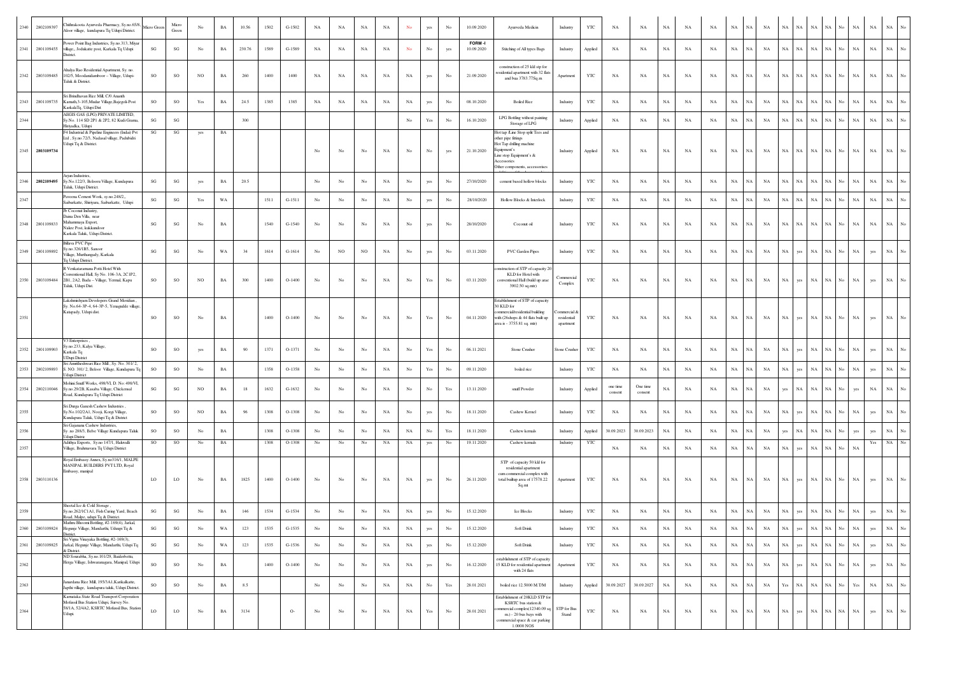| 2802109397<br>2340 | hithrakoota Ayurveda Pharmacy, Sy.no.65/8,<br>Joor village, kundapura Tq Udupi District.                                                     | Micro Gre | Micro<br>Green         | No               | BA          | 10.56  | 1502 | G-1502   | NA               | NA               | $_{\rm NA}$    | NA          | No               | yes                  | No                                                                                    | 10.09.2020           | Ayurveda Medicin                                                                                                                                                               | Industry                                | YTC          | NA                  | NA                  | NA          | NA          | NA          | $_{\rm NA}$ | NA          | NA          | <b>NA</b><br>NA            | NA          |             |             | $_{\rm NA}$<br>NA                                                                                    | $_{\rm NA}$ | No               |
|--------------------|----------------------------------------------------------------------------------------------------------------------------------------------|-----------|------------------------|------------------|-------------|--------|------|----------|------------------|------------------|----------------|-------------|------------------|----------------------|---------------------------------------------------------------------------------------|----------------------|--------------------------------------------------------------------------------------------------------------------------------------------------------------------------------|-----------------------------------------|--------------|---------------------|---------------------|-------------|-------------|-------------|-------------|-------------|-------------|----------------------------|-------------|-------------|-------------|------------------------------------------------------------------------------------------------------|-------------|------------------|
| 2341<br>2801109455 | Power Point Bag Industries, Sy.no.313, Miyar<br>village,, Jodukatte post, Karkala Tq Udupi<br>District.                                      | SG        | SG                     | No               | BA          | 230.76 | 1589 | G-1589   | NA               | NA               | NA             | NA          | No               | No                   | yes                                                                                   | FORM-I<br>10.09.2020 | Stitching of All types Bags                                                                                                                                                    | Industry                                | Applied      | NA                  | NA                  | NA          | NA          | NA          | NA          | NA          | NA          | NA<br>NA                   | $_{\rm NA}$ | NA          | No          | $_{\rm NA}$<br>$_{\rm NA}$                                                                           | $_{\rm NA}$ | No               |
| 2803109485<br>2342 | Ahalya Rao Residential Apartment, Sy. no<br>102/5, Moodanidamboor - Village, Udupi-<br>Taluk & District.                                     | SO        | SO                     | NO               | $_{\rm BA}$ | 260    | 1400 | 1400     | NA               | NA               | $_{\rm NA}$    | $_{\rm NA}$ | $_{\rm NA}$      | yes                  | No                                                                                    | 21.09.2020           | construction of 25 kld stp for<br>esidential apartment with 32 flats<br>and bua 3783.77Sq.m                                                                                    | Apartment                               | YTC          | NA                  | NA                  | $_{\rm NA}$ | NA          | NA          | $_{\rm NA}$ | NA          | NA          | <b>NA</b><br>NA            | NA          | NA          |             | $_{\rm NA}$<br>$_{\rm NA}$                                                                           | NA          |                  |
| 2343<br>2801109735 | Sri Brindhavan Rice Mill, C/0 Ananth<br>Kamath 3-105 Mudar Village Bajegoli-Post<br>KarkalaTq, Udupi Dist                                    | <b>SO</b> | <b>SO</b>              | Yes              | $_{\rm BA}$ | 24.5   | 1385 | 1385     | NA               | NA               | NA             | NA          | $_{\rm NA}$      | yes                  | No                                                                                    | 08.10.2020           | <b>Boiled Rice</b>                                                                                                                                                             | Industry                                | YTC          | <b>NA</b>           | NA                  | <b>NA</b>   | NA          | NA          | NA          | NA          | <b>NA</b>   | $_{\rm NA}$<br>NA          | $_{\rm NA}$ | NA          | No.         | $_{\rm NA}$<br>$_{\rm NA}$                                                                           | $_{\rm NA}$ | $\overline{N}$ o |
| 2344               | AEGIS GAS (LPG) PRIVATE LIMITED,<br>Sv.No. 114 SD 2P1 & 2P2, 82 Kudi Grama.<br>Hiriyadka, Udupi                                              | SG        | $\mathbf{S}\mathbf{G}$ |                  |             | 300    |      |          |                  |                  |                |             | No.              | Yes                  | No                                                                                    | 16.10.2020           | LPG Bottling without painting<br>Storage of LPG                                                                                                                                | Industry                                | Applied      | NA                  | NA                  | NA          | NA          | $_{\rm NA}$ | $_{\rm NA}$ | NA          | <b>NA</b>   | NA<br>NA                   | $_{\rm NA}$ | NA          | No.         | $_{\rm NA}$<br>$_{\rm NA}$                                                                           | $_{\rm NA}$ | No               |
| 2345 2803109734    | F4 Industrial & Pipeline Engineers (Indai) Pvt<br>Ltd , Sy.no.72/3, Nadasal village, Padubidri<br>Udupi Tq & District.                       | SG        | SG                     | yes              | BA          |        |      |          | No               | No               | $_{\rm No}$    | $_{\rm NA}$ | $_{\rm No}$      | No                   | yes                                                                                   | 21.10.2020           | Hot tap /Line Stop split Tees and<br>other pipe fittings<br>Hot Tap drilling machine<br>quipment's<br>Line stop Equipment's &<br>Accessories<br>Other components, accessorises | Industry                                | Applied      | NA                  | NA                  | $_{\rm NA}$ | NA          | NA          | $_{\rm NA}$ | NA.         | NA          | <b>NA</b><br>NA            | NA          | NA          |             | $_{\rm NA}$<br>$_{\rm NA}$                                                                           | NA          |                  |
| 2346<br>2802109495 | Arjun Industries,<br>Sy.No.122/3, Belooru Village, Kundapura<br>Taluk, Udupi District.                                                       | SG        | SG                     | yes              | BA          | 20.5   |      |          | No               | No               | No             | <b>NA</b>   | No.              | yes                  | No                                                                                    | 27/10/2020           | cement based hollow blocks                                                                                                                                                     | Industry                                | YTC          | NA                  | NA                  | <b>NA</b>   | NA          | NA          | $_{\rm NA}$ | NA          | <b>NA</b>   | $_{\rm NA}$<br>NA          | $_{\rm NA}$ | NA          | No.         | $_{\rm NA}$<br>$_{\rm NA}$                                                                           | $_{\rm NA}$ | $_{\rm No}$      |
| 2347               | Payeena Cement Work, sv.no.248/2.<br>Saibarkatte, Shiriyara, Saibarkatte, Udupi                                                              | SG        | $\mathbf{S}\mathbf{G}$ | Yes              | $_{\rm WA}$ |        | 1511 | $G-1511$ | $_{\rm No}$      | No               | $_{\rm No}$    | $_{\rm NA}$ | $_{\rm No}$      | yes                  | $_{\rm No}$                                                                           | 28/10/2020           | Hollow Blocks & Interlock                                                                                                                                                      | Industry                                | YTC          | NA                  | NA                  | $_{\rm NA}$ | NA          | NA          | $_{\rm NA}$ | NA          | NA          | $_{\rm NA}$<br>$_{\rm NA}$ | $_{\rm NA}$ | $_{\rm NA}$ | No          | $_{\rm NA}$<br>$_{\rm NA}$                                                                           | $_{\rm NA}$ | No               |
| 2348<br>2801109833 | Jb Coconut Industry,<br>Daina Den Villa, near<br>Mahammaya Export.<br>Nakre Post, kukkundoor<br>Karkala Taluk, Udupi District.               | SG        | $\mathbf{S}\mathbf{G}$ | No               | $_{\rm BA}$ |        | 1540 | $G-1540$ | No               | No               | No             | NA          | $_{\rm No}$      | yes                  | No                                                                                    | 28/10/2020           | Coconut oil                                                                                                                                                                    | Industry                                | $_{\rm YTC}$ | NA                  | $_{\rm NA}$         | <b>NA</b>   | NA          | NA          | NA          | NA          | NA          | $_{\rm NA}$<br>NA          | $_{\rm NA}$ | NA          | No.         | $_{\rm NA}$<br>$_{\rm NA}$                                                                           | $_{\rm NA}$ | No               |
| 2349<br>2801109892 | <b>Billava PVC Pipe</b><br>y.no.326/1B5, Sanoor<br>Village, Murthangady, Karkala<br><b>Tq Udupi District.</b>                                | SG        | SG                     | No               | WA          | 34     | 1614 | $G-1614$ | No               | NO.              | N <sub>O</sub> | NA          | No               | yes                  | No                                                                                    | 03.11.2020           | <b>PVC</b> Garden Pipes                                                                                                                                                        | Industry                                | YTC          | NA                  | NA                  | <b>NA</b>   | NA          | NA          | NA          | NA          | NA          | NA<br>ves                  | $_{\rm NA}$ | NA          | No.         | $_{\rm NA}$<br>yes                                                                                   | $_{\rm NA}$ | No               |
| 2350 2803109484    | R Venkataramana Potti Hotel With<br>onventional Hall, Sy No. 106-3A, 2C1P2,<br>2B1, 2A2, Bada - Village, Yermal, Kapu<br>Taluk, Udupi Dist.  | SO        | SO                     | NO.              | $_{\rm BA}$ | 300    | 1400 | $O-1400$ | No               | No               | No             | NA          | No               | Yes                  | $_{\rm No}$                                                                           | 03.11.2020           | struction of STP of capacity 20<br>KLD for Hotel with<br>conventional Hall (build up arae<br>3902.50 sq.mtr)                                                                   | <b>Commercial</b><br>Complex            | YTC          | NA                  | NA                  | NA          | NA          | NA          | $_{\rm NA}$ | NA          | NA          | <b>NA</b><br>yes           | NA          | NA          |             | NA<br>yes                                                                                            | NA          |                  |
| 2351               | Lakshmishvam Developers Grand Meridian.<br>Sy. No.64-3P-4, 64-3P-5, Yenagudde village<br>Katapady, Udupi dist.                               | SO        | SO                     | No               | BA          |        | 1400 | $O-1400$ | No               | No               | No             | NA          | No.              | Yes                  | No                                                                                    | 04.11.2020           | stablishment of STP of capacity<br>30 KLD for<br>ommercial/residential building<br>with (26shops & 44 flats built up<br>area is - 3755.81 sq. mtr)                             | ommercial &<br>residentail<br>apartment | YTC          | NA                  | NA                  | NA          | NA          | NA          | $_{\rm NA}$ | <b>NA</b>   | NA          | NA<br>yes                  | $_{\rm NA}$ | NA          | No          | $\mathrm{NA}^{-1}$<br>yes                                                                            | $_{\rm NA}$ | $_{\rm No}$      |
| 2352<br>2801109903 | /3 Enterprises<br>y.no.233, Kalya Village.<br>Karkala Tq<br><b>UDupi District</b>                                                            | SO        | SO                     | yes              | $_{\rm BA}$ | 90     | 1371 | O-1371   | No               | No               | No             | NA          | $_{\rm No}$      | $\operatorname{Yes}$ | No                                                                                    | 06.11.2021           | Stone Crusher                                                                                                                                                                  | Stone Crusher                           | YTC          | NA                  | NA                  | $_{\rm NA}$ | NA          | NA          | NA          | NA          | NA          | $_{\rm NA}$<br>yes         | NA          | NA          | No          | $_{\rm NA}$<br>yes                                                                                   | NA          | No               |
| 2353<br>2802109893 | Sri Amritheshwari Rice Mill, Sy. No. 301/2<br>S. NO. 301/2, Beloor Village, Kundapura Tq<br>Jdupi District                                   | SO        | SO                     | No               | $_{\rm BA}$ |        | 1358 | O-1358   | No               | No               | $_{\rm No}$    | $_{\rm NA}$ | $_{\mathrm{No}}$ | $\operatorname{Yes}$ | No                                                                                    | 09.11.2020           | boiled rice                                                                                                                                                                    | Industry                                | YTC          | $_{\rm NA}$         | NA                  | $_{\rm NA}$ | NA          | NA          | $_{\rm NA}$ | NA          | NA          | $_{\rm NA}$<br>yes         | $_{\rm NA}$ | NA          | No          | $_{\rm NA}$<br>yes                                                                                   | $_{\rm NA}$ | No               |
| 2354<br>2802110046 | Mohini Snuff Works, 498/VI, D. No: 498/VI,<br>Sy.no.29/2B, Kasaba Village, Chickensal<br>load, Kundapura Tq Udupi District                   | SG        | SG                     | NO.              | BA          | 18     | 1632 | $G-1632$ | No               | No               | No             | NA          | No               | No                   | Yes                                                                                   | 13.11.2020           | snuff Powder                                                                                                                                                                   | Industry                                | Applied      | one time<br>consent | One time<br>consent | <b>NA</b>   | NA          | NA          | $_{\rm NA}$ | <b>NA</b>   | NA          | NA<br>yes                  | $_{\rm NA}$ | NA          | No          | $_{\rm NA}$<br>yes                                                                                   | $_{\rm NA}$ |                  |
| 2355               | Sri Durga Ganesh Cashew Industries,<br>Sy.No.102/2A1, Nooji, Korgi Village,<br>Kundapura Taluk, Udupi Tq & District                          | SO        | SO                     | NO               | BA          | 96     | 1308 | $O-1308$ | No               | No               | No             | NA          | No               | yes                  | No                                                                                    | 18.11.2020           | Cashew Kemel                                                                                                                                                                   | Industry                                | YTC          | NA                  | NA                  | NA          | NA          | NA          | $_{\rm NA}$ | <b>NA</b>   | NA          | <b>NA</b>                  | $_{\rm NA}$ | NA          | No.         | <b>NA</b><br>yes                                                                                     | $_{\rm NA}$ | No               |
| 2356               | Sri Gajanana Cashew Industries,<br>Sy .no 288/3, Belve Village Kundapura Taluk<br>Udupi Distric                                              | SO        | SO                     | No               | $_{\rm BA}$ |        | 1308 | $O-1308$ | No               | No               | No             | $_{\rm NA}$ | $_{\rm NA}$      | $_{\rm No}$          | Yes                                                                                   | 18.11.2020           | Cashew kernals                                                                                                                                                                 | Industry                                | Applied      | 30.09.2023          | 30.09.2023          | NA          | NA          | NA          | $_{\rm NA}$ | NA          | NA          | NA<br>yes                  | $_{\rm NA}$ | NA          | No          | yes<br>yes                                                                                           | $_{\rm NA}$ | No               |
| 2357               | Adithya Exports, Sy.no 147/1, Hakıvalli<br>Village, Brahmavara Tq Udupi District                                                             | <b>SO</b> | SO                     | No               | BA          |        | 1308 | $O-1308$ | No               | No               | No             | NA          | NA               | yes                  | No                                                                                    | 19.11.2020           | Cashew kernals                                                                                                                                                                 | Industry                                | YTC          | $_{\rm NA}$         | NA                  | $_{\rm NA}$ | NA          | NA          | $_{\rm NA}$ | NA          | NA          | $_{\rm NA}$<br>yes         | $_{\rm NA}$ | $_{\rm NA}$ | No          | Yes<br>$_{\rm NA}$                                                                                   | NA          | No               |
| 2358 2803110136    | Royal Embassy Annex, Sy.no316/1, MALPE<br>MANIPAL BUILDERS PVT LTD, Royal<br>Embassy, manipal                                                | LO        | LO                     | No               | BA          | 1825   | 1400 | $O-1400$ | No               | No               | No             | NA          | NA               | yes                  | $_{\rm No}$                                                                           | 26.11.2020           | STP of capacity 50 kld for<br>residential apartment<br>cum commercial complex with<br>total builtup area of 17578.22<br>Sq.mt                                                  | Apartment                               | YTC          | NA                  | NA                  | NA          | NA          | NA          | $_{\rm NA}$ | <b>NA</b>   | NA          | NA<br>yes                  | NA          | $_{\rm NA}$ | No          | NA<br>yes                                                                                            | $_{\rm NA}$ | $_{\rm No}$      |
|                    | Sheetal Ice & Cold Storage<br>Sy.no.262/IC1A1, Fish Curing Yard, Beach<br>Road, Malpe, udupi Tq & District.                                  | SG        | $\mathbf{S}\mathbf{G}$ | No               | BA          | 146    | 1534 | G-1534   | No               | No               | $_{\rm No}$    | $_{\rm NA}$ | NA               | yes                  | No                                                                                    | 15.12.2020           | Ice Blocks                                                                                                                                                                     | Industry                                | YTC          | NA                  | NA                  | NA          | NA          | NA          | $_{\rm NA}$ | $_{\rm NA}$ | NA          | NA<br>yes                  | NA          | NA          |             | $_{\rm NA}$<br>yes                                                                                   | $_{\rm NA}$ |                  |
| 2360               | Mathru Bhoomi Bottling, #2-169(4), Jarkal,<br>2803109824 Hegunje Village, Mandarthi, Uduupi Tq &<br>District.                                | SG        | SG                     | No               | WA          | 123    | 1535 | $G-1535$ | No               | No               | No             | NA          | NA               | yes                  | $_{\rm No}$                                                                           | 15.12.2020           | Soft Drink                                                                                                                                                                     | Industry                                | YTC          | NA                  | NA                  | NA          | $_{\rm NA}$ | NA          | NA          | NA          | NA          | NA  <br>yes                |             | $\rm NA-NA$ | No          | $_{\rm NA}$<br>yes                                                                                   | NA          | $_{\mathrm{No}}$ |
| 2361<br>2803109825 | Sri Vigna Vinayaka Bottling, #2-169(3),<br>Jarkal, Hegunje Village, Mandarthi, Udupi Tq<br>& District.                                       | SG        | $\mathbf{SG}$          | No               | WA          | 123    | 1535 | $G-1536$ | No               | No               | $_{\rm No}$    | NA          | $_{\rm NA}$      | yes                  | $_{\rm No}$                                                                           | 15.12.2020           | Soft Drink                                                                                                                                                                     | Industry                                | $_{\rm YTC}$ | NA                  | $_{\rm NA}$         | $_{\rm NA}$ | NA          | NA          | $_{\rm NA}$ | $_{\rm NA}$ | NA          | $_{\rm NA}$<br>yes         | $_{\rm NA}$ | $_{\rm NA}$ | No          | $_{\rm NA}$<br>yes                                                                                   | $_{\rm NA}$ | $_{\mathrm{No}}$ |
| 2362               | ND Sourabha, Sy.no.101/29, Baiderbettu,<br>Herga Village, Ishwaranagara, Manipal, Udupi                                                      | SO        | $_{\rm SO}$            | No               | $_{\rm BA}$ |        | 1400 | $O-1400$ | No               | No               | No             | NA          | $_{\rm NA}$      | yes                  | No                                                                                    | 16.12.2020           | stablishment of STP of capacity<br>15 KLD for residential apartment<br>with 24 flats                                                                                           | Apartment                               | YTC          | NA                  | NA                  | $_{\rm NA}$ | NA          | $_{\rm NA}$ | $_{\rm NA}$ | $_{\rm NA}$ | $_{\rm NA}$ | NA<br>yes                  | $_{\rm NA}$ | NA          | No          | $_{\rm NA}$<br>yes                                                                                   | $_{\rm NA}$ | $_{\rm No}$      |
| 2363               | Janardana Rice Mill, 195/3A1, Karikalkatte,<br>Japthi village, kundapura taluk, Udupi District.                                              | SO        | $\rm SO$               | $_{\mathrm{No}}$ | $_{\rm BA}$ | 8.5    |      |          | $_{\mathrm{No}}$ | $_{\mathrm{No}}$ | $_{\rm No}$    | $_{\rm NA}$ | $_{\rm NA}$      | $_{\rm No}$          | $\operatorname*{Yes}% \left( X\right) \equiv\operatorname*{Yes}(\mathbb{R}^{3}\left)$ | 28.01.2021           | boiled rice 12.5000 M.T/M                                                                                                                                                      | Industry                                | Applied      | 30.09.2027          | 30.09.2027          | $_{\rm NA}$ | $_{\rm NA}$ | $_{\rm NA}$ | $_{\rm NA}$ | NA          | $_{\rm NA}$ | $_{\mathrm{NA}}$<br>Yes    | $_{\rm NA}$ | $_{\rm NA}$ | No          | $_{\rm NA}$<br>$\operatorname*{Yes}% \left( X\right) \equiv\operatorname*{Yes}(\mathbb{R}^{3}\left)$ | $_{\rm NA}$ | $_{\mathrm{No}}$ |
| 2364               | Karnataka State Road Transport Corporation<br>Mofussil Bus Station Udupi, Survey No.<br>58/1A, 52/4A2, KSRTC Mofussil Bus, Station<br>Udupi. | LO        | $_{\rm LO}$            | No               | $_{\rm BA}$ | 3134   |      | $O-$     | $_{\rm No}$      | No               | $_{\rm No}$    | $_{\rm NA}$ | $_{\rm NA}$      | Yes                  | $_{\rm No}$                                                                           | 28.01.2021           | Establishment of 20KLD STP for<br>KSRTC bus station &<br>mmercial complex(12340.09 sq.<br>m.) - 20 bus bays with<br>ommercial space & car parking<br>1.0000 NOS                | STP for Bus<br>Stand                    | YTC          | $_{\rm NA}$         | NA                  | $_{\rm NA}$ | NA          | NA          | $_{\rm NA}$ | NA          | NA          | NA<br>yes                  | NA          | $_{\rm NA}$ | $_{\rm NA}$ | NA<br>yes                                                                                            | $_{\rm NA}$ | $_{\mathrm{No}}$ |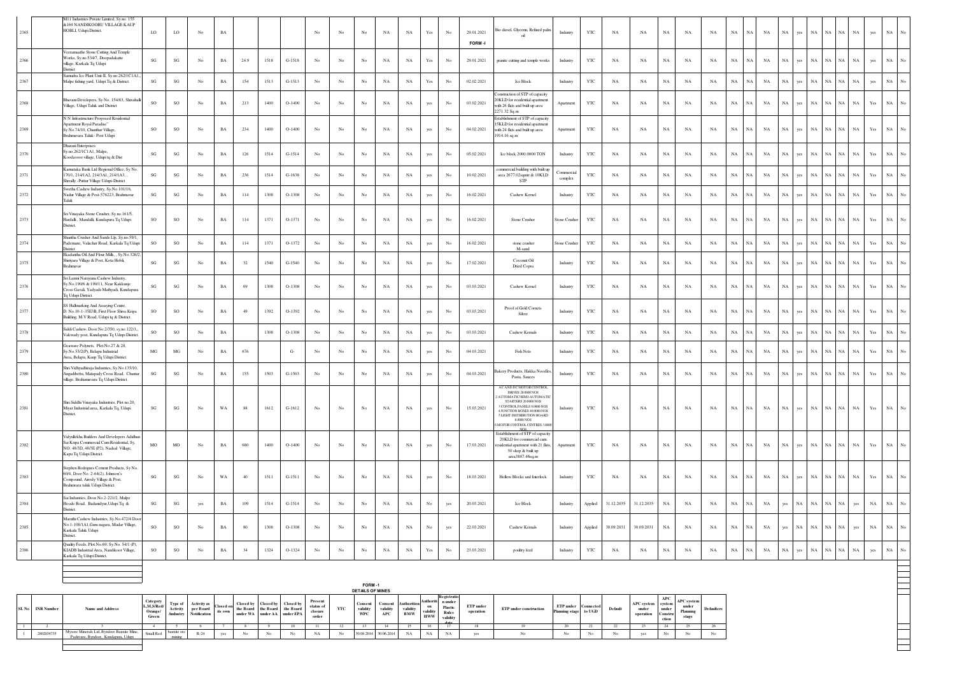| 2365 | 411 Industries Private Limited, Sy.no. 155<br><b>&amp;169 NANDIKOORU VILLAGE KAUP</b><br>HOBLI, Udupi District.                                               | LO                     | LO                     | No               | $_{\rm BA}$ |        |      |          | $_{\mathrm{No}}$ | No               | No               | NA          | $_{\rm NA}$ | Yes                  | No               | 29.01.2021<br>FORM-I | tio diesel, Glycerin, Refined palm<br>oil                                                                                                                                                                                                           | Industry              | YTC          | $_{\rm NA}$ | $_{\rm NA}$ | $_{\rm NA}$ | $_{\rm NA}$ | NA          | $_{\rm NA}$<br><b>NA</b>   | $_{\rm NA}$                | $_{\rm NA}$ | ves        | $_{\rm NA}$<br>NA          | NA          | $_{\rm NA}$ | yes                                                                                   | $_{\rm NA}$       |  |
|------|---------------------------------------------------------------------------------------------------------------------------------------------------------------|------------------------|------------------------|------------------|-------------|--------|------|----------|------------------|------------------|------------------|-------------|-------------|----------------------|------------------|----------------------|-----------------------------------------------------------------------------------------------------------------------------------------------------------------------------------------------------------------------------------------------------|-----------------------|--------------|-------------|-------------|-------------|-------------|-------------|----------------------------|----------------------------|-------------|------------|----------------------------|-------------|-------------|---------------------------------------------------------------------------------------|-------------------|--|
| 2366 | /eeramaathe Stone Cutting And Temple<br>Vorks, Sy.no.534/7, Doopadakatte<br>village, Karkala Tq Udupi<br>District                                             | SG                     | $\mathbf{S}\mathbf{G}$ | No               | BA          | 24.9   | 1518 | G-1518   | No               | No               | No               | NA          | NA          | $\operatorname{Yes}$ | $_{\mathrm{No}}$ | 29.01.2021           | granite cutting and temple works                                                                                                                                                                                                                    | Industry              | YTC          | NA          | NA          | <b>NA</b>   | NA          | NA          | $_{\rm NA}$<br>NA          | $_{\rm NA}$                | NA          | es         | $_{\rm NA}$<br>NA          | VA.         | NA          | yes                                                                                   | $_{\rm NA}$       |  |
| 2367 | Samudra Ice Plant Unit-II, Sy.no.262/IC1A1.<br>Malpe fishing yard, Udupi Tq & District.                                                                       | $\mathbf{S}\mathbf{G}$ | $\mathbf{S}\mathbf{G}$ | $_{\rm No}$      | $_{\rm BA}$ | 154    | 1513 | $G-1513$ | No               | $_{\rm No}$      | $_{\rm No}$      | $_{\rm NA}$ | $_{\rm NA}$ | $\operatorname{Yes}$ | $_{\mathrm{No}}$ | 02.02.2021           | Ice Block                                                                                                                                                                                                                                           | Industry              | $_{\rm YTC}$ | $_{\rm NA}$ | $_{\rm NA}$ | $_{\rm NA}$ | $_{\rm NA}$ | $_{\rm NA}$ | $_{\rm NA}$                | $_{\rm NA}$<br>$_{\rm NA}$ | $_{\rm NA}$ | yes        | $_{\rm NA}$<br>$_{\rm NA}$ | NA          | $_{\rm NA}$ | yes                                                                                   | $_{\rm NA}$       |  |
|      | Bhavani Developers, Sy No. 154/63, Shivahal<br>Village, Udupi Taluk and District                                                                              | <b>SO</b>              | <sub>SO</sub>          | No               | $_{\rm BA}$ | 213    | 1400 | $O-1400$ | No               | No               | No               | NA          | NA          | yes                  | No               | 03.02.2021           | onstruction of STP of capacity<br>20KLD for residential apartment<br>with 26 flats and built up area<br>2271.32 Sq.m                                                                                                                                | Apartment             | <b>YTC</b>   | NA          | <b>NA</b>   | NA          | NA          | <b>NA</b>   | NA<br>NA                   | $_{\rm NA}$                | NA          | yes        | $_{\rm NA}$<br>NA          | NA          | NA          | $\operatorname*{Yes}% \left( X\right) \equiv\operatorname*{Yes}(\mathbb{R}^{3}\left)$ | $_{\rm NA}$       |  |
|      | N N Infrastructure Proposed Residential<br>Apartment Royal Paradise"<br>Sy No.74/10, Chanthar Village,<br>rahmavara Taluk- Post Udupi                         | <b>SO</b>              | SO                     | No               | $_{\rm BA}$ | 234    | 1400 | $O-1400$ | No               | No               | No               | NA          | <b>NA</b>   | yes                  | No               | 04.02.2021           | istablishment of STP of capacity<br>5KLD for residential apartmen<br>with 24 flats and built up area<br>1914.16 sq.m                                                                                                                                | Apartment             | YTC          | NA          | NA          | NA          | NA          | NA          | $_{\rm NA}$<br>NA          | $_{\rm NA}$                | NA          | yes        | $_{\rm NA}$<br>$_{\rm NA}$ | NA          | $_{\rm NA}$ | Yes                                                                                   | $_{\rm NA}$       |  |
|      | <b>Dharani Enterprises</b><br>Sv.no.262/IC1A1. Malpe<br>oodavoor village, Udupi tq & Dist                                                                     | $\mathbf{S}\mathbf{G}$ | $\mathbf{S}\mathbf{G}$ | No               | $_{\rm BA}$ | 126    | 1514 | $G-1514$ | No               | No               | No               | $_{\rm NA}$ | $_{\rm NA}$ | yes                  | No               | 05.02.2021           | Ice block 2000.0000 TON                                                                                                                                                                                                                             | Industry              | YTC          | NA          | NA          | $_{\rm NA}$ | $_{\rm NA}$ | NA          | $_{\rm NA}$<br>NA          | $_{\rm NA}$                | $_{\rm NA}$ | <b>ans</b> | $_{\rm NA}$<br>NA          | ŃА          | $_{\rm NA}$ | Yes                                                                                   | $_{\rm NA}$       |  |
|      | Karnataka Bank Ltd Regional Office. Sv No.<br>170/1 214/1 A2 214/3A1 214/1 A3<br>Shivally - Puttur Village Udupi-District                                     | SG                     | $\mathbf{S}\mathbf{G}$ | No               | BA          | 236    | 1514 | $G-1638$ | No               | No               | No               | $_{\rm NA}$ | <b>NA</b>   | yes                  | No               | 10.02.2021           | ommercial building with built up<br>area 2677.02sqmtr & 10KLD<br><b>STP</b>                                                                                                                                                                         | commercial<br>complex | YTC.         | <b>NA</b>   | <b>NA</b>   | $_{\rm NA}$ | <b>NA</b>   | <b>NA</b>   | $_{\rm NA}$<br>NA          | $_{\rm NA}$                | $_{\rm NA}$ | es.        | $_{\rm NA}$<br>NA          | ŃА          | $_{\rm NA}$ | Yes                                                                                   | $_{\rm NA}$       |  |
|      | Swetha Cashew Industry, Sy.No.101/16,<br>Nadur Village & Post-576223, Brahmavar<br>Taluk                                                                      | $\mathbf{S}\mathbf{G}$ | $\mathbf{SG}$          | $_{\mathrm{No}}$ | $_{\rm BA}$ | 114    | 1308 | O-1308   | $_{\rm No}$      | $_{\mathrm{No}}$ | $_{\mathrm{No}}$ | $_{\rm NA}$ | $_{\rm NA}$ | yes                  | $_{\mathrm{No}}$ | 16.02.2021           | Cashew Kernel                                                                                                                                                                                                                                       | Industry              | $_{\rm YTC}$ | $_{\rm NA}$ | $_{\rm NA}$ | $_{\rm NA}$ | $_{\rm NA}$ | $_{\rm NA}$ | $_{\rm NA}$<br>NA          | $_{\rm NA}$                | NA          | ves        | $_{\rm NA}$<br>NA          | ŃА.         | $_{\rm NA}$ | $\operatorname{Yes}$                                                                  | $_{\rm NA}$       |  |
| 2373 | Sri Vinayaka Stone Crusher, Sy.no.161/5,<br>Hardalli, Mandalli, Kundapura Tq Udupi<br>District.                                                               | <b>SO</b>              | SO                     | No               | BA          | 114    | 1371 | O-1371   | No               | No               | No               | NA          | NA          | yes                  | No               | 16.02.2021           | Stone Crusher                                                                                                                                                                                                                                       | Stone Crushe          | <b>YTC</b>   | NA          | NA          | $_{\rm NA}$ | NA          | NA          | $_{\rm NA}$<br>NA          | $_{\rm NA}$                | NA          | <b>ans</b> | $_{\rm NA}$<br>$_{\rm NA}$ | NA          | $_{\rm NA}$ | Yes                                                                                   | $_{\rm NA}$       |  |
|      | Shantha Crusher And Sands Llp, Sy.no.59/1.<br>ademane, Valachar Road, Karkala Tq Udupi<br>District                                                            | SO                     | $_{\rm SO}$            | $_{\mathrm{No}}$ | $_{\rm BA}$ | 114    | 1371 | O-1372   | $_{\rm No}$      | $_{\mathrm{No}}$ | $_{\mathrm{No}}$ | $_{\rm NA}$ | $_{\rm NA}$ | yes                  | $_{\mathrm{No}}$ | 16.02.2021           | stone crusher<br>M-sand                                                                                                                                                                                                                             | Stone Crusher         | YTC          | $_{\rm NA}$ | $_{\rm NA}$ | $_{\rm NA}$ | $_{\rm NA}$ | $_{\rm NA}$ | $_{\rm NA}$<br>NA          | $_{\rm NA}$                | $_{\rm NA}$ | ves        | $_{\rm NA}$<br>NA          | ŃА          | NA          | $\operatorname{Yes}$                                                                  | $_{\rm NA}$       |  |
| 2375 | Ekadantha Oil And Flour Mills. . Sv.No.326/2<br>Shiriyara Village & Post, Kota Hobli,<br>Brahmavar                                                            | $\mathbf{S}\mathbf{G}$ | $\mathbf{S}\mathbf{G}$ | $_{\rm No}$      | $_{\rm BA}$ | 32     | 1540 | $G-1540$ | No               | $_{\mathrm{No}}$ | $_{\rm No}$      | $_{\rm NA}$ | $_{\rm NA}$ | yes                  | $_{\rm No}$      | 17.02.2021           | Coconut Oil<br>Dried Copra                                                                                                                                                                                                                          | Industry              | YTC          | $_{\rm NA}$ | $_{\rm NA}$ | $_{\rm NA}$ | $_{\rm NA}$ | $_{\rm NA}$ | $_{\rm NA}$<br>$_{\rm NA}$ | $_{\rm NA}$                | $_{\rm NA}$ | yes        | $_{\rm NA}$<br>NA          | NA          | $_{\rm NA}$ | Yes                                                                                   | $_{\rm NA}$       |  |
| 2376 | Sri Laxmi Narayana Cashew Industry,<br>v.No.190/6 & 190/11, Near Kakkunje<br>.<br>Cross Gavali, Yadyadi-Mathyadi, Kundapura<br>To Udupi District.             | $\mathbf{S}\mathbf{G}$ | $_{\rm SG}$            | $_{\mathrm{No}}$ | $_{\rm BA}$ | 69     | 1308 | $O-1308$ | $_{\rm No}$      | $_{\mathrm{No}}$ | $_{\mathrm{No}}$ | $_{\rm NA}$ | $_{\rm NA}$ | yes                  | $_{\rm No}$      | 03.03.2021           | Cashew Kemel                                                                                                                                                                                                                                        | Industry              | $_{\rm YTC}$ | $_{\rm NA}$ | $_{\rm NA}$ | $_{\rm NA}$ | $_{\rm NA}$ | $_{\rm NA}$ | $_{\rm NA}$<br>$_{\rm NA}$ | $_{\rm NA}$                | $_{\rm NA}$ | yes        | $_{\rm NA}$<br>$_{\rm NA}$ | NA          | $_{\rm NA}$ | $\operatorname*{Yes}% \left( X\right) \equiv\operatorname*{Yes}(\mathbb{R}^{3}\left)$ | $_{\rm NA}$       |  |
|      | SS Hallmarking And Assaying Centre,<br>D. No.10-1-35E3B, First Floor Shiva Kripa<br>Building, M.V Road, Udupi tq & District.                                  | <b>SO</b>              | $_{\rm SO}$            | No               | $_{\rm BA}$ | 49     | 1392 | O-1392   | No               | No               | No               | $_{\rm NA}$ | $_{\rm NA}$ | yes                  | No               | 03.03.2021           | Proof of Gold Cornets<br>Silver                                                                                                                                                                                                                     | Industry              | YTC          | NA          | NA          | $_{\rm NA}$ | NA          | NA          | $_{\rm NA}$<br>NA          | $_{\rm NA}$                | NA          | ves        | NA<br>NA.                  | VA.         | NA          | Yes                                                                                   | NA                |  |
| 2378 | Siddi Cashew, Door.No.2/350, sy.no.122/1<br>Vakwady post, Kundapura Tq Udupi District                                                                         | SO                     | SO                     | No               | $_{\rm BA}$ |        | 1308 | $O-1308$ | No               | No               | No               | $_{\rm NA}$ | $_{\rm NA}$ | yes                  | No               | 03.03.2021           | Cashew Kernals                                                                                                                                                                                                                                      | Industry              | YTC          | NA          | NA          | $_{\rm NA}$ | NA          | NA          | NA<br>NA                   | $_{\rm NA}$                | NA          | ves        | $_{\rm NA}$<br><b>NA</b>   | ŃА          | NA          | $\operatorname{Yes}$                                                                  | $_{\rm NA}$       |  |
|      | Goaware Polynets, Plot.No.27 & 28,<br>Sy.No.55/2(P), Belapu Industrial<br>Area, Belapu, Kaup Tq Udupi District                                                | MG                     | MG                     | No               | BA          | 676    |      | $G-$     | No               | No               | No               | NA          | NA          | yes                  | No               | 04.03.2021           | <b>Fish Nets</b>                                                                                                                                                                                                                                    | Industry              | YTC          | NA          | NA          | NA          | NA          | NA          | $_{\rm NA}$<br><b>NA</b>   | $_{\rm NA}$                | NA          | yes        | $_{\rm NA}$<br>NA.         | NA          | $_{\rm NA}$ | $\operatorname{Yes}$                                                                  | $_{\rm NA}$       |  |
| 2380 | Shri Vidhyadhiraja Industries, Sy.No.135/10<br>Angadibettu, Matapady Cross Road, Chantar<br>illage, Brahamavara Tq Udupi District.                            | $\mathbf{S}\mathbf{G}$ | $\mathbf{S}\mathbf{G}$ | $_{\mathrm{No}}$ | $_{\rm BA}$ | 155    | 1503 | $G-1503$ | $_{\rm No}$      | $_{\mathrm{No}}$ | $_{\rm No}$      | $_{\rm NA}$ | $_{\rm NA}$ | yes                  | $_{\mathrm{No}}$ | 04.03.2021           | akery Products, Hakka Noodle<br>Pasta, Sauces                                                                                                                                                                                                       | Industry              | YTC          | $_{\rm NA}$ | $_{\rm NA}$ | $_{\rm NA}$ | $_{\rm NA}$ | $_{\rm NA}$ | $_{\rm NA}$                | $_{\rm NA}$<br>$_{\rm NA}$ | $_{\rm NA}$ | yes        | $_{\rm NA}$<br>$_{\rm NA}$ | $_{\rm NA}$ | $_{\rm NA}$ | Yes                                                                                   | $_{\rm NA}$<br>No |  |
|      | Shri Siddhi Vinayaka Industries, Plot no.20,<br>Miyar Industrial area, Karkala Tq, Udupi<br>District.                                                         | $\mathbf{S}\mathbf{G}$ | $\mathbf{S}\mathbf{G}$ | No               | WA          | $88\,$ | 1612 | $G-1612$ | No               | No               | No               | NA          | $_{\rm NA}$ | yes                  | No               | 15.03.2021           | AC AND DC MOTOR CONTROL<br>DRIVES 20.0000 NOS<br><b>AUTOMATIC/SEMI-AUTOMATIC</b><br>STARTERS 20 0000 NOS<br>3 CONTROL PANELS 8.0000 NOS<br>4 ILINCTION ROXES 40 0000 NOS<br>5 LIGHT DISTRIBUTION BOARD<br>8,0000 NOS<br>MOTOR CONTROL CENTRES 3.000 | Industry              | YTC          | NA          | NA          | $_{\rm NA}$ | NA          | NA          | $_{\rm NA}$                | $_{\rm NA}$<br>$_{\rm NA}$ | $_{\rm NA}$ | ves        | $_{\rm NA}$<br>$_{\rm NA}$ | NA          | <b>NA</b>   | Yes                                                                                   | NA                |  |
|      | Vidyullekha Builders And Developers Adidhar<br>Sai Kripa Commercial Cum Residential, Sy,<br>NO. 48/3D, 48/3E (P2), Nadsal Village,<br>Kapu Tq Udupi District. | $_{\rm MO}$            | $_{\rm MO}$            | No               | $_{\rm BA}$ | 680    | 1400 | $O-1400$ | No               | No               | No               | NA          | $_{\rm NA}$ | yes                  | No               | 17.03.2021           | Establishment of STP of capacity<br>20KLD for commercial cum<br>sidential apartment with 21 flats.<br>50 shop & built up<br>area3887.46sq.m                                                                                                         | Apartment             | YTC          | NA          | NA          | $_{\rm NA}$ | NA          | NA          | $_{\rm NA}$                | $_{\rm NA}$<br>$_{\rm NA}$ | $_{\rm NA}$ | ves        | $_{\rm NA}$<br>$_{\rm NA}$ | NA          | $_{\rm NA}$ | Yes                                                                                   | $_{\rm NA}$       |  |
| 2383 | tephen Rodrigues Cement Products, Sy No<br>60/4, Door No. 2-64(2), Johnson's<br>Compound, Airody Village & Post,<br>Brahmwara taluk Udupi District.           | $\mathbf{S}\mathbf{G}$ | SG                     | No               | WA          | 40     | 1511 | $G-1511$ | No               | No               | No               | NA          | NA          | yes                  | No               | 18.03.2021           | Hollow Blocks and Interlock                                                                                                                                                                                                                         | Industry              | YTC          | NA          | NA          | NA          | NA          | NA          | $_{\rm NA}$<br>NA          | $_{\rm NA}$                | NA          | yes        | $_{\rm NA}$<br>$_{\rm NA}$ | NA          | $_{\rm NA}$ | $\operatorname*{Yes}% \left( X\right) \equiv\operatorname*{Yes}(\mathbb{R}^{3}\left)$ | $_{\rm NA}$       |  |
| 2384 | Sai Industries, Door.No.2-221/2, Malpe<br>Hoode Road, Badanidyur, Udupi Tq &<br>District.                                                                     | SG                     | $\mathbf{S}\mathbf{G}$ | yes              | $_{\rm BA}$ | 109    | 1514 | $G-1514$ | $_{\rm No}$      | No               | $_{\rm No}$      | $_{\rm NA}$ | $_{\rm NA}$ | $_{\rm No}$          | yes              | 20.03.2021           | Ice Block                                                                                                                                                                                                                                           | Industry              | Applied      | 31.12.2035  | 31.12.2035  | NA          | NA          | NA          | NA<br>NA                   | $_{\rm NA}$                | yes         | NA         | $_{\rm NA}$<br>NA          | NA          | yes         | $_{\rm NA}$                                                                           | $_{\rm NA}$       |  |
|      | Maruthi Cashew Industries, Sy.No.472/4 Door<br>No.1-108/1A1, Guru nagara, Mudar Village,<br>Karkala Taluk Udupi<br>District.                                  | <b>SO</b>              | $_{\rm SO}$            | No               | $_{\rm BA}$ | 80     | 1308 | $O-1308$ | No               | No               | No               | $_{\rm NA}$ | NA          | $_{\mathrm{No}}$     | yes              | 22.03.2021           | Cashew Kernals                                                                                                                                                                                                                                      | Industry              | Applied      | 30.09.2031  | 30.09.2031  | NA          | $_{\rm NA}$ | NA          | $_{\rm NA}$<br>NA          | $_{\rm NA}$                | yes         | NA         | $_{\rm NA}$<br>$_{\rm NA}$ | NA          | yes         | $_{\rm NA}$                                                                           | $_{\rm NA}$       |  |
| 2386 | Quality Feeds, Plot.No.69, Sy.No. 54/1 (P),<br>KIADB Industrial Area, Nandikoor Village,<br>Karkala Tq Udupi District.                                        | SO                     | SO                     | No               | $_{\rm BA}$ | 34     | 1324 | O-1324   | $_{\mathrm{No}}$ | No               | No               | $_{\rm NA}$ | $_{\rm NA}$ | $\operatorname{Yes}$ | No               | 23.03.2021           | poultry feed                                                                                                                                                                                                                                        | Industry              | YTC          | $_{\rm NA}$ | $_{\rm NA}$ | $_{\rm NA}$ | $_{\rm NA}$ | $_{\rm NA}$ | $_{\rm NA}$<br>$_{\rm NA}$ | $_{\rm NA}$                | $_{\rm NA}$ | yes        | $_{\rm NA}$<br>$_{\rm NA}$ | $_{\rm NA}$ | $_{\rm NA}$ | yes                                                                                   | $_{\rm NA}$       |  |
|      |                                                                                                                                                               |                        |                        |                  |             |        |      |          |                  |                  |                  |             |             |                      |                  |                      |                                                                                                                                                                                                                                                     |                       |              |             |             |             |             |             |                            |                            |             |            |                            |             |             |                                                                                       |                   |  |

|                  |                                                                                   |                                            |                                |                                                        |                   |                                                   |           |                                          |                                          |     | FORM-1<br><b>DETAILS OF MINES</b> |                                  |                                       |                                           |                                                        |                        |                               |                                    |                  |         |                                         |                                                          |                                                 |                   |
|------------------|-----------------------------------------------------------------------------------|--------------------------------------------|--------------------------------|--------------------------------------------------------|-------------------|---------------------------------------------------|-----------|------------------------------------------|------------------------------------------|-----|-----------------------------------|----------------------------------|---------------------------------------|-------------------------------------------|--------------------------------------------------------|------------------------|-------------------------------|------------------------------------|------------------|---------|-----------------------------------------|----------------------------------------------------------|-------------------------------------------------|-------------------|
| SL No INR Number | <b>Name and Address</b>                                                           | Category<br>L,M,S/Red/<br>Orange/<br>Green | Type o<br>Activity<br>/industr | <b>Activity as</b><br>per Board<br><b>Notification</b> | Closer<br>its own | <b>Closed by</b><br>the Board the Board the Board | Closed by | Closed by<br>under WA under AA under EPA | Present<br>status of<br>closure<br>order | YTC | Consent<br>validity<br>WPC        | Consent<br>validity<br>$\bf APC$ | Authorition<br>validity<br><b>BMW</b> | Authoriti<br>on<br>validity<br><b>HWW</b> | Registratio<br>n under<br>Plastic<br>Rules<br>validity | ETP under<br>operation | <b>ETP</b> under construction | ETP under<br>Planning stage to UGD | <b>Connected</b> | Default | <b>APC</b> system<br>under<br>operation | APC<br><i>system</i><br>under<br><b>Constru</b><br>ction | <b>APC</b> system<br>under<br>Planning<br>stage | <b>Defaulters</b> |
|                  |                                                                                   |                                            |                                |                                                        |                   |                                                   |           |                                          |                                          | 12  |                                   |                                  | -15                                   |                                           |                                                        | ıx                     |                               |                                    | 21               |         |                                         |                                                          |                                                 |                   |
| 2802034735       | Mysore Minerals Ltd. Byndoor Bauxite Mine.<br>Paduvare, Byndoor, Kundapura, Udupi | Small Red                                  | bauxite ore                    | $R-24$                                                 |                   | No                                                | No.       | No                                       | NA                                       | No  |                                   | 30.06.2014 30.06.2014            | NA                                    | NA                                        | <b>NA</b>                                              | yes                    | No.                           | No.                                | No               |         |                                         | No.                                                      | No                                              | No.               |